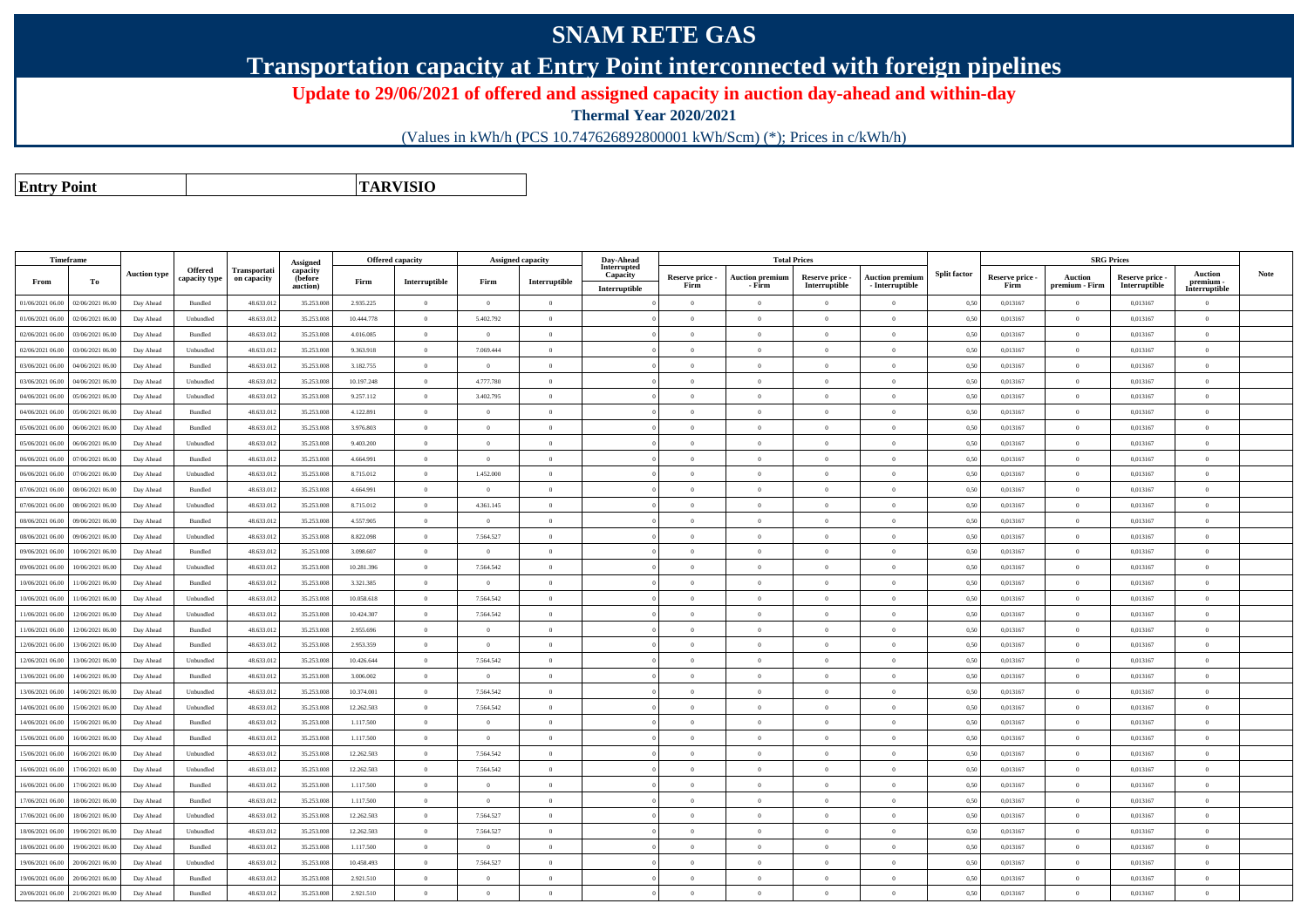## **SNAM RETE GAS**

**Transportation capacity at Entry Point interconnected with foreign pipelines**

**Update to 29/06/2021 of offered and assigned capacity in auction day-ahead and within-day**

**Thermal Year 2020/2021**

(Values in kWh/h (PCS 10.747626892800001 kWh/Scm) (\*); Prices in c/kWh/h)

**Entry PointTARVISIO**

| <b>Timeframe</b> |                  |                     |                          |                             | Assigned                               | Offered capacity |                |                | Assigned capacity | Day-Ahead                                |                         | <b>Total Prices</b>              |                                  |                                           |                     |                         | <b>SRG Prices</b>                |                                  |                                            |             |
|------------------|------------------|---------------------|--------------------------|-----------------------------|----------------------------------------|------------------|----------------|----------------|-------------------|------------------------------------------|-------------------------|----------------------------------|----------------------------------|-------------------------------------------|---------------------|-------------------------|----------------------------------|----------------------------------|--------------------------------------------|-------------|
| From             | To               | <b>Auction type</b> | Offered<br>capacity type | Transportati<br>on capacity | capacity<br><b>(before</b><br>auction) | Firm             | Interruptible  | Firm           | Interruptible     | Interrupted<br>Capacity<br>Interruptible | Reserve price -<br>Firm | <b>Auction premiun</b><br>- Firm | Reserve price -<br>Interruptible | <b>Auction premium</b><br>- Interruptible | <b>Split factor</b> | Reserve price -<br>Firm | <b>Auction</b><br>premium - Firm | Reserve price -<br>Interruptible | <b>Auction</b><br>premium<br>Interruptible | <b>Note</b> |
| 01/06/2021 06:00 | 02/06/2021 06:00 | Day Ahead           | Bundled                  | 48.633.01                   | 35.253.008                             | 2.935.225        | $\overline{0}$ | $\overline{0}$ | $\overline{0}$    |                                          | $\overline{0}$          | $\overline{0}$                   | $\overline{0}$                   | $\overline{0}$                            | 0.50                | 0,013167                | $\overline{0}$                   | 0,013167                         | $\theta$                                   |             |
| 01/06/2021 06:00 | 02/06/2021 06:00 | Day Ahead           | Unbundled                | 48.633.012                  | 35.253.008                             | 10.444.778       | $\overline{0}$ | 5.402.792      | $\overline{0}$    |                                          | $\theta$                | $\overline{0}$                   | $\overline{0}$                   | $\theta$                                  | 0.50                | 0,013167                | $\overline{0}$                   | 0,013167                         | $\theta$                                   |             |
| 02/06/2021 06:00 | 03/06/2021 06.0  | Day Ahead           | Bundled                  | 48.633.01                   | 35.253.008                             | 4.016.085        | $\overline{0}$ | $\overline{0}$ | $\overline{0}$    |                                          | $\Omega$                | $\theta$                         | $\theta$                         | $\overline{0}$                            | 0.50                | 0,013167                | $\theta$                         | 0,013167                         | $\theta$                                   |             |
| 02/06/2021 06:00 | 03/06/2021 06:00 | Day Ahead           | Unbundled                | 48.633.012                  | 35.253.008                             | 9.363.918        | $\overline{0}$ | 7 069 444      | $\overline{0}$    |                                          | $\Omega$                | $\overline{0}$                   | $\overline{0}$                   | $\Omega$                                  | 0.50                | 0,013167                | $\overline{0}$                   | 0,013167                         | $\theta$                                   |             |
| 03/06/2021 06:00 | 04/06/2021 06.0  | Day Ahead           | Bundled                  | 48.633.01                   | 35.253.008                             | 3.182.755        | $\overline{0}$ | $\overline{0}$ | $\overline{0}$    |                                          | $\Omega$                | $\theta$                         | $\theta$                         | $\overline{0}$                            | 0.50                | 0,013167                | $\theta$                         | 0,013167                         | $\theta$                                   |             |
| 03/06/2021 06:00 | 04/06/2021 06.0  | Day Ahead           | Unbundled                | 48.633.013                  | 35.253.008                             | 10.197.248       | $\overline{0}$ | 4.777.780      | $\overline{0}$    |                                          | $\overline{0}$          | $\overline{0}$                   | $\overline{0}$                   | $\overline{0}$                            | 0,50                | 0,013167                | $\overline{0}$                   | 0,013167                         | $\overline{0}$                             |             |
| 04/06/2021 06:00 | 05/06/2021 06.0  | Day Ahead           | Unbundled                | 48.633.01                   | 35.253.008                             | 9.257.112        | $\overline{0}$ | 3.402.795      | $\overline{0}$    |                                          | $\Omega$                | $\theta$                         | $\theta$                         | $\theta$                                  | 0.50                | 0,013167                | $\theta$                         | 0,013167                         |                                            |             |
| 04/06/2021 06:00 | 05/06/2021 06:00 | Day Ahead           | Bundled                  | 48.633.013                  | 35.253.008                             | 4.122.891        | $\overline{0}$ | $\overline{0}$ | $\overline{0}$    |                                          | $\overline{0}$          | $\overline{0}$                   | $\overline{0}$                   | $\overline{0}$                            | 0,50                | 0,013167                | $\overline{0}$                   | 0,013167                         | $\theta$                                   |             |
| 05/06/2021 06:00 | 06/06/2021 06.0  | Day Ahead           | Bundled                  | 48.633.01                   | 35.253.008                             | 3.976.803        | $\overline{0}$ | $\overline{0}$ | $\overline{0}$    |                                          | $\overline{0}$          | $\theta$                         | $\theta$                         | $\overline{0}$                            | 0,50                | 0,013167                | $\theta$                         | 0,013167                         |                                            |             |
| 05/06/2021 06:00 | 06/06/2021 06.0  | Day Ahead           | Unbundled                | 48.633.013                  | 35.253.008                             | 9.403.200        | $\overline{0}$ | $\overline{0}$ | $\overline{0}$    |                                          | $\overline{0}$          | $\overline{0}$                   | $\overline{0}$                   | $\overline{0}$                            | 0,50                | 0,013167                | $\overline{0}$                   | 0,013167                         | $\overline{0}$                             |             |
| 06/06/2021 06:00 | 07/06/2021 06.0  | Day Ahead           | Bundled                  | 48.633.013                  | 35.253.008                             | 4.664.991        | $\overline{0}$ | $\overline{0}$ | $\overline{0}$    |                                          | $\Omega$                | $\theta$                         | $\theta$                         | $\overline{0}$                            | 0,50                | 0,013167                | $\theta$                         | 0,013167                         |                                            |             |
| 06/06/2021 06:00 | 07/06/2021 06:00 | Day Ahead           | Unbundled                | 48.633.012                  | 35.253.008                             | 8.715.012        | $\overline{0}$ | 1.452.000      | $\Omega$          |                                          | $\Omega$                | $\theta$                         | $\Omega$                         | $\theta$                                  | 0,50                | 0,013167                | $\theta$                         | 0,013167                         |                                            |             |
| 07/06/2021 06:00 | 08/06/2021 06:00 | Day Ahead           | Bundled                  | 48.633.013                  | 35.253.008                             | 4.664.991        | $\overline{0}$ | $\Omega$       | $\overline{0}$    |                                          | $\Omega$                | $\Omega$                         | $\theta$                         | $\theta$                                  | 0.50                | 0,013167                | $\Omega$                         | 0,013167                         |                                            |             |
| 07/06/2021 06:00 | 08/06/2021 06:0  | Day Ahead           | Unbundled                | 48.633.012                  | 35.253.008                             | 8.715.012        | $\overline{0}$ | 4.361.145      | $\overline{0}$    |                                          | $\Omega$                | $\mathbf{0}$                     | $\theta$                         | $\theta$                                  | 0.50                | 0,013167                | $\overline{0}$                   | 0,013167                         | $\theta$                                   |             |
| 08/06/2021 06:00 | 09/06/2021 06:00 | Day Ahead           | Bundled                  | 48.633.013                  | 35.253.008                             | 4.557.905        | $\overline{0}$ | $\overline{0}$ | $\overline{0}$    |                                          | $\Omega$                | $\overline{0}$                   | $\theta$                         | $\theta$                                  | 0.50                | 0,013167                | $\overline{0}$                   | 0,013167                         |                                            |             |
| 08/06/2021 06:00 | 09/06/2021 06:0  | Day Ahead           | Unbundled                | 48.633.013                  | 35.253,008                             | 8.822.098        | $\overline{0}$ | 7.564.527      | $\overline{0}$    |                                          | $\Omega$                | $\overline{0}$                   | $\theta$                         | $\theta$                                  | 0.50                | 0.013167                | $\overline{0}$                   | 0.013167                         | $\theta$                                   |             |
| 09/06/2021 06:00 | 10/06/2021 06:00 | Day Ahead           | Bundled                  | 48.633.013                  | 35.253.008                             | 3.098.607        | $\overline{0}$ | $\overline{0}$ | $\theta$          |                                          | $\Omega$                | $\theta$                         | $\theta$                         | $\theta$                                  | 0.50                | 0,013167                | $\overline{0}$                   | 0,013167                         |                                            |             |
| 09/06/2021 06:00 | 10/06/2021 06:00 | Day Ahead           | Unbundled                | 48.633.012                  | 35.253,008                             | 10.281.396       | $\overline{0}$ | 7.564.542      | $\overline{0}$    |                                          | $\overline{0}$          | $\overline{0}$                   | $\Omega$                         | $\overline{0}$                            | 0.50                | 0.013167                | $\overline{0}$                   | 0.013167                         | $\theta$                                   |             |
| 10/06/2021 06:00 | 11/06/2021 06:0  | Day Ahead           | <b>Bundled</b>           | 48,633,012                  | 35.253.008                             | 3.321.385        | $\overline{0}$ | $\theta$       | $\theta$          |                                          | $\theta$                | $\theta$                         | $\theta$                         | $\theta$                                  | 0.50                | 0.013167                | $\theta$                         | 0.013167                         | $\theta$                                   |             |
| 10/06/2021 06:00 | 11/06/2021 06:00 | Day Ahead           | Unbundled                | 48.633.012                  | 35.253,008                             | 10.058.618       | $\overline{0}$ | 7.564.542      | $\overline{0}$    |                                          | $\overline{0}$          | $\overline{0}$                   | $\theta$                         | $\overline{0}$                            | 0.50                | 0.013167                | $\overline{0}$                   | 0.013167                         | $\theta$                                   |             |
| 11/06/2021 06:00 | 12/06/2021 06:00 | Day Ahead           | Unbundled                | 48,633,012                  | 35,253,008                             | 10 424 307       | $\overline{0}$ | 7.564.542      | $\theta$          |                                          | $\Omega$                | $\theta$                         | $\theta$                         | $\theta$                                  | 0.50                | 0.013167                | $\Omega$                         | 0.013167                         | $\sqrt{2}$                                 |             |
| 11/06/2021 06:00 | 12/06/2021 06:00 | Day Ahead           | Bundled                  | 48.633.013                  | 35.253.008                             | 2.955.696        | $\overline{0}$ | $\Omega$       | $\overline{0}$    |                                          | $\sqrt{2}$              | $\theta$                         | $\overline{0}$                   | $\overline{0}$                            | 0.50                | 0,013167                | $\Omega$                         | 0,013167                         | $\theta$                                   |             |
| 12/06/2021 06:00 | 13/06/2021 06:00 | Day Ahead           | Bundled                  | 48.633.013                  | 35.253.008                             | 2.953.359        | $\overline{0}$ | $\Omega$       | $\overline{0}$    |                                          | $\overline{0}$          | $\theta$                         | $\theta$                         | $\theta$                                  | 0.50                | 0.013167                | $\overline{0}$                   | 0.013167                         | $\sqrt{2}$                                 |             |
| 12/06/2021 06:00 | 13/06/2021 06:0  | Day Ahead           | Unbundled                | 48.633.013                  | 35.253.008                             | 10 426 644       | $\overline{0}$ | 7.564.542      | $\overline{0}$    |                                          | $\theta$                | $\theta$                         | $\Omega$                         | $\theta$                                  | 0.50                | 0.013167                | $\Omega$                         | 0.013167                         | $\theta$                                   |             |
| 13/06/2021 06:00 | 14/06/2021 06:0  | Day Ahead           | Bundled                  | 48.633.013                  | 35.253.008                             | 3.006.002        | $\overline{0}$ | $\Omega$       | $\theta$          |                                          | $\theta$                | $\overline{0}$                   | $\theta$                         | $\theta$                                  | 0.50                | 0.013167                | $\overline{0}$                   | 0,013167                         | $\theta$                                   |             |
| 13/06/2021 06:00 | 14/06/2021 06:0  | Day Ahead           | Unbundled                | 48.633.012                  | 35.253.008                             | 10.374.001       | $\overline{0}$ | 7.564.542      | $\overline{0}$    |                                          | $\theta$                | $\theta$                         | $\theta$                         | $\theta$                                  | 0.50                | 0,013167                | $\overline{0}$                   | 0,013167                         | $\theta$                                   |             |
| 14/06/2021 06:00 | 15/06/2021 06:00 | Day Ahead           | ${\sf Unbundred}$        | 48.633.012                  | 35.253.008                             | 12.262.503       | $\overline{0}$ | 7.564.542      | $\overline{0}$    |                                          | $\theta$                | $\overline{0}$                   | $\overline{0}$                   | $\theta$                                  | 0.50                | 0,013167                | $\overline{0}$                   | 0,013167                         | $\theta$                                   |             |
| 14/06/2021 06:00 | 15/06/2021 06.0  | Day Ahead           | Bundled                  | 48.633.01                   | 35.253.008                             | 1.117.500        | $\overline{0}$ | $\bf{0}$       | $\overline{0}$    |                                          | $\Omega$                | $\theta$                         | $\theta$                         | $\overline{0}$                            | 0.50                | 0,013167                | $\theta$                         | 0,013167                         | $\theta$                                   |             |
| 15/06/2021 06:00 | 16/06/2021 06:00 | Day Ahead           | Bundled                  | 48.633.013                  | 35.253.008                             | 1.117.500        | $\overline{0}$ | $\Omega$       | $\Omega$          |                                          | $\sqrt{2}$              | $\theta$                         | $\Omega$                         | $\mathbf{a}$                              | 0.50                | 0,013167                | $\Omega$                         | 0.013167                         | $\sqrt{2}$                                 |             |
| 15/06/2021 06:00 | 16/06/2021 06.0  | Day Ahead           | Unbundled                | 48.633.01                   | 35.253.008                             | 12.262.503       | $\overline{0}$ | 7.564.542      | $\overline{0}$    |                                          | $\Omega$                | $\theta$                         | $\theta$                         | $\theta$                                  | 0.50                | 0,013167                | $\theta$                         | 0,013167                         | $\theta$                                   |             |
| 16/06/2021 06:00 | 17/06/2021 06.0  | Day Ahead           | Unbundled                | 48.633.013                  | 35.253.008                             | 12.262.503       | $\overline{0}$ | 7.564.542      | $\overline{0}$    |                                          | $\overline{0}$          | $\overline{0}$                   | $\overline{0}$                   | $\overline{0}$                            | 0,50                | 0,013167                | $\overline{0}$                   | 0,013167                         | $\theta$                                   |             |
| 16/06/2021 06:00 | 17/06/2021 06.0  | Day Ahead           | Bundled                  | 48.633.01                   | 35.253.008                             | 1.117.500        | $\overline{0}$ | $\bf{0}$       | $\overline{0}$    |                                          | $\overline{0}$          | $\overline{0}$                   | $\overline{0}$                   | $\overline{0}$                            | 0,50                | 0,013167                | $\bf{0}$                         | 0,013167                         | $\theta$                                   |             |
| 17/06/2021 06:00 | 18/06/2021 06:00 | Day Ahead           | Bundled                  | 48.633.012                  | 35.253.008                             | 1.117.500        | $\overline{0}$ | $\overline{0}$ | $\overline{0}$    |                                          | $\theta$                | $\overline{0}$                   | $\theta$                         | $\theta$                                  | 0,50                | 0,013167                | $\overline{0}$                   | 0,013167                         | $\theta$                                   |             |
| 17/06/2021 06:00 | 18/06/2021 06.0  | Day Ahead           | Unbundled                | 48.633.01                   | 35.253.008                             | 12.262.503       | $\overline{0}$ | 7.564.527      | $\overline{0}$    |                                          | $\overline{0}$          | $\theta$                         | $\theta$                         | $\overline{0}$                            | 0,50                | 0,013167                | $\theta$                         | 0,013167                         | $\theta$                                   |             |
| 18/06/2021 06:00 | 19/06/2021 06:00 | Day Ahead           | Unbundled                | 48.633.012                  | 35.253.008                             | 12.262.503       | $\overline{0}$ | 7.564.527      | $\overline{0}$    |                                          | $\overline{0}$          | $\overline{0}$                   | $\overline{0}$                   | $\overline{0}$                            | 0,50                | 0,013167                | $\overline{0}$                   | 0,013167                         | $\overline{0}$                             |             |
| 18/06/2021 06:00 | 19/06/2021 06.0  | Day Ahead           | Bundled                  | 48.633.01                   | 35.253.008                             | 1.117.500        | $\overline{0}$ | $\overline{0}$ | $\overline{0}$    |                                          | $\overline{0}$          | $\theta$                         | $\theta$                         | $\overline{0}$                            | 0,50                | 0,013167                | $\theta$                         | 0,013167                         |                                            |             |
| 19/06/2021 06:00 | 20/06/2021 06:00 | Day Ahead           | Unbundled                | 48.633.012                  | 35.253.008                             | 10.458.493       | $\overline{0}$ | 7.564.527      | $\Omega$          |                                          | $\Omega$                | $\theta$                         | $\Omega$                         | $\theta$                                  | 0,50                | 0,013167                | $\overline{0}$                   | 0,013167                         | $\theta$                                   |             |
| 19/06/2021 06:00 | 20/06/2021 06.0  | Day Ahead           | Bundled                  | 48.633.01                   | 35.253.008                             | 2.921.510        | $\overline{0}$ | $\overline{0}$ | $\overline{0}$    |                                          | $\overline{0}$          | $\theta$                         | $\theta$                         | $\overline{0}$                            | 0,50                | 0,013167                | $\theta$                         | 0,013167                         | $\theta$                                   |             |
| 20/06/2021 06:00 | 21/06/2021 06:00 | Day Ahead           | Bundled                  | 48.633.012                  | 35.253.008                             | 2.921.510        | $\theta$       | $\Omega$       | $\Omega$          |                                          | $\Omega$                | $\theta$                         | $\theta$                         | $\Omega$                                  | 0.50                | 0.013167                | $\Omega$                         | 0.013167                         | $\Omega$                                   |             |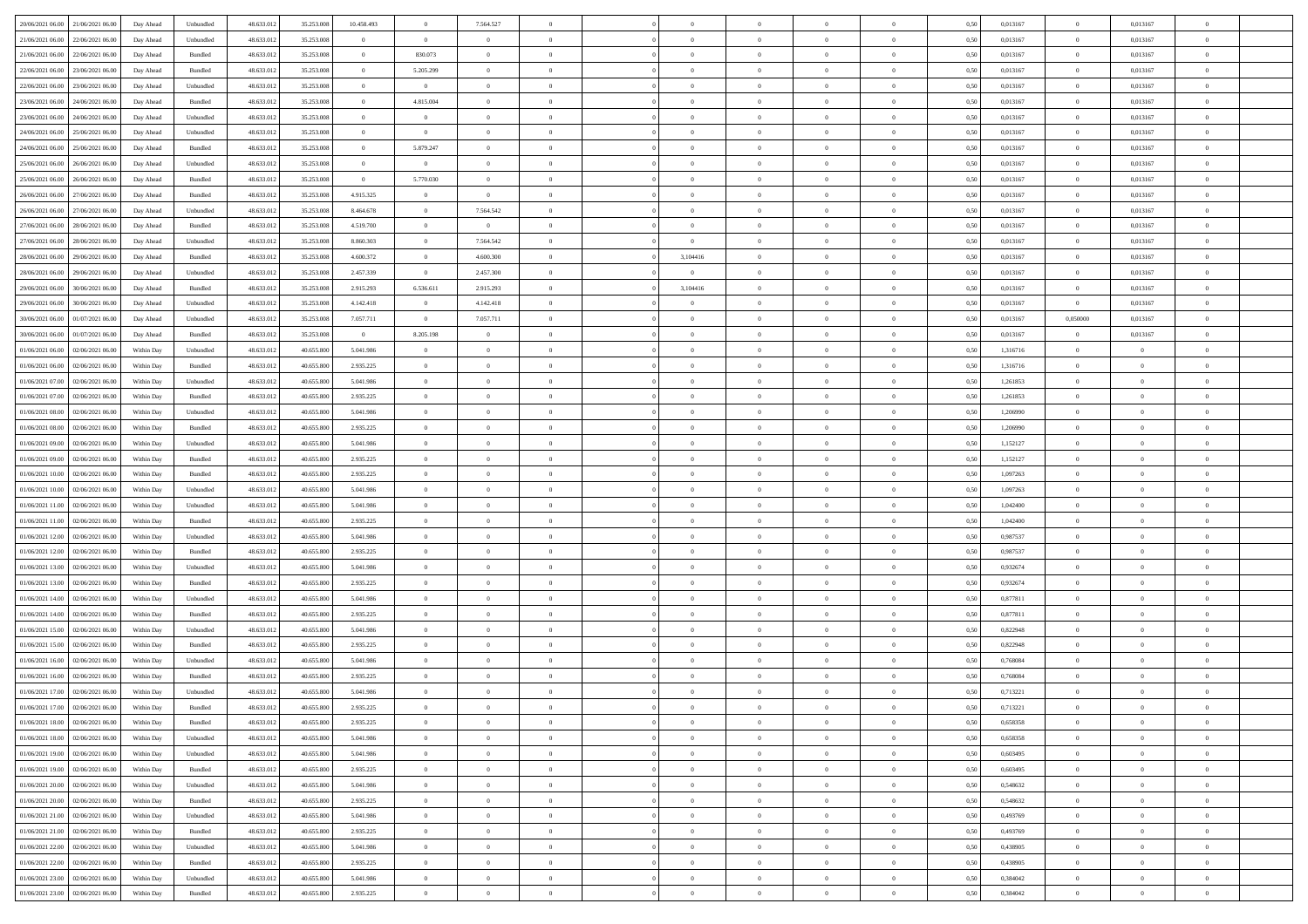| 20/06/2021 06:00 21/06/2021 06:00            | Day Ahead  | Unbundled          | 48.633.01  | 35.253.008 | 10.458.493     | $\overline{0}$ | 7.564.527      |                | $\overline{0}$ | $\bf{0}$       | $\overline{0}$ | $\theta$       | 0,50 | 0,013167 | $\mathbf{0}$   | 0,013167       | $\bf{0}$       |  |
|----------------------------------------------|------------|--------------------|------------|------------|----------------|----------------|----------------|----------------|----------------|----------------|----------------|----------------|------|----------|----------------|----------------|----------------|--|
|                                              |            |                    |            |            | $\theta$       | $\bf{0}$       |                | $\overline{0}$ | $\overline{0}$ | $\,$ 0         |                | $\bf{0}$       |      |          | $\bf{0}$       |                | $\bf{0}$       |  |
| 21/06/2021 06:00<br>22/06/2021 06.00         | Day Ahead  | Unbundled          | 48.633.01  | 35.253.008 |                |                | $\bf{0}$       |                |                |                | $\overline{0}$ |                | 0,50 | 0,013167 |                | 0,013167       |                |  |
| 21/06/2021 06:00<br>22/06/2021 06:00         | Day Ahead  | Bundled            | 48.633.013 | 35.253.008 | $\overline{0}$ | 830.073        | $\overline{0}$ | $\overline{0}$ | $\overline{0}$ | $\bf{0}$       | $\overline{0}$ | $\overline{0}$ | 0.50 | 0.013167 | $\overline{0}$ | 0.013167       | $\bf{0}$       |  |
| 22/06/2021 06:00<br>23/06/2021 06:00         | Day Ahead  | Bundled            | 48.633.013 | 35.253.008 | $\overline{0}$ | 5.205.299      | $\overline{0}$ | $\overline{0}$ | $\overline{0}$ | $\bf{0}$       | $\overline{0}$ | $\theta$       | 0,50 | 0,013167 | $\overline{0}$ | 0,013167       | $\overline{0}$ |  |
| 22/06/2021 06:00<br>23/06/2021 06.00         | Day Ahead  | Unbundled          | 48.633.01  | 35.253.008 | $\theta$       | $\overline{0}$ | $\theta$       | $\overline{0}$ |                | $\,$ 0         | $\overline{0}$ | $\bf{0}$       | 0,50 | 0,013167 | $\bf{0}$       | 0,013167       | $\bf{0}$       |  |
| 23/06/2021 06:00<br>24/06/2021 06:00         | Day Ahead  | Bundled            | 48.633.013 | 35.253.008 | $\overline{0}$ | 4.815.004      | $\overline{0}$ | $\overline{0}$ | $\overline{0}$ | $\bf{0}$       | $\overline{0}$ | $\overline{0}$ | 0.50 | 0.013167 | $\bf{0}$       | 0.013167       | $\bf{0}$       |  |
| 23/06/2021 06:00<br>24/06/2021 06:00         | Day Ahead  | Unbundled          | 48.633.013 | 35.253.008 | $\overline{0}$ | $\overline{0}$ | $\overline{0}$ | $\overline{0}$ | $\overline{0}$ | $\bf{0}$       | $\overline{0}$ | $\overline{0}$ | 0,50 | 0,013167 | $\overline{0}$ | 0,013167       | $\bf{0}$       |  |
| 24/06/2021 06:00<br>25/06/2021 06.00         | Day Ahead  | Unbundled          | 48.633.01  | 35.253.008 | $\overline{0}$ | $\bf{0}$       | $\overline{0}$ | $\overline{0}$ |                | $\,$ 0         | $\overline{0}$ | $\bf{0}$       | 0,50 | 0,013167 | $\bf{0}$       | 0,013167       | $\bf{0}$       |  |
| 24/06/2021 06:00<br>25/06/2021 06:00         | Day Ahead  | Bundled            | 48.633.013 | 35.253.008 | $\overline{0}$ | 5.879.247      | $\overline{0}$ | $\overline{0}$ | $\overline{0}$ | $\bf{0}$       | $\overline{0}$ | $\overline{0}$ | 0.50 | 0.013167 | $\overline{0}$ | 0.013167       | $\bf{0}$       |  |
| 25/06/2021 06:00<br>26/06/2021 06:00         | Day Ahead  | Unbundled          | 48.633.013 | 35.253.008 | $\bf{0}$       | $\overline{0}$ | $\overline{0}$ | $\overline{0}$ | $\overline{0}$ | $\bf{0}$       | $\overline{0}$ | $\overline{0}$ | 0,50 | 0,013167 | $\overline{0}$ | 0,013167       | $\bf{0}$       |  |
| 25/06/2021 06:00<br>26/06/2021 06.00         | Day Ahead  | Bundled            | 48.633.013 | 35.253.008 | $\bf{0}$       | 5.770.030      | $\overline{0}$ | $\overline{0}$ | $\overline{0}$ | $\,$ 0         | $\overline{0}$ | $\bf{0}$       | 0,50 | 0,013167 | $\bf{0}$       | 0,013167       | $\bf{0}$       |  |
| 26/06/2021 06:00                             |            | Bundled            | 48.633.013 | 35.253.008 | 4.915.325      |                | $\overline{0}$ | $\overline{0}$ | $\overline{0}$ | $\,$ 0 $\,$    | $\overline{0}$ | $\overline{0}$ | 0.50 | 0.013167 |                | 0.013167       |                |  |
| 27/06/2021 06:00                             | Day Ahead  |                    |            |            |                | $\overline{0}$ |                |                |                |                |                |                |      |          | $\,$ 0 $\,$    |                | $\bf{0}$       |  |
| 26/06/2021 06:00<br>27/06/2021 06:00         | Day Ahead  | Unbundled          | 48.633.01  | 35.253.008 | 8.464.678      | $\overline{0}$ | 7.564.542      | $\overline{0}$ | $\overline{0}$ | $\bf{0}$       | $\overline{0}$ | $\theta$       | 0,50 | 0,013167 | $\,$ 0 $\,$    | 0,013167       | $\bf{0}$       |  |
| 27/06/2021 06:00<br>28/06/2021 06:00         | Day Ahead  | Bundled            | 48.633.01  | 35.253.00  | 4.519.700      | $\overline{0}$ | $\overline{0}$ | $\overline{0}$ | $\overline{0}$ | $\,$ 0         | $\overline{0}$ | $\bf{0}$       | 0,50 | 0,013167 | $\bf{0}$       | 0,013167       | $\bf{0}$       |  |
| 27/06/2021 06:00<br>28/06/2021 06:00         | Day Ahead  | Unbundled          | 48.633.013 | 35.253.008 | 8.860.303      | $\overline{0}$ | 7.564.542      | $\overline{0}$ | $\overline{0}$ | $\,$ 0         | $\overline{0}$ | $\overline{0}$ | 0.50 | 0.013167 | $\overline{0}$ | 0.013167       | $\bf{0}$       |  |
| 28/06/2021 06:00<br>29/06/2021 06:00         | Day Ahead  | Bundled            | 48.633.013 | 35.253.008 | 4.600.372      | $\overline{0}$ | 4.600.300      | $\overline{0}$ | 3,104416       | $\bf{0}$       | $\overline{0}$ | $\overline{0}$ | 0,50 | 0,013167 | $\overline{0}$ | 0,013167       | $\overline{0}$ |  |
| 28/06/2021 06:00<br>29/06/2021 06.00         | Day Ahead  | Unbundled          | 48.633.01  | 35.253.008 | 2.457.339      | $\bf{0}$       | 2.457.300      | $\overline{0}$ | $\overline{0}$ | $\,$ 0         | $\overline{0}$ | $\bf{0}$       | 0,50 | 0,013167 | $\bf{0}$       | 0,013167       | $\bf{0}$       |  |
| 29/06/2021 06:00<br>30/06/2021 06:00         | Day Ahead  | Bundled            | 48.633.013 | 35.253.008 | 2.915.293      | 6.536.611      | 2.915.293      | $\overline{0}$ | 3,104416       | $\bf{0}$       | $\overline{0}$ | $\overline{0}$ | 0.50 | 0.013167 | $\,$ 0 $\,$    | 0.013167       | $\bf{0}$       |  |
| 29/06/2021 06:00<br>30/06/2021 06:00         | Day Ahead  | Unbundled          | 48.633.013 | 35.253.008 | 4.142.418      | $\overline{0}$ | 4.142.418      | $\overline{0}$ | $\overline{0}$ | $\,$ 0         | $\overline{0}$ | $\overline{0}$ | 0,50 | 0,013167 | $\overline{0}$ | 0,013167       | $\bf{0}$       |  |
| 30/06/2021 06:00<br>01/07/2021 06:00         | Day Ahead  | Unbundled          | 48.633.01  | 35.253.008 | 7.057.711      | $\bf{0}$       | 7.057.711      | $\overline{0}$ |                | $\bf{0}$       | $\overline{0}$ | $\bf{0}$       | 0,50 | 0,013167 | 0,050000       | 0,013167       | $\bf{0}$       |  |
| 30/06/2021 06:00<br>01/07/2021 06:00         | Day Ahead  | Bundled            | 48.633.013 | 35.253.008 | $\overline{0}$ | 8.205.198      | $\overline{0}$ | $\overline{0}$ | $\overline{0}$ | $\,$ 0 $\,$    | $\overline{0}$ | $\overline{0}$ | 0.50 | 0.013167 | $\overline{0}$ | 0.013167       | $\bf{0}$       |  |
| 01/06/2021 06:00<br>02/06/2021 06:00         | Within Day | Unbundled          | 48.633.01  | 40.655.800 | 5.041.986      | $\overline{0}$ | $\overline{0}$ | $\overline{0}$ | $\overline{0}$ | $\bf{0}$       | $\overline{0}$ | $\overline{0}$ | 0,50 | 1,316716 | $\,$ 0 $\,$    | $\overline{0}$ | $\overline{0}$ |  |
| 01/06/2021 06:00<br>02/06/2021 06.00         | Within Day | Bundled            | 48.633.01  | 40.655.800 | 2.935.225      | $\overline{0}$ | $\theta$       | $\overline{0}$ |                | $\,$ 0         | $\overline{0}$ | $\bf{0}$       | 0,50 | 1,316716 | $\bf{0}$       | $\overline{0}$ | $\bf{0}$       |  |
| 01/06/2021 07:00<br>02/06/2021 06:00         |            | Unbundled          | 48.633.013 | 40.655.800 | 5.041.986      | $\overline{0}$ | $\overline{0}$ | $\overline{0}$ | $\overline{0}$ | $\bf{0}$       | $\overline{0}$ | $\overline{0}$ | 0.50 | 1.261853 | $\bf{0}$       | $\overline{0}$ | $\bf{0}$       |  |
|                                              | Within Day |                    |            |            |                | $\overline{0}$ | $\overline{0}$ | $\overline{0}$ | $\overline{0}$ |                | $\overline{0}$ | $\overline{0}$ |      |          | $\,$ 0 $\,$    | $\overline{0}$ |                |  |
| 01/06/2021 07:00<br>02/06/2021 06.00         | Within Day | Bundled            | 48.633.013 | 40.655.800 | 2.935.225      |                |                |                |                | $\,$ 0         |                |                | 0,50 | 1,261853 |                |                | $\bf{0}$       |  |
| 01/06/2021 08:00<br>02/06/2021 06.00         | Within Day | Unbundled          | 48.633.01  | 40.655.800 | 5.041.986      | $\overline{0}$ | $\theta$       | $\overline{0}$ |                | $\,$ 0         | $\overline{0}$ | $\bf{0}$       | 0,50 | 1,206990 | $\bf{0}$       | $\overline{0}$ | $\,$ 0         |  |
| 01/06/2021 08:00<br>02/06/2021 06:00         | Within Day | Bundled            | 48.633.013 | 40.655.800 | 2.935.225      | $\overline{0}$ | $\overline{0}$ | $\overline{0}$ | $\overline{0}$ | $\bf{0}$       | $\overline{0}$ | $\overline{0}$ | 0.50 | 1.206990 | $\bf{0}$       | $\overline{0}$ | $\bf{0}$       |  |
| 01/06/2021 09:00<br>02/06/2021 06:00         | Within Day | Unbundled          | 48.633.01  | 40.655.800 | 5.041.986      | $\overline{0}$ | $\overline{0}$ | $\overline{0}$ | $\overline{0}$ | $\bf{0}$       | $\overline{0}$ | $\overline{0}$ | 0,50 | 1,152127 | $\,0\,$        | $\overline{0}$ | $\overline{0}$ |  |
| 01/06/2021 09:00<br>02/06/2021 06.00         | Within Day | Bundled            | 48.633.01  | 40.655.800 | 2.935.225      | $\bf{0}$       | $\overline{0}$ | $\overline{0}$ | $\overline{0}$ | $\bf{0}$       | $\overline{0}$ | $\bf{0}$       | 0,50 | 1,152127 | $\bf{0}$       | $\overline{0}$ | $\bf{0}$       |  |
| 01/06/2021 10:00<br>02/06/2021 06:00         | Within Day | Bundled            | 48.633.013 | 40.655.800 | 2.935.225      | $\overline{0}$ | $\overline{0}$ | $\overline{0}$ | $\overline{0}$ | $\,$ 0 $\,$    | $\overline{0}$ | $\overline{0}$ | 0.50 | 1.097263 | $\,$ 0 $\,$    | $\bf{0}$       | $\bf{0}$       |  |
| 01/06/2021 10:00<br>02/06/2021 06:00         | Within Day | Unbundled          | 48.633.013 | 40.655.800 | 5.041.986      | $\overline{0}$ | $\overline{0}$ | $\overline{0}$ | $\Omega$       | $\mathbf{0}$   | $\overline{0}$ | $\overline{0}$ | 0.50 | 1,097263 | $\mathbf{0}$   | $\overline{0}$ | $\overline{0}$ |  |
| 01/06/2021 11:00<br>02/06/2021 06.00         | Within Day | Unbundled          | 48.633.01  | 40.655.800 | 5.041.986      | $\overline{0}$ | $\theta$       | $\overline{0}$ |                | $\,$ 0         | $\overline{0}$ | $\bf{0}$       | 0,50 | 1,042400 | $\bf{0}$       | $\overline{0}$ | $\bf{0}$       |  |
| 01/06/2021 11:00<br>02/06/2021 06:00         | Within Day | Bundled            | 48.633.013 | 40.655.800 | 2.935.225      | $\overline{0}$ | $\overline{0}$ | $\overline{0}$ | $\overline{0}$ | $\bf{0}$       | $\overline{0}$ | $\overline{0}$ | 0.50 | 1.042400 | $\bf{0}$       | $\overline{0}$ | $\bf{0}$       |  |
| 01/06/2021 12:00<br>02/06/2021 06:00         | Within Day | Unbundled          | 48.633.013 | 40.655.800 | 5.041.986      | $\overline{0}$ | $\overline{0}$ | $\Omega$       | $\Omega$       | $\mathbf{0}$   | $\overline{0}$ | $\overline{0}$ | 0.50 | 0,987537 | $\mathbf{0}$   | $\overline{0}$ | $\overline{0}$ |  |
| 01/06/2021 12:00<br>02/06/2021 06.00         | Within Day | Bundled            | 48.633.01  | 40.655.800 | 2.935.225      | $\overline{0}$ | $\overline{0}$ | $\overline{0}$ |                | $\,$ 0         | $\overline{0}$ | $\bf{0}$       | 0,50 | 0,987537 | $\bf{0}$       | $\overline{0}$ | $\bf{0}$       |  |
| 01/06/2021 13:00<br>02/06/2021 06:00         | Within Day | Unbundled          | 48.633.013 | 40.655.800 | 5.041.986      | $\overline{0}$ | $\overline{0}$ | $\overline{0}$ | $\overline{0}$ | $\bf{0}$       | $\overline{0}$ | $\overline{0}$ | 0.50 | 0.932674 | $\bf{0}$       | $\overline{0}$ | $\bf{0}$       |  |
| 01/06/2021 13:00<br>02/06/2021 06:00         | Within Day | Bundled            | 48.633.013 | 40.655.800 | 2.935.225      | $\overline{0}$ | $\overline{0}$ | $\overline{0}$ | $\Omega$       | $\overline{0}$ | $\overline{0}$ | $\overline{0}$ | 0.50 | 0,932674 | $\mathbf{0}$   | $\overline{0}$ | $\overline{0}$ |  |
|                                              |            |                    |            |            |                | $\bf{0}$       | $\overline{0}$ | $\overline{0}$ | $\overline{0}$ | $\bf{0}$       |                |                |      |          | $\bf{0}$       | $\overline{0}$ | $\bf{0}$       |  |
| 01/06/2021 14:00<br>02/06/2021 06.00         | Within Day | Unbundled          | 48.633.01  | 40.655.800 | 5.041.986      |                |                |                |                |                | $\overline{0}$ | $\bf{0}$       | 0,50 | 0,877811 |                |                |                |  |
| 01/06/2021 14:00<br>02/06/2021 06:00         | Within Day | Bundled            | 48.633.013 | 40.655.800 | 2.935.225      | $\overline{0}$ | $\overline{0}$ | $\overline{0}$ | $\overline{0}$ | $\,$ 0 $\,$    | $\overline{0}$ | $\overline{0}$ | 0.50 | 0.877811 | $\overline{0}$ | $\overline{0}$ | $\bf{0}$       |  |
| 01/06/2021 15:00<br>02/06/2021 06:00         | Within Day | Unbundled          | 48.633.013 | 40.655.800 | 5.041.986      | $\overline{0}$ | $\overline{0}$ | $\Omega$       | $\Omega$       | $\mathbf{0}$   | $\overline{0}$ | $\overline{0}$ | 0.50 | 0,822948 | $\mathbf{0}$   | $\overline{0}$ | $\overline{0}$ |  |
| 01/06/2021 15:00<br>02/06/2021 06.00         | Within Day | Bundled            | 48.633.013 | 40.655.800 | 2.935.225      | $\bf{0}$       | $\overline{0}$ | $\overline{0}$ | $\overline{0}$ | $\,$ 0         | $\overline{0}$ | $\bf{0}$       | 0,50 | 0,822948 | $\bf{0}$       | $\overline{0}$ | $\bf{0}$       |  |
| 01/06/2021 16:00<br>02/06/2021 06.00         | Within Day | Unbundled          | 48.633.013 | 40.655.800 | 5.041.986      | $\overline{0}$ | $\overline{0}$ | $\overline{0}$ | $\overline{0}$ | $\bf{0}$       | $\overline{0}$ | $\overline{0}$ | 0.50 | 0.768084 | $\bf{0}$       | $\overline{0}$ | $\bf{0}$       |  |
| 01/06/2021 16:00<br>02/06/2021 06:00         | Within Day | Bundled            | 48.633.013 | 40.655.800 | 2.935.225      | $\overline{0}$ | $\Omega$       | $\Omega$       | $\Omega$       | $\bf{0}$       | $\overline{0}$ | $\Omega$       | 0.50 | 0,768084 | $\mathbf{0}$   | $\overline{0}$ | $\overline{0}$ |  |
| 01/06/2021 17:00<br>02/06/2021 06:00         | Within Day | Unbundled          | 48.633.01  | 40.655.800 | 5.041.986      | $\overline{0}$ | $\,$ 0 $\,$    | $\overline{0}$ | $\overline{0}$ | $\,$ 0         | $\overline{0}$ | $\bf{0}$       | 0,50 | 0,713221 | $\bf{0}$       | $\overline{0}$ | $\,$ 0         |  |
| $01/06/2021\ 17.00 \qquad 02/06/2021\ 06.00$ | Within Day | $\mathbf B$ undled | 48.633.012 | 40.655.800 | 2.935.225      | $\bf{0}$       | $\theta$       |                |                |                |                |                | 0,50 | 0,713221 | $\overline{0}$ | $\Omega$       |                |  |
| 01/06/2021 18:00 02/06/2021 06:00            | Within Day | Bundled            | 48.633.012 | 40.655.800 | 2.935.225      | $\theta$       | $\overline{0}$ | $\overline{0}$ | $\Omega$       | $\overline{0}$ | $\overline{0}$ | $\overline{0}$ | 0,50 | 0,658358 | $\theta$       | $\overline{0}$ | $\bf{0}$       |  |
| 01/06/2021 18:00<br>02/06/2021 06:00         | Within Day | Unbundled          | 48.633.013 | 40.655.800 | 5.041.986      | $\overline{0}$ | $\bf{0}$       | $\overline{0}$ | $\bf{0}$       | $\overline{0}$ | $\overline{0}$ | $\mathbf{0}$   | 0,50 | 0,658358 | $\overline{0}$ | $\overline{0}$ | $\bf{0}$       |  |
| 01/06/2021 19:00 02/06/2021 06:00            | Within Day | Unbundled          | 48.633.012 | 40,655,800 | 5.041.986      | $\overline{0}$ | $\overline{0}$ | $\overline{0}$ | $\overline{0}$ | $\overline{0}$ | $\overline{0}$ | $\mathbf{0}$   | 0.50 | 0.603495 | $\overline{0}$ | $\,$ 0 $\,$    | $\,$ 0 $\,$    |  |
| 01/06/2021 19:00 02/06/2021 06:00            | Within Dav | Bundled            | 48.633.012 | 40.655.800 | 2.935.225      | $\overline{0}$ | $\overline{0}$ | $\overline{0}$ | $\overline{0}$ | $\overline{0}$ | $\overline{0}$ | $\overline{0}$ | 0,50 | 0,603495 | $\theta$       | $\overline{0}$ | $\bf{0}$       |  |
| 01/06/2021 20:00<br>02/06/2021 06:00         | Within Day | Unbundled          | 48.633.013 | 40.655.800 | 5.041.986      | $\overline{0}$ | $\overline{0}$ | $\overline{0}$ | $\overline{0}$ | $\bf{0}$       | $\overline{0}$ | $\bf{0}$       | 0,50 | 0,548632 | $\overline{0}$ | $\overline{0}$ | $\bf{0}$       |  |
| 01/06/2021 20:00 02/06/2021 06:00            | Within Day | Bundled            | 48.633.013 | 40.655.800 | 2.935.225      | $\overline{0}$ | $\overline{0}$ | $\overline{0}$ | $\overline{0}$ | $\,$ 0 $\,$    | $\overline{0}$ | $\overline{0}$ | 0.50 | 0.548632 | $\overline{0}$ | $\overline{0}$ | $\bf{0}$       |  |
|                                              |            |                    |            |            |                |                |                |                |                |                |                |                |      |          |                |                |                |  |
| 01/06/2021 21:00<br>02/06/2021 06:00         | Within Dav | Unbundled          | 48.633.012 | 40.655.800 | 5.041.986      | $\overline{0}$ | $\overline{0}$ | $\overline{0}$ | $\overline{0}$ | $\overline{0}$ | $\overline{0}$ | $\overline{0}$ | 0,50 | 0,493769 | $\overline{0}$ | $\overline{0}$ | $\bf{0}$       |  |
| 01/06/2021 21:00<br>02/06/2021 06:00         | Within Day | Bundled            | 48.633.013 | 40.655.800 | 2.935.225      | $\overline{0}$ | $\,$ 0         | $\overline{0}$ | $\bf{0}$       | $\,$ 0 $\,$    | $\overline{0}$ | $\mathbf{0}$   | 0,50 | 0,493769 | $\overline{0}$ | $\,$ 0 $\,$    | $\bf{0}$       |  |
| 01/06/2021 22:00 02/06/2021 06:00            | Within Day | Unbundled          | 48.633.013 | 40.655.800 | 5.041.986      | $\overline{0}$ | $\overline{0}$ | $\overline{0}$ | $\overline{0}$ | $\,$ 0 $\,$    | $\overline{0}$ | $\mathbf{0}$   | 0.50 | 0.438905 | $\overline{0}$ | $\,$ 0 $\,$    | $\bf{0}$       |  |
| 01/06/2021 22:00 02/06/2021 06:00            | Within Dav | Bundled            | 48.633.013 | 40.655.800 | 2.935.225      | $\overline{0}$ | $\overline{0}$ | $\overline{0}$ | $\overline{0}$ | $\overline{0}$ | $\overline{0}$ | $\overline{0}$ | 0,50 | 0,438905 | $\overline{0}$ | $\overline{0}$ | $\bf{0}$       |  |
| 01/06/2021 23:00<br>02/06/2021 06:00         | Within Day | Unbundled          | 48.633.013 | 40.655.800 | 5.041.986      | $\overline{0}$ | $\overline{0}$ | $\overline{0}$ | $\bf{0}$       | $\bf{0}$       | $\overline{0}$ | $\bf{0}$       | 0,50 | 0,384042 | $\overline{0}$ | $\overline{0}$ | $\bf{0}$       |  |
| 01/06/2021 23:00 02/06/2021 06:00            | Within Day | Bundled            | 48.633.012 | 40.655.800 | 2.935.225      | $\overline{0}$ | $\overline{0}$ | $\overline{0}$ | $\overline{0}$ | $\,$ 0 $\,$    | $\overline{0}$ | $\overline{0}$ | 0,50 | 0,384042 | $\,$ 0 $\,$    | $\,$ 0 $\,$    | $\bf{0}$       |  |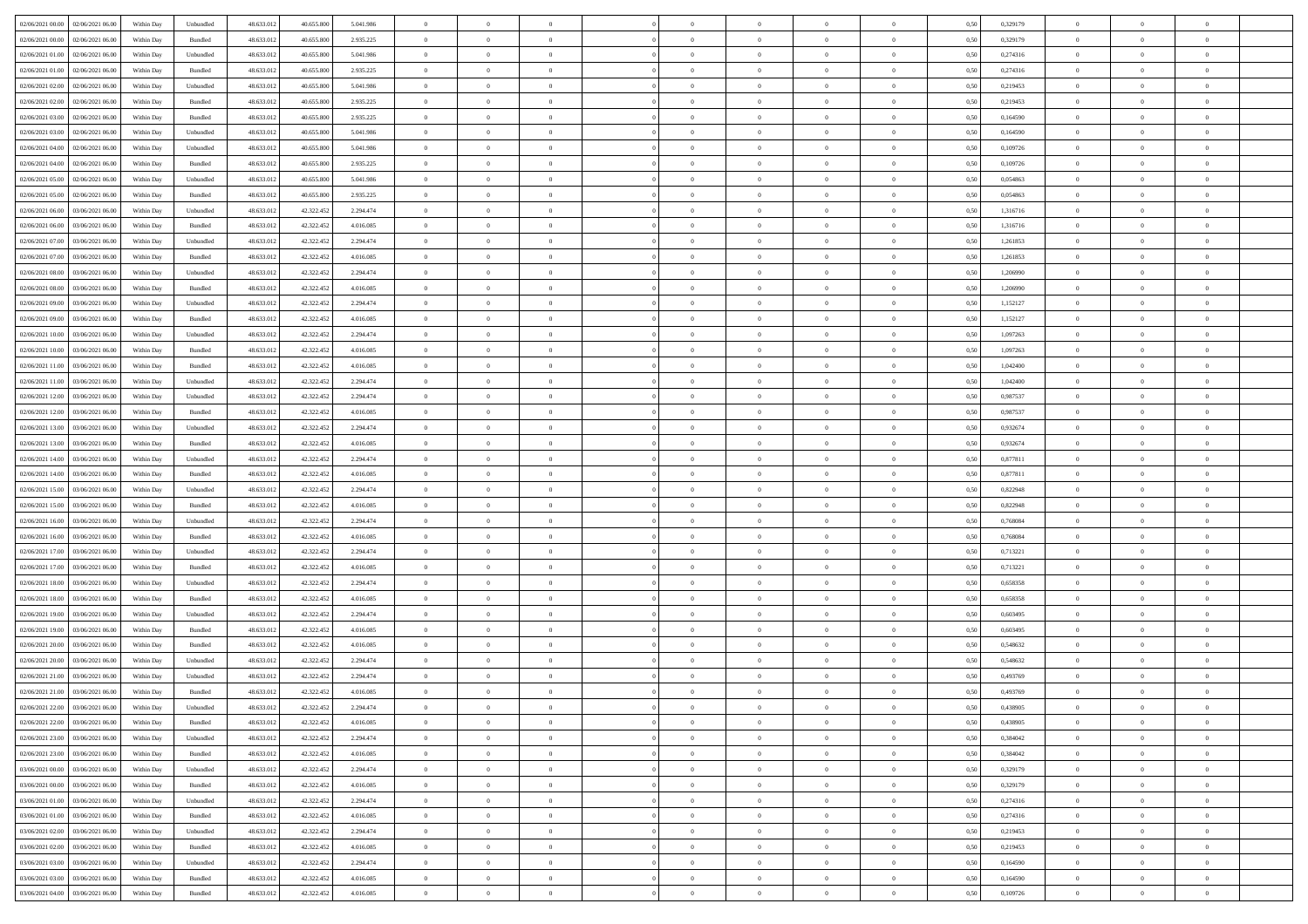| 02/06/2021 00:00 02/06/2021 06:00             | Within Day | Unbundled                   | 48.633.01  | 40.655.800 | 5.041.986 | $\overline{0}$ | $\overline{0}$ |                | $\overline{0}$ | $\theta$       |                | $\theta$       | 0,50 | 0,329179 | $\theta$       | $\theta$       | $\overline{0}$ |  |
|-----------------------------------------------|------------|-----------------------------|------------|------------|-----------|----------------|----------------|----------------|----------------|----------------|----------------|----------------|------|----------|----------------|----------------|----------------|--|
| 02/06/2021 00:00<br>02/06/2021 06.00          | Within Day | Bundled                     | 48.633.01  | 40.655.80  | 2.935.225 | $\bf{0}$       | $\bf{0}$       | $\bf{0}$       | $\overline{0}$ | $\bf{0}$       | $\overline{0}$ | $\bf{0}$       | 0,50 | 0,329179 | $\,$ 0 $\,$    | $\bf{0}$       | $\overline{0}$ |  |
| $02/06/2021\ 01.00$<br>02/06/2021 06:00       | Within Day | Unbundled                   | 48.633.013 | 40.655.800 | 5.041.986 | $\overline{0}$ | $\bf{0}$       | $\overline{0}$ | $\bf{0}$       | $\bf{0}$       | $\overline{0}$ | $\bf{0}$       | 0.50 | 0,274316 | $\bf{0}$       | $\overline{0}$ | $\overline{0}$ |  |
| 02/06/2021 01:00<br>02/06/2021 06:00          | Within Day | Bundled                     | 48.633.01  | 40.655.800 | 2.935.225 | $\overline{0}$ | $\bf{0}$       | $\overline{0}$ | $\theta$       | $\theta$       | $\overline{0}$ | $\bf{0}$       | 0,50 | 0,274316 | $\,$ 0 $\,$    | $\theta$       | $\overline{0}$ |  |
| 02/06/2021 02:00<br>02/06/2021 06.00          | Within Day | Unbundled                   | 48.633.01  | 40.655.800 | 5.041.986 | $\bf{0}$       | $\overline{0}$ | $\bf{0}$       | $\overline{0}$ | $\theta$       | $\overline{0}$ | $\bf{0}$       | 0,50 | 0,219453 | $\,$ 0 $\,$    | $\bf{0}$       | $\overline{0}$ |  |
| 02/06/2021 02:00<br>02/06/2021 06:00          | Within Day | Bundled                     | 48.633.013 | 40.655.800 | 2.935.225 | $\overline{0}$ | $\overline{0}$ | $\overline{0}$ | $\bf{0}$       | $\overline{0}$ | $\theta$       | $\bf{0}$       | 0.50 | 0,219453 | $\,$ 0 $\,$    | $\theta$       | $\overline{0}$ |  |
| 02/06/2021 03:00<br>02/06/2021 06.00          | Within Day | Bundled                     | 48.633.013 | 40.655.800 | 2.935.225 | $\overline{0}$ | $\overline{0}$ | $\overline{0}$ | $\overline{0}$ | $\overline{0}$ | $\overline{0}$ | $\bf{0}$       | 0,50 | 0,164590 | $\,$ 0 $\,$    | $\theta$       | $\overline{0}$ |  |
| 02/06/2021 03:00<br>02/06/2021 06.00          | Within Day | Unbundled                   | 48.633.01  | 40.655.800 | 5.041.986 | $\bf{0}$       | $\overline{0}$ | $\bf{0}$       | $\overline{0}$ | $\bf{0}$       | $\overline{0}$ | $\bf{0}$       | 0,50 | 0,164590 | $\,$ 0 $\,$    | $\bf{0}$       | $\overline{0}$ |  |
|                                               |            |                             |            |            |           |                |                |                |                |                |                |                |      |          |                |                |                |  |
| 02/06/2021 04:00<br>02/06/2021 06:00          | Within Day | Unbundled                   | 48.633.013 | 40.655.800 | 5.041.986 | $\overline{0}$ | $\bf{0}$       | $\overline{0}$ | $\bf{0}$       | $\overline{0}$ | $\overline{0}$ | $\bf{0}$       | 0.50 | 0.109726 | $\bf{0}$       | $\overline{0}$ | $\overline{0}$ |  |
| 02/06/2021 04:00<br>02/06/2021 06:00          | Within Day | Bundled                     | 48.633.012 | 40.655.800 | 2.935.225 | $\bf{0}$       | $\bf{0}$       | $\overline{0}$ | $\overline{0}$ | $\overline{0}$ | $\overline{0}$ | $\bf{0}$       | 0,50 | 0,109726 | $\,$ 0 $\,$    | $\bf{0}$       | $\overline{0}$ |  |
| 02/06/2021 05:00<br>02/06/2021 06.00          | Within Day | Unbundled                   | 48.633.01  | 40.655.800 | 5.041.986 | $\bf{0}$       | $\overline{0}$ | $\bf{0}$       | $\bf{0}$       | $\bf{0}$       | $\overline{0}$ | $\bf{0}$       | 0,50 | 0,054863 | $\,$ 0 $\,$    | $\bf{0}$       | $\overline{0}$ |  |
| 02/06/2021 05:00<br>02/06/2021 06:00          | Within Day | Bundled                     | 48.633.013 | 40.655.800 | 2.935.225 | $\overline{0}$ | $\bf{0}$       | $\overline{0}$ | $\overline{0}$ | $\bf{0}$       | $\overline{0}$ | $\bf{0}$       | 0.50 | 0.054863 | $\bf{0}$       | $\overline{0}$ | $\overline{0}$ |  |
| 02/06/2021 06:00<br>03/06/2021 06:00          | Within Day | Unbundled                   | 48.633.01  | 42.322.452 | 2.294.474 | $\overline{0}$ | $\overline{0}$ | $\overline{0}$ | $\theta$       | $\theta$       | $\overline{0}$ | $\bf{0}$       | 0,50 | 1,316716 | $\,$ 0 $\,$    | $\theta$       | $\overline{0}$ |  |
| 02/06/2021 06:00<br>03/06/2021 06.00          | Within Day | Bundled                     | 48.633.01  | 42.322.452 | 4.016.085 | $\bf{0}$       | $\overline{0}$ | $\bf{0}$       | $\overline{0}$ | $\theta$       | $\overline{0}$ | $\bf{0}$       | 0,50 | 1,316716 | $\,$ 0 $\,$    | $\bf{0}$       | $\overline{0}$ |  |
| 02/06/2021 07:00<br>03/06/2021 06:00          | Within Day | Unbundled                   | 48.633.013 | 42.322.452 | 2.294.474 | $\overline{0}$ | $\overline{0}$ | $\overline{0}$ | $\bf{0}$       | $\overline{0}$ | $\Omega$       | $\bf{0}$       | 0.50 | 1.261853 | $\,$ 0 $\,$    | $\theta$       | $\overline{0}$ |  |
| 02/06/2021 07:00<br>03/06/2021 06:00          | Within Day | Bundled                     | 48.633.013 | 42.322.452 | 4.016.085 | $\overline{0}$ | $\overline{0}$ | $\overline{0}$ | $\overline{0}$ | $\overline{0}$ | $\overline{0}$ | $\bf{0}$       | 0,50 | 1,261853 | $\theta$       | $\theta$       | $\overline{0}$ |  |
| 02/06/2021 08:00<br>03/06/2021 06.00          | Within Day | Unbundled                   | 48.633.01  | 42.322.452 | 2.294.474 | $\bf{0}$       | $\overline{0}$ | $\bf{0}$       | $\overline{0}$ | $\theta$       | $\overline{0}$ | $\bf{0}$       | 0,50 | 1,206990 | $\,$ 0 $\,$    | $\bf{0}$       | $\overline{0}$ |  |
| 02/06/2021 08:00<br>03/06/2021 06:00          | Within Day | Bundled                     | 48.633.013 | 42.322.452 | 4.016.085 | $\overline{0}$ | $\bf{0}$       | $\overline{0}$ | $\bf{0}$       | $\overline{0}$ | $\overline{0}$ | $\bf{0}$       | 0.50 | 1.206990 | $\bf{0}$       | $\overline{0}$ | $\overline{0}$ |  |
| 02/06/2021 09:00<br>03/06/2021 06:00          | Within Day | Unbundled                   | 48.633.013 | 42.322.452 | 2.294.474 | $\bf{0}$       | $\bf{0}$       | $\overline{0}$ | $\overline{0}$ | $\overline{0}$ | $\overline{0}$ | $\bf{0}$       | 0,50 | 1,152127 | $\,$ 0 $\,$    | $\bf{0}$       | $\overline{0}$ |  |
| 02/06/2021 09:00<br>03/06/2021 06.00          | Within Day | Bundled                     | 48.633.01  | 42.322.452 | 4.016.085 | $\bf{0}$       | $\bf{0}$       | $\bf{0}$       | $\bf{0}$       | $\overline{0}$ | $\overline{0}$ | $\bf{0}$       | 0,50 | 1,152127 | $\,$ 0 $\,$    | $\bf{0}$       | $\overline{0}$ |  |
| 02/06/2021 10:00                              |            | Unbundled                   |            |            |           |                | $\bf{0}$       | $\overline{0}$ |                | $\bf{0}$       | $\overline{0}$ |                | 0.50 | 1.097263 | $\bf{0}$       | $\overline{0}$ | $\overline{0}$ |  |
| 03/06/2021 06:00                              | Within Day |                             | 48.633.012 | 42.322.452 | 2.294.474 | $\overline{0}$ |                |                | $\overline{0}$ |                |                | $\bf{0}$       |      |          |                |                |                |  |
| 02/06/2021 10:00<br>03/06/2021 06:00          | Within Day | Bundled                     | 48.633.01  | 42.322.452 | 4.016.085 | $\overline{0}$ | $\overline{0}$ | $\overline{0}$ | $\theta$       | $\theta$       | $\overline{0}$ | $\bf{0}$       | 0,50 | 1,097263 | $\theta$       | $\theta$       | $\overline{0}$ |  |
| 02/06/2021 11:00<br>03/06/2021 06.00          | Within Day | Bundled                     | 48.633.01  | 42.322.452 | 4.016.085 | $\bf{0}$       | $\overline{0}$ | $\bf{0}$       | $\bf{0}$       | $\bf{0}$       | $\overline{0}$ | $\bf{0}$       | 0,50 | 1,042400 | $\,$ 0 $\,$    | $\bf{0}$       | $\overline{0}$ |  |
| 02/06/2021 11:00<br>03/06/2021 06:00          | Within Day | Unbundled                   | 48.633.013 | 42.322.452 | 2.294.474 | $\overline{0}$ | $\overline{0}$ | $\overline{0}$ | $\bf{0}$       | $\overline{0}$ | $\theta$       | $\bf{0}$       | 0.50 | 1.042400 | $\,$ 0 $\,$    | $\theta$       | $\overline{0}$ |  |
| 02/06/2021 12:00<br>03/06/2021 06:00          | Within Day | Unbundled                   | 48.633.013 | 42.322.452 | 2.294.474 | $\overline{0}$ | $\overline{0}$ | $\overline{0}$ | $\overline{0}$ | $\theta$       | $\overline{0}$ | $\bf{0}$       | 0,50 | 0,987537 | $\,$ 0 $\,$    | $\theta$       | $\overline{0}$ |  |
| 02/06/2021 12:00<br>03/06/2021 06.00          | Within Day | Bundled                     | 48.633.01  | 42.322.452 | 4.016.085 | $\bf{0}$       | $\overline{0}$ | $\bf{0}$       | $\overline{0}$ | $\bf{0}$       | $\overline{0}$ | $\bf{0}$       | 0,50 | 0,987537 | $\,$ 0 $\,$    | $\bf{0}$       | $\overline{0}$ |  |
| 02/06/2021 13:00<br>03/06/2021 06:00          | Within Day | Unbundled                   | 48.633.013 | 42.322.452 | 2.294.474 | $\overline{0}$ | $\bf{0}$       | $\overline{0}$ | $\bf{0}$       | $\overline{0}$ | $\overline{0}$ | $\bf{0}$       | 0.50 | 0.932674 | $\bf{0}$       | $\overline{0}$ | $\overline{0}$ |  |
| 02/06/2021 13:00<br>03/06/2021 06:00          | Within Day | Bundled                     | 48.633.01  | 42.322.452 | 4.016.085 | $\overline{0}$ | $\bf{0}$       | $\overline{0}$ | $\overline{0}$ | $\overline{0}$ | $\overline{0}$ | $\bf{0}$       | 0,50 | 0,932674 | $\theta$       | $\theta$       | $\overline{0}$ |  |
| 02/06/2021 14:00<br>03/06/2021 06.00          | Within Day | Unbundled                   | 48.633.01  | 42.322.452 | 2.294.474 | $\bf{0}$       | $\bf{0}$       | $\bf{0}$       | $\bf{0}$       | $\overline{0}$ | $\overline{0}$ | $\bf{0}$       | 0,50 | 0,877811 | $\,$ 0 $\,$    | $\bf{0}$       | $\overline{0}$ |  |
| 02/06/2021 14:00<br>03/06/2021 06:00          | Within Day | Bundled                     | 48.633.013 | 42.322.452 | 4.016.085 | $\overline{0}$ | $\bf{0}$       | $\overline{0}$ | $\bf{0}$       | $\bf{0}$       | $\overline{0}$ | $\bf{0}$       | 0.50 | 0.877811 | $\bf{0}$       | $\overline{0}$ | $\overline{0}$ |  |
| 02/06/2021 15:00<br>03/06/2021 06:00          | Within Day | Unbundled                   | 48.633.013 | 42.322.452 | 2.294.474 | $\overline{0}$ | $\overline{0}$ | $\overline{0}$ | $\overline{0}$ | $\overline{0}$ | $\overline{0}$ | $\bf{0}$       | 0.5( | 0,822948 | $\theta$       | $\theta$       | $\overline{0}$ |  |
| 02/06/2021 15:00<br>03/06/2021 06.00          | Within Day | Bundled                     | 48.633.01  | 42.322.452 | 4.016.085 | $\bf{0}$       | $\overline{0}$ | $\bf{0}$       | $\bf{0}$       | $\,$ 0 $\,$    | $\overline{0}$ | $\bf{0}$       | 0,50 | 0,822948 | $\,$ 0 $\,$    | $\bf{0}$       | $\overline{0}$ |  |
| 02/06/2021 16:00<br>03/06/2021 06:00          | Within Day | Unbundled                   | 48.633.013 | 42.322.452 | 2.294.474 | $\overline{0}$ | $\bf{0}$       | $\overline{0}$ | $\bf{0}$       | $\overline{0}$ | $\Omega$       | $\bf{0}$       | 0.50 | 0.768084 | $\,$ 0 $\,$    | $\theta$       | $\overline{0}$ |  |
| 02/06/2021 16:00<br>03/06/2021 06:00          | Within Dav | Bundled                     | 48.633.013 | 42.322.452 | 4.016.085 | $\overline{0}$ | $\overline{0}$ | $\overline{0}$ | $\overline{0}$ | $\theta$       | $\overline{0}$ | $\bf{0}$       | 0.50 | 0,768084 | $\theta$       | $\theta$       | $\overline{0}$ |  |
|                                               |            |                             |            |            |           |                |                |                |                |                |                |                |      |          |                |                |                |  |
| 02/06/2021 17:00<br>03/06/2021 06.00          | Within Day | Unbundled                   | 48.633.01  | 42.322.452 | 2.294.474 | $\bf{0}$       | $\bf{0}$       | $\bf{0}$       | $\bf{0}$       | $\bf{0}$       | $\overline{0}$ | $\bf{0}$       | 0,50 | 0,713221 | $\,$ 0 $\,$    | $\bf{0}$       | $\overline{0}$ |  |
| 02/06/2021 17:00<br>03/06/2021 06:00          | Within Day | Bundled                     | 48.633.013 | 42.322.452 | 4.016.085 | $\overline{0}$ | $\bf{0}$       | $\overline{0}$ | $\bf{0}$       | $\overline{0}$ | $\overline{0}$ | $\bf{0}$       | 0.50 | 0.713221 | $\bf{0}$       | $\overline{0}$ | $\overline{0}$ |  |
| 02/06/2021 18:00<br>03/06/2021 06:00          | Within Dav | Unbundled                   | 48.633.013 | 42.322.452 | 2.294.474 | $\overline{0}$ | $\overline{0}$ | $\overline{0}$ | $\overline{0}$ | $\overline{0}$ | $\overline{0}$ | $\bf{0}$       | 0.50 | 0,658358 | $\theta$       | $\theta$       | $\overline{0}$ |  |
| 02/06/2021 18:00<br>03/06/2021 06.00          | Within Day | Bundled                     | 48.633.01  | 42.322.452 | 4.016.085 | $\bf{0}$       | $\bf{0}$       | $\bf{0}$       | $\bf{0}$       | $\overline{0}$ | $\overline{0}$ | $\bf{0}$       | 0,50 | 0,658358 | $\,$ 0 $\,$    | $\bf{0}$       | $\overline{0}$ |  |
| 02/06/2021 19:00<br>03/06/2021 06:00          | Within Day | Unbundled                   | 48.633.013 | 42.322.452 | 2.294.474 | $\overline{0}$ | $\bf{0}$       | $\overline{0}$ | $\overline{0}$ | $\bf{0}$       | $\overline{0}$ | $\bf{0}$       | 0.50 | 0.603495 | $\bf{0}$       | $\overline{0}$ | $\overline{0}$ |  |
| 02/06/2021 19:00<br>03/06/2021 06:00          | Within Day | Bundled                     | 48.633.013 | 42.322.452 | 4.016.085 | $\overline{0}$ | $\overline{0}$ | $\overline{0}$ | $\overline{0}$ | $\theta$       | $\overline{0}$ | $\bf{0}$       | 0.50 | 0,603495 | $\theta$       | $\theta$       | $\overline{0}$ |  |
| 02/06/2021 20:00<br>03/06/2021 06.00          | Within Day | Bundled                     | 48.633.01  | 42.322.452 | 4.016.085 | $\bf{0}$       | $\bf{0}$       | $\bf{0}$       | $\bf{0}$       | $\overline{0}$ | $\overline{0}$ | $\bf{0}$       | 0,50 | 0,548632 | $\,$ 0 $\,$    | $\bf{0}$       | $\overline{0}$ |  |
| 02/06/2021 20:00<br>03/06/2021 06:00          | Within Day | Unbundled                   | 48.633.013 | 42.322.452 | 2.294.474 | $\overline{0}$ | $\overline{0}$ | $\overline{0}$ | $\bf{0}$       | $\theta$       | $\Omega$       | $\bf{0}$       | 0.50 | 0.548632 | $\bf{0}$       | $\theta$       | $\overline{0}$ |  |
| 02/06/2021 21:00<br>03/06/2021 06:00          | Within Dav | Unbundled                   | 48.633.013 | 42.322.452 | 2.294.474 | $\overline{0}$ | $\overline{0}$ | $\Omega$       | $\overline{0}$ | $\theta$       | $\Omega$       | $\overline{0}$ | 0.5( | 0,493769 | $\theta$       | $\theta$       | $\overline{0}$ |  |
| 02/06/2021 21:00<br>03/06/2021 06:00          | Within Day | Bundled                     | 48.633.01  | 42.322.452 | 4.016.085 | $\bf{0}$       | $\bf{0}$       | $\bf{0}$       | $\bf{0}$       | $\bf{0}$       | $\overline{0}$ | $\bf{0}$       | 0,50 | 0,493769 | $\,$ 0 $\,$    | $\bf{0}$       | $\overline{0}$ |  |
| $02/06/2021\ 22.00\quad \  03/06/2021\ 06.00$ | Within Day | $\ensuremath{\mathsf{Unb}}$ | 48.633.012 | 42.322.452 | 2.294.474 | $\bf{0}$       |                |                | $\Omega$       |                |                |                | 0,50 | 0.438905 | $\theta$       | $\overline{0}$ |                |  |
| 02/06/2021 22:00 03/06/2021 06:00             | Within Day | Bundled                     | 48.633.012 | 42.322.452 | 4.016.085 | $\overline{0}$ | $\overline{0}$ | $\overline{0}$ | $\theta$       | $\overline{0}$ | $\overline{0}$ | $\bf{0}$       | 0,50 | 0,438905 | $\theta$       | $\overline{0}$ | $\overline{0}$ |  |
| 02/06/2021 23:00<br>03/06/2021 06:00          | Within Day | Unbundled                   | 48.633.013 | 42.322.452 | 2.294.474 | $\overline{0}$ | $\bf{0}$       | $\overline{0}$ | $\overline{0}$ | $\bf{0}$       | $\overline{0}$ | $\bf{0}$       | 0,50 | 0,384042 | $\bf{0}$       | $\overline{0}$ | $\bf{0}$       |  |
|                                               |            |                             |            |            | 4.016.085 |                |                |                |                |                | $\overline{0}$ |                | 0.50 | 0.384042 | $\overline{0}$ |                |                |  |
| 02/06/2021 23:00 03/06/2021 06:00             | Within Day | Bundled                     | 48.633.012 | 42.322.452 |           | $\overline{0}$ | $\bf{0}$       | $\overline{0}$ | $\overline{0}$ | $\mathbf{0}$   |                | $\,$ 0 $\,$    |      |          |                | $\bf{0}$       | $\,$ 0 $\,$    |  |
| 03/06/2021 00:00 03/06/2021 06:00             | Within Day | Unbundled                   | 48.633.012 | 42.322.452 | 2.294.474 | $\overline{0}$ | $\overline{0}$ | $\overline{0}$ | $\overline{0}$ | $\overline{0}$ | $\overline{0}$ | $\bf{0}$       | 0,50 | 0,329179 | $\theta$       | $\theta$       | $\overline{0}$ |  |
| 03/06/2021 00:00<br>03/06/2021 06:00          | Within Day | Bundled                     | 48.633.012 | 42.322.452 | 4.016.085 | $\overline{0}$ | $\bf{0}$       | $\overline{0}$ | $\overline{0}$ | $\overline{0}$ | $\overline{0}$ | $\bf{0}$       | 0,50 | 0,329179 | $\bf{0}$       | $\overline{0}$ | $\overline{0}$ |  |
| 03/06/2021 06:00<br>03/06/2021 01:00          | Within Day | Unbundled                   | 48.633.012 | 42.322.452 | 2.294.474 | $\overline{0}$ | $\bf{0}$       | $\overline{0}$ | $\overline{0}$ | $\overline{0}$ | $\overline{0}$ | $\bf{0}$       | 0.50 | 0,274316 | $\,$ 0 $\,$    | $\theta$       | $\,$ 0         |  |
| 03/06/2021 01:00<br>03/06/2021 06:00          | Within Dav | Bundled                     | 48.633.012 | 42.322.452 | 4.016.085 | $\overline{0}$ | $\overline{0}$ | $\overline{0}$ | $\overline{0}$ | $\overline{0}$ | $\overline{0}$ | $\bf{0}$       | 0.50 | 0,274316 | $\overline{0}$ | $\theta$       | $\overline{0}$ |  |
| 03/06/2021 02:00<br>03/06/2021 06:00          | Within Day | Unbundled                   | 48.633.013 | 42.322.452 | 2.294.474 | $\overline{0}$ | $\overline{0}$ | $\overline{0}$ | $\overline{0}$ | $\overline{0}$ | $\overline{0}$ | $\bf{0}$       | 0,50 | 0,219453 | $\bf{0}$       | $\overline{0}$ | $\overline{0}$ |  |
| 03/06/2021 02:00 03/06/2021 06:00             | Within Day | Bundled                     | 48.633.012 | 42.322.452 | 4.016.085 | $\overline{0}$ | $\overline{0}$ | $\overline{0}$ | $\overline{0}$ | $\overline{0}$ | $\overline{0}$ | $\bf{0}$       | 0.50 | 0.219453 | $\mathbf{0}$   | $\bf{0}$       | $\,$ 0         |  |
| 03/06/2021 03:00 03/06/2021 06:00             | Within Dav | Unbundled                   | 48.633.012 | 42.322.452 | 2.294.474 | $\overline{0}$ | $\overline{0}$ | $\overline{0}$ | $\overline{0}$ | $\overline{0}$ | $\overline{0}$ | $\bf{0}$       | 0,50 | 0,164590 | $\overline{0}$ | $\theta$       | $\overline{0}$ |  |
| 03/06/2021 03:00<br>03/06/2021 06:00          | Within Day | Bundled                     | 48.633.013 | 42.322.452 | 4.016.085 | $\overline{0}$ | $\bf{0}$       | $\overline{0}$ | $\bf{0}$       | $\overline{0}$ | $\overline{0}$ | $\bf{0}$       | 0,50 | 0,164590 | $\bf{0}$       | $\bf{0}$       | $\bf{0}$       |  |
| 03/06/2021 04:00 03/06/2021 06:00             | Within Day | Bundled                     | 48.633.012 | 42.322.452 | 4.016.085 | $\overline{0}$ | $\bf{0}$       | $\overline{0}$ | $\overline{0}$ | $\,$ 0 $\,$    | $\overline{0}$ | $\bf{0}$       | 0,50 | 0,109726 | $\overline{0}$ | $\,$ 0 $\,$    | $\,$ 0 $\,$    |  |
|                                               |            |                             |            |            |           |                |                |                |                |                |                |                |      |          |                |                |                |  |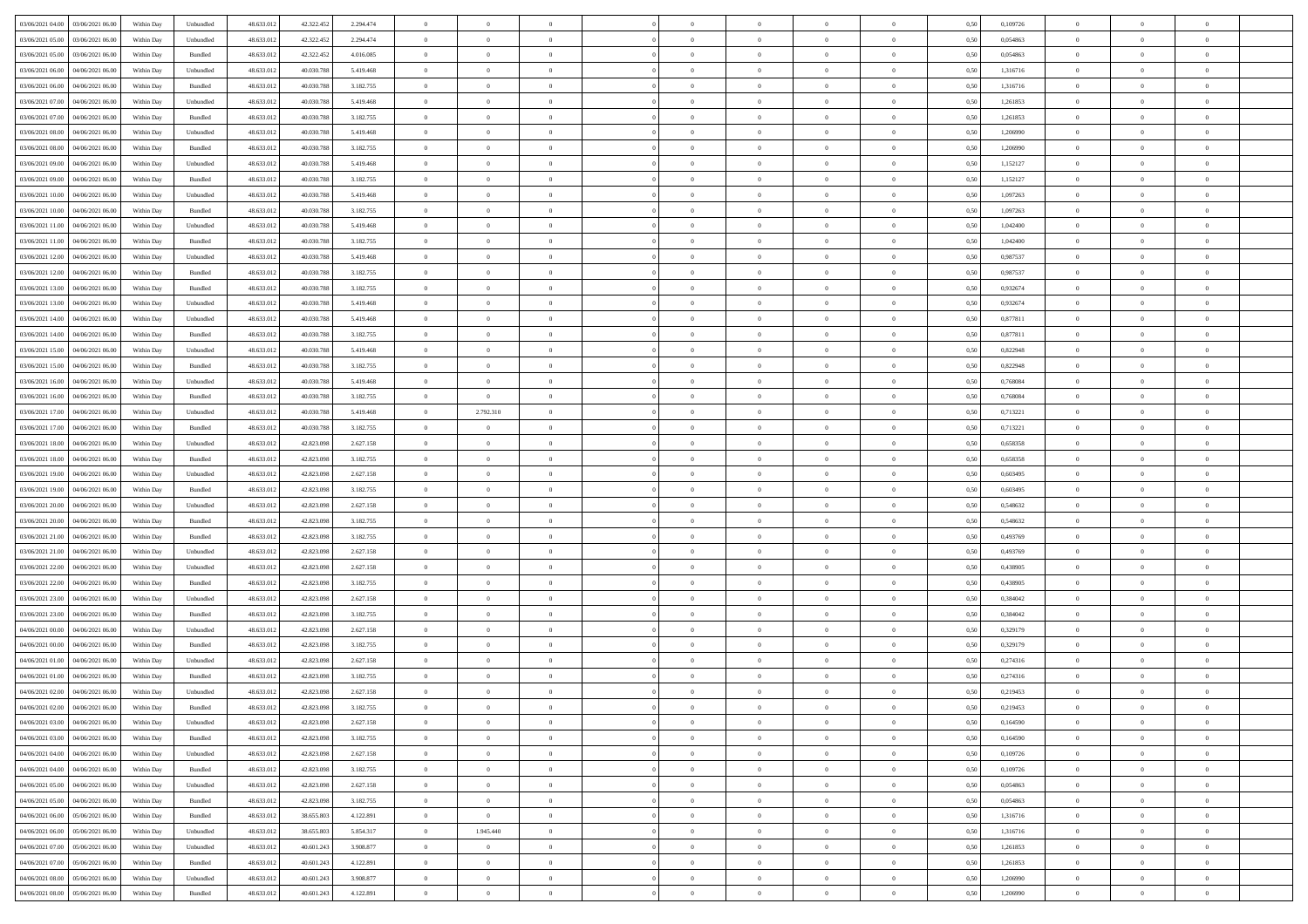| 03/06/2021 04:00 03/06/2021 06:00              | Within Day | Unbundled | 48.633.01  | 42.322.452 | 2.294.474 | $\overline{0}$ | $\theta$       |                | $\overline{0}$ | $\bf{0}$       |                | $\bf{0}$       | 0,50 | 0,109726 | $\theta$       | $\theta$       | $\theta$       |  |
|------------------------------------------------|------------|-----------|------------|------------|-----------|----------------|----------------|----------------|----------------|----------------|----------------|----------------|------|----------|----------------|----------------|----------------|--|
| 03/06/2021 05:00<br>03/06/2021 06:00           | Within Day | Unbundled | 48.633.01  | 42.322.452 | 2.294.474 | $\bf{0}$       | $\overline{0}$ | $\bf{0}$       | $\overline{0}$ | $\overline{0}$ | $\overline{0}$ | $\bf{0}$       | 0,50 | 0,054863 | $\,$ 0 $\,$    | $\bf{0}$       | $\overline{0}$ |  |
| 03/06/2021 05:00<br>03/06/2021 06:00           | Within Day | Bundled   | 48.633.013 | 42.322.452 | 4.016.085 | $\overline{0}$ | $\bf{0}$       | $\overline{0}$ | $\bf{0}$       | $\bf{0}$       | $\overline{0}$ | $\bf{0}$       | 0.50 | 0.054863 | $\bf{0}$       | $\overline{0}$ | $\overline{0}$ |  |
| 03/06/2021 06:00<br>04/06/2021 06:00           | Within Day | Unbundled | 48.633.01  | 40.030.788 | 5.419.468 | $\overline{0}$ | $\overline{0}$ | $\overline{0}$ | $\theta$       | $\theta$       | $\overline{0}$ | $\bf{0}$       | 0,50 | 1,316716 | $\theta$       | $\theta$       | $\overline{0}$ |  |
| 03/06/2021 06:00<br>04/06/2021 06.00           | Within Day | Bundled   | 48.633.01  | 40.030.788 | 3.182.755 | $\overline{0}$ | $\overline{0}$ | $\bf{0}$       | $\overline{0}$ | $\theta$       | $\overline{0}$ | $\bf{0}$       | 0,50 | 1,316716 | $\,$ 0 $\,$    | $\bf{0}$       | $\overline{0}$ |  |
| 03/06/2021 07:00<br>04/06/2021 06:00           | Within Day | Unbundled | 48.633.013 | 40.030.788 | 5.419.468 | $\overline{0}$ | $\overline{0}$ | $\overline{0}$ | $\bf{0}$       | $\overline{0}$ | $\theta$       | $\bf{0}$       | 0.50 | 1.261853 | $\,$ 0 $\,$    | $\theta$       | $\overline{0}$ |  |
| 03/06/2021 07:00<br>04/06/2021 06.00           | Within Day | Bundled   | 48.633.013 | 40.030.788 | 3.182.755 | $\overline{0}$ | $\overline{0}$ | $\overline{0}$ | $\overline{0}$ | $\theta$       | $\overline{0}$ | $\bf{0}$       | 0,50 | 1,261853 | $\,$ 0 $\,$    | $\theta$       | $\overline{0}$ |  |
|                                                |            |           |            |            |           |                |                |                |                |                |                |                |      |          |                |                |                |  |
| 03/06/2021 08:00<br>04/06/2021 06.00           | Within Day | Unbundled | 48.633.01  | 40.030.78  | 5.419.468 | $\overline{0}$ | $\overline{0}$ | $\overline{0}$ | $\overline{0}$ | $\theta$       | $\overline{0}$ | $\bf{0}$       | 0,50 | 1,206990 | $\,$ 0 $\,$    | $\bf{0}$       | $\overline{0}$ |  |
| 03/06/2021 08:00<br>04/06/2021 06:00           | Within Day | Bundled   | 48.633.013 | 40.030.788 | 3.182.755 | $\overline{0}$ | $\bf{0}$       | $\overline{0}$ | $\bf{0}$       | $\overline{0}$ | $\overline{0}$ | $\bf{0}$       | 0.50 | 1.206990 | $\bf{0}$       | $\overline{0}$ | $\overline{0}$ |  |
| 03/06/2021 09:00<br>04/06/2021 06:00           | Within Day | Unbundled | 48.633.012 | 40.030.788 | 5.419.468 | $\overline{0}$ | $\bf{0}$       | $\overline{0}$ | $\overline{0}$ | $\theta$       | $\overline{0}$ | $\bf{0}$       | 0,50 | 1,152127 | $\,$ 0 $\,$    | $\bf{0}$       | $\overline{0}$ |  |
| 03/06/2021 09:00<br>04/06/2021 06.00           | Within Day | Bundled   | 48.633.01  | 40.030.788 | 3.182.755 | $\bf{0}$       | $\overline{0}$ | $\bf{0}$       | $\bf{0}$       | $\bf{0}$       | $\overline{0}$ | $\bf{0}$       | 0,50 | 1,152127 | $\,$ 0 $\,$    | $\bf{0}$       | $\overline{0}$ |  |
| 03/06/2021 10:00<br>04/06/2021 06:00           | Within Day | Unbundled | 48.633.013 | 40.030.788 | 5.419.468 | $\overline{0}$ | $\bf{0}$       | $\overline{0}$ | $\overline{0}$ | $\bf{0}$       | $\overline{0}$ | $\bf{0}$       | 0.50 | 1.097263 | $\bf{0}$       | $\overline{0}$ | $\overline{0}$ |  |
| 03/06/2021 10:00<br>04/06/2021 06:00           | Within Day | Bundled   | 48.633.01  | 40.030.788 | 3.182.755 | $\overline{0}$ | $\overline{0}$ | $\overline{0}$ | $\overline{0}$ | $\theta$       | $\overline{0}$ | $\bf{0}$       | 0,50 | 1,097263 | $\,$ 0 $\,$    | $\theta$       | $\overline{0}$ |  |
| 03/06/2021 11:00<br>04/06/2021 06.00           | Within Day | Unbundled | 48.633.01  | 40.030.78  | 5.419.468 | $\bf{0}$       | $\overline{0}$ | $\bf{0}$       | $\overline{0}$ | $\theta$       | $\overline{0}$ | $\bf{0}$       | 0,50 | 1,042400 | $\,$ 0 $\,$    | $\bf{0}$       | $\overline{0}$ |  |
| 03/06/2021 11:00<br>04/06/2021 06:00           | Within Day | Bundled   | 48.633.013 | 40.030.788 | 3.182.755 | $\overline{0}$ | $\overline{0}$ | $\overline{0}$ | $\bf{0}$       | $\theta$       | $\Omega$       | $\bf{0}$       | 0.50 | 1.042400 | $\,$ 0 $\,$    | $\theta$       | $\overline{0}$ |  |
| 03/06/2021 12:00<br>04/06/2021 06:00           | Within Day | Unbundled | 48.633.01  | 40.030.788 | 5.419.468 | $\overline{0}$ | $\overline{0}$ | $\overline{0}$ | $\overline{0}$ | $\theta$       | $\overline{0}$ | $\bf{0}$       | 0,50 | 0,987537 | $\theta$       | $\theta$       | $\overline{0}$ |  |
|                                                |            |           |            |            |           |                |                |                |                |                |                |                |      |          |                |                |                |  |
| 03/06/2021 12:00<br>04/06/2021 06.00           | Within Day | Bundled   | 48.633.01  | 40.030.788 | 3.182.755 | $\bf{0}$       | $\overline{0}$ | $\overline{0}$ | $\overline{0}$ | $\theta$       | $\overline{0}$ | $\bf{0}$       | 0,50 | 0,987537 | $\,$ 0 $\,$    | $\bf{0}$       | $\overline{0}$ |  |
| 03/06/2021 13:00<br>04/06/2021 06:00           | Within Day | Bundled   | 48.633.013 | 40.030.788 | 3.182.755 | $\overline{0}$ | $\bf{0}$       | $\overline{0}$ | $\bf{0}$       | $\overline{0}$ | $\overline{0}$ | $\bf{0}$       | 0.50 | 0.932674 | $\bf{0}$       | $\overline{0}$ | $\overline{0}$ |  |
| 03/06/2021 13:00<br>04/06/2021 06:00           | Within Day | Unbundled | 48.633.013 | 40.030.788 | 5.419.468 | $\overline{0}$ | $\bf{0}$       | $\overline{0}$ | $\overline{0}$ | $\overline{0}$ | $\overline{0}$ | $\bf{0}$       | 0,50 | 0,932674 | $\,$ 0 $\,$    | $\theta$       | $\overline{0}$ |  |
| 03/06/2021 14:00<br>04/06/2021 06.00           | Within Day | Unbundled | 48.633.01  | 40.030.788 | 5.419.468 | $\bf{0}$       | $\bf{0}$       | $\bf{0}$       | $\bf{0}$       | $\overline{0}$ | $\overline{0}$ | $\bf{0}$       | 0,50 | 0,877811 | $\,$ 0 $\,$    | $\bf{0}$       | $\overline{0}$ |  |
| 03/06/2021 14:00<br>04/06/2021 06:00           | Within Day | Bundled   | 48.633.013 | 40.030.788 | 3.182.755 | $\overline{0}$ | $\bf{0}$       | $\overline{0}$ | $\overline{0}$ | $\bf{0}$       | $\overline{0}$ | $\bf{0}$       | 0.50 | 0.877811 | $\bf{0}$       | $\overline{0}$ | $\overline{0}$ |  |
| 03/06/2021 15:00<br>04/06/2021 06:00           | Within Day | Unbundled | 48.633.01  | 40.030.788 | 5.419.468 | $\overline{0}$ | $\overline{0}$ | $\overline{0}$ | $\theta$       | $\theta$       | $\overline{0}$ | $\bf{0}$       | 0,50 | 0,822948 | $\theta$       | $\theta$       | $\overline{0}$ |  |
| 03/06/2021 15:00<br>04/06/2021 06.00           | Within Day | Bundled   | 48.633.01  | 40.030.788 | 3.182.755 | $\bf{0}$       | $\overline{0}$ | $\bf{0}$       | $\bf{0}$       | $\theta$       | $\overline{0}$ | $\bf{0}$       | 0,50 | 0,822948 | $\,$ 0 $\,$    | $\bf{0}$       | $\overline{0}$ |  |
| 03/06/2021 16:00<br>04/06/2021 06:00           | Within Day | Unbundled | 48.633.013 | 40.030.788 | 5.419.468 | $\overline{0}$ | $\overline{0}$ | $\overline{0}$ | $\overline{0}$ | $\overline{0}$ | $\Omega$       | $\bf{0}$       | 0.50 | 0.768084 | $\,$ 0 $\,$    | $\theta$       | $\overline{0}$ |  |
| 03/06/2021 16:00<br>04/06/2021 06.00           | Within Day | Bundled   | 48.633.013 | 40.030.788 | 3.182.755 | $\overline{0}$ | $\bf{0}$       | $\overline{0}$ | $\overline{0}$ | $\theta$       | $\overline{0}$ | $\bf{0}$       | 0,50 | 0,768084 | $\,$ 0 $\,$    | $\theta$       | $\overline{0}$ |  |
|                                                |            |           |            |            |           |                |                |                |                |                |                |                |      |          |                |                |                |  |
| 03/06/2021 17:00<br>04/06/2021 06.00           | Within Day | Unbundled | 48.633.01  | 40.030.78  | 5.419.468 | $\bf{0}$       | 2.792.310      | $\bf{0}$       | $\overline{0}$ | $\theta$       | $\overline{0}$ | $\bf{0}$       | 0,50 | 0,713221 | $\,$ 0 $\,$    | $\bf{0}$       | $\overline{0}$ |  |
| 03/06/2021 17:00<br>04/06/2021 06:00           | Within Day | Bundled   | 48.633.013 | 40.030.788 | 3.182.755 | $\overline{0}$ | $\bf{0}$       | $\overline{0}$ | $\bf{0}$       | $\overline{0}$ | $\overline{0}$ | $\bf{0}$       | 0.50 | 0.713221 | $\bf{0}$       | $\overline{0}$ | $\overline{0}$ |  |
| 03/06/2021 18:00<br>04/06/2021 06:00           | Within Day | Unbundled | 48.633.012 | 42.823.098 | 2.627.158 | $\overline{0}$ | $\bf{0}$       | $\overline{0}$ | $\overline{0}$ | $\overline{0}$ | $\overline{0}$ | $\bf{0}$       | 0,50 | 0,658358 | $\theta$       | $\theta$       | $\overline{0}$ |  |
| 03/06/2021 18:00<br>04/06/2021 06.00           | Within Day | Bundled   | 48.633.01  | 42.823.098 | 3.182.755 | $\bf{0}$       | $\bf{0}$       | $\bf{0}$       | $\bf{0}$       | $\overline{0}$ | $\overline{0}$ | $\bf{0}$       | 0,50 | 0,658358 | $\,$ 0 $\,$    | $\bf{0}$       | $\overline{0}$ |  |
| 03/06/2021 19:00<br>04/06/2021 06:00           | Within Day | Unbundled | 48.633.013 | 42.823.098 | 2.627.158 | $\overline{0}$ | $\bf{0}$       | $\overline{0}$ | $\bf{0}$       | $\bf{0}$       | $\overline{0}$ | $\bf{0}$       | 0.50 | 0.603495 | $\bf{0}$       | $\overline{0}$ | $\overline{0}$ |  |
| 03/06/2021 19:00<br>04/06/2021 06:00           | Within Day | Bundled   | 48.633.013 | 42.823.098 | 3.182.755 | $\overline{0}$ | $\overline{0}$ | $\overline{0}$ | $\overline{0}$ | $\overline{0}$ | $\overline{0}$ | $\bf{0}$       | 0.5( | 0.603495 | $\theta$       | $\theta$       | $\overline{0}$ |  |
| 03/06/2021 20:00<br>04/06/2021 06.00           | Within Day | Unbundled | 48.633.01  | 42.823.098 | 2.627.158 | $\bf{0}$       | $\overline{0}$ | $\bf{0}$       | $\bf{0}$       | $\overline{0}$ | $\overline{0}$ | $\bf{0}$       | 0,50 | 0,548632 | $\,$ 0 $\,$    | $\bf{0}$       | $\overline{0}$ |  |
| 03/06/2021 20:00<br>04/06/2021 06:00           | Within Day | Bundled   | 48.633.013 | 42.823.098 | 3.182.755 | $\overline{0}$ | $\bf{0}$       | $\overline{0}$ | $\bf{0}$       | $\bf{0}$       | $\Omega$       | $\bf{0}$       | 0.50 | 0.548632 | $\,$ 0 $\,$    | $\theta$       | $\overline{0}$ |  |
| 03/06/2021 21:00<br>04/06/2021 06:00           | Within Dav | Bundled   | 48.633.013 | 42.823.098 | 3.182.755 | $\overline{0}$ | $\overline{0}$ | $\overline{0}$ | $\overline{0}$ | $\theta$       | $\overline{0}$ | $\overline{0}$ | 0.50 | 0,493769 | $\theta$       | $\theta$       | $\overline{0}$ |  |
| 03/06/2021 21:00<br>04/06/2021 06.00           | Within Day | Unbundled | 48.633.01  | 42.823.098 | 2.627.158 | $\bf{0}$       | $\bf{0}$       | $\bf{0}$       | $\overline{0}$ | $\bf{0}$       | $\overline{0}$ | $\bf{0}$       | 0,50 | 0,493769 | $\,$ 0 $\,$    | $\bf{0}$       | $\overline{0}$ |  |
|                                                |            |           |            |            |           |                |                |                |                |                |                |                |      |          |                |                |                |  |
| 03/06/2021 22:00<br>04/06/2021 06:00           | Within Day | Unbundled | 48.633.013 | 42.823.098 | 2.627.158 | $\overline{0}$ | $\bf{0}$       | $\overline{0}$ | $\bf{0}$       | $\overline{0}$ | $\overline{0}$ | $\bf{0}$       | 0.50 | 0.438905 | $\bf{0}$       | $\overline{0}$ | $\overline{0}$ |  |
| 03/06/2021 22:00<br>04/06/2021 06:00           | Within Dav | Bundled   | 48.633.013 | 42.823.098 | 3.182.755 | $\overline{0}$ | $\overline{0}$ | $\overline{0}$ | $\overline{0}$ | $\overline{0}$ | $\overline{0}$ | $\overline{0}$ | 0.50 | 0,438905 | $\theta$       | $\theta$       | $\overline{0}$ |  |
| 03/06/2021 23:00<br>04/06/2021 06.00           | Within Day | Unbundled | 48.633.01  | 42.823.098 | 2.627.158 | $\bf{0}$       | $\bf{0}$       | $\bf{0}$       | $\bf{0}$       | $\overline{0}$ | $\overline{0}$ | $\bf{0}$       | 0,50 | 0,384042 | $\,$ 0 $\,$    | $\bf{0}$       | $\overline{0}$ |  |
| 03/06/2021 23:00<br>04/06/2021 06:00           | Within Day | Bundled   | 48.633.013 | 42.823.098 | 3.182.755 | $\overline{0}$ | $\bf{0}$       | $\overline{0}$ | $\overline{0}$ | $\bf{0}$       | $\overline{0}$ | $\bf{0}$       | 0.50 | 0.384042 | $\bf{0}$       | $\overline{0}$ | $\overline{0}$ |  |
| 04/06/2021 00:00<br>04/06/2021 06:00           | Within Dav | Unbundled | 48.633.013 | 42.823.098 | 2.627.158 | $\overline{0}$ | $\overline{0}$ | $\overline{0}$ | $\overline{0}$ | $\theta$       | $\overline{0}$ | $\bf{0}$       | 0.5( | 0,329179 | $\theta$       | $\theta$       | $\overline{0}$ |  |
| 04/06/2021 00:00<br>04/06/2021 06.00           | Within Day | Bundled   | 48.633.013 | 42.823.098 | 3.182.755 | $\bf{0}$       | $\bf{0}$       | $\bf{0}$       | $\bf{0}$       | $\overline{0}$ | $\overline{0}$ | $\bf{0}$       | 0,50 | 0,329179 | $\,$ 0 $\,$    | $\bf{0}$       | $\overline{0}$ |  |
| 04/06/2021 01:00<br>04/06/2021 06:00           | Within Day | Unbundled | 48.633.013 | 42.823.098 | 2.627.158 | $\overline{0}$ | $\overline{0}$ | $\overline{0}$ | $\overline{0}$ | $\bf{0}$       | $\Omega$       | $\bf{0}$       | 0.50 | 0,274316 | $\bf{0}$       | $\theta$       | $\overline{0}$ |  |
| 04/06/2021 01:00<br>04/06/2021 06:00           | Within Dav | Bundled   | 48.633.013 | 42.823.098 | 3.182.755 | $\overline{0}$ | $\overline{0}$ | $\Omega$       | $\overline{0}$ | $\theta$       | $\Omega$       | $\overline{0}$ | 0.5( | 0,274316 | $\theta$       | $\theta$       | $\overline{0}$ |  |
| 04/06/2021 02:00<br>04/06/2021 06:00           | Within Day | Unbundled | 48.633.01  | 42.823.098 | 2.627.158 | $\bf{0}$       | $\,$ 0 $\,$    | $\overline{0}$ | $\bf{0}$       | $\bf{0}$       | $\overline{0}$ | $\bf{0}$       | 0,50 | 0,219453 | $\overline{0}$ | $\bf{0}$       | $\overline{0}$ |  |
| $04/06/2021\; 02.00 \qquad 04/06/2021\; 06.00$ | Within Day | Bundled   | 48.633.012 | 42.823.098 | 3.182.755 | $\overline{0}$ |                |                | $\Omega$       |                |                |                | 0,50 | 0,219453 | $\theta$       | $\overline{0}$ |                |  |
| 04/06/2021 03:00 04/06/2021 06:00              |            |           |            |            |           | $\overline{0}$ | $\overline{0}$ |                |                | $\overline{0}$ |                |                |      |          | $\theta$       | $\overline{0}$ | $\overline{0}$ |  |
|                                                | Within Day | Unbundled | 48.633.012 | 42.823.098 | 2.627.158 |                |                | $\overline{0}$ | $\theta$       |                | $\overline{0}$ | $\bf{0}$       | 0,50 | 0,164590 |                |                |                |  |
| 04/06/2021 03:00<br>04/06/2021 06:00           | Within Day | Bundled   | 48.633.013 | 42.823.098 | 3.182.755 | $\overline{0}$ | $\bf{0}$       | $\overline{0}$ | $\overline{0}$ | $\bf{0}$       | $\overline{0}$ | $\bf{0}$       | 0,50 | 0,164590 | $\bf{0}$       | $\overline{0}$ | $\bf{0}$       |  |
| 04/06/2021 04:00 04/06/2021 06:00              | Within Day | Unbundled | 48.633.012 | 42.823.098 | 2.627.158 | $\overline{0}$ | $\bf{0}$       | $\overline{0}$ | $\overline{0}$ | $\mathbf{0}$   | $\overline{0}$ | $\,$ 0 $\,$    | 0.50 | 0.109726 | $\overline{0}$ | $\bf{0}$       | $\,$ 0 $\,$    |  |
| 04/06/2021 04:00 04/06/2021 06:00              | Within Day | Bundled   | 48.633.012 | 42.823.098 | 3.182.755 | $\overline{0}$ | $\overline{0}$ | $\overline{0}$ | $\overline{0}$ | $\overline{0}$ | $\overline{0}$ | $\bf{0}$       | 0,50 | 0,109726 | $\overline{0}$ | $\theta$       | $\overline{0}$ |  |
| 04/06/2021 05:00<br>04/06/2021 06:00           | Within Day | Unbundled | 48.633.012 | 42.823.098 | 2.627.158 | $\overline{0}$ | $\bf{0}$       | $\overline{0}$ | $\overline{0}$ | $\bf{0}$       | $\overline{0}$ | $\bf{0}$       | 0,50 | 0,054863 | $\bf{0}$       | $\overline{0}$ | $\overline{0}$ |  |
| 04/06/2021 05:00<br>04/06/2021 06:00           | Within Day | Bundled   | 48.633.012 | 42.823.098 | 3.182.755 | $\overline{0}$ | $\bf{0}$       | $\overline{0}$ | $\overline{0}$ | $\bf{0}$       | $\overline{0}$ | $\bf{0}$       | 0.50 | 0.054863 | $\,$ 0 $\,$    | $\overline{0}$ | $\,$ 0         |  |
| 04/06/2021 06:00<br>05/06/2021 06:00           | Within Dav | Bundled   | 48.633.012 | 38.655.803 | 4.122.891 | $\overline{0}$ | $\overline{0}$ | $\overline{0}$ | $\overline{0}$ | $\overline{0}$ | $\overline{0}$ | $\bf{0}$       | 0.50 | 1,316716 | $\overline{0}$ | $\theta$       | $\overline{0}$ |  |
| 04/06/2021 06:00<br>05/06/2021 06:00           | Within Day | Unbundled | 48.633.013 | 38.655.803 | 5.854.317 | $\overline{0}$ | 1.945.440      | $\overline{0}$ | $\overline{0}$ | $\overline{0}$ | $\overline{0}$ | $\bf{0}$       | 0,50 | 1,316716 | $\bf{0}$       | $\overline{0}$ | $\overline{0}$ |  |
| 04/06/2021 07:00   05/06/2021 06:00            | Within Day | Unbundled | 48.633.012 | 40.601.243 | 3.908.877 | $\overline{0}$ | $\overline{0}$ | $\overline{0}$ | $\overline{0}$ | $\overline{0}$ | $\overline{0}$ | $\bf{0}$       | 0.50 | 1.261853 | $\mathbf{0}$   | $\bf{0}$       | $\,$ 0         |  |
|                                                |            |           |            |            |           |                |                |                |                |                |                |                |      |          |                |                |                |  |
| 04/06/2021 07:00  05/06/2021 06:00             | Within Dav | Bundled   | 48.633.012 | 40.601.243 | 4.122.891 | $\overline{0}$ | $\overline{0}$ | $\overline{0}$ | $\overline{0}$ | $\overline{0}$ | $\overline{0}$ | $\bf{0}$       | 0,50 | 1,261853 | $\overline{0}$ | $\theta$       | $\overline{0}$ |  |
| 04/06/2021 08:00<br>05/06/2021 06:00           | Within Day | Unbundled | 48.633.013 | 40.601.243 | 3.908.877 | $\overline{0}$ | $\bf{0}$       | $\overline{0}$ | $\bf{0}$       | $\overline{0}$ | $\overline{0}$ | $\bf{0}$       | 0,50 | 1,206990 | $\bf{0}$       | $\overline{0}$ | $\bf{0}$       |  |
| 04/06/2021 08:00 05/06/2021 06:00              | Within Day | Bundled   | 48.633.012 | 40.601.243 | 4.122.891 | $\,$ 0 $\,$    | $\bf{0}$       | $\overline{0}$ | $\overline{0}$ | $\,$ 0 $\,$    | $\overline{0}$ | $\bf{0}$       | 0,50 | 1,206990 | $\overline{0}$ | $\,$ 0 $\,$    | $\,$ 0 $\,$    |  |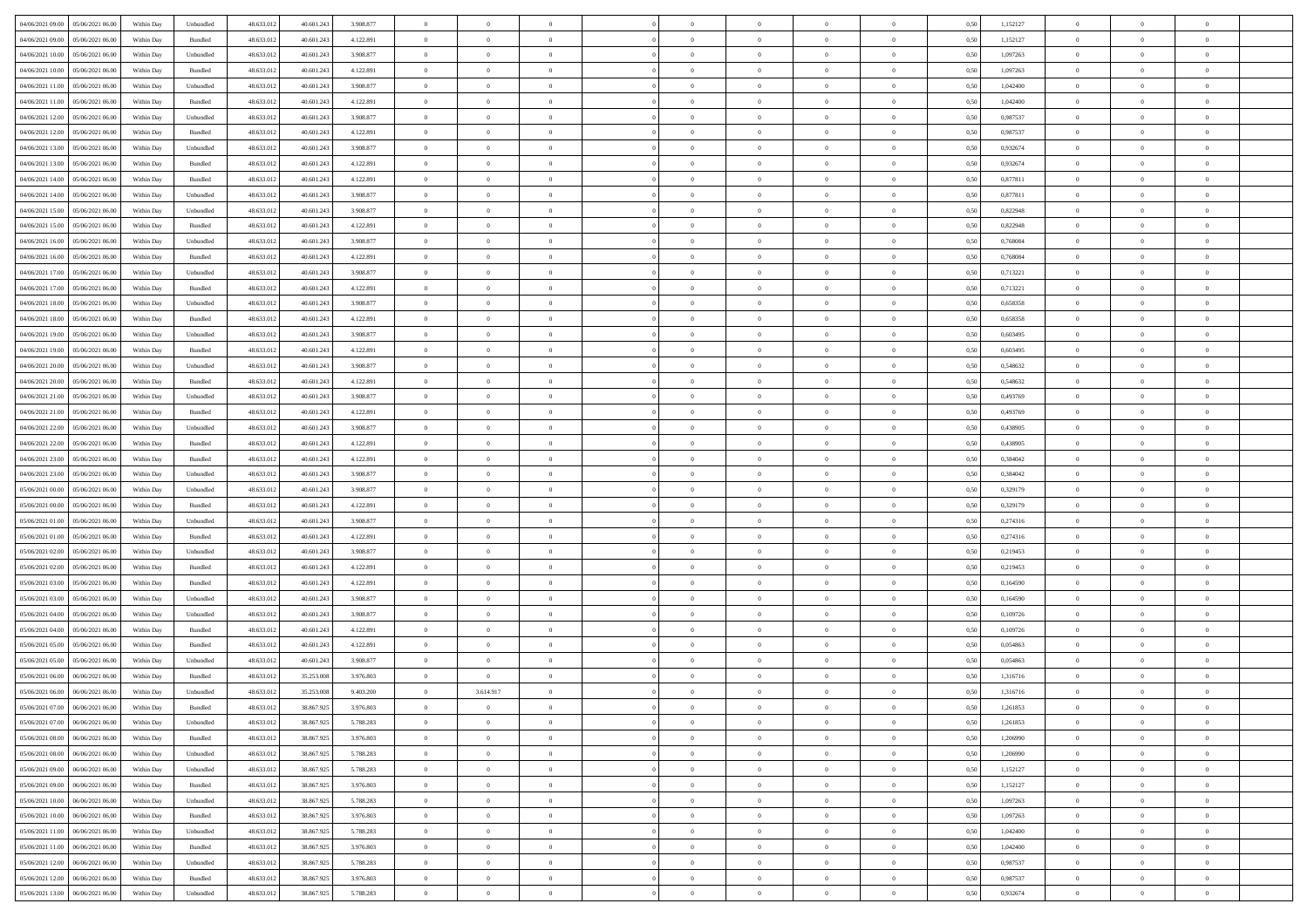| 04/06/2021 09:00 05/06/2021 06:00            | Within Day | Unbundled | 48.633.01  | 40.601.243 | 3.908.877 | $\overline{0}$ | $\overline{0}$ |                | $\overline{0}$ | $\theta$       |                | $\theta$       | 0,50 | 1,152127 | $\theta$       | $\theta$       | $\overline{0}$ |  |
|----------------------------------------------|------------|-----------|------------|------------|-----------|----------------|----------------|----------------|----------------|----------------|----------------|----------------|------|----------|----------------|----------------|----------------|--|
| 04/06/2021 09:00<br>05/06/2021 06:00         | Within Day | Bundled   | 48.633.01  | 40.601.24  | 4.122.891 | $\bf{0}$       | $\bf{0}$       | $\bf{0}$       | $\overline{0}$ | $\overline{0}$ | $\overline{0}$ | $\bf{0}$       | 0,50 | 1,152127 | $\,$ 0 $\,$    | $\bf{0}$       | $\overline{0}$ |  |
| 04/06/2021 10:00<br>05/06/2021 06:00         | Within Day | Unbundled | 48.633.013 | 40.601.243 | 3.908.877 | $\overline{0}$ | $\bf{0}$       | $\overline{0}$ | $\bf{0}$       | $\bf{0}$       | $\overline{0}$ | $\bf{0}$       | 0.50 | 1.097263 | $\bf{0}$       | $\overline{0}$ | $\overline{0}$ |  |
| 04/06/2021 10:00<br>05/06/2021 06:00         | Within Day | Bundled   | 48.633.01  | 40.601.243 | 4.122.891 | $\overline{0}$ | $\bf{0}$       | $\overline{0}$ | $\theta$       | $\theta$       | $\overline{0}$ | $\bf{0}$       | 0,50 | 1,097263 | $\theta$       | $\theta$       | $\overline{0}$ |  |
|                                              |            |           |            |            |           |                |                |                |                |                |                |                |      |          |                |                |                |  |
| 04/06/2021 11:00<br>05/06/2021 06.00         | Within Day | Unbundled | 48.633.01  | 40.601.243 | 3.908.877 | $\overline{0}$ | $\overline{0}$ | $\bf{0}$       | $\overline{0}$ | $\theta$       | $\overline{0}$ | $\bf{0}$       | 0,50 | 1,042400 | $\,$ 0 $\,$    | $\bf{0}$       | $\overline{0}$ |  |
| 04/06/2021 11:00<br>05/06/2021 06:00         | Within Day | Bundled   | 48.633.013 | 40.601.243 | 4.122.891 | $\overline{0}$ | $\overline{0}$ | $\overline{0}$ | $\bf{0}$       | $\overline{0}$ | $\theta$       | $\bf{0}$       | 0.50 | 1.042400 | $\,$ 0 $\,$    | $\theta$       | $\overline{0}$ |  |
| 04/06/2021 12:00<br>05/06/2021 06:00         | Within Day | Unbundled | 48.633.013 | 40.601.243 | 3.908.877 | $\overline{0}$ | $\overline{0}$ | $\overline{0}$ | $\overline{0}$ | $\overline{0}$ | $\overline{0}$ | $\bf{0}$       | 0,50 | 0,987537 | $\theta$       | $\theta$       | $\overline{0}$ |  |
| 04/06/2021 12:00<br>05/06/2021 06.00         | Within Day | Bundled   | 48.633.01  | 40.601.24  | 4.122.891 | $\bf{0}$       | $\overline{0}$ | $\bf{0}$       | $\overline{0}$ | $\theta$       | $\overline{0}$ | $\bf{0}$       | 0,50 | 0,987537 | $\,$ 0 $\,$    | $\bf{0}$       | $\overline{0}$ |  |
|                                              |            |           |            |            |           |                |                |                |                |                |                |                |      |          |                |                |                |  |
| 04/06/2021 13:00<br>05/06/2021 06:00         | Within Day | Unbundled | 48.633.013 | 40.601.24  | 3.908.877 | $\overline{0}$ | $\bf{0}$       | $\overline{0}$ | $\bf{0}$       | $\overline{0}$ | $\overline{0}$ | $\bf{0}$       | 0.50 | 0.932674 | $\bf{0}$       | $\overline{0}$ | $\overline{0}$ |  |
| 04/06/2021 13:00<br>05/06/2021 06:00         | Within Day | Bundled   | 48.633.013 | 40.601.243 | 4.122.891 | $\overline{0}$ | $\bf{0}$       | $\overline{0}$ | $\overline{0}$ | $\overline{0}$ | $\overline{0}$ | $\bf{0}$       | 0,50 | 0,932674 | $\,$ 0 $\,$    | $\bf{0}$       | $\overline{0}$ |  |
| 04/06/2021 14:00<br>05/06/2021 06.00         | Within Day | Bundled   | 48.633.01  | 40.601.243 | 4.122.891 | $\bf{0}$       | $\overline{0}$ | $\bf{0}$       | $\overline{0}$ | $\bf{0}$       | $\overline{0}$ | $\bf{0}$       | 0,50 | 0,877811 | $\,$ 0 $\,$    | $\bf{0}$       | $\overline{0}$ |  |
| 04/06/2021 14:00<br>05/06/2021 06:00         | Within Day | Unbundled | 48.633.013 | 40.601.243 | 3.908.877 | $\overline{0}$ | $\bf{0}$       | $\overline{0}$ | $\bf{0}$       | $\bf{0}$       | $\overline{0}$ | $\bf{0}$       | 0.50 | 0.877811 | $\bf{0}$       | $\overline{0}$ | $\overline{0}$ |  |
| 04/06/2021 15:00<br>05/06/2021 06:00         | Within Day | Unbundled | 48.633.01  | 40.601.243 | 3.908.877 | $\overline{0}$ | $\overline{0}$ | $\overline{0}$ | $\overline{0}$ | $\theta$       | $\overline{0}$ | $\bf{0}$       | 0,50 | 0,822948 | $\,$ 0 $\,$    | $\theta$       | $\overline{0}$ |  |
|                                              |            |           |            |            |           |                |                |                |                |                |                |                |      |          |                |                |                |  |
| 04/06/2021 15:00<br>05/06/2021 06.00         | Within Day | Bundled   | 48.633.01  | 40.601.243 | 4.122.891 | $\bf{0}$       | $\overline{0}$ | $\bf{0}$       | $\overline{0}$ | $\theta$       | $\overline{0}$ | $\bf{0}$       | 0,50 | 0,822948 | $\,$ 0 $\,$    | $\bf{0}$       | $\overline{0}$ |  |
| 04/06/2021 16:00<br>05/06/2021 06:00         | Within Day | Unbundled | 48.633.013 | 40.601.243 | 3.908.877 | $\overline{0}$ | $\overline{0}$ | $\overline{0}$ | $\bf{0}$       | $\overline{0}$ | $\Omega$       | $\bf{0}$       | 0.50 | 0.768084 | $\,$ 0 $\,$    | $\theta$       | $\overline{0}$ |  |
| 04/06/2021 16:00<br>05/06/2021 06:00         | Within Day | Bundled   | 48.633.01  | 40.601.243 | 4.122.891 | $\overline{0}$ | $\overline{0}$ | $\overline{0}$ | $\overline{0}$ | $\theta$       | $\overline{0}$ | $\bf{0}$       | 0,50 | 0,768084 | $\theta$       | $\theta$       | $\overline{0}$ |  |
| 04/06/2021 17:00<br>05/06/2021 06.00         | Within Day | Unbundled | 48.633.01  | 40.601.243 | 3.908.877 | $\bf{0}$       | $\overline{0}$ | $\bf{0}$       | $\overline{0}$ | $\theta$       | $\overline{0}$ | $\bf{0}$       | 0,50 | 0,713221 | $\,$ 0 $\,$    | $\bf{0}$       | $\overline{0}$ |  |
| 04/06/2021 17:00<br>05/06/2021 06:00         |            | Bundled   | 48.633.013 |            | 4.122.891 |                | $\bf{0}$       | $\overline{0}$ |                | $\overline{0}$ | $\overline{0}$ |                | 0.50 | 0.713221 | $\bf{0}$       | $\overline{0}$ | $\overline{0}$ |  |
|                                              | Within Day |           |            | 40.601.24  |           | $\overline{0}$ |                |                | $\bf{0}$       |                |                | $\bf{0}$       |      |          |                |                |                |  |
| 04/06/2021 18:00<br>05/06/2021 06:00         | Within Day | Unbundled | 48.633.01  | 40.601.243 | 3.908.877 | $\overline{0}$ | $\bf{0}$       | $\overline{0}$ | $\overline{0}$ | $\overline{0}$ | $\overline{0}$ | $\bf{0}$       | 0,50 | 0,658358 | $\,$ 0 $\,$    | $\theta$       | $\overline{0}$ |  |
| 04/06/2021 18:00<br>05/06/2021 06.00         | Within Day | Bundled   | 48.633.01  | 40.601.243 | 4.122.891 | $\bf{0}$       | $\bf{0}$       | $\bf{0}$       | $\bf{0}$       | $\overline{0}$ | $\overline{0}$ | $\bf{0}$       | 0,50 | 0,658358 | $\,$ 0 $\,$    | $\bf{0}$       | $\overline{0}$ |  |
| 04/06/2021 19:00<br>05/06/2021 06:00         | Within Day | Unbundled | 48.633.013 | 40.601.243 | 3.908.877 | $\overline{0}$ | $\bf{0}$       | $\overline{0}$ | $\bf{0}$       | $\bf{0}$       | $\overline{0}$ | $\bf{0}$       | 0.50 | 0.603495 | $\bf{0}$       | $\overline{0}$ | $\overline{0}$ |  |
| 04/06/2021 19:00<br>05/06/2021 06:00         | Within Day | Bundled   | 48.633.01  | 40.601.243 | 4.122.891 | $\overline{0}$ | $\overline{0}$ | $\overline{0}$ | $\theta$       | $\theta$       | $\overline{0}$ | $\bf{0}$       | 0,50 | 0,603495 | $\theta$       | $\theta$       | $\overline{0}$ |  |
|                                              |            |           |            |            |           |                | $\overline{0}$ |                |                | $\,$ 0 $\,$    |                |                |      |          |                |                |                |  |
| 04/06/2021 20:00<br>05/06/2021 06.00         | Within Day | Unbundled | 48.633.01  | 40.601.243 | 3.908.877 | $\bf{0}$       |                | $\bf{0}$       | $\overline{0}$ |                | $\overline{0}$ | $\bf{0}$       | 0,50 | 0,548632 | $\,$ 0 $\,$    | $\bf{0}$       | $\overline{0}$ |  |
| 04/06/2021 20:00<br>05/06/2021 06:00         | Within Day | Bundled   | 48.633.013 | 40.601.243 | 4.122.891 | $\overline{0}$ | $\overline{0}$ | $\overline{0}$ | $\overline{0}$ | $\overline{0}$ | $\Omega$       | $\bf{0}$       | 0.50 | 0.548632 | $\,$ 0 $\,$    | $\theta$       | $\overline{0}$ |  |
| 04/06/2021 21:00<br>05/06/2021 06:00         | Within Day | Unbundled | 48.633.013 | 40.601.243 | 3.908.877 | $\overline{0}$ | $\overline{0}$ | $\overline{0}$ | $\overline{0}$ | $\theta$       | $\overline{0}$ | $\bf{0}$       | 0,50 | 0,493769 | $\theta$       | $\theta$       | $\overline{0}$ |  |
| 04/06/2021 21:00<br>05/06/2021 06.00         | Within Day | Bundled   | 48.633.01  | 40.601.243 | 4.122.891 | $\bf{0}$       | $\overline{0}$ | $\bf{0}$       | $\overline{0}$ | $\theta$       | $\overline{0}$ | $\bf{0}$       | 0,50 | 0,493769 | $\,$ 0 $\,$    | $\bf{0}$       | $\overline{0}$ |  |
| 04/06/2021 22.00<br>05/06/2021 06:00         | Within Day | Unbundled | 48.633.013 | 40.601.24  | 3.908.877 | $\overline{0}$ | $\bf{0}$       | $\overline{0}$ | $\bf{0}$       | $\overline{0}$ | $\overline{0}$ | $\bf{0}$       | 0.50 | 0.438905 | $\bf{0}$       | $\overline{0}$ | $\overline{0}$ |  |
| 04/06/2021 22:00<br>05/06/2021 06:00         | Within Day | Bundled   | 48.633.01  | 40.601.243 | 4.122.891 | $\overline{0}$ | $\bf{0}$       | $\overline{0}$ | $\overline{0}$ | $\overline{0}$ | $\overline{0}$ | $\bf{0}$       | 0,50 | 0,438905 | $\theta$       | $\theta$       | $\overline{0}$ |  |
|                                              |            |           |            |            |           |                |                |                |                |                |                |                |      |          |                |                |                |  |
| 04/06/2021 23:00<br>05/06/2021 06.00         | Within Day | Bundled   | 48.633.01  | 40.601.243 | 4.122.891 | $\bf{0}$       | $\bf{0}$       | $\bf{0}$       | $\bf{0}$       | $\overline{0}$ | $\overline{0}$ | $\bf{0}$       | 0,50 | 0,384042 | $\,$ 0 $\,$    | $\bf{0}$       | $\overline{0}$ |  |
| 04/06/2021 23:00<br>05/06/2021 06:00         | Within Day | Unbundled | 48.633.013 | 40.601.243 | 3.908.877 | $\overline{0}$ | $\bf{0}$       | $\overline{0}$ | $\bf{0}$       | $\bf{0}$       | $\overline{0}$ | $\bf{0}$       | 0.50 | 0.384042 | $\bf{0}$       | $\overline{0}$ | $\overline{0}$ |  |
| 05/06/2021 00:00<br>05/06/2021 06:00         | Within Day | Unbundled | 48.633.013 | 40.601.243 | 3.908.877 | $\overline{0}$ | $\overline{0}$ | $\overline{0}$ | $\overline{0}$ | $\overline{0}$ | $\overline{0}$ | $\bf{0}$       | 0.5( | 0,329179 | $\theta$       | $\theta$       | $\overline{0}$ |  |
| 05/06/2021 00:00<br>05/06/2021 06.00         | Within Day | Bundled   | 48.633.01  | 40.601.243 | 4.122.891 | $\bf{0}$       | $\overline{0}$ | $\bf{0}$       | $\overline{0}$ | $\overline{0}$ | $\overline{0}$ | $\bf{0}$       | 0,50 | 0,329179 | $\,$ 0 $\,$    | $\bf{0}$       | $\overline{0}$ |  |
| 05/06/2021 01:00<br>05/06/2021 06:00         |            | Unbundled | 48.633.013 | 40.601.243 | 3.908.877 | $\overline{0}$ | $\bf{0}$       | $\overline{0}$ | $\bf{0}$       | $\bf{0}$       | $\Omega$       | $\bf{0}$       | 0.50 | 0,274316 | $\,$ 0 $\,$    | $\theta$       | $\overline{0}$ |  |
|                                              | Within Day |           |            |            |           |                |                |                |                |                |                |                |      |          |                |                |                |  |
| 05/06/2021 01:00<br>05/06/2021 06:00         | Within Dav | Bundled   | 48.633.013 | 40.601.243 | 4.122.891 | $\overline{0}$ | $\overline{0}$ | $\overline{0}$ | $\overline{0}$ | $\theta$       | $\overline{0}$ | $\overline{0}$ | 0.50 | 0,274316 | $\theta$       | $\theta$       | $\overline{0}$ |  |
| 05/06/2021 02:00<br>05/06/2021 06.00         | Within Day | Unbundled | 48.633.01  | 40.601.243 | 3.908.877 | $\bf{0}$       | $\bf{0}$       | $\bf{0}$       | $\overline{0}$ | $\bf{0}$       | $\overline{0}$ | $\bf{0}$       | 0,50 | 0,219453 | $\,$ 0 $\,$    | $\bf{0}$       | $\overline{0}$ |  |
| 05/06/2021 02:00<br>05/06/2021 06:00         | Within Day | Bundled   | 48.633.013 | 40.601.24  | 4.122.891 | $\overline{0}$ | $\bf{0}$       | $\overline{0}$ | $\bf{0}$       | $\overline{0}$ | $\overline{0}$ | $\bf{0}$       | 0.50 | 0.219453 | $\bf{0}$       | $\overline{0}$ | $\overline{0}$ |  |
| 05/06/2021 03:00<br>05/06/2021 06:00         | Within Dav | Bundled   | 48.633.013 | 40.601.243 | 4.122.891 | $\overline{0}$ | $\overline{0}$ | $\overline{0}$ | $\overline{0}$ | $\overline{0}$ | $\overline{0}$ | $\overline{0}$ | 0.50 | 0,164590 | $\theta$       | $\theta$       | $\overline{0}$ |  |
| 05/06/2021 03:00<br>05/06/2021 06.00         | Within Day | Unbundled | 48.633.01  | 40.601.243 | 3.908.877 | $\bf{0}$       | $\bf{0}$       | $\bf{0}$       | $\bf{0}$       | $\overline{0}$ | $\overline{0}$ | $\bf{0}$       | 0,50 | 0,164590 | $\,$ 0 $\,$    | $\bf{0}$       | $\overline{0}$ |  |
|                                              |            |           |            |            |           |                |                |                |                |                |                |                |      |          |                |                |                |  |
| 05/06/2021 04:00<br>05/06/2021 06:00         | Within Day | Unbundled | 48.633.013 | 40.601.243 | 3.908.877 | $\overline{0}$ | $\bf{0}$       | $\overline{0}$ | $\bf{0}$       | $\bf{0}$       | $\overline{0}$ | $\bf{0}$       | 0.50 | 0.109726 | $\bf{0}$       | $\overline{0}$ | $\overline{0}$ |  |
| 05/06/2021 04:00<br>05/06/2021 06:00         | Within Day | Bundled   | 48.633.013 | 40.601.243 | 4.122.891 | $\overline{0}$ | $\overline{0}$ | $\overline{0}$ | $\overline{0}$ | $\theta$       | $\overline{0}$ | $\bf{0}$       | 0.50 | 0,109726 | $\theta$       | $\theta$       | $\overline{0}$ |  |
| 05/06/2021 05:00<br>05/06/2021 06.00         | Within Day | Bundled   | 48.633.01  | 40.601.243 | 4.122.891 | $\bf{0}$       | $\bf{0}$       | $\bf{0}$       | $\bf{0}$       | $\overline{0}$ | $\overline{0}$ | $\bf{0}$       | 0,50 | 0,054863 | $\,$ 0 $\,$    | $\bf{0}$       | $\overline{0}$ |  |
| 05/06/2021 05:00<br>05/06/2021 06:00         | Within Day | Unbundled | 48.633.013 | 40.601.24  | 3.908.877 | $\overline{0}$ | $\overline{0}$ | $\overline{0}$ | $\bf{0}$       | $\theta$       | $\Omega$       | $\bf{0}$       | 0.50 | 0.054863 | $\bf{0}$       | $\theta$       | $\overline{0}$ |  |
| 05/06/2021 06:00<br>06/06/2021 06:00         | Within Dav | Bundled   | 48.633.013 | 35.253.008 | 3.976.803 | $\overline{0}$ | $\overline{0}$ | $\overline{0}$ | $\overline{0}$ | $\theta$       | $\Omega$       | $\overline{0}$ | 0.5( | 1,316716 | $\theta$       | $\theta$       | $\overline{0}$ |  |
|                                              |            |           |            |            |           |                |                |                |                |                |                |                |      |          |                |                |                |  |
| 05/06/2021 06:00<br>06/06/2021 06:00         | Within Day | Unbundled | 48.633.01  | 35.253.008 | 9.403.200 | $\bf{0}$       | 3.614.917      | $\bf{0}$       | $\bf{0}$       | $\bf{0}$       | $\overline{0}$ | $\bf{0}$       | 0,50 | 1,316716 | $\overline{0}$ | $\bf{0}$       | $\overline{0}$ |  |
| $05/06/2021\;07.00 \qquad 06/06/2021\;06.00$ | Within Day | Bundled   | 48.633.012 | 38.867.925 | 3.976.803 | $\bf{0}$       |                |                | $\Omega$       |                |                |                | 0,50 | 1,261853 | $\theta$       | $\overline{0}$ |                |  |
| 05/06/2021 07:00 06/06/2021 06:00            | Within Day | Unbundled | 48.633.012 | 38.867.925 | 5.788.283 | $\overline{0}$ | $\overline{0}$ | $\overline{0}$ | $\overline{0}$ | $\overline{0}$ | $\overline{0}$ | $\bf{0}$       | 0,50 | 1,261853 | $\theta$       | $\overline{0}$ | $\overline{0}$ |  |
| 05/06/2021 08:00<br>06/06/2021 06:00         | Within Day | Bundled   | 48.633.013 | 38.867.925 | 3.976.803 | $\overline{0}$ | $\bf{0}$       | $\overline{0}$ | $\overline{0}$ | $\bf{0}$       | $\overline{0}$ | $\bf{0}$       | 0,50 | 1,206990 | $\overline{0}$ | $\overline{0}$ | $\bf{0}$       |  |
| 05/06/2021 08:00   06/06/2021 06:00          | Within Day | Unbundled | 48.633.012 | 38.867.925 | 5.788.283 | $\overline{0}$ | $\bf{0}$       | $\overline{0}$ | $\overline{0}$ | $\mathbf{0}$   | $\overline{0}$ | $\,$ 0 $\,$    | 0.50 | 1.206990 | $\overline{0}$ | $\bf{0}$       | $\,$ 0 $\,$    |  |
|                                              |            |           |            |            |           |                |                |                |                |                |                |                |      |          |                |                |                |  |
| 05/06/2021 09:00   06/06/2021 06:00          | Within Day | Unbundled | 48.633.012 | 38.867.925 | 5.788.283 | $\overline{0}$ | $\overline{0}$ | $\overline{0}$ | $\overline{0}$ | $\overline{0}$ | $\overline{0}$ | $\bf{0}$       | 0,50 | 1,152127 | $\overline{0}$ | $\theta$       | $\overline{0}$ |  |
| 05/06/2021 09:00<br>06/06/2021 06:00         | Within Day | Bundled   | 48.633.012 | 38.867.925 | 3.976.803 | $\overline{0}$ | $\bf{0}$       | $\overline{0}$ | $\overline{0}$ | $\bf{0}$       | $\overline{0}$ | $\bf{0}$       | 0,50 | 1,152127 | $\bf{0}$       | $\overline{0}$ | $\overline{0}$ |  |
| 05/06/2021 10:00<br>06/06/2021 06:00         | Within Day | Unbundled | 48.633.012 | 38.867.925 | 5.788.283 | $\overline{0}$ | $\bf{0}$       | $\overline{0}$ | $\overline{0}$ | $\bf{0}$       | $\overline{0}$ | $\bf{0}$       | 0.50 | 1.097263 | $\,$ 0 $\,$    | $\overline{0}$ | $\,$ 0         |  |
| 05/06/2021 10:00<br>06/06/2021 06:00         | Within Dav | Bundled   | 48.633.012 | 38.867.925 | 3.976.803 | $\overline{0}$ | $\overline{0}$ | $\overline{0}$ | $\overline{0}$ | $\overline{0}$ | $\overline{0}$ | $\bf{0}$       | 0.50 | 1,097263 | $\overline{0}$ | $\theta$       | $\overline{0}$ |  |
| 05/06/2021 11:00<br>06/06/2021 06:00         | Within Day | Unbundled | 48.633.013 | 38.867.925 | 5.788.283 | $\overline{0}$ | $\overline{0}$ | $\overline{0}$ | $\overline{0}$ | $\overline{0}$ | $\overline{0}$ | $\bf{0}$       | 0,50 | 1,042400 | $\bf{0}$       | $\overline{0}$ | $\overline{0}$ |  |
|                                              |            |           |            |            |           |                |                |                |                |                |                |                |      |          |                |                |                |  |
| 05/06/2021 11:00   06/06/2021 06:00          | Within Day | Bundled   | 48.633.012 | 38,867,925 | 3.976.803 | $\overline{0}$ | $\overline{0}$ | $\overline{0}$ | $\overline{0}$ | $\overline{0}$ | $\overline{0}$ | $\bf{0}$       | 0.50 | 1.042400 | $\mathbf{0}$   | $\bf{0}$       | $\,$ 0         |  |
| 05/06/2021 12:00<br>06/06/2021 06:00         | Within Dav | Unbundled | 48.633.012 | 38.867.925 | 5.788.283 | $\overline{0}$ | $\overline{0}$ | $\overline{0}$ | $\overline{0}$ | $\overline{0}$ | $\overline{0}$ | $\bf{0}$       | 0,50 | 0,987537 | $\overline{0}$ | $\theta$       | $\overline{0}$ |  |
| 05/06/2021 12:00<br>06/06/2021 06:00         | Within Day | Bundled   | 48.633.013 | 38.867.925 | 3.976.803 | $\overline{0}$ | $\bf{0}$       | $\overline{0}$ | $\overline{0}$ | $\overline{0}$ | $\overline{0}$ | $\bf{0}$       | 0,50 | 0,987537 | $\bf{0}$       | $\overline{0}$ | $\bf{0}$       |  |
| 05/06/2021 13:00 06/06/2021 06:00            | Within Day | Unbundled | 48.633.012 | 38.867.925 | 5.788.283 | $\,$ 0 $\,$    | $\bf{0}$       | $\overline{0}$ | $\overline{0}$ | $\,$ 0 $\,$    | $\overline{0}$ | $\bf{0}$       | 0,50 | 0,932674 | $\overline{0}$ | $\,$ 0 $\,$    | $\,$ 0 $\,$    |  |
|                                              |            |           |            |            |           |                |                |                |                |                |                |                |      |          |                |                |                |  |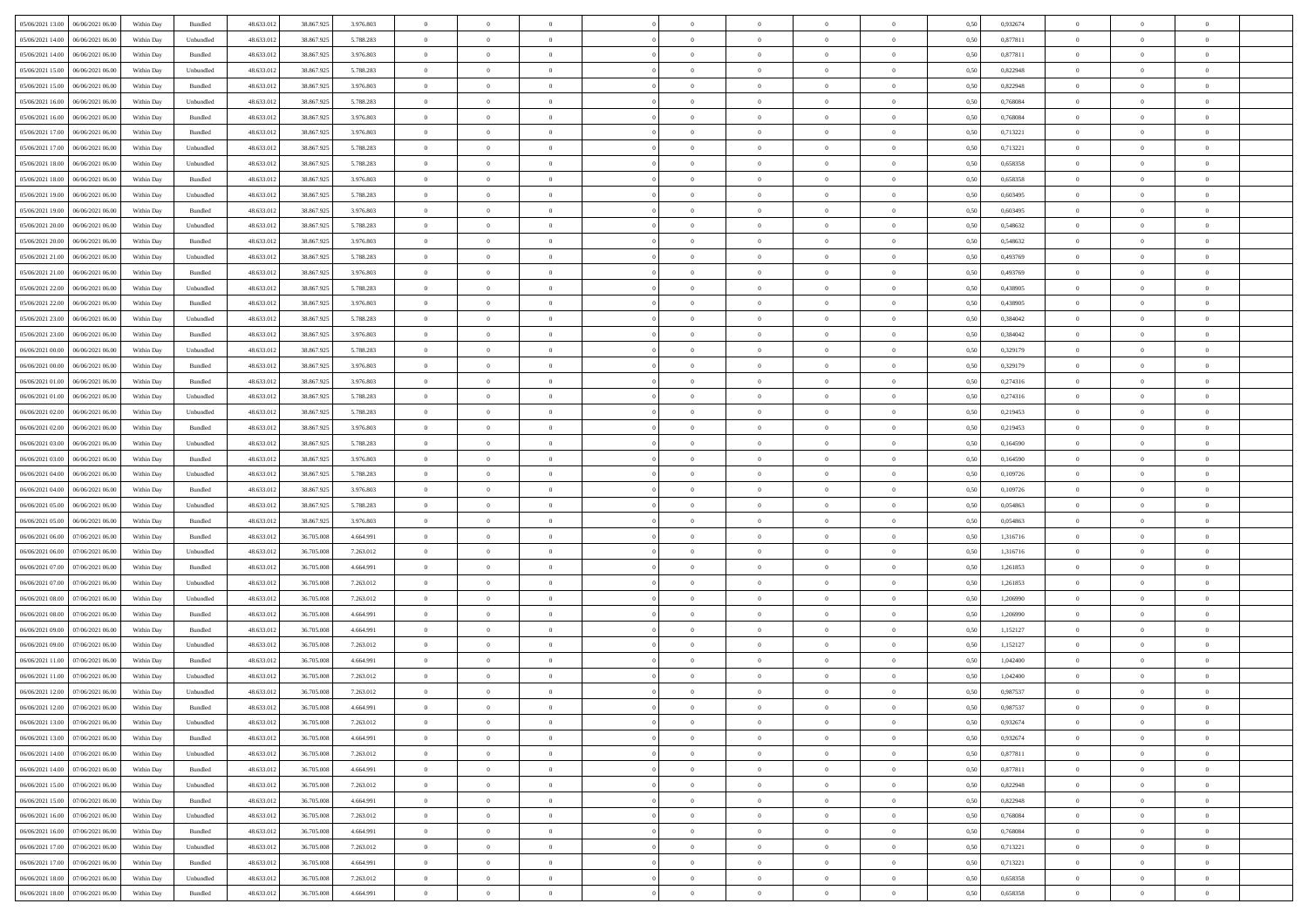| 05/06/2021 13:00<br>06/06/2021 06:00 | Within Day | Bundled            | 48.633.012 | 38.867.925 | 3.976.803 | $\overline{0}$ | $\overline{0}$   |                | $\theta$       | $\theta$       |                | $\overline{0}$ | 0,50 | 0,932674 | $\theta$       | $\theta$       | $\theta$       |  |
|--------------------------------------|------------|--------------------|------------|------------|-----------|----------------|------------------|----------------|----------------|----------------|----------------|----------------|------|----------|----------------|----------------|----------------|--|
|                                      |            |                    |            |            |           |                | $\overline{0}$   |                |                | $\bf{0}$       | $\overline{0}$ | $\bf{0}$       |      |          | $\,$ 0 $\,$    | $\theta$       | $\overline{0}$ |  |
| 05/06/2021 14:00<br>06/06/2021 06.0  | Within Day | Unbundled          | 48.633.012 | 38.867.925 | 5.788.283 | $\overline{0}$ |                  | $\overline{0}$ | $\bf{0}$       |                |                |                | 0,50 | 0,877811 |                |                |                |  |
| 05/06/2021 14:00<br>06/06/2021 06:00 | Within Day | Bundled            | 48.633.012 | 38.867.925 | 3.976.803 | $\overline{0}$ | $\overline{0}$   | $\overline{0}$ | $\bf{0}$       | $\bf{0}$       | $\overline{0}$ | $\mathbf{0}$   | 0.50 | 0.877811 | $\bf{0}$       | $\overline{0}$ | $\overline{0}$ |  |
| 05/06/2021 15:00<br>06/06/2021 06.00 | Within Day | Unbundled          | 48.633.012 | 38.867.925 | 5.788.283 | $\overline{0}$ | $\overline{0}$   | $\overline{0}$ | $\overline{0}$ | $\overline{0}$ | $\overline{0}$ | $\bf{0}$       | 0,50 | 0,822948 | $\theta$       | $\theta$       | $\overline{0}$ |  |
| 05/06/2021 15:00<br>06/06/2021 06.0  | Within Day | Bundled            | 48.633.012 | 38.867.925 | 3.976.803 | $\bf{0}$       | $\overline{0}$   | $\bf{0}$       | $\overline{0}$ | $\overline{0}$ | $\overline{0}$ | $\bf{0}$       | 0,50 | 0,822948 | $\,$ 0 $\,$    | $\theta$       | $\overline{0}$ |  |
| 05/06/2021 16:00<br>06/06/2021 06:00 | Within Day | Unbundled          | 48.633.012 | 38,867,925 | 5.788.283 | $\overline{0}$ | $\overline{0}$   | $\overline{0}$ | $\overline{0}$ | $\overline{0}$ | $\overline{0}$ | $\mathbf{0}$   | 0.50 | 0.768084 | $\bf{0}$       | $\theta$       | $\overline{0}$ |  |
| 05/06/2021 16:00<br>06/06/2021 06.00 | Within Day | Bundled            | 48.633.012 | 38.867.925 | 3.976.803 | $\overline{0}$ | $\overline{0}$   | $\overline{0}$ | $\overline{0}$ | $\overline{0}$ | $\overline{0}$ | $\bf{0}$       | 0,50 | 0,768084 | $\theta$       | $\theta$       | $\overline{0}$ |  |
| 05/06/2021 17:00<br>06/06/2021 06.0  | Within Day | Bundled            | 48.633.012 | 38.867.925 | 3.976.803 | $\bf{0}$       | $\overline{0}$   | $\overline{0}$ | $\overline{0}$ | $\bf{0}$       | $\overline{0}$ | $\bf{0}$       | 0,50 | 0,713221 | $\,$ 0 $\,$    | $\bf{0}$       | $\overline{0}$ |  |
| 05/06/2021 17:00<br>06/06/2021 06:00 | Within Day | Unbundled          | 48.633.012 | 38,867,925 | 5.788.283 | $\overline{0}$ | $\overline{0}$   | $\overline{0}$ | $\overline{0}$ | $\overline{0}$ | $\overline{0}$ | $\mathbf{0}$   | 0.50 | 0.713221 | $\,$ 0 $\,$    | $\overline{0}$ | $\overline{0}$ |  |
| 05/06/2021 18:00<br>06/06/2021 06:00 | Within Day | Unbundled          | 48.633.012 | 38.867.925 | 5.788.283 | $\overline{0}$ | $\overline{0}$   | $\overline{0}$ | $\bf{0}$       | $\overline{0}$ | $\overline{0}$ | $\bf{0}$       | 0,50 | 0,658358 | $\,$ 0 $\,$    | $\theta$       | $\overline{0}$ |  |
|                                      |            |                    |            |            |           |                |                  |                |                |                |                |                |      |          |                |                |                |  |
| 05/06/2021 18:00<br>06/06/2021 06.0  | Within Day | Bundled            | 48.633.012 | 38.867.925 | 3.976.803 | $\overline{0}$ | $\overline{0}$   | $\overline{0}$ | $\bf{0}$       | $\bf{0}$       | $\overline{0}$ | $\bf{0}$       | 0,50 | 0,658358 | $\,$ 0 $\,$    | $\bf{0}$       | $\overline{0}$ |  |
| 05/06/2021 19:00<br>06/06/2021 06:00 | Within Day | Unbundled          | 48.633.012 | 38.867.925 | 5.788.283 | $\overline{0}$ | $\overline{0}$   | $\overline{0}$ | $\bf{0}$       | $\bf{0}$       | $\overline{0}$ | $\mathbf{0}$   | 0.50 | 0.603495 | $\bf{0}$       | $\overline{0}$ | $\bf{0}$       |  |
| 05/06/2021 19:00<br>06/06/2021 06.00 | Within Day | Bundled            | 48.633.012 | 38.867.925 | 3.976.803 | $\overline{0}$ | $\overline{0}$   | $\overline{0}$ | $\overline{0}$ | $\overline{0}$ | $\overline{0}$ | $\bf{0}$       | 0,50 | 0,603495 | $\theta$       | $\theta$       | $\overline{0}$ |  |
| 05/06/2021 20.00<br>06/06/2021 06.0  | Within Day | Unbundled          | 48.633.012 | 38.867.925 | 5.788.283 | $\overline{0}$ | $\overline{0}$   | $\bf{0}$       | $\bf{0}$       | $\overline{0}$ | $\overline{0}$ | $\bf{0}$       | 0,50 | 0,548632 | $\,$ 0 $\,$    | $\bf{0}$       | $\overline{0}$ |  |
| 05/06/2021 20.00<br>06/06/2021 06:00 | Within Day | Bundled            | 48.633.012 | 38,867.925 | 3.976.803 | $\overline{0}$ | $\overline{0}$   | $\overline{0}$ | $\overline{0}$ | $\overline{0}$ | $\overline{0}$ | $\mathbf{0}$   | 0.50 | 0.548632 | $\theta$       | $\theta$       | $\overline{0}$ |  |
| 05/06/2021 21:00<br>06/06/2021 06:00 | Within Day | Unbundled          | 48.633.012 | 38.867.925 | 5.788.283 | $\overline{0}$ | $\overline{0}$   | $\overline{0}$ | $\overline{0}$ | $\overline{0}$ | $\overline{0}$ | $\bf{0}$       | 0,50 | 0,493769 | $\theta$       | $\theta$       | $\overline{0}$ |  |
| 05/06/2021 21:00<br>06/06/2021 06.0  | Within Day | Bundled            | 48.633.012 | 38.867.925 | 3.976.803 | $\overline{0}$ | $\overline{0}$   | $\overline{0}$ | $\overline{0}$ | $\overline{0}$ | $\overline{0}$ | $\bf{0}$       | 0,50 | 0,493769 | $\,$ 0 $\,$    | $\theta$       | $\overline{0}$ |  |
| 05/06/2021 22.00<br>06/06/2021 06:00 | Within Day | Unbundled          | 48.633.012 | 38,867,925 | 5.788.283 | $\overline{0}$ | $\overline{0}$   | $\overline{0}$ | $\overline{0}$ | $\bf{0}$       | $\overline{0}$ | $\mathbf{0}$   | 0.50 | 0.438905 | $\,$ 0 $\,$    | $\overline{0}$ | $\bf{0}$       |  |
| 05/06/2021 22.00<br>06/06/2021 06:00 | Within Day | Bundled            | 48.633.012 | 38.867.925 | 3.976.803 | $\overline{0}$ | $\overline{0}$   | $\overline{0}$ | $\overline{0}$ | $\overline{0}$ | $\overline{0}$ | $\bf{0}$       | 0,50 | 0,438905 | $\,$ 0 $\,$    | $\theta$       | $\overline{0}$ |  |
|                                      |            |                    |            |            |           |                |                  |                |                |                |                |                |      |          |                |                |                |  |
| 05/06/2021 23:00<br>06/06/2021 06.0  | Within Day | Unbundled          | 48.633.012 | 38.867.925 | 5.788.283 | $\overline{0}$ | $\overline{0}$   | $\overline{0}$ | $\bf{0}$       | $\bf{0}$       | $\overline{0}$ | $\bf{0}$       | 0,50 | 0,384042 | $\,$ 0 $\,$    | $\bf{0}$       | $\overline{0}$ |  |
| 05/06/2021 23:00<br>06/06/2021 06:00 | Within Day | Bundled            | 48.633.012 | 38.867.925 | 3.976.803 | $\overline{0}$ | $\overline{0}$   | $\overline{0}$ | $\bf{0}$       | $\bf{0}$       | $\overline{0}$ | $\mathbf{0}$   | 0.50 | 0.384042 | $\bf{0}$       | $\overline{0}$ | $\bf{0}$       |  |
| 06/06/2021 00:00<br>06/06/2021 06:00 | Within Day | Unbundled          | 48.633.012 | 38.867.925 | 5.788.283 | $\overline{0}$ | $\overline{0}$   | $\overline{0}$ | $\overline{0}$ | $\overline{0}$ | $\overline{0}$ | $\,$ 0 $\,$    | 0,50 | 0,329179 | $\theta$       | $\theta$       | $\overline{0}$ |  |
| 06/06/2021 00:00<br>06/06/2021 06.0  | Within Day | Bundled            | 48.633.012 | 38.867.925 | 3.976.803 | $\overline{0}$ | $\overline{0}$   | $\overline{0}$ | $\bf{0}$       | $\overline{0}$ | $\overline{0}$ | $\bf{0}$       | 0,50 | 0,329179 | $\,$ 0 $\,$    | $\bf{0}$       | $\overline{0}$ |  |
| 06/06/2021 01:00<br>06/06/2021 06:00 | Within Day | Bundled            | 48.633.012 | 38,867.925 | 3.976.803 | $\overline{0}$ | $\overline{0}$   | $\overline{0}$ | $\overline{0}$ | $\overline{0}$ | $\overline{0}$ | $\mathbf{0}$   | 0.50 | 0,274316 | $\,$ 0 $\,$    | $\theta$       | $\overline{0}$ |  |
| 06/06/2021 01:00<br>06/06/2021 06.00 | Within Day | Unbundled          | 48.633.012 | 38.867.925 | 5.788.283 | $\overline{0}$ | $\overline{0}$   | $\overline{0}$ | $\overline{0}$ | $\overline{0}$ | $\overline{0}$ | $\bf{0}$       | 0,50 | 0,274316 | $\theta$       | $\theta$       | $\overline{0}$ |  |
| 06/06/2021 02:00<br>06/06/2021 06.0  | Within Day | Unbundled          | 48.633.012 | 38.867.925 | 5.788.283 | $\overline{0}$ | $\overline{0}$   | $\overline{0}$ | $\overline{0}$ | $\overline{0}$ | $\overline{0}$ | $\bf{0}$       | 0,50 | 0,219453 | $\,$ 0 $\,$    | $\theta$       | $\overline{0}$ |  |
| 06/06/2021 02:00<br>06/06/2021 06:00 | Within Day | Bundled            | 48.633.012 | 38,867,925 | 3.976.803 | $\overline{0}$ | $\overline{0}$   | $\overline{0}$ | $\overline{0}$ | $\overline{0}$ | $\overline{0}$ | $\mathbf{0}$   | 0.50 | 0.219453 | $\,$ 0 $\,$    | $\overline{0}$ | $\overline{0}$ |  |
| 06/06/2021 03:00<br>06/06/2021 06:00 | Within Day | Unbundled          | 48.633.012 | 38.867.925 | 5.788.283 | $\overline{0}$ | $\overline{0}$   | $\overline{0}$ | $\overline{0}$ | $\overline{0}$ | $\overline{0}$ | $\bf{0}$       | 0,50 | 0,164590 | $\theta$       | $\theta$       | $\overline{0}$ |  |
| 06/06/2021 03:00<br>06/06/2021 06.0  | Within Day | Bundled            | 48.633.012 | 38.867.925 | 3.976.803 | $\overline{0}$ | $\overline{0}$   | $\overline{0}$ | $\,$ 0 $\,$    | $\bf{0}$       | $\overline{0}$ | $\bf{0}$       | 0,50 | 0,164590 | $\,$ 0 $\,$    | $\bf{0}$       | $\overline{0}$ |  |
|                                      |            |                    |            |            |           |                |                  |                |                |                |                |                |      |          |                |                |                |  |
| 06/06/2021 04:00<br>06/06/2021 06:00 | Within Day | Unbundled          | 48.633.012 | 38.867.925 | 5.788.283 | $\overline{0}$ | $\overline{0}$   | $\overline{0}$ | $\bf{0}$       | $\bf{0}$       | $\overline{0}$ | $\mathbf{0}$   | 0.50 | 0.109726 | $\bf{0}$       | $\overline{0}$ | $\bf{0}$       |  |
| 06/06/2021 04:00<br>06/06/2021 06:00 | Within Day | Bundled            | 48.633.012 | 38.867.925 | 3.976.803 | $\overline{0}$ | $\overline{0}$   | $\overline{0}$ | $\overline{0}$ | $\overline{0}$ | $\overline{0}$ | $\overline{0}$ | 0.50 | 0,109726 | $\theta$       | $\theta$       | $\overline{0}$ |  |
| 06/06/2021 05:00<br>06/06/2021 06.0  | Within Day | Unbundled          | 48.633.012 | 38.867.925 | 5.788.283 | $\overline{0}$ | $\overline{0}$   | $\overline{0}$ | $\bf{0}$       | $\overline{0}$ | $\overline{0}$ | $\bf{0}$       | 0,50 | 0,054863 | $\,$ 0 $\,$    | $\bf{0}$       | $\overline{0}$ |  |
| 06/06/2021 05:00<br>06/06/2021 06:00 | Within Day | Bundled            | 48.633.012 | 38.867.925 | 3.976.803 | $\overline{0}$ | $\overline{0}$   | $\overline{0}$ | $\overline{0}$ | $\overline{0}$ | $\overline{0}$ | $\mathbf{0}$   | 0.50 | 0.054863 | $\,$ 0 $\,$    | $\theta$       | $\overline{0}$ |  |
| 06/06/2021 06:00<br>07/06/2021 06:00 | Within Day | Bundled            | 48.633.012 | 36.705.008 | 4.664.991 | $\overline{0}$ | $\overline{0}$   | $\overline{0}$ | $\overline{0}$ | $\overline{0}$ | $\overline{0}$ | $\overline{0}$ | 0.50 | 1,316716 | $\theta$       | $\theta$       | $\overline{0}$ |  |
| 06/06/2021 06:00<br>07/06/2021 06.0  | Within Day | Unbundled          | 48.633.012 | 36.705.008 | 7.263.012 | $\overline{0}$ | $\overline{0}$   | $\overline{0}$ | $\bf{0}$       | $\overline{0}$ | $\overline{0}$ | $\bf{0}$       | 0,50 | 1,316716 | $\,$ 0 $\,$    | $\bf{0}$       | $\overline{0}$ |  |
| 06/06/2021 07:00<br>07/06/2021 06:00 | Within Day | Bundled            | 48.633.012 | 36,705,008 | 4.664.991 | $\overline{0}$ | $\overline{0}$   | $\overline{0}$ | $\overline{0}$ | $\bf{0}$       | $\overline{0}$ | $\mathbf{0}$   | 0.50 | 1.261853 | $\,$ 0 $\,$    | $\overline{0}$ | $\overline{0}$ |  |
| 06/06/2021 07:00<br>07/06/2021 06:00 | Within Day | Unbundled          | 48.633.012 | 36.705.008 | 7.263.012 | $\overline{0}$ | $\overline{0}$   | $\overline{0}$ | $\overline{0}$ | $\overline{0}$ | $\overline{0}$ | $\overline{0}$ | 0.50 | 1,261853 | $\theta$       | $\theta$       | $\overline{0}$ |  |
| 06/06/2021 08:00<br>07/06/2021 06.0  | Within Day | Unbundled          | 48.633.012 | 36.705.008 | 7.263.012 | $\overline{0}$ | $\overline{0}$   | $\overline{0}$ | $\,$ 0 $\,$    | $\bf{0}$       | $\overline{0}$ | $\bf{0}$       | 0,50 | 1,206990 | $\overline{0}$ | $\bf{0}$       | $\overline{0}$ |  |
| 06/06/2021 08:00<br>07/06/2021 06:00 | Within Day | Bundled            | 48.633.012 | 36,705,008 | 4.664.991 | $\overline{0}$ | $\overline{0}$   | $\overline{0}$ | $\bf{0}$       | $\bf{0}$       | $\overline{0}$ | $\mathbf{0}$   | 0.50 | 1.206990 | $\bf{0}$       | $\overline{0}$ | $\overline{0}$ |  |
| 06/06/2021 09:00<br>07/06/2021 06:00 | Within Day | Bundled            | 48.633.012 | 36.705.008 | 4.664.991 | $\overline{0}$ | $\overline{0}$   | $\overline{0}$ | $\overline{0}$ | $\overline{0}$ | $\overline{0}$ | $\overline{0}$ | 0.50 | 1,152127 | $\theta$       | $\theta$       | $\overline{0}$ |  |
|                                      |            |                    |            |            |           |                |                  |                |                |                |                |                |      |          |                |                |                |  |
| 06/06/2021 09:00<br>07/06/2021 06.0  | Within Day | Unbundled          | 48.633.012 | 36.705.008 | 7.263.012 | $\overline{0}$ | $\overline{0}$   | $\overline{0}$ | $\bf{0}$       | $\bf{0}$       | $\overline{0}$ | $\bf{0}$       | 0,50 | 1,152127 | $\,$ 0 $\,$    | $\bf{0}$       | $\overline{0}$ |  |
| 06/06/2021 11:00<br>07/06/2021 06.00 | Within Day | Bundled            | 48.633.012 | 36,705,008 | 4.664.991 | $\overline{0}$ | $\overline{0}$   | $\overline{0}$ | $\overline{0}$ | $\overline{0}$ | $\overline{0}$ | $\mathbf{0}$   | 0.50 | 1.042400 | $\,$ 0 $\,$    | $\theta$       | $\overline{0}$ |  |
| 06/06/2021 11:00<br>07/06/2021 06:00 | Within Day | Unbundled          | 48.633.012 | 36.705.008 | 7.263.012 | $\overline{0}$ | $\Omega$         | $\overline{0}$ | $\overline{0}$ | $\overline{0}$ | $\Omega$       | $\overline{0}$ | 0.50 | 1,042400 | $\theta$       | $\theta$       | $\overline{0}$ |  |
| 06/06/2021 12:00<br>07/06/2021 06:00 | Within Day | Unbundled          | 48.633.012 | 36.705.008 | 7.263.012 | $\overline{0}$ | $\bf{0}$         | $\bf{0}$       | $\,$ 0 $\,$    | $\,0\,$        | $\overline{0}$ | $\bf{0}$       | 0,50 | 0,987537 | $\overline{0}$ | $\bf{0}$       | $\overline{0}$ |  |
| 06/06/2021 12:00 07/06/2021 06:00    | Within Day | $\mathbf B$ undled | 48.633.012 | 36.705.008 | 4.664.991 | $\bf{0}$       | $\boldsymbol{0}$ |                | $\overline{0}$ |                |                |                | 0,50 | 0.987537 | $\theta$       | $\overline{0}$ |                |  |
| 06/06/2021 13:00 07/06/2021 06:00    | Within Dav | Unbundled          | 48.633.012 | 36.705.008 | 7.263.012 | $\overline{0}$ | $\overline{0}$   | $\overline{0}$ | $\overline{0}$ | $\overline{0}$ | $\overline{0}$ | $\overline{0}$ | 0,50 | 0,932674 | $\theta$       | $\overline{0}$ | $\overline{0}$ |  |
| 06/06/2021 13:00<br>07/06/2021 06.00 | Within Day | Bundled            | 48.633.012 | 36.705.008 | 4.664.991 | $\overline{0}$ | $\overline{0}$   | $\overline{0}$ | $\bf{0}$       | $\overline{0}$ | $\overline{0}$ | $\bf{0}$       | 0,50 | 0,932674 | $\overline{0}$ | $\overline{0}$ | $\bf{0}$       |  |
| 06/06/2021 14:00<br>07/06/2021 06:00 | Within Day | Unbundled          | 48.633.012 | 36.705.008 | 7.263.012 | $\overline{0}$ | $\overline{0}$   | $\overline{0}$ | $\,$ 0 $\,$    | $\bf{0}$       | $\overline{0}$ | $\mathbf{0}$   | 0.50 | 0.877811 | $\overline{0}$ | $\bf{0}$       | $\overline{0}$ |  |
| 06/06/2021 14:00<br>07/06/2021 06:00 | Within Dav | Bundled            | 48.633.012 | 36.705.008 | 4.664.991 | $\overline{0}$ | $\overline{0}$   | $\overline{0}$ | $\overline{0}$ | $\overline{0}$ | $\overline{0}$ | $\mathbf{0}$   | 0,50 | 0,877811 | $\overline{0}$ | $\theta$       | $\overline{0}$ |  |
|                                      |            |                    |            |            |           |                | $\overline{0}$   |                |                | $\bf{0}$       |                |                |      |          | $\,$ 0         | $\bf{0}$       | $\overline{0}$ |  |
| 06/06/2021 15:00<br>07/06/2021 06.00 | Within Day | Unbundled          | 48.633.012 | 36.705.008 | 7.263.012 | $\overline{0}$ |                  | $\overline{0}$ | $\bf{0}$       |                | $\overline{0}$ | $\mathbf{0}$   | 0,50 | 0,822948 |                |                |                |  |
| 06/06/2021 15.00<br>07/06/2021 06:00 | Within Day | Bundled            | 48.633.012 | 36,705,008 | 4.664.991 | $\overline{0}$ | $\overline{0}$   | $\overline{0}$ | $\bf{0}$       | $\overline{0}$ | $\overline{0}$ | $\mathbf{0}$   | 0.50 | 0.822948 | $\,$ 0 $\,$    | $\theta$       | $\,$ 0         |  |
| 06/06/2021 16:00<br>07/06/2021 06:00 | Within Dav | Unbundled          | 48.633.012 | 36.705.008 | 7.263.012 | $\overline{0}$ | $\overline{0}$   | $\overline{0}$ | $\overline{0}$ | $\overline{0}$ | $\overline{0}$ | $\mathbf{0}$   | 0,50 | 0,768084 | $\overline{0}$ | $\theta$       | $\overline{0}$ |  |
| 06/06/2021 16:00<br>07/06/2021 06.00 | Within Day | Bundled            | 48.633.012 | 36.705.008 | 4.664.991 | $\overline{0}$ | $\overline{0}$   | $\overline{0}$ | $\bf{0}$       | $\overline{0}$ | $\overline{0}$ | $\,$ 0 $\,$    | 0,50 | 0,768084 | $\bf{0}$       | $\overline{0}$ | $\overline{0}$ |  |
| 06/06/2021 17:00<br>07/06/2021 06:00 | Within Day | Unbundled          | 48.633.012 | 36,705,008 | 7.263.012 | $\overline{0}$ | $\overline{0}$   | $\overline{0}$ | $\bf{0}$       | $\overline{0}$ | $\overline{0}$ | $\,$ 0 $\,$    | 0.50 | 0.713221 | $\overline{0}$ | $\bf{0}$       | $\,$ 0         |  |
| 06/06/2021 17:00<br>07/06/2021 06:00 | Within Dav | Bundled            | 48.633.012 | 36.705.008 | 4.664.991 | $\overline{0}$ | $\overline{0}$   | $\overline{0}$ | $\overline{0}$ | $\overline{0}$ | $\overline{0}$ | $\mathbf{0}$   | 0,50 | 0,713221 | $\overline{0}$ | $\theta$       | $\overline{0}$ |  |
| 06/06/2021 18:00<br>07/06/2021 06.0  | Within Day | Unbundled          | 48.633.012 | 36.705.008 | 7.263.012 | $\overline{0}$ | $\overline{0}$   | $\overline{0}$ | $\overline{0}$ | $\bf{0}$       | $\overline{0}$ | $\,$ 0 $\,$    | 0,50 | 0,658358 | $\bf{0}$       | $\bf{0}$       | $\bf{0}$       |  |
| 06/06/2021 18:00 07/06/2021 06:00    | Within Day | Bundled            | 48.633.012 | 36.705.008 | 4.664.991 | $\,$ 0 $\,$    | $\overline{0}$   | $\overline{0}$ | $\bf{0}$       | $\,$ 0         | $\overline{0}$ | $\,0\,$        | 0,50 | 0,658358 | $\overline{0}$ | $\,$ 0 $\,$    | $\,$ 0 $\,$    |  |
|                                      |            |                    |            |            |           |                |                  |                |                |                |                |                |      |          |                |                |                |  |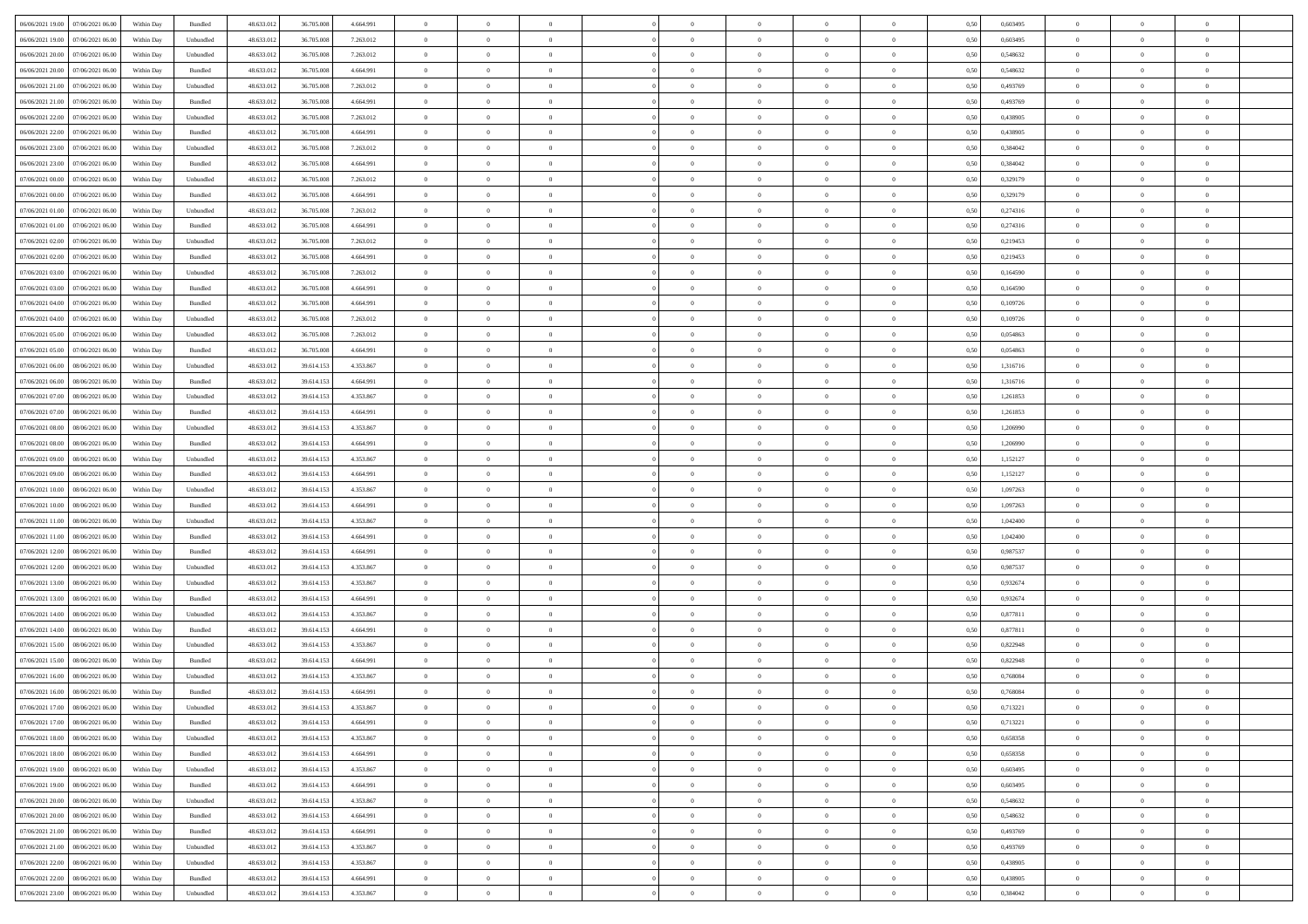|                                                                                                           |            |                             |            |            |           | $\overline{0}$ | $\overline{0}$ |                | $\overline{0}$ | $\theta$       |                | $\theta$       |      |          | $\theta$       | $\theta$       | $\overline{0}$ |  |
|-----------------------------------------------------------------------------------------------------------|------------|-----------------------------|------------|------------|-----------|----------------|----------------|----------------|----------------|----------------|----------------|----------------|------|----------|----------------|----------------|----------------|--|
| 06/06/2021 19:00 07/06/2021 06:00                                                                         | Within Day | Bundled                     | 48.633.01  | 36.705.008 | 4.664.991 |                |                |                |                |                |                |                | 0,50 | 0,603495 |                |                |                |  |
| 06/06/2021 19:00<br>07/06/2021 06.00                                                                      | Within Day | Unbundled                   | 48.633.01  | 36.705.00  | 7.263.012 | $\bf{0}$       | $\bf{0}$       | $\bf{0}$       | $\overline{0}$ | $\bf{0}$       | $\overline{0}$ | $\bf{0}$       | 0,50 | 0,603495 | $\,$ 0 $\,$    | $\bf{0}$       | $\overline{0}$ |  |
| 06/06/2021 20:00<br>07/06/2021 06:00                                                                      | Within Day | Unbundled                   | 48.633.012 | 36.705.008 | 7.263.012 | $\overline{0}$ | $\bf{0}$       | $\overline{0}$ | $\bf{0}$       | $\bf{0}$       | $\overline{0}$ | $\bf{0}$       | 0.50 | 0.548632 | $\bf{0}$       | $\overline{0}$ | $\overline{0}$ |  |
| 06/06/2021 20:00<br>07/06/2021 06:00                                                                      | Within Day | Bundled                     | 48.633.01  | 36.705.008 | 4.664.991 | $\overline{0}$ | $\bf{0}$       | $\overline{0}$ | $\theta$       | $\theta$       | $\overline{0}$ | $\bf{0}$       | 0,50 | 0,548632 | $\theta$       | $\theta$       | $\overline{0}$ |  |
| 06/06/2021 21:00<br>07/06/2021 06.00                                                                      | Within Day | Unbundled                   | 48.633.01  | 36.705.00  | 7.263.012 | $\overline{0}$ | $\overline{0}$ | $\bf{0}$       | $\overline{0}$ | $\theta$       | $\overline{0}$ | $\bf{0}$       | 0,50 | 0,493769 | $\,$ 0 $\,$    | $\bf{0}$       | $\overline{0}$ |  |
| 06/06/2021 21:00<br>07/06/2021 06:00                                                                      |            | Bundled                     | 48.633.013 | 36,705,008 | 4.664.991 | $\overline{0}$ | $\overline{0}$ | $\overline{0}$ | $\bf{0}$       | $\overline{0}$ | $\Omega$       | $\bf{0}$       | 0.50 | 0.493769 | $\,$ 0 $\,$    | $\theta$       | $\overline{0}$ |  |
|                                                                                                           | Within Day |                             |            |            |           |                |                |                |                |                |                |                |      |          |                |                |                |  |
| 06/06/2021 22:00<br>07/06/2021 06.00                                                                      | Within Day | Unbundled                   | 48.633.013 | 36.705.008 | 7.263.012 | $\overline{0}$ | $\overline{0}$ | $\overline{0}$ | $\overline{0}$ | $\theta$       | $\overline{0}$ | $\bf{0}$       | 0,50 | 0,438905 | $\theta$       | $\theta$       | $\overline{0}$ |  |
| 06/06/2021 22:00<br>07/06/2021 06.00                                                                      | Within Day | Bundled                     | 48.633.01  | 36.705.00  | 4.664.991 | $\overline{0}$ | $\overline{0}$ | $\bf{0}$       | $\overline{0}$ | $\theta$       | $\overline{0}$ | $\bf{0}$       | 0,50 | 0,438905 | $\,$ 0 $\,$    | $\bf{0}$       | $\overline{0}$ |  |
| 06/06/2021 23:00<br>07/06/2021 06:00                                                                      | Within Day | Unbundled                   | 48.633.013 | 36,705,008 | 7.263.012 | $\overline{0}$ | $\bf{0}$       | $\overline{0}$ | $\bf{0}$       | $\overline{0}$ | $\overline{0}$ | $\bf{0}$       | 0.50 | 0.384042 | $\bf{0}$       | $\overline{0}$ | $\overline{0}$ |  |
| 06/06/2021 23:00<br>07/06/2021 06:00                                                                      | Within Day | Bundled                     | 48.633.012 | 36.705.008 | 4.664.991 | $\overline{0}$ | $\bf{0}$       | $\overline{0}$ | $\overline{0}$ | $\theta$       | $\overline{0}$ | $\bf{0}$       | 0,50 | 0,384042 | $\,$ 0 $\,$    | $\bf{0}$       | $\overline{0}$ |  |
| 07/06/2021 00:00<br>07/06/2021 06.00                                                                      | Within Day | Unbundled                   | 48.633.01  | 36.705.008 | 7.263.012 | $\bf{0}$       | $\overline{0}$ | $\bf{0}$       | $\bf{0}$       | $\bf{0}$       | $\overline{0}$ | $\bf{0}$       | 0,50 | 0,329179 | $\,$ 0 $\,$    | $\bf{0}$       | $\overline{0}$ |  |
| 07/06/2021 00:00<br>07/06/2021 06:00                                                                      | Within Day | Bundled                     | 48.633.013 | 36,705,008 | 4.664.991 | $\overline{0}$ | $\bf{0}$       | $\overline{0}$ | $\overline{0}$ | $\bf{0}$       | $\overline{0}$ | $\bf{0}$       | 0.50 | 0,329179 | $\bf{0}$       | $\overline{0}$ | $\overline{0}$ |  |
| 07/06/2021 01:00<br>07/06/2021 06:00                                                                      | Within Day | Unbundled                   | 48.633.01  | 36.705.008 | 7.263.012 | $\overline{0}$ | $\overline{0}$ | $\overline{0}$ | $\overline{0}$ | $\theta$       | $\overline{0}$ | $\bf{0}$       | 0,50 | 0,274316 | $\,$ 0 $\,$    | $\theta$       | $\overline{0}$ |  |
|                                                                                                           |            |                             |            |            |           |                |                |                |                |                |                |                |      |          |                |                |                |  |
| 07/06/2021 01:00<br>07/06/2021 06.00                                                                      | Within Day | Bundled                     | 48.633.01  | 36.705.00  | 4.664.991 | $\bf{0}$       | $\overline{0}$ | $\bf{0}$       | $\overline{0}$ | $\theta$       | $\overline{0}$ | $\bf{0}$       | 0,50 | 0,274316 | $\,$ 0 $\,$    | $\bf{0}$       | $\overline{0}$ |  |
| 07/06/2021 02:00<br>07/06/2021 06.00                                                                      | Within Day | Unbundled                   | 48.633.013 | 36,705,008 | 7.263.012 | $\overline{0}$ | $\overline{0}$ | $\overline{0}$ | $\bf{0}$       | $\overline{0}$ | $\Omega$       | $\bf{0}$       | 0.50 | 0,219453 | $\,$ 0 $\,$    | $\theta$       | $\overline{0}$ |  |
| 07/06/2021 02:00<br>07/06/2021 06:00                                                                      | Within Day | Bundled                     | 48.633.013 | 36.705.008 | 4.664.991 | $\overline{0}$ | $\overline{0}$ | $\overline{0}$ | $\overline{0}$ | $\theta$       | $\overline{0}$ | $\bf{0}$       | 0,50 | 0,219453 | $\theta$       | $\theta$       | $\overline{0}$ |  |
| 07/06/2021 03:00<br>07/06/2021 06.00                                                                      | Within Day | Unbundled                   | 48.633.01  | 36.705.00  | 7.263.012 | $\bf{0}$       | $\overline{0}$ | $\bf{0}$       | $\overline{0}$ | $\theta$       | $\overline{0}$ | $\bf{0}$       | 0,50 | 0,164590 | $\,$ 0 $\,$    | $\bf{0}$       | $\overline{0}$ |  |
| 07/06/2021 03:00<br>07/06/2021 06:00                                                                      | Within Day | Bundled                     | 48.633.013 | 36,705,008 | 4.664.991 | $\overline{0}$ | $\bf{0}$       | $\overline{0}$ | $\bf{0}$       | $\overline{0}$ | $\overline{0}$ | $\bf{0}$       | 0.50 | 0.164590 | $\bf{0}$       | $\overline{0}$ | $\overline{0}$ |  |
| 07/06/2021 04:00<br>07/06/2021 06:00                                                                      | Within Day | Bundled                     | 48.633.013 | 36.705.008 | 4.664.991 | $\overline{0}$ | $\bf{0}$       | $\overline{0}$ | $\overline{0}$ | $\overline{0}$ | $\overline{0}$ | $\bf{0}$       | 0,50 | 0,109726 | $\,$ 0 $\,$    | $\bf{0}$       | $\overline{0}$ |  |
| 07/06/2021 04:00<br>07/06/2021 06.00                                                                      | Within Day | Unbundled                   | 48.633.01  | 36.705.00  | 7.263.012 | $\bf{0}$       | $\bf{0}$       | $\bf{0}$       | $\bf{0}$       | $\overline{0}$ | $\overline{0}$ | $\bf{0}$       | 0,50 | 0,109726 | $\,$ 0 $\,$    | $\bf{0}$       | $\overline{0}$ |  |
| 07/06/2021 05:00                                                                                          |            | Unbundled                   | 48.633.013 | 36,705,008 |           |                | $\bf{0}$       | $\overline{0}$ |                | $\bf{0}$       | $\overline{0}$ |                | 0.50 | 0.054863 | $\bf{0}$       | $\overline{0}$ | $\overline{0}$ |  |
| 07/06/2021 06:00                                                                                          | Within Day |                             |            |            | 7.263.012 | $\overline{0}$ |                |                | $\bf{0}$       |                |                | $\bf{0}$       |      |          |                |                |                |  |
| 07/06/2021 05:00<br>07/06/2021 06:00                                                                      | Within Day | Bundled                     | 48.633.01  | 36.705.008 | 4.664.991 | $\overline{0}$ | $\overline{0}$ | $\overline{0}$ | $\theta$       | $\theta$       | $\overline{0}$ | $\bf{0}$       | 0,50 | 0,054863 | $\theta$       | $\theta$       | $\overline{0}$ |  |
| 07/06/2021 06:00<br>08/06/2021 06:00                                                                      | Within Day | Unbundled                   | 48.633.01  | 39.614.15  | 4.353.867 | $\bf{0}$       | $\overline{0}$ | $\bf{0}$       | $\bf{0}$       | $\theta$       | $\overline{0}$ | $\bf{0}$       | 0,50 | 1,316716 | $\,$ 0 $\,$    | $\bf{0}$       | $\overline{0}$ |  |
| 07/06/2021 06:00<br>08/06/2021 06:00                                                                      | Within Day | Bundled                     | 48.633.013 | 39.614.15  | 4.664.991 | $\overline{0}$ | $\overline{0}$ | $\overline{0}$ | $\overline{0}$ | $\overline{0}$ | $\Omega$       | $\bf{0}$       | 0.50 | 1.316716 | $\,$ 0 $\,$    | $\theta$       | $\overline{0}$ |  |
| 07/06/2021 07:00<br>08/06/2021 06:00                                                                      | Within Day | Unbundled                   | 48.633.013 | 39.614.153 | 4.353.867 | $\overline{0}$ | $\overline{0}$ | $\overline{0}$ | $\overline{0}$ | $\theta$       | $\overline{0}$ | $\bf{0}$       | 0,50 | 1,261853 | $\,$ 0 $\,$    | $\theta$       | $\overline{0}$ |  |
| 07/06/2021 07:00<br>08/06/2021 06:00                                                                      | Within Day | Bundled                     | 48.633.01  | 39.614.15  | 4.664.991 | $\bf{0}$       | $\overline{0}$ | $\bf{0}$       | $\overline{0}$ | $\theta$       | $\overline{0}$ | $\bf{0}$       | 0,50 | 1,261853 | $\,$ 0 $\,$    | $\bf{0}$       | $\overline{0}$ |  |
| 07/06/2021 08:00<br>08/06/2021 06:00                                                                      | Within Day | Unbundled                   | 48.633.013 | 39.614.153 | 4.353.867 | $\overline{0}$ | $\bf{0}$       | $\overline{0}$ | $\bf{0}$       | $\overline{0}$ | $\overline{0}$ | $\bf{0}$       | 0.50 | 1.206990 | $\bf{0}$       | $\overline{0}$ | $\overline{0}$ |  |
| 07/06/2021 08:00<br>08/06/2021 06:00                                                                      | Within Day | Bundled                     | 48.633.01  | 39.614.153 | 4.664.991 | $\overline{0}$ | $\bf{0}$       | $\overline{0}$ | $\overline{0}$ | $\overline{0}$ | $\overline{0}$ | $\bf{0}$       | 0,50 | 1,206990 | $\theta$       | $\theta$       | $\overline{0}$ |  |
| 07/06/2021 09:00<br>08/06/2021 06:00                                                                      | Within Day | Unbundled                   | 48.633.01  | 39.614.15  | 4.353.867 | $\bf{0}$       | $\bf{0}$       | $\bf{0}$       | $\bf{0}$       | $\overline{0}$ | $\overline{0}$ | $\bf{0}$       | 0,50 | 1,152127 | $\,$ 0 $\,$    | $\bf{0}$       | $\overline{0}$ |  |
|                                                                                                           |            |                             |            |            |           |                |                |                |                |                |                |                |      |          |                |                |                |  |
| 07/06/2021 09:00<br>08/06/2021 06:00                                                                      | Within Day | Bundled                     | 48.633.013 | 39.614.15  | 4.664.991 | $\overline{0}$ | $\bf{0}$       | $\overline{0}$ | $\bf{0}$       | $\bf{0}$       | $\overline{0}$ | $\bf{0}$       | 0.50 | 1,152127 | $\bf{0}$       | $\overline{0}$ | $\overline{0}$ |  |
| 07/06/2021 10:00<br>08/06/2021 06:00                                                                      | Within Day | Unbundled                   | 48.633.013 | 39.614.153 | 4.353.867 | $\overline{0}$ | $\overline{0}$ | $\overline{0}$ | $\overline{0}$ | $\overline{0}$ | $\overline{0}$ | $\bf{0}$       | 0.50 | 1,097263 | $\theta$       | $\theta$       | $\overline{0}$ |  |
| 07/06/2021 10:00<br>08/06/2021 06:00                                                                      | Within Day | Bundled                     | 48.633.01  | 39.614.15  | 4.664.991 | $\bf{0}$       | $\overline{0}$ | $\bf{0}$       | $\bf{0}$       | $\overline{0}$ | $\overline{0}$ | $\bf{0}$       | 0,50 | 1,097263 | $\,$ 0 $\,$    | $\bf{0}$       | $\overline{0}$ |  |
| 07/06/2021 11:00<br>08/06/2021 06:00                                                                      | Within Day | Unbundled                   | 48.633.013 | 39.614.153 | 4.353.867 | $\overline{0}$ | $\bf{0}$       | $\overline{0}$ | $\bf{0}$       | $\bf{0}$       | $\Omega$       | $\bf{0}$       | 0.50 | 1.042400 | $\,$ 0 $\,$    | $\theta$       | $\overline{0}$ |  |
| 07/06/2021 11:00<br>08/06/2021 06:00                                                                      | Within Dav | Bundled                     | 48.633.013 | 39.614.153 | 4.664.991 | $\overline{0}$ | $\overline{0}$ | $\overline{0}$ | $\overline{0}$ | $\theta$       | $\overline{0}$ | $\bf{0}$       | 0.50 | 1,042400 | $\theta$       | $\theta$       | $\overline{0}$ |  |
| 07/06/2021 12:00<br>08/06/2021 06:00                                                                      | Within Day | Bundled                     | 48.633.01  | 39.614.15  | 4.664.991 | $\bf{0}$       | $\bf{0}$       | $\bf{0}$       | $\overline{0}$ | $\bf{0}$       | $\overline{0}$ | $\bf{0}$       | 0,50 | 0,987537 | $\,$ 0 $\,$    | $\bf{0}$       | $\overline{0}$ |  |
| 07/06/2021 12:00<br>08/06/2021 06:00                                                                      | Within Day | Unbundled                   | 48.633.013 | 39.614.15  | 4.353.867 | $\overline{0}$ | $\bf{0}$       | $\overline{0}$ | $\bf{0}$       | $\overline{0}$ | $\overline{0}$ | $\bf{0}$       | 0.50 | 0.987537 | $\bf{0}$       | $\overline{0}$ | $\overline{0}$ |  |
| 07/06/2021 13:00<br>08/06/2021 06:00                                                                      | Within Day | Unbundled                   | 48.633.013 | 39.614.153 | 4.353.867 | $\overline{0}$ | $\overline{0}$ | $\overline{0}$ | $\overline{0}$ | $\overline{0}$ | $\overline{0}$ | $\overline{0}$ | 0.50 | 0,932674 | $\theta$       | $\theta$       | $\overline{0}$ |  |
| 08/06/2021 06:00                                                                                          | Within Day | Bundled                     | 48.633.01  | 39.614.15  | 4.664.991 | $\bf{0}$       | $\bf{0}$       | $\bf{0}$       | $\bf{0}$       | $\overline{0}$ | $\overline{0}$ | $\bf{0}$       | 0,50 | 0,932674 | $\,$ 0 $\,$    | $\bf{0}$       | $\overline{0}$ |  |
| 07/06/2021 13:00                                                                                          |            |                             |            |            |           |                |                |                |                |                |                |                |      |          |                |                |                |  |
| 07/06/2021 14:00<br>08/06/2021 06:00                                                                      | Within Day | Unbundled                   | 48.633.013 | 39.614.153 | 4.353.867 | $\overline{0}$ | $\bf{0}$       | $\overline{0}$ | $\bf{0}$       | $\bf{0}$       | $\overline{0}$ | $\bf{0}$       | 0.50 | 0.877811 | $\bf{0}$       | $\overline{0}$ | $\overline{0}$ |  |
| 07/06/2021 14:00<br>08/06/2021 06:00                                                                      | Within Dav | Bundled                     | 48.633.013 | 39.614.153 | 4.664.991 | $\overline{0}$ | $\overline{0}$ | $\overline{0}$ | $\overline{0}$ | $\theta$       | $\overline{0}$ | $\bf{0}$       | 0.5( | 0,877811 | $\theta$       | $\theta$       | $\overline{0}$ |  |
| 07/06/2021 15:00<br>08/06/2021 06:00                                                                      | Within Day | Unbundled                   | 48.633.01  | 39.614.15  | 4.353.867 | $\bf{0}$       | $\bf{0}$       | $\bf{0}$       | $\bf{0}$       | $\overline{0}$ | $\overline{0}$ | $\bf{0}$       | 0,50 | 0,822948 | $\,$ 0 $\,$    | $\bf{0}$       | $\overline{0}$ |  |
| 07/06/2021 15:00<br>08/06/2021 06:00                                                                      | Within Day | Bundled                     | 48.633.013 | 39.614.15  | 4.664.991 | $\overline{0}$ | $\overline{0}$ | $\overline{0}$ | $\bf{0}$       | $\theta$       | $\Omega$       | $\bf{0}$       | 0.50 | 0.822948 | $\bf{0}$       | $\theta$       | $\overline{0}$ |  |
| 07/06/2021 16:00<br>08/06/2021 06:00                                                                      | Within Dav | Unbundled                   | 48.633.013 | 39.614.153 | 4.353.867 | $\overline{0}$ | $\overline{0}$ | $\Omega$       | $\overline{0}$ | $\theta$       | $\Omega$       | $\overline{0}$ | 0.5( | 0,768084 | $\theta$       | $\theta$       | $\overline{0}$ |  |
| 07/06/2021 16:00<br>08/06/2021 06:00                                                                      | Within Day | Bundled                     | 48.633.01  | 39.614.153 | 4.664.991 | $\bf{0}$       | $\bf{0}$       | $\overline{0}$ | $\bf{0}$       | $\bf{0}$       | $\overline{0}$ | $\bf{0}$       | 0,50 | 0,768084 | $\,$ 0 $\,$    | $\bf{0}$       | $\overline{0}$ |  |
| ${\color{red} 07/06/2021}\,\, {\color{red} 17.00} \quad {\color{red} 08/06/2021}\,\, {\color{red} 06.00}$ | Within Day | $\ensuremath{\mathsf{Unb}}$ | 48.633.012 | 39.614.153 | 4.353.867 | $\overline{0}$ | $\Omega$       |                | $\Omega$       |                |                |                | 0,50 | 0,713221 | $\theta$       | $\overline{0}$ |                |  |
| 07/06/2021 17:00  08/06/2021 06:00                                                                        | Within Day | Bundled                     | 48.633.012 | 39.614.153 | 4.664.991 | $\overline{0}$ | $\overline{0}$ | $\overline{0}$ | $\theta$       | $\overline{0}$ | $\overline{0}$ | $\bf{0}$       | 0,50 | 0,713221 | $\theta$       | $\overline{0}$ | $\overline{0}$ |  |
|                                                                                                           |            |                             |            |            |           |                |                |                |                |                |                |                |      |          |                |                |                |  |
| 07/06/2021 18:00<br>08/06/2021 06:00                                                                      | Within Day | Unbundled                   | 48.633.013 | 39.614.153 | 4.353.867 | $\overline{0}$ | $\bf{0}$       | $\overline{0}$ | $\overline{0}$ | $\bf{0}$       | $\overline{0}$ | $\bf{0}$       | 0,50 | 0,658358 | $\bf{0}$       | $\overline{0}$ | $\bf{0}$       |  |
| 07/06/2021 18:00  08/06/2021 06:00                                                                        | Within Day | Bundled                     | 48.633.012 | 39.614.153 | 4.664.991 | $\overline{0}$ | $\bf{0}$       | $\overline{0}$ | $\overline{0}$ | $\mathbf{0}$   | $\overline{0}$ | $\,$ 0 $\,$    | 0.50 | 0.658358 | $\overline{0}$ | $\bf{0}$       | $\,$ 0 $\,$    |  |
| 07/06/2021 19:00  08/06/2021 06:00                                                                        | Within Dav | Unbundled                   | 48.633.012 | 39.614.153 | 4.353.867 | $\overline{0}$ | $\overline{0}$ | $\overline{0}$ | $\overline{0}$ | $\overline{0}$ | $\overline{0}$ | $\bf{0}$       | 0,50 | 0,603495 | $\overline{0}$ | $\theta$       | $\overline{0}$ |  |
| 07/06/2021 19:00<br>08/06/2021 06:00                                                                      | Within Day | Bundled                     | 48.633.012 | 39.614.153 | 4.664.991 | $\overline{0}$ | $\bf{0}$       | $\overline{0}$ | $\overline{0}$ | $\overline{0}$ | $\overline{0}$ | $\bf{0}$       | 0,50 | 0,603495 | $\bf{0}$       | $\overline{0}$ | $\overline{0}$ |  |
| 07/06/2021 20:00<br>08/06/2021 06:00                                                                      | Within Day | Unbundled                   | 48.633.012 | 39.614.153 | 4.353.867 | $\overline{0}$ | $\bf{0}$       | $\overline{0}$ | $\overline{0}$ | $\bf{0}$       | $\overline{0}$ | $\bf{0}$       | 0.50 | 0.548632 | $\,$ 0 $\,$    | $\overline{0}$ | $\,$ 0         |  |
| 07/06/2021 20:00<br>08/06/2021 06:00                                                                      | Within Dav | Bundled                     | 48.633.012 | 39.614.153 | 4.664.991 | $\overline{0}$ | $\overline{0}$ | $\overline{0}$ | $\overline{0}$ | $\overline{0}$ | $\overline{0}$ | $\bf{0}$       | 0.50 | 0,548632 | $\overline{0}$ | $\theta$       | $\overline{0}$ |  |
| 07/06/2021 21:00<br>08/06/2021 06:00                                                                      | Within Day | Bundled                     | 48.633.013 | 39.614.153 | 4.664.991 | $\overline{0}$ | $\overline{0}$ | $\overline{0}$ | $\overline{0}$ | $\overline{0}$ | $\overline{0}$ | $\bf{0}$       | 0,50 | 0,493769 | $\bf{0}$       | $\overline{0}$ | $\overline{0}$ |  |
|                                                                                                           |            |                             |            |            |           |                |                |                |                |                |                |                |      |          |                |                |                |  |
| 07/06/2021 21:00   08/06/2021 06:00                                                                       | Within Day | Unbundled                   | 48.633.012 | 39.614.153 | 4.353.867 | $\overline{0}$ | $\overline{0}$ | $\overline{0}$ | $\overline{0}$ | $\overline{0}$ | $\overline{0}$ | $\bf{0}$       | 0.50 | 0.493769 | $\mathbf{0}$   | $\bf{0}$       | $\,$ 0         |  |
| 07/06/2021 22:00  08/06/2021 06:00                                                                        | Within Dav | Unbundled                   | 48.633.012 | 39.614.153 | 4.353.867 | $\overline{0}$ | $\overline{0}$ | $\overline{0}$ | $\overline{0}$ | $\overline{0}$ | $\overline{0}$ | $\bf{0}$       | 0,50 | 0,438905 | $\overline{0}$ | $\theta$       | $\overline{0}$ |  |
| 07/06/2021 22:00<br>08/06/2021 06:00                                                                      | Within Day | Bundled                     | 48.633.013 | 39.614.153 | 4.664.991 | $\overline{0}$ | $\bf{0}$       | $\overline{0}$ | $\bf{0}$       | $\overline{0}$ | $\overline{0}$ | $\bf{0}$       | 0,50 | 0,438905 | $\bf{0}$       | $\,$ 0 $\,$    | $\bf{0}$       |  |
| 07/06/2021 23:00 08/06/2021 06:00                                                                         | Within Day | Unbundled                   | 48.633.012 | 39.614.153 | 4.353.867 | $\overline{0}$ | $\bf{0}$       | $\overline{0}$ | $\overline{0}$ | $\,$ 0 $\,$    | $\overline{0}$ | $\bf{0}$       | 0,50 | 0,384042 | $\overline{0}$ | $\,$ 0 $\,$    | $\,$ 0 $\,$    |  |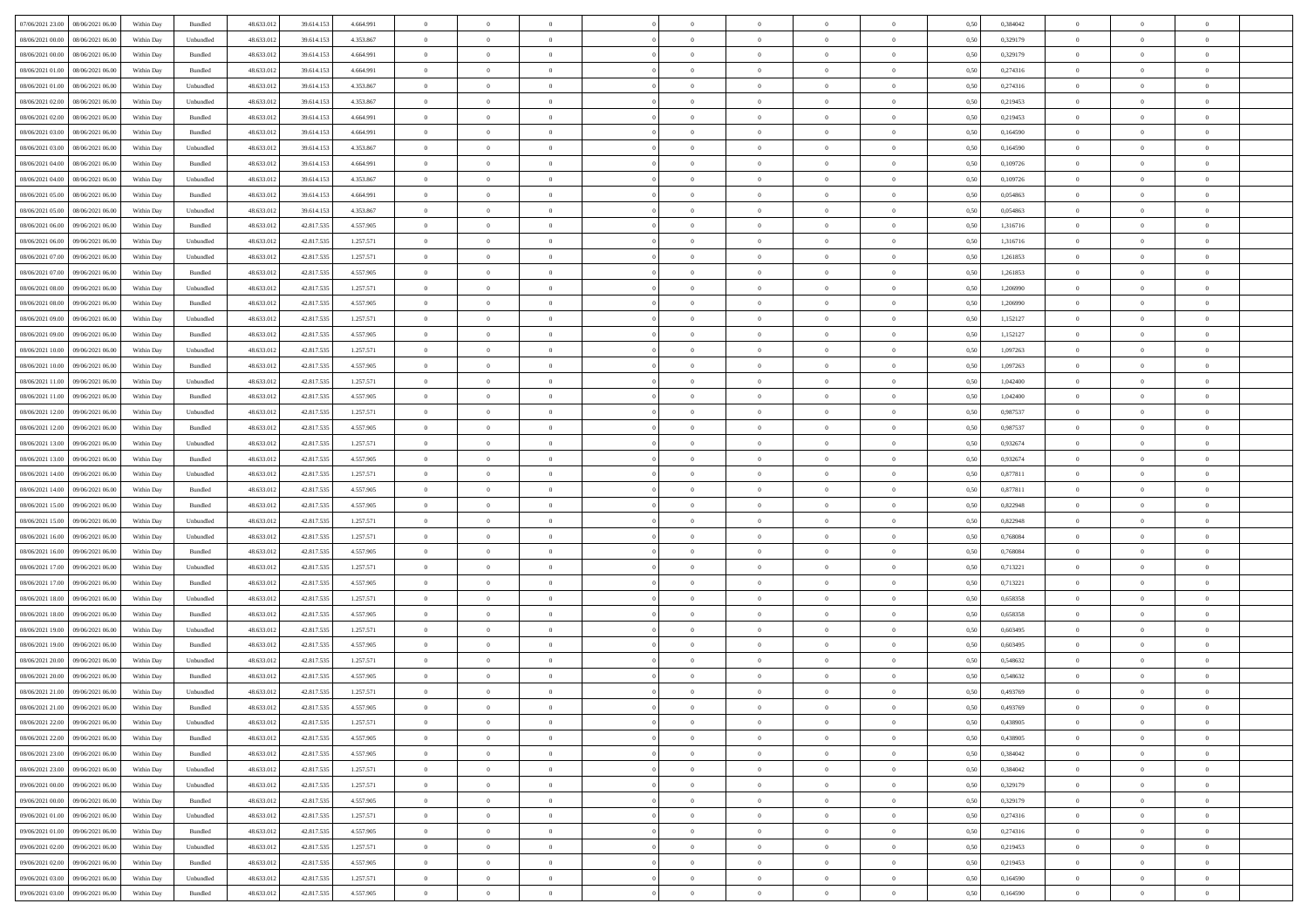|                                      |            |           |            |            |           | $\overline{0}$ | $\theta$       |                | $\overline{0}$ | $\theta$       |                | $\theta$       |      |          | $\theta$       | $\theta$       | $\overline{0}$ |  |
|--------------------------------------|------------|-----------|------------|------------|-----------|----------------|----------------|----------------|----------------|----------------|----------------|----------------|------|----------|----------------|----------------|----------------|--|
| 07/06/2021 23:00   08/06/2021 06:00  | Within Day | Bundled   | 48.633.01  | 39.614.153 | 4.664.991 |                |                |                |                |                |                |                | 0,50 | 0,384042 |                |                |                |  |
| 08/06/2021 00:00<br>08/06/2021 06:00 | Within Day | Unbundled | 48.633.01  | 39.614.15  | 4.353.867 | $\bf{0}$       | $\bf{0}$       | $\bf{0}$       | $\overline{0}$ | $\overline{0}$ | $\overline{0}$ | $\bf{0}$       | 0,50 | 0,329179 | $\,$ 0 $\,$    | $\bf{0}$       | $\overline{0}$ |  |
| 08/06/2021 00:00<br>08/06/2021 06:00 | Within Day | Bundled   | 48.633.012 | 39.614.153 | 4.664.991 | $\overline{0}$ | $\bf{0}$       | $\overline{0}$ | $\bf{0}$       | $\bf{0}$       | $\overline{0}$ | $\bf{0}$       | 0.50 | 0,329179 | $\bf{0}$       | $\overline{0}$ | $\overline{0}$ |  |
| 08/06/2021 01:00<br>08/06/2021 06:00 | Within Day | Bundled   | 48.633.01  | 39.614.153 | 4.664.991 | $\overline{0}$ | $\overline{0}$ | $\overline{0}$ | $\theta$       | $\theta$       | $\overline{0}$ | $\overline{0}$ | 0,50 | 0,274316 | $\theta$       | $\theta$       | $\overline{0}$ |  |
| 08/06/2021 01:00<br>08/06/2021 06:00 | Within Day | Unbundled | 48.633.01  | 39.614.153 | 4.353.867 | $\overline{0}$ | $\overline{0}$ | $\bf{0}$       | $\overline{0}$ | $\theta$       | $\overline{0}$ | $\bf{0}$       | 0,50 | 0,274316 | $\,$ 0 $\,$    | $\bf{0}$       | $\overline{0}$ |  |
| 08/06/2021 02:00<br>08/06/2021 06:00 |            | Unbundled | 48.633.013 | 39.614.15  | 4.353.867 | $\overline{0}$ | $\overline{0}$ | $\overline{0}$ | $\bf{0}$       | $\overline{0}$ | $\Omega$       | $\bf{0}$       | 0.50 | 0.219453 | $\,$ 0 $\,$    | $\theta$       | $\overline{0}$ |  |
|                                      | Within Day |           |            |            |           |                |                |                |                |                |                |                |      |          |                |                |                |  |
| 08/06/2021 02:00<br>08/06/2021 06:00 | Within Day | Bundled   | 48.633.013 | 39.614.153 | 4.664.991 | $\overline{0}$ | $\overline{0}$ | $\overline{0}$ | $\overline{0}$ | $\theta$       | $\overline{0}$ | $\bf{0}$       | 0,50 | 0,219453 | $\theta$       | $\theta$       | $\overline{0}$ |  |
| 08/06/2021 03:00<br>08/06/2021 06:00 | Within Day | Bundled   | 48.633.01  | 39.614.15  | 4.664.991 | $\bf{0}$       | $\overline{0}$ | $\overline{0}$ | $\overline{0}$ | $\theta$       | $\overline{0}$ | $\bf{0}$       | 0,50 | 0,164590 | $\,$ 0 $\,$    | $\bf{0}$       | $\overline{0}$ |  |
| 08/06/2021 03:00<br>08/06/2021 06:00 | Within Day | Unbundled | 48.633.013 | 39.614.153 | 4.353.867 | $\overline{0}$ | $\bf{0}$       | $\overline{0}$ | $\bf{0}$       | $\overline{0}$ | $\overline{0}$ | $\bf{0}$       | 0.50 | 0.164590 | $\bf{0}$       | $\overline{0}$ | $\overline{0}$ |  |
| 08/06/2021 04:00<br>08/06/2021 06:00 | Within Day | Bundled   | 48.633.012 | 39.614.153 | 4.664.991 | $\overline{0}$ | $\bf{0}$       | $\overline{0}$ | $\overline{0}$ | $\theta$       | $\overline{0}$ | $\bf{0}$       | 0,50 | 0,109726 | $\,$ 0 $\,$    | $\theta$       | $\overline{0}$ |  |
| 08/06/2021 04:00<br>08/06/2021 06:00 | Within Day | Unbundled | 48.633.01  | 39.614.153 | 4.353.867 | $\bf{0}$       | $\overline{0}$ | $\bf{0}$       | $\overline{0}$ | $\bf{0}$       | $\overline{0}$ | $\bf{0}$       | 0,50 | 0,109726 | $\,$ 0 $\,$    | $\bf{0}$       | $\overline{0}$ |  |
| 08/06/2021 05:00<br>08/06/2021 06:00 | Within Day | Bundled   | 48.633.013 | 39.614.153 | 4.664.991 | $\overline{0}$ | $\bf{0}$       | $\overline{0}$ | $\bf{0}$       | $\bf{0}$       | $\overline{0}$ | $\bf{0}$       | 0.50 | 0.054863 | $\bf{0}$       | $\overline{0}$ | $\bf{0}$       |  |
| 08/06/2021 05:00<br>08/06/2021 06:00 | Within Day | Unbundled | 48.633.01  | 39.614.153 | 4.353.867 | $\overline{0}$ | $\overline{0}$ | $\overline{0}$ | $\overline{0}$ | $\theta$       | $\overline{0}$ | $\overline{0}$ | 0,50 | 0,054863 | $\,$ 0 $\,$    | $\theta$       | $\overline{0}$ |  |
|                                      |            |           |            |            |           |                |                |                |                |                |                |                |      |          |                |                |                |  |
| 08/06/2021 06:00<br>09/06/2021 06.00 | Within Day | Bundled   | 48.633.01  | 42.817.53  | 4.557.905 | $\bf{0}$       | $\overline{0}$ | $\bf{0}$       | $\overline{0}$ | $\theta$       | $\overline{0}$ | $\bf{0}$       | 0,50 | 1,316716 | $\,$ 0 $\,$    | $\bf{0}$       | $\overline{0}$ |  |
| 08/06/2021 06:00<br>09/06/2021 06:00 | Within Day | Unbundled | 48.633.013 | 42.817.53  | 1.257.571 | $\overline{0}$ | $\overline{0}$ | $\overline{0}$ | $\bf{0}$       | $\theta$       | $\Omega$       | $\bf{0}$       | 0.50 | 1.316716 | $\,$ 0 $\,$    | $\theta$       | $\overline{0}$ |  |
| 08/06/2021 07:00<br>09/06/2021 06:00 | Within Day | Unbundled | 48.633.01  | 42.817.535 | 1.257.571 | $\overline{0}$ | $\overline{0}$ | $\overline{0}$ | $\overline{0}$ | $\theta$       | $\overline{0}$ | $\bf{0}$       | 0,50 | 1,261853 | $\theta$       | $\theta$       | $\overline{0}$ |  |
| 08/06/2021 07:00<br>09/06/2021 06.00 | Within Day | Bundled   | 48.633.01  | 42.817.53  | 4.557.905 | $\bf{0}$       | $\overline{0}$ | $\overline{0}$ | $\overline{0}$ | $\theta$       | $\overline{0}$ | $\bf{0}$       | 0,50 | 1,261853 | $\,$ 0 $\,$    | $\bf{0}$       | $\overline{0}$ |  |
| 08/06/2021 08:00<br>09/06/2021 06:00 | Within Day | Unbundled | 48.633.013 | 42.817.53  | 1.257.571 | $\overline{0}$ | $\bf{0}$       | $\overline{0}$ | $\bf{0}$       | $\overline{0}$ | $\overline{0}$ | $\bf{0}$       | 0.50 | 1.206990 | $\bf{0}$       | $\overline{0}$ | $\overline{0}$ |  |
| 08/06/2021 08:00<br>09/06/2021 06:00 | Within Day | Bundled   | 48.633.013 | 42.817.535 | 4.557.905 | $\overline{0}$ | $\bf{0}$       | $\overline{0}$ | $\overline{0}$ | $\overline{0}$ | $\overline{0}$ | $\bf{0}$       | 0,50 | 1,206990 | $\,$ 0 $\,$    | $\theta$       | $\overline{0}$ |  |
| 08/06/2021 09:00<br>09/06/2021 06.00 | Within Day | Unbundled | 48.633.01  | 42.817.535 | 1.257.571 | $\bf{0}$       | $\bf{0}$       | $\bf{0}$       | $\bf{0}$       | $\overline{0}$ | $\overline{0}$ | $\bf{0}$       | 0,50 | 1,152127 | $\,$ 0 $\,$    | $\bf{0}$       | $\overline{0}$ |  |
| 08/06/2021 09:00<br>09/06/2021 06:00 | Within Day | Bundled   | 48.633.013 | 42.817.535 | 4.557.905 | $\overline{0}$ | $\bf{0}$       | $\overline{0}$ | $\bf{0}$       | $\bf{0}$       | $\overline{0}$ | $\bf{0}$       | 0.50 | 1,152127 | $\bf{0}$       | $\overline{0}$ | $\overline{0}$ |  |
|                                      |            |           |            |            |           |                |                |                |                |                |                |                |      |          |                |                |                |  |
| 08/06/2021 10:00<br>09/06/2021 06:00 | Within Day | Unbundled | 48.633.01  | 42.817.535 | 1.257.571 | $\overline{0}$ | $\overline{0}$ | $\overline{0}$ | $\theta$       | $\theta$       | $\overline{0}$ | $\bf{0}$       | 0,50 | 1,097263 | $\theta$       | $\theta$       | $\overline{0}$ |  |
| 08/06/2021 10:00<br>09/06/2021 06.00 | Within Day | Bundled   | 48.633.01  | 42.817.53  | 4.557.905 | $\bf{0}$       | $\overline{0}$ | $\bf{0}$       | $\overline{0}$ | $\theta$       | $\overline{0}$ | $\bf{0}$       | 0,50 | 1,097263 | $\,$ 0 $\,$    | $\bf{0}$       | $\overline{0}$ |  |
| 08/06/2021 11:00<br>09/06/2021 06:00 | Within Day | Unbundled | 48.633.013 | 42.817.53  | 1.257.571 | $\overline{0}$ | $\overline{0}$ | $\overline{0}$ | $\overline{0}$ | $\overline{0}$ | $\Omega$       | $\bf{0}$       | 0.50 | 1.042400 | $\,$ 0 $\,$    | $\theta$       | $\overline{0}$ |  |
| 08/06/2021 11:00<br>09/06/2021 06:00 | Within Day | Bundled   | 48.633.013 | 42.817.535 | 4.557.905 | $\overline{0}$ | $\overline{0}$ | $\overline{0}$ | $\overline{0}$ | $\theta$       | $\overline{0}$ | $\bf{0}$       | 0,50 | 1,042400 | $\theta$       | $\theta$       | $\overline{0}$ |  |
| 08/06/2021 12:00<br>09/06/2021 06.00 | Within Day | Unbundled | 48.633.01  | 42.817.53  | 1.257.571 | $\bf{0}$       | $\overline{0}$ | $\bf{0}$       | $\overline{0}$ | $\theta$       | $\overline{0}$ | $\bf{0}$       | 0,50 | 0,987537 | $\,$ 0 $\,$    | $\bf{0}$       | $\overline{0}$ |  |
| 08/06/2021 12:00<br>09/06/2021 06:00 | Within Day | Bundled   | 48.633.013 | 42.817.53  | 4.557.905 | $\overline{0}$ | $\bf{0}$       | $\overline{0}$ | $\bf{0}$       | $\overline{0}$ | $\overline{0}$ | $\bf{0}$       | 0.50 | 0.987537 | $\bf{0}$       | $\overline{0}$ | $\overline{0}$ |  |
| 08/06/2021 13:00<br>09/06/2021 06:00 | Within Day | Unbundled | 48.633.01  | 42.817.535 | 1.257.571 | $\overline{0}$ | $\overline{0}$ | $\overline{0}$ | $\overline{0}$ | $\theta$       | $\overline{0}$ | $\bf{0}$       | 0,50 | 0,932674 | $\theta$       | $\theta$       | $\overline{0}$ |  |
| 08/06/2021 13:00<br>09/06/2021 06.00 | Within Day | Bundled   | 48.633.01  | 42.817.535 | 4.557.905 | $\bf{0}$       | $\bf{0}$       | $\bf{0}$       | $\bf{0}$       | $\overline{0}$ | $\overline{0}$ | $\bf{0}$       | 0,50 | 0,932674 | $\,$ 0 $\,$    | $\bf{0}$       | $\overline{0}$ |  |
| 08/06/2021 14:00<br>09/06/2021 06:00 | Within Day | Unbundled | 48.633.013 | 42.817.535 | 1.257.571 | $\overline{0}$ | $\bf{0}$       | $\overline{0}$ | $\bf{0}$       | $\bf{0}$       | $\overline{0}$ | $\bf{0}$       | 0.50 | 0.877811 | $\bf{0}$       | $\overline{0}$ | $\overline{0}$ |  |
|                                      |            |           |            |            |           |                |                |                |                |                |                |                |      |          |                |                |                |  |
| 08/06/2021 14:00<br>09/06/2021 06:00 | Within Day | Bundled   | 48.633.013 | 42.817.535 | 4.557.905 | $\overline{0}$ | $\overline{0}$ | $\overline{0}$ | $\overline{0}$ | $\overline{0}$ | $\overline{0}$ | $\bf{0}$       | 0.5( | 0,877811 | $\theta$       | $\theta$       | $\overline{0}$ |  |
| 08/06/2021 15:00<br>09/06/2021 06.00 | Within Day | Bundled   | 48.633.01  | 42.817.535 | 4.557.905 | $\bf{0}$       | $\overline{0}$ | $\bf{0}$       | $\overline{0}$ | $\overline{0}$ | $\overline{0}$ | $\bf{0}$       | 0,50 | 0,822948 | $\,$ 0 $\,$    | $\bf{0}$       | $\overline{0}$ |  |
| 08/06/2021 15:00<br>09/06/2021 06:00 | Within Day | Unbundled | 48.633.013 | 42.817.535 | 1.257.571 | $\overline{0}$ | $\bf{0}$       | $\overline{0}$ | $\bf{0}$       | $\theta$       | $\Omega$       | $\bf{0}$       | 0.50 | 0,822948 | $\,$ 0 $\,$    | $\theta$       | $\overline{0}$ |  |
| 08/06/2021 16:00<br>09/06/2021 06:00 | Within Dav | Unbundled | 48.633.013 | 42.817.535 | 1.257.571 | $\overline{0}$ | $\overline{0}$ | $\Omega$       | $\overline{0}$ | $\theta$       | $\overline{0}$ | $\bf{0}$       | 0.50 | 0.768084 | $\theta$       | $\theta$       | $\overline{0}$ |  |
| 08/06/2021 16:00<br>09/06/2021 06.00 | Within Day | Bundled   | 48.633.01  | 42.817.535 | 4.557.905 | $\bf{0}$       | $\bf{0}$       | $\bf{0}$       | $\overline{0}$ | $\bf{0}$       | $\overline{0}$ | $\bf{0}$       | 0,50 | 0,768084 | $\,$ 0 $\,$    | $\bf{0}$       | $\overline{0}$ |  |
| 08/06/2021 17:00<br>09/06/2021 06:00 | Within Day | Unbundled | 48.633.013 | 42.817.53  | 1.257.571 | $\overline{0}$ | $\bf{0}$       | $\overline{0}$ | $\bf{0}$       | $\overline{0}$ | $\overline{0}$ | $\bf{0}$       | 0.50 | 0.713221 | $\bf{0}$       | $\overline{0}$ | $\overline{0}$ |  |
| 08/06/2021 17:00<br>09/06/2021 06:00 | Within Dav | Bundled   | 48.633.013 | 42.817.535 | 4.557.905 | $\overline{0}$ | $\overline{0}$ | $\overline{0}$ | $\overline{0}$ | $\overline{0}$ | $\overline{0}$ | $\overline{0}$ | 0.50 | 0,713221 | $\theta$       | $\theta$       | $\overline{0}$ |  |
| 08/06/2021 18:00<br>09/06/2021 06.00 | Within Day | Unbundled | 48.633.01  | 42.817.535 | 1.257.571 | $\bf{0}$       | $\bf{0}$       | $\bf{0}$       | $\bf{0}$       | $\overline{0}$ | $\overline{0}$ | $\bf{0}$       | 0,50 | 0,658358 | $\,$ 0 $\,$    | $\bf{0}$       | $\overline{0}$ |  |
| 09/06/2021 06:00                     |            | Bundled   | 48.633.013 | 42.817.535 | 4.557.905 |                |                |                |                |                | $\overline{0}$ |                | 0.50 | 0.658358 |                | $\overline{0}$ |                |  |
| 08/06/2021 18:00                     | Within Day |           |            |            |           | $\overline{0}$ | $\bf{0}$       | $\overline{0}$ | $\bf{0}$       | $\bf{0}$       |                | $\bf{0}$       |      |          | $\bf{0}$       |                | $\overline{0}$ |  |
| 08/06/2021 19:00<br>09/06/2021 06:00 | Within Dav | Unbundled | 48.633.013 | 42.817.535 | 1.257.571 | $\overline{0}$ | $\overline{0}$ | $\overline{0}$ | $\overline{0}$ | $\theta$       | $\overline{0}$ | $\bf{0}$       | 0.50 | 0,603495 | $\theta$       | $\theta$       | $\overline{0}$ |  |
| 08/06/2021 19:00<br>09/06/2021 06.00 | Within Day | Bundled   | 48.633.01  | 42.817.535 | 4.557.905 | $\bf{0}$       | $\bf{0}$       | $\bf{0}$       | $\bf{0}$       | $\overline{0}$ | $\overline{0}$ | $\bf{0}$       | 0,50 | 0,603495 | $\,$ 0 $\,$    | $\bf{0}$       | $\overline{0}$ |  |
| 08/06/2021 20:00<br>09/06/2021 06:00 | Within Day | Unbundled | 48.633.013 | 42.817.53  | 1.257.571 | $\overline{0}$ | $\overline{0}$ | $\overline{0}$ | $\overline{0}$ | $\bf{0}$       | $\Omega$       | $\bf{0}$       | 0.50 | 0.548632 | $\bf{0}$       | $\theta$       | $\overline{0}$ |  |
| 08/06/2021 20:00<br>09/06/2021 06:00 | Within Dav | Bundled   | 48.633.013 | 42.817.535 | 4.557.905 | $\overline{0}$ | $\overline{0}$ | $\Omega$       | $\overline{0}$ | $\theta$       | $\Omega$       | $\overline{0}$ | 0.5( | 0,548632 | $\theta$       | $\theta$       | $\overline{0}$ |  |
| 08/06/2021 21:00<br>09/06/2021 06:00 | Within Day | Unbundled | 48.633.01  | 42.817.535 | 1.257.571 | $\bf{0}$       | $\bf{0}$       | $\overline{0}$ | $\bf{0}$       | $\bf{0}$       | $\overline{0}$ | $\bf{0}$       | 0,50 | 0,493769 | $\,$ 0 $\,$    | $\bf{0}$       | $\overline{0}$ |  |
| 08/06/2021 21:00 09/06/2021 06:00    | Within Day | Bundled   | 48.633.012 | 42.817.535 | 4.557.905 | $\overline{0}$ |                |                | $\Omega$       |                |                |                | 0,50 | 0.493769 | $\theta$       | $\overline{0}$ |                |  |
| 08/06/2021 22:00 09/06/2021 06:00    | Within Day | Unbundled | 48.633.012 | 42.817.535 | 1.257.571 | $\overline{0}$ | $\overline{0}$ | $\overline{0}$ | $\theta$       | $\overline{0}$ | $\overline{0}$ | $\bf{0}$       | 0,50 | 0,438905 | $\theta$       | $\overline{0}$ | $\overline{0}$ |  |
| 08/06/2021 22:00<br>09/06/2021 06:00 | Within Day | Bundled   | 48.633.013 | 42.817.535 | 4.557.905 | $\overline{0}$ | $\bf{0}$       | $\overline{0}$ | $\overline{0}$ | $\bf{0}$       | $\overline{0}$ |                | 0,50 | 0,438905 | $\bf{0}$       | $\overline{0}$ | $\bf{0}$       |  |
|                                      |            |           |            |            |           |                |                |                |                |                |                | $\bf{0}$       |      |          |                |                |                |  |
| 08/06/2021 23:00 09/06/2021 06:00    | Within Day | Bundled   | 48.633.012 | 42.817.535 | 4.557.905 | $\overline{0}$ | $\bf{0}$       | $\overline{0}$ | $\overline{0}$ | $\mathbf{0}$   | $\overline{0}$ | $\,$ 0 $\,$    | 0.50 | 0.384042 | $\overline{0}$ | $\bf{0}$       | $\,$ 0 $\,$    |  |
| 08/06/2021 23:00 09/06/2021 06:00    | Within Day | Unbundled | 48.633.012 | 42.817.535 | 1.257.571 | $\overline{0}$ | $\overline{0}$ | $\overline{0}$ | $\overline{0}$ | $\overline{0}$ | $\overline{0}$ | $\bf{0}$       | 0,50 | 0,384042 | $\overline{0}$ | $\theta$       | $\overline{0}$ |  |
| 09/06/2021 00:00<br>09/06/2021 06:00 | Within Day | Unbundled | 48.633.012 | 42.817.535 | 1.257.571 | $\overline{0}$ | $\bf{0}$       | $\overline{0}$ | $\overline{0}$ | $\bf{0}$       | $\overline{0}$ | $\bf{0}$       | 0,50 | 0,329179 | $\bf{0}$       | $\overline{0}$ | $\overline{0}$ |  |
| 09/06/2021 00:00<br>09/06/2021 06:00 | Within Day | Bundled   | 48.633.012 | 42.817.535 | 4.557.905 | $\overline{0}$ | $\bf{0}$       | $\overline{0}$ | $\overline{0}$ | $\overline{0}$ | $\overline{0}$ | $\bf{0}$       | 0.50 | 0,329179 | $\,$ 0 $\,$    | $\overline{0}$ | $\,$ 0         |  |
| 09/06/2021 01:00<br>09/06/2021 06:00 | Within Dav | Unbundled | 48.633.012 | 42.817.535 | 1.257.571 | $\overline{0}$ | $\overline{0}$ | $\overline{0}$ | $\overline{0}$ | $\overline{0}$ | $\overline{0}$ | $\bf{0}$       | 0,50 | 0,274316 | $\overline{0}$ | $\theta$       | $\overline{0}$ |  |
| 09/06/2021 01:00<br>09/06/2021 06:00 | Within Day | Bundled   | 48.633.013 | 42.817.535 | 4.557.905 | $\overline{0}$ | $\overline{0}$ | $\overline{0}$ | $\overline{0}$ | $\overline{0}$ | $\overline{0}$ | $\bf{0}$       | 0,50 | 0,274316 | $\bf{0}$       | $\overline{0}$ | $\overline{0}$ |  |
| 09/06/2021 02:00<br>09/06/2021 06:00 | Within Day | Unbundled | 48.633.012 | 42.817.535 | 1.257.571 | $\overline{0}$ | $\overline{0}$ | $\overline{0}$ | $\overline{0}$ | $\overline{0}$ | $\overline{0}$ | $\bf{0}$       | 0.50 | 0.219453 | $\mathbf{0}$   | $\bf{0}$       | $\,$ 0         |  |
| 09/06/2021 02:00<br>09/06/2021 06:00 |            |           |            |            |           |                | $\overline{0}$ |                |                | $\overline{0}$ |                |                |      |          |                | $\theta$       | $\overline{0}$ |  |
|                                      | Within Dav | Bundled   | 48.633.012 | 42.817.535 | 4.557.905 | $\overline{0}$ |                | $\overline{0}$ | $\overline{0}$ |                | $\overline{0}$ | $\bf{0}$       | 0,50 | 0,219453 | $\overline{0}$ |                |                |  |
| 09/06/2021 03:00<br>09/06/2021 06.00 | Within Day | Unbundled | 48.633.013 | 42.817.535 | 1.257.571 | $\overline{0}$ | $\bf{0}$       | $\overline{0}$ | $\overline{0}$ | $\overline{0}$ | $\overline{0}$ | $\bf{0}$       | 0,50 | 0,164590 | $\bf{0}$       | $\overline{0}$ | $\bf{0}$       |  |
| 09/06/2021 03:00 09/06/2021 06:00    | Within Day | Bundled   | 48.633.012 | 42.817.535 | 4.557.905 | $\overline{0}$ | $\bf{0}$       | $\overline{0}$ | $\overline{0}$ | $\,$ 0 $\,$    | $\overline{0}$ | $\bf{0}$       | 0,50 | 0,164590 | $\overline{0}$ | $\,$ 0 $\,$    | $\,$ 0 $\,$    |  |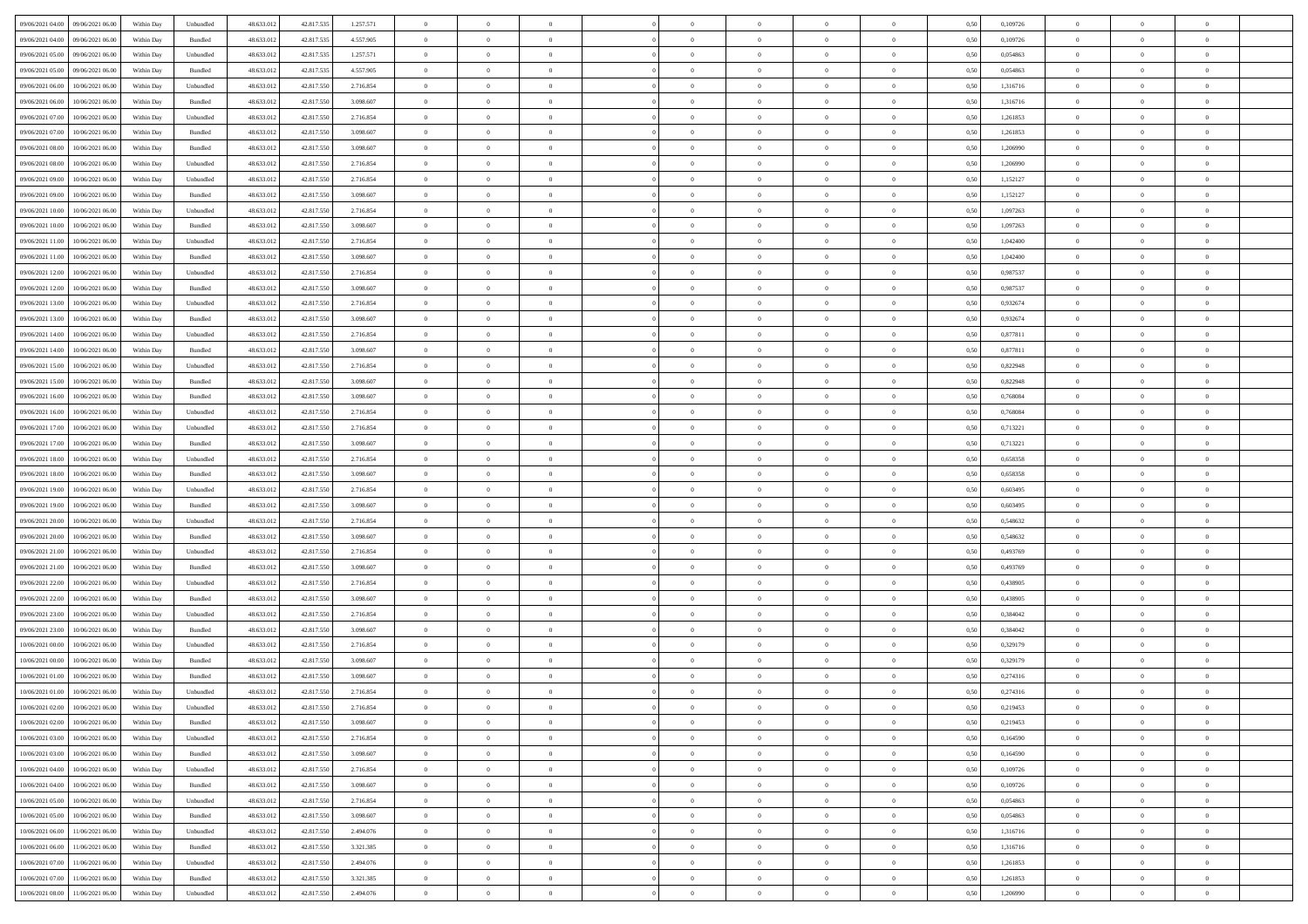| 09/06/2021 04:00 09/06/2021 06:00              | Within Day | Unbundled         | 48.633.01  | 42.817.535 | 1.257.571 | $\overline{0}$ | $\overline{0}$ |                | $\overline{0}$ | $\bf{0}$       |                | $\bf{0}$       | 0,50 | 0,109726 | $\theta$       | $\theta$       | $\overline{0}$ |  |
|------------------------------------------------|------------|-------------------|------------|------------|-----------|----------------|----------------|----------------|----------------|----------------|----------------|----------------|------|----------|----------------|----------------|----------------|--|
| 09/06/2021 04:00<br>09/06/2021 06.00           | Within Day | Bundled           | 48.633.01  | 42.817.53  | 4.557.905 | $\bf{0}$       | $\bf{0}$       | $\bf{0}$       | $\overline{0}$ | $\overline{0}$ | $\overline{0}$ | $\bf{0}$       | 0,50 | 0,109726 | $\,$ 0 $\,$    | $\bf{0}$       | $\overline{0}$ |  |
| 09/06/2021 05:00<br>09/06/2021 06:00           | Within Day | Unbundled         | 48.633.012 | 42.817.535 | 1.257.571 | $\overline{0}$ | $\bf{0}$       | $\overline{0}$ | $\bf{0}$       | $\bf{0}$       | $\overline{0}$ | $\bf{0}$       | 0.50 | 0.054863 | $\bf{0}$       | $\overline{0}$ | $\overline{0}$ |  |
| 09/06/2021 05:00<br>09/06/2021 06:00           | Within Day | Bundled           | 48.633.01  | 42.817.535 | 4.557.905 | $\overline{0}$ | $\overline{0}$ | $\overline{0}$ | $\theta$       | $\theta$       | $\overline{0}$ | $\bf{0}$       | 0,50 | 0,054863 | $\theta$       | $\theta$       | $\overline{0}$ |  |
|                                                |            |                   |            |            |           |                |                |                |                |                |                |                |      |          |                |                |                |  |
| 09/06/2021 06:00<br>10/06/2021 06:00           | Within Day | Unbundled         | 48.633.01  | 42.817.55  | 2.716.854 | $\bf{0}$       | $\overline{0}$ | $\bf{0}$       | $\overline{0}$ | $\theta$       | $\overline{0}$ | $\bf{0}$       | 0,50 | 1,316716 | $\,$ 0 $\,$    | $\bf{0}$       | $\overline{0}$ |  |
| 09/06/2021 06:00<br>10/06/2021 06:00           | Within Day | Bundled           | 48.633.013 | 42.817.55  | 3.098.607 | $\overline{0}$ | $\overline{0}$ | $\overline{0}$ | $\bf{0}$       | $\overline{0}$ | $\Omega$       | $\bf{0}$       | 0.50 | 1.316716 | $\,$ 0 $\,$    | $\theta$       | $\overline{0}$ |  |
| 09/06/2021 07:00<br>10/06/2021 06:00           | Within Day | Unbundled         | 48.633.013 | 42.817.550 | 2.716.854 | $\overline{0}$ | $\overline{0}$ | $\overline{0}$ | $\overline{0}$ | $\overline{0}$ | $\overline{0}$ | $\bf{0}$       | 0,50 | 1,261853 | $\,$ 0 $\,$    | $\theta$       | $\overline{0}$ |  |
| 09/06/2021 07:00<br>10/06/2021 06:00           | Within Day | Bundled           | 48.633.01  | 42.817.55  | 3.098.607 | $\overline{0}$ | $\overline{0}$ | $\overline{0}$ | $\overline{0}$ | $\theta$       | $\overline{0}$ | $\bf{0}$       | 0,50 | 1,261853 | $\,$ 0 $\,$    | $\bf{0}$       | $\overline{0}$ |  |
|                                                |            |                   |            |            |           |                |                |                |                |                |                |                |      |          |                |                |                |  |
| 09/06/2021 08:00<br>10/06/2021 06:00           | Within Day | Bundled           | 48.633.013 | 42.817.55  | 3.098.607 | $\overline{0}$ | $\bf{0}$       | $\overline{0}$ | $\bf{0}$       | $\overline{0}$ | $\overline{0}$ | $\bf{0}$       | 0.50 | 1.206990 | $\bf{0}$       | $\overline{0}$ | $\overline{0}$ |  |
| 09/06/2021 08:00<br>10/06/2021 06:00           | Within Day | Unbundled         | 48.633.012 | 42.817.550 | 2.716.854 | $\overline{0}$ | $\bf{0}$       | $\overline{0}$ | $\overline{0}$ | $\overline{0}$ | $\overline{0}$ | $\bf{0}$       | 0,50 | 1,206990 | $\,$ 0 $\,$    | $\bf{0}$       | $\overline{0}$ |  |
| 09/06/2021 09:00<br>10/06/2021 06:00           | Within Day | Unbundled         | 48.633.01  | 42.817.550 | 2.716.854 | $\bf{0}$       | $\overline{0}$ | $\bf{0}$       | $\bf{0}$       | $\bf{0}$       | $\overline{0}$ | $\bf{0}$       | 0,50 | 1,152127 | $\,$ 0 $\,$    | $\bf{0}$       | $\overline{0}$ |  |
| 09/06/2021 09:00<br>10/06/2021 06:00           | Within Day | Bundled           | 48.633.013 | 42.817.550 | 3.098.607 | $\overline{0}$ | $\bf{0}$       | $\overline{0}$ | $\overline{0}$ | $\bf{0}$       | $\overline{0}$ | $\bf{0}$       | 0.50 | 1,152127 | $\bf{0}$       | $\overline{0}$ | $\overline{0}$ |  |
| 09/06/2021 10:00<br>10/06/2021 06:00           | Within Day | Unbundled         | 48.633.01  | 42.817.550 | 2.716.854 | $\overline{0}$ | $\overline{0}$ | $\overline{0}$ | $\theta$       | $\theta$       | $\overline{0}$ | $\bf{0}$       | 0,50 | 1,097263 | $\,$ 0 $\,$    | $\theta$       | $\overline{0}$ |  |
|                                                |            |                   |            |            |           |                |                |                |                |                |                |                |      |          |                |                |                |  |
| 09/06/2021 10:00<br>10/06/2021 06:00           | Within Day | Bundled           | 48.633.01  | 42.817.55  | 3.098.607 | $\bf{0}$       | $\overline{0}$ | $\bf{0}$       | $\overline{0}$ | $\theta$       | $\overline{0}$ | $\bf{0}$       | 0,50 | 1,097263 | $\,$ 0 $\,$    | $\bf{0}$       | $\overline{0}$ |  |
| 09/06/2021 11:00<br>10/06/2021 06:00           | Within Day | Unbundled         | 48.633.013 | 42.817.550 | 2.716.854 | $\overline{0}$ | $\overline{0}$ | $\overline{0}$ | $\bf{0}$       | $\overline{0}$ | $\Omega$       | $\bf{0}$       | 0.50 | 1.042400 | $\,$ 0 $\,$    | $\theta$       | $\overline{0}$ |  |
| 09/06/2021 11:00<br>10/06/2021 06:00           | Within Day | Bundled           | 48.633.013 | 42.817.550 | 3.098.607 | $\overline{0}$ | $\overline{0}$ | $\overline{0}$ | $\overline{0}$ | $\overline{0}$ | $\overline{0}$ | $\bf{0}$       | 0,50 | 1,042400 | $\theta$       | $\theta$       | $\overline{0}$ |  |
| 09/06/2021 12:00<br>10/06/2021 06:00           | Within Day | Unbundled         | 48.633.01  | 42.817.55  | 2.716.854 | $\bf{0}$       | $\overline{0}$ | $\overline{0}$ | $\overline{0}$ | $\theta$       | $\overline{0}$ | $\bf{0}$       | 0,50 | 0,987537 | $\,$ 0 $\,$    | $\bf{0}$       | $\overline{0}$ |  |
| 10/06/2021 06:00                               |            | Bundled           | 48.633.013 |            | 3.098.607 |                |                |                |                |                | $\overline{0}$ |                |      | 0.987537 |                | $\overline{0}$ |                |  |
| 09/06/2021 12:00                               | Within Day |                   |            | 42.817.55  |           | $\overline{0}$ | $\bf{0}$       | $\overline{0}$ | $\bf{0}$       | $\overline{0}$ |                | $\bf{0}$       | 0.50 |          | $\bf{0}$       |                | $\overline{0}$ |  |
| 09/06/2021 13:00<br>10/06/2021 06:00           | Within Day | Unbundled         | 48.633.013 | 42.817.550 | 2.716.854 | $\overline{0}$ | $\bf{0}$       | $\overline{0}$ | $\overline{0}$ | $\overline{0}$ | $\overline{0}$ | $\bf{0}$       | 0,50 | 0,932674 | $\,$ 0 $\,$    | $\bf{0}$       | $\overline{0}$ |  |
| 09/06/2021 13:00<br>10/06/2021 06:00           | Within Day | Bundled           | 48.633.01  | 42.817.550 | 3.098.607 | $\bf{0}$       | $\bf{0}$       | $\bf{0}$       | $\bf{0}$       | $\overline{0}$ | $\overline{0}$ | $\bf{0}$       | 0,50 | 0,932674 | $\,$ 0 $\,$    | $\bf{0}$       | $\overline{0}$ |  |
| 09/06/2021 14:00<br>10/06/2021 06:00           | Within Day | Unbundled         | 48.633.012 | 42,817,550 | 2.716.854 | $\overline{0}$ | $\bf{0}$       | $\overline{0}$ | $\overline{0}$ | $\bf{0}$       | $\overline{0}$ | $\bf{0}$       | 0.50 | 0.877811 | $\bf{0}$       | $\overline{0}$ | $\overline{0}$ |  |
| 09/06/2021 14:00<br>10/06/2021 06:00           | Within Day | Bundled           | 48.633.01  | 42.817.550 | 3.098.607 | $\overline{0}$ | $\overline{0}$ | $\overline{0}$ | $\overline{0}$ | $\theta$       | $\overline{0}$ | $\bf{0}$       | 0,50 | 0,877811 | $\theta$       | $\theta$       | $\overline{0}$ |  |
|                                                |            |                   |            |            |           |                | $\overline{0}$ |                |                | $\overline{0}$ | $\overline{0}$ |                |      |          | $\,$ 0 $\,$    | $\bf{0}$       | $\overline{0}$ |  |
| 09/06/2021 15:00<br>10/06/2021 06:00           | Within Day | Unbundled         | 48.633.01  | 42.817.550 | 2.716.854 | $\bf{0}$       |                | $\bf{0}$       | $\bf{0}$       |                |                | $\bf{0}$       | 0,50 | 0,822948 |                |                |                |  |
| 09/06/2021 15:00<br>10/06/2021 06:00           | Within Day | Bundled           | 48.633.013 | 42.817.55  | 3.098.607 | $\overline{0}$ | $\overline{0}$ | $\overline{0}$ | $\overline{0}$ | $\overline{0}$ | $\Omega$       | $\bf{0}$       | 0.50 | 0.822948 | $\,$ 0 $\,$    | $\theta$       | $\overline{0}$ |  |
| 09/06/2021 16:00<br>10/06/2021 06:00           | Within Day | Bundled           | 48.633.013 | 42.817.550 | 3.098.607 | $\overline{0}$ | $\overline{0}$ | $\overline{0}$ | $\overline{0}$ | $\theta$       | $\overline{0}$ | $\bf{0}$       | 0,50 | 0,768084 | $\,$ 0 $\,$    | $\theta$       | $\overline{0}$ |  |
| 09/06/2021 16:00<br>10/06/2021 06:00           | Within Day | Unbundled         | 48.633.01  | 42.817.55  | 2.716.854 | $\bf{0}$       | $\overline{0}$ | $\bf{0}$       | $\overline{0}$ | $\theta$       | $\overline{0}$ | $\bf{0}$       | 0,50 | 0,768084 | $\,$ 0 $\,$    | $\bf{0}$       | $\overline{0}$ |  |
| 09/06/2021 17:00<br>10/06/2021 06:00           | Within Day | Unbundled         | 48.633.013 | 42.817.55  | 2.716.854 | $\overline{0}$ | $\bf{0}$       | $\overline{0}$ | $\bf{0}$       | $\overline{0}$ | $\overline{0}$ | $\bf{0}$       | 0.50 | 0.713221 | $\bf{0}$       | $\overline{0}$ | $\overline{0}$ |  |
| 09/06/2021 17:00<br>10/06/2021 06:00           | Within Day | Bundled           | 48.633.01  | 42.817.550 | 3.098.607 | $\overline{0}$ | $\overline{0}$ | $\overline{0}$ | $\overline{0}$ | $\overline{0}$ | $\overline{0}$ | $\bf{0}$       | 0,50 | 0,713221 | $\,$ 0 $\,$    | $\theta$       | $\overline{0}$ |  |
|                                                |            |                   |            |            |           |                |                |                |                |                |                |                |      |          |                |                |                |  |
| 09/06/2021 18:00<br>10/06/2021 06:00           | Within Day | Unbundled         | 48.633.01  | 42.817.550 | 2.716.854 | $\bf{0}$       | $\bf{0}$       | $\bf{0}$       | $\bf{0}$       | $\overline{0}$ | $\overline{0}$ | $\bf{0}$       | 0,50 | 0,658358 | $\,$ 0 $\,$    | $\bf{0}$       | $\overline{0}$ |  |
| 09/06/2021 18:00<br>10/06/2021 06:00           | Within Day | Bundled           | 48.633.013 | 42.817.550 | 3.098.607 | $\overline{0}$ | $\bf{0}$       | $\overline{0}$ | $\bf{0}$       | $\bf{0}$       | $\overline{0}$ | $\bf{0}$       | 0.50 | 0.658358 | $\bf{0}$       | $\overline{0}$ | $\overline{0}$ |  |
| 09/06/2021 19:00<br>10/06/2021 06:00           | Within Day | Unbundled         | 48.633.013 | 42.817.550 | 2.716.854 | $\overline{0}$ | $\overline{0}$ | $\overline{0}$ | $\overline{0}$ | $\overline{0}$ | $\overline{0}$ | $\bf{0}$       | 0.5( | 0.603495 | $\theta$       | $\theta$       | $\overline{0}$ |  |
| 09/06/2021 19:00<br>10/06/2021 06:00           | Within Day | Bundled           | 48.633.01  | 42.817.55  | 3.098.607 | $\bf{0}$       | $\overline{0}$ | $\bf{0}$       | $\bf{0}$       | $\overline{0}$ | $\overline{0}$ | $\bf{0}$       | 0,50 | 0,603495 | $\,$ 0 $\,$    | $\bf{0}$       | $\overline{0}$ |  |
| 09/06/2021 20:00<br>10/06/2021 06:00           | Within Day | Unbundled         | 48.633.013 | 42.817.550 | 2.716.854 | $\overline{0}$ | $\bf{0}$       | $\overline{0}$ | $\bf{0}$       | $\overline{0}$ | $\Omega$       | $\bf{0}$       | 0.50 | 0.548632 | $\,$ 0 $\,$    | $\theta$       | $\overline{0}$ |  |
|                                                |            |                   |            |            |           |                |                |                |                |                |                |                |      |          |                |                |                |  |
| 09/06/2021 20:00<br>10/06/2021 06:00           | Within Dav | Bundled           | 48.633.013 | 42.817.550 | 3.098.607 | $\overline{0}$ | $\overline{0}$ | $\overline{0}$ | $\overline{0}$ | $\theta$       | $\overline{0}$ | $\overline{0}$ | 0.50 | 0,548632 | $\theta$       | $\theta$       | $\overline{0}$ |  |
| 09/06/2021 21:00<br>10/06/2021 06:00           | Within Day | Unbundled         | 48.633.01  | 42.817.55  | 2.716.854 | $\bf{0}$       | $\bf{0}$       | $\bf{0}$       | $\bf{0}$       | $\bf{0}$       | $\overline{0}$ | $\bf{0}$       | 0,50 | 0,493769 | $\,$ 0 $\,$    | $\bf{0}$       | $\overline{0}$ |  |
| 09/06/2021 21:00<br>10/06/2021 06:00           | Within Day | Bundled           | 48.633.013 | 42.817.55  | 3.098.607 | $\overline{0}$ | $\bf{0}$       | $\overline{0}$ | $\bf{0}$       | $\overline{0}$ | $\overline{0}$ | $\bf{0}$       | 0.50 | 0.493769 | $\bf{0}$       | $\overline{0}$ | $\overline{0}$ |  |
| 09/06/2021 22:00<br>10/06/2021 06:00           | Within Dav | Unbundled         | 48.633.013 | 42.817.550 | 2.716.854 | $\overline{0}$ | $\overline{0}$ | $\overline{0}$ | $\overline{0}$ | $\overline{0}$ | $\overline{0}$ | $\overline{0}$ | 0.50 | 0,438905 | $\theta$       | $\theta$       | $\overline{0}$ |  |
| 09/06/2021 22:00<br>10/06/2021 06:00           | Within Day | Bundled           | 48.633.01  | 42.817.550 | 3.098.607 | $\bf{0}$       | $\bf{0}$       | $\bf{0}$       | $\bf{0}$       | $\overline{0}$ | $\overline{0}$ | $\bf{0}$       | 0,50 | 0,438905 | $\,$ 0 $\,$    | $\bf{0}$       | $\overline{0}$ |  |
|                                                |            |                   |            |            |           |                |                |                |                |                |                |                |      |          |                |                |                |  |
| 09/06/2021 23:00<br>10/06/2021 06:00           | Within Day | Unbundled         | 48.633.013 | 42,817,550 | 2.716.854 | $\overline{0}$ | $\bf{0}$       | $\overline{0}$ | $\overline{0}$ | $\bf{0}$       | $\overline{0}$ | $\bf{0}$       | 0.50 | 0.384042 | $\bf{0}$       | $\overline{0}$ | $\overline{0}$ |  |
| 09/06/2021 23:00<br>10/06/2021 06:00           | Within Dav | Bundled           | 48.633.013 | 42.817.550 | 3.098.607 | $\overline{0}$ | $\overline{0}$ | $\overline{0}$ | $\overline{0}$ | $\theta$       | $\overline{0}$ | $\bf{0}$       | 0.50 | 0.384042 | $\theta$       | $\theta$       | $\overline{0}$ |  |
| 10/06/2021 00:00<br>10/06/2021 06:00           | Within Day | Unbundled         | 48.633.013 | 42.817.550 | 2.716.854 | $\bf{0}$       | $\bf{0}$       | $\bf{0}$       | $\bf{0}$       | $\overline{0}$ | $\overline{0}$ | $\bf{0}$       | 0,50 | 0,329179 | $\,$ 0 $\,$    | $\bf{0}$       | $\overline{0}$ |  |
| 10/06/2021 00:00<br>10/06/2021 06:00           | Within Day | Bundled           | 48.633.013 | 42.817.55  | 3.098.607 | $\overline{0}$ | $\overline{0}$ | $\Omega$       | $\overline{0}$ | $\theta$       | $\Omega$       | $\bf{0}$       | 0.50 | 0,329179 | $\bf{0}$       | $\theta$       | $\overline{0}$ |  |
| 10/06/2021 01:00<br>10/06/2021 06:00           | Within Dav | Bundled           | 48.633.013 | 42.817.550 | 3.098.607 | $\overline{0}$ | $\overline{0}$ | $\Omega$       | $\overline{0}$ | $\theta$       | $\Omega$       | $\overline{0}$ | 0.5( | 0,274316 | $\theta$       | $\theta$       | $\overline{0}$ |  |
|                                                |            |                   |            |            |           | $\bf{0}$       | $\bf{0}$       | $\overline{0}$ | $\bf{0}$       | $\bf{0}$       | $\overline{0}$ |                |      |          | $\overline{0}$ | $\bf{0}$       | $\overline{0}$ |  |
| 10/06/2021 01:00<br>10/06/2021 06:00           | Within Day | Unbundled         | 48.633.01  | 42.817.550 | 2.716.854 |                |                |                |                |                |                | $\bf{0}$       | 0,50 | 0,274316 |                |                |                |  |
| $10/06/2021\; 02.00 \qquad 10/06/2021\; 06.00$ | Within Day | ${\sf Unbundred}$ | 48.633.012 | 42.817.550 | 2.716.854 | $\overline{0}$ |                |                | $\Omega$       |                |                |                | 0,50 | 0,219453 | $\theta$       | $\overline{0}$ |                |  |
| 10/06/2021 02:00 10/06/2021 06:00              | Within Day | Bundled           | 48.633.012 | 42.817.550 | 3.098.607 | $\overline{0}$ | $\overline{0}$ | $\overline{0}$ | $\theta$       | $\overline{0}$ | $\overline{0}$ | $\bf{0}$       | 0,50 | 0,219453 | $\theta$       | $\overline{0}$ | $\overline{0}$ |  |
| 10/06/2021 03:00<br>10/06/2021 06:00           | Within Day | Unbundled         | 48.633.013 | 42.817.550 | 2.716.854 | $\overline{0}$ | $\bf{0}$       | $\overline{0}$ | $\overline{0}$ | $\bf{0}$       | $\overline{0}$ | $\bf{0}$       | 0,50 | 0,164590 | $\bf{0}$       | $\overline{0}$ | $\bf{0}$       |  |
| 10/06/2021 03:00 10/06/2021 06:00              | Within Day | Bundled           | 48.633.012 | 42.817.550 | 3.098.607 | $\overline{0}$ | $\bf{0}$       | $\overline{0}$ | $\overline{0}$ | $\mathbf{0}$   | $\overline{0}$ | $\,$ 0 $\,$    | 0.50 | 0.164590 | $\overline{0}$ | $\bf{0}$       | $\,$ 0 $\,$    |  |
|                                                |            |                   |            |            |           |                |                |                |                |                |                |                |      |          |                |                |                |  |
| 10/06/2021 04:00 10/06/2021 06:00              | Within Dav | Unbundled         | 48.633.012 | 42.817.550 | 2.716.854 | $\overline{0}$ | $\overline{0}$ | $\overline{0}$ | $\overline{0}$ | $\overline{0}$ | $\overline{0}$ | $\bf{0}$       | 0,50 | 0,109726 | $\overline{0}$ | $\theta$       | $\overline{0}$ |  |
| 10/06/2021 04:00<br>10/06/2021 06:00           | Within Day | Bundled           | 48.633.012 | 42.817.550 | 3.098.607 | $\overline{0}$ | $\bf{0}$       | $\overline{0}$ | $\overline{0}$ | $\overline{0}$ | $\overline{0}$ | $\bf{0}$       | 0,50 | 0,109726 | $\bf{0}$       | $\overline{0}$ | $\overline{0}$ |  |
| 10/06/2021 05:00<br>10/06/2021 06:00           | Within Day | Unbundled         | 48.633.012 | 42,817,550 | 2.716.854 | $\overline{0}$ | $\bf{0}$       | $\overline{0}$ | $\overline{0}$ | $\bf{0}$       | $\overline{0}$ | $\bf{0}$       | 0.50 | 0.054863 | $\,$ 0 $\,$    | $\overline{0}$ | $\,$ 0         |  |
| 10/06/2021 05:00<br>10/06/2021 06:00           | Within Dav | Bundled           | 48.633.012 | 42.817.550 | 3.098.607 | $\overline{0}$ | $\overline{0}$ | $\overline{0}$ | $\overline{0}$ | $\overline{0}$ | $\overline{0}$ | $\bf{0}$       | 0.50 | 0,054863 | $\overline{0}$ | $\theta$       | $\overline{0}$ |  |
| 10/06/2021 06:00<br>11/06/2021 06:00           | Within Day | Unbundled         | 48.633.013 | 42.817.550 | 2.494.076 | $\overline{0}$ | $\overline{0}$ | $\overline{0}$ | $\overline{0}$ | $\overline{0}$ | $\overline{0}$ | $\bf{0}$       | 0,50 | 1,316716 | $\bf{0}$       | $\overline{0}$ | $\overline{0}$ |  |
|                                                |            |                   |            |            |           |                |                |                |                |                |                |                |      |          |                |                |                |  |
| 11/06/2021 06:00<br>10/06/2021 06:00           | Within Day | Bundled           | 48.633.012 | 42,817,550 | 3.321.385 | $\overline{0}$ | $\overline{0}$ | $\overline{0}$ | $\overline{0}$ | $\overline{0}$ | $\overline{0}$ | $\bf{0}$       | 0.50 | 1.316716 | $\mathbf{0}$   | $\bf{0}$       | $\,$ 0         |  |
| 10/06/2021 07:00<br>11/06/2021 06:00           | Within Dav | Unbundled         | 48.633.012 | 42.817.550 | 2.494.076 | $\overline{0}$ | $\overline{0}$ | $\overline{0}$ | $\overline{0}$ | $\overline{0}$ | $\overline{0}$ | $\bf{0}$       | 0,50 | 1,261853 | $\overline{0}$ | $\theta$       | $\overline{0}$ |  |
| 10/06/2021 07:00<br>11/06/2021 06:00           | Within Day | Bundled           | 48.633.013 | 42.817.550 | 3.321.385 | $\overline{0}$ | $\bf{0}$       | $\overline{0}$ | $\overline{0}$ | $\overline{0}$ | $\overline{0}$ | $\bf{0}$       | 0,50 | 1,261853 | $\bf{0}$       | $\,0\,$        | $\bf{0}$       |  |
| 10/06/2021 08:00 11/06/2021 06:00              | Within Day | Unbundled         | 48.633.012 | 42.817.550 | 2.494.076 | $\,$ 0 $\,$    | $\bf{0}$       | $\overline{0}$ | $\overline{0}$ | $\,$ 0 $\,$    | $\overline{0}$ | $\bf{0}$       | 0,50 | 1,206990 | $\overline{0}$ | $\,$ 0 $\,$    | $\,$ 0 $\,$    |  |
|                                                |            |                   |            |            |           |                |                |                |                |                |                |                |      |          |                |                |                |  |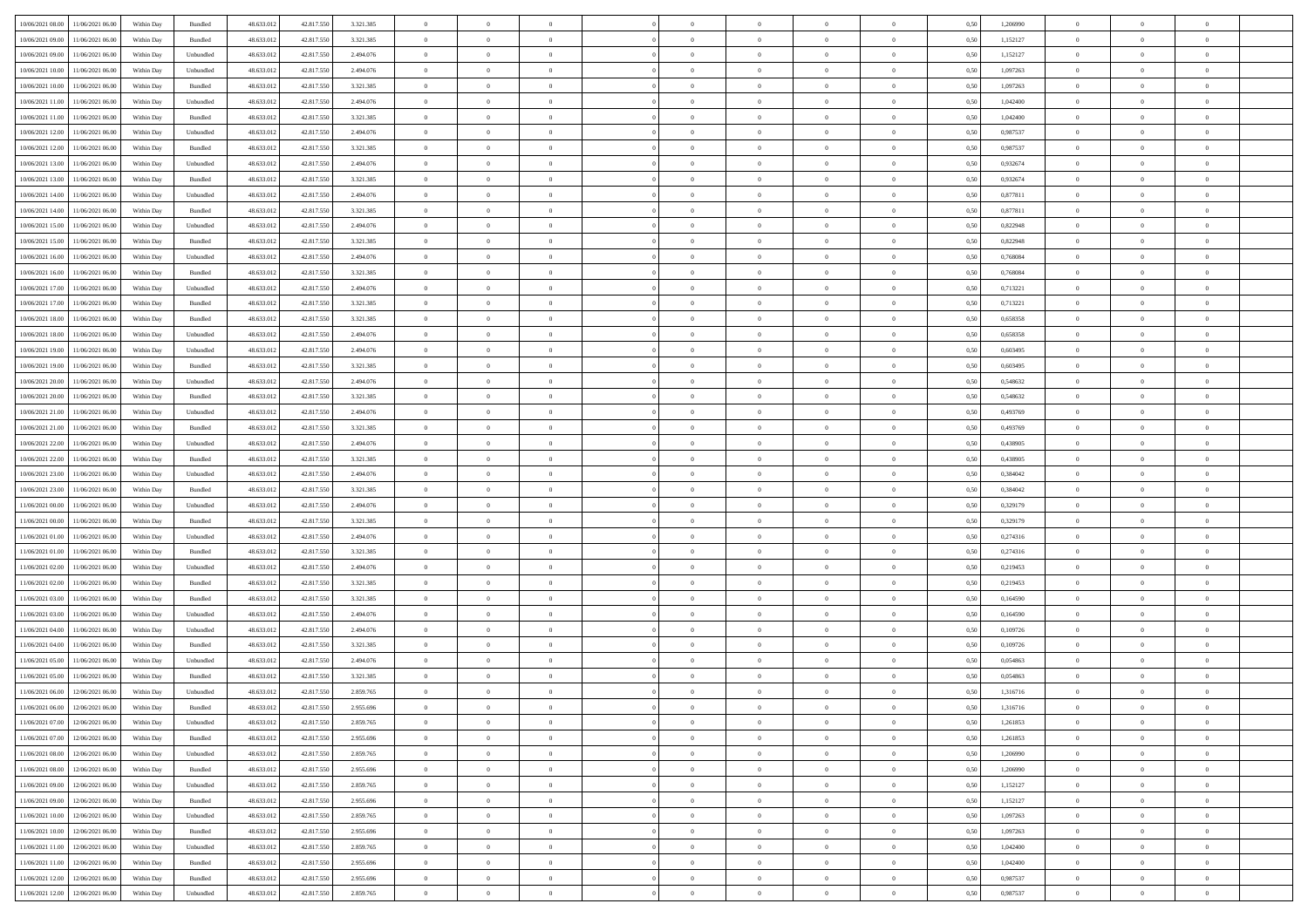| 10/06/2021 08:00 11/06/2021 06:00          |            |           | 48.633.01  |            | 3.321.385 | $\overline{0}$ | $\overline{0}$ |                | $\overline{0}$ | $\theta$       |                | $\theta$       | 0,50 | 1,206990 | $\theta$       | $\theta$       | $\theta$       |  |
|--------------------------------------------|------------|-----------|------------|------------|-----------|----------------|----------------|----------------|----------------|----------------|----------------|----------------|------|----------|----------------|----------------|----------------|--|
|                                            | Within Day | Bundled   |            | 42.817.550 |           |                |                |                |                |                |                |                |      |          |                |                |                |  |
| 10/06/2021 09:00<br>11/06/2021 06:00       | Within Day | Bundled   | 48.633.01  | 42.817.55  | 3.321.385 | $\bf{0}$       | $\bf{0}$       | $\bf{0}$       | $\bf{0}$       | $\overline{0}$ | $\overline{0}$ | $\bf{0}$       | 0,50 | 1,152127 | $\,$ 0 $\,$    | $\bf{0}$       | $\overline{0}$ |  |
| 10/06/2021 09:00<br>11/06/2021 06:00       | Within Day | Unbundled | 48.633.012 | 42,817,550 | 2.494.076 | $\overline{0}$ | $\bf{0}$       | $\overline{0}$ | $\bf{0}$       | $\bf{0}$       | $\overline{0}$ | $\bf{0}$       | 0.50 | 1,152127 | $\bf{0}$       | $\overline{0}$ | $\overline{0}$ |  |
| 10/06/2021 10:00<br>11/06/2021 06:00       | Within Day | Unbundled | 48.633.01  | 42.817.550 | 2.494.076 | $\overline{0}$ | $\overline{0}$ | $\overline{0}$ | $\overline{0}$ | $\theta$       | $\overline{0}$ | $\bf{0}$       | 0,50 | 1,097263 | $\theta$       | $\theta$       | $\overline{0}$ |  |
| 10/06/2021 10:00<br>11/06/2021 06:00       | Within Day | Bundled   | 48.633.01  | 42.817.55  | 3.321.385 | $\bf{0}$       | $\overline{0}$ | $\bf{0}$       | $\overline{0}$ | $\theta$       | $\overline{0}$ | $\bf{0}$       | 0,50 | 1,097263 | $\,$ 0 $\,$    | $\bf{0}$       | $\overline{0}$ |  |
| 11/06/2021 06:00                           |            | Unbundled | 48.633.013 | 42.817.55  | 2.494.076 | $\overline{0}$ | $\overline{0}$ | $\overline{0}$ | $\bf{0}$       | $\overline{0}$ | $\theta$       | $\bf{0}$       | 0.50 | 1.042400 | $\,$ 0 $\,$    | $\theta$       | $\overline{0}$ |  |
| 10/06/2021 11:00                           | Within Day |           |            |            |           |                |                |                |                |                |                |                |      |          |                |                |                |  |
| 10/06/2021 11:00<br>11/06/2021 06:00       | Within Day | Bundled   | 48.633.013 | 42.817.550 | 3.321.385 | $\overline{0}$ | $\overline{0}$ | $\overline{0}$ | $\overline{0}$ | $\overline{0}$ | $\overline{0}$ | $\bf{0}$       | 0,50 | 1,042400 | $\,$ 0 $\,$    | $\theta$       | $\overline{0}$ |  |
| 10/06/2021 12:00<br>11/06/2021 06:00       | Within Day | Unbundled | 48.633.01  | 42.817.55  | 2.494.076 | $\overline{0}$ | $\bf{0}$       | $\bf{0}$       | $\overline{0}$ | $\overline{0}$ | $\overline{0}$ | $\bf{0}$       | 0,50 | 0,987537 | $\,$ 0 $\,$    | $\bf{0}$       | $\overline{0}$ |  |
| 10/06/2021 12:00<br>11/06/2021 06:00       | Within Day | Bundled   | 48.633.013 | 42.817.55  | 3.321.385 | $\overline{0}$ | $\bf{0}$       | $\overline{0}$ | $\bf{0}$       | $\overline{0}$ | $\overline{0}$ | $\bf{0}$       | 0.50 | 0.987537 | $\bf{0}$       | $\overline{0}$ | $\overline{0}$ |  |
| 10/06/2021 13:00<br>11/06/2021 06:00       | Within Day | Unbundled | 48.633.013 | 42.817.550 | 2.494.076 | $\bf{0}$       | $\bf{0}$       | $\overline{0}$ | $\overline{0}$ | $\overline{0}$ | $\overline{0}$ | $\bf{0}$       | 0,50 | 0,932674 | $\,$ 0 $\,$    | $\bf{0}$       | $\overline{0}$ |  |
| 10/06/2021 13:00<br>11/06/2021 06:00       | Within Day | Bundled   | 48.633.01  | 42.817.550 | 3.321.385 | $\bf{0}$       | $\bf{0}$       | $\bf{0}$       | $\bf{0}$       | $\overline{0}$ | $\overline{0}$ | $\bf{0}$       | 0,50 | 0,932674 | $\,$ 0 $\,$    | $\bf{0}$       | $\overline{0}$ |  |
| 10/06/2021 14:00<br>11/06/2021 06:00       | Within Day | Unbundled | 48.633.013 | 42.817.550 | 2.494.076 | $\overline{0}$ | $\bf{0}$       | $\overline{0}$ | $\overline{0}$ | $\bf{0}$       | $\overline{0}$ | $\bf{0}$       | 0.50 | 0.877811 | $\bf{0}$       | $\overline{0}$ | $\bf{0}$       |  |
| 10/06/2021 14:00<br>11/06/2021 06:00       | Within Day | Bundled   | 48.633.01  | 42.817.550 | 3.321.385 | $\overline{0}$ | $\overline{0}$ | $\overline{0}$ | $\theta$       | $\theta$       | $\overline{0}$ | $\bf{0}$       | 0,50 | 0,877811 | $\,$ 0 $\,$    | $\theta$       | $\overline{0}$ |  |
|                                            |            |           |            |            |           |                |                |                |                |                |                |                |      |          |                |                |                |  |
| 10/06/2021 15:00<br>11/06/2021 06:00       | Within Day | Unbundled | 48.633.01  | 42.817.55  | 2.494.076 | $\bf{0}$       | $\overline{0}$ | $\bf{0}$       | $\overline{0}$ | $\bf{0}$       | $\overline{0}$ | $\bf{0}$       | 0,50 | 0,822948 | $\,$ 0 $\,$    | $\bf{0}$       | $\overline{0}$ |  |
| 10/06/2021 15:00<br>11/06/2021 06:00       | Within Day | Bundled   | 48.633.013 | 42.817.550 | 3.321.385 | $\overline{0}$ | $\bf{0}$       | $\overline{0}$ | $\bf{0}$       | $\overline{0}$ | $\theta$       | $\bf{0}$       | 0.50 | 0,822948 | $\,$ 0 $\,$    | $\theta$       | $\overline{0}$ |  |
| 10/06/2021 16:00<br>11/06/2021 06:00       | Within Day | Unbundled | 48.633.013 | 42.817.550 | 2.494.076 | $\overline{0}$ | $\overline{0}$ | $\overline{0}$ | $\overline{0}$ | $\overline{0}$ | $\overline{0}$ | $\bf{0}$       | 0,50 | 0,768084 | $\theta$       | $\theta$       | $\overline{0}$ |  |
| 10/06/2021 16:00<br>11/06/2021 06:00       | Within Day | Bundled   | 48.633.01  | 42.817.55  | 3.321.385 | $\bf{0}$       | $\bf{0}$       | $\bf{0}$       | $\overline{0}$ | $\bf{0}$       | $\overline{0}$ | $\bf{0}$       | 0,50 | 0,768084 | $\,$ 0 $\,$    | $\bf{0}$       | $\overline{0}$ |  |
| 10/06/2021 17:00<br>11/06/2021 06:00       | Within Day | Unbundled | 48.633.013 | 42.817.55  | 2.494.076 | $\overline{0}$ | $\bf{0}$       | $\overline{0}$ | $\bf{0}$       | $\overline{0}$ | $\overline{0}$ | $\bf{0}$       | 0.50 | 0.713221 | $\bf{0}$       | $\overline{0}$ | $\bf{0}$       |  |
| 10/06/2021 17:00<br>11/06/2021 06:00       | Within Day | Bundled   | 48.633.013 | 42.817.550 | 3.321.385 | $\bf{0}$       | $\bf{0}$       | $\overline{0}$ | $\overline{0}$ | $\overline{0}$ | $\overline{0}$ | $\bf{0}$       | 0,50 | 0,713221 | $\,$ 0 $\,$    | $\bf{0}$       | $\overline{0}$ |  |
| 10/06/2021 18:00<br>11/06/2021 06:00       | Within Day | Bundled   | 48.633.01  | 42.817.55  | 3.321.385 | $\bf{0}$       | $\bf{0}$       | $\bf{0}$       | $\bf{0}$       | $\overline{0}$ | $\overline{0}$ | $\bf{0}$       | 0,50 | 0,658358 | $\,$ 0 $\,$    | $\bf{0}$       | $\overline{0}$ |  |
|                                            |            | Unbundled | 48.633.013 | 42,817,550 | 2.494.076 |                | $\bf{0}$       | $\overline{0}$ |                | $\bf{0}$       | $\overline{0}$ |                | 0.50 | 0.658358 | $\bf{0}$       | $\overline{0}$ | $\bf{0}$       |  |
| 10/06/2021 18:00<br>11/06/2021 06:00       | Within Day |           |            |            |           | $\overline{0}$ |                |                | $\overline{0}$ |                |                | $\bf{0}$       |      |          |                |                |                |  |
| 10/06/2021 19:00<br>11/06/2021 06:00       | Within Day | Unbundled | 48.633.01  | 42.817.550 | 2.494.076 | $\overline{0}$ | $\overline{0}$ | $\overline{0}$ | $\overline{0}$ | $\theta$       | $\overline{0}$ | $\bf{0}$       | 0,50 | 0,603495 | $\theta$       | $\theta$       | $\overline{0}$ |  |
| 10/06/2021 19:00<br>11/06/2021 06:00       | Within Day | Bundled   | 48.633.01  | 42.817.550 | 3.321.385 | $\bf{0}$       | $\bf{0}$       | $\bf{0}$       | $\bf{0}$       | $\overline{0}$ | $\overline{0}$ | $\bf{0}$       | 0,50 | 0,603495 | $\,$ 0 $\,$    | $\bf{0}$       | $\overline{0}$ |  |
| 10/06/2021 20:00<br>11/06/2021 06:00       | Within Day | Unbundled | 48.633.013 | 42.817.55  | 2.494.076 | $\overline{0}$ | $\overline{0}$ | $\overline{0}$ | $\bf{0}$       | $\overline{0}$ | $\theta$       | $\bf{0}$       | 0.50 | 0.548632 | $\,$ 0 $\,$    | $\theta$       | $\overline{0}$ |  |
| 10/06/2021 20:00<br>11/06/2021 06:00       | Within Day | Bundled   | 48.633.013 | 42.817.550 | 3.321.385 | $\overline{0}$ | $\overline{0}$ | $\overline{0}$ | $\overline{0}$ | $\overline{0}$ | $\overline{0}$ | $\bf{0}$       | 0,50 | 0,548632 | $\,$ 0 $\,$    | $\theta$       | $\overline{0}$ |  |
| 10/06/2021 21:00<br>11/06/2021 06:00       | Within Day | Unbundled | 48.633.01  | 42.817.55  | 2.494.076 | $\bf{0}$       | $\overline{0}$ | $\bf{0}$       | $\overline{0}$ | $\bf{0}$       | $\overline{0}$ | $\bf{0}$       | 0,50 | 0,493769 | $\,$ 0 $\,$    | $\bf{0}$       | $\overline{0}$ |  |
| 10/06/2021 21:00<br>11/06/2021 06:00       | Within Day | Bundled   | 48.633.013 | 42.817.550 | 3.321.385 | $\overline{0}$ | $\bf{0}$       | $\overline{0}$ | $\bf{0}$       | $\overline{0}$ | $\overline{0}$ | $\bf{0}$       | 0.50 | 0.493769 | $\bf{0}$       | $\overline{0}$ | $\overline{0}$ |  |
| 10/06/2021 22:00<br>11/06/2021 06:00       | Within Day | Unbundled | 48.633.01  | 42.817.550 | 2.494.076 | $\overline{0}$ | $\bf{0}$       | $\overline{0}$ | $\overline{0}$ | $\overline{0}$ | $\overline{0}$ | $\bf{0}$       | 0,50 | 0,438905 | $\theta$       | $\theta$       | $\overline{0}$ |  |
| 10/06/2021 22:00<br>11/06/2021 06:00       | Within Day | Bundled   | 48.633.01  | 42.817.550 | 3.321.385 | $\bf{0}$       | $\bf{0}$       | $\bf{0}$       | $\bf{0}$       | $\overline{0}$ | $\overline{0}$ | $\bf{0}$       | 0,50 | 0,438905 | $\,$ 0 $\,$    | $\bf{0}$       | $\overline{0}$ |  |
|                                            |            |           |            |            |           |                |                |                |                |                |                |                |      |          |                |                |                |  |
| 10/06/2021 23:00<br>11/06/2021 06:00       | Within Day | Unbundled | 48.633.013 | 42.817.550 | 2.494.076 | $\overline{0}$ | $\bf{0}$       | $\overline{0}$ | $\overline{0}$ | $\bf{0}$       | $\overline{0}$ | $\bf{0}$       | 0.50 | 0.384042 | $\bf{0}$       | $\overline{0}$ | $\bf{0}$       |  |
| 10/06/2021 23:00<br>11/06/2021 06:00       | Within Day | Bundled   | 48.633.013 | 42.817.550 | 3.321.385 | $\overline{0}$ | $\overline{0}$ | $\overline{0}$ | $\overline{0}$ | $\overline{0}$ | $\overline{0}$ | $\bf{0}$       | 0.5( | 0,384042 | $\theta$       | $\theta$       | $\overline{0}$ |  |
| 11/06/2021 00:00<br>11/06/2021 06:00       | Within Day | Unbundled | 48.633.01  | 42.817.55  | 2.494.076 | $\bf{0}$       | $\bf{0}$       | $\bf{0}$       | $\bf{0}$       | $\overline{0}$ | $\overline{0}$ | $\bf{0}$       | 0,50 | 0,329179 | $\,$ 0 $\,$    | $\bf{0}$       | $\overline{0}$ |  |
| 11/06/2021 00:00<br>11/06/2021 06:00       | Within Day | Bundled   | 48.633.013 | 42.817.550 | 3.321.385 | $\overline{0}$ | $\bf{0}$       | $\overline{0}$ | $\bf{0}$       | $\overline{0}$ | $\overline{0}$ | $\bf{0}$       | 0.50 | 0,329179 | $\bf{0}$       | $\bf{0}$       | $\overline{0}$ |  |
| 11/06/2021 01:00<br>11/06/2021 06:00       | Within Dav | Unbundled | 48.633.013 | 42.817.550 | 2.494.076 | $\overline{0}$ | $\overline{0}$ | $\overline{0}$ | $\overline{0}$ | $\theta$       | $\overline{0}$ | $\bf{0}$       | 0.50 | 0,274316 | $\theta$       | $\theta$       | $\overline{0}$ |  |
| 11/06/2021 01:00<br>11/06/2021 06:00       | Within Day | Bundled   | 48.633.01  | 42.817.55  | 3.321.385 | $\bf{0}$       | $\bf{0}$       | $\bf{0}$       | $\bf{0}$       | $\overline{0}$ | $\overline{0}$ | $\bf{0}$       | 0,50 | 0,274316 | $\,$ 0 $\,$    | $\bf{0}$       | $\overline{0}$ |  |
| 11/06/2021 02:00<br>11/06/2021 06:00       | Within Day | Unbundled | 48.633.013 | 42.817.55  | 2.494.076 | $\overline{0}$ | $\bf{0}$       | $\overline{0}$ | $\bf{0}$       | $\overline{0}$ | $\overline{0}$ | $\bf{0}$       | 0.50 | 0.219453 | $\bf{0}$       | $\overline{0}$ | $\overline{0}$ |  |
| 11/06/2021 02:00<br>11/06/2021 06:00       | Within Dav | Bundled   | 48.633.013 | 42.817.550 | 3.321.385 | $\overline{0}$ | $\overline{0}$ | $\overline{0}$ | $\overline{0}$ | $\overline{0}$ | $\overline{0}$ | $\bf{0}$       | 0.50 | 0,219453 | $\theta$       | $\theta$       | $\overline{0}$ |  |
| 11/06/2021 06:00                           | Within Day | Bundled   | 48.633.01  | 42.817.550 | 3.321.385 | $\bf{0}$       | $\bf{0}$       | $\bf{0}$       | $\bf{0}$       | $\overline{0}$ | $\overline{0}$ | $\bf{0}$       | 0,50 | 0,164590 | $\,$ 0 $\,$    | $\bf{0}$       | $\overline{0}$ |  |
| 11/06/2021 03:00                           |            |           |            |            |           |                |                |                |                |                |                |                |      |          |                |                |                |  |
| $11/06/2021\ 03.00$<br>11/06/2021 06:00    | Within Day | Unbundled | 48.633.013 | 42.817.550 | 2.494.076 | $\overline{0}$ | $\bf{0}$       | $\overline{0}$ | $\overline{0}$ | $\bf{0}$       | $\overline{0}$ | $\bf{0}$       | 0.50 | 0.164590 | $\bf{0}$       | $\overline{0}$ | $\bf{0}$       |  |
| 11/06/2021 04:00<br>11/06/2021 06:00       | Within Dav | Unbundled | 48.633.013 | 42.817.550 | 2.494.076 | $\overline{0}$ | $\overline{0}$ | $\overline{0}$ | $\overline{0}$ | $\overline{0}$ | $\overline{0}$ | $\bf{0}$       | 0.50 | 0,109726 | $\theta$       | $\theta$       | $\overline{0}$ |  |
| 11/06/2021 04:00<br>11/06/2021 06:00       | Within Day | Bundled   | 48.633.013 | 42.817.550 | 3.321.385 | $\bf{0}$       | $\bf{0}$       | $\bf{0}$       | $\bf{0}$       | $\overline{0}$ | $\overline{0}$ | $\bf{0}$       | 0,50 | 0,109726 | $\,$ 0 $\,$    | $\bf{0}$       | $\overline{0}$ |  |
| 11/06/2021 05:00<br>11/06/2021 06:00       | Within Day | Unbundled | 48.633.013 | 42.817.55  | 2.494.076 | $\overline{0}$ | $\overline{0}$ | $\overline{0}$ | $\bf{0}$       | $\overline{0}$ | $\Omega$       | $\bf{0}$       | 0.50 | 0.054863 | $\bf{0}$       | $\theta$       | $\overline{0}$ |  |
| 11/06/2021 05:00<br>11/06/2021 06:00       | Within Dav | Bundled   | 48.633.013 | 42.817.550 | 3.321.385 | $\overline{0}$ | $\overline{0}$ | $\Omega$       | $\overline{0}$ | $\theta$       | $\overline{0}$ | $\overline{0}$ | 0.5( | 0,054863 | $\theta$       | $\theta$       | $\overline{0}$ |  |
| 11/06/2021 06:00<br>12/06/2021 06:00       | Within Day | Unbundled | 48.633.01  | 42.817.550 | 2.859.765 | $\bf{0}$       | $\bf{0}$       | $\overline{0}$ | $\bf{0}$       | $\bf{0}$       | $\overline{0}$ | $\bf{0}$       | 0,50 | 1,316716 | $\overline{0}$ | $\bf{0}$       | $\overline{0}$ |  |
| $11/06/2021~06.00 \qquad 12/06/2021~06.00$ | Within Day | Bundled   | 48.633.012 | 42.817.550 | 2.955.696 | $\bf{0}$       | $\Omega$       |                | $\Omega$       |                |                |                | 0,50 | 1,316716 | $\theta$       | $\overline{0}$ |                |  |
| 11/06/2021 07:00 12/06/2021 06:00          | Within Day | Unbundled | 48.633.012 | 42.817.550 | 2.859.765 | $\overline{0}$ | $\overline{0}$ | $\Omega$       | $\theta$       | $\overline{0}$ | $\overline{0}$ | $\bf{0}$       | 0,50 | 1,261853 | $\theta$       | $\overline{0}$ | $\overline{0}$ |  |
|                                            |            |           |            |            |           |                |                |                |                |                |                |                |      |          |                |                |                |  |
| 11/06/2021 07:00<br>12/06/2021 06:00       | Within Day | Bundled   | 48.633.013 | 42.817.550 | 2.955.696 | $\overline{0}$ | $\bf{0}$       | $\overline{0}$ | $\overline{0}$ | $\bf{0}$       | $\overline{0}$ | $\bf{0}$       | 0,50 | 1,261853 | $\bf{0}$       | $\overline{0}$ | $\bf{0}$       |  |
| 11/06/2021 08:00 12/06/2021 06:00          | Within Day | Unbundled | 48.633.012 | 42.817.550 | 2.859.765 | $\overline{0}$ | $\bf{0}$       | $\overline{0}$ | $\overline{0}$ | $\mathbf{0}$   | $\overline{0}$ | $\,$ 0 $\,$    | 0.50 | 1.206990 | $\overline{0}$ | $\bf{0}$       | $\,$ 0 $\,$    |  |
| 11/06/2021 08:00 12/06/2021 06:00          | Within Dav | Bundled   | 48.633.012 | 42.817.550 | 2.955.696 | $\overline{0}$ | $\overline{0}$ | $\overline{0}$ | $\overline{0}$ | $\overline{0}$ | $\overline{0}$ | $\bf{0}$       | 0,50 | 1,206990 | $\overline{0}$ | $\theta$       | $\overline{0}$ |  |
| 11/06/2021 09:00<br>12/06/2021 06:00       | Within Day | Unbundled | 48.633.012 | 42.817.550 | 2.859.765 | $\overline{0}$ | $\bf{0}$       | $\overline{0}$ | $\overline{0}$ | $\bf{0}$       | $\overline{0}$ | $\bf{0}$       | 0,50 | 1,152127 | $\bf{0}$       | $\overline{0}$ | $\overline{0}$ |  |
| 12/06/2021 06:00<br>11/06/2021 09:00       | Within Day | Bundled   | 48.633.012 | 42,817,550 | 2.955.696 | $\overline{0}$ | $\bf{0}$       | $\overline{0}$ | $\overline{0}$ | $\bf{0}$       | $\overline{0}$ | $\bf{0}$       | 0.50 | 1,152127 | $\,$ 0 $\,$    | $\overline{0}$ | $\,$ 0         |  |
| 11/06/2021 10:00<br>12/06/2021 06:00       | Within Dav | Unbundled | 48.633.012 | 42.817.550 | 2.859.765 | $\overline{0}$ | $\overline{0}$ | $\overline{0}$ | $\overline{0}$ | $\overline{0}$ | $\overline{0}$ | $\bf{0}$       | 0.50 | 1,097263 | $\overline{0}$ | $\theta$       | $\overline{0}$ |  |
| 11/06/2021 10:00<br>12/06/2021 06:00       | Within Day | Bundled   | 48.633.013 | 42.817.550 | 2.955.696 | $\overline{0}$ | $\overline{0}$ | $\overline{0}$ | $\overline{0}$ | $\overline{0}$ | $\overline{0}$ | $\bf{0}$       | 0,50 | 1,097263 | $\bf{0}$       | $\overline{0}$ | $\overline{0}$ |  |
| 11/06/2021 11:00 12/06/2021 06:00          | Within Day | Unbundled | 48.633.012 | 42,817,550 | 2.859.765 | $\overline{0}$ | $\overline{0}$ | $\overline{0}$ | $\overline{0}$ | $\overline{0}$ | $\overline{0}$ | $\bf{0}$       | 0.50 | 1.042400 | $\mathbf{0}$   | $\bf{0}$       | $\,$ 0         |  |
|                                            |            |           |            |            |           |                |                |                |                |                |                |                |      |          |                |                |                |  |
| 11/06/2021 11:00 12/06/2021 06:00          | Within Dav | Bundled   | 48.633.012 | 42.817.550 | 2.955.696 | $\overline{0}$ | $\overline{0}$ | $\overline{0}$ | $\overline{0}$ | $\overline{0}$ | $\overline{0}$ | $\bf{0}$       | 0,50 | 1,042400 | $\overline{0}$ | $\theta$       | $\overline{0}$ |  |
| 11/06/2021 12:00<br>12/06/2021 06:00       | Within Day | Bundled   | 48.633.013 | 42.817.550 | 2.955.696 | $\overline{0}$ | $\bf{0}$       | $\overline{0}$ | $\bf{0}$       | $\overline{0}$ | $\overline{0}$ | $\bf{0}$       | 0,50 | 0,987537 | $\bf{0}$       | $\,$ 0 $\,$    | $\bf{0}$       |  |
| 11/06/2021 12:00 12/06/2021 06:00          | Within Day | Unbundled | 48.633.012 | 42.817.550 | 2.859.765 | $\overline{0}$ | $\bf{0}$       | $\overline{0}$ | $\overline{0}$ | $\,$ 0 $\,$    | $\overline{0}$ | $\,$ 0 $\,$    | 0,50 | 0,987537 | $\overline{0}$ | $\,$ 0 $\,$    | $\,$ 0 $\,$    |  |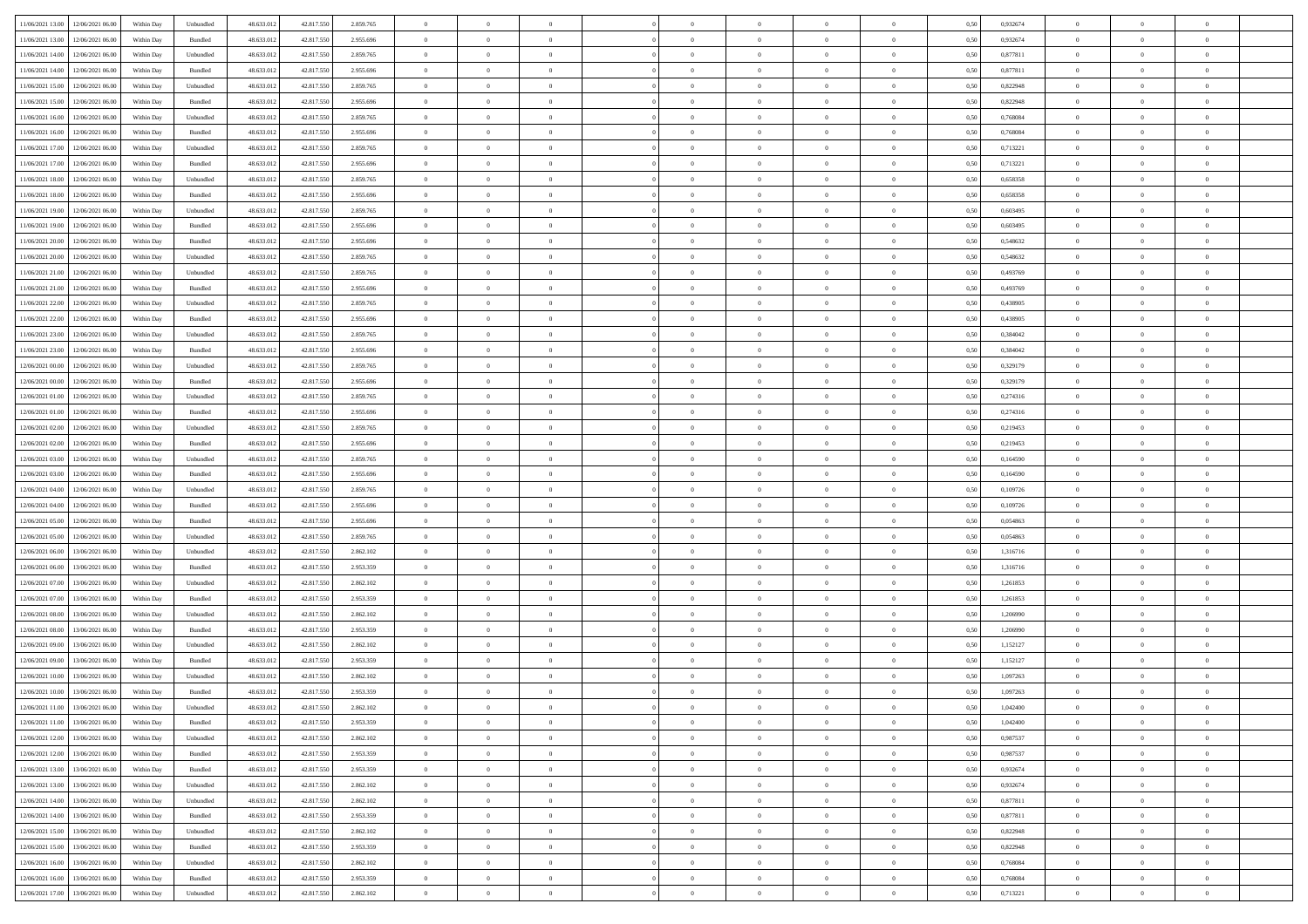| 11/06/2021 13:00 12/06/2021 06:00       | Within Day | Unbundled                   | 48.633.01  | 42.817.550 | 2.859.765 | $\overline{0}$ | $\overline{0}$ |                | $\overline{0}$ | $\theta$       |                | $\theta$       | 0,50 | 0,932674 | $\theta$       | $\theta$       | $\overline{0}$ |  |
|-----------------------------------------|------------|-----------------------------|------------|------------|-----------|----------------|----------------|----------------|----------------|----------------|----------------|----------------|------|----------|----------------|----------------|----------------|--|
|                                         |            |                             |            |            |           |                |                |                |                |                |                |                |      |          |                |                |                |  |
| 11/06/2021 13:00<br>12/06/2021 06:00    | Within Day | Bundled                     | 48.633.01  | 42.817.55  | 2.955.696 | $\bf{0}$       | $\bf{0}$       | $\bf{0}$       | $\bf{0}$       | $\overline{0}$ | $\overline{0}$ | $\bf{0}$       | 0,50 | 0,932674 | $\,$ 0 $\,$    | $\bf{0}$       | $\overline{0}$ |  |
| 11/06/2021 14:00<br>12/06/2021 06:00    | Within Day | Unbundled                   | 48.633.013 | 42,817,550 | 2.859.765 | $\overline{0}$ | $\bf{0}$       | $\overline{0}$ | $\bf{0}$       | $\bf{0}$       | $\overline{0}$ | $\bf{0}$       | 0.50 | 0.877811 | $\bf{0}$       | $\overline{0}$ | $\overline{0}$ |  |
| 11/06/2021 14:00<br>12/06/2021 06:00    | Within Day | Bundled                     | 48.633.013 | 42.817.550 | 2.955.696 | $\overline{0}$ | $\overline{0}$ | $\overline{0}$ | $\overline{0}$ | $\theta$       | $\overline{0}$ | $\bf{0}$       | 0,50 | 0,877811 | $\theta$       | $\theta$       | $\overline{0}$ |  |
| 11/06/2021 15:00<br>12/06/2021 06:00    | Within Day | Unbundled                   | 48.633.01  | 42.817.55  | 2.859.765 | $\bf{0}$       | $\overline{0}$ | $\bf{0}$       | $\overline{0}$ | $\theta$       | $\overline{0}$ | $\bf{0}$       | 0,50 | 0,822948 | $\,$ 0 $\,$    | $\bf{0}$       | $\overline{0}$ |  |
| 11/06/2021 15:00<br>12/06/2021 06:00    | Within Day | Bundled                     | 48.633.013 | 42.817.55  | 2.955.696 | $\overline{0}$ | $\overline{0}$ | $\overline{0}$ | $\bf{0}$       | $\overline{0}$ | $\theta$       | $\bf{0}$       | 0.50 | 0.822948 | $\,$ 0 $\,$    | $\theta$       | $\overline{0}$ |  |
|                                         |            |                             |            |            |           | $\overline{0}$ | $\overline{0}$ | $\overline{0}$ | $\overline{0}$ | $\overline{0}$ | $\overline{0}$ |                |      |          |                | $\theta$       | $\overline{0}$ |  |
| 11/06/2021 16:00<br>12/06/2021 06:00    | Within Day | Unbundled                   | 48.633.013 | 42.817.550 | 2.859.765 |                |                |                |                |                |                | $\bf{0}$       | 0,50 | 0,768084 | $\,$ 0 $\,$    |                |                |  |
| 11/06/2021 16:00<br>12/06/2021 06:00    | Within Day | Bundled                     | 48.633.01  | 42.817.55  | 2.955.696 | $\bf{0}$       | $\bf{0}$       | $\bf{0}$       | $\overline{0}$ | $\overline{0}$ | $\overline{0}$ | $\bf{0}$       | 0,50 | 0,768084 | $\,$ 0 $\,$    | $\bf{0}$       | $\overline{0}$ |  |
| 11/06/2021 17:00<br>12/06/2021 06:00    | Within Day | Unbundled                   | 48.633.013 | 42.817.55  | 2.859.765 | $\overline{0}$ | $\bf{0}$       | $\overline{0}$ | $\bf{0}$       | $\overline{0}$ | $\overline{0}$ | $\bf{0}$       | 0.50 | 0.713221 | $\bf{0}$       | $\overline{0}$ | $\overline{0}$ |  |
| 11/06/2021 17:00<br>12/06/2021 06:00    | Within Day | Bundled                     | 48.633.013 | 42.817.550 | 2.955.696 | $\overline{0}$ | $\bf{0}$       | $\overline{0}$ | $\overline{0}$ | $\overline{0}$ | $\overline{0}$ | $\bf{0}$       | 0,50 | 0,713221 | $\,$ 0 $\,$    | $\bf{0}$       | $\overline{0}$ |  |
| 11/06/2021 18:00<br>12/06/2021 06:00    | Within Day | Unbundled                   | 48.633.01  | 42.817.550 | 2.859.765 | $\bf{0}$       | $\bf{0}$       | $\bf{0}$       | $\bf{0}$       | $\overline{0}$ | $\overline{0}$ | $\bf{0}$       | 0,50 | 0,658358 | $\,$ 0 $\,$    | $\bf{0}$       | $\overline{0}$ |  |
| 11/06/2021 18:00<br>12/06/2021 06:00    | Within Day | Bundled                     | 48.633.013 | 42.817.550 | 2.955.696 | $\overline{0}$ | $\bf{0}$       | $\overline{0}$ | $\overline{0}$ | $\bf{0}$       | $\overline{0}$ | $\bf{0}$       | 0.50 | 0.658358 | $\bf{0}$       | $\overline{0}$ | $\,$ 0         |  |
| 11/06/2021 19:00<br>12/06/2021 06:00    | Within Day | Unbundled                   | 48.633.01  | 42.817.550 | 2.859.765 | $\overline{0}$ | $\overline{0}$ | $\overline{0}$ | $\theta$       | $\theta$       | $\overline{0}$ | $\bf{0}$       | 0,50 | 0,603495 | $\,$ 0 $\,$    | $\theta$       | $\overline{0}$ |  |
| 12/06/2021 06:00                        | Within Day | Bundled                     | 48.633.01  | 42.817.55  | 2.955.696 | $\bf{0}$       | $\overline{0}$ | $\bf{0}$       | $\overline{0}$ | $\bf{0}$       | $\overline{0}$ | $\bf{0}$       | 0,50 | 0,603495 | $\,$ 0 $\,$    | $\bf{0}$       | $\overline{0}$ |  |
| 11/06/2021 19:00                        |            |                             |            |            |           |                |                |                |                |                |                |                |      |          |                |                |                |  |
| 11/06/2021 20:00<br>12/06/2021 06:00    | Within Day | Bundled                     | 48.633.013 | 42.817.55  | 2.955.696 | $\overline{0}$ | $\overline{0}$ | $\overline{0}$ | $\bf{0}$       | $\overline{0}$ | $\theta$       | $\bf{0}$       | 0.50 | 0.548632 | $\,$ 0 $\,$    | $\theta$       | $\overline{0}$ |  |
| 11/06/2021 20:00<br>12/06/2021 06:00    | Within Day | Unbundled                   | 48.633.013 | 42.817.550 | 2.859.765 | $\overline{0}$ | $\overline{0}$ | $\overline{0}$ | $\overline{0}$ | $\overline{0}$ | $\overline{0}$ | $\bf{0}$       | 0,50 | 0,548632 | $\theta$       | $\theta$       | $\overline{0}$ |  |
| 11/06/2021 21:00<br>12/06/2021 06:00    | Within Day | Unbundled                   | 48.633.01  | 42.817.55  | 2.859.765 | $\bf{0}$       | $\bf{0}$       | $\bf{0}$       | $\overline{0}$ | $\bf{0}$       | $\overline{0}$ | $\bf{0}$       | 0,50 | 0,493769 | $\,$ 0 $\,$    | $\bf{0}$       | $\overline{0}$ |  |
| 11/06/2021 21:00<br>12/06/2021 06:00    | Within Day | Bundled                     | 48.633.013 | 42.817.55  | 2.955.696 | $\overline{0}$ | $\bf{0}$       | $\overline{0}$ | $\bf{0}$       | $\overline{0}$ | $\overline{0}$ | $\bf{0}$       | 0.50 | 0.493769 | $\bf{0}$       | $\overline{0}$ | $\overline{0}$ |  |
| 11/06/2021 22:00<br>12/06/2021 06:00    | Within Day | Unbundled                   | 48.633.013 | 42.817.550 | 2.859.765 | $\bf{0}$       | $\bf{0}$       | $\overline{0}$ | $\overline{0}$ | $\overline{0}$ | $\overline{0}$ | $\bf{0}$       | 0,50 | 0,438905 | $\,$ 0 $\,$    | $\bf{0}$       | $\overline{0}$ |  |
| 11/06/2021 22:00<br>12/06/2021 06:00    | Within Day | Bundled                     | 48.633.01  | 42.817.55  | 2.955.696 | $\bf{0}$       | $\bf{0}$       | $\bf{0}$       | $\bf{0}$       | $\overline{0}$ | $\overline{0}$ | $\bf{0}$       | 0,50 | 0,438905 | $\,$ 0 $\,$    | $\bf{0}$       | $\overline{0}$ |  |
| 12/06/2021 06:00                        | Within Day | Unbundled                   | 48.633.012 | 42,817,550 | 2.859.765 | $\overline{0}$ | $\bf{0}$       | $\overline{0}$ | $\overline{0}$ | $\bf{0}$       | $\overline{0}$ | $\bf{0}$       | 0.50 | 0.384042 | $\bf{0}$       | $\overline{0}$ | $\,$ 0         |  |
| 11/06/2021 23:00                        |            |                             |            |            |           | $\overline{0}$ | $\overline{0}$ | $\overline{0}$ | $\overline{0}$ | $\theta$       | $\overline{0}$ |                |      |          | $\theta$       | $\theta$       | $\overline{0}$ |  |
| 11/06/2021 23:00<br>12/06/2021 06:00    | Within Day | Bundled                     | 48.633.01  | 42.817.550 | 2.955.696 |                |                |                |                |                |                | $\bf{0}$       | 0,50 | 0,384042 |                |                |                |  |
| 12/06/2021 00:00<br>12/06/2021 06:00    | Within Day | Unbundled                   | 48.633.01  | 42.817.550 | 2.859.765 | $\bf{0}$       | $\bf{0}$       | $\bf{0}$       | $\bf{0}$       | $\overline{0}$ | $\overline{0}$ | $\bf{0}$       | 0,50 | 0,329179 | $\,$ 0 $\,$    | $\bf{0}$       | $\overline{0}$ |  |
| 12/06/2021 00:00<br>12/06/2021 06:00    | Within Day | Bundled                     | 48.633.013 | 42.817.55  | 2.955.696 | $\overline{0}$ | $\overline{0}$ | $\overline{0}$ | $\bf{0}$       | $\overline{0}$ | $\theta$       | $\bf{0}$       | 0.50 | 0,329179 | $\bf{0}$       | $\theta$       | $\overline{0}$ |  |
| 12/06/2021 01:00<br>12/06/2021 06:00    | Within Day | Unbundled                   | 48.633.013 | 42.817.550 | 2.859.765 | $\overline{0}$ | $\overline{0}$ | $\overline{0}$ | $\overline{0}$ | $\overline{0}$ | $\overline{0}$ | $\bf{0}$       | 0,50 | 0,274316 | $\,$ 0 $\,$    | $\theta$       | $\overline{0}$ |  |
| 12/06/2021 01:00<br>12/06/2021 06:00    | Within Day | Bundled                     | 48.633.01  | 42.817.55  | 2.955.696 | $\bf{0}$       | $\overline{0}$ | $\bf{0}$       | $\overline{0}$ | $\bf{0}$       | $\overline{0}$ | $\bf{0}$       | 0,50 | 0,274316 | $\,$ 0 $\,$    | $\bf{0}$       | $\overline{0}$ |  |
| 12/06/2021 02:00<br>12/06/2021 06:00    | Within Day | Unbundled                   | 48.633.013 | 42.817.55  | 2.859.765 | $\overline{0}$ | $\bf{0}$       | $\overline{0}$ | $\bf{0}$       | $\overline{0}$ | $\overline{0}$ | $\bf{0}$       | 0.50 | 0.219453 | $\bf{0}$       | $\overline{0}$ | $\overline{0}$ |  |
| 12/06/2021 02:00<br>12/06/2021 06:00    | Within Day | Bundled                     | 48.633.013 | 42.817.550 | 2.955.696 | $\overline{0}$ | $\bf{0}$       | $\overline{0}$ | $\overline{0}$ | $\overline{0}$ | $\overline{0}$ | $\bf{0}$       | 0,50 | 0,219453 | $\theta$       | $\theta$       | $\overline{0}$ |  |
| 12/06/2021 03:00<br>12/06/2021 06:00    | Within Day | Unbundled                   | 48.633.01  | 42.817.550 | 2.859.765 | $\bf{0}$       | $\bf{0}$       | $\bf{0}$       | $\bf{0}$       | $\overline{0}$ | $\overline{0}$ | $\bf{0}$       | 0,50 | 0,164590 | $\,$ 0 $\,$    | $\bf{0}$       | $\overline{0}$ |  |
|                                         |            |                             |            |            |           |                |                |                |                |                |                |                |      |          |                |                |                |  |
| 12/06/2021 03:00<br>12/06/2021 06:00    | Within Day | Bundled                     | 48.633.013 | 42.817.550 | 2.955.696 | $\overline{0}$ | $\bf{0}$       | $\overline{0}$ | $\overline{0}$ | $\bf{0}$       | $\overline{0}$ | $\bf{0}$       | 0.50 | 0.164590 | $\bf{0}$       | $\overline{0}$ | $\,$ 0         |  |
| 12/06/2021 04:00<br>12/06/2021 06:00    | Within Day | Unbundled                   | 48.633.013 | 42.817.550 | 2.859.765 | $\overline{0}$ | $\overline{0}$ | $\overline{0}$ | $\overline{0}$ | $\overline{0}$ | $\overline{0}$ | $\bf{0}$       | 0.5( | 0,109726 | $\theta$       | $\theta$       | $\overline{0}$ |  |
| 12/06/2021 04:00<br>12/06/2021 06:00    | Within Day | Bundled                     | 48.633.01  | 42.817.55  | 2.955.696 | $\bf{0}$       | $\bf{0}$       | $\bf{0}$       | $\bf{0}$       | $\overline{0}$ | $\overline{0}$ | $\bf{0}$       | 0,50 | 0,109726 | $\,$ 0 $\,$    | $\bf{0}$       | $\overline{0}$ |  |
| 12/06/2021 05:00<br>12/06/2021 06:00    | Within Day | Bundled                     | 48.633.013 | 42.817.55  | 2.955.696 | $\overline{0}$ | $\bf{0}$       | $\overline{0}$ | $\bf{0}$       | $\overline{0}$ | $\Omega$       | $\bf{0}$       | 0.50 | 0.054863 | $\,$ 0 $\,$    | $\theta$       | $\overline{0}$ |  |
| 12/06/2021 05:00<br>12/06/2021 06:00    | Within Dav | Unbundled                   | 48.633.013 | 42.817.550 | 2.859.765 | $\overline{0}$ | $\overline{0}$ | $\overline{0}$ | $\overline{0}$ | $\theta$       | $\overline{0}$ | $\bf{0}$       | 0.50 | 0,054863 | $\theta$       | $\theta$       | $\overline{0}$ |  |
| 12/06/2021 06:00<br>13/06/2021 06:00    | Within Day | Unbundled                   | 48.633.01  | 42.817.55  | 2.862.102 | $\bf{0}$       | $\bf{0}$       | $\bf{0}$       | $\bf{0}$       | $\overline{0}$ | $\overline{0}$ | $\bf{0}$       | 0,50 | 1,316716 | $\,$ 0 $\,$    | $\bf{0}$       | $\overline{0}$ |  |
| 12/06/2021 06:00<br>13/06/2021 06:00    | Within Day | Bundled                     | 48.633.013 | 42.817.55  | 2.953.359 | $\overline{0}$ | $\bf{0}$       | $\overline{0}$ | $\bf{0}$       | $\overline{0}$ | $\overline{0}$ | $\bf{0}$       | 0.50 | 1.316716 | $\bf{0}$       | $\overline{0}$ | $\overline{0}$ |  |
| 12/06/2021 07:00<br>13/06/2021 06:00    | Within Dav | Unbundled                   | 48.633.013 | 42.817.550 | 2.862.102 | $\overline{0}$ | $\overline{0}$ | $\overline{0}$ | $\overline{0}$ | $\overline{0}$ | $\overline{0}$ | $\bf{0}$       | 0.50 | 1,261853 | $\theta$       | $\theta$       | $\overline{0}$ |  |
| 13/06/2021 06:00                        | Within Day | Bundled                     | 48.633.01  | 42.817.55  | 2.953.359 | $\bf{0}$       | $\bf{0}$       | $\bf{0}$       | $\bf{0}$       | $\overline{0}$ | $\overline{0}$ | $\bf{0}$       | 0,50 | 1,261853 | $\,$ 0 $\,$    | $\bf{0}$       | $\overline{0}$ |  |
| 12/06/2021 07:00                        |            |                             |            |            |           |                |                |                |                |                |                |                |      |          |                |                |                |  |
| $12/06/2021\ 08.00$<br>13/06/2021 06:00 | Within Day | Unbundled                   | 48.633.013 | 42.817.550 | 2.862.102 | $\overline{0}$ | $\bf{0}$       | $\overline{0}$ | $\overline{0}$ | $\bf{0}$       | $\overline{0}$ | $\bf{0}$       | 0.50 | 1.206990 | $\bf{0}$       | $\overline{0}$ | $\overline{0}$ |  |
| 12/06/2021 08:00<br>13/06/2021 06:00    | Within Dav | Bundled                     | 48.633.013 | 42.817.550 | 2.953.359 | $\overline{0}$ | $\overline{0}$ | $\overline{0}$ | $\overline{0}$ | $\overline{0}$ | $\overline{0}$ | $\bf{0}$       | 0.50 | 1.206990 | $\theta$       | $\theta$       | $\overline{0}$ |  |
| 12/06/2021 09:00<br>13/06/2021 06:00    | Within Day | Unbundled                   | 48.633.01  | 42.817.550 | 2.862.102 | $\bf{0}$       | $\bf{0}$       | $\bf{0}$       | $\bf{0}$       | $\overline{0}$ | $\overline{0}$ | $\bf{0}$       | 0,50 | 1,152127 | $\,$ 0 $\,$    | $\bf{0}$       | $\overline{0}$ |  |
| 12/06/2021 09:00<br>13/06/2021 06:00    | Within Day | Bundled                     | 48.633.013 | 42.817.55  | 2.953.359 | $\overline{0}$ | $\overline{0}$ | $\overline{0}$ | $\bf{0}$       | $\theta$       | $\Omega$       | $\bf{0}$       | 0.50 | 1,152127 | $\bf{0}$       | $\theta$       | $\overline{0}$ |  |
| 12/06/2021 10:00<br>13/06/2021 06:00    | Within Dav | Unbundled                   | 48.633.013 | 42.817.550 | 2.862.102 | $\overline{0}$ | $\overline{0}$ | $\Omega$       | $\overline{0}$ | $\theta$       | $\overline{0}$ | $\overline{0}$ | 0.5( | 1,097263 | $\theta$       | $\theta$       | $\overline{0}$ |  |
| 12/06/2021 10:00<br>13/06/2021 06:00    | Within Day | Bundled                     | 48.633.01  | 42.817.550 | 2.953.359 | $\bf{0}$       | $\bf{0}$       | $\bf{0}$       | $\bf{0}$       | $\bf{0}$       | $\overline{0}$ | $\bf{0}$       | 0,50 | 1,097263 | $\,$ 0 $\,$    | $\bf{0}$       | $\overline{0}$ |  |
| 12/06/2021 11:00 13/06/2021 06:00       | Within Day | $\ensuremath{\mathsf{Unb}}$ | 48.633.012 | 42.817.550 | 2.862.102 | $\bf{0}$       | $\Omega$       |                | $\Omega$       |                |                |                | 0,50 | 1,042400 | $\theta$       | $\overline{0}$ |                |  |
| 12/06/2021 11:00 13/06/2021 06:00       | Within Day | Bundled                     | 48.633.012 | 42.817.550 | 2.953.359 | $\overline{0}$ | $\overline{0}$ | $\Omega$       | $\theta$       | $\overline{0}$ | $\overline{0}$ | $\bf{0}$       | 0,50 | 1,042400 | $\theta$       | $\overline{0}$ | $\overline{0}$ |  |
|                                         |            |                             |            |            |           |                |                |                |                |                |                |                |      |          |                |                |                |  |
| 12/06/2021 12:00<br>13/06/2021 06:00    | Within Day | Unbundled                   | 48.633.013 | 42.817.550 | 2.862.102 | $\overline{0}$ | $\bf{0}$       | $\overline{0}$ | $\overline{0}$ | $\bf{0}$       | $\overline{0}$ | $\bf{0}$       | 0,50 | 0,987537 | $\bf{0}$       | $\overline{0}$ | $\bf{0}$       |  |
| 12/06/2021 12:00 13/06/2021 06:00       | Within Day | Bundled                     | 48.633.012 | 42,817,550 | 2.953.359 | $\overline{0}$ | $\bf{0}$       | $\overline{0}$ | $\overline{0}$ | $\mathbf{0}$   | $\overline{0}$ | $\,$ 0 $\,$    | 0.50 | 0.987537 | $\overline{0}$ | $\bf{0}$       | $\,$ 0 $\,$    |  |
| 12/06/2021 13:00 13/06/2021 06:00       | Within Dav | Bundled                     | 48.633.012 | 42.817.550 | 2.953.359 | $\overline{0}$ | $\overline{0}$ | $\overline{0}$ | $\overline{0}$ | $\overline{0}$ | $\overline{0}$ | $\bf{0}$       | 0.50 | 0,932674 | $\overline{0}$ | $\theta$       | $\overline{0}$ |  |
| 12/06/2021 13:00<br>13/06/2021 06:00    | Within Day | Unbundled                   | 48.633.012 | 42.817.550 | 2.862.102 | $\overline{0}$ | $\bf{0}$       | $\overline{0}$ | $\overline{0}$ | $\overline{0}$ | $\overline{0}$ | $\bf{0}$       | 0,50 | 0,932674 | $\bf{0}$       | $\overline{0}$ | $\overline{0}$ |  |
| 13/06/2021 06:00<br>12/06/2021 14:00    | Within Day | Unbundled                   | 48.633.012 | 42,817,550 | 2.862.102 | $\overline{0}$ | $\bf{0}$       | $\overline{0}$ | $\overline{0}$ | $\bf{0}$       | $\overline{0}$ | $\bf{0}$       | 0.50 | 0.877811 | $\,$ 0 $\,$    | $\overline{0}$ | $\,$ 0         |  |
| 12/06/2021 14:00<br>13/06/2021 06:00    | Within Dav | Bundled                     | 48.633.012 | 42.817.550 | 2.953.359 | $\overline{0}$ | $\overline{0}$ | $\overline{0}$ | $\overline{0}$ | $\overline{0}$ | $\overline{0}$ | $\bf{0}$       | 0.50 | 0,877811 | $\overline{0}$ | $\theta$       | $\overline{0}$ |  |
| 12/06/2021 15:00<br>13/06/2021 06:00    | Within Day | Unbundled                   | 48.633.013 | 42.817.550 | 2.862.102 | $\overline{0}$ | $\overline{0}$ | $\overline{0}$ | $\overline{0}$ | $\overline{0}$ | $\overline{0}$ | $\bf{0}$       | 0,50 | 0,822948 | $\bf{0}$       | $\overline{0}$ | $\overline{0}$ |  |
| 12/06/2021 15:00<br>13/06/2021 06:00    | Within Day | Bundled                     | 48.633.012 | 42,817,550 | 2.953.359 | $\overline{0}$ | $\overline{0}$ | $\overline{0}$ | $\overline{0}$ | $\overline{0}$ | $\overline{0}$ | $\bf{0}$       | 0.50 | 0.822948 | $\mathbf{0}$   | $\bf{0}$       | $\,$ 0         |  |
|                                         |            |                             |            |            |           |                | $\overline{0}$ |                |                | $\overline{0}$ |                |                |      |          |                | $\theta$       | $\overline{0}$ |  |
| 12/06/2021 16:00 13/06/2021 06:00       | Within Dav | Unbundled                   | 48.633.012 | 42.817.550 | 2.862.102 | $\overline{0}$ |                | $\overline{0}$ | $\overline{0}$ |                | $\overline{0}$ | $\bf{0}$       | 0,50 | 0,768084 | $\overline{0}$ |                |                |  |
| 12/06/2021 16:00<br>13/06/2021 06:00    | Within Day | Bundled                     | 48.633.013 | 42.817.550 | 2.953.359 | $\overline{0}$ | $\bf{0}$       | $\overline{0}$ | $\bf{0}$       | $\overline{0}$ | $\overline{0}$ | $\bf{0}$       | 0,50 | 0,768084 | $\bf{0}$       | $\,0\,$        | $\bf{0}$       |  |
| 12/06/2021 17:00 13/06/2021 06:00       | Within Day | Unbundled                   | 48.633.012 | 42.817.550 | 2.862.102 | $\,$ 0 $\,$    | $\bf{0}$       | $\overline{0}$ | $\overline{0}$ | $\,$ 0 $\,$    | $\overline{0}$ | $\bf{0}$       | 0,50 | 0,713221 | $\overline{0}$ | $\,$ 0 $\,$    | $\,$ 0 $\,$    |  |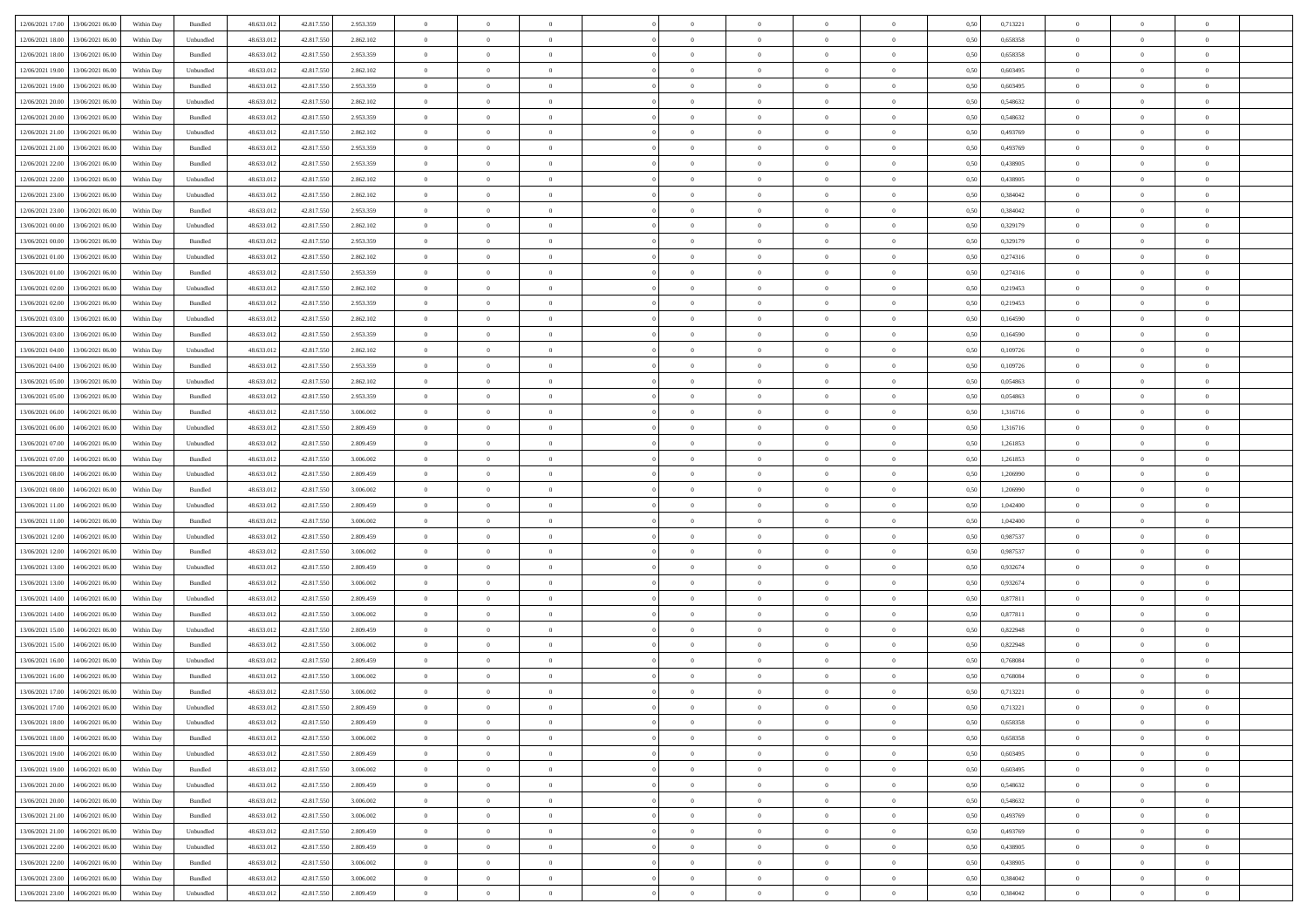|                                              |            |                   |            |            |           | $\overline{0}$ | $\overline{0}$ |                | $\overline{0}$ | $\theta$       |                | $\theta$       |      |          | $\theta$       | $\theta$       | $\overline{0}$ |  |
|----------------------------------------------|------------|-------------------|------------|------------|-----------|----------------|----------------|----------------|----------------|----------------|----------------|----------------|------|----------|----------------|----------------|----------------|--|
| 12/06/2021 17:00 13/06/2021 06:00            | Within Day | Bundled           | 48.633.01  | 42.817.550 | 2.953.359 |                |                |                |                |                |                |                | 0,50 | 0,713221 |                |                |                |  |
| 12/06/2021 18:00<br>13/06/2021 06:00         | Within Day | Unbundled         | 48.633.01  | 42.817.55  | 2.862.102 | $\bf{0}$       | $\bf{0}$       | $\bf{0}$       | $\bf{0}$       | $\overline{0}$ | $\overline{0}$ | $\bf{0}$       | 0,50 | 0,658358 | $\,$ 0 $\,$    | $\bf{0}$       | $\overline{0}$ |  |
| 12/06/2021 18:00<br>13/06/2021 06:00         | Within Day | Bundled           | 48.633.013 | 42,817,550 | 2.953.359 | $\overline{0}$ | $\bf{0}$       | $\overline{0}$ | $\bf{0}$       | $\bf{0}$       | $\overline{0}$ | $\bf{0}$       | 0.50 | 0.658358 | $\overline{0}$ | $\overline{0}$ | $\overline{0}$ |  |
| 12/06/2021 19:00<br>13/06/2021 06:00         | Within Day | Unbundled         | 48.633.01  | 42.817.550 | 2.862.102 | $\overline{0}$ | $\overline{0}$ | $\overline{0}$ | $\overline{0}$ | $\theta$       | $\overline{0}$ | $\bf{0}$       | 0,50 | 0,603495 | $\theta$       | $\theta$       | $\overline{0}$ |  |
| 12/06/2021 19:00<br>13/06/2021 06:00         | Within Day | Bundled           | 48.633.01  | 42.817.55  | 2.953.359 | $\bf{0}$       | $\overline{0}$ | $\bf{0}$       | $\overline{0}$ | $\theta$       | $\overline{0}$ | $\bf{0}$       | 0,50 | 0,603495 | $\,$ 0 $\,$    | $\bf{0}$       | $\overline{0}$ |  |
|                                              |            |                   |            |            |           |                |                |                |                |                | $\theta$       |                |      |          |                |                |                |  |
| 12/06/2021 20:00<br>13/06/2021 06:00         | Within Day | Unbundled         | 48.633.013 | 42.817.55  | 2.862.102 | $\overline{0}$ | $\overline{0}$ | $\overline{0}$ | $\bf{0}$       | $\overline{0}$ |                | $\bf{0}$       | 0.50 | 0.548632 | $\,$ 0 $\,$    | $\theta$       | $\overline{0}$ |  |
| 12/06/2021 20:00<br>13/06/2021 06:00         | Within Day | Bundled           | 48.633.013 | 42.817.550 | 2.953.359 | $\overline{0}$ | $\overline{0}$ | $\overline{0}$ | $\overline{0}$ | $\overline{0}$ | $\overline{0}$ | $\bf{0}$       | 0,50 | 0,548632 | $\,$ 0 $\,$    | $\theta$       | $\overline{0}$ |  |
| 12/06/2021 21:00<br>13/06/2021 06:00         | Within Day | Unbundled         | 48.633.01  | 42.817.55  | 2.862.102 | $\bf{0}$       | $\bf{0}$       | $\bf{0}$       | $\overline{0}$ | $\overline{0}$ | $\overline{0}$ | $\bf{0}$       | 0,50 | 0,493769 | $\,$ 0 $\,$    | $\bf{0}$       | $\overline{0}$ |  |
| 12/06/2021 21:00<br>13/06/2021 06:00         | Within Day | Bundled           | 48.633.013 | 42.817.55  | 2.953.359 | $\overline{0}$ | $\bf{0}$       | $\overline{0}$ | $\bf{0}$       | $\overline{0}$ | $\overline{0}$ | $\bf{0}$       | 0.50 | 0.493769 | $\bf{0}$       | $\overline{0}$ | $\overline{0}$ |  |
| 12/06/2021 22:00<br>13/06/2021 06:00         | Within Day | Bundled           | 48.633.013 | 42.817.550 | 2.953.359 | $\bf{0}$       | $\bf{0}$       | $\overline{0}$ | $\overline{0}$ | $\overline{0}$ | $\overline{0}$ | $\bf{0}$       | 0,50 | 0,438905 | $\,$ 0 $\,$    | $\bf{0}$       | $\overline{0}$ |  |
| 12/06/2021 22:00<br>13/06/2021 06:00         | Within Day | Unbundled         | 48.633.01  | 42.817.550 | 2.862.102 | $\bf{0}$       | $\bf{0}$       | $\bf{0}$       | $\bf{0}$       | $\overline{0}$ | $\overline{0}$ | $\bf{0}$       | 0,50 | 0,438905 | $\,$ 0 $\,$    | $\bf{0}$       | $\overline{0}$ |  |
| 12/06/2021 23:00<br>13/06/2021 06:00         | Within Day | Unbundled         | 48.633.013 | 42.817.550 | 2.862.102 | $\overline{0}$ | $\bf{0}$       | $\overline{0}$ | $\overline{0}$ | $\bf{0}$       | $\overline{0}$ | $\bf{0}$       | 0.50 | 0.384042 | $\bf{0}$       | $\overline{0}$ | $\,$ 0         |  |
| 12/06/2021 23:00<br>13/06/2021 06:00         | Within Day | Bundled           | 48.633.01  | 42.817.550 | 2.953.359 | $\overline{0}$ | $\overline{0}$ | $\overline{0}$ | $\theta$       | $\theta$       | $\overline{0}$ | $\bf{0}$       | 0,50 | 0,384042 | $\,$ 0 $\,$    | $\theta$       | $\overline{0}$ |  |
|                                              |            |                   |            |            |           |                |                |                |                |                |                |                |      |          |                |                |                |  |
| 13/06/2021 00:00<br>13/06/2021 06:00         | Within Day | Unbundled         | 48.633.01  | 42.817.55  | 2.862.102 | $\bf{0}$       | $\overline{0}$ | $\bf{0}$       | $\overline{0}$ | $\bf{0}$       | $\overline{0}$ | $\bf{0}$       | 0,50 | 0,329179 | $\,$ 0 $\,$    | $\bf{0}$       | $\overline{0}$ |  |
| 13/06/2021 00:00<br>13/06/2021 06:00         | Within Day | Bundled           | 48.633.013 | 42.817.55  | 2.953.359 | $\overline{0}$ | $\overline{0}$ | $\overline{0}$ | $\bf{0}$       | $\overline{0}$ | $\theta$       | $\bf{0}$       | 0.50 | 0,329179 | $\,$ 0 $\,$    | $\theta$       | $\overline{0}$ |  |
| 13/06/2021 01:00<br>13/06/2021 06:00         | Within Day | Unbundled         | 48.633.013 | 42.817.550 | 2.862.102 | $\overline{0}$ | $\overline{0}$ | $\overline{0}$ | $\overline{0}$ | $\overline{0}$ | $\overline{0}$ | $\bf{0}$       | 0,50 | 0,274316 | $\theta$       | $\theta$       | $\overline{0}$ |  |
| 13/06/2021 01:00<br>13/06/2021 06:00         | Within Day | Bundled           | 48.633.01  | 42.817.55  | 2.953.359 | $\bf{0}$       | $\bf{0}$       | $\bf{0}$       | $\overline{0}$ | $\bf{0}$       | $\overline{0}$ | $\bf{0}$       | 0,50 | 0,274316 | $\,$ 0 $\,$    | $\bf{0}$       | $\overline{0}$ |  |
| 13/06/2021 02:00<br>13/06/2021 06:00         | Within Day | Unbundled         | 48.633.013 | 42.817.55  | 2.862.102 | $\overline{0}$ | $\bf{0}$       | $\overline{0}$ | $\bf{0}$       | $\overline{0}$ | $\overline{0}$ | $\bf{0}$       | 0.50 | 0.219453 | $\bf{0}$       | $\overline{0}$ | $\bf{0}$       |  |
| 13/06/2021 02:00<br>13/06/2021 06:00         | Within Day | Bundled           | 48.633.013 | 42.817.550 | 2.953.359 | $\bf{0}$       | $\bf{0}$       | $\overline{0}$ | $\overline{0}$ | $\overline{0}$ | $\overline{0}$ | $\bf{0}$       | 0,50 | 0,219453 | $\,$ 0 $\,$    | $\bf{0}$       | $\overline{0}$ |  |
| 13/06/2021 03:00<br>13/06/2021 06:00         | Within Day | Unbundled         | 48.633.01  | 42.817.55  | 2.862.102 | $\bf{0}$       | $\bf{0}$       | $\bf{0}$       | $\bf{0}$       | $\overline{0}$ | $\overline{0}$ | $\bf{0}$       | 0,50 | 0,164590 | $\,$ 0 $\,$    | $\bf{0}$       | $\overline{0}$ |  |
|                                              |            |                   |            |            |           |                |                |                |                |                |                |                |      |          |                |                |                |  |
| 13/06/2021 03:00<br>13/06/2021 06:00         | Within Day | Bundled           | 48.633.013 | 42.817.550 | 2.953.359 | $\overline{0}$ | $\bf{0}$       | $\overline{0}$ | $\overline{0}$ | $\bf{0}$       | $\overline{0}$ | $\bf{0}$       | 0.50 | 0.164590 | $\bf{0}$       | $\overline{0}$ | $\,$ 0         |  |
| 13/06/2021 04:00<br>13/06/2021 06:00         | Within Day | Unbundled         | 48.633.01  | 42.817.550 | 2.862.102 | $\overline{0}$ | $\overline{0}$ | $\overline{0}$ | $\overline{0}$ | $\theta$       | $\overline{0}$ | $\bf{0}$       | 0,50 | 0,109726 | $\theta$       | $\theta$       | $\overline{0}$ |  |
| 13/06/2021 04:00<br>13/06/2021 06:00         | Within Day | Bundled           | 48.633.01  | 42.817.55  | 2.953.359 | $\bf{0}$       | $\bf{0}$       | $\bf{0}$       | $\bf{0}$       | $\overline{0}$ | $\overline{0}$ | $\bf{0}$       | 0,50 | 0,109726 | $\,$ 0 $\,$    | $\bf{0}$       | $\overline{0}$ |  |
| 13/06/2021 05:00<br>13/06/2021 06:00         | Within Day | Unbundled         | 48.633.013 | 42.817.55  | 2.862.102 | $\overline{0}$ | $\overline{0}$ | $\overline{0}$ | $\bf{0}$       | $\overline{0}$ | $\theta$       | $\bf{0}$       | 0.50 | 0.054863 | $\,$ 0 $\,$    | $\theta$       | $\overline{0}$ |  |
| 13/06/2021 05:00<br>13/06/2021 06:00         | Within Day | Bundled           | 48.633.013 | 42.817.550 | 2.953.359 | $\overline{0}$ | $\overline{0}$ | $\overline{0}$ | $\overline{0}$ | $\overline{0}$ | $\overline{0}$ | $\bf{0}$       | 0,50 | 0,054863 | $\,$ 0 $\,$    | $\theta$       | $\overline{0}$ |  |
| 13/06/2021 06:00<br>14/06/2021 06.00         | Within Day | Bundled           | 48.633.01  | 42.817.55  | 3.006.002 | $\bf{0}$       | $\overline{0}$ | $\bf{0}$       | $\overline{0}$ | $\bf{0}$       | $\overline{0}$ | $\bf{0}$       | 0,50 | 1,316716 | $\,$ 0 $\,$    | $\bf{0}$       | $\overline{0}$ |  |
| 13/06/2021 06:00<br>14/06/2021 06:00         | Within Day | Unbundled         | 48.633.013 | 42.817.550 | 2.809.459 | $\overline{0}$ | $\bf{0}$       | $\overline{0}$ | $\bf{0}$       | $\overline{0}$ | $\overline{0}$ | $\bf{0}$       | 0.50 | 1.316716 | $\bf{0}$       | $\overline{0}$ | $\overline{0}$ |  |
| 13/06/2021 07:00<br>14/06/2021 06:00         | Within Day | Unbundled         | 48.633.013 | 42.817.550 | 2.809.459 | $\overline{0}$ | $\bf{0}$       | $\overline{0}$ | $\overline{0}$ | $\overline{0}$ | $\overline{0}$ | $\bf{0}$       | 0,50 | 1,261853 | $\theta$       | $\theta$       | $\overline{0}$ |  |
| 14/06/2021 06:00                             | Within Day | Bundled           | 48.633.01  | 42.817.550 | 3.006.002 | $\bf{0}$       | $\bf{0}$       | $\bf{0}$       | $\bf{0}$       | $\overline{0}$ | $\overline{0}$ | $\bf{0}$       | 0,50 | 1,261853 | $\,$ 0 $\,$    | $\bf{0}$       | $\overline{0}$ |  |
| 13/06/2021 07:00                             |            |                   |            |            |           |                |                |                |                |                |                |                |      |          |                |                |                |  |
| 13/06/2021 08:00<br>14/06/2021 06.00         | Within Day | Unbundled         | 48.633.013 | 42.817.550 | 2.809.459 | $\overline{0}$ | $\bf{0}$       | $\overline{0}$ | $\overline{0}$ | $\bf{0}$       | $\overline{0}$ | $\bf{0}$       | 0.50 | 1.206990 | $\bf{0}$       | $\overline{0}$ | $\bf{0}$       |  |
| 13/06/2021 08:00<br>14/06/2021 06:00         | Within Day | Bundled           | 48.633.013 | 42.817.550 | 3.006.002 | $\overline{0}$ | $\overline{0}$ | $\overline{0}$ | $\overline{0}$ | $\overline{0}$ | $\overline{0}$ | $\bf{0}$       | 0.5( | 1.206990 | $\theta$       | $\theta$       | $\overline{0}$ |  |
| 13/06/2021 11:00<br>14/06/2021 06:00         | Within Day | Unbundled         | 48.633.01  | 42.817.55  | 2.809.459 | $\bf{0}$       | $\bf{0}$       | $\bf{0}$       | $\bf{0}$       | $\overline{0}$ | $\overline{0}$ | $\bf{0}$       | 0,50 | 1,042400 | $\,$ 0 $\,$    | $\bf{0}$       | $\overline{0}$ |  |
| 13/06/2021 11:00<br>14/06/2021 06:00         | Within Day | Bundled           | 48.633.013 | 42.817.550 | 3.006.002 | $\overline{0}$ | $\bf{0}$       | $\overline{0}$ | $\bf{0}$       | $\overline{0}$ | $\overline{0}$ | $\bf{0}$       | 0.50 | 1.042400 | $\,$ 0 $\,$    | $\theta$       | $\overline{0}$ |  |
| 13/06/2021 12:00<br>14/06/2021 06:00         | Within Dav | Unbundled         | 48.633.013 | 42.817.550 | 2.809.459 | $\overline{0}$ | $\overline{0}$ | $\overline{0}$ | $\overline{0}$ | $\theta$       | $\overline{0}$ | $\overline{0}$ | 0.50 | 0,987537 | $\theta$       | $\theta$       | $\overline{0}$ |  |
| 13/06/2021 12:00<br>14/06/2021 06.00         | Within Day | Bundled           | 48.633.01  | 42.817.55  | 3.006.002 | $\bf{0}$       | $\bf{0}$       | $\bf{0}$       | $\bf{0}$       | $\overline{0}$ | $\overline{0}$ | $\bf{0}$       | 0,50 | 0,987537 | $\,$ 0 $\,$    | $\bf{0}$       | $\overline{0}$ |  |
| 13/06/2021 13:00<br>14/06/2021 06:00         | Within Day | Unbundled         | 48.633.013 | 42.817.55  | 2.809.459 | $\overline{0}$ | $\bf{0}$       | $\overline{0}$ | $\bf{0}$       | $\overline{0}$ | $\overline{0}$ | $\bf{0}$       | 0.50 | 0.932674 | $\bf{0}$       | $\overline{0}$ | $\overline{0}$ |  |
| 13/06/2021 13:00<br>14/06/2021 06:00         | Within Dav | Bundled           | 48.633.013 | 42.817.550 | 3.006.002 | $\overline{0}$ | $\overline{0}$ | $\overline{0}$ | $\overline{0}$ | $\overline{0}$ | $\overline{0}$ | $\bf{0}$       | 0.50 | 0,932674 | $\theta$       | $\theta$       | $\overline{0}$ |  |
|                                              |            |                   |            |            |           |                |                |                |                |                |                |                |      |          |                |                |                |  |
| 13/06/2021 14:00<br>14/06/2021 06.00         | Within Day | Unbundled         | 48.633.01  | 42.817.550 | 2.809.459 | $\bf{0}$       | $\bf{0}$       | $\bf{0}$       | $\bf{0}$       | $\overline{0}$ | $\overline{0}$ | $\bf{0}$       | 0,50 | 0,877811 | $\,$ 0 $\,$    | $\bf{0}$       | $\overline{0}$ |  |
| 13/06/2021 14:00<br>14/06/2021 06:00         | Within Day | Bundled           | 48.633.013 | 42.817.550 | 3.006.002 | $\overline{0}$ | $\bf{0}$       | $\overline{0}$ | $\overline{0}$ | $\bf{0}$       | $\overline{0}$ | $\bf{0}$       | 0.50 | 0.877811 | $\,$ 0 $\,$    | $\overline{0}$ | $\bf{0}$       |  |
| 13/06/2021 15:00<br>14/06/2021 06:00         | Within Dav | Unbundled         | 48.633.013 | 42.817.550 | 2.809.459 | $\overline{0}$ | $\overline{0}$ | $\overline{0}$ | $\overline{0}$ | $\overline{0}$ | $\overline{0}$ | $\bf{0}$       | 0.5( | 0,822948 | $\theta$       | $\theta$       | $\overline{0}$ |  |
| 13/06/2021 15:00<br>14/06/2021 06:00         | Within Day | Bundled           | 48.633.013 | 42.817.550 | 3.006.002 | $\bf{0}$       | $\bf{0}$       | $\bf{0}$       | $\bf{0}$       | $\overline{0}$ | $\overline{0}$ | $\bf{0}$       | 0,50 | 0,822948 | $\,$ 0 $\,$    | $\bf{0}$       | $\overline{0}$ |  |
| 13/06/2021 16:00<br>14/06/2021 06.00         | Within Day | Unbundled         | 48.633.013 | 42.817.55  | 2.809.459 | $\overline{0}$ | $\overline{0}$ | $\overline{0}$ | $\bf{0}$       | $\overline{0}$ | $\Omega$       | $\bf{0}$       | 0.50 | 0.768084 | $\bf{0}$       | $\theta$       | $\overline{0}$ |  |
| 13/06/2021 16:00<br>14/06/2021 06:00         | Within Dav | Bundled           | 48.633.013 | 42.817.550 | 3.006.002 | $\overline{0}$ | $\overline{0}$ | $\Omega$       | $\overline{0}$ | $\theta$       | $\overline{0}$ | $\overline{0}$ | 0.5( | 0,768084 | $\theta$       | $\theta$       | $\overline{0}$ |  |
| 13/06/2021 17:00<br>14/06/2021 06.00         | Within Day | Bundled           | 48.633.01  | 42.817.550 | 3.006.002 | $\bf{0}$       | $\bf{0}$       | $\overline{0}$ | $\bf{0}$       | $\bf{0}$       | $\overline{0}$ | $\bf{0}$       | 0,50 | 0,713221 | $\overline{0}$ | $\bf{0}$       | $\overline{0}$ |  |
| $13/06/2021\ 17.00 \qquad 14/06/2021\ 06.00$ | Within Day | ${\sf Unbundred}$ | 48.633.012 | 42.817.550 | 2.809.459 | $\bf{0}$       | $\Omega$       |                | $\Omega$       |                |                |                | 0,50 | 0,713221 | $\bf{0}$       | $\overline{0}$ |                |  |
| 13/06/2021 18:00 14/06/2021 06:00            | Within Day | Unbundled         | 48.633.012 | 42.817.550 | 2.809.459 | $\overline{0}$ | $\overline{0}$ | $\overline{0}$ | $\theta$       | $\overline{0}$ | $\overline{0}$ | $\bf{0}$       | 0,50 | 0,658358 | $\theta$       | $\overline{0}$ | $\overline{0}$ |  |
|                                              |            |                   |            |            |           |                |                |                |                |                |                |                |      |          |                |                |                |  |
| 13/06/2021 18:00<br>14/06/2021 06.00         | Within Day | Bundled           | 48.633.013 | 42.817.550 | 3.006.002 | $\overline{0}$ | $\bf{0}$       | $\overline{0}$ | $\overline{0}$ | $\bf{0}$       | $\overline{0}$ | $\bf{0}$       | 0,50 | 0,658358 | $\bf{0}$       | $\overline{0}$ | $\bf{0}$       |  |
| 13/06/2021 19:00 14/06/2021 06:00            | Within Day | Unbundled         | 48.633.012 | 42.817.550 | 2.809.459 | $\overline{0}$ | $\bf{0}$       | $\overline{0}$ | $\overline{0}$ | $\mathbf{0}$   | $\overline{0}$ | $\,$ 0 $\,$    | 0.50 | 0.603495 | $\overline{0}$ | $\bf{0}$       | $\,$ 0 $\,$    |  |
| 13/06/2021 19:00 14/06/2021 06:00            | Within Dav | Bundled           | 48.633.012 | 42.817.550 | 3.006.002 | $\overline{0}$ | $\overline{0}$ | $\overline{0}$ | $\overline{0}$ | $\overline{0}$ | $\overline{0}$ | $\bf{0}$       | 0,50 | 0,603495 | $\overline{0}$ | $\theta$       | $\overline{0}$ |  |
| 13/06/2021 20:00<br>14/06/2021 06.00         | Within Day | Unbundled         | 48.633.012 | 42.817.550 | 2.809.459 | $\overline{0}$ | $\bf{0}$       | $\overline{0}$ | $\overline{0}$ | $\overline{0}$ | $\overline{0}$ | $\bf{0}$       | 0,50 | 0,548632 | $\bf{0}$       | $\overline{0}$ | $\overline{0}$ |  |
| 13/06/2021 20:00<br>14/06/2021 06:00         | Within Day | Bundled           | 48.633.012 | 42,817,550 | 3.006.002 | $\overline{0}$ | $\bf{0}$       | $\overline{0}$ | $\overline{0}$ | $\bf{0}$       | $\overline{0}$ | $\bf{0}$       | 0.50 | 0.548632 | $\,$ 0 $\,$    | $\overline{0}$ | $\,$ 0         |  |
| 13/06/2021 21:00<br>14/06/2021 06:00         | Within Dav | Bundled           | 48.633.012 | 42.817.550 | 3.006.002 | $\overline{0}$ | $\overline{0}$ | $\overline{0}$ | $\overline{0}$ | $\overline{0}$ | $\overline{0}$ | $\bf{0}$       | 0.50 | 0,493769 | $\overline{0}$ | $\theta$       | $\overline{0}$ |  |
| 13/06/2021 21:00<br>14/06/2021 06.00         | Within Day | Unbundled         | 48.633.013 | 42.817.550 | 2.809.459 | $\overline{0}$ | $\overline{0}$ | $\overline{0}$ | $\overline{0}$ | $\overline{0}$ | $\overline{0}$ | $\bf{0}$       | 0,50 | 0,493769 | $\bf{0}$       | $\overline{0}$ | $\overline{0}$ |  |
|                                              |            |                   |            |            |           |                |                |                |                |                |                |                |      |          |                |                |                |  |
| 13/06/2021 22:00<br>14/06/2021 06:00         | Within Day | Unbundled         | 48.633.012 | 42,817,550 | 2.809.459 | $\overline{0}$ | $\overline{0}$ | $\overline{0}$ | $\overline{0}$ | $\overline{0}$ | $\overline{0}$ | $\bf{0}$       | 0.50 | 0.438905 | $\mathbf{0}$   | $\bf{0}$       | $\,$ 0         |  |
| 13/06/2021 22:00 14/06/2021 06:00            | Within Dav | Bundled           | 48.633.012 | 42.817.550 | 3.006.002 | $\overline{0}$ | $\overline{0}$ | $\overline{0}$ | $\overline{0}$ | $\overline{0}$ | $\overline{0}$ | $\bf{0}$       | 0,50 | 0,438905 | $\overline{0}$ | $\theta$       | $\overline{0}$ |  |
| 13/06/2021 23:00<br>14/06/2021 06.00         | Within Day | Bundled           | 48.633.013 | 42.817.550 | 3.006.002 | $\overline{0}$ | $\bf{0}$       | $\overline{0}$ | $\bf{0}$       | $\overline{0}$ | $\overline{0}$ | $\bf{0}$       | 0,50 | 0,384042 | $\bf{0}$       | $\bf{0}$       | $\bf{0}$       |  |
| 13/06/2021 23:00 14/06/2021 06:00            | Within Day | Unbundled         | 48.633.012 | 42.817.550 | 2.809.459 | $\,$ 0 $\,$    | $\bf{0}$       | $\overline{0}$ | $\overline{0}$ | $\,$ 0 $\,$    | $\overline{0}$ | $\bf{0}$       | 0,50 | 0,384042 | $\overline{0}$ | $\,$ 0 $\,$    | $\,$ 0 $\,$    |  |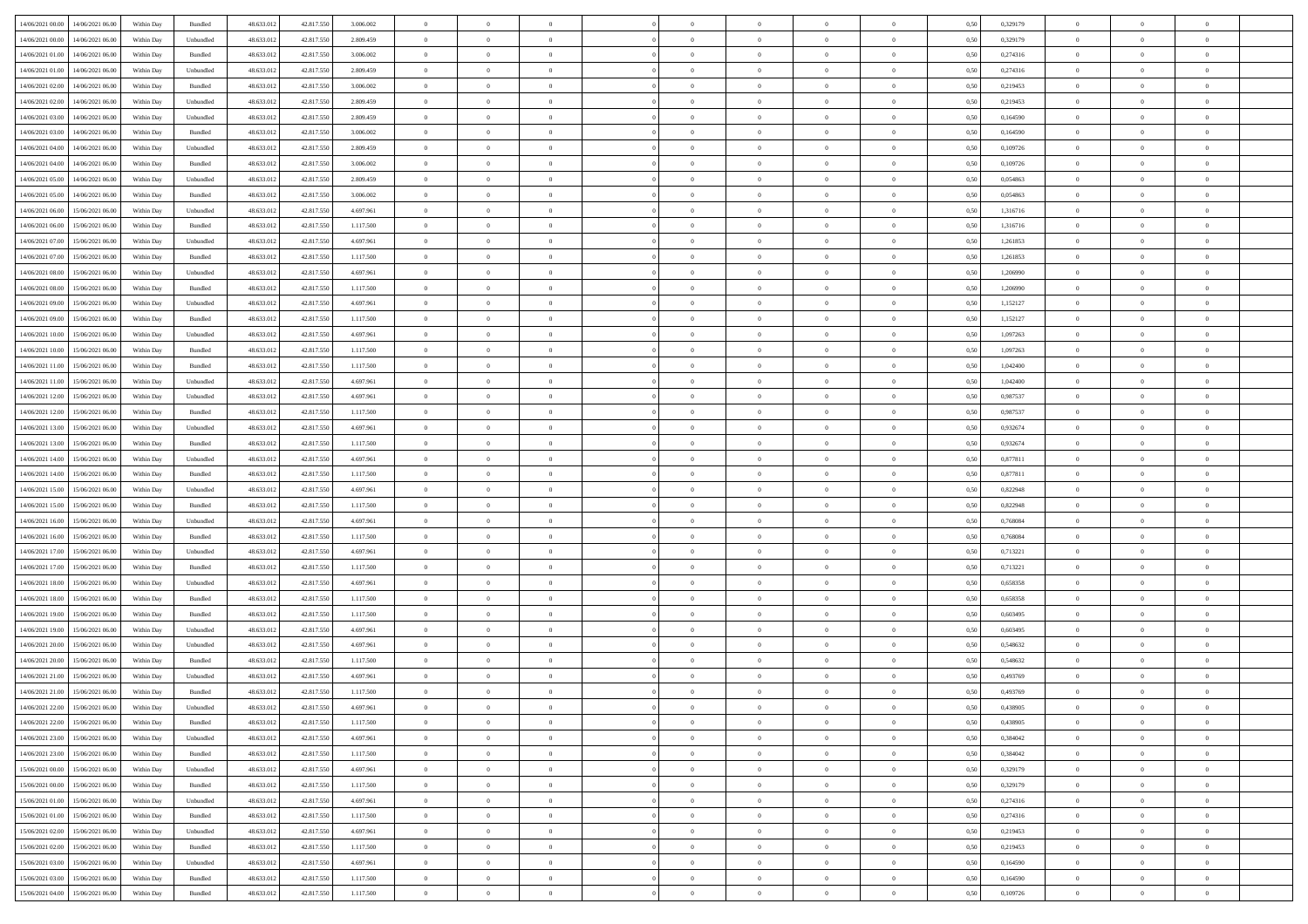| 14/06/2021 00:00 14/06/2021 06:00            | Within Day | Bundled           | 48.633.01  | 42.817.550 | 3.006.002 | $\overline{0}$ | $\overline{0}$ |                | $\overline{0}$ | $\theta$       |                | $\theta$       | 0,50 | 0,329179 | $\theta$       | $\theta$       | $\overline{0}$ |  |
|----------------------------------------------|------------|-------------------|------------|------------|-----------|----------------|----------------|----------------|----------------|----------------|----------------|----------------|------|----------|----------------|----------------|----------------|--|
|                                              |            |                   |            |            |           |                |                |                |                |                |                |                |      |          |                |                |                |  |
| 14/06/2021 00:00<br>14/06/2021 06.00         | Within Day | Unbundled         | 48.633.01  | 42.817.55  | 2.809.459 | $\bf{0}$       | $\bf{0}$       | $\bf{0}$       | $\bf{0}$       | $\overline{0}$ | $\overline{0}$ | $\bf{0}$       | 0,50 | 0,329179 | $\,$ 0 $\,$    | $\bf{0}$       | $\overline{0}$ |  |
| $14/06/2021\ 01.00$<br>14/06/2021 06:00      | Within Day | Bundled           | 48.633.012 | 42,817,550 | 3.006.002 | $\overline{0}$ | $\bf{0}$       | $\overline{0}$ | $\bf{0}$       | $\bf{0}$       | $\overline{0}$ | $\bf{0}$       | 0.50 | 0,274316 | $\bf{0}$       | $\overline{0}$ | $\overline{0}$ |  |
| 14/06/2021 01:00<br>14/06/2021 06:00         | Within Day | Unbundled         | 48.633.01  | 42.817.550 | 2.809.459 | $\overline{0}$ | $\overline{0}$ | $\overline{0}$ | $\overline{0}$ | $\theta$       | $\overline{0}$ | $\bf{0}$       | 0,50 | 0,274316 | $\,$ 0 $\,$    | $\theta$       | $\overline{0}$ |  |
| 14/06/2021 02:00<br>14/06/2021 06:00         | Within Day | Bundled           | 48.633.01  | 42.817.550 | 3.006.002 | $\bf{0}$       | $\overline{0}$ | $\bf{0}$       | $\overline{0}$ | $\theta$       | $\overline{0}$ | $\bf{0}$       | 0,50 | 0,219453 | $\,$ 0 $\,$    | $\bf{0}$       | $\overline{0}$ |  |
| 14/06/2021 02:00<br>14/06/2021 06:00         |            | Unbundled         | 48.633.013 | 42.817.55  | 2.809.459 | $\overline{0}$ | $\overline{0}$ | $\overline{0}$ | $\bf{0}$       | $\overline{0}$ | $\theta$       | $\bf{0}$       | 0.50 | 0,219453 | $\,$ 0 $\,$    | $\theta$       | $\overline{0}$ |  |
|                                              | Within Day |                   |            |            |           |                |                |                |                |                |                |                |      |          |                |                |                |  |
| 14/06/2021 03:00<br>14/06/2021 06.00         | Within Day | Unbundled         | 48.633.013 | 42.817.550 | 2.809.459 | $\overline{0}$ | $\overline{0}$ | $\overline{0}$ | $\overline{0}$ | $\overline{0}$ | $\overline{0}$ | $\bf{0}$       | 0,50 | 0,164590 | $\,$ 0 $\,$    | $\theta$       | $\overline{0}$ |  |
| 14/06/2021 03:00<br>14/06/2021 06.00         | Within Day | Bundled           | 48.633.01  | 42.817.55  | 3.006.002 | $\bf{0}$       | $\bf{0}$       | $\bf{0}$       | $\overline{0}$ | $\overline{0}$ | $\overline{0}$ | $\bf{0}$       | 0,50 | 0,164590 | $\,$ 0 $\,$    | $\bf{0}$       | $\overline{0}$ |  |
| 14/06/2021 04:00<br>14/06/2021 06:00         | Within Day | Unbundled         | 48.633.013 | 42.817.55  | 2.809.459 | $\overline{0}$ | $\bf{0}$       | $\overline{0}$ | $\bf{0}$       | $\overline{0}$ | $\overline{0}$ | $\bf{0}$       | 0.50 | 0.109726 | $\bf{0}$       | $\overline{0}$ | $\overline{0}$ |  |
| 14/06/2021 04:00<br>14/06/2021 06:00         | Within Day | Bundled           | 48.633.013 | 42.817.550 | 3.006.002 | $\overline{0}$ | $\bf{0}$       | $\overline{0}$ | $\overline{0}$ | $\overline{0}$ | $\overline{0}$ | $\bf{0}$       | 0,50 | 0,109726 | $\,$ 0 $\,$    | $\bf{0}$       | $\overline{0}$ |  |
| 14/06/2021 05:00<br>14/06/2021 06:00         | Within Day | Unbundled         | 48.633.01  | 42.817.550 | 2.809.459 | $\bf{0}$       | $\bf{0}$       | $\bf{0}$       | $\bf{0}$       | $\overline{0}$ | $\overline{0}$ | $\bf{0}$       | 0,50 | 0,054863 | $\,$ 0 $\,$    | $\bf{0}$       | $\overline{0}$ |  |
| 14/06/2021 05:00<br>14/06/2021 06.00         | Within Day | Bundled           | 48.633.013 | 42.817.550 | 3.006.002 | $\overline{0}$ | $\bf{0}$       | $\overline{0}$ | $\overline{0}$ | $\bf{0}$       | $\overline{0}$ | $\bf{0}$       | 0.50 | 0.054863 | $\bf{0}$       | $\overline{0}$ | $\,$ 0         |  |
|                                              |            |                   |            |            |           | $\overline{0}$ | $\overline{0}$ | $\overline{0}$ | $\theta$       | $\theta$       | $\overline{0}$ |                |      |          | $\,$ 0 $\,$    | $\theta$       |                |  |
| 14/06/2021 06:00<br>15/06/2021 06:00         | Within Day | Unbundled         | 48.633.01  | 42.817.550 | 4.697.961 |                |                |                |                |                |                | $\bf{0}$       | 0,50 | 1,316716 |                |                | $\overline{0}$ |  |
| 14/06/2021 06:00<br>15/06/2021 06:00         | Within Day | Bundled           | 48.633.01  | 42.817.55  | 1.117.500 | $\bf{0}$       | $\overline{0}$ | $\bf{0}$       | $\bf{0}$       | $\bf{0}$       | $\overline{0}$ | $\bf{0}$       | 0,50 | 1,316716 | $\,$ 0 $\,$    | $\bf{0}$       | $\overline{0}$ |  |
| 14/06/2021 07:00<br>15/06/2021 06:00         | Within Day | Unbundled         | 48.633.013 | 42.817.55  | 4.697.961 | $\overline{0}$ | $\bf{0}$       | $\overline{0}$ | $\bf{0}$       | $\overline{0}$ | $\theta$       | $\bf{0}$       | 0.50 | 1.261853 | $\,$ 0 $\,$    | $\theta$       | $\overline{0}$ |  |
| 14/06/2021 07:00<br>15/06/2021 06:00         | Within Day | Bundled           | 48.633.013 | 42.817.550 | 1.117.500 | $\overline{0}$ | $\overline{0}$ | $\overline{0}$ | $\overline{0}$ | $\overline{0}$ | $\overline{0}$ | $\bf{0}$       | 0,50 | 1,261853 | $\theta$       | $\theta$       | $\overline{0}$ |  |
| 14/06/2021 08:00<br>15/06/2021 06:00         | Within Day | Unbundled         | 48.633.01  | 42.817.55  | 4.697.961 | $\bf{0}$       | $\bf{0}$       | $\bf{0}$       | $\overline{0}$ | $\overline{0}$ | $\overline{0}$ | $\bf{0}$       | 0,50 | 1,206990 | $\,$ 0 $\,$    | $\bf{0}$       | $\overline{0}$ |  |
| 14/06/2021 08:00<br>15/06/2021 06:00         | Within Day | Bundled           | 48.633.013 | 42.817.55  | 1.117.500 | $\overline{0}$ | $\bf{0}$       | $\overline{0}$ | $\bf{0}$       | $\overline{0}$ | $\overline{0}$ | $\bf{0}$       | 0.50 | 1.206990 | $\bf{0}$       | $\overline{0}$ | $\bf{0}$       |  |
| 14/06/2021 09:00<br>15/06/2021 06:00         | Within Day | Unbundled         | 48.633.013 | 42.817.550 | 4.697.961 | $\bf{0}$       | $\bf{0}$       | $\overline{0}$ | $\overline{0}$ | $\overline{0}$ | $\overline{0}$ | $\bf{0}$       | 0,50 | 1,152127 | $\,$ 0 $\,$    | $\bf{0}$       | $\overline{0}$ |  |
|                                              |            |                   |            |            |           |                |                |                |                |                |                |                |      |          |                |                |                |  |
| 14/06/2021 09:00<br>15/06/2021 06:00         | Within Day | Bundled           | 48.633.01  | 42.817.550 | 1.117.500 | $\bf{0}$       | $\bf{0}$       | $\bf{0}$       | $\bf{0}$       | $\overline{0}$ | $\overline{0}$ | $\bf{0}$       | 0,50 | 1,152127 | $\,$ 0 $\,$    | $\bf{0}$       | $\overline{0}$ |  |
| $14/06/2021\ 10.00$<br>15/06/2021 06:00      | Within Day | Unbundled         | 48.633.012 | 42,817,550 | 4.697.961 | $\overline{0}$ | $\bf{0}$       | $\overline{0}$ | $\overline{0}$ | $\bf{0}$       | $\overline{0}$ | $\bf{0}$       | 0.50 | 1.097263 | $\bf{0}$       | $\overline{0}$ | $\,$ 0         |  |
| 14/06/2021 10:00<br>15/06/2021 06:00         | Within Day | Bundled           | 48.633.01  | 42.817.550 | 1.117.500 | $\overline{0}$ | $\overline{0}$ | $\overline{0}$ | $\overline{0}$ | $\theta$       | $\overline{0}$ | $\bf{0}$       | 0,50 | 1,097263 | $\theta$       | $\theta$       | $\overline{0}$ |  |
| 14/06/2021 11:00<br>15/06/2021 06:00         | Within Day | Bundled           | 48.633.01  | 42.817.550 | 1.117.500 | $\bf{0}$       | $\bf{0}$       | $\bf{0}$       | $\bf{0}$       | $\overline{0}$ | $\overline{0}$ | $\bf{0}$       | 0,50 | 1,042400 | $\,$ 0 $\,$    | $\bf{0}$       | $\overline{0}$ |  |
| 14/06/2021 11:00<br>15/06/2021 06:00         | Within Day | Unbundled         | 48.633.013 | 42.817.55  | 4.697.961 | $\overline{0}$ | $\bf{0}$       | $\overline{0}$ | $\bf{0}$       | $\overline{0}$ | $\theta$       | $\bf{0}$       | 0.50 | 1.042400 | $\bf{0}$       | $\theta$       | $\overline{0}$ |  |
| 14/06/2021 12:00<br>15/06/2021 06:00         | Within Day | Unbundled         | 48.633.013 | 42.817.550 | 4.697.961 | $\overline{0}$ | $\overline{0}$ | $\overline{0}$ | $\overline{0}$ | $\overline{0}$ | $\overline{0}$ | $\bf{0}$       | 0,50 | 0,987537 | $\,$ 0 $\,$    | $\theta$       | $\overline{0}$ |  |
| 14/06/2021 12:00<br>15/06/2021 06:00         | Within Day | Bundled           | 48.633.01  | 42.817.55  | 1.117.500 | $\bf{0}$       | $\overline{0}$ | $\bf{0}$       | $\overline{0}$ | $\overline{0}$ | $\overline{0}$ | $\bf{0}$       | 0,50 | 0,987537 | $\,$ 0 $\,$    | $\bf{0}$       | $\overline{0}$ |  |
|                                              |            |                   |            |            |           |                |                |                |                |                |                |                |      |          |                |                |                |  |
| 14/06/2021 13:00<br>15/06/2021 06:00         | Within Day | Unbundled         | 48.633.013 | 42.817.550 | 4.697.961 | $\overline{0}$ | $\bf{0}$       | $\overline{0}$ | $\bf{0}$       | $\overline{0}$ | $\overline{0}$ | $\bf{0}$       | 0.50 | 0.932674 | $\bf{0}$       | $\overline{0}$ | $\overline{0}$ |  |
| 14/06/2021 13:00<br>15/06/2021 06:00         | Within Day | Bundled           | 48.633.013 | 42.817.550 | 1.117.500 | $\overline{0}$ | $\bf{0}$       | $\overline{0}$ | $\overline{0}$ | $\overline{0}$ | $\overline{0}$ | $\bf{0}$       | 0,50 | 0,932674 | $\,$ 0 $\,$    | $\bf{0}$       | $\overline{0}$ |  |
| 14/06/2021 14:00<br>15/06/2021 06:00         | Within Day | Unbundled         | 48.633.01  | 42.817.550 | 4.697.961 | $\bf{0}$       | $\bf{0}$       | $\bf{0}$       | $\bf{0}$       | $\overline{0}$ | $\overline{0}$ | $\bf{0}$       | 0,50 | 0,877811 | $\,$ 0 $\,$    | $\bf{0}$       | $\overline{0}$ |  |
| 14/06/2021 14:00<br>15/06/2021 06:00         | Within Day | Bundled           | 48.633.013 | 42.817.550 | 1.117.500 | $\overline{0}$ | $\bf{0}$       | $\overline{0}$ | $\overline{0}$ | $\bf{0}$       | $\overline{0}$ | $\bf{0}$       | 0.50 | 0.877811 | $\bf{0}$       | $\overline{0}$ | $\,$ 0         |  |
| 14/06/2021 15:00<br>15/06/2021 06:00         | Within Day | Unbundled         | 48.633.013 | 42.817.550 | 4.697.961 | $\overline{0}$ | $\overline{0}$ | $\overline{0}$ | $\overline{0}$ | $\overline{0}$ | $\overline{0}$ | $\bf{0}$       | 0.5( | 0,822948 | $\theta$       | $\theta$       | $\overline{0}$ |  |
| 14/06/2021 15:00<br>15/06/2021 06:00         | Within Day | Bundled           | 48.633.01  | 42.817.55  | 1.117.500 | $\bf{0}$       | $\bf{0}$       | $\bf{0}$       | $\bf{0}$       | $\overline{0}$ | $\overline{0}$ | $\bf{0}$       | 0,50 | 0,822948 | $\,$ 0 $\,$    | $\bf{0}$       | $\overline{0}$ |  |
| 14/06/2021 16:00<br>15/06/2021 06:00         | Within Day | Unbundled         | 48.633.013 | 42.817.550 | 4.697.961 | $\overline{0}$ | $\bf{0}$       | $\overline{0}$ | $\bf{0}$       | $\overline{0}$ | $\overline{0}$ | $\bf{0}$       | 0.50 | 0.768084 | $\,$ 0 $\,$    | $\theta$       | $\overline{0}$ |  |
| 14/06/2021 16:00<br>15/06/2021 06:00         | Within Dav | Bundled           | 48.633.013 | 42.817.550 | 1.117.500 | $\overline{0}$ | $\overline{0}$ | $\overline{0}$ | $\overline{0}$ | $\overline{0}$ | $\overline{0}$ | $\bf{0}$       | 0.50 | 0,768084 | $\theta$       | $\theta$       | $\overline{0}$ |  |
|                                              |            |                   |            |            |           |                |                |                |                |                |                |                |      |          |                |                |                |  |
| 14/06/2021 17:00<br>15/06/2021 06:00         | Within Day | Unbundled         | 48.633.01  | 42.817.55  | 4.697.961 | $\bf{0}$       | $\bf{0}$       | $\bf{0}$       | $\bf{0}$       | $\overline{0}$ | $\overline{0}$ | $\bf{0}$       | 0,50 | 0,713221 | $\,$ 0 $\,$    | $\bf{0}$       | $\overline{0}$ |  |
| 14/06/2021 17:00<br>15/06/2021 06:00         | Within Day | Bundled           | 48.633.013 | 42.817.55  | 1.117.500 | $\overline{0}$ | $\bf{0}$       | $\overline{0}$ | $\bf{0}$       | $\overline{0}$ | $\overline{0}$ | $\bf{0}$       | 0.50 | 0.713221 | $\bf{0}$       | $\overline{0}$ | $\overline{0}$ |  |
| 14/06/2021 18:00<br>15/06/2021 06:00         | Within Day | Unbundled         | 48.633.013 | 42.817.550 | 4.697.961 | $\overline{0}$ | $\overline{0}$ | $\overline{0}$ | $\overline{0}$ | $\overline{0}$ | $\overline{0}$ | $\bf{0}$       | 0.50 | 0,658358 | $\theta$       | $\theta$       | $\overline{0}$ |  |
| 14/06/2021 18:00<br>15/06/2021 06:00         | Within Day | Bundled           | 48.633.01  | 42.817.550 | 1.117.500 | $\bf{0}$       | $\bf{0}$       | $\bf{0}$       | $\bf{0}$       | $\overline{0}$ | $\overline{0}$ | $\bf{0}$       | 0,50 | 0,658358 | $\,$ 0 $\,$    | $\bf{0}$       | $\overline{0}$ |  |
| 14/06/2021 19:00<br>15/06/2021 06:00         | Within Day | Bundled           | 48.633.013 | 42.817.550 | 1.117.500 | $\overline{0}$ | $\bf{0}$       | $\overline{0}$ | $\overline{0}$ | $\bf{0}$       | $\overline{0}$ | $\bf{0}$       | 0.50 | 0.603495 | $\bf{0}$       | $\overline{0}$ | $\,$ 0         |  |
| 14/06/2021 19:00<br>15/06/2021 06:00         | Within Dav | Unbundled         | 48.633.013 | 42.817.550 | 4.697.961 | $\overline{0}$ | $\overline{0}$ | $\overline{0}$ | $\overline{0}$ | $\overline{0}$ | $\overline{0}$ | $\bf{0}$       | 0.50 | 0.603495 | $\theta$       | $\theta$       | $\overline{0}$ |  |
| 14/06/2021 20:00<br>15/06/2021 06:00         | Within Day | Unbundled         | 48.633.013 | 42.817.550 | 4.697.961 | $\bf{0}$       | $\bf{0}$       | $\bf{0}$       | $\bf{0}$       | $\overline{0}$ | $\overline{0}$ | $\bf{0}$       | 0,50 | 0,548632 | $\,$ 0 $\,$    | $\bf{0}$       | $\overline{0}$ |  |
| 14/06/2021 20:00<br>15/06/2021 06:00         | Within Day | Bundled           | 48.633.013 | 42.817.55  | 1.117.500 | $\overline{0}$ | $\overline{0}$ | $\overline{0}$ | $\bf{0}$       | $\overline{0}$ | $\Omega$       | $\bf{0}$       | 0.50 | 0.548632 | $\bf{0}$       | $\theta$       | $\overline{0}$ |  |
| 14/06/2021 21:00<br>15/06/2021 06:00         | Within Dav | Unbundled         | 48.633.013 | 42.817.550 | 4.697.961 | $\overline{0}$ | $\overline{0}$ | $\Omega$       | $\theta$       | $\theta$       | $\overline{0}$ | $\overline{0}$ | 0.5( | 0,493769 | $\theta$       | $\theta$       | $\overline{0}$ |  |
|                                              |            |                   |            |            |           |                |                |                |                |                |                |                |      |          |                |                |                |  |
| 14/06/2021 21:00<br>15/06/2021 06:00         | Within Day | Bundled           | 48.633.01  | 42.817.550 | 1.117.500 | $\bf{0}$       | $\bf{0}$       | $\bf{0}$       | $\bf{0}$       | $\bf{0}$       | $\overline{0}$ | $\bf{0}$       | 0,50 | 0,493769 | $\overline{0}$ | $\bf{0}$       | $\overline{0}$ |  |
| $14/06/2021\ 22.00 \qquad 15/06/2021\ 06.00$ | Within Day | ${\sf Unbundred}$ | 48.633.012 | 42.817.550 | 4.697.961 | $\bf{0}$       | $\theta$       |                | $\Omega$       |                |                |                | 0,50 | 0.438905 | $\bf{0}$       | $\overline{0}$ |                |  |
| 14/06/2021 22:00 15/06/2021 06:00            | Within Day | Bundled           | 48.633.012 | 42.817.550 | 1.117.500 | $\overline{0}$ | $\overline{0}$ | $\Omega$       | $\theta$       | $\overline{0}$ | $\overline{0}$ | $\bf{0}$       | 0,50 | 0,438905 | $\theta$       | $\overline{0}$ | $\overline{0}$ |  |
| 14/06/2021 23:00<br>15/06/2021 06:00         | Within Day | Unbundled         | 48.633.013 | 42.817.550 | 4.697.961 | $\overline{0}$ | $\bf{0}$       | $\overline{0}$ | $\overline{0}$ | $\bf{0}$       | $\overline{0}$ | $\bf{0}$       | 0,50 | 0,384042 | $\bf{0}$       | $\overline{0}$ | $\bf{0}$       |  |
| 14/06/2021 23:00 15/06/2021 06:00            | Within Day | Bundled           | 48.633.012 | 42.817.550 | 1.117.500 | $\overline{0}$ | $\bf{0}$       | $\overline{0}$ | $\overline{0}$ | $\mathbf{0}$   | $\overline{0}$ | $\,$ 0 $\,$    | 0.50 | 0.384042 | $\overline{0}$ | $\bf{0}$       | $\,$ 0 $\,$    |  |
| 15/06/2021 00:00 15/06/2021 06:00            | Within Day | Unbundled         | 48.633.012 | 42.817.550 | 4.697.961 | $\overline{0}$ | $\overline{0}$ | $\overline{0}$ | $\overline{0}$ | $\overline{0}$ | $\overline{0}$ | $\bf{0}$       | 0,50 | 0,329179 | $\overline{0}$ | $\theta$       | $\overline{0}$ |  |
|                                              |            |                   |            |            |           |                |                |                |                |                |                |                |      |          | $\bf{0}$       |                |                |  |
| 15/06/2021 00:00<br>15/06/2021 06:00         | Within Day | Bundled           | 48.633.012 | 42.817.550 | 1.117.500 | $\overline{0}$ | $\bf{0}$       | $\overline{0}$ | $\overline{0}$ | $\bf{0}$       | $\overline{0}$ | $\bf{0}$       | 0,50 | 0,329179 |                | $\overline{0}$ | $\overline{0}$ |  |
| 15/06/2021 06:00<br>15/06/2021 01:00         | Within Day | Unbundled         | 48.633.012 | 42,817,550 | 4.697.961 | $\overline{0}$ | $\bf{0}$       | $\overline{0}$ | $\overline{0}$ | $\overline{0}$ | $\overline{0}$ | $\bf{0}$       | 0.50 | 0,274316 | $\,$ 0 $\,$    | $\overline{0}$ | $\,$ 0         |  |
| 15/06/2021 01:00<br>15/06/2021 06:00         | Within Dav | Bundled           | 48.633.012 | 42.817.550 | 1.117.500 | $\overline{0}$ | $\overline{0}$ | $\overline{0}$ | $\overline{0}$ | $\overline{0}$ | $\overline{0}$ | $\bf{0}$       | 0,50 | 0,274316 | $\overline{0}$ | $\theta$       | $\overline{0}$ |  |
| 15/06/2021 02:00<br>15/06/2021 06:00         | Within Day | Unbundled         | 48.633.013 | 42.817.550 | 4.697.961 | $\overline{0}$ | $\overline{0}$ | $\overline{0}$ | $\overline{0}$ | $\overline{0}$ | $\overline{0}$ | $\bf{0}$       | 0,50 | 0,219453 | $\bf{0}$       | $\overline{0}$ | $\overline{0}$ |  |
| 15/06/2021 02:00<br>15/06/2021 06:00         | Within Day | Bundled           | 48.633.012 | 42,817,550 | 1.117.500 | $\overline{0}$ | $\overline{0}$ | $\overline{0}$ | $\overline{0}$ | $\overline{0}$ | $\overline{0}$ | $\bf{0}$       | 0.50 | 0.219453 | $\mathbf{0}$   | $\bf{0}$       | $\,$ 0         |  |
| 15/06/2021 03:00 15/06/2021 06:00            | Within Dav | Unbundled         | 48.633.012 | 42.817.550 | 4.697.961 | $\overline{0}$ | $\overline{0}$ | $\overline{0}$ | $\overline{0}$ | $\overline{0}$ | $\overline{0}$ | $\bf{0}$       | 0,50 | 0,164590 | $\overline{0}$ | $\theta$       | $\overline{0}$ |  |
| 15/06/2021 03:00<br>15/06/2021 06:00         | Within Day | Bundled           | 48.633.013 | 42.817.550 | 1.117.500 | $\overline{0}$ | $\bf{0}$       | $\overline{0}$ | $\bf{0}$       | $\overline{0}$ | $\overline{0}$ | $\bf{0}$       | 0,50 | 0,164590 | $\bf{0}$       | $\,0\,$        | $\bf{0}$       |  |
|                                              |            |                   |            |            |           |                |                |                |                |                |                |                |      |          |                |                |                |  |
| 15/06/2021 04:00 15/06/2021 06:00            | Within Day | Bundled           | 48.633.012 | 42.817.550 | 1.117.500 | $\,$ 0 $\,$    | $\bf{0}$       | $\overline{0}$ | $\overline{0}$ | $\,$ 0 $\,$    | $\overline{0}$ | $\bf{0}$       | 0,50 | 0,109726 | $\overline{0}$ | $\,$ 0 $\,$    | $\,$ 0 $\,$    |  |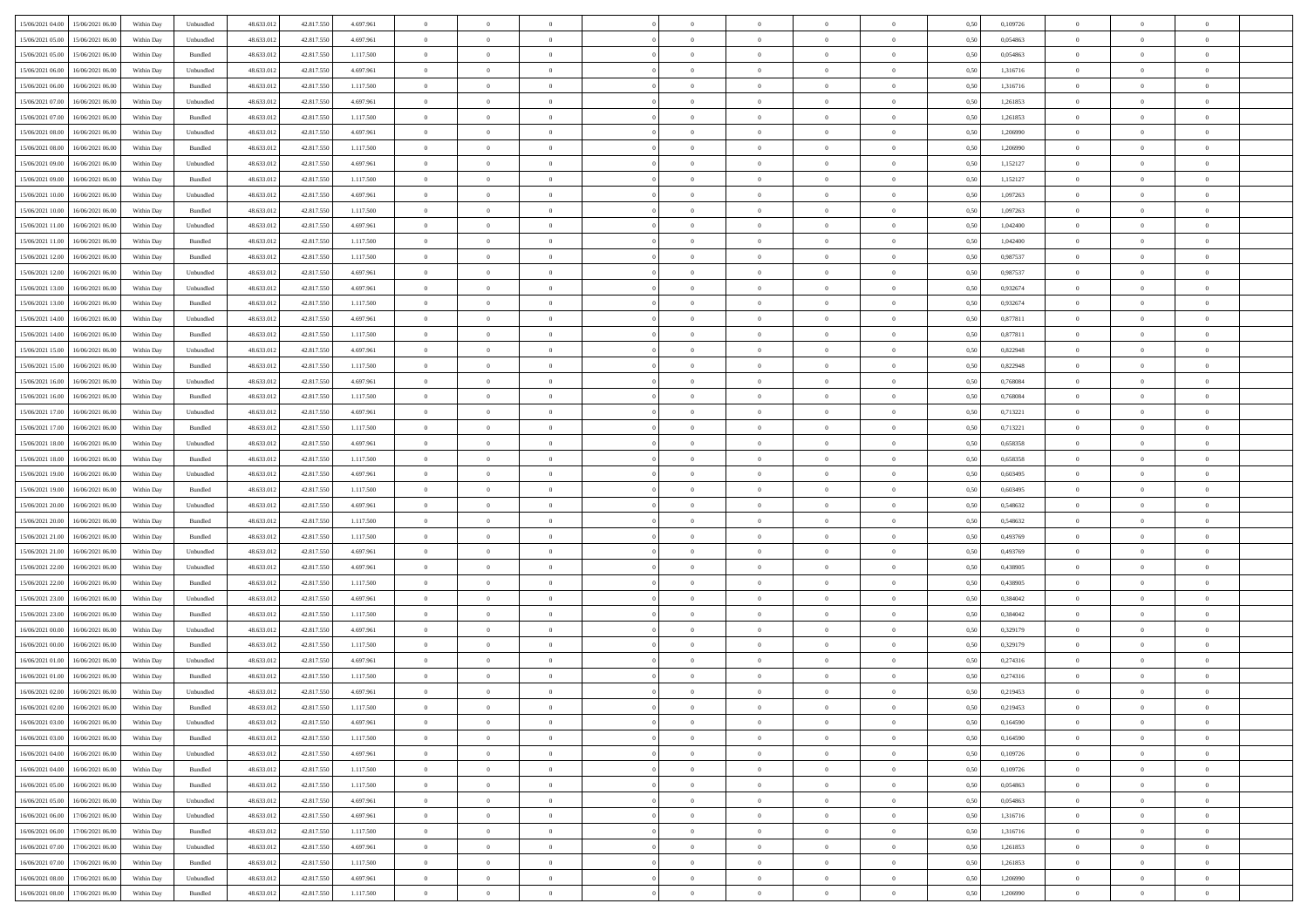| 15/06/2021 04:00 15/06/2021 06:00              | Within Day | Unbundled | 48.633.01  | 42.817.550 | 4.697.961 | $\overline{0}$ | $\overline{0}$ |                | $\overline{0}$ | $\theta$       |                | $\theta$       | 0,50 | 0,109726 | $\theta$       | $\theta$       | $\overline{0}$ |  |
|------------------------------------------------|------------|-----------|------------|------------|-----------|----------------|----------------|----------------|----------------|----------------|----------------|----------------|------|----------|----------------|----------------|----------------|--|
| 15/06/2021 05:00<br>15/06/2021 06:00           | Within Day | Unbundled | 48.633.01  | 42.817.55  | 4.697.961 | $\bf{0}$       | $\overline{0}$ | $\bf{0}$       | $\overline{0}$ | $\overline{0}$ | $\overline{0}$ | $\bf{0}$       | 0,50 | 0,054863 | $\,$ 0 $\,$    | $\bf{0}$       | $\overline{0}$ |  |
| 15/06/2021 05:00<br>15/06/2021 06:00           | Within Day | Bundled   | 48.633.013 | 42,817,550 | 1.117.500 | $\overline{0}$ | $\bf{0}$       | $\overline{0}$ | $\bf{0}$       | $\bf{0}$       | $\overline{0}$ | $\bf{0}$       | 0.50 | 0.054863 | $\bf{0}$       | $\overline{0}$ | $\overline{0}$ |  |
| 15/06/2021 06:00<br>16/06/2021 06:00           |            |           | 48.633.01  |            |           | $\overline{0}$ | $\overline{0}$ | $\overline{0}$ | $\theta$       | $\theta$       | $\overline{0}$ |                |      | 1,316716 | $\theta$       | $\theta$       | $\overline{0}$ |  |
|                                                | Within Day | Unbundled |            | 42.817.550 | 4.697.961 |                |                |                |                |                |                | $\bf{0}$       | 0,50 |          |                |                |                |  |
| 15/06/2021 06:00<br>16/06/2021 06:00           | Within Day | Bundled   | 48.633.01  | 42.817.55  | 1.117.500 | $\overline{0}$ | $\overline{0}$ | $\bf{0}$       | $\overline{0}$ | $\theta$       | $\overline{0}$ | $\bf{0}$       | 0,50 | 1,316716 | $\,$ 0 $\,$    | $\bf{0}$       | $\overline{0}$ |  |
| 15/06/2021 07:00<br>16/06/2021 06:00           | Within Day | Unbundled | 48.633.013 | 42.817.55  | 4.697.961 | $\overline{0}$ | $\overline{0}$ | $\overline{0}$ | $\bf{0}$       | $\overline{0}$ | $\theta$       | $\bf{0}$       | 0.50 | 1.261853 | $\,$ 0 $\,$    | $\theta$       | $\overline{0}$ |  |
| 15/06/2021 07:00<br>16/06/2021 06:00           | Within Day | Bundled   | 48.633.013 | 42.817.550 | 1.117.500 | $\overline{0}$ | $\overline{0}$ | $\overline{0}$ | $\overline{0}$ | $\overline{0}$ | $\overline{0}$ | $\bf{0}$       | 0,50 | 1,261853 | $\,$ 0 $\,$    | $\theta$       | $\overline{0}$ |  |
|                                                |            |           |            |            |           |                |                |                |                |                |                |                |      |          |                |                |                |  |
| 15/06/2021 08:00<br>16/06/2021 06:00           | Within Day | Unbundled | 48.633.01  | 42.817.55  | 4.697.961 | $\overline{0}$ | $\overline{0}$ | $\bf{0}$       | $\overline{0}$ | $\overline{0}$ | $\overline{0}$ | $\bf{0}$       | 0,50 | 1,206990 | $\,$ 0 $\,$    | $\bf{0}$       | $\overline{0}$ |  |
| 15/06/2021 08:00<br>16/06/2021 06:00           | Within Day | Bundled   | 48.633.013 | 42.817.550 | 1.117.500 | $\overline{0}$ | $\bf{0}$       | $\overline{0}$ | $\bf{0}$       | $\overline{0}$ | $\overline{0}$ | $\bf{0}$       | 0.50 | 1.206990 | $\bf{0}$       | $\overline{0}$ | $\overline{0}$ |  |
| 15/06/2021 09:00<br>16/06/2021 06:00           | Within Day | Unbundled | 48.633.013 | 42.817.550 | 4.697.961 | $\overline{0}$ | $\bf{0}$       | $\overline{0}$ | $\overline{0}$ | $\overline{0}$ | $\overline{0}$ | $\bf{0}$       | 0,50 | 1,152127 | $\,$ 0 $\,$    | $\bf{0}$       | $\overline{0}$ |  |
| 15/06/2021 09:00<br>16/06/2021 06:00           | Within Day | Bundled   | 48.633.01  | 42.817.550 | 1.117.500 | $\bf{0}$       | $\overline{0}$ | $\bf{0}$       | $\overline{0}$ | $\bf{0}$       | $\overline{0}$ | $\bf{0}$       | 0,50 | 1,152127 | $\,$ 0 $\,$    | $\bf{0}$       | $\overline{0}$ |  |
|                                                |            |           |            |            |           |                |                |                |                |                |                |                |      |          |                |                |                |  |
| 15/06/2021 10:00<br>16/06/2021 06:00           | Within Day | Unbundled | 48.633.013 | 42.817.550 | 4.697.961 | $\overline{0}$ | $\bf{0}$       | $\overline{0}$ | $\bf{0}$       | $\bf{0}$       | $\overline{0}$ | $\bf{0}$       | 0.50 | 1.097263 | $\bf{0}$       | $\overline{0}$ | $\bf{0}$       |  |
| 15/06/2021 10:00<br>16/06/2021 06:00           | Within Day | Bundled   | 48.633.01  | 42.817.550 | 1.117.500 | $\overline{0}$ | $\overline{0}$ | $\overline{0}$ | $\theta$       | $\theta$       | $\overline{0}$ | $\bf{0}$       | 0,50 | 1,097263 | $\,$ 0 $\,$    | $\theta$       | $\overline{0}$ |  |
| 15/06/2021 11:00<br>16/06/2021 06:00           | Within Day | Unbundled | 48.633.01  | 42.817.55  | 4.697.961 | $\bf{0}$       | $\overline{0}$ | $\bf{0}$       | $\overline{0}$ | $\theta$       | $\overline{0}$ | $\bf{0}$       | 0,50 | 1,042400 | $\,$ 0 $\,$    | $\bf{0}$       | $\overline{0}$ |  |
|                                                |            |           |            |            |           |                |                |                |                |                |                |                |      |          |                |                |                |  |
| 15/06/2021 11:00<br>16/06/2021 06:00           | Within Day | Bundled   | 48.633.013 | 42.817.550 | 1.117.500 | $\overline{0}$ | $\overline{0}$ | $\overline{0}$ | $\bf{0}$       | $\overline{0}$ | $\Omega$       | $\bf{0}$       | 0.50 | 1.042400 | $\theta$       | $\theta$       | $\overline{0}$ |  |
| 15/06/2021 12:00<br>16/06/2021 06:00           | Within Day | Bundled   | 48.633.013 | 42.817.550 | 1.117.500 | $\overline{0}$ | $\overline{0}$ | $\overline{0}$ | $\overline{0}$ | $\theta$       | $\overline{0}$ | $\bf{0}$       | 0,50 | 0,987537 | $\theta$       | $\theta$       | $\overline{0}$ |  |
| 15/06/2021 12:00<br>16/06/2021 06:00           | Within Day | Unbundled | 48.633.01  | 42.817.55  | 4.697.961 | $\bf{0}$       | $\overline{0}$ | $\bf{0}$       | $\overline{0}$ | $\theta$       | $\overline{0}$ | $\bf{0}$       | 0,50 | 0,987537 | $\,$ 0 $\,$    | $\bf{0}$       | $\overline{0}$ |  |
| 15/06/2021 13:00<br>16/06/2021 06:00           | Within Day | Unbundled | 48.633.013 | 42.817.55  | 4.697.961 | $\overline{0}$ | $\bf{0}$       | $\overline{0}$ | $\bf{0}$       | $\overline{0}$ | $\overline{0}$ | $\bf{0}$       | 0.50 | 0.932674 | $\bf{0}$       | $\overline{0}$ | $\overline{0}$ |  |
|                                                |            |           |            |            |           | $\overline{0}$ |                | $\overline{0}$ | $\overline{0}$ | $\overline{0}$ | $\overline{0}$ |                |      |          | $\,$ 0 $\,$    | $\theta$       | $\overline{0}$ |  |
| 15/06/2021 13:00<br>16/06/2021 06:00           | Within Day | Bundled   | 48.633.013 | 42.817.550 | 1.117.500 |                | $\bf{0}$       |                |                |                |                | $\bf{0}$       | 0,50 | 0,932674 |                |                |                |  |
| 15/06/2021 14:00<br>16/06/2021 06:00           | Within Day | Unbundled | 48.633.01  | 42.817.550 | 4.697.961 | $\bf{0}$       | $\bf{0}$       | $\bf{0}$       | $\bf{0}$       | $\overline{0}$ | $\overline{0}$ | $\bf{0}$       | 0,50 | 0,877811 | $\,$ 0 $\,$    | $\bf{0}$       | $\overline{0}$ |  |
| 15/06/2021 14:00<br>16/06/2021 06:00           | Within Day | Bundled   | 48.633.013 | 42,817,550 | 1.117.500 | $\overline{0}$ | $\bf{0}$       | $\overline{0}$ | $\bf{0}$       | $\bf{0}$       | $\overline{0}$ | $\bf{0}$       | 0.50 | 0.877811 | $\bf{0}$       | $\overline{0}$ | $\overline{0}$ |  |
| 15/06/2021 15:00<br>16/06/2021 06:00           | Within Day | Unbundled | 48.633.01  | 42.817.550 | 4.697.961 | $\overline{0}$ | $\overline{0}$ | $\overline{0}$ | $\theta$       | $\theta$       | $\overline{0}$ | $\bf{0}$       | 0,50 | 0,822948 | $\theta$       | $\theta$       | $\overline{0}$ |  |
|                                                |            |           |            |            |           |                | $\overline{0}$ |                | $\overline{0}$ | $\overline{0}$ | $\overline{0}$ |                |      |          | $\,$ 0 $\,$    | $\bf{0}$       | $\overline{0}$ |  |
| 15/06/2021 15:00<br>16/06/2021 06:00           | Within Day | Bundled   | 48.633.01  | 42.817.550 | 1.117.500 | $\bf{0}$       |                | $\bf{0}$       |                |                |                | $\bf{0}$       | 0,50 | 0,822948 |                |                |                |  |
| 15/06/2021 16:00<br>16/06/2021 06:00           | Within Day | Unbundled | 48.633.013 | 42.817.55  | 4.697.961 | $\overline{0}$ | $\overline{0}$ | $\overline{0}$ | $\overline{0}$ | $\overline{0}$ | $\Omega$       | $\bf{0}$       | 0.50 | 0.768084 | $\,$ 0 $\,$    | $\theta$       | $\overline{0}$ |  |
| 15/06/2021 16:00<br>16/06/2021 06:00           | Within Day | Bundled   | 48.633.013 | 42.817.550 | 1.117.500 | $\overline{0}$ | $\overline{0}$ | $\overline{0}$ | $\overline{0}$ | $\theta$       | $\overline{0}$ | $\bf{0}$       | 0,50 | 0,768084 | $\theta$       | $\theta$       | $\overline{0}$ |  |
| 15/06/2021 17:00<br>16/06/2021 06:00           | Within Day | Unbundled | 48.633.01  | 42.817.55  | 4.697.961 | $\bf{0}$       | $\overline{0}$ | $\bf{0}$       | $\overline{0}$ | $\theta$       | $\overline{0}$ | $\bf{0}$       | 0,50 | 0,713221 | $\,$ 0 $\,$    | $\bf{0}$       | $\overline{0}$ |  |
| 15/06/2021 17:00<br>16/06/2021 06:00           | Within Day | Bundled   | 48.633.013 | 42.817.550 | 1.117.500 | $\overline{0}$ | $\bf{0}$       | $\overline{0}$ | $\bf{0}$       | $\overline{0}$ | $\overline{0}$ | $\bf{0}$       | 0.50 | 0.713221 | $\bf{0}$       | $\overline{0}$ | $\overline{0}$ |  |
|                                                |            |           |            |            |           |                |                |                |                |                |                |                |      |          |                |                |                |  |
| 15/06/2021 18:00<br>16/06/2021 06:00           | Within Day | Unbundled | 48.633.01  | 42.817.550 | 4.697.961 | $\overline{0}$ | $\bf{0}$       | $\overline{0}$ | $\overline{0}$ | $\overline{0}$ | $\overline{0}$ | $\bf{0}$       | 0,50 | 0,658358 | $\theta$       | $\theta$       | $\overline{0}$ |  |
| 15/06/2021 18:00<br>16/06/2021 06:00           | Within Day | Bundled   | 48.633.01  | 42.817.550 | 1.117.500 | $\bf{0}$       | $\bf{0}$       | $\bf{0}$       | $\bf{0}$       | $\overline{0}$ | $\overline{0}$ | $\bf{0}$       | 0,50 | 0,658358 | $\,$ 0 $\,$    | $\bf{0}$       | $\overline{0}$ |  |
| 15/06/2021 19:00<br>16/06/2021 06:00           | Within Day | Unbundled | 48.633.013 | 42.817.55  | 4.697.961 | $\overline{0}$ | $\bf{0}$       | $\overline{0}$ | $\bf{0}$       | $\bf{0}$       | $\overline{0}$ | $\bf{0}$       | 0.50 | 0.603495 | $\bf{0}$       | $\overline{0}$ | $\bf{0}$       |  |
| 15/06/2021 19:00<br>16/06/2021 06:00           | Within Day | Bundled   | 48.633.013 | 42.817.55  | 1.117.500 | $\overline{0}$ | $\overline{0}$ | $\overline{0}$ | $\overline{0}$ | $\overline{0}$ | $\overline{0}$ | $\bf{0}$       | 0.50 | 0.603495 | $\theta$       | $\theta$       | $\overline{0}$ |  |
|                                                |            |           |            |            |           |                |                |                |                |                |                |                |      |          |                |                |                |  |
| 15/06/2021 20:00<br>16/06/2021 06:00           | Within Day | Unbundled | 48.633.01  | 42.817.55  | 4.697.961 | $\bf{0}$       | $\overline{0}$ | $\bf{0}$       | $\bf{0}$       | $\overline{0}$ | $\overline{0}$ | $\bf{0}$       | 0,50 | 0,548632 | $\,$ 0 $\,$    | $\bf{0}$       | $\overline{0}$ |  |
| 15/06/2021 20:00<br>16/06/2021 06:00           | Within Day | Bundled   | 48.633.013 | 42.817.550 | 1.117.500 | $\overline{0}$ | $\bf{0}$       | $\overline{0}$ | $\bf{0}$       | $\bf{0}$       | $\Omega$       | $\bf{0}$       | 0.50 | 0.548632 | $\,$ 0 $\,$    | $\theta$       | $\overline{0}$ |  |
| 15/06/2021 21:00<br>16/06/2021 06:00           | Within Dav | Bundled   | 48.633.013 | 42.817.550 | 1.117.500 | $\overline{0}$ | $\overline{0}$ | $\overline{0}$ | $\overline{0}$ | $\theta$       | $\overline{0}$ | $\bf{0}$       | 0.50 | 0,493769 | $\theta$       | $\theta$       | $\overline{0}$ |  |
| 15/06/2021 21:00<br>16/06/2021 06:00           | Within Day | Unbundled | 48.633.01  | 42.817.55  | 4.697.961 | $\bf{0}$       | $\bf{0}$       | $\bf{0}$       | $\overline{0}$ | $\bf{0}$       | $\overline{0}$ | $\bf{0}$       | 0,50 | 0,493769 | $\,$ 0 $\,$    | $\bf{0}$       | $\overline{0}$ |  |
| 15/06/2021 22:00<br>16/06/2021 06:00           |            | Unbundled | 48.633.013 | 42.817.55  | 4.697.961 |                | $\bf{0}$       | $\overline{0}$ |                | $\overline{0}$ | $\overline{0}$ |                | 0.50 | 0.438905 | $\bf{0}$       | $\overline{0}$ | $\overline{0}$ |  |
|                                                | Within Day |           |            |            |           | $\overline{0}$ |                |                | $\bf{0}$       |                |                | $\bf{0}$       |      |          |                |                |                |  |
| 15/06/2021 22:00<br>16/06/2021 06:00           | Within Dav | Bundled   | 48.633.013 | 42.817.550 | 1.117.500 | $\overline{0}$ | $\overline{0}$ | $\overline{0}$ | $\overline{0}$ | $\overline{0}$ | $\overline{0}$ | $\bf{0}$       | 0.50 | 0,438905 | $\theta$       | $\theta$       | $\overline{0}$ |  |
| 15/06/2021 23:00<br>16/06/2021 06:00           | Within Day | Unbundled | 48.633.01  | 42.817.550 | 4.697.961 | $\bf{0}$       | $\bf{0}$       | $\bf{0}$       | $\bf{0}$       | $\overline{0}$ | $\overline{0}$ | $\bf{0}$       | 0,50 | 0,384042 | $\,$ 0 $\,$    | $\bf{0}$       | $\overline{0}$ |  |
| 15/06/2021 23:00<br>16/06/2021 06:00           | Within Day | Bundled   | 48.633.013 | 42.817.550 | 1.117.500 | $\overline{0}$ | $\bf{0}$       | $\overline{0}$ | $\bf{0}$       | $\bf{0}$       | $\overline{0}$ | $\bf{0}$       | 0.50 | 0.384042 | $\bf{0}$       | $\overline{0}$ | $\overline{0}$ |  |
| 16/06/2021 00:00<br>16/06/2021 06:00           | Within Dav | Unbundled | 48.633.013 | 42.817.550 | 4.697.961 | $\overline{0}$ | $\overline{0}$ | $\overline{0}$ | $\overline{0}$ | $\theta$       | $\overline{0}$ | $\bf{0}$       | 0.50 | 0,329179 | $\theta$       | $\theta$       | $\overline{0}$ |  |
|                                                |            |           |            |            |           |                |                |                |                |                |                |                |      |          |                |                |                |  |
| 16/06/2021 00:00<br>16/06/2021 06:00           | Within Day | Bundled   | 48.633.013 | 42.817.550 | 1.117.500 | $\bf{0}$       | $\bf{0}$       | $\bf{0}$       | $\bf{0}$       | $\overline{0}$ | $\overline{0}$ | $\bf{0}$       | 0,50 | 0,329179 | $\,$ 0 $\,$    | $\bf{0}$       | $\overline{0}$ |  |
| 16/06/2021 01:00<br>16/06/2021 06:00           | Within Day | Unbundled | 48.633.013 | 42.817.55  | 4.697.961 | $\overline{0}$ | $\overline{0}$ | $\overline{0}$ | $\bf{0}$       | $\theta$       | $\Omega$       | $\bf{0}$       | 0.50 | 0,274316 | $\bf{0}$       | $\theta$       | $\overline{0}$ |  |
| 16/06/2021 01:00<br>16/06/2021 06:00           | Within Dav | Bundled   | 48.633.013 | 42.817.550 | 1.117.500 | $\overline{0}$ | $\overline{0}$ | $\Omega$       | $\overline{0}$ | $\theta$       | $\Omega$       | $\overline{0}$ | 0.5( | 0,274316 | $\theta$       | $\theta$       | $\overline{0}$ |  |
| 16/06/2021 02:00<br>16/06/2021 06:00           | Within Day | Unbundled | 48.633.01  | 42.817.550 | 4.697.961 | $\bf{0}$       | $\bf{0}$       | $\overline{0}$ | $\bf{0}$       | $\bf{0}$       | $\overline{0}$ | $\bf{0}$       | 0,50 | 0,219453 | $\overline{0}$ | $\bf{0}$       | $\overline{0}$ |  |
|                                                |            |           |            |            |           |                |                |                |                |                |                |                |      |          |                |                |                |  |
| $16/06/2021\; 02.00 \qquad 16/06/2021\; 06.00$ | Within Day | Bundled   | 48.633.012 | 42.817.550 | 1.117.500 | $\overline{0}$ |                |                | $\Omega$       |                |                |                | 0,50 | 0,219453 | $\theta$       | $\overline{0}$ |                |  |
| 16/06/2021 03:00 16/06/2021 06:00              | Within Day | Unbundled | 48.633.012 | 42.817.550 | 4.697.961 | $\overline{0}$ | $\overline{0}$ | $\overline{0}$ | $\theta$       | $\overline{0}$ | $\overline{0}$ | $\bf{0}$       | 0,50 | 0,164590 | $\theta$       | $\overline{0}$ | $\overline{0}$ |  |
| 16/06/2021 03:00<br>16/06/2021 06:00           | Within Day | Bundled   | 48.633.013 | 42.817.550 | 1.117.500 | $\overline{0}$ | $\bf{0}$       | $\overline{0}$ | $\overline{0}$ | $\bf{0}$       | $\overline{0}$ | $\bf{0}$       | 0,50 | 0,164590 | $\bf{0}$       | $\overline{0}$ | $\bf{0}$       |  |
| 16/06/2021 04:00 16/06/2021 06:00              | Within Day | Unbundled | 48.633.012 | 42.817.550 | 4.697.961 | $\overline{0}$ | $\bf{0}$       | $\overline{0}$ | $\overline{0}$ | $\mathbf{0}$   | $\overline{0}$ | $\,$ 0 $\,$    | 0.50 | 0.109726 | $\overline{0}$ | $\bf{0}$       | $\,$ 0 $\,$    |  |
|                                                |            |           |            |            |           |                |                |                |                |                |                |                |      |          |                |                |                |  |
| 16/06/2021 04:00 16/06/2021 06:00              | Within Dav | Bundled   | 48.633.012 | 42.817.550 | 1.117.500 | $\overline{0}$ | $\overline{0}$ | $\overline{0}$ | $\overline{0}$ | $\overline{0}$ | $\overline{0}$ | $\bf{0}$       | 0,50 | 0,109726 | $\overline{0}$ | $\theta$       | $\overline{0}$ |  |
| 16/06/2021 05:00<br>16/06/2021 06:00           | Within Day | Bundled   | 48.633.012 | 42.817.550 | 1.117.500 | $\overline{0}$ | $\bf{0}$       | $\overline{0}$ | $\overline{0}$ | $\bf{0}$       | $\overline{0}$ | $\bf{0}$       | 0,50 | 0,054863 | $\bf{0}$       | $\overline{0}$ | $\overline{0}$ |  |
| 16/06/2021 05:00<br>16/06/2021 06:00           | Within Day | Unbundled | 48.633.012 | 42,817,550 | 4.697.961 | $\overline{0}$ | $\bf{0}$       | $\overline{0}$ | $\overline{0}$ | $\overline{0}$ | $\overline{0}$ | $\bf{0}$       | 0.50 | 0.054863 | $\,$ 0 $\,$    | $\overline{0}$ | $\overline{0}$ |  |
| 16/06/2021 06:00<br>17/06/2021 06:00           | Within Dav | Unbundled | 48.633.012 | 42.817.550 | 4.697.961 | $\overline{0}$ | $\overline{0}$ | $\overline{0}$ | $\overline{0}$ | $\overline{0}$ | $\overline{0}$ | $\bf{0}$       | 0.50 | 1,316716 | $\overline{0}$ | $\theta$       | $\overline{0}$ |  |
|                                                |            |           |            |            |           |                |                |                |                |                |                |                |      |          |                |                |                |  |
| 16/06/2021 06:00<br>17/06/2021 06:00           | Within Day | Bundled   | 48.633.013 | 42.817.550 | 1.117.500 | $\overline{0}$ | $\overline{0}$ | $\overline{0}$ | $\overline{0}$ | $\overline{0}$ | $\overline{0}$ | $\bf{0}$       | 0,50 | 1,316716 | $\bf{0}$       | $\overline{0}$ | $\overline{0}$ |  |
| 16/06/2021 07:00<br>17/06/2021 06:00           | Within Day | Unbundled | 48.633.012 | 42,817,550 | 4.697.961 | $\overline{0}$ | $\overline{0}$ | $\overline{0}$ | $\overline{0}$ | $\overline{0}$ | $\overline{0}$ | $\bf{0}$       | 0.50 | 1.261853 | $\mathbf{0}$   | $\bf{0}$       | $\,$ 0         |  |
| 16/06/2021 07:00<br>17/06/2021 06:00           | Within Dav | Bundled   | 48.633.012 | 42.817.550 | 1.117.500 | $\overline{0}$ | $\overline{0}$ | $\overline{0}$ | $\overline{0}$ | $\overline{0}$ | $\overline{0}$ | $\bf{0}$       | 0,50 | 1,261853 | $\overline{0}$ | $\theta$       | $\overline{0}$ |  |
| 16/06/2021 08:00<br>17/06/2021 06:00           | Within Day | Unbundled | 48.633.013 | 42.817.550 | 4.697.961 | $\overline{0}$ | $\bf{0}$       | $\overline{0}$ | $\overline{0}$ | $\overline{0}$ | $\overline{0}$ | $\bf{0}$       | 0,50 | 1,206990 | $\bf{0}$       | $\overline{0}$ | $\bf{0}$       |  |
|                                                |            |           |            |            |           |                |                |                |                |                |                |                |      |          |                |                |                |  |
| 16/06/2021 08:00 17/06/2021 06:00              | Within Day | Bundled   | 48.633.012 | 42.817.550 | 1.117.500 | $\,$ 0 $\,$    | $\bf{0}$       | $\overline{0}$ | $\overline{0}$ | $\,$ 0 $\,$    | $\overline{0}$ | $\bf{0}$       | 0,50 | 1,206990 | $\overline{0}$ | $\,$ 0 $\,$    | $\,$ 0 $\,$    |  |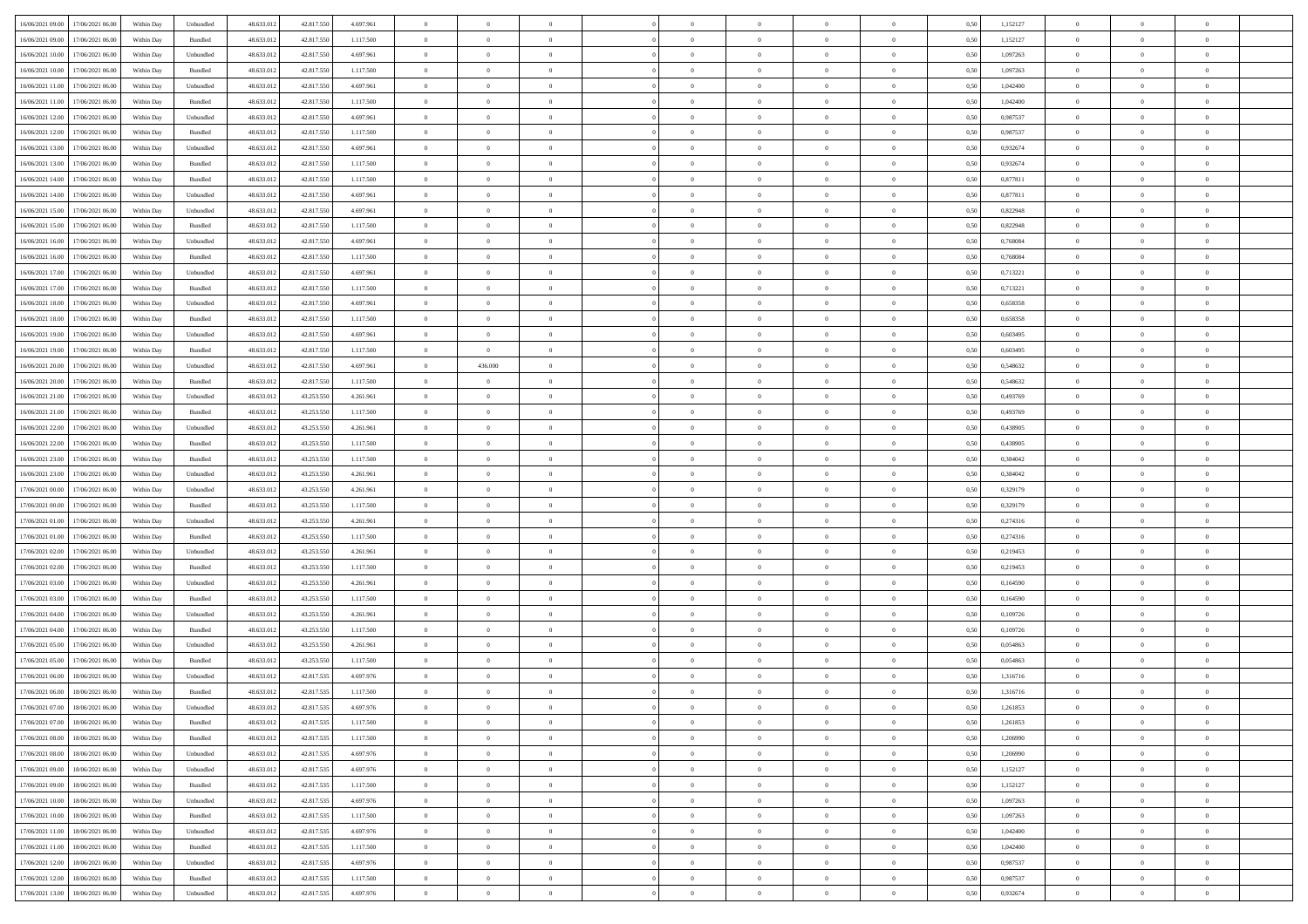|                                              |            |                             |            |            |           | $\overline{0}$ | $\overline{0}$ |                | $\overline{0}$ | $\theta$       |                | $\theta$       |      |          | $\theta$       | $\theta$       | $\overline{0}$ |  |
|----------------------------------------------|------------|-----------------------------|------------|------------|-----------|----------------|----------------|----------------|----------------|----------------|----------------|----------------|------|----------|----------------|----------------|----------------|--|
| 16/06/2021 09:00 17/06/2021 06:00            | Within Day | Unbundled                   | 48.633.01  | 42.817.550 | 4.697.961 |                |                |                |                |                |                |                | 0,50 | 1,152127 |                |                |                |  |
| 16/06/2021 09:00<br>17/06/2021 06:00         | Within Day | Bundled                     | 48.633.01  | 42.817.55  | 1.117.500 | $\bf{0}$       | $\bf{0}$       | $\bf{0}$       | $\bf{0}$       | $\overline{0}$ | $\overline{0}$ | $\bf{0}$       | 0,50 | 1,152127 | $\,$ 0 $\,$    | $\bf{0}$       | $\overline{0}$ |  |
| 16/06/2021 10:00<br>17/06/2021 06:00         | Within Day | Unbundled                   | 48.633.012 | 42.817.550 | 4.697.961 | $\overline{0}$ | $\bf{0}$       | $\overline{0}$ | $\bf{0}$       | $\bf{0}$       | $\overline{0}$ | $\bf{0}$       | 0.50 | 1.097263 | $\bf{0}$       | $\overline{0}$ | $\overline{0}$ |  |
| 16/06/2021 10:00<br>17/06/2021 06:00         | Within Day | Bundled                     | 48.633.013 | 42.817.550 | 1.117.500 | $\overline{0}$ | $\overline{0}$ | $\overline{0}$ | $\overline{0}$ | $\theta$       | $\overline{0}$ | $\bf{0}$       | 0,50 | 1,097263 | $\theta$       | $\theta$       | $\overline{0}$ |  |
| 16/06/2021 11:00<br>17/06/2021 06:00         | Within Day | Unbundled                   | 48.633.01  | 42.817.550 | 4.697.961 | $\bf{0}$       | $\overline{0}$ | $\bf{0}$       | $\overline{0}$ | $\theta$       | $\overline{0}$ | $\bf{0}$       | 0,50 | 1,042400 | $\,$ 0 $\,$    | $\bf{0}$       | $\overline{0}$ |  |
|                                              |            |                             |            |            |           |                |                |                |                |                |                |                |      |          |                |                |                |  |
| 16/06/2021 11:00<br>17/06/2021 06:00         | Within Day | Bundled                     | 48.633.013 | 42.817.55  | 1.117.500 | $\overline{0}$ | $\bf{0}$       | $\overline{0}$ | $\bf{0}$       | $\overline{0}$ | $\theta$       | $\bf{0}$       | 0.50 | 1.042400 | $\,$ 0 $\,$    | $\theta$       | $\overline{0}$ |  |
| 16/06/2021 12:00<br>17/06/2021 06.00         | Within Day | Unbundled                   | 48.633.013 | 42.817.550 | 4.697.961 | $\overline{0}$ | $\overline{0}$ | $\overline{0}$ | $\overline{0}$ | $\overline{0}$ | $\overline{0}$ | $\bf{0}$       | 0,50 | 0,987537 | $\,$ 0 $\,$    | $\theta$       | $\overline{0}$ |  |
| 16/06/2021 12:00<br>17/06/2021 06.00         | Within Day | Bundled                     | 48.633.01  | 42.817.55  | 1.117.500 | $\bf{0}$       | $\bf{0}$       | $\bf{0}$       | $\overline{0}$ | $\overline{0}$ | $\overline{0}$ | $\bf{0}$       | 0,50 | 0,987537 | $\,$ 0 $\,$    | $\bf{0}$       | $\overline{0}$ |  |
| 16/06/2021 13:00<br>17/06/2021 06:00         | Within Day | Unbundled                   | 48.633.013 | 42.817.55  | 4.697.961 | $\overline{0}$ | $\bf{0}$       | $\overline{0}$ | $\bf{0}$       | $\overline{0}$ | $\overline{0}$ | $\bf{0}$       | 0.50 | 0.932674 | $\bf{0}$       | $\overline{0}$ | $\overline{0}$ |  |
| 16/06/2021 13:00<br>17/06/2021 06:00         | Within Day | Bundled                     | 48.633.013 | 42.817.550 | 1.117.500 | $\bf{0}$       | $\bf{0}$       | $\overline{0}$ | $\overline{0}$ | $\overline{0}$ | $\overline{0}$ | $\bf{0}$       | 0,50 | 0,932674 | $\,$ 0 $\,$    | $\bf{0}$       | $\overline{0}$ |  |
| 16/06/2021 14:00<br>17/06/2021 06:00         | Within Day | Bundled                     | 48.633.01  | 42.817.550 | 1.117.500 | $\bf{0}$       | $\bf{0}$       | $\bf{0}$       | $\bf{0}$       | $\bf{0}$       | $\overline{0}$ | $\bf{0}$       | 0,50 | 0,877811 | $\,$ 0 $\,$    | $\bf{0}$       | $\overline{0}$ |  |
| 16/06/2021 14:00<br>17/06/2021 06:00         | Within Day | Unbundled                   | 48.633.013 | 42.817.550 | 4.697.961 | $\overline{0}$ | $\bf{0}$       | $\overline{0}$ | $\overline{0}$ | $\bf{0}$       | $\overline{0}$ | $\bf{0}$       | 0.50 | 0.877811 | $\bf{0}$       | $\overline{0}$ | $\,$ 0         |  |
|                                              |            |                             |            |            |           | $\overline{0}$ | $\overline{0}$ | $\overline{0}$ | $\theta$       | $\theta$       | $\overline{0}$ |                |      |          | $\,$ 0 $\,$    | $\theta$       |                |  |
| 16/06/2021 15:00<br>17/06/2021 06:00         | Within Day | Unbundled                   | 48.633.01  | 42.817.550 | 4.697.961 |                |                |                |                |                |                | $\bf{0}$       | 0,50 | 0,822948 |                |                | $\overline{0}$ |  |
| 16/06/2021 15:00<br>17/06/2021 06:00         | Within Day | Bundled                     | 48.633.01  | 42.817.55  | 1.117.500 | $\bf{0}$       | $\overline{0}$ | $\bf{0}$       | $\overline{0}$ | $\bf{0}$       | $\overline{0}$ | $\bf{0}$       | 0,50 | 0,822948 | $\,$ 0 $\,$    | $\bf{0}$       | $\overline{0}$ |  |
| 16/06/2021 16:00<br>17/06/2021 06:00         | Within Day | Unbundled                   | 48.633.013 | 42.817.55  | 4.697.961 | $\overline{0}$ | $\bf{0}$       | $\overline{0}$ | $\bf{0}$       | $\overline{0}$ | $\theta$       | $\bf{0}$       | 0.50 | 0.768084 | $\,$ 0 $\,$    | $\theta$       | $\overline{0}$ |  |
| 16/06/2021 16:00<br>17/06/2021 06:00         | Within Day | Bundled                     | 48.633.013 | 42.817.550 | 1.117.500 | $\overline{0}$ | $\overline{0}$ | $\overline{0}$ | $\overline{0}$ | $\overline{0}$ | $\overline{0}$ | $\bf{0}$       | 0,50 | 0,768084 | $\theta$       | $\theta$       | $\overline{0}$ |  |
| 16/06/2021 17:00<br>17/06/2021 06.00         | Within Day | Unbundled                   | 48.633.01  | 42.817.55  | 4.697.961 | $\bf{0}$       | $\bf{0}$       | $\bf{0}$       | $\overline{0}$ | $\bf{0}$       | $\overline{0}$ | $\bf{0}$       | 0,50 | 0,713221 | $\,$ 0 $\,$    | $\bf{0}$       | $\overline{0}$ |  |
| 16/06/2021 17:00<br>17/06/2021 06:00         | Within Day | Bundled                     | 48.633.013 | 42.817.55  | 1.117.500 | $\overline{0}$ | $\bf{0}$       | $\overline{0}$ | $\bf{0}$       | $\overline{0}$ | $\overline{0}$ | $\bf{0}$       | 0.50 | 0.713221 | $\bf{0}$       | $\overline{0}$ | $\overline{0}$ |  |
| 16/06/2021 18:00<br>17/06/2021 06:00         | Within Day | Unbundled                   | 48.633.013 | 42.817.550 | 4.697.961 | $\bf{0}$       | $\bf{0}$       | $\overline{0}$ | $\overline{0}$ | $\overline{0}$ | $\overline{0}$ | $\bf{0}$       | 0,50 | 0,658358 | $\,$ 0 $\,$    | $\bf{0}$       | $\overline{0}$ |  |
| 16/06/2021 18:00<br>17/06/2021 06:00         | Within Day | Bundled                     | 48.633.01  | 42.817.550 | 1.117.500 | $\bf{0}$       | $\bf{0}$       | $\bf{0}$       | $\bf{0}$       | $\overline{0}$ | $\overline{0}$ | $\bf{0}$       | 0,50 | 0,658358 | $\,$ 0 $\,$    | $\bf{0}$       | $\overline{0}$ |  |
|                                              |            |                             |            |            |           |                |                |                |                |                |                |                |      |          |                |                |                |  |
| 16/06/2021 19:00<br>17/06/2021 06.00         | Within Day | Unbundled                   | 48.633.012 | 42,817,550 | 4.697.961 | $\overline{0}$ | $\bf{0}$       | $\overline{0}$ | $\overline{0}$ | $\bf{0}$       | $\overline{0}$ | $\bf{0}$       | 0.50 | 0.603495 | $\bf{0}$       | $\overline{0}$ | $\,$ 0         |  |
| 16/06/2021 19:00<br>17/06/2021 06:00         | Within Day | Bundled                     | 48.633.01  | 42.817.550 | 1.117.500 | $\overline{0}$ | $\bf{0}$       | $\overline{0}$ | $\overline{0}$ | $\theta$       | $\overline{0}$ | $\bf{0}$       | 0,50 | 0,603495 | $\theta$       | $\theta$       | $\overline{0}$ |  |
| 16/06/2021 20:00<br>17/06/2021 06:00         | Within Day | Unbundled                   | 48.633.01  | 42.817.550 | 4.697.961 | $\bf{0}$       | 436.000        | $\bf{0}$       | $\bf{0}$       | $\overline{0}$ | $\overline{0}$ | $\bf{0}$       | 0,50 | 0,548632 | $\,$ 0 $\,$    | $\bf{0}$       | $\overline{0}$ |  |
| 16/06/2021 20:00<br>17/06/2021 06:00         | Within Day | Bundled                     | 48.633.013 | 42.817.55  | 1.117.500 | $\overline{0}$ | $\overline{0}$ | $\overline{0}$ | $\bf{0}$       | $\overline{0}$ | $\theta$       | $\bf{0}$       | 0.50 | 0.548632 | $\bf{0}$       | $\theta$       | $\overline{0}$ |  |
| 16/06/2021 21:00<br>17/06/2021 06.00         | Within Day | Unbundled                   | 48.633.013 | 43.253.550 | 4.261.961 | $\overline{0}$ | $\overline{0}$ | $\overline{0}$ | $\overline{0}$ | $\overline{0}$ | $\overline{0}$ | $\bf{0}$       | 0,50 | 0,493769 | $\,$ 0 $\,$    | $\theta$       | $\overline{0}$ |  |
| 16/06/2021 21:00<br>17/06/2021 06.00         | Within Day | Bundled                     | 48.633.01  | 43.253.55  | 1.117.500 | $\bf{0}$       | $\overline{0}$ | $\bf{0}$       | $\overline{0}$ | $\bf{0}$       | $\overline{0}$ | $\bf{0}$       | 0,50 | 0,493769 | $\,$ 0 $\,$    | $\bf{0}$       | $\overline{0}$ |  |
| 16/06/2021 22:00<br>17/06/2021 06:00         | Within Day | Unbundled                   | 48.633.013 | 43.253.55  | 4.261.961 | $\overline{0}$ | $\bf{0}$       | $\overline{0}$ | $\bf{0}$       | $\overline{0}$ | $\overline{0}$ | $\bf{0}$       | 0.50 | 0.438905 | $\bf{0}$       | $\overline{0}$ | $\overline{0}$ |  |
| 16/06/2021 22:00<br>17/06/2021 06:00         | Within Day | Bundled                     | 48.633.013 | 43.253.550 | 1.117.500 | $\overline{0}$ | $\bf{0}$       | $\overline{0}$ | $\overline{0}$ | $\overline{0}$ | $\overline{0}$ | $\bf{0}$       | 0,50 | 0,438905 | $\theta$       | $\theta$       | $\overline{0}$ |  |
| 16/06/2021 23:00<br>17/06/2021 06:00         | Within Day | Bundled                     | 48.633.01  | 43.253.550 | 1.117.500 | $\bf{0}$       | $\bf{0}$       | $\bf{0}$       | $\bf{0}$       | $\overline{0}$ | $\overline{0}$ | $\bf{0}$       | 0,50 | 0,384042 | $\,$ 0 $\,$    | $\bf{0}$       | $\overline{0}$ |  |
|                                              |            |                             |            |            |           |                |                |                |                |                |                |                |      |          |                |                |                |  |
| 16/06/2021 23:00<br>17/06/2021 06:00         | Within Day | Unbundled                   | 48.633.013 | 43.253.55  | 4.261.961 | $\overline{0}$ | $\bf{0}$       | $\overline{0}$ | $\overline{0}$ | $\bf{0}$       | $\overline{0}$ | $\bf{0}$       | 0.50 | 0.384042 | $\bf{0}$       | $\overline{0}$ | $\,$ 0         |  |
| 17/06/2021 00:00<br>17/06/2021 06:00         | Within Day | Unbundled                   | 48.633.013 | 43.253.550 | 4.261.961 | $\overline{0}$ | $\overline{0}$ | $\overline{0}$ | $\overline{0}$ | $\overline{0}$ | $\overline{0}$ | $\bf{0}$       | 0.5( | 0,329179 | $\theta$       | $\theta$       | $\overline{0}$ |  |
| 17/06/2021 00:00<br>17/06/2021 06:00         | Within Day | Bundled                     | 48.633.01  | 43.253.55  | 1.117.500 | $\bf{0}$       | $\bf{0}$       | $\bf{0}$       | $\bf{0}$       | $\,$ 0 $\,$    | $\overline{0}$ | $\bf{0}$       | 0,50 | 0,329179 | $\,$ 0 $\,$    | $\bf{0}$       | $\overline{0}$ |  |
| 17/06/2021 01:00<br>17/06/2021 06:00         | Within Day | Unbundled                   | 48.633.013 | 43.253.55  | 4.261.961 | $\overline{0}$ | $\bf{0}$       | $\overline{0}$ | $\bf{0}$       | $\overline{0}$ | $\overline{0}$ | $\bf{0}$       | 0.50 | 0,274316 | $\,$ 0 $\,$    | $\bf{0}$       | $\overline{0}$ |  |
| 17/06/2021 01:00<br>17/06/2021 06:00         | Within Dav | Bundled                     | 48.633.013 | 43.253.550 | 1.117.500 | $\overline{0}$ | $\overline{0}$ | $\overline{0}$ | $\overline{0}$ | $\theta$       | $\overline{0}$ | $\bf{0}$       | 0.50 | 0,274316 | $\theta$       | $\theta$       | $\overline{0}$ |  |
| 17/06/2021 02:00<br>17/06/2021 06:00         | Within Day | Unbundled                   | 48.633.01  | 43.253.55  | 4.261.961 | $\bf{0}$       | $\bf{0}$       | $\bf{0}$       | $\bf{0}$       | $\bf{0}$       | $\overline{0}$ | $\bf{0}$       | 0,50 | 0,219453 | $\,$ 0 $\,$    | $\bf{0}$       | $\overline{0}$ |  |
| 17/06/2021 02:00<br>17/06/2021 06:00         | Within Day | Bundled                     | 48.633.013 | 43.253.55  | 1.117.500 | $\overline{0}$ | $\bf{0}$       | $\overline{0}$ | $\bf{0}$       | $\overline{0}$ | $\overline{0}$ | $\bf{0}$       | 0.50 | 0.219453 | $\bf{0}$       | $\overline{0}$ | $\overline{0}$ |  |
| 17/06/2021 03:00<br>17/06/2021 06:00         | Within Dav | Unbundled                   | 48.633.013 | 43.253.550 | 4.261.961 | $\overline{0}$ | $\overline{0}$ | $\overline{0}$ | $\overline{0}$ | $\overline{0}$ | $\overline{0}$ | $\bf{0}$       | 0.50 | 0,164590 | $\theta$       | $\theta$       | $\overline{0}$ |  |
| 17/06/2021 03:00<br>17/06/2021 06.00         | Within Day | Bundled                     | 48.633.01  | 43.253.550 | 1.117.500 | $\bf{0}$       | $\bf{0}$       | $\bf{0}$       | $\bf{0}$       | $\overline{0}$ | $\overline{0}$ | $\bf{0}$       | 0,50 | 0,164590 | $\,$ 0 $\,$    | $\bf{0}$       | $\overline{0}$ |  |
|                                              |            |                             |            |            |           |                |                |                |                |                |                |                |      |          |                |                |                |  |
| 17/06/2021 04:00<br>17/06/2021 06:00         | Within Day | Unbundled                   | 48.633.013 | 43.253.550 | 4.261.961 | $\overline{0}$ | $\bf{0}$       | $\overline{0}$ | $\overline{0}$ | $\bf{0}$       | $\overline{0}$ | $\bf{0}$       | 0.50 | 0.109726 | $\bf{0}$       | $\overline{0}$ | $\overline{0}$ |  |
| 17/06/2021 04:00<br>17/06/2021 06:00         | Within Day | Bundled                     | 48.633.013 | 43.253.550 | 1.117.500 | $\overline{0}$ | $\overline{0}$ | $\overline{0}$ | $\overline{0}$ | $\overline{0}$ | $\overline{0}$ | $\bf{0}$       | 0.50 | 0,109726 | $\theta$       | $\theta$       | $\overline{0}$ |  |
| 17/06/2021 05:00<br>17/06/2021 06:00         | Within Day | Unbundled                   | 48.633.013 | 43.253.550 | 4.261.961 | $\bf{0}$       | $\bf{0}$       | $\bf{0}$       | $\bf{0}$       | $\overline{0}$ | $\overline{0}$ | $\bf{0}$       | 0,50 | 0,054863 | $\,$ 0 $\,$    | $\bf{0}$       | $\overline{0}$ |  |
| 17/06/2021 05:00<br>17/06/2021 06:00         | Within Day | Bundled                     | 48.633.013 | 43.253.55  | 1.117.500 | $\overline{0}$ | $\overline{0}$ | $\overline{0}$ | $\bf{0}$       | $\theta$       | $\Omega$       | $\bf{0}$       | 0.50 | 0.054863 | $\bf{0}$       | $\theta$       | $\overline{0}$ |  |
| 17/06/2021 06:00<br>18/06/2021 06:00         | Within Dav | Unbundled                   | 48.633.013 | 42.817.535 | 4.697.976 | $\overline{0}$ | $\overline{0}$ | $\Omega$       | $\theta$       | $\theta$       | $\overline{0}$ | $\overline{0}$ | 0.5( | 1,316716 | $\theta$       | $\theta$       | $\overline{0}$ |  |
| 17/06/2021 06:00<br>18/06/2021 06:00         | Within Day | Bundled                     | 48.633.01  | 42.817.535 | 1.117.500 | $\bf{0}$       | $\bf{0}$       | $\bf{0}$       | $\bf{0}$       | $\bf{0}$       | $\overline{0}$ | $\bf{0}$       | 0,50 | 1,316716 | $\overline{0}$ | $\bf{0}$       | $\overline{0}$ |  |
| $17/06/2021\ 07.00 \qquad 18/06/2021\ 06.00$ | Within Day | $\ensuremath{\mathsf{Unb}}$ | 48.633.012 | 42.817.535 | 4.697.976 | $\bf{0}$       | $\theta$       |                | $\Omega$       |                |                |                | 0,50 | 1,261853 | $\bf{0}$       | $\overline{0}$ |                |  |
| 17/06/2021 07:00 18/06/2021 06:00            | Within Day | Bundled                     | 48.633.012 | 42.817.535 | 1.117.500 | $\overline{0}$ | $\overline{0}$ | $\overline{0}$ | $\overline{0}$ | $\overline{0}$ | $\overline{0}$ | $\bf{0}$       | 0,50 | 1,261853 | $\theta$       | $\overline{0}$ | $\overline{0}$ |  |
|                                              |            |                             |            |            |           |                |                |                |                |                |                |                |      |          |                |                |                |  |
| 17/06/2021 08:00<br>18/06/2021 06:00         | Within Day | Bundled                     | 48.633.013 | 42.817.535 | 1.117.500 | $\overline{0}$ | $\bf{0}$       | $\overline{0}$ | $\overline{0}$ | $\bf{0}$       | $\overline{0}$ | $\bf{0}$       | 0,50 | 1,206990 | $\bf{0}$       | $\overline{0}$ | $\bf{0}$       |  |
| 17/06/2021 08:00 18/06/2021 06:00            | Within Day | Unbundled                   | 48.633.012 | 42.817.535 | 4.697.976 | $\overline{0}$ | $\bf{0}$       | $\overline{0}$ | $\overline{0}$ | $\mathbf{0}$   | $\overline{0}$ | $\,$ 0 $\,$    | 0.50 | 1.206990 | $\overline{0}$ | $\bf{0}$       | $\,$ 0 $\,$    |  |
| 17/06/2021 09:00 18/06/2021 06:00            | Within Dav | Unbundled                   | 48.633.012 | 42.817.535 | 4.697.976 | $\overline{0}$ | $\overline{0}$ | $\overline{0}$ | $\overline{0}$ | $\overline{0}$ | $\overline{0}$ | $\bf{0}$       | 0,50 | 1,152127 | $\overline{0}$ | $\theta$       | $\overline{0}$ |  |
| 17/06/2021 09:00<br>18/06/2021 06:00         | Within Day | Bundled                     | 48.633.012 | 42.817.535 | 1.117.500 | $\overline{0}$ | $\bf{0}$       | $\overline{0}$ | $\overline{0}$ | $\bf{0}$       | $\overline{0}$ | $\bf{0}$       | 0,50 | 1,152127 | $\bf{0}$       | $\overline{0}$ | $\overline{0}$ |  |
| 18/06/2021 06:00<br>17/06/2021 10:00         | Within Day | Unbundled                   | 48.633.012 | 42.817.535 | 4.697.976 | $\overline{0}$ | $\bf{0}$       | $\overline{0}$ | $\overline{0}$ | $\bf{0}$       | $\overline{0}$ | $\bf{0}$       | 0.50 | 1.097263 | $\,$ 0 $\,$    | $\overline{0}$ | $\overline{0}$ |  |
| 17/06/2021 10:00<br>18/06/2021 06:00         | Within Dav | Bundled                     | 48.633.012 | 42.817.535 | 1.117.500 | $\overline{0}$ | $\overline{0}$ | $\overline{0}$ | $\overline{0}$ | $\overline{0}$ | $\overline{0}$ | $\bf{0}$       | 0.50 | 1,097263 | $\overline{0}$ | $\theta$       | $\overline{0}$ |  |
| 17/06/2021 11:00<br>18/06/2021 06:00         | Within Day | Unbundled                   | 48.633.013 | 42.817.535 | 4.697.976 | $\overline{0}$ | $\overline{0}$ | $\overline{0}$ | $\overline{0}$ | $\overline{0}$ | $\overline{0}$ | $\bf{0}$       | 0,50 | 1,042400 | $\bf{0}$       | $\overline{0}$ | $\overline{0}$ |  |
| 17/06/2021 11:00 18/06/2021 06:00            | Within Day | Bundled                     | 48.633.012 | 42.817.535 | 1.117.500 | $\overline{0}$ | $\overline{0}$ | $\overline{0}$ | $\overline{0}$ | $\overline{0}$ | $\overline{0}$ | $\bf{0}$       | 0.50 | 1.042400 | $\mathbf{0}$   | $\bf{0}$       | $\,$ 0         |  |
|                                              |            |                             |            |            |           |                |                |                |                |                |                |                |      |          |                |                |                |  |
| 17/06/2021 12:00 18/06/2021 06:00            | Within Dav | Unbundled                   | 48.633.012 | 42.817.535 | 4.697.976 | $\overline{0}$ | $\overline{0}$ | $\overline{0}$ | $\overline{0}$ | $\overline{0}$ | $\overline{0}$ | $\bf{0}$       | 0,50 | 0,987537 | $\overline{0}$ | $\theta$       | $\overline{0}$ |  |
| 17/06/2021 12:00<br>18/06/2021 06:00         | Within Day | Bundled                     | 48.633.013 | 42.817.535 | 1.117.500 | $\overline{0}$ | $\bf{0}$       | $\overline{0}$ | $\overline{0}$ | $\overline{0}$ | $\overline{0}$ | $\bf{0}$       | 0,50 | 0,987537 | $\bf{0}$       | $\overline{0}$ | $\bf{0}$       |  |
| 17/06/2021 13:00 18/06/2021 06:00            | Within Day | Unbundled                   | 48.633.012 | 42.817.535 | 4.697.976 | $\overline{0}$ | $\bf{0}$       | $\overline{0}$ | $\overline{0}$ | $\,$ 0 $\,$    | $\overline{0}$ | $\bf{0}$       | 0,50 | 0,932674 | $\overline{0}$ | $\,$ 0 $\,$    | $\,$ 0 $\,$    |  |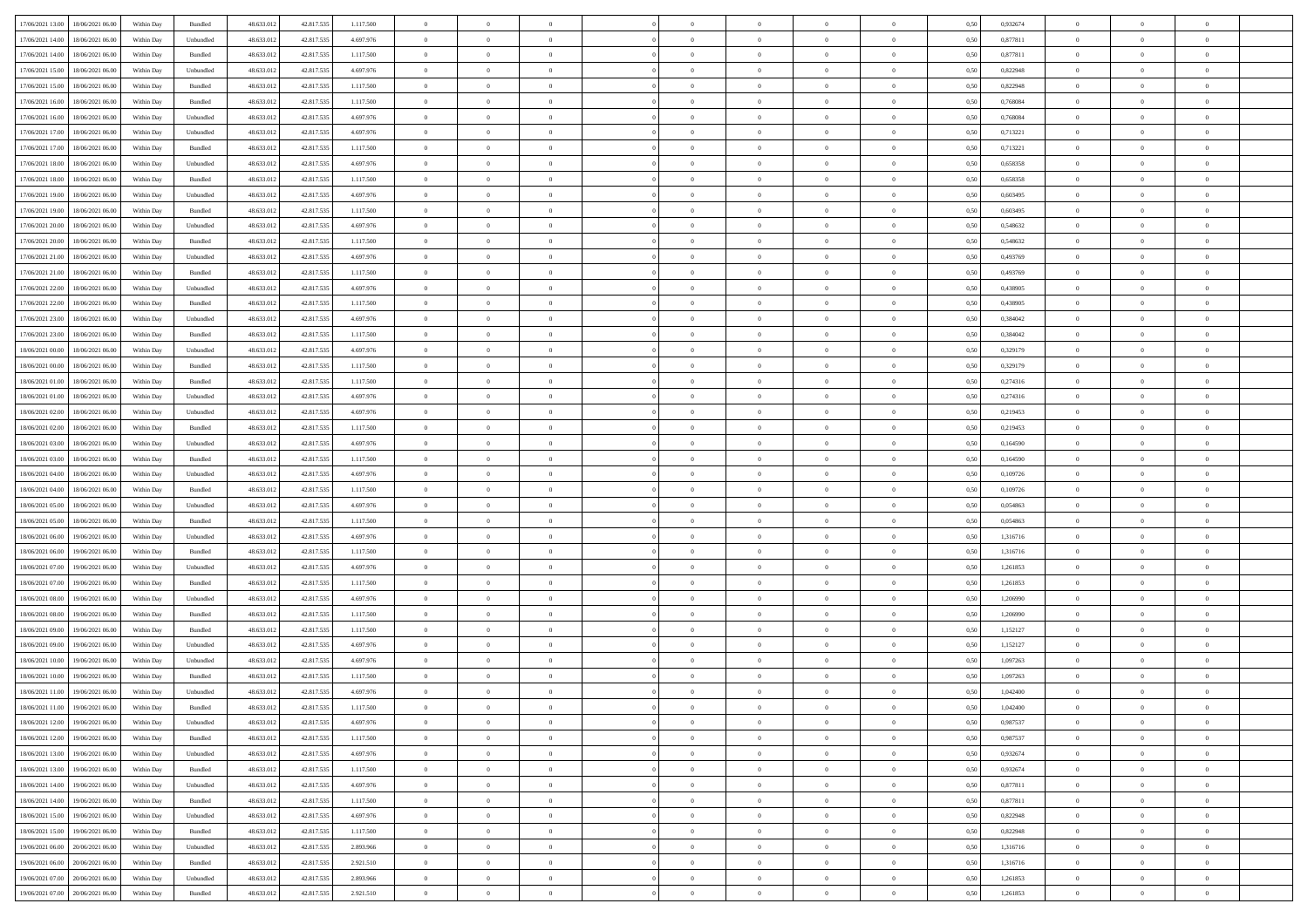| 17/06/2021 13:00 18/06/2021 06:00       | Within Day | Bundled   | 48.633.01  | 42.817.535 | 1.117.500     | $\overline{0}$ | $\overline{0}$ |                | $\overline{0}$ | $\theta$       |                | $\theta$       | 0,50 | 0,932674 | $\theta$       | $\theta$       | $\overline{0}$ |  |
|-----------------------------------------|------------|-----------|------------|------------|---------------|----------------|----------------|----------------|----------------|----------------|----------------|----------------|------|----------|----------------|----------------|----------------|--|
|                                         |            |           |            |            |               |                |                |                |                |                |                |                |      |          |                |                |                |  |
| 17/06/2021 14:00<br>18/06/2021 06:00    | Within Day | Unbundled | 48.633.01  | 42.817.53  | 4.697.976     | $\bf{0}$       | $\bf{0}$       | $\bf{0}$       | $\bf{0}$       | $\overline{0}$ | $\overline{0}$ | $\bf{0}$       | 0,50 | 0,877811 | $\,$ 0 $\,$    | $\bf{0}$       | $\overline{0}$ |  |
| 17/06/2021 14:00<br>18/06/2021 06:00    | Within Day | Bundled   | 48.633.013 | 42.817.535 | 1.117.500     | $\overline{0}$ | $\bf{0}$       | $\overline{0}$ | $\bf{0}$       | $\bf{0}$       | $\overline{0}$ | $\bf{0}$       | 0.50 | 0.877811 | $\bf{0}$       | $\overline{0}$ | $\overline{0}$ |  |
| 17/06/2021 15:00<br>18/06/2021 06:00    | Within Day | Unbundled | 48.633.01  | 42.817.535 | 4.697.976     | $\overline{0}$ | $\bf{0}$       | $\overline{0}$ | $\theta$       | $\theta$       | $\overline{0}$ | $\bf{0}$       | 0,50 | 0,822948 | $\theta$       | $\theta$       | $\overline{0}$ |  |
| 17/06/2021 15:00<br>18/06/2021 06:00    | Within Day | Bundled   | 48.633.01  | 42.817.535 | 1.117.500     | $\overline{0}$ | $\overline{0}$ | $\bf{0}$       | $\overline{0}$ | $\theta$       | $\overline{0}$ | $\bf{0}$       | 0,50 | 0,822948 | $\,$ 0 $\,$    | $\bf{0}$       | $\overline{0}$ |  |
| 17/06/2021 16:00<br>18/06/2021 06:00    | Within Day | Bundled   | 48.633.013 | 42.817.53  | 1.117.500     | $\overline{0}$ | $\overline{0}$ | $\overline{0}$ | $\bf{0}$       | $\overline{0}$ | $\theta$       | $\bf{0}$       | 0.50 | 0.768084 | $\,$ 0 $\,$    | $\theta$       | $\overline{0}$ |  |
|                                         |            |           |            |            |               | $\overline{0}$ | $\overline{0}$ | $\overline{0}$ | $\overline{0}$ | $\overline{0}$ | $\overline{0}$ |                |      |          | $\theta$       | $\theta$       | $\overline{0}$ |  |
| 17/06/2021 16:00<br>18/06/2021 06:00    | Within Day | Unbundled | 48.633.013 | 42.817.535 | 4.697.976     |                |                |                |                |                |                | $\bf{0}$       | 0,50 | 0,768084 |                |                |                |  |
| 17/06/2021 17:00<br>18/06/2021 06:00    | Within Day | Unbundled | 48.633.01  | 42.817.53  | 4.697.976     | $\bf{0}$       | $\overline{0}$ | $\bf{0}$       | $\overline{0}$ | $\bf{0}$       | $\overline{0}$ | $\bf{0}$       | 0,50 | 0,713221 | $\,$ 0 $\,$    | $\bf{0}$       | $\overline{0}$ |  |
| 17/06/2021 17:00<br>18/06/2021 06:00    | Within Day | Bundled   | 48.633.013 | 42.817.53  | 1.117.500     | $\overline{0}$ | $\bf{0}$       | $\overline{0}$ | $\bf{0}$       | $\overline{0}$ | $\overline{0}$ | $\bf{0}$       | 0.50 | 0.713221 | $\bf{0}$       | $\overline{0}$ | $\overline{0}$ |  |
| 17/06/2021 18:00<br>18/06/2021 06:00    | Within Day | Unbundled | 48.633.013 | 42.817.535 | 4.697.976     | $\overline{0}$ | $\bf{0}$       | $\overline{0}$ | $\overline{0}$ | $\overline{0}$ | $\overline{0}$ | $\bf{0}$       | 0,50 | 0,658358 | $\,$ 0 $\,$    | $\bf{0}$       | $\overline{0}$ |  |
| 17/06/2021 18:00<br>18/06/2021 06:00    | Within Day | Bundled   | 48.633.01  | 42.817.535 | 1.117.500     | $\bf{0}$       | $\overline{0}$ | $\bf{0}$       | $\bf{0}$       | $\bf{0}$       | $\overline{0}$ | $\bf{0}$       | 0,50 | 0,658358 | $\,$ 0 $\,$    | $\bf{0}$       | $\overline{0}$ |  |
| 17/06/2021 19:00<br>18/06/2021 06:00    | Within Day | Unbundled | 48.633.013 | 42.817.53  | 4.697.976     | $\overline{0}$ | $\bf{0}$       | $\overline{0}$ | $\bf{0}$       | $\bf{0}$       | $\overline{0}$ | $\bf{0}$       | 0.50 | 0.603495 | $\bf{0}$       | $\overline{0}$ | $\,$ 0         |  |
| 17/06/2021 19:00<br>18/06/2021 06:00    | Within Day | Bundled   | 48.633.01  | 42.817.535 | 1.117.500     | $\overline{0}$ | $\overline{0}$ | $\overline{0}$ | $\theta$       | $\theta$       | $\overline{0}$ | $\bf{0}$       | 0,50 | 0,603495 | $\theta$       | $\theta$       | $\overline{0}$ |  |
|                                         |            |           |            |            |               |                | $\overline{0}$ |                | $\overline{0}$ | $\theta$       | $\overline{0}$ |                |      |          | $\,$ 0 $\,$    | $\bf{0}$       | $\overline{0}$ |  |
| 17/06/2021 20:00<br>18/06/2021 06:00    | Within Day | Unbundled | 48.633.01  | 42.817.53  | 4.697.976     | $\bf{0}$       |                | $\bf{0}$       |                |                |                | $\bf{0}$       | 0,50 | 0,548632 |                |                |                |  |
| 17/06/2021 20:00<br>18/06/2021 06:00    | Within Day | Bundled   | 48.633.013 | 42.817.53  | 1.117.500     | $\overline{0}$ | $\overline{0}$ | $\overline{0}$ | $\bf{0}$       | $\overline{0}$ | $\theta$       | $\bf{0}$       | 0.50 | 0.548632 | $\theta$       | $\theta$       | $\overline{0}$ |  |
| 17/06/2021 21:00<br>18/06/2021 06:00    | Within Day | Unbundled | 48.633.013 | 42.817.535 | 4.697.976     | $\overline{0}$ | $\overline{0}$ | $\overline{0}$ | $\overline{0}$ | $\theta$       | $\overline{0}$ | $\bf{0}$       | 0,50 | 0,493769 | $\theta$       | $\theta$       | $\overline{0}$ |  |
| 17/06/2021 21:00<br>18/06/2021 06:00    | Within Day | Bundled   | 48.633.01  | 42.817.535 | 1.117.500     | $\bf{0}$       | $\overline{0}$ | $\bf{0}$       | $\overline{0}$ | $\theta$       | $\overline{0}$ | $\bf{0}$       | 0,50 | 0,493769 | $\,$ 0 $\,$    | $\bf{0}$       | $\overline{0}$ |  |
| 17/06/2021 22:00<br>18/06/2021 06:00    | Within Day | Unbundled | 48.633.013 | 42.817.53  | 4.697.976     | $\overline{0}$ | $\bf{0}$       | $\overline{0}$ | $\bf{0}$       | $\overline{0}$ | $\overline{0}$ | $\bf{0}$       | 0.50 | 0.438905 | $\bf{0}$       | $\overline{0}$ | $\bf{0}$       |  |
| 17/06/2021 22.00<br>18/06/2021 06:00    | Within Day | Bundled   | 48.633.013 | 42.817.535 | 1.117.500     | $\overline{0}$ | $\bf{0}$       | $\overline{0}$ | $\overline{0}$ | $\overline{0}$ | $\overline{0}$ | $\bf{0}$       | 0,50 | 0,438905 | $\,$ 0 $\,$    | $\theta$       | $\overline{0}$ |  |
| 17/06/2021 23:00<br>18/06/2021 06:00    | Within Day | Unbundled | 48.633.01  | 42.817.535 | 4.697.976     | $\bf{0}$       | $\bf{0}$       | $\bf{0}$       | $\bf{0}$       | $\overline{0}$ | $\overline{0}$ | $\bf{0}$       | 0,50 | 0,384042 | $\,$ 0 $\,$    | $\bf{0}$       | $\overline{0}$ |  |
| 17/06/2021 23:00<br>18/06/2021 06:00    | Within Day | Bundled   | 48.633.013 | 42.817.535 | 1.117.500     | $\overline{0}$ | $\bf{0}$       | $\overline{0}$ | $\overline{0}$ | $\bf{0}$       | $\overline{0}$ | $\bf{0}$       | 0.50 | 0.384042 | $\bf{0}$       | $\overline{0}$ | $\,$ 0         |  |
|                                         |            |           |            |            |               | $\overline{0}$ | $\overline{0}$ | $\overline{0}$ | $\overline{0}$ | $\theta$       | $\overline{0}$ |                |      |          | $\theta$       | $\theta$       | $\overline{0}$ |  |
| 18/06/2021 00:00<br>18/06/2021 06:00    | Within Day | Unbundled | 48.633.01  | 42.817.535 | 4.697.976     |                |                |                |                |                |                | $\bf{0}$       | 0,50 | 0,329179 |                |                |                |  |
| 18/06/2021 00:00<br>18/06/2021 06:00    | Within Day | Bundled   | 48.633.01  | 42.817.535 | 1.117.500     | $\bf{0}$       | $\overline{0}$ | $\bf{0}$       | $\bf{0}$       | $\,$ 0 $\,$    | $\overline{0}$ | $\bf{0}$       | 0,50 | 0,329179 | $\,$ 0 $\,$    | $\bf{0}$       | $\overline{0}$ |  |
| 18/06/2021 01:00<br>18/06/2021 06:00    | Within Day | Bundled   | 48.633.013 | 42.817.53  | 1.117.500     | $\overline{0}$ | $\overline{0}$ | $\overline{0}$ | $\overline{0}$ | $\overline{0}$ | $\theta$       | $\bf{0}$       | 0.50 | 0,274316 | $\,$ 0 $\,$    | $\theta$       | $\overline{0}$ |  |
| 18/06/2021 01:00<br>18/06/2021 06:00    | Within Day | Unbundled | 48.633.013 | 42.817.535 | 4.697.976     | $\overline{0}$ | $\overline{0}$ | $\overline{0}$ | $\overline{0}$ | $\theta$       | $\overline{0}$ | $\bf{0}$       | 0,50 | 0,274316 | $\,$ 0 $\,$    | $\theta$       | $\overline{0}$ |  |
| 18/06/2021 02:00<br>18/06/2021 06:00    | Within Day | Unbundled | 48.633.01  | 42.817.53  | 4.697.976     | $\bf{0}$       | $\overline{0}$ | $\bf{0}$       | $\overline{0}$ | $\theta$       | $\overline{0}$ | $\bf{0}$       | 0,50 | 0,219453 | $\,$ 0 $\,$    | $\bf{0}$       | $\overline{0}$ |  |
| 18/06/2021 02:00<br>18/06/2021 06:00    | Within Day | Bundled   | 48.633.013 | 42.817.53  | 1.117.500     | $\overline{0}$ | $\bf{0}$       | $\overline{0}$ | $\bf{0}$       | $\overline{0}$ | $\overline{0}$ | $\bf{0}$       | 0.50 | 0.219453 | $\bf{0}$       | $\overline{0}$ | $\overline{0}$ |  |
| 18/06/2021 03:00<br>18/06/2021 06:00    | Within Day | Unbundled | 48.633.01  | 42.817.535 | 4.697.976     | $\overline{0}$ | $\bf{0}$       | $\overline{0}$ | $\overline{0}$ | $\overline{0}$ | $\overline{0}$ | $\bf{0}$       | 0,50 | 0,164590 | $\theta$       | $\theta$       | $\overline{0}$ |  |
| 18/06/2021 03:00<br>18/06/2021 06:00    | Within Day | Bundled   | 48.633.01  | 42.817.535 | 1.117.500     | $\bf{0}$       | $\bf{0}$       | $\bf{0}$       | $\bf{0}$       | $\overline{0}$ | $\overline{0}$ | $\bf{0}$       | 0,50 | 0,164590 | $\,$ 0 $\,$    | $\bf{0}$       | $\overline{0}$ |  |
|                                         |            |           |            |            |               |                |                |                |                |                |                |                |      |          |                |                |                |  |
| 18/06/2021 04:00<br>18/06/2021 06:00    | Within Day | Unbundled | 48.633.013 | 42.817.53  | 4.697.976     | $\overline{0}$ | $\bf{0}$       | $\overline{0}$ | $\bf{0}$       | $\bf{0}$       | $\overline{0}$ | $\bf{0}$       | 0.50 | 0.109726 | $\bf{0}$       | $\overline{0}$ | $\,$ 0         |  |
| 18/06/2021 04:00<br>18/06/2021 06:00    | Within Day | Bundled   | 48.633.013 | 42.817.535 | 1.117.500     | $\overline{0}$ | $\overline{0}$ | $\overline{0}$ | $\overline{0}$ | $\overline{0}$ | $\overline{0}$ | $\bf{0}$       | 0.5( | 0,109726 | $\theta$       | $\theta$       | $\overline{0}$ |  |
| 18/06/2021 05:00<br>18/06/2021 06:00    | Within Day | Unbundled | 48.633.01  | 42.817.535 | 4.697.976     | $\bf{0}$       | $\overline{0}$ | $\bf{0}$       | $\bf{0}$       | $\overline{0}$ | $\overline{0}$ | $\bf{0}$       | 0,50 | 0,054863 | $\,$ 0 $\,$    | $\bf{0}$       | $\overline{0}$ |  |
| 18/06/2021 05:00<br>18/06/2021 06:00    | Within Day | Bundled   | 48.633.013 | 42.817.535 | 1.117.500     | $\overline{0}$ | $\bf{0}$       | $\overline{0}$ | $\bf{0}$       | $\overline{0}$ | $\Omega$       | $\bf{0}$       | 0.50 | 0.054863 | $\,$ 0 $\,$    | $\theta$       | $\overline{0}$ |  |
| 18/06/2021 06:00<br>19/06/2021 06:00    | Within Dav | Unbundled | 48.633.013 | 42.817.535 | 4.697.976     | $\overline{0}$ | $\overline{0}$ | $\overline{0}$ | $\overline{0}$ | $\theta$       | $\overline{0}$ | $\bf{0}$       | 0.50 | 1,316716 | $\theta$       | $\theta$       | $\overline{0}$ |  |
| 18/06/2021 06:00<br>19/06/2021 06:00    | Within Day | Bundled   | 48.633.01  | 42.817.535 | 1.117.500     | $\bf{0}$       | $\bf{0}$       | $\bf{0}$       | $\bf{0}$       | $\bf{0}$       | $\overline{0}$ | $\bf{0}$       | 0,50 | 1,316716 | $\,$ 0 $\,$    | $\bf{0}$       | $\overline{0}$ |  |
| 18/06/2021 07:00<br>19/06/2021 06:00    | Within Day | Unbundled | 48.633.013 | 42.817.53  | 4.697.976     | $\overline{0}$ | $\bf{0}$       | $\overline{0}$ | $\bf{0}$       | $\overline{0}$ | $\overline{0}$ | $\bf{0}$       | 0.50 | 1.261853 | $\bf{0}$       | $\overline{0}$ | $\overline{0}$ |  |
| 18/06/2021 07:00<br>19/06/2021 06:00    | Within Dav | Bundled   | 48.633.013 | 42.817.535 | 1.117.500     | $\overline{0}$ | $\overline{0}$ | $\overline{0}$ | $\overline{0}$ | $\overline{0}$ | $\overline{0}$ | $\bf{0}$       | 0.50 | 1,261853 | $\theta$       | $\theta$       | $\overline{0}$ |  |
| 19/06/2021 06:00                        | Within Day | Unbundled | 48.633.01  | 42.817.535 | 4.697.976     | $\bf{0}$       | $\bf{0}$       | $\bf{0}$       | $\bf{0}$       | $\overline{0}$ | $\overline{0}$ | $\bf{0}$       | 0,50 | 1,206990 | $\,$ 0 $\,$    | $\bf{0}$       | $\overline{0}$ |  |
| 18/06/2021 08:00                        |            |           |            |            |               |                |                |                |                |                |                |                |      |          |                |                |                |  |
| $18/06/2021\ 08.00$<br>19/06/2021 06:00 | Within Day | Bundled   | 48.633.013 | 42.817.535 | 1.117.500     | $\overline{0}$ | $\bf{0}$       | $\overline{0}$ | $\overline{0}$ | $\bf{0}$       | $\overline{0}$ | $\bf{0}$       | 0.50 | 1.206990 | $\bf{0}$       | $\overline{0}$ | $\bf{0}$       |  |
| 18/06/2021 09:00<br>19/06/2021 06:00    | Within Dav | Bundled   | 48.633.013 | 42.817.535 | 1.117.500     | $\overline{0}$ | $\overline{0}$ | $\overline{0}$ | $\overline{0}$ | $\theta$       | $\overline{0}$ | $\bf{0}$       | 0.5( | 1,152127 | $\theta$       | $\theta$       | $\overline{0}$ |  |
| 18/06/2021 09:00<br>19/06/2021 06:00    | Within Day | Unbundled | 48.633.01  | 42.817.535 | 4.697.976     | $\bf{0}$       | $\bf{0}$       | $\bf{0}$       | $\bf{0}$       | $\overline{0}$ | $\overline{0}$ | $\bf{0}$       | 0,50 | 1,152127 | $\,$ 0 $\,$    | $\bf{0}$       | $\overline{0}$ |  |
| 18/06/2021 10:00<br>19/06/2021 06:00    | Within Day | Unbundled | 48.633.013 | 42.817.53  | 4.697.976     | $\overline{0}$ | $\overline{0}$ | $\overline{0}$ | $\bf{0}$       | $\theta$       | $\Omega$       | $\bf{0}$       | 0.50 | 1.097263 | $\bf{0}$       | $\theta$       | $\overline{0}$ |  |
| 18/06/2021 10:00<br>19/06/2021 06:00    | Within Dav | Bundled   | 48.633.013 | 42.817.535 | 1.117.500     | $\overline{0}$ | $\overline{0}$ | $\Omega$       | $\overline{0}$ | $\theta$       | $\Omega$       | $\overline{0}$ | 0.50 | 1,097263 | $\theta$       | $\theta$       | $\overline{0}$ |  |
| 18/06/2021 11:00<br>19/06/2021 06:00    | Within Day | Unbundled | 48.633.01  | 42.817.535 | 4.697.976     | $\bf{0}$       | $\bf{0}$       | $\overline{0}$ | $\bf{0}$       | $\bf{0}$       | $\overline{0}$ | $\bf{0}$       | 0,50 | 1,042400 | $\overline{0}$ | $\bf{0}$       | $\overline{0}$ |  |
| 18/06/2021 11:00 19/06/2021 06:00       | Within Day | Bundled   | 48.633.012 | 42.817.535 | 1 1 1 7 5 0 0 | $\bf{0}$       | $\Omega$       |                | $\Omega$       |                |                |                | 0,50 | 1,042400 | $\theta$       | $\overline{0}$ |                |  |
| 18/06/2021 12:00 19/06/2021 06:00       | Within Day | Unbundled | 48.633.012 | 42.817.535 | 4.697.976     | $\overline{0}$ | $\overline{0}$ | $\Omega$       | $\theta$       | $\overline{0}$ | $\overline{0}$ | $\bf{0}$       | 0,50 | 0,987537 | $\theta$       | $\overline{0}$ | $\overline{0}$ |  |
|                                         |            |           |            |            |               |                |                |                |                |                |                |                |      |          |                |                |                |  |
| 18/06/2021 12:00<br>19/06/2021 06:00    | Within Day | Bundled   | 48.633.013 | 42.817.535 | 1.117.500     | $\overline{0}$ | $\bf{0}$       | $\overline{0}$ | $\overline{0}$ | $\bf{0}$       | $\overline{0}$ | $\bf{0}$       | 0,50 | 0,987537 | $\bf{0}$       | $\overline{0}$ | $\bf{0}$       |  |
| 18/06/2021 13:00 19/06/2021 06:00       | Within Day | Unbundled | 48.633.012 | 42.817.535 | 4.697.976     | $\overline{0}$ | $\bf{0}$       | $\overline{0}$ | $\overline{0}$ | $\mathbf{0}$   | $\overline{0}$ | $\,$ 0 $\,$    | 0.50 | 0.932674 | $\overline{0}$ | $\bf{0}$       | $\,$ 0 $\,$    |  |
| 18/06/2021 13:00 19/06/2021 06:00       | Within Day | Bundled   | 48.633.012 | 42.817.535 | 1.117.500     | $\overline{0}$ | $\overline{0}$ | $\overline{0}$ | $\overline{0}$ | $\overline{0}$ | $\overline{0}$ | $\bf{0}$       | 0,50 | 0,932674 | $\overline{0}$ | $\theta$       | $\overline{0}$ |  |
| 18/06/2021 14:00<br>19/06/2021 06:00    | Within Day | Unbundled | 48.633.012 | 42.817.535 | 4.697.976     | $\overline{0}$ | $\bf{0}$       | $\overline{0}$ | $\overline{0}$ | $\bf{0}$       | $\overline{0}$ | $\bf{0}$       | 0,50 | 0,877811 | $\bf{0}$       | $\overline{0}$ | $\overline{0}$ |  |
| 18/06/2021 14:00<br>19/06/2021 06:00    | Within Day | Bundled   | 48.633.012 | 42.817.535 | 1.117.500     | $\overline{0}$ | $\bf{0}$       | $\overline{0}$ | $\overline{0}$ | $\bf{0}$       | $\overline{0}$ | $\bf{0}$       | 0.50 | 0.877811 | $\,$ 0 $\,$    | $\overline{0}$ | $\,$ 0         |  |
| 18/06/2021 15:00<br>19/06/2021 06:00    | Within Dav | Unbundled | 48.633.012 | 42.817.535 | 4.697.976     | $\overline{0}$ | $\overline{0}$ | $\overline{0}$ | $\overline{0}$ | $\overline{0}$ | $\overline{0}$ | $\bf{0}$       | 0,50 | 0,822948 | $\overline{0}$ | $\theta$       | $\overline{0}$ |  |
| 18/06/2021 15:00<br>19/06/2021 06:00    | Within Day | Bundled   | 48.633.013 | 42.817.535 | 1.117.500     | $\overline{0}$ | $\overline{0}$ | $\overline{0}$ | $\overline{0}$ | $\overline{0}$ | $\overline{0}$ | $\bf{0}$       | 0,50 | 0,822948 | $\bf{0}$       | $\overline{0}$ | $\overline{0}$ |  |
| 19/06/2021 06:00<br>20/06/2021 06:00    |            | Unbundled | 48.633.012 | 42.817.535 | 2.893.966     | $\overline{0}$ | $\overline{0}$ | $\overline{0}$ |                |                | $\overline{0}$ |                | 0.50 | 1.316716 | $\mathbf{0}$   | $\bf{0}$       | $\,$ 0         |  |
|                                         | Within Day |           |            |            |               |                |                |                | $\overline{0}$ | $\overline{0}$ |                | $\bf{0}$       |      |          |                |                |                |  |
| 19/06/2021 06:00 20/06/2021 06:00       | Within Dav | Bundled   | 48.633.012 | 42.817.535 | 2.921.510     | $\overline{0}$ | $\overline{0}$ | $\overline{0}$ | $\overline{0}$ | $\overline{0}$ | $\overline{0}$ | $\bf{0}$       | 0,50 | 1,316716 | $\overline{0}$ | $\theta$       | $\overline{0}$ |  |
| 19/06/2021 07:00<br>20/06/2021 06:00    | Within Day | Unbundled | 48.633.013 | 42.817.535 | 2.893.966     | $\overline{0}$ | $\bf{0}$       | $\overline{0}$ | $\bf{0}$       | $\overline{0}$ | $\overline{0}$ | $\bf{0}$       | 0,50 | 1,261853 | $\bf{0}$       | $\,0\,$        | $\bf{0}$       |  |
| 19/06/2021 07:00 20/06/2021 06:00       | Within Day | Bundled   | 48.633.012 | 42.817.535 | 2.921.510     | $\,$ 0 $\,$    | $\bf{0}$       | $\overline{0}$ | $\overline{0}$ | $\,$ 0 $\,$    | $\overline{0}$ | $\bf{0}$       | 0,50 | 1,261853 | $\overline{0}$ | $\,$ 0 $\,$    | $\,$ 0 $\,$    |  |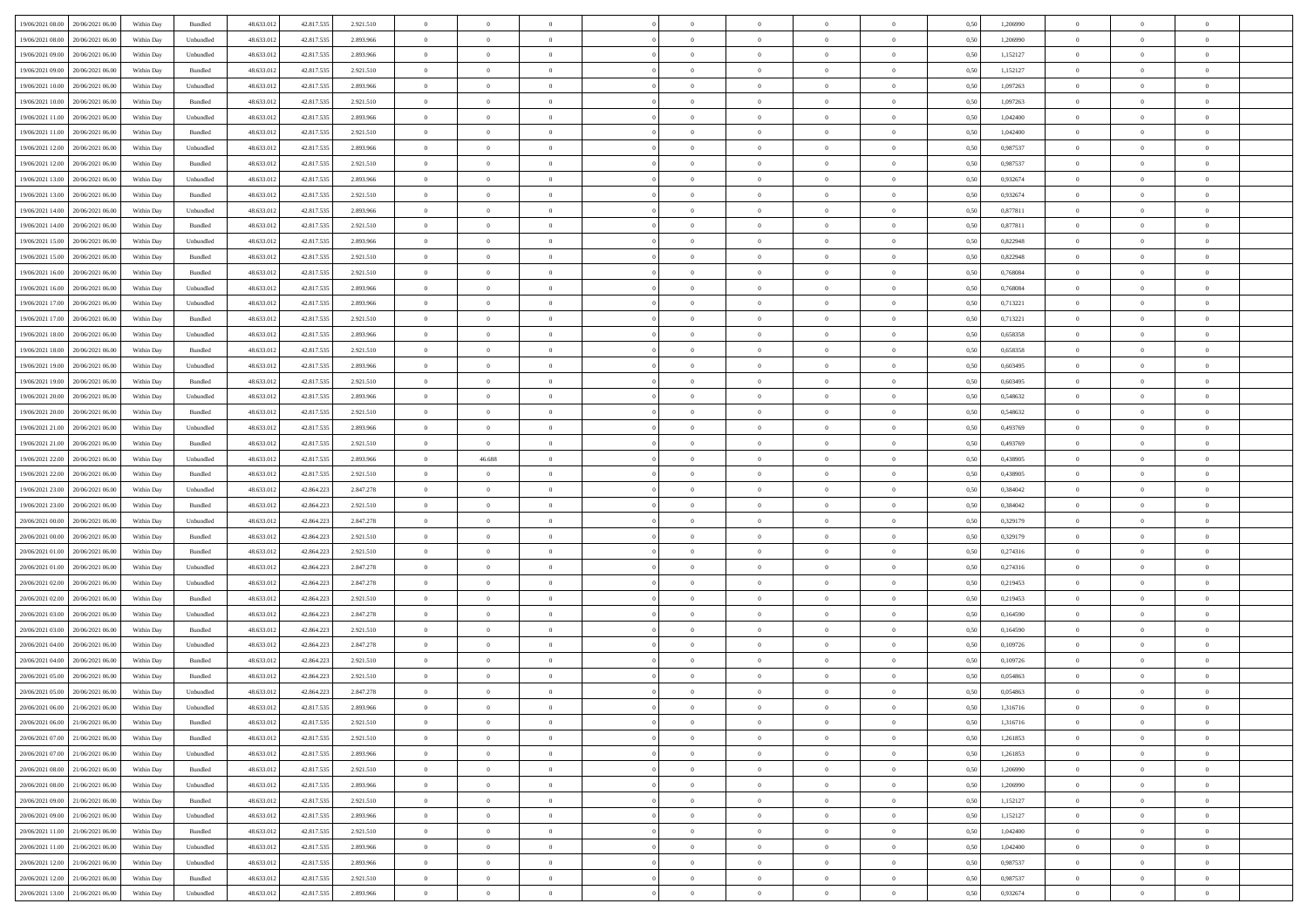| 19/06/2021 08:00                  | 20/06/2021 06:00 | Within Day | Bundled                     | 48.633.012 | 42.817.535 | 2.921.510 | $\overline{0}$ | $\theta$       |                | $\overline{0}$ | $\bf{0}$       | $\overline{0}$ | $\theta$       | 0,50 | 1,206990 | $\theta$       | $\theta$       | $\sqrt{a}$               |  |
|-----------------------------------|------------------|------------|-----------------------------|------------|------------|-----------|----------------|----------------|----------------|----------------|----------------|----------------|----------------|------|----------|----------------|----------------|--------------------------|--|
| 19/06/2021 08:00                  | 20/06/2021 06.00 | Within Day | Unbundled                   | 48.633.01  | 42.817.535 | 2.893.966 | $\overline{0}$ | $\theta$       | $\overline{0}$ | $\overline{0}$ | $\,$ 0         | $\overline{0}$ | $\bf{0}$       | 0,50 | 1,206990 | $\,$ 0 $\,$    | $\overline{0}$ | $\overline{0}$           |  |
|                                   |                  |            |                             |            |            |           |                |                |                |                |                |                |                |      |          |                |                |                          |  |
| 19/06/2021 09:00                  | 20/06/2021 06:00 | Within Day | Unbundled                   | 48.633.012 | 42.817.535 | 2.893.966 | $\overline{0}$ | $\overline{0}$ | $\overline{0}$ | $\overline{0}$ | $\bf{0}$       | $\overline{0}$ | $\mathbf{0}$   | 0.50 | 1,152127 | $\bf{0}$       | $\overline{0}$ | $\overline{0}$           |  |
| 19/06/2021 09:00                  | 20/06/2021 06:00 | Within Day | Bundled                     | 48.633.012 | 42.817.535 | 2.921.510 | $\overline{0}$ | $\overline{0}$ | $\overline{0}$ | $\overline{0}$ | $\bf{0}$       | $\overline{0}$ | $\overline{0}$ | 0,50 | 1,152127 | $\,$ 0 $\,$    | $\overline{0}$ | $\overline{0}$           |  |
| 19/06/2021 10:00                  | 20/06/2021 06.00 | Within Day | Unbundled                   | 48.633.01  | 42.817.535 | 2.893.966 | $\overline{0}$ | $\theta$       | $\overline{0}$ |                | $\overline{0}$ | $\overline{0}$ | $\bf{0}$       | 0,50 | 1,097263 | $\,$ 0 $\,$    | $\overline{0}$ | $\overline{0}$           |  |
| 19/06/2021 10:00                  | 20/06/2021 06:00 | Within Day | Bundled                     | 48.633.012 | 42.817.535 | 2.921.510 | $\overline{0}$ | $\overline{0}$ | $\overline{0}$ | $\overline{0}$ | $\bf{0}$       | $\overline{0}$ | $\bf{0}$       | 0.50 | 1.097263 | $\,0\,$        | $\theta$       | $\overline{0}$           |  |
| 19/06/2021 11:00                  | 20/06/2021 06:00 | Within Day | Unbundled                   | 48.633.012 | 42.817.535 | 2.893.966 | $\overline{0}$ | $\overline{0}$ | $\overline{0}$ | $\overline{0}$ | $\,$ 0         | $\overline{0}$ | $\overline{0}$ | 0,50 | 1,042400 | $\,0\,$        | $\theta$       | $\overline{0}$           |  |
| 19/06/2021 11:00                  | 20/06/2021 06.00 | Within Day | Bundled                     | 48.633.01  | 42.817.535 | 2.921.510 | $\overline{0}$ | $\theta$       | $\overline{0}$ |                | $\,$ 0         | $\overline{0}$ | $\bf{0}$       | 0,50 | 1,042400 | $\,$ 0 $\,$    | $\overline{0}$ | $\overline{0}$           |  |
| 19/06/2021 12:00                  | 20/06/2021 06:00 | Within Day | Unbundled                   | 48.633.012 | 42.817.535 | 2.893.966 | $\overline{0}$ | $\overline{0}$ | $\overline{0}$ | $\overline{0}$ | $\bf{0}$       | $\overline{0}$ | $\bf{0}$       | 0.50 | 0.987537 | $\,0\,$        | $\overline{0}$ | $\overline{0}$           |  |
| 19/06/2021 12:00                  | 20/06/2021 06:00 | Within Day | Bundled                     | 48.633.012 | 42.817.535 | 2.921.510 | $\overline{0}$ | $\overline{0}$ | $\overline{0}$ | $\overline{0}$ | $\bf{0}$       | $\overline{0}$ | $\bf{0}$       | 0,50 | 0,987537 | $\,$ 0 $\,$    | $\overline{0}$ | $\overline{0}$           |  |
| 19/06/2021 13:00                  | 20/06/2021 06.00 | Within Day | Unbundled                   | 48.633.01  | 42.817.535 | 2.893.966 | $\overline{0}$ | $\theta$       | $\overline{0}$ | $\overline{0}$ | $\,$ 0         | $\overline{0}$ | $\bf{0}$       | 0,50 | 0,932674 | $\,$ 0 $\,$    | $\overline{0}$ | $\overline{0}$           |  |
| 19/06/2021 13:00                  | 20/06/2021 06:00 | Within Day | Bundled                     | 48.633.012 |            |           |                | $\overline{0}$ | $\overline{0}$ | $\overline{0}$ |                | $\overline{0}$ |                | 0.50 | 0.932674 | $\bf{0}$       | $\overline{0}$ | $\bf{0}$                 |  |
|                                   |                  |            |                             |            | 42.817.535 | 2.921.510 | $\overline{0}$ |                |                |                | $\bf{0}$       |                | $\mathbf{0}$   |      |          |                |                |                          |  |
| 19/06/2021 14:00                  | 20/06/2021 06:00 | Within Day | Unbundled                   | 48.633.012 | 42.817.535 | 2.893.966 | $\overline{0}$ | $\overline{0}$ | $\overline{0}$ | $\overline{0}$ | $\bf{0}$       | $\overline{0}$ | $\overline{0}$ | 0,50 | 0,877811 | $\,$ 0 $\,$    | $\theta$       | $\overline{0}$           |  |
| 19/06/2021 14:00                  | 20/06/2021 06.00 | Within Day | Bundled                     | 48.633.01  | 42.817.535 | 2.921.510 | $\overline{0}$ | $\theta$       | $\overline{0}$ |                | $\bf{0}$       | $\overline{0}$ | $\bf{0}$       | 0,50 | 0,877811 | $\,$ 0 $\,$    | $\overline{0}$ | $\overline{0}$           |  |
| 19/06/2021 15:00                  | 20/06/2021 06:00 | Within Day | Unbundled                   | 48.633.012 | 42.817.535 | 2.893.966 | $\overline{0}$ | $\overline{0}$ | $\overline{0}$ | $\overline{0}$ | $\bf{0}$       | $\overline{0}$ | $\bf{0}$       | 0.50 | 0.822948 | $\,0\,$        | $\theta$       | $\overline{0}$           |  |
| 19/06/2021 15:00                  | 20/06/2021 06:00 | Within Day | Bundled                     | 48.633.012 | 42.817.535 | 2.921.510 | $\overline{0}$ | $\overline{0}$ | $\overline{0}$ | $\overline{0}$ | $\bf{0}$       | $\overline{0}$ | $\overline{0}$ | 0,50 | 0,822948 | $\theta$       | $\theta$       | $\overline{0}$           |  |
| 19/06/2021 16:00                  | 20/06/2021 06.00 | Within Day | Bundled                     | 48.633.01  | 42.817.535 | 2.921.510 | $\overline{0}$ | $\theta$       | $\overline{0}$ |                | $\,$ 0         | $\overline{0}$ | $\bf{0}$       | 0,50 | 0,768084 | $\,$ 0 $\,$    | $\overline{0}$ | $\overline{0}$           |  |
| 19/06/2021 16:00                  | 20/06/2021 06:00 | Within Day | Unbundled                   | 48.633.012 | 42,817.535 | 2.893.966 | $\overline{0}$ | $\overline{0}$ | $\overline{0}$ | $\overline{0}$ | $\bf{0}$       | $\overline{0}$ | $\bf{0}$       | 0.50 | 0.768084 | $\,0\,$        | $\overline{0}$ | $\overline{\phantom{a}}$ |  |
| 19/06/2021 17:00                  | 20/06/2021 06:00 | Within Day | Unbundled                   | 48.633.012 | 42.817.535 | 2.893.966 | $\overline{0}$ | $\overline{0}$ | $\overline{0}$ | $\overline{0}$ | $\,$ 0         | $\overline{0}$ | $\bf{0}$       | 0,50 | 0,713221 | $\,$ 0 $\,$    | $\overline{0}$ | $\overline{0}$           |  |
| 19/06/2021 17:00                  | 20/06/2021 06.00 | Within Day | Bundled                     | 48.633.01  | 42.817.535 | 2.921.510 | $\bf{0}$       | $\theta$       | $\overline{0}$ | $\overline{0}$ | $\,$ 0         | $\overline{0}$ | $\bf{0}$       | 0,50 | 0,713221 | $\,$ 0 $\,$    | $\overline{0}$ | $\overline{0}$           |  |
| 19/06/2021 18:00                  | 20/06/2021 06:00 | Within Day | Unbundled                   | 48.633.012 | 42.817.535 | 2.893.966 | $\overline{0}$ | $\overline{0}$ | $\overline{0}$ | $\overline{0}$ | $\bf{0}$       | $\overline{0}$ | $\mathbf{0}$   | 0.50 | 0.658358 | $\,$ 0 $\,$    | $\overline{0}$ | $\overline{0}$           |  |
| 19/06/2021 18:00                  | 20/06/2021 06:00 | Within Day | Bundled                     | 48.633.012 | 42.817.535 | 2.921.510 | $\overline{0}$ | $\overline{0}$ | $\overline{0}$ | $\overline{0}$ | $\bf{0}$       | $\overline{0}$ | $\overline{0}$ | 0,50 | 0,658358 | $\theta$       | $\overline{0}$ | $\overline{0}$           |  |
| 19/06/2021 19:00                  | 20/06/2021 06.00 | Within Day | Unbundled                   | 48.633.01  | 42.817.535 | 2.893.966 | $\overline{0}$ | $\theta$       | $\overline{0}$ | $\overline{0}$ | $\,$ 0         | $\overline{0}$ | $\bf{0}$       | 0,50 | 0,603495 | $\,$ 0 $\,$    | $\overline{0}$ | $\overline{0}$           |  |
|                                   |                  |            |                             |            |            |           |                |                |                |                |                |                |                |      |          |                |                |                          |  |
| 19/06/2021 19:00                  | 20/06/2021 06:00 | Within Day | Bundled                     | 48.633.012 | 42.817.535 | 2.921.510 | $\overline{0}$ | $\overline{0}$ | $\overline{0}$ | $\overline{0}$ | $\bf{0}$       | $\overline{0}$ | $\bf{0}$       | 0.50 | 0.603495 | $\,0\,$        | $\theta$       | $\overline{0}$           |  |
| 19/06/2021 20:00                  | 20/06/2021 06:00 | Within Day | Unbundled                   | 48.633.012 | 42.817.535 | 2.893.966 | $\overline{0}$ | $\theta$       | $\overline{0}$ | $\overline{0}$ | $\bf{0}$       | $\overline{0}$ | $\overline{0}$ | 0,50 | 0,548632 | $\,$ 0 $\,$    | $\theta$       | $\overline{0}$           |  |
| 19/06/2021 20:00                  | 20/06/2021 06.00 | Within Day | Bundled                     | 48.633.01  | 42.817.535 | 2.921.510 | $\overline{0}$ | $\theta$       | $\overline{0}$ |                | $\bf{0}$       | $\overline{0}$ | $\bf{0}$       | 0,50 | 0,548632 | $\,$ 0 $\,$    | $\overline{0}$ | $\overline{0}$           |  |
| 19/06/2021 21:00                  | 20/06/2021 06:00 | Within Day | Unbundled                   | 48.633.012 | 42.817.535 | 2.893.966 | $\overline{0}$ | $\overline{0}$ | $\overline{0}$ | $\overline{0}$ | $\bf{0}$       | $\overline{0}$ | $\bf{0}$       | 0.50 | 0.493769 | $\,0\,$        | $\overline{0}$ | $\overline{0}$           |  |
| 19/06/2021 21:00                  | 20/06/2021 06:00 | Within Day | Bundled                     | 48.633.012 | 42.817.535 | 2.921.510 | $\overline{0}$ | $\overline{0}$ | $\overline{0}$ | $\overline{0}$ | $\,$ 0         | $\overline{0}$ | $\bf{0}$       | 0,50 | 0,493769 | $\,$ 0 $\,$    | $\theta$       | $\overline{0}$           |  |
| 19/06/2021 22:00                  | 20/06/2021 06:00 | Within Day | Unbundled                   | 48.633.01  | 42.817.535 | 2.893.966 | $\overline{0}$ | 46.688         | $\overline{0}$ | $\overline{0}$ | $\,$ 0         | $\overline{0}$ | $\bf{0}$       | 0,50 | 0,438905 | $\,$ 0 $\,$    | $\overline{0}$ | $\overline{0}$           |  |
| 19/06/2021 22:00                  | 20/06/2021 06:00 | Within Day | Bundled                     | 48.633.012 | 42.817.535 | 2.921.510 | $\overline{0}$ | $\overline{0}$ | $\overline{0}$ | $\overline{0}$ | $\bf{0}$       | $\overline{0}$ | $\mathbf{0}$   | 0.50 | 0.438905 | $\bf{0}$       | $\overline{0}$ | $\bf{0}$                 |  |
| 19/06/2021 23:00                  | 20/06/2021 06:00 | Within Dav | Unbundled                   | 48.633.012 | 42.864.223 | 2.847.278 | $\overline{0}$ | $\overline{0}$ | $\theta$       | $\overline{0}$ | $\overline{0}$ | $\overline{0}$ | $\overline{0}$ | 0.50 | 0,384042 | $\theta$       | $\overline{0}$ | $\overline{0}$           |  |
| 19/06/2021 23:00                  | 20/06/2021 06:00 | Within Day | Bundled                     | 48.633.01  | 42.864.223 | 2.921.510 | $\overline{0}$ | $\theta$       | $\overline{0}$ |                | $\,$ 0         | $\overline{0}$ | $\bf{0}$       | 0,50 | 0,384042 | $\,$ 0 $\,$    | $\overline{0}$ | $\overline{0}$           |  |
| 20/06/2021 00:00                  | 20/06/2021 06:00 | Within Day | Unbundled                   | 48.633.012 | 42.864.223 | 2.847.278 | $\overline{0}$ | $\overline{0}$ | $\overline{0}$ | $\overline{0}$ | $\bf{0}$       | $\overline{0}$ | $\bf{0}$       | 0.50 | 0,329179 | $\,0\,$        | $\theta$       | $\overline{0}$           |  |
| 20/06/2021 00:00                  | 20/06/2021 06:00 | Within Dav | Bundled                     | 48.633.012 | 42.864.223 | 2.921.510 | $\overline{0}$ | $\theta$       | $\Omega$       | $\Omega$       | $\mathbf{0}$   | $\overline{0}$ | $\overline{0}$ | 0.50 | 0,329179 | $\theta$       | $\overline{0}$ | $\overline{0}$           |  |
| 20/06/2021 01:00                  | 20/06/2021 06:00 | Within Day | Bundled                     | 48.633.01  | 42.864.223 | 2.921.510 | $\overline{0}$ | $\theta$       | $\overline{0}$ |                | $\,$ 0         | $\overline{0}$ | $\bf{0}$       | 0,50 | 0,274316 | $\,$ 0 $\,$    | $\overline{0}$ | $\overline{0}$           |  |
|                                   | 20/06/2021 06:00 |            |                             | 48.633.012 | 42,864.223 | 2.847.278 |                | $\overline{0}$ |                |                |                | $\overline{0}$ |                |      |          |                | $\overline{0}$ |                          |  |
| 20/06/2021 01:00                  |                  | Within Day | Unbundled                   |            |            |           | $\overline{0}$ |                | $\overline{0}$ | $\overline{0}$ | $\bf{0}$       |                | $\bf{0}$       | 0.50 | 0,274316 | $\,0\,$        |                | $\overline{0}$           |  |
| 20/06/2021 02:00                  | 20/06/2021 06:00 | Within Dav | Unbundled                   | 48.633.012 | 42.864.223 | 2.847.278 | $\overline{0}$ | $\overline{0}$ | $\overline{0}$ | $\overline{0}$ | $\overline{0}$ | $\overline{0}$ | $\overline{0}$ | 0.50 | 0,219453 | $\theta$       | $\overline{0}$ | $\overline{0}$           |  |
| 20/06/2021 02:00                  | 20/06/2021 06:00 | Within Day | Bundled                     | 48.633.01  | 42.864.223 | 2.921.510 | $\bf{0}$       | $\overline{0}$ | $\overline{0}$ | $\overline{0}$ | $\bf{0}$       | $\overline{0}$ | $\bf{0}$       | 0,50 | 0,219453 | $\,$ 0 $\,$    | $\overline{0}$ | $\overline{0}$           |  |
| 20/06/2021 03:00                  | 20/06/2021 06:00 | Within Day | Unbundled                   | 48.633.012 | 42.864.223 | 2.847.278 | $\overline{0}$ | $\overline{0}$ | $\overline{0}$ | $\overline{0}$ | $\bf{0}$       | $\overline{0}$ | $\mathbf{0}$   | 0.50 | 0.164590 | $\,$ 0 $\,$    | $\overline{0}$ | $\overline{0}$           |  |
| 20/06/2021 03:00                  | 20/06/2021 06:00 | Within Dav | Bundled                     | 48.633.012 | 42.864.223 | 2.921.510 | $\overline{0}$ | $\overline{0}$ | $\Omega$       | $\Omega$       | $\mathbf{0}$   | $\overline{0}$ | $\overline{0}$ | 0.50 | 0,164590 | $\theta$       | $\overline{0}$ | $\overline{0}$           |  |
| 20/06/2021 04:00                  | 20/06/2021 06:00 | Within Day | Unbundled                   | 48.633.01  | 42.864.223 | 2.847.278 | $\overline{0}$ | $\theta$       | $\overline{0}$ | $\overline{0}$ | $\,$ 0         | $\overline{0}$ | $\bf{0}$       | 0,50 | 0,109726 | $\,$ 0 $\,$    | $\overline{0}$ | $\overline{0}$           |  |
| 20/06/2021 04:00                  | 20/06/2021 06:00 | Within Day | Bundled                     | 48.633.012 | 42.864.223 | 2.921.510 | $\overline{0}$ | $\overline{0}$ | $\overline{0}$ | $\overline{0}$ | $\bf{0}$       | $\overline{0}$ | $\overline{0}$ | 0.50 | 0.109726 | $\,0\,$        | $\theta$       | $\overline{0}$           |  |
| 20/06/2021 05:00                  | 20/06/2021 06:00 | Within Dav | Bundled                     | 48.633.012 | 42.864.223 | 2.921.510 | $\overline{0}$ | $\Omega$       | $\Omega$       | $\Omega$       | $\bf{0}$       | $\overline{0}$ | $\theta$       | 0.50 | 0,054863 | $\theta$       | $\theta$       | $\overline{0}$           |  |
| 20/06/2021 05:00                  | 20/06/2021 06:00 | Within Day | Unbundled                   | 48.633.012 | 42.864.223 | 2.847.278 | $\bf{0}$       | $\,$ 0 $\,$    | $\overline{0}$ | $\overline{0}$ | $\,$ 0         | $\overline{0}$ | $\bf{0}$       | 0,50 | 0,054863 | $\,$ 0 $\,$    | $\overline{0}$ | $\overline{0}$           |  |
| 20/06/2021 06:00                  | 21/06/2021 06:00 | Within Day | $\ensuremath{\mathsf{Unb}}$ | 48.633.012 | 42.817.535 | 2.893.966 | $\bf{0}$       | $\theta$       |                |                |                |                |                | 0.50 | 1,316716 | $\bf{0}$       | $\theta$       |                          |  |
| 20/06/2021 06:00 21/06/2021 06:00 |                  | Within Day | Bundled                     | 48.633.012 | 42.817.535 | 2.921.510 | $\Omega$       | $\overline{0}$ | $\overline{0}$ | $\Omega$       | $\mathbf{0}$   | $\overline{0}$ | $\overline{0}$ | 0,50 | 1,316716 | $\theta$       | $\theta$       | $\overline{0}$           |  |
| 20/06/2021 07:00                  | 21/06/2021 06:00 | Within Day | Bundled                     | 48.633.012 | 42.817.535 | 2.921.510 | $\bf{0}$       | $\bf{0}$       | $\overline{0}$ | $\bf{0}$       | $\overline{0}$ | $\overline{0}$ | $\mathbf{0}$   | 0,50 | 1,261853 | $\bf{0}$       | $\overline{0}$ | $\bf{0}$                 |  |
| 20/06/2021 07:00                  | 21/06/2021 06:00 | Within Day | Unbundled                   | 48.633.012 | 42.817.535 | 2.893.966 | $\overline{0}$ | $\overline{0}$ | $\overline{0}$ | $\overline{0}$ | $\overline{0}$ | $\overline{0}$ | $\mathbf{0}$   | 0.50 | 1,261853 | $\overline{0}$ | $\bf{0}$       | $\bf{0}$                 |  |
|                                   |                  |            |                             |            |            |           |                |                |                |                |                |                |                |      |          |                |                |                          |  |
| 20/06/2021 08:00                  | 21/06/2021 06:00 | Within Day | Bundled                     | 48.633.012 | 42.817.535 | 2.921.510 | $\overline{0}$ | $\overline{0}$ | $\overline{0}$ | $\overline{0}$ | $\overline{0}$ | $\overline{0}$ | $\overline{0}$ | 0.50 | 1,206990 | $\overline{0}$ | $\theta$       | $\overline{0}$           |  |
| 20/06/2021 08:00                  | 21/06/2021 06:00 | Within Day | Unbundled                   | 48.633.012 | 42.817.535 | 2.893.966 | $\bf{0}$       | $\overline{0}$ | $\overline{0}$ | $\overline{0}$ | $\bf{0}$       | $\overline{0}$ | $\bf{0}$       | 0,50 | 1,206990 | $\bf{0}$       | $\overline{0}$ | $\overline{0}$           |  |
| 20/06/2021 09:00                  | 21/06/2021 06:00 | Within Day | Bundled                     | 48.633.012 | 42.817.535 | 2.921.510 | $\overline{0}$ | $\overline{0}$ | $\overline{0}$ | $\overline{0}$ | $\bf{0}$       | $\overline{0}$ | $\mathbf{0}$   | 0.50 | 1,152127 | $\,$ 0 $\,$    | $\overline{0}$ | $\overline{0}$           |  |
| 20/06/2021 09:00                  | 21/06/2021 06:00 | Within Day | Unbundled                   | 48.633.012 | 42.817.535 | 2.893.966 | $\overline{0}$ | $\overline{0}$ | $\overline{0}$ | $\overline{0}$ | $\overline{0}$ | $\overline{0}$ | $\overline{0}$ | 0.50 | 1,152127 | $\overline{0}$ | $\theta$       | $\overline{0}$           |  |
| 20/06/2021 11:00                  | 21/06/2021 06:00 | Within Day | Bundled                     | 48.633.01  | 42.817.535 | 2.921.510 | $\overline{0}$ | $\,$ 0         | $\overline{0}$ | $\bf{0}$       | $\,$ 0 $\,$    | $\overline{0}$ | $\bf{0}$       | 0,50 | 1,042400 | $\,$ 0 $\,$    | $\overline{0}$ | $\,$ 0                   |  |
| 20/06/2021 11:00                  | 21/06/2021 06:00 | Within Day | Unbundled                   | 48.633.012 | 42.817.535 | 2.893.966 | $\overline{0}$ | $\overline{0}$ | $\overline{0}$ | $\overline{0}$ | $\bf{0}$       | $\overline{0}$ | $\mathbf{0}$   | 0.50 | 1.042400 | $\mathbf{0}$   | $\,$ 0 $\,$    | $\overline{0}$           |  |
| 20/06/2021 12:00                  | 21/06/2021 06:00 | Within Day | Unbundled                   | 48.633.012 | 42.817.535 | 2.893.966 | $\overline{0}$ | $\overline{0}$ | $\overline{0}$ | $\overline{0}$ | $\overline{0}$ | $\overline{0}$ | $\overline{0}$ | 0,50 | 0,987537 | $\overline{0}$ | $\theta$       | $\overline{0}$           |  |
| 20/06/2021 12:00                  | 21/06/2021 06:00 | Within Day | Bundled                     | 48.633.01  | 42.817.535 | 2.921.510 | $\overline{0}$ | $\overline{0}$ | $\overline{0}$ | $\bf{0}$       | $\bf{0}$       | $\bf{0}$       | $\bf{0}$       | 0,50 | 0,987537 | $\overline{0}$ | $\overline{0}$ | $\bf{0}$                 |  |
| 20/06/2021 13:00 21/06/2021 06:00 |                  | Within Day | Unbundled                   | 48.633.012 | 42.817.535 | 2.893.966 | $\overline{0}$ | $\,$ 0 $\,$    | $\overline{0}$ | $\overline{0}$ | $\bf{0}$       | $\overline{0}$ | $\,$ 0 $\,$    | 0,50 | 0,932674 | $\overline{0}$ | $\,$ 0 $\,$    | $\,$ 0 $\,$              |  |
|                                   |                  |            |                             |            |            |           |                |                |                |                |                |                |                |      |          |                |                |                          |  |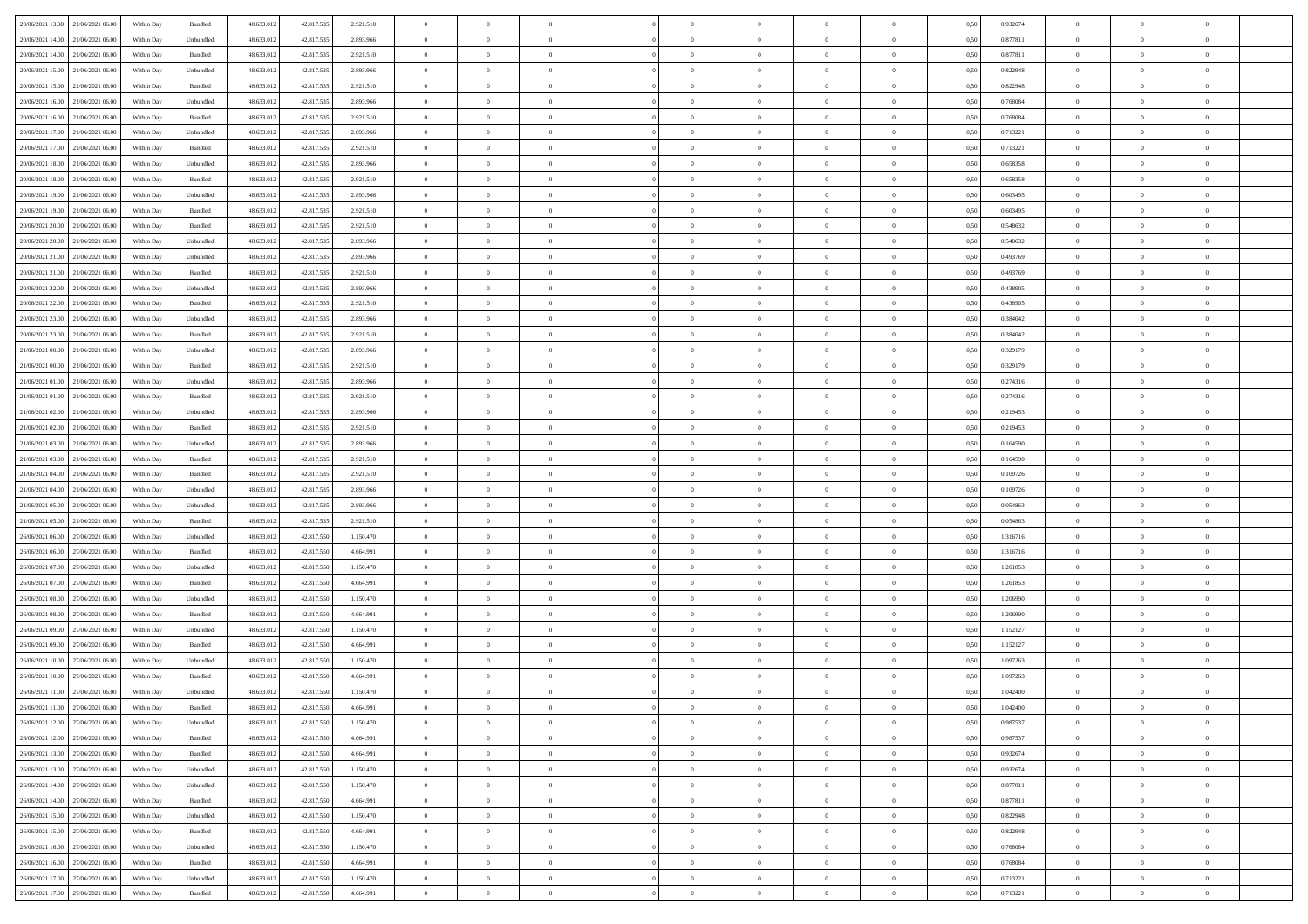| 20/06/2021 13:00<br>21/06/2021 06:00 | Within Day | Bundled            | 48.633.012 | 42.817.535 | 2.921.510 | $\overline{0}$ | $\overline{0}$   | $\overline{0}$ | $\theta$       | $\theta$       |                | $\overline{0}$ | 0,50 | 0,932674 | $\theta$       | $\theta$       | $\theta$       |  |
|--------------------------------------|------------|--------------------|------------|------------|-----------|----------------|------------------|----------------|----------------|----------------|----------------|----------------|------|----------|----------------|----------------|----------------|--|
|                                      |            |                    |            |            |           |                |                  |                |                |                |                |                |      |          |                |                |                |  |
| 20/06/2021 14:00<br>21/06/2021 06.0  | Within Day | Unbundled          | 48.633.012 | 42.817.535 | 2.893.966 | $\overline{0}$ | $\overline{0}$   | $\overline{0}$ | $\,$ 0 $\,$    | $\bf{0}$       | $\overline{0}$ | $\mathbf{0}$   | 0,50 | 0,877811 | $\,$ 0 $\,$    | $\bf{0}$       | $\overline{0}$ |  |
| 20/06/2021 14:00<br>21/06/2021 06:00 | Within Day | Bundled            | 48.633.012 | 42.817.535 | 2.921.510 | $\overline{0}$ | $\overline{0}$   | $\overline{0}$ | $\bf{0}$       | $\bf{0}$       | $\overline{0}$ | $\,$ 0 $\,$    | 0.50 | 0.877811 | $\bf{0}$       | $\overline{0}$ | $\bf{0}$       |  |
| 20/06/2021 15:00<br>21/06/2021 06:00 | Within Day | Unbundled          | 48.633.012 | 42.817.535 | 2.893.966 | $\overline{0}$ | $\overline{0}$   | $\overline{0}$ | $\bf{0}$       | $\overline{0}$ | $\overline{0}$ | $\,$ 0 $\,$    | 0,50 | 0,822948 | $\theta$       | $\overline{0}$ | $\overline{0}$ |  |
| 20/06/2021 15:00<br>21/06/2021 06.00 | Within Day | Bundled            | 48.633.012 | 42.817.535 | 2.921.510 | $\overline{0}$ | $\overline{0}$   | $\overline{0}$ | $\bf{0}$       | $\bf{0}$       | $\overline{0}$ | $\bf{0}$       | 0,50 | 0,822948 | $\,$ 0 $\,$    | $\bf{0}$       | $\overline{0}$ |  |
|                                      |            |                    |            |            |           |                |                  |                |                |                |                |                |      |          |                |                |                |  |
| 20/06/2021 16:00<br>21/06/2021 06:00 | Within Day | Unbundled          | 48.633.012 | 42.817.535 | 2.893.966 | $\overline{0}$ | $\overline{0}$   | $\overline{0}$ | $\bf{0}$       | $\bf{0}$       | $\overline{0}$ | $\mathbf{0}$   | 0.50 | 0.768084 | $\,$ 0 $\,$    | $\overline{0}$ | $\overline{0}$ |  |
| 20/06/2021 16:00<br>21/06/2021 06:00 | Within Day | Bundled            | 48.633.012 | 42.817.535 | 2.921.510 | $\overline{0}$ | $\overline{0}$   | $\overline{0}$ | $\bf{0}$       | $\overline{0}$ | $\overline{0}$ | $\bf{0}$       | 0,50 | 0,768084 | $\theta$       | $\theta$       | $\overline{0}$ |  |
| 20/06/2021 17:00<br>21/06/2021 06.00 | Within Day | Unbundled          | 48.633.012 | 42.817.535 | 2.893.966 | $\overline{0}$ | $\overline{0}$   | $\overline{0}$ | $\,$ 0 $\,$    | $\bf{0}$       | $\overline{0}$ | $\bf{0}$       | 0,50 | 0,713221 | $\,$ 0 $\,$    | $\bf{0}$       | $\overline{0}$ |  |
| 20/06/2021 17:00<br>21/06/2021 06:00 | Within Day | Bundled            | 48.633.012 | 42.817.535 | 2.921.510 | $\overline{0}$ | $\overline{0}$   | $\overline{0}$ | $\bf{0}$       | $\bf{0}$       | $\overline{0}$ | $\mathbf{0}$   | 0.50 | 0.713221 | $\bf{0}$       | $\overline{0}$ | $\bf{0}$       |  |
| 20/06/2021 18:00<br>21/06/2021 06:00 | Within Day | Unbundled          | 48.633.012 | 42.817.535 | 2.893.966 | $\overline{0}$ | $\overline{0}$   | $\overline{0}$ | $\bf{0}$       | $\bf{0}$       | $\overline{0}$ | $\bf{0}$       | 0,50 | 0,658358 | $\,$ 0         | $\,$ 0 $\,$    | $\overline{0}$ |  |
|                                      |            |                    |            |            |           |                |                  |                |                |                |                |                |      |          |                |                |                |  |
| 20/06/2021 18:00<br>21/06/2021 06.0  | Within Day | Bundled            | 48.633.012 | 42.817.535 | 2.921.510 | $\overline{0}$ | $\overline{0}$   | $\overline{0}$ | $\,$ 0 $\,$    | $\bf{0}$       | $\overline{0}$ | $\bf{0}$       | 0,50 | 0,658358 | $\,$ 0 $\,$    | $\bf{0}$       | $\overline{0}$ |  |
| 20/06/2021 19:00<br>21/06/2021 06:00 | Within Day | Unbundled          | 48.633.012 | 42.817.535 | 2.893.966 | $\overline{0}$ | $\overline{0}$   | $\overline{0}$ | $\bf{0}$       | $\bf{0}$       | $\overline{0}$ | $\,$ 0 $\,$    | 0.50 | 0.603495 | $\bf{0}$       | $\overline{0}$ | $\,$ 0         |  |
| 20/06/2021 19:00<br>21/06/2021 06:00 | Within Day | Bundled            | 48.633.012 | 42.817.535 | 2.921.510 | $\overline{0}$ | $\overline{0}$   | $\overline{0}$ | $\overline{0}$ | $\overline{0}$ | $\overline{0}$ | $\,$ 0 $\,$    | 0,50 | 0,603495 | $\,$ 0 $\,$    | $\theta$       | $\overline{0}$ |  |
| 20/06/2021 20:00<br>21/06/2021 06.00 | Within Day | Bundled            | 48.633.012 | 42.817.535 | 2.921.510 | $\overline{0}$ | $\overline{0}$   | $\overline{0}$ | $\bf{0}$       | $\bf{0}$       | $\overline{0}$ | $\bf{0}$       | 0,50 | 0,548632 | $\,$ 0 $\,$    | $\bf{0}$       | $\overline{0}$ |  |
| 20/06/2021 20:00<br>21/06/2021 06:00 | Within Day | Unbundled          | 48.633.012 | 42.817.535 | 2.893.966 | $\overline{0}$ | $\overline{0}$   | $\overline{0}$ | $\bf{0}$       | $\bf{0}$       | $\overline{0}$ | $\mathbf{0}$   | 0.50 | 0.548632 | $\,$ 0 $\,$    | $\theta$       | $\overline{0}$ |  |
| 20/06/2021 21:00<br>21/06/2021 06:00 | Within Day | Unbundled          | 48.633.012 | 42.817.535 | 2.893.966 | $\overline{0}$ | $\overline{0}$   | $\overline{0}$ | $\bf{0}$       | $\overline{0}$ | $\overline{0}$ | $\bf{0}$       | 0,50 | 0,493769 | $\overline{0}$ | $\theta$       | $\overline{0}$ |  |
|                                      |            |                    |            |            |           |                |                  |                |                |                |                |                |      |          |                |                |                |  |
| 20/06/2021 21:00<br>21/06/2021 06.00 | Within Day | Bundled            | 48.633.012 | 42.817.535 | 2.921.510 | $\overline{0}$ | $\overline{0}$   | $\overline{0}$ | $\,$ 0 $\,$    | $\bf{0}$       | $\overline{0}$ | $\bf{0}$       | 0,50 | 0,493769 | $\,$ 0 $\,$    | $\bf{0}$       | $\overline{0}$ |  |
| 20/06/2021 22.00<br>21/06/2021 06:00 | Within Day | Unbundled          | 48.633.012 | 42.817.535 | 2.893.966 | $\overline{0}$ | $\overline{0}$   | $\overline{0}$ | $\bf{0}$       | $\bf{0}$       | $\overline{0}$ | $\mathbf{0}$   | 0.50 | 0.438905 | $\bf{0}$       | $\overline{0}$ | $\bf{0}$       |  |
| 20/06/2021 22:00<br>21/06/2021 06:00 | Within Day | Bundled            | 48.633.012 | 42.817.535 | 2.921.510 | $\overline{0}$ | $\overline{0}$   | $\overline{0}$ | $\bf{0}$       | $\overline{0}$ | $\overline{0}$ | $\bf{0}$       | 0,50 | 0,438905 | $\,$ 0 $\,$    | $\,$ 0 $\,$    | $\overline{0}$ |  |
| 20/06/2021 23:00<br>21/06/2021 06.00 | Within Day | Unbundled          | 48.633.012 | 42.817.535 | 2.893.966 | $\overline{0}$ | $\overline{0}$   | $\overline{0}$ | $\overline{0}$ | $\bf{0}$       | $\overline{0}$ | $\bf{0}$       | 0,50 | 0,384042 | $\,$ 0 $\,$    | $\bf{0}$       | $\overline{0}$ |  |
| 20/06/2021 23.00<br>21/06/2021 06:00 | Within Day | Bundled            | 48.633.012 | 42.817.535 | 2.921.510 | $\overline{0}$ | $\overline{0}$   | $\overline{0}$ | $\bf{0}$       | $\overline{0}$ | $\overline{0}$ | $\,$ 0 $\,$    | 0.50 | 0.384042 | $\bf{0}$       | $\overline{0}$ | $\,$ 0         |  |
| 21/06/2021 00:00<br>21/06/2021 06:00 | Within Day | Unbundled          | 48.633.012 | 42.817.535 | 2.893.966 | $\overline{0}$ | $\overline{0}$   | $\overline{0}$ | $\overline{0}$ | $\overline{0}$ | $\overline{0}$ | $\,$ 0 $\,$    | 0,50 | 0,329179 | $\theta$       | $\overline{0}$ | $\overline{0}$ |  |
|                                      |            |                    |            |            |           |                |                  |                |                |                |                |                |      |          |                |                |                |  |
| 21/06/2021 00:00<br>21/06/2021 06.0  | Within Day | Bundled            | 48.633.012 | 42.817.535 | 2.921.510 | $\overline{0}$ | $\overline{0}$   | $\overline{0}$ | $\overline{0}$ | $\bf{0}$       | $\overline{0}$ | $\bf{0}$       | 0,50 | 0,329179 | $\,$ 0 $\,$    | $\bf{0}$       | $\overline{0}$ |  |
| 21/06/2021 01:00<br>21/06/2021 06:00 | Within Day | Unbundled          | 48.633.012 | 42.817.535 | 2.893.966 | $\overline{0}$ | $\overline{0}$   | $\overline{0}$ | $\bf{0}$       | $\bf{0}$       | $\overline{0}$ | $\mathbf{0}$   | 0.50 | 0,274316 | $\,$ 0 $\,$    | $\overline{0}$ | $\overline{0}$ |  |
| 21/06/2021 01:00<br>21/06/2021 06:00 | Within Day | Bundled            | 48.633.012 | 42.817.535 | 2.921.510 | $\overline{0}$ | $\overline{0}$   | $\overline{0}$ | $\bf{0}$       | $\overline{0}$ | $\overline{0}$ | $\bf{0}$       | 0,50 | 0,274316 | $\,$ 0 $\,$    | $\theta$       | $\overline{0}$ |  |
| 21/06/2021 02:00<br>21/06/2021 06.00 | Within Day | Unbundled          | 48.633.012 | 42.817.535 | 2.893.966 | $\overline{0}$ | $\overline{0}$   | $\overline{0}$ | $\,$ 0 $\,$    | $\bf{0}$       | $\overline{0}$ | $\bf{0}$       | 0,50 | 0,219453 | $\,$ 0 $\,$    | $\bf{0}$       | $\overline{0}$ |  |
| 21/06/2021 02.00<br>21/06/2021 06:00 | Within Day | Bundled            | 48.633.012 | 42.817.535 | 2.921.510 | $\overline{0}$ | $\overline{0}$   | $\overline{0}$ | $\bf{0}$       | $\bf{0}$       | $\overline{0}$ | $\mathbf{0}$   | 0.50 | 0.219453 | $\bf{0}$       | $\overline{0}$ | $\bf{0}$       |  |
| 21/06/2021 03:00<br>21/06/2021 06:00 | Within Day | Unbundled          | 48.633.012 | 42.817.535 | 2.893.966 | $\overline{0}$ | $\overline{0}$   | $\overline{0}$ | $\bf{0}$       | $\overline{0}$ | $\overline{0}$ | $\bf{0}$       | 0,50 | 0,164590 | $\overline{0}$ | $\overline{0}$ | $\overline{0}$ |  |
|                                      |            |                    |            |            |           |                |                  |                |                |                |                |                |      |          |                |                |                |  |
| 21/06/2021 03:00<br>21/06/2021 06.0  | Within Day | Bundled            | 48.633.012 | 42.817.535 | 2.921.510 | $\overline{0}$ | $\overline{0}$   | $\overline{0}$ | $\overline{0}$ | $\bf{0}$       | $\overline{0}$ | $\mathbf{0}$   | 0,50 | 0,164590 | $\overline{0}$ | $\bf{0}$       | $\overline{0}$ |  |
| 21/06/2021 04:00<br>21/06/2021 06:00 | Within Day | Bundled            | 48.633.012 | 42.817.535 | 2.921.510 | $\overline{0}$ | $\overline{0}$   | $\overline{0}$ | $\bf{0}$       | $\bf{0}$       | $\overline{0}$ | $\,$ 0 $\,$    | 0.50 | 0.109726 | $\bf{0}$       | $\overline{0}$ | $\,$ 0         |  |
| 21/06/2021 04:00<br>21/06/2021 06:00 | Within Day | Unbundled          | 48.633.012 | 42.817.535 | 2.893.966 | $\overline{0}$ | $\overline{0}$   | $\overline{0}$ | $\overline{0}$ | $\overline{0}$ | $\overline{0}$ | $\overline{0}$ | 0.50 | 0,109726 | $\theta$       | $\theta$       | $\overline{0}$ |  |
| 21/06/2021 05:00<br>21/06/2021 06.00 | Within Day | Unbundled          | 48.633.012 | 42.817.535 | 2.893.966 | $\overline{0}$ | $\overline{0}$   | $\overline{0}$ | $\,$ 0 $\,$    | $\bf{0}$       | $\overline{0}$ | $\bf{0}$       | 0,50 | 0,054863 | $\,$ 0 $\,$    | $\bf{0}$       | $\overline{0}$ |  |
| 21/06/2021 05:00<br>21/06/2021 06:00 | Within Day | Bundled            | 48.633.012 | 42.817.535 | 2.921.510 | $\overline{0}$ | $\overline{0}$   | $\overline{0}$ | $\bf{0}$       | $\bf{0}$       | $\overline{0}$ | $\mathbf{0}$   | 0.50 | 0.054863 | $\,$ 0 $\,$    | $\bf{0}$       | $\overline{0}$ |  |
| 26/06/2021 06:00<br>27/06/2021 06:00 | Within Day | Unbundled          | 48.633.012 | 42.817.550 | 1.150.470 | $\overline{0}$ | $\overline{0}$   | $\overline{0}$ | $\overline{0}$ | $\overline{0}$ | $\overline{0}$ | $\overline{0}$ | 0.50 | 1,316716 | $\theta$       | $\theta$       | $\overline{0}$ |  |
|                                      |            |                    |            |            |           |                | $\overline{0}$   |                | $\,$ 0 $\,$    | $\bf{0}$       | $\overline{0}$ | $\bf{0}$       |      |          | $\,$ 0 $\,$    | $\bf{0}$       | $\overline{0}$ |  |
| 26/06/2021 06:00<br>27/06/2021 06.00 | Within Day | Bundled            | 48.633.012 | 42.817.550 | 4.664.991 | $\overline{0}$ |                  | $\overline{0}$ |                |                |                |                | 0,50 | 1,316716 |                |                |                |  |
| 26/06/2021 07:00<br>27/06/2021 06:00 | Within Day | Unbundled          | 48.633.012 | 42,817,550 | 1.150.470 | $\overline{0}$ | $\overline{0}$   | $\overline{0}$ | $\bf{0}$       | $\bf{0}$       | $\overline{0}$ | $\mathbf{0}$   | 0.50 | 1.261853 | $\bf{0}$       | $\overline{0}$ | $\bf{0}$       |  |
| 26/06/2021 07:00<br>27/06/2021 06:00 | Within Day | Bundled            | 48.633.012 | 42.817.550 | 4.664.991 | $\overline{0}$ | $\overline{0}$   | $\overline{0}$ | $\overline{0}$ | $\overline{0}$ | $\overline{0}$ | $\overline{0}$ | 0.50 | 1,261853 | $\overline{0}$ | $\overline{0}$ | $\overline{0}$ |  |
| 26/06/2021 08:00<br>27/06/2021 06.00 | Within Day | Unbundled          | 48.633.012 | 42.817.550 | 1.150.470 | $\overline{0}$ | $\overline{0}$   | $\overline{0}$ | $\overline{0}$ | $\bf{0}$       | $\overline{0}$ | $\mathbf{0}$   | 0,50 | 1,206990 | $\overline{0}$ | $\bf{0}$       | $\overline{0}$ |  |
| 26/06/2021 08:00<br>27/06/2021 06:00 | Within Day | Bundled            | 48.633.012 | 42.817.550 | 4.664.991 | $\overline{0}$ | $\overline{0}$   | $\overline{0}$ | $\bf{0}$       | $\bf{0}$       | $\overline{0}$ | $\,$ 0 $\,$    | 0.50 | 1.206990 | $\bf{0}$       | $\overline{0}$ | $\,$ 0         |  |
| 26/06/2021 09:00<br>27/06/2021 06:00 | Within Day | Unbundled          | 48.633.012 | 42.817.550 | 1.150.470 | $\overline{0}$ | $\overline{0}$   | $\overline{0}$ | $\overline{0}$ | $\overline{0}$ | $\overline{0}$ | $\overline{0}$ | 0,50 | 1,152127 | $\theta$       | $\theta$       | $\overline{0}$ |  |
| 26/06/2021 09:00<br>27/06/2021 06.0  | Within Day | Bundled            | 48.633.012 | 42.817.550 | 4.664.991 | $\overline{0}$ | $\overline{0}$   | $\overline{0}$ | $\overline{0}$ | $\bf{0}$       | $\overline{0}$ | $\bf{0}$       | 0,50 | 1,152127 | $\,$ 0 $\,$    | $\bf{0}$       | $\overline{0}$ |  |
|                                      |            |                    |            |            |           |                |                  |                |                |                |                |                |      |          |                |                |                |  |
| 26/06/2021 10:00<br>27/06/2021 06:00 | Within Day | Unbundled          | 48.633.012 | 42,817,550 | 1.150.470 | $\overline{0}$ | $\overline{0}$   | $\overline{0}$ | $\bf{0}$       | $\bf{0}$       | $\overline{0}$ | $\mathbf{0}$   | 0.50 | 1.097263 | $\bf{0}$       | $\theta$       | $\overline{0}$ |  |
| 26/06/2021 10:00<br>27/06/2021 06:00 | Within Day | Bundled            | 48.633.012 | 42.817.550 | 4.664.991 | $\overline{0}$ | $\overline{0}$   | $\overline{0}$ | $\overline{0}$ | $\overline{0}$ | $\Omega$       | $\overline{0}$ | 0.50 | 1,097263 | $\theta$       | $\theta$       | $\overline{0}$ |  |
| 26/06/2021 11:00<br>27/06/2021 06.00 | Within Day | Unbundled          | 48.633.012 | 42.817.550 | 1.150.470 | $\overline{0}$ | $\overline{0}$   | $\overline{0}$ | $\overline{0}$ | $\bf{0}$       | $\overline{0}$ | $\bf{0}$       | 0,50 | 1,042400 | $\overline{0}$ | $\bf{0}$       | $\overline{0}$ |  |
| 26/06/2021 11:00<br>27/06/2021 06:00 | Within Day | $\mathbf B$ undled | 48.633.012 | 42.817.550 | 4.664.991 | $\bf{0}$       | $\boldsymbol{0}$ |                | $\bf{0}$       |                |                |                | 0,50 | 1,042400 | $\theta$       | $\overline{0}$ |                |  |
| 26/06/2021 12:00 27/06/2021 06:00    | Within Dav | Unbundled          | 48.633.012 | 42.817.550 | 1.150.470 | $\overline{0}$ | $\overline{0}$   | $\overline{0}$ | $\overline{0}$ | $\overline{0}$ | $\overline{0}$ | $\overline{0}$ | 0,50 | 0,987537 | $\theta$       | $\overline{0}$ | $\overline{0}$ |  |
| 26/06/2021 12:00<br>27/06/2021 06.0  | Within Day | Bundled            | 48.633.012 | 42.817.550 | 4.664.991 | $\overline{0}$ | $\overline{0}$   | $\overline{0}$ | $\bf{0}$       | $\overline{0}$ | $\overline{0}$ | $\bf{0}$       | 0,50 | 0,987537 | $\overline{0}$ | $\overline{0}$ | $\bf{0}$       |  |
|                                      |            |                    |            |            |           |                |                  |                |                |                |                |                |      |          |                |                |                |  |
| 26/06/2021 13:00 27/06/2021 06:00    | Within Day | Bundled            | 48.633.012 | 42.817.550 | 4.664.991 | $\overline{0}$ | $\overline{0}$   | $\overline{0}$ | $\,$ 0 $\,$    | $\bf{0}$       | $\overline{0}$ | $\mathbf{0}$   | 0.50 | 0.932674 | $\overline{0}$ | $\bf{0}$       | $\overline{0}$ |  |
| 26/06/2021 13:00<br>27/06/2021 06:00 | Within Dav | Unbundled          | 48.633.012 | 42.817.550 | 1.150.470 | $\overline{0}$ | $\overline{0}$   | $\overline{0}$ | $\overline{0}$ | $\overline{0}$ | $\overline{0}$ | $\mathbf{0}$   | 0,50 | 0,932674 | $\overline{0}$ | $\theta$       | $\overline{0}$ |  |
| 26/06/2021 14:00<br>27/06/2021 06.00 | Within Day | Unbundled          | 48.633.012 | 42.817.550 | 1.150.470 | $\overline{0}$ | $\overline{0}$   | $\overline{0}$ | $\bf{0}$       | $\bf{0}$       | $\overline{0}$ | $\mathbf{0}$   | 0,50 | 0,877811 | $\overline{0}$ | $\bf{0}$       | $\overline{0}$ |  |
| 27/06/2021 06:00<br>26/06/2021 14.00 | Within Day | Bundled            | 48.633.012 | 42.817.550 | 4.664.991 | $\overline{0}$ | $\overline{0}$   | $\overline{0}$ | $\bf{0}$       | $\bf{0}$       | $\overline{0}$ | $\mathbf{0}$   | 0.50 | 0.877811 | $\,$ 0 $\,$    | $\theta$       | $\,$ 0         |  |
| 26/06/2021 15:00<br>27/06/2021 06:00 | Within Dav | Unbundled          | 48.633.012 | 42.817.550 | 1.150.470 | $\overline{0}$ | $\overline{0}$   | $\overline{0}$ | $\overline{0}$ | $\overline{0}$ | $\overline{0}$ | $\mathbf{0}$   | 0,50 | 0,822948 | $\overline{0}$ | $\theta$       | $\overline{0}$ |  |
| 26/06/2021 15:00<br>27/06/2021 06:00 | Within Day | Bundled            | 48.633.012 | 42.817.550 | 4.664.991 | $\overline{0}$ | $\overline{0}$   | $\overline{0}$ | $\bf{0}$       | $\overline{0}$ | $\overline{0}$ | $\,$ 0 $\,$    | 0,50 | 0,822948 | $\bf{0}$       | $\overline{0}$ | $\overline{0}$ |  |
|                                      |            |                    |            |            |           |                |                  |                |                |                |                |                |      |          |                |                |                |  |
| 27/06/2021 06:00<br>26/06/2021 16.00 | Within Day | Unbundled          | 48.633.012 | 42.817.550 | 1.150.470 | $\overline{0}$ | $\overline{0}$   | $\overline{0}$ | $\bf{0}$       | $\overline{0}$ | $\overline{0}$ | $\,$ 0 $\,$    | 0.50 | 0.768084 | $\overline{0}$ | $\bf{0}$       | $\,$ 0         |  |
| 27/06/2021 06:00<br>26/06/2021 16:00 | Within Dav | Bundled            | 48.633.012 | 42.817.550 | 4.664.991 | $\overline{0}$ | $\overline{0}$   | $\overline{0}$ | $\overline{0}$ | $\overline{0}$ | $\overline{0}$ | $\mathbf{0}$   | 0,50 | 0,768084 | $\overline{0}$ | $\theta$       | $\overline{0}$ |  |
| 26/06/2021 17.00<br>27/06/2021 06.0  | Within Day | Unbundled          | 48.633.012 | 42.817.550 | 1.150.470 | $\overline{0}$ | $\overline{0}$   | $\overline{0}$ | $\overline{0}$ | $\bf{0}$       | $\overline{0}$ | $\,$ 0 $\,$    | 0,50 | 0,713221 | $\bf{0}$       | $\bf{0}$       | $\overline{0}$ |  |
| 26/06/2021 17:00 27/06/2021 06:00    | Within Day | Bundled            | 48.633.012 | 42.817.550 | 4.664.991 | $\,$ 0 $\,$    | $\overline{0}$   | $\overline{0}$ | $\bf{0}$       | $\,$ 0         | $\overline{0}$ | $\,0\,$        | 0,50 | 0,713221 | $\overline{0}$ | $\,$ 0 $\,$    | $\,$ 0 $\,$    |  |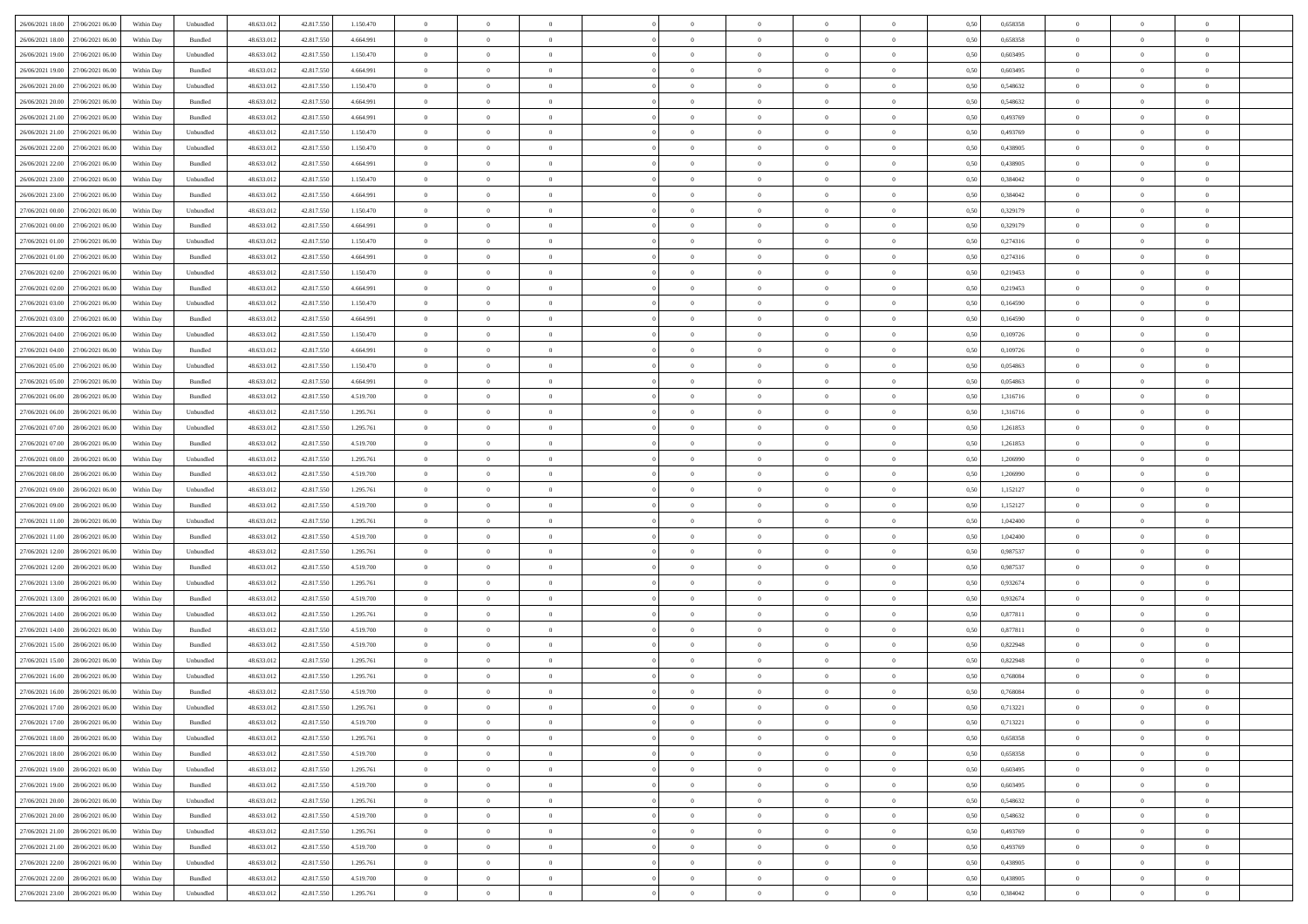| 26/06/2021 18:00 27/06/2021 06:00       | Within Day | Unbundled                   | 48.633.01  | 42.817.550 | 1.150.470 | $\overline{0}$ | $\overline{0}$ |                | $\overline{0}$ | $\theta$       |                | $\theta$       | 0,50 | 0,658358 | $\theta$       | $\theta$       | $\overline{0}$ |  |
|-----------------------------------------|------------|-----------------------------|------------|------------|-----------|----------------|----------------|----------------|----------------|----------------|----------------|----------------|------|----------|----------------|----------------|----------------|--|
| 26/06/2021 18:00<br>27/06/2021 06.00    | Within Day | Bundled                     | 48.633.01  | 42.817.55  | 4.664.991 | $\bf{0}$       | $\bf{0}$       | $\bf{0}$       | $\bf{0}$       | $\overline{0}$ | $\overline{0}$ | $\bf{0}$       | 0,50 | 0,658358 | $\,$ 0 $\,$    | $\bf{0}$       | $\overline{0}$ |  |
| 26/06/2021 19:00<br>27/06/2021 06:00    | Within Day | Unbundled                   | 48.633.012 | 42.817.550 | 1.150.470 | $\overline{0}$ | $\bf{0}$       | $\overline{0}$ | $\bf{0}$       | $\bf{0}$       | $\overline{0}$ | $\bf{0}$       | 0.50 | 0.603495 | $\bf{0}$       | $\overline{0}$ | $\overline{0}$ |  |
| 26/06/2021 19:00<br>27/06/2021 06:00    | Within Day | Bundled                     | 48.633.013 | 42.817.550 | 4.664.991 | $\overline{0}$ | $\overline{0}$ | $\overline{0}$ | $\theta$       | $\theta$       | $\overline{0}$ | $\bf{0}$       | 0,50 | 0,603495 | $\theta$       | $\theta$       | $\overline{0}$ |  |
| 26/06/2021 20:00<br>27/06/2021 06.00    | Within Day | Unbundled                   | 48.633.01  | 42.817.550 | 1.150.470 | $\bf{0}$       | $\overline{0}$ | $\bf{0}$       | $\overline{0}$ | $\theta$       | $\overline{0}$ | $\bf{0}$       | 0,50 | 0,548632 | $\,$ 0 $\,$    | $\bf{0}$       | $\overline{0}$ |  |
|                                         |            |                             |            |            |           |                |                |                |                |                | $\theta$       |                |      |          |                |                |                |  |
| 26/06/2021 20:00<br>27/06/2021 06:00    | Within Day | Bundled                     | 48.633.013 | 42.817.550 | 4.664.991 | $\overline{0}$ | $\overline{0}$ | $\overline{0}$ | $\bf{0}$       | $\overline{0}$ |                | $\bf{0}$       | 0.50 | 0.548632 | $\,$ 0 $\,$    | $\theta$       | $\overline{0}$ |  |
| 26/06/2021 21:00<br>27/06/2021 06:00    | Within Day | Bundled                     | 48.633.013 | 42.817.550 | 4.664.991 | $\overline{0}$ | $\overline{0}$ | $\overline{0}$ | $\overline{0}$ | $\overline{0}$ | $\overline{0}$ | $\bf{0}$       | 0,50 | 0,493769 | $\,$ 0 $\,$    | $\theta$       | $\overline{0}$ |  |
| 26/06/2021 21:00<br>27/06/2021 06.00    | Within Day | Unbundled                   | 48.633.01  | 42.817.55  | 1.150.470 | $\bf{0}$       | $\bf{0}$       | $\bf{0}$       | $\overline{0}$ | $\overline{0}$ | $\overline{0}$ | $\bf{0}$       | 0,50 | 0,493769 | $\,$ 0 $\,$    | $\bf{0}$       | $\overline{0}$ |  |
| 26/06/2021 22.00<br>27/06/2021 06:00    | Within Day | Unbundled                   | 48.633.013 | 42.817.550 | 1.150.470 | $\overline{0}$ | $\bf{0}$       | $\overline{0}$ | $\bf{0}$       | $\overline{0}$ | $\overline{0}$ | $\bf{0}$       | 0.50 | 0.438905 | $\bf{0}$       | $\overline{0}$ | $\overline{0}$ |  |
| 26/06/2021 22:00<br>27/06/2021 06:00    | Within Day | Bundled                     | 48.633.013 | 42.817.550 | 4.664.991 | $\bf{0}$       | $\bf{0}$       | $\overline{0}$ | $\overline{0}$ | $\overline{0}$ | $\overline{0}$ | $\bf{0}$       | 0,50 | 0,438905 | $\,$ 0 $\,$    | $\bf{0}$       | $\overline{0}$ |  |
| 26/06/2021 23:00<br>27/06/2021 06.00    | Within Day | Unbundled                   | 48.633.01  | 42.817.550 | 1.150.470 | $\bf{0}$       | $\overline{0}$ | $\bf{0}$       | $\bf{0}$       | $\overline{0}$ | $\overline{0}$ | $\bf{0}$       | 0,50 | 0,384042 | $\,$ 0 $\,$    | $\bf{0}$       | $\overline{0}$ |  |
| 26/06/2021 23:00<br>27/06/2021 06:00    | Within Day | Bundled                     | 48.633.013 | 42.817.550 | 4.664.991 | $\overline{0}$ | $\bf{0}$       | $\overline{0}$ | $\overline{0}$ | $\bf{0}$       | $\overline{0}$ | $\bf{0}$       | 0.50 | 0.384042 | $\bf{0}$       | $\overline{0}$ | $\bf{0}$       |  |
| 27/06/2021 00:00<br>27/06/2021 06:00    | Within Day | Unbundled                   | 48.633.01  | 42.817.550 | 1.150.470 | $\overline{0}$ | $\overline{0}$ | $\overline{0}$ | $\theta$       | $\theta$       | $\overline{0}$ | $\bf{0}$       | 0,50 | 0,329179 | $\,$ 0 $\,$    | $\theta$       | $\overline{0}$ |  |
|                                         |            |                             |            |            |           |                |                |                |                |                |                |                |      |          |                |                |                |  |
| 27/06/2021 00:00<br>27/06/2021 06.00    | Within Day | Bundled                     | 48.633.01  | 42.817.55  | 4.664.991 | $\bf{0}$       | $\overline{0}$ | $\bf{0}$       | $\overline{0}$ | $\bf{0}$       | $\overline{0}$ | $\bf{0}$       | 0,50 | 0,329179 | $\,$ 0 $\,$    | $\bf{0}$       | $\overline{0}$ |  |
| 27/06/2021 01:00<br>27/06/2021 06:00    | Within Day | Unbundled                   | 48.633.013 | 42.817.550 | 1.150.470 | $\overline{0}$ | $\overline{0}$ | $\overline{0}$ | $\bf{0}$       | $\overline{0}$ | $\theta$       | $\bf{0}$       | 0.50 | 0,274316 | $\,$ 0 $\,$    | $\theta$       | $\overline{0}$ |  |
| 27/06/2021 01:00<br>27/06/2021 06:00    | Within Day | Bundled                     | 48.633.013 | 42.817.550 | 4.664.991 | $\overline{0}$ | $\overline{0}$ | $\overline{0}$ | $\overline{0}$ | $\overline{0}$ | $\overline{0}$ | $\bf{0}$       | 0,50 | 0,274316 | $\theta$       | $\theta$       | $\overline{0}$ |  |
| 27/06/2021 02:00<br>27/06/2021 06.00    | Within Day | Unbundled                   | 48.633.01  | 42.817.55  | 1.150.470 | $\bf{0}$       | $\bf{0}$       | $\bf{0}$       | $\overline{0}$ | $\bf{0}$       | $\overline{0}$ | $\bf{0}$       | 0,50 | 0,219453 | $\,$ 0 $\,$    | $\bf{0}$       | $\overline{0}$ |  |
| 27/06/2021 02:00<br>27/06/2021 06:00    | Within Day | Bundled                     | 48.633.013 | 42.817.55  | 4.664.991 | $\overline{0}$ | $\bf{0}$       | $\overline{0}$ | $\bf{0}$       | $\overline{0}$ | $\overline{0}$ | $\bf{0}$       | 0.50 | 0.219453 | $\bf{0}$       | $\overline{0}$ | $\overline{0}$ |  |
| 27/06/2021 03:00<br>27/06/2021 06:00    | Within Day | Unbundled                   | 48.633.013 | 42.817.550 | 1.150.470 | $\bf{0}$       | $\bf{0}$       | $\overline{0}$ | $\overline{0}$ | $\overline{0}$ | $\overline{0}$ | $\bf{0}$       | 0,50 | 0,164590 | $\,$ 0 $\,$    | $\bf{0}$       | $\overline{0}$ |  |
| 27/06/2021 03:00<br>27/06/2021 06.00    | Within Day | Bundled                     | 48.633.01  | 42.817.55  | 4.664.991 | $\bf{0}$       | $\bf{0}$       | $\bf{0}$       | $\bf{0}$       | $\overline{0}$ | $\overline{0}$ | $\bf{0}$       | 0,50 | 0,164590 | $\,$ 0 $\,$    | $\bf{0}$       | $\overline{0}$ |  |
|                                         |            |                             |            |            |           |                |                |                |                |                |                |                |      |          |                |                |                |  |
| 27/06/2021 04:00<br>27/06/2021 06:00    | Within Day | Unbundled                   | 48.633.012 | 42,817,550 | 1.150.470 | $\overline{0}$ | $\bf{0}$       | $\overline{0}$ | $\overline{0}$ | $\bf{0}$       | $\overline{0}$ | $\bf{0}$       | 0.50 | 0.109726 | $\bf{0}$       | $\overline{0}$ | $\,$ 0         |  |
| 27/06/2021 04:00<br>27/06/2021 06:00    | Within Day | Bundled                     | 48.633.01  | 42.817.550 | 4.664.991 | $\overline{0}$ | $\overline{0}$ | $\overline{0}$ | $\overline{0}$ | $\theta$       | $\overline{0}$ | $\bf{0}$       | 0,50 | 0,109726 | $\theta$       | $\theta$       | $\overline{0}$ |  |
| 27/06/2021 05:00<br>27/06/2021 06.00    | Within Day | Unbundled                   | 48.633.01  | 42.817.550 | 1.150.470 | $\bf{0}$       | $\bf{0}$       | $\bf{0}$       | $\bf{0}$       | $\overline{0}$ | $\overline{0}$ | $\bf{0}$       | 0,50 | 0,054863 | $\,$ 0 $\,$    | $\bf{0}$       | $\overline{0}$ |  |
| 27/06/2021 05:00<br>27/06/2021 06:00    | Within Day | Bundled                     | 48.633.013 | 42.817.55  | 4.664.991 | $\overline{0}$ | $\overline{0}$ | $\overline{0}$ | $\bf{0}$       | $\overline{0}$ | $\theta$       | $\bf{0}$       | 0.50 | 0.054863 | $\,$ 0 $\,$    | $\theta$       | $\overline{0}$ |  |
| 27/06/2021 06:00<br>28/06/2021 06:00    | Within Day | Bundled                     | 48.633.013 | 42.817.550 | 4.519.700 | $\overline{0}$ | $\overline{0}$ | $\overline{0}$ | $\overline{0}$ | $\overline{0}$ | $\overline{0}$ | $\bf{0}$       | 0,50 | 1,316716 | $\,$ 0 $\,$    | $\theta$       | $\overline{0}$ |  |
| 27/06/2021 06:00<br>28/06/2021 06:00    | Within Day | Unbundled                   | 48.633.01  | 42.817.55  | 1.295.761 | $\bf{0}$       | $\overline{0}$ | $\bf{0}$       | $\overline{0}$ | $\bf{0}$       | $\overline{0}$ | $\bf{0}$       | 0,50 | 1,316716 | $\,$ 0 $\,$    | $\bf{0}$       | $\overline{0}$ |  |
| 27/06/2021 07:00<br>28/06/2021 06:00    | Within Day | Unbundled                   | 48.633.013 | 42.817.550 | 1.295.761 | $\overline{0}$ | $\bf{0}$       | $\overline{0}$ | $\bf{0}$       | $\overline{0}$ | $\overline{0}$ | $\bf{0}$       | 0.50 | 1.261853 | $\bf{0}$       | $\overline{0}$ | $\overline{0}$ |  |
| 27/06/2021 07:00<br>28/06/2021 06:00    | Within Day | Bundled                     | 48.633.01  | 42.817.550 | 4.519.700 | $\overline{0}$ | $\bf{0}$       | $\overline{0}$ | $\overline{0}$ | $\overline{0}$ | $\overline{0}$ | $\bf{0}$       | 0,50 | 1,261853 | $\,$ 0 $\,$    | $\theta$       | $\overline{0}$ |  |
|                                         |            |                             |            |            |           | $\bf{0}$       | $\bf{0}$       |                |                | $\overline{0}$ | $\overline{0}$ |                |      |          | $\,$ 0 $\,$    | $\bf{0}$       | $\overline{0}$ |  |
| 27/06/2021 08:00<br>28/06/2021 06:00    | Within Day | Unbundled                   | 48.633.01  | 42.817.550 | 1.295.761 |                |                | $\bf{0}$       | $\bf{0}$       |                |                | $\bf{0}$       | 0,50 | 1,206990 |                |                |                |  |
| 27/06/2021 08:00<br>28/06/2021 06:00    | Within Day | Bundled                     | 48.633.013 | 42.817.550 | 4.519.700 | $\overline{0}$ | $\bf{0}$       | $\overline{0}$ | $\overline{0}$ | $\bf{0}$       | $\overline{0}$ | $\bf{0}$       | 0.50 | 1.206990 | $\bf{0}$       | $\overline{0}$ | $\bf{0}$       |  |
| 27/06/2021 09:00<br>28/06/2021 06:00    | Within Day | Unbundled                   | 48.633.013 | 42.817.550 | 1.295.761 | $\overline{0}$ | $\overline{0}$ | $\overline{0}$ | $\overline{0}$ | $\overline{0}$ | $\overline{0}$ | $\bf{0}$       | 0.5( | 1,152127 | $\theta$       | $\theta$       | $\overline{0}$ |  |
| 27/06/2021 09:00<br>28/06/2021 06:00    | Within Day | Bundled                     | 48.633.01  | 42.817.55  | 4.519.700 | $\bf{0}$       | $\bf{0}$       | $\bf{0}$       | $\bf{0}$       | $\overline{0}$ | $\overline{0}$ | $\bf{0}$       | 0,50 | 1,152127 | $\,$ 0 $\,$    | $\bf{0}$       | $\overline{0}$ |  |
| $27/06/2021\ 11.00$<br>28/06/2021 06:00 | Within Day | Unbundled                   | 48.633.013 | 42.817.550 | 1.295.761 | $\overline{0}$ | $\bf{0}$       | $\overline{0}$ | $\bf{0}$       | $\overline{0}$ | $\overline{0}$ | $\bf{0}$       | 0.50 | 1.042400 | $\,$ 0 $\,$    | $\bf{0}$       | $\overline{0}$ |  |
| 27/06/2021 11:00<br>28/06/2021 06:00    | Within Dav | Bundled                     | 48.633.013 | 42.817.550 | 4.519.700 | $\overline{0}$ | $\overline{0}$ | $\overline{0}$ | $\overline{0}$ | $\theta$       | $\overline{0}$ | $\bf{0}$       | 0.50 | 1,042400 | $\theta$       | $\theta$       | $\overline{0}$ |  |
| 27/06/2021 12:00<br>28/06/2021 06:00    | Within Day | Unbundled                   | 48.633.01  | 42.817.55  | 1.295.761 | $\bf{0}$       | $\bf{0}$       | $\bf{0}$       | $\bf{0}$       | $\overline{0}$ | $\overline{0}$ | $\bf{0}$       | 0,50 | 0,987537 | $\,$ 0 $\,$    | $\bf{0}$       | $\overline{0}$ |  |
| 27/06/2021 12:00<br>28/06/2021 06:00    | Within Day | Bundled                     | 48.633.013 | 42.817.55  | 4.519.700 | $\overline{0}$ | $\bf{0}$       | $\overline{0}$ | $\bf{0}$       | $\overline{0}$ | $\overline{0}$ | $\bf{0}$       | 0.50 | 0.987537 | $\bf{0}$       | $\overline{0}$ | $\overline{0}$ |  |
| 27/06/2021 13:00<br>28/06/2021 06:00    | Within Dav | Unbundled                   | 48.633.013 | 42.817.550 | 1.295.761 | $\overline{0}$ | $\overline{0}$ | $\overline{0}$ | $\overline{0}$ | $\overline{0}$ | $\overline{0}$ | $\bf{0}$       | 0.50 | 0,932674 | $\theta$       | $\theta$       | $\overline{0}$ |  |
|                                         |            |                             |            |            |           |                |                |                |                |                |                |                |      |          |                |                |                |  |
| 27/06/2021 13:00<br>28/06/2021 06:00    | Within Day | Bundled                     | 48.633.01  | 42.817.550 | 4.519.700 | $\bf{0}$       | $\bf{0}$       | $\bf{0}$       | $\bf{0}$       | $\overline{0}$ | $\overline{0}$ | $\bf{0}$       | 0,50 | 0,932674 | $\,$ 0 $\,$    | $\bf{0}$       | $\overline{0}$ |  |
| 27/06/2021 14:00<br>28/06/2021 06:00    | Within Day | Unbundled                   | 48.633.013 | 42.817.550 | 1.295.761 | $\overline{0}$ | $\bf{0}$       | $\overline{0}$ | $\overline{0}$ | $\bf{0}$       | $\overline{0}$ | $\bf{0}$       | 0.50 | 0.877811 | $\bf{0}$       | $\overline{0}$ | $\overline{0}$ |  |
| 27/06/2021 14:00<br>28/06/2021 06:00    | Within Day | Bundled                     | 48.633.013 | 42.817.550 | 4.519.700 | $\overline{0}$ | $\overline{0}$ | $\overline{0}$ | $\overline{0}$ | $\overline{0}$ | $\overline{0}$ | $\bf{0}$       | 0.5( | 0,877811 | $\theta$       | $\theta$       | $\overline{0}$ |  |
| 27/06/2021 15:00<br>28/06/2021 06:00    | Within Day | Bundled                     | 48.633.013 | 42.817.550 | 4.519.700 | $\bf{0}$       | $\bf{0}$       | $\bf{0}$       | $\bf{0}$       | $\overline{0}$ | $\overline{0}$ | $\bf{0}$       | 0,50 | 0,822948 | $\,$ 0 $\,$    | $\bf{0}$       | $\overline{0}$ |  |
| 27/06/2021 15:00<br>28/06/2021 06:00    | Within Day | Unbundled                   | 48.633.013 | 42.817.55  | 1.295.761 | $\overline{0}$ | $\overline{0}$ | $\overline{0}$ | $\bf{0}$       | $\overline{0}$ | $\Omega$       | $\bf{0}$       | 0.50 | 0.822948 | $\bf{0}$       | $\theta$       | $\overline{0}$ |  |
| 27/06/2021 16:00<br>28/06/2021 06:00    | Within Dav | Unbundled                   | 48.633.013 | 42.817.550 | 1.295.761 | $\overline{0}$ | $\overline{0}$ | $\Omega$       | $\overline{0}$ | $\theta$       | $\overline{0}$ | $\overline{0}$ | 0.5( | 0,768084 | $\theta$       | $\theta$       | $\overline{0}$ |  |
| 27/06/2021 16:00<br>28/06/2021 06:00    | Within Day | Bundled                     | 48.633.01  | 42.817.550 | 4.519.700 | $\bf{0}$       | $\bf{0}$       | $\bf{0}$       | $\bf{0}$       | $\bf{0}$       | $\overline{0}$ | $\bf{0}$       | 0,50 | 0,768084 | $\,$ 0 $\,$    | $\bf{0}$       | $\overline{0}$ |  |
| 27/06/2021 17:00 28/06/2021 06:00       | Within Day | $\ensuremath{\mathsf{Unb}}$ | 48.633.012 | 42.817.550 | 1.295.761 | $\bf{0}$       | $\theta$       |                | $\overline{0}$ |                |                |                | 0,50 | 0,713221 | $\bf{0}$       | $\overline{0}$ |                |  |
| 27/06/2021 17:00 28/06/2021 06:00       | Within Day | Bundled                     | 48.633.012 | 42.817.550 | 4.519.700 | $\overline{0}$ | $\overline{0}$ | $\Omega$       | $\theta$       | $\overline{0}$ | $\overline{0}$ | $\bf{0}$       | 0,50 | 0,713221 | $\theta$       | $\theta$       | $\overline{0}$ |  |
|                                         |            |                             |            |            |           |                |                |                |                |                |                |                |      |          |                |                |                |  |
| 27/06/2021 18:00<br>28/06/2021 06:00    | Within Day | Unbundled                   | 48.633.013 | 42.817.550 | 1.295.761 | $\overline{0}$ | $\bf{0}$       | $\overline{0}$ | $\overline{0}$ | $\bf{0}$       | $\overline{0}$ | $\bf{0}$       | 0,50 | 0,658358 | $\bf{0}$       | $\overline{0}$ | $\bf{0}$       |  |
| 27/06/2021 18:00 28/06/2021 06:00       | Within Day | Bundled                     | 48.633.012 | 42.817.550 | 4.519.700 | $\overline{0}$ | $\bf{0}$       | $\overline{0}$ | $\overline{0}$ | $\mathbf{0}$   | $\overline{0}$ | $\,$ 0 $\,$    | 0.50 | 0.658358 | $\overline{0}$ | $\bf{0}$       | $\overline{0}$ |  |
| 27/06/2021 19:00 28/06/2021 06:00       | Within Dav | Unbundled                   | 48.633.012 | 42.817.550 | 1.295.761 | $\overline{0}$ | $\overline{0}$ | $\overline{0}$ | $\overline{0}$ | $\overline{0}$ | $\overline{0}$ | $\bf{0}$       | 0,50 | 0,603495 | $\overline{0}$ | $\theta$       | $\overline{0}$ |  |
| 27/06/2021 19:00<br>28/06/2021 06:00    | Within Day | Bundled                     | 48.633.012 | 42.817.550 | 4.519.700 | $\overline{0}$ | $\bf{0}$       | $\overline{0}$ | $\overline{0}$ | $\bf{0}$       | $\overline{0}$ | $\bf{0}$       | 0,50 | 0,603495 | $\bf{0}$       | $\overline{0}$ | $\overline{0}$ |  |
| 27/06/2021 20:00<br>28/06/2021 06:00    | Within Day | Unbundled                   | 48.633.012 | 42,817,550 | 1.295.761 | $\overline{0}$ | $\bf{0}$       | $\overline{0}$ | $\overline{0}$ | $\bf{0}$       | $\overline{0}$ | $\bf{0}$       | 0.50 | 0.548632 | $\,$ 0 $\,$    | $\overline{0}$ | $\,$ 0         |  |
| 27/06/2021 20:00<br>28/06/2021 06:00    | Within Dav | Bundled                     | 48.633.012 | 42.817.550 | 4.519.700 | $\overline{0}$ | $\overline{0}$ | $\overline{0}$ | $\overline{0}$ | $\overline{0}$ | $\overline{0}$ | $\bf{0}$       | 0.50 | 0,548632 | $\overline{0}$ | $\theta$       | $\overline{0}$ |  |
| 27/06/2021 21:00<br>28/06/2021 06:00    | Within Day | Unbundled                   | 48.633.013 | 42.817.550 | 1.295.761 | $\overline{0}$ | $\overline{0}$ | $\overline{0}$ | $\overline{0}$ | $\overline{0}$ | $\overline{0}$ | $\bf{0}$       | 0,50 | 0,493769 | $\bf{0}$       | $\overline{0}$ | $\,$ 0         |  |
| 27/06/2021 21:00 28/06/2021 06:00       |            |                             |            |            |           |                |                |                |                |                |                |                |      |          |                |                |                |  |
|                                         | Within Day | Bundled                     | 48.633.012 | 42,817,550 | 4.519.700 | $\overline{0}$ | $\overline{0}$ | $\overline{0}$ | $\overline{0}$ | $\overline{0}$ | $\overline{0}$ | $\bf{0}$       | 0.50 | 0.493769 | $\mathbf{0}$   | $\bf{0}$       | $\,$ 0         |  |
| 27/06/2021 22:00 28/06/2021 06:00       | Within Dav | Unbundled                   | 48.633.012 | 42.817.550 | 1.295.761 | $\overline{0}$ | $\overline{0}$ | $\overline{0}$ | $\overline{0}$ | $\overline{0}$ | $\overline{0}$ | $\bf{0}$       | 0,50 | 0,438905 | $\overline{0}$ | $\theta$       | $\overline{0}$ |  |
| 27/06/2021 22:00<br>28/06/2021 06:00    | Within Day | Bundled                     | 48.633.013 | 42.817.550 | 4.519.700 | $\overline{0}$ | $\bf{0}$       | $\overline{0}$ | $\bf{0}$       | $\overline{0}$ | $\overline{0}$ | $\bf{0}$       | 0,50 | 0,438905 | $\bf{0}$       | $\,0\,$        | $\bf{0}$       |  |
| 27/06/2021 23:00 28/06/2021 06:00       | Within Day | Unbundled                   | 48.633.012 | 42.817.550 | 1.295.761 | $\,$ 0 $\,$    | $\bf{0}$       | $\overline{0}$ | $\overline{0}$ | $\,$ 0 $\,$    | $\overline{0}$ | $\bf{0}$       | 0,50 | 0,384042 | $\overline{0}$ | $\,$ 0 $\,$    | $\,$ 0 $\,$    |  |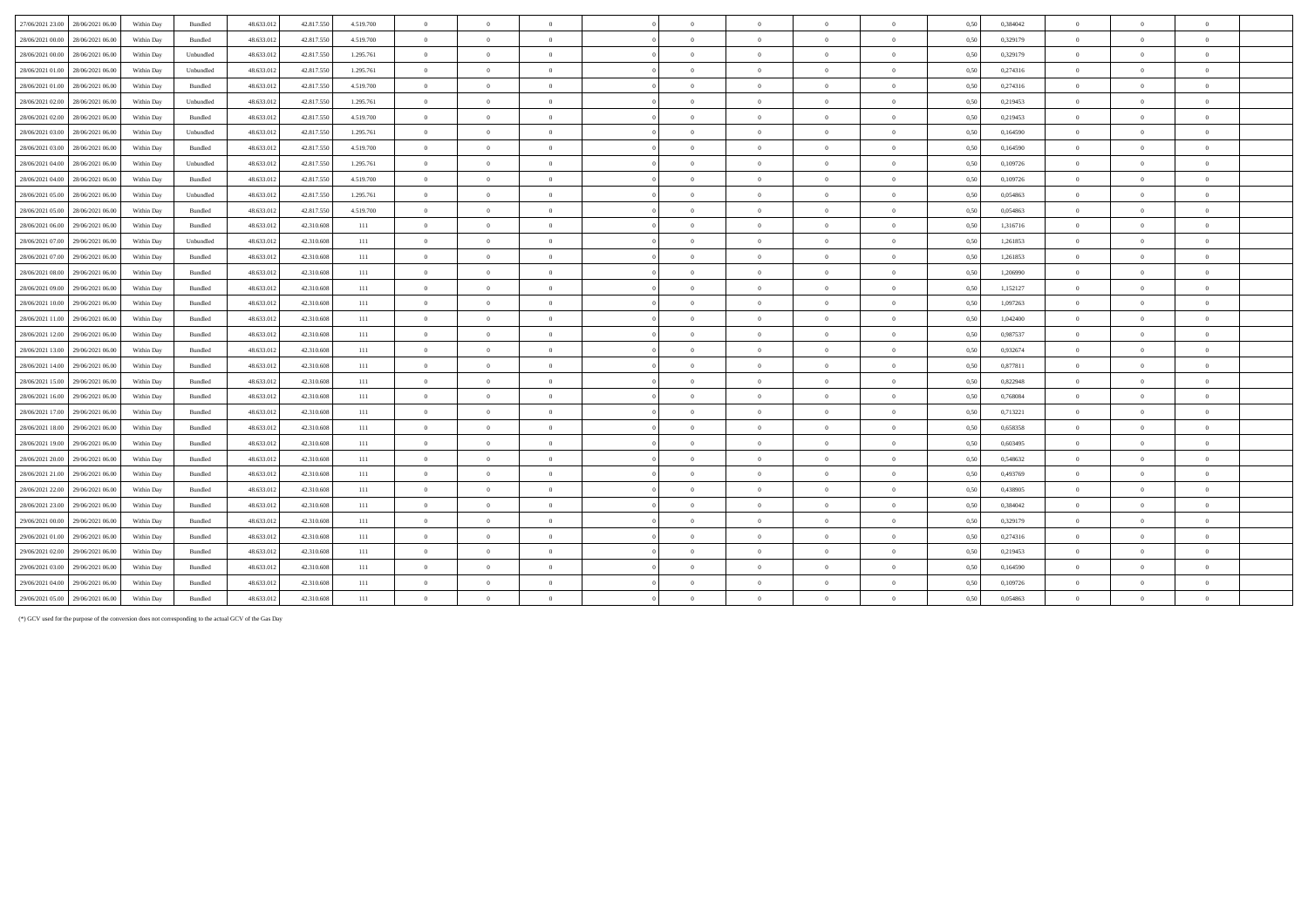| 27/06/2021 23:00 28/06/2021 06:00    | Within Day | Bundled        | 48.633.012 | 42.817.550 | 4.519.700 | $\overline{0}$ | $\overline{0}$ | $\overline{0}$ | $\overline{0}$ | $\overline{0}$ | $\overline{0}$ | $\overline{0}$ | 0.50 | 0.384042 | $\overline{0}$ | $\Omega$       |                |  |
|--------------------------------------|------------|----------------|------------|------------|-----------|----------------|----------------|----------------|----------------|----------------|----------------|----------------|------|----------|----------------|----------------|----------------|--|
| 28/06/2021 00:00 28/06/2021 06:00    | Within Day | Bundled        | 48.633.012 | 42.817.550 | 4.519.700 | $\overline{0}$ | $\overline{0}$ | $\overline{0}$ | $\Omega$       | $\overline{0}$ | $\overline{0}$ | $\mathbf{0}$   | 0,50 | 0,329179 | $\overline{0}$ | $\Omega$       | $\theta$       |  |
| 28/06/2021 00:00<br>28/06/2021 06:00 | Within Day | Unbundled      | 48.633.012 | 42.817.550 | 1.295.761 | $\overline{0}$ | $\overline{0}$ | $\overline{0}$ | $\theta$       | $\overline{0}$ | $\overline{0}$ | $\overline{0}$ | 0,50 | 0,329179 | $\overline{0}$ | $\Omega$       | $\theta$       |  |
| 28/06/2021 01:00 28/06/2021 06:00    | Within Day | Unbundled      | 48.633.012 | 42.817.550 | 1.295.761 | $\overline{0}$ | $\overline{0}$ | $\overline{0}$ | $\overline{0}$ | $\overline{0}$ | $\overline{0}$ | $\overline{0}$ | 0.50 | 0,274316 | $\overline{0}$ | $\Omega$       | $\bf{0}$       |  |
| 28/06/2021 01:00 28/06/2021 06:00    | Within Day | Bundled        | 48.633.012 | 42.817.550 | 4.519.700 | $\overline{0}$ | $\overline{0}$ | $\overline{0}$ | $\overline{0}$ | $\overline{0}$ | $\overline{0}$ | $\overline{0}$ | 0,50 | 0,274316 | $\overline{0}$ | $\Omega$       | $\theta$       |  |
| 28/06/2021 02:00<br>28/06/2021 06:00 | Within Day | Unbundled      | 48.633.012 | 42.817.550 | 1.295.761 | $\overline{0}$ | $\overline{0}$ | $\overline{0}$ | $\overline{0}$ | $\overline{0}$ | $\overline{0}$ | $\overline{0}$ | 0.50 | 0,219453 | $\overline{0}$ | $\Omega$       | $\theta$       |  |
| 28/06/2021 02:00<br>28/06/2021 06:00 | Within Dav | Bundled        | 48.633.012 | 42,817,550 | 4.519.700 | $\overline{0}$ | $\overline{0}$ | $\overline{0}$ | $\overline{0}$ | $\overline{0}$ | $\overline{0}$ | $\overline{0}$ | 0.50 | 0.219453 | $\overline{0}$ | $\overline{0}$ | $\bf{0}$       |  |
| 28/06/2021 03:00<br>28/06/2021 06:00 | Within Day | Unbundled      | 48.633.012 | 42.817.550 | 1.295.761 | $\overline{0}$ | $\overline{0}$ | $\overline{0}$ | $\Omega$       | $\theta$       | $\theta$       | $\theta$       | 0,50 | 0,164590 | $\overline{0}$ | $\Omega$       |                |  |
| 28/06/2021 03:00<br>28/06/2021 06:00 | Within Day | Bundled        | 48.633.013 | 42.817.550 | 4.519.700 | $\overline{0}$ | $\overline{0}$ | $\overline{0}$ | $\Omega$       | $\overline{0}$ | $\theta$       | $\overline{0}$ | 0,50 | 0,164590 | $\overline{0}$ | $\Omega$       | $\theta$       |  |
| 28/06/2021 04:00<br>28/06/2021 06:00 | Within Day | Unbundled      | 48.633.012 | 42.817.550 | 1.295.761 | $\overline{0}$ | $\overline{0}$ | $\overline{0}$ | $\overline{0}$ | $\overline{0}$ | $\overline{0}$ | $\overline{0}$ | 0,50 | 0,109726 | $\overline{0}$ | $\overline{0}$ | $\overline{0}$ |  |
| 28/06/2021 04:00<br>28/06/2021 06:00 | Within Day | Bundled        | 48.633.012 | 42.817.550 | 4.519.700 | $\overline{0}$ | $\bf{0}$       | $\overline{0}$ | $\theta$       | $\overline{0}$ | $\overline{0}$ | $\overline{0}$ | 0.50 | 0,109726 | $\overline{0}$ | $\overline{0}$ | $\theta$       |  |
| 28/06/2021 05:00<br>28/06/2021 06:00 | Within Day | Unbundled      | 48.633.012 | 42.817.550 | 1.295.761 | $\overline{0}$ | $\overline{0}$ | $\overline{0}$ | $\sqrt{2}$     | $\theta$       | $\overline{0}$ | $\overline{0}$ | 0,50 | 0.054863 | $\overline{0}$ | $\Omega$       | $\Omega$       |  |
| 28/06/2021 05:00<br>28/06/2021 06:00 | Within Day | Bundled        | 48.633.012 | 42.817.550 | 4.519.700 | $\overline{0}$ | $\Omega$       | $\overline{0}$ | $\overline{0}$ | $\overline{0}$ | $\Omega$       | $\overline{0}$ | 0.50 | 0.054863 | $\overline{0}$ | $\Omega$       | $\theta$       |  |
| 28/06/2021 06:00 29/06/2021 06:00    | Within Day | Bundled        | 48.633.012 | 42.310.608 | 111       | $\overline{0}$ | $\overline{0}$ | $\overline{0}$ | $\Omega$       | $\overline{0}$ | $\theta$       | $\overline{0}$ | 0,50 | 1,316716 | $\overline{0}$ | $\Omega$       | $\theta$       |  |
| 28/06/2021 07:00 29/06/2021 06:00    | Within Day | Unbundled      | 48.633.012 | 42.310.608 | 111       | $\overline{0}$ | $\overline{0}$ | $\overline{0}$ | $\Omega$       | $\overline{0}$ | $\theta$       | $\theta$       | 0,50 | 1,261853 | $\overline{0}$ |                |                |  |
| 28/06/2021 07:00 29/06/2021 06:00    | Within Day | Bundled        | 48.633.012 | 42.310.608 | 111       | $\overline{0}$ | $\Omega$       | $\overline{0}$ | $\Omega$       | $\Omega$       | $\Omega$       | $\Omega$       | 0,50 | 1,261853 | $\overline{0}$ | $\Omega$       | $\theta$       |  |
| 28/06/2021 08:00 29/06/2021 06:00    | Within Day | Bundled        | 48.633.012 | 42.310.608 | 111       | $\overline{0}$ | $\overline{0}$ | $\overline{0}$ | $\theta$       | $\theta$       | $\theta$       | $\theta$       | 0,50 | 1,206990 | $\overline{0}$ | $\Omega$       | $\theta$       |  |
| 28/06/2021 09:00 29/06/2021 06:00    | Within Day | Bundled        | 48.633.012 | 42.310.608 | 111       | $\overline{0}$ | $\overline{0}$ | $\overline{0}$ | $\theta$       | $\overline{0}$ | $\theta$       | $\theta$       | 0,50 | 1,152127 | $\overline{0}$ | $\Omega$       | $\theta$       |  |
| 28/06/2021 10:00<br>29/06/2021 06:00 | Within Dav | Bundled        | 48.633.012 | 42.310.608 | 111       | $\overline{0}$ | $\Omega$       | $\overline{0}$ | $\overline{0}$ | $\overline{0}$ | $\Omega$       | $\overline{0}$ | 0.50 | 1.097263 | $\overline{0}$ | $\Omega$       |                |  |
| 28/06/2021 11:00<br>29/06/2021 06:00 | Within Day | Bundled        | 48.633.012 | 42.310.608 | 111       | $\overline{0}$ | $\overline{0}$ | $\overline{0}$ | $\Omega$       | $\overline{0}$ | $\theta$       | $\theta$       | 0,50 | 1,042400 | $\overline{0}$ | $\Omega$       |                |  |
| 28/06/2021 12:00<br>29/06/2021 06:00 | Within Day | Bundled        | 48.633.012 | 42.310.608 | 111       | $\overline{0}$ | $\overline{0}$ | $\Omega$       | $\Omega$       | $\Omega$       | $\Omega$       | $\theta$       | 0,50 | 0,987537 | $\theta$       |                |                |  |
| 28/06/2021 13:00<br>29/06/2021 06:00 | Within Day | Bundled        | 48.633.012 | 42.310.608 | 111       | $\overline{0}$ | $\overline{0}$ | $\overline{0}$ | $\theta$       | $\overline{0}$ | $\overline{0}$ | $\overline{0}$ | 0,50 | 0,932674 | $\overline{0}$ | $\Omega$       | $\theta$       |  |
| 28/06/2021 14:00 29/06/2021 06:00    | Within Day | Bundled        | 48.633.012 | 42.310.608 | 111       | $\overline{0}$ | $\overline{0}$ | $\overline{0}$ | $\overline{0}$ | $\overline{0}$ | $\overline{0}$ | $\bf{0}$       | 0,50 | 0,877811 | $\overline{0}$ | $\overline{0}$ | $\theta$       |  |
| 28/06/2021 15:00 29/06/2021 06:00    | Within Day | Bundled        | 48.633.012 | 42.310.608 | 111       | $\overline{0}$ | $\bf{0}$       | $\overline{0}$ | $\theta$       | $\overline{0}$ | $\overline{0}$ | $\overline{0}$ | 0,50 | 0,822948 | $\bf{0}$       | $\overline{0}$ | $\theta$       |  |
| 28/06/2021 16:00 29/06/2021 06:00    | Within Day | Bundled        | 48.633.012 | 42.310.608 | 111       | $\overline{0}$ | $\overline{0}$ | $\overline{0}$ | $\theta$       | $\overline{0}$ | $\theta$       | $\overline{0}$ | 0.50 | 0.768084 | $\overline{0}$ | $\Omega$       | $\theta$       |  |
| 28/06/2021 17:00 29/06/2021 06:00    | Within Day | Bundled        | 48.633.012 | 42.310.608 | 111       | $\overline{0}$ | $\overline{0}$ | $\overline{0}$ | $\overline{0}$ | $\overline{0}$ | $\overline{0}$ | $\overline{0}$ | 0,50 | 0,713221 | $\overline{0}$ | $\overline{0}$ | $\theta$       |  |
| 28/06/2021 18:00<br>29/06/2021 06:00 | Within Day | Bundled        | 48.633.012 | 42.310.608 | 111       | $\overline{0}$ | $\overline{0}$ | $\overline{0}$ | $\Omega$       | $\overline{0}$ | $\overline{0}$ | $\overline{0}$ | 0,50 | 0,658358 | $\overline{0}$ | $\Omega$       | $\theta$       |  |
| 28/06/2021 19:00 29/06/2021 06:00    | Within Day | Bundled        | 48.633.012 | 42.310.608 | 111       | $\overline{0}$ | $\overline{0}$ | $\overline{0}$ | $\Omega$       | $\overline{0}$ | $\overline{0}$ | $\overline{0}$ | 0,50 | 0,603495 | $\overline{0}$ | $\Omega$       | $\theta$       |  |
| 28/06/2021 20:00 29/06/2021 06:00    | Within Day | Bundled        | 48.633.012 | 42.310.608 | 111       | $\overline{0}$ | $\overline{0}$ | $\overline{0}$ | $\overline{0}$ | $\overline{0}$ | $\overline{0}$ | $\overline{0}$ | 0.50 | 0.548632 | $\overline{0}$ | $\Omega$       | $\bf{0}$       |  |
| 28/06/2021 21:00<br>29/06/2021 06:00 | Within Day | Bundled        | 48.633.012 | 42.310.608 | 111       | $\overline{0}$ | $\overline{0}$ | $\overline{0}$ | $\theta$       | $\overline{0}$ | $\overline{0}$ | $\overline{0}$ | 0,50 | 0,493769 | $\overline{0}$ | $\Omega$       | $\theta$       |  |
| 28/06/2021 22:00<br>29/06/2021 06:00 | Within Day | Bundled        | 48.633.012 | 42.310.608 | 111       | $\overline{0}$ | $\overline{0}$ | $\overline{0}$ | $\overline{0}$ | $\overline{0}$ | $\overline{0}$ | $\overline{0}$ | 0.50 | 0.438905 | $\overline{0}$ | $\Omega$       | $\theta$       |  |
| 28/06/2021 23:00<br>29/06/2021 06:00 | Within Dav | Bundled        | 48.633.012 | 42.310.608 | 111       | $\overline{0}$ | $\overline{0}$ | $\overline{0}$ | $\overline{0}$ | $\overline{0}$ | $\overline{0}$ | $\overline{0}$ | 0.50 | 0.384042 | $\overline{0}$ | $\overline{0}$ | $\theta$       |  |
| 29/06/2021 00:00<br>29/06/2021 06:00 | Within Day | Bundled        | 48.633.012 | 42.310.608 | 111       | $\overline{0}$ | $\overline{0}$ | $\overline{0}$ | $\Omega$       | $\theta$       | $\theta$       | $\theta$       | 0,50 | 0,329179 | $\overline{0}$ | $\Omega$       |                |  |
| 29/06/2021 01:00<br>29/06/2021 06:00 | Within Day | Bundled        | 48.633.013 | 42.310.608 | 111       | $\overline{0}$ | $\overline{0}$ | $\overline{0}$ | $\Omega$       | $\Omega$       | $\Omega$       | $\theta$       | 0,50 | 0,274316 | $\overline{0}$ | $\Omega$       |                |  |
| 29/06/2021 02:00<br>29/06/2021 06:00 | Within Day | Bundled        | 48.633.013 | 42.310.608 | 111       | $\overline{0}$ | $\overline{0}$ | $\overline{0}$ | $\overline{0}$ | $\overline{0}$ | $\overline{0}$ | $\overline{0}$ | 0,50 | 0,219453 | $\overline{0}$ | $\overline{0}$ | $\theta$       |  |
| 29/06/2021 03:00<br>29/06/2021 06:00 | Within Day | Bundled        | 48.633.012 | 42.310.608 | 111       | $\overline{0}$ | $\overline{0}$ | $\overline{0}$ | $\Omega$       | $\theta$       | $\theta$       | $\theta$       | 0.50 | 0,164590 | $\overline{0}$ | $\Omega$       | $\theta$       |  |
| 29/06/2021 04:00<br>29/06/2021 06:00 | Within Day | Bundled        | 48.633.012 | 42.310.608 | 111       | $\overline{0}$ | $\overline{0}$ | $\overline{0}$ | $\Omega$       | $\theta$       | $\overline{0}$ | $\theta$       | 0,50 | 0,109726 | $\overline{0}$ | $\Omega$       | $\theta$       |  |
| 29/06/2021 05:00 29/06/2021 06:00    | Within Day | <b>Bundled</b> | 48.633.012 | 42.310.608 | 111       | $\overline{0}$ | $\overline{0}$ | $\overline{0}$ | $\overline{0}$ | $\overline{0}$ | $\theta$       | $\theta$       | 0.50 | 0.054863 | $\overline{0}$ | $\Omega$       | $\theta$       |  |

(\*) GCV used for the purpose of the conversion does not corresponding to the actual GCV of the Gas Day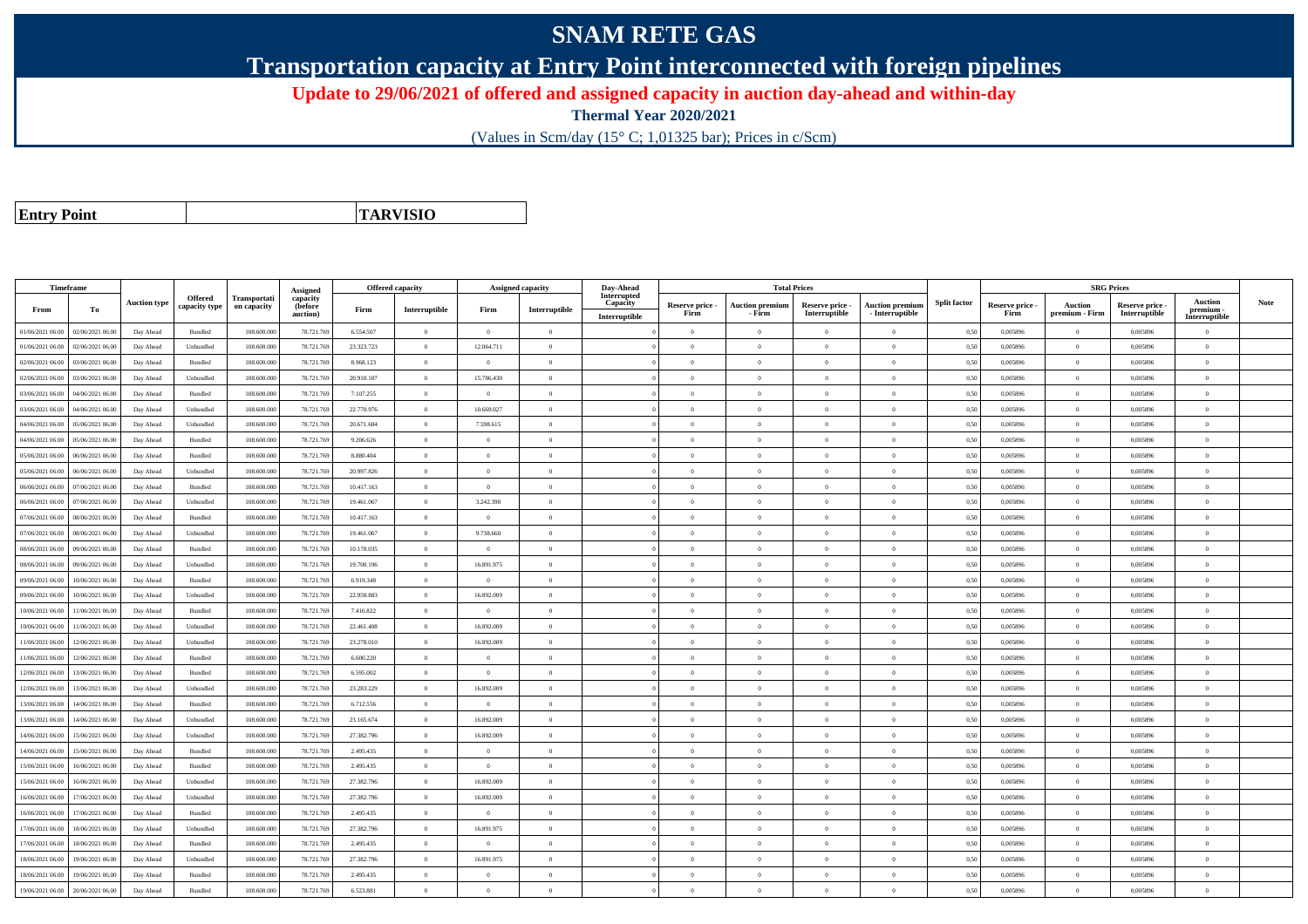## **SNAM RETE GAS**

**Transportation capacity at Entry Point interconnected with foreign pipelines**

**Update to 29/06/2021 of offered and assigned capacity in auction day-ahead and within-day**

**Thermal Year 2020/2021**

(Values in Scm/day (15° C; 1,01325 bar); Prices in c/Scm)

**Entry Point**

**TARVISIO**

|                  | Timeframe        |                     |                |              |                      |            | <b>Offered capacity</b> |                | <b>Assigned capacity</b> | Day-Ahead               |                         | <b>Total Prices</b>       |                                  |                                           |                     |                         |                                  | <b>SRG Prices</b>                |                            |             |
|------------------|------------------|---------------------|----------------|--------------|----------------------|------------|-------------------------|----------------|--------------------------|-------------------------|-------------------------|---------------------------|----------------------------------|-------------------------------------------|---------------------|-------------------------|----------------------------------|----------------------------------|----------------------------|-------------|
|                  |                  | <b>Auction type</b> | Offered        | Transportati | Assigned<br>capacity |            |                         |                |                          | Interrupted<br>Capacity |                         |                           |                                  |                                           | <b>Split factor</b> |                         |                                  |                                  | <b>Auction</b>             | <b>Note</b> |
| From             | To               |                     | capacity type  | on capacity  | (before<br>auction)  | Firm       | Interruptible           | Firm           | Interruptible            | Interruptible           | Reserve price -<br>Firm | Auction premium<br>- Firm | Reserve price -<br>Interruptible | <b>Auction premium</b><br>- Interruptible |                     | Reserve price -<br>Firm | <b>Auction</b><br>premium - Firm | Reserve price -<br>Interruptible | premium -<br>Interruptible |             |
| 01/06/2021 06:00 | 02/06/2021 06:00 | Day Ahead           | Bundled        | 108,600,000  | 78.721.769           | 6.554.507  | $\overline{0}$          | $\Omega$       | $\Omega$                 |                         | $\Omega$                | $\theta$                  | $\Omega$                         | $\theta$                                  | 0,50                | 0.005896                | $\Omega$                         | 0.005896                         | $\theta$                   |             |
| 01/06/2021 06:00 | 02/06/2021 06.00 | Day Ahead           | Unbundled      | 108.600.000  | 78.721.769           | 23.323.723 | $\overline{0}$          | 12.064.711     | $\theta$                 |                         | $\theta$                | $\theta$                  | $\overline{0}$                   | $\bf{0}$                                  | 0,50                | 0,005896                | $\theta$                         | 0,005896                         | $\overline{0}$             |             |
| 02/06/2021 06:00 | 03/06/2021 06:00 | Day Ahead           | <b>Bundled</b> | 108,600,000  | 78.721.769           | 8.968.123  | $\overline{0}$          | $\Omega$       | $\Omega$                 |                         | $\theta$                | $\theta$                  | $\Omega$                         | $\Omega$                                  | 0,50                | 0.005896                | $\Omega$                         | 0.005896                         | $\theta$                   |             |
| 02/06/2021 06:00 | 03/06/2021 06:00 | Day Ahead           | Unbundled      | 108,600,000  | 78.721.769           | 20.910.107 | $\overline{0}$          | 15,786,430     | $\Omega$                 |                         | $\theta$                | $\theta$                  | $\Omega$                         | $\theta$                                  | 0,50                | 0.005896                | $\mathbf{0}$                     | 0.005896                         | $\theta$                   |             |
| 03/06/2021 06:00 | 04/06/2021 06:00 | Day Ahead           | Bundled        | 108.600.000  | 78.721.769           | 7.107.255  | $\overline{0}$          | $\overline{0}$ | $\theta$                 |                         | $\theta$                | $\overline{0}$            | $\overline{0}$                   | $\bf{0}$                                  | 0,50                | 0.005896                | $\mathbf{0}$                     | 0.005896                         | $\overline{0}$             |             |
| 03/06/2021 06:00 | 04/06/2021 06.00 | Day Ahead           | Unbundled      | 108 600 000  | 78.721.769           | 22.770.976 | $\overline{0}$          | 10.669.027     | $\overline{0}$           |                         | $\theta$                | $\theta$                  | $\overline{0}$                   | $\overline{0}$                            | 0.50                | 0.005896                | $\,$ 0 $\,$                      | 0.005896                         | $\theta$                   |             |
| 04/06/2021 06:00 | 05/06/2021 06:00 | Day Ahead           | Unbundled      | 108.600.000  | 78.721.76            | 20.671.604 | $\overline{0}$          | 7.598.615      | $\theta$                 |                         | $\Omega$                | $\mathbf{a}$              | $\Omega$                         | $\bf{0}$                                  | 0.50                | 0,005896                | $\theta$                         | 0,005896                         | $\theta$                   |             |
| 04/06/2021 06:00 | 05/06/2021 06:00 | Day Ahead           | Bundled        | 108.600.000  | 78.721.769           | 9.206.626  | $\overline{0}$          | $\Omega$       | $\Omega$                 |                         | $\Omega$                | $\theta$                  | $\Omega$                         | $\Omega$                                  | 0,50                | 0,005896                | $\mathbf{0}$                     | 0,005896                         | $\theta$                   |             |
| 05/06/2021 06:00 | 06/06/2021 06:00 | Day Ahead           | Bundled        | 108,600,000  | 78.721.769           | 8.880.404  | $\overline{0}$          | $^{\circ}$     | $\Omega$                 |                         | $\Omega$                | $\theta$                  | $\Omega$                         | $\theta$                                  | 0.50                | 0.005896                | $\Omega$                         | 0.005896                         | $\theta$                   |             |
| 05/06/2021 06:00 | 06/06/2021 06:00 | Day Ahead           | Unbundled      | 108.600.000  | 78.721.769           | 20.997.826 | $\Omega$                | $\Omega$       | $\Omega$                 |                         | $\Omega$                | $\theta$                  | $\Omega$                         | $\theta$                                  | 0,50                | 0,005896                | $\theta$                         | 0,005896                         | $\theta$                   |             |
| 06/06/2021 06:00 | 07/06/2021 06:00 | Day Ahead           | Bundled        | 108,600,000  | 78.721.769           | 10.417.163 | $\overline{0}$          | $\overline{0}$ | $\overline{0}$           |                         | $\theta$                | $\theta$                  | $\overline{0}$                   | $\overline{0}$                            | 0.50                | 0.005896                | $\overline{0}$                   | 0.005896                         | $\overline{0}$             |             |
| 06/06/2021 06:00 | 07/06/2021 06.00 | Day Ahead           | Unbundled      | 108,600,000  | 78.721.769           | 19.461.067 | $\overline{0}$          | 3.242.390      | $\overline{0}$           |                         | $\overline{0}$          | $\theta$                  | $\overline{0}$                   | $\bf{0}$                                  | 0.50                | 0,005896                | $\,$ 0 $\,$                      | 0,005896                         | $\overline{0}$             |             |
| 07/06/2021 06:00 | 08/06/2021 06.00 | Day Ahead           | Bundled        | 108.600.000  | 78.721.769           | 10.417.163 | $\overline{0}$          | $\Omega$       | $\Omega$                 |                         | $\Omega$                |                           | $\Omega$                         | $\bf{0}$                                  | 0,50                | 0,005896                | $\theta$                         | 0,005896                         | $\theta$                   |             |
| 07/06/2021 06:00 | 08/06/2021 06:00 | Day Ahead           | Unbundled      | 108,600,000  | 78.721.769           | 19.461.067 | $\overline{0}$          | 9.738.660      | $\overline{0}$           |                         | $\theta$                | $\theta$                  | $\overline{0}$                   | $\theta$                                  | 0,50                | 0.005896                | $\mathbf{0}$                     | 0.005896                         | $\theta$                   |             |
| 08/06/2021 06:00 | 09/06/2021 06:00 | Day Ahead           | Bundled        | 108.600.000  | 78.721.769           | 10.178.035 | $\overline{0}$          | $\Omega$       | $\Omega$                 |                         | $\theta$                | $\theta$                  | $\theta$                         | $\bf{0}$                                  | 0,50                | 0,005896                | $\overline{0}$                   | 0,005896                         | $\overline{0}$             |             |
| 08/06/2021 06:00 | 09/06/2021 06:00 | Day Ahead           | Unbundled      | 108,600,000  | 78.721.769           | 19,700.196 | $\Omega$                | 16.891.975     | $\Omega$                 |                         | $\theta$                |                           | $\Omega$                         | $\theta$                                  | 0.50                | 0.005896                | $\theta$                         | 0.005896                         | $\theta$                   |             |
| 09/06/2021 06:00 | 10/06/2021 06:00 | Day Ahead           | Bundled        | 108,600,000  | 78.721.769           | 6.919.348  | $\overline{0}$          | $\overline{0}$ | $\overline{0}$           |                         | $\Omega$                | $\theta$                  | $\Omega$                         | $\overline{0}$                            | 0.50                | 0.005896                | $\overline{0}$                   | 0.005896                         | $\theta$                   |             |
| 09/06/2021 06:00 | 10/06/2021 06:00 | Day Ahead           | Unbundled      | 108.600.000  | 78.721.769           | 22.958.883 | $\overline{0}$          | 16.892.009     | $\theta$                 |                         | $\theta$                | $\theta$                  | $\theta$                         | $\bf{0}$                                  | 0,50                | 0,005896                | $\theta$                         | 0,005896                         | $\overline{0}$             |             |
| 10/06/2021 06:00 | 11/06/2021 06:00 | Day Ahead           | Bundled        | 108,600,000  | 78.721.769           | 7.416.822  | $\overline{0}$          | $\Omega$       | $\Omega$                 |                         | $\theta$                | $\theta$                  | $\theta$                         | $\theta$                                  | 0,50                | 0.005896                | $\mathbf{0}$                     | 0.005896                         | $\theta$                   |             |
| 10/06/2021 06:00 | 11/06/2021 06:00 | Day Ahead           | Unbundled      | 108.600.000  | 78.721.76            | 22.461.408 | $\overline{0}$          | 16.892.009     | $\Omega$                 |                         | $\theta$                | $\mathbf{a}$              | $\Omega$                         | $\Omega$                                  | 0,50                | 0,005896                | $\mathbf{0}$                     | 0,005896                         | $\theta$                   |             |
| 11/06/2021 06:00 | 12/06/2021 06:00 | Day Ahead           | Unbundled      | 108.600.000  | 78.721.769           | 23.278.010 | $\overline{0}$          | 16.892.009     | $\Omega$                 |                         | $\theta$                | $\theta$                  | $\Omega$                         | $\theta$                                  | 0,50                | 0,005896                | $\mathbf{0}$                     | 0,005896                         | $\theta$                   |             |
| 11/06/2021 06:00 | 12/06/2021 06:00 | Day Ahead           | Bundled        | 108,600,000  | 78.721.769           | 6.600.220  | $\overline{0}$          | $^{\circ}$     | $\Omega$                 |                         | $\theta$                | $\theta$                  | $\Omega$                         | $\theta$                                  | 0.50                | 0.005896                | $\Omega$                         | 0.005896                         | $\theta$                   |             |
| 12/06/2021 06:00 | 13/06/2021 06:00 | Day Ahead           | Bundled        | 108.600.000  | 78.721.769           | 6.595.002  | $\overline{0}$          | $\overline{0}$ | $\theta$                 |                         | $\theta$                | $\theta$                  | $\Omega$                         | $\bf{0}$                                  | 0,50                | 0,005896                | $\theta$                         | 0,005896                         | $\overline{0}$             |             |
| 12/06/2021 06:00 | 13/06/2021 06:00 | Day Ahead           | Unbundled      | 108.600.000  | 78.721.769           | 23.283.229 | $\overline{0}$          | 16.892.009     | $\theta$                 |                         | $\theta$                | $\theta$                  | $\overline{0}$                   | $\bf{0}$                                  | 0,50                | 0,005896                | $\overline{0}$                   | 0,005896                         | $\overline{0}$             |             |
| 13/06/2021 06:00 | 14/06/2021 06.00 | Day Ahead           | Bundled        | 108.600.000  | 78.721.769           | 6.712.556  | $\overline{0}$          | $\Omega$       | $\overline{0}$           |                         | $\overline{0}$          | $\theta$                  | $\overline{0}$                   | $\overline{0}$                            | 0,50                | 0.005896                | $\,$ 0 $\,$                      | 0.005896                         | $\theta$                   |             |
| 13/06/2021 06:00 | 14/06/2021 06.0  | Day Ahead           | Unbundled      | 108.600.000  | 78.721.76            | 23.165.674 | $\overline{0}$          | 16.892.009     | $\theta$                 |                         | $\theta$                | $\theta$                  | $\theta$                         | $\bf{0}$                                  | 0,50                | 0,005896                | $\overline{0}$                   | 0,005896                         | $\overline{0}$             |             |
| 14/06/2021 06:00 | 15/06/2021 06:00 | Day Ahead           | Unbundled      | 108,600,000  | 78.721.769           | 27.382.796 | $\overline{0}$          | 16.892.009     | $\Omega$                 |                         | $\Omega$                | $\theta$                  | $\Omega$                         | $\theta$                                  | 0,50                | 0.005896                | $\Omega$                         | 0.005896                         | $\theta$                   |             |
| 14/06/2021 06:00 | 15/06/2021 06:00 | Day Ahead           | Bundled        | 108.600.000  | 78.721.769           | 2.495.435  | $\overline{0}$          | $\Omega$       | $\Omega$                 |                         | $\theta$                | $\theta$                  | $\Omega$                         | $\bf{0}$                                  | 0,50                | 0,005896                | $\mathbf{0}$                     | 0.005896                         | $\theta$                   |             |
| 15/06/2021 06:00 | 16/06/2021 06:00 | Day Ahead           | Bundled        | 108.600.00   | 78.721.769           | 2.495.435  | $\overline{0}$          | $\overline{0}$ | $\overline{0}$           |                         | $\theta$                | $\theta$                  | $\overline{0}$                   | $\bf{0}$                                  | 0,50                | 0,005896                | $\overline{0}$                   | 0,005896                         | $\overline{0}$             |             |
| 15/06/2021 06:00 | 16/06/2021 06:00 | Day Ahead           | Unbundled      | 108.600.000  | 78.721.769           | 27.382.796 | $\overline{0}$          | 16.892.009     | $\overline{0}$           |                         | $\theta$                | $\theta$                  | $\overline{0}$                   | $\bf{0}$                                  | 0,50                | 0,005896                | $\,$ 0 $\,$                      | 0,005896                         | $\overline{0}$             |             |
| 16/06/2021 06:00 | 17/06/2021 06.00 | Day Ahead           | Unbundled      | 108.600.000  | 78.721.769           | 27.382.796 | $\overline{0}$          | 16.892.009     | $\overline{0}$           |                         | $\theta$                | $\theta$                  | $\overline{0}$                   | $\bf{0}$                                  | 0,50                | 0,005896                | $\mathbf{0}$                     | 0,005896                         | $\overline{0}$             |             |
| 16/06/2021 06:00 | 7/06/2021 06.00  | Day Ahead           | Bundled        | 108.600.000  | 78.721.769           | 2.495.435  | $\overline{0}$          | $\Omega$       | $\Omega$                 |                         | $\Omega$                | $\Omega$                  | $\Omega$                         | $\Omega$                                  | 0,50                | 0,005896                | $\theta$                         | 0,005896                         | $\theta$                   |             |
| 17/06/2021 06:00 | 18/06/2021 06:00 | Day Ahead           | Unbundled      | 108,600,000  | 78.721.769           | 27.382.796 | $\overline{0}$          | 16.891.975     | $\Omega$                 |                         | $\theta$                | $\theta$                  | $\Omega$                         | $\theta$                                  | 0.50                | 0.005896                | $\mathbf{0}$                     | 0.005896                         | $\Omega$                   |             |
| 17/06/2021 06:00 | 18/06/2021 06:00 | Day Ahead           | Bundled        | 108.600.000  | 78.721.769           | 2.495.435  | $\overline{0}$          | $\Omega$       | $\Omega$                 |                         | $\theta$                | $\theta$                  | $\Omega$                         | $\theta$                                  | 0,50                | 0,005896                | $\Omega$                         | 0.005896                         | $\theta$                   |             |
| 18/06/2021 06:00 | 19/06/2021 06:00 | Day Ahead           | Unbundled      | 108.600.000  | 78.721.769           | 27.382.796 | $\overline{0}$          | 16.891.975     | $\theta$                 |                         | $\theta$                | $\theta$                  | $\overline{0}$                   | $\bf{0}$                                  | 0,50                | 0,005896                | $\theta$                         | 0,005896                         | $\overline{0}$             |             |
| 18/06/2021 06:00 | 19/06/2021 06.0  | Day Ahead           | Bundled        | 108.600.000  | 78.721.76            | 2.495.435  | $\,$ 0 $\,$             | $\overline{0}$ | $\overline{0}$           |                         | $\theta$                | $\mathbf{a}$              | $\Omega$                         | $\bf{0}$                                  | 0,50                | 0,005896                | $\mathbf{0}$                     | 0,005896                         | $\overline{0}$             |             |
| 19/06/2021 06:00 | 20/06/2021 06:00 | Day Ahead           | Bundled        | 108.600.000  | 78.721.769           | 6.523.881  | $\theta$                | $\Omega$       | $\Omega$                 |                         | $\Omega$                | $\Omega$                  | $\Omega$                         | $\theta$                                  | 0,50                | 0,005896                | $\theta$                         | 0,005896                         | $\theta$                   |             |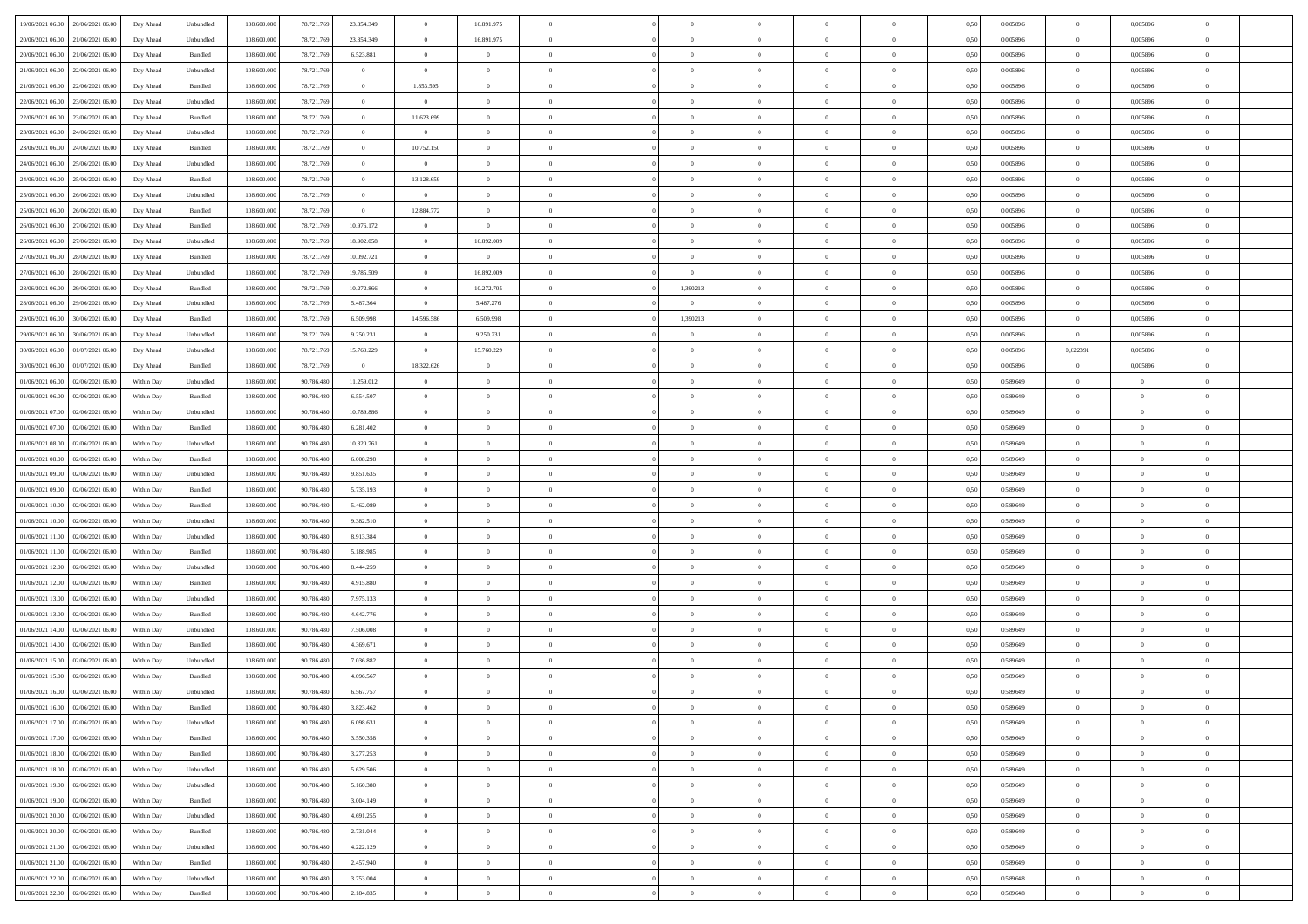| 19/06/2021 06:00<br>20/06/2021 06:00 | Day Ahead  | Unbundled | 108.600.000 | 78.721.769 | 23.354.349     | $\overline{0}$ | 16.891.975     |                |                | $\overline{0}$ | $\theta$       |                | 0,50 | 0,005896 | $\overline{0}$ | 0,005896       |                |  |
|--------------------------------------|------------|-----------|-------------|------------|----------------|----------------|----------------|----------------|----------------|----------------|----------------|----------------|------|----------|----------------|----------------|----------------|--|
|                                      |            |           |             |            |                |                |                |                |                |                |                |                |      |          |                |                |                |  |
| 20/06/2021 06:00<br>21/06/2021 06.0  | Day Ahead  | Unbundled | 108.600.00  | 78.721.76  | 23.354.349     | $\bf{0}$       | 16.891.975     | $\overline{0}$ | $\overline{0}$ | $\overline{0}$ | $\overline{0}$ | $\bf{0}$       | 0,50 | 0,005896 | $\bf{0}$       | 0,005896       | $\Omega$       |  |
| 20/06/2021 06.00<br>21/06/2021 06:00 | Day Ahead  | Bundled   | 108,600,000 | 78.721.769 | 6.523.881      | $\overline{0}$ | $\overline{0}$ | $\overline{0}$ | $\overline{0}$ | $\overline{0}$ | $\overline{0}$ | $\overline{0}$ | 0,50 | 0.005896 | $\overline{0}$ | 0.005896       | $\overline{0}$ |  |
| 21/06/2021 06.00<br>22/06/2021 06:00 | Day Ahead  | Unbundled | 108.600.000 | 78.721.769 | $\overline{0}$ | $\overline{0}$ | $\overline{0}$ | $\overline{0}$ | $\overline{0}$ | $\bf{0}$       | $\overline{0}$ | $\overline{0}$ | 0,50 | 0,005896 | $\overline{0}$ | 0,005896       | $\overline{0}$ |  |
| 21/06/2021 06.00<br>22/06/2021 06.0  | Day Ahead  | Bundled   | 108.600.000 | 78.721.769 | $\bf{0}$       | 1.853.595      | $\overline{0}$ | $\overline{0}$ | $\overline{0}$ | $\overline{0}$ | $\overline{0}$ | $\bf{0}$       | 0,50 | 0,005896 | $\bf{0}$       | 0,005896       | $\overline{0}$ |  |
|                                      |            |           |             |            |                |                |                |                |                |                |                |                |      |          |                |                |                |  |
| 22/06/2021 06.00<br>23/06/2021 06:00 | Day Ahead  | Unbundled | 108 600 000 | 78,721,769 | $\bf{0}$       | $\overline{0}$ | $\overline{0}$ | $\overline{0}$ | $\overline{0}$ | $\overline{0}$ | $\overline{0}$ | $\overline{0}$ | 0.50 | 0.005896 | $\overline{0}$ | 0.005896       | $\overline{0}$ |  |
| 22/06/2021 06:00<br>23/06/2021 06:00 | Day Ahead  | Bundled   | 108.600.000 | 78.721.769 | $\bf{0}$       | 11.623.699     | $\bf{0}$       | $\overline{0}$ | $\overline{0}$ | $\bf{0}$       | $\overline{0}$ | $\overline{0}$ | 0,50 | 0,005896 | $\overline{0}$ | 0,005896       | $\overline{0}$ |  |
| 23/06/2021 06.00<br>24/06/2021 06.0  | Day Ahead  | Unbundled | 108.600.000 | 78.721.769 | $\bf{0}$       | $\bf{0}$       | $\overline{0}$ | $\overline{0}$ | $\overline{0}$ | $\overline{0}$ | $\overline{0}$ | $\overline{0}$ | 0,50 | 0,005896 | $\bf{0}$       | 0,005896       | $\Omega$       |  |
| 23/06/2021 06.00<br>24/06/2021 06:00 | Day Ahead  | Bundled   | 108 600 000 | 78.721.769 | $\overline{0}$ | 10.752.150     | $\overline{0}$ | $\overline{0}$ | $\overline{0}$ | $\bf{0}$       | $\overline{0}$ | $\overline{0}$ | 0.50 | 0.005896 | $\overline{0}$ | 0.005896       | $\overline{0}$ |  |
| 24/06/2021 06.00<br>25/06/2021 06:00 | Day Ahead  | Unbundled | 108.600.000 | 78.721.769 | $\bf{0}$       | $\overline{0}$ | $\overline{0}$ | $\overline{0}$ | $\overline{0}$ | $\overline{0}$ | $\overline{0}$ | $\overline{0}$ | 0,50 | 0,005896 | $\overline{0}$ | 0,005896       | $\overline{0}$ |  |
|                                      |            |           |             |            |                |                | $\overline{0}$ |                |                |                |                |                |      |          |                |                | $\Omega$       |  |
| 24/06/2021 06.00<br>25/06/2021 06.0  | Day Ahead  | Bundled   | 108.600.000 | 78.721.76  | $\bf{0}$       | 13.128.659     |                | $\overline{0}$ | $\overline{0}$ | $\overline{0}$ | $\overline{0}$ | $\bf{0}$       | 0,50 | 0,005896 | $\overline{0}$ | 0,005896       |                |  |
| 25/06/2021 06.00<br>26/06/2021 06:00 | Day Ahead  | Unbundled | 108 600 000 | 78.721.769 | $\overline{0}$ | $\overline{0}$ | $\overline{0}$ | $\overline{0}$ | $\overline{0}$ | $\bf{0}$       | $\overline{0}$ | $\overline{0}$ | 0.50 | 0.005896 | $\overline{0}$ | 0.005896       | $\overline{0}$ |  |
| 25/06/2021 06:00<br>26/06/2021 06:00 | Day Ahead  | Bundled   | 108.600.000 | 78.721.769 | $\overline{0}$ | 12.884.772     | $\overline{0}$ | $\overline{0}$ | $\overline{0}$ | $\overline{0}$ | $\overline{0}$ | $\overline{0}$ | 0,50 | 0,005896 | $\overline{0}$ | 0,005896       | $\overline{0}$ |  |
| 26/06/2021 06.00<br>27/06/2021 06.0  | Day Ahead  | Bundled   | 108.600.000 | 78.721.76  | 10.976.172     | $\overline{0}$ | $\overline{0}$ | $\overline{0}$ | $\Omega$       | $\overline{0}$ | $\overline{0}$ | $\bf{0}$       | 0,50 | 0,005896 | $\overline{0}$ | 0,005896       | $\Omega$       |  |
| 26/06/2021 06.00<br>27/06/2021 06:00 | Day Ahead  | Unbundled | 108,600,000 | 78.721.769 | 18,902,058     | $\overline{0}$ | 16.892.009     | $\overline{0}$ | $\overline{0}$ | $\bf{0}$       | $\overline{0}$ | $\overline{0}$ | 0.50 | 0.005896 | $\overline{0}$ | 0.005896       | $\overline{0}$ |  |
| 27/06/2021 06.00<br>28/06/2021 06:00 | Day Ahead  | Bundled   | 108.600.000 | 78.721.769 | 10.092.721     | $\overline{0}$ | $\overline{0}$ | $\overline{0}$ | $\overline{0}$ | $\overline{0}$ | $\overline{0}$ | $\overline{0}$ | 0,50 | 0,005896 | $\overline{0}$ | 0,005896       | $\overline{0}$ |  |
|                                      |            |           |             |            |                |                |                |                |                |                |                |                |      |          |                |                |                |  |
| 27/06/2021 06.00<br>28/06/2021 06.0  | Day Ahead  | Unbundled | 108.600.000 | 78.721.76  | 19.785.509     | $\overline{0}$ | 16.892.009     | $\overline{0}$ | $\overline{0}$ | $\overline{0}$ | $\overline{0}$ | $\bf{0}$       | 0,50 | 0,005896 | $\overline{0}$ | 0,005896       | $\overline{0}$ |  |
| 28/06/2021 06.00<br>29/06/2021 06:00 | Day Ahead  | Bundled   | 108,600,000 | 78.721.769 | 10.272.866     | $\overline{0}$ | 10.272.705     | $\overline{0}$ | 1,390213       | $\,$ 0         | $\overline{0}$ | $\overline{0}$ | 0.50 | 0.005896 | $\overline{0}$ | 0.005896       | $\overline{0}$ |  |
| 28/06/2021 06:00<br>29/06/2021 06.00 | Day Ahead  | Unbundled | 108.600.000 | 78.721.769 | 5.487.364      | $\overline{0}$ | 5.487.276      | $\overline{0}$ | $\overline{0}$ | $\overline{0}$ | $\overline{0}$ | $\overline{0}$ | 0,50 | 0,005896 | $\overline{0}$ | 0,005896       | $\overline{0}$ |  |
| 29/06/2021 06.00<br>30/06/2021 06.00 | Day Ahead  | Bundled   | 108.600.000 | 78.721.76  | 6.509.998      | 14.596.586     | 6.509.998      | $\overline{0}$ | 1,390213       | $\overline{0}$ | $\overline{0}$ | $\bf{0}$       | 0,50 | 0,005896 | $\overline{0}$ | 0,005896       | $\Omega$       |  |
| 29/06/2021 06.00<br>30/06/2021 06:00 | Day Ahead  | Unbundled | 108 600 000 | 78.721.769 | 9.250.231      | $\overline{0}$ | 9.250.231      | $\overline{0}$ | $\overline{0}$ | $\overline{0}$ | $\overline{0}$ | $\overline{0}$ | 0.50 | 0.005896 | $\overline{0}$ | 0.005896       | $\overline{0}$ |  |
| 30/06/2021 06.00<br>01/07/2021 06:00 | Day Ahead  | Unbundled | 108.600.000 | 78.721.769 | 15.760.229     | $\overline{0}$ | 15.760.229     | $\overline{0}$ | $\overline{0}$ | $\overline{0}$ | $\overline{0}$ | $\overline{0}$ | 0,50 | 0,005896 | 0,022391       | 0,005896       | $\overline{0}$ |  |
|                                      |            |           |             |            |                |                |                |                |                |                |                |                |      |          |                |                |                |  |
| 30/06/2021 06.00<br>01/07/2021 06.00 | Day Ahead  | Bundled   | 108.600.000 | 78.721.769 | $\overline{0}$ | 18.322.626     | $\overline{0}$ | $\overline{0}$ | $\overline{0}$ | $\overline{0}$ | $\overline{0}$ | $\bf{0}$       | 0,50 | 0,005896 | $\overline{0}$ | 0,005896       | $\overline{0}$ |  |
| 01/06/2021 06.00<br>02/06/2021 06:00 | Within Day | Unbundled | 108 600 000 | 90.786.480 | 11.259.012     | $\overline{0}$ | $\overline{0}$ | $\overline{0}$ | $\overline{0}$ | $\bf{0}$       | $\overline{0}$ | $\overline{0}$ | 0.50 | 0.589649 | $\overline{0}$ | $\overline{0}$ | $\overline{0}$ |  |
| 01/06/2021 06.00<br>02/06/2021 06:00 | Within Day | Bundled   | 108.600.000 | 90.786.480 | 6.554.507      | $\overline{0}$ | $\overline{0}$ | $\overline{0}$ | $\overline{0}$ | $\overline{0}$ | $\overline{0}$ | $\overline{0}$ | 0,50 | 0,589649 | $\overline{0}$ | $\overline{0}$ | $\overline{0}$ |  |
| 01/06/2021 07:00<br>02/06/2021 06.0  | Within Day | Unbundled | 108.600.000 | 90.786.48  | 10.789.886     | $\bf{0}$       | $\overline{0}$ | $\overline{0}$ | $\overline{0}$ | $\overline{0}$ | $\overline{0}$ | $\bf{0}$       | 0,50 | 0,589649 | $\overline{0}$ | $\bf{0}$       | $\overline{0}$ |  |
| 01/06/2021 07.00<br>02/06/2021 06:00 | Within Day | Bundled   | 108 600 000 | 90.786.480 | 6.281.402      | $\overline{0}$ | $\overline{0}$ | $\overline{0}$ | $\overline{0}$ | $\overline{0}$ | $\overline{0}$ | $\overline{0}$ | 0.50 | 0.589649 | $\overline{0}$ | $\overline{0}$ | $\Omega$       |  |
| 01/06/2021 08:00<br>02/06/2021 06:00 | Within Day | Unbundled | 108.600.000 | 90.786.480 | 10.320.761     | $\overline{0}$ | $\overline{0}$ | $\overline{0}$ | $\overline{0}$ | $\overline{0}$ | $\overline{0}$ | $\overline{0}$ | 0,50 | 0,589649 | $\overline{0}$ | $\overline{0}$ | $\overline{0}$ |  |
|                                      |            |           |             |            |                |                |                |                |                |                |                |                |      |          |                |                |                |  |
| 01/06/2021 08:00<br>02/06/2021 06.0  | Within Day | Bundled   | 108.600.000 | 90.786.480 | 6.008.298      | $\bf{0}$       | $\overline{0}$ | $\overline{0}$ | $\Omega$       | $\overline{0}$ | $\overline{0}$ | $\bf{0}$       | 0,50 | 0,589649 | $\overline{0}$ | $\bf{0}$       | $\Omega$       |  |
| 01/06/2021 09:00<br>02/06/2021 06:00 | Within Day | Unbundled | 108 600 000 | 90.786.480 | 9.851.635      | $\overline{0}$ | $\overline{0}$ | $\overline{0}$ | $\overline{0}$ | $\bf{0}$       | $\overline{0}$ | $\overline{0}$ | 0.50 | 0.589649 | $\overline{0}$ | $\overline{0}$ | $\overline{0}$ |  |
| 01/06/2021 09:00<br>02/06/2021 06:00 | Within Day | Bundled   | 108.600.000 | 90.786.480 | 5.735.193      | $\overline{0}$ | $\overline{0}$ | $\overline{0}$ | $\Omega$       | $\overline{0}$ | $\overline{0}$ | $\overline{0}$ | 0,50 | 0.589649 | $\overline{0}$ | $\overline{0}$ | $\overline{0}$ |  |
| 01/06/2021 10:00<br>02/06/2021 06.0  | Within Day | Bundled   | 108.600.000 | 90.786.48  | 5.462.089      | $\bf{0}$       | $\overline{0}$ | $\overline{0}$ | $\overline{0}$ | $\overline{0}$ | $\overline{0}$ | $\bf{0}$       | 0,50 | 0,589649 | $\bf{0}$       | $\bf{0}$       | $\overline{0}$ |  |
| 01/06/2021 10:00<br>02/06/2021 06:00 | Within Day | Unbundled | 108 600 000 | 90.786.480 | 9.382.510      | $\overline{0}$ | $\bf{0}$       | $\overline{0}$ | $\overline{0}$ | $\overline{0}$ | $\overline{0}$ | $\overline{0}$ | 0.50 | 0.589649 | $\overline{0}$ | $\overline{0}$ | $\overline{0}$ |  |
| 01/06/2021 11:00<br>02/06/2021 06:00 | Within Dav | Unbundled | 108.600.000 | 90.786.480 | 8.913.384      | $\overline{0}$ | $\overline{0}$ | $\Omega$       | $\Omega$       | $\overline{0}$ | $\overline{0}$ | $\overline{0}$ | 0,50 | 0,589649 | $\overline{0}$ | $\overline{0}$ | $\theta$       |  |
|                                      |            |           |             |            |                |                |                |                |                |                |                |                |      |          |                |                |                |  |
| 01/06/2021 11:00<br>02/06/2021 06.0  | Within Day | Bundled   | 108.600.000 | 90.786.480 | 5.188.985      | $\bf{0}$       | $\overline{0}$ | $\overline{0}$ | $\overline{0}$ | $\overline{0}$ | $\overline{0}$ | $\bf{0}$       | 0,50 | 0,589649 | $\bf{0}$       | $\bf{0}$       | $\overline{0}$ |  |
| 01/06/2021 12.00<br>02/06/2021 06:00 | Within Day | Unbundled | 108 600 000 | 90.786.480 | 8.444.259      | $\overline{0}$ | $\overline{0}$ | $\overline{0}$ | $\overline{0}$ | $\overline{0}$ | $\overline{0}$ | $\overline{0}$ | 0.50 | 0.589649 | $\overline{0}$ | $\overline{0}$ | $\overline{0}$ |  |
| 01/06/2021 12:00<br>02/06/2021 06:00 | Within Day | Bundled   | 108.600.000 | 90.786.480 | 4.915.880      | $\overline{0}$ | $\overline{0}$ | $\overline{0}$ | $\Omega$       | $\overline{0}$ | $\overline{0}$ | $\overline{0}$ | 0,50 | 0,589649 | $\overline{0}$ | $\overline{0}$ | $\theta$       |  |
| 01/06/2021 13:00<br>02/06/2021 06.0  | Within Day | Unbundled | 108.600.000 | 90.786.480 | 7.975.133      | $\bf{0}$       | $\overline{0}$ | $\overline{0}$ | $\overline{0}$ | $\overline{0}$ | $\overline{0}$ | $\bf{0}$       | 0,50 | 0,589649 | $\bf{0}$       | $\bf{0}$       | $\overline{0}$ |  |
| 01/06/2021 13:00<br>02/06/2021 06:00 | Within Day | Bundled   | 108 600 000 | 90.786.480 | 4.642.776      | $\overline{0}$ | $\overline{0}$ | $\overline{0}$ | $\overline{0}$ | $\bf{0}$       | $\overline{0}$ | $\overline{0}$ | 0.50 | 0.589649 | $\overline{0}$ | $\overline{0}$ | $\overline{0}$ |  |
| 01/06/2021 14:00<br>02/06/2021 06:00 | Within Dav | Unbundled | 108.600.000 | 90.786.480 | 7.506.008      | $\overline{0}$ | $\overline{0}$ | $\overline{0}$ | $\Omega$       | $\overline{0}$ | $\overline{0}$ | $\overline{0}$ | 0,50 | 0,589649 | $\overline{0}$ | $\overline{0}$ | $\theta$       |  |
| 01/06/2021 14:00<br>02/06/2021 06.0  | Within Day | Bundled   | 108.600.000 | 90.786.480 | 4.369.671      | $\bf{0}$       | $\overline{0}$ | $\overline{0}$ | $\overline{0}$ | $\overline{0}$ | $\overline{0}$ | $\bf{0}$       | 0,50 | 0,589649 | $\bf{0}$       | $\bf{0}$       | $\overline{0}$ |  |
|                                      |            |           |             |            |                |                |                |                |                |                |                |                |      |          |                |                |                |  |
| 01/06/2021 15:00<br>02/06/2021 06:00 | Within Day | Unbundled | 108 600 000 | 90.786.480 | 7.036.882      | $\overline{0}$ | $\overline{0}$ | $\overline{0}$ | $\Omega$       | $\overline{0}$ | $\overline{0}$ | $\overline{0}$ | 0.50 | 0.589649 | $\overline{0}$ | $\overline{0}$ | $\overline{0}$ |  |
| 01/06/2021 15:00<br>02/06/2021 06:00 | Within Day | Bundled   | 108.600.000 | 90.786.480 | 4.096.567      | $\overline{0}$ | $\theta$       | $\theta$       | $\Omega$       | $\overline{0}$ | $\overline{0}$ | $\theta$       | 0.50 | 0,589649 | $\overline{0}$ | $\theta$       | $\theta$       |  |
| 01/06/2021 16:00<br>02/06/2021 06.00 | Within Day | Unbundled | 108.600.000 | 90.786.480 | 6.567.757      | $\bf{0}$       | $\overline{0}$ | $\overline{0}$ | $\overline{0}$ | $\overline{0}$ | $\bf{0}$       | $\overline{0}$ | 0,50 | 0,589649 | $\bf{0}$       | $\bf{0}$       | $\overline{0}$ |  |
| $01/06/2021$ 16.00 02/06/2021 06.00  | Within Day | Bundled   | 108.600.000 | 90.786.480 | 3.823.462      | $\bf{0}$       | $\theta$       |                |                |                |                |                | 0,50 | 0.589649 | $\bf{0}$       |                |                |  |
| 01/06/2021 17:00<br>02/06/2021 06:00 | Within Day | Unbundled | 108.600.000 | 90.786.480 | 6.098.631      | $\overline{0}$ | $\overline{0}$ | $\overline{0}$ | $\Omega$       | $\overline{0}$ | $\overline{0}$ | $\theta$       | 0,50 | 0,589649 | $\overline{0}$ | $\overline{0}$ | $\theta$       |  |
| 01/06/2021 17:00<br>02/06/2021 06.00 | Within Day | Bundled   | 108.600.000 | 90.786.480 | 3.550.358      | $\overline{0}$ | $\overline{0}$ | $\overline{0}$ | $\overline{0}$ | $\bf{0}$       | $\overline{0}$ | $\overline{0}$ | 0,50 | 0,589649 | $\overline{0}$ | $\overline{0}$ | $\overline{0}$ |  |
|                                      |            |           |             |            |                |                |                |                |                |                |                |                |      |          |                |                |                |  |
| 02/06/2021 06:00<br>01/06/2021 18.00 | Within Day | Bundled   | 108,600,000 | 90,786,480 | 3.277.253      | $\overline{0}$ | $\overline{0}$ | $\overline{0}$ | $\overline{0}$ | $\bf{0}$       | $\overline{0}$ | $\overline{0}$ | 0.50 | 0.589649 | $\bf{0}$       | $\overline{0}$ | $\overline{0}$ |  |
| 01/06/2021 18:00<br>02/06/2021 06:00 | Within Day | Unbundled | 108.600.000 | 90.786.480 | 5.629.506      | $\overline{0}$ | $\overline{0}$ | $\overline{0}$ | $\Omega$       | $\overline{0}$ | $\overline{0}$ | $\mathbf{0}$   | 0,50 | 0,589649 | $\overline{0}$ | $\overline{0}$ | $\overline{0}$ |  |
| 01/06/2021 19:00<br>02/06/2021 06:00 | Within Day | Unbundled | 108.600.000 | 90.786.480 | 5.160.380      | $\overline{0}$ | $\overline{0}$ | $\overline{0}$ | $\overline{0}$ | $\bf{0}$       | $\overline{0}$ | $\overline{0}$ | 0,50 | 0,589649 | $\overline{0}$ | $\overline{0}$ | $\overline{0}$ |  |
| 01/06/2021 19:00<br>02/06/2021 06:00 | Within Day | Bundled   | 108,600,000 | 90.786.480 | 3.004.149      | $\overline{0}$ | $\overline{0}$ | $\overline{0}$ | $\overline{0}$ | $\overline{0}$ | $\overline{0}$ | $\overline{0}$ | 0.50 | 0.589649 | $\overline{0}$ | $\overline{0}$ | $\overline{0}$ |  |
| 01/06/2021 20:00<br>02/06/2021 06:00 | Within Day | Unbundled | 108.600.000 | 90.786.480 | 4.691.255      | $\overline{0}$ | $\overline{0}$ | $\overline{0}$ | $\overline{0}$ | $\overline{0}$ | $\overline{0}$ | $\overline{0}$ | 0,50 | 0,589649 | $\overline{0}$ | $\overline{0}$ | $\overline{0}$ |  |
| 01/06/2021 20:00<br>02/06/2021 06.00 | Within Day | Bundled   | 108.600.000 | 90.786.480 | 2.731.044      | $\overline{0}$ | $\overline{0}$ | $\overline{0}$ | $\overline{0}$ | $\bf{0}$       | $\overline{0}$ | $\overline{0}$ | 0,50 | 0,589649 | $\mathbf{0}$   | $\overline{0}$ | $\overline{0}$ |  |
|                                      |            |           |             |            |                |                |                |                |                |                |                |                |      |          |                |                |                |  |
| 02/06/2021 06:00<br>01/06/2021 21.00 | Within Day | Unbundled | 108,600,000 | 90,786,480 | 4.222.129      | $\overline{0}$ | $\overline{0}$ | $\overline{0}$ | $\overline{0}$ | $\bf{0}$       | $\overline{0}$ | $\overline{0}$ | 0.50 | 0.589649 | $\overline{0}$ | $\overline{0}$ | $\overline{0}$ |  |
| 02/06/2021 06:00<br>01/06/2021 21:00 | Within Dav | Bundled   | 108.600.000 | 90.786.480 | 2.457.940      | $\overline{0}$ | $\overline{0}$ | $\overline{0}$ | $\Omega$       | $\overline{0}$ | $\overline{0}$ | $\overline{0}$ | 0,50 | 0.589649 | $\overline{0}$ | $\overline{0}$ | $\theta$       |  |
| 01/06/2021 22.00<br>02/06/2021 06.0  | Within Day | Unbundled | 108.600.000 | 90.786.480 | 3.753.004      | $\overline{0}$ | $\overline{0}$ | $\overline{0}$ | $\overline{0}$ | $\bf{0}$       | $\overline{0}$ | $\mathbf{0}$   | 0,50 | 0,589648 | $\overline{0}$ | $\overline{0}$ | $\overline{0}$ |  |
| 01/06/2021 22.00 02/06/2021 06:00    | Within Day | Bundled   | 108.600.000 | 90.786.480 | 2.184.835      | $\overline{0}$ | $\bf{0}$       | $\overline{0}$ | $\overline{0}$ | $\,$ 0         | $\overline{0}$ | $\overline{0}$ | 0,50 | 0,589648 | $\overline{0}$ | $\overline{0}$ | $\overline{0}$ |  |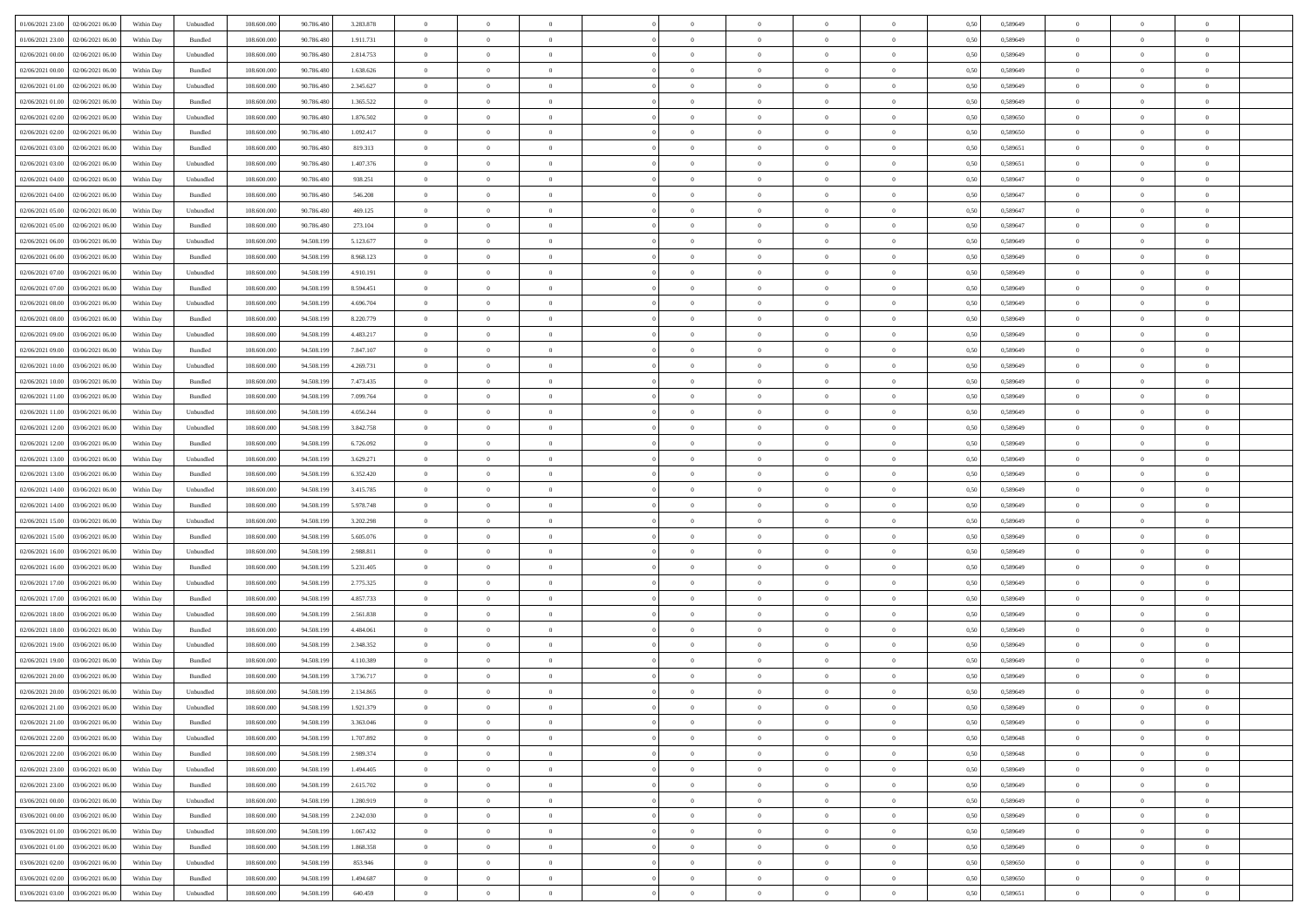| 01/06/2021 23:00 02/06/2021 06:00                       | Within Day | Unbundled                   | 108.600.000 | 90.786.480 | 3.283.878 | $\overline{0}$ | $\overline{0}$ |                | $\overline{0}$ | $\theta$       |                | $\theta$       | 0,50 | 0,589649 | $\theta$       | $\theta$       | $\overline{0}$ |  |
|---------------------------------------------------------|------------|-----------------------------|-------------|------------|-----------|----------------|----------------|----------------|----------------|----------------|----------------|----------------|------|----------|----------------|----------------|----------------|--|
| 01/06/2021 23:00<br>02/06/2021 06.00                    | Within Day | Bundled                     | 108.600.00  | 90.786.48  | 1.911.731 | $\bf{0}$       | $\bf{0}$       | $\bf{0}$       | $\overline{0}$ | $\overline{0}$ | $\overline{0}$ | $\bf{0}$       | 0,50 | 0,589649 | $\,$ 0 $\,$    | $\bf{0}$       | $\overline{0}$ |  |
| $02/06/2021\ 00.00$<br>02/06/2021 06:00                 | Within Day | Unbundled                   | 108,600,000 | 90.786.480 | 2.814.753 | $\overline{0}$ | $\bf{0}$       | $\overline{0}$ | $\bf{0}$       | $\bf{0}$       | $\overline{0}$ | $\bf{0}$       | 0.50 | 0.589649 | $\bf{0}$       | $\overline{0}$ | $\overline{0}$ |  |
| 02/06/2021 00:00                                        |            |                             | 108.600.000 |            |           | $\overline{0}$ | $\overline{0}$ | $\overline{0}$ | $\theta$       | $\theta$       | $\overline{0}$ |                |      |          | $\theta$       | $\theta$       | $\overline{0}$ |  |
| 02/06/2021 06:00                                        | Within Day | Bundled                     |             | 90.786.480 | 1.638.626 |                |                |                |                |                |                | $\bf{0}$       | 0,50 | 0,589649 |                |                |                |  |
| 02/06/2021 01:00<br>02/06/2021 06.00                    | Within Day | Unbundled                   | 108.600.00  | 90.786.48  | 2.345.627 | $\bf{0}$       | $\overline{0}$ | $\bf{0}$       | $\overline{0}$ | $\theta$       | $\overline{0}$ | $\bf{0}$       | 0,50 | 0,589649 | $\,$ 0 $\,$    | $\bf{0}$       | $\overline{0}$ |  |
| 02/06/2021 01:00<br>02/06/2021 06:00                    | Within Day | Bundled                     | 108,600,000 | 90.786.480 | 1.365.522 | $\overline{0}$ | $\overline{0}$ | $\overline{0}$ | $\bf{0}$       | $\overline{0}$ | $\theta$       | $\bf{0}$       | 0.50 | 0.589649 | $\,$ 0 $\,$    | $\theta$       | $\overline{0}$ |  |
| 02/06/2021 02:00<br>02/06/2021 06.00                    | Within Day | Unbundled                   | 108.600.000 | 90.786.480 | 1.876.502 | $\overline{0}$ | $\overline{0}$ | $\overline{0}$ | $\overline{0}$ | $\overline{0}$ | $\overline{0}$ | $\bf{0}$       | 0,50 | 0,589650 | $\,$ 0 $\,$    | $\theta$       | $\overline{0}$ |  |
|                                                         |            |                             |             |            |           |                |                |                |                |                |                |                |      |          |                |                |                |  |
| 02/06/2021 02:00<br>02/06/2021 06.00                    | Within Day | Bundled                     | 108.600.00  | 90.786.48  | 1.092.417 | $\bf{0}$       | $\bf{0}$       | $\bf{0}$       | $\overline{0}$ | $\bf{0}$       | $\overline{0}$ | $\bf{0}$       | 0,50 | 0,589650 | $\,$ 0 $\,$    | $\bf{0}$       | $\overline{0}$ |  |
| 02/06/2021 03:00<br>02/06/2021 06:00                    | Within Day | Bundled                     | 108,600,000 | 90.786.480 | 819.313   | $\overline{0}$ | $\bf{0}$       | $\overline{0}$ | $\bf{0}$       | $\overline{0}$ | $\overline{0}$ | $\bf{0}$       | 0.50 | 0.589651 | $\bf{0}$       | $\overline{0}$ | $\overline{0}$ |  |
| 02/06/2021 03:00<br>02/06/2021 06:00                    | Within Day | Unbundled                   | 108.600.000 | 90.786.480 | 1.407.376 | $\bf{0}$       | $\bf{0}$       | $\overline{0}$ | $\overline{0}$ | $\overline{0}$ | $\overline{0}$ | $\bf{0}$       | 0,50 | 0,589651 | $\,$ 0 $\,$    | $\bf{0}$       | $\overline{0}$ |  |
| 02/06/2021 04:00<br>02/06/2021 06.00                    | Within Day | Unbundled                   | 108.600.00  | 90.786.480 | 938.251   | $\bf{0}$       | $\overline{0}$ | $\bf{0}$       | $\bf{0}$       | $\bf{0}$       | $\overline{0}$ | $\bf{0}$       | 0,50 | 0,589647 | $\,$ 0 $\,$    | $\bf{0}$       | $\overline{0}$ |  |
|                                                         |            |                             |             |            |           |                |                |                |                |                |                |                |      |          |                |                |                |  |
| 02/06/2021 04:00<br>02/06/2021 06:00                    | Within Day | Bundled                     | 108,600,000 | 90.786.480 | 546,208   | $\overline{0}$ | $\bf{0}$       | $\overline{0}$ | $\overline{0}$ | $\bf{0}$       | $\overline{0}$ | $\bf{0}$       | 0.50 | 0.589647 | $\bf{0}$       | $\overline{0}$ | $\overline{0}$ |  |
| 02/06/2021 05:00<br>02/06/2021 06:00                    | Within Day | Unbundled                   | 108.600.000 | 90.786.480 | 469.125   | $\overline{0}$ | $\overline{0}$ | $\overline{0}$ | $\theta$       | $\theta$       | $\overline{0}$ | $\bf{0}$       | 0,50 | 0,589647 | $\,$ 0 $\,$    | $\theta$       | $\overline{0}$ |  |
| 02/06/2021 05:00<br>02/06/2021 06.00                    | Within Day | Bundled                     | 108.600.00  | 90.786.48  | 273.104   | $\bf{0}$       | $\overline{0}$ | $\bf{0}$       | $\overline{0}$ | $\theta$       | $\overline{0}$ | $\bf{0}$       | 0,50 | 0,589647 | $\,$ 0 $\,$    | $\bf{0}$       | $\overline{0}$ |  |
|                                                         |            |                             |             |            |           |                |                |                |                |                |                |                |      |          |                |                |                |  |
| 02/06/2021 06:00<br>03/06/2021 06:00                    | Within Day | Unbundled                   | 108,600,000 | 94.508.199 | 5.123.677 | $\overline{0}$ | $\overline{0}$ | $\overline{0}$ | $\bf{0}$       | $\overline{0}$ | $\Omega$       | $\bf{0}$       | 0.50 | 0.589649 | $\,$ 0 $\,$    | $\theta$       | $\overline{0}$ |  |
| 02/06/2021 06:00<br>03/06/2021 06:00                    | Within Day | Bundled                     | 108.600.000 | 94.508.199 | 8.968.123 | $\overline{0}$ | $\overline{0}$ | $\overline{0}$ | $\overline{0}$ | $\theta$       | $\overline{0}$ | $\bf{0}$       | 0,50 | 0,589649 | $\theta$       | $\theta$       | $\overline{0}$ |  |
| 02/06/2021 07:00<br>03/06/2021 06.00                    | Within Day | Unbundled                   | 108.600.00  | 94.508.19  | 4.910.191 | $\bf{0}$       | $\overline{0}$ | $\bf{0}$       | $\overline{0}$ | $\theta$       | $\overline{0}$ | $\bf{0}$       | 0,50 | 0,589649 | $\,$ 0 $\,$    | $\bf{0}$       | $\overline{0}$ |  |
| 02/06/2021 07:00<br>03/06/2021 06:00                    | Within Day | Bundled                     | 108,600,000 | 94.508.199 | 8.594.451 | $\overline{0}$ | $\bf{0}$       | $\overline{0}$ | $\bf{0}$       | $\overline{0}$ | $\overline{0}$ | $\bf{0}$       | 0.50 | 0.589649 | $\bf{0}$       | $\overline{0}$ | $\overline{0}$ |  |
| 02/06/2021 08:00<br>03/06/2021 06:00                    | Within Day | Unbundled                   | 108.600.000 | 94.508.199 | 4.696.704 | $\overline{0}$ | $\bf{0}$       | $\overline{0}$ | $\overline{0}$ | $\overline{0}$ | $\overline{0}$ | $\bf{0}$       | 0,50 | 0,589649 | $\,$ 0 $\,$    | $\bf{0}$       | $\overline{0}$ |  |
|                                                         |            |                             |             |            |           |                |                |                |                |                |                |                |      |          |                |                |                |  |
| 02/06/2021 08:00<br>03/06/2021 06.00                    | Within Day | Bundled                     | 108.600.00  | 94.508.19  | 8.220.779 | $\bf{0}$       | $\bf{0}$       | $\bf{0}$       | $\bf{0}$       | $\overline{0}$ | $\overline{0}$ | $\bf{0}$       | 0,50 | 0,589649 | $\,$ 0 $\,$    | $\bf{0}$       | $\overline{0}$ |  |
| 02/06/2021 09:00<br>03/06/2021 06:00                    | Within Day | Unbundled                   | 108,600,000 | 94.508.199 | 4.483.217 | $\overline{0}$ | $\bf{0}$       | $\overline{0}$ | $\bf{0}$       | $\bf{0}$       | $\overline{0}$ | $\bf{0}$       | 0.50 | 0.589649 | $\bf{0}$       | $\overline{0}$ | $\overline{0}$ |  |
| 02/06/2021 09:00<br>03/06/2021 06:00                    | Within Day | Bundled                     | 108.600.000 | 94.508.199 | 7.847.107 | $\overline{0}$ | $\overline{0}$ | $\overline{0}$ | $\theta$       | $\theta$       | $\overline{0}$ | $\bf{0}$       | 0,50 | 0,589649 | $\theta$       | $\theta$       | $\overline{0}$ |  |
| 03/06/2021 06.00                                        | Within Day | Unbundled                   | 108.600.00  | 94.508.19  | 4.269.731 | $\bf{0}$       | $\overline{0}$ | $\bf{0}$       | $\bf{0}$       | $\,$ 0 $\,$    | $\overline{0}$ | $\bf{0}$       | 0,50 | 0,589649 | $\,$ 0 $\,$    | $\bf{0}$       | $\overline{0}$ |  |
| 02/06/2021 10:00                                        |            |                             |             |            |           |                |                |                |                |                |                |                |      |          |                |                |                |  |
| 02/06/2021 10:00<br>03/06/2021 06:00                    | Within Day | Bundled                     | 108,600,000 | 94.508.199 | 7.473.435 | $\overline{0}$ | $\overline{0}$ | $\overline{0}$ | $\bf{0}$       | $\overline{0}$ | $\Omega$       | $\bf{0}$       | 0.50 | 0.589649 | $\,$ 0 $\,$    | $\theta$       | $\overline{0}$ |  |
| 02/06/2021 11:00<br>03/06/2021 06:00                    | Within Day | Bundled                     | 108.600.000 | 94.508.199 | 7.099.764 | $\overline{0}$ | $\overline{0}$ | $\overline{0}$ | $\overline{0}$ | $\theta$       | $\overline{0}$ | $\bf{0}$       | 0,50 | 0,589649 | $\,$ 0 $\,$    | $\theta$       | $\overline{0}$ |  |
| 02/06/2021 11:00<br>03/06/2021 06.00                    | Within Day | Unbundled                   | 108.600.00  | 94.508.19  | 4.056.244 | $\bf{0}$       | $\overline{0}$ | $\bf{0}$       | $\overline{0}$ | $\theta$       | $\overline{0}$ | $\bf{0}$       | 0,50 | 0,589649 | $\,$ 0 $\,$    | $\bf{0}$       | $\overline{0}$ |  |
| 03/06/2021 06:00                                        |            | Unbundled                   | 108,600,000 | 94.508.199 |           |                | $\bf{0}$       | $\overline{0}$ |                | $\overline{0}$ | $\overline{0}$ |                | 0.50 | 0.589649 | $\bf{0}$       | $\overline{0}$ | $\overline{0}$ |  |
| 02/06/2021 12:00                                        | Within Day |                             |             |            | 3.842.758 | $\overline{0}$ |                |                | $\bf{0}$       |                |                | $\bf{0}$       |      |          |                |                |                |  |
| 02/06/2021 12:00<br>03/06/2021 06:00                    | Within Day | Bundled                     | 108.600.000 | 94.508.199 | 6.726.092 | $\overline{0}$ | $\bf{0}$       | $\overline{0}$ | $\overline{0}$ | $\overline{0}$ | $\overline{0}$ | $\bf{0}$       | 0,50 | 0,589649 | $\theta$       | $\theta$       | $\overline{0}$ |  |
| 02/06/2021 13:00<br>03/06/2021 06.00                    | Within Day | Unbundled                   | 108.600.00  | 94.508.199 | 3.629.271 | $\bf{0}$       | $\bf{0}$       | $\bf{0}$       | $\bf{0}$       | $\overline{0}$ | $\overline{0}$ | $\bf{0}$       | 0,50 | 0,589649 | $\,$ 0 $\,$    | $\bf{0}$       | $\overline{0}$ |  |
| 02/06/2021 13:00<br>03/06/2021 06:00                    | Within Day | Bundled                     | 108,600,000 | 94.508.199 | 6.352.420 | $\overline{0}$ | $\bf{0}$       | $\overline{0}$ | $\bf{0}$       | $\bf{0}$       | $\overline{0}$ | $\bf{0}$       | 0.50 | 0.589649 | $\bf{0}$       | $\overline{0}$ | $\overline{0}$ |  |
| 02/06/2021 14:00<br>03/06/2021 06:00                    | Within Day | Unbundled                   | 108.600.000 | 94.508.199 | 3.415.785 | $\overline{0}$ | $\overline{0}$ | $\overline{0}$ | $\overline{0}$ | $\overline{0}$ | $\overline{0}$ | $\bf{0}$       | 0.50 | 0.589649 | $\theta$       | $\theta$       | $\overline{0}$ |  |
|                                                         |            |                             |             |            |           |                |                |                |                |                |                |                |      |          |                |                |                |  |
| 02/06/2021 14:00<br>03/06/2021 06.00                    | Within Day | Bundled                     | 108.600.00  | 94.508.19  | 5.978.748 | $\bf{0}$       | $\overline{0}$ | $\bf{0}$       | $\bf{0}$       | $\overline{0}$ | $\overline{0}$ | $\bf{0}$       | 0,50 | 0,589649 | $\,$ 0 $\,$    | $\bf{0}$       | $\overline{0}$ |  |
| 02/06/2021 15:00<br>03/06/2021 06:00                    | Within Day | Unbundled                   | 108,600,000 | 94.508.199 | 3.202.298 | $\overline{0}$ | $\bf{0}$       | $\overline{0}$ | $\bf{0}$       | $\overline{0}$ | $\Omega$       | $\bf{0}$       | 0.50 | 0.589649 | $\,$ 0 $\,$    | $\theta$       | $\overline{0}$ |  |
| 02/06/2021 15:00<br>03/06/2021 06:00                    | Within Dav | Bundled                     | 108.600.000 | 94.508.199 | 5.605.076 | $\overline{0}$ | $\overline{0}$ | $\overline{0}$ | $\overline{0}$ | $\theta$       | $\overline{0}$ | $\bf{0}$       | 0.50 | 0.589649 | $\theta$       | $\theta$       | $\overline{0}$ |  |
| 03/06/2021 06.00                                        | Within Day | Unbundled                   | 108.600.00  | 94.508.199 | 2.988.811 | $\bf{0}$       | $\bf{0}$       | $\bf{0}$       | $\overline{0}$ | $\bf{0}$       | $\overline{0}$ | $\bf{0}$       | 0,50 | 0,589649 | $\,$ 0 $\,$    | $\bf{0}$       | $\overline{0}$ |  |
| 02/06/2021 16:00                                        |            |                             |             |            |           |                |                |                |                |                |                |                |      |          |                |                |                |  |
| 02/06/2021 16:00<br>03/06/2021 06:00                    | Within Day | Bundled                     | 108,600,000 | 94.508.199 | 5.231.405 | $\overline{0}$ | $\bf{0}$       | $\overline{0}$ | $\bf{0}$       | $\overline{0}$ | $\overline{0}$ | $\bf{0}$       | 0.50 | 0.589649 | $\bf{0}$       | $\overline{0}$ | $\overline{0}$ |  |
| 02/06/2021 17:00<br>03/06/2021 06:00                    | Within Dav | Unbundled                   | 108.600.000 | 94.508.199 | 2.775.325 | $\overline{0}$ | $\overline{0}$ | $\overline{0}$ | $\overline{0}$ | $\overline{0}$ | $\overline{0}$ | $\bf{0}$       | 0.50 | 0.589649 | $\theta$       | $\theta$       | $\overline{0}$ |  |
| 02/06/2021 17:00<br>03/06/2021 06.00                    | Within Day | Bundled                     | 108.600.00  | 94.508.19  | 4.857.733 | $\bf{0}$       | $\bf{0}$       | $\bf{0}$       | $\bf{0}$       | $\overline{0}$ | $\overline{0}$ | $\bf{0}$       | 0,50 | 0,589649 | $\,$ 0 $\,$    | $\bf{0}$       | $\overline{0}$ |  |
| 02/06/2021 18:00<br>03/06/2021 06:00                    | Within Day | Unbundled                   | 108,600,000 | 94.508.199 | 2.561.838 | $\overline{0}$ | $\bf{0}$       | $\overline{0}$ | $\overline{0}$ | $\bf{0}$       | $\overline{0}$ | $\bf{0}$       | 0.50 | 0.589649 | $\bf{0}$       | $\overline{0}$ | $\overline{0}$ |  |
|                                                         |            |                             |             |            |           |                |                |                |                |                |                |                |      |          |                |                |                |  |
| 02/06/2021 18:00<br>03/06/2021 06:00                    | Within Dav | Bundled                     | 108.600.000 | 94.508.199 | 4.484.061 | $\overline{0}$ | $\overline{0}$ | $\overline{0}$ | $\overline{0}$ | $\theta$       | $\overline{0}$ | $\bf{0}$       | 0.50 | 0.589649 | $\theta$       | $\theta$       | $\overline{0}$ |  |
| 02/06/2021 19:00<br>03/06/2021 06.00                    | Within Day | Unbundled                   | 108.600.00  | 94.508.19  | 2.348.352 | $\bf{0}$       | $\bf{0}$       | $\bf{0}$       | $\bf{0}$       | $\overline{0}$ | $\overline{0}$ | $\bf{0}$       | 0,50 | 0,589649 | $\,$ 0 $\,$    | $\bf{0}$       | $\overline{0}$ |  |
| 02/06/2021 19:00<br>03/06/2021 06:00                    | Within Day | Bundled                     | 108,600,000 | 94.508.199 | 4.110.389 | $\overline{0}$ | $\overline{0}$ | $\overline{0}$ | $\bf{0}$       | $\theta$       | $\Omega$       | $\bf{0}$       | 0.50 | 0.589649 | $\,$ 0 $\,$    | $\theta$       | $\overline{0}$ |  |
| 02/06/2021 20:00<br>03/06/2021 06:00                    | Within Dav | Bundled                     | 108.600.000 | 94.508.199 | 3.736.717 | $\overline{0}$ | $\overline{0}$ | $\Omega$       | $\overline{0}$ | $\theta$       | $\Omega$       | $\overline{0}$ | 0.5( | 0.589649 | $\theta$       | $\theta$       | $\overline{0}$ |  |
|                                                         |            |                             |             |            |           |                |                |                |                |                |                |                |      |          |                |                |                |  |
| 02/06/2021 20:00<br>03/06/2021 06:00                    | Within Day | Unbundled                   | 108.600.00  | 94.508.199 | 2.134.865 | $\bf{0}$       | $\bf{0}$       | $\overline{0}$ | $\bf{0}$       | $\bf{0}$       | $\overline{0}$ | $\bf{0}$       | 0,50 | 0,589649 | $\,$ 0 $\,$    | $\bf{0}$       | $\overline{0}$ |  |
| $02/06/2021\,\, 21.00 \quad \  \  03/06/2021\,\, 06.00$ | Within Day | $\ensuremath{\mathsf{Unb}}$ | 108.600.000 | 94.508.199 | 1.921.379 | $\bf{0}$       | $\Omega$       |                | $\Omega$       |                |                |                | 0,50 | 0.589649 | $\theta$       | $\overline{0}$ |                |  |
| 02/06/2021 21:00 03/06/2021 06:00                       | Within Day | Bundled                     | 108.600.000 | 94.508.199 | 3.363.046 | $\overline{0}$ | $\overline{0}$ | $\overline{0}$ | $\theta$       | $\overline{0}$ | $\overline{0}$ | $\bf{0}$       | 0,50 | 0,589649 | $\theta$       | $\overline{0}$ | $\overline{0}$ |  |
| 02/06/2021 22:00<br>03/06/2021 06:00                    | Within Day | Unbundled                   | 108.600.00  | 94.508.199 | 1.707.892 | $\overline{0}$ | $\bf{0}$       | $\overline{0}$ | $\overline{0}$ | $\bf{0}$       | $\overline{0}$ | $\bf{0}$       | 0,50 | 0,589648 | $\bf{0}$       | $\overline{0}$ | $\bf{0}$       |  |
|                                                         |            |                             |             |            |           |                |                |                |                |                |                |                |      |          |                |                |                |  |
| 02/06/2021 22:00 03/06/2021 06:00                       | Within Day | Bundled                     | 108,600,000 | 94.508.199 | 2.989.374 | $\overline{0}$ | $\bf{0}$       | $\overline{0}$ | $\overline{0}$ | $\mathbf{0}$   | $\overline{0}$ | $\,$ 0 $\,$    | 0.50 | 0.589648 | $\overline{0}$ | $\bf{0}$       | $\,$ 0 $\,$    |  |
| 02/06/2021 23:00 03/06/2021 06:00                       | Within Day | Unbundled                   | 108.600.000 | 94.508.199 | 1.494.405 | $\overline{0}$ | $\overline{0}$ | $\overline{0}$ | $\overline{0}$ | $\overline{0}$ | $\overline{0}$ | $\bf{0}$       | 0,50 | 0.589649 | $\theta$       | $\theta$       | $\overline{0}$ |  |
| 02/06/2021 23:00<br>03/06/2021 06:00                    | Within Day | Bundled                     | 108.600.000 | 94.508.199 | 2.615.702 | $\overline{0}$ | $\bf{0}$       | $\overline{0}$ | $\overline{0}$ | $\bf{0}$       | $\overline{0}$ | $\bf{0}$       | 0,50 | 0,589649 | $\bf{0}$       | $\overline{0}$ | $\overline{0}$ |  |
| 03/06/2021 06:00<br>03/06/2021 00:00                    | Within Day | Unbundled                   | 108,600,000 | 94.508.199 | 1.280.919 | $\overline{0}$ | $\bf{0}$       | $\overline{0}$ | $\overline{0}$ | $\bf{0}$       | $\overline{0}$ | $\bf{0}$       | 0.50 | 0.589649 | $\,$ 0 $\,$    | $\overline{0}$ | $\overline{0}$ |  |
|                                                         |            |                             |             |            |           |                |                |                |                |                |                |                |      |          |                |                |                |  |
| 03/06/2021 00:00<br>03/06/2021 06:00                    | Within Dav | Bundled                     | 108.600.000 | 94.508.199 | 2.242.030 | $\overline{0}$ | $\overline{0}$ | $\overline{0}$ | $\overline{0}$ | $\overline{0}$ | $\overline{0}$ | $\bf{0}$       | 0,50 | 0.589649 | $\overline{0}$ | $\theta$       | $\overline{0}$ |  |
| 03/06/2021 01:00<br>03/06/2021 06:00                    | Within Day | Unbundled                   | 108.600.00  | 94.508.199 | 1.067.432 | $\overline{0}$ | $\overline{0}$ | $\overline{0}$ | $\overline{0}$ | $\overline{0}$ | $\overline{0}$ | $\bf{0}$       | 0,50 | 0,589649 | $\bf{0}$       | $\overline{0}$ | $\,$ 0         |  |
| 03/06/2021 01:00 03/06/2021 06:00                       | Within Day | Bundled                     | 108,600,000 | 94.508.199 | 1.868.358 | $\overline{0}$ | $\overline{0}$ | $\overline{0}$ | $\overline{0}$ | $\overline{0}$ | $\overline{0}$ | $\bf{0}$       | 0.50 | 0.589649 | $\mathbf{0}$   | $\bf{0}$       | $\,$ 0         |  |
| 03/06/2021 02:00 03/06/2021 06:00                       | Within Dav | Unbundled                   | 108.600.000 | 94.508.199 | 853.946   | $\overline{0}$ | $\overline{0}$ | $\overline{0}$ | $\overline{0}$ | $\overline{0}$ | $\overline{0}$ | $\bf{0}$       | 0,50 | 0,589650 | $\overline{0}$ | $\theta$       | $\overline{0}$ |  |
|                                                         |            |                             |             |            |           |                |                |                |                |                |                |                |      |          |                |                |                |  |
| 03/06/2021 02:00<br>03/06/2021 06:00                    | Within Day | Bundled                     | 108.600.00  | 94.508.199 | 1.494.687 | $\overline{0}$ | $\bf{0}$       | $\overline{0}$ | $\overline{0}$ | $\overline{0}$ | $\overline{0}$ | $\bf{0}$       | 0,50 | 0,589650 | $\bf{0}$       | $\,$ 0 $\,$    | $\bf{0}$       |  |
| 03/06/2021 03:00 03/06/2021 06:00                       | Within Day | Unbundled                   | 108.600.000 | 94.508.199 | 640.459   | $\,$ 0 $\,$    | $\bf{0}$       | $\overline{0}$ | $\overline{0}$ | $\,$ 0 $\,$    | $\overline{0}$ | $\,$ 0 $\,$    | 0,50 | 0,589651 | $\overline{0}$ | $\,$ 0 $\,$    | $\,$ 0 $\,$    |  |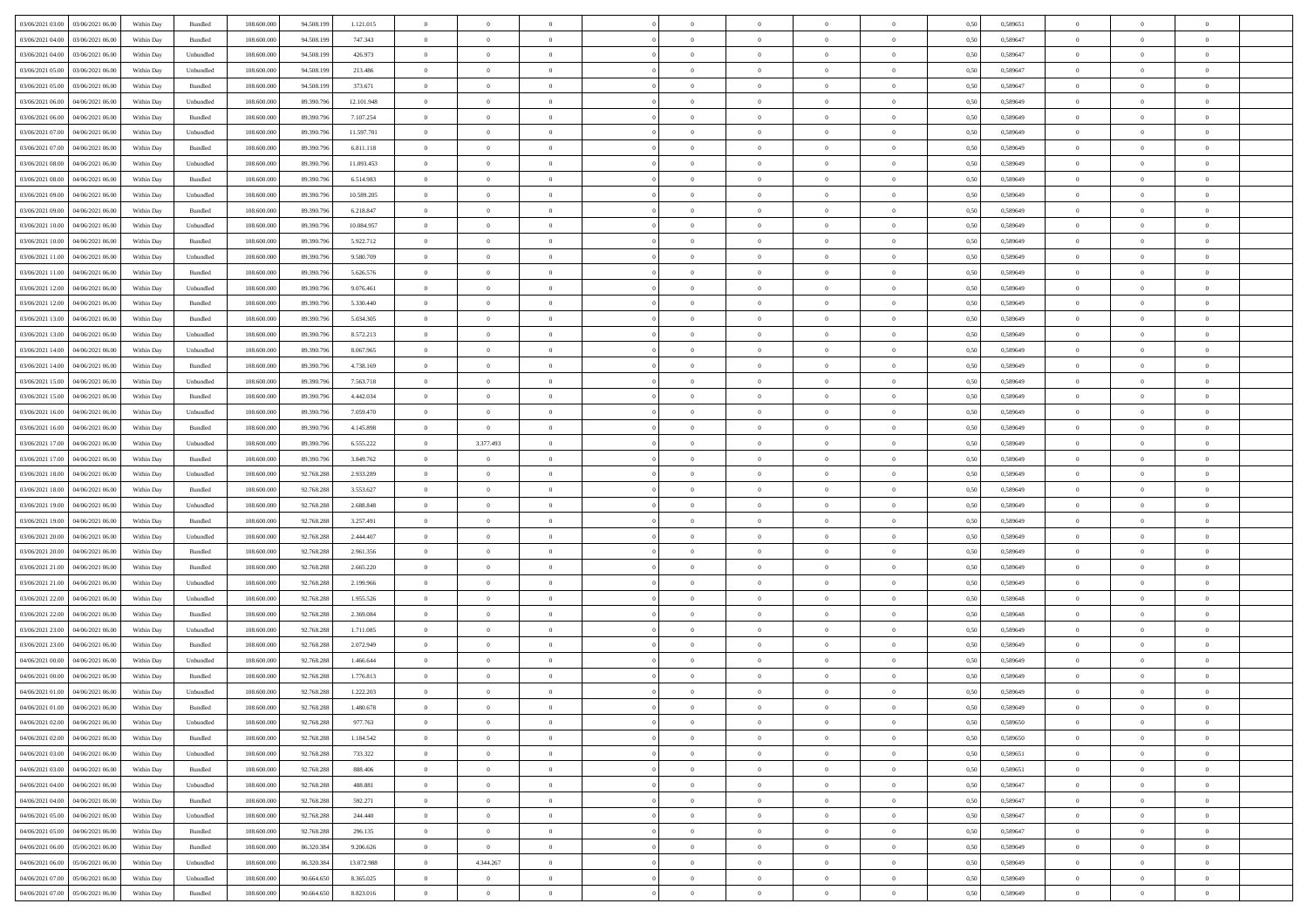| 03/06/2021 03:00 03/06/2021 06:00              | Within Day | Bundled   | 108.600.000 | 94.508.199 | 1.121.015  | $\overline{0}$ | $\overline{0}$ |                | $\overline{0}$ | $\bf{0}$       |                | $\bf{0}$       | 0,50 | 0,589651 | $\theta$       | $\theta$       | $\theta$       |  |
|------------------------------------------------|------------|-----------|-------------|------------|------------|----------------|----------------|----------------|----------------|----------------|----------------|----------------|------|----------|----------------|----------------|----------------|--|
| 03/06/2021 04:00<br>03/06/2021 06:00           | Within Day | Bundled   | 108.600.00  | 94.508.19  | 747.343    | $\bf{0}$       | $\bf{0}$       | $\bf{0}$       | $\overline{0}$ | $\overline{0}$ | $\overline{0}$ | $\bf{0}$       | 0,50 | 0,589647 | $\,$ 0 $\,$    | $\bf{0}$       | $\overline{0}$ |  |
| 03/06/2021 04:00<br>03/06/2021 06:00           | Within Day | Unbundled | 108,600,000 | 94.508.199 | 426.973    | $\overline{0}$ | $\bf{0}$       | $\overline{0}$ | $\bf{0}$       | $\bf{0}$       | $\overline{0}$ | $\bf{0}$       | 0.50 | 0.589647 | $\bf{0}$       | $\overline{0}$ | $\overline{0}$ |  |
| 03/06/2021 05:00<br>03/06/2021 06:00           | Within Day | Unbundled | 108.600.000 | 94.508.199 | 213.486    | $\overline{0}$ | $\overline{0}$ | $\overline{0}$ | $\theta$       | $\theta$       | $\overline{0}$ | $\bf{0}$       | 0,50 | 0,589647 | $\theta$       | $\theta$       | $\overline{0}$ |  |
|                                                |            |           |             |            |            |                |                |                |                |                |                |                |      |          |                |                |                |  |
| 03/06/2021 05:00<br>03/06/2021 06.00           | Within Day | Bundled   | 108.600.00  | 94.508.19  | 373.671    | $\bf{0}$       | $\overline{0}$ | $\bf{0}$       | $\overline{0}$ | $\theta$       | $\overline{0}$ | $\bf{0}$       | 0,50 | 0,589647 | $\,$ 0 $\,$    | $\bf{0}$       | $\overline{0}$ |  |
| 03/06/2021 06:00<br>04/06/2021 06:00           | Within Day | Unbundled | 108,600,000 | 89.390.79  | 12.101.948 | $\overline{0}$ | $\overline{0}$ | $\overline{0}$ | $\bf{0}$       | $\overline{0}$ | $\Omega$       | $\bf{0}$       | 0.50 | 0.589649 | $\bf{0}$       | $\theta$       | $\overline{0}$ |  |
| 03/06/2021 06:00<br>04/06/2021 06.00           | Within Day | Bundled   | 108.600.000 | 89.390.796 | 7.107.254  | $\overline{0}$ | $\overline{0}$ | $\overline{0}$ | $\overline{0}$ | $\overline{0}$ | $\overline{0}$ | $\bf{0}$       | 0,50 | 0,589649 | $\theta$       | $\theta$       | $\overline{0}$ |  |
| 03/06/2021 07:00<br>04/06/2021 06.00           | Within Day | Unbundled | 108.600.00  | 89.390.79  | 11.597.701 | $\overline{0}$ | $\overline{0}$ | $\bf{0}$       | $\overline{0}$ | $\theta$       | $\overline{0}$ | $\bf{0}$       | 0,50 | 0,589649 | $\,$ 0 $\,$    | $\bf{0}$       | $\overline{0}$ |  |
| 03/06/2021 07:00<br>04/06/2021 06:00           | Within Day | Bundled   | 108,600,000 | 89.390.79  | 6.811.118  | $\overline{0}$ | $\bf{0}$       | $\overline{0}$ | $\bf{0}$       | $\overline{0}$ | $\overline{0}$ | $\bf{0}$       | 0.50 | 0.589649 | $\bf{0}$       | $\overline{0}$ | $\overline{0}$ |  |
| 03/06/2021 08:00<br>04/06/2021 06:00           | Within Day | Unbundled | 108.600.000 | 89.390.796 | 11.093.453 | $\bf{0}$       | $\bf{0}$       | $\overline{0}$ | $\overline{0}$ | $\overline{0}$ | $\overline{0}$ | $\bf{0}$       | 0,50 | 0,589649 | $\,$ 0 $\,$    | $\bf{0}$       | $\overline{0}$ |  |
|                                                |            |           |             |            |            |                |                |                |                |                |                |                |      |          |                |                |                |  |
| 03/06/2021 08:00<br>04/06/2021 06.00           | Within Day | Bundled   | 108.600.00  | 89.390.79  | 6.514.983  | $\bf{0}$       | $\overline{0}$ | $\bf{0}$       | $\bf{0}$       | $\bf{0}$       | $\overline{0}$ | $\bf{0}$       | 0,50 | 0,589649 | $\,$ 0 $\,$    | $\bf{0}$       | $\overline{0}$ |  |
| 03/06/2021 09:00<br>04/06/2021 06:00           | Within Day | Unbundled | 108,600,000 | 89,390,796 | 10.589.205 | $\overline{0}$ | $\bf{0}$       | $\overline{0}$ | $\bf{0}$       | $\bf{0}$       | $\overline{0}$ | $\bf{0}$       | 0.50 | 0.589649 | $\bf{0}$       | $\overline{0}$ | $\bf{0}$       |  |
| 03/06/2021 09:00<br>04/06/2021 06:00           | Within Day | Bundled   | 108.600.000 | 89.390.796 | 6.218.847  | $\overline{0}$ | $\overline{0}$ | $\overline{0}$ | $\theta$       | $\theta$       | $\overline{0}$ | $\bf{0}$       | 0,50 | 0,589649 | $\,$ 0 $\,$    | $\theta$       | $\overline{0}$ |  |
| 03/06/2021 10:00<br>04/06/2021 06.00           | Within Day | Unbundled | 108.600.00  | 89.390.79  | 10.084.957 | $\bf{0}$       | $\overline{0}$ | $\bf{0}$       | $\overline{0}$ | $\theta$       | $\overline{0}$ | $\bf{0}$       | 0,50 | 0,589649 | $\bf{0}$       | $\bf{0}$       | $\overline{0}$ |  |
| 03/06/2021 10:00<br>04/06/2021 06:00           | Within Day | Bundled   | 108,600,000 | 89.390.79  | 5.922.712  | $\overline{0}$ | $\overline{0}$ | $\overline{0}$ | $\bf{0}$       | $\overline{0}$ | $\Omega$       | $\bf{0}$       | 0.50 | 0.589649 | $\theta$       | $\theta$       | $\overline{0}$ |  |
|                                                |            |           |             |            |            |                |                |                |                |                |                |                |      |          |                |                |                |  |
| 03/06/2021 11:00<br>04/06/2021 06:00           | Within Day | Unbundled | 108.600.000 | 89.390.796 | 9.580.709  | $\overline{0}$ | $\overline{0}$ | $\overline{0}$ | $\overline{0}$ | $\theta$       | $\overline{0}$ | $\bf{0}$       | 0,50 | 0,589649 | $\theta$       | $\theta$       | $\overline{0}$ |  |
| 03/06/2021 11:00<br>04/06/2021 06.00           | Within Day | Bundled   | 108.600.00  | 89.390.79  | 5.626.576  | $\bf{0}$       | $\overline{0}$ | $\bf{0}$       | $\overline{0}$ | $\theta$       | $\overline{0}$ | $\bf{0}$       | 0,50 | 0,589649 | $\,$ 0 $\,$    | $\bf{0}$       | $\overline{0}$ |  |
| 03/06/2021 12:00<br>04/06/2021 06:00           | Within Day | Unbundled | 108,600,000 | 89.390.79  | 9.076.461  | $\overline{0}$ | $\bf{0}$       | $\overline{0}$ | $\bf{0}$       | $\overline{0}$ | $\overline{0}$ | $\bf{0}$       | 0.50 | 0.589649 | $\bf{0}$       | $\overline{0}$ | $\overline{0}$ |  |
| 03/06/2021 12:00<br>04/06/2021 06.00           | Within Day | Bundled   | 108.600.000 | 89.390.796 | 5.330.440  | $\overline{0}$ | $\bf{0}$       | $\overline{0}$ | $\overline{0}$ | $\overline{0}$ | $\overline{0}$ | $\bf{0}$       | 0,50 | 0,589649 | $\,$ 0 $\,$    | $\bf{0}$       | $\overline{0}$ |  |
| 03/06/2021 13:00<br>04/06/2021 06.00           | Within Day | Bundled   | 108.600.00  | 89.390.79  | 5.034.305  | $\bf{0}$       | $\bf{0}$       | $\bf{0}$       | $\bf{0}$       | $\overline{0}$ | $\overline{0}$ | $\bf{0}$       | 0,50 | 0,589649 | $\,$ 0 $\,$    | $\bf{0}$       | $\overline{0}$ |  |
| 03/06/2021 13:00<br>04/06/2021 06:00           | Within Day | Unbundled | 108,600,000 | 89,390,796 | 8.572.213  | $\overline{0}$ | $\bf{0}$       | $\overline{0}$ | $\bf{0}$       | $\bf{0}$       | $\overline{0}$ | $\bf{0}$       | 0.50 | 0.589649 | $\bf{0}$       | $\overline{0}$ | $\overline{0}$ |  |
|                                                |            |           |             |            |            | $\overline{0}$ | $\overline{0}$ | $\overline{0}$ | $\theta$       | $\theta$       | $\overline{0}$ |                |      |          | $\theta$       | $\theta$       | $\overline{0}$ |  |
| 03/06/2021 14:00<br>04/06/2021 06:00           | Within Day | Unbundled | 108.600.000 | 89.390.796 | 8.067.965  |                |                |                |                |                |                | $\bf{0}$       | 0,50 | 0,589649 |                |                |                |  |
| 03/06/2021 14:00<br>04/06/2021 06.00           | Within Day | Bundled   | 108.600.00  | 89.390.79  | 4.738.169  | $\bf{0}$       | $\overline{0}$ | $\bf{0}$       | $\bf{0}$       | $\theta$       | $\overline{0}$ | $\bf{0}$       | 0,50 | 0,589649 | $\,$ 0 $\,$    | $\bf{0}$       | $\overline{0}$ |  |
| 03/06/2021 15:00<br>04/06/2021 06:00           | Within Day | Unbundled | 108,600,000 | 89.390.79  | 7.563.718  | $\overline{0}$ | $\overline{0}$ | $\overline{0}$ | $\overline{0}$ | $\overline{0}$ | $\Omega$       | $\bf{0}$       | 0.50 | 0.589649 | $\bf{0}$       | $\theta$       | $\overline{0}$ |  |
| 03/06/2021 15:00<br>04/06/2021 06.00           | Within Day | Bundled   | 108.600.000 | 89.390.796 | 4.442.034  | $\overline{0}$ | $\overline{0}$ | $\overline{0}$ | $\overline{0}$ | $\theta$       | $\overline{0}$ | $\bf{0}$       | 0,50 | 0,589649 | $\theta$       | $\theta$       | $\overline{0}$ |  |
| 03/06/2021 16:00<br>04/06/2021 06.00           | Within Day | Unbundled | 108.600.00  | 89.390.79  | 7.059.470  | $\bf{0}$       | $\overline{0}$ | $\bf{0}$       | $\overline{0}$ | $\theta$       | $\overline{0}$ | $\bf{0}$       | 0,50 | 0,589649 | $\,$ 0 $\,$    | $\bf{0}$       | $\overline{0}$ |  |
| 03/06/2021 16:00<br>04/06/2021 06:00           | Within Day | Bundled   | 108,600,000 | 89.390.79  | 4.145.898  | $\overline{0}$ | $\overline{0}$ | $\overline{0}$ | $\bf{0}$       | $\overline{0}$ | $\overline{0}$ | $\bf{0}$       | 0.50 | 0.589649 | $\bf{0}$       | $\overline{0}$ | $\overline{0}$ |  |
| 03/06/2021 17:00<br>04/06/2021 06:00           | Within Day | Unbundled | 108.600.000 | 89.390.796 | 6.555.222  | $\overline{0}$ | 3.377.493      | $\overline{0}$ | $\overline{0}$ | $\overline{0}$ | $\overline{0}$ | $\bf{0}$       | 0,50 | 0,589649 | $\theta$       | $\theta$       | $\overline{0}$ |  |
|                                                |            |           |             |            |            |                |                |                |                |                |                |                |      |          |                |                |                |  |
| 03/06/2021 17:00<br>04/06/2021 06.00           | Within Day | Bundled   | 108.600.00  | 89.390.79  | 3.849.762  | $\bf{0}$       | $\overline{0}$ | $\bf{0}$       | $\bf{0}$       | $\overline{0}$ | $\overline{0}$ | $\bf{0}$       | 0,50 | 0,589649 | $\,$ 0 $\,$    | $\bf{0}$       | $\overline{0}$ |  |
| 03/06/2021 18:00<br>04/06/2021 06:00           | Within Day | Unbundled | 108,600,000 | 92.768.288 | 2.933.289  | $\overline{0}$ | $\bf{0}$       | $\overline{0}$ | $\bf{0}$       | $\bf{0}$       | $\overline{0}$ | $\bf{0}$       | 0.50 | 0.589649 | $\bf{0}$       | $\overline{0}$ | $\overline{0}$ |  |
| 03/06/2021 18:00<br>04/06/2021 06:00           | Within Day | Bundled   | 108.600.000 | 92.768.288 | 3.553.627  | $\overline{0}$ | $\overline{0}$ | $\overline{0}$ | $\overline{0}$ | $\overline{0}$ | $\overline{0}$ | $\bf{0}$       | 0.50 | 0.589649 | $\theta$       | $\theta$       | $\overline{0}$ |  |
| 03/06/2021 19:00<br>04/06/2021 06.00           | Within Day | Unbundled | 108.600.00  | 92.768.288 | 2.688.848  | $\bf{0}$       | $\overline{0}$ | $\bf{0}$       | $\bf{0}$       | $\overline{0}$ | $\overline{0}$ | $\bf{0}$       | 0,50 | 0,589649 | $\,$ 0 $\,$    | $\bf{0}$       | $\overline{0}$ |  |
| 03/06/2021 19:00<br>04/06/2021 06:00           | Within Day | Bundled   | 108,600,000 | 92.768.288 | 3.257.491  | $\overline{0}$ | $\bf{0}$       | $\overline{0}$ | $\bf{0}$       | $\overline{0}$ | $\Omega$       | $\bf{0}$       | 0.50 | 0.589649 | $\,$ 0 $\,$    | $\theta$       | $\overline{0}$ |  |
| 03/06/2021 20:00<br>04/06/2021 06:00           | Within Dav | Unbundled | 108.600.000 | 92.768.288 | 2.444.407  | $\overline{0}$ | $\overline{0}$ | $\overline{0}$ | $\overline{0}$ | $\theta$       | $\overline{0}$ | $\overline{0}$ | 0.50 | 0.589649 | $\theta$       | $\theta$       | $\overline{0}$ |  |
|                                                |            |           |             |            |            | $\bf{0}$       | $\bf{0}$       | $\bf{0}$       | $\overline{0}$ | $\bf{0}$       | $\overline{0}$ |                |      |          | $\,$ 0 $\,$    | $\bf{0}$       | $\overline{0}$ |  |
| 03/06/2021 20:00<br>04/06/2021 06.00           | Within Day | Bundled   | 108.600.00  | 92.768.288 | 2.961.356  |                |                |                |                |                |                | $\bf{0}$       | 0,50 | 0,589649 |                |                |                |  |
| 03/06/2021 21:00<br>04/06/2021 06:00           | Within Day | Bundled   | 108,600,000 | 92.768.28  | 2.665.220  | $\overline{0}$ | $\bf{0}$       | $\overline{0}$ | $\bf{0}$       | $\overline{0}$ | $\overline{0}$ | $\bf{0}$       | 0.50 | 0.589649 | $\bf{0}$       | $\overline{0}$ | $\overline{0}$ |  |
| 03/06/2021 21:00<br>04/06/2021 06:00           | Within Dav | Unbundled | 108.600.000 | 92.768.288 | 2.199.966  | $\overline{0}$ | $\overline{0}$ | $\overline{0}$ | $\overline{0}$ | $\overline{0}$ | $\overline{0}$ | $\overline{0}$ | 0.50 | 0.589649 | $\theta$       | $\theta$       | $\overline{0}$ |  |
| 03/06/2021 22:00<br>04/06/2021 06.00           | Within Day | Unbundled | 108.600.00  | 92.768.288 | 1.955.526  | $\bf{0}$       | $\bf{0}$       | $\bf{0}$       | $\bf{0}$       | $\overline{0}$ | $\overline{0}$ | $\bf{0}$       | 0,50 | 0,589648 | $\,$ 0 $\,$    | $\bf{0}$       | $\overline{0}$ |  |
| 03/06/2021 22.00<br>04/06/2021 06:00           | Within Day | Bundled   | 108,600,000 | 92.768.288 | 2.369.084  | $\overline{0}$ | $\bf{0}$       | $\overline{0}$ | $\bf{0}$       | $\bf{0}$       | $\overline{0}$ | $\bf{0}$       | 0.50 | 0.589648 | $\bf{0}$       | $\overline{0}$ | $\overline{0}$ |  |
| 03/06/2021 23:00<br>04/06/2021 06:00           | Within Dav | Unbundled | 108.600.000 | 92.768.288 | 1.711.085  | $\overline{0}$ | $\overline{0}$ | $\overline{0}$ | $\overline{0}$ | $\theta$       | $\overline{0}$ | $\bf{0}$       | 0.50 | 0.589649 | $\theta$       | $\theta$       | $\overline{0}$ |  |
| 03/06/2021 23:00<br>04/06/2021 06.00           | Within Day | Bundled   | 108.600.00  | 92.768.288 | 2.072.949  | $\bf{0}$       | $\bf{0}$       | $\bf{0}$       | $\bf{0}$       | $\overline{0}$ | $\overline{0}$ | $\bf{0}$       | 0,50 | 0,589649 | $\,$ 0 $\,$    | $\bf{0}$       | $\overline{0}$ |  |
|                                                |            |           |             |            |            |                |                |                |                |                |                |                |      |          |                |                |                |  |
| 04/06/2021 00:00<br>04/06/2021 06:00           | Within Day | Unbundled | 108,600,000 | 92.768.288 | 1.466.644  | $\overline{0}$ | $\overline{0}$ | $\overline{0}$ | $\overline{0}$ | $\bf{0}$       | $\Omega$       | $\bf{0}$       | 0.50 | 0.589649 | $\,$ 0 $\,$    | $\theta$       | $\overline{0}$ |  |
| 04/06/2021 00:00<br>04/06/2021 06:00           | Within Dav | Bundled   | 108.600.000 | 92.768.28  | 1.776.813  | $\overline{0}$ | $\overline{0}$ | $\Omega$       | $\overline{0}$ | $\theta$       | $\Omega$       | $\overline{0}$ | 0.5( | 0.589649 | $\theta$       | $\theta$       | $\overline{0}$ |  |
| 04/06/2021 01:00<br>04/06/2021 06:00           | Within Day | Unbundled | 108.600.00  | 92.768.288 | 1.222.203  | $\bf{0}$       | $\bf{0}$       | $\overline{0}$ | $\bf{0}$       | $\bf{0}$       | $\overline{0}$ | $\bf{0}$       | 0,50 | 0,589649 | $\,$ 0 $\,$    | $\bf{0}$       | $\overline{0}$ |  |
| $04/06/2021\; 01.00 \qquad 04/06/2021\; 06.00$ | Within Day | Bundled   | 108.600.000 | 92.768.288 | 1480.678   | $\bf{0}$       | $\Omega$       |                | $\Omega$       |                |                |                | 0,50 | 0.589649 | $\theta$       | $\overline{0}$ |                |  |
| 04/06/2021 02:00 04/06/2021 06:00              | Within Day | Unbundled | 108.600.000 | 92.768.288 | 977.763    | $\overline{0}$ | $\overline{0}$ | $\overline{0}$ | $\theta$       | $\overline{0}$ | $\overline{0}$ | $\bf{0}$       | 0,50 | 0,589650 | $\theta$       | $\overline{0}$ | $\overline{0}$ |  |
| 04/06/2021 02:00<br>04/06/2021 06:00           | Within Day | Bundled   | 108.600.00  | 92.768.288 | 1.184.542  | $\overline{0}$ | $\bf{0}$       | $\overline{0}$ | $\overline{0}$ | $\bf{0}$       | $\overline{0}$ | $\bf{0}$       | 0,50 | 0,589650 | $\bf{0}$       | $\overline{0}$ | $\bf{0}$       |  |
| 04/06/2021 03:00 04/06/2021 06:00              | Within Day | Unbundled | 108,600,000 | 92.768.288 | 733.322    | $\overline{0}$ | $\overline{0}$ | $\overline{0}$ | $\overline{0}$ | $\mathbf{0}$   | $\overline{0}$ | $\,$ 0 $\,$    | 0.50 | 0.589651 | $\overline{0}$ | $\bf{0}$       | $\,$ 0 $\,$    |  |
|                                                |            |           |             |            |            |                |                |                |                |                |                |                |      |          |                |                |                |  |
| 04/06/2021 03:00 04/06/2021 06:00              | Within Day | Bundled   | 108.600.000 | 92.768.288 | 888,406    | $\overline{0}$ | $\overline{0}$ | $\overline{0}$ | $\overline{0}$ | $\overline{0}$ | $\overline{0}$ | $\bf{0}$       | 0,50 | 0,589651 | $\overline{0}$ | $\theta$       | $\overline{0}$ |  |
| 04/06/2021 04:00<br>04/06/2021 06:00           | Within Day | Unbundled | 108.600.000 | 92.768.288 | 488.881    | $\overline{0}$ | $\bf{0}$       | $\overline{0}$ | $\overline{0}$ | $\bf{0}$       | $\overline{0}$ | $\bf{0}$       | 0,50 | 0,589647 | $\bf{0}$       | $\overline{0}$ | $\overline{0}$ |  |
| 04/06/2021 06:00<br>04/06/2021 04:00           | Within Day | Bundled   | 108,600,000 | 92.768.288 | 592.271    | $\overline{0}$ | $\bf{0}$       | $\overline{0}$ | $\overline{0}$ | $\bf{0}$       | $\overline{0}$ | $\bf{0}$       | 0.50 | 0.589647 | $\,$ 0 $\,$    | $\overline{0}$ | $\overline{0}$ |  |
| 04/06/2021 05:00<br>04/06/2021 06:00           | Within Dav | Unbundled | 108.600.000 | 92.768.288 | 244,440    | $\overline{0}$ | $\overline{0}$ | $\overline{0}$ | $\overline{0}$ | $\overline{0}$ | $\overline{0}$ | $\bf{0}$       | 0.50 | 0,589647 | $\overline{0}$ | $\theta$       | $\overline{0}$ |  |
| 04/06/2021 05:00<br>04/06/2021 06:00           | Within Day | Bundled   | 108.600.00  | 92.768.288 | 296.135    | $\overline{0}$ | $\overline{0}$ | $\overline{0}$ | $\overline{0}$ | $\overline{0}$ | $\overline{0}$ | $\bf{0}$       | 0,50 | 0,589647 | $\bf{0}$       | $\overline{0}$ | $\,$ 0         |  |
| 04/06/2021 06:00 05/06/2021 06:00              | Within Day | Bundled   | 108,600,000 | 86,320,384 | 9.206.626  | $\overline{0}$ | $\overline{0}$ | $\overline{0}$ | $\overline{0}$ | $\overline{0}$ | $\overline{0}$ | $\bf{0}$       | 0.50 | 0.589649 | $\mathbf{0}$   | $\bf{0}$       | $\,$ 0         |  |
|                                                |            |           |             |            |            |                |                |                |                |                |                |                |      |          |                |                |                |  |
| 04/06/2021 06:00 05/06/2021 06:00              | Within Dav | Unbundled | 108.600.000 | 86.320.384 | 13.072.988 | $\overline{0}$ | 4.344.267      | $\overline{0}$ | $\overline{0}$ | $\overline{0}$ | $\overline{0}$ | $\bf{0}$       | 0,50 | 0.589649 | $\overline{0}$ | $\theta$       | $\overline{0}$ |  |
| 04/06/2021 07:00<br>05/06/2021 06:00           | Within Day | Unbundled | 108.600.00  | 90.664.650 | 8.365.025  | $\overline{0}$ | $\bf{0}$       | $\overline{0}$ | $\overline{0}$ | $\overline{0}$ | $\overline{0}$ | $\bf{0}$       | 0,50 | 0,589649 | $\bf{0}$       | $\overline{0}$ | $\bf{0}$       |  |
| 04/06/2021 07:00 05/06/2021 06:00              | Within Day | Bundled   | 108.600.000 | 90.664.650 | 8.823.016  | $\overline{0}$ | $\bf{0}$       | $\overline{0}$ | $\overline{0}$ | $\,$ 0 $\,$    | $\overline{0}$ | $\,$ 0 $\,$    | 0,50 | 0,589649 | $\overline{0}$ | $\,$ 0 $\,$    | $\,$ 0 $\,$    |  |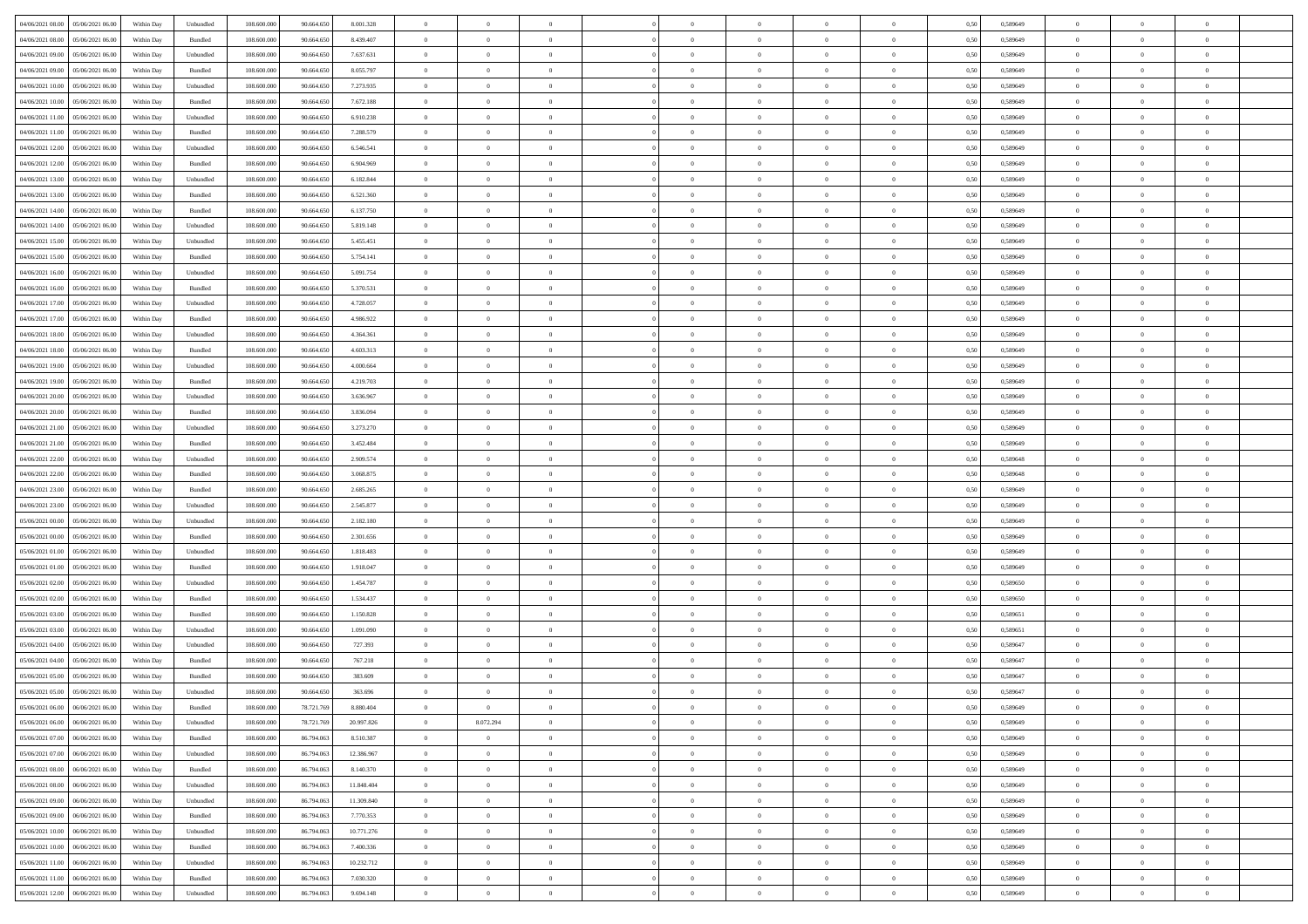| 04/06/2021 08:00 05/06/2021 06:00    | Within Day | Unbundled | 108.600.000 | 90.664.650 | 8.001.328  | $\overline{0}$ | $\overline{0}$ |                | $\overline{0}$ | $\bf{0}$       |                | $\bf{0}$       | 0,50 | 0,589649 | $\theta$       | $\theta$       | $\overline{0}$ |  |
|--------------------------------------|------------|-----------|-------------|------------|------------|----------------|----------------|----------------|----------------|----------------|----------------|----------------|------|----------|----------------|----------------|----------------|--|
| 04/06/2021 08:00<br>05/06/2021 06:00 | Within Day | Bundled   | 108.600.00  | 90.664.65  | 8.439.407  | $\bf{0}$       | $\overline{0}$ | $\bf{0}$       | $\overline{0}$ | $\overline{0}$ | $\overline{0}$ | $\bf{0}$       | 0,50 | 0,589649 | $\,$ 0 $\,$    | $\bf{0}$       | $\overline{0}$ |  |
| 04/06/2021 09:00<br>05/06/2021 06:00 | Within Day | Unbundled | 108,600,000 | 90.664.650 | 7.637.631  | $\overline{0}$ | $\bf{0}$       | $\overline{0}$ | $\bf{0}$       | $\bf{0}$       | $\overline{0}$ | $\bf{0}$       | 0.50 | 0.589649 | $\bf{0}$       | $\overline{0}$ | $\overline{0}$ |  |
|                                      |            |           |             |            |            | $\overline{0}$ | $\overline{0}$ | $\overline{0}$ | $\theta$       | $\theta$       | $\overline{0}$ |                |      |          | $\theta$       | $\theta$       | $\overline{0}$ |  |
| 04/06/2021 09:00<br>05/06/2021 06:00 | Within Day | Bundled   | 108.600.000 | 90.664.650 | 8.055.797  |                |                |                |                |                |                | $\bf{0}$       | 0,50 | 0,589649 |                |                |                |  |
| 04/06/2021 10:00<br>05/06/2021 06.00 | Within Day | Unbundled | 108.600.00  | 90.664.65  | 7.273.935  | $\overline{0}$ | $\overline{0}$ | $\bf{0}$       | $\overline{0}$ | $\theta$       | $\overline{0}$ | $\bf{0}$       | 0,50 | 0,589649 | $\,$ 0 $\,$    | $\bf{0}$       | $\overline{0}$ |  |
| 04/06/2021 10:00<br>05/06/2021 06:00 | Within Day | Bundled   | 108,600,000 | 90.664.650 | 7.672.188  | $\overline{0}$ | $\overline{0}$ | $\overline{0}$ | $\bf{0}$       | $\overline{0}$ | $\Omega$       | $\bf{0}$       | 0.50 | 0.589649 | $\theta$       | $\theta$       | $\overline{0}$ |  |
| 04/06/2021 11:00<br>05/06/2021 06:00 | Within Day | Unbundled | 108.600.000 | 90.664.650 | 6.910.238  | $\overline{0}$ | $\overline{0}$ | $\overline{0}$ | $\overline{0}$ | $\theta$       | $\overline{0}$ | $\bf{0}$       | 0,50 | 0,589649 | $\theta$       | $\theta$       | $\overline{0}$ |  |
| 05/06/2021 06.00                     | Within Day | Bundled   | 108.600.00  | 90.664.65  | 7.288.579  | $\overline{0}$ | $\overline{0}$ | $\bf{0}$       | $\overline{0}$ | $\theta$       | $\overline{0}$ | $\bf{0}$       | 0,50 | 0,589649 | $\,$ 0 $\,$    | $\bf{0}$       | $\overline{0}$ |  |
| 04/06/2021 11:00                     |            |           |             |            |            |                |                |                |                |                |                |                |      |          |                |                |                |  |
| 04/06/2021 12:00<br>05/06/2021 06:00 | Within Day | Unbundled | 108,600,000 | 90.664.650 | 6.546.541  | $\overline{0}$ | $\bf{0}$       | $\overline{0}$ | $\bf{0}$       | $\overline{0}$ | $\overline{0}$ | $\bf{0}$       | 0.50 | 0.589649 | $\bf{0}$       | $\overline{0}$ | $\overline{0}$ |  |
| 04/06/2021 12:00<br>05/06/2021 06:00 | Within Day | Bundled   | 108.600.000 | 90.664.650 | 6.904.969  | $\overline{0}$ | $\bf{0}$       | $\overline{0}$ | $\overline{0}$ | $\theta$       | $\overline{0}$ | $\bf{0}$       | 0,50 | 0,589649 | $\,$ 0 $\,$    | $\bf{0}$       | $\overline{0}$ |  |
| 04/06/2021 13:00<br>05/06/2021 06.00 | Within Day | Unbundled | 108.600.00  | 90.664.65  | 6.182.844  | $\bf{0}$       | $\overline{0}$ | $\bf{0}$       | $\overline{0}$ | $\bf{0}$       | $\overline{0}$ | $\bf{0}$       | 0,50 | 0,589649 | $\,$ 0 $\,$    | $\bf{0}$       | $\overline{0}$ |  |
| 04/06/2021 13:00<br>05/06/2021 06:00 | Within Day | Bundled   | 108,600,000 | 90.664.650 | 6.521.360  | $\overline{0}$ | $\bf{0}$       | $\overline{0}$ | $\bf{0}$       | $\bf{0}$       | $\overline{0}$ | $\bf{0}$       | 0.50 | 0.589649 | $\bf{0}$       | $\overline{0}$ | $\overline{0}$ |  |
|                                      |            |           |             |            |            | $\overline{0}$ |                |                |                |                |                |                |      |          | $\theta$       | $\theta$       |                |  |
| 04/06/2021 14:00<br>05/06/2021 06:00 | Within Day | Bundled   | 108.600.000 | 90.664.650 | 6.137.750  |                | $\overline{0}$ | $\overline{0}$ | $\overline{0}$ | $\theta$       | $\overline{0}$ | $\bf{0}$       | 0,50 | 0,589649 |                |                | $\overline{0}$ |  |
| 04/06/2021 14:00<br>05/06/2021 06.00 | Within Day | Unbundled | 108.600.00  | 90.664.65  | 5.819.148  | $\bf{0}$       | $\overline{0}$ | $\bf{0}$       | $\overline{0}$ | $\theta$       | $\overline{0}$ | $\bf{0}$       | 0,50 | 0,589649 | $\bf{0}$       | $\bf{0}$       | $\overline{0}$ |  |
| 04/06/2021 15:00<br>05/06/2021 06:00 | Within Day | Unbundled | 108,600,000 | 90.664.650 | 5.455.451  | $\overline{0}$ | $\overline{0}$ | $\overline{0}$ | $\bf{0}$       | $\overline{0}$ | $\Omega$       | $\bf{0}$       | 0.50 | 0.589649 | $\theta$       | $\theta$       | $\overline{0}$ |  |
| 04/06/2021 15:00<br>05/06/2021 06:00 | Within Day | Bundled   | 108.600.000 | 90.664.650 | 5.754.141  | $\overline{0}$ | $\overline{0}$ | $\overline{0}$ | $\overline{0}$ | $\theta$       | $\overline{0}$ | $\bf{0}$       | 0,50 | 0,589649 | $\theta$       | $\theta$       | $\overline{0}$ |  |
| 04/06/2021 16:00<br>05/06/2021 06.00 | Within Day | Unbundled | 108.600.00  | 90.664.650 | 5.091.754  | $\bf{0}$       | $\overline{0}$ | $\bf{0}$       | $\overline{0}$ | $\theta$       | $\overline{0}$ | $\bf{0}$       | 0,50 | 0,589649 | $\,$ 0 $\,$    | $\bf{0}$       | $\overline{0}$ |  |
|                                      |            |           |             |            |            |                |                |                |                |                |                |                |      |          |                |                |                |  |
| 04/06/2021 16:00<br>05/06/2021 06:00 | Within Day | Bundled   | 108,600,000 | 90.664.650 | 5.370.531  | $\overline{0}$ | $\bf{0}$       | $\overline{0}$ | $\bf{0}$       | $\overline{0}$ | $\overline{0}$ | $\bf{0}$       | 0.50 | 0.589649 | $\bf{0}$       | $\overline{0}$ | $\overline{0}$ |  |
| 04/06/2021 17:00<br>05/06/2021 06:00 | Within Day | Unbundled | 108.600.000 | 90.664.650 | 4.728.057  | $\overline{0}$ | $\bf{0}$       | $\overline{0}$ | $\overline{0}$ | $\overline{0}$ | $\overline{0}$ | $\bf{0}$       | 0,50 | 0,589649 | $\,$ 0 $\,$    | $\theta$       | $\overline{0}$ |  |
| 04/06/2021 17:00<br>05/06/2021 06.00 | Within Day | Bundled   | 108.600.00  | 90.664.65  | 4.986.922  | $\bf{0}$       | $\bf{0}$       | $\bf{0}$       | $\bf{0}$       | $\overline{0}$ | $\overline{0}$ | $\bf{0}$       | 0,50 | 0,589649 | $\,$ 0 $\,$    | $\bf{0}$       | $\overline{0}$ |  |
| 04/06/2021 18:00<br>05/06/2021 06:00 | Within Day | Unbundled | 108,600,000 | 90.664.650 | 4.364.361  | $\overline{0}$ | $\bf{0}$       | $\overline{0}$ | $\bf{0}$       | $\bf{0}$       | $\overline{0}$ | $\bf{0}$       | 0.50 | 0.589649 | $\bf{0}$       | $\overline{0}$ | $\overline{0}$ |  |
| 04/06/2021 18:00<br>05/06/2021 06:00 | Within Day | Bundled   | 108.600.000 | 90.664.650 | 4.603.313  | $\overline{0}$ | $\overline{0}$ | $\overline{0}$ | $\theta$       | $\theta$       | $\overline{0}$ | $\bf{0}$       | 0,50 | 0,589649 | $\theta$       | $\theta$       | $\overline{0}$ |  |
|                                      |            |           |             |            |            |                |                |                |                |                |                |                |      |          |                |                |                |  |
| 04/06/2021 19:00<br>05/06/2021 06.00 | Within Day | Unbundled | 108.600.00  | 90.664.65  | 4.000.664  | $\bf{0}$       | $\overline{0}$ | $\bf{0}$       | $\overline{0}$ | $\theta$       | $\overline{0}$ | $\bf{0}$       | 0,50 | 0,589649 | $\,$ 0 $\,$    | $\bf{0}$       | $\overline{0}$ |  |
| 04/06/2021 19:00<br>05/06/2021 06:00 | Within Day | Bundled   | 108,600,000 | 90.664.650 | 4.219.703  | $\overline{0}$ | $\overline{0}$ | $\overline{0}$ | $\overline{0}$ | $\overline{0}$ | $\Omega$       | $\bf{0}$       | 0.50 | 0.589649 | $\bf{0}$       | $\theta$       | $\overline{0}$ |  |
| 04/06/2021 20:00<br>05/06/2021 06:00 | Within Day | Unbundled | 108.600.000 | 90.664.650 | 3.636.967  | $\overline{0}$ | $\overline{0}$ | $\overline{0}$ | $\overline{0}$ | $\theta$       | $\overline{0}$ | $\bf{0}$       | 0,50 | 0,589649 | $\theta$       | $\theta$       | $\overline{0}$ |  |
| 04/06/2021 20:00<br>05/06/2021 06.00 | Within Day | Bundled   | 108.600.00  | 90.664.65  | 3.836.094  | $\bf{0}$       | $\overline{0}$ | $\bf{0}$       | $\overline{0}$ | $\theta$       | $\overline{0}$ | $\bf{0}$       | 0,50 | 0,589649 | $\,$ 0 $\,$    | $\bf{0}$       | $\overline{0}$ |  |
| 05/06/2021 06:00                     |            | Unbundled | 108 600 000 | 90.664.650 |            |                | $\bf{0}$       | $\overline{0}$ |                | $\overline{0}$ | $\overline{0}$ |                | 0.50 | 0.589649 | $\bf{0}$       | $\overline{0}$ | $\overline{0}$ |  |
| 04/06/2021 21:00                     | Within Day |           |             |            | 3.273.270  | $\overline{0}$ |                |                | $\bf{0}$       |                |                | $\bf{0}$       |      |          |                |                |                |  |
| 04/06/2021 21:00<br>05/06/2021 06:00 | Within Day | Bundled   | 108.600.000 | 90.664.650 | 3.452.484  | $\overline{0}$ | $\overline{0}$ | $\overline{0}$ | $\overline{0}$ | $\overline{0}$ | $\overline{0}$ | $\bf{0}$       | 0,50 | 0,589649 | $\theta$       | $\theta$       | $\overline{0}$ |  |
| 04/06/2021 22.00<br>05/06/2021 06.00 | Within Day | Unbundled | 108.600.00  | 90.664.650 | 2.909.574  | $\bf{0}$       | $\bf{0}$       | $\bf{0}$       | $\bf{0}$       | $\overline{0}$ | $\overline{0}$ | $\bf{0}$       | 0,50 | 0,589648 | $\,$ 0 $\,$    | $\bf{0}$       | $\overline{0}$ |  |
| 04/06/2021 22:00<br>05/06/2021 06:00 | Within Day | Bundled   | 108,600,000 | 90.664.650 | 3.068.875  | $\overline{0}$ | $\bf{0}$       | $\overline{0}$ | $\bf{0}$       | $\bf{0}$       | $\overline{0}$ | $\bf{0}$       | 0.50 | 0.589648 | $\bf{0}$       | $\overline{0}$ | $\overline{0}$ |  |
| 04/06/2021 23:00<br>05/06/2021 06:00 | Within Day | Bundled   | 108.600.000 | 90.664.650 | 2.685.265  | $\overline{0}$ | $\overline{0}$ | $\overline{0}$ | $\overline{0}$ | $\overline{0}$ | $\overline{0}$ | $\bf{0}$       | 0.50 | 0.589649 | $\theta$       | $\theta$       | $\overline{0}$ |  |
|                                      |            |           |             |            |            |                | $\overline{0}$ |                | $\overline{0}$ | $\overline{0}$ | $\overline{0}$ |                |      |          | $\,$ 0 $\,$    | $\bf{0}$       | $\overline{0}$ |  |
| 04/06/2021 23:00<br>05/06/2021 06.00 | Within Day | Unbundled | 108.600.00  | 90.664.65  | 2.545.877  | $\bf{0}$       |                | $\bf{0}$       |                |                |                | $\bf{0}$       | 0,50 | 0,589649 |                |                |                |  |
| 05/06/2021 00:00<br>05/06/2021 06:00 | Within Day | Unbundled | 108,600,000 | 90.664.650 | 2.182.180  | $\overline{0}$ | $\bf{0}$       | $\overline{0}$ | $\bf{0}$       | $\theta$       | $\Omega$       | $\bf{0}$       | 0.50 | 0.589649 | $\,$ 0 $\,$    | $\theta$       | $\overline{0}$ |  |
| 05/06/2021 00:00<br>05/06/2021 06:00 | Within Dav | Bundled   | 108.600.000 | 90.664.650 | 2.301.656  | $\overline{0}$ | $\overline{0}$ | $\overline{0}$ | $\overline{0}$ | $\theta$       | $\overline{0}$ | $\overline{0}$ | 0.50 | 0.589649 | $\theta$       | $\theta$       | $\overline{0}$ |  |
| 05/06/2021 01:00<br>05/06/2021 06.00 | Within Day | Unbundled | 108.600.00  | 90.664.650 | 1.818.483  | $\bf{0}$       | $\bf{0}$       | $\bf{0}$       | $\overline{0}$ | $\bf{0}$       | $\overline{0}$ | $\bf{0}$       | 0,50 | 0,589649 | $\,$ 0 $\,$    | $\bf{0}$       | $\overline{0}$ |  |
| 05/06/2021 01:00<br>05/06/2021 06:00 | Within Day | Bundled   | 108,600,000 | 90.664.650 | 1.918.047  | $\overline{0}$ | $\bf{0}$       | $\overline{0}$ | $\bf{0}$       | $\overline{0}$ | $\overline{0}$ | $\bf{0}$       | 0.50 | 0.589649 | $\bf{0}$       | $\overline{0}$ | $\overline{0}$ |  |
| 05/06/2021 02:00<br>05/06/2021 06:00 | Within Dav | Unbundled | 108.600.000 | 90.664.650 | 1.454.787  | $\overline{0}$ | $\overline{0}$ | $\overline{0}$ | $\overline{0}$ | $\overline{0}$ | $\overline{0}$ | $\overline{0}$ | 0.50 | 0.589650 | $\theta$       | $\theta$       | $\overline{0}$ |  |
|                                      |            |           |             |            |            |                |                |                |                |                |                |                |      |          |                |                |                |  |
| 05/06/2021 02:00<br>05/06/2021 06.00 | Within Day | Bundled   | 108.600.00  | 90.664.65  | 1.534.437  | $\bf{0}$       | $\bf{0}$       | $\bf{0}$       | $\bf{0}$       | $\overline{0}$ | $\overline{0}$ | $\bf{0}$       | 0,50 | 0,589650 | $\,$ 0 $\,$    | $\bf{0}$       | $\overline{0}$ |  |
| 05/06/2021 03:00<br>05/06/2021 06:00 | Within Day | Bundled   | 108,600,000 | 90.664.650 | 1.150.828  | $\overline{0}$ | $\bf{0}$       | $\overline{0}$ | $\bf{0}$       | $\bf{0}$       | $\overline{0}$ | $\bf{0}$       | 0.50 | 0.589651 | $\bf{0}$       | $\overline{0}$ | $\overline{0}$ |  |
| 05/06/2021 03:00<br>05/06/2021 06:00 | Within Dav | Unbundled | 108.600.000 | 90.664.650 | 1.091.090  | $\overline{0}$ | $\overline{0}$ | $\overline{0}$ | $\overline{0}$ | $\theta$       | $\overline{0}$ | $\bf{0}$       | 0.50 | 0.589651 | $\theta$       | $\theta$       | $\overline{0}$ |  |
| 05/06/2021 04:00<br>05/06/2021 06.00 | Within Day | Unbundled | 108.600.00  | 90.664.65  | 727.393    | $\bf{0}$       | $\bf{0}$       | $\bf{0}$       | $\bf{0}$       | $\overline{0}$ | $\overline{0}$ | $\bf{0}$       | 0,50 | 0,589647 | $\,$ 0 $\,$    | $\bf{0}$       | $\overline{0}$ |  |
| 05/06/2021 04:00<br>05/06/2021 06:00 | Within Day | Bundled   | 108,600,000 | 90.664.650 | 767.218    | $\overline{0}$ | $\overline{0}$ | $\overline{0}$ | $\overline{0}$ | $\bf{0}$       | $\theta$       | $\bf{0}$       | 0.50 | 0.589647 | $\bf{0}$       | $\theta$       | $\overline{0}$ |  |
|                                      |            |           |             |            |            |                |                |                |                |                |                |                |      |          |                |                |                |  |
| 05/06/2021 05:00<br>05/06/2021 06:00 | Within Dav | Bundled   | 108.600.000 | 90.664.650 | 383.609    | $\overline{0}$ | $\overline{0}$ | $\Omega$       | $\overline{0}$ | $\theta$       | $\Omega$       | $\overline{0}$ | 0.5( | 0.589647 | $\theta$       | $\theta$       | $\overline{0}$ |  |
| 05/06/2021 05:00<br>05/06/2021 06:00 | Within Day | Unbundled | 108.600.00  | 90.664.650 | 363.696    | $\bf{0}$       | $\bf{0}$       | $\overline{0}$ | $\bf{0}$       | $\bf{0}$       | $\overline{0}$ | $\bf{0}$       | 0,50 | 0,589647 | $\overline{0}$ | $\bf{0}$       | $\overline{0}$ |  |
|                                      | Within Day | Bundled   | 108.600.000 | 78.721.769 | 8 880 404  | $\overline{0}$ |                |                | $\Omega$       |                |                |                | 0,50 | 0.589649 | $\theta$       | $\overline{0}$ |                |  |
| 05/06/2021 06:00 06/06/2021 06:00    | Within Day | Unbundled | 108.600.000 | 78.721.769 | 20.997.826 | $\overline{0}$ | 8.072.294      | $\overline{0}$ | $\theta$       | $\overline{0}$ | $\overline{0}$ | $\bf{0}$       | 0,50 | 0,589649 | $\theta$       | $\overline{0}$ | $\overline{0}$ |  |
| 05/06/2021 07:00<br>06/06/2021 06:00 | Within Day | Bundled   | 108.600.00  | 86.794.063 | 8.510.387  | $\overline{0}$ | $\bf{0}$       | $\overline{0}$ | $\overline{0}$ | $\bf{0}$       | $\overline{0}$ | $\bf{0}$       | 0,50 | 0,589649 | $\bf{0}$       | $\overline{0}$ | $\bf{0}$       |  |
|                                      |            |           |             |            |            |                |                |                |                |                |                |                |      |          |                |                |                |  |
| 05/06/2021 07:00   06/06/2021 06:00  | Within Day | Unbundled | 108,600,000 | 86,794,063 | 12.386.967 | $\overline{0}$ | $\overline{0}$ | $\overline{0}$ | $\overline{0}$ | $\mathbf{0}$   | $\overline{0}$ | $\,$ 0 $\,$    | 0.50 | 0.589649 | $\overline{0}$ | $\bf{0}$       | $\,$ 0 $\,$    |  |
| 05/06/2021 08:00   06/06/2021 06:00  | Within Dav | Bundled   | 108.600.000 | 86.794.063 | 8.140.370  | $\overline{0}$ | $\overline{0}$ | $\overline{0}$ | $\overline{0}$ | $\overline{0}$ | $\overline{0}$ | $\bf{0}$       | 0,50 | 0.589649 | $\theta$       | $\theta$       | $\overline{0}$ |  |
| 05/06/2021 08:00<br>06/06/2021 06:00 | Within Day | Unbundled | 108.600.000 | 86.794.063 | 11.848.404 | $\overline{0}$ | $\bf{0}$       | $\overline{0}$ | $\overline{0}$ | $\bf{0}$       | $\overline{0}$ | $\bf{0}$       | 0,50 | 0,589649 | $\bf{0}$       | $\overline{0}$ | $\overline{0}$ |  |
| 05/06/2021 09:00<br>06/06/2021 06:00 | Within Day | Unbundled | 108,600,000 | 86,794,063 | 11.309.840 | $\overline{0}$ | $\bf{0}$       | $\overline{0}$ | $\overline{0}$ | $\overline{0}$ | $\overline{0}$ | $\bf{0}$       | 0.50 | 0.589649 | $\,$ 0 $\,$    | $\theta$       | $\,$ 0         |  |
| 05/06/2021 09:00<br>06/06/2021 06:00 | Within Dav | Bundled   | 108.600.000 | 86.794.063 | 7.770.353  | $\overline{0}$ | $\overline{0}$ | $\overline{0}$ | $\overline{0}$ | $\overline{0}$ | $\overline{0}$ | $\bf{0}$       | 0,50 | 0.589649 | $\overline{0}$ | $\theta$       | $\overline{0}$ |  |
|                                      |            |           |             |            |            |                |                |                |                |                |                |                |      |          |                |                |                |  |
| 05/06/2021 10:00<br>06/06/2021 06:00 | Within Day | Unbundled | 108.600.00  | 86.794.063 | 10.771.276 | $\overline{0}$ | $\overline{0}$ | $\overline{0}$ | $\overline{0}$ | $\overline{0}$ | $\overline{0}$ | $\bf{0}$       | 0,50 | 0,589649 | $\bf{0}$       | $\overline{0}$ | $\,$ 0         |  |
| 05/06/2021 10:00 06/06/2021 06:00    | Within Day | Bundled   | 108,600,000 | 86,794,063 | 7.400.336  | $\overline{0}$ | $\overline{0}$ | $\overline{0}$ | $\overline{0}$ | $\overline{0}$ | $\overline{0}$ | $\bf{0}$       | 0.50 | 0.589649 | $\mathbf{0}$   | $\bf{0}$       | $\,$ 0         |  |
| 05/06/2021 11:00   06/06/2021 06:00  | Within Dav | Unbundled | 108.600.000 | 86.794.063 | 10.232.712 | $\overline{0}$ | $\overline{0}$ | $\overline{0}$ | $\overline{0}$ | $\overline{0}$ | $\overline{0}$ | $\bf{0}$       | 0,50 | 0.589649 | $\overline{0}$ | $\theta$       | $\overline{0}$ |  |
| 05/06/2021 11:00<br>06/06/2021 06:00 | Within Day | Bundled   | 108.600.00  | 86.794.063 | 7.030.320  | $\overline{0}$ | $\bf{0}$       | $\overline{0}$ | $\bf{0}$       | $\overline{0}$ | $\overline{0}$ | $\bf{0}$       | 0,50 | 0,589649 | $\bf{0}$       | $\bf{0}$       | $\bf{0}$       |  |
|                                      |            |           |             |            |            |                |                |                |                |                |                |                |      |          |                |                |                |  |
| 05/06/2021 12:00 06/06/2021 06:00    | Within Day | Unbundled | 108.600.000 | 86.794.063 | 9.694.148  | $\overline{0}$ | $\bf{0}$       | $\overline{0}$ | $\overline{0}$ | $\,$ 0 $\,$    | $\overline{0}$ | $\bf{0}$       | 0,50 | 0,589649 | $\overline{0}$ | $\,$ 0 $\,$    | $\,$ 0 $\,$    |  |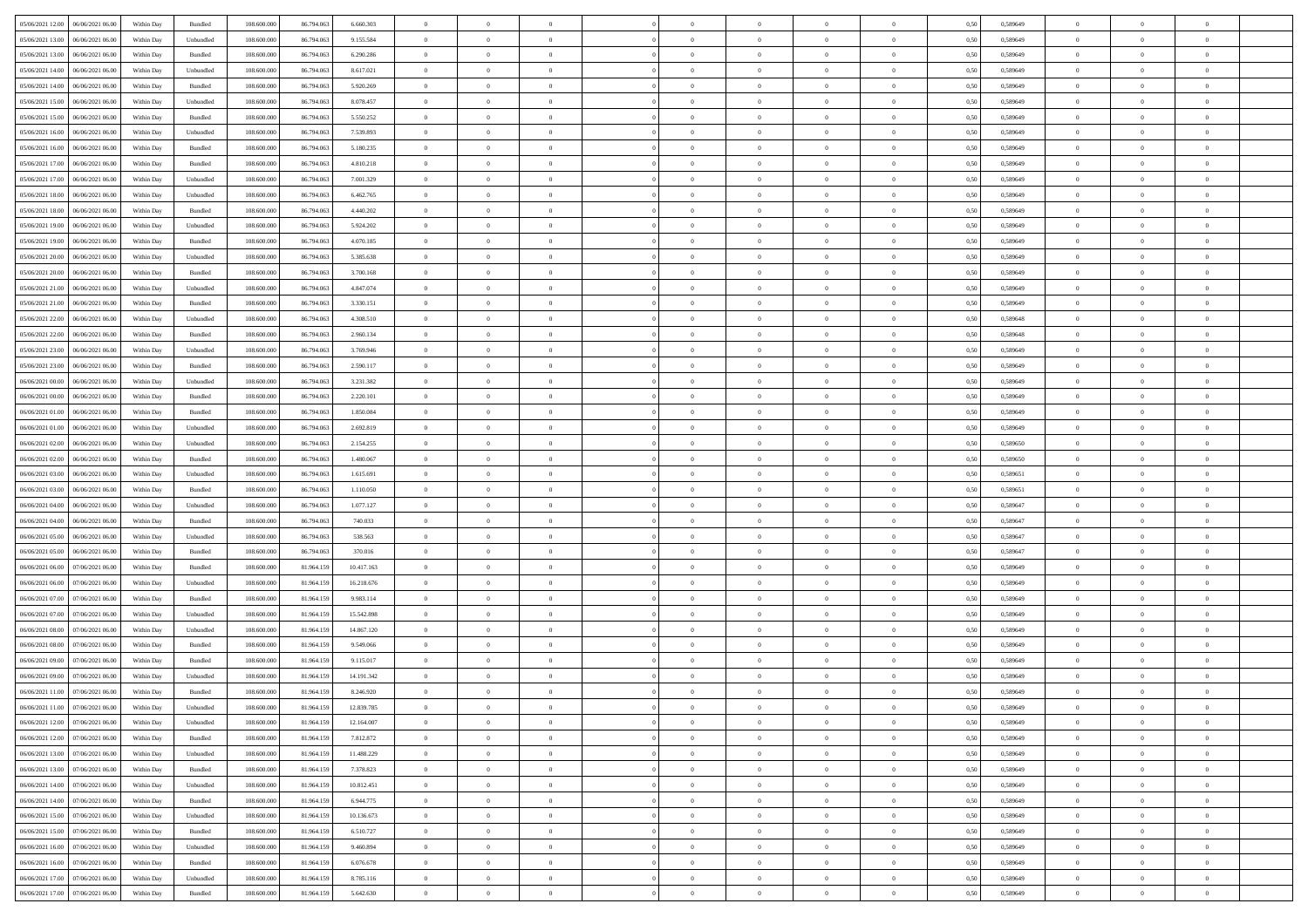| 05/06/2021 12:00<br>06/06/2021 06:00 | Within Day | Bundled   | 108.600.000 | 86.794.063 | 6.660.303  | $\overline{0}$ | $\overline{0}$   |                | $\theta$       | $\theta$       |                | $\overline{0}$ | 0,50 | 0,589649 | $\theta$       | $\theta$       | $\overline{0}$ |  |
|--------------------------------------|------------|-----------|-------------|------------|------------|----------------|------------------|----------------|----------------|----------------|----------------|----------------|------|----------|----------------|----------------|----------------|--|
|                                      |            |           |             |            |            |                | $\overline{0}$   |                |                |                |                |                |      |          |                | $\theta$       | $\overline{0}$ |  |
| 05/06/2021 13:00<br>06/06/2021 06.0  | Within Day | Unbundled | 108.600.000 | 86.794.063 | 9.155.584  | $\overline{0}$ |                  | $\overline{0}$ | $\,$ 0 $\,$    | $\bf{0}$       | $\overline{0}$ | $\bf{0}$       | 0,50 | 0,589649 | $\,$ 0 $\,$    |                |                |  |
| 05/06/2021 13:00<br>06/06/2021 06:00 | Within Day | Bundled   | 108,600,000 | 86,794,063 | 6.290.286  | $\overline{0}$ | $\overline{0}$   | $\overline{0}$ | $\bf{0}$       | $\bf{0}$       | $\overline{0}$ | $\mathbf{0}$   | 0.50 | 0.589649 | $\bf{0}$       | $\overline{0}$ | $\overline{0}$ |  |
| 05/06/2021 14:00<br>06/06/2021 06.00 | Within Day | Unbundled | 108.600.000 | 86.794.063 | 8.617.021  | $\overline{0}$ | $\overline{0}$   | $\overline{0}$ | $\overline{0}$ | $\overline{0}$ | $\overline{0}$ | $\bf{0}$       | 0,50 | 0,589649 | $\theta$       | $\theta$       | $\overline{0}$ |  |
| 05/06/2021 14:00<br>06/06/2021 06.0  | Within Day | Bundled   | 108.600.000 | 86.794.063 | 5.920.269  | $\overline{0}$ | $\overline{0}$   | $\bf{0}$       | $\overline{0}$ | $\overline{0}$ | $\overline{0}$ | $\bf{0}$       | 0,50 | 0,589649 | $\,$ 0 $\,$    | $\theta$       | $\overline{0}$ |  |
| 05/06/2021 15:00<br>06/06/2021 06:00 | Within Day | Unbundled | 108,600,000 | 86,794,063 | 8.078.457  | $\overline{0}$ | $\overline{0}$   | $\overline{0}$ | $\overline{0}$ | $\overline{0}$ | $\overline{0}$ | $\mathbf{0}$   | 0.50 | 0.589649 | $\theta$       | $\theta$       | $\overline{0}$ |  |
| 05/06/2021 15:00<br>06/06/2021 06.00 | Within Day | Bundled   | 108.600.000 | 86.794.063 | 5.550.252  | $\overline{0}$ | $\overline{0}$   | $\overline{0}$ | $\overline{0}$ | $\overline{0}$ | $\overline{0}$ | $\bf{0}$       | 0,50 | 0,589649 | $\theta$       | $\theta$       | $\overline{0}$ |  |
| 05/06/2021 16:00<br>06/06/2021 06.0  | Within Day | Unbundled | 108.600.000 | 86.794.063 | 7.539.893  | $\overline{0}$ | $\overline{0}$   | $\overline{0}$ | $\overline{0}$ | $\bf{0}$       | $\overline{0}$ | $\bf{0}$       | 0,50 | 0,589649 | $\,$ 0 $\,$    | $\bf{0}$       | $\overline{0}$ |  |
|                                      |            |           |             |            |            |                |                  |                |                |                |                |                |      |          |                |                |                |  |
| 05/06/2021 16:00<br>06/06/2021 06:00 | Within Day | Bundled   | 108,600,000 | 86,794,063 | 5.180.235  | $\overline{0}$ | $\overline{0}$   | $\overline{0}$ | $\overline{0}$ | $\overline{0}$ | $\overline{0}$ | $\mathbf{0}$   | 0.50 | 0.589649 | $\theta$       | $\overline{0}$ | $\overline{0}$ |  |
| 05/06/2021 17:00<br>06/06/2021 06:00 | Within Day | Bundled   | 108.600.000 | 86.794.063 | 4.810.218  | $\overline{0}$ | $\overline{0}$   | $\overline{0}$ | $\bf{0}$       | $\overline{0}$ | $\overline{0}$ | $\bf{0}$       | 0,50 | 0,589649 | $\,$ 0 $\,$    | $\theta$       | $\overline{0}$ |  |
| 05/06/2021 17:00<br>06/06/2021 06.0  | Within Day | Unbundled | 108.600.000 | 86.794.063 | 7.001.329  | $\overline{0}$ | $\overline{0}$   | $\overline{0}$ | $\bf{0}$       | $\bf{0}$       | $\overline{0}$ | $\bf{0}$       | 0,50 | 0,589649 | $\,$ 0 $\,$    | $\bf{0}$       | $\overline{0}$ |  |
| 05/06/2021 18:00<br>06/06/2021 06:00 | Within Day | Unbundled | 108,600,000 | 86,794,063 | 6.462.765  | $\overline{0}$ | $\overline{0}$   | $\overline{0}$ | $\bf{0}$       | $\bf{0}$       | $\overline{0}$ | $\mathbf{0}$   | 0.50 | 0.589649 | $\bf{0}$       | $\overline{0}$ | $\bf{0}$       |  |
| 05/06/2021 18:00<br>06/06/2021 06:00 | Within Day | Bundled   | 108.600.000 | 86.794.063 | 4.440.202  | $\overline{0}$ | $\overline{0}$   | $\overline{0}$ | $\overline{0}$ | $\overline{0}$ | $\overline{0}$ | $\bf{0}$       | 0,50 | 0,589649 | $\theta$       | $\theta$       | $\overline{0}$ |  |
| 05/06/2021 19:00<br>06/06/2021 06.0  | Within Day | Unbundled | 108.600.000 | 86.794.063 | 5.924.202  | $\overline{0}$ | $\overline{0}$   | $\bf{0}$       | $\bf{0}$       | $\overline{0}$ | $\overline{0}$ | $\bf{0}$       | 0,50 | 0,589649 | $\,$ 0 $\,$    | $\bf{0}$       | $\overline{0}$ |  |
| 05/06/2021 19:00<br>06/06/2021 06:00 | Within Day | Bundled   | 108,600,000 | 86,794,063 | 4.070.185  | $\overline{0}$ | $\overline{0}$   | $\overline{0}$ | $\overline{0}$ | $\overline{0}$ | $\Omega$       | $\overline{0}$ | 0.50 | 0.589649 | $\theta$       | $\theta$       | $\overline{0}$ |  |
|                                      |            |           |             |            |            |                |                  |                |                |                |                |                |      |          |                |                |                |  |
| 05/06/2021 20:00<br>06/06/2021 06.00 | Within Day | Unbundled | 108.600.000 | 86.794.063 | 5.385.638  | $\overline{0}$ | $\overline{0}$   | $\overline{0}$ | $\overline{0}$ | $\overline{0}$ | $\overline{0}$ | $\bf{0}$       | 0,50 | 0,589649 | $\theta$       | $\theta$       | $\overline{0}$ |  |
| 05/06/2021 20:00<br>06/06/2021 06.0  | Within Day | Bundled   | 108.600.000 | 86.794.063 | 3.700.168  | $\overline{0}$ | $\overline{0}$   | $\overline{0}$ | $\overline{0}$ | $\overline{0}$ | $\overline{0}$ | $\bf{0}$       | 0,50 | 0,589649 | $\,$ 0 $\,$    | $\theta$       | $\overline{0}$ |  |
| 05/06/2021 21:00<br>06/06/2021 06:00 | Within Day | Unbundled | 108,600,000 | 86,794,063 | 4.847.074  | $\overline{0}$ | $\overline{0}$   | $\overline{0}$ | $\overline{0}$ | $\overline{0}$ | $\overline{0}$ | $\mathbf{0}$   | 0.50 | 0.589649 | $\,$ 0 $\,$    | $\overline{0}$ | $\overline{0}$ |  |
| 05/06/2021 21:00<br>06/06/2021 06.00 | Within Day | Bundled   | 108.600.000 | 86.794.063 | 3.330.151  | $\overline{0}$ | $\overline{0}$   | $\overline{0}$ | $\overline{0}$ | $\overline{0}$ | $\overline{0}$ | $\bf{0}$       | 0,50 | 0,589649 | $\theta$       | $\theta$       | $\overline{0}$ |  |
| 05/06/2021 22.00<br>06/06/2021 06.0  | Within Day | Unbundled | 108.600.000 | 86.794.063 | 4.308.510  | $\overline{0}$ | $\overline{0}$   | $\overline{0}$ | $\bf{0}$       | $\bf{0}$       | $\overline{0}$ | $\bf{0}$       | 0,50 | 0,589648 | $\,$ 0 $\,$    | $\bf{0}$       | $\overline{0}$ |  |
| 05/06/2021 22.00<br>06/06/2021 06:00 | Within Day | Bundled   | 108,600,000 | 86,794,063 | 2.960.134  | $\overline{0}$ | $\overline{0}$   | $\overline{0}$ | $\bf{0}$       | $\bf{0}$       | $\overline{0}$ | $\mathbf{0}$   | 0.50 | 0.589648 | $\bf{0}$       | $\overline{0}$ | $\overline{0}$ |  |
| 05/06/2021 23:00<br>06/06/2021 06:00 | Within Day | Unbundled | 108.600.000 | 86.794.063 | 3.769.946  | $\overline{0}$ | $\overline{0}$   | $\overline{0}$ | $\overline{0}$ | $\overline{0}$ | $\overline{0}$ | $\,$ 0 $\,$    | 0,50 | 0,589649 | $\theta$       | $\theta$       | $\overline{0}$ |  |
|                                      |            |           |             |            |            |                |                  |                |                |                |                |                |      |          |                |                |                |  |
| 05/06/2021 23.00<br>06/06/2021 06.0  | Within Day | Bundled   | 108.600.000 | 86.794.063 | 2.590.117  | $\overline{0}$ | $\overline{0}$   | $\overline{0}$ | $\bf{0}$       | $\overline{0}$ | $\overline{0}$ | $\bf{0}$       | 0,50 | 0,589649 | $\,$ 0 $\,$    | $\bf{0}$       | $\overline{0}$ |  |
| 06/06/2021 00:00<br>06/06/2021 06:00 | Within Day | Unbundled | 108,600,000 | 86,794,063 | 3.231.382  | $\overline{0}$ | $\overline{0}$   | $\overline{0}$ | $\overline{0}$ | $\overline{0}$ | $\overline{0}$ | $\mathbf{0}$   | 0.50 | 0.589649 | $\theta$       | $\theta$       | $\overline{0}$ |  |
| 06/06/2021 00:00<br>06/06/2021 06.00 | Within Day | Bundled   | 108.600.000 | 86.794.063 | 2.220.101  | $\overline{0}$ | $\overline{0}$   | $\overline{0}$ | $\overline{0}$ | $\overline{0}$ | $\overline{0}$ | $\bf{0}$       | 0,50 | 0,589649 | $\theta$       | $\theta$       | $\overline{0}$ |  |
| 06/06/2021 01:00<br>06/06/2021 06.0  | Within Day | Bundled   | 108.600.000 | 86.794.063 | 1.850.084  | $\overline{0}$ | $\overline{0}$   | $\overline{0}$ | $\overline{0}$ | $\overline{0}$ | $\overline{0}$ | $\bf{0}$       | 0,50 | 0,589649 | $\,$ 0 $\,$    | $\theta$       | $\overline{0}$ |  |
| 06/06/2021 01:00<br>06/06/2021 06:00 | Within Day | Unbundled | 108,600,000 | 86,794,063 | 2.692.819  | $\overline{0}$ | $\overline{0}$   | $\overline{0}$ | $\overline{0}$ | $\overline{0}$ | $\overline{0}$ | $\mathbf{0}$   | 0.50 | 0.589649 | $\,$ 0 $\,$    | $\overline{0}$ | $\overline{0}$ |  |
| 06/06/2021 02:00<br>06/06/2021 06:00 | Within Day | Unbundled | 108.600.000 | 86.794.063 | 2.154.255  | $\overline{0}$ | $\overline{0}$   | $\overline{0}$ | $\overline{0}$ | $\overline{0}$ | $\overline{0}$ | $\bf{0}$       | 0,50 | 0,589650 | $\theta$       | $\theta$       | $\overline{0}$ |  |
| 06/06/2021 02:00<br>06/06/2021 06.0  | Within Day | Bundled   | 108.600.000 | 86.794.063 | 1.480.067  | $\overline{0}$ | $\overline{0}$   | $\overline{0}$ | $\overline{0}$ | $\bf{0}$       | $\overline{0}$ | $\bf{0}$       | 0,50 | 0,589650 | $\,$ 0 $\,$    | $\bf{0}$       | $\overline{0}$ |  |
| 06/06/2021 06:00                     |            | Unbundled | 108,600,000 | 86,794,063 | 1.615.691  |                |                  |                |                |                | $\overline{0}$ |                |      |          |                | $\overline{0}$ |                |  |
| 06/06/2021 03:00                     | Within Day |           |             |            |            | $\overline{0}$ | $\overline{0}$   | $\overline{0}$ | $\bf{0}$       | $\bf{0}$       |                | $\mathbf{0}$   | 0.50 | 0.589651 | $\bf{0}$       |                | $\bf{0}$       |  |
| 06/06/2021 03:00<br>06/06/2021 06:00 | Within Day | Bundled   | 108.600.000 | 86,794,063 | 1.110.050  | $\overline{0}$ | $\overline{0}$   | $\overline{0}$ | $\overline{0}$ | $\overline{0}$ | $\overline{0}$ | $\overline{0}$ | 0.50 | 0.589651 | $\theta$       | $\theta$       | $\overline{0}$ |  |
| 06/06/2021 04.00<br>06/06/2021 06.0  | Within Day | Unbundled | 108.600.000 | 86.794.063 | 1.077.127  | $\overline{0}$ | $\overline{0}$   | $\overline{0}$ | $\bf{0}$       | $\overline{0}$ | $\overline{0}$ | $\bf{0}$       | 0,50 | 0,589647 | $\,$ 0 $\,$    | $\bf{0}$       | $\overline{0}$ |  |
| 06/06/2021 04:00<br>06/06/2021 06:00 | Within Day | Bundled   | 108,600,000 | 86,794,063 | 740,033    | $\overline{0}$ | $\overline{0}$   | $\overline{0}$ | $\overline{0}$ | $\overline{0}$ | $\overline{0}$ | $\overline{0}$ | 0.50 | 0.589647 | $\theta$       | $\theta$       | $\overline{0}$ |  |
| 06/06/2021 05:00<br>06/06/2021 06:00 | Within Day | Unbundled | 108.600.000 | 86.794.063 | 538,563    | $\overline{0}$ | $\overline{0}$   | $\overline{0}$ | $\overline{0}$ | $\overline{0}$ | $\Omega$       | $\overline{0}$ | 0.50 | 0,589647 | $\theta$       | $\theta$       | $\overline{0}$ |  |
| 06/06/2021 05:00<br>06/06/2021 06.0  | Within Day | Bundled   | 108.600.000 | 86.794.063 | 370.016    | $\overline{0}$ | $\overline{0}$   | $\overline{0}$ | $\bf{0}$       | $\overline{0}$ | $\overline{0}$ | $\bf{0}$       | 0,50 | 0,589647 | $\,$ 0 $\,$    | $\bf{0}$       | $\overline{0}$ |  |
| 06/06/2021 06:00<br>07/06/2021 06:00 | Within Day | Bundled   | 108,600,000 | 81,964,159 | 10.417.163 | $\overline{0}$ | $\overline{0}$   | $\overline{0}$ | $\overline{0}$ | $\bf{0}$       | $\overline{0}$ | $\mathbf{0}$   | 0.50 | 0.589649 | $\,$ 0 $\,$    | $\overline{0}$ | $\overline{0}$ |  |
| 06/06/2021 06:00<br>07/06/2021 06:00 | Within Day | Unbundled | 108.600.000 | 81.964.159 | 16.218.676 | $\overline{0}$ | $\overline{0}$   | $\overline{0}$ | $\overline{0}$ | $\overline{0}$ | $\overline{0}$ | $\overline{0}$ | 0.50 | 0.589649 | $\theta$       | $\theta$       | $\overline{0}$ |  |
|                                      |            |           |             |            |            |                |                  |                |                |                |                |                |      |          |                |                |                |  |
| 06/06/2021 07:00<br>07/06/2021 06.0  | Within Day | Bundled   | 108.600.000 | 81.964.159 | 9.983.114  | $\overline{0}$ | $\overline{0}$   | $\overline{0}$ | $\overline{0}$ | $\bf{0}$       | $\overline{0}$ | $\bf{0}$       | 0,50 | 0,589649 | $\,$ 0 $\,$    | $\bf{0}$       | $\overline{0}$ |  |
| 06/06/2021 07:00<br>07/06/2021 06:00 | Within Day | Unbundled | 108,600,000 | 81.964.159 | 15.542.898 | $\overline{0}$ | $\overline{0}$   | $\overline{0}$ | $\bf{0}$       | $\bf{0}$       | $\overline{0}$ | $\mathbf{0}$   | 0.50 | 0.589649 | $\bf{0}$       | $\overline{0}$ | $\overline{0}$ |  |
| 06/06/2021 08:00<br>07/06/2021 06:00 | Within Day | Unbundled | 108.600.000 | 81.964.159 | 14.867.120 | $\overline{0}$ | $\overline{0}$   | $\overline{0}$ | $\overline{0}$ | $\overline{0}$ | $\overline{0}$ | $\overline{0}$ | 0.50 | 0.589649 | $\theta$       | $\theta$       | $\overline{0}$ |  |
| 06/06/2021 08:00<br>07/06/2021 06.0  | Within Day | Bundled   | 108.600.000 | 81.964.159 | 9.549.066  | $\overline{0}$ | $\overline{0}$   | $\overline{0}$ | $\bf{0}$       | $\bf{0}$       | $\overline{0}$ | $\bf{0}$       | 0,50 | 0,589649 | $\,$ 0 $\,$    | $\bf{0}$       | $\overline{0}$ |  |
| 06/06/2021 09:00<br>07/06/2021 06.00 | Within Day | Bundled   | 108,600,000 | 81.964.159 | 9.115.017  | $\overline{0}$ | $\overline{0}$   | $\overline{0}$ | $\overline{0}$ | $\overline{0}$ | $\Omega$       | $\overline{0}$ | 0.50 | 0.589649 | $\bf{0}$       | $\overline{0}$ | $\overline{0}$ |  |
| 06/06/2021 09:00<br>07/06/2021 06:00 | Within Day | Unbundled | 108.600.000 | 81.964.159 | 14.191.342 | $\overline{0}$ | $\overline{0}$   | $\overline{0}$ | $\overline{0}$ | $\overline{0}$ | $\theta$       | $\overline{0}$ | 0.50 | 0.589649 | $\theta$       | $\theta$       | $\overline{0}$ |  |
| 06/06/2021 11:00<br>07/06/2021 06.00 | Within Day | Bundled   | 108.600.000 | 81.964.159 | 8.246.920  | $\overline{0}$ | $\overline{0}$   | $\bf{0}$       | $\,$ 0 $\,$    | $\bf{0}$       | $\overline{0}$ | $\bf{0}$       | 0,50 | 0,589649 | $\overline{0}$ | $\bf{0}$       | $\overline{0}$ |  |
| 06/06/2021 11:00 07/06/2021 06:00    | Within Day | Unbundled | 108.600.000 | 81.964.159 | 12.839.785 | $\bf{0}$       | $\boldsymbol{0}$ |                | $\overline{0}$ |                |                |                | 0,50 | 0.589649 | $\theta$       | $\overline{0}$ |                |  |
|                                      |            |           |             |            |            |                | $\overline{0}$   |                |                | $\overline{0}$ |                | $\overline{0}$ |      |          | $\theta$       | $\overline{0}$ | $\overline{0}$ |  |
| 06/06/2021 12:00 07/06/2021 06:00    | Within Dav | Unbundled | 108.600.000 | 81.964.159 | 12.164.007 | $\overline{0}$ |                  | $\overline{0}$ | $\overline{0}$ |                | $\overline{0}$ |                | 0,50 | 0,589649 |                |                |                |  |
| 06/06/2021 12:00<br>07/06/2021 06.00 | Within Day | Bundled   | 108.600.000 | 81.964.159 | 7.812.872  | $\overline{0}$ | $\overline{0}$   | $\overline{0}$ | $\bf{0}$       | $\overline{0}$ | $\overline{0}$ | $\bf{0}$       | 0,50 | 0,589649 | $\overline{0}$ | $\overline{0}$ | $\bf{0}$       |  |
| 06/06/2021 13:00<br>07/06/2021 06:00 | Within Day | Unbundled | 108,600,000 | 81.964.159 | 11.488.229 | $\overline{0}$ | $\overline{0}$   | $\overline{0}$ | $\,$ 0 $\,$    | $\bf{0}$       | $\overline{0}$ | $\mathbf{0}$   | 0.50 | 0.589649 | $\overline{0}$ | $\bf{0}$       | $\bf{0}$       |  |
| 06/06/2021 13:00<br>07/06/2021 06:00 | Within Dav | Bundled   | 108.600.000 | 81.964.159 | 7.378.823  | $\overline{0}$ | $\overline{0}$   | $\overline{0}$ | $\overline{0}$ | $\overline{0}$ | $\overline{0}$ | $\mathbf{0}$   | 0,50 | 0.589649 | $\overline{0}$ | $\theta$       | $\overline{0}$ |  |
| 06/06/2021 14:00<br>07/06/2021 06.00 | Within Day | Unbundled | 108.600.000 | 81.964.159 | 10.812.451 | $\overline{0}$ | $\overline{0}$   | $\overline{0}$ | $\bf{0}$       | $\bf{0}$       | $\overline{0}$ | $\mathbf{0}$   | 0,50 | 0,589649 | $\overline{0}$ | $\overline{0}$ | $\overline{0}$ |  |
| 06/06/2021 14.00<br>07/06/2021 06:00 | Within Day | Bundled   | 108,600,000 | 81.964.159 | 6.944.775  | $\overline{0}$ | $\overline{0}$   | $\overline{0}$ | $\bf{0}$       | $\overline{0}$ | $\overline{0}$ | $\mathbf{0}$   | 0.50 | 0.589649 | $\,$ 0 $\,$    | $\theta$       | $\,$ 0         |  |
| 06/06/2021 15:00<br>07/06/2021 06:00 | Within Dav | Unbundled | 108.600.000 | 81.964.159 | 10.136.673 | $\overline{0}$ | $\overline{0}$   | $\overline{0}$ | $\overline{0}$ | $\overline{0}$ | $\overline{0}$ | $\mathbf{0}$   | 0,50 | 0.589649 | $\overline{0}$ | $\theta$       | $\overline{0}$ |  |
|                                      |            |           |             |            |            |                |                  |                |                |                |                |                |      |          |                |                |                |  |
| 06/06/2021 15:00<br>07/06/2021 06:00 | Within Day | Bundled   | 108.600.000 | 81.964.159 | 6.510.727  | $\overline{0}$ | $\overline{0}$   | $\overline{0}$ | $\bf{0}$       | $\overline{0}$ | $\overline{0}$ | $\,$ 0 $\,$    | 0,50 | 0,589649 | $\bf{0}$       | $\overline{0}$ | $\,$ 0         |  |
| 07/06/2021 06:00<br>06/06/2021 16:00 | Within Day | Unbundled | 108,600,000 | 81.964.159 | 9.460.894  | $\overline{0}$ | $\overline{0}$   | $\overline{0}$ | $\bf{0}$       | $\overline{0}$ | $\overline{0}$ | $\,$ 0 $\,$    | 0.50 | 0.589649 | $\overline{0}$ | $\bf{0}$       | $\,$ 0         |  |
| 06/06/2021 16:00<br>07/06/2021 06:00 | Within Dav | Bundled   | 108.600.000 | 81.964.159 | 6.076.678  | $\overline{0}$ | $\overline{0}$   | $\overline{0}$ | $\overline{0}$ | $\overline{0}$ | $\overline{0}$ | $\mathbf{0}$   | 0,50 | 0.589649 | $\overline{0}$ | $\theta$       | $\overline{0}$ |  |
| 06/06/2021 17.00<br>07/06/2021 06.0  | Within Day | Unbundled | 108.600.000 | 81.964.159 | 8.785.116  | $\overline{0}$ | $\overline{0}$   | $\overline{0}$ | $\overline{0}$ | $\bf{0}$       | $\overline{0}$ | $\,$ 0 $\,$    | 0,50 | 0,589649 | $\bf{0}$       | $\bf{0}$       | $\bf{0}$       |  |
| 06/06/2021 17:00 07/06/2021 06:00    | Within Day | Bundled   | 108.600.000 | 81.964.159 | 5.642.630  | $\,$ 0 $\,$    | $\overline{0}$   | $\overline{0}$ | $\bf{0}$       | $\,$ 0         | $\overline{0}$ | $\,$ 0 $\,$    | 0,50 | 0,589649 | $\overline{0}$ | $\,$ 0 $\,$    | $\,$ 0 $\,$    |  |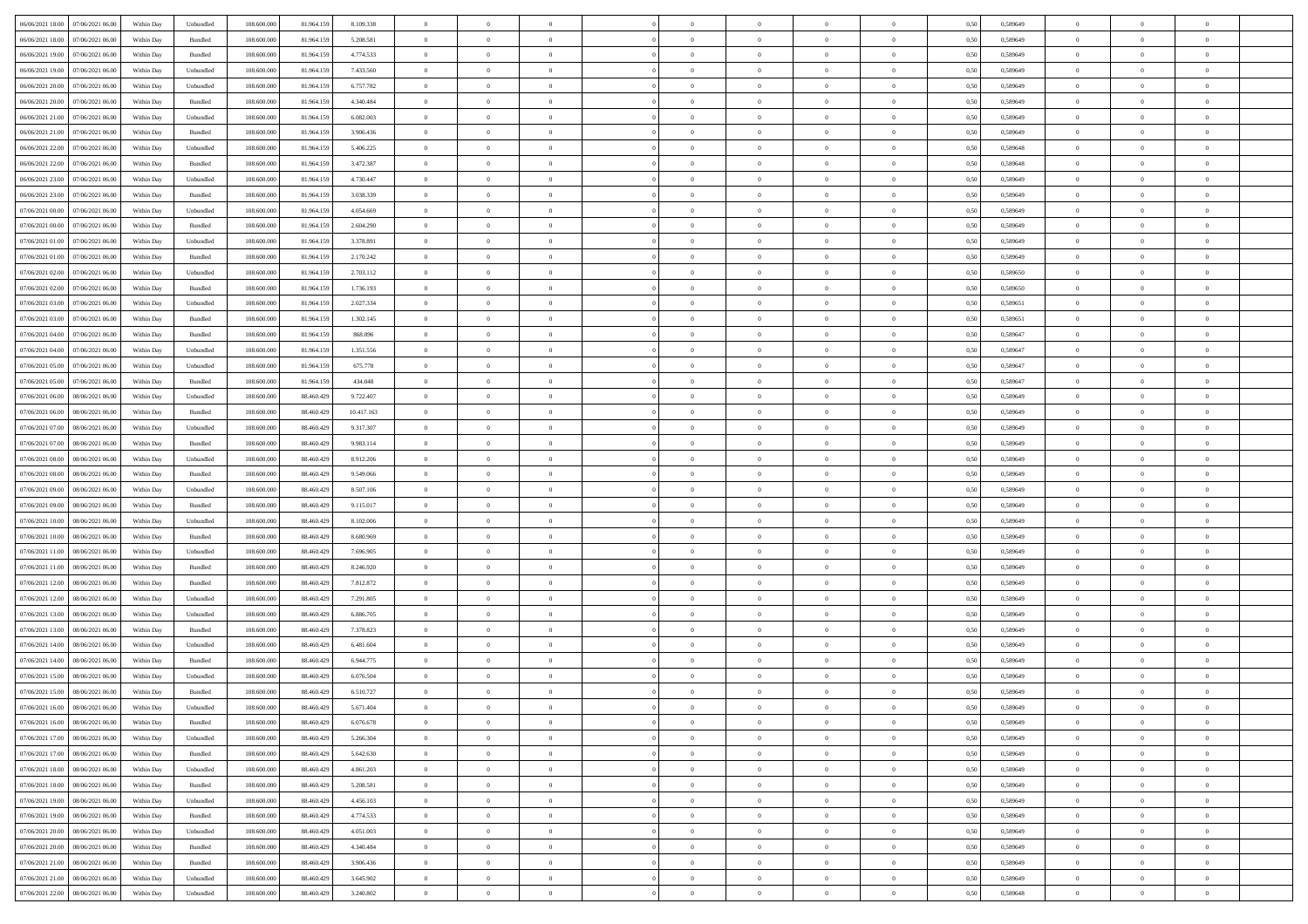| 06/06/2021 18:00 07/06/2021 06:00                                                      | Within Day | Unbundled                   | 108.600.000 | 81.964.159 | 8.109.338  | $\overline{0}$ | $\overline{0}$ |                | $\overline{0}$ | $\bf{0}$       |                | $\bf{0}$       | 0,50 | 0,589649 | $\theta$       | $\theta$       | $\theta$       |  |
|----------------------------------------------------------------------------------------|------------|-----------------------------|-------------|------------|------------|----------------|----------------|----------------|----------------|----------------|----------------|----------------|------|----------|----------------|----------------|----------------|--|
| 06/06/2021 18:00<br>07/06/2021 06.00                                                   | Within Day | Bundled                     | 108.600.00  | 81.964.15  | 5.208.581  | $\bf{0}$       | $\overline{0}$ | $\bf{0}$       | $\overline{0}$ | $\overline{0}$ | $\overline{0}$ | $\bf{0}$       | 0,50 | 0,589649 | $\,$ 0 $\,$    | $\bf{0}$       | $\overline{0}$ |  |
| 06/06/2021 19:00<br>07/06/2021 06:00                                                   | Within Day | Bundled                     | 108,600,000 | 81.964.159 | 4.774.533  | $\overline{0}$ | $\bf{0}$       | $\overline{0}$ | $\bf{0}$       | $\bf{0}$       | $\overline{0}$ | $\bf{0}$       | 0.50 | 0.589649 | $\bf{0}$       | $\overline{0}$ | $\overline{0}$ |  |
| 06/06/2021 19:00<br>07/06/2021 06:00                                                   | Within Day | Unbundled                   | 108.600.000 | 81.964.159 | 7.433.560  | $\overline{0}$ | $\overline{0}$ | $\overline{0}$ | $\theta$       | $\theta$       | $\overline{0}$ | $\bf{0}$       | 0,50 | 0,589649 | $\theta$       | $\theta$       | $\overline{0}$ |  |
|                                                                                        |            |                             |             |            |            |                |                |                |                |                |                |                |      |          |                |                |                |  |
| 06/06/2021 20:00<br>07/06/2021 06.00                                                   | Within Day | Unbundled                   | 108.600.00  | 81.964.15  | 6.757.782  | $\bf{0}$       | $\overline{0}$ | $\bf{0}$       | $\overline{0}$ | $\theta$       | $\overline{0}$ | $\bf{0}$       | 0,50 | 0,589649 | $\,$ 0 $\,$    | $\bf{0}$       | $\overline{0}$ |  |
| 06/06/2021 20:00<br>07/06/2021 06:00                                                   | Within Day | Bundled                     | 108,600,000 | 81.964.159 | 4,340,484  | $\overline{0}$ | $\overline{0}$ | $\overline{0}$ | $\bf{0}$       | $\overline{0}$ | $\Omega$       | $\bf{0}$       | 0.50 | 0.589649 | $\bf{0}$       | $\theta$       | $\overline{0}$ |  |
| 06/06/2021 21:00<br>07/06/2021 06.00                                                   | Within Day | Unbundled                   | 108.600.000 | 81.964.159 | 6.082.003  | $\overline{0}$ | $\overline{0}$ | $\overline{0}$ | $\overline{0}$ | $\overline{0}$ | $\overline{0}$ | $\bf{0}$       | 0,50 | 0,589649 | $\theta$       | $\theta$       | $\overline{0}$ |  |
| 07/06/2021 06.00                                                                       | Within Day | Bundled                     | 108.600.00  | 81.964.15  | 3.906.436  | $\overline{0}$ | $\overline{0}$ | $\bf{0}$       | $\overline{0}$ | $\theta$       | $\overline{0}$ | $\bf{0}$       | 0,50 | 0,589649 | $\,$ 0 $\,$    | $\bf{0}$       | $\overline{0}$ |  |
| 06/06/2021 21:00                                                                       |            |                             |             |            |            |                |                |                |                |                |                |                |      |          |                |                |                |  |
| 06/06/2021 22.00<br>07/06/2021 06:00                                                   | Within Day | Unbundled                   | 108,600,000 | 81.964.159 | 5.406.225  | $\overline{0}$ | $\bf{0}$       | $\overline{0}$ | $\bf{0}$       | $\overline{0}$ | $\overline{0}$ | $\bf{0}$       | 0.50 | 0.589648 | $\bf{0}$       | $\overline{0}$ | $\overline{0}$ |  |
| 06/06/2021 22:00<br>07/06/2021 06:00                                                   | Within Day | Bundled                     | 108.600.000 | 81.964.159 | 3.472.387  | $\overline{0}$ | $\bf{0}$       | $\overline{0}$ | $\overline{0}$ | $\overline{0}$ | $\overline{0}$ | $\bf{0}$       | 0,50 | 0,589648 | $\,$ 0 $\,$    | $\bf{0}$       | $\overline{0}$ |  |
| 06/06/2021 23:00<br>07/06/2021 06.00                                                   | Within Day | Unbundled                   | 108.600.00  | 81.964.15  | 4.730.447  | $\bf{0}$       | $\overline{0}$ | $\bf{0}$       | $\overline{0}$ | $\bf{0}$       | $\overline{0}$ | $\bf{0}$       | 0,50 | 0,589649 | $\,$ 0 $\,$    | $\bf{0}$       | $\overline{0}$ |  |
| 06/06/2021 23:00<br>07/06/2021 06:00                                                   | Within Day | Bundled                     | 108,600,000 | 81.964.159 | 3.038.339  | $\overline{0}$ | $\bf{0}$       | $\overline{0}$ | $\bf{0}$       | $\bf{0}$       | $\overline{0}$ | $\bf{0}$       | 0.50 | 0.589649 | $\bf{0}$       | $\overline{0}$ | $\overline{0}$ |  |
|                                                                                        |            |                             |             |            |            |                |                |                |                |                |                |                |      |          |                |                |                |  |
| 07/06/2021 00:00<br>07/06/2021 06:00                                                   | Within Day | Unbundled                   | 108.600.000 | 81.964.159 | 4.054.669  | $\overline{0}$ | $\overline{0}$ | $\overline{0}$ | $\overline{0}$ | $\theta$       | $\overline{0}$ | $\bf{0}$       | 0,50 | 0,589649 | $\,$ 0 $\,$    | $\theta$       | $\overline{0}$ |  |
| 07/06/2021 00:00<br>07/06/2021 06.00                                                   | Within Day | Bundled                     | 108.600.00  | 81.964.15  | 2.604.290  | $\bf{0}$       | $\overline{0}$ | $\bf{0}$       | $\overline{0}$ | $\theta$       | $\overline{0}$ | $\bf{0}$       | 0,50 | 0,589649 | $\bf{0}$       | $\bf{0}$       | $\overline{0}$ |  |
| 07/06/2021 01:00<br>07/06/2021 06:00                                                   | Within Day | Unbundled                   | 108,600,000 | 81.964.159 | 3.378.891  | $\overline{0}$ | $\overline{0}$ | $\overline{0}$ | $\bf{0}$       | $\overline{0}$ | $\Omega$       | $\bf{0}$       | 0.50 | 0.589649 | $\theta$       | $\theta$       | $\overline{0}$ |  |
| 07/06/2021 01:00<br>07/06/2021 06:00                                                   | Within Day | Bundled                     | 108.600.000 | 81.964.159 | 2.170.242  | $\overline{0}$ | $\overline{0}$ | $\overline{0}$ | $\overline{0}$ | $\theta$       | $\overline{0}$ | $\bf{0}$       | 0,50 | 0,589649 | $\theta$       | $\theta$       | $\overline{0}$ |  |
|                                                                                        |            |                             |             |            |            |                |                |                |                |                |                |                |      |          |                |                |                |  |
| 07/06/2021 02:00<br>07/06/2021 06.00                                                   | Within Day | Unbundled                   | 108.600.00  | 81.964.15  | 2.703.112  | $\bf{0}$       | $\overline{0}$ | $\bf{0}$       | $\overline{0}$ | $\theta$       | $\overline{0}$ | $\bf{0}$       | 0,50 | 0,589650 | $\,$ 0 $\,$    | $\bf{0}$       | $\overline{0}$ |  |
| 07/06/2021 02:00<br>07/06/2021 06:00                                                   | Within Day | Bundled                     | 108,600,000 | 81.964.159 | 1.736.193  | $\overline{0}$ | $\bf{0}$       | $\overline{0}$ | $\bf{0}$       | $\overline{0}$ | $\overline{0}$ | $\bf{0}$       | 0.50 | 0.589650 | $\bf{0}$       | $\overline{0}$ | $\overline{0}$ |  |
| 07/06/2021 03:00<br>07/06/2021 06:00                                                   | Within Day | Unbundled                   | 108.600.000 | 81.964.159 | 2.027.334  | $\overline{0}$ | $\bf{0}$       | $\overline{0}$ | $\overline{0}$ | $\overline{0}$ | $\overline{0}$ | $\bf{0}$       | 0,50 | 0,589651 | $\,$ 0 $\,$    | $\bf{0}$       | $\overline{0}$ |  |
| 07/06/2021 03:00<br>07/06/2021 06.00                                                   | Within Day | Bundled                     | 108.600.00  | 81.964.15  | 1.302.145  | $\bf{0}$       | $\bf{0}$       | $\bf{0}$       | $\bf{0}$       | $\overline{0}$ | $\overline{0}$ | $\bf{0}$       | 0,50 | 0,589651 | $\,$ 0 $\,$    | $\bf{0}$       | $\overline{0}$ |  |
| 07/06/2021 04:00<br>07/06/2021 06:00                                                   | Within Day | Bundled                     | 108,600,000 | 81.964.159 | 868,096    | $\overline{0}$ | $\bf{0}$       | $\overline{0}$ | $\bf{0}$       | $\bf{0}$       | $\overline{0}$ | $\bf{0}$       | 0.50 | 0.589647 | $\bf{0}$       | $\overline{0}$ | $\overline{0}$ |  |
|                                                                                        |            |                             |             |            |            |                |                |                |                |                |                |                |      |          |                |                |                |  |
| 07/06/2021 04:00<br>07/06/2021 06:00                                                   | Within Day | Unbundled                   | 108.600.000 | 81.964.159 | 1.351.556  | $\overline{0}$ | $\overline{0}$ | $\overline{0}$ | $\theta$       | $\theta$       | $\overline{0}$ | $\bf{0}$       | 0,50 | 0,589647 | $\theta$       | $\theta$       | $\overline{0}$ |  |
| 07/06/2021 05:00<br>07/06/2021 06.00                                                   | Within Day | Unbundled                   | 108.600.00  | 81.964.15  | 675.778    | $\bf{0}$       | $\overline{0}$ | $\bf{0}$       | $\bf{0}$       | $\theta$       | $\overline{0}$ | $\bf{0}$       | 0,50 | 0,589647 | $\,$ 0 $\,$    | $\bf{0}$       | $\overline{0}$ |  |
| 07/06/2021 05:00<br>07/06/2021 06:00                                                   | Within Day | Bundled                     | 108,600,000 | 81.964.159 | 434,048    | $\overline{0}$ | $\overline{0}$ | $\overline{0}$ | $\overline{0}$ | $\overline{0}$ | $\Omega$       | $\bf{0}$       | 0.50 | 0.589647 | $\bf{0}$       | $\theta$       | $\overline{0}$ |  |
| 07/06/2021 06:00<br>08/06/2021 06:00                                                   | Within Day | Unbundled                   | 108.600.000 | 88.460.429 | 9.722.407  | $\overline{0}$ | $\overline{0}$ | $\overline{0}$ | $\overline{0}$ | $\theta$       | $\overline{0}$ | $\bf{0}$       | 0,50 | 0,589649 | $\theta$       | $\theta$       | $\overline{0}$ |  |
|                                                                                        |            |                             |             |            |            |                |                |                |                |                |                |                |      |          |                |                |                |  |
| 07/06/2021 06:00<br>08/06/2021 06:00                                                   | Within Day | Bundled                     | 108.600.00  | 88.460.429 | 10.417.163 | $\bf{0}$       | $\overline{0}$ | $\bf{0}$       | $\overline{0}$ | $\theta$       | $\overline{0}$ | $\bf{0}$       | 0,50 | 0,589649 | $\,$ 0 $\,$    | $\bf{0}$       | $\overline{0}$ |  |
| 07/06/2021 07:00<br>08/06/2021 06:00                                                   | Within Day | Unbundled                   | 108,600,000 | 88,460,429 | 9.317.307  | $\overline{0}$ | $\bf{0}$       | $\overline{0}$ | $\bf{0}$       | $\overline{0}$ | $\overline{0}$ | $\bf{0}$       | 0.50 | 0.589649 | $\bf{0}$       | $\overline{0}$ | $\overline{0}$ |  |
| 07/06/2021 07:00<br>08/06/2021 06:00                                                   | Within Day | Bundled                     | 108.600.000 | 88.460.429 | 9.983.114  | $\overline{0}$ | $\overline{0}$ | $\overline{0}$ | $\overline{0}$ | $\overline{0}$ | $\overline{0}$ | $\bf{0}$       | 0,50 | 0,589649 | $\theta$       | $\theta$       | $\overline{0}$ |  |
| 07/06/2021 08:00<br>08/06/2021 06:00                                                   | Within Day | Unbundled                   | 108.600.00  | 88.460.429 | 8.912.206  | $\bf{0}$       | $\bf{0}$       | $\bf{0}$       | $\bf{0}$       | $\overline{0}$ | $\overline{0}$ | $\bf{0}$       | 0,50 | 0,589649 | $\,$ 0 $\,$    | $\bf{0}$       | $\overline{0}$ |  |
| 07/06/2021 08:00<br>08/06/2021 06:00                                                   | Within Day | Bundled                     | 108,600,000 | 88,460,429 | 9.549.066  | $\overline{0}$ | $\bf{0}$       | $\overline{0}$ | $\bf{0}$       | $\bf{0}$       | $\overline{0}$ | $\bf{0}$       | 0.50 | 0.589649 | $\bf{0}$       | $\overline{0}$ | $\overline{0}$ |  |
|                                                                                        |            |                             |             |            |            |                |                |                |                |                |                |                |      |          |                |                |                |  |
| 07/06/2021 09:00<br>08/06/2021 06:00                                                   | Within Day | Unbundled                   | 108.600.000 | 88,460,429 | 8.507.106  | $\overline{0}$ | $\overline{0}$ | $\overline{0}$ | $\overline{0}$ | $\overline{0}$ | $\overline{0}$ | $\bf{0}$       | 0.50 | 0.589649 | $\theta$       | $\theta$       | $\overline{0}$ |  |
| 07/06/2021 09:00<br>08/06/2021 06:00                                                   | Within Day | Bundled                     | 108.600.00  | 88.460.429 | 9.115.017  | $\bf{0}$       | $\overline{0}$ | $\bf{0}$       | $\bf{0}$       | $\overline{0}$ | $\overline{0}$ | $\bf{0}$       | 0,50 | 0,589649 | $\,$ 0 $\,$    | $\bf{0}$       | $\overline{0}$ |  |
| 07/06/2021 10:00<br>08/06/2021 06:00                                                   | Within Day | Unbundled                   | 108,600,000 | 88,460,429 | 8.102.006  | $\overline{0}$ | $\bf{0}$       | $\overline{0}$ | $\bf{0}$       | $\overline{0}$ | $\Omega$       | $\bf{0}$       | 0.50 | 0.589649 | $\,$ 0 $\,$    | $\theta$       | $\overline{0}$ |  |
| 07/06/2021 10:00<br>08/06/2021 06:00                                                   | Within Dav | Bundled                     | 108.600.000 | 88.460.429 | 8.680.969  | $\overline{0}$ | $\overline{0}$ | $\overline{0}$ | $\overline{0}$ | $\theta$       | $\overline{0}$ | $\overline{0}$ | 0.50 | 0.589649 | $\theta$       | $\theta$       | $\overline{0}$ |  |
| 07/06/2021 11:00<br>08/06/2021 06:00                                                   | Within Day | Unbundled                   | 108.600.00  | 88.460.429 | 7.696.905  | $\bf{0}$       | $\bf{0}$       | $\bf{0}$       | $\overline{0}$ | $\bf{0}$       | $\overline{0}$ | $\bf{0}$       | 0,50 | 0,589649 | $\,$ 0 $\,$    | $\bf{0}$       | $\overline{0}$ |  |
|                                                                                        |            |                             |             |            |            |                |                |                |                |                |                |                |      |          |                |                |                |  |
| 07/06/2021 11:00<br>08/06/2021 06:00                                                   | Within Day | Bundled                     | 108,600,000 | 88,460,429 | 8.246.920  | $\overline{0}$ | $\bf{0}$       | $\overline{0}$ | $\bf{0}$       | $\overline{0}$ | $\overline{0}$ | $\bf{0}$       | 0.50 | 0.589649 | $\bf{0}$       | $\overline{0}$ | $\overline{0}$ |  |
| 07/06/2021 12:00<br>08/06/2021 06:00                                                   | Within Dav | Bundled                     | 108.600.000 | 88.460.429 | 7.812.872  | $\overline{0}$ | $\overline{0}$ | $\overline{0}$ | $\overline{0}$ | $\overline{0}$ | $\overline{0}$ | $\overline{0}$ | 0.50 | 0.589649 | $\theta$       | $\theta$       | $\overline{0}$ |  |
| 07/06/2021 12:00<br>08/06/2021 06:00                                                   | Within Day | Unbundled                   | 108.600.00  | 88.460.429 | 7.291.805  | $\bf{0}$       | $\bf{0}$       | $\bf{0}$       | $\bf{0}$       | $\overline{0}$ | $\overline{0}$ | $\bf{0}$       | 0,50 | 0,589649 | $\,$ 0 $\,$    | $\bf{0}$       | $\overline{0}$ |  |
| 07/06/2021 13:00<br>08/06/2021 06:00                                                   | Within Day | Unbundled                   | 108,600,000 | 88,460,429 | 6.886.705  | $\overline{0}$ | $\bf{0}$       | $\overline{0}$ | $\bf{0}$       | $\bf{0}$       | $\overline{0}$ | $\bf{0}$       | 0.50 | 0.589649 | $\bf{0}$       | $\overline{0}$ | $\overline{0}$ |  |
| 07/06/2021 13:00<br>08/06/2021 06:00                                                   | Within Dav | Bundled                     | 108.600.000 | 88.460.429 | 7.378.823  | $\overline{0}$ | $\overline{0}$ | $\overline{0}$ | $\overline{0}$ | $\theta$       | $\overline{0}$ | $\bf{0}$       | 0.50 | 0.589649 | $\theta$       | $\theta$       | $\overline{0}$ |  |
|                                                                                        |            |                             |             |            |            |                |                |                |                |                |                |                |      |          |                |                |                |  |
| 07/06/2021 14:00<br>08/06/2021 06:00                                                   | Within Day | Unbundled                   | 108.600.00  | 88.460.429 | 6.481.604  | $\bf{0}$       | $\bf{0}$       | $\bf{0}$       | $\bf{0}$       | $\overline{0}$ | $\overline{0}$ | $\bf{0}$       | 0,50 | 0,589649 | $\,$ 0 $\,$    | $\bf{0}$       | $\overline{0}$ |  |
| 07/06/2021 14:00<br>08/06/2021 06:00                                                   | Within Day | Bundled                     | 108,600,000 | 88,460,429 | 6.944.775  | $\overline{0}$ | $\overline{0}$ | $\overline{0}$ | $\overline{0}$ | $\overline{0}$ | $\Omega$       | $\bf{0}$       | 0.50 | 0.589649 | $\,$ 0 $\,$    | $\theta$       | $\overline{0}$ |  |
| 07/06/2021 15:00<br>08/06/2021 06:00                                                   | Within Dav | Unbundled                   | 108.600.000 | 88,460,429 | 6.076.504  | $\overline{0}$ | $\overline{0}$ | $\Omega$       | $\overline{0}$ | $\theta$       | $\Omega$       | $\overline{0}$ | 0.5( | 0.589649 | $\theta$       | $\theta$       | $\overline{0}$ |  |
| 07/06/2021 15:00<br>08/06/2021 06:00                                                   | Within Day | Bundled                     | 108.600.00  | 88.460.429 | 6.510.727  | $\bf{0}$       | $\bf{0}$       | $\overline{0}$ | $\bf{0}$       | $\bf{0}$       | $\overline{0}$ | $\bf{0}$       | 0,50 | 0,589649 | $\,$ 0 $\,$    | $\bf{0}$       | $\overline{0}$ |  |
| ${\color{red} 07/06/2021}\,\, 16.00 {\color{red}08/06/2021}\,\, 06.00 {\color{red}00}$ | Within Day |                             | 108.600.000 | 88.460.429 | 5.671.404  |                |                |                | $\Omega$       |                |                |                | 0,50 | 0.589649 |                |                |                |  |
|                                                                                        |            | $\ensuremath{\mathsf{Unb}}$ |             |            |            | $\overline{0}$ | $\Omega$       |                |                |                |                |                |      |          | $\theta$       | $\overline{0}$ |                |  |
| 07/06/2021 16:00 08/06/2021 06:00                                                      | Within Day | Bundled                     | 108.600.000 | 88.460.429 | 6.076.678  | $\overline{0}$ | $\overline{0}$ | $\overline{0}$ | $\theta$       | $\overline{0}$ | $\overline{0}$ | $\bf{0}$       | 0,50 | 0,589649 | $\theta$       | $\theta$       | $\overline{0}$ |  |
| 07/06/2021 17:00<br>08/06/2021 06:00                                                   | Within Day | Unbundled                   | 108.600.00  | 88.460.429 | 5.266.304  | $\overline{0}$ | $\bf{0}$       | $\overline{0}$ | $\overline{0}$ | $\bf{0}$       | $\overline{0}$ | $\bf{0}$       | 0,50 | 0,589649 | $\bf{0}$       | $\overline{0}$ | $\bf{0}$       |  |
| 07/06/2021 17:00  08/06/2021 06:00                                                     | Within Day | Bundled                     | 108,600,000 | 88,460,429 | 5.642.630  | $\overline{0}$ | $\bf{0}$       | $\overline{0}$ | $\overline{0}$ | $\mathbf{0}$   | $\overline{0}$ | $\,$ 0 $\,$    | 0.50 | 0.589649 | $\overline{0}$ | $\bf{0}$       | $\,$ 0 $\,$    |  |
| 07/06/2021 18:00  08/06/2021 06:00                                                     | Within Dav | Unbundled                   | 108.600.000 | 88.460.429 | 4.861.203  | $\overline{0}$ | $\overline{0}$ | $\overline{0}$ | $\overline{0}$ | $\overline{0}$ | $\overline{0}$ | $\bf{0}$       | 0,50 | 0.589649 | $\theta$       | $\theta$       | $\overline{0}$ |  |
|                                                                                        |            |                             |             |            |            |                |                |                |                |                |                |                |      |          |                |                |                |  |
| 07/06/2021 18:00<br>08/06/2021 06:00                                                   | Within Day | Bundled                     | 108.600.000 | 88.460.429 | 5.208.581  | $\overline{0}$ | $\bf{0}$       | $\overline{0}$ | $\overline{0}$ | $\bf{0}$       | $\overline{0}$ | $\bf{0}$       | 0,50 | 0,589649 | $\bf{0}$       | $\overline{0}$ | $\overline{0}$ |  |
| 07/06/2021 19:00<br>08/06/2021 06:00                                                   | Within Day | Unbundled                   | 108,600,000 | 88,460,429 | 4.456.103  | $\overline{0}$ | $\bf{0}$       | $\overline{0}$ | $\overline{0}$ | $\bf{0}$       | $\overline{0}$ | $\bf{0}$       | 0.50 | 0.589649 | $\,$ 0 $\,$    | $\overline{0}$ | $\,$ 0         |  |
| 07/06/2021 19:00<br>08/06/2021 06:00                                                   | Within Dav | Bundled                     | 108.600.000 | 88.460.429 | 4.774.533  | $\overline{0}$ | $\overline{0}$ | $\overline{0}$ | $\overline{0}$ | $\overline{0}$ | $\overline{0}$ | $\bf{0}$       | 0,50 | 0.589649 | $\overline{0}$ | $\theta$       | $\overline{0}$ |  |
| 07/06/2021 20:00<br>08/06/2021 06:00                                                   | Within Day | Unbundled                   | 108.600.00  | 88.460.429 | 4.051.003  | $\overline{0}$ | $\overline{0}$ | $\overline{0}$ | $\overline{0}$ | $\overline{0}$ | $\overline{0}$ | $\bf{0}$       | 0,50 | 0,589649 | $\bf{0}$       | $\overline{0}$ | $\,$ 0         |  |
|                                                                                        |            |                             |             |            |            |                |                |                |                |                |                |                |      |          |                |                |                |  |
| 07/06/2021 20:00   08/06/2021 06:00                                                    | Within Day | Bundled                     | 108,600,000 | 88,460,429 | 4.340.484  | $\overline{0}$ | $\overline{0}$ | $\overline{0}$ | $\overline{0}$ | $\overline{0}$ | $\overline{0}$ | $\bf{0}$       | 0.50 | 0.589649 | $\mathbf{0}$   | $\bf{0}$       | $\,$ 0         |  |
| 07/06/2021 21:00   08/06/2021 06:00                                                    | Within Dav | Bundled                     | 108.600.000 | 88.460.429 | 3.906.436  | $\overline{0}$ | $\overline{0}$ | $\overline{0}$ | $\overline{0}$ | $\overline{0}$ | $\overline{0}$ | $\bf{0}$       | 0,50 | 0.589649 | $\overline{0}$ | $\theta$       | $\overline{0}$ |  |
| 07/06/2021 21:00<br>08/06/2021 06:00                                                   | Within Day | Unbundled                   | 108.600.00  | 88.460.429 | 3.645.902  | $\overline{0}$ | $\bf{0}$       | $\overline{0}$ | $\overline{0}$ | $\overline{0}$ | $\overline{0}$ | $\bf{0}$       | 0,50 | 0,589649 | $\bf{0}$       | $\,0\,$        | $\bf{0}$       |  |
| 07/06/2021 22:00 08/06/2021 06:00                                                      | Within Day | Unbundled                   | 108.600.000 | 88.460.429 | 3.240.802  | $\overline{0}$ | $\bf{0}$       | $\overline{0}$ | $\overline{0}$ | $\,$ 0 $\,$    | $\overline{0}$ | $\,$ 0 $\,$    | 0,50 | 0,589648 | $\overline{0}$ | $\,$ 0 $\,$    | $\,$ 0 $\,$    |  |
|                                                                                        |            |                             |             |            |            |                |                |                |                |                |                |                |      |          |                |                |                |  |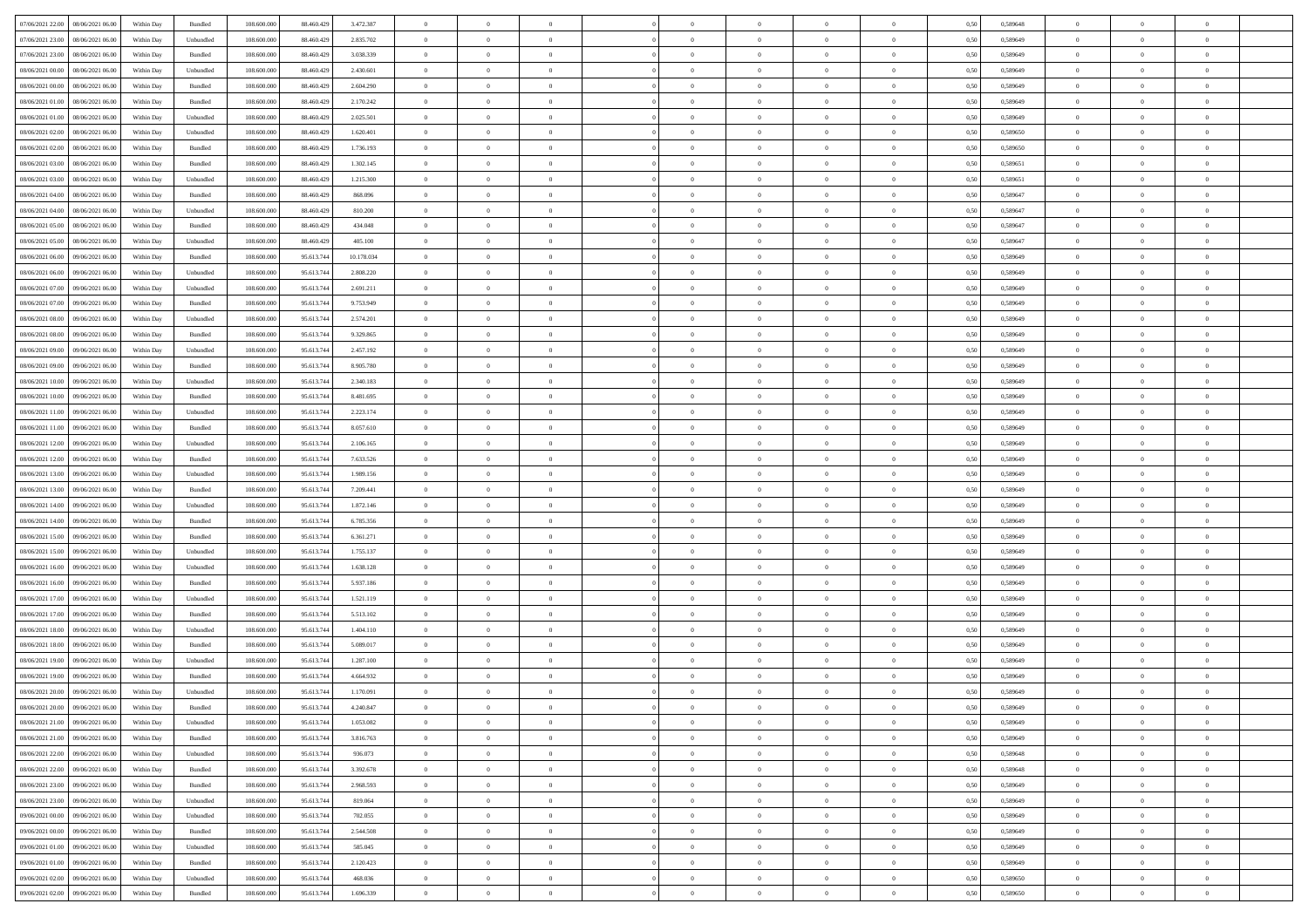| 07/06/2021 22:00   08/06/2021 06:00          | Within Day | Bundled            | 108.600.000 | 88.460.429 | 3.472.387  | $\overline{0}$ | $\overline{0}$ |                | $\overline{0}$ | $\bf{0}$       |                | $\bf{0}$       | 0,50 | 0,589648 | $\theta$       | $\theta$       | $\theta$       |  |
|----------------------------------------------|------------|--------------------|-------------|------------|------------|----------------|----------------|----------------|----------------|----------------|----------------|----------------|------|----------|----------------|----------------|----------------|--|
| 07/06/2021 23:00<br>08/06/2021 06:00         | Within Day | Unbundled          | 108.600.00  | 88.460.429 | 2.835.702  | $\bf{0}$       | $\bf{0}$       | $\bf{0}$       | $\overline{0}$ | $\bf{0}$       | $\overline{0}$ | $\bf{0}$       | 0,50 | 0,589649 | $\,$ 0 $\,$    | $\bf{0}$       | $\overline{0}$ |  |
| 07/06/2021 23:00<br>08/06/2021 06:00         | Within Day | Bundled            | 108,600,000 | 88,460,429 | 3.038.339  | $\overline{0}$ | $\bf{0}$       | $\overline{0}$ | $\bf{0}$       | $\bf{0}$       | $\overline{0}$ | $\bf{0}$       | 0.50 | 0.589649 | $\bf{0}$       | $\overline{0}$ | $\overline{0}$ |  |
| 08/06/2021 00:00<br>08/06/2021 06:00         |            |                    | 108.600.000 |            |            | $\overline{0}$ | $\overline{0}$ | $\overline{0}$ | $\theta$       | $\theta$       | $\overline{0}$ | $\bf{0}$       |      |          | $\theta$       | $\theta$       | $\overline{0}$ |  |
|                                              | Within Day | Unbundled          |             | 88.460.429 | 2.430.601  |                |                |                |                |                |                |                | 0,50 | 0,589649 |                |                |                |  |
| 08/06/2021 00:00<br>08/06/2021 06:00         | Within Day | Bundled            | 108.600.00  | 88.460.429 | 2.604.290  | $\overline{0}$ | $\overline{0}$ | $\bf{0}$       | $\overline{0}$ | $\theta$       | $\overline{0}$ | $\bf{0}$       | 0,50 | 0,589649 | $\,$ 0 $\,$    | $\bf{0}$       | $\overline{0}$ |  |
| 08/06/2021 01:00<br>08/06/2021 06:00         | Within Day | Bundled            | 108,600,000 | 88,460,429 | 2.170.242  | $\overline{0}$ | $\overline{0}$ | $\overline{0}$ | $\bf{0}$       | $\overline{0}$ | $\Omega$       | $\bf{0}$       | 0.50 | 0.589649 | $\theta$       | $\theta$       | $\overline{0}$ |  |
| 08/06/2021 01:00<br>08/06/2021 06:00         | Within Day | Unbundled          | 108.600.000 | 88.460.429 | 2.025.501  | $\overline{0}$ | $\overline{0}$ | $\overline{0}$ | $\overline{0}$ | $\theta$       | $\overline{0}$ | $\bf{0}$       | 0,50 | 0,589649 | $\theta$       | $\theta$       | $\overline{0}$ |  |
|                                              |            |                    |             |            |            |                |                |                |                |                |                |                |      |          |                |                |                |  |
| 08/06/2021 02:00<br>08/06/2021 06:00         | Within Day | Unbundled          | 108.600.00  | 88.460.429 | 1.620.401  | $\bf{0}$       | $\overline{0}$ | $\overline{0}$ | $\overline{0}$ | $\theta$       | $\overline{0}$ | $\bf{0}$       | 0,50 | 0,589650 | $\,$ 0 $\,$    | $\bf{0}$       | $\overline{0}$ |  |
| 08/06/2021 02:00<br>08/06/2021 06:00         | Within Day | Bundled            | 108,600,000 | 88,460,429 | 1.736.193  | $\overline{0}$ | $\bf{0}$       | $\overline{0}$ | $\bf{0}$       | $\overline{0}$ | $\overline{0}$ | $\bf{0}$       | 0.50 | 0.589650 | $\bf{0}$       | $\overline{0}$ | $\overline{0}$ |  |
| 08/06/2021 03:00<br>08/06/2021 06:00         | Within Day | Bundled            | 108.600.000 | 88.460.429 | 1.302.145  | $\overline{0}$ | $\bf{0}$       | $\overline{0}$ | $\overline{0}$ | $\theta$       | $\overline{0}$ | $\bf{0}$       | 0,50 | 0,589651 | $\,$ 0 $\,$    | $\bf{0}$       | $\overline{0}$ |  |
| 08/06/2021 03:00<br>08/06/2021 06:00         | Within Day | Unbundled          | 108.600.00  | 88.460.429 | 1.215.300  | $\bf{0}$       | $\overline{0}$ | $\bf{0}$       | $\overline{0}$ | $\bf{0}$       | $\overline{0}$ | $\bf{0}$       | 0,50 | 0,589651 | $\,$ 0 $\,$    | $\bf{0}$       | $\overline{0}$ |  |
|                                              |            |                    |             |            |            |                |                |                |                |                |                |                |      |          |                |                |                |  |
| 08/06/2021 04:00<br>08/06/2021 06:00         | Within Day | Bundled            | 108,600,000 | 88,460,429 | 868,096    | $\overline{0}$ | $\bf{0}$       | $\overline{0}$ | $\bf{0}$       | $\bf{0}$       | $\overline{0}$ | $\bf{0}$       | 0.50 | 0.589647 | $\bf{0}$       | $\overline{0}$ | $\overline{0}$ |  |
| 08/06/2021 04:00<br>08/06/2021 06:00         | Within Day | Unbundled          | 108.600.000 | 88.460.429 | 810.200    | $\overline{0}$ | $\overline{0}$ | $\overline{0}$ | $\overline{0}$ | $\theta$       | $\overline{0}$ | $\bf{0}$       | 0,50 | 0,589647 | $\theta$       | $\theta$       | $\overline{0}$ |  |
| 08/06/2021 05:00<br>08/06/2021 06:00         | Within Day | Bundled            | 108.600.00  | 88.460.429 | 434.048    | $\bf{0}$       | $\overline{0}$ | $\bf{0}$       | $\overline{0}$ | $\theta$       | $\overline{0}$ | $\bf{0}$       | 0,50 | 0,589647 | $\bf{0}$       | $\bf{0}$       | $\overline{0}$ |  |
|                                              |            |                    |             |            |            |                |                |                |                |                |                |                |      |          |                |                |                |  |
| 08/06/2021 05:00<br>08/06/2021 06:00         | Within Day | Unbundled          | 108,600,000 | 88,460,429 | 405.100    | $\overline{0}$ | $\overline{0}$ | $\overline{0}$ | $\bf{0}$       | $\overline{0}$ | $\Omega$       | $\bf{0}$       | 0.50 | 0.589647 | $\theta$       | $\theta$       | $\overline{0}$ |  |
| 08/06/2021 06:00<br>09/06/2021 06:00         | Within Day | Bundled            | 108.600.000 | 95.613.744 | 10.178.034 | $\overline{0}$ | $\overline{0}$ | $\overline{0}$ | $\overline{0}$ | $\theta$       | $\overline{0}$ | $\bf{0}$       | 0,50 | 0,589649 | $\theta$       | $\theta$       | $\overline{0}$ |  |
| 08/06/2021 06:00<br>09/06/2021 06.00         | Within Day | Unbundled          | 108.600.00  | 95.613.74  | 2.808.220  | $\bf{0}$       | $\overline{0}$ | $\overline{0}$ | $\overline{0}$ | $\theta$       | $\overline{0}$ | $\bf{0}$       | 0,50 | 0,589649 | $\,$ 0 $\,$    | $\bf{0}$       | $\overline{0}$ |  |
| 08/06/2021 07:00<br>09/06/2021 06:00         | Within Day | Unbundled          | 108,600,000 | 95.613.74  | 2.691.211  | $\overline{0}$ | $\bf{0}$       | $\overline{0}$ | $\bf{0}$       | $\overline{0}$ | $\overline{0}$ | $\bf{0}$       | 0.50 | 0.589649 | $\bf{0}$       | $\overline{0}$ | $\overline{0}$ |  |
|                                              |            |                    |             |            |            | $\overline{0}$ |                | $\overline{0}$ | $\overline{0}$ | $\overline{0}$ | $\overline{0}$ |                |      |          | $\,$ 0 $\,$    | $\theta$       | $\overline{0}$ |  |
| 08/06/2021 07:00<br>09/06/2021 06:00         | Within Day | Bundled            | 108.600.000 | 95.613.744 | 9.753.949  |                | $\bf{0}$       |                |                |                |                | $\bf{0}$       | 0,50 | 0,589649 |                |                |                |  |
| 08/06/2021 08:00<br>09/06/2021 06.00         | Within Day | Unbundled          | 108.600.00  | 95.613.74  | 2.574.201  | $\bf{0}$       | $\bf{0}$       | $\bf{0}$       | $\bf{0}$       | $\overline{0}$ | $\overline{0}$ | $\bf{0}$       | 0,50 | 0,589649 | $\,$ 0 $\,$    | $\bf{0}$       | $\overline{0}$ |  |
| 08/06/2021 08:00<br>09/06/2021 06:00         | Within Day | Bundled            | 108,600,000 | 95.613.744 | 9.329.865  | $\overline{0}$ | $\bf{0}$       | $\overline{0}$ | $\bf{0}$       | $\bf{0}$       | $\overline{0}$ | $\bf{0}$       | 0.50 | 0.589649 | $\bf{0}$       | $\overline{0}$ | $\overline{0}$ |  |
| 08/06/2021 09:00<br>09/06/2021 06:00         | Within Day | Unbundled          | 108.600.000 | 95.613.744 | 2.457.192  | $\overline{0}$ | $\overline{0}$ | $\overline{0}$ | $\theta$       | $\theta$       | $\overline{0}$ | $\bf{0}$       | 0,50 | 0,589649 | $\theta$       | $\theta$       | $\overline{0}$ |  |
|                                              |            |                    |             |            |            |                | $\overline{0}$ |                | $\overline{0}$ | $\theta$       | $\overline{0}$ |                |      |          | $\,$ 0 $\,$    | $\bf{0}$       | $\overline{0}$ |  |
| 08/06/2021 09:00<br>09/06/2021 06.00         | Within Day | Bundled            | 108.600.00  | 95.613.74  | 8.905.780  | $\bf{0}$       |                | $\bf{0}$       |                |                |                | $\bf{0}$       | 0,50 | 0,589649 |                |                |                |  |
| 08/06/2021 10:00<br>09/06/2021 06:00         | Within Day | Unbundled          | 108,600,000 | 95.613.74  | 2.340.183  | $\overline{0}$ | $\overline{0}$ | $\overline{0}$ | $\overline{0}$ | $\overline{0}$ | $\Omega$       | $\bf{0}$       | 0.50 | 0.589649 | $\bf{0}$       | $\theta$       | $\overline{0}$ |  |
| 08/06/2021 10:00<br>09/06/2021 06:00         | Within Day | Bundled            | 108.600.000 | 95.613.744 | 8.481.695  | $\overline{0}$ | $\overline{0}$ | $\overline{0}$ | $\overline{0}$ | $\theta$       | $\overline{0}$ | $\bf{0}$       | 0,50 | 0,589649 | $\theta$       | $\theta$       | $\overline{0}$ |  |
| 08/06/2021 11:00<br>09/06/2021 06.00         | Within Day | Unbundled          | 108.600.00  | 95.613.74  | 2.223.174  | $\bf{0}$       | $\overline{0}$ | $\bf{0}$       | $\overline{0}$ | $\theta$       | $\overline{0}$ | $\bf{0}$       | 0,50 | 0,589649 | $\,$ 0 $\,$    | $\bf{0}$       | $\overline{0}$ |  |
| 09/06/2021 06:00                             |            | Bundled            | 108,600,000 | 95.613.74  | 8.057.610  |                | $\bf{0}$       | $\overline{0}$ |                | $\overline{0}$ | $\overline{0}$ |                | 0.50 | 0.589649 | $\bf{0}$       | $\overline{0}$ | $\overline{0}$ |  |
| 08/06/2021 11:00                             | Within Day |                    |             |            |            | $\overline{0}$ |                |                | $\bf{0}$       |                |                | $\bf{0}$       |      |          |                |                |                |  |
| 08/06/2021 12:00<br>09/06/2021 06:00         | Within Day | Unbundled          | 108.600.000 | 95.613.744 | 2.106.165  | $\overline{0}$ | $\overline{0}$ | $\overline{0}$ | $\overline{0}$ | $\overline{0}$ | $\overline{0}$ | $\bf{0}$       | 0,50 | 0,589649 | $\theta$       | $\theta$       | $\overline{0}$ |  |
| 08/06/2021 12:00<br>09/06/2021 06.00         | Within Day | Bundled            | 108.600.00  | 95.613.74  | 7.633.526  | $\bf{0}$       | $\bf{0}$       | $\bf{0}$       | $\bf{0}$       | $\overline{0}$ | $\overline{0}$ | $\bf{0}$       | 0,50 | 0,589649 | $\,$ 0 $\,$    | $\bf{0}$       | $\overline{0}$ |  |
| 08/06/2021 13:00<br>09/06/2021 06:00         | Within Day | Unbundled          | 108,600,000 | 95.613.744 | 1.989.156  | $\overline{0}$ | $\bf{0}$       | $\overline{0}$ | $\bf{0}$       | $\bf{0}$       | $\overline{0}$ | $\bf{0}$       | 0.50 | 0.589649 | $\bf{0}$       | $\overline{0}$ | $\overline{0}$ |  |
| 08/06/2021 13:00<br>09/06/2021 06:00         | Within Day | Bundled            | 108.600.000 | 95.613.74  | 7.209.441  | $\overline{0}$ | $\overline{0}$ | $\overline{0}$ | $\overline{0}$ | $\overline{0}$ | $\overline{0}$ | $\bf{0}$       | 0.50 | 0.589649 | $\theta$       | $\theta$       | $\overline{0}$ |  |
|                                              |            |                    |             |            |            |                |                |                |                |                |                |                |      |          |                |                |                |  |
| 08/06/2021 14:00<br>09/06/2021 06.00         | Within Day | Unbundled          | 108.600.00  | 95.613.74  | 1.872.146  | $\bf{0}$       | $\overline{0}$ | $\bf{0}$       | $\overline{0}$ | $\overline{0}$ | $\overline{0}$ | $\bf{0}$       | 0,50 | 0,589649 | $\,$ 0 $\,$    | $\bf{0}$       | $\overline{0}$ |  |
| 08/06/2021 14:00<br>09/06/2021 06:00         | Within Day | Bundled            | 108,600,000 | 95.613.744 | 6.785.356  | $\overline{0}$ | $\overline{0}$ | $\overline{0}$ | $\bf{0}$       | $\theta$       | $\Omega$       | $\bf{0}$       | 0.50 | 0.589649 | $\,$ 0 $\,$    | $\theta$       | $\overline{0}$ |  |
| 08/06/2021 15:00<br>09/06/2021 06:00         | Within Dav | Bundled            | 108.600.000 | 95.613.744 | 6.361.271  | $\overline{0}$ | $\overline{0}$ | $\overline{0}$ | $\overline{0}$ | $\theta$       | $\overline{0}$ | $\overline{0}$ | 0.50 | 0.589649 | $\theta$       | $\theta$       | $\overline{0}$ |  |
| 08/06/2021 15:00<br>09/06/2021 06.00         | Within Day | Unbundled          | 108.600.00  | 95.613.74  | 1.755.137  | $\bf{0}$       | $\bf{0}$       | $\bf{0}$       | $\overline{0}$ | $\bf{0}$       | $\overline{0}$ | $\bf{0}$       | 0,50 | 0,589649 | $\,$ 0 $\,$    | $\bf{0}$       | $\overline{0}$ |  |
|                                              |            |                    |             |            |            |                |                |                |                |                |                |                |      |          |                |                |                |  |
| 08/06/2021 16:00<br>09/06/2021 06:00         | Within Day | Unbundled          | 108,600,000 | 95.613.74  | 1.638.128  | $\overline{0}$ | $\bf{0}$       | $\overline{0}$ | $\bf{0}$       | $\overline{0}$ | $\overline{0}$ | $\bf{0}$       | 0.50 | 0.589649 | $\bf{0}$       | $\overline{0}$ | $\overline{0}$ |  |
| 08/06/2021 16:00<br>09/06/2021 06:00         | Within Dav | Bundled            | 108.600.000 | 95.613.744 | 5.937.186  | $\overline{0}$ | $\overline{0}$ | $\overline{0}$ | $\overline{0}$ | $\overline{0}$ | $\overline{0}$ | $\overline{0}$ | 0.50 | 0.589649 | $\theta$       | $\theta$       | $\overline{0}$ |  |
| 08/06/2021 17:00<br>09/06/2021 06.00         | Within Day | Unbundled          | 108.600.00  | 95.613.74  | 1.521.119  | $\bf{0}$       | $\bf{0}$       | $\bf{0}$       | $\bf{0}$       | $\overline{0}$ | $\overline{0}$ | $\bf{0}$       | 0,50 | 0,589649 | $\,$ 0 $\,$    | $\bf{0}$       | $\overline{0}$ |  |
| 08/06/2021 17:00<br>09/06/2021 06:00         | Within Day | Bundled            | 108,600,000 | 95.613.744 | 5.513.102  | $\overline{0}$ | $\bf{0}$       | $\overline{0}$ | $\bf{0}$       | $\bf{0}$       | $\overline{0}$ | $\bf{0}$       | 0.50 | 0.589649 | $\bf{0}$       | $\overline{0}$ | $\overline{0}$ |  |
|                                              |            |                    |             |            |            |                |                |                |                |                |                |                |      |          |                |                |                |  |
| 08/06/2021 18:00<br>09/06/2021 06:00         | Within Dav | Unbundled          | 108.600.000 | 95.613.744 | 1.404.110  | $\overline{0}$ | $\overline{0}$ | $\overline{0}$ | $\overline{0}$ | $\theta$       | $\overline{0}$ | $\bf{0}$       | 0.50 | 0.589649 | $\theta$       | $\theta$       | $\overline{0}$ |  |
| 08/06/2021 18:00<br>09/06/2021 06.00         | Within Day | Bundled            | 108.600.00  | 95.613.74  | 5.089.017  | $\bf{0}$       | $\bf{0}$       | $\bf{0}$       | $\bf{0}$       | $\overline{0}$ | $\overline{0}$ | $\bf{0}$       | 0,50 | 0,589649 | $\,$ 0 $\,$    | $\bf{0}$       | $\overline{0}$ |  |
| 08/06/2021 19:00<br>09/06/2021 06:00         | Within Day | Unbundled          | 108,600,000 | 95.613.74  | 1.287.100  | $\overline{0}$ | $\overline{0}$ | $\overline{0}$ | $\overline{0}$ | $\overline{0}$ | $\Omega$       | $\bf{0}$       | 0.50 | 0.589649 | $\,$ 0 $\,$    | $\theta$       | $\overline{0}$ |  |
| 08/06/2021 19:00<br>09/06/2021 06:00         | Within Dav | Bundled            | 108.600.000 | 95.613.74  | 4.664.932  | $\overline{0}$ | $\overline{0}$ | $\Omega$       | $\overline{0}$ | $\theta$       | $\Omega$       | $\overline{0}$ | 0.50 | 0.589649 | $\theta$       | $\theta$       | $\overline{0}$ |  |
| 08/06/2021 20:00                             |            |                    |             |            |            | $\bf{0}$       | $\bf{0}$       | $\overline{0}$ | $\bf{0}$       | $\bf{0}$       | $\overline{0}$ |                |      |          | $\,$ 0 $\,$    | $\bf{0}$       | $\overline{0}$ |  |
| 09/06/2021 06:00                             | Within Day | Unbundled          | 108.600.00  | 95.613.744 | 1.170.091  |                |                |                |                |                |                | $\bf{0}$       | 0,50 | 0,589649 |                |                |                |  |
| $08/06/2021\ 20.00 \qquad 09/06/2021\ 06.00$ | Within Day | $\mathbf B$ undled | 108.600.000 | 95.613.744 | 4.240.847  | $\overline{0}$ |                |                | $\Omega$       |                |                |                | 0,50 | 0.589649 | $\theta$       | $\overline{0}$ |                |  |
| 08/06/2021 21:00 09/06/2021 06:00            | Within Day | Unbundled          | 108.600.000 | 95.613.744 | 1.053.082  | $\overline{0}$ | $\overline{0}$ | $\overline{0}$ | $\theta$       | $\overline{0}$ | $\overline{0}$ | $\bf{0}$       | 0,50 | 0,589649 | $\theta$       | $\overline{0}$ | $\overline{0}$ |  |
| 08/06/2021 21:00<br>09/06/2021 06:00         | Within Day | Bundled            | 108.600.00  | 95.613.744 | 3.816.763  | $\overline{0}$ | $\bf{0}$       | $\overline{0}$ | $\overline{0}$ | $\bf{0}$       | $\overline{0}$ | $\bf{0}$       | 0,50 | 0,589649 | $\bf{0}$       | $\overline{0}$ | $\bf{0}$       |  |
|                                              |            |                    |             |            |            |                |                |                |                |                |                |                |      |          |                |                |                |  |
| 08/06/2021 22:00 09/06/2021 06:00            | Within Day | Unbundled          | 108,600,000 | 95.613.744 | 936.073    | $\overline{0}$ | $\bf{0}$       | $\overline{0}$ | $\overline{0}$ | $\mathbf{0}$   | $\overline{0}$ | $\,$ 0 $\,$    | 0.50 | 0.589648 | $\overline{0}$ | $\bf{0}$       | $\bf{0}$       |  |
| 08/06/2021 22:00 09/06/2021 06:00            | Within Dav | Bundled            | 108.600.000 | 95.613.744 | 3.392.678  | $\overline{0}$ | $\overline{0}$ | $\overline{0}$ | $\overline{0}$ | $\overline{0}$ | $\overline{0}$ | $\bf{0}$       | 0,50 | 0.589648 | $\overline{0}$ | $\theta$       | $\overline{0}$ |  |
| 08/06/2021 23:00<br>09/06/2021 06:00         | Within Day | Bundled            | 108.600.000 | 95.613.744 | 2.968.593  | $\overline{0}$ | $\bf{0}$       | $\overline{0}$ | $\overline{0}$ | $\bf{0}$       | $\overline{0}$ | $\bf{0}$       | 0,50 | 0,589649 | $\bf{0}$       | $\overline{0}$ | $\overline{0}$ |  |
| 08/06/2021 23:00<br>09/06/2021 06:00         | Within Day | Unbundled          | 108,600,000 | 95.613.744 | 819.064    | $\overline{0}$ | $\bf{0}$       | $\overline{0}$ | $\overline{0}$ | $\bf{0}$       | $\overline{0}$ | $\bf{0}$       | 0.50 | 0.589649 | $\,$ 0 $\,$    | $\overline{0}$ | $\overline{0}$ |  |
|                                              |            |                    |             |            |            |                |                |                |                |                |                |                |      |          |                |                |                |  |
| 09/06/2021 00:00<br>09/06/2021 06:00         | Within Dav | Unbundled          | 108.600.000 | 95.613.744 | 702.055    | $\overline{0}$ | $\overline{0}$ | $\overline{0}$ | $\overline{0}$ | $\overline{0}$ | $\overline{0}$ | $\bf{0}$       | 0,50 | 0.589649 | $\overline{0}$ | $\theta$       | $\overline{0}$ |  |
| 09/06/2021 00:00<br>09/06/2021 06:00         | Within Day | Bundled            | 108.600.00  | 95.613.744 | 2.544.508  | $\overline{0}$ | $\overline{0}$ | $\overline{0}$ | $\overline{0}$ | $\overline{0}$ | $\overline{0}$ | $\bf{0}$       | 0,50 | 0,589649 | $\bf{0}$       | $\overline{0}$ | $\,$ 0         |  |
| 09/06/2021 01:00<br>09/06/2021 06:00         | Within Day | Unbundled          | 108,600,000 | 95.613.744 | 585,045    | $\overline{0}$ | $\overline{0}$ | $\overline{0}$ | $\overline{0}$ | $\overline{0}$ | $\overline{0}$ | $\bf{0}$       | 0.50 | 0.589649 | $\mathbf{0}$   | $\bf{0}$       | $\,$ 0         |  |
| 09/06/2021 01:00<br>09/06/2021 06:00         | Within Dav | Bundled            | 108.600.000 | 95.613.744 | 2.120.423  | $\overline{0}$ | $\overline{0}$ | $\overline{0}$ | $\overline{0}$ | $\overline{0}$ | $\overline{0}$ | $\bf{0}$       | 0,50 | 0.589649 | $\overline{0}$ | $\theta$       | $\overline{0}$ |  |
|                                              |            |                    |             |            |            |                |                |                |                |                |                |                |      |          |                |                |                |  |
| 09/06/2021 02:00<br>09/06/2021 06.00         | Within Day | Unbundled          | 108.600.00  | 95.613.744 | 468.036    | $\overline{0}$ | $\bf{0}$       | $\overline{0}$ | $\overline{0}$ | $\overline{0}$ | $\overline{0}$ | $\bf{0}$       | 0,50 | 0,589650 | $\bf{0}$       | $\overline{0}$ | $\bf{0}$       |  |
| 09/06/2021 02:00 09/06/2021 06:00            | Within Day | Bundled            | 108.600.000 | 95.613.744 | 1.696.339  | $\overline{0}$ | $\bf{0}$       | $\overline{0}$ | $\overline{0}$ | $\,$ 0 $\,$    | $\overline{0}$ | $\,$ 0 $\,$    | 0,50 | 0,589650 | $\overline{0}$ | $\,$ 0 $\,$    | $\,$ 0 $\,$    |  |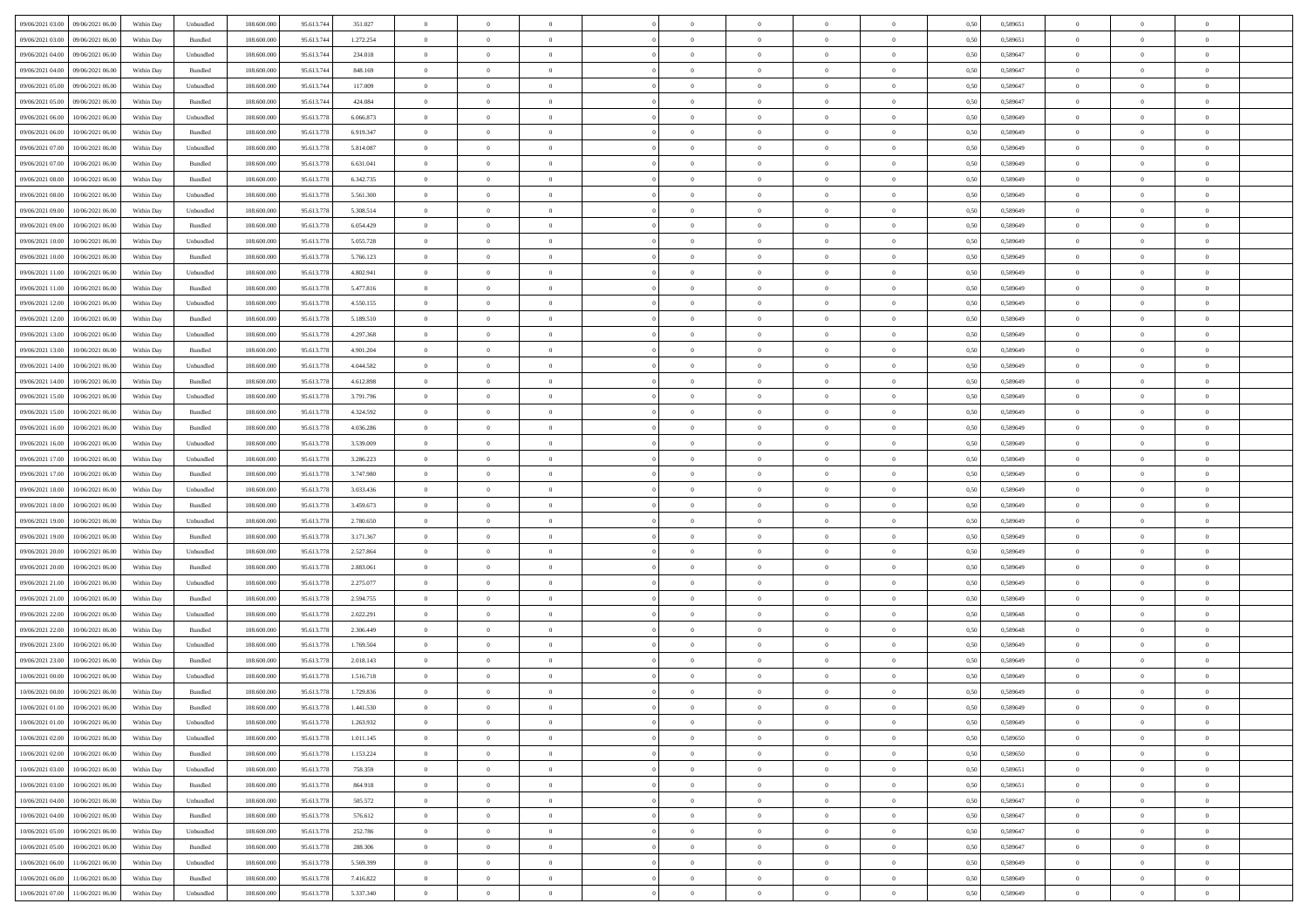| 09/06/2021 03:00 09/06/2021 06:00            | Within Day | Unbundled | 108.600.000 | 95.613.744 | 351.027   | $\overline{0}$ | $\overline{0}$ |                | $\overline{0}$ | $\bf{0}$       |                | $\bf{0}$       | 0,50 | 0,589651 | $\theta$       | $\theta$       | $\theta$       |  |
|----------------------------------------------|------------|-----------|-------------|------------|-----------|----------------|----------------|----------------|----------------|----------------|----------------|----------------|------|----------|----------------|----------------|----------------|--|
| 09/06/2021 03:00<br>09/06/2021 06.00         | Within Day | Bundled   | 108.600.00  | 95.613.74  | 1.272.254 | $\bf{0}$       | $\bf{0}$       | $\bf{0}$       | $\overline{0}$ | $\overline{0}$ | $\overline{0}$ | $\bf{0}$       | 0,50 | 0,589651 | $\,$ 0 $\,$    | $\bf{0}$       | $\overline{0}$ |  |
| 09/06/2021 04:00<br>09/06/2021 06:00         | Within Day | Unbundled | 108,600,000 | 95.613.744 | 234,018   | $\overline{0}$ | $\bf{0}$       | $\overline{0}$ | $\bf{0}$       | $\bf{0}$       | $\overline{0}$ | $\bf{0}$       | 0.50 | 0.589647 | $\bf{0}$       | $\overline{0}$ | $\overline{0}$ |  |
| 09/06/2021 04:00<br>09/06/2021 06:00         |            |           | 108.600.000 |            |           | $\overline{0}$ | $\overline{0}$ | $\overline{0}$ | $\theta$       | $\theta$       | $\overline{0}$ | $\bf{0}$       |      |          | $\theta$       | $\theta$       | $\overline{0}$ |  |
|                                              | Within Day | Bundled   |             | 95.613.744 | 848.169   |                |                |                |                |                |                |                | 0,50 | 0,589647 |                |                |                |  |
| 09/06/2021 05:00<br>09/06/2021 06.00         | Within Day | Unbundled | 108.600.00  | 95.613.74  | 117.009   | $\overline{0}$ | $\overline{0}$ | $\bf{0}$       | $\overline{0}$ | $\theta$       | $\overline{0}$ | $\bf{0}$       | 0,50 | 0,589647 | $\,$ 0 $\,$    | $\bf{0}$       | $\overline{0}$ |  |
| 09/06/2021 05:00<br>09/06/2021 06:00         | Within Day | Bundled   | 108,600,000 | 95.613.744 | 424.084   | $\overline{0}$ | $\overline{0}$ | $\overline{0}$ | $\bf{0}$       | $\overline{0}$ | $\Omega$       | $\bf{0}$       | 0.50 | 0.589647 | $\bf{0}$       | $\theta$       | $\overline{0}$ |  |
| 09/06/2021 06:00<br>10/06/2021 06:00         | Within Day | Unbundled | 108.600.000 | 95.613.778 | 6.066.873 | $\overline{0}$ | $\overline{0}$ | $\overline{0}$ | $\overline{0}$ | $\overline{0}$ | $\overline{0}$ | $\bf{0}$       | 0,50 | 0,589649 | $\theta$       | $\theta$       | $\overline{0}$ |  |
|                                              |            |           |             |            |           |                |                |                |                |                |                |                |      |          |                |                |                |  |
| 09/06/2021 06:00<br>10/06/2021 06:00         | Within Day | Bundled   | 108.600.00  | 95.613.778 | 6.919.347 | $\overline{0}$ | $\overline{0}$ | $\overline{0}$ | $\overline{0}$ | $\theta$       | $\overline{0}$ | $\bf{0}$       | 0,50 | 0,589649 | $\,$ 0 $\,$    | $\bf{0}$       | $\overline{0}$ |  |
| 09/06/2021 07:00<br>10/06/2021 06:00         | Within Day | Unbundled | 108,600,000 | 95.613.778 | 5.814.087 | $\overline{0}$ | $\bf{0}$       | $\overline{0}$ | $\bf{0}$       | $\overline{0}$ | $\overline{0}$ | $\bf{0}$       | 0.50 | 0.589649 | $\bf{0}$       | $\overline{0}$ | $\overline{0}$ |  |
| 09/06/2021 07:00<br>10/06/2021 06:00         | Within Day | Bundled   | 108.600.000 | 95.613.778 | 6.631.041 | $\overline{0}$ | $\bf{0}$       | $\overline{0}$ | $\overline{0}$ | $\overline{0}$ | $\overline{0}$ | $\bf{0}$       | 0,50 | 0,589649 | $\,$ 0 $\,$    | $\bf{0}$       | $\overline{0}$ |  |
| 09/06/2021 08:00<br>10/06/2021 06:00         | Within Day | Bundled   | 108.600.00  | 95.613.778 | 6.342.735 | $\bf{0}$       | $\overline{0}$ | $\bf{0}$       | $\bf{0}$       | $\bf{0}$       | $\overline{0}$ | $\bf{0}$       | 0,50 | 0,589649 | $\,$ 0 $\,$    | $\bf{0}$       | $\overline{0}$ |  |
|                                              |            |           |             |            |           |                |                |                |                |                |                |                |      |          |                |                |                |  |
| 09/06/2021 08:00<br>10/06/2021 06:00         | Within Day | Unbundled | 108,600,000 | 95.613.778 | 5.561.300 | $\overline{0}$ | $\bf{0}$       | $\overline{0}$ | $\overline{0}$ | $\bf{0}$       | $\overline{0}$ | $\bf{0}$       | 0.50 | 0.589649 | $\bf{0}$       | $\overline{0}$ | $\overline{0}$ |  |
| 09/06/2021 09:00<br>10/06/2021 06:00         | Within Day | Unbundled | 108.600.000 | 95.613.778 | 5.308.514 | $\overline{0}$ | $\overline{0}$ | $\overline{0}$ | $\theta$       | $\theta$       | $\overline{0}$ | $\bf{0}$       | 0,50 | 0,589649 | $\,$ 0 $\,$    | $\theta$       | $\overline{0}$ |  |
| 09/06/2021 09:00<br>10/06/2021 06:00         | Within Day | Bundled   | 108.600.00  | 95.613.778 | 6.054.429 | $\bf{0}$       | $\overline{0}$ | $\bf{0}$       | $\overline{0}$ | $\theta$       | $\overline{0}$ | $\bf{0}$       | 0,50 | 0,589649 | $\bf{0}$       | $\bf{0}$       | $\overline{0}$ |  |
|                                              |            |           |             |            |           |                |                |                |                |                |                |                |      |          |                |                |                |  |
| 09/06/2021 10:00<br>10/06/2021 06:00         | Within Day | Unbundled | 108,600,000 | 95.613.778 | 5.055.728 | $\overline{0}$ | $\overline{0}$ | $\overline{0}$ | $\bf{0}$       | $\overline{0}$ | $\Omega$       | $\bf{0}$       | 0.50 | 0.589649 | $\bf{0}$       | $\theta$       | $\overline{0}$ |  |
| 09/06/2021 10:00<br>10/06/2021 06:00         | Within Day | Bundled   | 108.600.000 | 95.613.778 | 5.766.123 | $\overline{0}$ | $\overline{0}$ | $\overline{0}$ | $\overline{0}$ | $\theta$       | $\overline{0}$ | $\bf{0}$       | 0,50 | 0,589649 | $\theta$       | $\theta$       | $\overline{0}$ |  |
| 09/06/2021 11:00<br>10/06/2021 06:00         | Within Day | Unbundled | 108.600.00  | 95.613.778 | 4.802.941 | $\bf{0}$       | $\overline{0}$ | $\overline{0}$ | $\overline{0}$ | $\theta$       | $\overline{0}$ | $\bf{0}$       | 0,50 | 0,589649 | $\,$ 0 $\,$    | $\bf{0}$       | $\overline{0}$ |  |
| 09/06/2021 11:00<br>10/06/2021 06:00         | Within Day | Bundled   | 108,600,000 | 95.613.778 | 5.477.816 | $\overline{0}$ | $\bf{0}$       | $\overline{0}$ | $\bf{0}$       | $\overline{0}$ | $\overline{0}$ | $\bf{0}$       | 0.50 | 0.589649 | $\bf{0}$       | $\overline{0}$ | $\overline{0}$ |  |
|                                              |            |           |             |            |           |                |                |                |                |                |                |                |      |          |                |                |                |  |
| 09/06/2021 12:00<br>10/06/2021 06:00         | Within Day | Unbundled | 108.600.000 | 95.613.778 | 4.550.155 | $\overline{0}$ | $\bf{0}$       | $\overline{0}$ | $\overline{0}$ | $\overline{0}$ | $\overline{0}$ | $\bf{0}$       | 0,50 | 0,589649 | $\,$ 0 $\,$    | $\bf{0}$       | $\overline{0}$ |  |
| 09/06/2021 12:00<br>10/06/2021 06:00         | Within Day | Bundled   | 108.600.00  | 95.613.778 | 5.189.510 | $\bf{0}$       | $\bf{0}$       | $\bf{0}$       | $\bf{0}$       | $\overline{0}$ | $\overline{0}$ | $\bf{0}$       | 0,50 | 0,589649 | $\,$ 0 $\,$    | $\bf{0}$       | $\overline{0}$ |  |
| 09/06/2021 13:00<br>10/06/2021 06:00         | Within Day | Unbundled | 108,600,000 | 95.613.778 | 4.297.368 | $\overline{0}$ | $\bf{0}$       | $\overline{0}$ | $\overline{0}$ | $\bf{0}$       | $\overline{0}$ | $\bf{0}$       | 0.50 | 0.589649 | $\bf{0}$       | $\overline{0}$ | $\overline{0}$ |  |
| 09/06/2021 13:00<br>10/06/2021 06:00         | Within Day | Bundled   | 108.600.000 | 95.613.778 | 4.901.204 | $\overline{0}$ | $\overline{0}$ | $\overline{0}$ | $\theta$       | $\theta$       | $\overline{0}$ | $\bf{0}$       | 0,50 | 0,589649 | $\theta$       | $\theta$       | $\overline{0}$ |  |
|                                              |            |           |             |            |           |                | $\overline{0}$ |                |                | $\theta$       | $\overline{0}$ |                |      |          | $\,$ 0 $\,$    | $\bf{0}$       | $\overline{0}$ |  |
| 09/06/2021 14:00<br>10/06/2021 06:00         | Within Day | Unbundled | 108.600.00  | 95.613.778 | 4.044.582 | $\bf{0}$       |                | $\bf{0}$       | $\bf{0}$       |                |                | $\bf{0}$       | 0,50 | 0,589649 |                |                |                |  |
| 09/06/2021 14:00<br>10/06/2021 06:00         | Within Day | Bundled   | 108,600,000 | 95.613.778 | 4.612.898 | $\overline{0}$ | $\overline{0}$ | $\overline{0}$ | $\overline{0}$ | $\overline{0}$ | $\Omega$       | $\bf{0}$       | 0.50 | 0.589649 | $\bf{0}$       | $\theta$       | $\overline{0}$ |  |
| 09/06/2021 15:00<br>10/06/2021 06:00         | Within Day | Unbundled | 108.600.000 | 95.613.778 | 3.791.796 | $\overline{0}$ | $\overline{0}$ | $\overline{0}$ | $\overline{0}$ | $\theta$       | $\overline{0}$ | $\bf{0}$       | 0,50 | 0,589649 | $\,$ 0 $\,$    | $\theta$       | $\overline{0}$ |  |
| 09/06/2021 15:00<br>10/06/2021 06:00         | Within Day | Bundled   | 108.600.00  | 95.613.778 | 4.324.592 | $\bf{0}$       | $\overline{0}$ | $\bf{0}$       | $\overline{0}$ | $\theta$       | $\overline{0}$ | $\bf{0}$       | 0,50 | 0,589649 | $\,$ 0 $\,$    | $\bf{0}$       | $\overline{0}$ |  |
| 09/06/2021 16:00<br>10/06/2021 06:00         | Within Day | Bundled   | 108,600,000 | 95.613.778 | 4.036.286 | $\overline{0}$ | $\bf{0}$       | $\overline{0}$ | $\bf{0}$       | $\overline{0}$ | $\overline{0}$ | $\bf{0}$       | 0.50 | 0.589649 | $\bf{0}$       | $\overline{0}$ | $\overline{0}$ |  |
|                                              |            |           |             |            |           |                |                |                |                |                |                |                |      |          |                |                |                |  |
| 09/06/2021 16:00<br>10/06/2021 06:00         | Within Day | Unbundled | 108.600.000 | 95.613.778 | 3.539.009 | $\overline{0}$ | $\overline{0}$ | $\overline{0}$ | $\overline{0}$ | $\overline{0}$ | $\overline{0}$ | $\bf{0}$       | 0,50 | 0,589649 | $\theta$       | $\theta$       | $\overline{0}$ |  |
| 09/06/2021 17:00<br>10/06/2021 06:00         | Within Day | Unbundled | 108.600.00  | 95.613.778 | 3.286.223 | $\bf{0}$       | $\bf{0}$       | $\bf{0}$       | $\bf{0}$       | $\overline{0}$ | $\overline{0}$ | $\bf{0}$       | 0,50 | 0,589649 | $\,$ 0 $\,$    | $\bf{0}$       | $\overline{0}$ |  |
| 09/06/2021 17:00<br>10/06/2021 06:00         | Within Day | Bundled   | 108,600,000 | 95.613.778 | 3.747.980 | $\overline{0}$ | $\bf{0}$       | $\overline{0}$ | $\bf{0}$       | $\bf{0}$       | $\overline{0}$ | $\bf{0}$       | 0.50 | 0.589649 | $\bf{0}$       | $\overline{0}$ | $\overline{0}$ |  |
| 09/06/2021 18:00<br>10/06/2021 06:00         | Within Day | Unbundled | 108.600.000 | 95.613.778 | 3.033.436 | $\overline{0}$ | $\overline{0}$ | $\overline{0}$ | $\overline{0}$ | $\overline{0}$ | $\overline{0}$ | $\bf{0}$       | 0.50 | 0.589649 | $\theta$       | $\theta$       | $\overline{0}$ |  |
|                                              |            |           |             |            |           |                |                |                |                |                |                |                |      |          |                |                |                |  |
| 09/06/2021 18:00<br>10/06/2021 06:00         | Within Day | Bundled   | 108.600.00  | 95.613.778 | 3.459.673 | $\bf{0}$       | $\overline{0}$ | $\bf{0}$       | $\bf{0}$       | $\overline{0}$ | $\overline{0}$ | $\bf{0}$       | 0,50 | 0,589649 | $\,$ 0 $\,$    | $\bf{0}$       | $\overline{0}$ |  |
| 09/06/2021 19:00<br>10/06/2021 06:00         | Within Day | Unbundled | 108,600,000 | 95.613.778 | 2.780.650 | $\overline{0}$ | $\bf{0}$       | $\overline{0}$ | $\bf{0}$       | $\overline{0}$ | $\Omega$       | $\bf{0}$       | 0.50 | 0.589649 | $\,$ 0 $\,$    | $\theta$       | $\overline{0}$ |  |
| 09/06/2021 19:00<br>10/06/2021 06:00         | Within Dav | Bundled   | 108.600.000 | 95.613.778 | 3.171.367 | $\overline{0}$ | $\overline{0}$ | $\overline{0}$ | $\overline{0}$ | $\theta$       | $\overline{0}$ | $\overline{0}$ | 0.50 | 0.589649 | $\theta$       | $\theta$       | $\overline{0}$ |  |
| 09/06/2021 20:00<br>10/06/2021 06:00         | Within Day | Unbundled | 108.600.00  | 95.613.77  | 2.527.864 | $\bf{0}$       | $\bf{0}$       | $\bf{0}$       | $\bf{0}$       | $\bf{0}$       | $\overline{0}$ | $\bf{0}$       | 0,50 | 0,589649 | $\,$ 0 $\,$    | $\bf{0}$       | $\overline{0}$ |  |
| 10/06/2021 06:00                             |            | Bundled   | 108,600,000 | 95.613.778 | 2.883.061 |                | $\bf{0}$       | $\overline{0}$ |                | $\overline{0}$ | $\overline{0}$ |                | 0.50 | 0.589649 | $\bf{0}$       | $\overline{0}$ | $\overline{0}$ |  |
| 09/06/2021 20:00                             | Within Day |           |             |            |           | $\overline{0}$ |                |                | $\bf{0}$       |                |                | $\bf{0}$       |      |          |                |                |                |  |
| 09/06/2021 21:00<br>10/06/2021 06:00         | Within Dav | Unbundled | 108.600.000 | 95.613.778 | 2.275.077 | $\overline{0}$ | $\overline{0}$ | $\overline{0}$ | $\overline{0}$ | $\overline{0}$ | $\overline{0}$ | $\overline{0}$ | 0.50 | 0.589649 | $\theta$       | $\theta$       | $\overline{0}$ |  |
| 09/06/2021 21:00<br>10/06/2021 06:00         | Within Day | Bundled   | 108.600.00  | 95.613.778 | 2.594.755 | $\bf{0}$       | $\bf{0}$       | $\bf{0}$       | $\bf{0}$       | $\overline{0}$ | $\overline{0}$ | $\bf{0}$       | 0,50 | 0,589649 | $\,$ 0 $\,$    | $\bf{0}$       | $\overline{0}$ |  |
| 09/06/2021 22.00<br>10/06/2021 06:00         | Within Day | Unbundled | 108,600,000 | 95.613.778 | 2.022.291 | $\overline{0}$ | $\bf{0}$       | $\overline{0}$ | $\overline{0}$ | $\bf{0}$       | $\overline{0}$ | $\bf{0}$       | 0.50 | 0.589648 | $\bf{0}$       | $\overline{0}$ | $\overline{0}$ |  |
| 09/06/2021 22:00<br>10/06/2021 06:00         | Within Dav | Bundled   | 108.600.000 | 95.613.778 | 2.306.449 | $\overline{0}$ | $\overline{0}$ | $\overline{0}$ | $\overline{0}$ | $\theta$       | $\overline{0}$ | $\bf{0}$       | 0.50 | 0.589648 | $\theta$       | $\theta$       | $\overline{0}$ |  |
|                                              |            |           |             |            |           |                |                |                |                |                |                |                |      |          |                |                |                |  |
| 09/06/2021 23:00<br>10/06/2021 06:00         | Within Day | Unbundled | 108.600.00  | 95.613.778 | 1.769.504 | $\bf{0}$       | $\bf{0}$       | $\bf{0}$       | $\bf{0}$       | $\overline{0}$ | $\overline{0}$ | $\bf{0}$       | 0,50 | 0,589649 | $\,$ 0 $\,$    | $\bf{0}$       | $\overline{0}$ |  |
| 09/06/2021 23:00<br>10/06/2021 06:00         | Within Day | Bundled   | 108,600,000 | 95.613.778 | 2.018.143 | $\overline{0}$ | $\overline{0}$ | $\overline{0}$ | $\overline{0}$ | $\theta$       | $\Omega$       | $\bf{0}$       | 0.50 | 0.589649 | $\,$ 0 $\,$    | $\theta$       | $\overline{0}$ |  |
| 10/06/2021 00:00<br>10/06/2021 06:00         | Within Dav | Unbundled | 108.600.000 | 95.613.778 | 1.516.718 | $\overline{0}$ | $\overline{0}$ | $\Omega$       | $\overline{0}$ | $\theta$       | $\Omega$       | $\overline{0}$ | 0.5( | 0.589649 | $\theta$       | $\theta$       | $\overline{0}$ |  |
| 10/06/2021 00:00<br>10/06/2021 06:00         | Within Day | Bundled   | 108.600.000 | 95.613.778 | 1.729.836 | $\bf{0}$       | $\,$ 0 $\,$    | $\overline{0}$ | $\bf{0}$       | $\bf{0}$       | $\overline{0}$ | $\bf{0}$       | 0,50 | 0,589649 | $\,$ 0 $\,$    | $\bf{0}$       | $\overline{0}$ |  |
|                                              |            |           |             |            |           |                |                |                |                |                |                |                |      |          |                |                |                |  |
| $10/06/2021\;01.00 \qquad 10/06/2021\;06.00$ | Within Day | Bundled   | 108.600.000 | 95.613.778 | 1.441.530 | $\bf{0}$       |                |                | $\Omega$       |                |                |                | 0,50 | 0.589649 | $\theta$       | $\overline{0}$ |                |  |
| 10/06/2021 01:00 10/06/2021 06:00            | Within Day | Unbundled | 108.600.000 | 95.613.778 | 1.263.932 | $\overline{0}$ | $\overline{0}$ | $\overline{0}$ | $\theta$       | $\overline{0}$ | $\overline{0}$ | $\bf{0}$       | 0,50 | 0,589649 | $\theta$       | $\overline{0}$ | $\overline{0}$ |  |
| 10/06/2021 02:00<br>10/06/2021 06:00         | Within Day | Unbundled | 108.600.00  | 95.613.778 | 1.011.145 | $\overline{0}$ | $\bf{0}$       | $\overline{0}$ | $\overline{0}$ | $\bf{0}$       | $\overline{0}$ | $\bf{0}$       | 0,50 | 0,589650 | $\bf{0}$       | $\overline{0}$ | $\bf{0}$       |  |
| 10/06/2021 02:00 10/06/2021 06:00            | Within Day | Bundled   | 108,600,000 | 95.613.778 | 1.153.224 | $\overline{0}$ | $\bf{0}$       | $\overline{0}$ | $\overline{0}$ | $\mathbf{0}$   | $\overline{0}$ | $\,$ 0 $\,$    | 0.50 | 0.589650 | $\overline{0}$ | $\bf{0}$       | $\,$ 0 $\,$    |  |
|                                              |            |           |             |            |           |                |                |                |                |                |                |                |      |          |                |                |                |  |
| 10/06/2021 03:00 10/06/2021 06:00            | Within Dav | Unbundled | 108.600.000 | 95.613.778 | 758.359   | $\overline{0}$ | $\overline{0}$ | $\overline{0}$ | $\overline{0}$ | $\overline{0}$ | $\overline{0}$ | $\bf{0}$       | 0,50 | 0,589651 | $\overline{0}$ | $\theta$       | $\overline{0}$ |  |
| 10/06/2021 03:00<br>10/06/2021 06:00         | Within Day | Bundled   | 108.600.000 | 95.613.778 | 864.918   | $\overline{0}$ | $\bf{0}$       | $\overline{0}$ | $\overline{0}$ | $\bf{0}$       | $\overline{0}$ | $\bf{0}$       | 0,50 | 0,589651 | $\bf{0}$       | $\overline{0}$ | $\overline{0}$ |  |
| 10/06/2021 04:00<br>10/06/2021 06:00         | Within Day | Unbundled | 108,600,000 | 95.613.778 | 505.572   | $\overline{0}$ | $\bf{0}$       | $\overline{0}$ | $\overline{0}$ | $\bf{0}$       | $\overline{0}$ | $\bf{0}$       | 0.50 | 0.589647 | $\,$ 0 $\,$    | $\overline{0}$ | $\,$ 0         |  |
| 10/06/2021 04:00<br>10/06/2021 06:00         | Within Dav | Bundled   | 108.600.000 | 95.613.778 | 576.612   | $\overline{0}$ | $\overline{0}$ | $\overline{0}$ | $\overline{0}$ | $\overline{0}$ | $\overline{0}$ | $\bf{0}$       | 0.50 | 0,589647 | $\overline{0}$ | $\theta$       | $\overline{0}$ |  |
|                                              |            |           |             |            |           |                |                |                |                |                |                |                |      |          |                |                |                |  |
| 10/06/2021 05:00<br>10/06/2021 06:00         | Within Day | Unbundled | 108.600.00  | 95.613.778 | 252.786   | $\overline{0}$ | $\overline{0}$ | $\overline{0}$ | $\overline{0}$ | $\overline{0}$ | $\overline{0}$ | $\bf{0}$       | 0,50 | 0,589647 | $\bf{0}$       | $\overline{0}$ | $\,$ 0         |  |
| 10/06/2021 05:00<br>10/06/2021 06:00         | Within Day | Bundled   | 108,600,000 | 95.613.778 | 288,306   | $\overline{0}$ | $\overline{0}$ | $\overline{0}$ | $\overline{0}$ | $\overline{0}$ | $\overline{0}$ | $\bf{0}$       | 0.50 | 0.589647 | $\mathbf{0}$   | $\bf{0}$       | $\,$ 0         |  |
| 10/06/2021 06:00<br>11/06/2021 06:00         | Within Dav | Unbundled | 108.600.000 | 95.613.778 | 5.569.399 | $\overline{0}$ | $\overline{0}$ | $\overline{0}$ | $\overline{0}$ | $\overline{0}$ | $\overline{0}$ | $\bf{0}$       | 0,50 | 0.589649 | $\overline{0}$ | $\theta$       | $\overline{0}$ |  |
| 10/06/2021 06:00<br>11/06/2021 06:00         | Within Day | Bundled   | 108.600.00  | 95.613.778 | 7.416.822 | $\overline{0}$ | $\bf{0}$       | $\overline{0}$ | $\overline{0}$ | $\overline{0}$ | $\overline{0}$ | $\bf{0}$       | 0,50 | 0,589649 | $\bf{0}$       | $\overline{0}$ | $\bf{0}$       |  |
|                                              |            |           |             |            |           |                |                |                |                |                |                |                |      |          |                |                |                |  |
| 10/06/2021 07:00 11/06/2021 06:00            | Within Day | Unbundled | 108.600.000 | 95.613.778 | 5.337.340 | $\,$ 0 $\,$    | $\bf{0}$       | $\overline{0}$ | $\overline{0}$ | $\,$ 0 $\,$    | $\overline{0}$ | $\,$ 0 $\,$    | 0,50 | 0,589649 | $\overline{0}$ | $\,$ 0 $\,$    | $\,$ 0 $\,$    |  |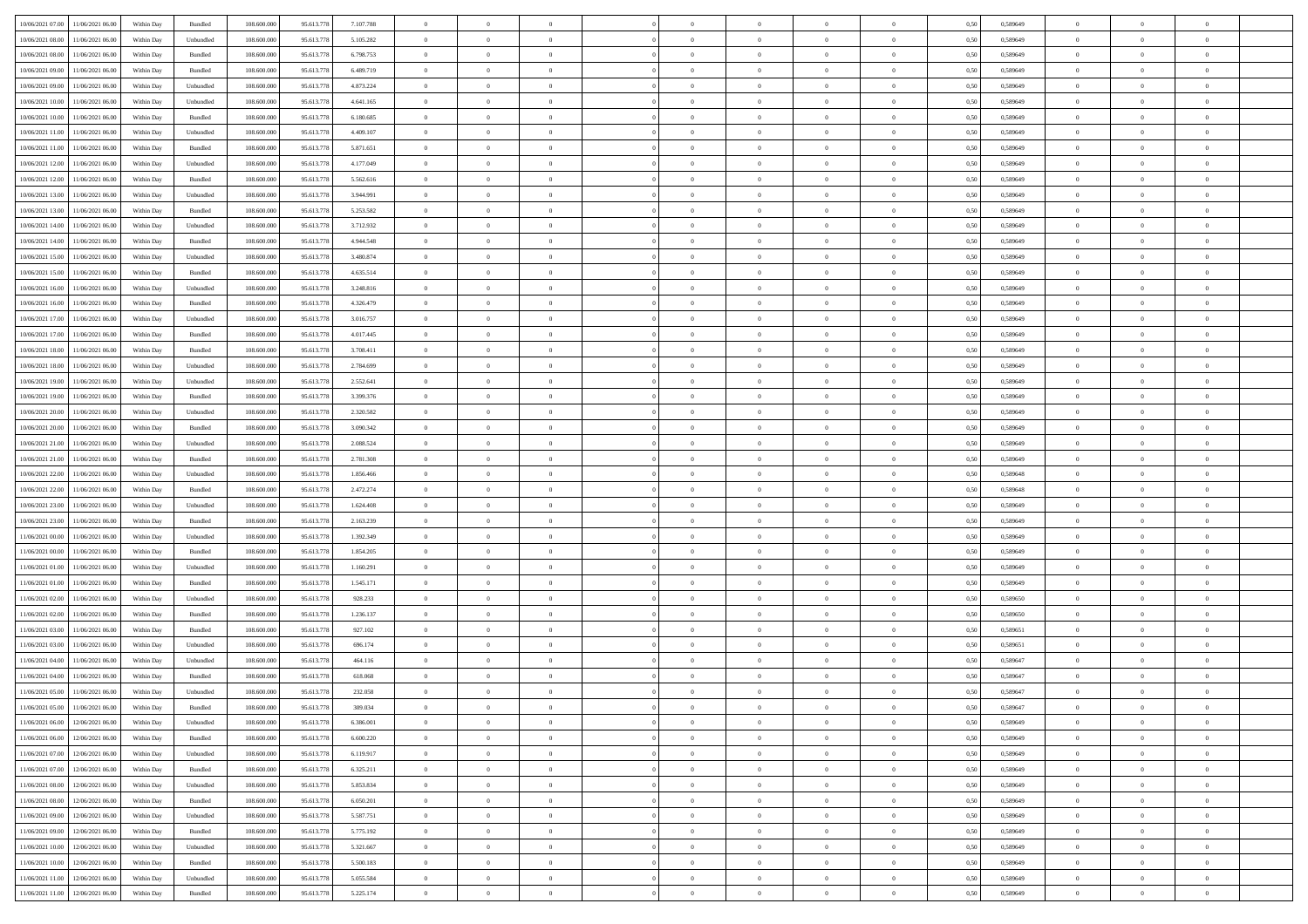|                                      |            |                    |             |            |           | $\overline{0}$ | $\overline{0}$ |                | $\overline{0}$ | $\theta$       |                | $\theta$       |      |          | $\theta$       | $\theta$       | $\theta$       |  |
|--------------------------------------|------------|--------------------|-------------|------------|-----------|----------------|----------------|----------------|----------------|----------------|----------------|----------------|------|----------|----------------|----------------|----------------|--|
| 10/06/2021 07:00 11/06/2021 06:00    | Within Day | Bundled            | 108.600.000 | 95.613.778 | 7.107.788 |                |                |                |                |                |                |                | 0,50 | 0,589649 |                |                |                |  |
| 10/06/2021 08:00<br>11/06/2021 06:00 | Within Day | Unbundled          | 108.600.00  | 95.613.778 | 5.105.282 | $\bf{0}$       | $\bf{0}$       | $\bf{0}$       | $\bf{0}$       | $\overline{0}$ | $\overline{0}$ | $\bf{0}$       | 0,50 | 0,589649 | $\,$ 0 $\,$    | $\bf{0}$       | $\overline{0}$ |  |
| 10/06/2021 08:00<br>11/06/2021 06:00 | Within Day | Bundled            | 108,600,000 | 95.613.778 | 6.798.753 | $\overline{0}$ | $\bf{0}$       | $\overline{0}$ | $\bf{0}$       | $\bf{0}$       | $\overline{0}$ | $\bf{0}$       | 0.50 | 0.589649 | $\bf{0}$       | $\overline{0}$ | $\bf{0}$       |  |
| 10/06/2021 09:00<br>11/06/2021 06:00 | Within Day | Bundled            | 108.600.000 | 95.613.778 | 6.489.719 | $\overline{0}$ | $\overline{0}$ | $\overline{0}$ | $\overline{0}$ | $\theta$       | $\overline{0}$ | $\bf{0}$       | 0,50 | 0,589649 | $\,$ 0 $\,$    | $\theta$       | $\overline{0}$ |  |
| 10/06/2021 09:00<br>11/06/2021 06:00 | Within Day | Unbundled          | 108.600.00  | 95.613.77  | 4.873.224 | $\bf{0}$       | $\overline{0}$ | $\bf{0}$       | $\overline{0}$ | $\bf{0}$       | $\overline{0}$ | $\bf{0}$       | 0,50 | 0,589649 | $\,$ 0 $\,$    | $\bf{0}$       | $\overline{0}$ |  |
|                                      |            |                    |             |            |           |                |                |                |                |                |                |                |      |          |                |                |                |  |
| 10/06/2021 10:00<br>11/06/2021 06:00 | Within Day | Unbundled          | 108,600,000 | 95.613.778 | 4.641.165 | $\overline{0}$ | $\overline{0}$ | $\overline{0}$ | $\bf{0}$       | $\overline{0}$ | $\theta$       | $\bf{0}$       | 0.50 | 0.589649 | $\,$ 0 $\,$    | $\theta$       | $\overline{0}$ |  |
| 10/06/2021 10:00<br>11/06/2021 06:00 | Within Day | Bundled            | 108.600.000 | 95.613.778 | 6.180.685 | $\overline{0}$ | $\overline{0}$ | $\overline{0}$ | $\overline{0}$ | $\overline{0}$ | $\overline{0}$ | $\bf{0}$       | 0,50 | 0,589649 | $\,$ 0 $\,$    | $\theta$       | $\overline{0}$ |  |
| 10/06/2021 11:00<br>11/06/2021 06:00 | Within Day | Unbundled          | 108.600.00  | 95.613.778 | 4.409.107 | $\bf{0}$       | $\bf{0}$       | $\bf{0}$       | $\overline{0}$ | $\overline{0}$ | $\overline{0}$ | $\bf{0}$       | 0,50 | 0,589649 | $\,$ 0 $\,$    | $\bf{0}$       | $\overline{0}$ |  |
| 10/06/2021 11:00<br>11/06/2021 06:00 | Within Day | Bundled            | 108,600,000 | 95.613.778 | 5.871.651 | $\overline{0}$ | $\bf{0}$       | $\overline{0}$ | $\bf{0}$       | $\overline{0}$ | $\overline{0}$ | $\bf{0}$       | 0.50 | 0.589649 | $\bf{0}$       | $\overline{0}$ | $\overline{0}$ |  |
| 10/06/2021 12:00<br>11/06/2021 06:00 | Within Day | Unbundled          | 108.600.000 | 95.613.778 | 4.177.049 | $\bf{0}$       | $\bf{0}$       | $\overline{0}$ | $\overline{0}$ | $\overline{0}$ | $\overline{0}$ | $\bf{0}$       | 0,50 | 0,589649 | $\,$ 0 $\,$    | $\bf{0}$       | $\overline{0}$ |  |
| 10/06/2021 12:00<br>11/06/2021 06:00 | Within Day | Bundled            | 108.600.00  | 95.613.778 | 5.562.616 | $\bf{0}$       | $\bf{0}$       | $\bf{0}$       | $\bf{0}$       | $\overline{0}$ | $\overline{0}$ | $\bf{0}$       | 0,50 | 0,589649 | $\,$ 0 $\,$    | $\bf{0}$       | $\overline{0}$ |  |
| 10/06/2021 13:00<br>11/06/2021 06:00 | Within Day | Unbundled          | 108,600,000 | 95.613.778 | 3.944.991 | $\overline{0}$ | $\bf{0}$       | $\overline{0}$ | $\overline{0}$ | $\bf{0}$       | $\overline{0}$ | $\bf{0}$       | 0.50 | 0.589649 | $\bf{0}$       | $\overline{0}$ | $\,$ 0         |  |
|                                      |            |                    |             |            |           |                |                |                |                |                |                |                |      |          |                |                |                |  |
| 10/06/2021 13:00<br>11/06/2021 06:00 | Within Day | Bundled            | 108.600.000 | 95.613.778 | 5.253.582 | $\overline{0}$ | $\overline{0}$ | $\overline{0}$ | $\theta$       | $\theta$       | $\overline{0}$ | $\bf{0}$       | 0,50 | 0,589649 | $\,$ 0 $\,$    | $\theta$       | $\overline{0}$ |  |
| 10/06/2021 14:00<br>11/06/2021 06:00 | Within Day | Unbundled          | 108.600.00  | 95.613.778 | 3.712.932 | $\bf{0}$       | $\overline{0}$ | $\bf{0}$       | $\bf{0}$       | $\bf{0}$       | $\overline{0}$ | $\bf{0}$       | 0,50 | 0,589649 | $\,$ 0 $\,$    | $\bf{0}$       | $\overline{0}$ |  |
| 10/06/2021 14:00<br>11/06/2021 06:00 | Within Day | Bundled            | 108,600,000 | 95.613.778 | 4.944.548 | $\overline{0}$ | $\bf{0}$       | $\overline{0}$ | $\bf{0}$       | $\overline{0}$ | $\theta$       | $\bf{0}$       | 0.50 | 0.589649 | $\,$ 0 $\,$    | $\theta$       | $\overline{0}$ |  |
| 10/06/2021 15:00<br>11/06/2021 06:00 | Within Day | Unbundled          | 108.600.000 | 95.613.778 | 3.480.874 | $\overline{0}$ | $\overline{0}$ | $\overline{0}$ | $\overline{0}$ | $\overline{0}$ | $\overline{0}$ | $\bf{0}$       | 0,50 | 0,589649 | $\theta$       | $\theta$       | $\overline{0}$ |  |
| 10/06/2021 15:00<br>11/06/2021 06:00 | Within Day | Bundled            | 108.600.00  | 95.613.778 | 4.635.514 | $\bf{0}$       | $\bf{0}$       | $\bf{0}$       | $\overline{0}$ | $\overline{0}$ | $\overline{0}$ | $\bf{0}$       | 0,50 | 0,589649 | $\,$ 0 $\,$    | $\bf{0}$       | $\overline{0}$ |  |
| 10/06/2021 16:00<br>11/06/2021 06:00 | Within Day | Unbundled          | 108,600,000 | 95.613.778 | 3.248.816 | $\overline{0}$ | $\bf{0}$       | $\overline{0}$ | $\bf{0}$       | $\overline{0}$ | $\overline{0}$ | $\bf{0}$       | 0.50 | 0.589649 | $\bf{0}$       | $\overline{0}$ | $\bf{0}$       |  |
| 10/06/2021 16:00<br>11/06/2021 06:00 | Within Day | Bundled            | 108.600.000 | 95.613.778 | 4.326.479 | $\overline{0}$ | $\bf{0}$       | $\overline{0}$ | $\overline{0}$ | $\overline{0}$ | $\overline{0}$ | $\bf{0}$       | 0,50 | 0,589649 | $\,$ 0 $\,$    | $\bf{0}$       | $\overline{0}$ |  |
|                                      |            |                    |             |            |           |                |                |                |                |                |                |                |      |          |                |                |                |  |
| 10/06/2021 17:00<br>11/06/2021 06:00 | Within Day | Unbundled          | 108.600.00  | 95.613.778 | 3.016.757 | $\bf{0}$       | $\bf{0}$       | $\bf{0}$       | $\bf{0}$       | $\overline{0}$ | $\overline{0}$ | $\bf{0}$       | 0,50 | 0,589649 | $\,$ 0 $\,$    | $\bf{0}$       | $\overline{0}$ |  |
| 10/06/2021 17:00<br>11/06/2021 06:00 | Within Day | Bundled            | 108,600,000 | 95.613.778 | 4.017.445 | $\overline{0}$ | $\bf{0}$       | $\overline{0}$ | $\overline{0}$ | $\bf{0}$       | $\overline{0}$ | $\bf{0}$       | 0.50 | 0.589649 | $\bf{0}$       | $\overline{0}$ | $\,$ 0         |  |
| 10/06/2021 18:00<br>11/06/2021 06:00 | Within Day | Bundled            | 108.600.000 | 95.613.778 | 3.708.411 | $\overline{0}$ | $\overline{0}$ | $\overline{0}$ | $\overline{0}$ | $\theta$       | $\overline{0}$ | $\bf{0}$       | 0,50 | 0,589649 | $\theta$       | $\theta$       | $\overline{0}$ |  |
| 10/06/2021 18:00<br>11/06/2021 06:00 | Within Day | Unbundled          | 108.600.00  | 95.613.778 | 2.784.699 | $\bf{0}$       | $\bf{0}$       | $\bf{0}$       | $\bf{0}$       | $\overline{0}$ | $\overline{0}$ | $\bf{0}$       | 0,50 | 0,589649 | $\,$ 0 $\,$    | $\bf{0}$       | $\overline{0}$ |  |
| 10/06/2021 19:00<br>11/06/2021 06:00 | Within Day | Unbundled          | 108,600,000 | 95.613.778 | 2.552.641 | $\overline{0}$ | $\overline{0}$ | $\overline{0}$ | $\bf{0}$       | $\overline{0}$ | $\theta$       | $\bf{0}$       | 0.50 | 0.589649 | $\,$ 0 $\,$    | $\theta$       | $\overline{0}$ |  |
| 10/06/2021 19:00<br>11/06/2021 06:00 | Within Day | Bundled            | 108.600.000 | 95.613.778 | 3.399.376 | $\overline{0}$ | $\overline{0}$ | $\overline{0}$ | $\overline{0}$ | $\overline{0}$ | $\overline{0}$ | $\bf{0}$       | 0,50 | 0,589649 | $\,$ 0 $\,$    | $\theta$       | $\overline{0}$ |  |
| 10/06/2021 20:00<br>11/06/2021 06:00 | Within Day | Unbundled          | 108.600.00  | 95.613.778 | 2.320.582 | $\bf{0}$       | $\overline{0}$ | $\bf{0}$       | $\overline{0}$ | $\bf{0}$       | $\overline{0}$ | $\bf{0}$       | 0,50 | 0,589649 | $\,$ 0 $\,$    | $\bf{0}$       | $\overline{0}$ |  |
| 10/06/2021 20:00<br>11/06/2021 06:00 | Within Day | Bundled            | 108,600,000 | 95.613.778 | 3.090.342 | $\overline{0}$ | $\bf{0}$       | $\overline{0}$ | $\bf{0}$       | $\overline{0}$ | $\overline{0}$ | $\bf{0}$       | 0.50 | 0.589649 | $\bf{0}$       | $\overline{0}$ | $\overline{0}$ |  |
| 10/06/2021 21:00<br>11/06/2021 06:00 | Within Day | Unbundled          | 108.600.000 | 95.613.778 | 2.088.524 | $\overline{0}$ | $\bf{0}$       | $\overline{0}$ | $\overline{0}$ | $\overline{0}$ | $\overline{0}$ | $\bf{0}$       | 0,50 | 0,589649 | $\theta$       | $\bf{0}$       | $\overline{0}$ |  |
|                                      |            |                    |             |            |           |                |                |                |                |                |                |                |      |          |                |                |                |  |
| 10/06/2021 21:00<br>11/06/2021 06:00 | Within Day | Bundled            | 108.600.00  | 95.613.778 | 2.781.308 | $\bf{0}$       | $\bf{0}$       | $\bf{0}$       | $\bf{0}$       | $\overline{0}$ | $\overline{0}$ | $\bf{0}$       | 0,50 | 0,589649 | $\,$ 0 $\,$    | $\bf{0}$       | $\overline{0}$ |  |
| 10/06/2021 22:00<br>11/06/2021 06:00 | Within Day | Unbundled          | 108,600,000 | 95.613.778 | 1.856,466 | $\overline{0}$ | $\bf{0}$       | $\overline{0}$ | $\overline{0}$ | $\bf{0}$       | $\overline{0}$ | $\bf{0}$       | 0.50 | 0.589648 | $\bf{0}$       | $\overline{0}$ | $\,$ 0         |  |
| 10/06/2021 22:00<br>11/06/2021 06:00 | Within Day | Bundled            | 108.600.000 | 95.613.778 | 2.472.274 | $\overline{0}$ | $\overline{0}$ | $\overline{0}$ | $\overline{0}$ | $\overline{0}$ | $\overline{0}$ | $\bf{0}$       | 0.50 | 0.589648 | $\theta$       | $\theta$       | $\overline{0}$ |  |
| 10/06/2021 23:00<br>11/06/2021 06:00 | Within Day | Unbundled          | 108.600.00  | 95.613.778 | 1.624.408 | $\bf{0}$       | $\bf{0}$       | $\bf{0}$       | $\bf{0}$       | $\overline{0}$ | $\overline{0}$ | $\bf{0}$       | 0,50 | 0,589649 | $\,$ 0 $\,$    | $\bf{0}$       | $\overline{0}$ |  |
| 10/06/2021 23:00<br>11/06/2021 06:00 | Within Day | Bundled            | 108,600,000 | 95.613.778 | 2.163.239 | $\overline{0}$ | $\bf{0}$       | $\overline{0}$ | $\bf{0}$       | $\overline{0}$ | $\theta$       | $\bf{0}$       | 0.50 | 0.589649 | $\,$ 0 $\,$    | $\bf{0}$       | $\overline{0}$ |  |
| 11/06/2021 00:00<br>11/06/2021 06:00 | Within Dav | Unbundled          | 108.600.000 | 95.613.778 | 1.392.349 | $\overline{0}$ | $\overline{0}$ | $\overline{0}$ | $\overline{0}$ | $\overline{0}$ | $\overline{0}$ | $\bf{0}$       | 0.50 | 0.589649 | $\theta$       | $\theta$       | $\overline{0}$ |  |
| 11/06/2021 00:00<br>11/06/2021 06:00 | Within Day | Bundled            | 108.600.00  | 95.613.778 | 1.854.205 | $\bf{0}$       | $\bf{0}$       | $\bf{0}$       | $\bf{0}$       | $\overline{0}$ | $\overline{0}$ | $\bf{0}$       | 0,50 | 0,589649 | $\,$ 0 $\,$    | $\bf{0}$       | $\overline{0}$ |  |
| 11/06/2021 01:00<br>11/06/2021 06:00 | Within Day | Unbundled          | 108,600,000 | 95.613.778 | 1.160.291 | $\overline{0}$ | $\bf{0}$       | $\overline{0}$ | $\bf{0}$       | $\overline{0}$ | $\overline{0}$ | $\bf{0}$       | 0.50 | 0.589649 | $\bf{0}$       | $\overline{0}$ | $\overline{0}$ |  |
|                                      |            |                    |             |            |           |                |                |                |                |                |                |                |      |          |                |                |                |  |
| 11/06/2021 01:00<br>11/06/2021 06:00 | Within Dav | Bundled            | 108.600.000 | 95.613.778 | 1.545.171 | $\overline{0}$ | $\overline{0}$ | $\overline{0}$ | $\overline{0}$ | $\overline{0}$ | $\overline{0}$ | $\bf{0}$       | 0.50 | 0.589649 | $\theta$       | $\theta$       | $\overline{0}$ |  |
| 11/06/2021 02:00<br>11/06/2021 06:00 | Within Day | Unbundled          | 108.600.00  | 95.613.778 | 928.233   | $\bf{0}$       | $\bf{0}$       | $\bf{0}$       | $\bf{0}$       | $\overline{0}$ | $\overline{0}$ | $\bf{0}$       | 0,50 | 0,589650 | $\,$ 0 $\,$    | $\bf{0}$       | $\overline{0}$ |  |
| 11/06/2021 02:00<br>11/06/2021 06:00 | Within Day | Bundled            | 108,600,000 | 95.613.778 | 1.236.137 | $\overline{0}$ | $\bf{0}$       | $\overline{0}$ | $\overline{0}$ | $\bf{0}$       | $\overline{0}$ | $\bf{0}$       | 0.50 | 0.589650 | $\bf{0}$       | $\overline{0}$ | $\,$ 0         |  |
| 11/06/2021 03:00<br>11/06/2021 06:00 | Within Dav | Bundled            | 108.600.000 | 95.613.778 | 927.102   | $\overline{0}$ | $\overline{0}$ | $\overline{0}$ | $\overline{0}$ | $\overline{0}$ | $\overline{0}$ | $\bf{0}$       | 0.50 | 0.589651 | $\theta$       | $\theta$       | $\overline{0}$ |  |
| 11/06/2021 03:00<br>11/06/2021 06:00 | Within Day | Unbundled          | 108.600.00  | 95.613.778 | 696.174   | $\bf{0}$       | $\bf{0}$       | $\bf{0}$       | $\bf{0}$       | $\overline{0}$ | $\overline{0}$ | $\bf{0}$       | 0,50 | 0,589651 | $\,$ 0 $\,$    | $\bf{0}$       | $\overline{0}$ |  |
| 11/06/2021 04:00<br>11/06/2021 06:00 | Within Day | Unbundled          | 108,600,000 | 95.613.778 | 464.116   | $\overline{0}$ | $\overline{0}$ | $\overline{0}$ | $\bf{0}$       | $\overline{0}$ | $\Omega$       | $\bf{0}$       | 0.50 | 0.589647 | $\bf{0}$       | $\theta$       | $\overline{0}$ |  |
| 11/06/2021 04:00<br>11/06/2021 06:00 | Within Dav | Bundled            | 108.600.000 | 95.613.778 | 618,068   | $\overline{0}$ | $\overline{0}$ | $\Omega$       | $\overline{0}$ | $\theta$       | $\overline{0}$ | $\overline{0}$ | 0.5( | 0.589647 | $\theta$       | $\theta$       | $\overline{0}$ |  |
| 11/06/2021 05:00<br>11/06/2021 06:00 | Within Day | Unbundled          | 108.600.00  | 95.613.778 | 232.058   | $\bf{0}$       | $\bf{0}$       | $\bf{0}$       | $\bf{0}$       | $\bf{0}$       | $\overline{0}$ | $\bf{0}$       | 0,50 | 0,589647 | $\overline{0}$ | $\bf{0}$       | $\overline{0}$ |  |
| 11/06/2021 05:00 11/06/2021 06:00    | Within Day | $\mathbf B$ undled | 108.600.000 | 95.613.778 | 309.034   | $\bf{0}$       | $\Omega$       |                | $\Omega$       |                |                |                | 0,50 | 0.589647 | $\bf{0}$       | $\overline{0}$ |                |  |
|                                      |            |                    |             |            |           |                |                |                |                |                |                |                |      |          |                |                |                |  |
| 11/06/2021 06:00 12/06/2021 06:00    | Within Day | Unbundled          | 108.600.000 | 95.613.778 | 6.386.001 | $\overline{0}$ | $\overline{0}$ | $\Omega$       | $\theta$       | $\overline{0}$ | $\overline{0}$ | $\bf{0}$       | 0,50 | 0,589649 | $\theta$       | $\theta$       | $\overline{0}$ |  |
| 11/06/2021 06:00<br>12/06/2021 06:00 | Within Day | Bundled            | 108.600.00  | 95.613.778 | 6.600.220 | $\overline{0}$ | $\bf{0}$       | $\overline{0}$ | $\overline{0}$ | $\bf{0}$       | $\overline{0}$ | $\bf{0}$       | 0,50 | 0,589649 | $\bf{0}$       | $\overline{0}$ | $\bf{0}$       |  |
| 11/06/2021 07:00 12/06/2021 06:00    | Within Day | Unbundled          | 108,600,000 | 95.613.778 | 6.119.917 | $\overline{0}$ | $\bf{0}$       | $\overline{0}$ | $\overline{0}$ | $\mathbf{0}$   | $\overline{0}$ | $\,$ 0 $\,$    | 0.50 | 0.589649 | $\overline{0}$ | $\bf{0}$       | $\,$ 0 $\,$    |  |
| 11/06/2021 07:00 12/06/2021 06:00    | Within Dav | Bundled            | 108.600.000 | 95.613.778 | 6.325.211 | $\overline{0}$ | $\overline{0}$ | $\overline{0}$ | $\overline{0}$ | $\overline{0}$ | $\overline{0}$ | $\bf{0}$       | 0,50 | 0.589649 | $\overline{0}$ | $\theta$       | $\overline{0}$ |  |
| 11/06/2021 08:00<br>12/06/2021 06:00 | Within Day | Unbundled          | 108.600.000 | 95.613.778 | 5.853.834 | $\overline{0}$ | $\bf{0}$       | $\overline{0}$ | $\overline{0}$ | $\bf{0}$       | $\overline{0}$ | $\bf{0}$       | 0,50 | 0,589649 | $\bf{0}$       | $\overline{0}$ | $\overline{0}$ |  |
| 12/06/2021 06:00<br>11/06/2021 08:00 | Within Day | Bundled            | 108,600,000 | 95.613.778 | 6.050.201 | $\overline{0}$ | $\bf{0}$       | $\overline{0}$ | $\overline{0}$ | $\overline{0}$ | $\overline{0}$ | $\bf{0}$       | 0.50 | 0.589649 | $\,$ 0 $\,$    | $\overline{0}$ | $\,$ 0         |  |
| 11/06/2021 09:00<br>12/06/2021 06:00 | Within Dav | Unbundled          | 108.600.000 | 95.613.778 | 5.587.751 | $\overline{0}$ | $\overline{0}$ | $\overline{0}$ | $\overline{0}$ | $\overline{0}$ | $\overline{0}$ | $\bf{0}$       | 0,50 | 0.589649 | $\overline{0}$ | $\theta$       | $\overline{0}$ |  |
|                                      |            |                    |             |            |           |                |                |                |                |                |                |                |      |          |                |                |                |  |
| 11/06/2021 09:00<br>12/06/2021 06:00 | Within Day | Bundled            | 108.600.00  | 95.613.778 | 5.775.192 | $\overline{0}$ | $\overline{0}$ | $\overline{0}$ | $\overline{0}$ | $\overline{0}$ | $\overline{0}$ | $\bf{0}$       | 0,50 | 0,589649 | $\bf{0}$       | $\overline{0}$ | $\,$ 0         |  |
| 12/06/2021 06:00<br>11/06/2021 10:00 | Within Day | Unbundled          | 108,600,000 | 95.613.778 | 5.321.667 | $\overline{0}$ | $\overline{0}$ | $\overline{0}$ | $\overline{0}$ | $\overline{0}$ | $\overline{0}$ | $\bf{0}$       | 0.50 | 0.589649 | $\mathbf{0}$   | $\bf{0}$       | $\,$ 0         |  |
| 11/06/2021 10:00 12/06/2021 06:00    | Within Dav | Bundled            | 108.600.000 | 95.613.778 | 5.500.183 | $\overline{0}$ | $\overline{0}$ | $\overline{0}$ | $\overline{0}$ | $\overline{0}$ | $\overline{0}$ | $\bf{0}$       | 0,50 | 0.589649 | $\overline{0}$ | $\theta$       | $\overline{0}$ |  |
| 11/06/2021 11:00<br>12/06/2021 06:00 | Within Day | Unbundled          | 108.600.00  | 95.613.778 | 5.055.584 | $\overline{0}$ | $\bf{0}$       | $\overline{0}$ | $\bf{0}$       | $\overline{0}$ | $\overline{0}$ | $\bf{0}$       | 0,50 | 0,589649 | $\bf{0}$       | $\,$ 0 $\,$    | $\bf{0}$       |  |
| 11/06/2021 11:00 12/06/2021 06:00    | Within Day | Bundled            | 108.600.000 | 95.613.778 | 5.225.174 | $\,$ 0 $\,$    | $\bf{0}$       | $\overline{0}$ | $\overline{0}$ | $\,$ 0 $\,$    | $\overline{0}$ | $\bf{0}$       | 0,50 | 0,589649 | $\overline{0}$ | $\,$ 0 $\,$    | $\,$ 0 $\,$    |  |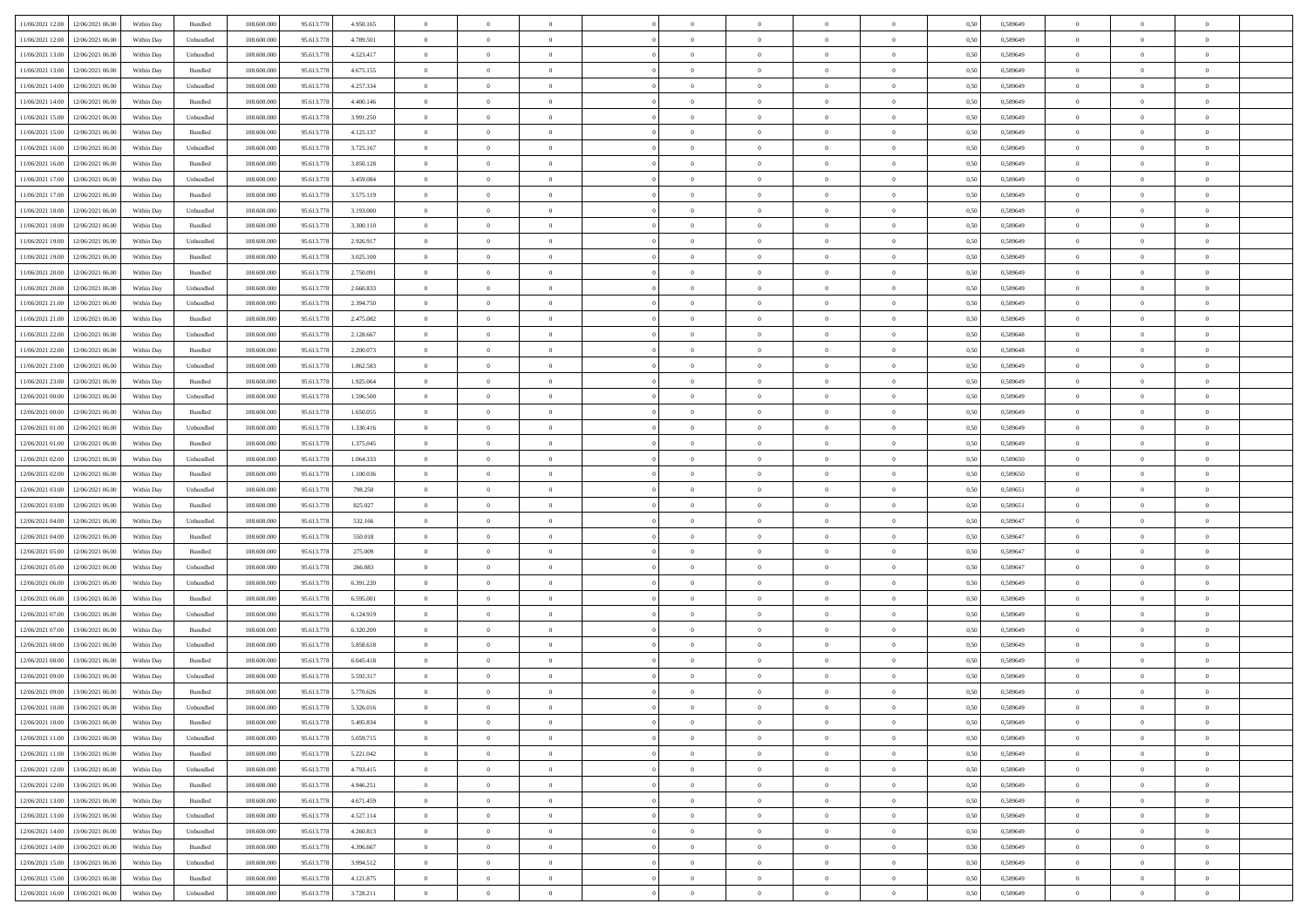| 11/06/2021 12:00 12/06/2021 06:00            | Within Day | Bundled                     | 108.600.000 | 95.613.778 | 4.950.165 | $\overline{0}$ | $\overline{0}$ |                | $\overline{0}$ | $\theta$       |                | $\theta$       | 0,50 | 0,589649 | $\theta$       | $\theta$       | $\overline{0}$ |  |
|----------------------------------------------|------------|-----------------------------|-------------|------------|-----------|----------------|----------------|----------------|----------------|----------------|----------------|----------------|------|----------|----------------|----------------|----------------|--|
|                                              |            |                             |             |            |           |                |                |                |                |                |                |                |      |          |                |                |                |  |
| 11/06/2021 12:00<br>12/06/2021 06:00         | Within Day | Unbundled                   | 108.600.00  | 95.613.778 | 4.789.501 | $\bf{0}$       | $\bf{0}$       | $\bf{0}$       | $\bf{0}$       | $\overline{0}$ | $\overline{0}$ | $\bf{0}$       | 0,50 | 0,589649 | $\,$ 0 $\,$    | $\bf{0}$       | $\overline{0}$ |  |
| 11/06/2021 13:00<br>12/06/2021 06:00         | Within Day | Unbundled                   | 108,600,000 | 95.613.778 | 4.523.417 | $\overline{0}$ | $\bf{0}$       | $\overline{0}$ | $\bf{0}$       | $\bf{0}$       | $\overline{0}$ | $\bf{0}$       | 0.50 | 0.589649 | $\bf{0}$       | $\overline{0}$ | $\overline{0}$ |  |
| 11/06/2021 13:00<br>12/06/2021 06:00         | Within Day | Bundled                     | 108.600.000 | 95.613.778 | 4.675.155 | $\overline{0}$ | $\overline{0}$ | $\overline{0}$ | $\overline{0}$ | $\theta$       | $\overline{0}$ | $\bf{0}$       | 0,50 | 0,589649 | $\,$ 0 $\,$    | $\theta$       | $\overline{0}$ |  |
| 11/06/2021 14:00<br>12/06/2021 06:00         | Within Day | Unbundled                   | 108.600.00  | 95.613.778 | 4.257.334 | $\bf{0}$       | $\overline{0}$ | $\bf{0}$       | $\overline{0}$ | $\theta$       | $\overline{0}$ | $\bf{0}$       | 0,50 | 0,589649 | $\,$ 0 $\,$    | $\bf{0}$       | $\overline{0}$ |  |
| 11/06/2021 14:00<br>12/06/2021 06:00         | Within Day | Bundled                     | 108,600,000 | 95.613.778 | 4.400.146 | $\overline{0}$ | $\overline{0}$ | $\overline{0}$ | $\bf{0}$       | $\overline{0}$ | $\theta$       | $\bf{0}$       | 0.50 | 0.589649 | $\,$ 0 $\,$    | $\theta$       | $\overline{0}$ |  |
|                                              |            |                             |             |            |           | $\overline{0}$ | $\overline{0}$ | $\overline{0}$ | $\overline{0}$ | $\overline{0}$ | $\overline{0}$ |                |      |          |                | $\theta$       | $\overline{0}$ |  |
| 11/06/2021 15:00<br>12/06/2021 06:00         | Within Day | Unbundled                   | 108.600.000 | 95.613.778 | 3.991.250 |                |                |                |                |                |                | $\bf{0}$       | 0,50 | 0,589649 | $\,$ 0 $\,$    |                |                |  |
| 11/06/2021 15:00<br>12/06/2021 06:00         | Within Day | Bundled                     | 108.600.00  | 95.613.778 | 4.125.137 | $\bf{0}$       | $\bf{0}$       | $\bf{0}$       | $\overline{0}$ | $\overline{0}$ | $\overline{0}$ | $\bf{0}$       | 0,50 | 0,589649 | $\,$ 0 $\,$    | $\bf{0}$       | $\overline{0}$ |  |
| 11/06/2021 16:00<br>12/06/2021 06:00         | Within Day | Unbundled                   | 108,600,000 | 95.613.778 | 3.725.167 | $\overline{0}$ | $\bf{0}$       | $\overline{0}$ | $\bf{0}$       | $\overline{0}$ | $\overline{0}$ | $\bf{0}$       | 0.50 | 0.589649 | $\bf{0}$       | $\overline{0}$ | $\overline{0}$ |  |
| 11/06/2021 16:00<br>12/06/2021 06:00         | Within Day | Bundled                     | 108.600.000 | 95.613.778 | 3.850.128 | $\bf{0}$       | $\bf{0}$       | $\overline{0}$ | $\overline{0}$ | $\overline{0}$ | $\overline{0}$ | $\bf{0}$       | 0,50 | 0,589649 | $\,$ 0 $\,$    | $\bf{0}$       | $\overline{0}$ |  |
| 11/06/2021 17:00<br>12/06/2021 06:00         | Within Day | Unbundled                   | 108.600.00  | 95.613.778 | 3.459.084 | $\bf{0}$       | $\bf{0}$       | $\bf{0}$       | $\bf{0}$       | $\overline{0}$ | $\overline{0}$ | $\bf{0}$       | 0,50 | 0,589649 | $\,$ 0 $\,$    | $\bf{0}$       | $\overline{0}$ |  |
| 11/06/2021 17:00<br>12/06/2021 06:00         | Within Day | Bundled                     | 108,600,000 | 95.613.778 | 3.575.119 | $\overline{0}$ | $\bf{0}$       | $\overline{0}$ | $\overline{0}$ | $\bf{0}$       | $\overline{0}$ | $\bf{0}$       | 0.50 | 0.589649 | $\bf{0}$       | $\overline{0}$ | $\,$ 0         |  |
| 11/06/2021 18:00<br>12/06/2021 06:00         | Within Day | Unbundled                   | 108.600.000 | 95.613.778 | 3.193.000 | $\overline{0}$ | $\overline{0}$ | $\overline{0}$ | $\theta$       | $\theta$       | $\overline{0}$ | $\bf{0}$       | 0,50 | 0,589649 | $\,$ 0 $\,$    | $\theta$       | $\overline{0}$ |  |
| 11/06/2021 18:00<br>12/06/2021 06:00         | Within Day | Bundled                     | 108.600.00  | 95.613.778 | 3.300.110 | $\bf{0}$       | $\overline{0}$ | $\bf{0}$       | $\overline{0}$ | $\bf{0}$       | $\overline{0}$ | $\bf{0}$       | 0,50 | 0,589649 | $\,$ 0 $\,$    | $\bf{0}$       | $\overline{0}$ |  |
|                                              |            |                             |             |            |           |                |                |                |                |                |                |                |      |          |                |                |                |  |
| 11/06/2021 19:00<br>12/06/2021 06:00         | Within Day | Unbundled                   | 108,600,000 | 95.613.778 | 2.926.917 | $\overline{0}$ | $\bf{0}$       | $\overline{0}$ | $\bf{0}$       | $\overline{0}$ | $\theta$       | $\bf{0}$       | 0.50 | 0.589649 | $\,$ 0 $\,$    | $\theta$       | $\overline{0}$ |  |
| 11/06/2021 19:00<br>12/06/2021 06:00         | Within Day | Bundled                     | 108.600.000 | 95.613.778 | 3.025.100 | $\overline{0}$ | $\overline{0}$ | $\overline{0}$ | $\overline{0}$ | $\overline{0}$ | $\overline{0}$ | $\bf{0}$       | 0,50 | 0,589649 | $\theta$       | $\theta$       | $\overline{0}$ |  |
| 11/06/2021 20:00<br>12/06/2021 06:00         | Within Day | Bundled                     | 108.600.00  | 95.613.778 | 2.750.091 | $\bf{0}$       | $\bf{0}$       | $\bf{0}$       | $\overline{0}$ | $\overline{0}$ | $\overline{0}$ | $\bf{0}$       | 0,50 | 0,589649 | $\,$ 0 $\,$    | $\bf{0}$       | $\overline{0}$ |  |
| 11/06/2021 20:00<br>12/06/2021 06:00         | Within Day | Unbundled                   | 108,600,000 | 95.613.778 | 2.660.833 | $\overline{0}$ | $\bf{0}$       | $\overline{0}$ | $\bf{0}$       | $\overline{0}$ | $\overline{0}$ | $\bf{0}$       | 0.50 | 0.589649 | $\bf{0}$       | $\overline{0}$ | $\overline{0}$ |  |
| 11/06/2021 21:00<br>12/06/2021 06:00         | Within Day | Unbundled                   | 108.600.000 | 95.613.778 | 2.394.750 | $\bf{0}$       | $\bf{0}$       | $\overline{0}$ | $\overline{0}$ | $\overline{0}$ | $\overline{0}$ | $\bf{0}$       | 0,50 | 0,589649 | $\,$ 0 $\,$    | $\bf{0}$       | $\overline{0}$ |  |
| 11/06/2021 21:00<br>12/06/2021 06:00         | Within Day | Bundled                     | 108.600.00  | 95.613.778 | 2.475.082 | $\bf{0}$       | $\bf{0}$       | $\bf{0}$       | $\bf{0}$       | $\overline{0}$ | $\overline{0}$ | $\bf{0}$       | 0,50 | 0,589649 | $\,$ 0 $\,$    | $\bf{0}$       | $\overline{0}$ |  |
| 11/06/2021 22:00<br>12/06/2021 06:00         | Within Day | Unbundled                   | 108,600,000 | 95.613.778 | 2.128.667 | $\overline{0}$ | $\bf{0}$       | $\overline{0}$ | $\overline{0}$ | $\bf{0}$       | $\overline{0}$ | $\bf{0}$       | 0.50 | 0.589648 | $\bf{0}$       | $\overline{0}$ | $\,$ 0         |  |
| 11/06/2021 22:00<br>12/06/2021 06:00         |            |                             | 108.600.000 | 95.613.778 |           | $\overline{0}$ | $\overline{0}$ | $\overline{0}$ | $\overline{0}$ | $\theta$       | $\overline{0}$ |                |      |          | $\theta$       | $\theta$       | $\overline{0}$ |  |
|                                              | Within Day | Bundled                     |             |            | 2.200.073 |                |                |                |                |                |                | $\bf{0}$       | 0,50 | 0,589648 |                |                |                |  |
| 11/06/2021 23:00<br>12/06/2021 06:00         | Within Day | Unbundled                   | 108.600.00  | 95.613.778 | 1.862.583 | $\bf{0}$       | $\bf{0}$       | $\bf{0}$       | $\bf{0}$       | $\overline{0}$ | $\overline{0}$ | $\bf{0}$       | 0,50 | 0,589649 | $\,$ 0 $\,$    | $\bf{0}$       | $\overline{0}$ |  |
| 11/06/2021 23:00<br>12/06/2021 06:00         | Within Day | Bundled                     | 108,600,000 | 95.613.778 | 1.925.064 | $\overline{0}$ | $\bf{0}$       | $\overline{0}$ | $\bf{0}$       | $\overline{0}$ | $\theta$       | $\bf{0}$       | 0.50 | 0.589649 | $\,$ 0 $\,$    | $\theta$       | $\overline{0}$ |  |
| 12/06/2021 00:00<br>12/06/2021 06:00         | Within Day | Unbundled                   | 108.600.000 | 95.613.778 | 1.596.500 | $\overline{0}$ | $\overline{0}$ | $\overline{0}$ | $\overline{0}$ | $\overline{0}$ | $\overline{0}$ | $\bf{0}$       | 0,50 | 0,589649 | $\,$ 0 $\,$    | $\theta$       | $\overline{0}$ |  |
| 12/06/2021 00:00<br>12/06/2021 06:00         | Within Day | Bundled                     | 108.600.00  | 95.613.778 | 1.650.055 | $\bf{0}$       | $\overline{0}$ | $\bf{0}$       | $\overline{0}$ | $\bf{0}$       | $\overline{0}$ | $\bf{0}$       | 0,50 | 0,589649 | $\,$ 0 $\,$    | $\bf{0}$       | $\overline{0}$ |  |
| 12/06/2021 01:00<br>12/06/2021 06:00         | Within Day | Unbundled                   | 108,600,000 | 95.613.778 | 1.330.416 | $\overline{0}$ | $\bf{0}$       | $\overline{0}$ | $\bf{0}$       | $\overline{0}$ | $\overline{0}$ | $\bf{0}$       | 0.50 | 0.589649 | $\bf{0}$       | $\overline{0}$ | $\overline{0}$ |  |
| 12/06/2021 01:00<br>12/06/2021 06:00         | Within Day | Bundled                     | 108.600.000 | 95.613.778 | 1.375.045 | $\overline{0}$ | $\bf{0}$       | $\overline{0}$ | $\overline{0}$ | $\overline{0}$ | $\overline{0}$ | $\bf{0}$       | 0,50 | 0,589649 | $\theta$       | $\theta$       | $\overline{0}$ |  |
| 12/06/2021 02:00<br>12/06/2021 06:00         | Within Day | Unbundled                   | 108.600.00  | 95.613.778 | 1.064.333 | $\bf{0}$       | $\bf{0}$       | $\bf{0}$       | $\bf{0}$       | $\overline{0}$ | $\overline{0}$ | $\bf{0}$       | 0,50 | 0,589650 | $\,$ 0 $\,$    | $\bf{0}$       | $\overline{0}$ |  |
|                                              |            |                             |             |            |           |                |                |                |                |                |                |                |      |          |                |                |                |  |
| 12/06/2021 02:00<br>12/06/2021 06:00         | Within Day | Bundled                     | 108,600,000 | 95.613.778 | 1.100.036 | $\overline{0}$ | $\bf{0}$       | $\overline{0}$ | $\overline{0}$ | $\bf{0}$       | $\overline{0}$ | $\bf{0}$       | 0.50 | 0.589650 | $\bf{0}$       | $\overline{0}$ | $\,$ 0         |  |
| 12/06/2021 03:00<br>12/06/2021 06:00         | Within Day | Unbundled                   | 108.600.000 | 95.613.778 | 798.250   | $\overline{0}$ | $\overline{0}$ | $\overline{0}$ | $\overline{0}$ | $\overline{0}$ | $\overline{0}$ | $\bf{0}$       | 0.50 | 0.589651 | $\theta$       | $\theta$       | $\overline{0}$ |  |
| 12/06/2021 03:00<br>12/06/2021 06:00         | Within Day | Bundled                     | 108.600.00  | 95.613.778 | 825.027   | $\bf{0}$       | $\bf{0}$       | $\bf{0}$       | $\bf{0}$       | $\overline{0}$ | $\overline{0}$ | $\bf{0}$       | 0,50 | 0,589651 | $\,$ 0 $\,$    | $\bf{0}$       | $\overline{0}$ |  |
| 12/06/2021 04:00<br>12/06/2021 06:00         | Within Day | Unbundled                   | 108,600,000 | 95.613.778 | 532.166   | $\overline{0}$ | $\bf{0}$       | $\overline{0}$ | $\bf{0}$       | $\overline{0}$ | $\theta$       | $\bf{0}$       | 0.50 | 0.589647 | $\,$ 0 $\,$    | $\theta$       | $\overline{0}$ |  |
| 12/06/2021 04:00<br>12/06/2021 06:00         | Within Dav | Bundled                     | 108.600.000 | 95.613.778 | 550,018   | $\overline{0}$ | $\overline{0}$ | $\overline{0}$ | $\overline{0}$ | $\overline{0}$ | $\overline{0}$ | $\bf{0}$       | 0.50 | 0.589647 | $\theta$       | $\theta$       | $\overline{0}$ |  |
| 12/06/2021 05:00<br>12/06/2021 06:00         | Within Day | Bundled                     | 108.600.00  | 95.613.77  | 275.009   | $\bf{0}$       | $\bf{0}$       | $\bf{0}$       | $\bf{0}$       | $\overline{0}$ | $\overline{0}$ | $\bf{0}$       | 0,50 | 0,589647 | $\,$ 0 $\,$    | $\bf{0}$       | $\overline{0}$ |  |
| 12/06/2021 05:00<br>12/06/2021 06:00         | Within Day | Unbundled                   | 108,600,000 | 95.613.778 | 266,083   | $\overline{0}$ | $\bf{0}$       | $\overline{0}$ | $\bf{0}$       | $\overline{0}$ | $\overline{0}$ | $\bf{0}$       | 0.50 | 0.589647 | $\bf{0}$       | $\overline{0}$ | $\overline{0}$ |  |
| 12/06/2021 06:00<br>13/06/2021 06:00         | Within Day | Unbundled                   | 108.600.000 | 95.613.778 | 6.391.220 | $\overline{0}$ | $\overline{0}$ | $\overline{0}$ | $\overline{0}$ | $\overline{0}$ | $\overline{0}$ | $\bf{0}$       | 0.50 | 0.589649 | $\theta$       | $\theta$       | $\overline{0}$ |  |
| 13/06/2021 06:00                             | Within Day | Bundled                     | 108.600.00  | 95.613.778 | 6.595.001 | $\bf{0}$       | $\bf{0}$       | $\bf{0}$       | $\bf{0}$       | $\overline{0}$ | $\overline{0}$ | $\bf{0}$       | 0,50 | 0,589649 | $\,$ 0 $\,$    | $\bf{0}$       | $\overline{0}$ |  |
| 12/06/2021 06:00                             |            |                             |             |            |           |                |                |                |                |                |                |                |      |          |                |                |                |  |
| 12/06/2021 07:00<br>13/06/2021 06:00         | Within Day | Unbundled                   | 108,600,000 | 95.613.778 | 6.124.919 | $\overline{0}$ | $\bf{0}$       | $\overline{0}$ | $\overline{0}$ | $\bf{0}$       | $\overline{0}$ | $\bf{0}$       | 0.50 | 0.589649 | $\bf{0}$       | $\overline{0}$ | $\overline{0}$ |  |
| 12/06/2021 07:00<br>13/06/2021 06:00         | Within Dav | Bundled                     | 108.600.000 | 95.613.778 | 6.320.209 | $\overline{0}$ | $\overline{0}$ | $\overline{0}$ | $\overline{0}$ | $\overline{0}$ | $\overline{0}$ | $\bf{0}$       | 0.50 | 0.589649 | $\theta$       | $\theta$       | $\overline{0}$ |  |
| 12/06/2021 08:00<br>13/06/2021 06:00         | Within Day | Unbundled                   | 108.600.00  | 95.613.778 | 5.858.618 | $\bf{0}$       | $\bf{0}$       | $\bf{0}$       | $\bf{0}$       | $\overline{0}$ | $\overline{0}$ | $\bf{0}$       | 0,50 | 0,589649 | $\,$ 0 $\,$    | $\bf{0}$       | $\overline{0}$ |  |
| 12/06/2021 08:00<br>13/06/2021 06:00         | Within Day | Bundled                     | 108,600,000 | 95.613.778 | 6.045.418 | $\overline{0}$ | $\overline{0}$ | $\overline{0}$ | $\bf{0}$       | $\overline{0}$ | $\Omega$       | $\bf{0}$       | 0.50 | 0.589649 | $\bf{0}$       | $\theta$       | $\overline{0}$ |  |
| 12/06/2021 09:00<br>13/06/2021 06:00         | Within Dav | Unbundled                   | 108.600.000 | 95.613.778 | 5.592.317 | $\overline{0}$ | $\overline{0}$ | $\Omega$       | $\theta$       | $\theta$       | $\overline{0}$ | $\overline{0}$ | 0.5( | 0.589649 | $\theta$       | $\theta$       | $\overline{0}$ |  |
| 12/06/2021 09:00<br>13/06/2021 06:00         | Within Day | Bundled                     | 108.600.00  | 95.613.778 | 5.770.626 | $\bf{0}$       | $\bf{0}$       | $\bf{0}$       | $\bf{0}$       | $\bf{0}$       | $\overline{0}$ | $\bf{0}$       | 0,50 | 0,589649 | $\,$ 0 $\,$    | $\bf{0}$       | $\overline{0}$ |  |
| $12/06/2021\ 10.00 \qquad 13/06/2021\ 06.00$ | Within Day | $\ensuremath{\mathsf{Unb}}$ | 108.600.000 | 95.613.778 | 5.326.016 | $\bf{0}$       | $\theta$       |                | $\overline{0}$ |                |                |                | 0,50 | 0.589649 | $\bf{0}$       | $\bf{0}$       |                |  |
| 12/06/2021 10:00 13/06/2021 06:00            | Within Day | Bundled                     | 108.600.000 | 95.613.778 | 5.495.834 | $\overline{0}$ | $\overline{0}$ | $\Omega$       | $\theta$       | $\overline{0}$ | $\overline{0}$ | $\bf{0}$       | 0,50 | 0,589649 | $\theta$       | $\theta$       | $\overline{0}$ |  |
|                                              |            |                             |             |            |           |                |                |                |                |                |                |                |      |          |                |                |                |  |
| 12/06/2021 11:00<br>13/06/2021 06:00         | Within Day | Unbundled                   | 108.600.00  | 95.613.778 | 5.059.715 | $\overline{0}$ | $\bf{0}$       | $\overline{0}$ | $\overline{0}$ | $\bf{0}$       | $\overline{0}$ | $\bf{0}$       | 0,50 | 0,589649 | $\bf{0}$       | $\overline{0}$ | $\bf{0}$       |  |
| 12/06/2021 11:00 13/06/2021 06:00            | Within Day | Bundled                     | 108,600,000 | 95.613.778 | 5.221.042 | $\overline{0}$ | $\bf{0}$       | $\overline{0}$ | $\overline{0}$ | $\mathbf{0}$   | $\overline{0}$ | $\,$ 0 $\,$    | 0.50 | 0.589649 | $\overline{0}$ | $\bf{0}$       | $\,$ 0 $\,$    |  |
| 12/06/2021 12:00 13/06/2021 06:00            | Within Dav | Unbundled                   | 108.600.000 | 95.613.778 | 4.793.415 | $\overline{0}$ | $\overline{0}$ | $\overline{0}$ | $\overline{0}$ | $\overline{0}$ | $\overline{0}$ | $\bf{0}$       | 0,50 | 0.589649 | $\overline{0}$ | $\theta$       | $\overline{0}$ |  |
| 12/06/2021 12:00<br>13/06/2021 06:00         | Within Day | Bundled                     | 108.600.000 | 95.613.778 | 4.946.251 | $\overline{0}$ | $\bf{0}$       | $\overline{0}$ | $\overline{0}$ | $\bf{0}$       | $\overline{0}$ | $\bf{0}$       | 0,50 | 0,589649 | $\bf{0}$       | $\overline{0}$ | $\overline{0}$ |  |
| 12/06/2021 13:00<br>13/06/2021 06:00         | Within Day | Bundled                     | 108,600,000 | 95.613.778 | 4.671.459 | $\overline{0}$ | $\bf{0}$       | $\overline{0}$ | $\overline{0}$ | $\bf{0}$       | $\overline{0}$ | $\bf{0}$       | 0.50 | 0.589649 | $\,$ 0 $\,$    | $\overline{0}$ | $\,$ 0         |  |
| 12/06/2021 13:00<br>13/06/2021 06:00         | Within Dav | Unbundled                   | 108.600.000 | 95.613.778 | 4.527.114 | $\overline{0}$ | $\overline{0}$ | $\overline{0}$ | $\overline{0}$ | $\overline{0}$ | $\overline{0}$ | $\bf{0}$       | 0,50 | 0.589649 | $\overline{0}$ | $\theta$       | $\overline{0}$ |  |
| 12/06/2021 14:00<br>13/06/2021 06:00         | Within Day | Unbundled                   | 108.600.00  | 95.613.778 | 4.260.813 | $\overline{0}$ | $\overline{0}$ | $\overline{0}$ | $\overline{0}$ | $\overline{0}$ | $\overline{0}$ | $\bf{0}$       | 0,50 | 0,589649 | $\bf{0}$       | $\overline{0}$ | $\overline{0}$ |  |
|                                              |            | Bundled                     | 108,600,000 | 95.613.778 | 4.396.667 |                | $\overline{0}$ |                |                |                | $\overline{0}$ |                | 0.50 |          |                |                | $\,$ 0         |  |
| 13/06/2021 06:00<br>12/06/2021 14:00         | Within Day |                             |             |            |           | $\overline{0}$ |                | $\overline{0}$ | $\overline{0}$ | $\overline{0}$ |                | $\bf{0}$       |      | 0.589649 | $\mathbf{0}$   | $\bf{0}$       |                |  |
| 12/06/2021 15:00<br>13/06/2021 06:00         | Within Dav | Unbundled                   | 108.600.000 | 95.613.778 | 3.994.512 | $\overline{0}$ | $\overline{0}$ | $\overline{0}$ | $\overline{0}$ | $\overline{0}$ | $\overline{0}$ | $\bf{0}$       | 0,50 | 0.589649 | $\overline{0}$ | $\theta$       | $\overline{0}$ |  |
| 12/06/2021 15:00<br>13/06/2021 06:00         | Within Day | Bundled                     | 108.600.00  | 95.613.778 | 4.121.875 | $\overline{0}$ | $\bf{0}$       | $\overline{0}$ | $\bf{0}$       | $\overline{0}$ | $\overline{0}$ | $\bf{0}$       | 0,50 | 0,589649 | $\bf{0}$       | $\,0\,$        | $\bf{0}$       |  |
| 12/06/2021 16:00 13/06/2021 06:00            | Within Day | Unbundled                   | 108.600.000 | 95.613.778 | 3.728.211 | $\,$ 0 $\,$    | $\bf{0}$       | $\overline{0}$ | $\overline{0}$ | $\,$ 0 $\,$    | $\overline{0}$ | $\bf{0}$       | 0,50 | 0,589649 | $\overline{0}$ | $\,$ 0 $\,$    | $\,$ 0 $\,$    |  |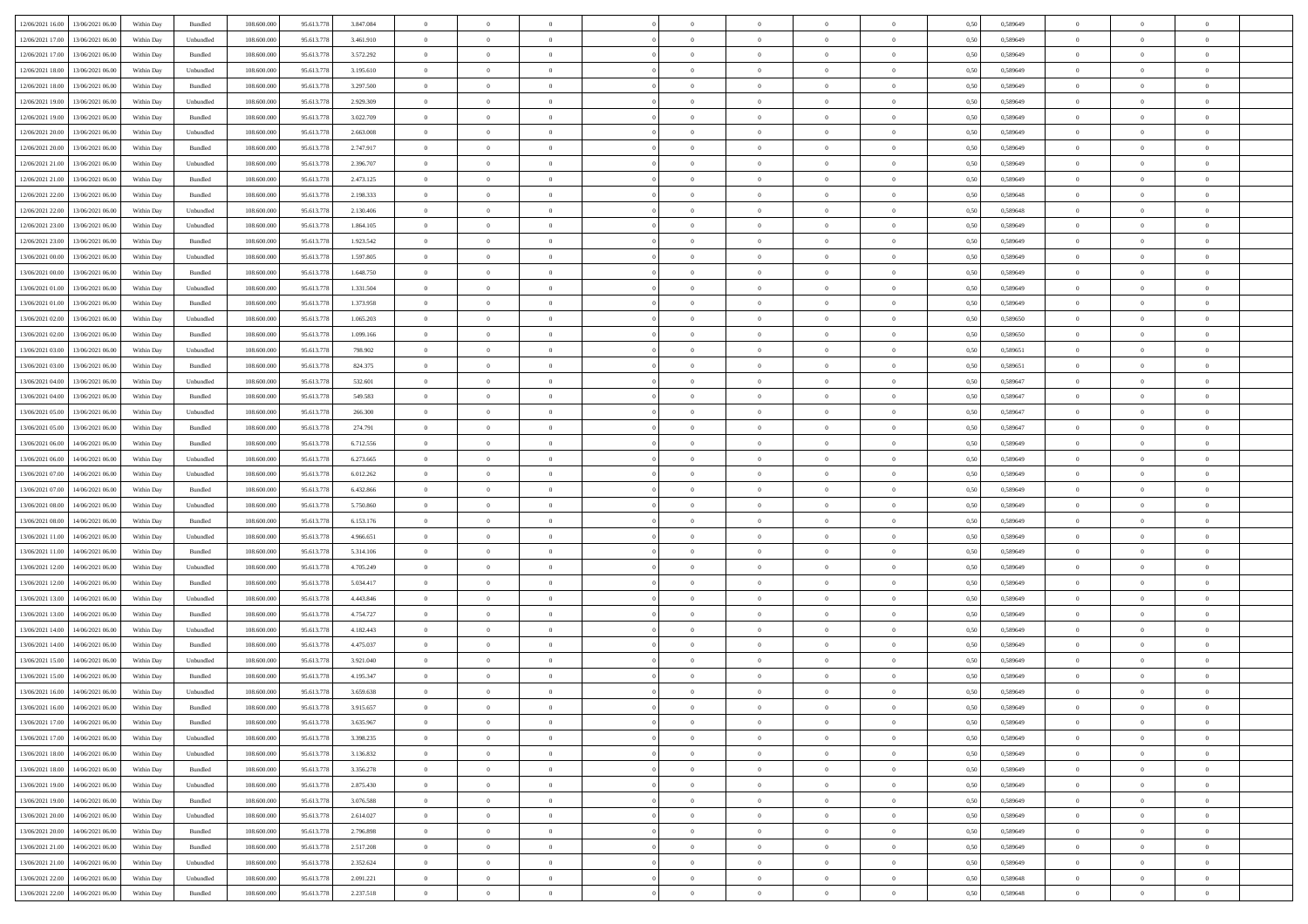|                                              |            |           |             |            |           | $\overline{0}$ | $\overline{0}$ |                | $\overline{0}$ | $\theta$       |                | $\theta$       |      |          | $\theta$       | $\theta$       | $\overline{0}$ |  |
|----------------------------------------------|------------|-----------|-------------|------------|-----------|----------------|----------------|----------------|----------------|----------------|----------------|----------------|------|----------|----------------|----------------|----------------|--|
| 12/06/2021 16:00 13/06/2021 06:00            | Within Day | Bundled   | 108.600.000 | 95.613.778 | 3.847.084 |                |                |                |                |                |                |                | 0,50 | 0,589649 |                |                |                |  |
| 12/06/2021 17:00<br>13/06/2021 06:00         | Within Day | Unbundled | 108.600.00  | 95.613.778 | 3.461.910 | $\bf{0}$       | $\bf{0}$       | $\bf{0}$       | $\bf{0}$       | $\overline{0}$ | $\overline{0}$ | $\bf{0}$       | 0,50 | 0,589649 | $\,$ 0 $\,$    | $\bf{0}$       | $\overline{0}$ |  |
| 12/06/2021 17:00<br>13/06/2021 06:00         | Within Day | Bundled   | 108,600,000 | 95.613.778 | 3.572.292 | $\overline{0}$ | $\bf{0}$       | $\overline{0}$ | $\bf{0}$       | $\bf{0}$       | $\overline{0}$ | $\bf{0}$       | 0.50 | 0.589649 | $\bf{0}$       | $\overline{0}$ | $\overline{0}$ |  |
| 12/06/2021 18:00<br>13/06/2021 06:00         | Within Day | Unbundled | 108.600.000 | 95.613.778 | 3.195.610 | $\overline{0}$ | $\overline{0}$ | $\overline{0}$ | $\overline{0}$ | $\theta$       | $\overline{0}$ | $\bf{0}$       | 0,50 | 0,589649 | $\,$ 0 $\,$    | $\theta$       | $\overline{0}$ |  |
|                                              |            |           |             |            |           |                |                |                |                |                |                |                |      |          |                |                |                |  |
| 12/06/2021 18:00<br>13/06/2021 06:00         | Within Day | Bundled   | 108.600.00  | 95.613.77  | 3.297.500 | $\bf{0}$       | $\overline{0}$ | $\bf{0}$       | $\overline{0}$ | $\theta$       | $\overline{0}$ | $\bf{0}$       | 0,50 | 0,589649 | $\,$ 0 $\,$    | $\bf{0}$       | $\overline{0}$ |  |
| 12/06/2021 19:00<br>13/06/2021 06:00         | Within Day | Unbundled | 108,600,000 | 95.613.778 | 2.929.309 | $\overline{0}$ | $\bf{0}$       | $\overline{0}$ | $\bf{0}$       | $\overline{0}$ | $\theta$       | $\bf{0}$       | 0.50 | 0.589649 | $\,$ 0 $\,$    | $\theta$       | $\overline{0}$ |  |
| 12/06/2021 19:00<br>13/06/2021 06:00         | Within Day | Bundled   | 108.600.000 | 95.613.778 | 3.022.709 | $\overline{0}$ | $\overline{0}$ | $\overline{0}$ | $\overline{0}$ | $\overline{0}$ | $\overline{0}$ | $\bf{0}$       | 0,50 | 0,589649 | $\,$ 0 $\,$    | $\theta$       | $\overline{0}$ |  |
| 12/06/2021 20:00<br>13/06/2021 06:00         | Within Day | Unbundled | 108.600.00  | 95.613.778 | 2.663.008 | $\bf{0}$       | $\bf{0}$       | $\bf{0}$       | $\overline{0}$ | $\overline{0}$ | $\overline{0}$ | $\bf{0}$       | 0,50 | 0,589649 | $\,$ 0 $\,$    | $\bf{0}$       | $\overline{0}$ |  |
|                                              |            |           |             |            |           |                |                |                |                |                |                |                |      |          |                |                |                |  |
| 12/06/2021 20:00<br>13/06/2021 06:00         | Within Day | Bundled   | 108,600,000 | 95.613.778 | 2.747.917 | $\overline{0}$ | $\bf{0}$       | $\overline{0}$ | $\bf{0}$       | $\overline{0}$ | $\overline{0}$ | $\bf{0}$       | 0.50 | 0.589649 | $\bf{0}$       | $\overline{0}$ | $\overline{0}$ |  |
| 12/06/2021 21:00<br>13/06/2021 06:00         | Within Day | Unbundled | 108.600.000 | 95.613.778 | 2.396.707 | $\bf{0}$       | $\bf{0}$       | $\overline{0}$ | $\overline{0}$ | $\overline{0}$ | $\overline{0}$ | $\bf{0}$       | 0,50 | 0,589649 | $\,$ 0 $\,$    | $\bf{0}$       | $\overline{0}$ |  |
| 12/06/2021 21:00<br>13/06/2021 06:00         | Within Day | Bundled   | 108.600.00  | 95.613.778 | 2.473.125 | $\bf{0}$       | $\bf{0}$       | $\bf{0}$       | $\bf{0}$       | $\overline{0}$ | $\overline{0}$ | $\bf{0}$       | 0,50 | 0,589649 | $\,$ 0 $\,$    | $\bf{0}$       | $\overline{0}$ |  |
| 12/06/2021 22:00<br>13/06/2021 06:00         | Within Day | Bundled   | 108,600,000 | 95.613.778 | 2.198.333 | $\overline{0}$ | $\bf{0}$       | $\overline{0}$ | $\overline{0}$ | $\bf{0}$       | $\overline{0}$ | $\bf{0}$       | 0.50 | 0.589648 | $\bf{0}$       | $\overline{0}$ | $\,$ 0         |  |
| 12/06/2021 22:00<br>13/06/2021 06:00         | Within Day | Unbundled | 108.600.000 | 95.613.778 | 2.130.406 | $\overline{0}$ | $\overline{0}$ | $\overline{0}$ | $\theta$       | $\theta$       | $\overline{0}$ | $\bf{0}$       | 0,50 | 0,589648 | $\,$ 0 $\,$    | $\theta$       | $\overline{0}$ |  |
|                                              |            |           |             |            |           |                |                |                |                |                |                |                |      |          |                |                |                |  |
| 12/06/2021 23:00<br>13/06/2021 06:00         | Within Day | Unbundled | 108.600.00  | 95.613.778 | 1.864.105 | $\bf{0}$       | $\overline{0}$ | $\bf{0}$       | $\bf{0}$       | $\bf{0}$       | $\overline{0}$ | $\bf{0}$       | 0,50 | 0,589649 | $\,$ 0 $\,$    | $\bf{0}$       | $\overline{0}$ |  |
| 12/06/2021 23:00<br>13/06/2021 06:00         | Within Day | Bundled   | 108,600,000 | 95.613.778 | 1.923.542 | $\overline{0}$ | $\bf{0}$       | $\overline{0}$ | $\bf{0}$       | $\overline{0}$ | $\theta$       | $\bf{0}$       | 0.50 | 0.589649 | $\,$ 0 $\,$    | $\theta$       | $\overline{0}$ |  |
| 13/06/2021 00:00<br>13/06/2021 06:00         | Within Day | Unbundled | 108.600.000 | 95.613.778 | 1.597.805 | $\overline{0}$ | $\overline{0}$ | $\overline{0}$ | $\overline{0}$ | $\overline{0}$ | $\overline{0}$ | $\bf{0}$       | 0,50 | 0,589649 | $\theta$       | $\theta$       | $\overline{0}$ |  |
| 13/06/2021 00:00<br>13/06/2021 06:00         | Within Day | Bundled   | 108.600.00  | 95.613.778 | 1.648.750 | $\bf{0}$       | $\bf{0}$       | $\bf{0}$       | $\overline{0}$ | $\overline{0}$ | $\overline{0}$ | $\bf{0}$       | 0,50 | 0,589649 | $\,$ 0 $\,$    | $\bf{0}$       | $\overline{0}$ |  |
|                                              |            |           |             |            |           |                |                |                |                |                |                |                |      |          |                |                |                |  |
| 13/06/2021 01:00<br>13/06/2021 06:00         | Within Day | Unbundled | 108,600,000 | 95.613.778 | 1.331.504 | $\overline{0}$ | $\bf{0}$       | $\overline{0}$ | $\bf{0}$       | $\overline{0}$ | $\overline{0}$ | $\bf{0}$       | 0.50 | 0.589649 | $\bf{0}$       | $\overline{0}$ | $\bf{0}$       |  |
| 13/06/2021 01:00<br>13/06/2021 06:00         | Within Day | Bundled   | 108.600.000 | 95.613.778 | 1.373.958 | $\bf{0}$       | $\bf{0}$       | $\overline{0}$ | $\overline{0}$ | $\overline{0}$ | $\overline{0}$ | $\bf{0}$       | 0,50 | 0,589649 | $\,$ 0 $\,$    | $\bf{0}$       | $\overline{0}$ |  |
| 13/06/2021 02:00<br>13/06/2021 06:00         | Within Day | Unbundled | 108.600.00  | 95.613.778 | 1.065.203 | $\bf{0}$       | $\bf{0}$       | $\bf{0}$       | $\bf{0}$       | $\overline{0}$ | $\overline{0}$ | $\bf{0}$       | 0,50 | 0,589650 | $\,$ 0 $\,$    | $\bf{0}$       | $\overline{0}$ |  |
| 13/06/2021 02:00<br>13/06/2021 06:00         | Within Day | Bundled   | 108,600,000 | 95.613.778 | 1.099.166 | $\overline{0}$ | $\bf{0}$       | $\overline{0}$ | $\overline{0}$ | $\bf{0}$       | $\overline{0}$ | $\bf{0}$       | 0.50 | 0.589650 | $\bf{0}$       | $\overline{0}$ | $\,$ 0         |  |
| 13/06/2021 03:00<br>13/06/2021 06:00         | Within Day | Unbundled | 108.600.000 | 95.613.778 | 798.902   | $\overline{0}$ | $\overline{0}$ | $\overline{0}$ | $\overline{0}$ | $\theta$       | $\overline{0}$ | $\bf{0}$       | 0,50 | 0,589651 | $\theta$       | $\theta$       | $\overline{0}$ |  |
|                                              |            |           |             |            |           |                |                |                |                |                |                |                |      |          |                |                |                |  |
| 13/06/2021 03:00<br>13/06/2021 06:00         | Within Day | Bundled   | 108.600.00  | 95.613.77  | 824.375   | $\bf{0}$       | $\bf{0}$       | $\bf{0}$       | $\bf{0}$       | $\overline{0}$ | $\overline{0}$ | $\bf{0}$       | 0,50 | 0,589651 | $\,$ 0 $\,$    | $\bf{0}$       | $\overline{0}$ |  |
| 13/06/2021 04:00<br>13/06/2021 06:00         | Within Day | Unbundled | 108,600,000 | 95.613.778 | 532.601   | $\overline{0}$ | $\bf{0}$       | $\overline{0}$ | $\bf{0}$       | $\overline{0}$ | $\theta$       | $\bf{0}$       | 0.50 | 0.589647 | $\,$ 0 $\,$    | $\theta$       | $\overline{0}$ |  |
| 13/06/2021 04:00<br>13/06/2021 06:00         | Within Day | Bundled   | 108.600.000 | 95.613.778 | 549.583   | $\overline{0}$ | $\overline{0}$ | $\overline{0}$ | $\overline{0}$ | $\overline{0}$ | $\overline{0}$ | $\bf{0}$       | 0,50 | 0,589647 | $\,$ 0 $\,$    | $\theta$       | $\overline{0}$ |  |
| 13/06/2021 05:00<br>13/06/2021 06:00         | Within Day | Unbundled | 108.600.00  | 95.613.778 | 266.300   | $\bf{0}$       | $\overline{0}$ | $\bf{0}$       | $\overline{0}$ | $\bf{0}$       | $\overline{0}$ | $\bf{0}$       | 0,50 | 0,589647 | $\,$ 0 $\,$    | $\bf{0}$       | $\overline{0}$ |  |
| 13/06/2021 05:00<br>13/06/2021 06:00         | Within Day | Bundled   | 108,600,000 | 95.613.778 | 274.791   | $\overline{0}$ | $\bf{0}$       | $\overline{0}$ | $\bf{0}$       | $\overline{0}$ | $\overline{0}$ | $\bf{0}$       | 0.50 | 0.589647 | $\bf{0}$       | $\overline{0}$ | $\overline{0}$ |  |
| 13/06/2021 06:00<br>14/06/2021 06:00         | Within Day | Bundled   | 108.600.000 | 95.613.778 | 6.712.556 | $\overline{0}$ | $\bf{0}$       | $\overline{0}$ | $\overline{0}$ | $\overline{0}$ | $\overline{0}$ | $\bf{0}$       | 0,50 | 0,589649 | $\theta$       | $\bf{0}$       | $\overline{0}$ |  |
|                                              |            |           |             |            |           |                |                |                |                |                |                |                |      |          |                |                |                |  |
| 13/06/2021 06:00<br>14/06/2021 06:00         | Within Day | Unbundled | 108.600.00  | 95.613.778 | 6.273.665 | $\bf{0}$       | $\bf{0}$       | $\bf{0}$       | $\bf{0}$       | $\overline{0}$ | $\overline{0}$ | $\bf{0}$       | 0,50 | 0,589649 | $\,$ 0 $\,$    | $\bf{0}$       | $\overline{0}$ |  |
| 13/06/2021 07:00<br>14/06/2021 06.00         | Within Day | Unbundled | 108,600,000 | 95.613.778 | 6.012.262 | $\overline{0}$ | $\bf{0}$       | $\overline{0}$ | $\overline{0}$ | $\bf{0}$       | $\overline{0}$ | $\bf{0}$       | 0.50 | 0.589649 | $\bf{0}$       | $\overline{0}$ | $\,$ 0         |  |
| 13/06/2021 07:00<br>14/06/2021 06:00         | Within Day | Bundled   | 108.600.000 | 95.613.778 | 6.432.866 | $\overline{0}$ | $\overline{0}$ | $\overline{0}$ | $\overline{0}$ | $\overline{0}$ | $\overline{0}$ | $\bf{0}$       | 0.50 | 0.589649 | $\theta$       | $\theta$       | $\overline{0}$ |  |
| 13/06/2021 08:00<br>14/06/2021 06.00         | Within Day | Unbundled | 108.600.00  | 95.613.778 | 5.750.860 | $\bf{0}$       | $\bf{0}$       | $\bf{0}$       | $\bf{0}$       | $\overline{0}$ | $\overline{0}$ | $\bf{0}$       | 0,50 | 0,589649 | $\,$ 0 $\,$    | $\bf{0}$       | $\overline{0}$ |  |
| 13/06/2021 08:00<br>14/06/2021 06:00         |            | Bundled   | 108,600,000 | 95.613.778 | 6.153.176 | $\overline{0}$ | $\bf{0}$       | $\overline{0}$ | $\bf{0}$       | $\overline{0}$ | $\overline{0}$ | $\bf{0}$       | 0.50 | 0.589649 | $\,$ 0 $\,$    | $\bf{0}$       | $\overline{0}$ |  |
|                                              | Within Day |           |             |            |           |                |                |                |                |                |                |                |      |          |                |                |                |  |
| 13/06/2021 11:00<br>14/06/2021 06:00         | Within Dav | Unbundled | 108.600.000 | 95.613.778 | 4.966.651 | $\overline{0}$ | $\overline{0}$ | $\overline{0}$ | $\overline{0}$ | $\overline{0}$ | $\overline{0}$ | $\bf{0}$       | 0.50 | 0.589649 | $\theta$       | $\theta$       | $\overline{0}$ |  |
| 13/06/2021 11:00<br>14/06/2021 06.00         | Within Day | Bundled   | 108.600.00  | 95.613.778 | 5.314.106 | $\bf{0}$       | $\bf{0}$       | $\bf{0}$       | $\bf{0}$       | $\overline{0}$ | $\overline{0}$ | $\bf{0}$       | 0,50 | 0,589649 | $\,$ 0 $\,$    | $\bf{0}$       | $\overline{0}$ |  |
| 13/06/2021 12:00<br>14/06/2021 06:00         | Within Day | Unbundled | 108,600,000 | 95.613.778 | 4.705.249 | $\overline{0}$ | $\bf{0}$       | $\overline{0}$ | $\bf{0}$       | $\overline{0}$ | $\overline{0}$ | $\bf{0}$       | 0.50 | 0.589649 | $\bf{0}$       | $\overline{0}$ | $\overline{0}$ |  |
| 13/06/2021 12:00<br>14/06/2021 06:00         | Within Dav | Bundled   | 108.600.000 | 95.613.778 | 5.034.417 | $\overline{0}$ | $\overline{0}$ | $\overline{0}$ | $\overline{0}$ | $\overline{0}$ | $\overline{0}$ | $\bf{0}$       | 0.50 | 0.589649 | $\theta$       | $\theta$       | $\overline{0}$ |  |
| 13/06/2021 13:00<br>14/06/2021 06.00         | Within Day | Unbundled | 108.600.00  | 95.613.778 | 4,443.846 | $\bf{0}$       | $\bf{0}$       | $\bf{0}$       | $\bf{0}$       | $\overline{0}$ | $\overline{0}$ | $\bf{0}$       | 0,50 | 0,589649 | $\,$ 0 $\,$    | $\bf{0}$       | $\overline{0}$ |  |
|                                              |            |           |             |            |           |                |                |                |                |                |                |                |      |          |                |                |                |  |
| 13/06/2021 13:00<br>14/06/2021 06:00         | Within Day | Bundled   | 108,600,000 | 95.613.778 | 4.754.727 | $\overline{0}$ | $\bf{0}$       | $\overline{0}$ | $\overline{0}$ | $\bf{0}$       | $\overline{0}$ | $\bf{0}$       | 0.50 | 0.589649 | $\bf{0}$       | $\overline{0}$ | $\,$ 0         |  |
| 13/06/2021 14:00<br>14/06/2021 06:00         | Within Dav | Unbundled | 108.600.000 | 95.613.778 | 4.182.443 | $\overline{0}$ | $\overline{0}$ | $\overline{0}$ | $\overline{0}$ | $\overline{0}$ | $\overline{0}$ | $\bf{0}$       | 0.50 | 0.589649 | $\theta$       | $\theta$       | $\overline{0}$ |  |
| 13/06/2021 14:00<br>14/06/2021 06:00         | Within Day | Bundled   | 108.600.00  | 95.613.778 | 4.475.037 | $\bf{0}$       | $\bf{0}$       | $\bf{0}$       | $\bf{0}$       | $\overline{0}$ | $\overline{0}$ | $\bf{0}$       | 0,50 | 0,589649 | $\,$ 0 $\,$    | $\bf{0}$       | $\overline{0}$ |  |
| 13/06/2021 15:00<br>14/06/2021 06.00         | Within Day | Unbundled | 108,600,000 | 95.613.778 | 3.921.040 | $\overline{0}$ | $\overline{0}$ | $\overline{0}$ | $\bf{0}$       | $\overline{0}$ | $\Omega$       | $\bf{0}$       | 0.50 | 0.589649 | $\bf{0}$       | $\theta$       | $\overline{0}$ |  |
| 13/06/2021 15:00<br>14/06/2021 06:00         | Within Dav | Bundled   | 108.600.000 | 95.613.778 | 4.195.347 | $\overline{0}$ | $\overline{0}$ | $\overline{0}$ | $\theta$       | $\theta$       | $\overline{0}$ | $\overline{0}$ | 0.5( | 0.589649 | $\theta$       | $\theta$       | $\overline{0}$ |  |
| 13/06/2021 16:00<br>14/06/2021 06.00         | Within Day | Unbundled | 108.600.00  | 95.613.778 | 3.659.638 | $\bf{0}$       | $\bf{0}$       | $\bf{0}$       | $\bf{0}$       | $\bf{0}$       | $\overline{0}$ | $\bf{0}$       | 0,50 | 0,589649 | $\overline{0}$ | $\bf{0}$       | $\overline{0}$ |  |
|                                              |            |           |             |            |           |                |                |                |                |                |                |                |      |          |                |                |                |  |
| $13/06/2021\ 16.00 \qquad 14/06/2021\ 06.00$ | Within Day | Bundled   | 108.600.000 | 95.613.778 | 3.915.657 | $\bf{0}$       | $\theta$       |                | $\overline{0}$ | $\Omega$       |                |                | 0,50 | 0.589649 | $\bf{0}$       | $\bf{0}$       |                |  |
| 13/06/2021 17:00 14/06/2021 06:00            | Within Day | Bundled   | 108.600.000 | 95.613.778 | 3.635.967 | $\overline{0}$ | $\overline{0}$ | $\Omega$       | $\theta$       | $\overline{0}$ | $\overline{0}$ | $\bf{0}$       | 0,50 | 0,589649 | $\theta$       | $\overline{0}$ | $\overline{0}$ |  |
| 13/06/2021 17:00<br>14/06/2021 06.00         | Within Day | Unbundled | 108.600.00  | 95.613.778 | 3.398.235 | $\overline{0}$ | $\bf{0}$       | $\overline{0}$ | $\overline{0}$ | $\bf{0}$       | $\overline{0}$ | $\bf{0}$       | 0,50 | 0,589649 | $\bf{0}$       | $\overline{0}$ | $\bf{0}$       |  |
| 13/06/2021 18:00 14/06/2021 06:00            | Within Day | Unbundled | 108,600,000 | 95.613.778 | 3.136.832 | $\overline{0}$ | $\bf{0}$       | $\overline{0}$ | $\overline{0}$ | $\mathbf{0}$   | $\overline{0}$ | $\,$ 0 $\,$    | 0.50 | 0.589649 | $\overline{0}$ | $\bf{0}$       | $\,$ 0 $\,$    |  |
| 13/06/2021 18:00 14/06/2021 06:00            | Within Dav | Bundled   | 108.600.000 | 95.613.778 | 3.356.278 | $\overline{0}$ | $\overline{0}$ | $\overline{0}$ | $\overline{0}$ | $\overline{0}$ | $\overline{0}$ | $\bf{0}$       | 0,50 | 0.589649 | $\theta$       | $\theta$       | $\overline{0}$ |  |
|                                              |            |           |             |            |           |                |                |                |                |                |                |                |      |          |                |                |                |  |
| 13/06/2021 19:00<br>14/06/2021 06.00         | Within Day | Unbundled | 108.600.000 | 95.613.778 | 2.875.430 | $\overline{0}$ | $\bf{0}$       | $\overline{0}$ | $\overline{0}$ | $\bf{0}$       | $\overline{0}$ | $\bf{0}$       | 0,50 | 0,589649 | $\bf{0}$       | $\overline{0}$ | $\overline{0}$ |  |
| 14/06/2021 06:00<br>13/06/2021 19:00         | Within Day | Bundled   | 108,600,000 | 95.613.778 | 3.076.588 | $\overline{0}$ | $\bf{0}$       | $\overline{0}$ | $\overline{0}$ | $\overline{0}$ | $\overline{0}$ | $\bf{0}$       | 0.50 | 0.589649 | $\,$ 0 $\,$    | $\overline{0}$ | $\,$ 0         |  |
| 13/06/2021 20:00<br>14/06/2021 06:00         | Within Dav | Unbundled | 108.600.000 | 95.613.778 | 2.614.027 | $\overline{0}$ | $\overline{0}$ | $\overline{0}$ | $\overline{0}$ | $\overline{0}$ | $\overline{0}$ | $\bf{0}$       | 0,50 | 0.589649 | $\overline{0}$ | $\theta$       | $\overline{0}$ |  |
| 13/06/2021 20:00<br>14/06/2021 06.00         | Within Day | Bundled   | 108.600.00  | 95.613.778 | 2.796.898 | $\overline{0}$ | $\overline{0}$ | $\overline{0}$ | $\overline{0}$ | $\overline{0}$ | $\overline{0}$ | $\bf{0}$       | 0,50 | 0,589649 | $\bf{0}$       | $\overline{0}$ | $\overline{0}$ |  |
|                                              |            |           |             |            |           |                |                |                |                |                |                |                |      |          |                |                |                |  |
| 13/06/2021 21:00 14/06/2021 06:00            | Within Day | Bundled   | 108,600,000 | 95.613.778 | 2.517.208 | $\overline{0}$ | $\overline{0}$ | $\overline{0}$ | $\overline{0}$ | $\overline{0}$ | $\overline{0}$ | $\bf{0}$       | 0.50 | 0.589649 | $\mathbf{0}$   | $\bf{0}$       | $\,$ 0         |  |
| 13/06/2021 21:00 14/06/2021 06:00            | Within Dav | Unbundled | 108.600.000 | 95.613.778 | 2.352.624 | $\overline{0}$ | $\overline{0}$ | $\overline{0}$ | $\overline{0}$ | $\overline{0}$ | $\overline{0}$ | $\bf{0}$       | 0,50 | 0.589649 | $\overline{0}$ | $\theta$       | $\overline{0}$ |  |
| 13/06/2021 22:00<br>14/06/2021 06.00         | Within Day | Unbundled | 108.600.00  | 95.613.778 | 2.091.221 | $\overline{0}$ | $\bf{0}$       | $\overline{0}$ | $\bf{0}$       | $\overline{0}$ | $\overline{0}$ | $\bf{0}$       | 0,50 | 0,589648 | $\bf{0}$       | $\,$ 0 $\,$    | $\bf{0}$       |  |
| 13/06/2021 22:00 14/06/2021 06:00            | Within Day | Bundled   | 108.600.000 | 95.613.778 | 2.237.518 | $\,$ 0 $\,$    | $\bf{0}$       | $\overline{0}$ | $\overline{0}$ | $\,$ 0 $\,$    | $\overline{0}$ | $\bf{0}$       | 0,50 | 0,589648 | $\overline{0}$ | $\,$ 0 $\,$    | $\,$ 0 $\,$    |  |
|                                              |            |           |             |            |           |                |                |                |                |                |                |                |      |          |                |                |                |  |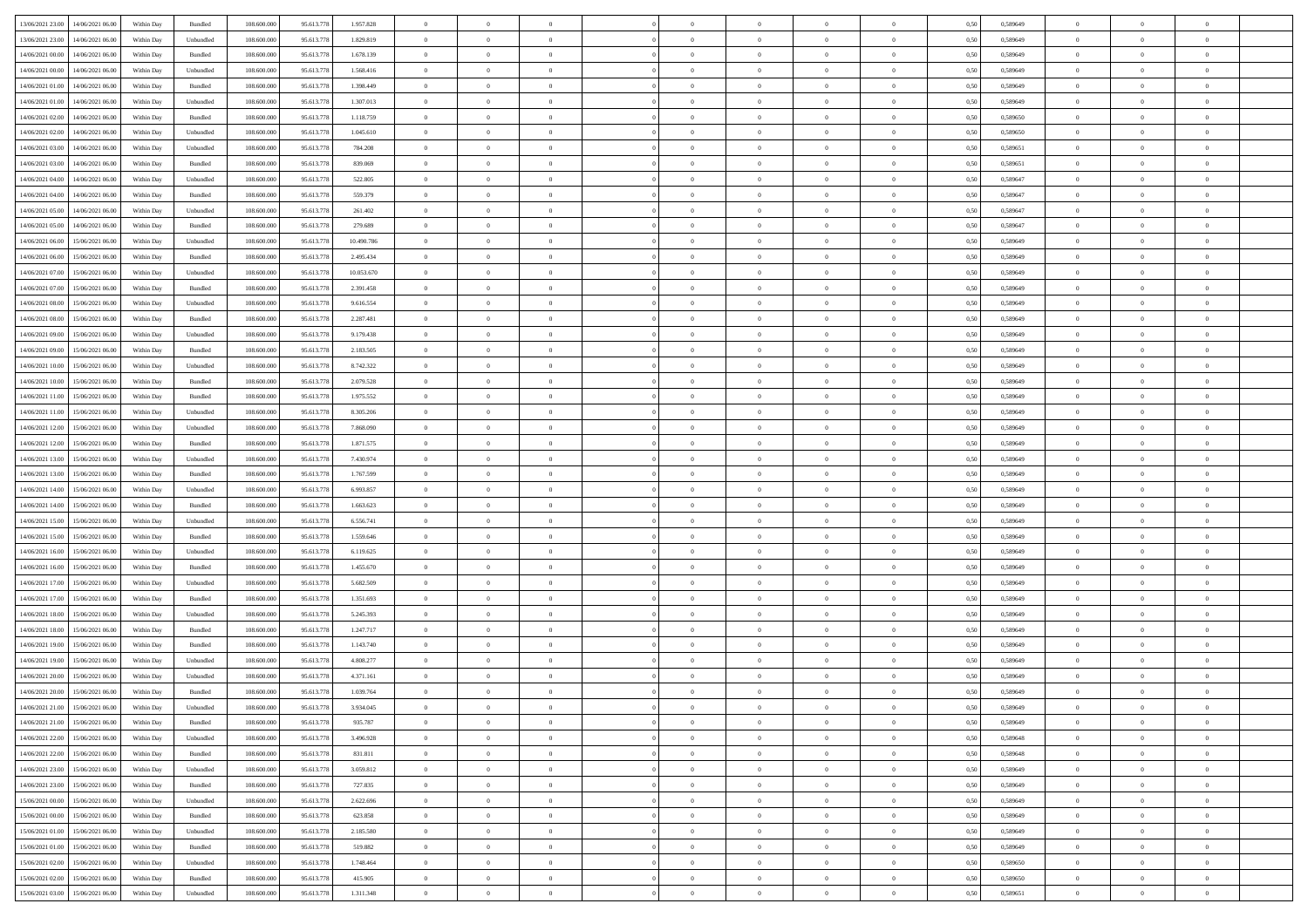|                                              |            |                             |             |            |            | $\overline{0}$ | $\overline{0}$ |                | $\overline{0}$ | $\theta$       |                | $\theta$       |      |          | $\theta$       | $\theta$       | $\overline{0}$ |  |
|----------------------------------------------|------------|-----------------------------|-------------|------------|------------|----------------|----------------|----------------|----------------|----------------|----------------|----------------|------|----------|----------------|----------------|----------------|--|
| 13/06/2021 23:00<br>14/06/2021 06:00         | Within Day | Bundled                     | 108.600.000 | 95.613.778 | 1.957.828  |                |                |                |                |                |                |                | 0,50 | 0,589649 |                |                |                |  |
| 13/06/2021 23:00<br>14/06/2021 06:00         | Within Day | Unbundled                   | 108.600.00  | 95.613.778 | 1.829.819  | $\bf{0}$       | $\bf{0}$       | $\bf{0}$       | $\bf{0}$       | $\overline{0}$ | $\overline{0}$ | $\bf{0}$       | 0,50 | 0,589649 | $\,$ 0 $\,$    | $\bf{0}$       | $\overline{0}$ |  |
| 14/06/2021 00:00<br>14/06/2021 06:00         | Within Day | Bundled                     | 108,600,000 | 95.613.778 | 1.678.139  | $\overline{0}$ | $\bf{0}$       | $\overline{0}$ | $\bf{0}$       | $\bf{0}$       | $\overline{0}$ | $\bf{0}$       | 0.50 | 0.589649 | $\bf{0}$       | $\overline{0}$ | $\overline{0}$ |  |
| 14/06/2021 00:00<br>14/06/2021 06:00         | Within Day | Unbundled                   | 108.600.000 | 95.613.778 | 1.568.416  | $\overline{0}$ | $\overline{0}$ | $\overline{0}$ | $\overline{0}$ | $\theta$       | $\overline{0}$ | $\bf{0}$       | 0,50 | 0,589649 | $\,$ 0 $\,$    | $\theta$       | $\overline{0}$ |  |
|                                              |            |                             |             |            |            |                |                |                |                |                |                |                |      |          |                |                |                |  |
| 14/06/2021 01:00<br>14/06/2021 06:00         | Within Day | Bundled                     | 108.600.00  | 95.613.778 | 1.398.449  | $\bf{0}$       | $\overline{0}$ | $\bf{0}$       | $\overline{0}$ | $\theta$       | $\overline{0}$ | $\bf{0}$       | 0,50 | 0,589649 | $\,$ 0 $\,$    | $\bf{0}$       | $\overline{0}$ |  |
| 14/06/2021 01:00<br>14/06/2021 06:00         | Within Day | Unbundled                   | 108,600,000 | 95.613.778 | 1.307.013  | $\overline{0}$ | $\overline{0}$ | $\overline{0}$ | $\bf{0}$       | $\overline{0}$ | $\theta$       | $\bf{0}$       | 0.50 | 0.589649 | $\,$ 0 $\,$    | $\theta$       | $\overline{0}$ |  |
| 14/06/2021 02:00<br>14/06/2021 06.00         | Within Day | Bundled                     | 108.600.000 | 95.613.778 | 1.118.759  | $\overline{0}$ | $\overline{0}$ | $\overline{0}$ | $\overline{0}$ | $\overline{0}$ | $\overline{0}$ | $\bf{0}$       | 0,50 | 0,589650 | $\,$ 0 $\,$    | $\theta$       | $\overline{0}$ |  |
| 14/06/2021 02:00<br>14/06/2021 06.00         | Within Day | Unbundled                   | 108.600.00  | 95.613.77  | 1.045.610  | $\bf{0}$       | $\bf{0}$       | $\bf{0}$       | $\overline{0}$ | $\overline{0}$ | $\overline{0}$ | $\bf{0}$       | 0,50 | 0,589650 | $\,$ 0 $\,$    | $\bf{0}$       | $\overline{0}$ |  |
|                                              |            |                             |             |            |            |                |                |                |                |                |                |                |      |          |                |                |                |  |
| 14/06/2021 03:00<br>14/06/2021 06:00         | Within Day | Unbundled                   | 108,600,000 | 95.613.778 | 784.208    | $\overline{0}$ | $\bf{0}$       | $\overline{0}$ | $\bf{0}$       | $\overline{0}$ | $\overline{0}$ | $\bf{0}$       | 0.50 | 0.589651 | $\bf{0}$       | $\overline{0}$ | $\overline{0}$ |  |
| 14/06/2021 03:00<br>14/06/2021 06:00         | Within Day | Bundled                     | 108.600.000 | 95.613.778 | 839.069    | $\bf{0}$       | $\bf{0}$       | $\overline{0}$ | $\overline{0}$ | $\overline{0}$ | $\overline{0}$ | $\bf{0}$       | 0,50 | 0,589651 | $\,$ 0 $\,$    | $\bf{0}$       | $\overline{0}$ |  |
| 14/06/2021 04:00<br>14/06/2021 06:00         | Within Day | Unbundled                   | 108.600.00  | 95.613.778 | 522.805    | $\bf{0}$       | $\bf{0}$       | $\bf{0}$       | $\bf{0}$       | $\overline{0}$ | $\overline{0}$ | $\bf{0}$       | 0,50 | 0,589647 | $\,$ 0 $\,$    | $\bf{0}$       | $\overline{0}$ |  |
| 14/06/2021 04:00<br>14/06/2021 06.00         | Within Day | Bundled                     | 108,600,000 | 95.613.778 | 559.379    | $\overline{0}$ | $\bf{0}$       | $\overline{0}$ | $\overline{0}$ | $\bf{0}$       | $\overline{0}$ | $\bf{0}$       | 0.50 | 0.589647 | $\bf{0}$       | $\overline{0}$ | $\,$ 0         |  |
| 14/06/2021 05:00<br>14/06/2021 06:00         | Within Day | Unbundled                   | 108.600.000 | 95.613.778 | 261.402    | $\overline{0}$ | $\overline{0}$ | $\overline{0}$ | $\theta$       | $\theta$       | $\overline{0}$ | $\bf{0}$       | 0,50 | 0,589647 | $\,$ 0 $\,$    | $\theta$       | $\overline{0}$ |  |
|                                              |            |                             |             |            |            |                |                |                |                |                |                |                |      |          |                |                |                |  |
| 14/06/2021 05:00<br>14/06/2021 06:00         | Within Day | Bundled                     | 108.600.00  | 95.613.778 | 279.689    | $\bf{0}$       | $\overline{0}$ | $\bf{0}$       | $\overline{0}$ | $\bf{0}$       | $\overline{0}$ | $\bf{0}$       | 0,50 | 0,589647 | $\,$ 0 $\,$    | $\bf{0}$       | $\overline{0}$ |  |
| 14/06/2021 06:00<br>15/06/2021 06:00         | Within Day | Unbundled                   | 108,600,000 | 95.613.778 | 10.490.786 | $\overline{0}$ | $\overline{0}$ | $\overline{0}$ | $\bf{0}$       | $\overline{0}$ | $\theta$       | $\bf{0}$       | 0.50 | 0.589649 | $\,$ 0 $\,$    | $\theta$       | $\overline{0}$ |  |
| 14/06/2021 06:00<br>15/06/2021 06:00         | Within Day | Bundled                     | 108.600.000 | 95.613.778 | 2.495.434  | $\overline{0}$ | $\overline{0}$ | $\overline{0}$ | $\overline{0}$ | $\overline{0}$ | $\overline{0}$ | $\bf{0}$       | 0,50 | 0,589649 | $\theta$       | $\theta$       | $\overline{0}$ |  |
| 14/06/2021 07:00<br>15/06/2021 06:00         | Within Day | Unbundled                   | 108.600.00  | 95.613.778 | 10.053.670 | $\bf{0}$       | $\bf{0}$       | $\bf{0}$       | $\overline{0}$ | $\bf{0}$       | $\overline{0}$ | $\bf{0}$       | 0,50 | 0,589649 | $\,$ 0 $\,$    | $\bf{0}$       | $\overline{0}$ |  |
|                                              |            |                             |             |            |            |                |                |                |                |                |                |                |      |          |                |                |                |  |
| 14/06/2021 07:00<br>15/06/2021 06:00         | Within Day | Bundled                     | 108,600,000 | 95.613.778 | 2.391.458  | $\overline{0}$ | $\bf{0}$       | $\overline{0}$ | $\bf{0}$       | $\overline{0}$ | $\overline{0}$ | $\bf{0}$       | 0.50 | 0.589649 | $\bf{0}$       | $\overline{0}$ | $\overline{0}$ |  |
| 14/06/2021 08:00<br>15/06/2021 06:00         | Within Day | Unbundled                   | 108.600.000 | 95.613.778 | 9.616.554  | $\bf{0}$       | $\bf{0}$       | $\overline{0}$ | $\overline{0}$ | $\overline{0}$ | $\overline{0}$ | $\bf{0}$       | 0,50 | 0,589649 | $\,$ 0 $\,$    | $\bf{0}$       | $\overline{0}$ |  |
| 14/06/2021 08:00<br>15/06/2021 06:00         | Within Day | Bundled                     | 108.600.00  | 95.613.778 | 2.287.481  | $\bf{0}$       | $\bf{0}$       | $\bf{0}$       | $\bf{0}$       | $\overline{0}$ | $\overline{0}$ | $\bf{0}$       | 0,50 | 0,589649 | $\,$ 0 $\,$    | $\bf{0}$       | $\overline{0}$ |  |
| $14/06/2021\ 09.00$<br>15/06/2021 06:00      | Within Day | Unbundled                   | 108,600,000 | 95.613.778 | 9.179.438  | $\overline{0}$ | $\bf{0}$       | $\overline{0}$ | $\overline{0}$ | $\bf{0}$       | $\overline{0}$ | $\bf{0}$       | 0.50 | 0.589649 | $\bf{0}$       | $\overline{0}$ | $\,$ 0         |  |
| 14/06/2021 09:00<br>15/06/2021 06:00         | Within Day | Bundled                     | 108.600.000 | 95.613.778 | 2.183.505  | $\overline{0}$ | $\overline{0}$ | $\overline{0}$ | $\overline{0}$ | $\theta$       | $\overline{0}$ | $\bf{0}$       | 0,50 | 0,589649 | $\theta$       | $\theta$       | $\overline{0}$ |  |
|                                              |            |                             |             |            |            |                |                |                |                |                |                |                |      |          |                |                |                |  |
| 14/06/2021 10:00<br>15/06/2021 06:00         | Within Day | Unbundled                   | 108.600.00  | 95.613.778 | 8.742.322  | $\bf{0}$       | $\bf{0}$       | $\bf{0}$       | $\bf{0}$       | $\overline{0}$ | $\overline{0}$ | $\bf{0}$       | 0,50 | 0,589649 | $\,$ 0 $\,$    | $\bf{0}$       | $\overline{0}$ |  |
| 14/06/2021 10:00<br>15/06/2021 06:00         | Within Day | Bundled                     | 108,600,000 | 95.613.778 | 2.079.528  | $\overline{0}$ | $\bf{0}$       | $\overline{0}$ | $\bf{0}$       | $\overline{0}$ | $\theta$       | $\bf{0}$       | 0.50 | 0.589649 | $\,$ 0 $\,$    | $\theta$       | $\overline{0}$ |  |
| 14/06/2021 11:00<br>15/06/2021 06:00         | Within Day | Bundled                     | 108.600.000 | 95.613.778 | 1.975.552  | $\overline{0}$ | $\overline{0}$ | $\overline{0}$ | $\overline{0}$ | $\overline{0}$ | $\overline{0}$ | $\bf{0}$       | 0,50 | 0,589649 | $\,$ 0 $\,$    | $\theta$       | $\overline{0}$ |  |
| 14/06/2021 11:00<br>15/06/2021 06:00         | Within Day | Unbundled                   | 108.600.00  | 95.613.778 | 8.305.206  | $\bf{0}$       | $\overline{0}$ | $\bf{0}$       | $\overline{0}$ | $\bf{0}$       | $\overline{0}$ | $\bf{0}$       | 0,50 | 0,589649 | $\,$ 0 $\,$    | $\bf{0}$       | $\overline{0}$ |  |
| 14/06/2021 12:00<br>15/06/2021 06:00         | Within Day | Unbundled                   | 108,600,000 | 95.613.778 | 7.868.090  | $\overline{0}$ | $\bf{0}$       | $\overline{0}$ | $\bf{0}$       | $\overline{0}$ | $\overline{0}$ | $\bf{0}$       | 0.50 | 0.589649 | $\bf{0}$       | $\overline{0}$ | $\overline{0}$ |  |
| 14/06/2021 12:00<br>15/06/2021 06:00         | Within Day | Bundled                     | 108.600.000 | 95.613.778 | 1.871.575  | $\overline{0}$ | $\bf{0}$       | $\overline{0}$ | $\overline{0}$ | $\overline{0}$ | $\overline{0}$ | $\bf{0}$       | 0,50 | 0,589649 | $\theta$       | $\theta$       | $\overline{0}$ |  |
|                                              |            |                             |             |            |            |                |                |                |                |                |                |                |      |          |                |                |                |  |
| 14/06/2021 13:00<br>15/06/2021 06:00         | Within Day | Unbundled                   | 108.600.00  | 95.613.778 | 7.430.974  | $\bf{0}$       | $\bf{0}$       | $\bf{0}$       | $\bf{0}$       | $\overline{0}$ | $\overline{0}$ | $\bf{0}$       | 0,50 | 0,589649 | $\,$ 0 $\,$    | $\bf{0}$       | $\overline{0}$ |  |
| 14/06/2021 13:00<br>15/06/2021 06:00         | Within Day | Bundled                     | 108,600,000 | 95.613.778 | 1.767.599  | $\overline{0}$ | $\bf{0}$       | $\overline{0}$ | $\overline{0}$ | $\bf{0}$       | $\overline{0}$ | $\bf{0}$       | 0.50 | 0.589649 | $\bf{0}$       | $\overline{0}$ | $\,$ 0         |  |
| 14/06/2021 14:00<br>15/06/2021 06:00         | Within Day | Unbundled                   | 108.600.000 | 95.613.778 | 6.993.857  | $\overline{0}$ | $\overline{0}$ | $\overline{0}$ | $\overline{0}$ | $\overline{0}$ | $\overline{0}$ | $\bf{0}$       | 0.50 | 0.589649 | $\theta$       | $\theta$       | $\overline{0}$ |  |
| 14/06/2021 14:00<br>15/06/2021 06:00         | Within Day | Bundled                     | 108.600.00  | 95.613.778 | 1.663.623  | $\bf{0}$       | $\bf{0}$       | $\bf{0}$       | $\bf{0}$       | $\overline{0}$ | $\overline{0}$ | $\bf{0}$       | 0,50 | 0,589649 | $\,$ 0 $\,$    | $\bf{0}$       | $\overline{0}$ |  |
| 14/06/2021 15:00<br>15/06/2021 06:00         |            | Unbundled                   | 108,600,000 | 95.613.778 | 6.556.741  | $\overline{0}$ | $\bf{0}$       | $\overline{0}$ | $\bf{0}$       | $\overline{0}$ | $\theta$       | $\bf{0}$       | 0.50 | 0.589649 | $\,$ 0 $\,$    | $\theta$       | $\overline{0}$ |  |
|                                              | Within Day |                             |             |            |            |                |                |                |                |                |                |                |      |          |                |                |                |  |
| 14/06/2021 15:00<br>15/06/2021 06:00         | Within Dav | Bundled                     | 108.600.000 | 95.613.778 | 1.559.646  | $\overline{0}$ | $\overline{0}$ | $\overline{0}$ | $\overline{0}$ | $\theta$       | $\overline{0}$ | $\bf{0}$       | 0.50 | 0.589649 | $\theta$       | $\theta$       | $\overline{0}$ |  |
| 14/06/2021 16:00<br>15/06/2021 06:00         | Within Day | Unbundled                   | 108.600.00  | 95.613.778 | 6.119.625  | $\bf{0}$       | $\bf{0}$       | $\bf{0}$       | $\bf{0}$       | $\overline{0}$ | $\overline{0}$ | $\bf{0}$       | 0,50 | 0,589649 | $\,$ 0 $\,$    | $\bf{0}$       | $\overline{0}$ |  |
| 14/06/2021 16:00<br>15/06/2021 06:00         | Within Day | Bundled                     | 108,600,000 | 95.613.778 | 1.455.670  | $\overline{0}$ | $\bf{0}$       | $\overline{0}$ | $\bf{0}$       | $\overline{0}$ | $\overline{0}$ | $\bf{0}$       | 0.50 | 0.589649 | $\bf{0}$       | $\overline{0}$ | $\overline{0}$ |  |
| 14/06/2021 17:00<br>15/06/2021 06:00         | Within Dav | Unbundled                   | 108.600.000 | 95.613.778 | 5.682.509  | $\overline{0}$ | $\overline{0}$ | $\overline{0}$ | $\overline{0}$ | $\overline{0}$ | $\overline{0}$ | $\bf{0}$       | 0.50 | 0.589649 | $\theta$       | $\theta$       | $\overline{0}$ |  |
| 14/06/2021 17:00<br>15/06/2021 06:00         | Within Day | Bundled                     | 108.600.00  | 95.613.778 | 1.351.693  | $\bf{0}$       | $\bf{0}$       | $\bf{0}$       | $\bf{0}$       | $\overline{0}$ | $\overline{0}$ | $\bf{0}$       | 0,50 | 0,589649 | $\,$ 0 $\,$    | $\bf{0}$       | $\overline{0}$ |  |
|                                              |            |                             |             |            |            |                |                |                |                |                |                |                |      |          |                |                |                |  |
| $14/06/2021\ 18.00$<br>15/06/2021 06:00      | Within Day | Unbundled                   | 108,600,000 | 95.613.778 | 5.245.393  | $\overline{0}$ | $\bf{0}$       | $\overline{0}$ | $\overline{0}$ | $\bf{0}$       | $\overline{0}$ | $\bf{0}$       | 0.50 | 0.589649 | $\bf{0}$       | $\overline{0}$ | $\overline{0}$ |  |
| 14/06/2021 18:00<br>15/06/2021 06:00         | Within Dav | Bundled                     | 108.600.000 | 95.613.778 | 1.247.717  | $\overline{0}$ | $\overline{0}$ | $\overline{0}$ | $\overline{0}$ | $\overline{0}$ | $\overline{0}$ | $\bf{0}$       | 0.50 | 0.589649 | $\theta$       | $\theta$       | $\overline{0}$ |  |
| 14/06/2021 19:00<br>15/06/2021 06:00         | Within Day | Bundled                     | 108.600.00  | 95.613.778 | 1.143.740  | $\bf{0}$       | $\bf{0}$       | $\bf{0}$       | $\bf{0}$       | $\overline{0}$ | $\overline{0}$ | $\bf{0}$       | 0,50 | 0,589649 | $\,$ 0 $\,$    | $\bf{0}$       | $\overline{0}$ |  |
| 14/06/2021 19:00<br>15/06/2021 06:00         | Within Day | Unbundled                   | 108,600,000 | 95.613.778 | 4.808.277  | $\overline{0}$ | $\overline{0}$ | $\overline{0}$ | $\bf{0}$       | $\overline{0}$ | $\Omega$       | $\bf{0}$       | 0.50 | 0.589649 | $\bf{0}$       | $\theta$       | $\overline{0}$ |  |
| 14/06/2021 20:00<br>15/06/2021 06:00         | Within Dav | Unbundled                   | 108.600.000 | 95.613.778 | 4.371.161  | $\overline{0}$ | $\overline{0}$ | $\overline{0}$ | $\theta$       | $\theta$       | $\overline{0}$ | $\overline{0}$ | 0.5( | 0.589649 | $\theta$       | $\theta$       | $\overline{0}$ |  |
|                                              |            |                             |             |            |            |                |                |                |                |                |                |                |      |          |                |                |                |  |
| 14/06/2021 20:00<br>15/06/2021 06:00         | Within Day | Bundled                     | 108.600.00  | 95.613.778 | 1.039.764  | $\bf{0}$       | $\bf{0}$       | $\bf{0}$       | $\bf{0}$       | $\bf{0}$       | $\overline{0}$ | $\bf{0}$       | 0,50 | 0,589649 | $\,$ 0 $\,$    | $\overline{0}$ | $\overline{0}$ |  |
| $14/06/2021\ 21.00 \qquad 15/06/2021\ 06.00$ | Within Day | $\ensuremath{\mathsf{Unb}}$ | 108.600.000 | 95.613.778 | 3.934.045  | $\bf{0}$       | $\theta$       |                | $\overline{0}$ |                |                |                | 0,50 | 0.589649 | $\bf{0}$       | $\bf{0}$       |                |  |
| 14/06/2021 21:00 15/06/2021 06:00            | Within Day | Bundled                     | 108.600.000 | 95.613.778 | 935.787    | $\overline{0}$ | $\overline{0}$ | $\Omega$       | $\theta$       | $\overline{0}$ | $\overline{0}$ | $\bf{0}$       | 0,50 | 0,589649 | $\theta$       | $\overline{0}$ | $\overline{0}$ |  |
| 14/06/2021 22:00<br>15/06/2021 06:00         | Within Day | Unbundled                   | 108.600.00  | 95.613.778 | 3.496.928  | $\overline{0}$ | $\bf{0}$       | $\overline{0}$ | $\overline{0}$ | $\bf{0}$       | $\overline{0}$ | $\bf{0}$       | 0,50 | 0,589648 | $\bf{0}$       | $\overline{0}$ | $\bf{0}$       |  |
| 14/06/2021 22.00 15/06/2021 06:00            | Within Day | Bundled                     | 108,600,000 | 95.613.778 | 831.811    | $\overline{0}$ | $\overline{0}$ | $\overline{0}$ | $\overline{0}$ | $\mathbf{0}$   | $\overline{0}$ | $\,$ 0 $\,$    | 0.50 | 0.589648 | $\overline{0}$ | $\bf{0}$       | $\,$ 0 $\,$    |  |
|                                              |            |                             |             |            |            |                |                |                |                |                |                |                |      |          |                |                |                |  |
| 14/06/2021 23:00 15/06/2021 06:00            | Within Day | Unbundled                   | 108.600.000 | 95.613.778 | 3.059.812  | $\overline{0}$ | $\overline{0}$ | $\overline{0}$ | $\overline{0}$ | $\overline{0}$ | $\overline{0}$ | $\bf{0}$       | 0,50 | 0.589649 | $\overline{0}$ | $\theta$       | $\overline{0}$ |  |
| 14/06/2021 23:00<br>15/06/2021 06:00         | Within Day | Bundled                     | 108.600.000 | 95.613.778 | 727.835    | $\overline{0}$ | $\bf{0}$       | $\overline{0}$ | $\overline{0}$ | $\bf{0}$       | $\overline{0}$ | $\bf{0}$       | 0,50 | 0,589649 | $\bf{0}$       | $\overline{0}$ | $\overline{0}$ |  |
| 15/06/2021 06:00<br>15/06/2021 00:00         | Within Day | Unbundled                   | 108,600,000 | 95.613.778 | 2.622.696  | $\overline{0}$ | $\bf{0}$       | $\overline{0}$ | $\overline{0}$ | $\bf{0}$       | $\overline{0}$ | $\bf{0}$       | 0.50 | 0.589649 | $\,$ 0 $\,$    | $\overline{0}$ | $\overline{0}$ |  |
| 15/06/2021 00:00<br>15/06/2021 06:00         | Within Dav | Bundled                     | 108.600.000 | 95.613.778 | 623.858    | $\overline{0}$ | $\overline{0}$ | $\overline{0}$ | $\overline{0}$ | $\overline{0}$ | $\overline{0}$ | $\bf{0}$       | 0,50 | 0.589649 | $\overline{0}$ | $\theta$       | $\overline{0}$ |  |
| 15/06/2021 01:00<br>15/06/2021 06:00         | Within Day | Unbundled                   | 108.600.00  | 95.613.778 | 2.185.580  | $\overline{0}$ | $\overline{0}$ | $\overline{0}$ | $\overline{0}$ | $\overline{0}$ | $\overline{0}$ | $\bf{0}$       | 0,50 | 0,589649 | $\bf{0}$       | $\overline{0}$ | $\,$ 0         |  |
|                                              |            |                             |             |            |            |                |                |                |                |                |                |                |      |          |                |                |                |  |
| 15/06/2021 01:00<br>15/06/2021 06:00         | Within Day | Bundled                     | 108,600,000 | 95.613.778 | 519.882    | $\overline{0}$ | $\overline{0}$ | $\overline{0}$ | $\overline{0}$ | $\overline{0}$ | $\overline{0}$ | $\bf{0}$       | 0.50 | 0.589649 | $\mathbf{0}$   | $\bf{0}$       | $\,$ 0         |  |
| 15/06/2021 02:00 15/06/2021 06:00            | Within Dav | Unbundled                   | 108.600.000 | 95.613.778 | 1.748.464  | $\overline{0}$ | $\overline{0}$ | $\overline{0}$ | $\overline{0}$ | $\overline{0}$ | $\overline{0}$ | $\bf{0}$       | 0,50 | 0,589650 | $\overline{0}$ | $\theta$       | $\overline{0}$ |  |
| 15/06/2021 02:00<br>15/06/2021 06:00         | Within Day | Bundled                     | 108.600.00  | 95.613.778 | 415.905    | $\overline{0}$ | $\bf{0}$       | $\overline{0}$ | $\overline{0}$ | $\overline{0}$ | $\overline{0}$ | $\bf{0}$       | 0,50 | 0,589650 | $\bf{0}$       | $\,$ 0 $\,$    | $\bf{0}$       |  |
| 15/06/2021 03:00 15/06/2021 06:00            | Within Day | Unbundled                   | 108.600.000 | 95.613.778 | 1.311.348  | $\,$ 0 $\,$    | $\bf{0}$       | $\overline{0}$ | $\overline{0}$ | $\,$ 0 $\,$    | $\overline{0}$ | $\bf{0}$       | 0,50 | 0,589651 | $\overline{0}$ | $\,$ 0 $\,$    | $\,$ 0 $\,$    |  |
|                                              |            |                             |             |            |            |                |                |                |                |                |                |                |      |          |                |                |                |  |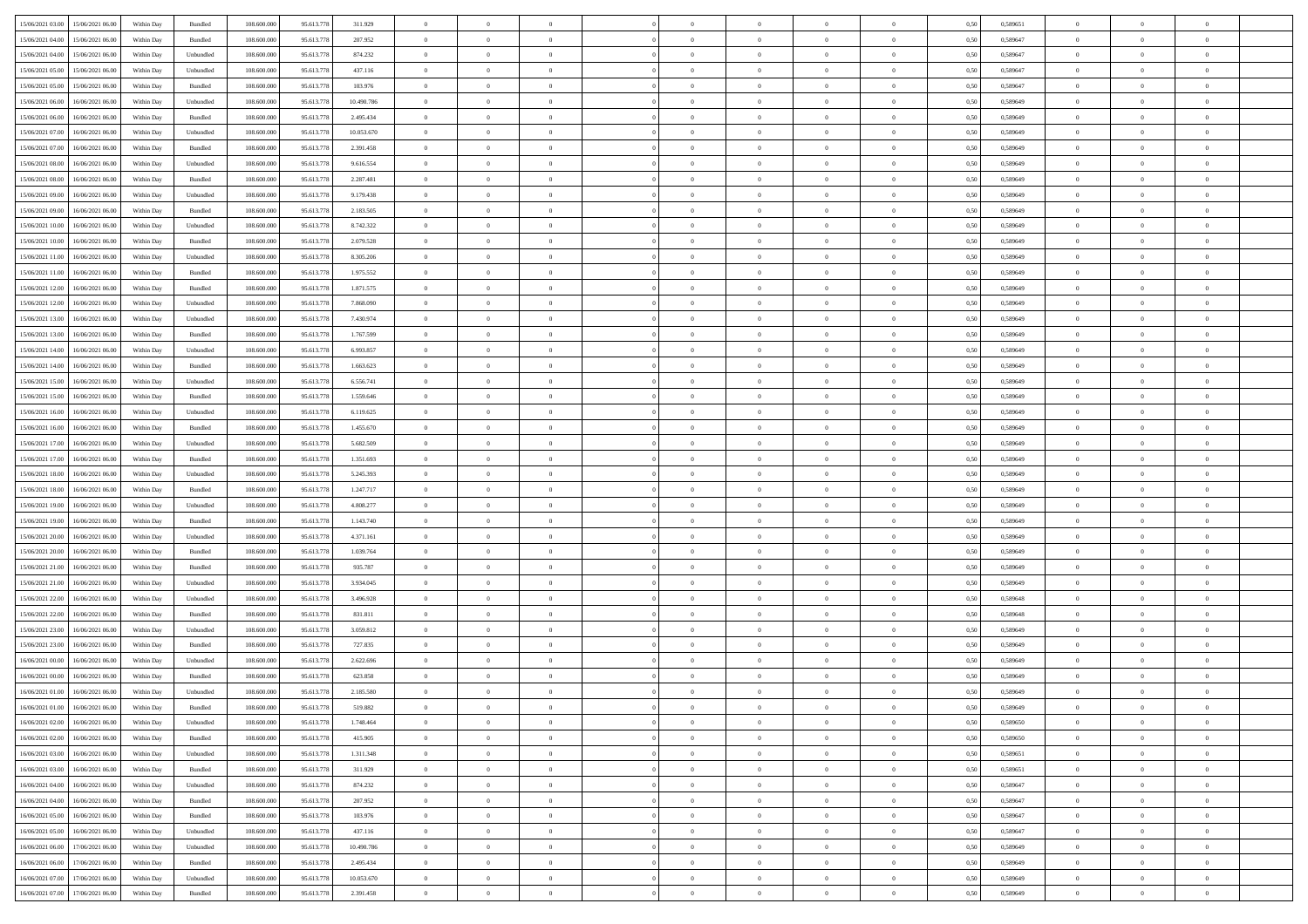| 15/06/2021 03:00 15/06/2021 06:00            | Within Day | Bundled   | 108.600.000 | 95.613.778 | 311.929    | $\overline{0}$ | $\overline{0}$ |                | $\overline{0}$ | $\theta$       |                | $\theta$       | 0,50 | 0,589651 | $\theta$       | $\theta$       | $\overline{0}$ |  |
|----------------------------------------------|------------|-----------|-------------|------------|------------|----------------|----------------|----------------|----------------|----------------|----------------|----------------|------|----------|----------------|----------------|----------------|--|
| 15/06/2021 04:00<br>15/06/2021 06:00         | Within Day | Bundled   | 108.600.00  | 95.613.778 | 207.952    | $\bf{0}$       | $\bf{0}$       | $\bf{0}$       | $\overline{0}$ | $\overline{0}$ | $\overline{0}$ | $\bf{0}$       | 0,50 | 0,589647 | $\,$ 0 $\,$    | $\bf{0}$       | $\overline{0}$ |  |
| 15/06/2021 04:00<br>15/06/2021 06:00         | Within Day | Unbundled | 108,600,000 | 95.613.778 | 874.232    | $\overline{0}$ | $\bf{0}$       | $\overline{0}$ | $\bf{0}$       | $\bf{0}$       | $\overline{0}$ | $\bf{0}$       | 0.50 | 0.589647 | $\bf{0}$       | $\overline{0}$ | $\overline{0}$ |  |
| 15/06/2021 05:00<br>15/06/2021 06:00         |            |           | 108.600.000 |            |            | $\overline{0}$ | $\overline{0}$ | $\overline{0}$ | $\theta$       | $\theta$       | $\overline{0}$ | $\bf{0}$       |      |          | $\theta$       | $\theta$       | $\overline{0}$ |  |
|                                              | Within Day | Unbundled |             | 95.613.778 | 437.116    |                |                |                |                |                |                |                | 0,50 | 0,589647 |                |                |                |  |
| 15/06/2021 05:00<br>15/06/2021 06:00         | Within Day | Bundled   | 108.600.00  | 95.613.778 | 103.976    | $\bf{0}$       | $\overline{0}$ | $\bf{0}$       | $\overline{0}$ | $\theta$       | $\overline{0}$ | $\bf{0}$       | 0,50 | 0,589647 | $\,$ 0 $\,$    | $\bf{0}$       | $\overline{0}$ |  |
| 15/06/2021 06:00<br>16/06/2021 06:00         | Within Day | Unbundled | 108,600,000 | 95.613.778 | 10.490.786 | $\overline{0}$ | $\overline{0}$ | $\overline{0}$ | $\bf{0}$       | $\overline{0}$ | $\Omega$       | $\bf{0}$       | 0.50 | 0.589649 | $\,$ 0 $\,$    | $\theta$       | $\overline{0}$ |  |
| 15/06/2021 06:00<br>16/06/2021 06:00         | Within Day | Bundled   | 108.600.000 | 95.613.778 | 2.495.434  | $\overline{0}$ | $\overline{0}$ | $\overline{0}$ | $\overline{0}$ | $\overline{0}$ | $\overline{0}$ | $\bf{0}$       | 0,50 | 0,589649 | $\,$ 0 $\,$    | $\theta$       | $\overline{0}$ |  |
|                                              |            |           |             |            |            |                |                |                |                |                |                |                |      |          |                |                |                |  |
| 15/06/2021 07:00<br>16/06/2021 06:00         | Within Day | Unbundled | 108.600.00  | 95.613.778 | 10.053.670 | $\bf{0}$       | $\overline{0}$ | $\bf{0}$       | $\overline{0}$ | $\overline{0}$ | $\overline{0}$ | $\bf{0}$       | 0,50 | 0,589649 | $\,$ 0 $\,$    | $\bf{0}$       | $\overline{0}$ |  |
| 15/06/2021 07:00<br>16/06/2021 06:00         | Within Day | Bundled   | 108,600,000 | 95.613.778 | 2.391.458  | $\overline{0}$ | $\bf{0}$       | $\overline{0}$ | $\bf{0}$       | $\overline{0}$ | $\overline{0}$ | $\bf{0}$       | 0.50 | 0.589649 | $\bf{0}$       | $\overline{0}$ | $\overline{0}$ |  |
| 15/06/2021 08:00<br>16/06/2021 06:00         | Within Day | Unbundled | 108.600.000 | 95.613.778 | 9.616.554  | $\overline{0}$ | $\bf{0}$       | $\overline{0}$ | $\overline{0}$ | $\overline{0}$ | $\overline{0}$ | $\bf{0}$       | 0,50 | 0,589649 | $\,$ 0 $\,$    | $\bf{0}$       | $\overline{0}$ |  |
| 15/06/2021 08:00<br>16/06/2021 06:00         | Within Day | Bundled   | 108.600.00  | 95.613.778 | 2.287.481  | $\bf{0}$       | $\overline{0}$ | $\bf{0}$       | $\bf{0}$       | $\bf{0}$       | $\overline{0}$ | $\bf{0}$       | 0,50 | 0,589649 | $\,$ 0 $\,$    | $\bf{0}$       | $\overline{0}$ |  |
|                                              |            |           |             |            |            |                |                |                |                |                |                |                |      |          |                |                |                |  |
| 15/06/2021 09:00<br>16/06/2021 06:00         | Within Day | Unbundled | 108,600,000 | 95.613.778 | 9.179.438  | $\overline{0}$ | $\bf{0}$       | $\overline{0}$ | $\overline{0}$ | $\bf{0}$       | $\overline{0}$ | $\bf{0}$       | 0.50 | 0.589649 | $\bf{0}$       | $\overline{0}$ | $\overline{0}$ |  |
| 15/06/2021 09:00<br>16/06/2021 06:00         | Within Day | Bundled   | 108.600.000 | 95.613.778 | 2.183.505  | $\overline{0}$ | $\overline{0}$ | $\overline{0}$ | $\overline{0}$ | $\theta$       | $\overline{0}$ | $\bf{0}$       | 0,50 | 0,589649 | $\,$ 0 $\,$    | $\theta$       | $\overline{0}$ |  |
| 15/06/2021 10:00<br>16/06/2021 06:00         | Within Day | Unbundled | 108.600.00  | 95.613.778 | 8.742.322  | $\bf{0}$       | $\overline{0}$ | $\bf{0}$       | $\overline{0}$ | $\theta$       | $\overline{0}$ | $\bf{0}$       | 0,50 | 0,589649 | $\,$ 0 $\,$    | $\bf{0}$       | $\overline{0}$ |  |
|                                              |            |           |             |            |            |                |                |                |                |                |                |                |      |          |                |                |                |  |
| 15/06/2021 10:00<br>16/06/2021 06:00         | Within Day | Bundled   | 108,600,000 | 95.613.778 | 2.079.528  | $\overline{0}$ | $\overline{0}$ | $\overline{0}$ | $\bf{0}$       | $\theta$       | $\Omega$       | $\bf{0}$       | 0.50 | 0.589649 | $\theta$       | $\theta$       | $\overline{0}$ |  |
| 15/06/2021 11:00<br>16/06/2021 06:00         | Within Day | Unbundled | 108.600.000 | 95.613.778 | 8.305.206  | $\overline{0}$ | $\overline{0}$ | $\overline{0}$ | $\overline{0}$ | $\theta$       | $\overline{0}$ | $\bf{0}$       | 0,50 | 0,589649 | $\theta$       | $\theta$       | $\overline{0}$ |  |
| 15/06/2021 11:00<br>16/06/2021 06:00         | Within Day | Bundled   | 108.600.00  | 95.613.778 | 1.975.552  | $\bf{0}$       | $\overline{0}$ | $\bf{0}$       | $\overline{0}$ | $\theta$       | $\overline{0}$ | $\bf{0}$       | 0,50 | 0,589649 | $\,$ 0 $\,$    | $\bf{0}$       | $\overline{0}$ |  |
| 15/06/2021 12:00<br>16/06/2021 06:00         | Within Day | Bundled   | 108,600,000 | 95.613.778 | 1.871.575  | $\overline{0}$ | $\bf{0}$       | $\overline{0}$ | $\bf{0}$       | $\overline{0}$ | $\overline{0}$ | $\bf{0}$       | 0.50 | 0.589649 | $\bf{0}$       | $\overline{0}$ | $\overline{0}$ |  |
|                                              |            |           |             |            |            |                |                |                |                |                |                |                |      |          |                |                |                |  |
| 15/06/2021 12:00<br>16/06/2021 06:00         | Within Day | Unbundled | 108.600.000 | 95.613.778 | 7.868.090  | $\overline{0}$ | $\bf{0}$       | $\overline{0}$ | $\overline{0}$ | $\overline{0}$ | $\overline{0}$ | $\bf{0}$       | 0,50 | 0,589649 | $\,$ 0 $\,$    | $\bf{0}$       | $\overline{0}$ |  |
| 15/06/2021 13:00<br>16/06/2021 06:00         | Within Day | Unbundled | 108.600.00  | 95.613.778 | 7.430.974  | $\bf{0}$       | $\bf{0}$       | $\bf{0}$       | $\bf{0}$       | $\overline{0}$ | $\overline{0}$ | $\bf{0}$       | 0,50 | 0,589649 | $\,$ 0 $\,$    | $\bf{0}$       | $\overline{0}$ |  |
| 15/06/2021 13:00<br>16/06/2021 06:00         | Within Day | Bundled   | 108,600,000 | 95.613.778 | 1.767.599  | $\overline{0}$ | $\bf{0}$       | $\overline{0}$ | $\bf{0}$       | $\bf{0}$       | $\overline{0}$ | $\bf{0}$       | 0.50 | 0.589649 | $\bf{0}$       | $\overline{0}$ | $\overline{0}$ |  |
| 15/06/2021 14:00<br>16/06/2021 06:00         | Within Day | Unbundled | 108.600.000 | 95.613.778 | 6.993.857  | $\overline{0}$ | $\overline{0}$ | $\overline{0}$ | $\theta$       | $\theta$       | $\overline{0}$ | $\bf{0}$       | 0,50 | 0,589649 | $\theta$       | $\theta$       | $\overline{0}$ |  |
|                                              |            |           |             |            |            |                |                |                |                |                |                |                |      |          |                |                |                |  |
| 15/06/2021 14:00<br>16/06/2021 06:00         | Within Day | Bundled   | 108.600.00  | 95.613.778 | 1.663.623  | $\bf{0}$       | $\overline{0}$ | $\bf{0}$       | $\overline{0}$ | $\theta$       | $\overline{0}$ | $\bf{0}$       | 0,50 | 0,589649 | $\,$ 0 $\,$    | $\bf{0}$       | $\overline{0}$ |  |
| 15/06/2021 15:00<br>16/06/2021 06:00         | Within Day | Unbundled | 108,600,000 | 95.613.778 | 6.556.741  | $\overline{0}$ | $\overline{0}$ | $\overline{0}$ | $\overline{0}$ | $\overline{0}$ | $\Omega$       | $\bf{0}$       | 0.50 | 0.589649 | $\,$ 0 $\,$    | $\theta$       | $\overline{0}$ |  |
| 15/06/2021 15:00<br>16/06/2021 06:00         | Within Day | Bundled   | 108.600.000 | 95.613.778 | 1.559.646  | $\overline{0}$ | $\overline{0}$ | $\overline{0}$ | $\overline{0}$ | $\theta$       | $\overline{0}$ | $\bf{0}$       | 0,50 | 0,589649 | $\,$ 0 $\,$    | $\theta$       | $\overline{0}$ |  |
| 15/06/2021 16:00<br>16/06/2021 06:00         | Within Day | Unbundled | 108.600.00  | 95.613.778 | 6.119.625  | $\bf{0}$       | $\overline{0}$ | $\bf{0}$       | $\overline{0}$ | $\theta$       | $\overline{0}$ | $\bf{0}$       | 0,50 | 0,589649 | $\,$ 0 $\,$    | $\bf{0}$       | $\overline{0}$ |  |
|                                              |            |           |             |            |            |                |                |                |                |                |                |                |      |          |                |                |                |  |
| 15/06/2021 16:00<br>16/06/2021 06:00         | Within Day | Bundled   | 108,600,000 | 95.613.778 | 1.455.670  | $\overline{0}$ | $\bf{0}$       | $\overline{0}$ | $\bf{0}$       | $\overline{0}$ | $\overline{0}$ | $\bf{0}$       | 0.50 | 0.589649 | $\bf{0}$       | $\overline{0}$ | $\overline{0}$ |  |
| 15/06/2021 17:00<br>16/06/2021 06:00         | Within Day | Unbundled | 108.600.000 | 95.613.778 | 5.682.509  | $\overline{0}$ | $\bf{0}$       | $\overline{0}$ | $\overline{0}$ | $\overline{0}$ | $\overline{0}$ | $\bf{0}$       | 0,50 | 0,589649 | $\theta$       | $\theta$       | $\overline{0}$ |  |
| 15/06/2021 17:00<br>16/06/2021 06:00         | Within Day | Bundled   | 108.600.00  | 95.613.778 | 1.351.693  | $\bf{0}$       | $\bf{0}$       | $\bf{0}$       | $\bf{0}$       | $\overline{0}$ | $\overline{0}$ | $\bf{0}$       | 0,50 | 0,589649 | $\,$ 0 $\,$    | $\bf{0}$       | $\overline{0}$ |  |
| 15/06/2021 18:00<br>16/06/2021 06:00         | Within Day | Unbundled | 108,600,000 | 95.613.778 | 5.245.393  | $\overline{0}$ | $\bf{0}$       | $\overline{0}$ | $\bf{0}$       | $\bf{0}$       | $\overline{0}$ | $\bf{0}$       | 0.50 | 0.589649 | $\bf{0}$       | $\overline{0}$ | $\overline{0}$ |  |
|                                              |            |           |             |            |            |                |                |                |                |                |                |                |      |          |                |                |                |  |
| 15/06/2021 18:00<br>16/06/2021 06:00         | Within Day | Bundled   | 108.600.000 | 95.613.778 | 1.247.717  | $\overline{0}$ | $\overline{0}$ | $\overline{0}$ | $\overline{0}$ | $\overline{0}$ | $\overline{0}$ | $\bf{0}$       | 0.50 | 0.589649 | $\theta$       | $\theta$       | $\overline{0}$ |  |
| 15/06/2021 19:00<br>16/06/2021 06:00         | Within Day | Unbundled | 108.600.00  | 95.613.778 | 4.808.277  | $\bf{0}$       | $\overline{0}$ | $\bf{0}$       | $\overline{0}$ | $\overline{0}$ | $\overline{0}$ | $\bf{0}$       | 0,50 | 0,589649 | $\,$ 0 $\,$    | $\bf{0}$       | $\overline{0}$ |  |
| 15/06/2021 19:00<br>16/06/2021 06:00         | Within Day | Bundled   | 108,600,000 | 95.613.778 | 1.143.740  | $\overline{0}$ | $\bf{0}$       | $\overline{0}$ | $\bf{0}$       | $\theta$       | $\Omega$       | $\bf{0}$       | 0.50 | 0.589649 | $\,$ 0 $\,$    | $\theta$       | $\overline{0}$ |  |
| 15/06/2021 20:00<br>16/06/2021 06:00         | Within Dav | Unbundled | 108.600.000 | 95.613.778 | 4.371.161  | $\overline{0}$ | $\overline{0}$ | $\overline{0}$ | $\overline{0}$ | $\theta$       | $\overline{0}$ | $\bf{0}$       | 0.50 | 0.589649 | $\theta$       | $\theta$       | $\overline{0}$ |  |
|                                              |            |           |             |            |            | $\bf{0}$       | $\bf{0}$       | $\bf{0}$       | $\overline{0}$ | $\bf{0}$       | $\overline{0}$ |                |      |          | $\,$ 0 $\,$    | $\bf{0}$       | $\overline{0}$ |  |
| 15/06/2021 20:00<br>16/06/2021 06:00         | Within Day | Bundled   | 108.600.00  | 95.613.778 | 1.039.764  |                |                |                |                |                |                | $\bf{0}$       | 0,50 | 0,589649 |                |                |                |  |
| 15/06/2021 21:00<br>16/06/2021 06:00         | Within Day | Bundled   | 108,600,000 | 95.613.778 | 935.787    | $\overline{0}$ | $\bf{0}$       | $\overline{0}$ | $\bf{0}$       | $\overline{0}$ | $\overline{0}$ | $\bf{0}$       | 0.50 | 0.589649 | $\bf{0}$       | $\overline{0}$ | $\overline{0}$ |  |
| 15/06/2021 21:00<br>16/06/2021 06:00         | Within Dav | Unbundled | 108.600.000 | 95.613.778 | 3.934.045  | $\overline{0}$ | $\overline{0}$ | $\overline{0}$ | $\overline{0}$ | $\overline{0}$ | $\overline{0}$ | $\overline{0}$ | 0.50 | 0.589649 | $\theta$       | $\theta$       | $\overline{0}$ |  |
| 15/06/2021 22:00<br>16/06/2021 06:00         | Within Day | Unbundled | 108.600.00  | 95.613.778 | 3.496.928  | $\bf{0}$       | $\bf{0}$       | $\bf{0}$       | $\bf{0}$       | $\overline{0}$ | $\overline{0}$ | $\bf{0}$       | 0,50 | 0,589648 | $\,$ 0 $\,$    | $\bf{0}$       | $\overline{0}$ |  |
| 15/06/2021 22:00<br>16/06/2021 06:00         | Within Day | Bundled   | 108,600,000 | 95.613.778 | 831.811    | $\overline{0}$ | $\bf{0}$       | $\overline{0}$ | $\overline{0}$ | $\bf{0}$       | $\overline{0}$ | $\bf{0}$       | 0.50 | 0.589648 | $\bf{0}$       | $\overline{0}$ | $\overline{0}$ |  |
|                                              |            |           |             |            |            |                |                |                |                |                |                |                |      |          |                |                |                |  |
| 15/06/2021 23:00<br>16/06/2021 06:00         | Within Dav | Unbundled | 108.600.000 | 95.613.778 | 3.059.812  | $\overline{0}$ | $\overline{0}$ | $\overline{0}$ | $\overline{0}$ | $\theta$       | $\overline{0}$ | $\bf{0}$       | 0.50 | 0.589649 | $\theta$       | $\theta$       | $\overline{0}$ |  |
| 15/06/2021 23:00<br>16/06/2021 06:00         | Within Day | Bundled   | 108.600.00  | 95.613.778 | 727.835    | $\bf{0}$       | $\bf{0}$       | $\bf{0}$       | $\bf{0}$       | $\overline{0}$ | $\overline{0}$ | $\bf{0}$       | 0,50 | 0,589649 | $\,$ 0 $\,$    | $\bf{0}$       | $\overline{0}$ |  |
| 16/06/2021 00:00<br>16/06/2021 06:00         | Within Day | Unbundled | 108,600,000 | 95.613.778 | 2.622.696  | $\overline{0}$ | $\overline{0}$ | $\overline{0}$ | $\overline{0}$ | $\theta$       | $\Omega$       | $\bf{0}$       | 0.50 | 0.589649 | $\,$ 0 $\,$    | $\theta$       | $\overline{0}$ |  |
| 16/06/2021 00:00<br>16/06/2021 06:00         | Within Dav | Bundled   | 108.600.000 | 95.613.778 | 623.858    | $\overline{0}$ | $\overline{0}$ | $\Omega$       | $\overline{0}$ | $\theta$       | $\Omega$       | $\overline{0}$ | 0.50 | 0.589649 | $\theta$       | $\theta$       | $\overline{0}$ |  |
|                                              |            |           |             |            |            |                |                |                |                |                |                |                |      |          |                |                |                |  |
| 16/06/2021 01:00<br>16/06/2021 06:00         | Within Day | Unbundled | 108.600.00  | 95.613.778 | 2.185.580  | $\bf{0}$       | $\bf{0}$       | $\bf{0}$       | $\bf{0}$       | $\bf{0}$       | $\overline{0}$ | $\bf{0}$       | 0,50 | 0,589649 | $\,$ 0 $\,$    | $\overline{0}$ | $\overline{0}$ |  |
| $16/06/2021\;01.00 \qquad 16/06/2021\;06.00$ | Within Day | Bundled   | 108.600.000 | 95.613.778 | 519.882    | $\overline{0}$ | $\Omega$       |                | $\Omega$       |                |                |                | 0,50 | 0.589649 | $\theta$       | $\overline{0}$ |                |  |
| 16/06/2021 02:00 16/06/2021 06:00            | Within Day | Unbundled | 108.600.000 | 95.613.778 | 1.748.464  | $\overline{0}$ | $\overline{0}$ | $\overline{0}$ | $\theta$       | $\overline{0}$ | $\overline{0}$ | $\bf{0}$       | 0,50 | 0,589650 | $\theta$       | $\overline{0}$ | $\overline{0}$ |  |
| 16/06/2021 02:00<br>16/06/2021 06:00         | Within Day | Bundled   | 108.600.00  | 95.613.778 | 415.905    | $\overline{0}$ | $\bf{0}$       | $\overline{0}$ | $\overline{0}$ | $\bf{0}$       | $\overline{0}$ | $\bf{0}$       | 0,50 | 0,589650 | $\bf{0}$       | $\overline{0}$ | $\bf{0}$       |  |
|                                              |            |           |             |            |            |                |                |                |                |                |                |                |      |          |                |                |                |  |
| 16/06/2021 03:00 16/06/2021 06:00            | Within Day | Unbundled | 108,600,000 | 95.613.778 | 1.311.348  | $\overline{0}$ | $\bf{0}$       | $\overline{0}$ | $\overline{0}$ | $\mathbf{0}$   | $\overline{0}$ | $\,$ 0 $\,$    | 0.50 | 0.589651 | $\overline{0}$ | $\bf{0}$       | $\bf{0}$       |  |
| 16/06/2021 03:00 16/06/2021 06:00            | Within Dav | Bundled   | 108.600.000 | 95.613.778 | 311.929    | $\overline{0}$ | $\overline{0}$ | $\overline{0}$ | $\overline{0}$ | $\overline{0}$ | $\overline{0}$ | $\bf{0}$       | 0,50 | 0,589651 | $\overline{0}$ | $\theta$       | $\overline{0}$ |  |
| 16/06/2021 04:00<br>16/06/2021 06:00         | Within Day | Unbundled | 108.600.000 | 95.613.778 | 874.232    | $\overline{0}$ | $\bf{0}$       | $\overline{0}$ | $\overline{0}$ | $\bf{0}$       | $\overline{0}$ | $\bf{0}$       | 0,50 | 0,589647 | $\bf{0}$       | $\overline{0}$ | $\overline{0}$ |  |
| 16/06/2021 04:00<br>16/06/2021 06:00         | Within Day | Bundled   | 108,600,000 | 95.613.778 | 207.952    | $\overline{0}$ | $\bf{0}$       | $\overline{0}$ | $\overline{0}$ | $\bf{0}$       | $\overline{0}$ | $\bf{0}$       | 0.50 | 0.589647 | $\,$ 0 $\,$    | $\overline{0}$ | $\,$ 0         |  |
|                                              |            |           |             |            |            |                |                |                |                |                |                |                |      |          |                |                |                |  |
| 16/06/2021 05:00<br>16/06/2021 06:00         | Within Dav | Bundled   | 108.600.000 | 95.613.778 | 103.976    | $\overline{0}$ | $\overline{0}$ | $\overline{0}$ | $\overline{0}$ | $\overline{0}$ | $\overline{0}$ | $\bf{0}$       | 0.50 | 0,589647 | $\overline{0}$ | $\theta$       | $\overline{0}$ |  |
| 16/06/2021 05:00<br>16/06/2021 06:00         | Within Day | Unbundled | 108.600.00  | 95.613.778 | 437.116    | $\overline{0}$ | $\overline{0}$ | $\overline{0}$ | $\overline{0}$ | $\overline{0}$ | $\overline{0}$ | $\bf{0}$       | 0,50 | 0,589647 | $\bf{0}$       | $\overline{0}$ | $\,$ 0         |  |
| 17/06/2021 06:00<br>16/06/2021 06:00         | Within Day | Unbundled | 108,600,000 | 95.613.778 | 10.490.786 | $\overline{0}$ | $\overline{0}$ | $\overline{0}$ | $\overline{0}$ | $\overline{0}$ | $\overline{0}$ | $\bf{0}$       | 0.50 | 0.589649 | $\mathbf{0}$   | $\bf{0}$       | $\,$ 0         |  |
| 16/06/2021 06:00<br>17/06/2021 06:00         | Within Dav | Bundled   | 108.600.000 | 95.613.778 | 2.495.434  | $\overline{0}$ | $\overline{0}$ | $\overline{0}$ | $\overline{0}$ | $\overline{0}$ | $\overline{0}$ | $\bf{0}$       | 0,50 | 0.589649 | $\overline{0}$ | $\theta$       | $\overline{0}$ |  |
|                                              |            |           |             |            |            |                |                |                |                |                |                |                |      |          |                |                |                |  |
| 16/06/2021 07:00<br>17/06/2021 06:00         | Within Day | Unbundled | 108.600.00  | 95.613.778 | 10.053.670 | $\overline{0}$ | $\bf{0}$       | $\overline{0}$ | $\overline{0}$ | $\overline{0}$ | $\overline{0}$ | $\bf{0}$       | 0,50 | 0,589649 | $\bf{0}$       | $\,$ 0 $\,$    | $\bf{0}$       |  |
| 16/06/2021 07:00 17/06/2021 06:00            | Within Day | Bundled   | 108.600.000 | 95.613.778 | 2.391.458  | $\,$ 0 $\,$    | $\bf{0}$       | $\overline{0}$ | $\overline{0}$ | $\,$ 0 $\,$    | $\overline{0}$ | $\,$ 0 $\,$    | 0,50 | 0,589649 | $\overline{0}$ | $\,$ 0 $\,$    | $\,$ 0 $\,$    |  |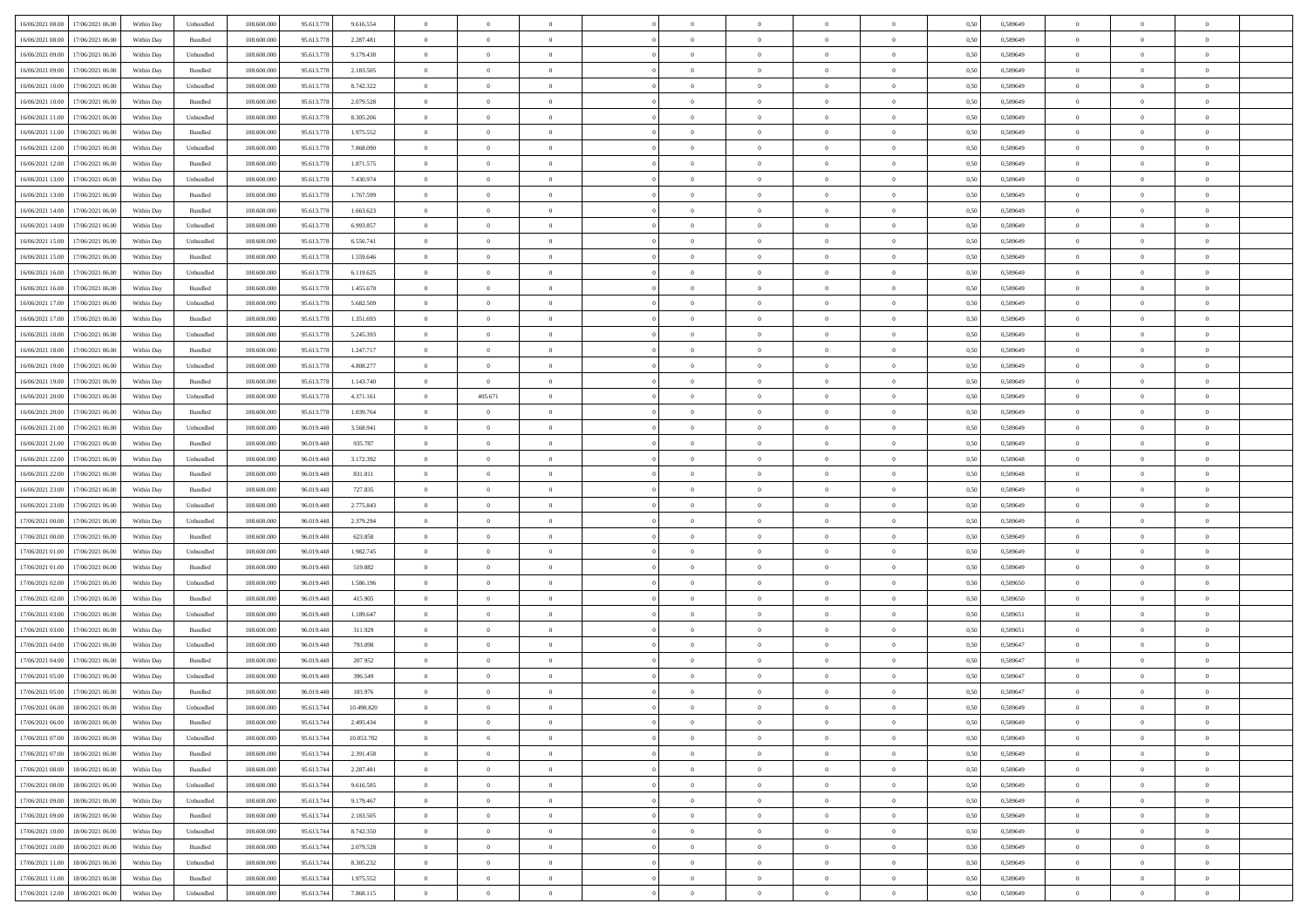| 16/06/2021 08:00 17/06/2021 06:00          |                  | Within Day | Unbundled                   | 108.600.000 | 95.613.778 | 9.616.554  | $\overline{0}$ | $\overline{0}$ |                | $\overline{0}$ | $\theta$       |                | $\theta$       | 0,50 | 0,589649 | $\theta$       | $\theta$       | $\overline{0}$ |  |
|--------------------------------------------|------------------|------------|-----------------------------|-------------|------------|------------|----------------|----------------|----------------|----------------|----------------|----------------|----------------|------|----------|----------------|----------------|----------------|--|
| 16/06/2021 08:00                           | 17/06/2021 06:00 | Within Day | Bundled                     | 108.600.00  | 95.613.778 | 2.287.481  | $\bf{0}$       | $\bf{0}$       | $\bf{0}$       | $\bf{0}$       | $\overline{0}$ | $\overline{0}$ | $\bf{0}$       | 0,50 | 0,589649 | $\,$ 0 $\,$    | $\bf{0}$       | $\overline{0}$ |  |
| 16/06/2021 09:00                           | 17/06/2021 06:00 | Within Day | Unbundled                   | 108,600,000 | 95.613.778 | 9.179.438  | $\overline{0}$ | $\bf{0}$       | $\overline{0}$ | $\bf{0}$       | $\bf{0}$       | $\overline{0}$ | $\bf{0}$       | 0.50 | 0.589649 | $\bf{0}$       | $\overline{0}$ | $\overline{0}$ |  |
|                                            |                  |            |                             |             |            |            | $\overline{0}$ | $\overline{0}$ | $\overline{0}$ | $\overline{0}$ | $\theta$       | $\overline{0}$ |                |      |          | $\,$ 0 $\,$    | $\theta$       | $\overline{0}$ |  |
| 16/06/2021 09:00                           | 17/06/2021 06.00 | Within Day | Bundled                     | 108.600.000 | 95.613.778 | 2.183.505  |                |                |                |                |                |                | $\bf{0}$       | 0,50 | 0,589649 |                |                |                |  |
| 16/06/2021 10:00                           | 17/06/2021 06:00 | Within Day | Unbundled                   | 108.600.00  | 95.613.778 | 8.742.322  | $\bf{0}$       | $\overline{0}$ | $\bf{0}$       | $\overline{0}$ | $\theta$       | $\overline{0}$ | $\bf{0}$       | 0,50 | 0,589649 | $\,$ 0 $\,$    | $\bf{0}$       | $\overline{0}$ |  |
| 16/06/2021 10:00                           | 17/06/2021 06:00 | Within Day | Bundled                     | 108,600,000 | 95.613.778 | 2.079.528  | $\overline{0}$ | $\bf{0}$       | $\overline{0}$ | $\bf{0}$       | $\overline{0}$ | $\theta$       | $\bf{0}$       | 0.50 | 0.589649 | $\,$ 0 $\,$    | $\theta$       | $\overline{0}$ |  |
| 16/06/2021 11:00                           | 17/06/2021 06.00 | Within Day | Unbundled                   | 108.600.000 | 95.613.778 | 8.305.206  | $\overline{0}$ | $\overline{0}$ | $\overline{0}$ | $\overline{0}$ | $\overline{0}$ | $\overline{0}$ | $\bf{0}$       | 0,50 | 0,589649 | $\,$ 0 $\,$    | $\theta$       | $\overline{0}$ |  |
|                                            |                  |            |                             |             |            |            |                |                |                |                |                |                |                |      |          |                |                |                |  |
| 16/06/2021 11:00                           | 17/06/2021 06.00 | Within Day | Bundled                     | 108.600.00  | 95.613.778 | 1.975.552  | $\bf{0}$       | $\bf{0}$       | $\bf{0}$       | $\overline{0}$ | $\overline{0}$ | $\overline{0}$ | $\bf{0}$       | 0,50 | 0,589649 | $\,$ 0 $\,$    | $\bf{0}$       | $\overline{0}$ |  |
| 16/06/2021 12:00                           | 17/06/2021 06:00 | Within Day | Unbundled                   | 108,600,000 | 95.613.778 | 7.868.090  | $\overline{0}$ | $\bf{0}$       | $\overline{0}$ | $\bf{0}$       | $\overline{0}$ | $\overline{0}$ | $\bf{0}$       | 0.50 | 0.589649 | $\bf{0}$       | $\overline{0}$ | $\overline{0}$ |  |
| 16/06/2021 12:00                           | 17/06/2021 06:00 | Within Day | Bundled                     | 108.600.000 | 95.613.778 | 1.871.575  | $\bf{0}$       | $\bf{0}$       | $\overline{0}$ | $\overline{0}$ | $\overline{0}$ | $\overline{0}$ | $\bf{0}$       | 0,50 | 0,589649 | $\,$ 0 $\,$    | $\,$ 0 $\,$    | $\overline{0}$ |  |
| 16/06/2021 13:00                           | 17/06/2021 06:00 | Within Day | Unbundled                   | 108.600.00  | 95.613.778 | 7.430.974  | $\bf{0}$       | $\bf{0}$       | $\bf{0}$       | $\bf{0}$       | $\overline{0}$ | $\overline{0}$ | $\bf{0}$       | 0,50 | 0,589649 | $\,$ 0 $\,$    | $\bf{0}$       | $\overline{0}$ |  |
|                                            |                  |            |                             |             |            |            |                |                |                |                |                |                |                |      |          |                |                |                |  |
| 16/06/2021 13:00                           | 17/06/2021 06:00 | Within Day | Bundled                     | 108,600,000 | 95.613.778 | 1.767.599  | $\overline{0}$ | $\bf{0}$       | $\overline{0}$ | $\overline{0}$ | $\bf{0}$       | $\overline{0}$ | $\bf{0}$       | 0.50 | 0.589649 | $\bf{0}$       | $\,$ 0 $\,$    | $\,$ 0         |  |
| 16/06/2021 14:00                           | 17/06/2021 06:00 | Within Day | Bundled                     | 108.600.000 | 95.613.778 | 1.663.623  | $\overline{0}$ | $\overline{0}$ | $\overline{0}$ | $\theta$       | $\theta$       | $\overline{0}$ | $\bf{0}$       | 0,50 | 0,589649 | $\,$ 0 $\,$    | $\theta$       | $\overline{0}$ |  |
| 16/06/2021 14:00                           | 17/06/2021 06:00 | Within Day | Unbundled                   | 108.600.00  | 95.613.778 | 6.993.857  | $\bf{0}$       | $\overline{0}$ | $\bf{0}$       | $\overline{0}$ | $\bf{0}$       | $\overline{0}$ | $\bf{0}$       | 0,50 | 0,589649 | $\,$ 0 $\,$    | $\bf{0}$       | $\overline{0}$ |  |
|                                            |                  |            |                             |             |            |            |                |                |                |                |                |                |                |      |          |                |                |                |  |
| 16/06/2021 15:00                           | 17/06/2021 06:00 | Within Day | Unbundled                   | 108,600,000 | 95.613.778 | 6.556.741  | $\overline{0}$ | $\bf{0}$       | $\overline{0}$ | $\bf{0}$       | $\overline{0}$ | $\theta$       | $\bf{0}$       | 0.50 | 0.589649 | $\,$ 0 $\,$    | $\theta$       | $\overline{0}$ |  |
| 16/06/2021 15:00                           | 17/06/2021 06:00 | Within Day | Bundled                     | 108.600.000 | 95.613.778 | 1.559.646  | $\overline{0}$ | $\overline{0}$ | $\overline{0}$ | $\overline{0}$ | $\overline{0}$ | $\overline{0}$ | $\bf{0}$       | 0,50 | 0,589649 | $\theta$       | $\theta$       | $\overline{0}$ |  |
| 16/06/2021 16:00                           | 17/06/2021 06.00 | Within Day | Unbundled                   | 108.600.00  | 95.613.778 | 6.119.625  | $\bf{0}$       | $\bf{0}$       | $\bf{0}$       | $\overline{0}$ | $\bf{0}$       | $\overline{0}$ | $\bf{0}$       | 0,50 | 0,589649 | $\,$ 0 $\,$    | $\bf{0}$       | $\overline{0}$ |  |
| 16/06/2021 16:00                           | 17/06/2021 06:00 | Within Day | Bundled                     | 108,600,000 | 95.613.778 | 1.455.670  | $\overline{0}$ | $\bf{0}$       | $\overline{0}$ | $\bf{0}$       | $\overline{0}$ | $\overline{0}$ | $\bf{0}$       | 0.50 | 0.589649 | $\bf{0}$       | $\overline{0}$ | $\overline{0}$ |  |
|                                            |                  |            |                             |             |            |            |                |                |                |                |                |                |                |      |          |                |                |                |  |
| 16/06/2021 17:00                           | 17/06/2021 06:00 | Within Day | Unbundled                   | 108.600.000 | 95.613.778 | 5.682.509  | $\bf{0}$       | $\bf{0}$       | $\overline{0}$ | $\overline{0}$ | $\overline{0}$ | $\overline{0}$ | $\bf{0}$       | 0,50 | 0,589649 | $\,$ 0 $\,$    | $\bf{0}$       | $\overline{0}$ |  |
| 16/06/2021 17:00                           | 17/06/2021 06:00 | Within Day | Bundled                     | 108.600.00  | 95.613.778 | 1.351.693  | $\bf{0}$       | $\bf{0}$       | $\bf{0}$       | $\bf{0}$       | $\overline{0}$ | $\overline{0}$ | $\bf{0}$       | 0,50 | 0,589649 | $\,$ 0 $\,$    | $\bf{0}$       | $\overline{0}$ |  |
| $16/06/2021\ 18.00$                        | 17/06/2021 06.00 | Within Day | Unbundled                   | 108,600,000 | 95.613.778 | 5.245.393  | $\overline{0}$ | $\bf{0}$       | $\overline{0}$ | $\overline{0}$ | $\bf{0}$       | $\overline{0}$ | $\bf{0}$       | 0.50 | 0.589649 | $\bf{0}$       | $\overline{0}$ | $\,$ 0         |  |
| 16/06/2021 18:00                           | 17/06/2021 06:00 | Within Day | Bundled                     | 108.600.000 | 95.613.778 | 1.247.717  | $\overline{0}$ | $\overline{0}$ | $\overline{0}$ | $\overline{0}$ | $\theta$       | $\overline{0}$ | $\bf{0}$       | 0,50 | 0,589649 | $\theta$       | $\theta$       | $\overline{0}$ |  |
|                                            |                  |            |                             |             |            |            |                |                |                |                |                |                |                |      |          |                |                |                |  |
| 16/06/2021 19:00                           | 17/06/2021 06:00 | Within Day | Unbundled                   | 108.600.00  | 95.613.778 | 4.808.277  | $\bf{0}$       | $\overline{0}$ | $\bf{0}$       | $\bf{0}$       | $\overline{0}$ | $\overline{0}$ | $\bf{0}$       | 0,50 | 0,589649 | $\,$ 0 $\,$    | $\bf{0}$       | $\overline{0}$ |  |
| 16/06/2021 19:00                           | 17/06/2021 06:00 | Within Day | Bundled                     | 108,600,000 | 95.613.778 | 1.143.740  | $\overline{0}$ | $\overline{0}$ | $\overline{0}$ | $\bf{0}$       | $\overline{0}$ | $\theta$       | $\bf{0}$       | 0.50 | 0.589649 | $\,$ 0 $\,$    | $\theta$       | $\overline{0}$ |  |
| 16/06/2021 20:00                           | 17/06/2021 06:00 | Within Day | Unbundled                   | 108.600.000 | 95.613.778 | 4.371.161  | $\overline{0}$ | 405.671        | $\overline{0}$ | $\overline{0}$ | $\overline{0}$ | $\overline{0}$ | $\bf{0}$       | 0,50 | 0,589649 | $\,$ 0 $\,$    | $\theta$       | $\overline{0}$ |  |
| 16/06/2021 20:00                           | 17/06/2021 06.00 | Within Day | Bundled                     | 108.600.00  | 95.613.778 | 1.039.764  | $\bf{0}$       | $\theta$       | $\bf{0}$       | $\overline{0}$ | $\bf{0}$       | $\overline{0}$ | $\bf{0}$       | 0,50 | 0,589649 | $\,$ 0 $\,$    | $\bf{0}$       | $\overline{0}$ |  |
|                                            |                  |            |                             |             |            |            |                |                |                |                |                |                |                |      |          |                |                |                |  |
| 16/06/2021 21:00                           | 17/06/2021 06:00 | Within Day | Unbundled                   | 108,600,000 | 96.019.448 | 3.568.941  | $\overline{0}$ | $\bf{0}$       | $\overline{0}$ | $\bf{0}$       | $\overline{0}$ | $\overline{0}$ | $\bf{0}$       | 0.50 | 0.589649 | $\bf{0}$       | $\overline{0}$ | $\overline{0}$ |  |
| 16/06/2021 21:00                           | 17/06/2021 06:00 | Within Day | Bundled                     | 108.600.000 | 96.019.448 | 935.787    | $\overline{0}$ | $\bf{0}$       | $\overline{0}$ | $\overline{0}$ | $\overline{0}$ | $\overline{0}$ | $\bf{0}$       | 0,50 | 0,589649 | $\theta$       | $\theta$       | $\overline{0}$ |  |
| 16/06/2021 22:00                           | 17/06/2021 06.00 | Within Day | Unbundled                   | 108.600.00  | 96.019.448 | 3.172.392  | $\bf{0}$       | $\bf{0}$       | $\bf{0}$       | $\bf{0}$       | $\overline{0}$ | $\overline{0}$ | $\bf{0}$       | 0,50 | 0,589648 | $\,$ 0 $\,$    | $\bf{0}$       | $\overline{0}$ |  |
| 16/06/2021 22:00                           | 17/06/2021 06:00 | Within Day | Bundled                     | 108,600,000 | 96.019.448 | 831.811    | $\overline{0}$ | $\bf{0}$       | $\overline{0}$ | $\overline{0}$ | $\bf{0}$       | $\overline{0}$ | $\bf{0}$       | 0.50 | 0.589648 | $\bf{0}$       | $\,$ 0 $\,$    | $\,$ 0         |  |
|                                            |                  |            |                             |             |            |            |                |                |                |                |                |                |                |      |          |                |                |                |  |
| 16/06/2021 23:00                           | 17/06/2021 06:00 | Within Day | Bundled                     | 108.600.000 | 96.019.448 | 727.835    | $\overline{0}$ | $\overline{0}$ | $\overline{0}$ | $\overline{0}$ | $\overline{0}$ | $\overline{0}$ | $\bf{0}$       | 0.50 | 0.589649 | $\theta$       | $\theta$       | $\overline{0}$ |  |
| 16/06/2021 23:00                           | 17/06/2021 06.00 | Within Day | Unbundled                   | 108.600.00  | 96.019.448 | 2.775.843  | $\bf{0}$       | $\bf{0}$       | $\bf{0}$       | $\bf{0}$       | $\,$ 0 $\,$    | $\overline{0}$ | $\bf{0}$       | 0,50 | 0,589649 | $\,$ 0 $\,$    | $\bf{0}$       | $\overline{0}$ |  |
| 17/06/2021 00:00                           | 17/06/2021 06:00 | Within Day | Unbundled                   | 108,600,000 | 96.019.448 | 2.379.294  | $\overline{0}$ | $\bf{0}$       | $\overline{0}$ | $\bf{0}$       | $\overline{0}$ | $\Omega$       | $\bf{0}$       | 0.50 | 0.589649 | $\,$ 0 $\,$    | $\theta$       | $\overline{0}$ |  |
| 17/06/2021 00:00                           | 17/06/2021 06:00 | Within Dav | Bundled                     | 108.600.000 | 96.019.448 | 623.858    | $\overline{0}$ | $\overline{0}$ | $\overline{0}$ | $\overline{0}$ | $\theta$       | $\overline{0}$ | $\bf{0}$       | 0.50 | 0.589649 | $\theta$       | $\theta$       | $\overline{0}$ |  |
|                                            |                  |            |                             |             |            |            |                |                |                |                |                |                |                |      |          |                |                |                |  |
| 17/06/2021 01:00                           | 17/06/2021 06:00 | Within Day | Unbundled                   | 108.600.00  | 96.019.448 | 1.982.745  | $\bf{0}$       | $\bf{0}$       | $\bf{0}$       | $\bf{0}$       | $\overline{0}$ | $\overline{0}$ | $\bf{0}$       | 0,50 | 0,589649 | $\,$ 0 $\,$    | $\bf{0}$       | $\overline{0}$ |  |
| 17/06/2021 01:00                           | 17/06/2021 06:00 | Within Day | Bundled                     | 108,600,000 | 96.019.448 | 519.882    | $\overline{0}$ | $\bf{0}$       | $\overline{0}$ | $\bf{0}$       | $\overline{0}$ | $\overline{0}$ | $\bf{0}$       | 0.50 | 0.589649 | $\bf{0}$       | $\overline{0}$ | $\overline{0}$ |  |
| 17/06/2021 02:00                           | 17/06/2021 06:00 | Within Dav | Unbundled                   | 108.600.000 | 96.019.448 | 1.586.196  | $\overline{0}$ | $\overline{0}$ | $\overline{0}$ | $\overline{0}$ | $\overline{0}$ | $\overline{0}$ | $\bf{0}$       | 0.50 | 0.589650 | $\theta$       | $\theta$       | $\overline{0}$ |  |
| 17/06/2021 02:00                           | 17/06/2021 06.00 | Within Day | Bundled                     | 108.600.00  | 96.019.448 | 415.905    | $\bf{0}$       | $\bf{0}$       | $\bf{0}$       | $\bf{0}$       | $\overline{0}$ | $\overline{0}$ | $\bf{0}$       | 0,50 | 0,589650 | $\,$ 0 $\,$    | $\bf{0}$       | $\overline{0}$ |  |
|                                            |                  |            |                             |             |            |            |                |                |                |                |                |                |                |      |          |                |                |                |  |
| 17/06/2021 03:00                           | 17/06/2021 06:00 | Within Day | Unbundled                   | 108,600,000 | 96.019.448 | 1.189.647  | $\overline{0}$ | $\bf{0}$       | $\overline{0}$ | $\overline{0}$ | $\bf{0}$       | $\overline{0}$ | $\bf{0}$       | 0.50 | 0.589651 | $\bf{0}$       | $\overline{0}$ | $\overline{0}$ |  |
| 17/06/2021 03:00                           | 17/06/2021 06:00 | Within Dav | Bundled                     | 108.600.000 | 96.019.448 | 311.929    | $\overline{0}$ | $\overline{0}$ | $\overline{0}$ | $\overline{0}$ | $\overline{0}$ | $\overline{0}$ | $\bf{0}$       | 0.50 | 0.589651 | $\theta$       | $\theta$       | $\overline{0}$ |  |
| 17/06/2021 04:00                           | 17/06/2021 06.00 | Within Day | Unbundled                   | 108.600.00  | 96.019.448 | 793.098    | $\bf{0}$       | $\bf{0}$       | $\bf{0}$       | $\bf{0}$       | $\overline{0}$ | $\overline{0}$ | $\bf{0}$       | 0,50 | 0,589647 | $\,$ 0 $\,$    | $\bf{0}$       | $\overline{0}$ |  |
| 17/06/2021 04:00                           | 17/06/2021 06.00 | Within Day | Bundled                     | 108,600,000 | 96.019.448 | 207.952    | $\overline{0}$ | $\overline{0}$ | $\overline{0}$ | $\bf{0}$       | $\theta$       | $\Omega$       | $\bf{0}$       | 0.50 | 0.589647 | $\bf{0}$       | $\theta$       | $\overline{0}$ |  |
| 17/06/2021 05:00                           | 17/06/2021 06:00 | Within Dav | Unbundled                   |             |            | 396,549    | $\overline{0}$ | $\overline{0}$ | $\Omega$       | $\theta$       | $\theta$       | $\overline{0}$ | $\overline{0}$ | 0.50 | 0.589647 | $\theta$       | $\theta$       | $\overline{0}$ |  |
|                                            |                  |            |                             |             |            |            |                |                |                |                |                |                |                |      |          |                |                |                |  |
|                                            |                  |            |                             | 108.600.000 | 96.019.448 |            |                |                |                |                |                |                |                |      |          |                |                | $\overline{0}$ |  |
| 17/06/2021 05:00                           | 17/06/2021 06.00 | Within Day | Bundled                     | 108.600.00  | 96.019.448 | 103.976    | $\bf{0}$       | $\bf{0}$       | $\bf{0}$       | $\bf{0}$       | $\bf{0}$       | $\overline{0}$ | $\bf{0}$       | 0,50 | 0,589647 | $\,$ 0 $\,$    | $\overline{0}$ |                |  |
| $17/06/2021~06.00 \qquad 18/06/2021~06.00$ |                  | Within Day | $\ensuremath{\mathsf{Unb}}$ | 108.600.000 | 95.613.744 | 10.490.820 | $\bf{0}$       | $\theta$       |                | $\overline{0}$ |                |                |                | 0,50 | 0.589649 | $\bf{0}$       | $\overline{0}$ |                |  |
| 17/06/2021 06:00 18/06/2021 06:00          |                  | Within Day | Bundled                     | 108.600.000 | 95.613.744 | 2.495.434  | $\overline{0}$ | $\overline{0}$ | $\Omega$       | $\theta$       | $\overline{0}$ | $\overline{0}$ | $\bf{0}$       | 0,50 | 0,589649 | $\theta$       | $\theta$       | $\overline{0}$ |  |
|                                            |                  |            |                             |             |            |            |                |                |                |                |                |                |                |      |          |                |                |                |  |
| 17/06/2021 07:00                           | 18/06/2021 06:00 | Within Day | Unbundled                   | 108.600.00  | 95.613.744 | 10.053.702 | $\overline{0}$ | $\bf{0}$       | $\overline{0}$ | $\overline{0}$ | $\bf{0}$       | $\overline{0}$ | $\bf{0}$       | 0,50 | 0,589649 | $\bf{0}$       | $\overline{0}$ | $\bf{0}$       |  |
| 17/06/2021 07:00 18/06/2021 06:00          |                  | Within Day | Bundled                     | 108,600,000 | 95.613.744 | 2.391.458  | $\overline{0}$ | $\bf{0}$       | $\overline{0}$ | $\overline{0}$ | $\mathbf{0}$   | $\overline{0}$ | $\,$ 0 $\,$    | 0.50 | 0.589649 | $\overline{0}$ | $\bf{0}$       | $\,$ 0 $\,$    |  |
| 17/06/2021 08:00 18/06/2021 06:00          |                  | Within Dav | Bundled                     | 108.600.000 | 95.613.744 | 2.287.481  | $\overline{0}$ | $\overline{0}$ | $\overline{0}$ | $\overline{0}$ | $\overline{0}$ | $\overline{0}$ | $\bf{0}$       | 0,50 | 0.589649 | $\theta$       | $\theta$       | $\overline{0}$ |  |
|                                            | 18/06/2021 06:00 | Within Day | Unbundled                   | 108.600.000 | 95.613.744 | 9.616.585  | $\overline{0}$ | $\bf{0}$       | $\overline{0}$ | $\overline{0}$ | $\bf{0}$       | $\overline{0}$ | $\bf{0}$       | 0,50 | 0,589649 | $\bf{0}$       | $\overline{0}$ | $\overline{0}$ |  |
| 17/06/2021 08:00                           |                  |            |                             |             |            |            |                |                |                |                |                |                |                |      |          |                |                |                |  |
| 17/06/2021 09:00                           | 18/06/2021 06:00 | Within Day | Unbundled                   | 108,600,000 | 95.613.744 | 9.179.467  | $\overline{0}$ | $\bf{0}$       | $\overline{0}$ | $\overline{0}$ | $\bf{0}$       | $\overline{0}$ | $\bf{0}$       | 0.50 | 0.589649 | $\,$ 0 $\,$    | $\overline{0}$ | $\,$ 0         |  |
| 17/06/2021 09:00                           | 18/06/2021 06:00 | Within Dav | Bundled                     | 108.600.000 | 95.613.744 | 2.183.505  | $\overline{0}$ | $\overline{0}$ | $\overline{0}$ | $\overline{0}$ | $\overline{0}$ | $\overline{0}$ | $\bf{0}$       | 0,50 | 0.589649 | $\overline{0}$ | $\theta$       | $\overline{0}$ |  |
| 17/06/2021 10:00                           | 18/06/2021 06:00 | Within Day | Unbundled                   | 108.600.00  | 95.613.744 | 8.742.350  | $\overline{0}$ | $\overline{0}$ | $\overline{0}$ | $\overline{0}$ | $\overline{0}$ | $\overline{0}$ | $\bf{0}$       | 0,50 | 0,589649 | $\bf{0}$       | $\overline{0}$ | $\,$ 0         |  |
|                                            |                  |            | Bundled                     | 108,600,000 | 95.613.744 |            |                | $\overline{0}$ | $\overline{0}$ |                |                | $\overline{0}$ |                | 0.50 | 0.589649 |                |                | $\,$ 0         |  |
| 17/06/2021 10:00                           | 18/06/2021 06:00 | Within Day |                             |             |            | 2.079.528  | $\overline{0}$ |                |                | $\overline{0}$ | $\overline{0}$ |                | $\bf{0}$       |      |          | $\mathbf{0}$   | $\bf{0}$       |                |  |
| 17/06/2021 11:00 18/06/2021 06:00          |                  | Within Dav | Unbundled                   | 108.600.000 | 95.613.744 | 8.305.232  | $\overline{0}$ | $\overline{0}$ | $\overline{0}$ | $\overline{0}$ | $\overline{0}$ | $\overline{0}$ | $\bf{0}$       | 0,50 | 0.589649 | $\overline{0}$ | $\theta$       | $\overline{0}$ |  |
| 17/06/2021 11:00                           | 18/06/2021 06:00 | Within Day | Bundled                     | 108.600.00  | 95.613.744 | 1.975.552  | $\overline{0}$ | $\bf{0}$       | $\overline{0}$ | $\bf{0}$       | $\overline{0}$ | $\overline{0}$ | $\bf{0}$       | 0,50 | 0,589649 | $\bf{0}$       | $\,0\,$        | $\bf{0}$       |  |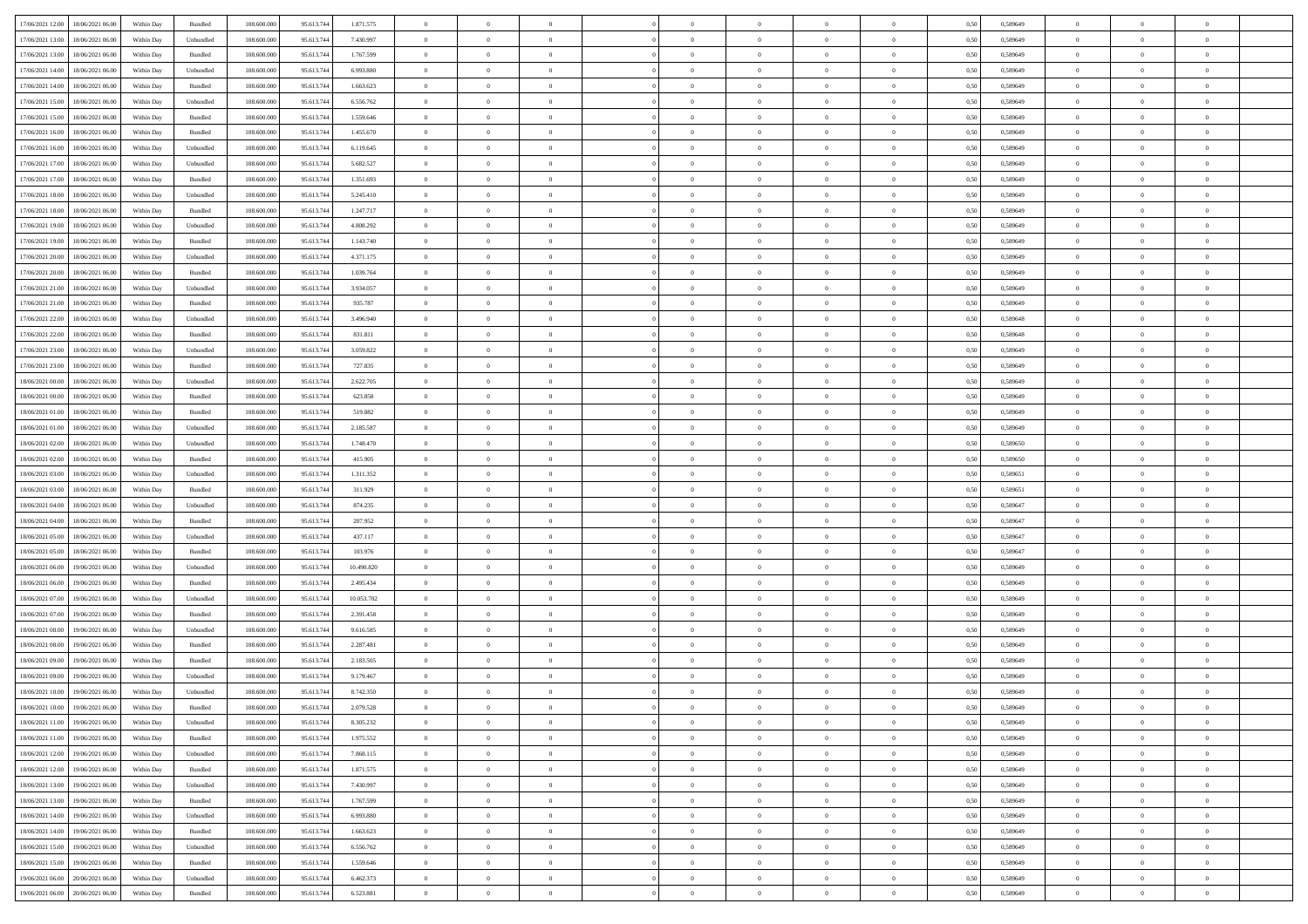| 17/06/2021 12:00 18/06/2021 06:00            | Within Day | Bundled   | 108.600.000 | 95.613.744 | 1.871.575  | $\overline{0}$ | $\overline{0}$ |                | $\overline{0}$ | $\theta$       |                | $\theta$       | 0,50 | 0,589649 | $\theta$       | $\theta$       | $\overline{0}$ |  |
|----------------------------------------------|------------|-----------|-------------|------------|------------|----------------|----------------|----------------|----------------|----------------|----------------|----------------|------|----------|----------------|----------------|----------------|--|
|                                              |            |           |             |            |            |                |                |                |                |                |                |                |      |          |                |                |                |  |
| 17/06/2021 13:00<br>18/06/2021 06:00         | Within Day | Unbundled | 108.600.00  | 95.613.74  | 7.430.997  | $\bf{0}$       | $\bf{0}$       | $\bf{0}$       | $\overline{0}$ | $\overline{0}$ | $\overline{0}$ | $\bf{0}$       | 0,50 | 0,589649 | $\,$ 0 $\,$    | $\bf{0}$       | $\overline{0}$ |  |
| 17/06/2021 13:00<br>18/06/2021 06:00         | Within Day | Bundled   | 108,600,000 | 95.613.744 | 1.767.599  | $\overline{0}$ | $\bf{0}$       | $\overline{0}$ | $\bf{0}$       | $\bf{0}$       | $\overline{0}$ | $\bf{0}$       | 0.50 | 0.589649 | $\bf{0}$       | $\overline{0}$ | $\overline{0}$ |  |
| 17/06/2021 14:00<br>18/06/2021 06:00         | Within Day | Unbundled | 108.600.000 | 95.613.744 | 6.993.880  | $\overline{0}$ | $\overline{0}$ | $\overline{0}$ | $\theta$       | $\theta$       | $\overline{0}$ | $\overline{0}$ | 0,50 | 0,589649 | $\theta$       | $\theta$       | $\overline{0}$ |  |
|                                              |            |           |             |            |            |                |                |                |                |                |                |                |      |          |                |                |                |  |
| 17/06/2021 14:00<br>18/06/2021 06:00         | Within Day | Bundled   | 108.600.00  | 95.613.74  | 1.663.623  | $\bf{0}$       | $\overline{0}$ | $\bf{0}$       | $\overline{0}$ | $\theta$       | $\overline{0}$ | $\bf{0}$       | 0,50 | 0,589649 | $\,$ 0 $\,$    | $\bf{0}$       | $\overline{0}$ |  |
| 17/06/2021 15:00<br>18/06/2021 06:00         | Within Day | Unbundled | 108,600,000 | 95.613.74  | 6.556.762  | $\overline{0}$ | $\overline{0}$ | $\overline{0}$ | $\bf{0}$       | $\overline{0}$ | $\Omega$       | $\bf{0}$       | 0.50 | 0.589649 | $\theta$       | $\theta$       | $\overline{0}$ |  |
| 17/06/2021 15:00<br>18/06/2021 06:00         | Within Day | Bundled   | 108.600.000 | 95.613.744 | 1.559.646  | $\overline{0}$ | $\overline{0}$ | $\overline{0}$ | $\overline{0}$ | $\overline{0}$ | $\overline{0}$ | $\bf{0}$       | 0,50 | 0,589649 | $\theta$       | $\theta$       | $\overline{0}$ |  |
| 17/06/2021 16:00<br>18/06/2021 06:00         | Within Day | Bundled   | 108.600.00  | 95.613.74  | 1.455.670  | $\bf{0}$       | $\overline{0}$ | $\bf{0}$       | $\overline{0}$ | $\overline{0}$ | $\overline{0}$ | $\bf{0}$       | 0,50 | 0,589649 | $\,$ 0 $\,$    | $\bf{0}$       | $\overline{0}$ |  |
|                                              |            |           |             |            |            |                |                |                |                |                |                |                |      |          |                |                |                |  |
| 17/06/2021 16:00<br>18/06/2021 06:00         | Within Day | Unbundled | 108,600,000 | 95.613.74  | 6.119.645  | $\overline{0}$ | $\bf{0}$       | $\overline{0}$ | $\bf{0}$       | $\overline{0}$ | $\overline{0}$ | $\bf{0}$       | 0.50 | 0.589649 | $\bf{0}$       | $\overline{0}$ | $\overline{0}$ |  |
| 17/06/2021 17:00<br>18/06/2021 06:00         | Within Day | Unbundled | 108.600.000 | 95.613.744 | 5.682.527  | $\bf{0}$       | $\bf{0}$       | $\overline{0}$ | $\overline{0}$ | $\overline{0}$ | $\overline{0}$ | $\bf{0}$       | 0,50 | 0,589649 | $\,$ 0 $\,$    | $\bf{0}$       | $\overline{0}$ |  |
| 17/06/2021 17:00<br>18/06/2021 06:00         | Within Day | Bundled   | 108.600.00  | 95.613.74  | 1.351.693  | $\bf{0}$       | $\overline{0}$ | $\bf{0}$       | $\bf{0}$       | $\bf{0}$       | $\overline{0}$ | $\bf{0}$       | 0,50 | 0,589649 | $\,$ 0 $\,$    | $\bf{0}$       | $\overline{0}$ |  |
| 17/06/2021 18:00<br>18/06/2021 06:00         | Within Day | Unbundled | 108,600,000 | 95.613.744 | 5.245.410  | $\overline{0}$ | $\bf{0}$       | $\overline{0}$ | $\bf{0}$       | $\bf{0}$       | $\overline{0}$ | $\bf{0}$       | 0.50 | 0.589649 | $\bf{0}$       | $\overline{0}$ | $\overline{0}$ |  |
| 17/06/2021 18:00<br>18/06/2021 06:00         | Within Day | Bundled   | 108.600.000 | 95.613.744 | 1.247.717  | $\overline{0}$ | $\overline{0}$ | $\overline{0}$ | $\overline{0}$ | $\theta$       | $\overline{0}$ | $\overline{0}$ | 0,50 | 0,589649 | $\,$ 0 $\,$    | $\theta$       | $\overline{0}$ |  |
|                                              |            |           |             |            |            |                |                |                |                |                |                |                |      |          |                |                |                |  |
| 17/06/2021 19:00<br>18/06/2021 06:00         | Within Day | Unbundled | 108.600.00  | 95.613.74  | 4.808.292  | $\bf{0}$       | $\overline{0}$ | $\bf{0}$       | $\overline{0}$ | $\theta$       | $\overline{0}$ | $\bf{0}$       | 0,50 | 0,589649 | $\bf{0}$       | $\bf{0}$       | $\overline{0}$ |  |
| 17/06/2021 19:00<br>18/06/2021 06:00         | Within Day | Bundled   | 108,600,000 | 95.613.744 | 1.143.740  | $\overline{0}$ | $\overline{0}$ | $\overline{0}$ | $\bf{0}$       | $\overline{0}$ | $\Omega$       | $\bf{0}$       | 0.50 | 0.589649 | $\theta$       | $\theta$       | $\overline{0}$ |  |
| 17/06/2021 20:00<br>18/06/2021 06:00         | Within Day | Unbundled | 108.600.000 | 95.613.744 | 4.371.175  | $\overline{0}$ | $\overline{0}$ | $\overline{0}$ | $\overline{0}$ | $\theta$       | $\overline{0}$ | $\bf{0}$       | 0,50 | 0,589649 | $\theta$       | $\theta$       | $\overline{0}$ |  |
| 17/06/2021 20:00<br>18/06/2021 06:00         | Within Day | Bundled   | 108.600.00  | 95.613.74  | 1.039.764  | $\bf{0}$       | $\overline{0}$ | $\overline{0}$ | $\overline{0}$ | $\theta$       | $\overline{0}$ | $\bf{0}$       | 0,50 | 0,589649 | $\,$ 0 $\,$    | $\bf{0}$       | $\overline{0}$ |  |
|                                              |            |           |             |            |            |                |                |                |                |                |                |                |      |          |                |                |                |  |
| 17/06/2021 21:00<br>18/06/2021 06:00         | Within Day | Unbundled | 108,600,000 | 95.613.74  | 3.934.057  | $\overline{0}$ | $\bf{0}$       | $\overline{0}$ | $\bf{0}$       | $\overline{0}$ | $\overline{0}$ | $\bf{0}$       | 0.50 | 0.589649 | $\bf{0}$       | $\overline{0}$ | $\overline{0}$ |  |
| 17/06/2021 21:00<br>18/06/2021 06:00         | Within Day | Bundled   | 108.600.000 | 95.613.744 | 935.787    | $\overline{0}$ | $\bf{0}$       | $\overline{0}$ | $\overline{0}$ | $\overline{0}$ | $\overline{0}$ | $\bf{0}$       | 0,50 | 0,589649 | $\,$ 0 $\,$    | $\theta$       | $\overline{0}$ |  |
| 17/06/2021 22:00<br>18/06/2021 06:00         | Within Day | Unbundled | 108.600.00  | 95.613.74  | 3.496.940  | $\bf{0}$       | $\bf{0}$       | $\bf{0}$       | $\bf{0}$       | $\overline{0}$ | $\overline{0}$ | $\bf{0}$       | 0,50 | 0,589648 | $\,$ 0 $\,$    | $\bf{0}$       | $\overline{0}$ |  |
| 17/06/2021 22:00<br>18/06/2021 06:00         | Within Day | Bundled   | 108,600,000 | 95.613.744 | 831.811    | $\overline{0}$ | $\bf{0}$       | $\overline{0}$ | $\bf{0}$       | $\bf{0}$       | $\overline{0}$ | $\bf{0}$       | 0.50 | 0.589648 | $\bf{0}$       | $\overline{0}$ | $\overline{0}$ |  |
| 17/06/2021 23:00<br>18/06/2021 06:00         | Within Day | Unbundled | 108.600.000 | 95.613.744 | 3.059.822  | $\overline{0}$ | $\overline{0}$ | $\overline{0}$ | $\theta$       | $\theta$       | $\overline{0}$ | $\bf{0}$       | 0,50 | 0,589649 | $\theta$       | $\theta$       | $\overline{0}$ |  |
|                                              |            |           |             |            |            |                |                |                |                |                |                |                |      |          |                |                |                |  |
| 17/06/2021 23:00<br>18/06/2021 06:00         | Within Day | Bundled   | 108.600.00  | 95.613.74  | 727.835    | $\bf{0}$       | $\overline{0}$ | $\bf{0}$       | $\bf{0}$       | $\theta$       | $\overline{0}$ | $\bf{0}$       | 0,50 | 0,589649 | $\,$ 0 $\,$    | $\bf{0}$       | $\overline{0}$ |  |
| 18/06/2021 00:00<br>18/06/2021 06:00         | Within Day | Unbundled | 108,600,000 | 95.613.74  | 2.622.705  | $\overline{0}$ | $\overline{0}$ | $\overline{0}$ | $\overline{0}$ | $\overline{0}$ | $\Omega$       | $\bf{0}$       | 0.50 | 0.589649 | $\bf{0}$       | $\theta$       | $\overline{0}$ |  |
| 18/06/2021 00:00<br>18/06/2021 06:00         | Within Day | Bundled   | 108.600.000 | 95.613.744 | 623.858    | $\overline{0}$ | $\overline{0}$ | $\overline{0}$ | $\overline{0}$ | $\theta$       | $\overline{0}$ | $\bf{0}$       | 0,50 | 0,589649 | $\,$ 0 $\,$    | $\theta$       | $\overline{0}$ |  |
| 18/06/2021 01:00<br>18/06/2021 06:00         | Within Day | Bundled   | 108.600.00  | 95.613.74  | 519.882    | $\bf{0}$       | $\overline{0}$ | $\bf{0}$       | $\overline{0}$ | $\theta$       | $\overline{0}$ | $\bf{0}$       | 0,50 | 0,589649 | $\,$ 0 $\,$    | $\bf{0}$       | $\overline{0}$ |  |
| 18/06/2021 06:00                             |            | Unbundled | 108,600,000 | 95.613.74  | 2.185.587  |                | $\bf{0}$       | $\overline{0}$ |                | $\overline{0}$ | $\overline{0}$ |                | 0.50 | 0.589649 | $\bf{0}$       | $\overline{0}$ | $\overline{0}$ |  |
| 18/06/2021 01:00                             | Within Day |           |             |            |            | $\overline{0}$ |                |                | $\bf{0}$       |                |                | $\bf{0}$       |      |          |                |                |                |  |
| 18/06/2021 02:00<br>18/06/2021 06:00         | Within Day | Unbundled | 108.600.000 | 95.613.744 | 1.748.470  | $\overline{0}$ | $\overline{0}$ | $\overline{0}$ | $\overline{0}$ | $\overline{0}$ | $\overline{0}$ | $\bf{0}$       | 0,50 | 0,589650 | $\theta$       | $\theta$       | $\overline{0}$ |  |
| 18/06/2021 02:00<br>18/06/2021 06:00         | Within Day | Bundled   | 108.600.00  | 95.613.74  | 415.905    | $\bf{0}$       | $\bf{0}$       | $\bf{0}$       | $\bf{0}$       | $\overline{0}$ | $\overline{0}$ | $\bf{0}$       | 0,50 | 0,589650 | $\,$ 0 $\,$    | $\bf{0}$       | $\overline{0}$ |  |
| 18/06/2021 03:00<br>18/06/2021 06:00         | Within Day | Unbundled | 108,600,000 | 95.613.744 | 1.311.352  | $\overline{0}$ | $\bf{0}$       | $\overline{0}$ | $\bf{0}$       | $\bf{0}$       | $\overline{0}$ | $\bf{0}$       | 0.50 | 0.589651 | $\bf{0}$       | $\overline{0}$ | $\overline{0}$ |  |
| 18/06/2021 03:00<br>18/06/2021 06:00         | Within Day | Bundled   | 108.600.000 | 95.613.74  | 311.929    | $\overline{0}$ | $\overline{0}$ | $\overline{0}$ | $\overline{0}$ | $\overline{0}$ | $\overline{0}$ | $\bf{0}$       | 0.50 | 0.589651 | $\theta$       | $\theta$       | $\overline{0}$ |  |
|                                              |            |           |             |            |            |                | $\overline{0}$ |                |                | $\overline{0}$ | $\overline{0}$ |                |      |          |                |                |                |  |
| 18/06/2021 04:00<br>18/06/2021 06:00         | Within Day | Unbundled | 108.600.00  | 95.613.74  | 874.235    | $\bf{0}$       |                | $\bf{0}$       | $\bf{0}$       |                |                | $\bf{0}$       | 0,50 | 0,589647 | $\,$ 0 $\,$    | $\bf{0}$       | $\overline{0}$ |  |
| 18/06/2021 04:00<br>18/06/2021 06:00         | Within Day | Bundled   | 108,600,000 | 95.613.74  | 207.952    | $\overline{0}$ | $\bf{0}$       | $\overline{0}$ | $\bf{0}$       | $\theta$       | $\Omega$       | $\bf{0}$       | 0.50 | 0.589647 | $\,$ 0 $\,$    | $\theta$       | $\overline{0}$ |  |
| 18/06/2021 05:00<br>18/06/2021 06:00         | Within Dav | Unbundled | 108.600.000 | 95.613.744 | 437.117    | $\overline{0}$ | $\overline{0}$ | $\overline{0}$ | $\overline{0}$ | $\theta$       | $\overline{0}$ | $\overline{0}$ | 0.50 | 0.589647 | $\theta$       | $\theta$       | $\overline{0}$ |  |
| 18/06/2021 05:00<br>18/06/2021 06:00         | Within Day | Bundled   | 108.600.00  | 95.613.74  | 103.976    | $\bf{0}$       | $\bf{0}$       | $\bf{0}$       | $\overline{0}$ | $\bf{0}$       | $\overline{0}$ | $\bf{0}$       | 0,50 | 0,589647 | $\,$ 0 $\,$    | $\bf{0}$       | $\overline{0}$ |  |
| 18/06/2021 06:00<br>19/06/2021 06:00         | Within Day | Unbundled | 108,600,000 | 95.613.74  | 10.490.820 | $\overline{0}$ | $\bf{0}$       | $\overline{0}$ | $\bf{0}$       | $\overline{0}$ | $\overline{0}$ | $\bf{0}$       | 0.50 | 0.589649 | $\bf{0}$       | $\overline{0}$ | $\overline{0}$ |  |
| 18/06/2021 06:00<br>19/06/2021 06:00         | Within Dav | Bundled   | 108.600.000 | 95.613.744 | 2.495.434  | $\overline{0}$ | $\overline{0}$ | $\overline{0}$ | $\overline{0}$ | $\overline{0}$ | $\overline{0}$ | $\overline{0}$ | 0.50 | 0.589649 | $\theta$       | $\theta$       | $\overline{0}$ |  |
|                                              |            |           |             |            |            |                |                |                |                |                |                |                |      |          |                |                |                |  |
| 18/06/2021 07:00<br>19/06/2021 06:00         | Within Day | Unbundled | 108.600.00  | 95.613.74  | 10.053.702 | $\bf{0}$       | $\bf{0}$       | $\bf{0}$       | $\bf{0}$       | $\overline{0}$ | $\overline{0}$ | $\bf{0}$       | 0,50 | 0,589649 | $\,$ 0 $\,$    | $\bf{0}$       | $\overline{0}$ |  |
| 18/06/2021 07:00<br>19/06/2021 06:00         | Within Day | Bundled   | 108,600,000 | 95.613.744 | 2.391.458  | $\overline{0}$ | $\bf{0}$       | $\overline{0}$ | $\bf{0}$       | $\bf{0}$       | $\overline{0}$ | $\bf{0}$       | 0.50 | 0.589649 | $\bf{0}$       | $\overline{0}$ | $\overline{0}$ |  |
| 18/06/2021 08:00<br>19/06/2021 06:00         | Within Dav | Unbundled | 108.600.000 | 95.613.744 | 9.616.585  | $\overline{0}$ | $\overline{0}$ | $\overline{0}$ | $\overline{0}$ | $\theta$       | $\overline{0}$ | $\bf{0}$       | 0.50 | 0.589649 | $\theta$       | $\theta$       | $\overline{0}$ |  |
| 18/06/2021 08:00<br>19/06/2021 06:00         | Within Day | Bundled   | 108.600.00  | 95.613.74  | 2.287.481  | $\bf{0}$       | $\bf{0}$       | $\bf{0}$       | $\bf{0}$       | $\overline{0}$ | $\overline{0}$ | $\bf{0}$       | 0,50 | 0,589649 | $\,$ 0 $\,$    | $\bf{0}$       | $\overline{0}$ |  |
|                                              |            |           | 108,600,000 | 95.613.74  | 2.183.505  |                | $\overline{0}$ | $\Omega$       | $\overline{0}$ | $\theta$       | $\Omega$       |                | 0.50 | 0.589649 | $\,$ 0 $\,$    | $\theta$       | $\overline{0}$ |  |
| 18/06/2021 09:00<br>19/06/2021 06:00         | Within Day | Bundled   |             |            |            | $\overline{0}$ |                |                |                |                |                | $\bf{0}$       |      |          |                |                |                |  |
| 18/06/2021 09:00<br>19/06/2021 06:00         | Within Dav | Unbundled | 108.600.000 | 95.613.744 | 9.179.467  | $\overline{0}$ | $\overline{0}$ | $\Omega$       | $\overline{0}$ | $\theta$       | $\Omega$       | $\overline{0}$ | 0.50 | 0.589649 | $\theta$       | $\theta$       | $\overline{0}$ |  |
| 18/06/2021 10:00<br>19/06/2021 06:00         | Within Day | Unbundled | 108.600.00  | 95.613.744 | 8.742.350  | $\bf{0}$       | $\bf{0}$       | $\overline{0}$ | $\bf{0}$       | $\bf{0}$       | $\overline{0}$ | $\bf{0}$       | 0,50 | 0,589649 | $\,$ 0 $\,$    | $\bf{0}$       | $\overline{0}$ |  |
| $18/06/2021\ 10.00 \qquad 19/06/2021\ 06.00$ | Within Day | Bundled   | 108.600.000 | 95.613.744 | 2.079.528  | $\overline{0}$ | $\Omega$       |                | $\Omega$       |                |                |                | 0,50 | 0.589649 | $\theta$       | $\overline{0}$ |                |  |
| 18/06/2021 11:00 19/06/2021 06:00            | Within Day | Unbundled | 108.600.000 | 95.613.744 | 8.305.232  | $\overline{0}$ | $\overline{0}$ | $\overline{0}$ | $\theta$       | $\overline{0}$ | $\overline{0}$ | $\bf{0}$       | 0,50 | 0,589649 | $\theta$       | $\overline{0}$ | $\overline{0}$ |  |
|                                              |            |           |             |            |            |                |                |                |                |                |                |                |      |          |                |                |                |  |
| 18/06/2021 11:00<br>19/06/2021 06:00         | Within Day | Bundled   | 108.600.00  | 95.613.744 | 1.975.552  | $\overline{0}$ | $\bf{0}$       | $\overline{0}$ | $\overline{0}$ | $\bf{0}$       | $\overline{0}$ | $\bf{0}$       | 0,50 | 0,589649 | $\bf{0}$       | $\overline{0}$ | $\bf{0}$       |  |
| 18/06/2021 12:00 19/06/2021 06:00            | Within Day | Unbundled | 108,600,000 | 95.613.744 | 7.868.115  | $\overline{0}$ | $\bf{0}$       | $\overline{0}$ | $\overline{0}$ | $\mathbf{0}$   | $\overline{0}$ | $\,$ 0 $\,$    | 0.50 | 0.589649 | $\overline{0}$ | $\bf{0}$       | $\,$ 0 $\,$    |  |
| 18/06/2021 12:00 19/06/2021 06:00            | Within Day | Bundled   | 108.600.000 | 95.613.744 | 1.871.575  | $\overline{0}$ | $\overline{0}$ | $\overline{0}$ | $\overline{0}$ | $\overline{0}$ | $\overline{0}$ | $\bf{0}$       | 0,50 | 0.589649 | $\overline{0}$ | $\theta$       | $\overline{0}$ |  |
| 18/06/2021 13:00<br>19/06/2021 06:00         | Within Day | Unbundled | 108.600.000 | 95.613.744 | 7.430.997  | $\overline{0}$ | $\bf{0}$       | $\overline{0}$ | $\overline{0}$ | $\bf{0}$       | $\overline{0}$ | $\bf{0}$       | 0,50 | 0,589649 | $\bf{0}$       | $\overline{0}$ | $\overline{0}$ |  |
| 18/06/2021 13:00<br>19/06/2021 06:00         | Within Day | Bundled   | 108,600,000 | 95.613.744 | 1.767.599  | $\overline{0}$ | $\bf{0}$       | $\overline{0}$ | $\overline{0}$ | $\bf{0}$       | $\overline{0}$ | $\bf{0}$       | 0.50 | 0.589649 | $\,$ 0 $\,$    | $\overline{0}$ | $\,$ 0         |  |
|                                              |            |           |             |            |            |                |                |                |                |                |                |                |      |          |                |                |                |  |
| 18/06/2021 14:00<br>19/06/2021 06:00         | Within Dav | Unbundled | 108.600.000 | 95.613.744 | 6.993.880  | $\overline{0}$ | $\overline{0}$ | $\overline{0}$ | $\overline{0}$ | $\overline{0}$ | $\overline{0}$ | $\bf{0}$       | 0,50 | 0.589649 | $\overline{0}$ | $\theta$       | $\overline{0}$ |  |
| 18/06/2021 14:00<br>19/06/2021 06:00         | Within Day | Bundled   | 108.600.00  | 95.613.744 | 1.663.623  | $\overline{0}$ | $\overline{0}$ | $\overline{0}$ | $\overline{0}$ | $\overline{0}$ | $\overline{0}$ | $\bf{0}$       | 0,50 | 0,589649 | $\bf{0}$       | $\overline{0}$ | $\,$ 0         |  |
| 18/06/2021 15:00<br>19/06/2021 06:00         | Within Day | Unbundled | 108,600,000 | 95.613.744 | 6.556.762  | $\overline{0}$ | $\overline{0}$ | $\overline{0}$ | $\overline{0}$ | $\overline{0}$ | $\overline{0}$ | $\bf{0}$       | 0.50 | 0.589649 | $\mathbf{0}$   | $\bf{0}$       | $\,$ 0         |  |
| 18/06/2021 15:00<br>19/06/2021 06:00         | Within Dav | Bundled   | 108.600.000 | 95.613.744 | 1.559.646  | $\overline{0}$ | $\overline{0}$ | $\overline{0}$ | $\overline{0}$ | $\overline{0}$ | $\overline{0}$ | $\bf{0}$       | 0,50 | 0.589649 | $\overline{0}$ | $\theta$       | $\overline{0}$ |  |
|                                              |            |           |             |            |            |                |                |                |                |                |                |                |      |          |                |                |                |  |
| 19/06/2021 06:00<br>20/06/2021 06:00         | Within Day | Unbundled | 108.600.00  | 95.613.744 | 6.462.373  | $\overline{0}$ | $\bf{0}$       | $\overline{0}$ | $\bf{0}$       | $\overline{0}$ | $\overline{0}$ | $\bf{0}$       | 0,50 | 0,589649 | $\bf{0}$       | $\,$ 0 $\,$    | $\bf{0}$       |  |
| 19/06/2021 06:00 20/06/2021 06:00            | Within Day | Bundled   | 108.600.000 | 95.613.744 | 6.523.881  | $\,$ 0 $\,$    | $\bf{0}$       | $\overline{0}$ | $\overline{0}$ | $\,$ 0 $\,$    | $\overline{0}$ | $\,$ 0 $\,$    | 0,50 | 0,589649 | $\overline{0}$ | $\,$ 0 $\,$    | $\,$ 0 $\,$    |  |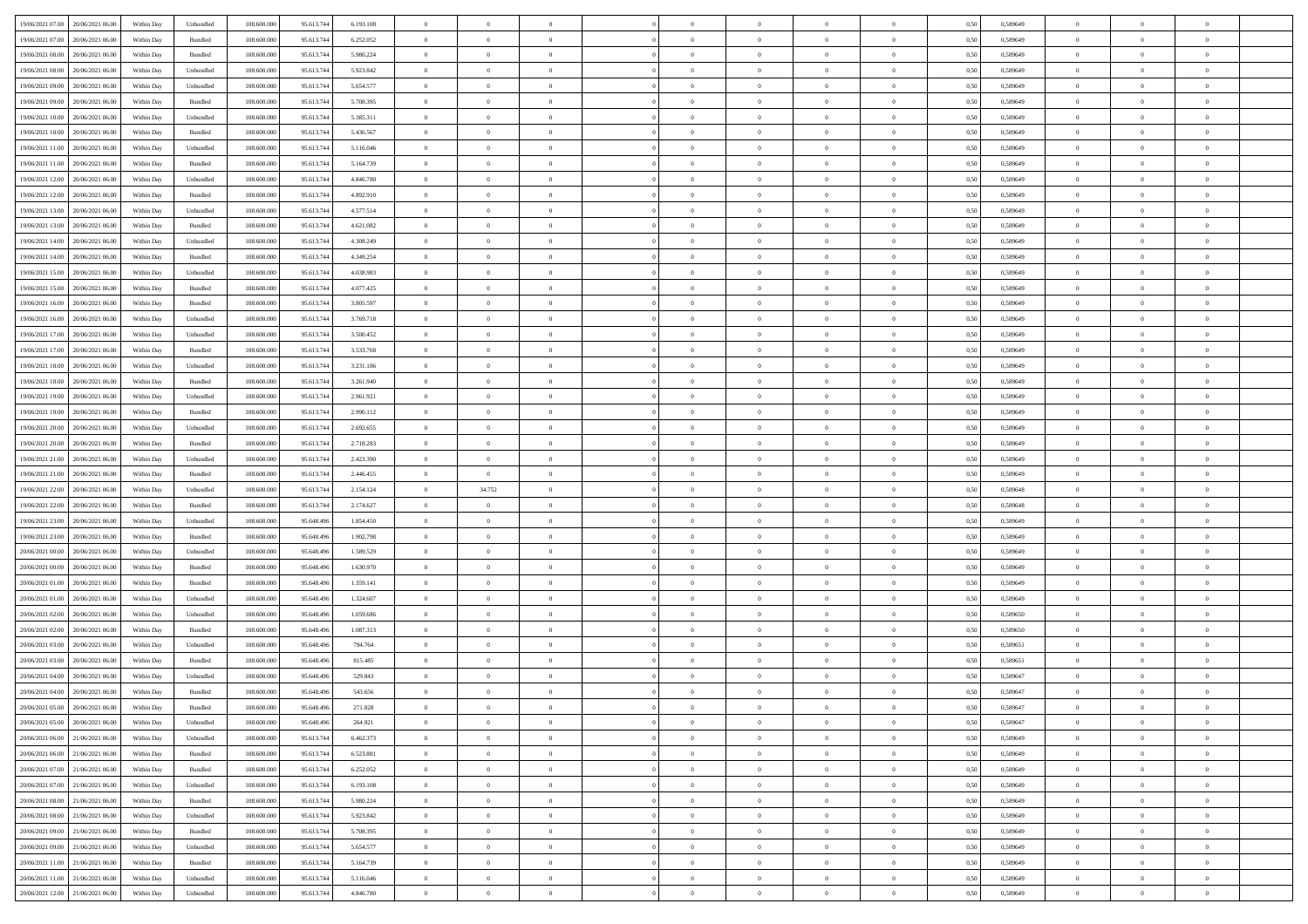| 19/06/2021 07:00 20/06/2021 06:00    | Within Day | Unbundled | 108.600.000 | 95.613.744 | 6.193.108 | $\overline{0}$ | $\overline{0}$ |                | $\overline{0}$ | $\theta$       |                | $\theta$       | 0,50 | 0,589649 | $\theta$       | $\theta$       | $\overline{0}$ |  |
|--------------------------------------|------------|-----------|-------------|------------|-----------|----------------|----------------|----------------|----------------|----------------|----------------|----------------|------|----------|----------------|----------------|----------------|--|
| 19/06/2021 07:00<br>20/06/2021 06:00 | Within Day | Bundled   | 108.600.00  | 95.613.74  | 6.252.052 | $\bf{0}$       | $\bf{0}$       | $\bf{0}$       | $\overline{0}$ | $\overline{0}$ | $\overline{0}$ | $\bf{0}$       | 0,50 | 0,589649 | $\,$ 0 $\,$    | $\bf{0}$       | $\overline{0}$ |  |
| 19/06/2021 08:00<br>20/06/2021 06:00 | Within Day | Bundled   | 108,600,000 | 95.613.744 | 5.980.224 | $\overline{0}$ | $\bf{0}$       | $\overline{0}$ | $\bf{0}$       | $\bf{0}$       | $\overline{0}$ | $\bf{0}$       | 0.50 | 0.589649 | $\bf{0}$       | $\overline{0}$ | $\overline{0}$ |  |
| 19/06/2021 08:00<br>20/06/2021 06:00 |            |           | 108.600.000 |            |           | $\overline{0}$ | $\overline{0}$ | $\overline{0}$ | $\theta$       | $\theta$       | $\overline{0}$ | $\overline{0}$ |      |          | $\theta$       | $\theta$       | $\overline{0}$ |  |
|                                      | Within Day | Unbundled |             | 95.613.744 | 5.923.842 |                |                |                |                |                |                |                | 0,50 | 0,589649 |                |                |                |  |
| 19/06/2021 09:00<br>20/06/2021 06:00 | Within Day | Unbundled | 108.600.00  | 95.613.74  | 5.654.577 | $\bf{0}$       | $\overline{0}$ | $\bf{0}$       | $\overline{0}$ | $\theta$       | $\overline{0}$ | $\bf{0}$       | 0,50 | 0,589649 | $\,$ 0 $\,$    | $\bf{0}$       | $\overline{0}$ |  |
| 19/06/2021 09:00<br>20/06/2021 06:00 | Within Day | Bundled   | 108,600,000 | 95.613.744 | 5.708.395 | $\overline{0}$ | $\overline{0}$ | $\overline{0}$ | $\bf{0}$       | $\overline{0}$ | $\Omega$       | $\bf{0}$       | 0.50 | 0.589649 | $\,$ 0 $\,$    | $\theta$       | $\overline{0}$ |  |
| 19/06/2021 10:00<br>20/06/2021 06:00 | Within Day | Unbundled | 108.600.000 | 95.613.744 | 5.385.311 | $\overline{0}$ | $\overline{0}$ | $\overline{0}$ | $\overline{0}$ | $\theta$       | $\overline{0}$ | $\bf{0}$       | 0,50 | 0,589649 | $\theta$       | $\theta$       | $\overline{0}$ |  |
|                                      |            |           |             |            |           |                |                |                |                |                |                |                |      |          |                |                |                |  |
| 19/06/2021 10:00<br>20/06/2021 06:00 | Within Day | Bundled   | 108.600.00  | 95.613.74  | 5.436.567 | $\overline{0}$ | $\overline{0}$ | $\bf{0}$       | $\overline{0}$ | $\theta$       | $\overline{0}$ | $\bf{0}$       | 0,50 | 0,589649 | $\,$ 0 $\,$    | $\bf{0}$       | $\overline{0}$ |  |
| 19/06/2021 11:00<br>20/06/2021 06:00 | Within Day | Unbundled | 108,600,000 | 95.613.74  | 5.116.046 | $\overline{0}$ | $\bf{0}$       | $\overline{0}$ | $\bf{0}$       | $\overline{0}$ | $\overline{0}$ | $\bf{0}$       | 0.50 | 0.589649 | $\bf{0}$       | $\overline{0}$ | $\overline{0}$ |  |
| 19/06/2021 11:00<br>20/06/2021 06:00 | Within Day | Bundled   | 108.600.000 | 95.613.744 | 5.164.739 | $\overline{0}$ | $\bf{0}$       | $\overline{0}$ | $\overline{0}$ | $\theta$       | $\overline{0}$ | $\bf{0}$       | 0,50 | 0,589649 | $\,$ 0 $\,$    | $\bf{0}$       | $\overline{0}$ |  |
| 19/06/2021 12:00<br>20/06/2021 06:00 | Within Day | Unbundled | 108.600.00  | 95.613.74  | 4.846.780 | $\bf{0}$       | $\overline{0}$ | $\bf{0}$       | $\bf{0}$       | $\bf{0}$       | $\overline{0}$ | $\bf{0}$       | 0,50 | 0,589649 | $\,$ 0 $\,$    | $\bf{0}$       | $\overline{0}$ |  |
|                                      |            |           |             |            |           |                |                |                |                |                |                |                |      |          |                |                |                |  |
| 19/06/2021 12:00<br>20/06/2021 06:00 | Within Day | Bundled   | 108,600,000 | 95.613.744 | 4.892.910 | $\overline{0}$ | $\bf{0}$       | $\overline{0}$ | $\overline{0}$ | $\bf{0}$       | $\overline{0}$ | $\bf{0}$       | 0.50 | 0.589649 | $\bf{0}$       | $\overline{0}$ | $\overline{0}$ |  |
| 19/06/2021 13:00<br>20/06/2021 06:00 | Within Day | Unbundled | 108.600.000 | 95.613.744 | 4.577.514 | $\overline{0}$ | $\overline{0}$ | $\overline{0}$ | $\overline{0}$ | $\theta$       | $\overline{0}$ | $\overline{0}$ | 0,50 | 0,589649 | $\,$ 0 $\,$    | $\theta$       | $\overline{0}$ |  |
| 19/06/2021 13:00<br>20/06/2021 06:00 | Within Day | Bundled   | 108.600.00  | 95.613.74  | 4.621.082 | $\bf{0}$       | $\overline{0}$ | $\bf{0}$       | $\overline{0}$ | $\theta$       | $\overline{0}$ | $\bf{0}$       | 0,50 | 0,589649 | $\,$ 0 $\,$    | $\bf{0}$       | $\overline{0}$ |  |
|                                      |            |           |             |            |           |                |                |                |                |                |                |                |      |          |                |                |                |  |
| 19/06/2021 14:00<br>20/06/2021 06:00 | Within Day | Unbundled | 108,600,000 | 95.613.744 | 4.308.249 | $\overline{0}$ | $\overline{0}$ | $\overline{0}$ | $\bf{0}$       | $\theta$       | $\Omega$       | $\bf{0}$       | 0.50 | 0.589649 | $\theta$       | $\theta$       | $\overline{0}$ |  |
| 19/06/2021 14:00<br>20/06/2021 06:00 | Within Day | Bundled   | 108.600.000 | 95.613.744 | 4.349.254 | $\overline{0}$ | $\overline{0}$ | $\overline{0}$ | $\overline{0}$ | $\theta$       | $\overline{0}$ | $\bf{0}$       | 0,50 | 0,589649 | $\theta$       | $\theta$       | $\overline{0}$ |  |
| 19/06/2021 15:00<br>20/06/2021 06:00 | Within Day | Unbundled | 108.600.00  | 95.613.74  | 4.038.983 | $\bf{0}$       | $\overline{0}$ | $\bf{0}$       | $\overline{0}$ | $\theta$       | $\overline{0}$ | $\bf{0}$       | 0,50 | 0,589649 | $\,$ 0 $\,$    | $\bf{0}$       | $\overline{0}$ |  |
| 19/06/2021 15:00<br>20/06/2021 06:00 | Within Day | Bundled   | 108,600,000 | 95.613.74  | 4.077.425 | $\overline{0}$ | $\bf{0}$       | $\overline{0}$ | $\bf{0}$       | $\overline{0}$ | $\overline{0}$ | $\bf{0}$       | 0.50 | 0.589649 | $\bf{0}$       | $\overline{0}$ | $\overline{0}$ |  |
| 19/06/2021 16:00                     |            |           | 108.600.000 |            |           | $\overline{0}$ | $\bf{0}$       | $\overline{0}$ | $\overline{0}$ | $\overline{0}$ | $\overline{0}$ |                |      |          | $\,$ 0 $\,$    | $\bf{0}$       | $\overline{0}$ |  |
| 20/06/2021 06:00                     | Within Day | Bundled   |             | 95.613.744 | 3.805.597 |                |                |                |                |                |                | $\bf{0}$       | 0,50 | 0,589649 |                |                |                |  |
| 19/06/2021 16:00<br>20/06/2021 06:00 | Within Day | Unbundled | 108.600.00  | 95.613.74  | 3.769.718 | $\bf{0}$       | $\bf{0}$       | $\bf{0}$       | $\bf{0}$       | $\overline{0}$ | $\overline{0}$ | $\bf{0}$       | 0,50 | 0,589649 | $\,$ 0 $\,$    | $\bf{0}$       | $\overline{0}$ |  |
| 19/06/2021 17:00<br>20/06/2021 06:00 | Within Day | Unbundled | 108,600,000 | 95.613.744 | 3.500.452 | $\overline{0}$ | $\bf{0}$       | $\overline{0}$ | $\overline{0}$ | $\bf{0}$       | $\overline{0}$ | $\bf{0}$       | 0.50 | 0.589649 | $\bf{0}$       | $\overline{0}$ | $\overline{0}$ |  |
| 19/06/2021 17:00<br>20/06/2021 06:00 | Within Day | Bundled   | 108.600.000 | 95.613.744 | 3.533.768 | $\overline{0}$ | $\overline{0}$ | $\overline{0}$ | $\theta$       | $\theta$       | $\overline{0}$ | $\bf{0}$       | 0,50 | 0,589649 | $\theta$       | $\theta$       | $\overline{0}$ |  |
|                                      |            |           |             |            |           |                | $\overline{0}$ |                |                | $\theta$       | $\overline{0}$ |                |      |          | $\,$ 0 $\,$    | $\bf{0}$       | $\overline{0}$ |  |
| 19/06/2021 18:00<br>20/06/2021 06:00 | Within Day | Unbundled | 108.600.00  | 95.613.74  | 3.231.186 | $\bf{0}$       |                | $\bf{0}$       | $\bf{0}$       |                |                | $\bf{0}$       | 0,50 | 0,589649 |                |                |                |  |
| 19/06/2021 18:00<br>20/06/2021 06:00 | Within Day | Bundled   | 108,600,000 | 95.613.74  | 3.261.940 | $\overline{0}$ | $\overline{0}$ | $\overline{0}$ | $\overline{0}$ | $\overline{0}$ | $\Omega$       | $\bf{0}$       | 0.50 | 0.589649 | $\,$ 0 $\,$    | $\theta$       | $\overline{0}$ |  |
| 19/06/2021 19:00<br>20/06/2021 06:00 | Within Day | Unbundled | 108.600.000 | 95.613.744 | 2.961.921 | $\overline{0}$ | $\overline{0}$ | $\overline{0}$ | $\overline{0}$ | $\theta$       | $\overline{0}$ | $\bf{0}$       | 0,50 | 0,589649 | $\,$ 0 $\,$    | $\theta$       | $\overline{0}$ |  |
| 19/06/2021 19:00<br>20/06/2021 06:00 | Within Day | Bundled   | 108.600.00  | 95.613.74  | 2.990.112 | $\bf{0}$       | $\overline{0}$ | $\bf{0}$       | $\overline{0}$ | $\theta$       | $\overline{0}$ | $\bf{0}$       | 0,50 | 0,589649 | $\,$ 0 $\,$    | $\bf{0}$       | $\overline{0}$ |  |
| 20/06/2021 06:00                     |            | Unbundled | 108,600,000 | 95.613.74  | 2.692.655 |                | $\bf{0}$       | $\overline{0}$ |                | $\overline{0}$ | $\overline{0}$ |                | 0.50 | 0.589649 | $\bf{0}$       | $\overline{0}$ | $\overline{0}$ |  |
| 19/06/2021 20:00                     | Within Day |           |             |            |           | $\overline{0}$ |                |                | $\bf{0}$       |                |                | $\bf{0}$       |      |          |                |                |                |  |
| 19/06/2021 20:00<br>20/06/2021 06:00 | Within Day | Bundled   | 108.600.000 | 95.613.744 | 2.718.283 | $\overline{0}$ | $\overline{0}$ | $\overline{0}$ | $\overline{0}$ | $\overline{0}$ | $\overline{0}$ | $\bf{0}$       | 0,50 | 0,589649 | $\theta$       | $\theta$       | $\overline{0}$ |  |
| 19/06/2021 21:00<br>20/06/2021 06:00 | Within Day | Unbundled | 108.600.00  | 95.613.74  | 2.423.390 | $\bf{0}$       | $\bf{0}$       | $\bf{0}$       | $\bf{0}$       | $\overline{0}$ | $\overline{0}$ | $\bf{0}$       | 0,50 | 0,589649 | $\,$ 0 $\,$    | $\bf{0}$       | $\overline{0}$ |  |
| 19/06/2021 21:00<br>20/06/2021 06:00 | Within Day | Bundled   | 108,600,000 | 95.613.744 | 2.446.455 | $\overline{0}$ | $\overline{0}$ | $\overline{0}$ | $\bf{0}$       | $\bf{0}$       | $\overline{0}$ | $\bf{0}$       | 0.50 | 0.589649 | $\bf{0}$       | $\overline{0}$ | $\overline{0}$ |  |
| 19/06/2021 22:00<br>20/06/2021 06:00 | Within Day | Unbundled | 108.600.000 | 95.613.74  | 2.154.124 | $\overline{0}$ | 34.752         | $\overline{0}$ | $\overline{0}$ | $\overline{0}$ | $\overline{0}$ | $\bf{0}$       | 0.50 | 0.589648 | $\theta$       | $\theta$       | $\overline{0}$ |  |
|                                      |            |           |             |            |           |                |                |                |                |                |                |                |      |          |                |                |                |  |
| 19/06/2021 22:00<br>20/06/2021 06:00 | Within Day | Bundled   | 108.600.00  | 95.613.74  | 2.174.627 | $\bf{0}$       | $\overline{0}$ | $\bf{0}$       | $\bf{0}$       | $\overline{0}$ | $\overline{0}$ | $\bf{0}$       | 0,50 | 0,589648 | $\,$ 0 $\,$    | $\bf{0}$       | $\overline{0}$ |  |
| 19/06/2021 23:00<br>20/06/2021 06:00 | Within Day | Unbundled | 108,600,000 | 95.648.496 | 1.854.450 | $\overline{0}$ | $\bf{0}$       | $\overline{0}$ | $\bf{0}$       | $\theta$       | $\Omega$       | $\bf{0}$       | 0.50 | 0.589649 | $\,$ 0 $\,$    | $\theta$       | $\overline{0}$ |  |
| 19/06/2021 23:00<br>20/06/2021 06:00 | Within Dav | Bundled   | 108.600.000 | 95.648.496 | 1.902.798 | $\overline{0}$ | $\overline{0}$ | $\overline{0}$ | $\overline{0}$ | $\theta$       | $\overline{0}$ | $\overline{0}$ | 0.50 | 0.589649 | $\theta$       | $\theta$       | $\overline{0}$ |  |
| 20/06/2021 00:00<br>20/06/2021 06:00 | Within Day | Unbundled | 108.600.00  | 95.648.49  | 1.589.529 | $\bf{0}$       | $\bf{0}$       | $\bf{0}$       | $\overline{0}$ | $\bf{0}$       | $\overline{0}$ | $\bf{0}$       | 0,50 | 0,589649 | $\,$ 0 $\,$    | $\bf{0}$       | $\overline{0}$ |  |
|                                      |            |           |             |            |           |                |                |                |                |                |                |                |      |          |                |                |                |  |
| 20/06/2021 00:00<br>20/06/2021 06:00 | Within Day | Bundled   | 108,600,000 | 95.648.496 | 1.630.970 | $\overline{0}$ | $\bf{0}$       | $\overline{0}$ | $\bf{0}$       | $\overline{0}$ | $\overline{0}$ | $\bf{0}$       | 0.50 | 0.589649 | $\bf{0}$       | $\overline{0}$ | $\overline{0}$ |  |
| 20/06/2021 01:00<br>20/06/2021 06:00 | Within Dav | Bundled   | 108.600.000 | 95,648,496 | 1.359.141 | $\overline{0}$ | $\overline{0}$ | $\overline{0}$ | $\overline{0}$ | $\overline{0}$ | $\overline{0}$ | $\overline{0}$ | 0.50 | 0.589649 | $\theta$       | $\theta$       | $\overline{0}$ |  |
| 20/06/2021 01:00<br>20/06/2021 06:00 | Within Day | Unbundled | 108.600.00  | 95.648.49  | 1.324.607 | $\bf{0}$       | $\bf{0}$       | $\bf{0}$       | $\bf{0}$       | $\overline{0}$ | $\overline{0}$ | $\bf{0}$       | 0,50 | 0,589649 | $\,$ 0 $\,$    | $\bf{0}$       | $\overline{0}$ |  |
| 20/06/2021 02:00<br>20/06/2021 06:00 | Within Day | Unbundled | 108,600,000 | 95,648,496 | 1.059.686 | $\overline{0}$ | $\bf{0}$       | $\overline{0}$ | $\overline{0}$ | $\bf{0}$       | $\overline{0}$ | $\bf{0}$       | 0.50 | 0.589650 | $\bf{0}$       | $\overline{0}$ | $\overline{0}$ |  |
| 20/06/2021 02:00<br>20/06/2021 06:00 | Within Dav | Bundled   | 108.600.000 | 95.648.496 | 1.087.313 | $\overline{0}$ | $\overline{0}$ | $\overline{0}$ | $\overline{0}$ | $\theta$       | $\overline{0}$ | $\bf{0}$       | 0.50 | 0.589650 | $\theta$       | $\theta$       | $\overline{0}$ |  |
|                                      |            |           |             |            |           |                |                |                |                |                |                |                |      |          |                |                |                |  |
| 20/06/2021 03:00<br>20/06/2021 06:00 | Within Day | Unbundled | 108.600.00  | 95.648.49  | 794.764   | $\bf{0}$       | $\bf{0}$       | $\bf{0}$       | $\bf{0}$       | $\overline{0}$ | $\overline{0}$ | $\bf{0}$       | 0,50 | 0,589651 | $\,$ 0 $\,$    | $\bf{0}$       | $\overline{0}$ |  |
| 20/06/2021 03:00<br>20/06/2021 06:00 | Within Day | Bundled   | 108,600,000 | 95.648.49  | 815.485   | $\overline{0}$ | $\overline{0}$ | $\overline{0}$ | $\bf{0}$       | $\theta$       | $\Omega$       | $\bf{0}$       | 0.50 | 0.589651 | $\bf{0}$       | $\theta$       | $\overline{0}$ |  |
| 20/06/2021 04:00<br>20/06/2021 06:00 | Within Dav | Unbundled | 108.600.000 | 95.648.49  | 529.843   | $\overline{0}$ | $\overline{0}$ | $\Omega$       | $\overline{0}$ | $\theta$       | $\Omega$       | $\overline{0}$ | 0.5( | 0.589647 | $\theta$       | $\theta$       | $\overline{0}$ |  |
| 20/06/2021 04:00<br>20/06/2021 06:00 | Within Day | Bundled   | 108.600.00  | 95.648.496 | 543.656   | $\bf{0}$       | $\bf{0}$       | $\overline{0}$ | $\bf{0}$       | $\bf{0}$       | $\overline{0}$ | $\bf{0}$       | 0,50 | 0,589647 | $\,$ 0 $\,$    | $\bf{0}$       | $\overline{0}$ |  |
|                                      |            |           |             |            |           |                |                |                |                |                |                |                |      |          |                |                |                |  |
| 20/06/2021 05:00 20/06/2021 06:00    | Within Day | Bundled   | 108.600.000 | 95.648.496 | 271.828   | $\overline{0}$ | $\Omega$       |                | $\Omega$       |                |                |                | 0,50 | 0.589647 | $\theta$       | $\overline{0}$ |                |  |
| 20/06/2021 05:00 20/06/2021 06:00    | Within Day | Unbundled | 108.600.000 | 95.648.496 | 264.921   | $\overline{0}$ | $\overline{0}$ | $\Omega$       | $\theta$       | $\overline{0}$ | $\overline{0}$ | $\bf{0}$       | 0,50 | 0,589647 | $\theta$       | $\overline{0}$ | $\overline{0}$ |  |
| 20/06/2021 06:00<br>21/06/2021 06:00 | Within Day | Unbundled | 108.600.00  | 95.613.744 | 6.462.373 | $\overline{0}$ | $\bf{0}$       | $\overline{0}$ | $\overline{0}$ | $\bf{0}$       | $\overline{0}$ | $\bf{0}$       | 0,50 | 0,589649 | $\bf{0}$       | $\overline{0}$ | $\bf{0}$       |  |
| 20/06/2021 06:00 21/06/2021 06:00    | Within Day | Bundled   | 108,600,000 | 95.613.744 | 6.523.881 | $\overline{0}$ | $\bf{0}$       | $\overline{0}$ | $\overline{0}$ | $\mathbf{0}$   | $\overline{0}$ | $\,$ 0 $\,$    | 0.50 | 0.589649 | $\overline{0}$ | $\bf{0}$       | $\,$ 0 $\,$    |  |
|                                      |            |           |             |            |           |                |                |                |                |                |                |                |      |          |                |                |                |  |
| 20/06/2021 07:00 21/06/2021 06:00    | Within Dav | Bundled   | 108.600.000 | 95.613.744 | 6.252.052 | $\overline{0}$ | $\overline{0}$ | $\overline{0}$ | $\overline{0}$ | $\overline{0}$ | $\overline{0}$ | $\bf{0}$       | 0,50 | 0.589649 | $\overline{0}$ | $\theta$       | $\overline{0}$ |  |
| 20/06/2021 07:00<br>21/06/2021 06:00 | Within Day | Unbundled | 108.600.000 | 95.613.744 | 6.193.108 | $\overline{0}$ | $\bf{0}$       | $\overline{0}$ | $\overline{0}$ | $\bf{0}$       | $\overline{0}$ | $\bf{0}$       | 0,50 | 0,589649 | $\bf{0}$       | $\overline{0}$ | $\overline{0}$ |  |
| 20/06/2021 08:00 21/06/2021 06:00    | Within Day | Bundled   | 108,600,000 | 95.613.744 | 5.980.224 | $\overline{0}$ | $\bf{0}$       | $\overline{0}$ | $\overline{0}$ | $\bf{0}$       | $\overline{0}$ | $\bf{0}$       | 0.50 | 0.589649 | $\,$ 0 $\,$    | $\overline{0}$ | $\,$ 0         |  |
| 20/06/2021 08:00<br>21/06/2021 06:00 | Within Dav | Unbundled | 108.600.000 | 95.613.744 | 5.923.842 | $\overline{0}$ | $\overline{0}$ | $\overline{0}$ | $\overline{0}$ | $\overline{0}$ | $\overline{0}$ | $\bf{0}$       | 0,50 | 0.589649 | $\overline{0}$ | $\theta$       | $\overline{0}$ |  |
|                                      |            |           |             |            |           |                |                |                |                |                |                |                |      |          |                |                |                |  |
| 20/06/2021 09:00<br>21/06/2021 06:00 | Within Day | Bundled   | 108.600.00  | 95.613.744 | 5.708.395 | $\overline{0}$ | $\overline{0}$ | $\overline{0}$ | $\overline{0}$ | $\overline{0}$ | $\overline{0}$ | $\bf{0}$       | 0,50 | 0,589649 | $\bf{0}$       | $\overline{0}$ | $\,$ 0         |  |
| 20/06/2021 09:00 21/06/2021 06:00    | Within Day | Unbundled | 108,600,000 | 95.613.744 | 5.654.577 | $\overline{0}$ | $\overline{0}$ | $\overline{0}$ | $\overline{0}$ | $\overline{0}$ | $\overline{0}$ | $\bf{0}$       | 0.50 | 0.589649 | $\mathbf{0}$   | $\bf{0}$       | $\,$ 0         |  |
| 20/06/2021 11:00 21/06/2021 06:00    | Within Dav | Bundled   | 108.600.000 | 95.613.744 | 5.164.739 | $\overline{0}$ | $\overline{0}$ | $\overline{0}$ | $\overline{0}$ | $\overline{0}$ | $\overline{0}$ | $\bf{0}$       | 0,50 | 0.589649 | $\overline{0}$ | $\theta$       | $\overline{0}$ |  |
| 20/06/2021 11:00<br>21/06/2021 06:00 | Within Day | Unbundled | 108.600.00  | 95.613.744 | 5.116.046 | $\overline{0}$ | $\bf{0}$       | $\overline{0}$ | $\bf{0}$       | $\overline{0}$ | $\overline{0}$ | $\bf{0}$       | 0,50 | 0,589649 | $\bf{0}$       | $\,$ 0 $\,$    | $\bf{0}$       |  |
|                                      |            |           |             |            |           |                |                |                |                |                |                |                |      |          |                |                |                |  |
| 20/06/2021 12:00 21/06/2021 06:00    | Within Day | Unbundled | 108.600.000 | 95.613.744 | 4.846.780 | $\,$ 0 $\,$    | $\bf{0}$       | $\overline{0}$ | $\overline{0}$ | $\,$ 0 $\,$    | $\overline{0}$ | $\,$ 0 $\,$    | 0,50 | 0,589649 | $\overline{0}$ | $\,$ 0 $\,$    | $\,$ 0 $\,$    |  |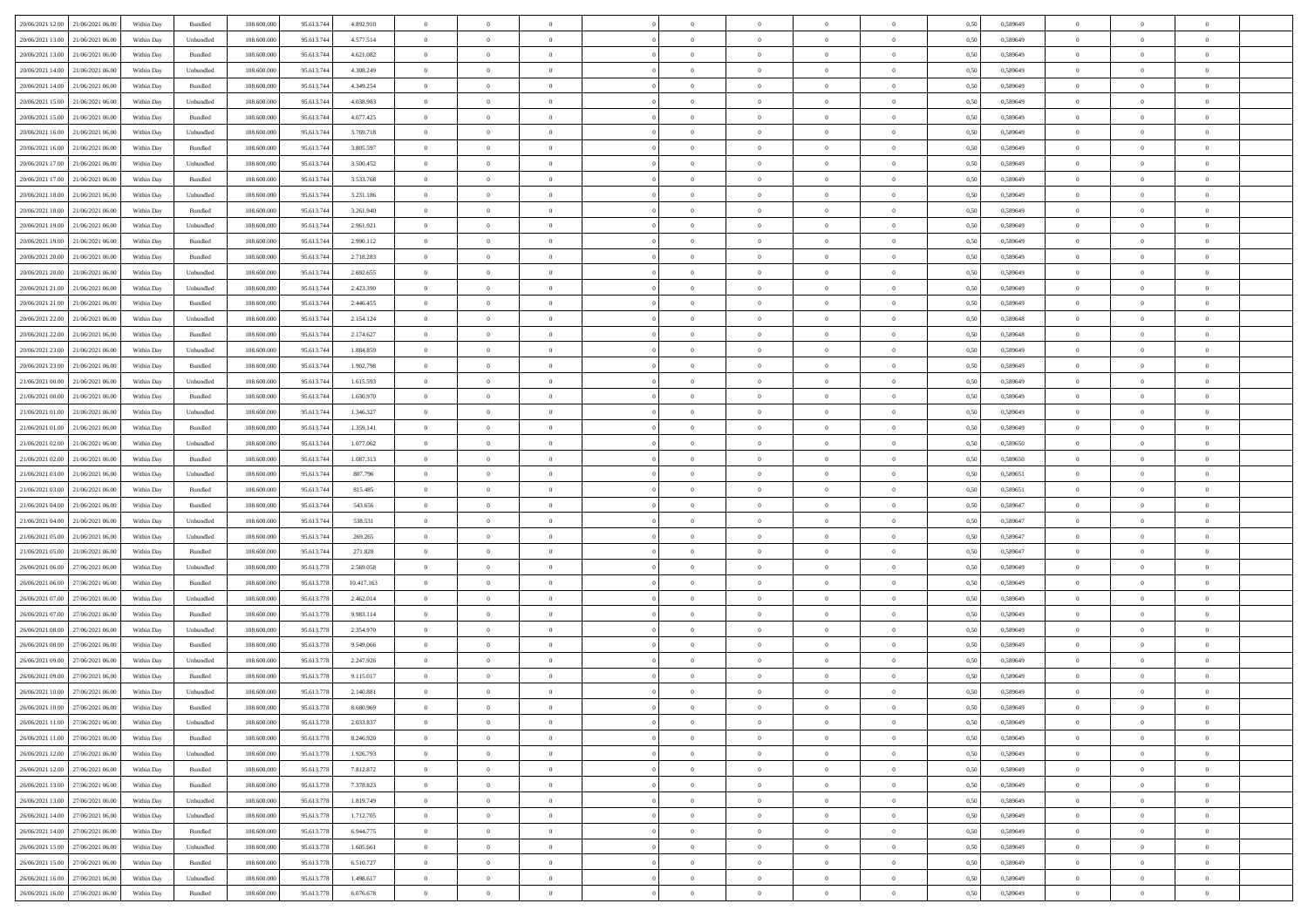|                                      |            |                    |             |            |            | $\overline{0}$ | $\overline{0}$ |                | $\overline{0}$ | $\theta$       |                | $\theta$       |      |          | $\theta$       | $\theta$       | $\overline{0}$ |  |
|--------------------------------------|------------|--------------------|-------------|------------|------------|----------------|----------------|----------------|----------------|----------------|----------------|----------------|------|----------|----------------|----------------|----------------|--|
| 20/06/2021 12:00 21/06/2021 06:00    | Within Day | Bundled            | 108.600.000 | 95.613.744 | 4.892.910  |                |                |                |                |                |                |                | 0,50 | 0,589649 |                |                |                |  |
| 20/06/2021 13:00<br>21/06/2021 06:00 | Within Day | Unbundled          | 108.600.00  | 95.613.74  | 4.577.514  | $\bf{0}$       | $\bf{0}$       | $\bf{0}$       | $\overline{0}$ | $\overline{0}$ | $\overline{0}$ | $\bf{0}$       | 0,50 | 0,589649 | $\,$ 0 $\,$    | $\bf{0}$       | $\overline{0}$ |  |
| 20/06/2021 13:00<br>21/06/2021 06:00 | Within Day | Bundled            | 108,600,000 | 95.613.744 | 4.621.082  | $\overline{0}$ | $\bf{0}$       | $\overline{0}$ | $\bf{0}$       | $\bf{0}$       | $\overline{0}$ | $\bf{0}$       | 0.50 | 0.589649 | $\bf{0}$       | $\overline{0}$ | $\overline{0}$ |  |
| 20/06/2021 14:00<br>21/06/2021 06:00 | Within Day | Unbundled          | 108.600.000 | 95.613.744 | 4.308.249  | $\overline{0}$ | $\overline{0}$ | $\overline{0}$ | $\theta$       | $\theta$       | $\overline{0}$ | $\bf{0}$       | 0,50 | 0,589649 | $\theta$       | $\theta$       | $\overline{0}$ |  |
|                                      |            |                    |             |            |            |                |                |                |                |                |                |                |      |          |                |                |                |  |
| 20/06/2021 14:00<br>21/06/2021 06.00 | Within Day | Bundled            | 108.600.00  | 95.613.74  | 4.349.254  | $\bf{0}$       | $\overline{0}$ | $\bf{0}$       | $\overline{0}$ | $\theta$       | $\overline{0}$ | $\bf{0}$       | 0,50 | 0,589649 | $\,$ 0 $\,$    | $\bf{0}$       | $\overline{0}$ |  |
| 20/06/2021 15:00<br>21/06/2021 06:00 | Within Day | Unbundled          | 108,600,000 | 95.613.744 | 4.038.983  | $\overline{0}$ | $\overline{0}$ | $\overline{0}$ | $\bf{0}$       | $\overline{0}$ | $\theta$       | $\bf{0}$       | 0.50 | 0.589649 | $\,$ 0 $\,$    | $\theta$       | $\overline{0}$ |  |
| 20/06/2021 15:00<br>21/06/2021 06:00 | Within Day | Bundled            | 108.600.000 | 95.613.744 | 4.077.425  | $\overline{0}$ | $\overline{0}$ | $\overline{0}$ | $\overline{0}$ | $\overline{0}$ | $\overline{0}$ | $\bf{0}$       | 0,50 | 0,589649 | $\,$ 0 $\,$    | $\theta$       | $\overline{0}$ |  |
| 20/06/2021 16:00<br>21/06/2021 06.00 | Within Day | Unbundled          | 108.600.00  | 95.613.74  | 3.769.718  | $\bf{0}$       | $\overline{0}$ | $\bf{0}$       | $\overline{0}$ | $\bf{0}$       | $\overline{0}$ | $\bf{0}$       | 0,50 | 0,589649 | $\,$ 0 $\,$    | $\bf{0}$       | $\overline{0}$ |  |
|                                      |            |                    |             |            |            |                |                |                |                |                |                |                |      |          |                |                |                |  |
| 20/06/2021 16:00<br>21/06/2021 06:00 | Within Day | Bundled            | 108,600,000 | 95.613.74  | 3.805.597  | $\overline{0}$ | $\bf{0}$       | $\overline{0}$ | $\bf{0}$       | $\overline{0}$ | $\overline{0}$ | $\bf{0}$       | 0.50 | 0.589649 | $\bf{0}$       | $\overline{0}$ | $\overline{0}$ |  |
| 20/06/2021 17:00<br>21/06/2021 06:00 | Within Day | Unbundled          | 108.600.000 | 95.613.744 | 3.500.452  | $\overline{0}$ | $\bf{0}$       | $\overline{0}$ | $\overline{0}$ | $\overline{0}$ | $\overline{0}$ | $\bf{0}$       | 0,50 | 0,589649 | $\,$ 0 $\,$    | $\bf{0}$       | $\overline{0}$ |  |
| 20/06/2021 17:00<br>21/06/2021 06.00 | Within Day | Bundled            | 108.600.00  | 95.613.744 | 3.533.768  | $\bf{0}$       | $\overline{0}$ | $\bf{0}$       | $\bf{0}$       | $\bf{0}$       | $\overline{0}$ | $\bf{0}$       | 0,50 | 0,589649 | $\,$ 0 $\,$    | $\bf{0}$       | $\overline{0}$ |  |
| 20/06/2021 18:00<br>21/06/2021 06:00 | Within Day | Unbundled          | 108,600,000 | 95.613.744 | 3.231.186  | $\overline{0}$ | $\bf{0}$       | $\overline{0}$ | $\overline{0}$ | $\bf{0}$       | $\overline{0}$ | $\bf{0}$       | 0.50 | 0.589649 | $\bf{0}$       | $\overline{0}$ | $\overline{0}$ |  |
| 20/06/2021 18:00<br>21/06/2021 06:00 | Within Day | Bundled            | 108.600.000 | 95.613.744 | 3.261.940  | $\overline{0}$ | $\overline{0}$ | $\overline{0}$ | $\theta$       | $\theta$       | $\overline{0}$ | $\bf{0}$       | 0,50 | 0,589649 | $\,$ 0 $\,$    | $\theta$       | $\overline{0}$ |  |
|                                      |            |                    |             |            |            |                |                |                |                |                |                |                |      |          |                |                |                |  |
| 20/06/2021 19:00<br>21/06/2021 06.00 | Within Day | Unbundled          | 108.600.00  | 95.613.74  | 2.961.921  | $\bf{0}$       | $\overline{0}$ | $\bf{0}$       | $\overline{0}$ | $\theta$       | $\overline{0}$ | $\bf{0}$       | 0,50 | 0,589649 | $\,$ 0 $\,$    | $\bf{0}$       | $\overline{0}$ |  |
| 20/06/2021 19:00<br>21/06/2021 06:00 | Within Day | Bundled            | 108,600,000 | 95.613.744 | 2.990.112  | $\overline{0}$ | $\overline{0}$ | $\overline{0}$ | $\bf{0}$       | $\overline{0}$ | $\Omega$       | $\bf{0}$       | 0.50 | 0.589649 | $\,$ 0 $\,$    | $\theta$       | $\overline{0}$ |  |
| 20/06/2021 20:00<br>21/06/2021 06:00 | Within Day | Bundled            | 108.600.000 | 95.613.744 | 2.718.283  | $\overline{0}$ | $\overline{0}$ | $\overline{0}$ | $\overline{0}$ | $\overline{0}$ | $\overline{0}$ | $\bf{0}$       | 0,50 | 0,589649 | $\theta$       | $\theta$       | $\overline{0}$ |  |
| 20/06/2021 20:00<br>21/06/2021 06.00 | Within Day | Unbundled          | 108.600.00  | 95.613.74  | 2.692.655  | $\bf{0}$       | $\overline{0}$ | $\bf{0}$       | $\overline{0}$ | $\theta$       | $\overline{0}$ | $\bf{0}$       | 0,50 | 0,589649 | $\,$ 0 $\,$    | $\bf{0}$       | $\overline{0}$ |  |
|                                      |            |                    |             |            |            |                |                |                |                |                |                |                |      |          |                |                |                |  |
| 20/06/2021 21:00<br>21/06/2021 06:00 | Within Day | Unbundled          | 108,600,000 | 95.613.74  | 2.423.390  | $\overline{0}$ | $\bf{0}$       | $\overline{0}$ | $\bf{0}$       | $\overline{0}$ | $\overline{0}$ | $\bf{0}$       | 0.50 | 0.589649 | $\bf{0}$       | $\overline{0}$ | $\overline{0}$ |  |
| 20/06/2021 21:00<br>21/06/2021 06:00 | Within Day | Bundled            | 108.600.000 | 95.613.744 | 2.446.455  | $\overline{0}$ | $\bf{0}$       | $\overline{0}$ | $\overline{0}$ | $\overline{0}$ | $\overline{0}$ | $\bf{0}$       | 0,50 | 0,589649 | $\,$ 0 $\,$    | $\bf{0}$       | $\overline{0}$ |  |
| 20/06/2021 22:00<br>21/06/2021 06.00 | Within Day | Unbundled          | 108.600.00  | 95.613.74  | 2.154.124  | $\bf{0}$       | $\bf{0}$       | $\bf{0}$       | $\bf{0}$       | $\overline{0}$ | $\overline{0}$ | $\bf{0}$       | 0,50 | 0,589648 | $\,$ 0 $\,$    | $\bf{0}$       | $\overline{0}$ |  |
| 20/06/2021 22:00<br>21/06/2021 06:00 | Within Day | Bundled            | 108,600,000 | 95.613.744 | 2.174.627  | $\overline{0}$ | $\bf{0}$       | $\overline{0}$ | $\overline{0}$ | $\bf{0}$       | $\overline{0}$ | $\bf{0}$       | 0.50 | 0.589648 | $\bf{0}$       | $\overline{0}$ | $\overline{0}$ |  |
| 20/06/2021 23:00<br>21/06/2021 06:00 | Within Day | Unbundled          | 108.600.000 | 95.613.744 | 1.884.859  | $\overline{0}$ | $\overline{0}$ | $\overline{0}$ | $\theta$       | $\theta$       | $\overline{0}$ | $\bf{0}$       | 0,50 | 0,589649 | $\theta$       | $\theta$       | $\overline{0}$ |  |
|                                      |            |                    |             |            |            |                |                |                |                |                |                |                |      |          |                |                |                |  |
| 20/06/2021 23:00<br>21/06/2021 06.00 | Within Day | Bundled            | 108.600.00  | 95.613.74  | 1.902.798  | $\bf{0}$       | $\overline{0}$ | $\bf{0}$       | $\bf{0}$       | $\bf{0}$       | $\overline{0}$ | $\bf{0}$       | 0,50 | 0,589649 | $\,$ 0 $\,$    | $\bf{0}$       | $\overline{0}$ |  |
| 21/06/2021 00:00<br>21/06/2021 06:00 | Within Day | Unbundled          | 108,600,000 | 95.613.744 | 1.615.593  | $\overline{0}$ | $\overline{0}$ | $\overline{0}$ | $\bf{0}$       | $\overline{0}$ | $\Omega$       | $\bf{0}$       | 0.50 | 0.589649 | $\,$ 0 $\,$    | $\theta$       | $\overline{0}$ |  |
| 21/06/2021 00:00<br>21/06/2021 06:00 | Within Day | Bundled            | 108.600.000 | 95.613.744 | 1.630.970  | $\overline{0}$ | $\overline{0}$ | $\overline{0}$ | $\overline{0}$ | $\overline{0}$ | $\overline{0}$ | $\bf{0}$       | 0,50 | 0,589649 | $\,$ 0 $\,$    | $\theta$       | $\overline{0}$ |  |
| 21/06/2021 01:00<br>21/06/2021 06.00 | Within Day | Unbundled          | 108.600.00  | 95.613.74  | 1.346.327  | $\bf{0}$       | $\overline{0}$ | $\bf{0}$       | $\overline{0}$ | $\bf{0}$       | $\overline{0}$ | $\bf{0}$       | 0,50 | 0,589649 | $\,$ 0 $\,$    | $\bf{0}$       | $\overline{0}$ |  |
| 21/06/2021 01:00<br>21/06/2021 06:00 | Within Day | Bundled            | 108,600,000 | 95.613.74  | 1.359.141  | $\overline{0}$ | $\bf{0}$       | $\overline{0}$ | $\bf{0}$       | $\overline{0}$ | $\overline{0}$ | $\bf{0}$       | 0.50 | 0.589649 | $\bf{0}$       | $\overline{0}$ | $\overline{0}$ |  |
| 21/06/2021 02:00<br>21/06/2021 06:00 | Within Day | Unbundled          | 108.600.000 | 95.613.744 | 1.077.062  | $\overline{0}$ | $\bf{0}$       | $\overline{0}$ | $\overline{0}$ | $\overline{0}$ | $\overline{0}$ | $\bf{0}$       | 0,50 | 0,589650 | $\theta$       | $\theta$       | $\overline{0}$ |  |
|                                      |            |                    |             |            |            |                |                |                |                |                |                |                |      |          |                |                |                |  |
| 21/06/2021 02:00<br>21/06/2021 06.00 | Within Day | Bundled            | 108.600.00  | 95.613.74  | 1.087.313  | $\bf{0}$       | $\bf{0}$       | $\bf{0}$       | $\bf{0}$       | $\overline{0}$ | $\overline{0}$ | $\bf{0}$       | 0,50 | 0,589650 | $\,$ 0 $\,$    | $\bf{0}$       | $\overline{0}$ |  |
| 21/06/2021 03:00<br>21/06/2021 06:00 | Within Day | Unbundled          | 108,600,000 | 95.613.744 | 807.796    | $\overline{0}$ | $\bf{0}$       | $\overline{0}$ | $\bf{0}$       | $\bf{0}$       | $\overline{0}$ | $\bf{0}$       | 0.50 | 0.589651 | $\bf{0}$       | $\overline{0}$ | $\overline{0}$ |  |
| 21/06/2021 03:00<br>21/06/2021 06:00 | Within Day | Bundled            | 108.600.000 | 95.613.74  | 815.485    | $\overline{0}$ | $\overline{0}$ | $\overline{0}$ | $\overline{0}$ | $\overline{0}$ | $\overline{0}$ | $\bf{0}$       | 0.50 | 0.589651 | $\theta$       | $\theta$       | $\overline{0}$ |  |
| 21/06/2021 04:00<br>21/06/2021 06.00 | Within Day | Bundled            | 108.600.00  | 95.613.74  | 543.656    | $\bf{0}$       | $\overline{0}$ | $\bf{0}$       | $\bf{0}$       | $\,$ 0 $\,$    | $\overline{0}$ | $\bf{0}$       | 0,50 | 0,589647 | $\,$ 0 $\,$    | $\bf{0}$       | $\overline{0}$ |  |
| 21/06/2021 04:00<br>21/06/2021 06:00 |            | Unbundled          | 108,600,000 | 95.613.744 | 538,531    | $\overline{0}$ | $\bf{0}$       | $\overline{0}$ | $\bf{0}$       | $\overline{0}$ | $\Omega$       | $\bf{0}$       | 0.50 | 0.589647 | $\,$ 0 $\,$    | $\theta$       | $\overline{0}$ |  |
|                                      | Within Day |                    |             |            |            |                |                |                |                |                |                |                |      |          |                |                |                |  |
| 21/06/2021 05:00<br>21/06/2021 06:00 | Within Dav | Unbundled          | 108.600.000 | 95.613.744 | 269,265    | $\overline{0}$ | $\overline{0}$ | $\overline{0}$ | $\overline{0}$ | $\theta$       | $\overline{0}$ | $\bf{0}$       | 0.50 | 0.589647 | $\theta$       | $\theta$       | $\overline{0}$ |  |
| 21/06/2021 05:00<br>21/06/2021 06:00 | Within Day | Bundled            | 108.600.00  | 95.613.744 | 271.828    | $\bf{0}$       | $\bf{0}$       | $\bf{0}$       | $\bf{0}$       | $\bf{0}$       | $\overline{0}$ | $\bf{0}$       | 0,50 | 0,589647 | $\,$ 0 $\,$    | $\bf{0}$       | $\overline{0}$ |  |
| 26/06/2021 06:00<br>27/06/2021 06:00 | Within Day | Unbundled          | 108,600,000 | 95.613.778 | 2.569.058  | $\overline{0}$ | $\bf{0}$       | $\overline{0}$ | $\bf{0}$       | $\overline{0}$ | $\overline{0}$ | $\bf{0}$       | 0.50 | 0.589649 | $\bf{0}$       | $\overline{0}$ | $\overline{0}$ |  |
| 26/06/2021 06:00<br>27/06/2021 06:00 | Within Dav | Bundled            | 108.600.000 | 95.613.778 | 10.417.163 | $\overline{0}$ | $\overline{0}$ | $\overline{0}$ | $\overline{0}$ | $\overline{0}$ | $\overline{0}$ | $\bf{0}$       | 0.50 | 0.589649 | $\theta$       | $\theta$       | $\overline{0}$ |  |
| 26/06/2021 07:00<br>27/06/2021 06.00 | Within Day | Unbundled          | 108.600.00  | 95.613.778 | 2.462.014  | $\bf{0}$       | $\bf{0}$       | $\bf{0}$       | $\bf{0}$       | $\overline{0}$ | $\overline{0}$ | $\bf{0}$       | 0,50 | 0,589649 | $\,$ 0 $\,$    | $\bf{0}$       | $\overline{0}$ |  |
|                                      |            |                    |             |            |            |                |                |                |                |                |                |                |      |          |                |                |                |  |
| 26/06/2021 07:00<br>27/06/2021 06:00 | Within Day | Bundled            | 108,600,000 | 95.613.778 | 9.983.114  | $\overline{0}$ | $\bf{0}$       | $\overline{0}$ | $\overline{0}$ | $\bf{0}$       | $\overline{0}$ | $\bf{0}$       | 0.50 | 0.589649 | $\bf{0}$       | $\overline{0}$ | $\overline{0}$ |  |
| 26/06/2021 08:00<br>27/06/2021 06:00 | Within Day | Unbundled          | 108.600.000 | 95.613.778 | 2.354.970  | $\overline{0}$ | $\overline{0}$ | $\overline{0}$ | $\overline{0}$ | $\theta$       | $\overline{0}$ | $\bf{0}$       | 0.50 | 0.589649 | $\theta$       | $\theta$       | $\overline{0}$ |  |
| 26/06/2021 08:00<br>27/06/2021 06.00 | Within Day | Bundled            | 108.600.00  | 95.613.778 | 9.549.066  | $\bf{0}$       | $\bf{0}$       | $\bf{0}$       | $\bf{0}$       | $\overline{0}$ | $\overline{0}$ | $\bf{0}$       | 0,50 | 0,589649 | $\,$ 0 $\,$    | $\bf{0}$       | $\overline{0}$ |  |
| 26/06/2021 09:00<br>27/06/2021 06.00 | Within Day | Unbundled          | 108,600,000 | 95.613.778 | 2.247.926  | $\overline{0}$ | $\overline{0}$ | $\overline{0}$ | $\bf{0}$       | $\bf{0}$       | $\Omega$       | $\bf{0}$       | 0.50 | 0.589649 | $\,$ 0 $\,$    | $\theta$       | $\overline{0}$ |  |
| 26/06/2021 09:00<br>27/06/2021 06:00 | Within Dav | Bundled            | 108.600.000 | 95.613.778 | 9.115.017  | $\overline{0}$ | $\overline{0}$ | $\Omega$       | $\overline{0}$ | $\theta$       | $\Omega$       | $\overline{0}$ | 0.5( | 0.589649 | $\theta$       | $\theta$       | $\overline{0}$ |  |
| 26/06/2021 10:00                     |            |                    |             |            |            | $\bf{0}$       | $\bf{0}$       |                | $\bf{0}$       | $\bf{0}$       | $\overline{0}$ |                |      |          | $\,$ 0 $\,$    | $\bf{0}$       | $\overline{0}$ |  |
| 27/06/2021 06:00                     | Within Day | Unbundled          | 108.600.000 | 95.613.778 | 2.140.881  |                |                | $\bf{0}$       |                |                |                | $\bf{0}$       | 0,50 | 0,589649 |                |                |                |  |
| 26/06/2021 10:00 27/06/2021 06:00    | Within Day | $\mathbf B$ undled | 108.600.000 | 95.613.778 | 8.680.969  | $\overline{0}$ | $\theta$       |                | $\Omega$       |                |                |                | 0,50 | 0.589649 | $\theta$       | $\overline{0}$ |                |  |
| 26/06/2021 11:00 27/06/2021 06:00    | Within Day | Unbundled          | 108.600.000 | 95.613.778 | 2.033.837  | $\overline{0}$ | $\overline{0}$ | $\Omega$       | $\theta$       | $\overline{0}$ | $\overline{0}$ | $\bf{0}$       | 0,50 | 0,589649 | $\theta$       | $\theta$       | $\overline{0}$ |  |
| 26/06/2021 11:00<br>27/06/2021 06:00 | Within Day | Bundled            | 108.600.00  | 95.613.778 | 8.246.920  | $\overline{0}$ | $\bf{0}$       | $\overline{0}$ | $\overline{0}$ | $\bf{0}$       | $\overline{0}$ | $\bf{0}$       | 0,50 | 0,589649 | $\bf{0}$       | $\overline{0}$ | $\bf{0}$       |  |
| 26/06/2021 12:00 27/06/2021 06:00    | Within Day | Unbundled          | 108,600,000 | 95.613.778 | 1.926.793  | $\overline{0}$ | $\bf{0}$       | $\overline{0}$ | $\overline{0}$ | $\mathbf{0}$   | $\overline{0}$ | $\,$ 0 $\,$    | 0.50 | 0.589649 | $\overline{0}$ | $\bf{0}$       | $\,$ 0 $\,$    |  |
|                                      |            |                    |             |            |            |                |                |                |                |                |                |                |      |          |                |                |                |  |
| 26/06/2021 12:00 27/06/2021 06:00    | Within Dav | Bundled            | 108.600.000 | 95.613.778 | 7.812.872  | $\overline{0}$ | $\overline{0}$ | $\overline{0}$ | $\overline{0}$ | $\overline{0}$ | $\overline{0}$ | $\bf{0}$       | 0,50 | 0.589649 | $\overline{0}$ | $\theta$       | $\overline{0}$ |  |
| 26/06/2021 13:00<br>27/06/2021 06:00 | Within Day | Bundled            | 108.600.000 | 95.613.778 | 7.378.823  | $\overline{0}$ | $\bf{0}$       | $\overline{0}$ | $\overline{0}$ | $\bf{0}$       | $\overline{0}$ | $\bf{0}$       | 0,50 | 0,589649 | $\bf{0}$       | $\overline{0}$ | $\overline{0}$ |  |
| 27/06/2021 06:00<br>26/06/2021 13:00 | Within Day | Unbundled          | 108,600,000 | 95.613.778 | 1.819.749  | $\overline{0}$ | $\bf{0}$       | $\overline{0}$ | $\overline{0}$ | $\bf{0}$       | $\overline{0}$ | $\bf{0}$       | 0.50 | 0.589649 | $\,$ 0 $\,$    | $\overline{0}$ | $\,$ 0         |  |
| 26/06/2021 14:00<br>27/06/2021 06:00 | Within Dav | Unbundled          | 108.600.000 | 95.613.778 | 1.712.705  | $\overline{0}$ | $\overline{0}$ | $\overline{0}$ | $\overline{0}$ | $\overline{0}$ | $\overline{0}$ | $\bf{0}$       | 0,50 | 0.589649 | $\overline{0}$ | $\theta$       | $\overline{0}$ |  |
| 26/06/2021 14:00<br>27/06/2021 06:00 | Within Day | Bundled            | 108.600.00  | 95.613.778 | 6.944.775  | $\overline{0}$ | $\overline{0}$ | $\overline{0}$ | $\overline{0}$ | $\overline{0}$ | $\overline{0}$ | $\bf{0}$       | 0,50 | 0,589649 | $\bf{0}$       | $\overline{0}$ | $\,$ 0         |  |
|                                      |            |                    |             |            |            |                |                |                |                |                |                |                |      |          |                |                |                |  |
| 26/06/2021 15:00 27/06/2021 06:00    | Within Day | Unbundled          | 108,600,000 | 95.613.778 | 1.605.661  | $\overline{0}$ | $\overline{0}$ | $\overline{0}$ | $\overline{0}$ | $\overline{0}$ | $\overline{0}$ | $\bf{0}$       | 0.50 | 0.589649 | $\mathbf{0}$   | $\bf{0}$       | $\,$ 0         |  |
| 26/06/2021 15:00 27/06/2021 06:00    | Within Dav | Bundled            | 108.600.000 | 95.613.778 | 6.510.727  | $\overline{0}$ | $\overline{0}$ | $\overline{0}$ | $\overline{0}$ | $\overline{0}$ | $\overline{0}$ | $\bf{0}$       | 0,50 | 0.589649 | $\overline{0}$ | $\theta$       | $\overline{0}$ |  |
| 26/06/2021 16:00<br>27/06/2021 06:00 | Within Day | Unbundled          | 108.600.00  | 95.613.778 | 1.498.617  | $\overline{0}$ | $\bf{0}$       | $\overline{0}$ | $\bf{0}$       | $\overline{0}$ | $\overline{0}$ | $\bf{0}$       | 0,50 | 0,589649 | $\bf{0}$       | $\,$ 0 $\,$    | $\bf{0}$       |  |
| 26/06/2021 16:00 27/06/2021 06:00    | Within Day | Bundled            | 108.600.000 | 95.613.778 | 6.076.678  | $\,$ 0 $\,$    | $\bf{0}$       | $\overline{0}$ | $\overline{0}$ | $\,$ 0 $\,$    | $\overline{0}$ | $\bf{0}$       | 0,50 | 0,589649 | $\overline{0}$ | $\,$ 0 $\,$    | $\,$ 0 $\,$    |  |
|                                      |            |                    |             |            |            |                |                |                |                |                |                |                |      |          |                |                |                |  |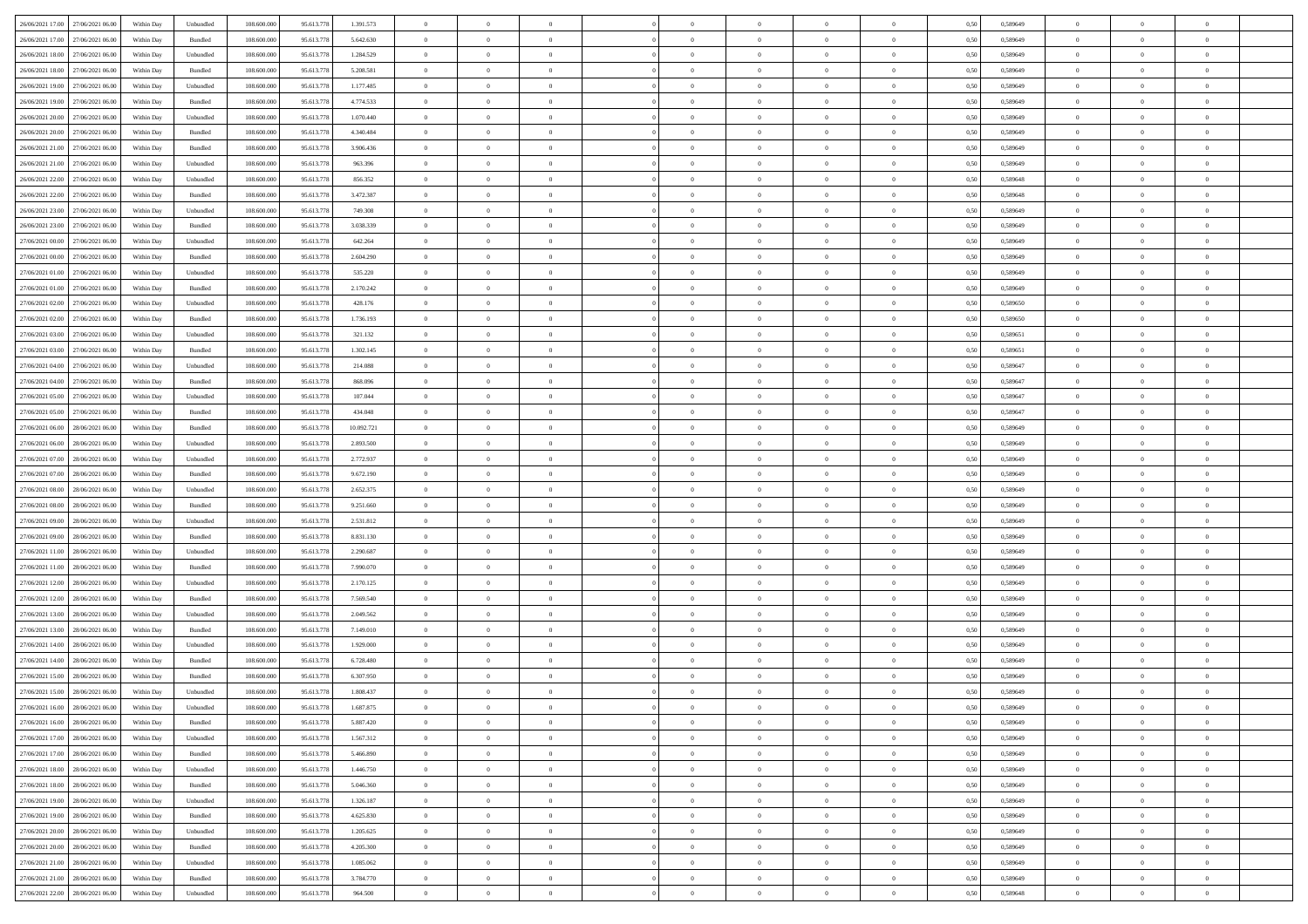| 26/06/2021 17:00 27/06/2021 06:00    | Within Day | Unbundled                   | 108.600.000 | 95.613.778 | 1.391.573  | $\overline{0}$ | $\overline{0}$ |                | $\overline{0}$ | $\theta$       |                | $\theta$       | 0,50 | 0,589649 | $\theta$       | $\theta$       | $\overline{0}$ |  |
|--------------------------------------|------------|-----------------------------|-------------|------------|------------|----------------|----------------|----------------|----------------|----------------|----------------|----------------|------|----------|----------------|----------------|----------------|--|
| 26/06/2021 17:00<br>27/06/2021 06:00 | Within Day | Bundled                     | 108.600.00  | 95.613.778 | 5.642.630  | $\bf{0}$       | $\bf{0}$       | $\bf{0}$       | $\bf{0}$       | $\overline{0}$ | $\overline{0}$ | $\bf{0}$       | 0,50 | 0,589649 | $\,$ 0 $\,$    | $\bf{0}$       | $\overline{0}$ |  |
| 26/06/2021 18:00<br>27/06/2021 06:00 | Within Day | Unbundled                   | 108,600,000 | 95.613.778 | 1.284.529  | $\overline{0}$ | $\bf{0}$       | $\overline{0}$ | $\bf{0}$       | $\bf{0}$       | $\overline{0}$ | $\bf{0}$       | 0.50 | 0.589649 | $\bf{0}$       | $\overline{0}$ | $\overline{0}$ |  |
| 26/06/2021 18:00<br>27/06/2021 06:00 | Within Day | Bundled                     | 108.600.000 | 95.613.778 | 5.208.581  | $\overline{0}$ | $\overline{0}$ | $\overline{0}$ | $\overline{0}$ | $\theta$       | $\overline{0}$ | $\bf{0}$       | 0,50 | 0,589649 | $\,$ 0 $\,$    | $\theta$       | $\overline{0}$ |  |
|                                      |            |                             |             |            |            |                |                |                |                |                |                |                |      |          |                |                |                |  |
| 26/06/2021 19:00<br>27/06/2021 06.00 | Within Day | Unbundled                   | 108.600.00  | 95.613.778 | 1.177.485  | $\bf{0}$       | $\overline{0}$ | $\bf{0}$       | $\overline{0}$ | $\theta$       | $\overline{0}$ | $\bf{0}$       | 0,50 | 0,589649 | $\,$ 0 $\,$    | $\bf{0}$       | $\overline{0}$ |  |
| 26/06/2021 19:00<br>27/06/2021 06:00 | Within Day | Bundled                     | 108,600,000 | 95.613.778 | 4.774.533  | $\overline{0}$ | $\overline{0}$ | $\overline{0}$ | $\bf{0}$       | $\overline{0}$ | $\theta$       | $\bf{0}$       | 0.50 | 0.589649 | $\,$ 0 $\,$    | $\theta$       | $\overline{0}$ |  |
| 26/06/2021 20:00<br>27/06/2021 06:00 | Within Day | Unbundled                   | 108.600.000 | 95.613.778 | 1.070.440  | $\overline{0}$ | $\overline{0}$ | $\overline{0}$ | $\overline{0}$ | $\overline{0}$ | $\overline{0}$ | $\bf{0}$       | 0,50 | 0,589649 | $\,$ 0 $\,$    | $\theta$       | $\overline{0}$ |  |
| 26/06/2021 20:00<br>27/06/2021 06.00 | Within Day | Bundled                     | 108.600.00  | 95.613.77  | 4.340.484  | $\bf{0}$       | $\bf{0}$       | $\bf{0}$       | $\overline{0}$ | $\overline{0}$ | $\overline{0}$ | $\bf{0}$       | 0,50 | 0,589649 | $\,$ 0 $\,$    | $\bf{0}$       | $\overline{0}$ |  |
|                                      |            |                             |             |            |            |                |                |                |                |                |                |                |      |          |                |                |                |  |
| 26/06/2021 21:00<br>27/06/2021 06:00 | Within Day | Bundled                     | 108,600,000 | 95.613.778 | 3.906.436  | $\overline{0}$ | $\bf{0}$       | $\overline{0}$ | $\bf{0}$       | $\overline{0}$ | $\overline{0}$ | $\bf{0}$       | 0.50 | 0.589649 | $\bf{0}$       | $\overline{0}$ | $\overline{0}$ |  |
| 26/06/2021 21:00<br>27/06/2021 06:00 | Within Day | Unbundled                   | 108.600.000 | 95.613.778 | 963.396    | $\bf{0}$       | $\bf{0}$       | $\overline{0}$ | $\overline{0}$ | $\overline{0}$ | $\overline{0}$ | $\bf{0}$       | 0,50 | 0,589649 | $\,$ 0 $\,$    | $\bf{0}$       | $\overline{0}$ |  |
| 26/06/2021 22:00<br>27/06/2021 06.00 | Within Day | Unbundled                   | 108.600.00  | 95.613.778 | 856.352    | $\bf{0}$       | $\bf{0}$       | $\bf{0}$       | $\bf{0}$       | $\overline{0}$ | $\overline{0}$ | $\bf{0}$       | 0,50 | 0,589648 | $\,$ 0 $\,$    | $\bf{0}$       | $\overline{0}$ |  |
| 26/06/2021 22:00<br>27/06/2021 06:00 | Within Day | Bundled                     | 108,600,000 | 95.613.778 | 3.472.387  | $\overline{0}$ | $\bf{0}$       | $\overline{0}$ | $\overline{0}$ | $\bf{0}$       | $\overline{0}$ | $\bf{0}$       | 0.50 | 0.589648 | $\bf{0}$       | $\overline{0}$ | $\,$ 0         |  |
| 26/06/2021 23:00<br>27/06/2021 06:00 |            |                             | 108.600.000 |            |            | $\overline{0}$ | $\overline{0}$ | $\overline{0}$ | $\theta$       | $\theta$       | $\overline{0}$ | $\bf{0}$       |      |          | $\,$ 0 $\,$    | $\theta$       | $\overline{0}$ |  |
|                                      | Within Day | Unbundled                   |             | 95.613.778 | 749.308    |                |                |                |                |                |                |                | 0,50 | 0,589649 |                |                |                |  |
| 26/06/2021 23:00<br>27/06/2021 06.00 | Within Day | Bundled                     | 108.600.00  | 95.613.778 | 3.038.339  | $\bf{0}$       | $\overline{0}$ | $\bf{0}$       | $\overline{0}$ | $\bf{0}$       | $\overline{0}$ | $\bf{0}$       | 0,50 | 0,589649 | $\,$ 0 $\,$    | $\bf{0}$       | $\overline{0}$ |  |
| 27/06/2021 00:00<br>27/06/2021 06:00 | Within Day | Unbundled                   | 108,600,000 | 95.613.778 | 642.264    | $\overline{0}$ | $\bf{0}$       | $\overline{0}$ | $\bf{0}$       | $\overline{0}$ | $\theta$       | $\bf{0}$       | 0.50 | 0.589649 | $\,$ 0 $\,$    | $\theta$       | $\overline{0}$ |  |
| 27/06/2021 00:00<br>27/06/2021 06:00 | Within Day | Bundled                     | 108.600.000 | 95.613.778 | 2.604.290  | $\overline{0}$ | $\overline{0}$ | $\overline{0}$ | $\overline{0}$ | $\overline{0}$ | $\overline{0}$ | $\bf{0}$       | 0,50 | 0,589649 | $\theta$       | $\theta$       | $\overline{0}$ |  |
| 27/06/2021 01:00<br>27/06/2021 06.00 | Within Day | Unbundled                   | 108.600.00  | 95.613.77  | 535.220    | $\bf{0}$       | $\bf{0}$       | $\bf{0}$       | $\overline{0}$ | $\bf{0}$       | $\overline{0}$ | $\bf{0}$       | 0,50 | 0,589649 | $\,$ 0 $\,$    | $\bf{0}$       | $\overline{0}$ |  |
|                                      |            |                             |             |            |            |                |                |                |                |                |                |                |      |          |                |                |                |  |
| 27/06/2021 01:00<br>27/06/2021 06:00 | Within Day | Bundled                     | 108,600,000 | 95.613.778 | 2.170.242  | $\overline{0}$ | $\bf{0}$       | $\overline{0}$ | $\bf{0}$       | $\overline{0}$ | $\overline{0}$ | $\bf{0}$       | 0.50 | 0.589649 | $\bf{0}$       | $\overline{0}$ | $\overline{0}$ |  |
| 27/06/2021 02:00<br>27/06/2021 06:00 | Within Day | Unbundled                   | 108.600.000 | 95.613.778 | 428.176    | $\overline{0}$ | $\bf{0}$       | $\overline{0}$ | $\overline{0}$ | $\overline{0}$ | $\overline{0}$ | $\bf{0}$       | 0,50 | 0,589650 | $\,$ 0 $\,$    | $\bf{0}$       | $\overline{0}$ |  |
| 27/06/2021 02:00<br>27/06/2021 06.00 | Within Day | Bundled                     | 108.600.00  | 95.613.778 | 1.736.193  | $\bf{0}$       | $\bf{0}$       | $\bf{0}$       | $\bf{0}$       | $\overline{0}$ | $\overline{0}$ | $\bf{0}$       | 0,50 | 0,589650 | $\,$ 0 $\,$    | $\bf{0}$       | $\overline{0}$ |  |
| 27/06/2021 03:00<br>27/06/2021 06:00 | Within Day | Unbundled                   | 108,600,000 | 95.613.778 | 321.132    | $\overline{0}$ | $\bf{0}$       | $\overline{0}$ | $\overline{0}$ | $\bf{0}$       | $\overline{0}$ | $\bf{0}$       | 0.50 | 0.589651 | $\bf{0}$       | $\overline{0}$ | $\overline{0}$ |  |
| 27/06/2021 03:00<br>27/06/2021 06:00 | Within Day | Bundled                     | 108.600.000 | 95.613.778 | 1.302.145  | $\overline{0}$ | $\overline{0}$ | $\overline{0}$ | $\overline{0}$ | $\theta$       | $\overline{0}$ | $\bf{0}$       | 0,50 | 0,589651 | $\theta$       | $\theta$       | $\overline{0}$ |  |
|                                      |            |                             |             |            |            |                |                |                |                |                |                |                |      |          |                |                |                |  |
| 27/06/2021 04:00<br>27/06/2021 06.00 | Within Day | Unbundled                   | 108.600.00  | 95.613.778 | 214.088    | $\bf{0}$       | $\bf{0}$       | $\bf{0}$       | $\bf{0}$       | $\overline{0}$ | $\overline{0}$ | $\bf{0}$       | 0,50 | 0,589647 | $\,$ 0 $\,$    | $\bf{0}$       | $\overline{0}$ |  |
| 27/06/2021 04:00<br>27/06/2021 06:00 | Within Day | Bundled                     | 108,600,000 | 95.613.778 | 868,096    | $\overline{0}$ | $\bf{0}$       | $\overline{0}$ | $\bf{0}$       | $\overline{0}$ | $\theta$       | $\bf{0}$       | 0.50 | 0.589647 | $\,$ 0 $\,$    | $\theta$       | $\overline{0}$ |  |
| 27/06/2021 05:00<br>27/06/2021 06:00 | Within Day | Unbundled                   | 108.600.000 | 95.613.778 | 107.044    | $\overline{0}$ | $\overline{0}$ | $\overline{0}$ | $\overline{0}$ | $\overline{0}$ | $\overline{0}$ | $\bf{0}$       | 0,50 | 0,589647 | $\,$ 0 $\,$    | $\theta$       | $\overline{0}$ |  |
| 27/06/2021 05:00<br>27/06/2021 06.00 | Within Day | Bundled                     | 108.600.00  | 95.613.778 | 434.048    | $\bf{0}$       | $\overline{0}$ | $\bf{0}$       | $\overline{0}$ | $\bf{0}$       | $\overline{0}$ | $\bf{0}$       | 0,50 | 0,589647 | $\,$ 0 $\,$    | $\bf{0}$       | $\overline{0}$ |  |
| 27/06/2021 06:00<br>28/06/2021 06:00 | Within Day | Bundled                     | 108,600,000 | 95.613.778 | 10.092.721 | $\overline{0}$ | $\bf{0}$       | $\overline{0}$ | $\bf{0}$       | $\overline{0}$ | $\overline{0}$ | $\bf{0}$       | 0.50 | 0.589649 | $\bf{0}$       | $\overline{0}$ | $\overline{0}$ |  |
|                                      |            |                             |             |            |            |                |                |                |                |                |                |                |      |          |                |                |                |  |
| 27/06/2021 06:00<br>28/06/2021 06:00 | Within Day | Unbundled                   | 108.600.000 | 95.613.778 | 2.893.500  | $\overline{0}$ | $\bf{0}$       | $\overline{0}$ | $\overline{0}$ | $\overline{0}$ | $\overline{0}$ | $\bf{0}$       | 0,50 | 0,589649 | $\theta$       | $\theta$       | $\overline{0}$ |  |
| 27/06/2021 07:00<br>28/06/2021 06:00 | Within Day | Unbundled                   | 108.600.00  | 95.613.778 | 2.772.937  | $\bf{0}$       | $\bf{0}$       | $\bf{0}$       | $\bf{0}$       | $\overline{0}$ | $\overline{0}$ | $\bf{0}$       | 0,50 | 0,589649 | $\,$ 0 $\,$    | $\bf{0}$       | $\overline{0}$ |  |
| 27/06/2021 07:00<br>28/06/2021 06:00 | Within Day | Bundled                     | 108,600,000 | 95.613.778 | 9.672.190  | $\overline{0}$ | $\bf{0}$       | $\overline{0}$ | $\overline{0}$ | $\bf{0}$       | $\overline{0}$ | $\bf{0}$       | 0.50 | 0.589649 | $\bf{0}$       | $\overline{0}$ | $\,$ 0         |  |
| 27/06/2021 08:00<br>28/06/2021 06:00 | Within Day | Unbundled                   | 108.600.000 | 95.613.778 | 2.652.375  | $\overline{0}$ | $\overline{0}$ | $\overline{0}$ | $\overline{0}$ | $\overline{0}$ | $\overline{0}$ | $\bf{0}$       | 0.50 | 0.589649 | $\theta$       | $\theta$       | $\overline{0}$ |  |
| 27/06/2021 08:00<br>28/06/2021 06:00 | Within Day | Bundled                     | 108.600.00  | 95.613.778 | 9.251.660  | $\bf{0}$       | $\bf{0}$       | $\bf{0}$       | $\bf{0}$       | $\overline{0}$ | $\overline{0}$ | $\bf{0}$       | 0,50 | 0,589649 | $\,$ 0 $\,$    | $\bf{0}$       | $\overline{0}$ |  |
|                                      |            |                             |             |            |            |                |                |                |                |                |                |                |      |          |                |                |                |  |
| 27/06/2021 09:00<br>28/06/2021 06:00 | Within Day | Unbundled                   | 108,600,000 | 95.613.778 | 2.531.812  | $\overline{0}$ | $\bf{0}$       | $\overline{0}$ | $\bf{0}$       | $\overline{0}$ | $\Omega$       | $\bf{0}$       | 0.50 | 0.589649 | $\,$ 0 $\,$    | $\theta$       | $\overline{0}$ |  |
| 27/06/2021 09:00<br>28/06/2021 06:00 | Within Dav | Bundled                     | 108.600.000 | 95.613.778 | 8.831.130  | $\overline{0}$ | $\overline{0}$ | $\overline{0}$ | $\overline{0}$ | $\theta$       | $\overline{0}$ | $\bf{0}$       | 0.50 | 0.589649 | $\theta$       | $\theta$       | $\overline{0}$ |  |
| 27/06/2021 11:00<br>28/06/2021 06:00 | Within Day | Unbundled                   | 108.600.00  | 95.613.778 | 2.290.687  | $\bf{0}$       | $\bf{0}$       | $\bf{0}$       | $\bf{0}$       | $\overline{0}$ | $\overline{0}$ | $\bf{0}$       | 0,50 | 0,589649 | $\,$ 0 $\,$    | $\bf{0}$       | $\overline{0}$ |  |
| 27/06/2021 11:00<br>28/06/2021 06:00 | Within Day | Bundled                     | 108,600,000 | 95.613.778 | 7.990.070  | $\overline{0}$ | $\bf{0}$       | $\overline{0}$ | $\bf{0}$       | $\overline{0}$ | $\overline{0}$ | $\bf{0}$       | 0.50 | 0.589649 | $\bf{0}$       | $\overline{0}$ | $\overline{0}$ |  |
| 27/06/2021 12:00<br>28/06/2021 06:00 | Within Dav | Unbundled                   | 108.600.000 | 95.613.778 | 2.170.125  | $\overline{0}$ | $\overline{0}$ | $\overline{0}$ | $\overline{0}$ | $\overline{0}$ | $\overline{0}$ | $\bf{0}$       | 0.50 | 0.589649 | $\theta$       | $\theta$       | $\overline{0}$ |  |
|                                      |            |                             |             |            |            |                |                |                |                |                |                |                |      |          |                |                |                |  |
| 27/06/2021 12:00<br>28/06/2021 06:00 | Within Day | Bundled                     | 108.600.00  | 95.613.778 | 7.569.540  | $\bf{0}$       | $\bf{0}$       | $\bf{0}$       | $\bf{0}$       | $\overline{0}$ | $\overline{0}$ | $\bf{0}$       | 0,50 | 0,589649 | $\,$ 0 $\,$    | $\bf{0}$       | $\overline{0}$ |  |
| 27/06/2021 13:00<br>28/06/2021 06:00 | Within Day | Unbundled                   | 108,600,000 | 95.613.778 | 2.049.562  | $\overline{0}$ | $\bf{0}$       | $\overline{0}$ | $\overline{0}$ | $\bf{0}$       | $\overline{0}$ | $\bf{0}$       | 0.50 | 0.589649 | $\bf{0}$       | $\overline{0}$ | $\overline{0}$ |  |
| 27/06/2021 13:00<br>28/06/2021 06:00 | Within Dav | Bundled                     | 108.600.000 | 95.613.778 | 7.149.010  | $\overline{0}$ | $\overline{0}$ | $\overline{0}$ | $\overline{0}$ | $\overline{0}$ | $\overline{0}$ | $\bf{0}$       | 0.50 | 0.589649 | $\theta$       | $\theta$       | $\overline{0}$ |  |
| 27/06/2021 14:00<br>28/06/2021 06:00 | Within Day | Unbundled                   | 108.600.00  | 95.613.778 | 1.929.000  | $\bf{0}$       | $\bf{0}$       | $\bf{0}$       | $\bf{0}$       | $\overline{0}$ | $\overline{0}$ | $\bf{0}$       | 0,50 | 0,589649 | $\,$ 0 $\,$    | $\bf{0}$       | $\overline{0}$ |  |
| 27/06/2021 14:00<br>28/06/2021 06:00 | Within Day | Bundled                     | 108,600,000 | 95.613.778 | 6.728.480  | $\overline{0}$ | $\overline{0}$ | $\overline{0}$ | $\bf{0}$       | $\theta$       | $\Omega$       | $\bf{0}$       | 0.50 | 0.589649 | $\bf{0}$       | $\theta$       | $\overline{0}$ |  |
| 27/06/2021 15:00<br>28/06/2021 06:00 | Within Dav | Bundled                     | 108.600.000 | 95.613.778 | 6.307.950  | $\overline{0}$ | $\overline{0}$ | $\Omega$       | $\theta$       | $\theta$       | $\Omega$       | $\overline{0}$ | 0.5( | 0.589649 | $\theta$       | $\theta$       | $\overline{0}$ |  |
|                                      |            |                             |             |            |            |                |                |                |                |                |                |                |      |          |                |                |                |  |
| 27/06/2021 15:00<br>28/06/2021 06:00 | Within Day | Unbundled                   | 108.600.000 | 95.613.778 | 1.808.437  | $\bf{0}$       | $\bf{0}$       | $\bf{0}$       | $\bf{0}$       | $\bf{0}$       | $\overline{0}$ | $\bf{0}$       | 0,50 | 0,589649 | $\overline{0}$ | $\bf{0}$       | $\overline{0}$ |  |
| 27/06/2021 16:00 28/06/2021 06:00    | Within Day | $\ensuremath{\mathsf{Unb}}$ | 108.600.000 | 95.613.778 | 1.687.875  | $\bf{0}$       | $\theta$       |                | $\Omega$       |                |                |                | 0,50 | 0.589649 | $\bf{0}$       | $\overline{0}$ |                |  |
| 27/06/2021 16:00 28/06/2021 06:00    | Within Day | Bundled                     | 108.600.000 | 95.613.778 | 5.887.420  | $\overline{0}$ | $\overline{0}$ | $\Omega$       | $\theta$       | $\overline{0}$ | $\overline{0}$ | $\bf{0}$       | 0,50 | 0,589649 | $\theta$       | $\theta$       | $\overline{0}$ |  |
| 27/06/2021 17:00<br>28/06/2021 06:00 | Within Day | Unbundled                   | 108.600.00  | 95.613.778 | 1.567.312  | $\overline{0}$ | $\bf{0}$       | $\overline{0}$ | $\overline{0}$ | $\bf{0}$       | $\overline{0}$ | $\bf{0}$       | 0,50 | 0,589649 | $\bf{0}$       | $\overline{0}$ | $\bf{0}$       |  |
| 27/06/2021 17:00 28/06/2021 06:00    |            |                             | 108,600,000 | 95.613.778 | 5.466.890  | $\overline{0}$ | $\bf{0}$       |                |                | $\mathbf{0}$   | $\overline{0}$ | $\,$ 0 $\,$    | 0.50 | 0.589649 | $\overline{0}$ | $\bf{0}$       | $\,$ 0 $\,$    |  |
|                                      | Within Day | Bundled                     |             |            |            |                |                | $\overline{0}$ | $\overline{0}$ |                |                |                |      |          |                |                |                |  |
| 27/06/2021 18:00 28/06/2021 06:00    | Within Dav | Unbundled                   | 108.600.000 | 95.613.778 | 1.446.750  | $\overline{0}$ | $\overline{0}$ | $\overline{0}$ | $\overline{0}$ | $\overline{0}$ | $\overline{0}$ | $\bf{0}$       | 0,50 | 0.589649 | $\overline{0}$ | $\theta$       | $\overline{0}$ |  |
| 27/06/2021 18:00<br>28/06/2021 06:00 | Within Day | Bundled                     | 108.600.000 | 95.613.778 | 5.046.360  | $\overline{0}$ | $\bf{0}$       | $\overline{0}$ | $\overline{0}$ | $\bf{0}$       | $\overline{0}$ | $\bf{0}$       | 0,50 | 0,589649 | $\bf{0}$       | $\overline{0}$ | $\overline{0}$ |  |
| 27/06/2021 19:00<br>28/06/2021 06:00 | Within Day | Unbundled                   | 108,600,000 | 95.613.778 | 1.326.187  | $\overline{0}$ | $\bf{0}$       | $\overline{0}$ | $\overline{0}$ | $\bf{0}$       | $\overline{0}$ | $\bf{0}$       | 0.50 | 0.589649 | $\,$ 0 $\,$    | $\overline{0}$ | $\,$ 0         |  |
| 27/06/2021 19:00<br>28/06/2021 06:00 | Within Dav | Bundled                     | 108.600.000 | 95.613.778 | 4.625.830  | $\overline{0}$ | $\overline{0}$ | $\overline{0}$ | $\overline{0}$ | $\overline{0}$ | $\overline{0}$ | $\bf{0}$       | 0,50 | 0.589649 | $\overline{0}$ | $\theta$       | $\overline{0}$ |  |
| 27/06/2021 20:00                     |            |                             |             |            |            |                | $\overline{0}$ |                |                | $\overline{0}$ |                |                |      |          | $\bf{0}$       | $\overline{0}$ | $\,$ 0         |  |
| 28/06/2021 06:00                     | Within Day | Unbundled                   | 108.600.00  | 95.613.778 | 1.205.625  | $\overline{0}$ |                | $\overline{0}$ | $\overline{0}$ |                | $\overline{0}$ | $\bf{0}$       | 0,50 | 0,589649 |                |                |                |  |
| 27/06/2021 20:00 28/06/2021 06:00    | Within Day | Bundled                     | 108,600,000 | 95.613.778 | 4.205.300  | $\overline{0}$ | $\overline{0}$ | $\overline{0}$ | $\overline{0}$ | $\overline{0}$ | $\overline{0}$ | $\bf{0}$       | 0.50 | 0.589649 | $\mathbf{0}$   | $\bf{0}$       | $\,$ 0         |  |
| 27/06/2021 21:00 28/06/2021 06:00    | Within Dav | Unbundled                   | 108.600.000 | 95.613.778 | 1.085.062  | $\overline{0}$ | $\overline{0}$ | $\overline{0}$ | $\overline{0}$ | $\overline{0}$ | $\overline{0}$ | $\bf{0}$       | 0,50 | 0.589649 | $\overline{0}$ | $\theta$       | $\overline{0}$ |  |
| 27/06/2021 21:00<br>28/06/2021 06:00 | Within Day | Bundled                     | 108.600.00  | 95.613.778 | 3.784.770  | $\overline{0}$ | $\bf{0}$       | $\overline{0}$ | $\bf{0}$       | $\overline{0}$ | $\overline{0}$ | $\bf{0}$       | 0,50 | 0,589649 | $\bf{0}$       | $\,$ 0 $\,$    | $\bf{0}$       |  |
| 27/06/2021 22:00 28/06/2021 06:00    | Within Day | Unbundled                   | 108.600.000 | 95.613.778 | 964.500    | $\,$ 0 $\,$    | $\bf{0}$       | $\overline{0}$ | $\overline{0}$ | $\,$ 0 $\,$    | $\overline{0}$ | $\bf{0}$       | 0,50 | 0,589648 | $\overline{0}$ | $\,$ 0 $\,$    | $\,$ 0 $\,$    |  |
|                                      |            |                             |             |            |            |                |                |                |                |                |                |                |      |          |                |                |                |  |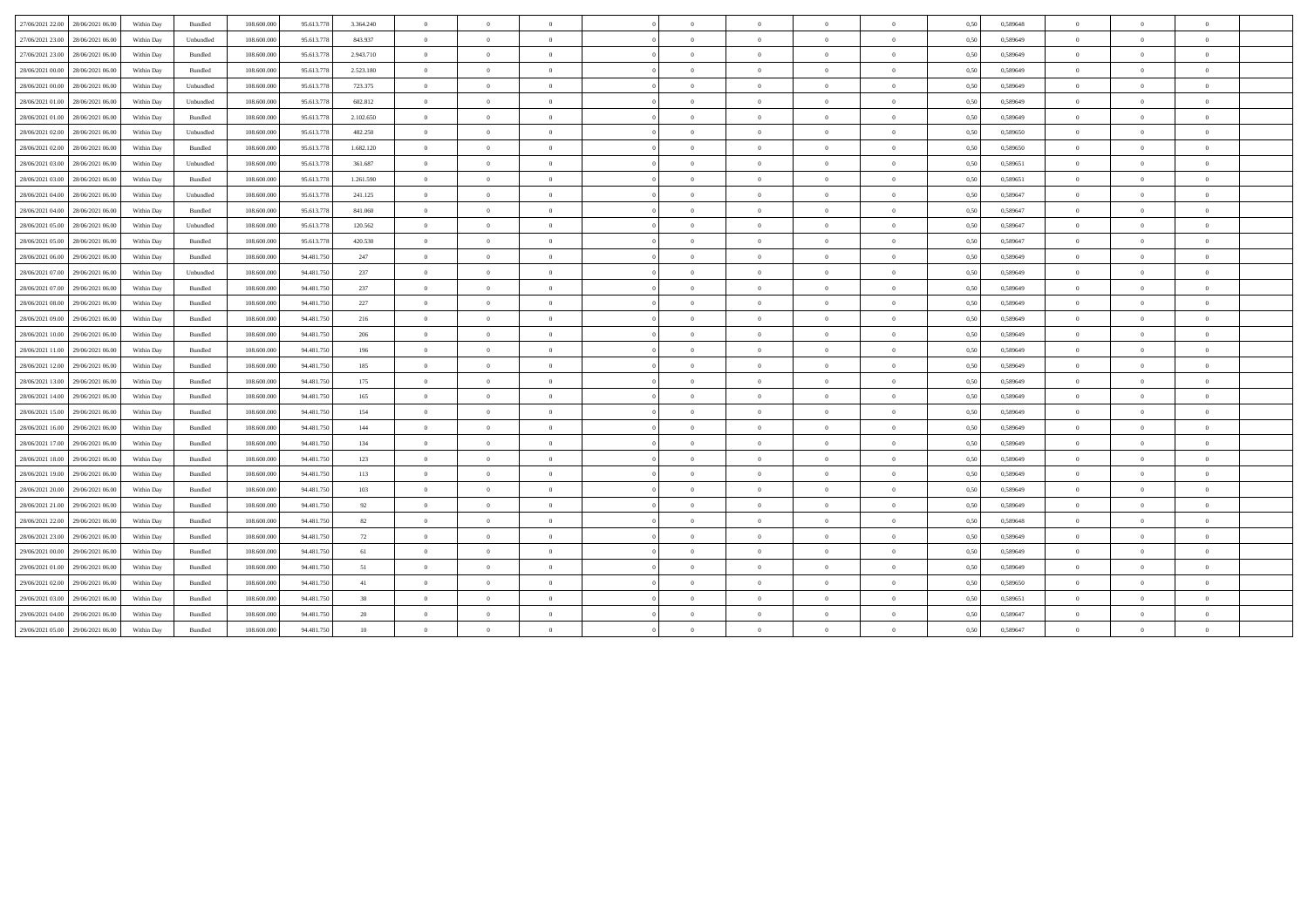| 27/06/2021 22:00 | 28/06/2021 06:00 | Within Day | Bundled   | 108,600,000 | 95.613.778 | 3.364.240 | $\overline{0}$ | $\overline{0}$ | $\overline{0}$ |                | $\overline{0}$ | $\theta$       | $\overline{0}$ | 0.50 | 0.589648 | $\overline{0}$ | $\Omega$       |                |  |
|------------------|------------------|------------|-----------|-------------|------------|-----------|----------------|----------------|----------------|----------------|----------------|----------------|----------------|------|----------|----------------|----------------|----------------|--|
| 27/06/2021 23:00 | 28/06/2021 06:00 | Within Day | Unbundled | 108,600,000 | 95.613.778 | 843.937   | $\overline{0}$ | $\overline{0}$ | $\overline{0}$ | $\Omega$       | $\overline{0}$ | $\overline{0}$ | $\overline{0}$ | 0,50 | 0,589649 | $\overline{0}$ | $\overline{0}$ | $\Omega$       |  |
| 27/06/2021 23:00 | 28/06/2021 06:00 | Within Day | Bundled   | 108,600,000 | 95.613.778 | 2.943.710 | $\overline{0}$ | $\overline{0}$ | $\overline{0}$ | $\Omega$       | $\overline{0}$ | $\overline{0}$ | $\overline{0}$ | 0.50 | 0.589649 | $\overline{0}$ | $\overline{0}$ |                |  |
| 28/06/2021 00:00 | 28/06/2021 06:00 | Within Day | Bundled   | 108.600.000 | 95.613.778 | 2.523.180 | $\overline{0}$ | $\theta$       | $\Omega$       | $\theta$       | $\theta$       | $\Omega$       | $\theta$       | 0,50 | 0,589649 | $\overline{0}$ | $\Omega$       |                |  |
| 28/06/2021 00:00 | 28/06/2021 06:00 | Within Day | Unbundled | 108.600.000 | 95.613.778 | 723.375   | $\overline{0}$ | $\overline{0}$ | $\overline{0}$ | $\Omega$       | $\overline{0}$ | $\theta$       | $\overline{0}$ | 0.50 | 0,589649 | $\theta$       | $\overline{0}$ |                |  |
| 28/06/2021 01:00 | 28/06/2021 06:00 | Within Day | Unbundled | 108,600,000 | 95.613.778 | 602.812   | $\overline{0}$ | $\overline{0}$ | $\overline{0}$ | $\Omega$       | $\bf{0}$       | $\overline{0}$ | $\overline{0}$ | 0.50 | 0,589649 | $\overline{0}$ | $\overline{0}$ | $\theta$       |  |
| 28/06/2021 01:00 | 28/06/2021 06:00 | Within Day | Bundled   | 108.600.000 | 95.613.778 | 2.102.650 | $\overline{0}$ | $\bf{0}$       | $\overline{0}$ | $\overline{0}$ | $\bf{0}$       | $\overline{0}$ | $\overline{0}$ | 0,50 | 0,589649 | $\overline{0}$ | $\overline{0}$ | $\overline{0}$ |  |
| 28/06/2021 02:00 | 28/06/2021 06:00 | Within Day | Unbundled | 108.600.000 | 95.613.778 | 482.250   | $\overline{0}$ | $\overline{0}$ | $\overline{0}$ | $\Omega$       | $\overline{0}$ | $\theta$       | $\theta$       | 0,50 | 0,589650 | $\overline{0}$ | $\Omega$       |                |  |
| 28/06/2021 02:00 | 28/06/2021 06:00 | Within Day | Bundled   | 108.600.000 | 95.613.778 | 1.682.120 | $\overline{0}$ | $\overline{0}$ | $\overline{0}$ | $\Omega$       | $\overline{0}$ | $\overline{0}$ | $\overline{0}$ | 0,50 | 0,589650 | $\overline{0}$ | $\overline{0}$ | $\theta$       |  |
| 28/06/2021 03:00 | 28/06/2021 06:00 | Within Day | Unbundled | 108.600.000 | 95.613.778 | 361.687   | $\overline{0}$ | $\overline{0}$ | $\overline{0}$ | $\theta$       | $\overline{0}$ | $\theta$       | $\overline{0}$ | 0,50 | 0,589651 | $\overline{0}$ | $\overline{0}$ | $\theta$       |  |
| 28/06/2021 03:00 | 28/06/2021 06:00 | Within Day | Bundled   | 108.600.000 | 95.613.778 | 1.261.590 | $\overline{0}$ | $\theta$       | $\theta$       | $\Omega$       | $\theta$       | $\Omega$       | $\theta$       | 0.50 | 0,589651 | $\overline{0}$ | $\Omega$       | $\theta$       |  |
| 28/06/2021 04:00 | 28/06/2021 06:00 | Within Day | Unbundled | 108.600.000 | 95.613.778 | 241.125   | $\overline{0}$ | $\overline{0}$ | $\overline{0}$ | $\Omega$       | $\overline{0}$ | $\theta$       | $\overline{0}$ | 0,50 | 0,589647 | $\theta$       | $\overline{0}$ |                |  |
| 28/06/2021 04:00 | 28/06/2021 06:00 | Within Day | Bundled   | 108.600.000 | 95.613.778 | 841.060   | $\overline{0}$ | $\overline{0}$ | $\overline{0}$ | $\overline{0}$ | $\bf{0}$       | $\overline{0}$ | $\overline{0}$ | 0,50 | 0,589647 | $\overline{0}$ | $\overline{0}$ | $\theta$       |  |
| 28/06/2021 05:00 | 28/06/2021 06:00 | Within Day | Unbundled | 108.600.000 | 95.613.778 | 120.562   | $\overline{0}$ | $\bf{0}$       | $\overline{0}$ | $\overline{0}$ | $\bf{0}$       | $\bf{0}$       | $\overline{0}$ | 0,50 | 0,589647 | $\overline{0}$ | $\overline{0}$ | $\overline{0}$ |  |
| 28/06/2021 05:00 | 28/06/2021 06:00 | Within Day | Bundled   | 108.600.000 | 95.613.778 | 420.530   | $\overline{0}$ | $\overline{0}$ | $\overline{0}$ | $\theta$       | $\overline{0}$ | $\theta$       | $\overline{0}$ | 0,50 | 0,589647 | $\overline{0}$ | $\Omega$       |                |  |
| 28/06/2021 06:00 | 29/06/2021 06:00 | Within Dav | Bundled   | 108,600,000 | 94.481.750 | 247       | $\overline{0}$ | $\overline{0}$ | $\theta$       | $\Omega$       | $\theta$       | $\theta$       | $\overline{0}$ | 0,50 | 0,589649 | $\overline{0}$ | $\Omega$       | $\theta$       |  |
| 28/06/2021 07:00 | 29/06/2021 06:00 | Within Day | Unbundled | 108.600.000 | 94.481.750 | 237       | $\overline{0}$ | $\overline{0}$ | $\overline{0}$ | $\Omega$       | $\overline{0}$ | $\theta$       | $\theta$       | 0,50 | 0,589649 | $\overline{0}$ | $\overline{0}$ | $\theta$       |  |
| 28/06/2021 07:00 | 29/06/2021 06:00 | Within Day | Bundled   | 108.600.000 | 94.481.750 | 237       | $\overline{0}$ | $\Omega$       | $\theta$       | $\theta$       | $\theta$       | $\Omega$       | $\theta$       | 0,50 | 0.589649 | $\overline{0}$ | $\Omega$       |                |  |
| 28/06/2021 08:00 | 29/06/2021 06:00 | Within Day | Bundled   | 108.600.000 | 94.481.750 | 227       | $\overline{0}$ | $\overline{0}$ | $\overline{0}$ | $\Omega$       | $\overline{0}$ | $\theta$       | $\overline{0}$ | 0,50 | 0,589649 | $\overline{0}$ | $\overline{0}$ | $\theta$       |  |
| 28/06/2021 09:00 | 29/06/2021 06:00 | Within Day | Bundled   | 108.600.000 | 94.481.750 | 216       | $\overline{0}$ | $\overline{0}$ | $\overline{0}$ | $\Omega$       | $\bf{0}$       | $\overline{0}$ | $\overline{0}$ | 0,50 | 0,589649 | $\overline{0}$ | $\overline{0}$ | $\theta$       |  |
| 28/06/2021 10:00 | 29/06/2021 06:00 | Within Day | Bundled   | 108.600.000 | 94.481.750 | 206       | $\overline{0}$ | $\overline{0}$ | $\overline{0}$ | $\theta$       | $\bf{0}$       | $\bf{0}$       | $\overline{0}$ | 0,50 | 0,589649 | $\overline{0}$ | $\Omega$       | $\theta$       |  |
| 28/06/2021 11:00 | 29/06/2021 06.00 | Within Day | Bundled   | 108.600.000 | 94.481.750 | 196       | $\overline{0}$ | $\overline{0}$ | $\overline{0}$ | $\theta$       | $\overline{0}$ | $\overline{0}$ | $\overline{0}$ | 0,50 | 0,589649 | $\overline{0}$ | $\overline{0}$ |                |  |
| 28/06/2021 12:00 | 29/06/2021 06:00 | Within Day | Bundled   | 108,600,000 | 94.481.750 | 185       | $\overline{0}$ | $\overline{0}$ | $\overline{0}$ | $\Omega$       | $\overline{0}$ | $\overline{0}$ | $\theta$       | 0.50 | 0,589649 | $\overline{0}$ | $\Omega$       | $\theta$       |  |
| 28/06/2021 13:00 | 29/06/2021 06:00 | Within Day | Bundled   | 108.600.000 | 94.481.750 | 175       | $\overline{0}$ | $\overline{0}$ | $\Omega$       | $\theta$       | $\overline{0}$ | $\theta$       | $\theta$       | 0,50 | 0,589649 | $\overline{0}$ | $\Omega$       | $\theta$       |  |
| 28/06/2021 14:00 | 29/06/2021 06:00 | Within Day | Bundled   | 108.600.000 | 94.481.750 | 165       | $\overline{0}$ | $\overline{0}$ | $\overline{0}$ | $\Omega$       | $\overline{0}$ | $\theta$       | $\theta$       | 0,50 | 0,589649 | $\overline{0}$ | $\Omega$       |                |  |
| 28/06/2021 15:00 | 29/06/2021 06:00 | Within Day | Bundled   | 108.600.000 | 94.481.750 | 154       | $\overline{0}$ | $\overline{0}$ | $\overline{0}$ | $\theta$       | $\overline{0}$ | $\overline{0}$ | $\overline{0}$ | 0,50 | 0,589649 | $\overline{0}$ | $\overline{0}$ | $\theta$       |  |
| 28/06/2021 16:00 | 29/06/2021 06:00 | Within Day | Bundled   | 108.600.000 | 94.481.750 | 144       | $\overline{0}$ | $\overline{0}$ | $\overline{0}$ | $\Omega$       | $\overline{0}$ | $\overline{0}$ | $\overline{0}$ | 0,50 | 0,589649 | $\overline{0}$ | $\overline{0}$ | $\theta$       |  |
| 28/06/2021 17:00 | 29/06/2021 06:00 | Within Day | Bundled   | 108,600,000 | 94.481.750 | 134       | $\overline{0}$ | $\overline{0}$ | $\overline{0}$ | $\theta$       | $\bf{0}$       | $\overline{0}$ | $\overline{0}$ | 0,50 | 0.589649 | $\overline{0}$ | $\Omega$       | $\theta$       |  |
| 28/06/2021 18:00 | 29/06/2021 06.00 | Within Day | Bundled   | 108.600.000 | 94.481.750 | 123       | $\overline{0}$ | $\overline{0}$ | $\overline{0}$ | $\theta$       | $\overline{0}$ | $\overline{0}$ | $\overline{0}$ | 0,50 | 0,589649 | $\theta$       | $\overline{0}$ | $\theta$       |  |
| 28/06/2021 19:00 | 29/06/2021 06:00 | Within Day | Bundled   | 108.600.000 | 94.481.750 | 113       | $\overline{0}$ | $\overline{0}$ | $\overline{0}$ | $\theta$       | $\overline{0}$ | $\overline{0}$ | $\theta$       | 0,50 | 0,589649 | $\overline{0}$ | $\overline{0}$ | $\theta$       |  |
| 28/06/2021 20:00 | 29/06/2021 06:00 | Within Day | Bundled   | 108.600.000 | 94.481.750 | 103       | $\overline{0}$ | $\overline{0}$ | $\overline{0}$ | $\theta$       | $\overline{0}$ | $\theta$       | $\theta$       | 0,50 | 0,589649 | $\overline{0}$ | $\Omega$       | $\theta$       |  |
| 28/06/2021 21:00 | 29/06/2021 06:00 | Within Day | Bundled   | 108.600.000 | 94.481.750 | 92        | $\theta$       | $\Omega$       | $\Omega$       |                | $\theta$       | $\Omega$       | $\theta$       | 0,50 | 0,589649 | $\overline{0}$ |                |                |  |
| 28/06/2021 22:00 | 29/06/2021 06:00 | Within Day | Bundled   | 108.600.000 | 94.481.750 | 82        | $\overline{0}$ | $\overline{0}$ | $\overline{0}$ | $\sqrt{2}$     | $\overline{0}$ | $\overline{0}$ | $\theta$       | 0,50 | 0,589648 | $\overline{0}$ | $\Omega$       | $\theta$       |  |
| 28/06/2021 23:00 | 29/06/2021 06:00 | Within Day | Bundled   | 108.600.000 | 94.481.750 | 72        | $\overline{0}$ | $\overline{0}$ | $\overline{0}$ | $\Omega$       | $\overline{0}$ | $\overline{0}$ | $\overline{0}$ | 0,50 | 0,589649 | $\overline{0}$ | $\overline{0}$ | $\theta$       |  |
| 29/06/2021 00:00 | 29/06/2021 06:00 | Within Day | Bundled   | 108,600,000 | 94.481.750 | 61        | $\overline{0}$ | $\overline{0}$ | $\overline{0}$ | $\theta$       | $\bf{0}$       | $\overline{0}$ | $\overline{0}$ | 0.50 | 0.589649 | $\overline{0}$ | $\Omega$       | $\theta$       |  |
| 29/06/2021 01:00 | 29/06/2021 06.00 | Within Day | Bundled   | 108.600.000 | 94.481.750 | 51        | $\overline{0}$ | $\overline{0}$ | $\overline{0}$ | $\theta$       | $\overline{0}$ | $\theta$       | $\overline{0}$ | 0,50 | 0,589649 | $\overline{0}$ | $\overline{0}$ | $\theta$       |  |
| 29/06/2021 02:00 | 29/06/2021 06:00 | Within Day | Bundled   | 108,600,000 | 94.481.750 | 41        | $\overline{0}$ | $\theta$       | $\theta$       | $\Omega$       | $\theta$       | $\Omega$       | $\theta$       | 0,50 | 0,589650 | $\overline{0}$ | $\Omega$       | $\theta$       |  |
| 29/06/2021 03:00 | 29/06/2021 06:00 | Within Day | Bundled   | 108.600.000 | 94.481.750 | 30        | $\theta$       | $\theta$       | $\Omega$       | $\sqrt{2}$     | $\bf{0}$       | $\overline{0}$ | $\theta$       | 0,50 | 0,589651 | $\overline{0}$ | $\Omega$       | $\mathbf{a}$   |  |
| 29/06/2021 04:00 | 29/06/2021 06.00 | Within Day | Bundled   | 108.600.000 | 94.481.750 | 20        | $\theta$       | $\Omega$       | $\Omega$       |                | $\theta$       | $\Omega$       |                | 0,50 | 0,589647 | $\overline{0}$ | $\Omega$       |                |  |
| 29/06/2021 05:00 | 29/06/2021 06:00 | Within Day | Bundled   | 108.600.000 | 94.481.750 | $10\,$    | $\overline{0}$ | $\overline{0}$ | $\theta$       | $\Omega$       | $\theta$       | $\Omega$       | $\Omega$       | 0,50 | 0,589647 | $\overline{0}$ | $\Omega$       |                |  |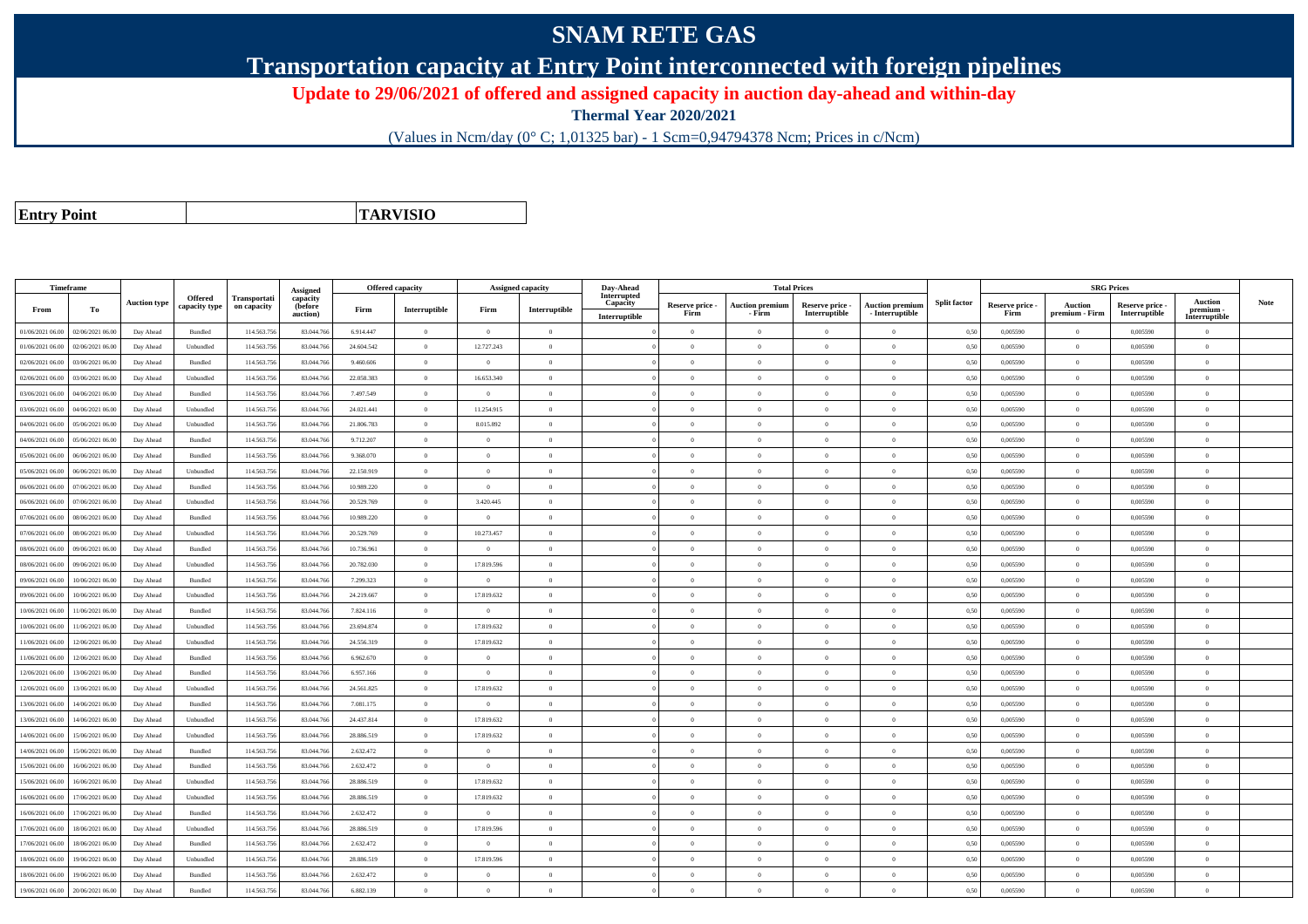## **SNAM RETE GAS**

**Transportation capacity at Entry Point interconnected with foreign pipelines**

**Update to 29/06/2021 of offered and assigned capacity in auction day-ahead and within-day**

**Thermal Year 2020/2021**

(Values in Ncm/day (0° C; 1,01325 bar) - 1 Scm=0,94794378 Ncm; Prices in c/Ncm)

**Entry Point**

**TARVISIO**

|                  | Timeframe        |                     |                |              |                                 |            | <b>Offered capacity</b> |                | Assigned capacity | Day-Ahead               |                 | <b>Total Prices</b>    |                 |                        |                     |                 | <b>SRG Prices</b> |               |                          |             |
|------------------|------------------|---------------------|----------------|--------------|---------------------------------|------------|-------------------------|----------------|-------------------|-------------------------|-----------------|------------------------|-----------------|------------------------|---------------------|-----------------|-------------------|---------------|--------------------------|-------------|
|                  |                  | <b>Auction type</b> | Offered        | Transportati | Assigned<br>capacity<br>(before |            |                         |                |                   | Interrupted<br>Capacity | Reserve price - | <b>Auction premium</b> | Reserve price - | <b>Auction premium</b> | <b>Split factor</b> | Reserve price - | <b>Auction</b>    | Reserve price | <b>Auction</b>           | <b>Note</b> |
| From             | То               |                     | capacity type  | on capacity  | auction)                        | Firm       | Interruptible           | Firm           | Interruptible     | Interruptible           | Firm            | - Firm                 | Interruptible   | $-$ Interruptible      |                     | Firm            | premium - Firm    | Interruptible | premium<br>Interruptible |             |
| 01/06/2021 06:00 | 02/06/2021 06:00 | Day Ahead           | Bundled        | 114.563.75   | 83.044.766                      | 6.914.447  | $\theta$                | $\overline{0}$ | $\overline{0}$    |                         | $\Omega$        | $\theta$               | $\overline{0}$  | $\theta$               | 0,50                | 0,005590        | $\Omega$          | 0,005590      | $\Omega$                 |             |
| 01/06/2021 06:00 | 02/06/2021 06:00 | Day Ahead           | Unbundled      | 114.563.75   | 83.044.766                      | 24.604.542 | $\theta$                | 12.727.243     | $\Omega$          |                         | $\theta$        | $\Omega$               | $\Omega$        | $\Omega$               | 0,50                | 0.005590        | $\overline{0}$    | 0.005590      | $\Omega$                 |             |
| 02/06/2021 06:00 | 03/06/2021 06:00 | Day Ahead           | Bundled        | 114.563.75   | 83.044.76                       | 9.460.606  | $\theta$                | $\Omega$       | $\Omega$          |                         | $\Omega$        |                        | $\Omega$        | $\theta$               | 0,50                | 0,005590        | $\theta$          | 0,005590      | $\Omega$                 |             |
| 02/06/2021 06:00 | 03/06/2021 06:00 | Day Ahead           | Unbundled      | 114,563,756  | 83,044,766                      | 22.058.383 | $\overline{0}$          | 16.653.340     | $\overline{0}$    |                         | $\Omega$        | $\theta$               | $\Omega$        | $\theta$               | 0.50                | 0.005590        | $\overline{0}$    | 0.005590      | $\theta$                 |             |
| 03/06/2021 06:00 | 04/06/2021 06:00 | Day Ahead           | Bundled        | 114.563.756  | 83.044.766                      | 7.497.549  | $\overline{0}$          | $\overline{0}$ | $\overline{0}$    |                         | $\overline{0}$  | $\theta$               | $\overline{0}$  | $\overline{0}$         | 0,50                | 0,005590        | $\overline{0}$    | 0,005590      | $\bf{0}$                 |             |
| 3/06/2021 06.00  | 04/06/2021 06.00 | Day Ahead           | Unbundled      | 114.563.75   | 83.044.766                      | 24.021.441 | $\overline{0}$          | 11.254.915     | $\overline{0}$    |                         | $\theta$        |                        | $\overline{0}$  | $\overline{0}$         | 0,50                | 0,005590        | $\overline{0}$    | 0,005590      | $\bf{0}$                 |             |
| 04/06/2021 06:00 | 05/06/2021 06:00 | Day Ahead           | Unbundled      | 114.563.75   | 83,044,766                      | 21.806.783 | $\overline{0}$          | 8.015.892      | $\overline{0}$    |                         | $\Omega$        | $\Omega$               | $\Omega$        | $\overline{0}$         | 0.50                | 0.005590        | $\overline{0}$    | 0.005590      | $\theta$                 |             |
| 04/06/2021 06:00 | 05/06/2021 06:00 | Day Ahead           | Bundled        | 114.563.756  | 83.044.766                      | 9.712.207  | $\overline{0}$          | $\Omega$       | $\overline{0}$    |                         | $\overline{0}$  | $\Omega$               | $\overline{0}$  | $\mathbf{0}$           | 0,50                | 0,005590        | $\overline{0}$    | 0,005590      | $\Omega$                 |             |
| 05/06/2021 06:00 | 06/06/2021 06:00 | Day Ahead           | <b>Bundled</b> | 114,563,75   | 83,044,766                      | 9.368.070  | $\theta$                | $\Omega$       | $\Omega$          |                         | $\Omega$        |                        | $\Omega$        | $\Omega$               | 0.50                | 0.005590        | $\theta$          | 0.005590      | $\Omega$                 |             |
| 05/06/2021 06.00 | 06/06/2021 06.00 | Day Ahead           | Unbundled      | 114.563.75   | 83.044.766                      | 22.150.919 | $\theta$                | $\Omega$       | $\Omega$          |                         | $\Omega$        |                        | $\Omega$        | $\theta$               | 0,50                | 0,005590        | $\theta$          | 0,005590      | $\Omega$                 |             |
| 06/06/2021 06.00 | 07/06/2021 06.00 | Day Ahead           | Bundled        | 114.563.75   | 83.044.766                      | 10.989.220 | $\overline{0}$          | $\overline{0}$ | $\overline{0}$    |                         | $\overline{0}$  | $\theta$               | $\overline{0}$  | $\overline{0}$         | 0,50                | 0,005590        | $\overline{0}$    | 0,005590      | $\bf{0}$                 |             |
| 06/06/2021 06:00 | 07/06/2021 06.00 | Day Ahead           | Unbundled      | 114,563,75   | 83,044,766                      | 20.529.769 | $\overline{0}$          | 3.420.445      | $\overline{0}$    |                         | $\overline{0}$  | $\Omega$               | $\Omega$        | $\overline{0}$         | 0.50                | 0.005590        | $\overline{0}$    | 0.005590      | $\Omega$                 |             |
| 07/06/2021 06.00 | 08/06/2021 06.00 | Day Ahead           | Bundled        | 114.563.75   | 83.044.76                       | 10.989.220 | $\overline{0}$          | $\overline{0}$ | $\overline{0}$    |                         | $\theta$        |                        | $\overline{0}$  | $\overline{0}$         | 0,50                | 0,005590        | $\overline{0}$    | 0,005590      | $\bf{0}$                 |             |
| 07/06/2021 06.00 | 08/06/2021 06:00 | Day Ahead           | Unbundled      | 114.563.75   | 83.044.766                      | 20.529.769 | $\overline{0}$          | 10.273.457     | $\Omega$          |                         | $\Omega$        | $\theta$               | $\Omega$        | $\theta$               | 0,50                | 0,005590        | $\overline{0}$    | 0,005590      | $\Omega$                 |             |
| 08/06/2021 06:00 | 09/06/2021 06:00 | Day Ahead           | <b>Bundled</b> | 114.563.75   | 83,044,766                      | 10.736.961 | $\overline{0}$          | $\Omega$       | $\overline{0}$    |                         | $\overline{0}$  | $\Omega$               | $\Omega$        | $\Omega$               | 0.50                | 0.005590        | $\overline{0}$    | 0.005590      | $\theta$                 |             |
| 08/06/2021 06:00 | 09/06/2021 06.00 | Day Ahead           | Unbundled      | 114.563.75   | 83,044.76                       | 20.782.030 | $\theta$                | 17.819.596     | $\theta$          |                         | $\Omega$        |                        | $\Omega$        | $\theta$               | 0.50                | 0,005590        | $\theta$          | 0,005590      | $\Omega$                 |             |
| 09/06/2021 06.00 | 10/06/2021 06:00 | Day Ahead           | Bundled        | 114.563.756  | 83.044.766                      | 7.299.323  | $\overline{0}$          | $\overline{0}$ | $\overline{0}$    |                         | $\overline{0}$  | $\Omega$               | $\overline{0}$  | $\overline{0}$         | 0,50                | 0,005590        | $\overline{0}$    | 0,005590      | $\bf{0}$                 |             |
| 09/06/2021 06.00 | 10/06/2021 06:00 | Day Ahead           | Unbundled      | 114.563.756  | 83.044.766                      | 24.219.667 | $\overline{0}$          | 17.819.632     | $\overline{0}$    |                         | $\overline{0}$  | $\Omega$               | $\bf{0}$        | $\overline{0}$         | 0,50                | 0,005590        | $\overline{0}$    | 0,005590      | $\overline{0}$           |             |
| 0/06/2021 06:00  | 11/06/2021 06.00 | Day Ahead           | Bundled        | 114.563.75   | 83.044.76                       | 7.824.116  | $\overline{0}$          | $\Omega$       | $\overline{0}$    |                         | $\Omega$        |                        | $\overline{0}$  | $\mathbf{0}$           | 0,50                | 0,005590        | $\overline{0}$    | 0,005590      | $\theta$                 |             |
| 10/06/2021 06:00 | 11/06/2021 06:00 | Day Ahead           | Unbundled      | 114,563,756  | 83,044,766                      | 23.694.874 | $\overline{0}$          | 17.819.632     | $\overline{0}$    |                         | $\Omega$        | $\Omega$               | $\Omega$        | $\theta$               | 0.50                | 0.005590        | $\overline{0}$    | 0.005590      | $\theta$                 |             |
| 11/06/2021 06:00 | 12/06/2021 06:00 | Day Ahead           | Unbundled      | 114.563.75   | 83.044.766                      | 24.556.319 | $\theta$                | 17.819.632     | $\theta$          |                         | $\overline{0}$  | $\Omega$               | $\Omega$        | $\Omega$               | 0,50                | 0,005590        | $\overline{0}$    | 0,005590      | $\Omega$                 |             |
| 1/06/2021 06:00  | 12/06/2021 06:00 | Day Ahead           | <b>Bundled</b> | 114,563,75   | 83,044,766                      | 6.962.670  | $\theta$                | $\Omega$       | $\Omega$          |                         | $\Omega$        |                        | $\Omega$        | $\theta$               | 0.50                | 0.005590        | $\theta$          | 0.005590      | $\theta$                 |             |
| 12/06/2021 06:00 | 13/06/2021 06:00 | Day Ahead           | Bundled        | 114.563.756  | 83,044,766                      | 6.957.166  | $\overline{0}$          | $\overline{0}$ | $\overline{0}$    |                         | $\overline{0}$  | $\theta$               | $\theta$        | $\hspace{0.1mm}$ 0     | 0,50                | 0,005590        | $\overline{0}$    | 0,005590      | $\bf{0}$                 |             |
| 12/06/2021 06:00 | 13/06/2021 06:00 | Day Ahead           | Unbundled      | 114.563.756  | 83.044.766                      | 24.561.825 | $\overline{0}$          | 17.819.632     | $\overline{0}$    |                         | $\overline{0}$  | $\Omega$               | $\overline{0}$  | $\overline{0}$         | 0,50                | 0,005590        | $\overline{0}$    | 0,005590      | $\bf{0}$                 |             |
| 13/06/2021 06:00 | 14/06/2021 06:00 | Day Ahead           | <b>Bundled</b> | 114,563,75   | 83,044,766                      | 7.081.175  | $\overline{0}$          | $\Omega$       | $\overline{0}$    |                         | $\Omega$        | $\Omega$               | $\Omega$        | $\theta$               | 0.50                | 0.005590        | $\overline{0}$    | 0.005590      | $\Omega$                 |             |
| 13/06/2021 06.00 | 14/06/2021 06.00 | Day Ahead           | Unbundled      | 114.563.75   | 83,044,766                      | 24.437.814 | $\overline{0}$          | 17.819.632     | $\theta$          |                         | $\Omega$        | $\Omega$               | $\Omega$        | $\theta$               | 0.50                | 0.005590        | $\overline{0}$    | 0.005590      | $\theta$                 |             |
| 14/06/2021 06:00 | 15/06/2021 06:00 | Day Ahead           | Unbundled      | 114.563.75   | 83.044.766                      | 28.886.519 | $\overline{0}$          | 17.819.632     | $\theta$          |                         | $\Omega$        |                        | $\Omega$        | $\theta$               | 0,50                | 0.005590        | $\theta$          | 0.005590      | $\Omega$                 |             |
| 14/06/2021 06:00 | 15/06/2021 06:00 | Day Ahead           | <b>Bundled</b> | 114,563,75   | 83,044,766                      | 2.632.472  | $\Omega$                | $\theta$       | $\theta$          |                         | $\Omega$        | $\Omega$               | $\Omega$        | $\theta$               | 0.50                | 0.005590        | $\overline{0}$    | 0.005590      | $\theta$                 |             |
| 15/06/2021 06.00 | 16/06/2021 06.00 | Day Ahead           | Bundled        | 114.563.75   | 83.044.766                      | 2.632.472  | $\overline{0}$          | $\overline{0}$ | $\overline{0}$    |                         | $\overline{0}$  | $\Omega$               | $\overline{0}$  | $\overline{0}$         | 0,50                | 0,005590        | $\overline{0}$    | 0,005590      | $\Omega$                 |             |
| 15/06/2021 06:00 | 16/06/2021 06:00 | Day Ahead           | Unbundled      | 114.563.756  | 83.044.766                      | 28.886.519 | $\overline{0}$          | 17.819.632     | $\overline{0}$    |                         | $\overline{0}$  | $\theta$               | $\overline{0}$  | $\overline{0}$         | 0,50                | 0,005590        | $\overline{0}$    | 0,005590      | $\bf{0}$                 |             |
| 6/06/2021 06:00  | 17/06/2021 06.00 | Day Ahead           | Unbundled      | 114.563.75   | 83 044 76                       | 28 886 519 | $\overline{0}$          | 17.819.632     | $\overline{0}$    |                         | $\overline{0}$  | $\Omega$               | $\theta$        | $\overline{0}$         | 0.50                | 0.005590        | $\,$ 0 $\,$       | 0.005590      | $\Omega$                 |             |
| 16/06/2021 06:00 | 17/06/2021 06.00 | Day Ahead           | Bundled        | 114.563.75   | 83.044.76                       | 2.632.472  | $\overline{0}$          | $\overline{0}$ | $\overline{0}$    |                         | $\overline{0}$  | $\Omega$               | $\overline{0}$  | $\overline{0}$         | 0,50                | 0,005590        | $\overline{0}$    | 0,005590      | $\Omega$                 |             |
| 17/06/2021 06:00 | 18/06/2021 06:00 | Day Ahead           | Unbundled      | 114,563,75   | 83,044,766                      | 28.886.519 | $\overline{0}$          | 17.819.596     | $\theta$          |                         | $\Omega$        | $\Omega$               | $\Omega$        | $\theta$               | 0.50                | 0.005590        | $\theta$          | 0.005590      | $\theta$                 |             |
| 17/06/2021 06:00 | 18/06/2021 06:00 | Day Ahead           | Bundled        | 114.563.75   | 83.044.766                      | 2.632.472  | $\overline{0}$          | $\Omega$       | $\overline{0}$    |                         | $\theta$        | $\Omega$               | $\overline{0}$  | $\Omega$               | 0,50                | 0,005590        | $\overline{0}$    | 0,005590      | $\Omega$                 |             |
| 8/06/2021 06.00  | 19/06/2021 06.0  | Day Ahead           | Unbundled      | 114.563.75   | 83.044.76                       | 28.886.519 | $\overline{0}$          | 17.819.596     | $\overline{0}$    |                         | $\overline{0}$  | $\Omega$               | $\overline{0}$  | $\overline{0}$         | 0,50                | 0,005590        | $\overline{0}$    | 0,005590      | $\bf{0}$                 |             |
| 18/06/2021 06:00 | 19/06/2021 06:00 | Day Ahead           | <b>Bundled</b> | 114.563.75   | 83,044,766                      | 2.632.472  | $\overline{0}$          | $\theta$       | $\overline{0}$    |                         | $\Omega$        | $\Omega$               | $\Omega$        | $\overline{0}$         | 0,50                | 0,005590        | $\overline{0}$    | 0.005590      | $\Omega$                 |             |
| 19/06/2021 06:00 | 20/06/2021 06:00 | Day Ahead           | Bundled        | 114.563.756  | 83.044.766                      | 6.882.139  | $\theta$                | $\Omega$       | $\Omega$          |                         | $\theta$        |                        | $\Omega$        | $\Omega$               | 0,50                | 0,005590        | $\overline{0}$    | 0,005590      | $\bf{0}$                 |             |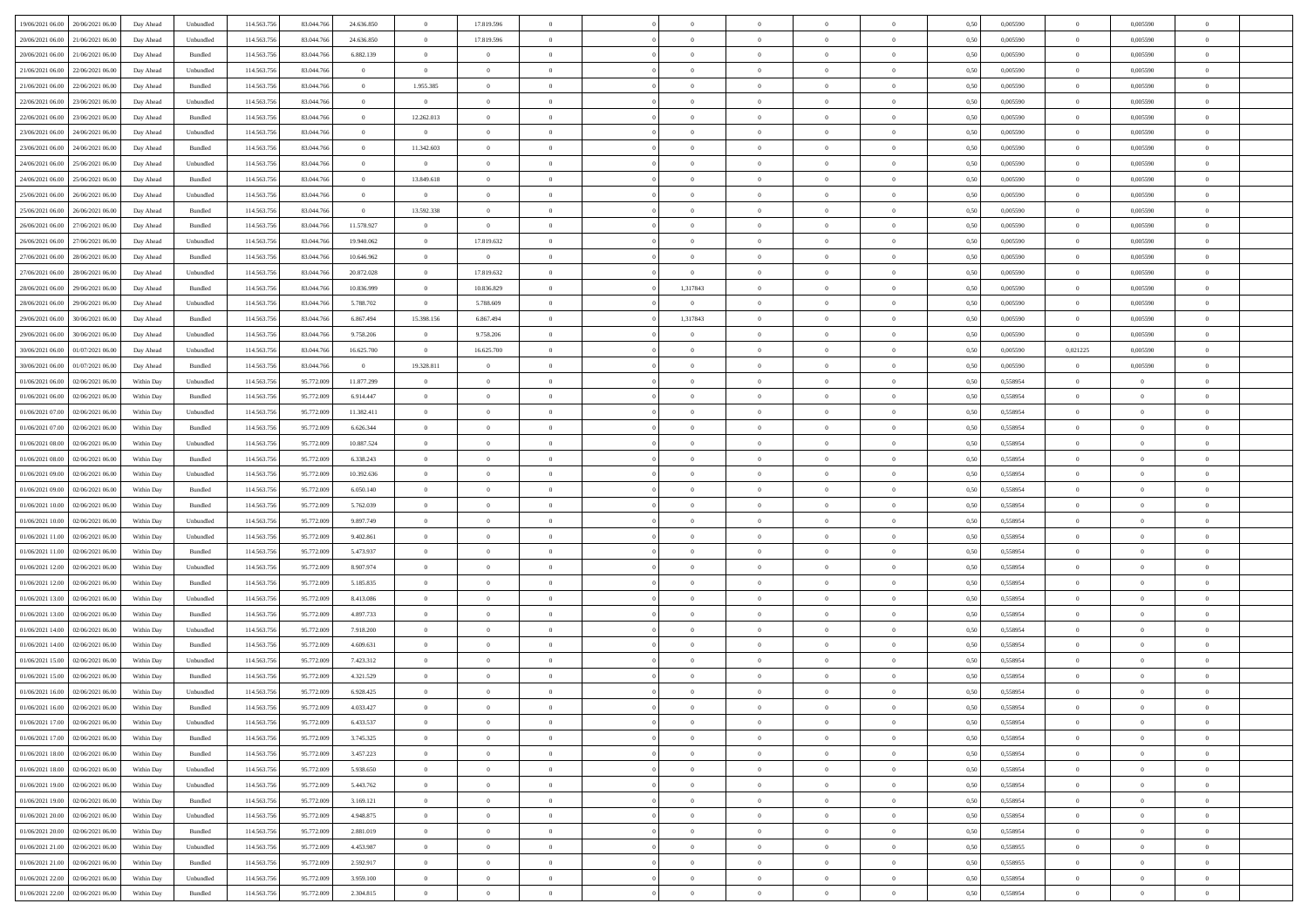| 19/06/2021 06:00<br>20/06/2021 06:00 | Day Ahead  | Unbundled | 114.563.756 | 83.044.766 | 24.636.850     | $\overline{0}$ | 17.819.596     |                |                | $\overline{0}$ | $\theta$       |                | 0,50 | 0,005590 | $\overline{0}$ | 0,005590       |                |  |
|--------------------------------------|------------|-----------|-------------|------------|----------------|----------------|----------------|----------------|----------------|----------------|----------------|----------------|------|----------|----------------|----------------|----------------|--|
|                                      |            |           |             |            |                |                |                |                |                |                |                |                |      |          |                |                |                |  |
| 20/06/2021 06:00<br>21/06/2021 06.0  | Day Ahead  | Unbundled | 114.563.75  | 83.044.76  | 24.636.850     | $\bf{0}$       | 17.819.596     | $\overline{0}$ | $\overline{0}$ | $\overline{0}$ | $\overline{0}$ | $\bf{0}$       | 0,50 | 0,005590 | $\bf{0}$       | 0,005590       | $\Omega$       |  |
| 20/06/2021 06.00<br>21/06/2021 06:00 | Day Ahead  | Bundled   | 114,563,756 | 83,044,766 | 6.882.139      | $\overline{0}$ | $\overline{0}$ | $\overline{0}$ | $\overline{0}$ | $\overline{0}$ | $\overline{0}$ | $\overline{0}$ | 0,50 | 0.005590 | $\overline{0}$ | 0.005590       | $\overline{0}$ |  |
| 21/06/2021 06.00<br>22/06/2021 06:00 | Day Ahead  | Unbundled | 114.563.756 | 83.044.766 | $\overline{0}$ | $\overline{0}$ | $\overline{0}$ | $\overline{0}$ | $\overline{0}$ | $\bf{0}$       | $\overline{0}$ | $\overline{0}$ | 0,50 | 0,005590 | $\overline{0}$ | 0,005590       | $\overline{0}$ |  |
| 21/06/2021 06.00<br>22/06/2021 06.0  | Day Ahead  | Bundled   | 114.563.75  | 83.044.766 | $\bf{0}$       | 1.955.385      | $\overline{0}$ | $\overline{0}$ | $\overline{0}$ | $\overline{0}$ | $\overline{0}$ | $\bf{0}$       | 0,50 | 0,005590 | $\bf{0}$       | 0,005590       | $\Omega$       |  |
| 22/06/2021 06.00<br>23/06/2021 06:00 | Day Ahead  | Unbundled | 114,563,756 | 83,044,766 | $\bf{0}$       | $\overline{0}$ | $\bf{0}$       | $\overline{0}$ | $\overline{0}$ | $\overline{0}$ | $\overline{0}$ | $\overline{0}$ | 0.50 | 0.005590 | $\overline{0}$ | 0.005590       | $\overline{0}$ |  |
|                                      |            |           |             |            |                |                |                | $\overline{0}$ | $\overline{0}$ |                | $\overline{0}$ | $\overline{0}$ |      |          |                |                | $\overline{0}$ |  |
| 22/06/2021 06.00<br>23/06/2021 06:00 | Day Ahead  | Bundled   | 114.563.756 | 83.044.766 | $\bf{0}$       | 12.262.013     | $\bf{0}$       |                |                | $\bf{0}$       |                |                | 0,50 | 0,005590 | $\overline{0}$ | 0,005590       |                |  |
| 23/06/2021 06.00<br>24/06/2021 06.0  | Day Ahead  | Unbundled | 114.563.756 | 83.044.76  | $\bf{0}$       | $\bf{0}$       | $\overline{0}$ | $\overline{0}$ | $\overline{0}$ | $\overline{0}$ | $\overline{0}$ | $\bf{0}$       | 0,50 | 0,005590 | $\bf{0}$       | 0,005590       | $\Omega$       |  |
| 23/06/2021 06.00<br>24/06/2021 06:00 | Day Ahead  | Bundled   | 114,563,756 | 83,044,766 | $\overline{0}$ | 11.342.603     | $\overline{0}$ | $\overline{0}$ | $\overline{0}$ | $\bf{0}$       | $\overline{0}$ | $\overline{0}$ | 0.50 | 0.005590 | $\overline{0}$ | 0.005590       | $\overline{0}$ |  |
| 24/06/2021 06.00<br>25/06/2021 06:00 | Day Ahead  | Unbundled | 114.563.756 | 83.044.766 | $\bf{0}$       | $\overline{0}$ | $\overline{0}$ | $\overline{0}$ | $\overline{0}$ | $\overline{0}$ | $\overline{0}$ | $\overline{0}$ | 0,50 | 0,005590 | $\overline{0}$ | 0,005590       | $\overline{0}$ |  |
| 24/06/2021 06.00<br>25/06/2021 06.0  | Day Ahead  | Bundled   | 114.563.75  | 83.044.766 | $\bf{0}$       | 13.849.618     | $\overline{0}$ | $\overline{0}$ | $\overline{0}$ | $\overline{0}$ | $\overline{0}$ | $\bf{0}$       | 0,50 | 0,005590 | $\bf{0}$       | 0,005590       | $\Omega$       |  |
| 25/06/2021 06.00<br>26/06/2021 06:00 | Day Ahead  | Unbundled | 114,563,756 | 83,044,766 | $\overline{0}$ | $\overline{0}$ | $\bf{0}$       | $\overline{0}$ | $\overline{0}$ | $\bf{0}$       | $\overline{0}$ | $\overline{0}$ | 0.50 | 0.005590 | $\overline{0}$ | 0.005590       | $\overline{0}$ |  |
| 25/06/2021 06:00<br>26/06/2021 06:00 | Day Ahead  | Bundled   | 114.563.756 | 83.044.766 | $\overline{0}$ | 13.592.338     | $\overline{0}$ | $\overline{0}$ | $\overline{0}$ | $\bf{0}$       | $\overline{0}$ | $\overline{0}$ | 0,50 | 0,005590 | $\overline{0}$ | 0,005590       | $\overline{0}$ |  |
|                                      |            |           |             |            |                | $\bf{0}$       | $\bf{0}$       | $\overline{0}$ | $\overline{0}$ | $\overline{0}$ | $\overline{0}$ | $\bf{0}$       |      |          |                |                | $\Omega$       |  |
| 26/06/2021 06.00<br>27/06/2021 06.0  | Day Ahead  | Bundled   | 114.563.75  | 83.044.76  | 11.578.927     |                |                |                |                |                |                |                | 0,50 | 0,005590 | $\bf{0}$       | 0,005590       |                |  |
| 26/06/2021 06.00<br>27/06/2021 06:00 | Day Ahead  | Unbundled | 114,563,756 | 83.044.76  | 19.940.062     | $\overline{0}$ | 17.819.632     | $\overline{0}$ | $\overline{0}$ | $\bf{0}$       | $\overline{0}$ | $\overline{0}$ | 0.50 | 0.005590 | $\overline{0}$ | 0.005590       | $\overline{0}$ |  |
| 27/06/2021 06.00<br>28/06/2021 06:00 | Day Ahead  | Bundled   | 114.563.756 | 83.044.766 | 10.646.962     | $\overline{0}$ | $\overline{0}$ | $\overline{0}$ | $\overline{0}$ | $\overline{0}$ | $\overline{0}$ | $\overline{0}$ | 0,50 | 0,005590 | $\mathbf{0}$   | 0,005590       | $\overline{0}$ |  |
| 27/06/2021 06.00<br>28/06/2021 06.0  | Day Ahead  | Unbundled | 114.563.75  | 83.044.76  | 20.872.028     | $\bf{0}$       | 17.819.632     | $\overline{0}$ | $\overline{0}$ | $\overline{0}$ | $\overline{0}$ | $\bf{0}$       | 0,50 | 0,005590 | $\bf{0}$       | 0,005590       | $\overline{0}$ |  |
| 28/06/2021 06.00<br>29/06/2021 06:00 | Day Ahead  | Bundled   | 114,563,756 | 83.044.76  | 10.836.999     | $\overline{0}$ | 10.836.829     | $\overline{0}$ | 1,317843       | $\,$ 0         | $\overline{0}$ | $\overline{0}$ | 0.50 | 0.005590 | $\overline{0}$ | 0.005590       | $\overline{0}$ |  |
| 28/06/2021 06:00<br>29/06/2021 06.00 | Day Ahead  | Unbundled | 114.563.756 | 83.044.766 | 5.788.702      | $\overline{0}$ | 5.788.609      | $\overline{0}$ | $\overline{0}$ | $\overline{0}$ | $\overline{0}$ | $\overline{0}$ | 0,50 | 0,005590 | $\overline{0}$ | 0,005590       | $\overline{0}$ |  |
| 29/06/2021 06.00<br>30/06/2021 06.00 | Day Ahead  | Bundled   | 114.563.756 | 83.044.76  | 6.867.494      | 15.398.156     | 6.867.494      | $\overline{0}$ | 1,317843       | $\overline{0}$ | $\overline{0}$ | $\bf{0}$       | 0,50 | 0,005590 | $\bf{0}$       | 0,005590       | $\Omega$       |  |
| 30/06/2021 06:00                     |            | Unbundled | 114,563,756 | 83.044.76  | 9.758.206      |                | 9.758.206      | $\overline{0}$ | $\overline{0}$ | $\overline{0}$ |                | $\overline{0}$ | 0.50 | 0.005590 |                | 0.005590       | $\overline{0}$ |  |
| 29/06/2021 06.00                     | Day Ahead  |           |             |            |                | $\overline{0}$ |                |                |                |                | $\overline{0}$ |                |      |          | $\overline{0}$ |                |                |  |
| 30/06/2021 06.00<br>01/07/2021 06:00 | Day Ahead  | Unbundled | 114.563.756 | 83.044.766 | 16.625.700     | $\overline{0}$ | 16.625.700     | $\overline{0}$ | $\overline{0}$ | $\overline{0}$ | $\overline{0}$ | $\overline{0}$ | 0,50 | 0,005590 | 0,021225       | 0,005590       | $\overline{0}$ |  |
| 30/06/2021 06.00<br>01/07/2021 06.00 | Day Ahead  | Bundled   | 114.563.75  | 83.044.766 | $\overline{0}$ | 19.328.811     | $\overline{0}$ | $\overline{0}$ | $\overline{0}$ | $\overline{0}$ | $\overline{0}$ | $\bf{0}$       | 0,50 | 0,005590 | $\bf{0}$       | 0,005590       | $\overline{0}$ |  |
| 01/06/2021 06.00<br>02/06/2021 06:00 | Within Day | Unbundled | 114,563,756 | 95.772.009 | 11.877.299     | $\overline{0}$ | $\overline{0}$ | $\overline{0}$ | $\overline{0}$ | $\bf{0}$       | $\overline{0}$ | $\overline{0}$ | 0.50 | 0.558954 | $\overline{0}$ | $\overline{0}$ | $\overline{0}$ |  |
| 01/06/2021 06.00<br>02/06/2021 06:00 | Within Day | Bundled   | 114.563.756 | 95.772.009 | 6.914.447      | $\overline{0}$ | $\overline{0}$ | $\overline{0}$ | $\overline{0}$ | $\overline{0}$ | $\overline{0}$ | $\overline{0}$ | 0,50 | 0,558954 | $\overline{0}$ | $\overline{0}$ | $\overline{0}$ |  |
| 01/06/2021 07.00<br>02/06/2021 06.0  | Within Day | Unbundled | 114.563.75  | 95.772.009 | 11.382.411     | $\bf{0}$       | $\overline{0}$ | $\overline{0}$ | $\overline{0}$ | $\overline{0}$ | $\overline{0}$ | $\bf{0}$       | 0,50 | 0,558954 | $\bf{0}$       | $\bf{0}$       | $\Omega$       |  |
| 01/06/2021 07.00<br>02/06/2021 06:00 | Within Day | Bundled   | 114,563,756 | 95.772.009 | 6.626.344      | $\overline{0}$ | $\overline{0}$ | $\overline{0}$ | $\overline{0}$ | $\overline{0}$ | $\overline{0}$ | $\overline{0}$ | 0.50 | 0.558954 | $\overline{0}$ | $\overline{0}$ | $\overline{0}$ |  |
| 01/06/2021 08:00<br>02/06/2021 06:00 | Within Day | Unbundled | 114.563.756 | 95.772.009 | 10.887.524     | $\overline{0}$ | $\overline{0}$ | $\overline{0}$ | $\overline{0}$ | $\overline{0}$ | $\overline{0}$ | $\overline{0}$ | 0,50 | 0,558954 | $\overline{0}$ | $\overline{0}$ | $\overline{0}$ |  |
|                                      |            |           |             |            |                |                |                |                |                |                |                |                |      |          |                |                |                |  |
| 01/06/2021 08:00<br>02/06/2021 06.0  | Within Day | Bundled   | 114.563.756 | 95.772.009 | 6.338.243      | $\bf{0}$       | $\overline{0}$ | $\overline{0}$ | $\overline{0}$ | $\overline{0}$ | $\overline{0}$ | $\bf{0}$       | 0,50 | 0,558954 | $\bf{0}$       | $\bf{0}$       | $\Omega$       |  |
| 01/06/2021 09:00<br>02/06/2021 06:00 | Within Day | Unbundled | 114,563,756 | 95.772.009 | 10.392.636     | $\overline{0}$ | $\overline{0}$ | $\overline{0}$ | $\overline{0}$ | $\bf{0}$       | $\overline{0}$ | $\overline{0}$ | 0.50 | 0.558954 | $\overline{0}$ | $\overline{0}$ | $\overline{0}$ |  |
| 01/06/2021 09:00<br>02/06/2021 06:00 | Within Day | Bundled   | 114.563.756 | 95.772.009 | 6.050.140      | $\overline{0}$ | $\overline{0}$ | $\overline{0}$ | $\Omega$       | $\overline{0}$ | $\overline{0}$ | $\overline{0}$ | 0,50 | 0,558954 | $\overline{0}$ | $\overline{0}$ | $\theta$       |  |
| 01/06/2021 10:00<br>02/06/2021 06.0  | Within Day | Bundled   | 114.563.75  | 95.772.009 | 5.762.039      | $\bf{0}$       | $\overline{0}$ | $\overline{0}$ | $\overline{0}$ | $\overline{0}$ | $\overline{0}$ | $\bf{0}$       | 0,50 | 0,558954 | $\bf{0}$       | $\overline{0}$ | $\overline{0}$ |  |
| 01/06/2021 10:00<br>02/06/2021 06:00 | Within Day | Unbundled | 114,563,756 | 95.772.009 | 9.897.749      | $\overline{0}$ | $\bf{0}$       | $\overline{0}$ | $\overline{0}$ | $\overline{0}$ | $\overline{0}$ | $\overline{0}$ | 0.50 | 0,558954 | $\overline{0}$ | $\overline{0}$ | $\overline{0}$ |  |
| 01/06/2021 11:00<br>02/06/2021 06:00 | Within Dav | Unbundled | 114.563.756 | 95.772.009 | 9.402.861      | $\overline{0}$ | $\overline{0}$ | $\Omega$       | $\Omega$       | $\overline{0}$ | $\overline{0}$ | $\overline{0}$ | 0,50 | 0,558954 | $\overline{0}$ | $\overline{0}$ | $\theta$       |  |
| 01/06/2021 11:00<br>02/06/2021 06.0  | Within Day | Bundled   | 114.563.756 | 95.772.009 | 5.473.937      | $\bf{0}$       | $\overline{0}$ | $\overline{0}$ | $\overline{0}$ | $\overline{0}$ | $\overline{0}$ | $\bf{0}$       | 0,50 | 0,558954 | $\bf{0}$       | $\overline{0}$ | $\overline{0}$ |  |
| 01/06/2021 12.00<br>02/06/2021 06:00 | Within Day | Unbundled | 114,563,756 | 95.772.009 | 8.907.974      | $\overline{0}$ | $\overline{0}$ | $\overline{0}$ | $\overline{0}$ | $\overline{0}$ | $\overline{0}$ | $\overline{0}$ | 0.50 | 0.558954 | $\overline{0}$ | $\overline{0}$ | $\overline{0}$ |  |
|                                      |            |           |             |            |                |                |                |                |                |                |                |                |      |          |                |                |                |  |
| 01/06/2021 12:00<br>02/06/2021 06:00 | Within Day | Bundled   | 114.563.756 | 95.772.009 | 5.185.835      | $\overline{0}$ | $\overline{0}$ | $\overline{0}$ | $\Omega$       | $\overline{0}$ | $\overline{0}$ | $\overline{0}$ | 0,50 | 0,558954 | $\overline{0}$ | $\overline{0}$ | $\theta$       |  |
| 01/06/2021 13:00<br>02/06/2021 06.0  | Within Day | Unbundled | 114.563.75  | 95.772.009 | 8.413.086      | $\bf{0}$       | $\overline{0}$ | $\overline{0}$ | $\overline{0}$ | $\overline{0}$ | $\overline{0}$ | $\bf{0}$       | 0,50 | 0,558954 | $\bf{0}$       | $\bf{0}$       | $\overline{0}$ |  |
| 01/06/2021 13:00<br>02/06/2021 06:00 | Within Day | Bundled   | 114,563,756 | 95.772.009 | 4.897.733      | $\overline{0}$ | $\overline{0}$ | $\overline{0}$ | $\overline{0}$ | $\bf{0}$       | $\overline{0}$ | $\overline{0}$ | 0.50 | 0.558954 | $\overline{0}$ | $\overline{0}$ | $\overline{0}$ |  |
| 01/06/2021 14:00<br>02/06/2021 06:00 | Within Dav | Unbundled | 114.563.756 | 95.772.009 | 7.918.200      | $\overline{0}$ | $\overline{0}$ | $\overline{0}$ | $\Omega$       | $\overline{0}$ | $\overline{0}$ | $\overline{0}$ | 0,50 | 0,558954 | $\overline{0}$ | $\overline{0}$ | $\theta$       |  |
| 01/06/2021 14:00<br>02/06/2021 06.0  | Within Day | Bundled   | 114.563.75  | 95.772.009 | 4.609.631      | $\bf{0}$       | $\overline{0}$ | $\overline{0}$ | $\overline{0}$ | $\overline{0}$ | $\overline{0}$ | $\bf{0}$       | 0,50 | 0,558954 | $\bf{0}$       | $\overline{0}$ | $\overline{0}$ |  |
| 01/06/2021 15:00<br>02/06/2021 06:00 | Within Day | Unbundled | 114,563,756 | 95.772.009 | 7.423.312      | $\overline{0}$ | $\overline{0}$ | $\overline{0}$ | $\overline{0}$ | $\overline{0}$ | $\overline{0}$ | $\overline{0}$ | 0.50 | 0.558954 | $\overline{0}$ | $\overline{0}$ | $\overline{0}$ |  |
| 01/06/2021 15:00<br>02/06/2021 06:00 | Within Day | Bundled   | 114.563.756 | 95.772.009 | 4.321.529      | $\overline{0}$ | $\theta$       | $\theta$       | $\Omega$       | $\overline{0}$ | $\overline{0}$ | $\theta$       | 0.50 | 0,558954 | $\overline{0}$ | $\theta$       | $\theta$       |  |
| 01/06/2021 16:00<br>02/06/2021 06.00 | Within Day | Unbundled | 114.563.756 | 95.772.009 | 6.928.425      | $\bf{0}$       | $\overline{0}$ | $\overline{0}$ | $\overline{0}$ | $\overline{0}$ | $\bf{0}$       | $\overline{0}$ | 0,50 | 0,558954 | $\bf{0}$       | $\bf{0}$       | $\overline{0}$ |  |
|                                      |            | Bundled   |             |            | 4.033.427      |                |                |                |                | $\sqrt{ }$     |                |                |      | 0.558954 |                |                |                |  |
| $01/06/2021$ 16.00 02/06/2021 06.00  | Within Day |           | 114.563.756 | 95.772.009 |                | $\bf{0}$       | $\bf{0}$       |                | $\bf{0}$       |                |                |                | 0,50 |          | $\bf{0}$       |                |                |  |
| 01/06/2021 17:00<br>02/06/2021 06:00 | Within Day | Unbundled | 114.563.756 | 95.772.009 | 6.433.537      | $\overline{0}$ | $\overline{0}$ | $\overline{0}$ | $\Omega$       | $\overline{0}$ | $\overline{0}$ | $\theta$       | 0,50 | 0,558954 | $\overline{0}$ | $\overline{0}$ | $\theta$       |  |
| 01/06/2021 17:00<br>02/06/2021 06.00 | Within Day | Bundled   | 114.563.756 | 95.772.009 | 3.745.325      | $\bf{0}$       | $\overline{0}$ | $\overline{0}$ | $\overline{0}$ | $\bf{0}$       | $\overline{0}$ | $\overline{0}$ | 0,50 | 0,558954 | $\overline{0}$ | $\overline{0}$ | $\overline{0}$ |  |
| 02/06/2021 06:00<br>01/06/2021 18.00 | Within Day | Bundled   | 114,563,756 | 95.772.009 | 3.457.223      | $\overline{0}$ | $\overline{0}$ | $\overline{0}$ | $\overline{0}$ | $\bf{0}$       | $\overline{0}$ | $\overline{0}$ | 0.50 | 0.558954 | $\overline{0}$ | $\overline{0}$ | $\overline{0}$ |  |
| 01/06/2021 18:00<br>02/06/2021 06:00 | Within Day | Unbundled | 114.563.756 | 95.772.009 | 5.938.650      | $\overline{0}$ | $\overline{0}$ | $\overline{0}$ | $\Omega$       | $\overline{0}$ | $\overline{0}$ | $\mathbf{0}$   | 0,50 | 0,558954 | $\overline{0}$ | $\overline{0}$ | $\overline{0}$ |  |
| 01/06/2021 19:00<br>02/06/2021 06:00 | Within Day | Unbundled | 114.563.756 | 95.772.009 | 5.443.762      | $\bf{0}$       | $\overline{0}$ | $\overline{0}$ | $\overline{0}$ | $\bf{0}$       | $\overline{0}$ | $\overline{0}$ | 0,50 | 0,558954 | $\bf{0}$       | $\overline{0}$ | $\overline{0}$ |  |
| 01/06/2021 19:00<br>02/06/2021 06:00 | Within Day | Bundled   | 114,563,756 | 95.772.009 | 3.169.121      | $\overline{0}$ | $\overline{0}$ | $\overline{0}$ | $\overline{0}$ | $\overline{0}$ | $\overline{0}$ | $\overline{0}$ | 0.50 | 0.558954 | $\overline{0}$ | $\overline{0}$ | $\overline{0}$ |  |
|                                      |            |           |             |            |                |                |                |                |                |                |                |                |      |          |                |                |                |  |
| 01/06/2021 20:00<br>02/06/2021 06:00 | Within Day | Unbundled | 114.563.756 | 95.772.009 | 4.948.875      | $\overline{0}$ | $\overline{0}$ | $\overline{0}$ | $\overline{0}$ | $\overline{0}$ | $\overline{0}$ | $\overline{0}$ | 0,50 | 0,558954 | $\overline{0}$ | $\overline{0}$ | $\overline{0}$ |  |
| 01/06/2021 20:00<br>02/06/2021 06.00 | Within Day | Bundled   | 114.563.756 | 95.772.009 | 2.881.019      | $\bf{0}$       | $\overline{0}$ | $\overline{0}$ | $\overline{0}$ | $\bf{0}$       | $\overline{0}$ | $\overline{0}$ | 0,50 | 0,558954 | $\mathbf{0}$   | $\overline{0}$ | $\overline{0}$ |  |
| 02/06/2021 06:00<br>01/06/2021 21.00 | Within Day | Unbundled | 114,563,756 | 95.772.009 | 4.453.987      | $\overline{0}$ | $\overline{0}$ | $\overline{0}$ | $\overline{0}$ | $\bf{0}$       | $\overline{0}$ | $\overline{0}$ | 0.50 | 0.558955 | $\overline{0}$ | $\overline{0}$ | $\overline{0}$ |  |
| 02/06/2021 06:00<br>01/06/2021 21:00 | Within Dav | Bundled   | 114.563.756 | 95.772.009 | 2.592.917      | $\overline{0}$ | $\overline{0}$ | $\overline{0}$ | $\Omega$       | $\overline{0}$ | $\overline{0}$ | $\overline{0}$ | 0,50 | 0,558955 | $\overline{0}$ | $\overline{0}$ | $\theta$       |  |
| 01/06/2021 22.00<br>02/06/2021 06.0  | Within Day | Unbundled | 114.563.756 | 95.772.009 | 3.959.100      | $\bf{0}$       | $\overline{0}$ | $\overline{0}$ | $\overline{0}$ | $\bf{0}$       | $\overline{0}$ | $\mathbf{0}$   | 0,50 | 0,558954 | $\bf{0}$       | $\overline{0}$ | $\overline{0}$ |  |
| 01/06/2021 22:00 02/06/2021 06:00    | Within Day | Bundled   | 114.563.756 | 95.772.009 | 2.304.815      | $\overline{0}$ | $\bf{0}$       | $\overline{0}$ | $\overline{0}$ | $\,$ 0         | $\overline{0}$ | $\overline{0}$ | 0,50 | 0,558954 | $\bf{0}$       | $\overline{0}$ | $\overline{0}$ |  |
|                                      |            |           |             |            |                |                |                |                |                |                |                |                |      |          |                |                |                |  |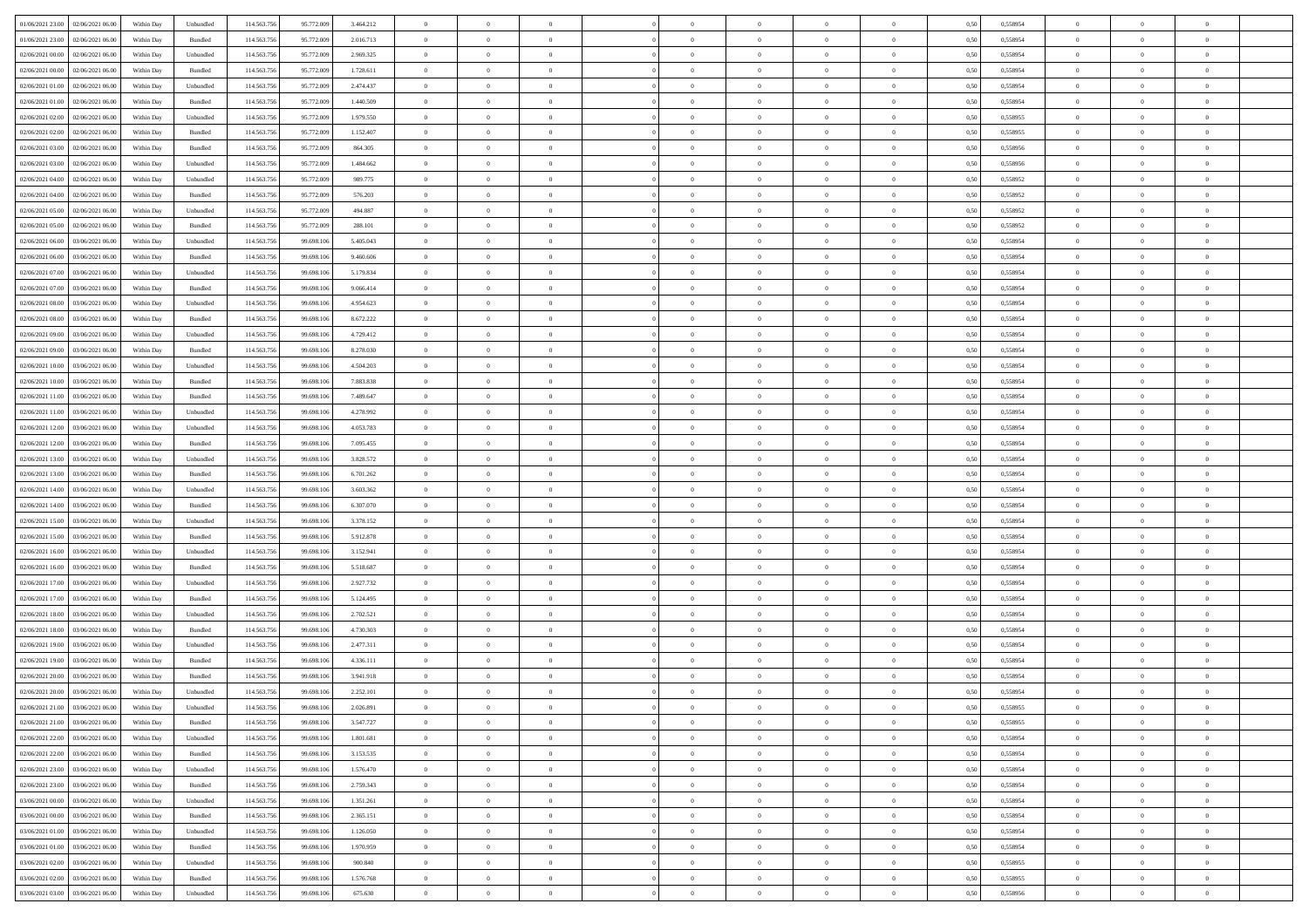| 01/06/2021 23:00 02/06/2021 06:00                       | Within Day | Unbundled                   | 114.563.75  | 95.772.009 | 3.464.212 | $\overline{0}$ | $\overline{0}$ |                | $\overline{0}$ | $\theta$       |                | $\theta$       | 0,50 | 0,558954 | $\theta$       | $\theta$       | $\overline{0}$ |  |
|---------------------------------------------------------|------------|-----------------------------|-------------|------------|-----------|----------------|----------------|----------------|----------------|----------------|----------------|----------------|------|----------|----------------|----------------|----------------|--|
| 01/06/2021 23:00<br>02/06/2021 06.00                    | Within Day | Bundled                     | 114.563.75  | 95.772.009 | 2.016.713 | $\bf{0}$       | $\bf{0}$       | $\bf{0}$       | $\overline{0}$ | $\overline{0}$ | $\overline{0}$ | $\bf{0}$       | 0,50 | 0,558954 | $\,$ 0 $\,$    | $\bf{0}$       | $\overline{0}$ |  |
| $02/06/2021\ 00.00$<br>02/06/2021 06:00                 | Within Day | Unbundled                   | 114,563,75  | 95.772.009 | 2.969.325 | $\overline{0}$ | $\bf{0}$       | $\overline{0}$ | $\bf{0}$       | $\bf{0}$       | $\overline{0}$ | $\bf{0}$       | 0.50 | 0.558954 | $\bf{0}$       | $\overline{0}$ | $\overline{0}$ |  |
| 02/06/2021 00:00<br>02/06/2021 06:00                    | Within Day | Bundled                     | 114.563.75  | 95.772.009 | 1.728.611 | $\overline{0}$ | $\overline{0}$ | $\overline{0}$ | $\theta$       | $\theta$       | $\overline{0}$ | $\bf{0}$       | 0,50 | 0,558954 | $\theta$       | $\theta$       | $\overline{0}$ |  |
| 02/06/2021 01:00<br>02/06/2021 06.00                    | Within Day | Unbundled                   | 114.563.75  | 95.772.009 | 2.474.437 | $\bf{0}$       | $\overline{0}$ | $\bf{0}$       | $\overline{0}$ | $\theta$       | $\overline{0}$ | $\bf{0}$       | 0,50 | 0,558954 | $\,$ 0 $\,$    | $\bf{0}$       | $\overline{0}$ |  |
|                                                         |            |                             |             |            |           |                |                |                |                |                |                |                |      |          |                |                |                |  |
| 02/06/2021 01:00<br>02/06/2021 06:00                    | Within Day | Bundled                     | 114,563,75  | 95.772.009 | 1.440.509 | $\overline{0}$ | $\overline{0}$ | $\overline{0}$ | $\bf{0}$       | $\overline{0}$ | $\theta$       | $\bf{0}$       | 0.50 | 0.558954 | $\,$ 0 $\,$    | $\theta$       | $\overline{0}$ |  |
| 02/06/2021 02:00<br>02/06/2021 06.00                    | Within Day | Unbundled                   | 114.563.75  | 95.772.009 | 1.979.550 | $\overline{0}$ | $\overline{0}$ | $\overline{0}$ | $\overline{0}$ | $\overline{0}$ | $\overline{0}$ | $\bf{0}$       | 0,50 | 0,558955 | $\,$ 0 $\,$    | $\theta$       | $\overline{0}$ |  |
| 02/06/2021 02:00<br>02/06/2021 06.00                    | Within Day | Bundled                     | 114.563.75  | 95.772.009 | 1.152.407 | $\bf{0}$       | $\bf{0}$       | $\bf{0}$       | $\overline{0}$ | $\bf{0}$       | $\overline{0}$ | $\bf{0}$       | 0,50 | 0,558955 | $\,$ 0 $\,$    | $\bf{0}$       | $\overline{0}$ |  |
| 02/06/2021 03:00<br>02/06/2021 06:00                    | Within Day | Bundled                     | 114,563,75  | 95.772.009 | 864,305   | $\overline{0}$ | $\bf{0}$       | $\overline{0}$ | $\bf{0}$       | $\overline{0}$ | $\overline{0}$ | $\bf{0}$       | 0.50 | 0.558956 | $\bf{0}$       | $\overline{0}$ | $\overline{0}$ |  |
| 02/06/2021 03:00<br>02/06/2021 06:00                    | Within Day | Unbundled                   | 114.563.756 | 95.772.009 | 1.484.662 | $\bf{0}$       | $\bf{0}$       | $\overline{0}$ | $\overline{0}$ | $\overline{0}$ | $\overline{0}$ | $\bf{0}$       | 0,50 | 0,558956 | $\,$ 0 $\,$    | $\bf{0}$       | $\overline{0}$ |  |
| 02/06/2021 04:00<br>02/06/2021 06.00                    | Within Day | Unbundled                   | 114.563.75  | 95.772.009 | 989.775   | $\bf{0}$       | $\overline{0}$ | $\bf{0}$       | $\bf{0}$       | $\bf{0}$       | $\overline{0}$ | $\bf{0}$       | 0,50 | 0,558952 | $\,$ 0 $\,$    | $\bf{0}$       | $\overline{0}$ |  |
| 02/06/2021 04:00<br>02/06/2021 06:00                    | Within Day | Bundled                     | 114,563,75  | 95.772.009 | 576,203   | $\overline{0}$ | $\bf{0}$       | $\overline{0}$ | $\overline{0}$ | $\bf{0}$       | $\overline{0}$ | $\bf{0}$       | 0.50 | 0.558952 | $\bf{0}$       | $\overline{0}$ | $\overline{0}$ |  |
|                                                         |            |                             |             |            |           | $\overline{0}$ | $\overline{0}$ | $\overline{0}$ | $\theta$       | $\theta$       | $\overline{0}$ |                |      |          | $\,$ 0 $\,$    | $\theta$       | $\overline{0}$ |  |
| 02/06/2021 05:00<br>02/06/2021 06:00                    | Within Day | Unbundled                   | 114.563.75  | 95.772.009 | 494.887   |                |                |                |                |                |                | $\bf{0}$       | 0,50 | 0,558952 |                |                |                |  |
| 02/06/2021 05:00<br>02/06/2021 06.00                    | Within Day | Bundled                     | 114.563.75  | 95.772.009 | 288.101   | $\bf{0}$       | $\overline{0}$ | $\bf{0}$       | $\overline{0}$ | $\theta$       | $\overline{0}$ | $\bf{0}$       | 0,50 | 0,558952 | $\,$ 0 $\,$    | $\bf{0}$       | $\overline{0}$ |  |
| 02/06/2021 06:00<br>03/06/2021 06:00                    | Within Day | Unbundled                   | 114,563,75  | 99.698.106 | 5.405.043 | $\overline{0}$ | $\overline{0}$ | $\overline{0}$ | $\bf{0}$       | $\overline{0}$ | $\Omega$       | $\bf{0}$       | 0.50 | 0.558954 | $\,$ 0 $\,$    | $\theta$       | $\overline{0}$ |  |
| 02/06/2021 06:00<br>03/06/2021 06:00                    | Within Day | Bundled                     | 114.563.75  | 99.698.106 | 9.460.606 | $\overline{0}$ | $\overline{0}$ | $\overline{0}$ | $\overline{0}$ | $\overline{0}$ | $\overline{0}$ | $\bf{0}$       | 0,50 | 0,558954 | $\theta$       | $\theta$       | $\overline{0}$ |  |
| 02/06/2021 07:00<br>03/06/2021 06.00                    | Within Day | Unbundled                   | 114.563.75  | 99.698.10  | 5.179.834 | $\bf{0}$       | $\overline{0}$ | $\bf{0}$       | $\overline{0}$ | $\theta$       | $\overline{0}$ | $\bf{0}$       | 0,50 | 0,558954 | $\,$ 0 $\,$    | $\bf{0}$       | $\overline{0}$ |  |
| 02/06/2021 07:00<br>03/06/2021 06:00                    | Within Day | Bundled                     | 114,563,75  | 99.698.106 | 9.066.414 | $\overline{0}$ | $\bf{0}$       | $\overline{0}$ | $\bf{0}$       | $\overline{0}$ | $\overline{0}$ | $\bf{0}$       | 0.50 | 0.558954 | $\bf{0}$       | $\overline{0}$ | $\overline{0}$ |  |
| 02/06/2021 08:00<br>03/06/2021 06:00                    | Within Day | Unbundled                   | 114.563.75  | 99.698.106 | 4.954.623 | $\overline{0}$ | $\bf{0}$       | $\overline{0}$ | $\overline{0}$ | $\overline{0}$ | $\overline{0}$ | $\bf{0}$       | 0,50 | 0,558954 | $\,$ 0 $\,$    | $\bf{0}$       | $\overline{0}$ |  |
| 03/06/2021 06.00                                        | Within Day | Bundled                     | 114.563.75  | 99.698.10  | 8.672.222 | $\bf{0}$       | $\bf{0}$       | $\bf{0}$       | $\bf{0}$       | $\overline{0}$ | $\overline{0}$ | $\bf{0}$       | 0,50 | 0,558954 | $\,$ 0 $\,$    | $\bf{0}$       | $\overline{0}$ |  |
| 02/06/2021 08:00                                        |            |                             |             |            |           |                |                |                |                |                |                |                |      |          |                |                |                |  |
| 02/06/2021 09:00<br>03/06/2021 06:00                    | Within Day | Unbundled                   | 114,563,75  | 99.698.106 | 4.729.412 | $\overline{0}$ | $\bf{0}$       | $\overline{0}$ | $\overline{0}$ | $\bf{0}$       | $\overline{0}$ | $\bf{0}$       | 0.50 | 0.558954 | $\bf{0}$       | $\overline{0}$ | $\overline{0}$ |  |
| 02/06/2021 09:00<br>03/06/2021 06:00                    | Within Day | Bundled                     | 114.563.75  | 99.698.106 | 8.278.030 | $\overline{0}$ | $\overline{0}$ | $\overline{0}$ | $\theta$       | $\theta$       | $\overline{0}$ | $\bf{0}$       | 0,50 | 0,558954 | $\theta$       | $\theta$       | $\overline{0}$ |  |
| 02/06/2021 10:00<br>03/06/2021 06.00                    | Within Day | Unbundled                   | 114.563.75  | 99.698.10  | 4.504.203 | $\bf{0}$       | $\overline{0}$ | $\bf{0}$       | $\bf{0}$       | $\,$ 0 $\,$    | $\overline{0}$ | $\bf{0}$       | 0,50 | 0,558954 | $\,$ 0 $\,$    | $\bf{0}$       | $\overline{0}$ |  |
| 02/06/2021 10:00<br>03/06/2021 06:00                    | Within Day | Bundled                     | 114,563,75  | 99.698.10  | 7.883.838 | $\overline{0}$ | $\overline{0}$ | $\overline{0}$ | $\bf{0}$       | $\overline{0}$ | $\Omega$       | $\bf{0}$       | 0.50 | 0.558954 | $\,$ 0 $\,$    | $\theta$       | $\overline{0}$ |  |
| 02/06/2021 11:00<br>03/06/2021 06:00                    | Within Day | Bundled                     | 114.563.75  | 99.698.106 | 7.489.647 | $\overline{0}$ | $\overline{0}$ | $\overline{0}$ | $\overline{0}$ | $\overline{0}$ | $\overline{0}$ | $\bf{0}$       | 0,50 | 0,558954 | $\,$ 0 $\,$    | $\theta$       | $\overline{0}$ |  |
| 02/06/2021 11:00<br>03/06/2021 06.00                    | Within Day | Unbundled                   | 114.563.75  | 99.698.10  | 4.278.992 | $\bf{0}$       | $\overline{0}$ | $\bf{0}$       | $\overline{0}$ | $\theta$       | $\overline{0}$ | $\bf{0}$       | 0,50 | 0,558954 | $\,$ 0 $\,$    | $\bf{0}$       | $\overline{0}$ |  |
| 02/06/2021 12:00<br>03/06/2021 06:00                    | Within Day | Unbundled                   | 114,563,75  | 99.698.10  | 4.053.783 | $\overline{0}$ | $\bf{0}$       | $\overline{0}$ | $\bf{0}$       | $\overline{0}$ | $\overline{0}$ | $\bf{0}$       | 0.50 | 0.558954 | $\bf{0}$       | $\overline{0}$ | $\overline{0}$ |  |
| 02/06/2021 12:00<br>03/06/2021 06:00                    |            |                             | 114.563.75  |            |           | $\overline{0}$ | $\bf{0}$       | $\overline{0}$ | $\overline{0}$ | $\overline{0}$ | $\overline{0}$ |                |      |          | $\theta$       | $\theta$       | $\overline{0}$ |  |
|                                                         | Within Day | Bundled                     |             | 99.698.106 | 7.095.455 |                |                |                |                |                |                | $\bf{0}$       | 0,50 | 0,558954 |                |                |                |  |
| 02/06/2021 13:00<br>03/06/2021 06.00                    | Within Day | Unbundled                   | 114.563.75  | 99.698.10  | 3.828.572 | $\bf{0}$       | $\bf{0}$       | $\bf{0}$       | $\bf{0}$       | $\overline{0}$ | $\overline{0}$ | $\bf{0}$       | 0,50 | 0,558954 | $\,$ 0 $\,$    | $\bf{0}$       | $\overline{0}$ |  |
| 02/06/2021 13:00<br>03/06/2021 06:00                    | Within Day | Bundled                     | 114,563,75  | 99.698.106 | 6.701.262 | $\overline{0}$ | $\bf{0}$       | $\overline{0}$ | $\bf{0}$       | $\bf{0}$       | $\overline{0}$ | $\bf{0}$       | 0.50 | 0.558954 | $\bf{0}$       | $\overline{0}$ | $\overline{0}$ |  |
| 02/06/2021 14:00<br>03/06/2021 06:00                    | Within Day | Unbundled                   | 114.563.75  | 99.698.106 | 3.603.362 | $\overline{0}$ | $\overline{0}$ | $\overline{0}$ | $\overline{0}$ | $\overline{0}$ | $\overline{0}$ | $\bf{0}$       | 0.50 | 0,558954 | $\theta$       | $\theta$       | $\overline{0}$ |  |
| 02/06/2021 14:00<br>03/06/2021 06.00                    | Within Day | Bundled                     | 114.563.75  | 99.698.10  | 6.307.070 | $\bf{0}$       | $\overline{0}$ | $\bf{0}$       | $\bf{0}$       | $\overline{0}$ | $\overline{0}$ | $\bf{0}$       | 0,50 | 0,558954 | $\,$ 0 $\,$    | $\bf{0}$       | $\overline{0}$ |  |
| 02/06/2021 15:00<br>03/06/2021 06:00                    | Within Day | Unbundled                   | 114,563,75  | 99.698.106 | 3.378.152 | $\overline{0}$ | $\bf{0}$       | $\overline{0}$ | $\bf{0}$       | $\overline{0}$ | $\Omega$       | $\bf{0}$       | 0.50 | 0.558954 | $\,$ 0 $\,$    | $\theta$       | $\overline{0}$ |  |
| 02/06/2021 15:00<br>03/06/2021 06:00                    | Within Dav | Bundled                     | 114.563.75  | 99.698.106 | 5.912.878 | $\overline{0}$ | $\overline{0}$ | $\overline{0}$ | $\overline{0}$ | $\theta$       | $\overline{0}$ | $\bf{0}$       | 0.50 | 0,558954 | $\theta$       | $\theta$       | $\overline{0}$ |  |
| 02/06/2021 16:00<br>03/06/2021 06.00                    | Within Day | Unbundled                   | 114.563.75  | 99.698.10  | 3.152.941 | $\bf{0}$       | $\bf{0}$       | $\bf{0}$       | $\overline{0}$ | $\bf{0}$       | $\overline{0}$ | $\bf{0}$       | 0,50 | 0,558954 | $\,$ 0 $\,$    | $\bf{0}$       | $\overline{0}$ |  |
| 02/06/2021 16:00<br>03/06/2021 06:00                    | Within Day | Bundled                     | 114,563,75  | 99.698.10  | 5.518.687 | $\overline{0}$ | $\bf{0}$       | $\overline{0}$ | $\bf{0}$       | $\overline{0}$ | $\overline{0}$ | $\bf{0}$       | 0.50 | 0.558954 | $\bf{0}$       | $\overline{0}$ | $\overline{0}$ |  |
|                                                         |            |                             |             |            |           |                |                |                |                |                |                |                |      |          |                |                |                |  |
| 02/06/2021 17:00<br>03/06/2021 06:00                    | Within Dav | Unbundled                   | 114.563.75  | 99.698.10  | 2.927.732 | $\overline{0}$ | $\overline{0}$ | $\overline{0}$ | $\overline{0}$ | $\overline{0}$ | $\overline{0}$ | $\bf{0}$       | 0.50 | 0,558954 | $\theta$       | $\theta$       | $\overline{0}$ |  |
| 02/06/2021 17:00<br>03/06/2021 06.00                    | Within Day | Bundled                     | 114.563.75  | 99.698.10  | 5.124.495 | $\bf{0}$       | $\bf{0}$       | $\bf{0}$       | $\bf{0}$       | $\overline{0}$ | $\overline{0}$ | $\bf{0}$       | 0,50 | 0,558954 | $\,$ 0 $\,$    | $\bf{0}$       | $\overline{0}$ |  |
| 02/06/2021 18:00<br>03/06/2021 06:00                    | Within Day | Unbundled                   | 114.563.75  | 99.698.106 | 2.702.521 | $\overline{0}$ | $\bf{0}$       | $\overline{0}$ | $\overline{0}$ | $\bf{0}$       | $\overline{0}$ | $\bf{0}$       | 0.50 | 0.558954 | $\bf{0}$       | $\overline{0}$ | $\overline{0}$ |  |
| 02/06/2021 18:00<br>03/06/2021 06:00                    | Within Dav | Bundled                     | 114.563.75  | 99.698.106 | 4.730.303 | $\overline{0}$ | $\overline{0}$ | $\overline{0}$ | $\overline{0}$ | $\theta$       | $\overline{0}$ | $\bf{0}$       | 0.50 | 0,558954 | $\theta$       | $\theta$       | $\overline{0}$ |  |
| 02/06/2021 19:00<br>03/06/2021 06.00                    | Within Day | Unbundled                   | 114.563.75  | 99.698.10  | 2.477.311 | $\bf{0}$       | $\bf{0}$       | $\bf{0}$       | $\bf{0}$       | $\overline{0}$ | $\overline{0}$ | $\bf{0}$       | 0,50 | 0,558954 | $\,$ 0 $\,$    | $\bf{0}$       | $\overline{0}$ |  |
| 02/06/2021 19:00<br>03/06/2021 06:00                    | Within Day | Bundled                     | 114,563,75  | 99.698.10  | 4.336.111 | $\overline{0}$ | $\overline{0}$ | $\overline{0}$ | $\bf{0}$       | $\theta$       | $\Omega$       | $\bf{0}$       | 0.50 | 0.558954 | $\bf{0}$       | $\theta$       | $\overline{0}$ |  |
| 02/06/2021 20:00<br>03/06/2021 06:00                    | Within Dav | Bundled                     | 114.563.75  | 99.698.10  | 3.941.918 | $\overline{0}$ | $\overline{0}$ | $\Omega$       | $\overline{0}$ | $\theta$       | $\Omega$       | $\overline{0}$ | 0.5( | 0,558954 | $\theta$       | $\theta$       | $\overline{0}$ |  |
| 02/06/2021 20:00<br>03/06/2021 06:00                    | Within Day | Unbundled                   | 114.563.75  | 99.698.10  | 2.252.101 | $\bf{0}$       | $\bf{0}$       | $\bf{0}$       | $\bf{0}$       | $\bf{0}$       | $\overline{0}$ | $\bf{0}$       | 0,50 | 0,558954 | $\,$ 0 $\,$    | $\bf{0}$       | $\overline{0}$ |  |
| $02/06/2021\,\, 21.00 \quad \  \  03/06/2021\,\, 06.00$ | Within Day | $\ensuremath{\mathsf{Unb}}$ | 114.563.756 | 99.698.106 | 2.026.891 | $\overline{0}$ | $\theta$       |                | $\Omega$       |                |                |                | 0,50 | 0.558955 | $\theta$       | $\overline{0}$ |                |  |
|                                                         |            |                             |             |            |           |                |                |                |                |                |                |                |      |          |                |                |                |  |
| 02/06/2021 21:00 03/06/2021 06:00                       | Within Day | Bundled                     | 114.563.756 | 99.698.106 | 3.547.727 | $\overline{0}$ | $\overline{0}$ | $\overline{0}$ | $\theta$       | $\overline{0}$ | $\overline{0}$ | $\bf{0}$       | 0,50 | 0,558955 | $\theta$       | $\overline{0}$ | $\overline{0}$ |  |
| 02/06/2021 22:00<br>03/06/2021 06:00                    | Within Day | Unbundled                   | 114.563.75  | 99.698.10  | 1.801.681 | $\overline{0}$ | $\bf{0}$       | $\overline{0}$ | $\overline{0}$ | $\bf{0}$       | $\overline{0}$ | $\bf{0}$       | 0,50 | 0,558954 | $\bf{0}$       | $\overline{0}$ | $\bf{0}$       |  |
| 02/06/2021 22:00 03/06/2021 06:00                       | Within Day | Bundled                     | 114,563,756 | 99.698.106 | 3.153.535 | $\overline{0}$ | $\bf{0}$       | $\overline{0}$ | $\overline{0}$ | $\mathbf{0}$   | $\overline{0}$ | $\,$ 0 $\,$    | 0.50 | 0.558954 | $\overline{0}$ | $\bf{0}$       | $\,$ 0 $\,$    |  |
| 02/06/2021 23:00 03/06/2021 06:00                       | Within Day | Unbundled                   | 114.563.756 | 99.698.106 | 1.576.470 | $\overline{0}$ | $\overline{0}$ | $\overline{0}$ | $\overline{0}$ | $\overline{0}$ | $\overline{0}$ | $\bf{0}$       | 0,50 | 0,558954 | $\theta$       | $\theta$       | $\overline{0}$ |  |
| 02/06/2021 23:00<br>03/06/2021 06:00                    | Within Day | Bundled                     | 114.563.75  | 99.698.106 | 2.759.343 | $\overline{0}$ | $\bf{0}$       | $\overline{0}$ | $\overline{0}$ | $\bf{0}$       | $\overline{0}$ | $\bf{0}$       | 0,50 | 0,558954 | $\bf{0}$       | $\overline{0}$ | $\overline{0}$ |  |
| 03/06/2021 06:00<br>03/06/2021 00:00                    | Within Day | Unbundled                   | 114.563.756 | 99,698,106 | 1.351.261 | $\overline{0}$ | $\bf{0}$       | $\overline{0}$ | $\overline{0}$ | $\overline{0}$ | $\overline{0}$ | $\bf{0}$       | 0.50 | 0.558954 | $\,$ 0 $\,$    | $\overline{0}$ | $\,$ 0         |  |
| 03/06/2021 00:00<br>03/06/2021 06:00                    | Within Dav | Bundled                     | 114.563.756 | 99.698.106 | 2.365.151 | $\overline{0}$ | $\overline{0}$ | $\overline{0}$ | $\overline{0}$ | $\overline{0}$ | $\overline{0}$ | $\bf{0}$       | 0.50 | 0,558954 | $\overline{0}$ | $\theta$       | $\overline{0}$ |  |
|                                                         |            |                             |             |            |           |                |                |                |                |                |                |                |      |          |                |                |                |  |
| 03/06/2021 01:00<br>03/06/2021 06:00                    | Within Day | Unbundled                   | 114.563.75  | 99.698.106 | 1.126.050 | $\overline{0}$ | $\overline{0}$ | $\overline{0}$ | $\overline{0}$ | $\overline{0}$ | $\overline{0}$ | $\bf{0}$       | 0,50 | 0,558954 | $\bf{0}$       | $\overline{0}$ | $\overline{0}$ |  |
| 03/06/2021 01:00 03/06/2021 06:00                       | Within Day | Bundled                     | 114,563,756 | 99,698,106 | 1.970.959 | $\overline{0}$ | $\overline{0}$ | $\overline{0}$ | $\overline{0}$ | $\overline{0}$ | $\overline{0}$ | $\bf{0}$       | 0.50 | 0.558954 | $\mathbf{0}$   | $\bf{0}$       | $\,$ 0         |  |
| 03/06/2021 02:00 03/06/2021 06:00                       | Within Dav | Unbundled                   | 114.563.756 | 99.698.106 | 900,840   | $\overline{0}$ | $\overline{0}$ | $\overline{0}$ | $\overline{0}$ | $\overline{0}$ | $\overline{0}$ | $\bf{0}$       | 0,50 | 0,558955 | $\overline{0}$ | $\theta$       | $\overline{0}$ |  |
| 03/06/2021 02:00<br>03/06/2021 06:00                    | Within Day | Bundled                     | 114.563.75  | 99.698.106 | 1.576.768 | $\overline{0}$ | $\bf{0}$       | $\overline{0}$ | $\overline{0}$ | $\overline{0}$ | $\overline{0}$ | $\bf{0}$       | 0,50 | 0,558955 | $\bf{0}$       | $\,$ 0 $\,$    | $\bf{0}$       |  |
| 03/06/2021 03:00 03/06/2021 06:00                       | Within Day | Unbundled                   | 114.563.756 | 99.698.106 | 675.630   | $\,$ 0 $\,$    | $\bf{0}$       | $\overline{0}$ | $\overline{0}$ | $\,$ 0 $\,$    | $\overline{0}$ | $\bf{0}$       | 0,50 | 0,558956 | $\overline{0}$ | $\,$ 0 $\,$    | $\,$ 0 $\,$    |  |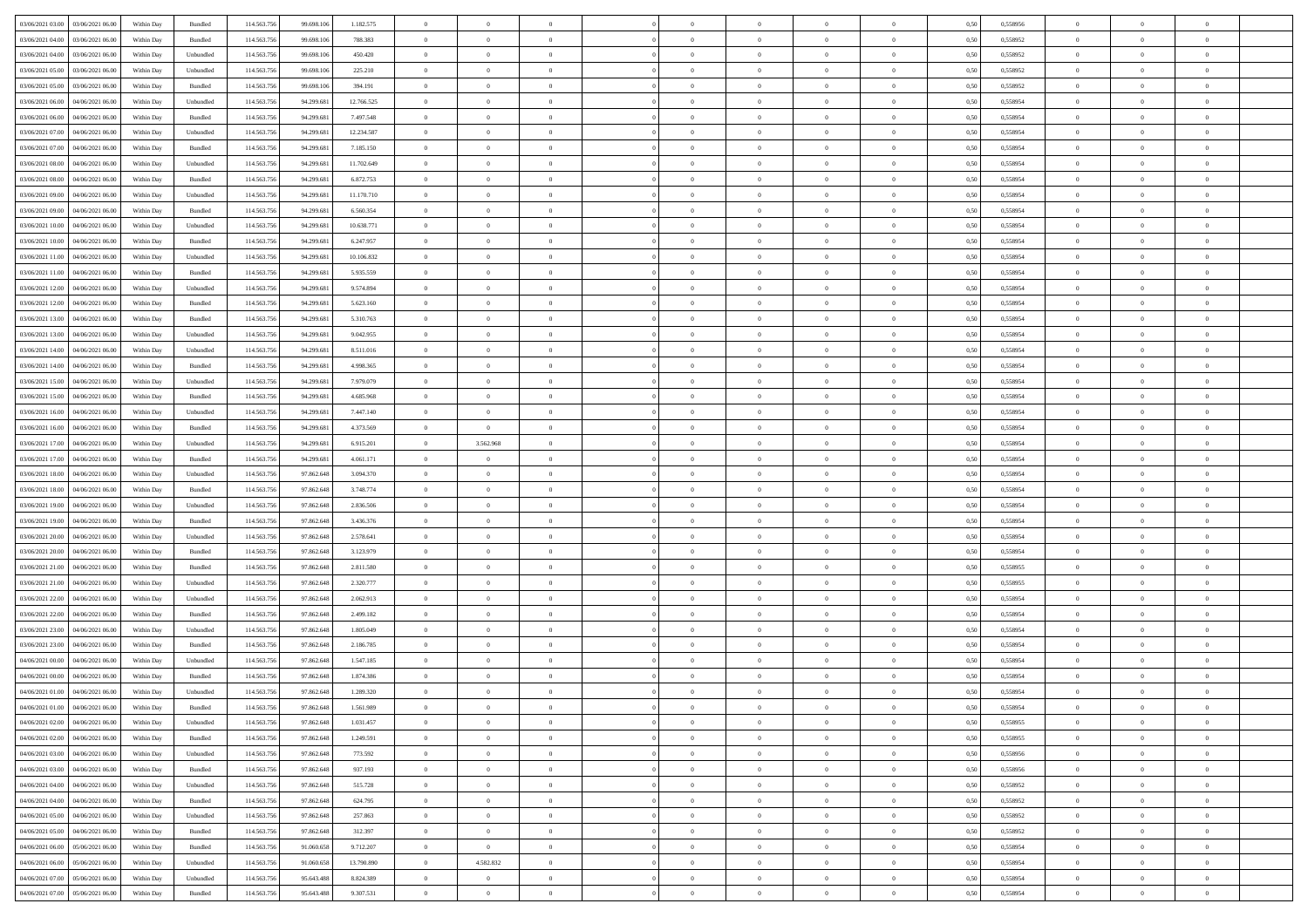| 03/06/2021 03:00 03/06/2021 06:00              | Within Day | Bundled   | 114.563.75  | 99.698.106 | 1.182.575  | $\overline{0}$ | $\theta$       |                | $\overline{0}$ | $\bf{0}$       |                | $\bf{0}$       | 0,50 | 0,558956 | $\theta$       | $\theta$       | $\overline{0}$ |  |
|------------------------------------------------|------------|-----------|-------------|------------|------------|----------------|----------------|----------------|----------------|----------------|----------------|----------------|------|----------|----------------|----------------|----------------|--|
| 03/06/2021 04:00<br>03/06/2021 06:00           | Within Day | Bundled   | 114.563.75  | 99.698.10  | 788.383    | $\bf{0}$       | $\bf{0}$       | $\bf{0}$       | $\overline{0}$ | $\overline{0}$ | $\overline{0}$ | $\bf{0}$       | 0,50 | 0,558952 | $\,$ 0 $\,$    | $\bf{0}$       | $\overline{0}$ |  |
| $03/06/2021\ 04.00$<br>03/06/2021 06:00        | Within Day | Unbundled | 114,563,75  | 99.698.106 | 450.420    | $\overline{0}$ | $\bf{0}$       | $\overline{0}$ | $\bf{0}$       | $\bf{0}$       | $\overline{0}$ | $\bf{0}$       | 0.50 | 0.558952 | $\bf{0}$       | $\overline{0}$ | $\overline{0}$ |  |
| 03/06/2021 05:00<br>03/06/2021 06:00           | Within Day | Unbundled | 114.563.75  | 99.698.106 | 225.210    | $\overline{0}$ | $\overline{0}$ | $\overline{0}$ | $\theta$       | $\theta$       | $\overline{0}$ | $\bf{0}$       | 0,50 | 0,558952 | $\theta$       | $\theta$       | $\overline{0}$ |  |
| 03/06/2021 05:00<br>03/06/2021 06.00           | Within Day | Bundled   | 114.563.75  | 99.698.10  | 394.191    | $\bf{0}$       | $\overline{0}$ | $\bf{0}$       | $\overline{0}$ | $\theta$       | $\overline{0}$ | $\bf{0}$       | 0,50 | 0,558952 | $\,$ 0 $\,$    | $\bf{0}$       | $\overline{0}$ |  |
|                                                |            |           |             |            |            |                |                |                |                |                | $\theta$       |                |      |          |                |                |                |  |
| $03/06/2021\ 06.00$<br>04/06/2021 06:00        | Within Day | Unbundled | 114,563,75  | 94.299.68  | 12.766.525 | $\overline{0}$ | $\overline{0}$ | $\overline{0}$ | $\bf{0}$       | $\overline{0}$ |                | $\bf{0}$       | 0.50 | 0.558954 | $\,$ 0 $\,$    | $\theta$       | $\overline{0}$ |  |
| 03/06/2021 06:00<br>04/06/2021 06.00           | Within Day | Bundled   | 114.563.75  | 94.299.681 | 7.497.548  | $\overline{0}$ | $\overline{0}$ | $\overline{0}$ | $\overline{0}$ | $\overline{0}$ | $\overline{0}$ | $\bf{0}$       | 0,50 | 0,558954 | $\theta$       | $\theta$       | $\overline{0}$ |  |
| 03/06/2021 07:00<br>04/06/2021 06.00           | Within Day | Unbundled | 114.563.75  | 94.299.68  | 12.234.587 | $\overline{0}$ | $\overline{0}$ | $\bf{0}$       | $\overline{0}$ | $\theta$       | $\overline{0}$ | $\bf{0}$       | 0,50 | 0,558954 | $\,$ 0 $\,$    | $\bf{0}$       | $\overline{0}$ |  |
| 03/06/2021 07:00<br>04/06/2021 06:00           | Within Day | Bundled   | 114,563,75  | 94.299.68  | 7.185.150  | $\overline{0}$ | $\bf{0}$       | $\overline{0}$ | $\bf{0}$       | $\overline{0}$ | $\overline{0}$ | $\bf{0}$       | 0.50 | 0.558954 | $\bf{0}$       | $\overline{0}$ | $\overline{0}$ |  |
| 03/06/2021 08:00<br>04/06/2021 06:00           | Within Day | Unbundled | 114.563.75  | 94.299.681 | 11.702.649 | $\overline{0}$ | $\bf{0}$       | $\overline{0}$ | $\overline{0}$ | $\overline{0}$ | $\overline{0}$ | $\bf{0}$       | 0,50 | 0,558954 | $\,$ 0 $\,$    | $\theta$       | $\overline{0}$ |  |
| 03/06/2021 08:00<br>04/06/2021 06.00           | Within Day | Bundled   | 114.563.75  | 94.299.681 | 6.872.753  | $\bf{0}$       | $\overline{0}$ | $\bf{0}$       | $\bf{0}$       | $\bf{0}$       | $\overline{0}$ | $\bf{0}$       | 0,50 | 0,558954 | $\,$ 0 $\,$    | $\bf{0}$       | $\overline{0}$ |  |
| 03/06/2021 09:00<br>04/06/2021 06:00           | Within Day | Unbundled | 114,563,75  | 94.299.681 | 11.170.710 | $\overline{0}$ | $\bf{0}$       | $\overline{0}$ | $\bf{0}$       | $\bf{0}$       | $\overline{0}$ | $\bf{0}$       | 0.50 | 0.558954 | $\bf{0}$       | $\overline{0}$ | $\overline{0}$ |  |
| 03/06/2021 09:00<br>04/06/2021 06:00           | Within Day | Bundled   | 114.563.75  | 94.299.681 | 6.560.354  | $\overline{0}$ | $\overline{0}$ | $\overline{0}$ | $\theta$       | $\theta$       | $\overline{0}$ | $\bf{0}$       | 0,50 | 0,558954 | $\theta$       | $\theta$       | $\overline{0}$ |  |
|                                                |            |           |             |            |            |                |                |                |                |                |                |                |      |          |                |                |                |  |
| 03/06/2021 10:00<br>04/06/2021 06.00           | Within Day | Unbundled | 114.563.75  | 94.299.68  | 10.638.771 | $\bf{0}$       | $\overline{0}$ | $\bf{0}$       | $\overline{0}$ | $\theta$       | $\overline{0}$ | $\bf{0}$       | 0,50 | 0,558954 | $\,$ 0 $\,$    | $\bf{0}$       | $\overline{0}$ |  |
| 03/06/2021 10:00<br>04/06/2021 06:00           | Within Day | Bundled   | 114,563,75  | 94.299.68  | 6.247.957  | $\overline{0}$ | $\overline{0}$ | $\overline{0}$ | $\bf{0}$       | $\overline{0}$ | $\Omega$       | $\bf{0}$       | 0.50 | 0.558954 | $\,$ 0 $\,$    | $\theta$       | $\overline{0}$ |  |
| 03/06/2021 11:00<br>04/06/2021 06:00           | Within Day | Unbundled | 114.563.75  | 94.299.681 | 10.106.832 | $\overline{0}$ | $\overline{0}$ | $\overline{0}$ | $\overline{0}$ | $\overline{0}$ | $\overline{0}$ | $\bf{0}$       | 0,50 | 0,558954 | $\theta$       | $\theta$       | $\overline{0}$ |  |
| 03/06/2021 11:00<br>04/06/2021 06.00           | Within Day | Bundled   | 114.563.75  | 94.299.681 | 5.935.559  | $\bf{0}$       | $\overline{0}$ | $\bf{0}$       | $\overline{0}$ | $\theta$       | $\overline{0}$ | $\bf{0}$       | 0,50 | 0,558954 | $\,$ 0 $\,$    | $\bf{0}$       | $\overline{0}$ |  |
| 03/06/2021 12:00<br>04/06/2021 06:00           | Within Day | Unbundled | 114,563,75  | 94.299.68  | 9.574.894  | $\overline{0}$ | $\bf{0}$       | $\overline{0}$ | $\bf{0}$       | $\overline{0}$ | $\overline{0}$ | $\bf{0}$       | 0.50 | 0.558954 | $\bf{0}$       | $\overline{0}$ | $\overline{0}$ |  |
| 03/06/2021 12:00<br>04/06/2021 06.00           | Within Day | Bundled   | 114.563.75  | 94.299.681 | 5.623.160  | $\overline{0}$ | $\bf{0}$       | $\overline{0}$ | $\overline{0}$ | $\overline{0}$ | $\overline{0}$ | $\bf{0}$       | 0,50 | 0,558954 | $\,$ 0 $\,$    | $\theta$       | $\overline{0}$ |  |
| 03/06/2021 13:00<br>04/06/2021 06.00           | Within Day | Bundled   | 114.563.75  | 94.299.68  | 5.310.763  | $\bf{0}$       | $\bf{0}$       | $\bf{0}$       | $\bf{0}$       | $\overline{0}$ | $\overline{0}$ | $\bf{0}$       | 0,50 | 0,558954 | $\,$ 0 $\,$    | $\bf{0}$       | $\overline{0}$ |  |
|                                                |            |           |             |            |            |                |                |                |                |                |                |                |      |          |                |                |                |  |
| 03/06/2021 13:00<br>04/06/2021 06:00           | Within Day | Unbundled | 114,563,75  | 94.299.681 | 9.042.955  | $\overline{0}$ | $\bf{0}$       | $\overline{0}$ | $\bf{0}$       | $\bf{0}$       | $\overline{0}$ | $\bf{0}$       | 0.50 | 0.558954 | $\bf{0}$       | $\overline{0}$ | $\overline{0}$ |  |
| 03/06/2021 14:00<br>04/06/2021 06:00           | Within Day | Unbundled | 114.563.75  | 94.299.681 | 8.511.016  | $\overline{0}$ | $\overline{0}$ | $\overline{0}$ | $\theta$       | $\theta$       | $\overline{0}$ | $\bf{0}$       | 0,50 | 0,558954 | $\theta$       | $\theta$       | $\overline{0}$ |  |
| 03/06/2021 14:00<br>04/06/2021 06.00           | Within Day | Bundled   | 114.563.75  | 94.299.68  | 4.998.365  | $\bf{0}$       | $\overline{0}$ | $\bf{0}$       | $\overline{0}$ | $\overline{0}$ | $\overline{0}$ | $\bf{0}$       | 0,50 | 0,558954 | $\,$ 0 $\,$    | $\bf{0}$       | $\overline{0}$ |  |
| 03/06/2021 15:00<br>04/06/2021 06:00           | Within Day | Unbundled | 114,563,75  | 94.299.68  | 7.979.079  | $\overline{0}$ | $\overline{0}$ | $\overline{0}$ | $\overline{0}$ | $\overline{0}$ | $\Omega$       | $\bf{0}$       | 0.50 | 0.558954 | $\,$ 0 $\,$    | $\theta$       | $\overline{0}$ |  |
| 03/06/2021 15:00<br>04/06/2021 06.00           | Within Day | Bundled   | 114.563.75  | 94.299.681 | 4.685.968  | $\overline{0}$ | $\overline{0}$ | $\overline{0}$ | $\overline{0}$ | $\theta$       | $\overline{0}$ | $\bf{0}$       | 0,50 | 0,558954 | $\theta$       | $\theta$       | $\overline{0}$ |  |
| 03/06/2021 16:00<br>04/06/2021 06.00           | Within Day | Unbundled | 114.563.75  | 94.299.68  | 7.447.140  | $\bf{0}$       | $\overline{0}$ | $\bf{0}$       | $\overline{0}$ | $\theta$       | $\overline{0}$ | $\bf{0}$       | 0,50 | 0,558954 | $\,$ 0 $\,$    | $\bf{0}$       | $\overline{0}$ |  |
| 03/06/2021 16:00<br>04/06/2021 06:00           | Within Day | Bundled   | 114,563,75  | 94.299.68  | 4.373.569  | $\overline{0}$ | $\overline{0}$ | $\overline{0}$ | $\bf{0}$       | $\overline{0}$ | $\overline{0}$ | $\bf{0}$       | 0.50 | 0.558954 | $\bf{0}$       | $\overline{0}$ | $\overline{0}$ |  |
| 03/06/2021 17:00<br>04/06/2021 06:00           | Within Day | Unbundled | 114.563.75  | 94.299.681 | 6.915.201  | $\overline{0}$ | 3.562.968      | $\overline{0}$ | $\overline{0}$ | $\overline{0}$ | $\overline{0}$ | $\bf{0}$       | 0,50 | 0,558954 | $\theta$       | $\theta$       | $\overline{0}$ |  |
|                                                |            |           |             |            |            |                |                |                |                |                |                |                |      |          |                |                |                |  |
| 03/06/2021 17:00<br>04/06/2021 06.00           | Within Day | Bundled   | 114.563.75  | 94.299.681 | 4.061.171  | $\bf{0}$       | $\overline{0}$ | $\bf{0}$       | $\bf{0}$       | $\overline{0}$ | $\overline{0}$ | $\bf{0}$       | 0,50 | 0,558954 | $\,$ 0 $\,$    | $\bf{0}$       | $\overline{0}$ |  |
| 03/06/2021 18:00<br>04/06/2021 06:00           | Within Day | Unbundled | 114,563,75  | 97.862.648 | 3.094.370  | $\overline{0}$ | $\bf{0}$       | $\overline{0}$ | $\bf{0}$       | $\bf{0}$       | $\overline{0}$ | $\bf{0}$       | 0.50 | 0.558954 | $\bf{0}$       | $\overline{0}$ | $\overline{0}$ |  |
| 03/06/2021 18:00<br>04/06/2021 06:00           | Within Day | Bundled   | 114.563.75  | 97.862.648 | 3.748.774  | $\overline{0}$ | $\overline{0}$ | $\overline{0}$ | $\overline{0}$ | $\overline{0}$ | $\overline{0}$ | $\bf{0}$       | 0.50 | 0.558954 | $\theta$       | $\theta$       | $\overline{0}$ |  |
| 03/06/2021 19:00<br>04/06/2021 06.00           | Within Day | Unbundled | 114.563.75  | 97.862.648 | 2.836.506  | $\bf{0}$       | $\overline{0}$ | $\bf{0}$       | $\bf{0}$       | $\overline{0}$ | $\overline{0}$ | $\bf{0}$       | 0,50 | 0,558954 | $\,$ 0 $\,$    | $\bf{0}$       | $\overline{0}$ |  |
| 03/06/2021 19:00<br>04/06/2021 06:00           | Within Day | Bundled   | 114,563,75  | 97.862.648 | 3.436.376  | $\overline{0}$ | $\bf{0}$       | $\overline{0}$ | $\bf{0}$       | $\overline{0}$ | $\Omega$       | $\bf{0}$       | 0.50 | 0.558954 | $\,$ 0 $\,$    | $\theta$       | $\overline{0}$ |  |
| 03/06/2021 20:00<br>04/06/2021 06:00           | Within Dav | Unbundled | 114.563.75  | 97.862.648 | 2.578.641  | $\overline{0}$ | $\overline{0}$ | $\overline{0}$ | $\overline{0}$ | $\theta$       | $\overline{0}$ | $\bf{0}$       | 0.50 | 0,558954 | $\theta$       | $\theta$       | $\overline{0}$ |  |
| 03/06/2021 20:00<br>04/06/2021 06.00           | Within Day | Bundled   | 114.563.75  | 97.862.648 | 3.123.979  | $\bf{0}$       | $\bf{0}$       | $\bf{0}$       | $\overline{0}$ | $\bf{0}$       | $\overline{0}$ | $\bf{0}$       | 0,50 | 0,558954 | $\,$ 0 $\,$    | $\bf{0}$       | $\overline{0}$ |  |
| 03/06/2021 21:00<br>04/06/2021 06:00           | Within Day | Bundled   | 114,563,75  | 97.862.648 | 2.811.580  | $\overline{0}$ | $\bf{0}$       | $\overline{0}$ | $\bf{0}$       | $\overline{0}$ | $\overline{0}$ | $\bf{0}$       | 0.50 | 0.558955 | $\bf{0}$       | $\overline{0}$ | $\overline{0}$ |  |
|                                                |            |           |             |            |            |                |                |                |                |                |                |                |      |          |                |                |                |  |
| 03/06/2021 21:00<br>04/06/2021 06:00           | Within Dav | Unbundled | 114.563.75  | 97.862.648 | 2.320.777  | $\overline{0}$ | $\overline{0}$ | $\overline{0}$ | $\overline{0}$ | $\overline{0}$ | $\overline{0}$ | $\bf{0}$       | 0.50 | 0,558955 | $\theta$       | $\theta$       | $\overline{0}$ |  |
| 03/06/2021 22:00<br>04/06/2021 06.00           | Within Day | Unbundled | 114.563.75  | 97.862.648 | 2.062.913  | $\bf{0}$       | $\bf{0}$       | $\bf{0}$       | $\bf{0}$       | $\overline{0}$ | $\overline{0}$ | $\bf{0}$       | 0,50 | 0,558954 | $\,$ 0 $\,$    | $\bf{0}$       | $\overline{0}$ |  |
| 03/06/2021 22.00<br>04/06/2021 06:00           | Within Day | Bundled   | 114,563,75  | 97.862.648 | 2.499.182  | $\overline{0}$ | $\bf{0}$       | $\overline{0}$ | $\bf{0}$       | $\bf{0}$       | $\overline{0}$ | $\bf{0}$       | 0.50 | 0.558954 | $\bf{0}$       | $\overline{0}$ | $\overline{0}$ |  |
| 03/06/2021 23:00<br>04/06/2021 06:00           | Within Dav | Unbundled | 114.563.75  | 97.862.648 | 1.805.049  | $\overline{0}$ | $\overline{0}$ | $\overline{0}$ | $\overline{0}$ | $\theta$       | $\overline{0}$ | $\bf{0}$       | 0.50 | 0.558954 | $\theta$       | $\theta$       | $\overline{0}$ |  |
| 03/06/2021 23:00<br>04/06/2021 06.00           | Within Day | Bundled   | 114.563.75  | 97.862.648 | 2.186.785  | $\bf{0}$       | $\bf{0}$       | $\bf{0}$       | $\bf{0}$       | $\overline{0}$ | $\overline{0}$ | $\bf{0}$       | 0,50 | 0,558954 | $\,$ 0 $\,$    | $\bf{0}$       | $\overline{0}$ |  |
| 04/06/2021 00:00<br>04/06/2021 06:00           | Within Day | Unbundled | 114,563,75  | 97.862.648 | 1.547.185  | $\overline{0}$ | $\overline{0}$ | $\overline{0}$ | $\overline{0}$ | $\bf{0}$       | $\Omega$       | $\bf{0}$       | 0.50 | 0.558954 | $\,$ 0 $\,$    | $\theta$       | $\overline{0}$ |  |
| 04/06/2021 00:00<br>04/06/2021 06:00           | Within Dav | Bundled   | 114.563.75  | 97.862.648 | 1.874.386  | $\overline{0}$ | $\overline{0}$ | $\Omega$       | $\overline{0}$ | $\theta$       | $\Omega$       | $\overline{0}$ | 0.5( | 0,558954 | $\theta$       | $\theta$       | $\overline{0}$ |  |
| 04/06/2021 01:00<br>04/06/2021 06:00           | Within Day | Unbundled | 114.563.75  | 97.862.648 | 1.289.320  | $\bf{0}$       | $\bf{0}$       | $\overline{0}$ | $\bf{0}$       | $\bf{0}$       | $\overline{0}$ | $\bf{0}$       | 0,50 | 0,558954 | $\overline{0}$ | $\bf{0}$       | $\overline{0}$ |  |
| $04/06/2021\; 01.00 \qquad 04/06/2021\; 06.00$ | Within Day | Bundled   | 114.563.756 | 97.862.648 | 1.561.989  | $\overline{0}$ |                |                | $\Omega$       |                |                |                | 0,50 | 0.558954 | $\theta$       | $\overline{0}$ |                |  |
|                                                |            |           |             |            |            |                |                |                |                |                |                |                |      |          |                |                |                |  |
| 04/06/2021 02:00 04/06/2021 06:00              | Within Day | Unbundled | 114.563.756 | 97.862.648 | 1.031.457  | $\overline{0}$ | $\overline{0}$ | $\overline{0}$ | $\theta$       | $\overline{0}$ | $\overline{0}$ | $\bf{0}$       | 0,50 | 0,558955 | $\theta$       | $\theta$       | $\overline{0}$ |  |
| 04/06/2021 02:00<br>04/06/2021 06:00           | Within Day | Bundled   | 114.563.75  | 97.862.648 | 1.249.591  | $\overline{0}$ | $\bf{0}$       | $\overline{0}$ | $\overline{0}$ | $\bf{0}$       | $\overline{0}$ | $\bf{0}$       | 0,50 | 0,558955 | $\bf{0}$       | $\overline{0}$ | $\bf{0}$       |  |
| 04/06/2021 03:00 04/06/2021 06:00              | Within Day | Unbundled | 114,563,756 | 97.862.648 | 773.592    | $\overline{0}$ | $\bf{0}$       | $\overline{0}$ | $\overline{0}$ | $\mathbf{0}$   | $\overline{0}$ | $\,$ 0 $\,$    | 0.50 | 0.558956 | $\overline{0}$ | $\bf{0}$       | $\,$ 0 $\,$    |  |
| 04/06/2021 03:00 04/06/2021 06:00              | Within Day | Bundled   | 114.563.756 | 97.862.648 | 937.193    | $\overline{0}$ | $\overline{0}$ | $\overline{0}$ | $\overline{0}$ | $\overline{0}$ | $\overline{0}$ | $\bf{0}$       | 0,50 | 0,558956 | $\overline{0}$ | $\theta$       | $\overline{0}$ |  |
| 04/06/2021 04:00<br>04/06/2021 06:00           | Within Day | Unbundled | 114.563.75  | 97.862.648 | 515.728    | $\overline{0}$ | $\bf{0}$       | $\overline{0}$ | $\overline{0}$ | $\bf{0}$       | $\overline{0}$ | $\bf{0}$       | 0,50 | 0,558952 | $\bf{0}$       | $\overline{0}$ | $\overline{0}$ |  |
| 04/06/2021 06:00<br>04/06/2021 04:00           | Within Day | Bundled   | 114.563.756 | 97.862.648 | 624.795    | $\overline{0}$ | $\bf{0}$       | $\overline{0}$ | $\overline{0}$ | $\bf{0}$       | $\overline{0}$ | $\bf{0}$       | 0.50 | 0.558952 | $\,$ 0 $\,$    | $\overline{0}$ | $\overline{0}$ |  |
| 04/06/2021 05:00<br>04/06/2021 06:00           | Within Dav | Unbundled | 114.563.756 | 97.862.648 | 257.863    | $\overline{0}$ | $\overline{0}$ | $\overline{0}$ | $\overline{0}$ | $\overline{0}$ | $\overline{0}$ | $\bf{0}$       | 0.50 | 0,558952 | $\overline{0}$ | $\theta$       | $\overline{0}$ |  |
|                                                |            |           |             |            |            |                |                |                |                |                |                |                |      |          |                |                |                |  |
| 04/06/2021 05:00<br>04/06/2021 06:00           | Within Day | Bundled   | 114.563.75  | 97.862.648 | 312.397    | $\overline{0}$ | $\overline{0}$ | $\overline{0}$ | $\overline{0}$ | $\overline{0}$ | $\overline{0}$ | $\bf{0}$       | 0,50 | 0,558952 | $\bf{0}$       | $\overline{0}$ | $\,$ 0         |  |
| 04/06/2021 06:00 05/06/2021 06:00              | Within Day | Bundled   | 114,563,756 | 91.060.658 | 9.712.207  | $\overline{0}$ | $\overline{0}$ | $\overline{0}$ | $\overline{0}$ | $\overline{0}$ | $\overline{0}$ | $\bf{0}$       | 0.50 | 0.558954 | $\mathbf{0}$   | $\bf{0}$       | $\,$ 0         |  |
| 04/06/2021 06:00 05/06/2021 06:00              | Within Dav | Unbundled | 114.563.756 | 91.060.658 | 13.790.890 | $\overline{0}$ | 4.582.832      | $\overline{0}$ | $\overline{0}$ | $\overline{0}$ | $\overline{0}$ | $\bf{0}$       | 0,50 | 0,558954 | $\overline{0}$ | $\theta$       | $\overline{0}$ |  |
| 04/06/2021 07:00<br>05/06/2021 06:00           | Within Day | Unbundled | 114.563.75  | 95.643.488 | 8.824.389  | $\overline{0}$ | $\bf{0}$       | $\overline{0}$ | $\overline{0}$ | $\overline{0}$ | $\overline{0}$ | $\bf{0}$       | 0,50 | 0,558954 | $\bf{0}$       | $\overline{0}$ | $\bf{0}$       |  |
| 04/06/2021 07:00 05/06/2021 06:00              | Within Day | Bundled   | 114.563.756 | 95.643.488 | 9.307.531  | $\overline{0}$ | $\bf{0}$       | $\overline{0}$ | $\overline{0}$ | $\,$ 0 $\,$    | $\overline{0}$ | $\bf{0}$       | 0,50 | 0,558954 | $\overline{0}$ | $\,$ 0 $\,$    | $\,$ 0 $\,$    |  |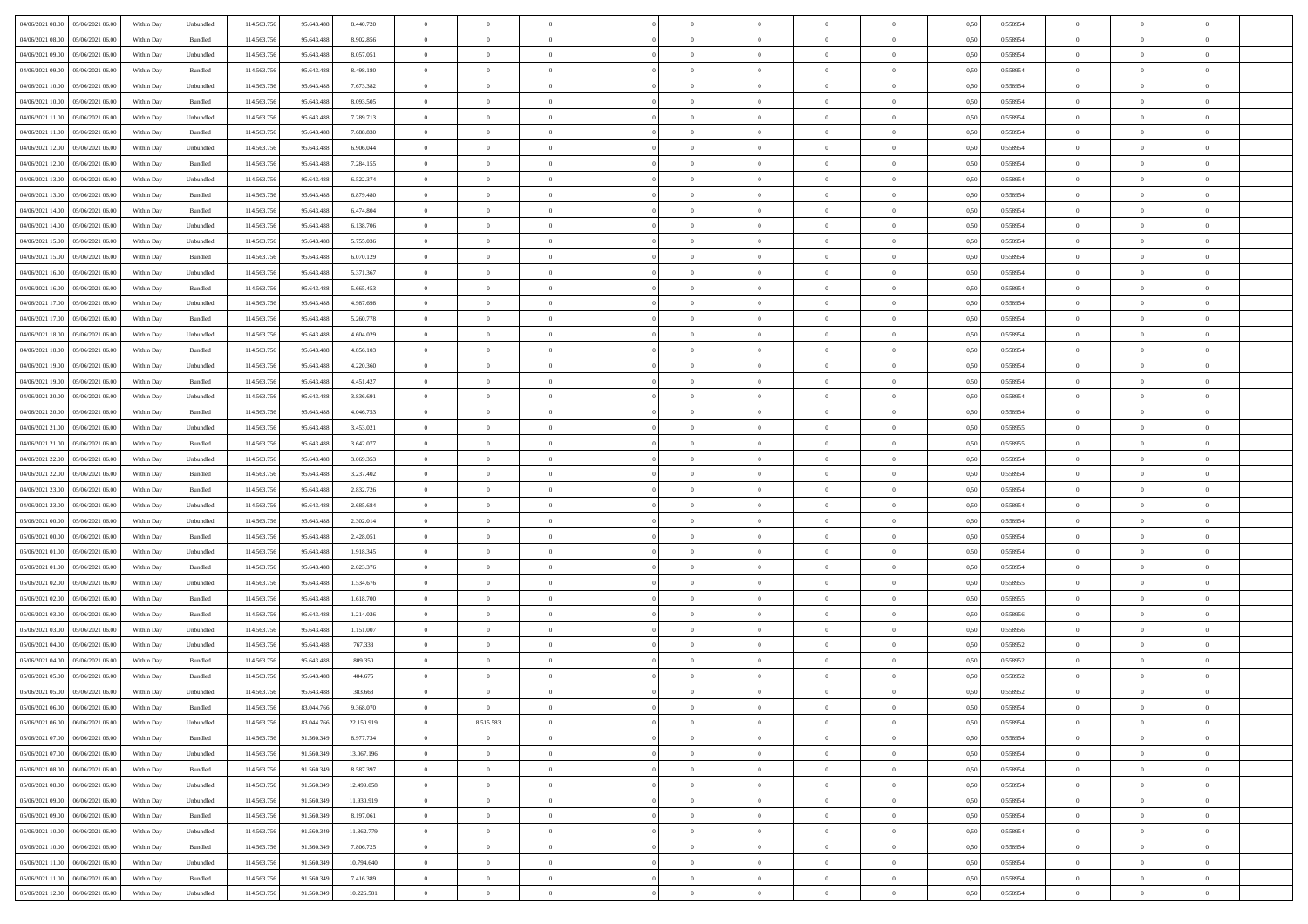| 04/06/2021 08:00<br>05/06/2021 06:00 | Within Day | Unbundled          | 114.563.756 | 95.643.488 | 8.440.720  | $\overline{0}$ | $\overline{0}$ | $\overline{0}$ | $\theta$       | $\theta$       |                | $\overline{0}$ | 0,50 | 0,558954 | $\theta$       | $\theta$       | $\overline{0}$ |  |
|--------------------------------------|------------|--------------------|-------------|------------|------------|----------------|----------------|----------------|----------------|----------------|----------------|----------------|------|----------|----------------|----------------|----------------|--|
|                                      |            |                    |             |            |            |                |                |                |                |                |                |                |      |          |                |                |                |  |
| 04/06/2021 08:00<br>05/06/2021 06.0  | Within Day | Bundled            | 114.563.75  | 95.643.488 | 8.902.856  | $\overline{0}$ | $\overline{0}$ | $\overline{0}$ | $\overline{0}$ | $\bf{0}$       | $\overline{0}$ | $\mathbf{0}$   | 0,50 | 0,558954 | $\overline{0}$ | $\bf{0}$       | $\overline{0}$ |  |
| 04/06/2021 09:00<br>05/06/2021 06:00 | Within Day | Unbundled          | 114,563,756 | 95.643.488 | 8.057.051  | $\overline{0}$ | $\overline{0}$ | $\overline{0}$ | $\bf{0}$       | $\bf{0}$       | $\overline{0}$ | $\,$ 0 $\,$    | 0.50 | 0.558954 | $\bf{0}$       | $\overline{0}$ | $\bf{0}$       |  |
| 04/06/2021 09:00<br>05/06/2021 06:00 | Within Day | Bundled            | 114.563.756 | 95.643.488 | 8.498.180  | $\overline{0}$ | $\overline{0}$ | $\overline{0}$ | $\bf{0}$       | $\overline{0}$ | $\overline{0}$ | $\,$ 0 $\,$    | 0,50 | 0,558954 | $\theta$       | $\overline{0}$ | $\overline{0}$ |  |
| 04/06/2021 10.00<br>05/06/2021 06.0  | Within Day | Unbundled          | 114.563.75  | 95.643.488 | 7.673.382  | $\overline{0}$ | $\overline{0}$ | $\overline{0}$ | $\bf{0}$       | $\bf{0}$       | $\overline{0}$ | $\bf{0}$       | 0,50 | 0,558954 | $\,$ 0 $\,$    | $\bf{0}$       | $\overline{0}$ |  |
| 04/06/2021 10:00<br>05/06/2021 06:00 | Within Day | Bundled            | 114,563,756 | 95.643.488 | 8.093.505  | $\overline{0}$ | $\overline{0}$ | $\overline{0}$ | $\bf{0}$       | $\bf{0}$       | $\overline{0}$ | $\mathbf{0}$   | 0.50 | 0.558954 | $\,$ 0 $\,$    | $\overline{0}$ | $\overline{0}$ |  |
| 04/06/2021 11:00<br>05/06/2021 06:00 | Within Day | Unbundled          | 114.563.756 | 95.643.488 | 7.289.713  | $\overline{0}$ | $\overline{0}$ | $\overline{0}$ | $\bf{0}$       | $\overline{0}$ | $\overline{0}$ | $\bf{0}$       | 0,50 | 0,558954 | $\theta$       | $\theta$       | $\overline{0}$ |  |
|                                      |            |                    |             |            |            |                |                |                |                |                |                |                |      |          |                |                |                |  |
| 04/06/2021 11:00<br>05/06/2021 06.0  | Within Day | Bundled            | 114.563.756 | 95.643.488 | 7.688.830  | $\overline{0}$ | $\overline{0}$ | $\overline{0}$ | $\,$ 0 $\,$    | $\bf{0}$       | $\overline{0}$ | $\mathbf{0}$   | 0,50 | 0,558954 | $\,$ 0 $\,$    | $\bf{0}$       | $\overline{0}$ |  |
| 04/06/2021 12:00<br>05/06/2021 06:00 | Within Day | Unbundled          | 114,563,756 | 95.643.488 | 6.906.044  | $\overline{0}$ | $\overline{0}$ | $\overline{0}$ | $\bf{0}$       | $\bf{0}$       | $\overline{0}$ | $\mathbf{0}$   | 0.50 | 0.558954 | $\bf{0}$       | $\overline{0}$ | $\bf{0}$       |  |
| 04/06/2021 12:00<br>05/06/2021 06:00 | Within Day | Bundled            | 114.563.756 | 95.643.488 | 7.284.155  | $\overline{0}$ | $\overline{0}$ | $\overline{0}$ | $\bf{0}$       | $\bf{0}$       | $\overline{0}$ | $\,$ 0 $\,$    | 0,50 | 0,558954 | $\,$ 0         | $\,$ 0 $\,$    | $\overline{0}$ |  |
| 04/06/2021 13:00<br>05/06/2021 06.0  | Within Day | Unbundled          | 114.563.756 | 95.643.488 | 6.522.374  | $\overline{0}$ | $\overline{0}$ | $\overline{0}$ | $\,$ 0 $\,$    | $\bf{0}$       | $\overline{0}$ | $\bf{0}$       | 0,50 | 0,558954 | $\,$ 0 $\,$    | $\bf{0}$       | $\overline{0}$ |  |
| 04/06/2021 13.00<br>05/06/2021 06:00 | Within Day | Bundled            | 114,563,756 | 95.643.488 | 6.879.480  | $\overline{0}$ | $\overline{0}$ | $\overline{0}$ | $\bf{0}$       | $\bf{0}$       | $\overline{0}$ | $\,$ 0 $\,$    | 0.50 | 0.558954 | $\bf{0}$       | $\overline{0}$ | $\,$ 0         |  |
| 04/06/2021 14:00<br>05/06/2021 06:00 | Within Day | Bundled            | 114.563.756 | 95.643.488 | 6.474.804  | $\overline{0}$ | $\overline{0}$ | $\overline{0}$ | $\overline{0}$ | $\overline{0}$ | $\overline{0}$ | $\,$ 0 $\,$    | 0,50 | 0,558954 | $\theta$       | $\theta$       | $\overline{0}$ |  |
|                                      |            |                    |             |            |            |                |                |                |                |                |                |                |      |          |                |                |                |  |
| 04/06/2021 14:00<br>05/06/2021 06.0  | Within Day | Unbundled          | 114.563.756 | 95.643.488 | 6.138.706  | $\overline{0}$ | $\overline{0}$ | $\overline{0}$ | $\bf{0}$       | $\bf{0}$       | $\overline{0}$ | $\bf{0}$       | 0,50 | 0,558954 | $\,$ 0 $\,$    | $\bf{0}$       | $\overline{0}$ |  |
| 04/06/2021 15:00<br>05/06/2021 06:00 | Within Day | Unbundled          | 114,563,756 | 95.643.488 | 5.755.036  | $\overline{0}$ | $\overline{0}$ | $\overline{0}$ | $\bf{0}$       | $\overline{0}$ | $\overline{0}$ | $\mathbf{0}$   | 0.50 | 0.558954 | $\,$ 0 $\,$    | $\theta$       | $\overline{0}$ |  |
| 04/06/2021 15:00<br>05/06/2021 06:00 | Within Day | Bundled            | 114.563.756 | 95.643.488 | 6.070.129  | $\overline{0}$ | $\overline{0}$ | $\overline{0}$ | $\bf{0}$       | $\overline{0}$ | $\overline{0}$ | $\bf{0}$       | 0,50 | 0,558954 | $\theta$       | $\theta$       | $\overline{0}$ |  |
| 04/06/2021 16.00<br>05/06/2021 06.0  | Within Day | Unbundled          | 114.563.756 | 95.643.488 | 5.371.367  | $\overline{0}$ | $\overline{0}$ | $\overline{0}$ | $\overline{0}$ | $\bf{0}$       | $\overline{0}$ | $\bf{0}$       | 0,50 | 0,558954 | $\,$ 0 $\,$    | $\bf{0}$       | $\overline{0}$ |  |
| 04/06/2021 16:00<br>05/06/2021 06:00 | Within Day | Bundled            | 114,563,756 | 95.643.488 | 5.665.453  | $\overline{0}$ | $\overline{0}$ | $\overline{0}$ | $\bf{0}$       | $\bf{0}$       | $\overline{0}$ | $\mathbf{0}$   | 0.50 | 0.558954 | $\bf{0}$       | $\overline{0}$ | $\,$ 0         |  |
| 04/06/2021 17.00<br>05/06/2021 06:00 | Within Day | Unbundled          | 114.563.756 | 95.643.488 | 4.987.698  | $\overline{0}$ | $\overline{0}$ | $\overline{0}$ | $\bf{0}$       | $\overline{0}$ | $\overline{0}$ | $\bf{0}$       | 0,50 | 0,558954 | $\,$ 0 $\,$    | $\,$ 0 $\,$    | $\overline{0}$ |  |
|                                      |            |                    |             |            |            |                | $\overline{0}$ |                | $\overline{0}$ | $\bf{0}$       | $\overline{0}$ |                |      |          | $\,$ 0 $\,$    | $\bf{0}$       | $\overline{0}$ |  |
| 04/06/2021 17.00<br>05/06/2021 06.0  | Within Day | Bundled            | 114.563.756 | 95.643.488 | 5.260.778  | $\overline{0}$ |                | $\overline{0}$ |                |                |                | $\mathbf{0}$   | 0,50 | 0,558954 |                |                |                |  |
| 04/06/2021 18:00<br>05/06/2021 06:00 | Within Day | Unbundled          | 114,563,756 | 95.643.488 | 4.604.029  | $\overline{0}$ | $\overline{0}$ | $\overline{0}$ | $\bf{0}$       | $\overline{0}$ | $\overline{0}$ | $\,$ 0 $\,$    | 0.50 | 0.558954 | $\bf{0}$       | $\overline{0}$ | $\,$ 0         |  |
| 04/06/2021 18:00<br>05/06/2021 06:00 | Within Day | Bundled            | 114.563.756 | 95.643.488 | 4.856.103  | $\overline{0}$ | $\overline{0}$ | $\overline{0}$ | $\overline{0}$ | $\overline{0}$ | $\overline{0}$ | $\,$ 0 $\,$    | 0,50 | 0,558954 | $\theta$       | $\overline{0}$ | $\overline{0}$ |  |
| 04/06/2021 19.00<br>05/06/2021 06.0  | Within Day | Unbundled          | 114.563.756 | 95.643.488 | 4.220.360  | $\overline{0}$ | $\overline{0}$ | $\overline{0}$ | $\overline{0}$ | $\bf{0}$       | $\overline{0}$ | $\bf{0}$       | 0,50 | 0,558954 | $\,$ 0 $\,$    | $\bf{0}$       | $\overline{0}$ |  |
| 04/06/2021 19.00<br>05/06/2021 06:00 | Within Day | Bundled            | 114,563,756 | 95.643.488 | 4.451.427  | $\overline{0}$ | $\overline{0}$ | $\overline{0}$ | $\bf{0}$       | $\bf{0}$       | $\overline{0}$ | $\mathbf{0}$   | 0.50 | 0.558954 | $\,$ 0 $\,$    | $\overline{0}$ | $\overline{0}$ |  |
| 04/06/2021 20:00<br>05/06/2021 06:00 | Within Day | Unbundled          | 114.563.756 | 95.643.488 | 3.836.691  | $\overline{0}$ | $\overline{0}$ | $\overline{0}$ | $\bf{0}$       | $\overline{0}$ | $\overline{0}$ | $\bf{0}$       | 0,50 | 0,558954 | $\theta$       | $\theta$       | $\overline{0}$ |  |
| 04/06/2021 20.00<br>05/06/2021 06.0  | Within Day | Bundled            | 114.563.756 | 95.643.488 | 4.046.753  | $\overline{0}$ | $\overline{0}$ | $\overline{0}$ | $\,$ 0 $\,$    | $\bf{0}$       | $\overline{0}$ | $\bf{0}$       | 0,50 | 0,558954 | $\,$ 0 $\,$    | $\bf{0}$       | $\overline{0}$ |  |
|                                      |            |                    |             |            |            |                |                |                |                |                |                |                |      |          |                |                |                |  |
| 04/06/2021 21:00<br>05/06/2021 06:00 | Within Day | Unbundled          | 114,563,756 | 95.643.488 | 3.453.021  | $\overline{0}$ | $\overline{0}$ | $\overline{0}$ | $\bf{0}$       | $\bf{0}$       | $\overline{0}$ | $\mathbf{0}$   | 0.50 | 0.558955 | $\bf{0}$       | $\overline{0}$ | $\bf{0}$       |  |
| 04/06/2021 21:00<br>05/06/2021 06:00 | Within Day | Bundled            | 114.563.756 | 95.643.488 | 3.642.077  | $\overline{0}$ | $\overline{0}$ | $\overline{0}$ | $\bf{0}$       | $\overline{0}$ | $\overline{0}$ | $\,$ 0 $\,$    | 0,50 | 0,558955 | $\,$ 0         | $\overline{0}$ | $\overline{0}$ |  |
| 04/06/2021 22.00<br>05/06/2021 06.0  | Within Day | Unbundled          | 114.563.75  | 95.643.488 | 3.069.353  | $\overline{0}$ | $\overline{0}$ | $\overline{0}$ | $\overline{0}$ | $\bf{0}$       | $\overline{0}$ | $\mathbf{0}$   | 0,50 | 0,558954 | $\overline{0}$ | $\bf{0}$       | $\overline{0}$ |  |
| 04/06/2021 22.00<br>05/06/2021 06:00 | Within Day | Bundled            | 114,563,756 | 95.643.488 | 3.237.402  | $\overline{0}$ | $\overline{0}$ | $\overline{0}$ | $\bf{0}$       | $\bf{0}$       | $\overline{0}$ | $\,$ 0 $\,$    | 0.50 | 0.558954 | $\bf{0}$       | $\overline{0}$ | $\,$ 0         |  |
| 04/06/2021 23:00<br>05/06/2021 06:00 | Within Day | Bundled            | 114.563.756 | 95.643.488 | 2.832.726  | $\overline{0}$ | $\overline{0}$ | $\overline{0}$ | $\overline{0}$ | $\overline{0}$ | $\overline{0}$ | $\overline{0}$ | 0.50 | 0,558954 | $\theta$       | $\overline{0}$ | $\overline{0}$ |  |
| 04/06/2021 23.00<br>05/06/2021 06.0  | Within Day | Unbundled          | 114.563.756 | 95.643.488 | 2.685.684  | $\overline{0}$ | $\overline{0}$ | $\overline{0}$ | $\overline{0}$ | $\bf{0}$       | $\overline{0}$ | $\bf{0}$       | 0,50 | 0,558954 | $\,$ 0 $\,$    | $\bf{0}$       | $\overline{0}$ |  |
|                                      |            |                    |             |            |            |                |                |                |                |                |                |                |      |          |                |                |                |  |
| 05/06/2021 00:00<br>05/06/2021 06:00 | Within Day | Unbundled          | 114,563,756 | 95.643.488 | 2.302.014  | $\overline{0}$ | $\overline{0}$ | $\overline{0}$ | $\bf{0}$       | $\bf{0}$       | $\overline{0}$ | $\mathbf{0}$   | 0.50 | 0.558954 | $\,$ 0 $\,$    | $\bf{0}$       | $\overline{0}$ |  |
| 05/06/2021 00:00<br>05/06/2021 06:00 | Within Day | Bundled            | 114.563.756 | 95.643.488 | 2.428.051  | $\overline{0}$ | $\overline{0}$ | $\overline{0}$ | $\overline{0}$ | $\overline{0}$ | $\overline{0}$ | $\overline{0}$ | 0.50 | 0,558954 | $\theta$       | $\theta$       | $\overline{0}$ |  |
| 05/06/2021 01:00<br>05/06/2021 06.0  | Within Day | Unbundled          | 114.563.75  | 95.643.488 | 1.918.345  | $\overline{0}$ | $\overline{0}$ | $\overline{0}$ | $\overline{0}$ | $\bf{0}$       | $\overline{0}$ | $\bf{0}$       | 0,50 | 0,558954 | $\,$ 0 $\,$    | $\bf{0}$       | $\overline{0}$ |  |
| 05/06/2021 01:00<br>05/06/2021 06:00 | Within Day | Bundled            | 114,563,756 | 95.643.488 | 2.023.376  | $\overline{0}$ | $\overline{0}$ | $\overline{0}$ | $\bf{0}$       | $\bf{0}$       | $\overline{0}$ | $\mathbf{0}$   | 0.50 | 0.558954 | $\bf{0}$       | $\overline{0}$ | $\bf{0}$       |  |
| 05/06/2021 02:00<br>05/06/2021 06:00 | Within Day | Unbundled          | 114.563.756 | 95.643.488 | 1.534.676  | $\overline{0}$ | $\overline{0}$ | $\overline{0}$ | $\overline{0}$ | $\overline{0}$ | $\overline{0}$ | $\mathbf{0}$   | 0.50 | 0,558955 | $\overline{0}$ | $\overline{0}$ | $\overline{0}$ |  |
| 05/06/2021 02:00<br>05/06/2021 06.0  | Within Day | Bundled            | 114.563.756 | 95.643.488 | 1.618.700  | $\overline{0}$ | $\overline{0}$ | $\overline{0}$ | $\overline{0}$ | $\bf{0}$       | $\overline{0}$ | $\mathbf{0}$   | 0,50 | 0,558955 | $\overline{0}$ | $\bf{0}$       | $\overline{0}$ |  |
| 05/06/2021 03.00<br>05/06/2021 06:00 | Within Day | Bundled            | 114.563.756 | 95.643.488 | 1.214.026  | $\overline{0}$ | $\overline{0}$ | $\overline{0}$ | $\bf{0}$       | $\overline{0}$ | $\overline{0}$ | $\,$ 0 $\,$    | 0.50 | 0.558956 | $\bf{0}$       | $\overline{0}$ | $\,$ 0         |  |
|                                      |            |                    |             |            |            |                |                |                |                |                |                |                |      |          |                |                |                |  |
| 05/06/2021 03:00<br>05/06/2021 06:00 | Within Dav | Unbundled          | 114.563.756 | 95.643.488 | 1.151.007  | $\overline{0}$ | $\overline{0}$ | $\overline{0}$ | $\overline{0}$ | $\overline{0}$ | $\overline{0}$ | $\overline{0}$ | 0.50 | 0,558956 | $\theta$       | $\theta$       | $\overline{0}$ |  |
| 05/06/2021 04:00<br>05/06/2021 06.0  | Within Day | Unbundled          | 114.563.756 | 95.643.488 | 767.338    | $\overline{0}$ | $\overline{0}$ | $\overline{0}$ | $\overline{0}$ | $\bf{0}$       | $\overline{0}$ | $\bf{0}$       | 0,50 | 0,558952 | $\,$ 0 $\,$    | $\bf{0}$       | $\overline{0}$ |  |
| 05/06/2021 04:00<br>05/06/2021 06:00 | Within Day | Bundled            | 114,563,756 | 95.643.488 | 809,350    | $\overline{0}$ | $\overline{0}$ | $\overline{0}$ | $\overline{0}$ | $\overline{0}$ | $\overline{0}$ | $\mathbf{0}$   | 0.50 | 0.558952 | $\,$ 0 $\,$    | $\theta$       | $\overline{0}$ |  |
| 05/06/2021 05:00<br>05/06/2021 06:00 | Within Day | Bundled            | 114.563.756 | 95.643.488 | 404.675    | $\overline{0}$ | $\overline{0}$ | $\overline{0}$ | $\overline{0}$ | $\overline{0}$ | $\Omega$       | $\overline{0}$ | 0.50 | 0,558952 | $\theta$       | $\theta$       | $\overline{0}$ |  |
| 05/06/2021 05:00<br>05/06/2021 06.00 | Within Day | Unbundled          | 114.563.756 | 95.643.488 | 383.668    | $\overline{0}$ | $\overline{0}$ | $\overline{0}$ | $\overline{0}$ | $\bf{0}$       | $\overline{0}$ | $\mathbf{0}$   | 0,50 | 0,558952 | $\overline{0}$ | $\overline{0}$ | $\overline{0}$ |  |
| 05/06/2021 06:00 06/06/2021 06:00    | Within Day | $\mathbf B$ undled | 114.563.756 | 83.044.766 | 9.368,070  | $\bf{0}$       | $\,$ 0 $\,$    |                | $\bf{0}$       |                |                |                | 0,50 | 0.558954 | $\theta$       | $\overline{0}$ |                |  |
| 05/06/2021 06:00   06/06/2021 06:00  | Within Dav | Unbundled          | 114.563.756 | 83.044.766 | 22.150.919 | $\overline{0}$ | 8.515.583      | $\overline{0}$ | $\overline{0}$ | $\overline{0}$ | $\overline{0}$ | $\overline{0}$ | 0,50 | 0,558954 | $\theta$       | $\theta$       | $\overline{0}$ |  |
|                                      |            |                    |             |            |            |                |                |                |                |                |                |                |      |          |                |                |                |  |
| 05/06/2021 07:00<br>06/06/2021 06.00 | Within Day | Bundled            | 114.563.756 | 91.560.349 | 8.977.734  | $\overline{0}$ | $\overline{0}$ | $\overline{0}$ | $\bf{0}$       | $\overline{0}$ | $\overline{0}$ | $\bf{0}$       | 0,50 | 0,558954 | $\overline{0}$ | $\overline{0}$ | $\bf{0}$       |  |
| 05/06/2021 07:00<br>06/06/2021 06:00 | Within Day | Unbundled          | 114.563.756 | 91.560.349 | 13.067.196 | $\overline{0}$ | $\overline{0}$ | $\overline{0}$ | $\,$ 0 $\,$    | $\bf{0}$       | $\overline{0}$ | $\mathbf{0}$   | 0.50 | 0.558954 | $\overline{0}$ | $\bf{0}$       | $\bf{0}$       |  |
| 05/06/2021 08:00<br>06/06/2021 06:00 | Within Dav | Bundled            | 114.563.756 | 91.560.349 | 8.587.397  | $\overline{0}$ | $\overline{0}$ | $\overline{0}$ | $\overline{0}$ | $\overline{0}$ | $\overline{0}$ | $\mathbf{0}$   | 0,50 | 0,558954 | $\overline{0}$ | $\theta$       | $\overline{0}$ |  |
| 05/06/2021 08:00<br>06/06/2021 06.00 | Within Day | Unbundled          | 114.563.756 | 91.560.349 | 12.499.058 | $\overline{0}$ | $\overline{0}$ | $\overline{0}$ | $\bf{0}$       | $\bf{0}$       | $\overline{0}$ | $\mathbf{0}$   | 0,50 | 0,558954 | $\overline{0}$ | $\bf{0}$       | $\overline{0}$ |  |
| 05/06/2021 09:00<br>06/06/2021 06:00 | Within Day | Unbundled          | 114.563.756 | 91.560.349 | 11.930.919 | $\overline{0}$ | $\overline{0}$ | $\overline{0}$ | $\bf{0}$       | $\overline{0}$ | $\overline{0}$ | $\mathbf{0}$   | 0.50 | 0.558954 | $\,$ 0 $\,$    | $\theta$       | $\,$ 0         |  |
| 05/06/2021 09:00<br>06/06/2021 06:00 | Within Dav | Bundled            | 114.563.756 | 91.560.349 | 8.197.061  | $\overline{0}$ | $\overline{0}$ | $\overline{0}$ | $\overline{0}$ | $\overline{0}$ | $\overline{0}$ | $\mathbf{0}$   | 0.50 | 0,558954 | $\overline{0}$ | $\theta$       | $\overline{0}$ |  |
|                                      |            |                    |             |            |            |                |                |                |                |                |                |                |      |          |                |                |                |  |
| 05/06/2021 10:00<br>06/06/2021 06:00 | Within Day | Unbundled          | 114.563.75  | 91.560.349 | 11.362.779 | $\overline{0}$ | $\overline{0}$ | $\overline{0}$ | $\bf{0}$       | $\overline{0}$ | $\overline{0}$ | $\,$ 0 $\,$    | 0,50 | 0,558954 | $\bf{0}$       | $\overline{0}$ | $\,$ 0         |  |
| 05/06/2021 10:00<br>06/06/2021 06:00 | Within Day | Bundled            | 114.563.756 | 91.560.349 | 7.806.725  | $\overline{0}$ | $\overline{0}$ | $\overline{0}$ | $\bf{0}$       | $\overline{0}$ | $\overline{0}$ | $\,$ 0 $\,$    | 0.50 | 0.558954 | $\overline{0}$ | $\bf{0}$       | $\,$ 0         |  |
| 05/06/2021 11:00<br>06/06/2021 06:00 | Within Dav | Unbundled          | 114.563.756 | 91.560.349 | 10.794.640 | $\overline{0}$ | $\overline{0}$ | $\overline{0}$ | $\overline{0}$ | $\overline{0}$ | $\overline{0}$ | $\mathbf{0}$   | 0,50 | 0,558954 | $\overline{0}$ | $\theta$       | $\overline{0}$ |  |
| 05/06/2021 11:00<br>06/06/2021 06.0  | Within Day | Bundled            | 114.563.756 | 91.560.349 | 7.416.389  | $\overline{0}$ | $\overline{0}$ | $\overline{0}$ | $\overline{0}$ | $\bf{0}$       | $\overline{0}$ | $\mathbf{0}$   | 0,50 | 0,558954 | $\bf{0}$       | $\bf{0}$       | $\bf{0}$       |  |
| 05/06/2021 12:00 06/06/2021 06:00    | Within Day | Unbundled          | 114.563.756 | 91.560.349 | 10.226.501 | $\,$ 0 $\,$    | $\overline{0}$ | $\overline{0}$ | $\bf{0}$       | $\,$ 0         | $\overline{0}$ | $\,0\,$        | 0,50 | 0,558954 | $\overline{0}$ | $\,$ 0 $\,$    | $\,$ 0 $\,$    |  |
|                                      |            |                    |             |            |            |                |                |                |                |                |                |                |      |          |                |                |                |  |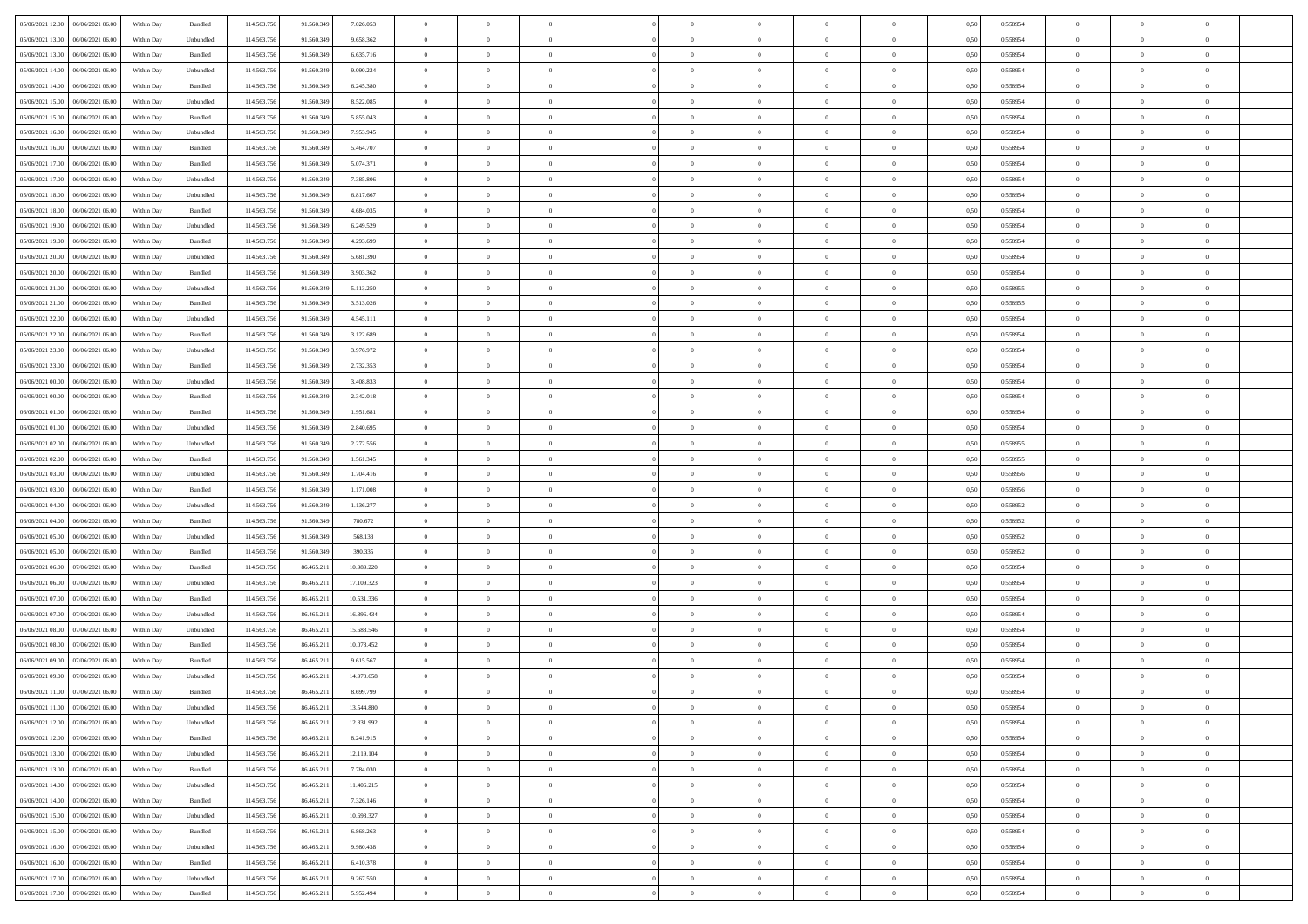| 05/06/2021 12:00<br>06/06/2021 06:00 | Within Day | Bundled           | 114.563.756 | 91.560.349 | 7.026.053  | $\overline{0}$ | $\overline{0}$   |                | $\theta$       | $\theta$       |                | $\overline{0}$ | 0,50 | 0,558954 | $\theta$       | $\theta$       | $\overline{0}$ |  |
|--------------------------------------|------------|-------------------|-------------|------------|------------|----------------|------------------|----------------|----------------|----------------|----------------|----------------|------|----------|----------------|----------------|----------------|--|
|                                      |            |                   |             |            |            |                | $\overline{0}$   |                |                |                |                |                |      |          |                | $\theta$       | $\overline{0}$ |  |
| 05/06/2021 13:00<br>06/06/2021 06.0  | Within Day | Unbundled         | 114.563.75  | 91.560.349 | 9.658.362  | $\overline{0}$ |                  | $\overline{0}$ | $\,$ 0 $\,$    | $\bf{0}$       | $\overline{0}$ | $\bf{0}$       | 0,50 | 0,558954 | $\,$ 0 $\,$    |                |                |  |
| 05/06/2021 13:00<br>06/06/2021 06:00 | Within Day | Bundled           | 114.563.756 | 91.560.349 | 6.635.716  | $\overline{0}$ | $\overline{0}$   | $\overline{0}$ | $\bf{0}$       | $\bf{0}$       | $\overline{0}$ | $\mathbf{0}$   | 0.50 | 0.558954 | $\bf{0}$       | $\overline{0}$ | $\overline{0}$ |  |
| 05/06/2021 14:00<br>06/06/2021 06.00 | Within Day | Unbundled         | 114.563.756 | 91.560.349 | 9.090.224  | $\overline{0}$ | $\overline{0}$   | $\overline{0}$ | $\overline{0}$ | $\overline{0}$ | $\overline{0}$ | $\bf{0}$       | 0,50 | 0,558954 | $\theta$       | $\theta$       | $\overline{0}$ |  |
| 05/06/2021 14:00<br>06/06/2021 06.0  | Within Day | Bundled           | 114.563.75  | 91.560.349 | 6.245.380  | $\overline{0}$ | $\overline{0}$   | $\bf{0}$       | $\overline{0}$ | $\overline{0}$ | $\overline{0}$ | $\bf{0}$       | 0,50 | 0,558954 | $\,$ 0 $\,$    | $\theta$       | $\overline{0}$ |  |
| 05/06/2021 15:00<br>06/06/2021 06:00 | Within Day | Unbundled         | 114,563,75  | 91.560.349 | 8.522.085  | $\overline{0}$ | $\overline{0}$   | $\overline{0}$ | $\overline{0}$ | $\overline{0}$ | $\overline{0}$ | $\mathbf{0}$   | 0.50 | 0.558954 | $\bf{0}$       | $\theta$       | $\overline{0}$ |  |
| 05/06/2021 15:00<br>06/06/2021 06.00 | Within Day | Bundled           | 114.563.756 | 91.560.349 | 5.855.043  | $\overline{0}$ | $\overline{0}$   | $\overline{0}$ | $\overline{0}$ | $\overline{0}$ | $\overline{0}$ | $\bf{0}$       | 0,50 | 0,558954 | $\theta$       | $\theta$       | $\overline{0}$ |  |
| 05/06/2021 16:00<br>06/06/2021 06.0  | Within Day | Unbundled         | 114.563.75  | 91.560.349 | 7.953.945  | $\overline{0}$ | $\overline{0}$   | $\overline{0}$ | $\overline{0}$ | $\bf{0}$       | $\overline{0}$ | $\bf{0}$       | 0,50 | 0,558954 | $\,$ 0 $\,$    | $\bf{0}$       | $\overline{0}$ |  |
| 05/06/2021 16:00<br>06/06/2021 06:00 | Within Day | Bundled           | 114,563,756 | 91.560.349 | 5.464.707  | $\overline{0}$ | $\overline{0}$   | $\overline{0}$ | $\overline{0}$ | $\overline{0}$ | $\overline{0}$ | $\mathbf{0}$   | 0.50 | 0.558954 | $\,$ 0 $\,$    | $\overline{0}$ | $\overline{0}$ |  |
| 05/06/2021 17:00<br>06/06/2021 06:00 | Within Day | Bundled           | 114.563.756 | 91.560.349 | 5.074.371  | $\overline{0}$ | $\overline{0}$   | $\overline{0}$ | $\bf{0}$       | $\overline{0}$ | $\overline{0}$ | $\bf{0}$       | 0,50 | 0,558954 | $\,$ 0 $\,$    | $\theta$       | $\overline{0}$ |  |
|                                      |            |                   |             |            |            |                |                  |                |                |                |                |                |      |          |                |                |                |  |
| 05/06/2021 17:00<br>06/06/2021 06.0  | Within Day | Unbundled         | 114.563.75  | 91.560.349 | 7.385.806  | $\overline{0}$ | $\overline{0}$   | $\overline{0}$ | $\bf{0}$       | $\bf{0}$       | $\overline{0}$ | $\bf{0}$       | 0,50 | 0,558954 | $\,$ 0 $\,$    | $\bf{0}$       | $\overline{0}$ |  |
| 05/06/2021 18:00<br>06/06/2021 06:00 | Within Day | Unbundled         | 114,563,756 | 91.560.349 | 6.817.667  | $\overline{0}$ | $\overline{0}$   | $\overline{0}$ | $\bf{0}$       | $\bf{0}$       | $\overline{0}$ | $\mathbf{0}$   | 0.50 | 0.558954 | $\bf{0}$       | $\overline{0}$ | $\bf{0}$       |  |
| 05/06/2021 18:00<br>06/06/2021 06:00 | Within Day | Bundled           | 114.563.756 | 91.560.349 | 4.684.035  | $\overline{0}$ | $\overline{0}$   | $\overline{0}$ | $\overline{0}$ | $\overline{0}$ | $\overline{0}$ | $\bf{0}$       | 0,50 | 0,558954 | $\theta$       | $\theta$       | $\overline{0}$ |  |
| 05/06/2021 19:00<br>06/06/2021 06.0  | Within Day | Unbundled         | 114.563.75  | 91.560.349 | 6.249.529  | $\overline{0}$ | $\overline{0}$   | $\bf{0}$       | $\bf{0}$       | $\overline{0}$ | $\overline{0}$ | $\bf{0}$       | 0,50 | 0,558954 | $\,$ 0 $\,$    | $\bf{0}$       | $\overline{0}$ |  |
| 05/06/2021 19:00<br>06/06/2021 06:00 | Within Day | Bundled           | 114.563.756 | 91.560.349 | 4.293.699  | $\overline{0}$ | $\overline{0}$   | $\overline{0}$ | $\overline{0}$ | $\overline{0}$ | $\overline{0}$ | $\mathbf{0}$   | 0.50 | 0.558954 | $\theta$       | $\theta$       | $\overline{0}$ |  |
| 05/06/2021 20:00<br>06/06/2021 06.00 | Within Day | Unbundled         | 114.563.756 | 91.560.349 | 5.681.390  | $\overline{0}$ | $\overline{0}$   | $\overline{0}$ | $\overline{0}$ | $\overline{0}$ | $\overline{0}$ | $\bf{0}$       | 0,50 | 0,558954 | $\theta$       | $\theta$       | $\overline{0}$ |  |
| 05/06/2021 20:00<br>06/06/2021 06.0  | Within Day | Bundled           | 114.563.75  | 91.560.349 | 3.903.362  | $\overline{0}$ | $\overline{0}$   | $\overline{0}$ | $\overline{0}$ | $\overline{0}$ | $\overline{0}$ | $\bf{0}$       | 0,50 | 0,558954 | $\,$ 0 $\,$    | $\theta$       | $\overline{0}$ |  |
| 05/06/2021 21:00<br>06/06/2021 06:00 | Within Day | Unbundled         | 114,563,756 | 91.560.349 | 5.113.250  | $\overline{0}$ | $\overline{0}$   | $\overline{0}$ | $\overline{0}$ | $\bf{0}$       | $\overline{0}$ | $\mathbf{0}$   | 0.50 | 0.558955 | $\,$ 0 $\,$    | $\overline{0}$ | $\overline{0}$ |  |
| 05/06/2021 21:00                     |            |                   | 114.563.756 |            |            | $\overline{0}$ | $\overline{0}$   |                | $\overline{0}$ | $\overline{0}$ | $\overline{0}$ | $\bf{0}$       |      |          | $\,$ 0 $\,$    | $\theta$       | $\overline{0}$ |  |
| 06/06/2021 06:00                     | Within Day | Bundled           |             | 91.560.349 | 3.513.026  |                |                  | $\overline{0}$ |                |                |                |                | 0,50 | 0,558955 |                |                |                |  |
| 05/06/2021 22.00<br>06/06/2021 06.0  | Within Day | Unbundled         | 114.563.75  | 91.560.349 | 4.545.111  | $\overline{0}$ | $\overline{0}$   | $\overline{0}$ | $\bf{0}$       | $\bf{0}$       | $\overline{0}$ | $\bf{0}$       | 0,50 | 0,558954 | $\,$ 0 $\,$    | $\bf{0}$       | $\overline{0}$ |  |
| 05/06/2021 22.00<br>06/06/2021 06:00 | Within Day | Bundled           | 114,563,756 | 91.560.349 | 3.122.689  | $\overline{0}$ | $\overline{0}$   | $\overline{0}$ | $\bf{0}$       | $\bf{0}$       | $\overline{0}$ | $\mathbf{0}$   | 0.50 | 0.558954 | $\bf{0}$       | $\overline{0}$ | $\overline{0}$ |  |
| 05/06/2021 23:00<br>06/06/2021 06:00 | Within Day | Unbundled         | 114.563.756 | 91.560.349 | 3.976.972  | $\overline{0}$ | $\overline{0}$   | $\overline{0}$ | $\overline{0}$ | $\overline{0}$ | $\overline{0}$ | $\,$ 0 $\,$    | 0,50 | 0,558954 | $\theta$       | $\theta$       | $\overline{0}$ |  |
| 05/06/2021 23.00<br>06/06/2021 06.0  | Within Day | Bundled           | 114.563.75  | 91.560.349 | 2.732.353  | $\overline{0}$ | $\overline{0}$   | $\overline{0}$ | $\bf{0}$       | $\overline{0}$ | $\overline{0}$ | $\bf{0}$       | 0,50 | 0,558954 | $\,$ 0 $\,$    | $\bf{0}$       | $\overline{0}$ |  |
| 06/06/2021 00:00<br>06/06/2021 06:00 | Within Day | Unbundled         | 114.563.75  | 91.560.349 | 3 408 833  | $\overline{0}$ | $\overline{0}$   | $\overline{0}$ | $\overline{0}$ | $\overline{0}$ | $\overline{0}$ | $\mathbf{0}$   | 0.50 | 0.558954 | $\bf{0}$       | $\theta$       | $\overline{0}$ |  |
| 06/06/2021 00:00<br>06/06/2021 06:00 | Within Day | Bundled           | 114.563.756 | 91.560.349 | 2.342.018  | $\overline{0}$ | $\overline{0}$   | $\overline{0}$ | $\overline{0}$ | $\overline{0}$ | $\overline{0}$ | $\bf{0}$       | 0,50 | 0,558954 | $\theta$       | $\theta$       | $\overline{0}$ |  |
| 06/06/2021 01:00<br>06/06/2021 06.0  | Within Day | Bundled           | 114.563.75  | 91.560.349 | 1.951.681  | $\overline{0}$ | $\overline{0}$   | $\overline{0}$ | $\overline{0}$ | $\overline{0}$ | $\overline{0}$ | $\bf{0}$       | 0,50 | 0,558954 | $\,$ 0 $\,$    | $\bf{0}$       | $\overline{0}$ |  |
| 06/06/2021 01:00<br>06/06/2021 06:00 | Within Day | Unbundled         | 114,563,756 | 91.560.349 | 2.840.695  | $\overline{0}$ | $\overline{0}$   | $\overline{0}$ | $\overline{0}$ | $\overline{0}$ | $\overline{0}$ | $\mathbf{0}$   | 0.50 | 0.558954 | $\,$ 0 $\,$    | $\overline{0}$ | $\overline{0}$ |  |
| 06/06/2021 02:00<br>06/06/2021 06:00 | Within Day | Unbundled         | 114.563.756 | 91.560.349 | 2.272.556  | $\overline{0}$ | $\overline{0}$   | $\overline{0}$ | $\overline{0}$ | $\overline{0}$ | $\overline{0}$ | $\bf{0}$       | 0,50 | 0,558955 | $\theta$       | $\theta$       | $\overline{0}$ |  |
|                                      |            |                   |             |            |            |                | $\overline{0}$   |                | $\overline{0}$ | $\bf{0}$       |                | $\bf{0}$       |      |          | $\,$ 0 $\,$    | $\bf{0}$       | $\overline{0}$ |  |
| 06/06/2021 02:00<br>06/06/2021 06.0  | Within Day | Bundled           | 114.563.75  | 91.560.349 | 1.561.345  | $\overline{0}$ |                  | $\overline{0}$ |                |                | $\overline{0}$ |                | 0,50 | 0,558955 |                |                |                |  |
| 06/06/2021 03:00<br>06/06/2021 06:00 | Within Day | Unbundled         | 114,563,756 | 91.560.349 | 1.704.416  | $\overline{0}$ | $\overline{0}$   | $\overline{0}$ | $\bf{0}$       | $\bf{0}$       | $\overline{0}$ | $\mathbf{0}$   | 0.50 | 0.558956 | $\bf{0}$       | $\overline{0}$ | $\bf{0}$       |  |
| 06/06/2021 03:00<br>06/06/2021 06:00 | Within Day | Bundled           | 114.563.756 | 91.560.349 | 1.171.008  | $\overline{0}$ | $\overline{0}$   | $\overline{0}$ | $\overline{0}$ | $\overline{0}$ | $\overline{0}$ | $\overline{0}$ | 0.50 | 0.558956 | $\theta$       | $\theta$       | $\overline{0}$ |  |
| 06/06/2021 04.00<br>06/06/2021 06.0  | Within Day | Unbundled         | 114.563.75  | 91.560.349 | 1.136.277  | $\overline{0}$ | $\overline{0}$   | $\overline{0}$ | $\bf{0}$       | $\overline{0}$ | $\overline{0}$ | $\bf{0}$       | 0,50 | 0,558952 | $\,$ 0 $\,$    | $\bf{0}$       | $\overline{0}$ |  |
| 06/06/2021 04:00<br>06/06/2021 06:00 | Within Day | Bundled           | 114.563.756 | 91.560.349 | 780.672    | $\overline{0}$ | $\overline{0}$   | $\overline{0}$ | $\overline{0}$ | $\overline{0}$ | $\overline{0}$ | $\mathbf{0}$   | 0.50 | 0.558952 | $\,$ 0 $\,$    | $\theta$       | $\overline{0}$ |  |
| 06/06/2021 05:00<br>06/06/2021 06:00 | Within Day | Unbundled         | 114.563.756 | 91.560.349 | 568,138    | $\overline{0}$ | $\overline{0}$   | $\overline{0}$ | $\overline{0}$ | $\overline{0}$ | $\overline{0}$ | $\overline{0}$ | 0.50 | 0,558952 | $\theta$       | $\theta$       | $\overline{0}$ |  |
| 06/06/2021 05:00<br>06/06/2021 06.0  | Within Day | Bundled           | 114.563.75  | 91.560.349 | 390.335    | $\overline{0}$ | $\overline{0}$   | $\overline{0}$ | $\bf{0}$       | $\overline{0}$ | $\overline{0}$ | $\bf{0}$       | 0,50 | 0,558952 | $\,$ 0 $\,$    | $\bf{0}$       | $\overline{0}$ |  |
| 06/06/2021 06:00<br>07/06/2021 06:00 | Within Day | Bundled           | 114,563,756 | 86.465.211 | 10.989.220 | $\overline{0}$ | $\overline{0}$   | $\overline{0}$ | $\overline{0}$ | $\bf{0}$       | $\overline{0}$ | $\mathbf{0}$   | 0.50 | 0.558954 | $\,$ 0 $\,$    | $\overline{0}$ | $\overline{0}$ |  |
| 06/06/2021 06:00<br>07/06/2021 06:00 | Within Day | Unbundled         | 114.563.756 | 86.465.211 | 17.109.323 | $\overline{0}$ | $\overline{0}$   | $\overline{0}$ | $\overline{0}$ | $\overline{0}$ | $\overline{0}$ | $\overline{0}$ | 0.50 | 0,558954 | $\theta$       | $\theta$       | $\overline{0}$ |  |
| 06/06/2021 07:00<br>07/06/2021 06.0  | Within Day | Bundled           | 114.563.75  | 86.465.211 | 10.531.336 | $\overline{0}$ | $\overline{0}$   | $\overline{0}$ | $\overline{0}$ | $\bf{0}$       | $\overline{0}$ | $\bf{0}$       | 0,50 | 0,558954 | $\overline{0}$ | $\bf{0}$       | $\overline{0}$ |  |
| 06/06/2021 07:00<br>07/06/2021 06:00 | Within Day | Unbundled         | 114,563,756 | 86.465.211 | 16.396.434 | $\overline{0}$ | $\overline{0}$   | $\overline{0}$ | $\bf{0}$       | $\bf{0}$       | $\overline{0}$ | $\mathbf{0}$   | 0.50 | 0.558954 | $\bf{0}$       | $\overline{0}$ | $\overline{0}$ |  |
|                                      |            |                   |             |            |            |                |                  |                |                |                |                |                |      |          |                |                |                |  |
| 06/06/2021 08:00<br>07/06/2021 06:00 | Within Day | Unbundled         | 114.563.756 | 86.465.211 | 15.683.546 | $\overline{0}$ | $\overline{0}$   | $\overline{0}$ | $\overline{0}$ | $\overline{0}$ | $\overline{0}$ | $\overline{0}$ | 0.50 | 0,558954 | $\theta$       | $\theta$       | $\overline{0}$ |  |
| 06/06/2021 08:00<br>07/06/2021 06.0  | Within Day | Bundled           | 114.563.756 | 86.465.211 | 10.073.452 | $\overline{0}$ | $\overline{0}$   | $\overline{0}$ | $\bf{0}$       | $\bf{0}$       | $\overline{0}$ | $\bf{0}$       | 0,50 | 0,558954 | $\,$ 0 $\,$    | $\bf{0}$       | $\overline{0}$ |  |
| 06/06/2021 09:00<br>07/06/2021 06.00 | Within Day | Bundled           | 114.563.756 | 86.465.211 | 9.615.567  | $\overline{0}$ | $\overline{0}$   | $\overline{0}$ | $\overline{0}$ | $\overline{0}$ | $\overline{0}$ | $\mathbf{0}$   | 0.50 | 0.558954 | $\,$ 0 $\,$    | $\theta$       | $\overline{0}$ |  |
| 06/06/2021 09:00<br>07/06/2021 06:00 | Within Day | Unbundled         | 114.563.756 | 86.465.211 | 14.970.658 | $\overline{0}$ | $\overline{0}$   | $\overline{0}$ | $\overline{0}$ | $\overline{0}$ | $\Omega$       | $\overline{0}$ | 0.50 | 0,558954 | $\theta$       | $\theta$       | $\overline{0}$ |  |
| 06/06/2021 11:00<br>07/06/2021 06.00 | Within Day | Bundled           | 114.563.756 | 86.465.211 | 8.699.799  | $\overline{0}$ | $\overline{0}$   | $\bf{0}$       | $\overline{0}$ | $\bf{0}$       | $\overline{0}$ | $\bf{0}$       | 0,50 | 0,558954 | $\overline{0}$ | $\bf{0}$       | $\overline{0}$ |  |
| 06/06/2021 11:00 07/06/2021 06:00    | Within Day | ${\sf Unbundred}$ | 114.563.756 | 86.465.211 | 13.544.880 | $\bf{0}$       | $\boldsymbol{0}$ |                | $\bf{0}$       |                |                |                | 0,50 | 0.558954 | $\theta$       | $\overline{0}$ |                |  |
| 06/06/2021 12:00 07/06/2021 06:00    | Within Dav | Unbundled         | 114.563.756 | 86.465.211 | 12.831.992 | $\overline{0}$ | $\overline{0}$   | $\overline{0}$ | $\overline{0}$ | $\overline{0}$ | $\overline{0}$ | $\overline{0}$ | 0,50 | 0,558954 | $\theta$       | $\overline{0}$ | $\overline{0}$ |  |
| 06/06/2021 12:00<br>07/06/2021 06.00 | Within Day | Bundled           | 114.563.756 | 86.465.211 | 8.241.915  | $\overline{0}$ | $\overline{0}$   | $\overline{0}$ | $\bf{0}$       | $\overline{0}$ | $\overline{0}$ | $\bf{0}$       | 0,50 | 0,558954 | $\overline{0}$ | $\overline{0}$ | $\bf{0}$       |  |
| 06/06/2021 13:00<br>07/06/2021 06:00 | Within Day | Unbundled         | 114.563.756 | 86.465.211 | 12.119.104 | $\overline{0}$ | $\overline{0}$   | $\overline{0}$ | $\,$ 0 $\,$    | $\bf{0}$       | $\overline{0}$ | $\mathbf{0}$   | 0.50 | 0.558954 | $\overline{0}$ | $\bf{0}$       | $\overline{0}$ |  |
| 06/06/2021 13:00<br>07/06/2021 06:00 | Within Dav | Bundled           | 114.563.756 | 86.465.211 | 7.784.030  | $\overline{0}$ | $\overline{0}$   | $\overline{0}$ | $\overline{0}$ | $\overline{0}$ | $\overline{0}$ | $\mathbf{0}$   | 0,50 | 0,558954 | $\overline{0}$ | $\theta$       | $\overline{0}$ |  |
|                                      |            |                   |             |            |            |                |                  |                |                |                |                |                |      |          |                |                |                |  |
| 06/06/2021 14:00<br>07/06/2021 06.00 | Within Day | Unbundled         | 114.563.756 | 86.465.211 | 11.406.215 | $\overline{0}$ | $\overline{0}$   | $\overline{0}$ | $\bf{0}$       | $\bf{0}$       | $\overline{0}$ | $\mathbf{0}$   | 0,50 | 0,558954 | $\overline{0}$ | $\overline{0}$ | $\overline{0}$ |  |
| 06/06/2021 14:00<br>07/06/2021 06:00 | Within Day | Bundled           | 114.563.756 | 86.465.211 | 7.326.146  | $\overline{0}$ | $\overline{0}$   | $\overline{0}$ | $\bf{0}$       | $\overline{0}$ | $\overline{0}$ | $\mathbf{0}$   | 0.50 | 0.558954 | $\,$ 0 $\,$    | $\theta$       | $\,$ 0         |  |
| 06/06/2021 15:00<br>07/06/2021 06:00 | Within Day | Unbundled         | 114.563.756 | 86.465.211 | 10.693.327 | $\overline{0}$ | $\overline{0}$   | $\overline{0}$ | $\overline{0}$ | $\overline{0}$ | $\overline{0}$ | $\mathbf{0}$   | 0,50 | 0,558954 | $\overline{0}$ | $\theta$       | $\overline{0}$ |  |
| 06/06/2021 15:00<br>07/06/2021 06:00 | Within Day | Bundled           | 114.563.756 | 86.465.211 | 6.868.263  | $\overline{0}$ | $\overline{0}$   | $\overline{0}$ | $\bf{0}$       | $\overline{0}$ | $\overline{0}$ | $\,$ 0 $\,$    | 0,50 | 0,558954 | $\bf{0}$       | $\overline{0}$ | $\,$ 0         |  |
| 07/06/2021 06:00<br>06/06/2021 16:00 | Within Day | Unbundled         | 114.563.756 | 86.465.211 | 9.980.438  | $\overline{0}$ | $\overline{0}$   | $\overline{0}$ | $\bf{0}$       | $\overline{0}$ | $\overline{0}$ | $\,$ 0 $\,$    | 0.50 | 0.558954 | $\overline{0}$ | $\bf{0}$       | $\,$ 0         |  |
| 06/06/2021 16:00<br>07/06/2021 06:00 | Within Dav | Bundled           | 114.563.756 | 86.465.211 | 6.410.378  | $\overline{0}$ | $\overline{0}$   | $\overline{0}$ | $\overline{0}$ | $\overline{0}$ | $\overline{0}$ | $\mathbf{0}$   | 0,50 | 0,558954 | $\overline{0}$ | $\theta$       | $\overline{0}$ |  |
| 06/06/2021 17.00<br>07/06/2021 06.0  | Within Day | Unbundled         | 114.563.756 | 86.465.211 | 9.267.550  | $\overline{0}$ | $\overline{0}$   | $\overline{0}$ | $\bf{0}$       | $\bf{0}$       | $\overline{0}$ | $\,$ 0 $\,$    | 0,50 | 0,558954 | $\bf{0}$       | $\bf{0}$       | $\bf{0}$       |  |
| 06/06/2021 17:00 07/06/2021 06:00    |            | Bundled           | 114.563.756 | 86.465.211 | 5.952.494  | $\,$ 0 $\,$    | $\overline{0}$   | $\overline{0}$ | $\bf{0}$       | $\,$ 0         | $\overline{0}$ | $\,0\,$        | 0,50 | 0,558954 | $\overline{0}$ | $\,$ 0 $\,$    | $\,$ 0 $\,$    |  |
|                                      | Within Day |                   |             |            |            |                |                  |                |                |                |                |                |      |          |                |                |                |  |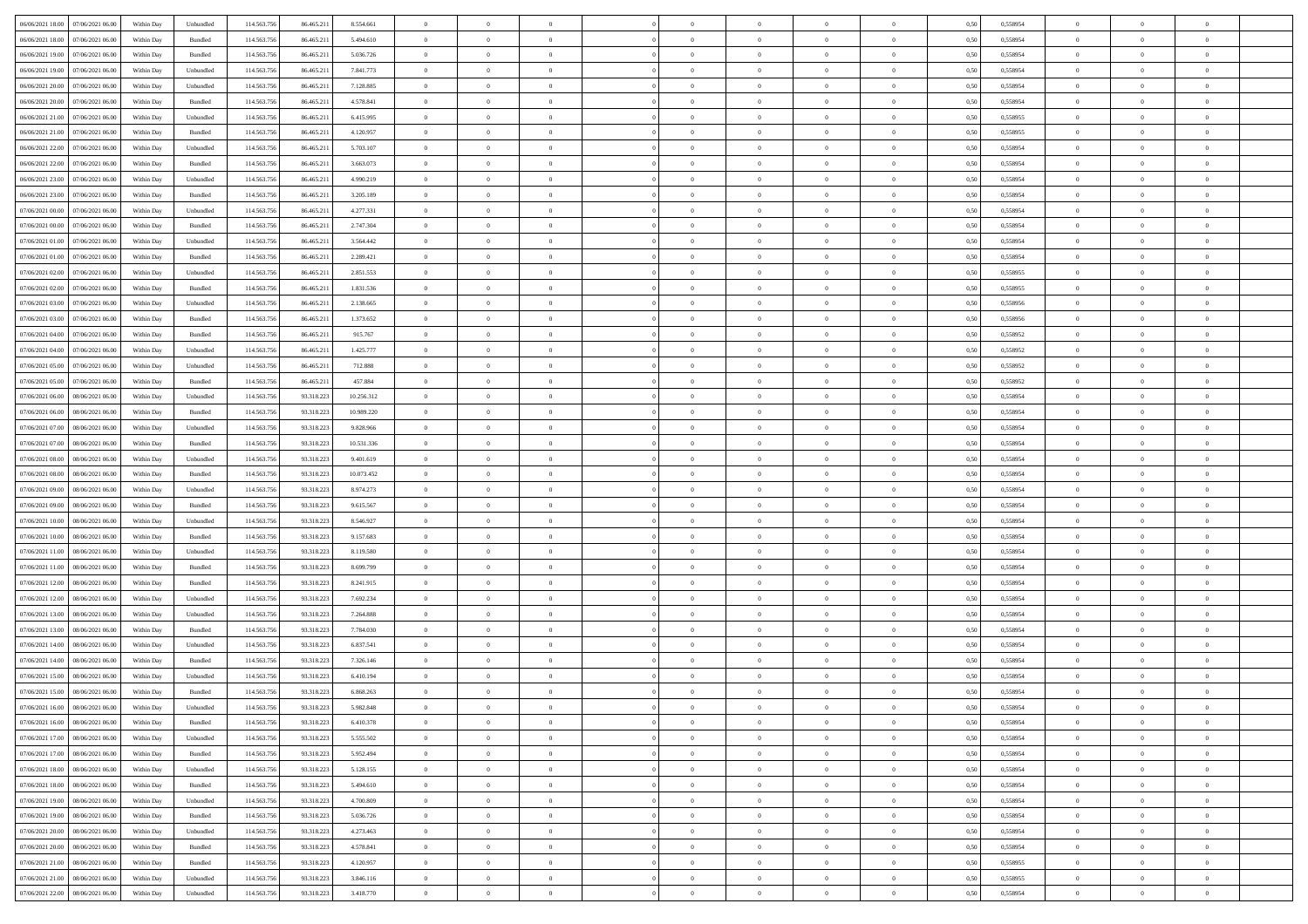| 06/06/2021 18:00 07/06/2021 06:00                                                      | Within Day | Unbundled                   | 114.563.75  | 86.465.211 | 8.554.661  | $\overline{0}$ | $\overline{0}$ |                | $\overline{0}$ | $\theta$       |                | $\theta$       | 0,50 | 0,558954 | $\theta$       | $\theta$       | $\overline{0}$ |  |
|----------------------------------------------------------------------------------------|------------|-----------------------------|-------------|------------|------------|----------------|----------------|----------------|----------------|----------------|----------------|----------------|------|----------|----------------|----------------|----------------|--|
| 06/06/2021 18:00<br>07/06/2021 06.00                                                   | Within Day | Bundled                     | 114.563.75  | 86.465.21  | 5.494.610  | $\bf{0}$       | $\bf{0}$       | $\bf{0}$       | $\overline{0}$ | $\overline{0}$ | $\overline{0}$ | $\bf{0}$       | 0,50 | 0,558954 | $\,$ 0 $\,$    | $\bf{0}$       | $\overline{0}$ |  |
| 06/06/2021 19:00<br>07/06/2021 06:00                                                   | Within Day | Bundled                     | 114.563.75  | 86.465.211 | 5.036.726  | $\overline{0}$ | $\bf{0}$       | $\overline{0}$ | $\bf{0}$       | $\bf{0}$       | $\overline{0}$ | $\bf{0}$       | 0.50 | 0.558954 | $\bf{0}$       | $\overline{0}$ | $\overline{0}$ |  |
| 06/06/2021 19:00<br>07/06/2021 06:00                                                   |            |                             | 114.563.75  |            |            | $\overline{0}$ | $\overline{0}$ | $\overline{0}$ | $\theta$       | $\theta$       | $\overline{0}$ |                |      |          | $\theta$       | $\theta$       | $\overline{0}$ |  |
|                                                                                        | Within Day | Unbundled                   |             | 86.465.211 | 7.841.773  |                |                |                |                |                |                | $\bf{0}$       | 0,50 | 0,558954 |                |                |                |  |
| 06/06/2021 20:00<br>07/06/2021 06.00                                                   | Within Day | Unbundled                   | 114.563.75  | 86.465.21  | 7.128.885  | $\overline{0}$ | $\overline{0}$ | $\bf{0}$       | $\overline{0}$ | $\theta$       | $\overline{0}$ | $\bf{0}$       | 0,50 | 0,558954 | $\,$ 0 $\,$    | $\bf{0}$       | $\overline{0}$ |  |
| 06/06/2021 20:00<br>07/06/2021 06:00                                                   | Within Day | Bundled                     | 114,563,75  | 86.465.21  | 4.578.841  | $\overline{0}$ | $\overline{0}$ | $\overline{0}$ | $\bf{0}$       | $\overline{0}$ | $\theta$       | $\bf{0}$       | 0.50 | 0.558954 | $\,$ 0 $\,$    | $\theta$       | $\overline{0}$ |  |
| 06/06/2021 21:00<br>07/06/2021 06.00                                                   | Within Day | Unbundled                   | 114.563.75  | 86.465.211 | 6.415.995  | $\overline{0}$ | $\overline{0}$ | $\overline{0}$ | $\overline{0}$ | $\overline{0}$ | $\overline{0}$ | $\bf{0}$       | 0,50 | 0,558955 | $\theta$       | $\theta$       | $\overline{0}$ |  |
|                                                                                        |            |                             |             |            |            |                |                |                |                |                |                |                |      |          |                |                |                |  |
| 06/06/2021 21:00<br>07/06/2021 06.00                                                   | Within Day | Bundled                     | 114.563.75  | 86.465.21  | 4.120.957  | $\bf{0}$       | $\overline{0}$ | $\bf{0}$       | $\overline{0}$ | $\theta$       | $\overline{0}$ | $\bf{0}$       | 0,50 | 0,558955 | $\,$ 0 $\,$    | $\bf{0}$       | $\overline{0}$ |  |
| 06/06/2021 22.00<br>07/06/2021 06:00                                                   | Within Day | Unbundled                   | 114,563,75  | 86.465.21  | 5.703.107  | $\overline{0}$ | $\bf{0}$       | $\overline{0}$ | $\bf{0}$       | $\overline{0}$ | $\overline{0}$ | $\bf{0}$       | 0.50 | 0.558954 | $\bf{0}$       | $\overline{0}$ | $\overline{0}$ |  |
| 06/06/2021 22:00<br>07/06/2021 06:00                                                   | Within Day | Bundled                     | 114.563.75  | 86.465.211 | 3.663.073  | $\overline{0}$ | $\bf{0}$       | $\overline{0}$ | $\overline{0}$ | $\overline{0}$ | $\overline{0}$ | $\bf{0}$       | 0,50 | 0,558954 | $\,$ 0 $\,$    | $\bf{0}$       | $\overline{0}$ |  |
| 06/06/2021 23:00<br>07/06/2021 06.00                                                   | Within Day | Unbundled                   | 114.563.75  | 86.465.21  | 4.990.219  | $\bf{0}$       | $\overline{0}$ | $\bf{0}$       | $\bf{0}$       | $\bf{0}$       | $\overline{0}$ | $\bf{0}$       | 0,50 | 0,558954 | $\,$ 0 $\,$    | $\bf{0}$       | $\overline{0}$ |  |
|                                                                                        |            |                             |             |            |            |                |                |                |                |                |                |                |      |          |                |                |                |  |
| 06/06/2021 23:00<br>07/06/2021 06:00                                                   | Within Day | Bundled                     | 114,563,75  | 86.465.211 | 3.205.189  | $\overline{0}$ | $\bf{0}$       | $\overline{0}$ | $\overline{0}$ | $\bf{0}$       | $\overline{0}$ | $\bf{0}$       | 0.50 | 0.558954 | $\bf{0}$       | $\overline{0}$ | $\overline{0}$ |  |
| 07/06/2021 00:00<br>07/06/2021 06:00                                                   | Within Day | Unbundled                   | 114.563.75  | 86.465.211 | 4.277.331  | $\overline{0}$ | $\overline{0}$ | $\overline{0}$ | $\theta$       | $\theta$       | $\overline{0}$ | $\overline{0}$ | 0,50 | 0,558954 | $\,$ 0 $\,$    | $\theta$       | $\overline{0}$ |  |
| 07/06/2021 00:00<br>07/06/2021 06.00                                                   | Within Day | Bundled                     | 114.563.75  | 86.465.21  | 2.747.304  | $\bf{0}$       | $\overline{0}$ | $\bf{0}$       | $\overline{0}$ | $\theta$       | $\overline{0}$ | $\bf{0}$       | 0,50 | 0,558954 | $\,$ 0 $\,$    | $\bf{0}$       | $\overline{0}$ |  |
|                                                                                        |            |                             |             |            |            |                |                |                |                |                |                |                |      |          |                |                |                |  |
| 07/06/2021 01:00<br>07/06/2021 06:00                                                   | Within Day | Unbundled                   | 114,563,75  | 86.465.21  | 3.564.442  | $\overline{0}$ | $\overline{0}$ | $\overline{0}$ | $\bf{0}$       | $\overline{0}$ | $\Omega$       | $\bf{0}$       | 0.50 | 0.558954 | $\,$ 0 $\,$    | $\theta$       | $\overline{0}$ |  |
| 07/06/2021 01:00<br>07/06/2021 06:00                                                   | Within Day | Bundled                     | 114.563.75  | 86.465.211 | 2.289.421  | $\overline{0}$ | $\overline{0}$ | $\overline{0}$ | $\overline{0}$ | $\overline{0}$ | $\overline{0}$ | $\bf{0}$       | 0,50 | 0,558954 | $\theta$       | $\theta$       | $\overline{0}$ |  |
| 07/06/2021 02:00<br>07/06/2021 06.00                                                   | Within Day | Unbundled                   | 114.563.75  | 86.465.21  | 2.851.553  | $\bf{0}$       | $\overline{0}$ | $\bf{0}$       | $\overline{0}$ | $\theta$       | $\overline{0}$ | $\bf{0}$       | 0,50 | 0,558955 | $\,$ 0 $\,$    | $\bf{0}$       | $\overline{0}$ |  |
| 07/06/2021 02:00<br>07/06/2021 06:00                                                   | Within Day | Bundled                     | 114,563,75  | 86.465.21  | 1.831.536  | $\overline{0}$ | $\bf{0}$       | $\overline{0}$ | $\bf{0}$       | $\overline{0}$ | $\overline{0}$ | $\bf{0}$       | 0.50 | 0.558955 | $\bf{0}$       | $\overline{0}$ | $\overline{0}$ |  |
| 07/06/2021 03:00<br>07/06/2021 06:00                                                   | Within Day | Unbundled                   | 114.563.75  | 86.465.211 | 2.138.665  | $\overline{0}$ | $\bf{0}$       | $\overline{0}$ | $\overline{0}$ | $\overline{0}$ | $\overline{0}$ | $\bf{0}$       | 0,50 | 0,558956 | $\,$ 0 $\,$    | $\bf{0}$       | $\overline{0}$ |  |
|                                                                                        |            |                             |             |            |            |                |                |                |                |                |                |                |      |          |                |                |                |  |
| 07/06/2021 03:00<br>07/06/2021 06.00                                                   | Within Day | Bundled                     | 114.563.75  | 86.465.21  | 1.373.652  | $\bf{0}$       | $\bf{0}$       | $\bf{0}$       | $\bf{0}$       | $\overline{0}$ | $\overline{0}$ | $\bf{0}$       | 0,50 | 0,558956 | $\,$ 0 $\,$    | $\bf{0}$       | $\overline{0}$ |  |
| 07/06/2021 04:00<br>07/06/2021 06:00                                                   | Within Day | Bundled                     | 114.563.75  | 86.465.211 | 915.767    | $\overline{0}$ | $\bf{0}$       | $\overline{0}$ | $\overline{0}$ | $\bf{0}$       | $\overline{0}$ | $\bf{0}$       | 0.50 | 0.558952 | $\bf{0}$       | $\overline{0}$ | $\overline{0}$ |  |
| 07/06/2021 04:00<br>07/06/2021 06:00                                                   | Within Day | Unbundled                   | 114.563.75  | 86.465.211 | 1.425.777  | $\overline{0}$ | $\overline{0}$ | $\overline{0}$ | $\theta$       | $\theta$       | $\overline{0}$ | $\bf{0}$       | 0,50 | 0,558952 | $\theta$       | $\theta$       | $\overline{0}$ |  |
| 07/06/2021 05:00<br>07/06/2021 06.00                                                   | Within Day | Unbundled                   | 114.563.75  | 86.465.21  | 712.888    | $\bf{0}$       | $\overline{0}$ | $\bf{0}$       | $\bf{0}$       | $\overline{0}$ | $\overline{0}$ | $\bf{0}$       | 0,50 | 0,558952 | $\,$ 0 $\,$    | $\bf{0}$       | $\overline{0}$ |  |
|                                                                                        |            |                             |             |            |            |                |                |                |                |                |                |                |      |          |                |                |                |  |
| 07/06/2021 05:00<br>07/06/2021 06:00                                                   | Within Day | Bundled                     | 114,563,75  | 86.465.21  | 457.884    | $\overline{0}$ | $\overline{0}$ | $\overline{0}$ | $\bf{0}$       | $\overline{0}$ | $\Omega$       | $\bf{0}$       | 0.50 | 0.558952 | $\,$ 0 $\,$    | $\theta$       | $\overline{0}$ |  |
| 07/06/2021 06:00<br>08/06/2021 06:00                                                   | Within Day | Unbundled                   | 114.563.75  | 93.318.223 | 10.256.312 | $\overline{0}$ | $\overline{0}$ | $\overline{0}$ | $\overline{0}$ | $\overline{0}$ | $\overline{0}$ | $\bf{0}$       | 0,50 | 0,558954 | $\,$ 0 $\,$    | $\theta$       | $\overline{0}$ |  |
| 07/06/2021 06:00<br>08/06/2021 06:00                                                   | Within Day | Bundled                     | 114.563.75  | 93.318.22  | 10.989.220 | $\bf{0}$       | $\overline{0}$ | $\bf{0}$       | $\overline{0}$ | $\theta$       | $\overline{0}$ | $\bf{0}$       | 0,50 | 0,558954 | $\,$ 0 $\,$    | $\bf{0}$       | $\overline{0}$ |  |
| 07/06/2021 07:00<br>08/06/2021 06:00                                                   | Within Day | Unbundled                   | 114,563,75  | 93.318.223 | 9.828.966  | $\overline{0}$ | $\bf{0}$       | $\overline{0}$ | $\bf{0}$       | $\overline{0}$ | $\overline{0}$ | $\bf{0}$       | 0.50 | 0.558954 | $\bf{0}$       | $\overline{0}$ | $\overline{0}$ |  |
|                                                                                        |            |                             |             |            |            |                |                |                |                |                |                |                |      |          |                |                |                |  |
| 07/06/2021 07:00<br>08/06/2021 06:00                                                   | Within Day | Bundled                     | 114.563.756 | 93.318.223 | 10.531.336 | $\overline{0}$ | $\overline{0}$ | $\overline{0}$ | $\overline{0}$ | $\overline{0}$ | $\overline{0}$ | $\bf{0}$       | 0,50 | 0,558954 | $\theta$       | $\theta$       | $\overline{0}$ |  |
| 07/06/2021 08:00<br>08/06/2021 06:00                                                   | Within Day | Unbundled                   | 114.563.75  | 93.318.223 | 9.401.619  | $\bf{0}$       | $\bf{0}$       | $\bf{0}$       | $\bf{0}$       | $\overline{0}$ | $\overline{0}$ | $\bf{0}$       | 0,50 | 0,558954 | $\,$ 0 $\,$    | $\bf{0}$       | $\overline{0}$ |  |
| 07/06/2021 08:00<br>08/06/2021 06:00                                                   | Within Day | Bundled                     | 114,563,75  | 93.318.223 | 10.073.452 | $\overline{0}$ | $\bf{0}$       | $\overline{0}$ | $\bf{0}$       | $\bf{0}$       | $\overline{0}$ | $\bf{0}$       | 0.50 | 0.558954 | $\bf{0}$       | $\overline{0}$ | $\overline{0}$ |  |
| 07/06/2021 09:00<br>08/06/2021 06:00                                                   | Within Day | Unbundled                   | 114.563.75  | 93.318.223 | 8.974.273  | $\overline{0}$ | $\overline{0}$ | $\overline{0}$ | $\overline{0}$ | $\overline{0}$ | $\overline{0}$ | $\bf{0}$       | 0.50 | 0.558954 | $\theta$       | $\theta$       | $\overline{0}$ |  |
|                                                                                        |            |                             |             |            |            |                |                |                |                |                |                |                |      |          |                |                |                |  |
| 07/06/2021 09:00<br>08/06/2021 06:00                                                   | Within Day | Bundled                     | 114.563.75  | 93.318.223 | 9.615.567  | $\bf{0}$       | $\overline{0}$ | $\bf{0}$       | $\bf{0}$       | $\overline{0}$ | $\overline{0}$ | $\bf{0}$       | 0,50 | 0,558954 | $\,$ 0 $\,$    | $\bf{0}$       | $\overline{0}$ |  |
| 07/06/2021 10:00<br>08/06/2021 06:00                                                   | Within Day | Unbundled                   | 114,563,75  | 93.318.223 | 8.546.927  | $\overline{0}$ | $\bf{0}$       | $\overline{0}$ | $\bf{0}$       | $\overline{0}$ | $\Omega$       | $\bf{0}$       | 0.50 | 0.558954 | $\,$ 0 $\,$    | $\theta$       | $\overline{0}$ |  |
| 07/06/2021 10:00<br>08/06/2021 06:00                                                   | Within Dav | Bundled                     | 114.563.75  | 93.318.223 | 9.157.683  | $\overline{0}$ | $\overline{0}$ | $\overline{0}$ | $\overline{0}$ | $\theta$       | $\overline{0}$ | $\bf{0}$       | 0.50 | 0,558954 | $\theta$       | $\theta$       | $\overline{0}$ |  |
| 07/06/2021 11:00<br>08/06/2021 06:00                                                   | Within Day | Unbundled                   | 114.563.75  | 93.318.22  | 8.119.580  | $\bf{0}$       | $\bf{0}$       | $\bf{0}$       | $\bf{0}$       | $\bf{0}$       | $\overline{0}$ | $\bf{0}$       | 0,50 | 0,558954 | $\,$ 0 $\,$    | $\bf{0}$       | $\overline{0}$ |  |
| 08/06/2021 06:00                                                                       |            | Bundled                     | 114,563,75  | 93.318.22  | 8.699.799  |                | $\bf{0}$       | $\overline{0}$ |                | $\overline{0}$ | $\overline{0}$ |                | 0.50 | 0.558954 | $\bf{0}$       | $\overline{0}$ | $\overline{0}$ |  |
| 07/06/2021 11:00                                                                       | Within Day |                             |             |            |            | $\overline{0}$ |                |                | $\bf{0}$       |                |                | $\bf{0}$       |      |          |                |                |                |  |
| 07/06/2021 12:00<br>08/06/2021 06:00                                                   | Within Dav | Bundled                     | 114.563.75  | 93.318.223 | 8.241.915  | $\overline{0}$ | $\overline{0}$ | $\overline{0}$ | $\overline{0}$ | $\overline{0}$ | $\overline{0}$ | $\bf{0}$       | 0.50 | 0,558954 | $\theta$       | $\theta$       | $\overline{0}$ |  |
| 07/06/2021 12:00<br>08/06/2021 06:00                                                   | Within Day | Unbundled                   | 114.563.75  | 93.318.223 | 7.692.234  | $\bf{0}$       | $\bf{0}$       | $\bf{0}$       | $\bf{0}$       | $\overline{0}$ | $\overline{0}$ | $\bf{0}$       | 0,50 | 0,558954 | $\,$ 0 $\,$    | $\bf{0}$       | $\overline{0}$ |  |
| 07/06/2021 13:00<br>08/06/2021 06:00                                                   | Within Day | Unbundled                   | 114.563.75  | 93.318.223 | 7.264.888  | $\overline{0}$ | $\bf{0}$       | $\overline{0}$ | $\overline{0}$ | $\bf{0}$       | $\overline{0}$ | $\bf{0}$       | 0.50 | 0.558954 | $\bf{0}$       | $\overline{0}$ | $\overline{0}$ |  |
| 07/06/2021 13:00<br>08/06/2021 06:00                                                   | Within Dav | Bundled                     | 114.563.75  | 93.318.223 | 7.784.030  | $\overline{0}$ | $\overline{0}$ | $\overline{0}$ | $\overline{0}$ | $\theta$       | $\overline{0}$ | $\bf{0}$       | 0.50 | 0,558954 | $\theta$       | $\theta$       | $\overline{0}$ |  |
|                                                                                        |            |                             |             |            |            |                |                |                |                |                |                |                |      |          |                |                |                |  |
| 07/06/2021 14:00<br>08/06/2021 06:00                                                   | Within Day | Unbundled                   | 114.563.75  | 93.318.223 | 6.837.541  | $\bf{0}$       | $\bf{0}$       | $\bf{0}$       | $\bf{0}$       | $\overline{0}$ | $\overline{0}$ | $\bf{0}$       | 0,50 | 0,558954 | $\,$ 0 $\,$    | $\bf{0}$       | $\overline{0}$ |  |
| 07/06/2021 14:00<br>08/06/2021 06:00                                                   | Within Day | Bundled                     | 114,563,75  | 93.318.223 | 7.326.146  | $\overline{0}$ | $\overline{0}$ | $\overline{0}$ | $\bf{0}$       | $\theta$       | $\Omega$       | $\bf{0}$       | 0.50 | 0.558954 | $\bf{0}$       | $\theta$       | $\overline{0}$ |  |
| 07/06/2021 15:00<br>08/06/2021 06:00                                                   | Within Dav | Unbundled                   | 114.563.75  | 93.318.223 | 6.410.194  | $\overline{0}$ | $\overline{0}$ | $\Omega$       | $\overline{0}$ | $\theta$       | $\Omega$       | $\overline{0}$ | 0.5( | 0,558954 | $\theta$       | $\theta$       | $\overline{0}$ |  |
| 07/06/2021 15:00<br>08/06/2021 06:00                                                   | Within Day | Bundled                     | 114.563.75  | 93.318.223 | 6.868.263  | $\bf{0}$       | $\bf{0}$       | $\overline{0}$ | $\bf{0}$       | $\bf{0}$       | $\overline{0}$ | $\bf{0}$       | 0,50 | 0,558954 | $\,$ 0 $\,$    | $\bf{0}$       | $\overline{0}$ |  |
|                                                                                        |            |                             |             |            |            |                |                |                |                |                |                |                |      |          |                |                |                |  |
| ${\color{red} 07/06/2021}\,\, 16.00 {\color{red}08/06/2021}\,\, 06.00 {\color{red}00}$ | Within Day | $\ensuremath{\mathsf{Unb}}$ | 114.563.756 | 93.318.223 | 5.982.848  | $\overline{0}$ | $\Omega$       |                | $\Omega$       |                |                |                | 0,50 | 0.558954 | $\theta$       | $\overline{0}$ |                |  |
| 07/06/2021 16:00 08/06/2021 06:00                                                      | Within Day | Bundled                     | 114.563.756 | 93.318.223 | 6.410.378  | $\overline{0}$ | $\overline{0}$ | $\Omega$       | $\theta$       | $\overline{0}$ | $\overline{0}$ | $\bf{0}$       | 0,50 | 0,558954 | $\theta$       | $\theta$       | $\overline{0}$ |  |
| 07/06/2021 17:00<br>08/06/2021 06:00                                                   | Within Day | Unbundled                   | 114.563.75  | 93.318.223 | 5.555.502  | $\overline{0}$ | $\bf{0}$       | $\overline{0}$ | $\overline{0}$ | $\bf{0}$       | $\overline{0}$ | $\bf{0}$       | 0,50 | 0,558954 | $\bf{0}$       | $\overline{0}$ | $\bf{0}$       |  |
| 07/06/2021 17:00  08/06/2021 06:00                                                     | Within Day | Bundled                     | 114,563,756 | 93.318.223 | 5.952.494  | $\overline{0}$ | $\bf{0}$       | $\overline{0}$ | $\overline{0}$ | $\mathbf{0}$   | $\overline{0}$ | $\,$ 0 $\,$    | 0.50 | 0.558954 | $\overline{0}$ | $\bf{0}$       | $\,$ 0 $\,$    |  |
|                                                                                        |            |                             |             |            |            |                |                |                |                |                |                |                |      |          |                |                |                |  |
| 07/06/2021 18:00  08/06/2021 06:00                                                     | Within Dav | Unbundled                   | 114.563.756 | 93.318.223 | 5.128.155  | $\overline{0}$ | $\overline{0}$ | $\overline{0}$ | $\overline{0}$ | $\overline{0}$ | $\overline{0}$ | $\bf{0}$       | 0,50 | 0,558954 | $\theta$       | $\theta$       | $\overline{0}$ |  |
| 07/06/2021 18:00<br>08/06/2021 06:00                                                   | Within Day | Bundled                     | 114.563.75  | 93.318.223 | 5.494.610  | $\overline{0}$ | $\bf{0}$       | $\overline{0}$ | $\overline{0}$ | $\bf{0}$       | $\overline{0}$ | $\bf{0}$       | 0,50 | 0,558954 | $\bf{0}$       | $\overline{0}$ | $\overline{0}$ |  |
| 07/06/2021 19:00<br>08/06/2021 06:00                                                   | Within Day | Unbundled                   | 114.563.756 | 93.318.223 | 4.700,809  | $\overline{0}$ | $\bf{0}$       | $\overline{0}$ | $\overline{0}$ | $\bf{0}$       | $\overline{0}$ | $\bf{0}$       | 0.50 | 0.558954 | $\,$ 0 $\,$    | $\overline{0}$ | $\,$ 0         |  |
| 07/06/2021 19:00<br>08/06/2021 06:00                                                   | Within Dav | Bundled                     | 114.563.756 | 93.318.223 | 5.036.726  | $\overline{0}$ | $\overline{0}$ | $\overline{0}$ | $\overline{0}$ | $\overline{0}$ | $\overline{0}$ | $\bf{0}$       | 0.50 | 0,558954 | $\overline{0}$ | $\theta$       | $\overline{0}$ |  |
|                                                                                        |            |                             |             |            |            |                |                |                |                |                |                |                |      |          |                |                |                |  |
| 07/06/2021 20:00<br>08/06/2021 06:00                                                   | Within Day | Unbundled                   | 114.563.75  | 93.318.223 | 4.273.463  | $\overline{0}$ | $\overline{0}$ | $\overline{0}$ | $\overline{0}$ | $\overline{0}$ | $\overline{0}$ | $\bf{0}$       | 0,50 | 0,558954 | $\bf{0}$       | $\overline{0}$ | $\overline{0}$ |  |
| 07/06/2021 20:00   08/06/2021 06:00                                                    | Within Day | Bundled                     | 114.563.75  | 93.318.223 | 4.578.841  | $\overline{0}$ | $\overline{0}$ | $\overline{0}$ | $\overline{0}$ | $\overline{0}$ | $\overline{0}$ | $\bf{0}$       | 0.50 | 0.558954 | $\mathbf{0}$   | $\bf{0}$       | $\,$ 0         |  |
| 07/06/2021 21:00  08/06/2021 06:00                                                     | Within Dav | Bundled                     | 114.563.756 | 93.318.223 | 4.120.957  | $\overline{0}$ | $\overline{0}$ | $\overline{0}$ | $\overline{0}$ | $\overline{0}$ | $\overline{0}$ | $\bf{0}$       | 0,50 | 0,558955 | $\overline{0}$ | $\theta$       | $\overline{0}$ |  |
| 07/06/2021 21:00<br>08/06/2021 06:00                                                   | Within Day | Unbundled                   | 114.563.75  | 93.318.223 | 3.846.116  | $\overline{0}$ | $\bf{0}$       | $\overline{0}$ | $\bf{0}$       | $\overline{0}$ | $\overline{0}$ | $\bf{0}$       | 0,50 | 0,558955 | $\bf{0}$       | $\overline{0}$ | $\bf{0}$       |  |
|                                                                                        |            |                             |             |            |            |                |                |                |                |                |                |                |      |          |                |                |                |  |
| 07/06/2021 22:00 08/06/2021 06:00                                                      | Within Day | Unbundled                   | 114.563.756 | 93.318.223 | 3.418.770  | $\overline{0}$ | $\bf{0}$       | $\overline{0}$ | $\overline{0}$ | $\,$ 0 $\,$    | $\overline{0}$ | $\bf{0}$       | 0,50 | 0,558954 | $\overline{0}$ | $\,$ 0 $\,$    | $\,$ 0 $\,$    |  |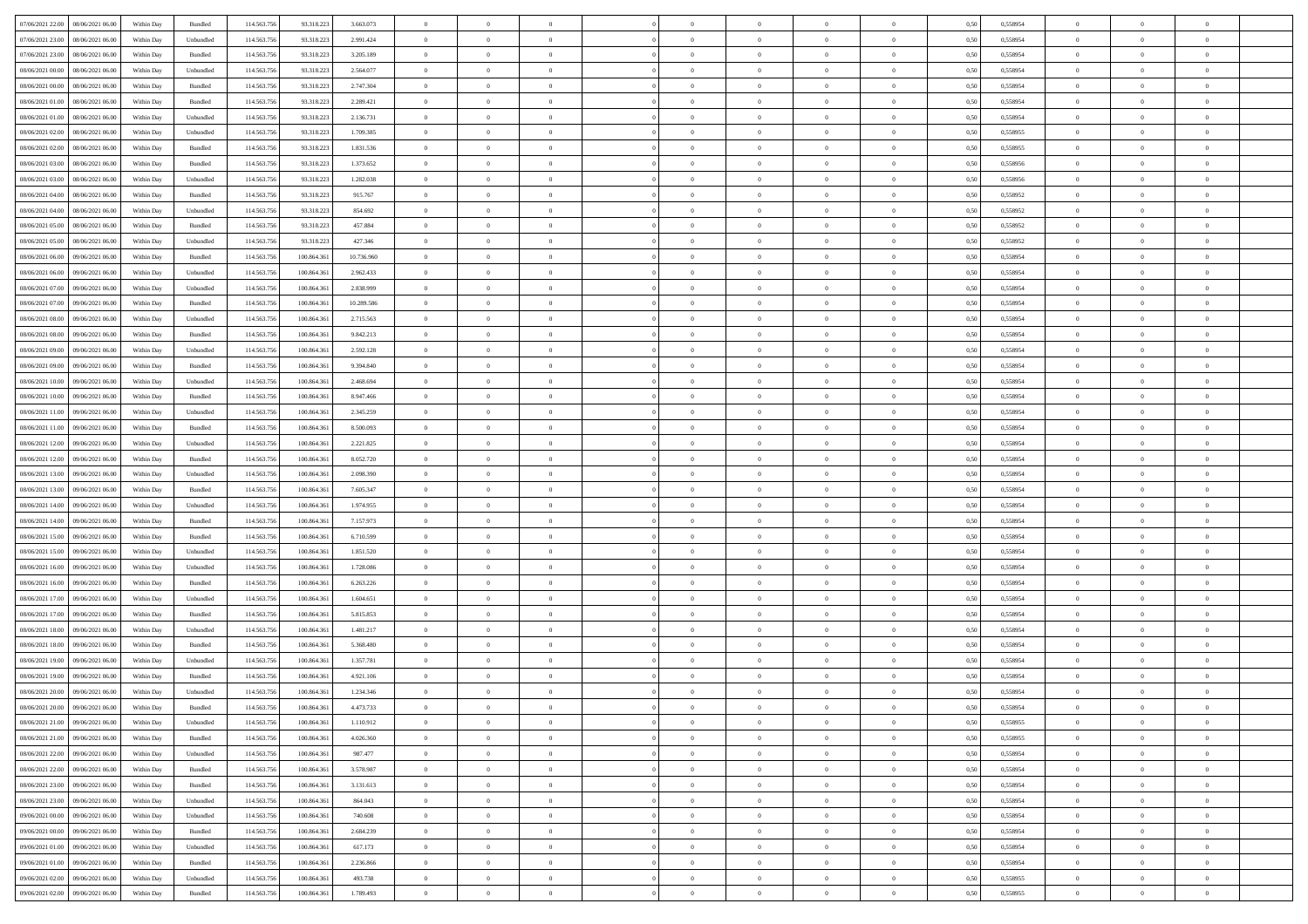| 07/06/2021 22.00<br>08/06/2021 06:00          | Within Day | Bundled   | 114.563.756 | 93.318.223  | 3.663.073  | $\overline{0}$ | $\overline{0}$   |                | $\theta$       | $\theta$       |                | $\overline{0}$ | 0,50 | 0,558954 | $\theta$       | $\theta$       | $\overline{0}$ |  |
|-----------------------------------------------|------------|-----------|-------------|-------------|------------|----------------|------------------|----------------|----------------|----------------|----------------|----------------|------|----------|----------------|----------------|----------------|--|
|                                               |            |           |             |             |            |                | $\overline{0}$   |                | $\,$ 0 $\,$    | $\bf{0}$       | $\overline{0}$ | $\bf{0}$       |      |          | $\,$ 0 $\,$    | $\theta$       | $\overline{0}$ |  |
| 07/06/2021 23.00<br>08/06/2021 06.00          | Within Day | Unbundled | 114.563.75  | 93.318.223  | 2.991.424  | $\overline{0}$ |                  | $\overline{0}$ |                |                |                |                | 0,50 | 0,558954 |                |                |                |  |
| 07/06/2021 23.00<br>08/06/2021 06:00          | Within Day | Bundled   | 114.563.756 | 93.318.223  | 3.205.189  | $\overline{0}$ | $\overline{0}$   | $\overline{0}$ | $\bf{0}$       | $\bf{0}$       | $\overline{0}$ | $\mathbf{0}$   | 0.50 | 0.558954 | $\bf{0}$       | $\overline{0}$ | $\overline{0}$ |  |
| 08/06/2021 00:00<br>08/06/2021 06:00          | Within Day | Unbundled | 114.563.756 | 93.318.223  | 2.564.077  | $\overline{0}$ | $\overline{0}$   | $\overline{0}$ | $\overline{0}$ | $\overline{0}$ | $\overline{0}$ | $\bf{0}$       | 0,50 | 0,558954 | $\theta$       | $\theta$       | $\overline{0}$ |  |
| 08/06/2021 00:00<br>08/06/2021 06.00          | Within Day | Bundled   | 114.563.75  | 93.318.223  | 2.747.304  | $\overline{0}$ | $\overline{0}$   | $\bf{0}$       | $\overline{0}$ | $\overline{0}$ | $\overline{0}$ | $\bf{0}$       | 0,50 | 0,558954 | $\,$ 0 $\,$    | $\theta$       | $\overline{0}$ |  |
| 08/06/2021 01:00<br>08/06/2021 06:00          | Within Day | Bundled   | 114,563,756 | 93.318.223  | 2.289.421  | $\overline{0}$ | $\overline{0}$   | $\overline{0}$ | $\overline{0}$ | $\overline{0}$ | $\overline{0}$ | $\mathbf{0}$   | 0.50 | 0.558954 | $\theta$       | $\theta$       | $\overline{0}$ |  |
| 08/06/2021 01:00<br>08/06/2021 06.00          | Within Day | Unbundled | 114.563.756 | 93.318.223  | 2.136.731  | $\overline{0}$ | $\overline{0}$   | $\overline{0}$ | $\overline{0}$ | $\overline{0}$ | $\overline{0}$ | $\bf{0}$       | 0,50 | 0,558954 | $\theta$       | $\theta$       | $\overline{0}$ |  |
| 08/06/2021 02:00<br>08/06/2021 06.00          | Within Day | Unbundled | 114.563.756 | 93.318.223  | 1.709.385  | $\bf{0}$       | $\overline{0}$   | $\overline{0}$ | $\overline{0}$ | $\bf{0}$       | $\overline{0}$ | $\bf{0}$       | 0,50 | 0,558955 | $\,$ 0 $\,$    | $\bf{0}$       | $\overline{0}$ |  |
| 08/06/2021 02:00<br>08/06/2021 06:00          | Within Day | Bundled   | 114,563,756 | 93.318.223  | 1.831.536  | $\overline{0}$ | $\overline{0}$   | $\overline{0}$ | $\bf{0}$       | $\overline{0}$ | $\overline{0}$ | $\mathbf{0}$   | 0.50 | 0.558955 | $\,$ 0 $\,$    | $\overline{0}$ | $\overline{0}$ |  |
| 08/06/2021 03:00<br>08/06/2021 06:00          | Within Day | Bundled   | 114.563.756 | 93.318.223  | 1.373.652  | $\overline{0}$ | $\overline{0}$   | $\overline{0}$ | $\bf{0}$       | $\overline{0}$ | $\overline{0}$ | $\bf{0}$       | 0,50 | 0,558956 | $\,$ 0 $\,$    | $\theta$       | $\overline{0}$ |  |
|                                               |            |           |             |             |            |                |                  |                |                |                |                |                |      |          |                |                |                |  |
| 08/06/2021 03:00<br>08/06/2021 06.00          | Within Day | Unbundled | 114.563.756 | 93.318.223  | 1.282.038  | $\overline{0}$ | $\overline{0}$   | $\overline{0}$ | $\bf{0}$       | $\bf{0}$       | $\overline{0}$ | $\bf{0}$       | 0,50 | 0,558956 | $\,$ 0 $\,$    | $\bf{0}$       | $\overline{0}$ |  |
| 08/06/2021 04:00<br>08/06/2021 06:00          | Within Day | Bundled   | 114,563,756 | 93.318.223  | 915.767    | $\overline{0}$ | $\overline{0}$   | $\overline{0}$ | $\bf{0}$       | $\bf{0}$       | $\overline{0}$ | $\mathbf{0}$   | 0.50 | 0.558952 | $\bf{0}$       | $\overline{0}$ | $\bf{0}$       |  |
| 08/06/2021 04:00<br>08/06/2021 06:00          | Within Day | Unbundled | 114.563.756 | 93.318.223  | 854.692    | $\overline{0}$ | $\overline{0}$   | $\overline{0}$ | $\overline{0}$ | $\overline{0}$ | $\overline{0}$ | $\bf{0}$       | 0,50 | 0,558952 | $\theta$       | $\theta$       | $\overline{0}$ |  |
| 08/06/2021 05:00<br>08/06/2021 06.00          | Within Day | Bundled   | 114.563.75  | 93.318.223  | 457.884    | $\bf{0}$       | $\overline{0}$   | $\bf{0}$       | $\bf{0}$       | $\overline{0}$ | $\overline{0}$ | $\bf{0}$       | 0,50 | 0,558952 | $\,$ 0 $\,$    | $\bf{0}$       | $\overline{0}$ |  |
| 08/06/2021 05:00<br>08/06/2021 06:00          | Within Day | Unbundled | 114.563.756 | 93.318.223  | 427.346    | $\overline{0}$ | $\overline{0}$   | $\overline{0}$ | $\overline{0}$ | $\overline{0}$ | $\overline{0}$ | $\mathbf{0}$   | 0.50 | 0.558952 | $\theta$       | $\theta$       | $\overline{0}$ |  |
| 08/06/2021 06:00<br>09/06/2021 06:00          | Within Day | Bundled   | 114.563.756 | 100.864.361 | 10.736.960 | $\overline{0}$ | $\overline{0}$   | $\overline{0}$ | $\overline{0}$ | $\overline{0}$ | $\overline{0}$ | $\bf{0}$       | 0,50 | 0,558954 | $\theta$       | $\theta$       | $\overline{0}$ |  |
| 08/06/2021 06:00<br>09/06/2021 06.0           | Within Day | Unbundled | 114.563.75  | 100.864.361 | 2.962.433  | $\overline{0}$ | $\overline{0}$   | $\overline{0}$ | $\overline{0}$ | $\overline{0}$ | $\overline{0}$ | $\bf{0}$       | 0,50 | 0,558954 | $\,$ 0 $\,$    | $\theta$       | $\overline{0}$ |  |
| 08/06/2021 07:00<br>09/06/2021 06:00          | Within Day | Unbundled | 114,563,75  | 100.864.361 | 2.838.999  | $\overline{0}$ | $\overline{0}$   | $\overline{0}$ | $\overline{0}$ | $\bf{0}$       | $\overline{0}$ | $\mathbf{0}$   | 0.50 | 0.558954 | $\,$ 0 $\,$    | $\overline{0}$ | $\overline{0}$ |  |
| 08/06/2021 07:00<br>09/06/2021 06:00          | Within Day | Bundled   | 114.563.756 | 100.864.361 | 10.289.586 | $\overline{0}$ | $\overline{0}$   | $\overline{0}$ | $\overline{0}$ | $\overline{0}$ | $\overline{0}$ | $\bf{0}$       | 0,50 | 0,558954 | $\,$ 0 $\,$    | $\theta$       | $\overline{0}$ |  |
|                                               |            |           |             |             |            |                |                  |                |                |                |                |                |      |          |                |                |                |  |
| 08/06/2021 08:00<br>09/06/2021 06.0           | Within Day | Unbundled | 114.563.75  | 100.864.361 | 2.715.563  | $\overline{0}$ | $\overline{0}$   | $\overline{0}$ | $\bf{0}$       | $\bf{0}$       | $\overline{0}$ | $\bf{0}$       | 0,50 | 0,558954 | $\,$ 0 $\,$    | $\bf{0}$       | $\overline{0}$ |  |
| 08/06/2021 08:00<br>09/06/2021 06:00          | Within Day | Bundled   | 114,563,756 | 100,864,361 | 9.842.213  | $\overline{0}$ | $\overline{0}$   | $\overline{0}$ | $\bf{0}$       | $\bf{0}$       | $\overline{0}$ | $\mathbf{0}$   | 0.50 | 0.558954 | $\bf{0}$       | $\overline{0}$ | $\bf{0}$       |  |
| 08/06/2021 09:00<br>09/06/2021 06:00          | Within Day | Unbundled | 114.563.756 | 100.864.361 | 2.592.128  | $\overline{0}$ | $\overline{0}$   | $\overline{0}$ | $\overline{0}$ | $\overline{0}$ | $\overline{0}$ | $\,$ 0 $\,$    | 0,50 | 0,558954 | $\theta$       | $\theta$       | $\overline{0}$ |  |
| 08/06/2021 09:00<br>09/06/2021 06.0           | Within Day | Bundled   | 114.563.75  | 100.864.361 | 9.394.840  | $\overline{0}$ | $\overline{0}$   | $\overline{0}$ | $\bf{0}$       | $\overline{0}$ | $\overline{0}$ | $\bf{0}$       | 0,50 | 0,558954 | $\,$ 0 $\,$    | $\bf{0}$       | $\overline{0}$ |  |
| 08/06/2021 10:00<br>09/06/2021 06:00          | Within Day | Unbundled | 114.563.75  | 100,864,361 | 2.468.694  | $\overline{0}$ | $\overline{0}$   | $\overline{0}$ | $\overline{0}$ | $\overline{0}$ | $\overline{0}$ | $\mathbf{0}$   | 0.50 | 0.558954 | $\,$ 0 $\,$    | $\theta$       | $\overline{0}$ |  |
| 08/06/2021 10:00<br>09/06/2021 06:00          | Within Day | Bundled   | 114.563.756 | 100.864.361 | 8.947.466  | $\overline{0}$ | $\overline{0}$   | $\overline{0}$ | $\overline{0}$ | $\overline{0}$ | $\overline{0}$ | $\bf{0}$       | 0,50 | 0,558954 | $\theta$       | $\theta$       | $\overline{0}$ |  |
| 08/06/2021 11:00<br>09/06/2021 06.0           | Within Day | Unbundled | 114.563.75  | 100.864.361 | 2.345.259  | $\overline{0}$ | $\overline{0}$   | $\overline{0}$ | $\overline{0}$ | $\overline{0}$ | $\overline{0}$ | $\bf{0}$       | 0,50 | 0,558954 | $\,$ 0 $\,$    | $\theta$       | $\overline{0}$ |  |
| 08/06/2021 11:00<br>09/06/2021 06:00          | Within Day | Bundled   | 114,563,756 | 100,864,361 | 8,500,093  | $\overline{0}$ | $\overline{0}$   | $\overline{0}$ | $\overline{0}$ | $\overline{0}$ | $\overline{0}$ | $\mathbf{0}$   | 0.50 | 0.558954 | $\,$ 0 $\,$    | $\overline{0}$ | $\overline{0}$ |  |
| 08/06/2021 12:00<br>09/06/2021 06:00          | Within Day | Unbundled | 114.563.756 | 100.864.361 | 2.221.825  | $\overline{0}$ | $\overline{0}$   | $\overline{0}$ | $\overline{0}$ | $\overline{0}$ | $\overline{0}$ | $\bf{0}$       | 0,50 | 0,558954 | $\theta$       | $\theta$       | $\overline{0}$ |  |
| 08/06/2021 12:00<br>09/06/2021 06.0           | Within Day | Bundled   | 114.563.75  | 100.864.361 | 8.052.720  | $\overline{0}$ | $\overline{0}$   | $\overline{0}$ | $\overline{0}$ | $\bf{0}$       | $\overline{0}$ | $\bf{0}$       | 0,50 | 0,558954 | $\,$ 0 $\,$    | $\bf{0}$       | $\overline{0}$ |  |
|                                               |            |           |             |             |            |                |                  |                |                |                |                |                |      |          |                |                |                |  |
| 08/06/2021 13:00<br>09/06/2021 06:00          | Within Day | Unbundled | 114,563,756 | 100,864,361 | 2.098.390  | $\overline{0}$ | $\overline{0}$   | $\overline{0}$ | $\bf{0}$       | $\bf{0}$       | $\overline{0}$ | $\mathbf{0}$   | 0.50 | 0.558954 | $\bf{0}$       | $\overline{0}$ | $\bf{0}$       |  |
| 08/06/2021 13:00<br>09/06/2021 06:00          | Within Day | Bundled   | 114.563.756 | 100.864.361 | 7.605.347  | $\overline{0}$ | $\overline{0}$   | $\overline{0}$ | $\overline{0}$ | $\overline{0}$ | $\overline{0}$ | $\overline{0}$ | 0.50 | 0.558954 | $\theta$       | $\theta$       | $\overline{0}$ |  |
| 08/06/2021 14:00<br>09/06/2021 06.0           | Within Day | Unbundled | 114.563.75  | 100.864.361 | 1.974.955  | $\overline{0}$ | $\overline{0}$   | $\overline{0}$ | $\bf{0}$       | $\overline{0}$ | $\overline{0}$ | $\bf{0}$       | 0,50 | 0,558954 | $\,$ 0 $\,$    | $\bf{0}$       | $\overline{0}$ |  |
| 08/06/2021 14:00<br>09/06/2021 06:00          | Within Day | Bundled   | 114.563.756 | 100,864,361 | 7.157.973  | $\overline{0}$ | $\overline{0}$   | $\overline{0}$ | $\overline{0}$ | $\overline{0}$ | $\overline{0}$ | $\mathbf{0}$   | 0.50 | 0.558954 | $\,$ 0 $\,$    | $\theta$       | $\overline{0}$ |  |
| 08/06/2021 15:00<br>09/06/2021 06:00          | Within Day | Bundled   | 114.563.756 | 100.864.361 | 6.710.599  | $\overline{0}$ | $\overline{0}$   | $\overline{0}$ | $\overline{0}$ | $\overline{0}$ | $\overline{0}$ | $\overline{0}$ | 0.50 | 0,558954 | $\theta$       | $\theta$       | $\overline{0}$ |  |
| 08/06/2021 15:00<br>09/06/2021 06.0           | Within Day | Unbundled | 114.563.75  | 100.864.361 | 1.851.520  | $\overline{0}$ | $\overline{0}$   | $\overline{0}$ | $\bf{0}$       | $\overline{0}$ | $\overline{0}$ | $\bf{0}$       | 0,50 | 0,558954 | $\,$ 0 $\,$    | $\bf{0}$       | $\overline{0}$ |  |
| 08/06/2021 16:00<br>09/06/2021 06:00          | Within Day | Unbundled | 114,563,75  | 100,864,361 | 1.728.086  | $\overline{0}$ | $\overline{0}$   | $\overline{0}$ | $\overline{0}$ | $\bf{0}$       | $\overline{0}$ | $\mathbf{0}$   | 0.50 | 0.558954 | $\,$ 0 $\,$    | $\overline{0}$ | $\overline{0}$ |  |
| 08/06/2021 16:00<br>09/06/2021 06:00          | Within Day | Bundled   | 114.563.756 | 100.864.361 | 6.263.226  | $\overline{0}$ | $\overline{0}$   | $\overline{0}$ | $\overline{0}$ | $\overline{0}$ | $\overline{0}$ | $\overline{0}$ | 0.50 | 0,558954 | $\theta$       | $\theta$       | $\overline{0}$ |  |
| 08/06/2021 17:00<br>09/06/2021 06.0           | Within Day | Unbundled | 114.563.75  | 100.864.361 | 1.604.651  | $\overline{0}$ | $\overline{0}$   | $\overline{0}$ | $\overline{0}$ | $\bf{0}$       | $\overline{0}$ | $\bf{0}$       | 0,50 | 0,558954 | $\overline{0}$ | $\bf{0}$       | $\overline{0}$ |  |
| 08/06/2021 17:00<br>09/06/2021 06:00          | Within Day | Bundled   | 114,563,756 | 100,864,361 | 5.815.853  | $\overline{0}$ | $\overline{0}$   | $\overline{0}$ | $\bf{0}$       | $\bf{0}$       | $\overline{0}$ | $\mathbf{0}$   | 0.50 | 0.558954 | $\bf{0}$       | $\overline{0}$ | $\overline{0}$ |  |
| 08/06/2021 18:00<br>09/06/2021 06:00          | Within Day | Unbundled | 114.563.756 | 100.864.361 | 1.481.217  | $\overline{0}$ | $\overline{0}$   | $\overline{0}$ | $\overline{0}$ | $\overline{0}$ | $\overline{0}$ | $\overline{0}$ | 0.50 | 0,558954 | $\theta$       | $\theta$       | $\overline{0}$ |  |
|                                               |            |           |             |             |            |                |                  |                |                |                |                |                |      |          |                |                |                |  |
| 08/06/2021 18:00<br>09/06/2021 06.0           | Within Day | Bundled   | 114.563.75  | 100.864.361 | 5.368.480  | $\overline{0}$ | $\overline{0}$   | $\overline{0}$ | $\,$ 0 $\,$    | $\bf{0}$       | $\overline{0}$ | $\bf{0}$       | 0,50 | 0,558954 | $\,$ 0 $\,$    | $\bf{0}$       | $\overline{0}$ |  |
| 08/06/2021 19:00<br>09/06/2021 06:00          | Within Day | Unbundled | 114.563.756 | 100,864,361 | 1.357.781  | $\overline{0}$ | $\overline{0}$   | $\overline{0}$ | $\overline{0}$ | $\overline{0}$ | $\overline{0}$ | $\mathbf{0}$   | 0.50 | 0.558954 | $\,$ 0 $\,$    | $\theta$       | $\overline{0}$ |  |
| 08/06/2021 19:00<br>09/06/2021 06:00          | Within Day | Bundled   | 114.563.756 | 100.864.361 | 4.921.106  | $\overline{0}$ | $\overline{0}$   | $\overline{0}$ | $\overline{0}$ | $\overline{0}$ | $\Omega$       | $\overline{0}$ | 0.50 | 0,558954 | $\theta$       | $\theta$       | $\overline{0}$ |  |
| 08/06/2021 20:00<br>09/06/2021 06.00          | Within Day | Unbundled | 114.563.756 | 100.864.361 | 1.234.346  | $\overline{0}$ | $\overline{0}$   | $\bf{0}$       | $\overline{0}$ | $\bf{0}$       | $\overline{0}$ | $\bf{0}$       | 0,50 | 0,558954 | $\overline{0}$ | $\bf{0}$       | $\overline{0}$ |  |
| $08/06/2021\ 20.00\quad \  09/06/2021\ 06.00$ | Within Day | Bundled   | 114.563.756 | 100.864.361 | 4.473.733  | $\bf{0}$       | $\boldsymbol{0}$ |                | $\theta$       |                |                |                | 0,50 | 0.558954 | $\theta$       | $\overline{0}$ |                |  |
| 08/06/2021 21:00 09/06/2021 06:00             | Within Day | Unbundled | 114.563.756 | 100.864.361 | 1.110.912  | $\overline{0}$ | $\overline{0}$   | $\overline{0}$ | $\overline{0}$ | $\overline{0}$ | $\overline{0}$ | $\overline{0}$ | 0,50 | 0,558955 | $\theta$       | $\theta$       | $\overline{0}$ |  |
| 08/06/2021 21:00<br>09/06/2021 06.00          | Within Day | Bundled   | 114.563.756 | 100.864.361 | 4.026.360  | $\overline{0}$ | $\overline{0}$   | $\overline{0}$ | $\bf{0}$       | $\overline{0}$ | $\overline{0}$ | $\bf{0}$       | 0,50 | 0,558955 | $\overline{0}$ | $\overline{0}$ | $\bf{0}$       |  |
| 08/06/2021 22:00<br>09/06/2021 06:00          | Within Day | Unbundled | 114.563.756 | 100.864.361 | 987.477    | $\overline{0}$ | $\overline{0}$   | $\overline{0}$ | $\,$ 0 $\,$    | $\bf{0}$       | $\overline{0}$ | $\mathbf{0}$   | 0.50 | 0.558954 | $\overline{0}$ | $\overline{0}$ | $\bf{0}$       |  |
| 08/06/2021 22:00<br>09/06/2021 06:00          | Within Dav | Bundled   | 114.563.756 | 100.864.361 | 3.578.987  | $\overline{0}$ | $\overline{0}$   | $\overline{0}$ | $\overline{0}$ | $\overline{0}$ | $\overline{0}$ | $\mathbf{0}$   | 0,50 | 0,558954 | $\overline{0}$ | $\theta$       | $\overline{0}$ |  |
| 08/06/2021 23:00<br>09/06/2021 06:00          | Within Day | Bundled   | 114.563.756 | 100.864.361 | 3.131.613  | $\overline{0}$ | $\overline{0}$   | $\overline{0}$ | $\bf{0}$       | $\bf{0}$       | $\overline{0}$ | $\mathbf{0}$   | 0,50 | 0,558954 | $\overline{0}$ | $\overline{0}$ | $\overline{0}$ |  |
|                                               |            |           |             |             |            |                |                  |                |                |                |                |                |      |          |                |                |                |  |
| 08/06/2021 23:00<br>09/06/2021 06:00          | Within Day | Unbundled | 114.563.756 | 100,864,361 | 864,043    | $\overline{0}$ | $\overline{0}$   | $\overline{0}$ | $\bf{0}$       | $\overline{0}$ | $\overline{0}$ | $\,$ 0 $\,$    | 0.50 | 0.558954 | $\,$ 0 $\,$    | $\overline{0}$ | $\,$ 0         |  |
| 09/06/2021 00:00<br>09/06/2021 06:00          | Within Day | Unbundled | 114.563.756 | 100.864.361 | 740.608    | $\overline{0}$ | $\overline{0}$   | $\overline{0}$ | $\overline{0}$ | $\overline{0}$ | $\overline{0}$ | $\mathbf{0}$   | 0,50 | 0,558954 | $\overline{0}$ | $\theta$       | $\overline{0}$ |  |
| 09/06/2021 00:00<br>09/06/2021 06:00          | Within Day | Bundled   | 114.563.75  | 100.864.361 | 2.684.239  | $\overline{0}$ | $\overline{0}$   | $\overline{0}$ | $\bf{0}$       | $\bf{0}$       | $\overline{0}$ | $\,$ 0 $\,$    | 0,50 | 0,558954 | $\bf{0}$       | $\overline{0}$ | $\,$ 0         |  |
| 09/06/2021 01:00<br>09/06/2021 06:00          | Within Day | Unbundled | 114.563.756 | 100,864,361 | 617.173    | $\overline{0}$ | $\overline{0}$   | $\overline{0}$ | $\overline{0}$ | $\overline{0}$ | $\overline{0}$ | $\mathbf{0}$   | 0.50 | 0.558954 | $\overline{0}$ | $\bf{0}$       | $\,$ 0         |  |
| 09/06/2021 01:00<br>09/06/2021 06:00          | Within Dav | Bundled   | 114.563.756 | 100.864.361 | 2.236.866  | $\overline{0}$ | $\overline{0}$   | $\overline{0}$ | $\overline{0}$ | $\overline{0}$ | $\overline{0}$ | $\mathbf{0}$   | 0,50 | 0,558954 | $\overline{0}$ | $\theta$       | $\overline{0}$ |  |
| 09/06/2021 02.00<br>09/06/2021 06.0           | Within Day | Unbundled | 114.563.756 | 100.864.361 | 493.738    | $\overline{0}$ | $\overline{0}$   | $\overline{0}$ | $\bf{0}$       | $\bf{0}$       | $\overline{0}$ | $\,$ 0 $\,$    | 0,50 | 0,558955 | $\bf{0}$       | $\bf{0}$       | $\bf{0}$       |  |
| 09/06/2021 02:00 09/06/2021 06:00             | Within Day | Bundled   | 114.563.756 | 100.864.361 | 1.789.493  | $\,$ 0 $\,$    | $\overline{0}$   | $\overline{0}$ | $\bf{0}$       | $\,$ 0         | $\overline{0}$ | $\,$ 0 $\,$    | 0,50 | 0,558955 | $\overline{0}$ | $\,$ 0 $\,$    | $\,$ 0 $\,$    |  |
|                                               |            |           |             |             |            |                |                  |                |                |                |                |                |      |          |                |                |                |  |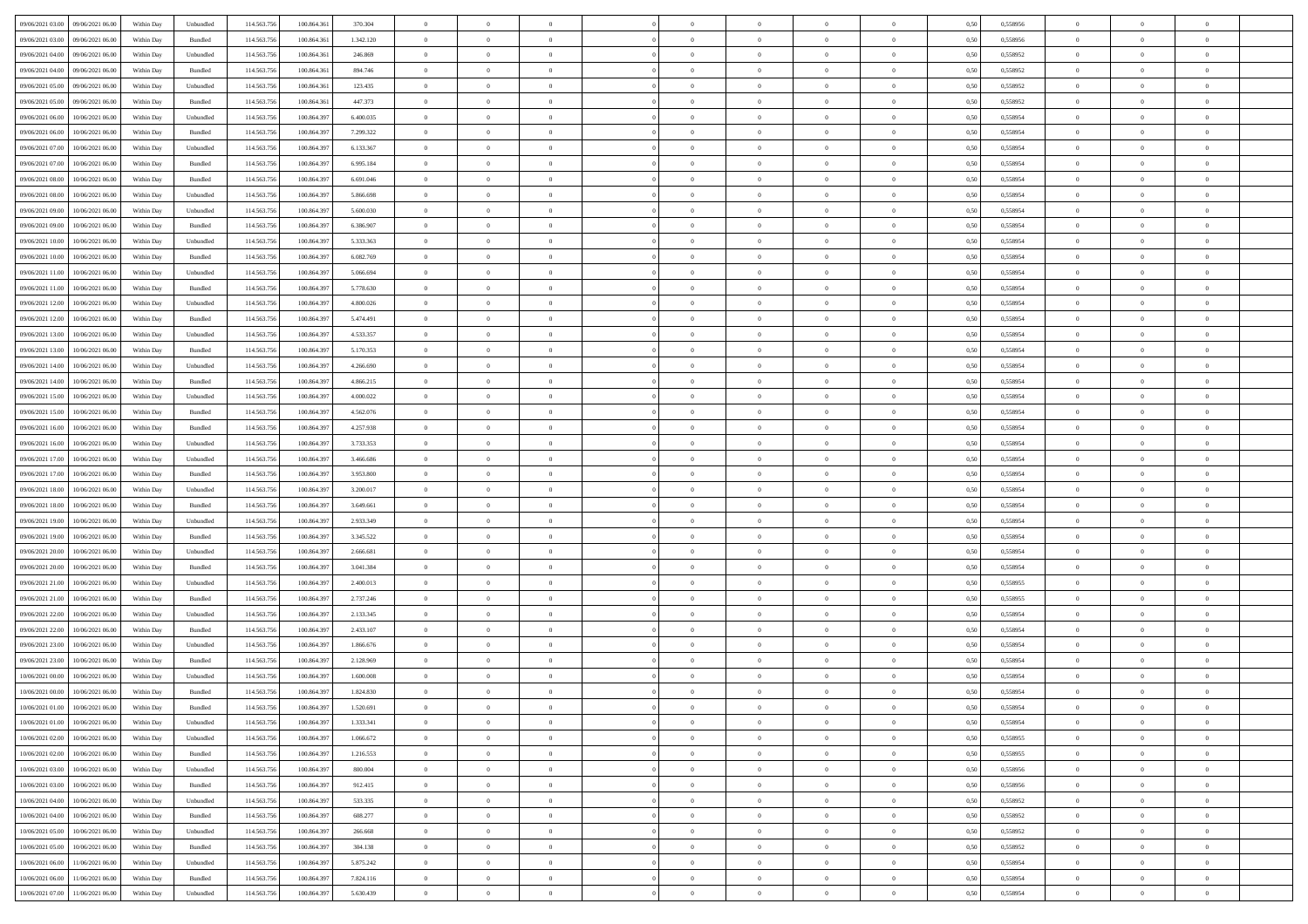| 09/06/2021 03:00<br>09/06/2021 06:00 | Within Day | Unbundled          | 114.563.756 | 100.864.361 | 370.304   | $\overline{0}$ | $\overline{0}$ | $\overline{0}$ | $\theta$       | $\theta$       |                | $\overline{0}$ | 0,50 | 0,558956 | $\theta$       | $\theta$       | $\overline{0}$ |  |
|--------------------------------------|------------|--------------------|-------------|-------------|-----------|----------------|----------------|----------------|----------------|----------------|----------------|----------------|------|----------|----------------|----------------|----------------|--|
|                                      |            |                    |             |             |           |                | $\overline{0}$ |                | $\overline{0}$ | $\bf{0}$       | $\overline{0}$ |                |      |          | $\overline{0}$ | $\bf{0}$       | $\overline{0}$ |  |
| 09/06/2021 03:00<br>09/06/2021 06.0  | Within Day | Bundled            | 114.563.75  | 100.864.361 | 1.342.120 | $\overline{0}$ |                | $\overline{0}$ |                |                |                | $\mathbf{0}$   | 0,50 | 0,558956 |                |                |                |  |
| 09/06/2021 04:00<br>09/06/2021 06:00 | Within Day | Unbundled          | 114,563,756 | 100,864,361 | 246,869   | $\overline{0}$ | $\overline{0}$ | $\overline{0}$ | $\bf{0}$       | $\bf{0}$       | $\overline{0}$ | $\,$ 0 $\,$    | 0.50 | 0.558952 | $\bf{0}$       | $\overline{0}$ | $\,$ 0         |  |
| 09/06/2021 04:00<br>09/06/2021 06:00 | Within Day | Bundled            | 114.563.756 | 100.864.361 | 894.746   | $\overline{0}$ | $\overline{0}$ | $\overline{0}$ | $\bf{0}$       | $\overline{0}$ | $\overline{0}$ | $\,$ 0 $\,$    | 0,50 | 0,558952 | $\,$ 0 $\,$    | $\overline{0}$ | $\overline{0}$ |  |
| 09/06/2021 05:00<br>09/06/2021 06.0  | Within Day | Unbundled          | 114.563.75  | 100.864.361 | 123.435   | $\overline{0}$ | $\overline{0}$ | $\overline{0}$ | $\,$ 0 $\,$    | $\bf{0}$       | $\overline{0}$ | $\bf{0}$       | 0,50 | 0,558952 | $\,$ 0 $\,$    | $\bf{0}$       | $\overline{0}$ |  |
| 09/06/2021 05:00<br>09/06/2021 06:00 | Within Day | Bundled            | 114,563,75  | 100,864,361 | 447.373   | $\overline{0}$ | $\overline{0}$ | $\overline{0}$ | $\bf{0}$       | $\bf{0}$       | $\overline{0}$ | $\mathbf{0}$   | 0.50 | 0.558952 | $\,$ 0 $\,$    | $\overline{0}$ | $\overline{0}$ |  |
| 09/06/2021 06:00<br>10/06/2021 06:00 | Within Day | Unbundled          | 114.563.756 | 100.864.397 | 6.400.035 | $\overline{0}$ | $\overline{0}$ | $\overline{0}$ | $\bf{0}$       | $\overline{0}$ | $\overline{0}$ | $\bf{0}$       | 0,50 | 0,558954 | $\theta$       | $\theta$       | $\overline{0}$ |  |
| 09/06/2021 06:00<br>10/06/2021 06.00 | Within Day | Bundled            | 114.563.75  | 100.864.397 | 7.299.322 | $\overline{0}$ | $\overline{0}$ | $\overline{0}$ | $\overline{0}$ | $\bf{0}$       | $\overline{0}$ | $\mathbf{0}$   | 0,50 | 0,558954 | $\,$ 0 $\,$    | $\bf{0}$       | $\overline{0}$ |  |
| 09/06/2021 07.00<br>10/06/2021 06:00 | Within Day | Unbundled          | 114,563,75  | 100.864.397 | 6.133.367 | $\overline{0}$ | $\overline{0}$ | $\overline{0}$ | $\bf{0}$       | $\bf{0}$       | $\overline{0}$ | $\mathbf{0}$   | 0.50 | 0,558954 | $\bf{0}$       | $\overline{0}$ | $\bf{0}$       |  |
| 09/06/2021 07:00<br>10/06/2021 06:00 | Within Day | Bundled            | 114.563.756 | 100.864.397 | 6.995.184 | $\overline{0}$ | $\overline{0}$ | $\overline{0}$ | $\bf{0}$       | $\bf{0}$       | $\overline{0}$ | $\,$ 0 $\,$    | 0,50 | 0,558954 | $\,$ 0         | $\overline{0}$ | $\overline{0}$ |  |
|                                      |            |                    |             |             |           |                |                |                |                |                |                |                |      |          |                |                |                |  |
| 09/06/2021 08:00<br>10/06/2021 06.00 | Within Day | Bundled            | 114.563.75  | 100.864.397 | 6.691.046 | $\overline{0}$ | $\overline{0}$ | $\overline{0}$ | $\,$ 0 $\,$    | $\bf{0}$       | $\overline{0}$ | $\bf{0}$       | 0,50 | 0,558954 | $\,$ 0 $\,$    | $\bf{0}$       | $\overline{0}$ |  |
| 09/06/2021 08:00<br>10/06/2021 06:00 | Within Day | Unbundled          | 114,563,756 | 100,864,397 | 5.866.698 | $\overline{0}$ | $\overline{0}$ | $\overline{0}$ | $\bf{0}$       | $\bf{0}$       | $\overline{0}$ | $\,$ 0 $\,$    | 0.50 | 0.558954 | $\bf{0}$       | $\overline{0}$ | $\,$ 0         |  |
| 09/06/2021 09:00<br>10/06/2021 06:00 | Within Day | Unbundled          | 114.563.756 | 100.864.397 | 5.600.030 | $\overline{0}$ | $\overline{0}$ | $\overline{0}$ | $\overline{0}$ | $\overline{0}$ | $\overline{0}$ | $\,$ 0 $\,$    | 0,50 | 0,558954 | $\,$ 0 $\,$    | $\overline{0}$ | $\overline{0}$ |  |
| 09/06/2021 09:00<br>10/06/2021 06.00 | Within Day | Bundled            | 114.563.75  | 100.864.397 | 6.386.907 | $\overline{0}$ | $\overline{0}$ | $\overline{0}$ | $\overline{0}$ | $\bf{0}$       | $\overline{0}$ | $\bf{0}$       | 0,50 | 0,558954 | $\,$ 0 $\,$    | $\bf{0}$       | $\overline{0}$ |  |
| 09/06/2021 10:00<br>10/06/2021 06:00 | Within Day | Unbundled          | 114,563,756 | 100.864.397 | 5.333.363 | $\overline{0}$ | $\overline{0}$ | $\overline{0}$ | $\bf{0}$       | $\bf{0}$       | $\overline{0}$ | $\mathbf{0}$   | 0.50 | 0.558954 | $\,$ 0 $\,$    | $\overline{0}$ | $\overline{0}$ |  |
| 09/06/2021 10:00<br>10/06/2021 06:00 | Within Day | Bundled            | 114.563.756 | 100.864.397 | 6.082.769 | $\overline{0}$ | $\overline{0}$ | $\overline{0}$ | $\bf{0}$       | $\overline{0}$ | $\overline{0}$ | $\bf{0}$       | 0,50 | 0,558954 | $\overline{0}$ | $\theta$       | $\overline{0}$ |  |
| 09/06/2021 11:00<br>10/06/2021 06.00 | Within Day | Unbundled          | 114.563.75  | 100.864.397 | 5.066.694 | $\overline{0}$ | $\overline{0}$ | $\overline{0}$ | $\overline{0}$ | $\bf{0}$       | $\overline{0}$ | $\bf{0}$       | 0,50 | 0,558954 | $\,$ 0 $\,$    | $\bf{0}$       | $\overline{0}$ |  |
| 09/06/2021 11:00<br>10/06/2021 06:00 | Within Day | Bundled            | 114,563,75  | 100.864.397 | 5.778.630 | $\overline{0}$ | $\overline{0}$ | $\overline{0}$ | $\bf{0}$       | $\bf{0}$       | $\overline{0}$ | $\mathbf{0}$   | 0.50 | 0.558954 | $\bf{0}$       | $\overline{0}$ | $\,$ 0         |  |
| 09/06/2021 12:00<br>10/06/2021 06:00 | Within Day | Unbundled          | 114.563.756 | 100.864.397 | 4.800.026 | $\overline{0}$ | $\overline{0}$ | $\overline{0}$ | $\bf{0}$       | $\overline{0}$ | $\overline{0}$ | $\bf{0}$       | 0,50 | 0,558954 | $\,$ 0 $\,$    | $\overline{0}$ | $\overline{0}$ |  |
|                                      |            |                    |             |             |           |                |                |                |                |                |                |                |      |          |                |                |                |  |
| 09/06/2021 12:00<br>10/06/2021 06.00 | Within Day | Bundled            | 114.563.75  | 100.864.397 | 5.474.491 | $\overline{0}$ | $\overline{0}$ | $\overline{0}$ | $\overline{0}$ | $\bf{0}$       | $\overline{0}$ | $\mathbf{0}$   | 0,50 | 0,558954 | $\,$ 0 $\,$    | $\bf{0}$       | $\overline{0}$ |  |
| 09/06/2021 13:00<br>10/06/2021 06:00 | Within Day | Unbundled          | 114,563,756 | 100,864,397 | 4.533.357 | $\overline{0}$ | $\overline{0}$ | $\overline{0}$ | $\bf{0}$       | $\overline{0}$ | $\overline{0}$ | $\,$ 0 $\,$    | 0.50 | 0.558954 | $\bf{0}$       | $\overline{0}$ | $\,$ 0         |  |
| 09/06/2021 13:00<br>10/06/2021 06:00 | Within Day | Bundled            | 114.563.756 | 100.864.397 | 5.170.353 | $\overline{0}$ | $\overline{0}$ | $\overline{0}$ | $\overline{0}$ | $\overline{0}$ | $\overline{0}$ | $\,$ 0 $\,$    | 0,50 | 0,558954 | $\theta$       | $\overline{0}$ | $\overline{0}$ |  |
| 09/06/2021 14:00<br>10/06/2021 06.00 | Within Day | Unbundled          | 114.563.75  | 100.864.397 | 4.266.690 | $\overline{0}$ | $\overline{0}$ | $\overline{0}$ | $\overline{0}$ | $\bf{0}$       | $\overline{0}$ | $\bf{0}$       | 0,50 | 0,558954 | $\,$ 0 $\,$    | $\bf{0}$       | $\overline{0}$ |  |
| 09/06/2021 14:00<br>10/06/2021 06:00 | Within Day | Bundled            | 114,563,75  | 100.864.397 | 4.866.215 | $\overline{0}$ | $\overline{0}$ | $\overline{0}$ | $\bf{0}$       | $\bf{0}$       | $\overline{0}$ | $\mathbf{0}$   | 0.50 | 0.558954 | $\,$ 0 $\,$    | $\overline{0}$ | $\overline{0}$ |  |
| 09/06/2021 15:00<br>10/06/2021 06:00 | Within Day | Unbundled          | 114.563.756 | 100.864.397 | 4.000.022 | $\overline{0}$ | $\overline{0}$ | $\overline{0}$ | $\bf{0}$       | $\overline{0}$ | $\overline{0}$ | $\bf{0}$       | 0,50 | 0,558954 | $\,$ 0 $\,$    | $\theta$       | $\overline{0}$ |  |
| 09/06/2021 15:00<br>10/06/2021 06.00 | Within Day | Bundled            | 114.563.75  | 100.864.397 | 4.562.076 | $\overline{0}$ | $\overline{0}$ | $\overline{0}$ | $\,$ 0 $\,$    | $\bf{0}$       | $\overline{0}$ | $\bf{0}$       | 0,50 | 0,558954 | $\,$ 0 $\,$    | $\bf{0}$       | $\overline{0}$ |  |
| 09/06/2021 16:00<br>10/06/2021 06:00 | Within Day | Bundled            | 114,563,756 | 100.864.397 | 4.257.938 | $\overline{0}$ | $\overline{0}$ | $\overline{0}$ | $\bf{0}$       | $\bf{0}$       | $\overline{0}$ | $\,$ 0 $\,$    | 0.50 | 0.558954 | $\bf{0}$       | $\overline{0}$ | $\bf{0}$       |  |
| 09/06/2021 16:00<br>10/06/2021 06:00 | Within Day | Unbundled          | 114.563.756 | 100.864.397 | 3.733.353 | $\overline{0}$ | $\overline{0}$ | $\overline{0}$ | $\bf{0}$       | $\overline{0}$ | $\overline{0}$ | $\,$ 0 $\,$    | 0,50 | 0,558954 | $\,$ 0         | $\overline{0}$ | $\overline{0}$ |  |
|                                      |            |                    |             |             |           |                | $\overline{0}$ |                | $\overline{0}$ | $\bf{0}$       |                |                |      |          | $\overline{0}$ | $\bf{0}$       | $\overline{0}$ |  |
| 09/06/2021 17:00<br>10/06/2021 06.00 | Within Day | Unbundled          | 114.563.75  | 100.864.397 | 3.466.686 | $\overline{0}$ |                | $\overline{0}$ |                |                | $\overline{0}$ | $\mathbf{0}$   | 0,50 | 0,558954 |                |                |                |  |
| 09/06/2021 17:00<br>10/06/2021 06:00 | Within Day | Bundled            | 114,563,756 | 100,864,397 | 3.953.800 | $\overline{0}$ | $\overline{0}$ | $\overline{0}$ | $\bf{0}$       | $\overline{0}$ | $\overline{0}$ | $\,$ 0 $\,$    | 0.50 | 0.558954 | $\bf{0}$       | $\overline{0}$ | $\,$ 0         |  |
| 09/06/2021 18:00<br>10/06/2021 06:00 | Within Day | Unbundled          | 114.563.756 | 100.864.397 | 3.200.017 | $\overline{0}$ | $\overline{0}$ | $\overline{0}$ | $\overline{0}$ | $\overline{0}$ | $\overline{0}$ | $\overline{0}$ | 0.50 | 0,558954 | $\theta$       | $\overline{0}$ | $\overline{0}$ |  |
| 09/06/2021 18.00<br>10/06/2021 06.00 | Within Day | Bundled            | 114.563.75  | 100.864.397 | 3.649.661 | $\overline{0}$ | $\overline{0}$ | $\overline{0}$ | $\overline{0}$ | $\bf{0}$       | $\overline{0}$ | $\bf{0}$       | 0,50 | 0,558954 | $\,$ 0 $\,$    | $\bf{0}$       | $\overline{0}$ |  |
| 09/06/2021 19:00<br>10/06/2021 06:00 | Within Day | Unbundled          | 114.563.756 | 100.864.397 | 2.933.349 | $\overline{0}$ | $\overline{0}$ | $\overline{0}$ | $\bf{0}$       | $\bf{0}$       | $\overline{0}$ | $\mathbf{0}$   | 0.50 | 0.558954 | $\,$ 0 $\,$    | $\overline{0}$ | $\overline{0}$ |  |
| 09/06/2021 19:00<br>10/06/2021 06:00 | Within Day | Bundled            | 114.563.756 | 100.864.397 | 3.345.522 | $\overline{0}$ | $\overline{0}$ | $\overline{0}$ | $\overline{0}$ | $\overline{0}$ | $\overline{0}$ | $\mathbf{0}$   | 0.50 | 0,558954 | $\theta$       | $\theta$       | $\overline{0}$ |  |
| 09/06/2021 20:00<br>10/06/2021 06.00 | Within Day | Unbundled          | 114.563.75  | 100.864.397 | 2.666.681 | $\overline{0}$ | $\overline{0}$ | $\overline{0}$ | $\overline{0}$ | $\bf{0}$       | $\overline{0}$ | $\bf{0}$       | 0,50 | 0,558954 | $\,$ 0 $\,$    | $\bf{0}$       | $\overline{0}$ |  |
| 09/06/2021 20:00<br>10/06/2021 06:00 | Within Day | Bundled            | 114,563,75  | 100.864.397 | 3.041.384 | $\overline{0}$ | $\overline{0}$ | $\overline{0}$ | $\bf{0}$       | $\bf{0}$       | $\overline{0}$ | $\mathbf{0}$   | 0.50 | 0.558954 | $\bf{0}$       | $\overline{0}$ | $\bf{0}$       |  |
| 09/06/2021 21:00<br>10/06/2021 06:00 | Within Day | Unbundled          | 114.563.756 | 100.864.397 | 2.400.013 | $\overline{0}$ | $\overline{0}$ | $\overline{0}$ | $\overline{0}$ | $\overline{0}$ | $\overline{0}$ | $\mathbf{0}$   | 0.50 | 0,558955 | $\overline{0}$ | $\overline{0}$ | $\overline{0}$ |  |
| 09/06/2021 21:00<br>10/06/2021 06.00 | Within Day | Bundled            | 114.563.75  | 100.864.397 | 2.737.246 | $\overline{0}$ | $\overline{0}$ | $\overline{0}$ | $\overline{0}$ | $\bf{0}$       | $\overline{0}$ | $\mathbf{0}$   | 0,50 | 0,558955 | $\overline{0}$ | $\overline{0}$ | $\overline{0}$ |  |
| 09/06/2021 22.00<br>10/06/2021 06:00 | Within Day | Unbundled          | 114,563,756 | 100,864,397 | 2.133.345 | $\overline{0}$ | $\overline{0}$ | $\overline{0}$ | $\bf{0}$       | $\overline{0}$ | $\overline{0}$ | $\,$ 0 $\,$    | 0.50 | 0.558954 | $\bf{0}$       | $\overline{0}$ | $\,$ 0         |  |
| 09/06/2021 22:00<br>10/06/2021 06:00 | Within Day | Bundled            | 114.563.756 | 100.864.397 | 2.433.107 | $\overline{0}$ | $\overline{0}$ | $\overline{0}$ | $\overline{0}$ | $\overline{0}$ | $\overline{0}$ | $\overline{0}$ | 0.50 | 0,558954 | $\overline{0}$ | $\theta$       | $\overline{0}$ |  |
|                                      |            |                    |             |             |           |                |                |                |                |                |                |                |      |          |                |                |                |  |
| 09/06/2021 23.00<br>10/06/2021 06.00 | Within Day | Unbundled          | 114.563.75  | 100.864.397 | 1.866.676 | $\overline{0}$ | $\overline{0}$ | $\overline{0}$ | $\overline{0}$ | $\bf{0}$       | $\overline{0}$ | $\bf{0}$       | 0,50 | 0,558954 | $\,$ 0 $\,$    | $\bf{0}$       | $\overline{0}$ |  |
| 09/06/2021 23:00<br>10/06/2021 06:00 | Within Day | Bundled            | 114,563,75  | 100,864.397 | 2.128.969 | $\overline{0}$ | $\overline{0}$ | $\overline{0}$ | $\overline{0}$ | $\bf{0}$       | $\overline{0}$ | $\mathbf{0}$   | 0.50 | 0.558954 | $\,$ 0 $\,$    | $\theta$       | $\overline{0}$ |  |
| 10/06/2021 00:00<br>10/06/2021 06:00 | Within Day | Unbundled          | 114.563.756 | 100.864.397 | 1.600.008 | $\overline{0}$ | $\overline{0}$ | $\overline{0}$ | $\overline{0}$ | $\overline{0}$ | $\Omega$       | $\overline{0}$ | 0.50 | 0,558954 | $\theta$       | $\theta$       | $\overline{0}$ |  |
| 10/06/2021 00:00<br>10/06/2021 06:00 | Within Day | Bundled            | 114.563.756 | 100.864.397 | 1.824.830 | $\overline{0}$ | $\overline{0}$ | $\overline{0}$ | $\overline{0}$ | $\bf{0}$       | $\overline{0}$ | $\mathbf{0}$   | 0,50 | 0,558954 | $\overline{0}$ | $\overline{0}$ | $\overline{0}$ |  |
| 10/06/2021 01:00 10/06/2021 06:00    | Within Day | $\mathbf B$ undled | 114.563.756 | 100.864.397 | 1.520.691 | $\bf{0}$       | $\,$ 0 $\,$    |                | $\bf{0}$       |                |                |                | 0,50 | 0.558954 | $\theta$       | $\overline{0}$ |                |  |
| 10/06/2021 01:00<br>10/06/2021 06:00 | Within Day | Unbundled          | 114.563.756 | 100.864.397 | 1.333.341 | $\overline{0}$ | $\overline{0}$ | $\overline{0}$ | $\overline{0}$ | $\overline{0}$ | $\overline{0}$ | $\overline{0}$ | 0,50 | 0,558954 | $\theta$       | $\overline{0}$ | $\overline{0}$ |  |
| 10/06/2021 02:00<br>10/06/2021 06:00 | Within Day | Unbundled          | 114.563.756 | 100.864.397 | 1.066.672 | $\overline{0}$ | $\overline{0}$ | $\overline{0}$ | $\bf{0}$       | $\bf{0}$       | $\overline{0}$ | $\bf{0}$       | 0,50 | 0,558955 | $\overline{0}$ | $\overline{0}$ | $\bf{0}$       |  |
| 10/06/2021 02:00<br>10/06/2021 06:00 | Within Day | Bundled            | 114.563.756 | 100,864,397 | 1.216.553 | $\overline{0}$ | $\overline{0}$ | $\overline{0}$ | $\,$ 0 $\,$    | $\bf{0}$       | $\overline{0}$ | $\mathbf{0}$   | 0.50 | 0.558955 | $\overline{0}$ | $\overline{0}$ | $\overline{0}$ |  |
| 10/06/2021 03:00<br>10/06/2021 06:00 | Within Dav | Unbundled          | 114.563.756 | 100.864.397 | 800.004   | $\overline{0}$ | $\overline{0}$ | $\overline{0}$ | $\overline{0}$ | $\overline{0}$ | $\overline{0}$ | $\mathbf{0}$   | 0,50 | 0,558956 | $\overline{0}$ | $\theta$       | $\overline{0}$ |  |
|                                      |            |                    |             |             |           |                |                |                |                | $\bf{0}$       |                |                |      |          | $\overline{0}$ | $\overline{0}$ | $\overline{0}$ |  |
| 10/06/2021 03:00<br>10/06/2021 06:00 | Within Day | Bundled            | 114.563.756 | 100.864.397 | 912.415   | $\overline{0}$ | $\overline{0}$ | $\overline{0}$ | $\bf{0}$       |                | $\overline{0}$ | $\mathbf{0}$   | 0,50 | 0,558956 |                |                |                |  |
| 10/06/2021 04:00<br>10/06/2021 06:00 | Within Day | Unbundled          | 114.563.756 | 100,864,397 | 533.335   | $\overline{0}$ | $\overline{0}$ | $\overline{0}$ | $\bf{0}$       | $\overline{0}$ | $\overline{0}$ | $\mathbf{0}$   | 0.50 | 0.558952 | $\,$ 0 $\,$    | $\overline{0}$ | $\,$ 0         |  |
| 10/06/2021 04:00<br>10/06/2021 06:00 | Within Day | Bundled            | 114.563.756 | 100.864.397 | 608.277   | $\overline{0}$ | $\overline{0}$ | $\overline{0}$ | $\overline{0}$ | $\overline{0}$ | $\overline{0}$ | $\mathbf{0}$   | 0,50 | 0,558952 | $\overline{0}$ | $\theta$       | $\overline{0}$ |  |
| 10/06/2021 05:00<br>10/06/2021 06:00 | Within Day | Unbundled          | 114.563.75  | 100.864.397 | 266.668   | $\overline{0}$ | $\overline{0}$ | $\overline{0}$ | $\bf{0}$       | $\bf{0}$       | $\overline{0}$ | $\,$ 0 $\,$    | 0,50 | 0,558952 | $\bf{0}$       | $\overline{0}$ | $\,$ 0         |  |
| 10/06/2021 05:00<br>10/06/2021 06:00 | Within Day | Bundled            | 114.563.756 | 100,864,397 | 304.138   | $\overline{0}$ | $\overline{0}$ | $\overline{0}$ | $\bf{0}$       | $\overline{0}$ | $\overline{0}$ | $\,$ 0 $\,$    | 0.50 | 0.558952 | $\overline{0}$ | $\bf{0}$       | $\,$ 0         |  |
| 10/06/2021 06:00<br>11/06/2021 06:00 | Within Dav | Unbundled          | 114.563.756 | 100.864.397 | 5.875.242 | $\overline{0}$ | $\overline{0}$ | $\overline{0}$ | $\overline{0}$ | $\overline{0}$ | $\overline{0}$ | $\mathbf{0}$   | 0,50 | 0,558954 | $\overline{0}$ | $\theta$       | $\overline{0}$ |  |
| 10/06/2021 06:00<br>11/06/2021 06.00 | Within Day | Bundled            | 114.563.756 | 100.864.397 | 7.824.116 | $\overline{0}$ | $\overline{0}$ | $\overline{0}$ | $\bf{0}$       | $\bf{0}$       | $\overline{0}$ | $\,$ 0 $\,$    | 0,50 | 0,558954 | $\bf{0}$       | $\bf{0}$       | $\bf{0}$       |  |
| 10/06/2021 07:00 11/06/2021 06:00    | Within Day | Unbundled          | 114.563.756 | 100.864.397 | 5.630.439 | $\,$ 0 $\,$    | $\overline{0}$ | $\overline{0}$ | $\bf{0}$       | $\,$ 0         | $\overline{0}$ | $\,0\,$        | 0,50 | 0,558954 | $\overline{0}$ | $\,$ 0 $\,$    | $\,$ 0 $\,$    |  |
|                                      |            |                    |             |             |           |                |                |                |                |                |                |                |      |          |                |                |                |  |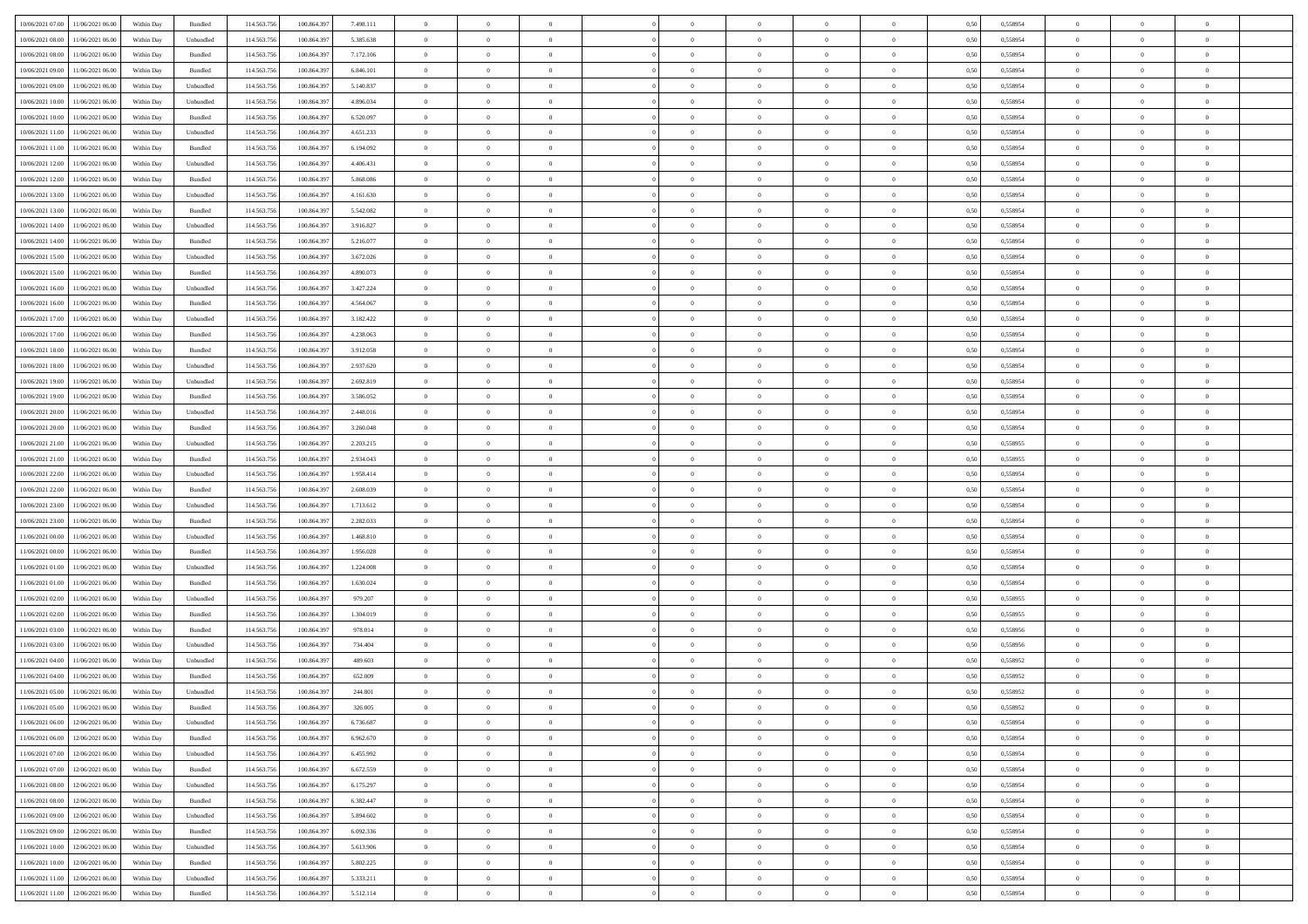| 10/06/2021 07:00 11/06/2021 06:00    | Within Day | Bundled            | 114.563.75  | 100.864.39  | 7.498.111 | $\overline{0}$ | $\overline{0}$ |                | $\overline{0}$ | $\theta$       |                | $\theta$       | 0,50 | 0,558954 | $\theta$       | $\theta$       | $\overline{0}$ |  |
|--------------------------------------|------------|--------------------|-------------|-------------|-----------|----------------|----------------|----------------|----------------|----------------|----------------|----------------|------|----------|----------------|----------------|----------------|--|
|                                      |            |                    |             |             |           |                |                |                |                |                |                |                |      |          |                |                |                |  |
| 10/06/2021 08:00<br>11/06/2021 06:00 | Within Day | Unbundled          | 114.563.75  | 100.864.39  | 5.385.638 | $\bf{0}$       | $\bf{0}$       | $\bf{0}$       | $\bf{0}$       | $\overline{0}$ | $\overline{0}$ | $\bf{0}$       | 0,50 | 0,558954 | $\,$ 0 $\,$    | $\bf{0}$       | $\overline{0}$ |  |
| 10/06/2021 08:00<br>11/06/2021 06:00 | Within Day | Bundled            | 114,563,75  | 100.864.39  | 7.172.106 | $\overline{0}$ | $\bf{0}$       | $\overline{0}$ | $\bf{0}$       | $\bf{0}$       | $\overline{0}$ | $\bf{0}$       | 0.50 | 0.558954 | $\overline{0}$ | $\overline{0}$ | $\overline{0}$ |  |
| 10/06/2021 09:00<br>11/06/2021 06:00 | Within Day | Bundled            | 114.563.75  | 100.864.39  | 6.846.101 | $\overline{0}$ | $\overline{0}$ | $\overline{0}$ | $\overline{0}$ | $\theta$       | $\overline{0}$ | $\bf{0}$       | 0,50 | 0,558954 | $\theta$       | $\theta$       | $\overline{0}$ |  |
|                                      |            |                    |             |             |           |                |                |                |                |                |                |                |      |          |                |                |                |  |
| 10/06/2021 09:00<br>11/06/2021 06:00 | Within Day | Unbundled          | 114.563.75  | 100.864.39  | 5.140.837 | $\bf{0}$       | $\overline{0}$ | $\bf{0}$       | $\overline{0}$ | $\bf{0}$       | $\overline{0}$ | $\bf{0}$       | 0,50 | 0,558954 | $\,$ 0 $\,$    | $\bf{0}$       | $\overline{0}$ |  |
| 10/06/2021 10:00<br>11/06/2021 06:00 | Within Day | Unbundled          | 114,563,75  | 100.864.39  | 4.896.034 | $\overline{0}$ | $\bf{0}$       | $\overline{0}$ | $\bf{0}$       | $\overline{0}$ | $\theta$       | $\bf{0}$       | 0.50 | 0.558954 | $\,$ 0 $\,$    | $\theta$       | $\overline{0}$ |  |
| 10/06/2021 10:00<br>11/06/2021 06:00 | Within Day | Bundled            | 114.563.75  | 100.864.39  | 6.520.097 | $\overline{0}$ | $\overline{0}$ | $\overline{0}$ | $\overline{0}$ | $\overline{0}$ | $\overline{0}$ | $\bf{0}$       | 0,50 | 0,558954 | $\,$ 0 $\,$    | $\theta$       | $\overline{0}$ |  |
| 10/06/2021 11:00<br>11/06/2021 06.00 | Within Day | Unbundled          | 114.563.75  | 100.864.39  | 4.651.233 | $\bf{0}$       | $\bf{0}$       | $\bf{0}$       | $\overline{0}$ | $\overline{0}$ | $\overline{0}$ | $\bf{0}$       | 0,50 | 0,558954 | $\,$ 0 $\,$    | $\bf{0}$       | $\overline{0}$ |  |
| 10/06/2021 11:00<br>11/06/2021 06:00 | Within Day | Bundled            | 114,563,75  | 100.864.39  | 6.194.092 | $\overline{0}$ | $\bf{0}$       | $\overline{0}$ | $\bf{0}$       | $\overline{0}$ | $\overline{0}$ | $\bf{0}$       | 0.50 | 0.558954 | $\bf{0}$       | $\overline{0}$ | $\overline{0}$ |  |
|                                      |            |                    |             |             |           |                |                |                |                |                |                |                |      |          |                |                |                |  |
| 10/06/2021 12:00<br>11/06/2021 06:00 | Within Day | Unbundled          | 114.563.75  | 100.864.397 | 4.406.431 | $\bf{0}$       | $\bf{0}$       | $\overline{0}$ | $\overline{0}$ | $\overline{0}$ | $\overline{0}$ | $\bf{0}$       | 0,50 | 0,558954 | $\,$ 0 $\,$    | $\,$ 0 $\,$    | $\overline{0}$ |  |
| 10/06/2021 12:00<br>11/06/2021 06:00 | Within Day | Bundled            | 114.563.75  | 100.864.39  | 5.868.086 | $\bf{0}$       | $\bf{0}$       | $\bf{0}$       | $\bf{0}$       | $\overline{0}$ | $\overline{0}$ | $\bf{0}$       | 0,50 | 0,558954 | $\,$ 0 $\,$    | $\bf{0}$       | $\overline{0}$ |  |
| 10/06/2021 13:00<br>11/06/2021 06:00 | Within Day | Unbundled          | 114,563,75  | 100.864.39  | 4.161.630 | $\overline{0}$ | $\bf{0}$       | $\overline{0}$ | $\overline{0}$ | $\bf{0}$       | $\overline{0}$ | $\bf{0}$       | 0.50 | 0.558954 | $\bf{0}$       | $\,$ 0 $\,$    | $\,$ 0         |  |
| 10/06/2021 13:00<br>11/06/2021 06:00 | Within Day | Bundled            | 114.563.75  | 100.864.39  | 5.542.082 | $\overline{0}$ | $\bf{0}$       | $\overline{0}$ | $\theta$       | $\theta$       | $\overline{0}$ | $\bf{0}$       | 0,50 | 0,558954 | $\,$ 0 $\,$    | $\,$ 0 $\,$    | $\overline{0}$ |  |
|                                      |            |                    |             |             |           |                | $\overline{0}$ |                |                |                | $\overline{0}$ |                |      |          | $\,$ 0 $\,$    | $\bf{0}$       | $\overline{0}$ |  |
| 10/06/2021 14:00<br>11/06/2021 06:00 | Within Day | Unbundled          | 114.563.75  | 100.864.39  | 3.916.827 | $\bf{0}$       |                | $\bf{0}$       | $\bf{0}$       | $\bf{0}$       |                | $\bf{0}$       | 0,50 | 0,558954 |                |                |                |  |
| 10/06/2021 14:00<br>11/06/2021 06:00 | Within Day | Bundled            | 114,563,75  | 100.864.39  | 5.216.077 | $\overline{0}$ | $\bf{0}$       | $\overline{0}$ | $\bf{0}$       | $\overline{0}$ | $\theta$       | $\bf{0}$       | 0.50 | 0.558954 | $\,$ 0 $\,$    | $\theta$       | $\overline{0}$ |  |
| 10/06/2021 15:00<br>11/06/2021 06:00 | Within Day | Unbundled          | 114.563.75  | 100.864.397 | 3.672.026 | $\overline{0}$ | $\overline{0}$ | $\overline{0}$ | $\overline{0}$ | $\overline{0}$ | $\overline{0}$ | $\bf{0}$       | 0,50 | 0,558954 | $\theta$       | $\theta$       | $\overline{0}$ |  |
| 10/06/2021 15:00<br>11/06/2021 06:00 | Within Day | Bundled            | 114.563.75  | 100,864.39  | 4.890.073 | $\bf{0}$       | $\bf{0}$       | $\bf{0}$       | $\overline{0}$ | $\overline{0}$ | $\overline{0}$ | $\bf{0}$       | 0,50 | 0,558954 | $\,$ 0 $\,$    | $\bf{0}$       | $\overline{0}$ |  |
| 10/06/2021 16:00<br>11/06/2021 06:00 | Within Day | Unbundled          | 114,563,75  | 100.864.39  | 3.427.224 | $\overline{0}$ | $\bf{0}$       | $\overline{0}$ | $\bf{0}$       | $\overline{0}$ | $\overline{0}$ | $\bf{0}$       | 0.50 | 0.558954 | $\bf{0}$       | $\overline{0}$ | $\bf{0}$       |  |
|                                      |            |                    |             |             |           |                |                | $\overline{0}$ | $\overline{0}$ | $\overline{0}$ | $\overline{0}$ |                |      |          | $\,$ 0 $\,$    |                |                |  |
| 10/06/2021 16:00<br>11/06/2021 06:00 | Within Day | Bundled            | 114.563.75  | 100.864.397 | 4.564.067 | $\bf{0}$       | $\bf{0}$       |                |                |                |                | $\bf{0}$       | 0,50 | 0,558954 |                | $\bf{0}$       | $\overline{0}$ |  |
| 10/06/2021 17:00<br>11/06/2021 06:00 | Within Day | Unbundled          | 114.563.75  | 100.864.39  | 3.182.422 | $\bf{0}$       | $\bf{0}$       | $\bf{0}$       | $\bf{0}$       | $\overline{0}$ | $\overline{0}$ | $\bf{0}$       | 0,50 | 0,558954 | $\,$ 0 $\,$    | $\bf{0}$       | $\overline{0}$ |  |
| 10/06/2021 17:00<br>11/06/2021 06:00 | Within Day | Bundled            | 114,563,75  | 100,864.397 | 4.238.063 | $\overline{0}$ | $\bf{0}$       | $\overline{0}$ | $\overline{0}$ | $\bf{0}$       | $\overline{0}$ | $\bf{0}$       | 0.50 | 0.558954 | $\bf{0}$       | $\overline{0}$ | $\,$ 0         |  |
| 10/06/2021 18:00<br>11/06/2021 06:00 | Within Day | Bundled            | 114.563.75  | 100.864.39  | 3.912.058 | $\overline{0}$ | $\overline{0}$ | $\overline{0}$ | $\overline{0}$ | $\theta$       | $\overline{0}$ | $\bf{0}$       | 0,50 | 0,558954 | $\theta$       | $\theta$       | $\overline{0}$ |  |
| 10/06/2021 18:00<br>11/06/2021 06:00 | Within Day | Unbundled          | 114.563.75  | 100.864.39  | 2.937.620 | $\bf{0}$       | $\bf{0}$       | $\bf{0}$       | $\bf{0}$       | $\overline{0}$ | $\overline{0}$ | $\bf{0}$       | 0,50 | 0,558954 | $\,$ 0 $\,$    | $\bf{0}$       | $\overline{0}$ |  |
| 10/06/2021 19:00<br>11/06/2021 06:00 | Within Day | Unbundled          | 114,563,75  | 100.864.39  | 2.692.819 | $\overline{0}$ | $\bf{0}$       | $\overline{0}$ | $\bf{0}$       | $\overline{0}$ | $\theta$       | $\bf{0}$       | 0.50 | 0.558954 | $\bf{0}$       | $\overline{0}$ | $\overline{0}$ |  |
|                                      |            |                    |             |             |           | $\overline{0}$ | $\overline{0}$ | $\overline{0}$ | $\overline{0}$ | $\overline{0}$ | $\overline{0}$ |                |      |          |                | $\theta$       |                |  |
| 10/06/2021 19:00<br>11/06/2021 06:00 | Within Day | Bundled            | 114.563.75  | 100.864.39  | 3.586.052 |                |                |                |                |                |                | $\bf{0}$       | 0,50 | 0,558954 | $\,$ 0 $\,$    |                | $\overline{0}$ |  |
| 10/06/2021 20:00<br>11/06/2021 06:00 | Within Day | Unbundled          | 114.563.75  | 100.864.39  | 2.448.016 | $\bf{0}$       | $\overline{0}$ | $\bf{0}$       | $\overline{0}$ | $\overline{0}$ | $\overline{0}$ | $\bf{0}$       | 0,50 | 0,558954 | $\,$ 0 $\,$    | $\bf{0}$       | $\overline{0}$ |  |
| 10/06/2021 20:00<br>11/06/2021 06:00 | Within Day | Bundled            | 114,563,75  | 100.864.39  | 3.260.048 | $\overline{0}$ | $\bf{0}$       | $\overline{0}$ | $\bf{0}$       | $\overline{0}$ | $\overline{0}$ | $\bf{0}$       | 0.50 | 0.558954 | $\bf{0}$       | $\overline{0}$ | $\overline{0}$ |  |
| 10/06/2021 21:00<br>11/06/2021 06:00 | Within Day | Unbundled          | 114.563.75  | 100.864.397 | 2.203.215 | $\overline{0}$ | $\bf{0}$       | $\overline{0}$ | $\overline{0}$ | $\overline{0}$ | $\overline{0}$ | $\bf{0}$       | 0,50 | 0,558955 | $\,$ 0 $\,$    | $\bf{0}$       | $\overline{0}$ |  |
| 10/06/2021 21:00<br>11/06/2021 06:00 | Within Day | Bundled            | 114.563.75  | 100.864.39  | 2.934.043 | $\bf{0}$       | $\bf{0}$       | $\bf{0}$       | $\bf{0}$       | $\overline{0}$ | $\overline{0}$ | $\bf{0}$       | 0,50 | 0,558955 | $\,$ 0 $\,$    | $\bf{0}$       | $\overline{0}$ |  |
| 10/06/2021 22:00<br>11/06/2021 06:00 | Within Day | Unbundled          | 114,563,75  | 100.864.39  | 1.958.414 | $\overline{0}$ | $\bf{0}$       | $\overline{0}$ | $\overline{0}$ | $\bf{0}$       | $\overline{0}$ | $\bf{0}$       | 0.50 | 0.558954 | $\bf{0}$       | $\,$ 0 $\,$    | $\,$ 0         |  |
| 10/06/2021 22:00<br>11/06/2021 06:00 | Within Day | Bundled            | 114.563.75  | 100,864.39  | 2.608.039 | $\overline{0}$ | $\overline{0}$ | $\overline{0}$ | $\overline{0}$ | $\overline{0}$ | $\overline{0}$ | $\bf{0}$       | 0.50 | 0.558954 | $\theta$       | $\theta$       | $\overline{0}$ |  |
|                                      |            |                    |             |             |           |                |                |                |                |                |                |                |      |          |                |                |                |  |
| 10/06/2021 23:00<br>11/06/2021 06:00 | Within Day | Unbundled          | 114.563.75  | 100.864.39  | 1.713.612 | $\bf{0}$       | $\bf{0}$       | $\bf{0}$       | $\bf{0}$       | $\overline{0}$ | $\overline{0}$ | $\bf{0}$       | 0,50 | 0,558954 | $\,$ 0 $\,$    | $\bf{0}$       | $\overline{0}$ |  |
| 10/06/2021 23:00<br>11/06/2021 06:00 | Within Day | Bundled            | 114,563,75  | 100.864.39  | 2.282.033 | $\overline{0}$ | $\bf{0}$       | $\overline{0}$ | $\bf{0}$       | $\overline{0}$ | $\overline{0}$ | $\bf{0}$       | 0.50 | 0.558954 | $\bf{0}$       | $\bf{0}$       | $\overline{0}$ |  |
| 11/06/2021 00:00<br>11/06/2021 06:00 | Within Dav | Unbundled          | 114.563.75  | 100.864.397 | 1.468.810 | $\overline{0}$ | $\overline{0}$ | $\overline{0}$ | $\overline{0}$ | $\overline{0}$ | $\overline{0}$ | $\bf{0}$       | 0.50 | 0,558954 | $\theta$       | $\theta$       | $\overline{0}$ |  |
| 11/06/2021 00:00<br>11/06/2021 06.00 | Within Day | Bundled            | 114.563.75  | 100.864.39  | 1.956.028 | $\bf{0}$       | $\bf{0}$       | $\bf{0}$       | $\bf{0}$       | $\overline{0}$ | $\overline{0}$ | $\bf{0}$       | 0,50 | 0,558954 | $\,$ 0 $\,$    | $\bf{0}$       | $\overline{0}$ |  |
| 11/06/2021 01:00<br>11/06/2021 06:00 | Within Day | Unbundled          | 114,563,75  | 100.864.39  | 1.224.008 | $\overline{0}$ | $\bf{0}$       | $\overline{0}$ | $\bf{0}$       | $\overline{0}$ | $\overline{0}$ | $\bf{0}$       | 0.50 | 0.558954 | $\bf{0}$       | $\overline{0}$ | $\overline{0}$ |  |
| 11/06/2021 01:00<br>11/06/2021 06:00 | Within Dav | Bundled            | 114.563.75  | 100,864.39  | 1.630.024 | $\overline{0}$ | $\overline{0}$ | $\overline{0}$ | $\overline{0}$ | $\overline{0}$ | $\overline{0}$ | $\bf{0}$       | 0.50 | 0,558954 | $\theta$       | $\theta$       | $\overline{0}$ |  |
|                                      |            |                    |             |             |           |                |                |                |                |                |                |                |      |          |                |                |                |  |
| 11/06/2021 02:00<br>11/06/2021 06:00 | Within Day | Unbundled          | 114.563.75  | 100.864.39  | 979.207   | $\bf{0}$       | $\bf{0}$       | $\bf{0}$       | $\bf{0}$       | $\overline{0}$ | $\overline{0}$ | $\bf{0}$       | 0,50 | 0,558955 | $\,$ 0 $\,$    | $\bf{0}$       | $\overline{0}$ |  |
| 11/06/2021 02:00<br>11/06/2021 06:00 | Within Day | Bundled            | 114,563,75  | 100,864.397 | 1.304.019 | $\overline{0}$ | $\bf{0}$       | $\overline{0}$ | $\overline{0}$ | $\bf{0}$       | $\overline{0}$ | $\bf{0}$       | 0.50 | 0.558955 | $\,$ 0 $\,$    | $\,$ 0 $\,$    | $\,$ 0         |  |
| 11/06/2021 03:00<br>11/06/2021 06:00 | Within Dav | Bundled            | 114.563.75  | 100,864.39  | 978,014   | $\overline{0}$ | $\overline{0}$ | $\overline{0}$ | $\overline{0}$ | $\overline{0}$ | $\overline{0}$ | $\bf{0}$       | 0.50 | 0.558956 | $\theta$       | $\theta$       | $\overline{0}$ |  |
| 11/06/2021 03:00<br>11/06/2021 06.00 | Within Day | Unbundled          | 114.563.75  | 100.864.39  | 734.404   | $\bf{0}$       | $\bf{0}$       | $\bf{0}$       | $\bf{0}$       | $\overline{0}$ | $\overline{0}$ | $\bf{0}$       | 0,50 | 0,558956 | $\,$ 0 $\,$    | $\bf{0}$       | $\overline{0}$ |  |
| 11/06/2021 04:00<br>11/06/2021 06:00 | Within Day | Unbundled          | 114,563,75  | 100.864.39  | 489.603   | $\overline{0}$ | $\overline{0}$ | $\overline{0}$ | $\bf{0}$       | $\overline{0}$ | $\Omega$       | $\bf{0}$       | 0.50 | 0.558952 | $\bf{0}$       | $\theta$       | $\overline{0}$ |  |
| 11/06/2021 04:00<br>11/06/2021 06:00 | Within Dav | Bundled            | 114.563.75  | 100,864.39  | 652.009   | $\overline{0}$ | $\overline{0}$ | $\overline{0}$ | $\theta$       | $\theta$       | $\overline{0}$ | $\overline{0}$ | 0.5( | 0,558952 | $\theta$       | $\theta$       | $\overline{0}$ |  |
|                                      |            |                    |             |             |           |                |                |                |                |                |                |                |      |          |                |                |                |  |
| 11/06/2021 05:00<br>11/06/2021 06:00 | Within Day | Unbundled          | 114.563.75  | 100.864.39  | 244.801   | $\bf{0}$       | $\bf{0}$       | $\bf{0}$       | $\bf{0}$       | $\bf{0}$       | $\overline{0}$ | $\bf{0}$       | 0,50 | 0,558952 | $\overline{0}$ | $\overline{0}$ | $\overline{0}$ |  |
| 11/06/2021 05:00 11/06/2021 06:00    | Within Day | $\mathbf B$ undled | 114.563.756 | 100.864.397 | 326,005   | $\bf{0}$       | $\theta$       |                | $\overline{0}$ |                |                |                | 0,50 | 0,558952 | $\bf{0}$       | $\overline{0}$ |                |  |
| 11/06/2021 06:00 12/06/2021 06:00    | Within Day | Unbundled          | 114.563.756 | 100.864.397 | 6.736.687 | $\overline{0}$ | $\overline{0}$ | $\Omega$       | $\theta$       | $\overline{0}$ | $\overline{0}$ | $\bf{0}$       | 0,50 | 0,558954 | $\theta$       | $\theta$       | $\overline{0}$ |  |
| 11/06/2021 06:00<br>12/06/2021 06:00 | Within Day | Bundled            | 114.563.75  | 100.864.39  | 6.962.670 | $\overline{0}$ | $\bf{0}$       | $\overline{0}$ | $\overline{0}$ | $\bf{0}$       | $\overline{0}$ | $\bf{0}$       | 0,50 | 0,558954 | $\bf{0}$       | $\overline{0}$ | $\bf{0}$       |  |
| 11/06/2021 07:00 12/06/2021 06:00    | Within Day | Unbundled          | 114,563,756 | 100,864,397 | 6.455.992 | $\overline{0}$ | $\bf{0}$       | $\overline{0}$ | $\overline{0}$ | $\mathbf{0}$   | $\overline{0}$ | $\,$ 0 $\,$    | 0.50 | 0.558954 | $\overline{0}$ | $\bf{0}$       | $\,$ 0 $\,$    |  |
| 11/06/2021 07:00 12/06/2021 06:00    | Within Dav | Bundled            | 114.563.756 | 100.864.397 | 6.672.559 | $\overline{0}$ | $\overline{0}$ | $\overline{0}$ | $\overline{0}$ | $\overline{0}$ | $\overline{0}$ | $\bf{0}$       | 0,50 | 0,558954 | $\overline{0}$ | $\theta$       | $\overline{0}$ |  |
|                                      |            |                    |             |             |           |                |                |                |                |                |                |                |      |          |                |                |                |  |
| 11/06/2021 08:00<br>12/06/2021 06:00 | Within Day | Unbundled          | 114.563.75  | 100.864.397 | 6.175.297 | $\overline{0}$ | $\bf{0}$       | $\overline{0}$ | $\overline{0}$ | $\bf{0}$       | $\overline{0}$ | $\bf{0}$       | 0,50 | 0,558954 | $\bf{0}$       | $\overline{0}$ | $\overline{0}$ |  |
| 12/06/2021 06:00<br>11/06/2021 08:00 | Within Day | Bundled            | 114.563.756 | 100,864,397 | 6.382.447 | $\overline{0}$ | $\bf{0}$       | $\overline{0}$ | $\overline{0}$ | $\bf{0}$       | $\overline{0}$ | $\bf{0}$       | 0.50 | 0.558954 | $\,$ 0 $\,$    | $\overline{0}$ | $\overline{0}$ |  |
| 11/06/2021 09:00<br>12/06/2021 06:00 | Within Dav | Unbundled          | 114.563.756 | 100.864.397 | 5.894.602 | $\overline{0}$ | $\overline{0}$ | $\overline{0}$ | $\overline{0}$ | $\overline{0}$ | $\overline{0}$ | $\bf{0}$       | 0.50 | 0,558954 | $\overline{0}$ | $\theta$       | $\overline{0}$ |  |
| 11/06/2021 09:00<br>12/06/2021 06:00 | Within Day | Bundled            | 114.563.75  | 100.864.39  | 6.092.336 | $\overline{0}$ | $\overline{0}$ | $\overline{0}$ | $\overline{0}$ | $\overline{0}$ | $\overline{0}$ | $\bf{0}$       | 0,50 | 0,558954 | $\bf{0}$       | $\overline{0}$ | $\,$ 0         |  |
| 12/06/2021 06:00<br>11/06/2021 10:00 | Within Day | Unbundled          | 114.563.75  | 100,864.397 | 5.613.906 | $\overline{0}$ | $\overline{0}$ | $\overline{0}$ | $\overline{0}$ | $\overline{0}$ | $\overline{0}$ | $\bf{0}$       | 0.50 | 0.558954 | $\mathbf{0}$   | $\bf{0}$       | $\,$ 0         |  |
| 11/06/2021 10:00 12/06/2021 06:00    | Within Dav | Bundled            | 114.563.756 | 100.864.397 | 5.802.225 | $\overline{0}$ | $\overline{0}$ | $\overline{0}$ | $\overline{0}$ | $\overline{0}$ | $\overline{0}$ | $\bf{0}$       | 0,50 | 0,558954 | $\overline{0}$ | $\theta$       | $\overline{0}$ |  |
|                                      |            |                    |             |             |           |                |                |                |                |                |                |                |      |          |                |                |                |  |
| 11/06/2021 11:00<br>12/06/2021 06:00 | Within Day | Unbundled          | 114.563.75  | 100.864.39  | 5.333.211 | $\overline{0}$ | $\bf{0}$       | $\overline{0}$ | $\bf{0}$       | $\overline{0}$ | $\overline{0}$ | $\bf{0}$       | 0,50 | 0,558954 | $\bf{0}$       | $\,0\,$        | $\bf{0}$       |  |
| 11/06/2021 11:00 12/06/2021 06:00    | Within Day | Bundled            | 114.563.756 | 100.864.397 | 5.512.114 | $\,$ 0 $\,$    | $\bf{0}$       | $\overline{0}$ | $\overline{0}$ | $\,$ 0 $\,$    | $\overline{0}$ | $\bf{0}$       | 0,50 | 0,558954 | $\overline{0}$ | $\,$ 0 $\,$    | $\,$ 0 $\,$    |  |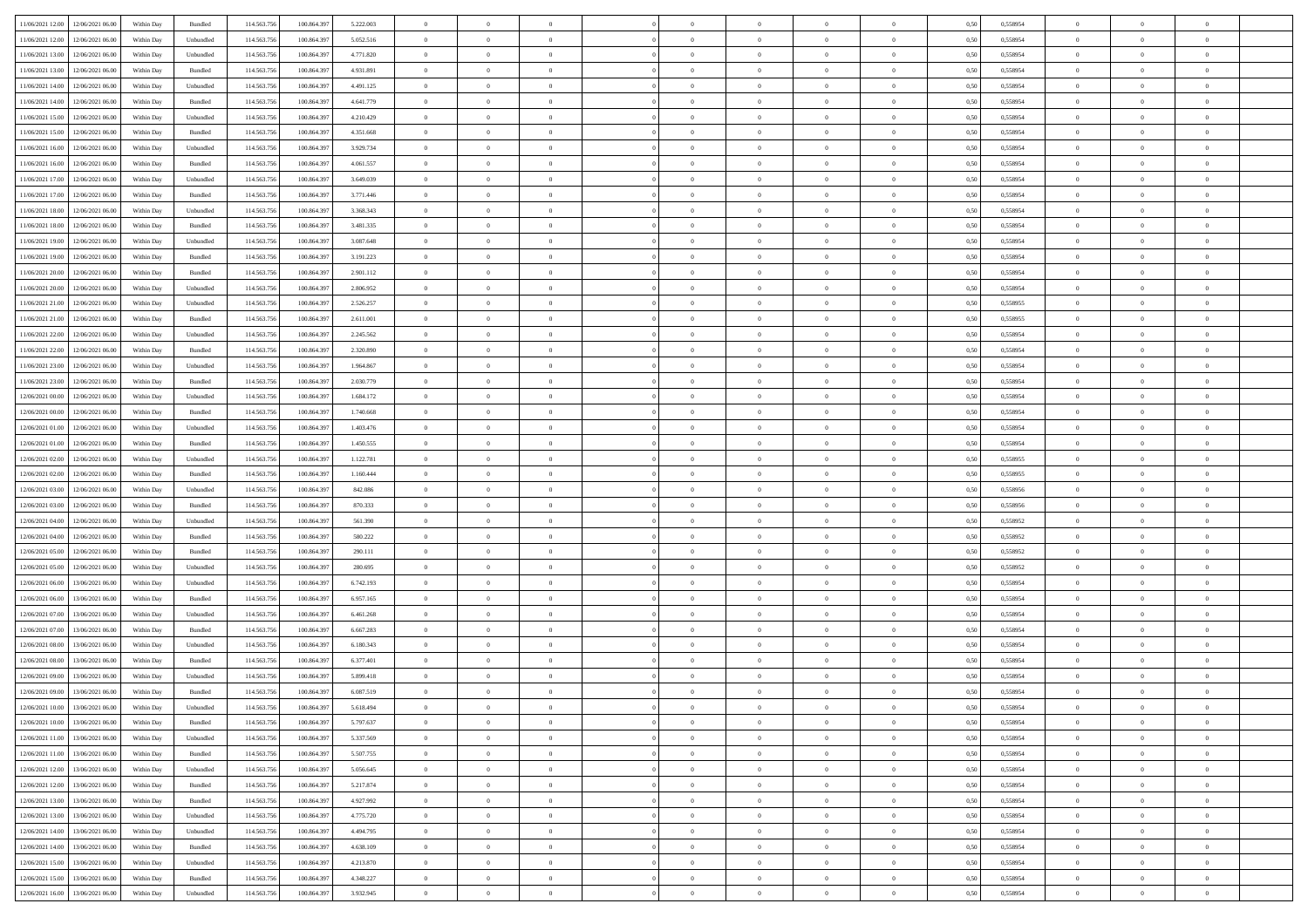| 11/06/2021 12:00 12/06/2021 06:00            | Within Day | Bundled                     | 114.563.756 | 100.864.39  | 5.222.003 | $\overline{0}$ | $\overline{0}$ |                | $\overline{0}$ | $\theta$       |                | $\theta$       | 0,50 | 0,558954 | $\theta$       | $\theta$       | $\overline{0}$ |  |
|----------------------------------------------|------------|-----------------------------|-------------|-------------|-----------|----------------|----------------|----------------|----------------|----------------|----------------|----------------|------|----------|----------------|----------------|----------------|--|
|                                              |            |                             |             |             |           |                |                |                |                |                |                |                |      |          |                |                |                |  |
| 11/06/2021 12:00<br>12/06/2021 06:00         | Within Day | Unbundled                   | 114.563.75  | 100.864.39  | 5.052.516 | $\bf{0}$       | $\bf{0}$       | $\bf{0}$       | $\bf{0}$       | $\overline{0}$ | $\overline{0}$ | $\bf{0}$       | 0,50 | 0,558954 | $\,$ 0 $\,$    | $\bf{0}$       | $\overline{0}$ |  |
| 11/06/2021 13:00<br>12/06/2021 06:00         | Within Day | Unbundled                   | 114,563,75  | 100,864.397 | 4.771.820 | $\overline{0}$ | $\bf{0}$       | $\overline{0}$ | $\bf{0}$       | $\bf{0}$       | $\overline{0}$ | $\bf{0}$       | 0.50 | 0.558954 | $\overline{0}$ | $\overline{0}$ | $\overline{0}$ |  |
| 11/06/2021 13:00<br>12/06/2021 06:00         | Within Day | Bundled                     | 114.563.75  | 100.864.39  | 4.931.891 | $\overline{0}$ | $\overline{0}$ | $\overline{0}$ | $\overline{0}$ | $\theta$       | $\overline{0}$ | $\bf{0}$       | 0,50 | 0,558954 | $\theta$       | $\theta$       | $\overline{0}$ |  |
| 11/06/2021 14:00<br>12/06/2021 06:00         | Within Day | Unbundled                   | 114.563.75  | 100.864.39  | 4.491.125 | $\bf{0}$       | $\overline{0}$ | $\bf{0}$       | $\overline{0}$ | $\bf{0}$       | $\overline{0}$ | $\bf{0}$       | 0,50 | 0,558954 | $\,$ 0 $\,$    | $\bf{0}$       | $\overline{0}$ |  |
| 11/06/2021 14:00<br>12/06/2021 06:00         | Within Day | Bundled                     | 114,563,75  | 100.864.39  | 4.641.779 | $\overline{0}$ | $\bf{0}$       | $\overline{0}$ | $\bf{0}$       | $\overline{0}$ | $\theta$       | $\bf{0}$       | 0.50 | 0.558954 | $\,$ 0 $\,$    | $\theta$       | $\overline{0}$ |  |
|                                              |            |                             |             |             |           | $\overline{0}$ | $\overline{0}$ | $\overline{0}$ | $\overline{0}$ | $\overline{0}$ | $\overline{0}$ |                |      |          |                | $\theta$       |                |  |
| 11/06/2021 15:00<br>12/06/2021 06:00         | Within Day | Unbundled                   | 114.563.75  | 100.864.39  | 4.210.429 |                |                |                |                |                |                | $\bf{0}$       | 0,50 | 0,558954 | $\,$ 0 $\,$    |                | $\overline{0}$ |  |
| 11/06/2021 15:00<br>12/06/2021 06:00         | Within Day | Bundled                     | 114.563.75  | 100.864.39  | 4.351.668 | $\bf{0}$       | $\bf{0}$       | $\bf{0}$       | $\overline{0}$ | $\overline{0}$ | $\overline{0}$ | $\bf{0}$       | 0,50 | 0,558954 | $\,$ 0 $\,$    | $\bf{0}$       | $\overline{0}$ |  |
| 11/06/2021 16:00<br>12/06/2021 06:00         | Within Day | Unbundled                   | 114,563,75  | 100.864.39  | 3.929.734 | $\overline{0}$ | $\bf{0}$       | $\overline{0}$ | $\bf{0}$       | $\overline{0}$ | $\overline{0}$ | $\bf{0}$       | 0.50 | 0.558954 | $\bf{0}$       | $\overline{0}$ | $\overline{0}$ |  |
| 11/06/2021 16:00<br>12/06/2021 06:00         | Within Day | Bundled                     | 114.563.75  | 100.864.397 | 4.061.557 | $\bf{0}$       | $\bf{0}$       | $\overline{0}$ | $\overline{0}$ | $\overline{0}$ | $\overline{0}$ | $\bf{0}$       | 0,50 | 0,558954 | $\,$ 0 $\,$    | $\,$ 0 $\,$    | $\overline{0}$ |  |
| 11/06/2021 17:00<br>12/06/2021 06:00         | Within Day | Unbundled                   | 114.563.75  | 100.864.39  | 3.649.039 | $\bf{0}$       | $\bf{0}$       | $\bf{0}$       | $\bf{0}$       | $\overline{0}$ | $\overline{0}$ | $\bf{0}$       | 0,50 | 0,558954 | $\,$ 0 $\,$    | $\bf{0}$       | $\overline{0}$ |  |
| 11/06/2021 17:00<br>12/06/2021 06:00         | Within Day | Bundled                     | 114,563,75  | 100.864.39  | 3.771.446 | $\overline{0}$ | $\bf{0}$       | $\overline{0}$ | $\overline{0}$ | $\bf{0}$       | $\overline{0}$ | $\bf{0}$       | 0.50 | 0.558954 | $\bf{0}$       | $\,$ 0 $\,$    | $\,$ 0         |  |
| 11/06/2021 18:00<br>12/06/2021 06:00         | Within Day | Unbundled                   | 114.563.75  | 100.864.39  | 3.368.343 | $\overline{0}$ | $\overline{0}$ | $\overline{0}$ | $\theta$       | $\theta$       | $\overline{0}$ | $\bf{0}$       | 0,50 | 0,558954 | $\,$ 0 $\,$    | $\theta$       | $\overline{0}$ |  |
| 12/06/2021 06:00                             | Within Day | Bundled                     | 114.563.75  | 100.864.39  | 3.481.335 | $\bf{0}$       | $\overline{0}$ | $\bf{0}$       | $\bf{0}$       | $\bf{0}$       | $\overline{0}$ | $\bf{0}$       | 0,50 | 0,558954 | $\,$ 0 $\,$    | $\bf{0}$       | $\overline{0}$ |  |
| 11/06/2021 18:00                             |            |                             |             |             |           |                |                |                |                |                |                |                |      |          |                |                |                |  |
| 11/06/2021 19:00<br>12/06/2021 06:00         | Within Day | Unbundled                   | 114,563,75  | 100.864.39  | 3.087.648 | $\overline{0}$ | $\bf{0}$       | $\overline{0}$ | $\bf{0}$       | $\overline{0}$ | $\theta$       | $\bf{0}$       | 0.50 | 0.558954 | $\,$ 0 $\,$    | $\theta$       | $\overline{0}$ |  |
| 11/06/2021 19:00<br>12/06/2021 06:00         | Within Day | Bundled                     | 114.563.75  | 100.864.397 | 3.191.223 | $\overline{0}$ | $\overline{0}$ | $\overline{0}$ | $\overline{0}$ | $\overline{0}$ | $\overline{0}$ | $\bf{0}$       | 0,50 | 0,558954 | $\theta$       | $\theta$       | $\overline{0}$ |  |
| 11/06/2021 20:00<br>12/06/2021 06:00         | Within Day | Bundled                     | 114.563.75  | 100.864.39  | 2.901.112 | $\bf{0}$       | $\bf{0}$       | $\bf{0}$       | $\overline{0}$ | $\overline{0}$ | $\overline{0}$ | $\bf{0}$       | 0,50 | 0,558954 | $\,$ 0 $\,$    | $\bf{0}$       | $\overline{0}$ |  |
| 11/06/2021 20:00<br>12/06/2021 06:00         | Within Day | Unbundled                   | 114,563,75  | 100,864.39  | 2.806.952 | $\overline{0}$ | $\bf{0}$       | $\overline{0}$ | $\bf{0}$       | $\overline{0}$ | $\overline{0}$ | $\bf{0}$       | 0.50 | 0.558954 | $\bf{0}$       | $\overline{0}$ | $\overline{0}$ |  |
| 11/06/2021 21:00<br>12/06/2021 06:00         | Within Day | Unbundled                   | 114.563.75  | 100.864.39  | 2.526.257 | $\bf{0}$       | $\bf{0}$       | $\overline{0}$ | $\overline{0}$ | $\overline{0}$ | $\overline{0}$ | $\bf{0}$       | 0,50 | 0,558955 | $\,$ 0 $\,$    | $\bf{0}$       | $\overline{0}$ |  |
| 11/06/2021 21:00<br>12/06/2021 06:00         | Within Day | Bundled                     | 114.563.75  | 100.864.39  | 2.611.001 | $\bf{0}$       | $\bf{0}$       | $\bf{0}$       | $\bf{0}$       | $\overline{0}$ | $\overline{0}$ | $\bf{0}$       | 0,50 | 0,558955 | $\,$ 0 $\,$    | $\bf{0}$       | $\overline{0}$ |  |
| 11/06/2021 22:00<br>12/06/2021 06:00         | Within Day | Unbundled                   | 114,563,75  | 100,864.397 | 2.245.562 | $\overline{0}$ | $\bf{0}$       | $\overline{0}$ | $\overline{0}$ | $\bf{0}$       | $\overline{0}$ | $\bf{0}$       | 0.50 | 0.558954 | $\bf{0}$       | $\overline{0}$ | $\,$ 0         |  |
|                                              |            |                             |             |             |           |                |                |                |                |                |                |                |      |          |                |                |                |  |
| 11/06/2021 22:00<br>12/06/2021 06:00         | Within Day | Bundled                     | 114.563.75  | 100.864.39  | 2.320.890 | $\overline{0}$ | $\overline{0}$ | $\overline{0}$ | $\overline{0}$ | $\theta$       | $\overline{0}$ | $\bf{0}$       | 0,50 | 0,558954 | $\theta$       | $\theta$       | $\overline{0}$ |  |
| 11/06/2021 23:00<br>12/06/2021 06:00         | Within Day | Unbundled                   | 114.563.75  | 100.864.39  | 1.964.867 | $\bf{0}$       | $\bf{0}$       | $\bf{0}$       | $\bf{0}$       | $\overline{0}$ | $\overline{0}$ | $\bf{0}$       | 0,50 | 0,558954 | $\,$ 0 $\,$    | $\bf{0}$       | $\overline{0}$ |  |
| 11/06/2021 23:00<br>12/06/2021 06:00         | Within Day | Bundled                     | 114,563,75  | 100.864.39  | 2.030.779 | $\overline{0}$ | $\bf{0}$       | $\overline{0}$ | $\bf{0}$       | $\overline{0}$ | $\theta$       | $\bf{0}$       | 0.50 | 0.558954 | $\,$ 0 $\,$    | $\theta$       | $\overline{0}$ |  |
| 12/06/2021 00:00<br>12/06/2021 06:00         | Within Day | Unbundled                   | 114.563.75  | 100.864.39  | 1.684.172 | $\overline{0}$ | $\overline{0}$ | $\overline{0}$ | $\overline{0}$ | $\overline{0}$ | $\overline{0}$ | $\bf{0}$       | 0,50 | 0,558954 | $\,$ 0 $\,$    | $\theta$       | $\overline{0}$ |  |
| 12/06/2021 00:00<br>12/06/2021 06:00         | Within Day | Bundled                     | 114.563.75  | 100.864.39  | 1.740.668 | $\bf{0}$       | $\overline{0}$ | $\bf{0}$       | $\overline{0}$ | $\bf{0}$       | $\overline{0}$ | $\bf{0}$       | 0,50 | 0,558954 | $\,$ 0 $\,$    | $\bf{0}$       | $\overline{0}$ |  |
| 12/06/2021 01:00<br>12/06/2021 06:00         | Within Day | Unbundled                   | 114,563,75  | 100.864.39  | 1.403.476 | $\overline{0}$ | $\bf{0}$       | $\overline{0}$ | $\bf{0}$       | $\overline{0}$ | $\overline{0}$ | $\bf{0}$       | 0.50 | 0.558954 | $\bf{0}$       | $\overline{0}$ | $\overline{0}$ |  |
| 12/06/2021 01:00<br>12/06/2021 06:00         | Within Day | Bundled                     | 114.563.75  | 100.864.397 | 1.450.555 | $\overline{0}$ | $\bf{0}$       | $\overline{0}$ | $\overline{0}$ | $\overline{0}$ | $\overline{0}$ | $\bf{0}$       | 0,50 | 0,558954 | $\theta$       | $\theta$       | $\overline{0}$ |  |
| 12/06/2021 06:00                             | Within Day | Unbundled                   | 114.563.75  | 100.864.39  | 1.122.781 | $\bf{0}$       | $\bf{0}$       | $\bf{0}$       | $\bf{0}$       | $\overline{0}$ | $\overline{0}$ | $\bf{0}$       | 0,50 | 0,558955 | $\,$ 0 $\,$    | $\bf{0}$       | $\overline{0}$ |  |
| 12/06/2021 02:00                             |            |                             |             |             |           |                |                |                |                |                |                |                |      |          |                |                |                |  |
| 12/06/2021 02:00<br>12/06/2021 06:00         | Within Day | Bundled                     | 114,563,75  | 100.864.39  | 1.160.444 | $\overline{0}$ | $\bf{0}$       | $\overline{0}$ | $\overline{0}$ | $\bf{0}$       | $\overline{0}$ | $\bf{0}$       | 0.50 | 0.558955 | $\bf{0}$       | $\,$ 0 $\,$    | $\,$ 0         |  |
| 12/06/2021 03:00<br>12/06/2021 06:00         | Within Day | Unbundled                   | 114.563.75  | 100,864.39  | 842,086   | $\overline{0}$ | $\overline{0}$ | $\overline{0}$ | $\overline{0}$ | $\overline{0}$ | $\overline{0}$ | $\bf{0}$       | 0.50 | 0.558956 | $\theta$       | $\theta$       | $\overline{0}$ |  |
| 12/06/2021 03:00<br>12/06/2021 06:00         | Within Day | Bundled                     | 114.563.75  | 100.864.39  | 870.333   | $\bf{0}$       | $\bf{0}$       | $\bf{0}$       | $\bf{0}$       | $\overline{0}$ | $\overline{0}$ | $\bf{0}$       | 0,50 | 0,558956 | $\,$ 0 $\,$    | $\bf{0}$       | $\overline{0}$ |  |
| 12/06/2021 04:00<br>12/06/2021 06:00         | Within Day | Unbundled                   | 114,563,75  | 100.864.39  | 561.390   | $\overline{0}$ | $\bf{0}$       | $\overline{0}$ | $\bf{0}$       | $\overline{0}$ | $\overline{0}$ | $\bf{0}$       | 0.50 | 0.558952 | $\,$ 0 $\,$    | $\bf{0}$       | $\overline{0}$ |  |
| 12/06/2021 04:00<br>12/06/2021 06:00         | Within Dav | Bundled                     | 114.563.75  | 100.864.397 | 580.222   | $\overline{0}$ | $\overline{0}$ | $\overline{0}$ | $\overline{0}$ | $\overline{0}$ | $\overline{0}$ | $\bf{0}$       | 0.50 | 0,558952 | $\theta$       | $\theta$       | $\overline{0}$ |  |
| 12/06/2021 05:00<br>12/06/2021 06:00         | Within Day | Bundled                     | 114.563.75  | 100.864.39  | 290.111   | $\bf{0}$       | $\bf{0}$       | $\bf{0}$       | $\bf{0}$       | $\overline{0}$ | $\overline{0}$ | $\bf{0}$       | 0,50 | 0,558952 | $\,$ 0 $\,$    | $\bf{0}$       | $\overline{0}$ |  |
| 12/06/2021 05:00<br>12/06/2021 06:00         | Within Day | Unbundled                   | 114,563,75  | 100.864.39  | 280.695   | $\overline{0}$ | $\bf{0}$       | $\overline{0}$ | $\bf{0}$       | $\overline{0}$ | $\overline{0}$ | $\bf{0}$       | 0.50 | 0.558952 | $\bf{0}$       | $\overline{0}$ | $\overline{0}$ |  |
| 12/06/2021 06:00<br>13/06/2021 06:00         | Within Day | Unbundled                   | 114.563.75  | 100,864.397 | 6.742.193 | $\overline{0}$ | $\overline{0}$ | $\overline{0}$ | $\overline{0}$ | $\overline{0}$ | $\overline{0}$ | $\bf{0}$       | 0.50 | 0,558954 | $\theta$       | $\theta$       | $\overline{0}$ |  |
|                                              |            |                             |             |             |           |                |                |                |                |                |                |                |      |          |                |                |                |  |
| 12/06/2021 06:00<br>13/06/2021 06:00         | Within Day | Bundled                     | 114.563.75  | 100.864.39  | 6.957.165 | $\bf{0}$       | $\bf{0}$       | $\bf{0}$       | $\bf{0}$       | $\overline{0}$ | $\overline{0}$ | $\bf{0}$       | 0,50 | 0,558954 | $\,$ 0 $\,$    | $\bf{0}$       | $\overline{0}$ |  |
| 12/06/2021 07:00<br>13/06/2021 06:00         | Within Day | Unbundled                   | 114,563,75  | 100,864.397 | 6.461.268 | $\overline{0}$ | $\bf{0}$       | $\overline{0}$ | $\overline{0}$ | $\bf{0}$       | $\overline{0}$ | $\bf{0}$       | 0.50 | 0.558954 | $\bf{0}$       | $\overline{0}$ | $\overline{0}$ |  |
| 12/06/2021 07:00<br>13/06/2021 06:00         | Within Dav | Bundled                     | 114.563.75  | 100.864.39  | 6.667.283 | $\overline{0}$ | $\overline{0}$ | $\overline{0}$ | $\overline{0}$ | $\overline{0}$ | $\overline{0}$ | $\bf{0}$       | 0.50 | 0,558954 | $\theta$       | $\theta$       | $\overline{0}$ |  |
| 12/06/2021 08:00<br>13/06/2021 06:00         | Within Day | Unbundled                   | 114.563.75  | 100.864.39  | 6.180.343 | $\bf{0}$       | $\bf{0}$       | $\bf{0}$       | $\overline{0}$ | $\overline{0}$ | $\overline{0}$ | $\bf{0}$       | 0,50 | 0,558954 | $\,$ 0 $\,$    | $\bf{0}$       | $\overline{0}$ |  |
| 12/06/2021 08:00<br>13/06/2021 06:00         | Within Day | Bundled                     | 114,563,75  | 100.864.39  | 6.377.401 | $\overline{0}$ | $\overline{0}$ | $\overline{0}$ | $\bf{0}$       | $\overline{0}$ | $\overline{0}$ | $\bf{0}$       | 0.50 | 0.558954 | $\bf{0}$       | $\theta$       | $\overline{0}$ |  |
| 12/06/2021 09:00<br>13/06/2021 06:00         | Within Dav | Unbundled                   | 114.563.75  | 100.864.39  | 5.899.418 | $\overline{0}$ | $\overline{0}$ | $\overline{0}$ | $\theta$       | $\theta$       | $\overline{0}$ | $\overline{0}$ | 0.5( | 0,558954 | $\theta$       | $\theta$       | $\overline{0}$ |  |
| 12/06/2021 09:00<br>13/06/2021 06:00         | Within Day | Bundled                     | 114.563.75  | 100.864.39  | 6.087.519 | $\bf{0}$       | $\bf{0}$       | $\bf{0}$       | $\bf{0}$       | $\bf{0}$       | $\overline{0}$ | $\bf{0}$       | 0,50 | 0,558954 | $\,$ 0 $\,$    | $\overline{0}$ | $\overline{0}$ |  |
| $12/06/2021\ 10.00 \qquad 13/06/2021\ 06.00$ | Within Day | $\ensuremath{\mathsf{Unb}}$ | 114.563.756 | 100.864.397 | 5.618.494 | $\bf{0}$       | $\theta$       |                | $\overline{0}$ |                |                |                | 0,50 | 0.558954 | $\bf{0}$       | $\bf{0}$       |                |  |
| 12/06/2021 10:00 13/06/2021 06:00            | Within Day | Bundled                     | 114.563.756 | 100.864.397 | 5.797.637 | $\overline{0}$ | $\overline{0}$ | $\Omega$       | $\theta$       | $\overline{0}$ | $\overline{0}$ | $\bf{0}$       | 0,50 | 0,558954 | $\theta$       | $\theta$       | $\overline{0}$ |  |
|                                              |            |                             |             |             |           |                |                |                |                |                |                |                |      |          |                |                |                |  |
| 12/06/2021 11:00<br>13/06/2021 06:00         | Within Day | Unbundled                   | 114.563.75  | 100.864.39  | 5.337.569 | $\overline{0}$ | $\bf{0}$       | $\overline{0}$ | $\overline{0}$ | $\bf{0}$       | $\overline{0}$ | $\bf{0}$       | 0,50 | 0,558954 | $\bf{0}$       | $\overline{0}$ | $\bf{0}$       |  |
| 12/06/2021 11:00 13/06/2021 06:00            | Within Day | Bundled                     | 114,563,756 | 100,864,397 | 5.507.755 | $\overline{0}$ | $\bf{0}$       | $\overline{0}$ | $\overline{0}$ | $\mathbf{0}$   | $\overline{0}$ | $\,$ 0 $\,$    | 0.50 | 0.558954 | $\overline{0}$ | $\bf{0}$       | $\,$ 0 $\,$    |  |
| 12/06/2021 12:00 13/06/2021 06:00            | Within Day | Unbundled                   | 114.563.756 | 100.864.397 | 5.056.645 | $\overline{0}$ | $\overline{0}$ | $\overline{0}$ | $\overline{0}$ | $\overline{0}$ | $\overline{0}$ | $\bf{0}$       | 0,50 | 0,558954 | $\overline{0}$ | $\theta$       | $\overline{0}$ |  |
| 12/06/2021 12:00<br>13/06/2021 06:00         | Within Day | Bundled                     | 114.563.75  | 100.864.397 | 5.217.874 | $\overline{0}$ | $\bf{0}$       | $\overline{0}$ | $\overline{0}$ | $\bf{0}$       | $\overline{0}$ | $\bf{0}$       | 0,50 | 0,558954 | $\bf{0}$       | $\overline{0}$ | $\overline{0}$ |  |
| 12/06/2021 13:00<br>13/06/2021 06:00         | Within Day | Bundled                     | 114.563.756 | 100,864,397 | 4.927.992 | $\overline{0}$ | $\bf{0}$       | $\overline{0}$ | $\overline{0}$ | $\overline{0}$ | $\overline{0}$ | $\bf{0}$       | 0.50 | 0.558954 | $\,$ 0 $\,$    | $\overline{0}$ | $\,$ 0         |  |
| 12/06/2021 13:00<br>13/06/2021 06:00         | Within Dav | Unbundled                   | 114.563.756 | 100.864.397 | 4.775.720 | $\overline{0}$ | $\overline{0}$ | $\overline{0}$ | $\overline{0}$ | $\overline{0}$ | $\overline{0}$ | $\bf{0}$       | 0.50 | 0,558954 | $\overline{0}$ | $\theta$       | $\overline{0}$ |  |
| 12/06/2021 14:00<br>13/06/2021 06:00         | Within Day | Unbundled                   | 114.563.75  | 100.864.39  | 4.494.795 | $\overline{0}$ | $\overline{0}$ | $\overline{0}$ | $\overline{0}$ | $\overline{0}$ | $\overline{0}$ | $\bf{0}$       | 0,50 | 0,558954 | $\bf{0}$       | $\overline{0}$ | $\,$ 0         |  |
|                                              |            |                             |             |             |           |                |                |                |                |                |                |                |      |          |                |                |                |  |
| 13/06/2021 06:00<br>12/06/2021 14:00         | Within Day | Bundled                     | 114.563.75  | 100,864.397 | 4.638.109 | $\overline{0}$ | $\overline{0}$ | $\overline{0}$ | $\overline{0}$ | $\overline{0}$ | $\overline{0}$ | $\bf{0}$       | 0.50 | 0.558954 | $\mathbf{0}$   | $\bf{0}$       | $\,$ 0         |  |
| 12/06/2021 15:00 13/06/2021 06:00            | Within Dav | Unbundled                   | 114.563.756 | 100.864.397 | 4.213.870 | $\overline{0}$ | $\overline{0}$ | $\overline{0}$ | $\overline{0}$ | $\overline{0}$ | $\overline{0}$ | $\bf{0}$       | 0,50 | 0,558954 | $\overline{0}$ | $\theta$       | $\overline{0}$ |  |
| 12/06/2021 15:00<br>13/06/2021 06:00         | Within Day | Bundled                     | 114.563.75  | 100.864.39  | 4.348.227 | $\overline{0}$ | $\bf{0}$       | $\overline{0}$ | $\bf{0}$       | $\overline{0}$ | $\overline{0}$ | $\bf{0}$       | 0,50 | 0,558954 | $\bf{0}$       | $\,$ 0 $\,$    | $\bf{0}$       |  |
| 12/06/2021 16:00 13/06/2021 06:00            | Within Day | ${\sf Unbundred}$           | 114.563.756 | 100.864.397 | 3.932.945 | $\,$ 0 $\,$    | $\bf{0}$       | $\overline{0}$ | $\overline{0}$ | $\,$ 0 $\,$    | $\overline{0}$ | $\bf{0}$       | 0,50 | 0,558954 | $\overline{0}$ | $\,$ 0 $\,$    | $\,$ 0 $\,$    |  |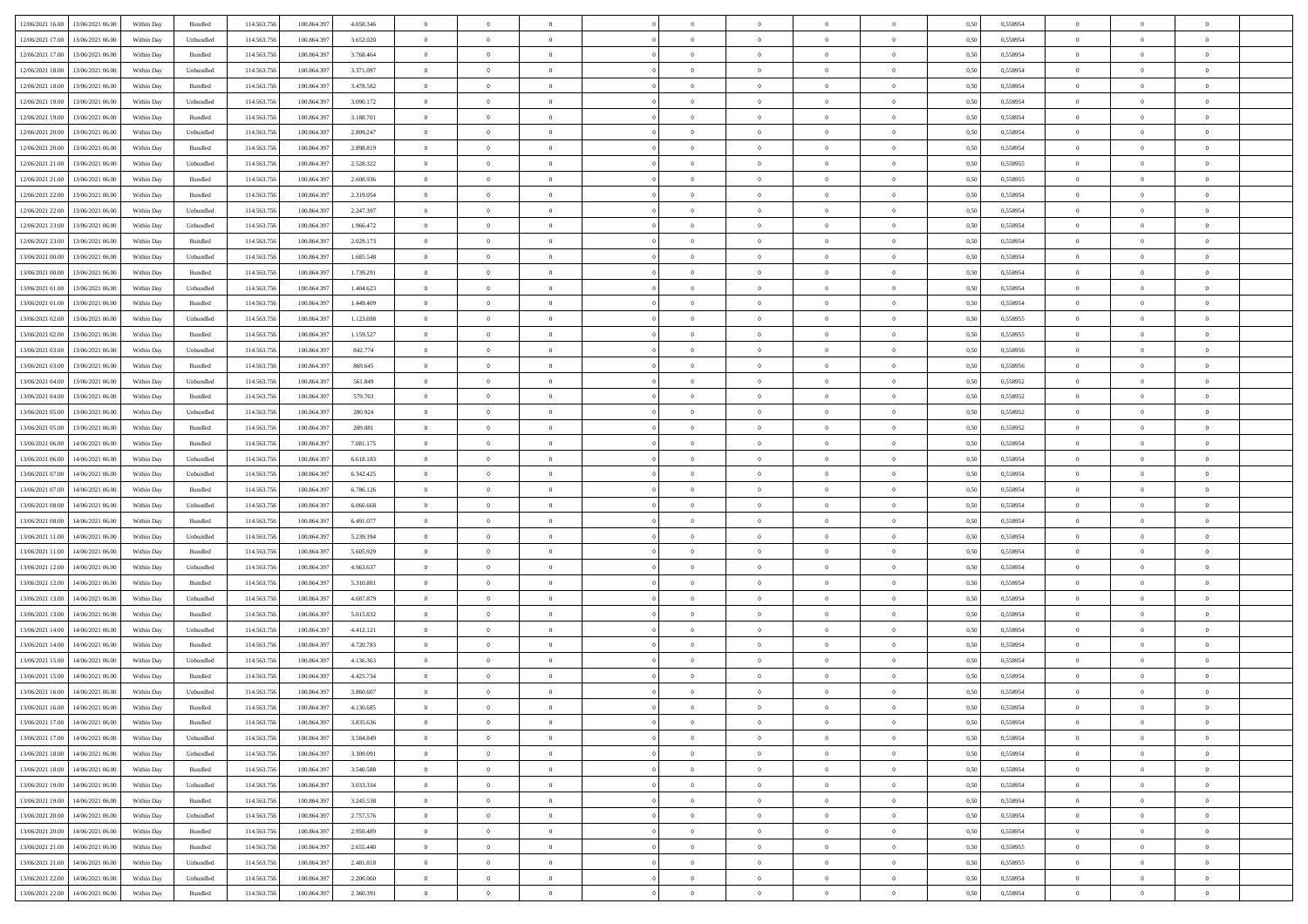| 12/06/2021 16:00 13/06/2021 06:00            | Within Day | Bundled   | 114.563.75  | 100.864.39  | 4.058.346 | $\overline{0}$ | $\overline{0}$ |                | $\overline{0}$ | $\theta$       |                | $\theta$       | 0,50 | 0,558954 | $\theta$       | $\theta$       | $\overline{0}$ |  |
|----------------------------------------------|------------|-----------|-------------|-------------|-----------|----------------|----------------|----------------|----------------|----------------|----------------|----------------|------|----------|----------------|----------------|----------------|--|
|                                              |            |           |             |             |           |                |                |                |                |                |                |                |      |          |                |                |                |  |
| 12/06/2021 17:00<br>13/06/2021 06:00         | Within Day | Unbundled | 114.563.75  | 100.864.39  | 3.652.020 | $\bf{0}$       | $\bf{0}$       | $\bf{0}$       | $\bf{0}$       | $\overline{0}$ | $\bf{0}$       | $\bf{0}$       | 0,50 | 0,558954 | $\,$ 0 $\,$    | $\bf{0}$       | $\overline{0}$ |  |
| 12/06/2021 17:00<br>13/06/2021 06:00         | Within Day | Bundled   | 114,563,75  | 100,864.397 | 3.768.464 | $\overline{0}$ | $\bf{0}$       | $\overline{0}$ | $\overline{0}$ | $\bf{0}$       | $\overline{0}$ | $\bf{0}$       | 0.50 | 0.558954 | $\overline{0}$ | $\overline{0}$ | $\bf{0}$       |  |
| 12/06/2021 18:00<br>13/06/2021 06:00         | Within Day | Unbundled | 114.563.75  | 100.864.39  | 3.371.097 | $\overline{0}$ | $\overline{0}$ | $\overline{0}$ | $\overline{0}$ | $\theta$       | $\overline{0}$ | $\bf{0}$       | 0,50 | 0,558954 | $\theta$       | $\,$ 0 $\,$    | $\overline{0}$ |  |
|                                              |            |           |             |             |           |                |                |                |                |                |                |                |      |          |                |                |                |  |
| 12/06/2021 18:00<br>13/06/2021 06:00         | Within Day | Bundled   | 114.563.75  | 100.864.39  | 3.478.582 | $\bf{0}$       | $\overline{0}$ | $\bf{0}$       | $\overline{0}$ | $\bf{0}$       | $\overline{0}$ | $\bf{0}$       | 0,50 | 0,558954 | $\,$ 0 $\,$    | $\bf{0}$       | $\overline{0}$ |  |
| 12/06/2021 19:00<br>13/06/2021 06:00         | Within Day | Unbundled | 114,563,75  | 100.864.39  | 3.090.172 | $\overline{0}$ | $\bf{0}$       | $\overline{0}$ | $\bf{0}$       | $\overline{0}$ | $\theta$       | $\bf{0}$       | 0.50 | 0.558954 | $\,$ 0 $\,$    | $\theta$       | $\overline{0}$ |  |
| 12/06/2021 19:00<br>13/06/2021 06:00         | Within Day | Bundled   | 114.563.75  | 100.864.39  | 3.188.701 | $\overline{0}$ | $\overline{0}$ | $\overline{0}$ | $\overline{0}$ | $\overline{0}$ | $\overline{0}$ | $\bf{0}$       | 0,50 | 0,558954 | $\,$ 0 $\,$    | $\theta$       | $\overline{0}$ |  |
| 12/06/2021 20:00<br>13/06/2021 06:00         | Within Day | Unbundled | 114.563.75  | 100.864.39  | 2.809.247 | $\bf{0}$       | $\bf{0}$       | $\bf{0}$       | $\bf{0}$       | $\overline{0}$ | $\overline{0}$ | $\bf{0}$       | 0,50 | 0,558954 | $\,$ 0 $\,$    | $\bf{0}$       | $\overline{0}$ |  |
| 12/06/2021 20:00<br>13/06/2021 06:00         | Within Day | Bundled   | 114,563,75  | 100.864.39  | 2.898.819 | $\overline{0}$ | $\bf{0}$       | $\overline{0}$ | $\bf{0}$       | $\overline{0}$ | $\overline{0}$ | $\bf{0}$       | 0.50 | 0.558954 | $\bf{0}$       | $\overline{0}$ | $\overline{0}$ |  |
|                                              |            |           |             |             |           |                |                |                |                |                |                |                |      |          |                |                |                |  |
| 12/06/2021 21:00<br>13/06/2021 06:00         | Within Day | Unbundled | 114.563.75  | 100.864.397 | 2.528.322 | $\bf{0}$       | $\bf{0}$       | $\overline{0}$ | $\overline{0}$ | $\overline{0}$ | $\overline{0}$ | $\bf{0}$       | 0,50 | 0,558955 | $\,$ 0 $\,$    | $\,$ 0 $\,$    | $\overline{0}$ |  |
| 12/06/2021 21:00<br>13/06/2021 06:00         | Within Day | Bundled   | 114.563.75  | 100.864.39  | 2.608.936 | $\bf{0}$       | $\bf{0}$       | $\bf{0}$       | $\bf{0}$       | $\overline{0}$ | $\overline{0}$ | $\bf{0}$       | 0,50 | 0,558955 | $\,$ 0 $\,$    | $\bf{0}$       | $\overline{0}$ |  |
| 12/06/2021 22:00<br>13/06/2021 06:00         | Within Day | Bundled   | 114,563,75  | 100.864.39  | 2.319.054 | $\overline{0}$ | $\bf{0}$       | $\overline{0}$ | $\overline{0}$ | $\overline{0}$ | $\overline{0}$ | $\bf{0}$       | 0.50 | 0.558954 | $\bf{0}$       | $\,$ 0 $\,$    | $\,$ 0         |  |
| 12/06/2021 22:00<br>13/06/2021 06:00         | Within Day | Unbundled | 114.563.75  | 100.864.39  | 2.247.397 | $\overline{0}$ | $\bf{0}$       | $\overline{0}$ | $\theta$       | $\theta$       | $\overline{0}$ | $\bf{0}$       | 0,50 | 0,558954 | $\,$ 0 $\,$    | $\,$ 0 $\,$    | $\overline{0}$ |  |
|                                              |            |           |             |             |           |                | $\bf{0}$       |                |                | $\overline{0}$ | $\overline{0}$ |                |      |          | $\,$ 0 $\,$    | $\bf{0}$       | $\overline{0}$ |  |
| 12/06/2021 23:00<br>13/06/2021 06:00         | Within Day | Unbundled | 114.563.75  | 100.864.39  | 1.966.472 | $\bf{0}$       |                | $\bf{0}$       | $\bf{0}$       |                |                | $\bf{0}$       | 0,50 | 0,558954 |                |                |                |  |
| 12/06/2021 23:00<br>13/06/2021 06:00         | Within Day | Bundled   | 114,563,75  | 100.864.39  | 2.029.173 | $\overline{0}$ | $\bf{0}$       | $\overline{0}$ | $\bf{0}$       | $\overline{0}$ | $\theta$       | $\bf{0}$       | 0.50 | 0.558954 | $\,$ 0 $\,$    | $\theta$       | $\overline{0}$ |  |
| 13/06/2021 00:00<br>13/06/2021 06:00         | Within Day | Unbundled | 114.563.75  | 100.864.397 | 1.685.548 | $\overline{0}$ | $\overline{0}$ | $\overline{0}$ | $\overline{0}$ | $\overline{0}$ | $\overline{0}$ | $\bf{0}$       | 0,50 | 0,558954 | $\theta$       | $\theta$       | $\overline{0}$ |  |
| 13/06/2021 00:00<br>13/06/2021 06:00         | Within Day | Bundled   | 114.563.75  | 100.864.39  | 1.739.291 | $\bf{0}$       | $\bf{0}$       | $\bf{0}$       | $\overline{0}$ | $\overline{0}$ | $\overline{0}$ | $\bf{0}$       | 0,50 | 0,558954 | $\,$ 0 $\,$    | $\bf{0}$       | $\overline{0}$ |  |
| 13/06/2021 01:00<br>13/06/2021 06:00         | Within Day | Unbundled | 114,563,75  | 100.864.39  | 1.404.623 | $\overline{0}$ | $\bf{0}$       | $\overline{0}$ | $\bf{0}$       | $\overline{0}$ | $\overline{0}$ | $\bf{0}$       | 0.50 | 0.558954 | $\bf{0}$       | $\overline{0}$ | $\bf{0}$       |  |
| 13/06/2021 01:00<br>13/06/2021 06:00         |            |           | 114.563.75  |             |           |                | $\bf{0}$       | $\overline{0}$ | $\overline{0}$ | $\overline{0}$ | $\overline{0}$ |                |      |          | $\,$ 0 $\,$    | $\bf{0}$       | $\overline{0}$ |  |
|                                              | Within Day | Bundled   |             | 100.864.39  | 1.449.409 | $\bf{0}$       |                |                |                |                |                | $\bf{0}$       | 0,50 | 0,558954 |                |                |                |  |
| 13/06/2021 02:00<br>13/06/2021 06:00         | Within Day | Unbundled | 114.563.75  | 100.864.39  | 1.123.698 | $\bf{0}$       | $\bf{0}$       | $\bf{0}$       | $\bf{0}$       | $\overline{0}$ | $\overline{0}$ | $\bf{0}$       | 0,50 | 0,558955 | $\,$ 0 $\,$    | $\bf{0}$       | $\overline{0}$ |  |
| 13/06/2021 02:00<br>13/06/2021 06:00         | Within Day | Bundled   | 114,563,75  | 100,864.397 | 1.159.527 | $\overline{0}$ | $\bf{0}$       | $\overline{0}$ | $\overline{0}$ | $\bf{0}$       | $\overline{0}$ | $\bf{0}$       | 0.50 | 0.558955 | $\bf{0}$       | $\,$ 0 $\,$    | $\,$ 0         |  |
| 13/06/2021 03:00<br>13/06/2021 06:00         | Within Day | Unbundled | 114.563.75  | 100.864.39  | 842.774   | $\overline{0}$ | $\overline{0}$ | $\overline{0}$ | $\overline{0}$ | $\theta$       | $\overline{0}$ | $\bf{0}$       | 0,50 | 0,558956 | $\theta$       | $\theta$       | $\overline{0}$ |  |
| 13/06/2021 03:00<br>13/06/2021 06:00         | Within Day | Bundled   | 114.563.75  | 100.864.39  | 869.645   | $\bf{0}$       | $\bf{0}$       | $\bf{0}$       | $\bf{0}$       | $\overline{0}$ | $\overline{0}$ | $\bf{0}$       | 0,50 | 0,558956 | $\,$ 0 $\,$    | $\bf{0}$       | $\overline{0}$ |  |
| 13/06/2021 04:00<br>13/06/2021 06:00         | Within Day | Unbundled | 114,563,75  | 100.864.39  | 561.849   | $\overline{0}$ | $\bf{0}$       | $\overline{0}$ | $\bf{0}$       | $\overline{0}$ | $\theta$       | $\bf{0}$       | 0.50 | 0.558952 | $\bf{0}$       | $\overline{0}$ | $\overline{0}$ |  |
|                                              |            |           |             |             |           | $\overline{0}$ | $\overline{0}$ | $\overline{0}$ | $\overline{0}$ | $\overline{0}$ | $\overline{0}$ |                |      |          |                | $\theta$       |                |  |
| 13/06/2021 04:00<br>13/06/2021 06:00         | Within Day | Bundled   | 114.563.75  | 100.864.39  | 579.763   |                |                |                |                |                |                | $\bf{0}$       | 0,50 | 0,558952 | $\,$ 0 $\,$    |                | $\overline{0}$ |  |
| 13/06/2021 05:00<br>13/06/2021 06:00         | Within Day | Unbundled | 114.563.75  | 100.864.39  | 280.924   | $\bf{0}$       | $\overline{0}$ | $\bf{0}$       | $\overline{0}$ | $\overline{0}$ | $\overline{0}$ | $\bf{0}$       | 0,50 | 0,558952 | $\,$ 0 $\,$    | $\bf{0}$       | $\overline{0}$ |  |
| 13/06/2021 05:00<br>13/06/2021 06:00         | Within Day | Bundled   | 114,563,75  | 100.864.39  | 289.881   | $\overline{0}$ | $\bf{0}$       | $\overline{0}$ | $\bf{0}$       | $\overline{0}$ | $\overline{0}$ | $\bf{0}$       | 0.50 | 0.558952 | $\bf{0}$       | $\overline{0}$ | $\overline{0}$ |  |
| 13/06/2021 06:00<br>14/06/2021 06:00         | Within Day | Bundled   | 114.563.75  | 100.864.397 | 7.081.175 | $\overline{0}$ | $\bf{0}$       | $\overline{0}$ | $\overline{0}$ | $\overline{0}$ | $\overline{0}$ | $\bf{0}$       | 0,50 | 0,558954 | $\,$ 0 $\,$    | $\bf{0}$       | $\overline{0}$ |  |
| 13/06/2021 06:00<br>14/06/2021 06:00         | Within Day | Unbundled | 114.563.75  | 100.864.39  | 6.618.183 | $\bf{0}$       | $\bf{0}$       | $\bf{0}$       | $\bf{0}$       | $\overline{0}$ | $\bf{0}$       | $\bf{0}$       | 0,50 | 0,558954 | $\,$ 0 $\,$    | $\bf{0}$       | $\overline{0}$ |  |
| 13/06/2021 07:00<br>14/06/2021 06:00         | Within Day | Unbundled | 114,563,75  | 100.864.39  | 6.342.425 | $\overline{0}$ | $\bf{0}$       | $\overline{0}$ | $\overline{0}$ | $\bf{0}$       | $\overline{0}$ | $\bf{0}$       | 0.50 | 0.558954 | $\bf{0}$       | $\,$ 0 $\,$    | $\,$ 0         |  |
| 13/06/2021 07:00<br>14/06/2021 06:00         | Within Day | Bundled   | 114.563.75  | 100.864.39  | 6.786.126 | $\overline{0}$ | $\overline{0}$ | $\overline{0}$ | $\overline{0}$ | $\overline{0}$ | $\overline{0}$ | $\bf{0}$       | 0.50 | 0,558954 | $\theta$       | $\theta$       | $\overline{0}$ |  |
|                                              |            |           |             |             |           |                |                |                |                |                | $\overline{0}$ |                |      |          |                |                |                |  |
| 13/06/2021 08:00<br>14/06/2021 06.00         | Within Day | Unbundled | 114.563.75  | 100.864.39  | 6.066.668 | $\bf{0}$       | $\bf{0}$       | $\bf{0}$       | $\bf{0}$       | $\overline{0}$ |                | $\bf{0}$       | 0,50 | 0,558954 | $\,$ 0 $\,$    | $\bf{0}$       | $\overline{0}$ |  |
| 13/06/2021 08:00<br>14/06/2021 06:00         | Within Day | Bundled   | 114,563,75  | 100.864.39  | 6.491.077 | $\overline{0}$ | $\bf{0}$       | $\overline{0}$ | $\bf{0}$       | $\overline{0}$ | $\overline{0}$ | $\bf{0}$       | 0.50 | 0.558954 | $\bf{0}$       | $\bf{0}$       | $\overline{0}$ |  |
| 13/06/2021 11:00<br>14/06/2021 06:00         | Within Dav | Unbundled | 114.563.75  | 100.864.397 | 5.239.394 | $\overline{0}$ | $\overline{0}$ | $\overline{0}$ | $\overline{0}$ | $\overline{0}$ | $\overline{0}$ | $\bf{0}$       | 0.50 | 0,558954 | $\theta$       | $\theta$       | $\overline{0}$ |  |
| 13/06/2021 11:00<br>14/06/2021 06.00         | Within Day | Bundled   | 114.563.75  | 100.864.39  | 5.605.929 | $\bf{0}$       | $\bf{0}$       | $\bf{0}$       | $\bf{0}$       | $\overline{0}$ | $\overline{0}$ | $\bf{0}$       | 0,50 | 0,558954 | $\,$ 0 $\,$    | $\bf{0}$       | $\overline{0}$ |  |
| 13/06/2021 12:00<br>14/06/2021 06:00         | Within Day | Unbundled | 114,563,75  | 100.864.39  | 4.963.637 | $\overline{0}$ | $\bf{0}$       | $\overline{0}$ | $\bf{0}$       | $\overline{0}$ | $\overline{0}$ | $\bf{0}$       | 0.50 | 0.558954 | $\bf{0}$       | $\overline{0}$ | $\bf{0}$       |  |
| 13/06/2021 12:00<br>14/06/2021 06:00         | Within Dav | Bundled   | 114.563.75  | 100,864.39  | 5.310.881 | $\overline{0}$ | $\overline{0}$ | $\overline{0}$ | $\overline{0}$ | $\overline{0}$ | $\overline{0}$ | $\bf{0}$       | 0.50 | 0,558954 | $\theta$       | $\theta$       | $\overline{0}$ |  |
| 13/06/2021 13:00<br>14/06/2021 06.00         | Within Day | Unbundled | 114.563.75  | 100.864.39  | 4.687.879 | $\bf{0}$       | $\bf{0}$       | $\bf{0}$       | $\bf{0}$       | $\overline{0}$ | $\bf{0}$       | $\bf{0}$       | 0,50 | 0,558954 | $\,$ 0 $\,$    | $\bf{0}$       | $\overline{0}$ |  |
|                                              |            |           |             |             |           |                |                |                |                |                |                |                |      |          |                |                |                |  |
| 13/06/2021 13:00<br>14/06/2021 06:00         | Within Day | Bundled   | 114,563,75  | 100,864.397 | 5.015.832 | $\overline{0}$ | $\bf{0}$       | $\overline{0}$ | $\overline{0}$ | $\bf{0}$       | $\overline{0}$ | $\bf{0}$       | 0.50 | 0.558954 | $\,$ 0 $\,$    | $\,$ 0 $\,$    | $\,$ 0         |  |
| 13/06/2021 14:00<br>14/06/2021 06:00         | Within Dav | Unbundled | 114.563.75  | 100.864.397 | 4.412.121 | $\overline{0}$ | $\overline{0}$ | $\overline{0}$ | $\overline{0}$ | $\overline{0}$ | $\overline{0}$ | $\bf{0}$       | 0.50 | 0.558954 | $\theta$       | $\theta$       | $\overline{0}$ |  |
| 13/06/2021 14:00<br>14/06/2021 06.00         | Within Day | Bundled   | 114.563.75  | 100.864.39  | 4.720.783 | $\bf{0}$       | $\bf{0}$       | $\bf{0}$       | $\bf{0}$       | $\overline{0}$ | $\overline{0}$ | $\bf{0}$       | 0,50 | 0,558954 | $\,$ 0 $\,$    | $\bf{0}$       | $\overline{0}$ |  |
| 13/06/2021 15:00<br>14/06/2021 06.00         | Within Day | Unbundled | 114,563,75  | 100.864.39  | 4.136.363 | $\overline{0}$ | $\bf{0}$       | $\overline{0}$ | $\bf{0}$       | $\overline{0}$ | $\overline{0}$ | $\bf{0}$       | 0.50 | 0.558954 | $\bf{0}$       | $\bf{0}$       | $\overline{0}$ |  |
| 13/06/2021 15:00<br>14/06/2021 06:00         | Within Dav | Bundled   | 114.563.75  | 100,864.39  | 4.425.734 | $\overline{0}$ | $\overline{0}$ | $\overline{0}$ | $\overline{0}$ | $\theta$       | $\overline{0}$ | $\overline{0}$ | 0.5( | 0,558954 | $\theta$       | $\theta$       | $\overline{0}$ |  |
| 13/06/2021 16:00<br>14/06/2021 06.00         | Within Day | Unbundled | 114.563.75  | 100.864.39  | 3.860.607 | $\bf{0}$       | $\bf{0}$       | $\bf{0}$       | $\bf{0}$       | $\bf{0}$       | $\overline{0}$ | $\bf{0}$       | 0,50 | 0,558954 | $\overline{0}$ | $\overline{0}$ | $\overline{0}$ |  |
|                                              |            |           |             |             |           |                |                |                |                |                |                |                |      |          |                |                |                |  |
| $13/06/2021\ 16.00 \qquad 14/06/2021\ 06.00$ | Within Day | Bundled   | 114.563.756 | 100.864.397 | 4.130.685 | $\bf{0}$       | $\theta$       |                | $\overline{0}$ | $\Omega$       |                |                | 0,50 | 0.558954 | $\,$ 0         | $\bf{0}$       |                |  |
| 13/06/2021 17:00 14/06/2021 06:00            | Within Day | Bundled   | 114.563.756 | 100.864.397 | 3.835.636 | $\overline{0}$ | $\overline{0}$ | $\Omega$       | $\theta$       | $\overline{0}$ | $\overline{0}$ | $\bf{0}$       | 0,50 | 0,558954 | $\theta$       | $\overline{0}$ | $\overline{0}$ |  |
| 13/06/2021 17:00<br>14/06/2021 06.00         | Within Day | Unbundled | 114.563.75  | 100.864.39  | 3.584.849 | $\overline{0}$ | $\bf{0}$       | $\overline{0}$ | $\overline{0}$ | $\bf{0}$       | $\overline{0}$ | $\bf{0}$       | 0,50 | 0,558954 | $\bf{0}$       | $\overline{0}$ | $\bf{0}$       |  |
| 13/06/2021 18:00 14/06/2021 06:00            | Within Day | Unbundled | 114,563,756 | 100,864,397 | 3.309.091 | $\overline{0}$ | $\bf{0}$       | $\overline{0}$ | $\overline{0}$ | $\mathbf{0}$   | $\overline{0}$ | $\,$ 0 $\,$    | 0.50 | 0.558954 | $\overline{0}$ | $\bf{0}$       | $\,$ 0 $\,$    |  |
| 13/06/2021 18:00 14/06/2021 06:00            | Within Day | Bundled   | 114.563.756 | 100.864.397 | 3.540.588 | $\overline{0}$ | $\overline{0}$ | $\overline{0}$ | $\overline{0}$ | $\overline{0}$ | $\overline{0}$ | $\bf{0}$       | 0,50 | 0,558954 | $\overline{0}$ | $\theta$       | $\overline{0}$ |  |
|                                              |            |           |             |             |           |                |                |                |                |                |                |                |      |          |                |                |                |  |
| 13/06/2021 19:00<br>14/06/2021 06.00         | Within Day | Unbundled | 114.563.75  | 100.864.397 | 3.033.334 | $\overline{0}$ | $\bf{0}$       | $\overline{0}$ | $\overline{0}$ | $\bf{0}$       | $\overline{0}$ | $\bf{0}$       | 0,50 | 0,558954 | $\bf{0}$       | $\overline{0}$ | $\overline{0}$ |  |
| 14/06/2021 06:00<br>13/06/2021 19:00         | Within Day | Bundled   | 114.563.756 | 100,864,397 | 3.245.538 | $\overline{0}$ | $\bf{0}$       | $\overline{0}$ | $\overline{0}$ | $\bf{0}$       | $\overline{0}$ | $\bf{0}$       | 0.50 | 0.558954 | $\,$ 0 $\,$    | $\overline{0}$ | $\overline{0}$ |  |
| 13/06/2021 20:00<br>14/06/2021 06:00         | Within Dav | Unbundled | 114.563.756 | 100.864.397 | 2.757.576 | $\overline{0}$ | $\overline{0}$ | $\overline{0}$ | $\overline{0}$ | $\overline{0}$ | $\overline{0}$ | $\bf{0}$       | 0.50 | 0,558954 | $\overline{0}$ | $\theta$       | $\overline{0}$ |  |
| 13/06/2021 20:00<br>14/06/2021 06.00         | Within Day | Bundled   | 114.563.75  | 100.864.39  | 2.950.489 | $\overline{0}$ | $\overline{0}$ | $\overline{0}$ | $\overline{0}$ | $\overline{0}$ | $\overline{0}$ | $\bf{0}$       | 0,50 | 0,558954 | $\bf{0}$       | $\overline{0}$ | $\,$ 0         |  |
| 13/06/2021 21:00<br>14/06/2021 06:00         | Within Day | Bundled   | 114.563.75  | 100,864.397 | 2.655.440 | $\overline{0}$ | $\overline{0}$ | $\overline{0}$ | $\overline{0}$ | $\overline{0}$ | $\overline{0}$ | $\bf{0}$       | 0.50 | 0.558955 | $\mathbf{0}$   | $\bf{0}$       | $\,$ 0         |  |
| 13/06/2021 21:00 14/06/2021 06:00            | Within Dav | Unbundled | 114.563.756 | 100.864.397 | 2.481.818 | $\overline{0}$ | $\overline{0}$ | $\overline{0}$ | $\overline{0}$ | $\overline{0}$ | $\overline{0}$ | $\bf{0}$       | 0,50 | 0,558955 | $\overline{0}$ | $\theta$       | $\overline{0}$ |  |
|                                              |            |           |             |             |           |                |                |                |                |                |                |                |      |          |                |                |                |  |
| 13/06/2021 22:00<br>14/06/2021 06.00         | Within Day | Unbundled | 114.563.75  | 100.864.39  | 2.206.060 | $\overline{0}$ | $\bf{0}$       | $\overline{0}$ | $\bf{0}$       | $\overline{0}$ | $\overline{0}$ | $\bf{0}$       | 0,50 | 0,558954 | $\bf{0}$       | $\,$ 0 $\,$    | $\bf{0}$       |  |
| 13/06/2021 22:00 14/06/2021 06:00            | Within Day | Bundled   | 114.563.756 | 100.864.397 | 2.360.391 | $\overline{0}$ | $\bf{0}$       | $\overline{0}$ | $\overline{0}$ | $\,$ 0 $\,$    | $\overline{0}$ | $\bf{0}$       | 0,50 | 0,558954 | $\overline{0}$ | $\,$ 0 $\,$    | $\,$ 0 $\,$    |  |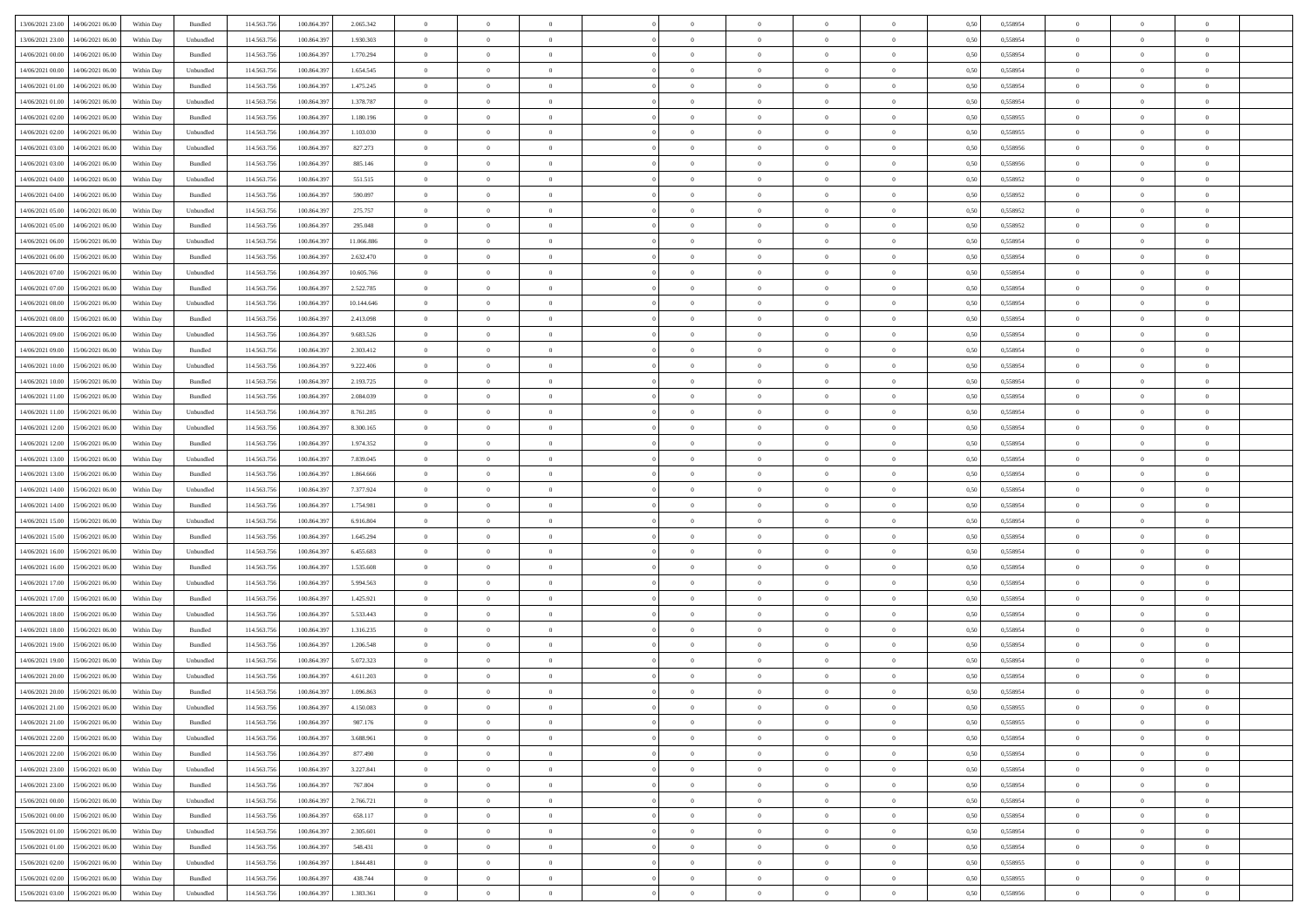|                                                |            |                             |             |             |            | $\overline{0}$ | $\overline{0}$ |                | $\overline{0}$ | $\theta$       |                | $\theta$       |      |          | $\theta$       | $\theta$       | $\overline{0}$ |  |
|------------------------------------------------|------------|-----------------------------|-------------|-------------|------------|----------------|----------------|----------------|----------------|----------------|----------------|----------------|------|----------|----------------|----------------|----------------|--|
| 13/06/2021 23:00<br>14/06/2021 06:00           | Within Day | Bundled                     | 114.563.75  | 100.864.39  | 2.065.342  |                |                |                |                |                |                |                | 0,50 | 0,558954 |                |                |                |  |
| 13/06/2021 23:00<br>14/06/2021 06:00           | Within Day | Unbundled                   | 114.563.75  | 100.864.39  | 1.930.303  | $\bf{0}$       | $\bf{0}$       | $\bf{0}$       | $\bf{0}$       | $\overline{0}$ | $\overline{0}$ | $\bf{0}$       | 0,50 | 0,558954 | $\,$ 0 $\,$    | $\bf{0}$       | $\overline{0}$ |  |
| $14/06/2021\ 00.00$<br>14/06/2021 06:00        | Within Day | Bundled                     | 114,563,75  | 100,864.397 | 1.770.294  | $\overline{0}$ | $\bf{0}$       | $\overline{0}$ | $\bf{0}$       | $\bf{0}$       | $\overline{0}$ | $\bf{0}$       | 0.50 | 0.558954 | $\bf{0}$       | $\overline{0}$ | $\overline{0}$ |  |
| 14/06/2021 00:00<br>14/06/2021 06:00           | Within Day | Unbundled                   | 114.563.75  | 100.864.39  | 1.654.545  | $\overline{0}$ | $\overline{0}$ | $\overline{0}$ | $\overline{0}$ | $\theta$       | $\overline{0}$ | $\bf{0}$       | 0,50 | 0,558954 | $\,$ 0 $\,$    | $\theta$       | $\overline{0}$ |  |
| 14/06/2021 01:00<br>14/06/2021 06:00           | Within Day | Bundled                     | 114.563.75  | 100.864.39  | 1.475.245  | $\bf{0}$       | $\overline{0}$ | $\bf{0}$       | $\overline{0}$ | $\bf{0}$       | $\overline{0}$ | $\bf{0}$       | 0,50 | 0,558954 | $\,$ 0 $\,$    | $\bf{0}$       | $\overline{0}$ |  |
|                                                |            |                             |             |             |            |                |                |                |                |                |                |                |      |          |                |                |                |  |
| 14/06/2021 01:00<br>14/06/2021 06:00           | Within Day | Unbundled                   | 114,563,75  | 100.864.39  | 1.378.787  | $\overline{0}$ | $\bf{0}$       | $\overline{0}$ | $\bf{0}$       | $\overline{0}$ | $\theta$       | $\bf{0}$       | 0.50 | 0.558954 | $\,$ 0 $\,$    | $\theta$       | $\overline{0}$ |  |
| 14/06/2021 02:00<br>14/06/2021 06.00           | Within Day | Bundled                     | 114.563.75  | 100.864.39  | 1.180.196  | $\overline{0}$ | $\overline{0}$ | $\overline{0}$ | $\overline{0}$ | $\overline{0}$ | $\overline{0}$ | $\bf{0}$       | 0,50 | 0,558955 | $\,$ 0 $\,$    | $\theta$       | $\overline{0}$ |  |
| 14/06/2021 02:00<br>14/06/2021 06.00           | Within Day | Unbundled                   | 114.563.75  | 100.864.39  | 1.103.030  | $\bf{0}$       | $\bf{0}$       | $\bf{0}$       | $\overline{0}$ | $\overline{0}$ | $\overline{0}$ | $\bf{0}$       | 0,50 | 0,558955 | $\,$ 0 $\,$    | $\bf{0}$       | $\overline{0}$ |  |
| 14/06/2021 03:00<br>14/06/2021 06:00           | Within Day | Unbundled                   | 114,563,75  | 100.864.39  | 827.273    | $\overline{0}$ | $\bf{0}$       | $\overline{0}$ | $\bf{0}$       | $\overline{0}$ | $\overline{0}$ | $\bf{0}$       | 0.50 | 0.558956 | $\bf{0}$       | $\overline{0}$ | $\overline{0}$ |  |
| 14/06/2021 03:00<br>14/06/2021 06:00           | Within Day | Bundled                     | 114.563.75  | 100.864.397 | 885.146    | $\bf{0}$       | $\bf{0}$       | $\overline{0}$ | $\overline{0}$ | $\overline{0}$ | $\overline{0}$ | $\bf{0}$       | 0,50 | 0,558956 | $\,$ 0 $\,$    | $\,$ 0 $\,$    | $\overline{0}$ |  |
| 14/06/2021 04:00<br>14/06/2021 06.00           | Within Day | Unbundled                   | 114.563.75  | 100.864.39  | 551.515    | $\bf{0}$       | $\bf{0}$       | $\bf{0}$       | $\bf{0}$       | $\overline{0}$ | $\overline{0}$ | $\bf{0}$       | 0,50 | 0,558952 | $\,$ 0 $\,$    | $\bf{0}$       | $\overline{0}$ |  |
| 14/06/2021 04:00<br>14/06/2021 06:00           | Within Day | Bundled                     | 114,563,75  | 100.864.39  | 590,097    | $\overline{0}$ | $\bf{0}$       | $\overline{0}$ | $\overline{0}$ | $\bf{0}$       | $\overline{0}$ | $\bf{0}$       | 0.50 | 0.558952 | $\bf{0}$       | $\,$ 0 $\,$    | $\,$ 0         |  |
|                                                |            |                             |             |             |            | $\overline{0}$ |                | $\overline{0}$ | $\theta$       | $\theta$       | $\overline{0}$ |                |      |          | $\,$ 0 $\,$    | $\,$ 0 $\,$    |                |  |
| 14/06/2021 05:00<br>14/06/2021 06:00           | Within Day | Unbundled                   | 114.563.75  | 100.864.39  | 275.757    |                | $\bf{0}$       |                |                |                |                | $\bf{0}$       | 0,50 | 0,558952 |                |                | $\overline{0}$ |  |
| 14/06/2021 05:00<br>14/06/2021 06.00           | Within Day | Bundled                     | 114.563.75  | 100.864.39  | 295.048    | $\bf{0}$       | $\overline{0}$ | $\bf{0}$       | $\bf{0}$       | $\bf{0}$       | $\overline{0}$ | $\bf{0}$       | 0,50 | 0,558952 | $\,$ 0 $\,$    | $\bf{0}$       | $\overline{0}$ |  |
| 14/06/2021 06:00<br>15/06/2021 06:00           | Within Day | Unbundled                   | 114,563,75  | 100.864.39  | 11.066.886 | $\overline{0}$ | $\bf{0}$       | $\overline{0}$ | $\bf{0}$       | $\overline{0}$ | $\theta$       | $\bf{0}$       | 0.50 | 0.558954 | $\,$ 0 $\,$    | $\theta$       | $\overline{0}$ |  |
| 14/06/2021 06:00<br>15/06/2021 06:00           | Within Day | Bundled                     | 114.563.75  | 100.864.39  | 2.632.470  | $\overline{0}$ | $\overline{0}$ | $\overline{0}$ | $\overline{0}$ | $\overline{0}$ | $\overline{0}$ | $\bf{0}$       | 0,50 | 0,558954 | $\theta$       | $\theta$       | $\overline{0}$ |  |
| 14/06/2021 07:00<br>15/06/2021 06:00           | Within Day | Unbundled                   | 114.563.75  | 100,864.3   | 10.605.766 | $\bf{0}$       | $\bf{0}$       | $\bf{0}$       | $\overline{0}$ | $\overline{0}$ | $\overline{0}$ | $\bf{0}$       | 0,50 | 0,558954 | $\,$ 0 $\,$    | $\bf{0}$       | $\overline{0}$ |  |
| 14/06/2021 07:00<br>15/06/2021 06:00           | Within Day | Bundled                     | 114,563,75  | 100,864.39  | 2.522.785  | $\overline{0}$ | $\bf{0}$       | $\overline{0}$ | $\bf{0}$       | $\overline{0}$ | $\overline{0}$ | $\bf{0}$       | 0.50 | 0.558954 | $\bf{0}$       | $\overline{0}$ | $\overline{0}$ |  |
| 14/06/2021 08:00<br>15/06/2021 06:00           | Within Day | Unbundled                   | 114.563.75  | 100.864.39  | 10.144.646 | $\bf{0}$       | $\bf{0}$       | $\overline{0}$ | $\overline{0}$ | $\overline{0}$ | $\overline{0}$ | $\bf{0}$       | 0,50 | 0,558954 | $\,$ 0 $\,$    | $\bf{0}$       | $\overline{0}$ |  |
| 14/06/2021 08:00<br>15/06/2021 06:00           | Within Day | Bundled                     | 114.563.75  | 100.864.39  | 2.413.098  | $\bf{0}$       | $\bf{0}$       | $\bf{0}$       | $\bf{0}$       | $\overline{0}$ | $\overline{0}$ | $\bf{0}$       | 0,50 | 0,558954 | $\,$ 0 $\,$    | $\bf{0}$       | $\overline{0}$ |  |
|                                                |            |                             |             |             |            |                |                |                |                |                |                |                |      |          |                |                |                |  |
| $14/06/2021\ 09.00$<br>15/06/2021 06:00        | Within Day | Unbundled                   | 114,563,75  | 100,864.397 | 9.683.526  | $\overline{0}$ | $\bf{0}$       | $\overline{0}$ | $\overline{0}$ | $\bf{0}$       | $\overline{0}$ | $\bf{0}$       | 0.50 | 0.558954 | $\bf{0}$       | $\overline{0}$ | $\,$ 0         |  |
| 14/06/2021 09:00<br>15/06/2021 06:00           | Within Day | Bundled                     | 114.563.75  | 100.864.39  | 2.303.412  | $\overline{0}$ | $\overline{0}$ | $\overline{0}$ | $\overline{0}$ | $\theta$       | $\overline{0}$ | $\bf{0}$       | 0,50 | 0,558954 | $\theta$       | $\theta$       | $\overline{0}$ |  |
| 14/06/2021 10:00<br>15/06/2021 06:00           | Within Day | Unbundled                   | 114.563.75  | 100.864.39  | 9.222.406  | $\bf{0}$       | $\bf{0}$       | $\bf{0}$       | $\bf{0}$       | $\overline{0}$ | $\overline{0}$ | $\bf{0}$       | 0,50 | 0,558954 | $\,$ 0 $\,$    | $\bf{0}$       | $\overline{0}$ |  |
| 14/06/2021 10:00<br>15/06/2021 06:00           | Within Day | Bundled                     | 114,563,75  | 100.864.39  | 2.193.725  | $\overline{0}$ | $\bf{0}$       | $\overline{0}$ | $\bf{0}$       | $\overline{0}$ | $\theta$       | $\bf{0}$       | 0.50 | 0.558954 | $\,$ 0 $\,$    | $\theta$       | $\overline{0}$ |  |
| 14/06/2021 11:00<br>15/06/2021 06:00           | Within Day | Bundled                     | 114.563.75  | 100.864.39  | 2.084.039  | $\overline{0}$ | $\overline{0}$ | $\overline{0}$ | $\overline{0}$ | $\overline{0}$ | $\overline{0}$ | $\bf{0}$       | 0,50 | 0,558954 | $\,$ 0 $\,$    | $\theta$       | $\overline{0}$ |  |
| 14/06/2021 11:00<br>15/06/2021 06:00           | Within Day | Unbundled                   | 114.563.75  | 100.864.39  | 8.761.285  | $\bf{0}$       | $\overline{0}$ | $\bf{0}$       | $\overline{0}$ | $\overline{0}$ | $\overline{0}$ | $\bf{0}$       | 0,50 | 0,558954 | $\,$ 0 $\,$    | $\bf{0}$       | $\overline{0}$ |  |
| 14/06/2021 12:00<br>15/06/2021 06:00           | Within Day | Unbundled                   | 114,563,75  | 100.864.39  | 8.300.165  | $\overline{0}$ | $\bf{0}$       | $\overline{0}$ | $\bf{0}$       | $\overline{0}$ | $\overline{0}$ | $\bf{0}$       | 0.50 | 0.558954 | $\bf{0}$       | $\overline{0}$ | $\overline{0}$ |  |
| 14/06/2021 12:00<br>15/06/2021 06:00           | Within Day | Bundled                     | 114.563.75  | 100.864.397 | 1.974.352  | $\overline{0}$ | $\bf{0}$       | $\overline{0}$ | $\overline{0}$ | $\overline{0}$ | $\overline{0}$ | $\bf{0}$       | 0,50 | 0,558954 | $\,$ 0 $\,$    | $\bf{0}$       | $\overline{0}$ |  |
| 15/06/2021 06:00                               | Within Day | Unbundled                   | 114.563.75  | 100.864.39  | 7.839.045  | $\bf{0}$       | $\bf{0}$       | $\bf{0}$       | $\bf{0}$       | $\overline{0}$ | $\bf{0}$       | $\bf{0}$       | 0,50 | 0,558954 | $\,$ 0 $\,$    | $\bf{0}$       | $\overline{0}$ |  |
| 14/06/2021 13:00                               |            |                             |             |             |            |                |                |                |                |                |                |                |      |          |                |                |                |  |
| 14/06/2021 13:00<br>15/06/2021 06:00           | Within Day | Bundled                     | 114,563,75  | 100.864.39  | 1.864,666  | $\overline{0}$ | $\bf{0}$       | $\overline{0}$ | $\overline{0}$ | $\bf{0}$       | $\overline{0}$ | $\bf{0}$       | 0.50 | 0.558954 | $\bf{0}$       | $\,$ 0 $\,$    | $\,$ 0         |  |
| 14/06/2021 14:00<br>15/06/2021 06:00           | Within Day | Unbundled                   | 114.563.75  | 100.864.39  | 7.377.924  | $\overline{0}$ | $\overline{0}$ | $\overline{0}$ | $\overline{0}$ | $\overline{0}$ | $\overline{0}$ | $\bf{0}$       | 0.50 | 0,558954 | $\theta$       | $\theta$       | $\overline{0}$ |  |
| 14/06/2021 14:00<br>15/06/2021 06:00           | Within Day | Bundled                     | 114.563.75  | 100.864.39  | 1.754.981  | $\bf{0}$       | $\bf{0}$       | $\bf{0}$       | $\bf{0}$       | $\overline{0}$ | $\overline{0}$ | $\bf{0}$       | 0,50 | 0,558954 | $\,$ 0 $\,$    | $\bf{0}$       | $\overline{0}$ |  |
| 14/06/2021 15:00<br>15/06/2021 06:00           | Within Day | Unbundled                   | 114,563,75  | 100,864.397 | 6.916.804  | $\overline{0}$ | $\bf{0}$       | $\overline{0}$ | $\bf{0}$       | $\overline{0}$ | $\overline{0}$ | $\bf{0}$       | 0.50 | 0.558954 | $\,$ 0 $\,$    | $\bf{0}$       | $\overline{0}$ |  |
| 14/06/2021 15:00<br>15/06/2021 06:00           | Within Dav | Bundled                     | 114.563.75  | 100.864.397 | 1.645.294  | $\overline{0}$ | $\overline{0}$ | $\overline{0}$ | $\overline{0}$ | $\overline{0}$ | $\overline{0}$ | $\bf{0}$       | 0.50 | 0,558954 | $\theta$       | $\theta$       | $\overline{0}$ |  |
| 14/06/2021 16:00<br>15/06/2021 06:00           | Within Day | Unbundled                   | 114.563.75  | 100,864.39  | 6.455.683  | $\bf{0}$       | $\bf{0}$       | $\bf{0}$       | $\bf{0}$       | $\overline{0}$ | $\overline{0}$ | $\bf{0}$       | 0,50 | 0,558954 | $\,$ 0 $\,$    | $\bf{0}$       | $\overline{0}$ |  |
| 14/06/2021 16:00<br>15/06/2021 06:00           | Within Day | Bundled                     | 114,563,75  | 100.864.39  | 1.535.608  | $\overline{0}$ | $\bf{0}$       | $\overline{0}$ | $\bf{0}$       | $\overline{0}$ | $\overline{0}$ | $\bf{0}$       | 0.50 | 0.558954 | $\bf{0}$       | $\overline{0}$ | $\overline{0}$ |  |
| 14/06/2021 17:00<br>15/06/2021 06:00           | Within Dav | Unbundled                   | 114.563.75  | 100.864.39  | 5.994.563  | $\overline{0}$ | $\overline{0}$ | $\overline{0}$ | $\overline{0}$ | $\overline{0}$ | $\overline{0}$ | $\bf{0}$       | 0.50 | 0,558954 | $\theta$       | $\theta$       | $\overline{0}$ |  |
|                                                |            |                             |             |             |            |                |                |                |                |                |                |                |      |          |                |                |                |  |
| 14/06/2021 17:00<br>15/06/2021 06:00           | Within Day | Bundled                     | 114.563.75  | 100.864.39  | 1.425.921  | $\bf{0}$       | $\bf{0}$       | $\bf{0}$       | $\bf{0}$       | $\overline{0}$ | $\overline{0}$ | $\bf{0}$       | 0,50 | 0,558954 | $\,$ 0 $\,$    | $\bf{0}$       | $\overline{0}$ |  |
| $14/06/2021\ 18.00$<br>15/06/2021 06:00        | Within Day | Unbundled                   | 114.563.75  | 100,864.397 | 5.533.443  | $\overline{0}$ | $\bf{0}$       | $\overline{0}$ | $\overline{0}$ | $\bf{0}$       | $\overline{0}$ | $\bf{0}$       | 0.50 | 0.558954 | $\,$ 0 $\,$    | $\,$ 0 $\,$    | $\overline{0}$ |  |
| 14/06/2021 18:00<br>15/06/2021 06:00           | Within Dav | Bundled                     | 114.563.75  | 100.864.39  | 1.316.235  | $\overline{0}$ | $\overline{0}$ | $\overline{0}$ | $\overline{0}$ | $\overline{0}$ | $\overline{0}$ | $\bf{0}$       | 0.50 | 0,558954 | $\theta$       | $\theta$       | $\overline{0}$ |  |
| 14/06/2021 19:00<br>15/06/2021 06:00           | Within Day | Bundled                     | 114.563.75  | 100.864.39  | 1.206.548  | $\bf{0}$       | $\bf{0}$       | $\bf{0}$       | $\overline{0}$ | $\overline{0}$ | $\overline{0}$ | $\bf{0}$       | 0,50 | 0,558954 | $\,$ 0 $\,$    | $\bf{0}$       | $\overline{0}$ |  |
| 14/06/2021 19:00<br>15/06/2021 06:00           | Within Day | Unbundled                   | 114,563,75  | 100.864.39  | 5.072.323  | $\overline{0}$ | $\overline{0}$ | $\overline{0}$ | $\bf{0}$       | $\overline{0}$ | $\overline{0}$ | $\bf{0}$       | 0.50 | 0.558954 | $\bf{0}$       | $\theta$       | $\overline{0}$ |  |
| 14/06/2021 20:00<br>15/06/2021 06:00           | Within Dav | Unbundled                   | 114.563.75  | 100,864.39  | 4.611.203  | $\overline{0}$ | $\overline{0}$ | $\overline{0}$ | $\theta$       | $\theta$       | $\overline{0}$ | $\overline{0}$ | 0.5( | 0,558954 | $\theta$       | $\theta$       | $\overline{0}$ |  |
| 14/06/2021 20:00<br>15/06/2021 06:00           | Within Day | Bundled                     | 114.563.75  | 100.864.39  | 1.096.863  | $\bf{0}$       | $\bf{0}$       | $\bf{0}$       | $\bf{0}$       | $\bf{0}$       | $\overline{0}$ | $\bf{0}$       | 0,50 | 0,558954 | $\overline{0}$ | $\overline{0}$ | $\overline{0}$ |  |
| $14/06/2021\; 21.00 \qquad 15/06/2021\; 06.00$ | Within Day | $\ensuremath{\mathsf{Unb}}$ | 114.563.756 | 100.864.397 | 4.150.083  | $\bf{0}$       | $\theta$       |                | $\overline{0}$ |                |                |                | 0,50 | 0.558955 | $\bf{0}$       | $\bf{0}$       |                |  |
| 14/06/2021 21:00 15/06/2021 06:00              | Within Day | Bundled                     | 114.563.756 | 100.864.397 | 987.176    | $\overline{0}$ | $\overline{0}$ | $\Omega$       | $\theta$       | $\overline{0}$ | $\overline{0}$ | $\bf{0}$       | 0,50 | 0,558955 | $\theta$       | $\overline{0}$ | $\overline{0}$ |  |
|                                                |            |                             |             |             |            |                |                |                |                |                |                |                |      |          |                |                |                |  |
| 14/06/2021 22:00<br>15/06/2021 06:00           | Within Day | Unbundled                   | 114.563.75  | 100.864.39  | 3.688.961  | $\overline{0}$ | $\bf{0}$       | $\overline{0}$ | $\overline{0}$ | $\bf{0}$       | $\overline{0}$ | $\bf{0}$       | 0,50 | 0,558954 | $\bf{0}$       | $\overline{0}$ | $\bf{0}$       |  |
| 14/06/2021 22.00 15/06/2021 06:00              | Within Day | Bundled                     | 114,563,756 | 100,864,397 | 877.490    | $\overline{0}$ | $\bf{0}$       | $\overline{0}$ | $\overline{0}$ | $\mathbf{0}$   | $\overline{0}$ | $\,$ 0 $\,$    | 0.50 | 0.558954 | $\overline{0}$ | $\bf{0}$       | $\,$ 0 $\,$    |  |
| 14/06/2021 23:00 15/06/2021 06:00              | Within Day | Unbundled                   | 114.563.756 | 100.864.397 | 3.227.841  | $\overline{0}$ | $\overline{0}$ | $\overline{0}$ | $\overline{0}$ | $\overline{0}$ | $\overline{0}$ | $\bf{0}$       | 0,50 | 0,558954 | $\overline{0}$ | $\theta$       | $\overline{0}$ |  |
| 14/06/2021 23:00<br>15/06/2021 06:00           | Within Day | Bundled                     | 114.563.75  | 100.864.397 | 767.804    | $\overline{0}$ | $\bf{0}$       | $\overline{0}$ | $\overline{0}$ | $\bf{0}$       | $\overline{0}$ | $\bf{0}$       | 0,50 | 0,558954 | $\bf{0}$       | $\overline{0}$ | $\overline{0}$ |  |
| 15/06/2021 06:00<br>15/06/2021 00:00           | Within Day | Unbundled                   | 114.563.756 | 100,864,397 | 2.766.721  | $\overline{0}$ | $\bf{0}$       | $\overline{0}$ | $\overline{0}$ | $\bf{0}$       | $\overline{0}$ | $\bf{0}$       | 0.50 | 0.558954 | $\,$ 0 $\,$    | $\overline{0}$ | $\overline{0}$ |  |
| 15/06/2021 00:00<br>15/06/2021 06:00           | Within Dav | Bundled                     | 114.563.756 | 100.864.397 | 658.117    | $\overline{0}$ | $\overline{0}$ | $\overline{0}$ | $\overline{0}$ | $\overline{0}$ | $\overline{0}$ | $\bf{0}$       | 0.50 | 0,558954 | $\overline{0}$ | $\theta$       | $\overline{0}$ |  |
| 15/06/2021 01:00<br>15/06/2021 06:00           | Within Day | Unbundled                   | 114.563.75  | 100.864.39  | 2.305.601  | $\overline{0}$ | $\overline{0}$ | $\overline{0}$ | $\overline{0}$ | $\overline{0}$ | $\overline{0}$ | $\bf{0}$       | 0,50 | 0,558954 | $\bf{0}$       | $\overline{0}$ | $\,$ 0         |  |
|                                                |            |                             |             |             |            |                |                |                |                |                |                |                |      |          |                |                |                |  |
| 15/06/2021 01:00<br>15/06/2021 06:00           | Within Day | Bundled                     | 114.563.75  | 100,864.397 | 548,431    | $\overline{0}$ | $\overline{0}$ | $\overline{0}$ | $\overline{0}$ | $\overline{0}$ | $\overline{0}$ | $\bf{0}$       | 0.50 | 0.558954 | $\mathbf{0}$   | $\bf{0}$       | $\,$ 0         |  |
| 15/06/2021 02:00 15/06/2021 06:00              | Within Dav | Unbundled                   | 114.563.756 | 100.864.397 | 1.844.481  | $\overline{0}$ | $\overline{0}$ | $\overline{0}$ | $\overline{0}$ | $\overline{0}$ | $\overline{0}$ | $\bf{0}$       | 0,50 | 0,558955 | $\overline{0}$ | $\theta$       | $\overline{0}$ |  |
| 15/06/2021 02:00<br>15/06/2021 06:00           | Within Day | Bundled                     | 114.563.75  | 100.864.39  | 438.744    | $\overline{0}$ | $\bf{0}$       | $\overline{0}$ | $\overline{0}$ | $\overline{0}$ | $\overline{0}$ | $\bf{0}$       | 0,50 | 0,558955 | $\bf{0}$       | $\overline{0}$ | $\bf{0}$       |  |
| 15/06/2021 03:00 15/06/2021 06:00              | Within Day | Unbundled                   | 114.563.756 | 100.864.397 | 1.383.361  | $\,$ 0 $\,$    | $\bf{0}$       | $\overline{0}$ | $\overline{0}$ | $\,$ 0 $\,$    | $\overline{0}$ | $\bf{0}$       | 0,50 | 0,558956 | $\overline{0}$ | $\,$ 0 $\,$    | $\,$ 0 $\,$    |  |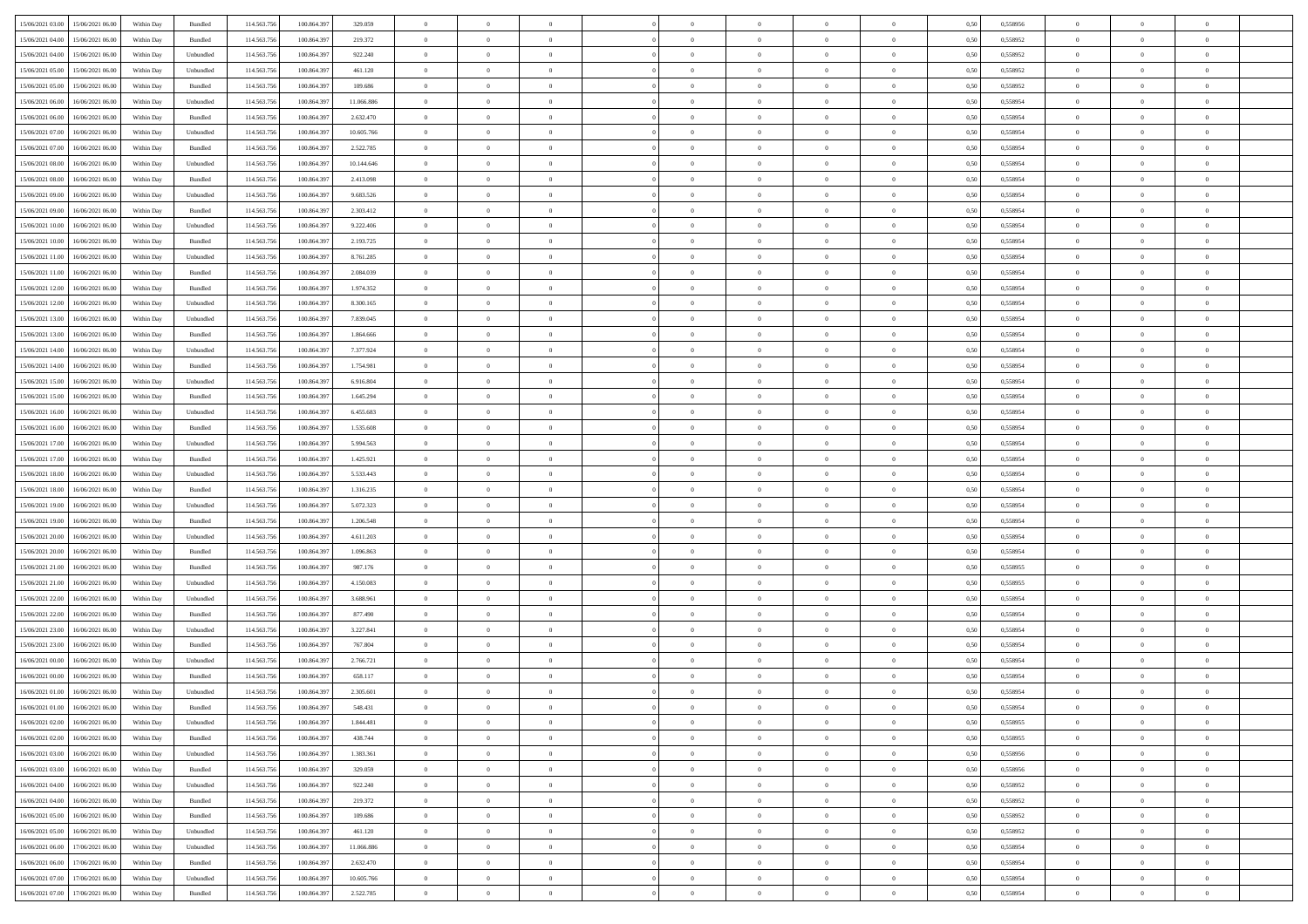| 15/06/2021 03:00 15/06/2021 06:00            | Within Day | Bundled   | 114.563.756 | 100.864.39  | 329.059    | $\overline{0}$ | $\overline{0}$ |                | $\overline{0}$ | $\theta$       |                | $\theta$       | 0,50 | 0,558956 | $\theta$       | $\theta$       | $\overline{0}$ |  |
|----------------------------------------------|------------|-----------|-------------|-------------|------------|----------------|----------------|----------------|----------------|----------------|----------------|----------------|------|----------|----------------|----------------|----------------|--|
| 15/06/2021 04:00<br>15/06/2021 06:00         | Within Day | Bundled   | 114.563.75  | 100.864.39  | 219.372    | $\bf{0}$       | $\bf{0}$       | $\bf{0}$       | $\overline{0}$ | $\overline{0}$ | $\overline{0}$ | $\bf{0}$       | 0,50 | 0,558952 | $\,$ 0 $\,$    | $\bf{0}$       | $\overline{0}$ |  |
| 15/06/2021 04:00<br>15/06/2021 06:00         | Within Day | Unbundled | 114,563,75  | 100.864.39  | 922.240    | $\overline{0}$ | $\bf{0}$       | $\overline{0}$ | $\bf{0}$       | $\bf{0}$       | $\overline{0}$ | $\bf{0}$       | 0.50 | 0.558952 | $\bf{0}$       | $\overline{0}$ | $\overline{0}$ |  |
| 15/06/2021 05:00<br>15/06/2021 06:00         |            |           | 114.563.75  |             |            | $\overline{0}$ | $\overline{0}$ | $\overline{0}$ | $\theta$       | $\theta$       | $\overline{0}$ |                |      |          | $\theta$       | $\theta$       | $\overline{0}$ |  |
|                                              | Within Day | Unbundled |             | 100.864.39  | 461.120    |                |                |                |                |                |                | $\bf{0}$       | 0,50 | 0,558952 |                |                |                |  |
| 15/06/2021 05:00<br>15/06/2021 06:00         | Within Day | Bundled   | 114.563.75  | 100,864.39  | 109.686    | $\bf{0}$       | $\overline{0}$ | $\bf{0}$       | $\overline{0}$ | $\theta$       | $\overline{0}$ | $\bf{0}$       | 0,50 | 0,558952 | $\,$ 0 $\,$    | $\bf{0}$       | $\overline{0}$ |  |
| 15/06/2021 06:00<br>16/06/2021 06:00         | Within Day | Unbundled | 114,563,75  | 100.864.39  | 11.066.886 | $\overline{0}$ | $\overline{0}$ | $\overline{0}$ | $\bf{0}$       | $\overline{0}$ | $\theta$       | $\bf{0}$       | 0.50 | 0.558954 | $\,$ 0 $\,$    | $\theta$       | $\overline{0}$ |  |
| 15/06/2021 06:00<br>16/06/2021 06:00         | Within Day | Bundled   | 114.563.75  | 100.864.39  | 2.632.470  | $\overline{0}$ | $\overline{0}$ | $\overline{0}$ | $\overline{0}$ | $\overline{0}$ | $\overline{0}$ | $\bf{0}$       | 0,50 | 0,558954 | $\,$ 0 $\,$    | $\theta$       | $\overline{0}$ |  |
|                                              |            |           |             |             |            |                |                |                |                |                |                |                |      |          |                |                |                |  |
| 15/06/2021 07:00<br>16/06/2021 06:00         | Within Day | Unbundled | 114.563.75  | 100.864.39  | 10.605.766 | $\bf{0}$       | $\bf{0}$       | $\bf{0}$       | $\overline{0}$ | $\overline{0}$ | $\overline{0}$ | $\bf{0}$       | 0,50 | 0,558954 | $\,$ 0 $\,$    | $\bf{0}$       | $\overline{0}$ |  |
| 15/06/2021 07:00<br>16/06/2021 06:00         | Within Day | Bundled   | 114,563,75  | 100,864.39  | 2.522.785  | $\overline{0}$ | $\bf{0}$       | $\overline{0}$ | $\bf{0}$       | $\overline{0}$ | $\overline{0}$ | $\bf{0}$       | 0.50 | 0.558954 | $\bf{0}$       | $\overline{0}$ | $\overline{0}$ |  |
| 15/06/2021 08:00<br>16/06/2021 06:00         | Within Day | Unbundled | 114.563.75  | 100.864.39  | 10.144.646 | $\overline{0}$ | $\bf{0}$       | $\overline{0}$ | $\overline{0}$ | $\overline{0}$ | $\overline{0}$ | $\bf{0}$       | 0,50 | 0,558954 | $\,$ 0 $\,$    | $\bf{0}$       | $\overline{0}$ |  |
| 15/06/2021 08:00<br>16/06/2021 06:00         | Within Day | Bundled   | 114.563.75  | 100.864.39  | 2.413.098  | $\bf{0}$       | $\overline{0}$ | $\bf{0}$       | $\bf{0}$       | $\bf{0}$       | $\overline{0}$ | $\bf{0}$       | 0,50 | 0,558954 | $\,$ 0 $\,$    | $\bf{0}$       | $\overline{0}$ |  |
|                                              |            |           |             |             |            |                |                |                |                |                |                |                |      |          |                |                |                |  |
| 15/06/2021 09:00<br>16/06/2021 06:00         | Within Day | Unbundled | 114,563,75  | 100,864.397 | 9.683.526  | $\overline{0}$ | $\bf{0}$       | $\overline{0}$ | $\overline{0}$ | $\bf{0}$       | $\overline{0}$ | $\bf{0}$       | 0.50 | 0.558954 | $\bf{0}$       | $\overline{0}$ | $\overline{0}$ |  |
| 15/06/2021 09:00<br>16/06/2021 06:00         | Within Day | Bundled   | 114.563.75  | 100.864.39  | 2.303.412  | $\overline{0}$ | $\overline{0}$ | $\overline{0}$ | $\theta$       | $\theta$       | $\overline{0}$ | $\bf{0}$       | 0,50 | 0,558954 | $\,$ 0 $\,$    | $\theta$       | $\overline{0}$ |  |
| 15/06/2021 10:00<br>16/06/2021 06:00         | Within Day | Unbundled | 114.563.75  | 100.864.39  | 9.222.406  | $\bf{0}$       | $\overline{0}$ | $\bf{0}$       | $\overline{0}$ | $\theta$       | $\overline{0}$ | $\bf{0}$       | 0,50 | 0,558954 | $\,$ 0 $\,$    | $\bf{0}$       | $\overline{0}$ |  |
|                                              |            |           |             |             |            |                |                |                |                |                |                |                |      |          |                |                |                |  |
| 15/06/2021 10:00<br>16/06/2021 06:00         | Within Day | Bundled   | 114,563,75  | 100.864.39  | 2.193.725  | $\overline{0}$ | $\overline{0}$ | $\overline{0}$ | $\bf{0}$       | $\overline{0}$ | $\Omega$       | $\bf{0}$       | 0.50 | 0.558954 | $\,$ 0 $\,$    | $\theta$       | $\overline{0}$ |  |
| 15/06/2021 11:00<br>16/06/2021 06:00         | Within Day | Unbundled | 114.563.75  | 100.864.397 | 8.761.285  | $\overline{0}$ | $\overline{0}$ | $\overline{0}$ | $\overline{0}$ | $\overline{0}$ | $\overline{0}$ | $\bf{0}$       | 0,50 | 0,558954 | $\theta$       | $\theta$       | $\overline{0}$ |  |
| 15/06/2021 11:00<br>16/06/2021 06:00         | Within Day | Bundled   | 114.563.75  | 100,864.39  | 2.084.039  | $\bf{0}$       | $\overline{0}$ | $\bf{0}$       | $\overline{0}$ | $\theta$       | $\overline{0}$ | $\bf{0}$       | 0,50 | 0,558954 | $\,$ 0 $\,$    | $\bf{0}$       | $\overline{0}$ |  |
| 15/06/2021 12:00<br>16/06/2021 06:00         | Within Day | Bundled   | 114,563,75  | 100.864.39  | 1.974.352  | $\overline{0}$ | $\bf{0}$       | $\overline{0}$ | $\bf{0}$       | $\overline{0}$ | $\overline{0}$ | $\bf{0}$       | 0.50 | 0.558954 | $\bf{0}$       | $\overline{0}$ | $\overline{0}$ |  |
| 15/06/2021 12:00<br>16/06/2021 06:00         | Within Day | Unbundled | 114.563.75  | 100.864.397 | 8.300.165  | $\overline{0}$ | $\bf{0}$       | $\overline{0}$ | $\overline{0}$ | $\overline{0}$ | $\overline{0}$ | $\bf{0}$       | 0,50 | 0,558954 | $\,$ 0 $\,$    | $\bf{0}$       | $\overline{0}$ |  |
|                                              |            |           |             |             |            |                |                |                |                |                |                |                |      |          |                |                |                |  |
| 15/06/2021 13:00<br>16/06/2021 06:00         | Within Day | Unbundled | 114.563.75  | 100.864.39  | 7.839.045  | $\bf{0}$       | $\bf{0}$       | $\bf{0}$       | $\bf{0}$       | $\overline{0}$ | $\overline{0}$ | $\bf{0}$       | 0,50 | 0,558954 | $\,$ 0 $\,$    | $\bf{0}$       | $\overline{0}$ |  |
| 15/06/2021 13:00<br>16/06/2021 06:00         | Within Day | Bundled   | 114,563,75  | 100,864.397 | 1.864,666  | $\overline{0}$ | $\bf{0}$       | $\overline{0}$ | $\overline{0}$ | $\bf{0}$       | $\overline{0}$ | $\bf{0}$       | 0.50 | 0.558954 | $\bf{0}$       | $\overline{0}$ | $\overline{0}$ |  |
| 15/06/2021 14:00<br>16/06/2021 06:00         | Within Day | Unbundled | 114.563.75  | 100.864.397 | 7.377.924  | $\overline{0}$ | $\overline{0}$ | $\overline{0}$ | $\theta$       | $\theta$       | $\overline{0}$ | $\bf{0}$       | 0,50 | 0,558954 | $\theta$       | $\theta$       | $\overline{0}$ |  |
|                                              |            |           |             |             |            |                | $\overline{0}$ |                |                | $\,$ 0 $\,$    | $\overline{0}$ |                |      |          | $\,$ 0 $\,$    | $\bf{0}$       | $\overline{0}$ |  |
| 15/06/2021 14:00<br>16/06/2021 06:00         | Within Day | Bundled   | 114.563.75  | 100.864.39  | 1.754.981  | $\bf{0}$       |                | $\bf{0}$       | $\bf{0}$       |                |                | $\bf{0}$       | 0,50 | 0,558954 |                |                |                |  |
| 15/06/2021 15:00<br>16/06/2021 06:00         | Within Day | Unbundled | 114,563,75  | 100.864.39  | 6.916.804  | $\overline{0}$ | $\overline{0}$ | $\overline{0}$ | $\bf{0}$       | $\overline{0}$ | $\Omega$       | $\bf{0}$       | 0.50 | 0.558954 | $\,$ 0 $\,$    | $\theta$       | $\overline{0}$ |  |
| 15/06/2021 15:00<br>16/06/2021 06:00         | Within Day | Bundled   | 114.563.75  | 100.864.39  | 1.645.294  | $\overline{0}$ | $\overline{0}$ | $\overline{0}$ | $\overline{0}$ | $\overline{0}$ | $\overline{0}$ | $\bf{0}$       | 0,50 | 0,558954 | $\,$ 0 $\,$    | $\theta$       | $\overline{0}$ |  |
| 15/06/2021 16:00<br>16/06/2021 06:00         | Within Day | Unbundled | 114.563.75  | 100.864.39  | 6.455.683  | $\bf{0}$       | $\overline{0}$ | $\bf{0}$       | $\overline{0}$ | $\bf{0}$       | $\overline{0}$ | $\bf{0}$       | 0,50 | 0,558954 | $\,$ 0 $\,$    | $\bf{0}$       | $\overline{0}$ |  |
| 15/06/2021 16:00<br>16/06/2021 06:00         |            | Bundled   | 114,563,75  | 100,864.397 | 1.535.608  |                | $\bf{0}$       | $\overline{0}$ |                | $\overline{0}$ | $\overline{0}$ |                | 0.50 | 0.558954 | $\bf{0}$       | $\overline{0}$ | $\overline{0}$ |  |
|                                              | Within Day |           |             |             |            | $\overline{0}$ |                |                | $\bf{0}$       |                |                | $\bf{0}$       |      |          |                |                |                |  |
| 15/06/2021 17:00<br>16/06/2021 06:00         | Within Day | Unbundled | 114.563.75  | 100.864.397 | 5.994.563  | $\overline{0}$ | $\bf{0}$       | $\overline{0}$ | $\overline{0}$ | $\overline{0}$ | $\overline{0}$ | $\bf{0}$       | 0,50 | 0,558954 | $\theta$       | $\theta$       | $\overline{0}$ |  |
| 15/06/2021 17:00<br>16/06/2021 06:00         | Within Day | Bundled   | 114.563.75  | 100.864.39  | 1.425.921  | $\bf{0}$       | $\bf{0}$       | $\bf{0}$       | $\bf{0}$       | $\overline{0}$ | $\overline{0}$ | $\bf{0}$       | 0,50 | 0,558954 | $\,$ 0 $\,$    | $\bf{0}$       | $\overline{0}$ |  |
| 15/06/2021 18:00<br>16/06/2021 06:00         | Within Day | Unbundled | 114,563,75  | 100,864.397 | 5.533.443  | $\overline{0}$ | $\bf{0}$       | $\overline{0}$ | $\overline{0}$ | $\bf{0}$       | $\overline{0}$ | $\bf{0}$       | 0.50 | 0.558954 | $\bf{0}$       | $\overline{0}$ | $\overline{0}$ |  |
| 15/06/2021 18:00<br>16/06/2021 06:00         | Within Day | Bundled   | 114.563.75  | 100.864.39  | 1.316.235  | $\overline{0}$ | $\overline{0}$ | $\overline{0}$ | $\overline{0}$ | $\overline{0}$ | $\overline{0}$ | $\bf{0}$       | 0.50 | 0,558954 | $\theta$       | $\theta$       | $\overline{0}$ |  |
|                                              |            |           |             |             |            |                |                |                |                |                |                |                |      |          |                |                |                |  |
| 15/06/2021 19:00<br>16/06/2021 06:00         | Within Day | Unbundled | 114.563.75  | 100.864.39  | 5.072.323  | $\bf{0}$       | $\overline{0}$ | $\bf{0}$       | $\bf{0}$       | $\,$ 0 $\,$    | $\overline{0}$ | $\bf{0}$       | 0,50 | 0,558954 | $\,$ 0 $\,$    | $\bf{0}$       | $\overline{0}$ |  |
| 15/06/2021 19:00<br>16/06/2021 06:00         | Within Day | Bundled   | 114,563,75  | 100.864.39  | 1.206.548  | $\overline{0}$ | $\bf{0}$       | $\overline{0}$ | $\bf{0}$       | $\overline{0}$ | $\Omega$       | $\bf{0}$       | 0.50 | 0.558954 | $\,$ 0 $\,$    | $\theta$       | $\overline{0}$ |  |
| 15/06/2021 20:00<br>16/06/2021 06:00         | Within Dav | Unbundled | 114.563.75  | 100.864.397 | 4.611.203  | $\overline{0}$ | $\overline{0}$ | $\overline{0}$ | $\overline{0}$ | $\theta$       | $\overline{0}$ | $\bf{0}$       | 0.50 | 0,558954 | $\theta$       | $\theta$       | $\overline{0}$ |  |
| 15/06/2021 20:00<br>16/06/2021 06:00         | Within Day | Bundled   | 114.563.75  | 100.864.39  | 1.096.863  | $\bf{0}$       | $\bf{0}$       | $\bf{0}$       | $\bf{0}$       | $\bf{0}$       | $\overline{0}$ | $\bf{0}$       | 0,50 | 0,558954 | $\,$ 0 $\,$    | $\bf{0}$       | $\overline{0}$ |  |
|                                              |            |           |             |             |            |                |                |                |                |                |                |                |      |          |                |                |                |  |
| 15/06/2021 21:00<br>16/06/2021 06:00         | Within Day | Bundled   | 114,563,75  | 100.864.39  | 987.176    | $\overline{0}$ | $\bf{0}$       | $\overline{0}$ | $\bf{0}$       | $\overline{0}$ | $\overline{0}$ | $\bf{0}$       | 0.50 | 0.558955 | $\bf{0}$       | $\overline{0}$ | $\overline{0}$ |  |
| 15/06/2021 21:00<br>16/06/2021 06:00         | Within Dav | Unbundled | 114.563.75  | 100,864.397 | 4.150.083  | $\overline{0}$ | $\overline{0}$ | $\overline{0}$ | $\overline{0}$ | $\overline{0}$ | $\overline{0}$ | $\bf{0}$       | 0.50 | 0,558955 | $\theta$       | $\theta$       | $\overline{0}$ |  |
| 15/06/2021 22:00<br>16/06/2021 06:00         | Within Day | Unbundled | 114.563.75  | 100.864.39  | 3.688.961  | $\bf{0}$       | $\bf{0}$       | $\bf{0}$       | $\bf{0}$       | $\overline{0}$ | $\overline{0}$ | $\bf{0}$       | 0,50 | 0,558954 | $\,$ 0 $\,$    | $\bf{0}$       | $\overline{0}$ |  |
| 15/06/2021 22:00<br>16/06/2021 06:00         | Within Day | Bundled   | 114,563,75  | 100,864.397 | 877.490    | $\overline{0}$ | $\bf{0}$       | $\overline{0}$ | $\overline{0}$ | $\bf{0}$       | $\overline{0}$ | $\bf{0}$       | 0.50 | 0.558954 | $\bf{0}$       | $\overline{0}$ | $\overline{0}$ |  |
|                                              |            |           |             |             |            |                |                |                |                |                |                |                |      |          |                |                |                |  |
| 15/06/2021 23:00<br>16/06/2021 06:00         | Within Dav | Unbundled | 114.563.75  | 100.864.397 | 3.227.841  | $\overline{0}$ | $\overline{0}$ | $\overline{0}$ | $\overline{0}$ | $\overline{0}$ | $\overline{0}$ | $\bf{0}$       | 0.50 | 0.558954 | $\theta$       | $\theta$       | $\overline{0}$ |  |
| 15/06/2021 23:00<br>16/06/2021 06:00         | Within Day | Bundled   | 114.563.75  | 100.864.39  | 767.804    | $\bf{0}$       | $\bf{0}$       | $\bf{0}$       | $\bf{0}$       | $\overline{0}$ | $\overline{0}$ | $\bf{0}$       | 0,50 | 0,558954 | $\,$ 0 $\,$    | $\bf{0}$       | $\overline{0}$ |  |
| 16/06/2021 00:00<br>16/06/2021 06:00         | Within Day | Unbundled | 114,563,75  | 100.864.39  | 2.766.721  | $\overline{0}$ | $\overline{0}$ | $\overline{0}$ | $\bf{0}$       | $\theta$       | $\Omega$       | $\bf{0}$       | 0.50 | 0.558954 | $\bf{0}$       | $\theta$       | $\overline{0}$ |  |
| 16/06/2021 00:00<br>16/06/2021 06:00         | Within Dav | Bundled   | 114.563.75  | 100,864.39  | 658.117    | $\overline{0}$ | $\overline{0}$ | $\Omega$       | $\theta$       | $\theta$       | $\overline{0}$ | $\overline{0}$ | 0.5( | 0,558954 | $\theta$       | $\theta$       | $\overline{0}$ |  |
| 16/06/2021 01:00<br>16/06/2021 06:00         | Within Day | Unbundled | 114.563.75  | 100.864.39  | 2.305.601  | $\bf{0}$       | $\bf{0}$       | $\bf{0}$       | $\bf{0}$       | $\bf{0}$       | $\overline{0}$ | $\bf{0}$       | 0,50 | 0,558954 | $\overline{0}$ | $\overline{0}$ | $\overline{0}$ |  |
|                                              |            |           |             |             |            |                |                |                |                |                |                |                |      |          |                |                |                |  |
| $16/06/2021\;01.00 \qquad 16/06/2021\;06.00$ | Within Day | Bundled   | 114.563.756 | 100.864.397 | 548.431    | $\overline{0}$ | $\Omega$       |                | $\overline{0}$ |                |                |                | 0,50 | 0.558954 | $\theta$       | $\overline{0}$ |                |  |
| 16/06/2021 02:00 16/06/2021 06:00            | Within Day | Unbundled | 114.563.756 | 100.864.397 | 1.844.481  | $\overline{0}$ | $\overline{0}$ | $\Omega$       | $\theta$       | $\overline{0}$ | $\overline{0}$ | $\bf{0}$       | 0,50 | 0,558955 | $\theta$       | $\overline{0}$ | $\overline{0}$ |  |
| 16/06/2021 02:00<br>16/06/2021 06:00         | Within Day | Bundled   | 114.563.75  | 100.864.39  | 438.744    | $\overline{0}$ | $\bf{0}$       | $\overline{0}$ | $\overline{0}$ | $\bf{0}$       | $\overline{0}$ | $\bf{0}$       | 0,50 | 0,558955 | $\bf{0}$       | $\overline{0}$ | $\bf{0}$       |  |
| 16/06/2021 03:00 16/06/2021 06:00            | Within Day | Unbundled | 114,563,756 | 100,864,397 | 1.383.361  | $\overline{0}$ | $\bf{0}$       | $\overline{0}$ | $\overline{0}$ | $\mathbf{0}$   | $\overline{0}$ | $\,$ 0 $\,$    | 0.50 | 0.558956 | $\overline{0}$ | $\bf{0}$       | $\,$ 0 $\,$    |  |
|                                              |            |           |             |             |            |                |                |                |                |                |                |                |      |          |                |                |                |  |
| 16/06/2021 03:00 16/06/2021 06:00            | Within Day | Bundled   | 114.563.756 | 100.864.397 | 329.059    | $\overline{0}$ | $\overline{0}$ | $\overline{0}$ | $\overline{0}$ | $\overline{0}$ | $\overline{0}$ | $\bf{0}$       | 0,50 | 0,558956 | $\overline{0}$ | $\theta$       | $\overline{0}$ |  |
| 16/06/2021 04:00<br>16/06/2021 06:00         | Within Day | Unbundled | 114.563.75  | 100.864.397 | 922.240    | $\overline{0}$ | $\bf{0}$       | $\overline{0}$ | $\overline{0}$ | $\bf{0}$       | $\overline{0}$ | $\bf{0}$       | 0,50 | 0,558952 | $\bf{0}$       | $\overline{0}$ | $\overline{0}$ |  |
| 16/06/2021 04:00<br>16/06/2021 06:00         | Within Day | Bundled   | 114.563.756 | 100,864,397 | 219.372    | $\overline{0}$ | $\bf{0}$       | $\overline{0}$ | $\overline{0}$ | $\bf{0}$       | $\overline{0}$ | $\bf{0}$       | 0.50 | 0.558952 | $\,$ 0 $\,$    | $\overline{0}$ | $\overline{0}$ |  |
| 16/06/2021 05:00<br>16/06/2021 06:00         | Within Dav | Bundled   | 114.563.756 | 100.864.397 | 109,686    | $\overline{0}$ | $\overline{0}$ | $\overline{0}$ | $\overline{0}$ | $\overline{0}$ | $\overline{0}$ | $\bf{0}$       | 0.50 | 0,558952 | $\overline{0}$ | $\theta$       | $\overline{0}$ |  |
|                                              |            |           |             |             |            |                |                |                |                |                |                |                |      |          |                |                |                |  |
| 16/06/2021 05:00<br>16/06/2021 06:00         | Within Day | Unbundled | 114.563.75  | 100.864.39  | 461.120    | $\overline{0}$ | $\overline{0}$ | $\overline{0}$ | $\overline{0}$ | $\overline{0}$ | $\overline{0}$ | $\bf{0}$       | 0,50 | 0,558952 | $\bf{0}$       | $\overline{0}$ | $\,$ 0         |  |
| 17/06/2021 06:00<br>16/06/2021 06:00         | Within Day | Unbundled | 114.563.75  | 100,864,397 | 11.066.886 | $\overline{0}$ | $\overline{0}$ | $\overline{0}$ | $\overline{0}$ | $\overline{0}$ | $\overline{0}$ | $\bf{0}$       | 0.50 | 0.558954 | $\mathbf{0}$   | $\bf{0}$       | $\,$ 0         |  |
| 16/06/2021 06:00<br>17/06/2021 06:00         | Within Dav | Bundled   | 114.563.756 | 100.864.397 | 2.632.470  | $\overline{0}$ | $\overline{0}$ | $\overline{0}$ | $\overline{0}$ | $\overline{0}$ | $\overline{0}$ | $\bf{0}$       | 0,50 | 0,558954 | $\overline{0}$ | $\theta$       | $\overline{0}$ |  |
| 16/06/2021 07:00<br>17/06/2021 06:00         | Within Day | Unbundled | 114.563.75  | 100.864.39  | 10.605.766 | $\overline{0}$ | $\bf{0}$       | $\overline{0}$ | $\overline{0}$ | $\overline{0}$ | $\overline{0}$ |                | 0,50 | 0,558954 | $\bf{0}$       | $\overline{0}$ | $\bf{0}$       |  |
|                                              |            |           |             |             |            |                |                |                |                |                |                | $\bf{0}$       |      |          |                |                |                |  |
| 16/06/2021 07:00 17/06/2021 06:00            | Within Day | Bundled   | 114.563.756 | 100.864.397 | 2.522.785  | $\,$ 0 $\,$    | $\bf{0}$       | $\overline{0}$ | $\overline{0}$ | $\,$ 0 $\,$    | $\overline{0}$ | $\,$ 0 $\,$    | 0,50 | 0,558954 | $\overline{0}$ | $\,$ 0 $\,$    | $\,$ 0 $\,$    |  |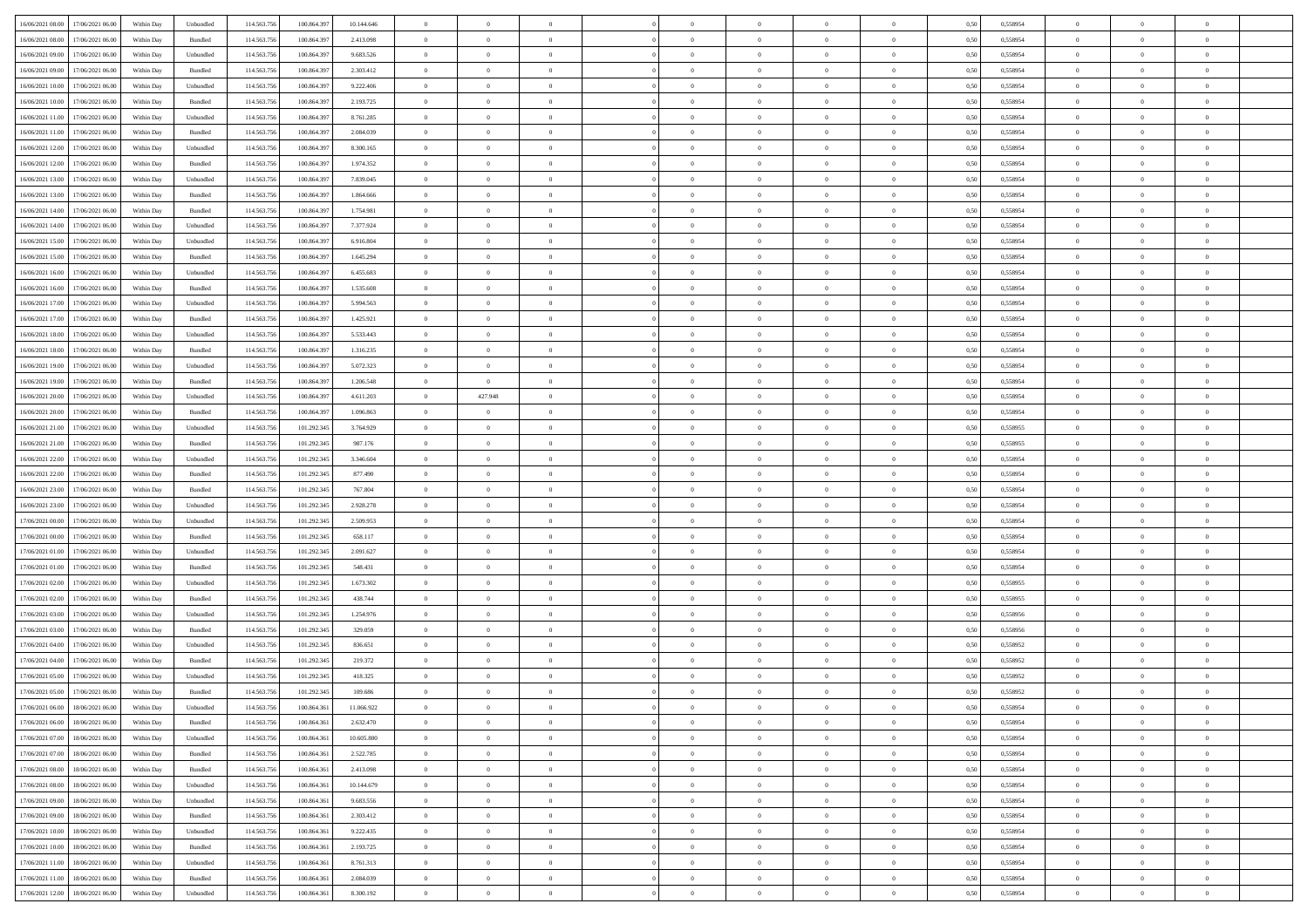| 16/06/2021 08:00 17/06/2021 06:00          | Within Day | Unbundled                   | 114.563.756 | 100.864.39  | 10.144.646 | $\overline{0}$ | $\overline{0}$ |                | $\overline{0}$ | $\theta$       |                | $\theta$       | 0,50 | 0,558954 | $\theta$       | $\theta$       | $\overline{0}$ |  |
|--------------------------------------------|------------|-----------------------------|-------------|-------------|------------|----------------|----------------|----------------|----------------|----------------|----------------|----------------|------|----------|----------------|----------------|----------------|--|
| 16/06/2021 08:00<br>17/06/2021 06:00       | Within Day | Bundled                     | 114.563.75  | 100.864.39  | 2.413.098  | $\bf{0}$       | $\bf{0}$       | $\bf{0}$       | $\bf{0}$       | $\overline{0}$ | $\overline{0}$ | $\bf{0}$       | 0,50 | 0,558954 | $\,$ 0 $\,$    | $\bf{0}$       | $\overline{0}$ |  |
| 16/06/2021 09:00<br>17/06/2021 06:00       | Within Day | Unbundled                   | 114,563,75  | 100,864.397 | 9.683.526  | $\overline{0}$ | $\bf{0}$       | $\overline{0}$ | $\bf{0}$       | $\bf{0}$       | $\overline{0}$ | $\bf{0}$       | 0.50 | 0.558954 | $\bf{0}$       | $\overline{0}$ | $\overline{0}$ |  |
| 16/06/2021 09:00                           |            |                             | 114.563.75  |             |            | $\overline{0}$ | $\overline{0}$ | $\overline{0}$ | $\overline{0}$ | $\theta$       | $\overline{0}$ |                |      |          | $\theta$       | $\,$ 0 $\,$    | $\overline{0}$ |  |
| 17/06/2021 06.00                           | Within Day | Bundled                     |             | 100.864.39  | 2.303.412  |                |                |                |                |                |                | $\bf{0}$       | 0,50 | 0,558954 |                |                |                |  |
| 16/06/2021 10:00<br>17/06/2021 06:00       | Within Day | Unbundled                   | 114.563.75  | 100,864.39  | 9.222.406  | $\bf{0}$       | $\overline{0}$ | $\bf{0}$       | $\overline{0}$ | $\bf{0}$       | $\overline{0}$ | $\bf{0}$       | 0,50 | 0,558954 | $\,$ 0 $\,$    | $\bf{0}$       | $\overline{0}$ |  |
| 16/06/2021 10:00<br>17/06/2021 06:00       | Within Day | Bundled                     | 114,563,75  | 100.864.39  | 2.193.725  | $\overline{0}$ | $\bf{0}$       | $\overline{0}$ | $\bf{0}$       | $\overline{0}$ | $\theta$       | $\bf{0}$       | 0.50 | 0.558954 | $\,$ 0 $\,$    | $\theta$       | $\overline{0}$ |  |
| 16/06/2021 11:00<br>17/06/2021 06.00       | Within Day | Unbundled                   | 114.563.75  | 100.864.39  | 8.761.285  | $\overline{0}$ | $\overline{0}$ | $\overline{0}$ | $\overline{0}$ | $\overline{0}$ | $\overline{0}$ | $\bf{0}$       | 0,50 | 0,558954 | $\,$ 0 $\,$    | $\theta$       | $\overline{0}$ |  |
|                                            |            |                             |             |             |            |                |                |                |                |                |                |                |      |          |                |                |                |  |
| 16/06/2021 11:00<br>17/06/2021 06.00       | Within Day | Bundled                     | 114.563.75  | 100.864.39  | 2.084.039  | $\bf{0}$       | $\bf{0}$       | $\bf{0}$       | $\overline{0}$ | $\overline{0}$ | $\overline{0}$ | $\bf{0}$       | 0,50 | 0,558954 | $\,$ 0 $\,$    | $\bf{0}$       | $\overline{0}$ |  |
| 16/06/2021 12:00<br>17/06/2021 06:00       | Within Day | Unbundled                   | 114,563,75  | 100.864.39  | 8.300.165  | $\overline{0}$ | $\bf{0}$       | $\overline{0}$ | $\bf{0}$       | $\overline{0}$ | $\overline{0}$ | $\bf{0}$       | 0.50 | 0.558954 | $\bf{0}$       | $\overline{0}$ | $\overline{0}$ |  |
| 16/06/2021 12:00<br>17/06/2021 06:00       | Within Day | Bundled                     | 114.563.75  | 100.864.397 | 1.974.352  | $\bf{0}$       | $\bf{0}$       | $\overline{0}$ | $\overline{0}$ | $\overline{0}$ | $\overline{0}$ | $\bf{0}$       | 0,50 | 0,558954 | $\,$ 0 $\,$    | $\,$ 0 $\,$    | $\overline{0}$ |  |
| 16/06/2021 13:00<br>17/06/2021 06:00       | Within Day | Unbundled                   | 114.563.75  | 100.864.39  | 7.839.045  | $\bf{0}$       | $\bf{0}$       | $\bf{0}$       | $\bf{0}$       | $\overline{0}$ | $\overline{0}$ | $\bf{0}$       | 0,50 | 0,558954 | $\,$ 0 $\,$    | $\bf{0}$       | $\overline{0}$ |  |
|                                            |            |                             |             |             |            |                |                |                |                |                |                |                |      |          |                |                |                |  |
| 16/06/2021 13:00<br>17/06/2021 06:00       | Within Day | Bundled                     | 114,563,75  | 100.864.39  | 1.864,666  | $\overline{0}$ | $\bf{0}$       | $\overline{0}$ | $\overline{0}$ | $\bf{0}$       | $\overline{0}$ | $\bf{0}$       | 0.50 | 0.558954 | $\bf{0}$       | $\,$ 0 $\,$    | $\,$ 0         |  |
| 16/06/2021 14:00<br>17/06/2021 06:00       | Within Day | Bundled                     | 114.563.75  | 100.864.39  | 1.754.981  | $\overline{0}$ | $\bf{0}$       | $\overline{0}$ | $\theta$       | $\theta$       | $\overline{0}$ | $\bf{0}$       | 0,50 | 0,558954 | $\,$ 0 $\,$    | $\,$ 0 $\,$    | $\overline{0}$ |  |
| 16/06/2021 14:00<br>17/06/2021 06:00       | Within Day | Unbundled                   | 114.563.75  | 100.864.39  | 7.377.924  | $\bf{0}$       | $\overline{0}$ | $\bf{0}$       | $\bf{0}$       | $\bf{0}$       | $\overline{0}$ | $\bf{0}$       | 0,50 | 0,558954 | $\,$ 0 $\,$    | $\bf{0}$       | $\overline{0}$ |  |
|                                            |            |                             |             |             |            |                |                |                |                |                | $\theta$       |                |      |          |                |                |                |  |
| 16/06/2021 15:00<br>17/06/2021 06:00       | Within Day | Unbundled                   | 114,563,75  | 100.864.39  | 6.916.804  | $\overline{0}$ | $\bf{0}$       | $\overline{0}$ | $\bf{0}$       | $\overline{0}$ |                | $\bf{0}$       | 0.50 | 0.558954 | $\,$ 0 $\,$    | $\bf{0}$       | $\overline{0}$ |  |
| 16/06/2021 15:00<br>17/06/2021 06:00       | Within Day | Bundled                     | 114.563.75  | 100.864.397 | 1.645.294  | $\overline{0}$ | $\overline{0}$ | $\overline{0}$ | $\overline{0}$ | $\overline{0}$ | $\overline{0}$ | $\bf{0}$       | 0,50 | 0,558954 | $\theta$       | $\theta$       | $\overline{0}$ |  |
| 16/06/2021 16:00<br>17/06/2021 06:00       | Within Day | Unbundled                   | 114.563.75  | 100,864.39  | 6.455.683  | $\bf{0}$       | $\bf{0}$       | $\bf{0}$       | $\overline{0}$ | $\overline{0}$ | $\overline{0}$ | $\bf{0}$       | 0,50 | 0,558954 | $\,$ 0 $\,$    | $\bf{0}$       | $\overline{0}$ |  |
| 16/06/2021 16:00<br>17/06/2021 06:00       | Within Day | Bundled                     | 114,563,75  | 100.864.39  | 1.535.608  | $\overline{0}$ | $\bf{0}$       | $\overline{0}$ | $\bf{0}$       | $\overline{0}$ | $\overline{0}$ | $\bf{0}$       | 0.50 | 0.558954 | $\bf{0}$       | $\overline{0}$ | $\overline{0}$ |  |
|                                            |            |                             |             |             |            |                |                | $\overline{0}$ | $\overline{0}$ | $\overline{0}$ | $\overline{0}$ |                |      |          | $\,$ 0 $\,$    |                |                |  |
| 16/06/2021 17:00<br>17/06/2021 06:00       | Within Day | Unbundled                   | 114.563.75  | 100.864.397 | 5.994.563  | $\bf{0}$       | $\bf{0}$       |                |                |                |                | $\bf{0}$       | 0,50 | 0,558954 |                | $\bf{0}$       | $\overline{0}$ |  |
| 16/06/2021 17:00<br>17/06/2021 06:00       | Within Day | Bundled                     | 114.563.75  | 100.864.39  | 1.425.921  | $\bf{0}$       | $\bf{0}$       | $\bf{0}$       | $\bf{0}$       | $\overline{0}$ | $\overline{0}$ | $\bf{0}$       | 0,50 | 0,558954 | $\,$ 0 $\,$    | $\bf{0}$       | $\overline{0}$ |  |
| 16/06/2021 18:00<br>17/06/2021 06.00       | Within Day | Unbundled                   | 114,563,75  | 100,864.397 | 5.533.443  | $\overline{0}$ | $\bf{0}$       | $\overline{0}$ | $\overline{0}$ | $\bf{0}$       | $\overline{0}$ | $\bf{0}$       | 0.50 | 0.558954 | $\bf{0}$       | $\overline{0}$ | $\,$ 0         |  |
| 16/06/2021 18:00<br>17/06/2021 06:00       | Within Day | Bundled                     | 114.563.75  | 100.864.397 | 1.316.235  | $\overline{0}$ | $\overline{0}$ | $\overline{0}$ | $\overline{0}$ | $\theta$       | $\overline{0}$ | $\bf{0}$       | 0,50 | 0,558954 | $\theta$       | $\theta$       | $\overline{0}$ |  |
|                                            |            |                             |             |             |            |                | $\bf{0}$       |                |                | $\overline{0}$ | $\overline{0}$ |                |      |          | $\,$ 0 $\,$    | $\bf{0}$       | $\overline{0}$ |  |
| 16/06/2021 19:00<br>17/06/2021 06:00       | Within Day | Unbundled                   | 114.563.75  | 100.864.39  | 5.072.323  | $\bf{0}$       |                | $\bf{0}$       | $\bf{0}$       |                |                | $\bf{0}$       | 0,50 | 0,558954 |                |                |                |  |
| 16/06/2021 19:00<br>17/06/2021 06:00       | Within Day | Bundled                     | 114,563,75  | 100.864.39  | 1.206.548  | $\overline{0}$ | $\overline{0}$ | $\overline{0}$ | $\bf{0}$       | $\overline{0}$ | $\theta$       | $\bf{0}$       | 0.50 | 0.558954 | $\bf{0}$       | $\bf{0}$       | $\overline{0}$ |  |
| 16/06/2021 20:00<br>17/06/2021 06:00       | Within Day | Unbundled                   | 114.563.75  | 100.864.39  | 4.611.203  | $\overline{0}$ | 427.948        | $\overline{0}$ | $\overline{0}$ | $\overline{0}$ | $\overline{0}$ | $\bf{0}$       | 0,50 | 0,558954 | $\,$ 0 $\,$    | $\theta$       | $\overline{0}$ |  |
| 16/06/2021 20:00<br>17/06/2021 06:00       | Within Day | Bundled                     | 114.563.75  | 100.864.39  | 1.096.863  | $\bf{0}$       | $\overline{0}$ | $\bf{0}$       | $\overline{0}$ | $\bf{0}$       | $\overline{0}$ | $\bf{0}$       | 0,50 | 0,558954 | $\,$ 0 $\,$    | $\bf{0}$       | $\overline{0}$ |  |
| 16/06/2021 21:00<br>17/06/2021 06:00       | Within Day | Unbundled                   | 114,563,75  | 101.292.34: | 3.764.929  | $\overline{0}$ | $\bf{0}$       | $\overline{0}$ | $\bf{0}$       | $\overline{0}$ | $\overline{0}$ | $\bf{0}$       | 0.50 | 0.558955 | $\bf{0}$       | $\overline{0}$ | $\overline{0}$ |  |
|                                            |            |                             |             |             |            |                |                |                |                |                |                |                |      |          |                |                |                |  |
| 16/06/2021 21:00<br>17/06/2021 06:00       | Within Day | Bundled                     | 114.563.75  | 101.292.345 | 987.176    | $\overline{0}$ | $\bf{0}$       | $\overline{0}$ | $\overline{0}$ | $\overline{0}$ | $\overline{0}$ | $\bf{0}$       | 0,50 | 0,558955 | $\,$ 0 $\,$    | $\,$ 0 $\,$    | $\overline{0}$ |  |
| 16/06/2021 22:00<br>17/06/2021 06:00       | Within Day | Unbundled                   | 114.563.75  | 101.292.345 | 3.346.604  | $\bf{0}$       | $\bf{0}$       | $\bf{0}$       | $\bf{0}$       | $\overline{0}$ | $\overline{0}$ | $\bf{0}$       | 0,50 | 0,558954 | $\,$ 0 $\,$    | $\bf{0}$       | $\overline{0}$ |  |
| 16/06/2021 22:00<br>17/06/2021 06:00       | Within Day | Bundled                     | 114,563,75  | 101.292.34  | 877.490    | $\overline{0}$ | $\bf{0}$       | $\overline{0}$ | $\overline{0}$ | $\bf{0}$       | $\overline{0}$ | $\bf{0}$       | 0.50 | 0.558954 | $\bf{0}$       | $\,$ 0 $\,$    | $\,$ 0         |  |
| 16/06/2021 23:00<br>17/06/2021 06:00       | Within Day | Bundled                     | 114.563.75  | 101.292.34  | 767.804    | $\overline{0}$ | $\overline{0}$ | $\overline{0}$ | $\overline{0}$ | $\overline{0}$ | $\overline{0}$ | $\bf{0}$       | 0.50 | 0.558954 | $\theta$       | $\theta$       | $\overline{0}$ |  |
|                                            |            |                             |             |             |            |                |                |                |                |                |                |                |      |          |                |                |                |  |
| 16/06/2021 23:00<br>17/06/2021 06:00       | Within Day | Unbundled                   | 114.563.75  | 101.292.345 | 2.928.278  | $\bf{0}$       | $\bf{0}$       | $\bf{0}$       | $\bf{0}$       | $\overline{0}$ | $\overline{0}$ | $\bf{0}$       | 0,50 | 0,558954 | $\,$ 0 $\,$    | $\bf{0}$       | $\overline{0}$ |  |
| 17/06/2021 00:00<br>17/06/2021 06:00       | Within Day | Unbundled                   | 114,563,75  | 101.292.34  | 2.509.953  | $\overline{0}$ | $\bf{0}$       | $\overline{0}$ | $\bf{0}$       | $\overline{0}$ | $\overline{0}$ | $\bf{0}$       | 0.50 | 0.558954 | $\,$ 0 $\,$    | $\bf{0}$       | $\overline{0}$ |  |
| 17/06/2021 00:00<br>17/06/2021 06:00       | Within Dav | Bundled                     | 114.563.75  | 101.292.345 | 658.117    | $\overline{0}$ | $\overline{0}$ | $\overline{0}$ | $\overline{0}$ | $\overline{0}$ | $\overline{0}$ | $\bf{0}$       | 0.50 | 0,558954 | $\theta$       | $\theta$       | $\overline{0}$ |  |
| 17/06/2021 01:00<br>17/06/2021 06:00       | Within Day | Unbundled                   | 114.563.75  | 101.292.345 | 2.091.627  | $\bf{0}$       | $\bf{0}$       | $\bf{0}$       | $\bf{0}$       | $\overline{0}$ | $\overline{0}$ | $\bf{0}$       | 0,50 | 0,558954 | $\,$ 0 $\,$    | $\bf{0}$       | $\overline{0}$ |  |
| 17/06/2021 06:00                           |            | Bundled                     | 114,563,75  | 101.292.34: | 548.431    |                | $\bf{0}$       | $\overline{0}$ |                | $\overline{0}$ | $\overline{0}$ |                | 0.50 | 0.558954 | $\bf{0}$       | $\overline{0}$ | $\overline{0}$ |  |
| 17/06/2021 01:00                           | Within Day |                             |             |             |            | $\overline{0}$ |                |                | $\bf{0}$       |                |                | $\bf{0}$       |      |          |                |                |                |  |
| 17/06/2021 02:00<br>17/06/2021 06:00       | Within Dav | Unbundled                   | 114.563.75  | 101.292.34  | 1.673.302  | $\overline{0}$ | $\overline{0}$ | $\overline{0}$ | $\overline{0}$ | $\overline{0}$ | $\overline{0}$ | $\bf{0}$       | 0.50 | 0,558955 | $\theta$       | $\theta$       | $\overline{0}$ |  |
| 17/06/2021 02:00<br>17/06/2021 06:00       | Within Day | Bundled                     | 114.563.75  | 101.292.345 | 438.744    | $\bf{0}$       | $\bf{0}$       | $\bf{0}$       | $\bf{0}$       | $\overline{0}$ | $\overline{0}$ | $\bf{0}$       | 0,50 | 0,558955 | $\,$ 0 $\,$    | $\bf{0}$       | $\overline{0}$ |  |
| 17/06/2021 03:00<br>17/06/2021 06:00       | Within Day | Unbundled                   | 114.563.75  | 101.292.34  | 1.254.976  | $\overline{0}$ | $\bf{0}$       | $\overline{0}$ | $\overline{0}$ | $\bf{0}$       | $\overline{0}$ | $\bf{0}$       | 0.50 | 0.558956 | $\,$ 0 $\,$    | $\overline{0}$ | $\overline{0}$ |  |
| 17/06/2021 03:00<br>17/06/2021 06:00       | Within Day | Bundled                     | 114.563.75  | 101.292.345 | 329.059    | $\overline{0}$ | $\overline{0}$ | $\overline{0}$ | $\overline{0}$ | $\overline{0}$ | $\overline{0}$ | $\bf{0}$       | 0.50 | 0.558956 | $\theta$       | $\theta$       | $\overline{0}$ |  |
|                                            |            |                             |             |             |            |                |                |                |                |                |                |                |      |          |                |                |                |  |
| 17/06/2021 04:00<br>17/06/2021 06:00       | Within Day | Unbundled                   | 114.563.75  | 101.292.345 | 836.651    | $\bf{0}$       | $\bf{0}$       | $\bf{0}$       | $\bf{0}$       | $\overline{0}$ | $\overline{0}$ | $\bf{0}$       | 0,50 | 0,558952 | $\,$ 0 $\,$    | $\bf{0}$       | $\overline{0}$ |  |
| 17/06/2021 04:00<br>17/06/2021 06.00       | Within Day | Bundled                     | 114,563,75  | 101.292.34  | 219.372    | $\overline{0}$ | $\bf{0}$       | $\overline{0}$ | $\bf{0}$       | $\overline{0}$ | $\overline{0}$ | $\bf{0}$       | 0.50 | 0.558952 | $\bf{0}$       | $\theta$       | $\overline{0}$ |  |
| 17/06/2021 05:00<br>17/06/2021 06:00       | Within Dav | Unbundled                   | 114.563.75  | 101.292.345 | 418.325    | $\overline{0}$ | $\overline{0}$ | $\overline{0}$ | $\theta$       | $\theta$       | $\overline{0}$ | $\overline{0}$ | 0.5( | 0,558952 | $\theta$       | $\theta$       | $\overline{0}$ |  |
| 17/06/2021 05:00<br>17/06/2021 06.00       | Within Day | Bundled                     | 114.563.75  | 101.292.345 | 109.686    | $\bf{0}$       | $\bf{0}$       | $\bf{0}$       | $\bf{0}$       | $\bf{0}$       | $\overline{0}$ | $\bf{0}$       | 0,50 | 0,558952 | $\overline{0}$ | $\overline{0}$ | $\overline{0}$ |  |
|                                            |            |                             |             |             |            |                |                |                |                |                |                |                |      |          |                |                |                |  |
| $17/06/2021~06.00 \qquad 18/06/2021~06.00$ | Within Day | $\ensuremath{\mathsf{Unb}}$ | 114.563.756 | 100.864.361 | 11.066.922 | $\bf{0}$       | $\theta$       |                | $\overline{0}$ |                |                |                | 0,50 | 0.558954 | $\theta$       | $\overline{0}$ |                |  |
| 17/06/2021 06:00 18/06/2021 06:00          | Within Day | Bundled                     | 114.563.756 | 100.864.361 | 2.632.470  | $\overline{0}$ | $\overline{0}$ | $\Omega$       | $\theta$       | $\overline{0}$ | $\overline{0}$ | $\bf{0}$       | 0,50 | 0,558954 | $\theta$       | $\theta$       | $\overline{0}$ |  |
| 17/06/2021 07:00<br>18/06/2021 06:00       | Within Day | Unbundled                   | 114.563.75  | 100.864.36  | 10.605.800 | $\overline{0}$ | $\bf{0}$       | $\overline{0}$ | $\overline{0}$ | $\bf{0}$       | $\overline{0}$ | $\bf{0}$       | 0,50 | 0,558954 | $\bf{0}$       | $\overline{0}$ | $\bf{0}$       |  |
| 17/06/2021 07:00 18/06/2021 06:00          | Within Day | Bundled                     | 114,563,756 | 100,864,361 | 2.522.785  | $\overline{0}$ | $\bf{0}$       | $\overline{0}$ | $\overline{0}$ | $\mathbf{0}$   | $\overline{0}$ | $\,$ 0 $\,$    | 0.50 | 0.558954 | $\overline{0}$ | $\bf{0}$       | $\,$ 0 $\,$    |  |
|                                            |            |                             |             |             |            |                |                |                |                |                |                |                |      |          |                |                |                |  |
| 17/06/2021 08:00 18/06/2021 06:00          | Within Dav | Bundled                     | 114.563.756 | 100.864.361 | 2.413.098  | $\overline{0}$ | $\overline{0}$ | $\overline{0}$ | $\overline{0}$ | $\overline{0}$ | $\overline{0}$ | $\bf{0}$       | 0,50 | 0,558954 | $\overline{0}$ | $\theta$       | $\overline{0}$ |  |
| 17/06/2021 08:00<br>18/06/2021 06:00       | Within Day | Unbundled                   | 114.563.75  | 100.864.361 | 10.144.679 | $\overline{0}$ | $\bf{0}$       | $\overline{0}$ | $\overline{0}$ | $\bf{0}$       | $\overline{0}$ | $\bf{0}$       | 0,50 | 0,558954 | $\bf{0}$       | $\overline{0}$ | $\overline{0}$ |  |
| 17/06/2021 09:00<br>18/06/2021 06:00       | Within Day | Unbundled                   | 114.563.756 | 100,864,36  | 9.683.556  | $\overline{0}$ | $\bf{0}$       | $\overline{0}$ | $\overline{0}$ | $\overline{0}$ | $\overline{0}$ | $\bf{0}$       | 0.50 | 0.558954 | $\,$ 0 $\,$    | $\overline{0}$ | $\overline{0}$ |  |
| 17/06/2021 09:00<br>18/06/2021 06:00       | Within Dav | Bundled                     | 114.563.756 | 100.864.361 | 2.303.412  | $\overline{0}$ | $\overline{0}$ | $\overline{0}$ | $\overline{0}$ | $\overline{0}$ | $\overline{0}$ | $\bf{0}$       | 0.50 | 0,558954 | $\overline{0}$ | $\theta$       | $\overline{0}$ |  |
|                                            |            |                             |             |             |            |                |                |                |                |                |                |                |      |          |                |                |                |  |
| 17/06/2021 10:00<br>18/06/2021 06:00       | Within Day | Unbundled                   | 114.563.75  | 100.864.36  | 9.222.435  | $\overline{0}$ | $\overline{0}$ | $\overline{0}$ | $\overline{0}$ | $\overline{0}$ | $\overline{0}$ | $\bf{0}$       | 0,50 | 0,558954 | $\bf{0}$       | $\overline{0}$ | $\,$ 0         |  |
| 18/06/2021 06:00<br>17/06/2021 10:00       | Within Day | Bundled                     | 114.563.75  | 100,864,36  | 2.193.725  | $\overline{0}$ | $\overline{0}$ | $\overline{0}$ | $\overline{0}$ | $\overline{0}$ | $\overline{0}$ | $\bf{0}$       | 0.50 | 0.558954 | $\mathbf{0}$   | $\bf{0}$       | $\,$ 0         |  |
| 17/06/2021 11:00 18/06/2021 06:00          | Within Dav | Unbundled                   | 114.563.756 | 100.864.361 | 8.761.313  | $\overline{0}$ | $\overline{0}$ | $\overline{0}$ | $\overline{0}$ | $\overline{0}$ | $\overline{0}$ | $\bf{0}$       | 0,50 | 0,558954 | $\overline{0}$ | $\theta$       | $\overline{0}$ |  |
| 17/06/2021 11:00<br>18/06/2021 06:00       | Within Day | Bundled                     | 114.563.75  | 100.864.36  | 2.084.039  | $\overline{0}$ | $\bf{0}$       | $\overline{0}$ | $\bf{0}$       | $\overline{0}$ | $\overline{0}$ | $\bf{0}$       | 0,50 | 0,558954 | $\bf{0}$       | $\,$ 0 $\,$    | $\bf{0}$       |  |
|                                            |            |                             |             |             |            |                |                |                |                |                |                |                |      |          |                |                |                |  |
| 17/06/2021 12:00 18/06/2021 06:00          | Within Day | ${\sf Unbundred}$           | 114.563.756 | 100.864.361 | 8.300.192  | $\overline{0}$ | $\bf{0}$       | $\overline{0}$ | $\overline{0}$ | $\,$ 0 $\,$    | $\overline{0}$ | $\bf{0}$       | 0,50 | 0,558954 | $\overline{0}$ | $\,$ 0 $\,$    | $\,$ 0 $\,$    |  |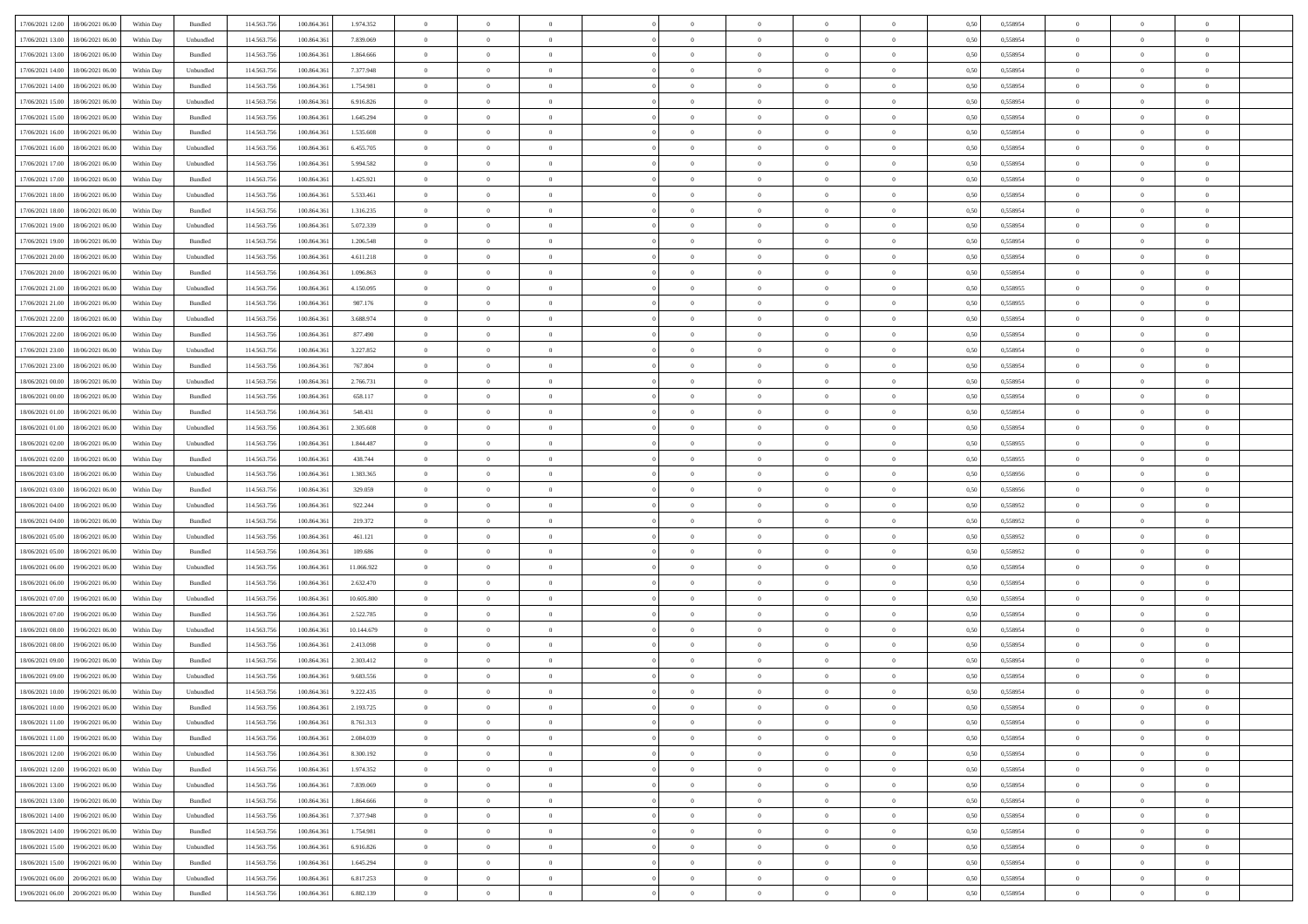| 17/06/2021 12:00 18/06/2021 06:00            | Within Day | Bundled   | 114.563.75  | 100.864.36  | 1.974.352  | $\overline{0}$ | $\overline{0}$ |                | $\overline{0}$ | $\theta$       |                | $\theta$       | 0,50 | 0,558954 | $\theta$       | $\theta$       | $\overline{0}$ |  |
|----------------------------------------------|------------|-----------|-------------|-------------|------------|----------------|----------------|----------------|----------------|----------------|----------------|----------------|------|----------|----------------|----------------|----------------|--|
|                                              |            |           |             |             |            |                |                |                |                |                |                |                |      |          |                |                |                |  |
| 17/06/2021 13:00<br>18/06/2021 06:00         | Within Day | Unbundled | 114.563.75  | 100.864.36  | 7.839.069  | $\bf{0}$       | $\bf{0}$       | $\bf{0}$       | $\overline{0}$ | $\overline{0}$ | $\overline{0}$ | $\bf{0}$       | 0,50 | 0,558954 | $\,$ 0 $\,$    | $\bf{0}$       | $\overline{0}$ |  |
| 17/06/2021 13:00<br>18/06/2021 06:00         | Within Day | Bundled   | 114,563,75  | 100,864,36  | 1.864,666  | $\overline{0}$ | $\bf{0}$       | $\overline{0}$ | $\bf{0}$       | $\bf{0}$       | $\overline{0}$ | $\bf{0}$       | 0.50 | 0.558954 | $\bf{0}$       | $\overline{0}$ | $\overline{0}$ |  |
| 17/06/2021 14:00<br>18/06/2021 06:00         | Within Day | Unbundled | 114.563.75  | 100.864.361 | 7.377.948  | $\overline{0}$ | $\overline{0}$ | $\overline{0}$ | $\theta$       | $\theta$       | $\overline{0}$ | $\bf{0}$       | 0,50 | 0,558954 | $\theta$       | $\theta$       | $\overline{0}$ |  |
|                                              |            |           |             |             |            |                |                |                |                |                |                |                |      |          |                |                |                |  |
| 17/06/2021 14:00<br>18/06/2021 06:00         | Within Day | Bundled   | 114.563.75  | 100,864.36  | 1.754.981  | $\bf{0}$       | $\overline{0}$ | $\bf{0}$       | $\overline{0}$ | $\theta$       | $\overline{0}$ | $\bf{0}$       | 0,50 | 0,558954 | $\,$ 0 $\,$    | $\bf{0}$       | $\overline{0}$ |  |
| 17/06/2021 15:00<br>18/06/2021 06:00         | Within Day | Unbundled | 114,563,75  | 100.864.36  | 6.916.826  | $\overline{0}$ | $\overline{0}$ | $\overline{0}$ | $\bf{0}$       | $\overline{0}$ | $\theta$       | $\bf{0}$       | 0.50 | 0.558954 | $\,$ 0 $\,$    | $\theta$       | $\overline{0}$ |  |
| 17/06/2021 15:00<br>18/06/2021 06:00         | Within Day | Bundled   | 114.563.75  | 100.864.36  | 1.645.294  | $\overline{0}$ | $\overline{0}$ | $\overline{0}$ | $\overline{0}$ | $\overline{0}$ | $\overline{0}$ | $\bf{0}$       | 0,50 | 0,558954 | $\theta$       | $\theta$       | $\overline{0}$ |  |
| 17/06/2021 16:00<br>18/06/2021 06:00         | Within Day | Bundled   | 114.563.75  | 100,864.36  | 1.535.608  | $\overline{0}$ | $\overline{0}$ | $\bf{0}$       | $\overline{0}$ | $\bf{0}$       | $\overline{0}$ | $\bf{0}$       | 0,50 | 0,558954 | $\,$ 0 $\,$    | $\bf{0}$       | $\overline{0}$ |  |
| 17/06/2021 16:00<br>18/06/2021 06:00         | Within Day | Unbundled | 114,563,75  | 100.864.36  | 6.455.705  | $\overline{0}$ | $\bf{0}$       | $\overline{0}$ | $\bf{0}$       | $\overline{0}$ | $\overline{0}$ | $\bf{0}$       | 0.50 | 0.558954 | $\bf{0}$       | $\overline{0}$ | $\overline{0}$ |  |
|                                              |            |           |             |             |            |                |                |                |                |                |                |                |      |          |                |                |                |  |
| 17/06/2021 17:00<br>18/06/2021 06:00         | Within Day | Unbundled | 114.563.75  | 100.864.361 | 5.994.582  | $\overline{0}$ | $\bf{0}$       | $\overline{0}$ | $\overline{0}$ | $\overline{0}$ | $\overline{0}$ | $\bf{0}$       | 0,50 | 0,558954 | $\,$ 0 $\,$    | $\bf{0}$       | $\overline{0}$ |  |
| 17/06/2021 17:00<br>18/06/2021 06:00         | Within Day | Bundled   | 114.563.75  | 100.864.36  | 1.425.921  | $\bf{0}$       | $\overline{0}$ | $\bf{0}$       | $\bf{0}$       | $\bf{0}$       | $\overline{0}$ | $\bf{0}$       | 0,50 | 0,558954 | $\,$ 0 $\,$    | $\bf{0}$       | $\overline{0}$ |  |
| 17/06/2021 18:00<br>18/06/2021 06:00         | Within Day | Unbundled | 114,563,75  | 100,864,36  | 5.533.461  | $\overline{0}$ | $\bf{0}$       | $\overline{0}$ | $\overline{0}$ | $\bf{0}$       | $\overline{0}$ | $\bf{0}$       | 0.50 | 0.558954 | $\bf{0}$       | $\overline{0}$ | $\overline{0}$ |  |
| 17/06/2021 18:00<br>18/06/2021 06:00         | Within Day | Bundled   | 114.563.75  | 100.864.36  | 1.316.235  | $\overline{0}$ | $\overline{0}$ | $\overline{0}$ | $\theta$       | $\theta$       | $\overline{0}$ | $\bf{0}$       | 0,50 | 0,558954 | $\,$ 0 $\,$    | $\theta$       | $\overline{0}$ |  |
|                                              |            |           |             |             |            |                | $\overline{0}$ |                | $\overline{0}$ | $\theta$       | $\overline{0}$ |                |      |          | $\,$ 0 $\,$    | $\bf{0}$       | $\overline{0}$ |  |
| 17/06/2021 19:00<br>18/06/2021 06:00         | Within Day | Unbundled | 114.563.75  | 100.864.36  | 5.072.339  | $\bf{0}$       |                | $\bf{0}$       |                |                |                | $\bf{0}$       | 0,50 | 0,558954 |                |                |                |  |
| 17/06/2021 19:00<br>18/06/2021 06:00         | Within Day | Bundled   | 114,563,75  | 100.864.36  | 1.206.548  | $\overline{0}$ | $\overline{0}$ | $\overline{0}$ | $\bf{0}$       | $\overline{0}$ | $\Omega$       | $\bf{0}$       | 0.50 | 0.558954 | $\,$ 0 $\,$    | $\theta$       | $\overline{0}$ |  |
| 17/06/2021 20:00<br>18/06/2021 06:00         | Within Day | Unbundled | 114.563.75  | 100.864.361 | 4.611.218  | $\overline{0}$ | $\overline{0}$ | $\overline{0}$ | $\overline{0}$ | $\theta$       | $\overline{0}$ | $\bf{0}$       | 0,50 | 0,558954 | $\theta$       | $\theta$       | $\overline{0}$ |  |
| 17/06/2021 20:00<br>18/06/2021 06:00         | Within Day | Bundled   | 114.563.75  | 100,864.36  | 1.096.863  | $\bf{0}$       | $\overline{0}$ | $\bf{0}$       | $\overline{0}$ | $\theta$       | $\overline{0}$ | $\bf{0}$       | 0,50 | 0,558954 | $\,$ 0 $\,$    | $\bf{0}$       | $\overline{0}$ |  |
| 17/06/2021 21:00<br>18/06/2021 06:00         | Within Day | Unbundled | 114,563,75  | 100 864 36  | 4.150.095  | $\overline{0}$ | $\bf{0}$       | $\overline{0}$ | $\bf{0}$       | $\overline{0}$ | $\overline{0}$ | $\bf{0}$       | 0.50 | 0.558955 | $\bf{0}$       | $\overline{0}$ | $\overline{0}$ |  |
|                                              |            |           |             |             |            | $\overline{0}$ |                | $\overline{0}$ | $\overline{0}$ | $\overline{0}$ | $\overline{0}$ |                |      |          | $\,$ 0 $\,$    |                | $\overline{0}$ |  |
| 17/06/2021 21:00<br>18/06/2021 06:00         | Within Day | Bundled   | 114.563.75  | 100.864.361 | 987.176    |                | $\bf{0}$       |                |                |                |                | $\bf{0}$       | 0,50 | 0,558955 |                | $\bf{0}$       |                |  |
| 17/06/2021 22:00<br>18/06/2021 06:00         | Within Day | Unbundled | 114.563.75  | 100.864.36  | 3.688.974  | $\bf{0}$       | $\bf{0}$       | $\bf{0}$       | $\bf{0}$       | $\overline{0}$ | $\overline{0}$ | $\bf{0}$       | 0,50 | 0,558954 | $\,$ 0 $\,$    | $\bf{0}$       | $\overline{0}$ |  |
| 17/06/2021 22:00<br>18/06/2021 06:00         | Within Day | Bundled   | 114,563,75  | 100,864,36  | 877.490    | $\overline{0}$ | $\bf{0}$       | $\overline{0}$ | $\bf{0}$       | $\bf{0}$       | $\overline{0}$ | $\bf{0}$       | 0.50 | 0.558954 | $\bf{0}$       | $\overline{0}$ | $\overline{0}$ |  |
| 17/06/2021 23:00<br>18/06/2021 06:00         | Within Day | Unbundled | 114.563.75  | 100.864.361 | 3.227.852  | $\overline{0}$ | $\overline{0}$ | $\overline{0}$ | $\theta$       | $\theta$       | $\overline{0}$ | $\bf{0}$       | 0,50 | 0,558954 | $\theta$       | $\theta$       | $\overline{0}$ |  |
| 17/06/2021 23:00<br>18/06/2021 06:00         | Within Day | Bundled   | 114.563.75  | 100.864.36  | 767.804    | $\bf{0}$       | $\overline{0}$ | $\bf{0}$       | $\bf{0}$       | $\,$ 0 $\,$    | $\overline{0}$ | $\bf{0}$       | 0,50 | 0,558954 | $\,$ 0 $\,$    | $\bf{0}$       | $\overline{0}$ |  |
| 18/06/2021 00:00<br>18/06/2021 06:00         | Within Day | Unbundled | 114,563,75  | 100.864.36  | 2.766.731  | $\overline{0}$ | $\overline{0}$ | $\overline{0}$ | $\bf{0}$       | $\overline{0}$ | $\Omega$       | $\bf{0}$       | 0.50 | 0.558954 | $\,$ 0 $\,$    | $\theta$       | $\overline{0}$ |  |
|                                              |            |           |             |             |            | $\overline{0}$ | $\overline{0}$ | $\overline{0}$ | $\overline{0}$ | $\theta$       | $\overline{0}$ |                |      |          |                | $\theta$       | $\overline{0}$ |  |
| 18/06/2021 00:00<br>18/06/2021 06:00         | Within Day | Bundled   | 114.563.75  | 100.864.36  | 658.117    |                |                |                |                |                |                | $\bf{0}$       | 0,50 | 0,558954 | $\,$ 0 $\,$    |                |                |  |
| 18/06/2021 01:00<br>18/06/2021 06:00         | Within Day | Bundled   | 114.563.75  | 100.864.36  | 548.431    | $\bf{0}$       | $\overline{0}$ | $\bf{0}$       | $\overline{0}$ | $\theta$       | $\overline{0}$ | $\bf{0}$       | 0,50 | 0,558954 | $\,$ 0 $\,$    | $\bf{0}$       | $\overline{0}$ |  |
| 18/06/2021 01:00<br>18/06/2021 06:00         | Within Day | Unbundled | 114,563,75  | 100,864,36  | 2.305.608  | $\overline{0}$ | $\bf{0}$       | $\overline{0}$ | $\bf{0}$       | $\overline{0}$ | $\overline{0}$ | $\bf{0}$       | 0.50 | 0.558954 | $\bf{0}$       | $\overline{0}$ | $\overline{0}$ |  |
| 18/06/2021 02:00<br>18/06/2021 06:00         | Within Day | Unbundled | 114.563.75  | 100.864.361 | 1.844.487  | $\overline{0}$ | $\bf{0}$       | $\overline{0}$ | $\overline{0}$ | $\overline{0}$ | $\overline{0}$ | $\bf{0}$       | 0,50 | 0,558955 | $\theta$       | $\theta$       | $\overline{0}$ |  |
| 18/06/2021 02:00<br>18/06/2021 06:00         | Within Day | Bundled   | 114.563.75  | 100.864.36  | 438.744    | $\bf{0}$       | $\bf{0}$       | $\bf{0}$       | $\bf{0}$       | $\overline{0}$ | $\overline{0}$ | $\bf{0}$       | 0,50 | 0,558955 | $\,$ 0 $\,$    | $\bf{0}$       | $\overline{0}$ |  |
| 18/06/2021 03:00<br>18/06/2021 06:00         | Within Day | Unbundled | 114,563,75  | 100.864.36  | 1.383.365  | $\overline{0}$ | $\bf{0}$       | $\overline{0}$ | $\bf{0}$       | $\bf{0}$       | $\overline{0}$ | $\bf{0}$       | 0.50 | 0.558956 | $\bf{0}$       | $\overline{0}$ | $\overline{0}$ |  |
| 18/06/2021 03:00<br>18/06/2021 06:00         | Within Day | Bundled   | 114.563.75  | 100,864,36  | 329.059    | $\overline{0}$ | $\overline{0}$ | $\overline{0}$ | $\overline{0}$ | $\overline{0}$ | $\overline{0}$ | $\bf{0}$       | 0.50 | 0.558956 | $\theta$       | $\theta$       | $\overline{0}$ |  |
|                                              |            |           |             |             |            |                |                |                |                |                |                |                |      |          |                |                |                |  |
| 18/06/2021 04:00<br>18/06/2021 06:00         | Within Day | Unbundled | 114.563.75  | 100.864.36  | 922.244    | $\bf{0}$       | $\overline{0}$ | $\bf{0}$       | $\bf{0}$       | $\overline{0}$ | $\overline{0}$ | $\bf{0}$       | 0,50 | 0,558952 | $\,$ 0 $\,$    | $\bf{0}$       | $\overline{0}$ |  |
| 18/06/2021 04:00<br>18/06/2021 06:00         | Within Day | Bundled   | 114,563,75  | 100.864.36  | 219.372    | $\overline{0}$ | $\bf{0}$       | $\overline{0}$ | $\bf{0}$       | $\overline{0}$ | $\Omega$       | $\bf{0}$       | 0.50 | 0.558952 | $\,$ 0 $\,$    | $\theta$       | $\overline{0}$ |  |
| 18/06/2021 05:00<br>18/06/2021 06:00         | Within Dav | Unbundled | 114.563.75  | 100.864.361 | 461.121    | $\overline{0}$ | $\overline{0}$ | $\overline{0}$ | $\overline{0}$ | $\theta$       | $\overline{0}$ | $\overline{0}$ | 0.50 | 0,558952 | $\theta$       | $\theta$       | $\overline{0}$ |  |
| 18/06/2021 05:00<br>18/06/2021 06:00         | Within Day | Bundled   | 114.563.75  | 100,864.36  | 109.686    | $\bf{0}$       | $\bf{0}$       | $\bf{0}$       | $\bf{0}$       | $\bf{0}$       | $\overline{0}$ | $\bf{0}$       | 0,50 | 0,558952 | $\,$ 0 $\,$    | $\bf{0}$       | $\overline{0}$ |  |
| 18/06/2021 06:00<br>19/06/2021 06:00         | Within Day | Unbundled | 114,563,75  | 100.864.36  | 11.066.922 | $\overline{0}$ | $\bf{0}$       | $\overline{0}$ | $\bf{0}$       | $\overline{0}$ | $\overline{0}$ | $\bf{0}$       | 0.50 | 0.558954 | $\bf{0}$       | $\overline{0}$ | $\overline{0}$ |  |
| 18/06/2021 06:00<br>19/06/2021 06:00         | Within Dav | Bundled   | 114.563.75  | 100,864.36  | 2.632.470  | $\overline{0}$ | $\overline{0}$ | $\overline{0}$ | $\overline{0}$ | $\overline{0}$ | $\overline{0}$ | $\overline{0}$ | 0.50 | 0,558954 | $\theta$       | $\theta$       | $\overline{0}$ |  |
|                                              |            |           |             |             |            |                |                |                |                |                |                |                |      |          |                |                |                |  |
| 18/06/2021 07:00<br>19/06/2021 06:00         | Within Day | Unbundled | 114.563.75  | 100.864.36  | 10.605.800 | $\bf{0}$       | $\bf{0}$       | $\bf{0}$       | $\bf{0}$       | $\overline{0}$ | $\overline{0}$ | $\bf{0}$       | 0,50 | 0,558954 | $\,$ 0 $\,$    | $\bf{0}$       | $\overline{0}$ |  |
| 18/06/2021 07:00<br>19/06/2021 06:00         | Within Day | Bundled   | 114,563,75  | 100,864,36  | 2.522.785  | $\overline{0}$ | $\bf{0}$       | $\overline{0}$ | $\overline{0}$ | $\bf{0}$       | $\overline{0}$ | $\bf{0}$       | 0.50 | 0.558954 | $\bf{0}$       | $\overline{0}$ | $\overline{0}$ |  |
| 18/06/2021 08:00<br>19/06/2021 06:00         | Within Dav | Unbundled | 114.563.75  | 100,864.36  | 10.144.679 | $\overline{0}$ | $\overline{0}$ | $\overline{0}$ | $\overline{0}$ | $\theta$       | $\overline{0}$ | $\bf{0}$       | 0.50 | 0.558954 | $\theta$       | $\theta$       | $\overline{0}$ |  |
| 18/06/2021 08:00<br>19/06/2021 06:00         | Within Day | Bundled   | 114.563.75  | 100.864.36  | 2.413.098  | $\bf{0}$       | $\bf{0}$       | $\bf{0}$       | $\bf{0}$       | $\overline{0}$ | $\overline{0}$ | $\bf{0}$       | 0,50 | 0,558954 | $\,$ 0 $\,$    | $\bf{0}$       | $\overline{0}$ |  |
| 18/06/2021 09:00<br>19/06/2021 06:00         | Within Day | Bundled   | 114,563,75  | 100.864.36  | 2.303.412  | $\overline{0}$ | $\overline{0}$ | $\overline{0}$ | $\bf{0}$       | $\theta$       | $\Omega$       | $\bf{0}$       | 0.50 | 0.558954 | $\bf{0}$       | $\theta$       | $\overline{0}$ |  |
| 18/06/2021 09:00<br>19/06/2021 06:00         | Within Dav | Unbundled | 114.563.75  | 100,864.36  | 9.683.556  | $\overline{0}$ | $\overline{0}$ | $\Omega$       | $\overline{0}$ | $\theta$       | $\Omega$       | $\overline{0}$ | 0.5( | 0,558954 | $\theta$       | $\theta$       | $\overline{0}$ |  |
|                                              |            |           |             |             |            | $\bf{0}$       | $\bf{0}$       | $\overline{0}$ | $\bf{0}$       | $\bf{0}$       | $\overline{0}$ |                |      |          | $\overline{0}$ | $\bf{0}$       | $\overline{0}$ |  |
| 18/06/2021 10:00<br>19/06/2021 06:00         | Within Day | Unbundled | 114.563.75  | 100.864.36  | 9.222.435  |                |                |                |                |                |                | $\bf{0}$       | 0,50 | 0,558954 |                |                |                |  |
| $18/06/2021\ 10.00 \qquad 19/06/2021\ 06.00$ | Within Day | Bundled   | 114.563.756 | 100.864.361 | 2.193.725  | $\bf{0}$       | $\Omega$       |                | $\Omega$       |                |                |                | 0,50 | 0.558954 | $\theta$       | $\overline{0}$ |                |  |
| 18/06/2021 11:00 19/06/2021 06:00            | Within Day | Unbundled | 114.563.756 | 100.864.361 | 8.761.313  | $\overline{0}$ | $\overline{0}$ | $\Omega$       | $\theta$       | $\overline{0}$ | $\overline{0}$ | $\bf{0}$       | 0,50 | 0,558954 | $\theta$       | $\overline{0}$ | $\overline{0}$ |  |
| 18/06/2021 11:00<br>19/06/2021 06:00         | Within Day | Bundled   | 114.563.75  | 100.864.36  | 2.084.039  | $\overline{0}$ | $\bf{0}$       | $\overline{0}$ | $\overline{0}$ | $\bf{0}$       | $\overline{0}$ | $\bf{0}$       | 0,50 | 0,558954 | $\bf{0}$       | $\overline{0}$ | $\bf{0}$       |  |
| 18/06/2021 12:00 19/06/2021 06:00            | Within Day | Unbundled | 114,563,756 | 100,864,361 | 8.300.192  | $\overline{0}$ | $\bf{0}$       | $\overline{0}$ | $\overline{0}$ | $\mathbf{0}$   | $\overline{0}$ | $\,$ 0 $\,$    | 0.50 | 0.558954 | $\overline{0}$ | $\bf{0}$       | $\,$ 0 $\,$    |  |
| 18/06/2021 12:00 19/06/2021 06:00            | Within Day | Bundled   | 114.563.756 | 100.864.361 | 1.974.352  | $\overline{0}$ | $\overline{0}$ | $\overline{0}$ | $\overline{0}$ | $\overline{0}$ | $\overline{0}$ | $\bf{0}$       | 0,50 | 0,558954 | $\overline{0}$ | $\theta$       | $\overline{0}$ |  |
|                                              |            |           |             |             |            |                |                |                |                |                |                |                |      |          |                |                |                |  |
| 18/06/2021 13:00<br>19/06/2021 06:00         | Within Day | Unbundled | 114.563.75  | 100.864.361 | 7.839.069  | $\overline{0}$ | $\bf{0}$       | $\overline{0}$ | $\overline{0}$ | $\bf{0}$       | $\overline{0}$ | $\bf{0}$       | 0,50 | 0,558954 | $\bf{0}$       | $\overline{0}$ | $\overline{0}$ |  |
| 18/06/2021 13:00<br>19/06/2021 06:00         | Within Day | Bundled   | 114.563.756 | 100,864,361 | 1.864,666  | $\overline{0}$ | $\bf{0}$       | $\overline{0}$ | $\overline{0}$ | $\bf{0}$       | $\overline{0}$ | $\bf{0}$       | 0.50 | 0.558954 | $\,$ 0 $\,$    | $\overline{0}$ | $\,$ 0         |  |
| 18/06/2021 14:00<br>19/06/2021 06:00         | Within Dav | Unbundled | 114.563.756 | 100.864.361 | 7.377.948  | $\overline{0}$ | $\overline{0}$ | $\overline{0}$ | $\overline{0}$ | $\overline{0}$ | $\overline{0}$ | $\bf{0}$       | 0.50 | 0,558954 | $\overline{0}$ | $\theta$       | $\overline{0}$ |  |
| 18/06/2021 14:00<br>19/06/2021 06:00         | Within Day | Bundled   | 114.563.75  | 100.864.36  | 1.754.981  | $\overline{0}$ | $\overline{0}$ | $\overline{0}$ | $\overline{0}$ | $\overline{0}$ | $\overline{0}$ | $\bf{0}$       | 0,50 | 0,558954 | $\bf{0}$       | $\overline{0}$ | $\overline{0}$ |  |
| 18/06/2021 15:00<br>19/06/2021 06:00         | Within Day | Unbundled | 114.563.75  | 100,864,361 | 6.916.826  | $\overline{0}$ | $\overline{0}$ | $\overline{0}$ | $\overline{0}$ | $\overline{0}$ | $\overline{0}$ | $\bf{0}$       | 0.50 | 0.558954 | $\mathbf{0}$   | $\bf{0}$       | $\,$ 0         |  |
| 18/06/2021 15:00<br>19/06/2021 06:00         | Within Dav | Bundled   | 114.563.756 | 100.864.361 | 1.645.294  | $\overline{0}$ | $\overline{0}$ | $\overline{0}$ | $\overline{0}$ | $\overline{0}$ | $\overline{0}$ | $\bf{0}$       | 0,50 | 0,558954 | $\overline{0}$ | $\theta$       | $\overline{0}$ |  |
|                                              |            |           |             |             |            |                |                |                |                |                |                |                |      |          |                |                |                |  |
| 19/06/2021 06:00<br>20/06/2021 06:00         | Within Day | Unbundled | 114.563.75  | 100.864.36  | 6.817.253  | $\overline{0}$ | $\bf{0}$       | $\overline{0}$ | $\overline{0}$ | $\overline{0}$ | $\overline{0}$ | $\bf{0}$       | 0,50 | 0,558954 | $\bf{0}$       | $\,$ 0 $\,$    | $\bf{0}$       |  |
| 19/06/2021 06:00 20/06/2021 06:00            | Within Day | Bundled   | 114.563.756 | 100.864.361 | 6.882.139  | $\,$ 0 $\,$    | $\bf{0}$       | $\overline{0}$ | $\overline{0}$ | $\,$ 0 $\,$    | $\overline{0}$ | $\bf{0}$       | 0,50 | 0,558954 | $\overline{0}$ | $\,$ 0 $\,$    | $\,$ 0 $\,$    |  |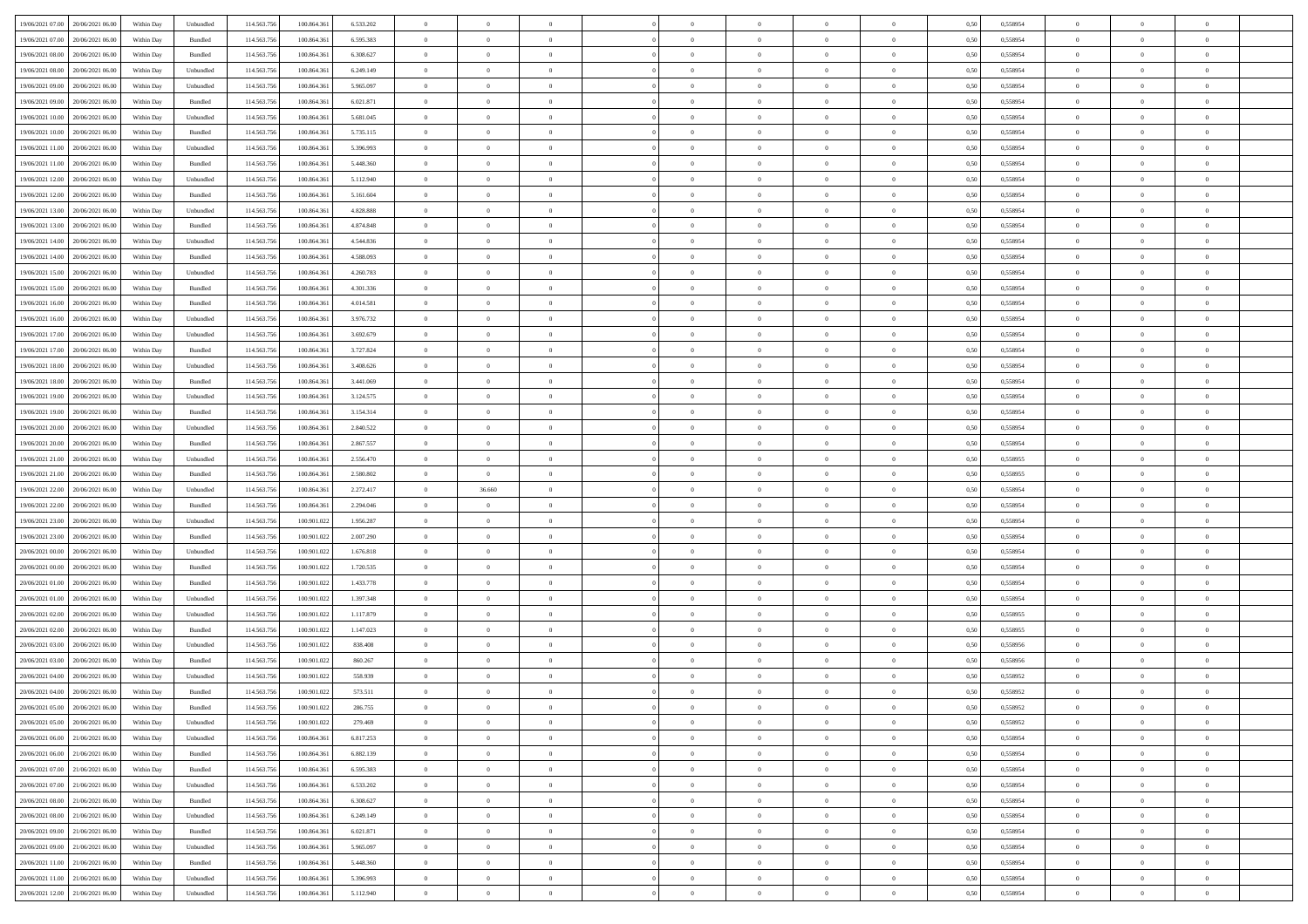| 19/06/2021 07:00 20/06/2021 06:00    | Within Day | Unbundled | 114.563.756 | 100.864.36  | 6.533.202 | $\overline{0}$ | $\overline{0}$ |                | $\overline{0}$ | $\theta$       |                | $\theta$       | 0,50 | 0,558954 | $\theta$       | $\theta$       | $\overline{0}$ |  |
|--------------------------------------|------------|-----------|-------------|-------------|-----------|----------------|----------------|----------------|----------------|----------------|----------------|----------------|------|----------|----------------|----------------|----------------|--|
| 19/06/2021 07:00<br>20/06/2021 06:00 | Within Day | Bundled   | 114.563.75  | 100.864.36  | 6.595.383 | $\bf{0}$       | $\bf{0}$       | $\bf{0}$       | $\overline{0}$ | $\overline{0}$ | $\overline{0}$ | $\bf{0}$       | 0,50 | 0,558954 | $\,$ 0 $\,$    | $\bf{0}$       | $\overline{0}$ |  |
| 19/06/2021 08:00<br>20/06/2021 06:00 | Within Day | Bundled   | 114,563,75  | 100.864.36  | 6.308.627 | $\overline{0}$ | $\bf{0}$       | $\overline{0}$ | $\bf{0}$       | $\bf{0}$       | $\overline{0}$ | $\bf{0}$       | 0.50 | 0.558954 | $\bf{0}$       | $\overline{0}$ | $\overline{0}$ |  |
| 19/06/2021 08:00<br>20/06/2021 06:00 |            |           | 114.563.75  |             |           | $\overline{0}$ | $\bf{0}$       | $\overline{0}$ | $\theta$       | $\theta$       | $\overline{0}$ |                |      |          | $\theta$       | $\theta$       | $\overline{0}$ |  |
|                                      | Within Day | Unbundled |             | 100.864.361 | 6.249.149 |                |                |                |                |                |                | $\bf{0}$       | 0,50 | 0,558954 |                |                |                |  |
| 19/06/2021 09:00<br>20/06/2021 06:00 | Within Day | Unbundled | 114.563.75  | 100,864.36  | 5.965.097 | $\bf{0}$       | $\overline{0}$ | $\bf{0}$       | $\overline{0}$ | $\theta$       | $\overline{0}$ | $\bf{0}$       | 0,50 | 0,558954 | $\,$ 0 $\,$    | $\bf{0}$       | $\overline{0}$ |  |
| 19/06/2021 09:00<br>20/06/2021 06:00 | Within Day | Bundled   | 114,563,75  | 100.864.36  | 6.021.871 | $\overline{0}$ | $\overline{0}$ | $\overline{0}$ | $\bf{0}$       | $\overline{0}$ | $\theta$       | $\bf{0}$       | 0.50 | 0.558954 | $\,$ 0 $\,$    | $\theta$       | $\overline{0}$ |  |
| 19/06/2021 10:00<br>20/06/2021 06:00 | Within Day | Unbundled | 114.563.75  | 100.864.36  | 5.681.045 | $\overline{0}$ | $\overline{0}$ | $\overline{0}$ | $\overline{0}$ | $\overline{0}$ | $\overline{0}$ | $\bf{0}$       | 0,50 | 0,558954 | $\theta$       | $\theta$       | $\overline{0}$ |  |
|                                      |            |           |             |             |           |                |                |                |                |                |                |                |      |          |                |                |                |  |
| 19/06/2021 10:00<br>20/06/2021 06:00 | Within Day | Bundled   | 114.563.75  | 100,864.36  | 5.735.115 | $\bf{0}$       | $\bf{0}$       | $\bf{0}$       | $\overline{0}$ | $\overline{0}$ | $\overline{0}$ | $\bf{0}$       | 0,50 | 0,558954 | $\,$ 0 $\,$    | $\bf{0}$       | $\overline{0}$ |  |
| 19/06/2021 11:00<br>20/06/2021 06:00 | Within Day | Unbundled | 114,563,75  | 100.864.36  | 5.396.993 | $\overline{0}$ | $\bf{0}$       | $\overline{0}$ | $\bf{0}$       | $\overline{0}$ | $\overline{0}$ | $\bf{0}$       | 0.50 | 0.558954 | $\bf{0}$       | $\overline{0}$ | $\overline{0}$ |  |
| 19/06/2021 11:00<br>20/06/2021 06:00 | Within Day | Bundled   | 114.563.75  | 100.864.361 | 5.448.360 | $\bf{0}$       | $\bf{0}$       | $\overline{0}$ | $\overline{0}$ | $\overline{0}$ | $\overline{0}$ | $\bf{0}$       | 0,50 | 0,558954 | $\,$ 0 $\,$    | $\bf{0}$       | $\overline{0}$ |  |
| 19/06/2021 12:00<br>20/06/2021 06:00 | Within Day | Unbundled | 114.563.75  | 100.864.36  | 5.112.940 | $\bf{0}$       | $\overline{0}$ | $\bf{0}$       | $\bf{0}$       | $\bf{0}$       | $\overline{0}$ | $\bf{0}$       | 0,50 | 0,558954 | $\,$ 0 $\,$    | $\bf{0}$       | $\overline{0}$ |  |
|                                      |            |           |             |             |           |                |                |                |                |                |                |                |      |          |                |                |                |  |
| 19/06/2021 12:00<br>20/06/2021 06:00 | Within Day | Bundled   | 114,563,75  | 100.864.36  | 5.161.604 | $\overline{0}$ | $\bf{0}$       | $\overline{0}$ | $\overline{0}$ | $\bf{0}$       | $\overline{0}$ | $\bf{0}$       | 0.50 | 0.558954 | $\bf{0}$       | $\overline{0}$ | $\overline{0}$ |  |
| 19/06/2021 13:00<br>20/06/2021 06:00 | Within Day | Unbundled | 114.563.75  | 100.864.36  | 4.828.888 | $\overline{0}$ | $\overline{0}$ | $\overline{0}$ | $\theta$       | $\theta$       | $\overline{0}$ | $\bf{0}$       | 0,50 | 0,558954 | $\,$ 0 $\,$    | $\theta$       | $\overline{0}$ |  |
| 19/06/2021 13:00<br>20/06/2021 06:00 | Within Day | Bundled   | 114.563.75  | 100.864.36  | 4.874.848 | $\bf{0}$       | $\overline{0}$ | $\bf{0}$       | $\overline{0}$ | $\theta$       | $\overline{0}$ | $\bf{0}$       | 0,50 | 0,558954 | $\,$ 0 $\,$    | $\bf{0}$       | $\overline{0}$ |  |
|                                      |            |           |             |             |           |                |                |                |                |                |                |                |      |          |                |                |                |  |
| 19/06/2021 14:00<br>20/06/2021 06:00 | Within Day | Unbundled | 114,563,75  | 100.864.36  | 4.544.836 | $\overline{0}$ | $\overline{0}$ | $\overline{0}$ | $\bf{0}$       | $\overline{0}$ | $\Omega$       | $\bf{0}$       | 0.50 | 0.558954 | $\,$ 0 $\,$    | $\theta$       | $\overline{0}$ |  |
| 19/06/2021 14:00<br>20/06/2021 06:00 | Within Day | Bundled   | 114.563.75  | 100.864.361 | 4.588.093 | $\overline{0}$ | $\overline{0}$ | $\overline{0}$ | $\overline{0}$ | $\overline{0}$ | $\overline{0}$ | $\bf{0}$       | 0,50 | 0,558954 | $\theta$       | $\theta$       | $\overline{0}$ |  |
| 19/06/2021 15:00<br>20/06/2021 06:00 | Within Day | Unbundled | 114.563.75  | 100,864.36  | 4.260.783 | $\bf{0}$       | $\bf{0}$       | $\bf{0}$       | $\overline{0}$ | $\theta$       | $\overline{0}$ | $\bf{0}$       | 0,50 | 0,558954 | $\,$ 0 $\,$    | $\bf{0}$       | $\overline{0}$ |  |
| 19/06/2021 15:00<br>20/06/2021 06:00 | Within Day | Bundled   | 114,563,75  | 100.864.36  | 4.301.336 | $\overline{0}$ | $\bf{0}$       | $\overline{0}$ | $\bf{0}$       | $\overline{0}$ | $\overline{0}$ | $\bf{0}$       | 0.50 | 0.558954 | $\bf{0}$       | $\overline{0}$ | $\overline{0}$ |  |
| 19/06/2021 16:00                     |            |           | 114.563.75  |             |           | $\overline{0}$ | $\bf{0}$       | $\overline{0}$ | $\overline{0}$ | $\overline{0}$ | $\overline{0}$ |                |      |          | $\,$ 0 $\,$    | $\bf{0}$       | $\overline{0}$ |  |
| 20/06/2021 06:00                     | Within Day | Bundled   |             | 100.864.361 | 4.014.581 |                |                |                |                |                |                | $\bf{0}$       | 0,50 | 0,558954 |                |                |                |  |
| 19/06/2021 16:00<br>20/06/2021 06:00 | Within Day | Unbundled | 114.563.75  | 100.864.36  | 3.976.732 | $\bf{0}$       | $\bf{0}$       | $\bf{0}$       | $\bf{0}$       | $\overline{0}$ | $\overline{0}$ | $\bf{0}$       | 0,50 | 0,558954 | $\,$ 0 $\,$    | $\bf{0}$       | $\overline{0}$ |  |
| 19/06/2021 17:00<br>20/06/2021 06:00 | Within Day | Unbundled | 114,563,75  | 100,864,36  | 3.692.679 | $\overline{0}$ | $\bf{0}$       | $\overline{0}$ | $\overline{0}$ | $\bf{0}$       | $\overline{0}$ | $\bf{0}$       | 0.50 | 0.558954 | $\bf{0}$       | $\overline{0}$ | $\overline{0}$ |  |
| 19/06/2021 17:00<br>20/06/2021 06:00 | Within Day | Bundled   | 114.563.75  | 100.864.361 | 3.727.824 | $\overline{0}$ | $\overline{0}$ | $\overline{0}$ | $\theta$       | $\theta$       | $\overline{0}$ | $\bf{0}$       | 0,50 | 0,558954 | $\theta$       | $\theta$       | $\overline{0}$ |  |
|                                      |            |           |             |             |           |                | $\overline{0}$ |                |                | $\,$ 0 $\,$    | $\overline{0}$ |                |      |          | $\,$ 0 $\,$    | $\bf{0}$       | $\overline{0}$ |  |
| 19/06/2021 18:00<br>20/06/2021 06:00 | Within Day | Unbundled | 114.563.75  | 100.864.36  | 3.408.626 | $\bf{0}$       |                | $\bf{0}$       | $\bf{0}$       |                |                | $\bf{0}$       | 0,50 | 0,558954 |                |                |                |  |
| 19/06/2021 18:00<br>20/06/2021 06:00 | Within Day | Bundled   | 114,563,75  | 100.864.36  | 3.441.069 | $\overline{0}$ | $\overline{0}$ | $\overline{0}$ | $\bf{0}$       | $\overline{0}$ | $\Omega$       | $\bf{0}$       | 0.50 | 0.558954 | $\,$ 0 $\,$    | $\theta$       | $\overline{0}$ |  |
| 19/06/2021 19:00<br>20/06/2021 06:00 | Within Day | Unbundled | 114.563.75  | 100.864.36  | 3.124.575 | $\overline{0}$ | $\overline{0}$ | $\overline{0}$ | $\overline{0}$ | $\overline{0}$ | $\overline{0}$ | $\bf{0}$       | 0,50 | 0,558954 | $\,$ 0 $\,$    | $\theta$       | $\overline{0}$ |  |
| 19/06/2021 19:00<br>20/06/2021 06:00 | Within Day | Bundled   | 114.563.75  | 100.864.36  | 3.154.314 | $\bf{0}$       | $\overline{0}$ | $\bf{0}$       | $\overline{0}$ | $\theta$       | $\overline{0}$ | $\bf{0}$       | 0,50 | 0,558954 | $\,$ 0 $\,$    | $\bf{0}$       | $\overline{0}$ |  |
| 19/06/2021 20:00<br>20/06/2021 06:00 | Within Day | Unbundled | 114,563,75  | 100.864.36  | 2.840.522 | $\overline{0}$ | $\bf{0}$       | $\overline{0}$ | $\bf{0}$       | $\overline{0}$ | $\overline{0}$ | $\bf{0}$       | 0.50 | 0.558954 | $\bf{0}$       | $\overline{0}$ | $\overline{0}$ |  |
|                                      |            |           |             |             |           |                |                |                |                |                |                |                |      |          |                |                |                |  |
| 19/06/2021 20:00<br>20/06/2021 06:00 | Within Day | Bundled   | 114.563.75  | 100.864.361 | 2.867.557 | $\overline{0}$ | $\bf{0}$       | $\overline{0}$ | $\overline{0}$ | $\overline{0}$ | $\overline{0}$ | $\bf{0}$       | 0,50 | 0,558954 | $\theta$       | $\theta$       | $\overline{0}$ |  |
| 19/06/2021 21:00<br>20/06/2021 06:00 | Within Day | Unbundled | 114.563.75  | 100.864.36  | 2.556.470 | $\bf{0}$       | $\bf{0}$       | $\bf{0}$       | $\bf{0}$       | $\overline{0}$ | $\overline{0}$ | $\bf{0}$       | 0,50 | 0,558955 | $\,$ 0 $\,$    | $\bf{0}$       | $\overline{0}$ |  |
| 19/06/2021 21:00<br>20/06/2021 06:00 | Within Day | Bundled   | 114,563,75  | 100.864.36  | 2.580.802 | $\overline{0}$ | $\overline{0}$ | $\overline{0}$ | $\bf{0}$       | $\bf{0}$       | $\overline{0}$ | $\bf{0}$       | 0.50 | 0.558955 | $\bf{0}$       | $\overline{0}$ | $\overline{0}$ |  |
| 19/06/2021 22:00<br>20/06/2021 06:00 | Within Day | Unbundled | 114.563.75  | 100,864.36  | 2.272.417 | $\overline{0}$ | 36.660         | $\overline{0}$ | $\overline{0}$ | $\overline{0}$ | $\overline{0}$ | $\bf{0}$       | 0.50 | 0.558954 | $\theta$       | $\theta$       | $\overline{0}$ |  |
|                                      |            |           |             |             |           |                |                |                |                |                |                |                |      |          |                |                |                |  |
| 19/06/2021 22:00<br>20/06/2021 06:00 | Within Day | Bundled   | 114.563.75  | 100.864.36  | 2.294.046 | $\bf{0}$       | $\theta$       | $\bf{0}$       | $\bf{0}$       | $\overline{0}$ | $\overline{0}$ | $\bf{0}$       | 0,50 | 0,558954 | $\,$ 0 $\,$    | $\bf{0}$       | $\overline{0}$ |  |
| 19/06/2021 23:00<br>20/06/2021 06:00 | Within Day | Unbundled | 114,563,75  | 100.901.022 | 1.956.287 | $\overline{0}$ | $\bf{0}$       | $\overline{0}$ | $\bf{0}$       | $\overline{0}$ | $\Omega$       | $\bf{0}$       | 0.50 | 0.558954 | $\,$ 0 $\,$    | $\theta$       | $\overline{0}$ |  |
| 19/06/2021 23:00<br>20/06/2021 06:00 | Within Dav | Bundled   | 114.563.75  | 100.901.022 | 2.007.290 | $\overline{0}$ | $\overline{0}$ | $\overline{0}$ | $\overline{0}$ | $\theta$       | $\overline{0}$ | $\bf{0}$       | 0.50 | 0,558954 | $\theta$       | $\theta$       | $\overline{0}$ |  |
| 20/06/2021 00:00<br>20/06/2021 06:00 | Within Day | Unbundled | 114.563.75  | 100.901.02  | 1.676.818 | $\bf{0}$       | $\bf{0}$       | $\bf{0}$       | $\bf{0}$       | $\bf{0}$       | $\overline{0}$ | $\bf{0}$       | 0,50 | 0,558954 | $\,$ 0 $\,$    | $\bf{0}$       | $\overline{0}$ |  |
| 20/06/2021 06:00                     |            | Bundled   | 114,563,75  | 100.901.022 |           |                | $\bf{0}$       | $\overline{0}$ |                | $\overline{0}$ | $\overline{0}$ |                | 0.50 | 0.558954 | $\bf{0}$       | $\overline{0}$ | $\overline{0}$ |  |
| 20/06/2021 00:00                     | Within Day |           |             |             | 1.720.535 | $\overline{0}$ |                |                | $\bf{0}$       |                |                | $\bf{0}$       |      |          |                |                |                |  |
| 20/06/2021 01:00<br>20/06/2021 06:00 | Within Dav | Bundled   | 114.563.75  | 100,901,022 | 1.433.778 | $\overline{0}$ | $\overline{0}$ | $\overline{0}$ | $\overline{0}$ | $\overline{0}$ | $\overline{0}$ | $\overline{0}$ | 0.50 | 0,558954 | $\theta$       | $\theta$       | $\overline{0}$ |  |
| 20/06/2021 01:00<br>20/06/2021 06:00 | Within Day | Unbundled | 114.563.75  | 100.901.02  | 1.397.348 | $\bf{0}$       | $\bf{0}$       | $\bf{0}$       | $\bf{0}$       | $\overline{0}$ | $\overline{0}$ | $\bf{0}$       | 0,50 | 0,558954 | $\,$ 0 $\,$    | $\bf{0}$       | $\overline{0}$ |  |
| 20/06/2021 02:00<br>20/06/2021 06:00 | Within Day | Unbundled | 114,563,75  | 100.901.022 | 1.117.879 | $\overline{0}$ | $\bf{0}$       | $\overline{0}$ | $\overline{0}$ | $\bf{0}$       | $\overline{0}$ | $\bf{0}$       | 0.50 | 0.558955 | $\bf{0}$       | $\overline{0}$ | $\overline{0}$ |  |
| 20/06/2021 02:00<br>20/06/2021 06:00 | Within Dav | Bundled   | 114.563.75  | 100.901.022 | 1.147.023 | $\overline{0}$ | $\overline{0}$ | $\overline{0}$ | $\overline{0}$ | $\theta$       | $\overline{0}$ | $\bf{0}$       | 0.50 | 0,558955 | $\theta$       | $\theta$       | $\overline{0}$ |  |
|                                      |            |           |             |             |           |                |                |                |                |                |                |                |      |          |                |                |                |  |
| 20/06/2021 03:00<br>20/06/2021 06:00 | Within Day | Unbundled | 114.563.75  | 100.901.02  | 838.408   | $\bf{0}$       | $\bf{0}$       | $\bf{0}$       | $\bf{0}$       | $\overline{0}$ | $\overline{0}$ | $\bf{0}$       | 0,50 | 0,558956 | $\,$ 0 $\,$    | $\bf{0}$       | $\overline{0}$ |  |
| 20/06/2021 03:00<br>20/06/2021 06:00 | Within Day | Bundled   | 114,563,75  | 100.901.022 | 860.267   | $\overline{0}$ | $\overline{0}$ | $\overline{0}$ | $\bf{0}$       | $\theta$       | $\Omega$       | $\bf{0}$       | 0.50 | 0.558956 | $\bf{0}$       | $\theta$       | $\overline{0}$ |  |
| 20/06/2021 04:00<br>20/06/2021 06:00 | Within Dav | Unbundled | 114.563.75  | 100,901,022 | 558,939   | $\overline{0}$ | $\overline{0}$ | $\Omega$       | $\overline{0}$ | $\theta$       | $\Omega$       | $\overline{0}$ | 0.5( | 0,558952 | $\theta$       | $\theta$       | $\overline{0}$ |  |
| 20/06/2021 04:00<br>20/06/2021 06:00 | Within Day | Bundled   | 114.563.75  | 100.901.022 | 573.511   | $\bf{0}$       | $\bf{0}$       | $\overline{0}$ | $\bf{0}$       | $\bf{0}$       | $\overline{0}$ | $\bf{0}$       | 0,50 | 0,558952 | $\overline{0}$ | $\overline{0}$ | $\overline{0}$ |  |
|                                      |            |           |             |             |           |                |                |                |                |                |                |                |      |          |                |                |                |  |
| 20/06/2021 05:00 20/06/2021 06:00    | Within Day | Bundled   | 114.563.756 | 100.901.022 | 286.755   | $\overline{0}$ | $\Omega$       |                | $\Omega$       |                |                |                | 0,50 | 0,558952 | $\theta$       | $\overline{0}$ |                |  |
| 20/06/2021 05:00 20/06/2021 06:00    | Within Day | Unbundled | 114.563.756 | 100.901.022 | 279.469   | $\overline{0}$ | $\overline{0}$ | $\Omega$       | $\theta$       | $\overline{0}$ | $\overline{0}$ | $\bf{0}$       | 0,50 | 0,558952 | $\theta$       | $\theta$       | $\overline{0}$ |  |
| 20/06/2021 06:00<br>21/06/2021 06:00 | Within Day | Unbundled | 114.563.75  | 100.864.36  | 6.817.253 | $\overline{0}$ | $\bf{0}$       | $\overline{0}$ | $\overline{0}$ | $\bf{0}$       | $\overline{0}$ | $\bf{0}$       | 0,50 | 0,558954 | $\bf{0}$       | $\overline{0}$ | $\bf{0}$       |  |
| 20/06/2021 06:00 21/06/2021 06:00    | Within Day | Bundled   | 114.563.756 | 100,864,361 | 6.882.139 | $\overline{0}$ | $\bf{0}$       | $\overline{0}$ | $\overline{0}$ | $\mathbf{0}$   | $\overline{0}$ | $\,$ 0 $\,$    | 0.50 | 0.558954 | $\overline{0}$ | $\bf{0}$       | $\,$ 0 $\,$    |  |
|                                      |            |           |             |             |           |                | $\overline{0}$ |                |                | $\overline{0}$ |                |                |      |          | $\overline{0}$ | $\theta$       | $\overline{0}$ |  |
| 20/06/2021 07:00 21/06/2021 06:00    | Within Dav | Bundled   | 114.563.756 | 100.864.361 | 6.595.383 | $\overline{0}$ |                | $\overline{0}$ | $\overline{0}$ |                | $\overline{0}$ | $\bf{0}$       | 0,50 | 0,558954 |                |                |                |  |
| 20/06/2021 07:00<br>21/06/2021 06:00 | Within Day | Unbundled | 114.563.75  | 100.864.361 | 6.533.202 | $\overline{0}$ | $\bf{0}$       | $\overline{0}$ | $\overline{0}$ | $\bf{0}$       | $\overline{0}$ | $\bf{0}$       | 0,50 | 0,558954 | $\bf{0}$       | $\overline{0}$ | $\overline{0}$ |  |
| 20/06/2021 08:00 21/06/2021 06:00    | Within Day | Bundled   | 114.563.756 | 100,864,361 | 6.308.627 | $\overline{0}$ | $\bf{0}$       | $\overline{0}$ | $\overline{0}$ | $\bf{0}$       | $\overline{0}$ | $\bf{0}$       | 0.50 | 0.558954 | $\,$ 0 $\,$    | $\overline{0}$ | $\,$ 0         |  |
| 20/06/2021 08:00<br>21/06/2021 06:00 | Within Dav | Unbundled | 114.563.756 | 100.864.361 | 6.249.149 | $\overline{0}$ | $\overline{0}$ | $\overline{0}$ | $\overline{0}$ | $\overline{0}$ | $\overline{0}$ | $\bf{0}$       | 0.50 | 0,558954 | $\overline{0}$ | $\theta$       | $\overline{0}$ |  |
| 20/06/2021 09:00                     |            |           |             |             |           |                | $\overline{0}$ |                |                | $\overline{0}$ |                |                |      |          | $\bf{0}$       | $\overline{0}$ | $\,$ 0         |  |
| 21/06/2021 06:00                     | Within Day | Bundled   | 114.563.75  | 100.864.36  | 6.021.871 | $\overline{0}$ |                | $\overline{0}$ | $\overline{0}$ |                | $\overline{0}$ | $\bf{0}$       | 0,50 | 0,558954 |                |                |                |  |
| 20/06/2021 09:00 21/06/2021 06:00    | Within Day | Unbundled | 114.563.75  | 100,864,361 | 5.965.097 | $\overline{0}$ | $\overline{0}$ | $\overline{0}$ | $\overline{0}$ | $\overline{0}$ | $\overline{0}$ | $\bf{0}$       | 0.50 | 0.558954 | $\mathbf{0}$   | $\bf{0}$       | $\,$ 0         |  |
| 20/06/2021 11:00 21/06/2021 06:00    | Within Dav | Bundled   | 114.563.756 | 100.864.361 | 5.448.360 | $\overline{0}$ | $\overline{0}$ | $\overline{0}$ | $\overline{0}$ | $\overline{0}$ | $\overline{0}$ | $\bf{0}$       | 0,50 | 0,558954 | $\overline{0}$ | $\theta$       | $\overline{0}$ |  |
| 20/06/2021 11:00<br>21/06/2021 06:00 | Within Day | Unbundled | 114.563.75  | 100.864.36  | 5.396.993 | $\overline{0}$ | $\bf{0}$       | $\overline{0}$ | $\overline{0}$ | $\overline{0}$ | $\overline{0}$ | $\bf{0}$       | 0,50 | 0,558954 | $\bf{0}$       | $\overline{0}$ | $\bf{0}$       |  |
|                                      |            |           |             |             |           |                |                |                |                |                |                |                |      |          |                |                |                |  |
| 20/06/2021 12:00 21/06/2021 06:00    | Within Day | Unbundled | 114.563.756 | 100.864.361 | 5.112.940 | $\overline{0}$ | $\bf{0}$       | $\overline{0}$ | $\overline{0}$ | $\,$ 0 $\,$    | $\overline{0}$ | $\,$ 0 $\,$    | 0,50 | 0,558954 | $\overline{0}$ | $\,$ 0 $\,$    | $\,$ 0 $\,$    |  |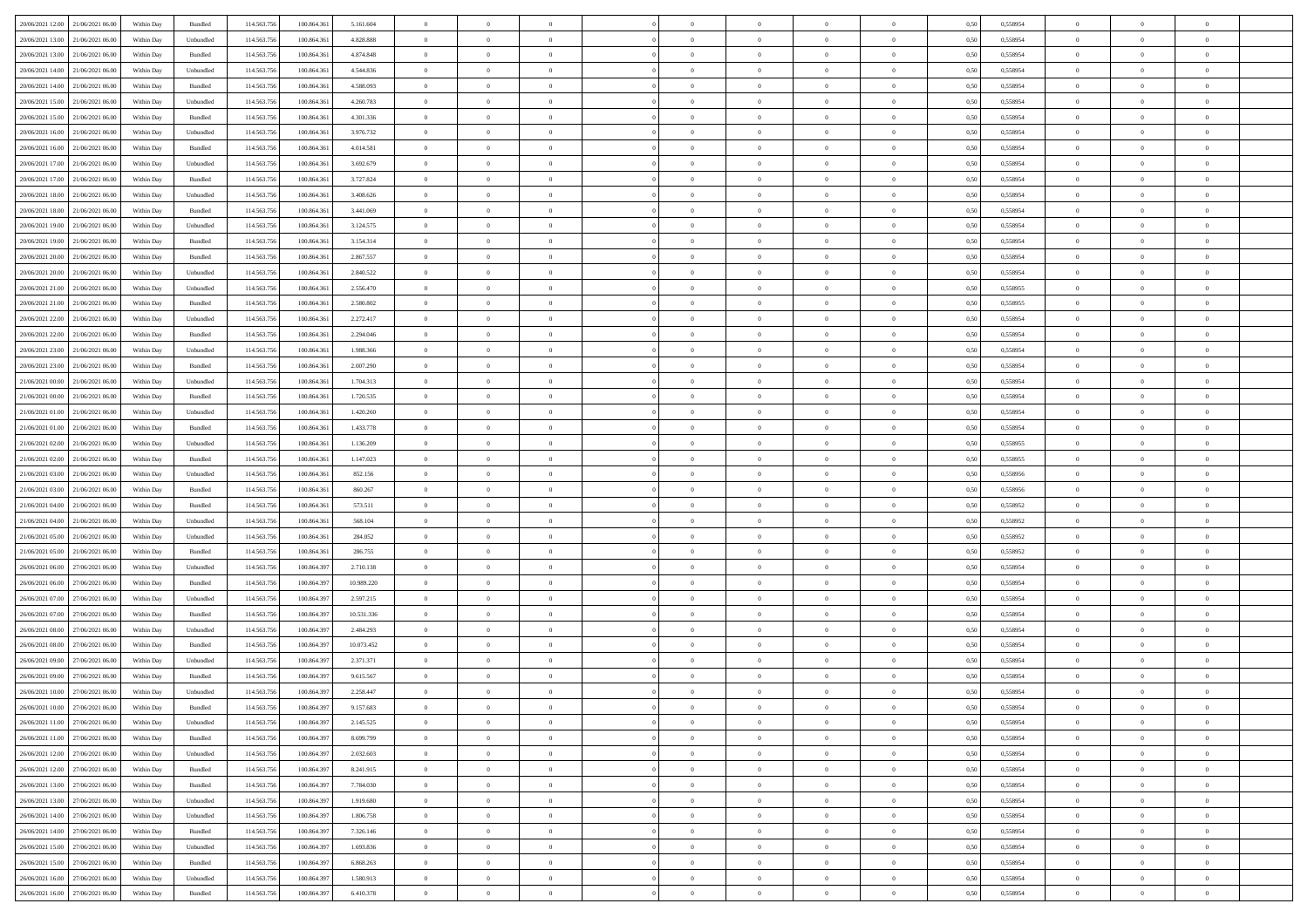| 20/06/2021 12:00 21/06/2021 06:00    | Within Day | Bundled            | 114.563.756 | 100.864.361 | 5.161.604  | $\overline{0}$ | $\overline{0}$   | $\overline{0}$ | $\theta$       | $\theta$       |                | $\overline{0}$ | 0,50 | 0,558954 | $\theta$       | $\theta$       | $\overline{0}$ |  |
|--------------------------------------|------------|--------------------|-------------|-------------|------------|----------------|------------------|----------------|----------------|----------------|----------------|----------------|------|----------|----------------|----------------|----------------|--|
|                                      |            |                    |             |             |            | $\bf{0}$       | $\overline{0}$   |                | $\,$ 0 $\,$    | $\bf{0}$       | $\overline{0}$ | $\bf{0}$       |      |          | $\,$ 0 $\,$    | $\bf{0}$       | $\overline{0}$ |  |
| 20/06/2021 13:00<br>21/06/2021 06.0  | Within Day | Unbundled          | 114.563.75  | 100.864.361 | 4.828.888  |                |                  | $\overline{0}$ |                |                |                |                | 0,50 | 0,558954 |                |                |                |  |
| 20/06/2021 13:00<br>21/06/2021 06:00 | Within Day | Bundled            | 114.563.756 | 100,864,361 | 4.874.848  | $\overline{0}$ | $\overline{0}$   | $\overline{0}$ | $\bf{0}$       | $\bf{0}$       | $\overline{0}$ | $\mathbf{0}$   | 0.50 | 0.558954 | $\bf{0}$       | $\overline{0}$ | $\overline{0}$ |  |
| 20/06/2021 14:00<br>21/06/2021 06:00 | Within Day | Unbundled          | 114.563.756 | 100.864.361 | 4.544.836  | $\overline{0}$ | $\overline{0}$   | $\overline{0}$ | $\overline{0}$ | $\overline{0}$ | $\overline{0}$ | $\bf{0}$       | 0,50 | 0,558954 | $\theta$       | $\theta$       | $\overline{0}$ |  |
| 20/06/2021 14:00<br>21/06/2021 06.00 | Within Day | Bundled            | 114.563.75  | 100.864.361 | 4.588.093  | $\overline{0}$ | $\overline{0}$   | $\bf{0}$       | $\bf{0}$       | $\overline{0}$ | $\overline{0}$ | $\bf{0}$       | 0,50 | 0,558954 | $\,$ 0 $\,$    | $\bf{0}$       | $\overline{0}$ |  |
| 20/06/2021 15:00<br>21/06/2021 06:00 | Within Day | Unbundled          | 114,563,75  | 100.864.361 | 4.260.783  | $\overline{0}$ | $\overline{0}$   | $\overline{0}$ | $\overline{0}$ | $\overline{0}$ | $\overline{0}$ | $\mathbf{0}$   | 0.50 | 0.558954 | $\bf{0}$       | $\theta$       | $\overline{0}$ |  |
| 20/06/2021 15:00<br>21/06/2021 06:00 | Within Day | Bundled            | 114.563.756 | 100.864.361 | 4.301.336  | $\overline{0}$ | $\overline{0}$   | $\overline{0}$ | $\overline{0}$ | $\overline{0}$ | $\overline{0}$ | $\bf{0}$       | 0,50 | 0,558954 | $\theta$       | $\theta$       | $\overline{0}$ |  |
| 20/06/2021 16:00<br>21/06/2021 06.00 | Within Day | Unbundled          | 114.563.75  | 100.864.361 | 3.976.732  | $\bf{0}$       | $\overline{0}$   | $\overline{0}$ | $\,$ 0 $\,$    | $\bf{0}$       | $\overline{0}$ | $\bf{0}$       | 0,50 | 0,558954 | $\,$ 0 $\,$    | $\bf{0}$       | $\overline{0}$ |  |
| 20/06/2021 16:00<br>21/06/2021 06:00 | Within Day | Bundled            | 114,563,756 | 100.864.361 | 4.014.581  | $\overline{0}$ | $\overline{0}$   | $\overline{0}$ | $\bf{0}$       | $\overline{0}$ | $\overline{0}$ | $\mathbf{0}$   | 0.50 | 0.558954 | $\,$ 0 $\,$    | $\overline{0}$ | $\overline{0}$ |  |
| 20/06/2021 17:00<br>21/06/2021 06:00 | Within Day | Unbundled          | 114.563.756 | 100.864.361 | 3.692.679  | $\overline{0}$ | $\overline{0}$   | $\overline{0}$ | $\bf{0}$       | $\overline{0}$ | $\overline{0}$ | $\bf{0}$       | 0,50 | 0,558954 | $\,$ 0 $\,$    | $\theta$       | $\overline{0}$ |  |
|                                      |            |                    |             |             |            |                |                  |                |                |                |                |                |      |          |                |                |                |  |
| 20/06/2021 17:00<br>21/06/2021 06.0  | Within Day | Bundled            | 114.563.75  | 100.864.361 | 3.727.824  | $\overline{0}$ | $\overline{0}$   | $\overline{0}$ | $\bf{0}$       | $\bf{0}$       | $\overline{0}$ | $\bf{0}$       | 0,50 | 0,558954 | $\,$ 0 $\,$    | $\bf{0}$       | $\overline{0}$ |  |
| 20/06/2021 18:00<br>21/06/2021 06:00 | Within Day | Unbundled          | 114,563,756 | 100,864,361 | 3.408.626  | $\overline{0}$ | $\overline{0}$   | $\overline{0}$ | $\bf{0}$       | $\bf{0}$       | $\overline{0}$ | $\mathbf{0}$   | 0.50 | 0.558954 | $\bf{0}$       | $\overline{0}$ | $\bf{0}$       |  |
| 20/06/2021 18:00<br>21/06/2021 06:00 | Within Day | Bundled            | 114.563.756 | 100.864.361 | 3.441.069  | $\overline{0}$ | $\overline{0}$   | $\overline{0}$ | $\overline{0}$ | $\overline{0}$ | $\overline{0}$ | $\bf{0}$       | 0,50 | 0,558954 | $\theta$       | $\theta$       | $\overline{0}$ |  |
| 20/06/2021 19:00<br>21/06/2021 06.00 | Within Day | Unbundled          | 114.563.75  | 100.864.361 | 3.124.575  | $\overline{0}$ | $\overline{0}$   | $\overline{0}$ | $\bf{0}$       | $\bf{0}$       | $\overline{0}$ | $\bf{0}$       | 0,50 | 0,558954 | $\,$ 0 $\,$    | $\bf{0}$       | $\overline{0}$ |  |
| 20/06/2021 19:00<br>21/06/2021 06:00 | Within Day | Bundled            | 114.563.756 | 100,864,361 | 3.154.314  | $\overline{0}$ | $\overline{0}$   | $\overline{0}$ | $\overline{0}$ | $\overline{0}$ | $\overline{0}$ | $\mathbf{0}$   | 0.50 | 0.558954 | $\,$ 0 $\,$    | $\theta$       | $\overline{0}$ |  |
| 20/06/2021 20:00<br>21/06/2021 06:00 | Within Day | Bundled            | 114.563.756 | 100.864.361 | 2.867.557  | $\overline{0}$ | $\overline{0}$   | $\overline{0}$ | $\overline{0}$ | $\overline{0}$ | $\overline{0}$ | $\bf{0}$       | 0,50 | 0,558954 | $\theta$       | $\theta$       | $\overline{0}$ |  |
| 20/06/2021 20:00<br>21/06/2021 06.00 | Within Day | Unbundled          | 114.563.75  | 100.864.361 | 2.840.522  | $\overline{0}$ | $\overline{0}$   | $\overline{0}$ | $\overline{0}$ | $\overline{0}$ | $\overline{0}$ | $\bf{0}$       | 0,50 | 0,558954 | $\,$ 0 $\,$    | $\bf{0}$       | $\overline{0}$ |  |
| 20/06/2021 21:00<br>21/06/2021 06:00 | Within Day | Unbundled          | 114,563,75  | 100,864,361 | 2.556.470  | $\overline{0}$ | $\overline{0}$   | $\overline{0}$ | $\overline{0}$ | $\bf{0}$       | $\overline{0}$ | $\mathbf{0}$   | 0.50 | 0.558955 | $\,$ 0 $\,$    | $\overline{0}$ | $\overline{0}$ |  |
| 20/06/2021 21:00<br>21/06/2021 06:00 | Within Day | Bundled            | 114.563.756 | 100.864.361 | 2.580.802  | $\overline{0}$ | $\overline{0}$   | $\overline{0}$ | $\overline{0}$ | $\overline{0}$ | $\overline{0}$ | $\bf{0}$       | 0,50 | 0,558955 | $\,$ 0 $\,$    | $\theta$       | $\overline{0}$ |  |
|                                      |            |                    |             |             |            |                |                  |                |                |                |                |                |      |          |                |                |                |  |
| 20/06/2021 22:00<br>21/06/2021 06.00 | Within Day | Unbundled          | 114.563.75  | 100.864.361 | 2.272.417  | $\overline{0}$ | $\overline{0}$   | $\overline{0}$ | $\bf{0}$       | $\bf{0}$       | $\overline{0}$ | $\bf{0}$       | 0,50 | 0,558954 | $\,$ 0 $\,$    | $\bf{0}$       | $\overline{0}$ |  |
| 20/06/2021 22.00<br>21/06/2021 06:00 | Within Day | Bundled            | 114.563.756 | 100,864,361 | 2.294.046  | $\overline{0}$ | $\overline{0}$   | $\overline{0}$ | $\bf{0}$       | $\bf{0}$       | $\overline{0}$ | $\mathbf{0}$   | 0.50 | 0.558954 | $\bf{0}$       | $\overline{0}$ | $\bf{0}$       |  |
| 20/06/2021 23:00<br>21/06/2021 06:00 | Within Day | Unbundled          | 114.563.756 | 100.864.361 | 1.988.366  | $\overline{0}$ | $\overline{0}$   | $\overline{0}$ | $\overline{0}$ | $\overline{0}$ | $\overline{0}$ | $\,$ 0 $\,$    | 0,50 | 0,558954 | $\theta$       | $\theta$       | $\overline{0}$ |  |
| 20/06/2021 23.00<br>21/06/2021 06.00 | Within Day | Bundled            | 114.563.75  | 100.864.361 | 2.007.290  | $\overline{0}$ | $\overline{0}$   | $\overline{0}$ | $\bf{0}$       | $\overline{0}$ | $\overline{0}$ | $\bf{0}$       | 0,50 | 0,558954 | $\,$ 0 $\,$    | $\bf{0}$       | $\overline{0}$ |  |
| 21/06/2021 00:00<br>21/06/2021 06:00 | Within Day | Unbundled          | 114,563,75  | 100,864,361 | 1.704.313  | $\overline{0}$ | $\overline{0}$   | $\overline{0}$ | $\overline{0}$ | $\overline{0}$ | $\overline{0}$ | $\mathbf{0}$   | 0.50 | 0.558954 | $\,$ 0 $\,$    | $\theta$       | $\overline{0}$ |  |
| 21/06/2021 00:00<br>21/06/2021 06:00 | Within Day | Bundled            | 114.563.756 | 100.864.361 | 1.720.535  | $\overline{0}$ | $\overline{0}$   | $\overline{0}$ | $\overline{0}$ | $\overline{0}$ | $\overline{0}$ | $\bf{0}$       | 0,50 | 0,558954 | $\theta$       | $\theta$       | $\overline{0}$ |  |
| 21/06/2021 01:00<br>21/06/2021 06.00 | Within Day | Unbundled          | 114.563.75  | 100.864.361 | 1.420.260  | $\overline{0}$ | $\overline{0}$   | $\overline{0}$ | $\bf{0}$       | $\overline{0}$ | $\overline{0}$ | $\bf{0}$       | 0,50 | 0,558954 | $\,$ 0 $\,$    | $\bf{0}$       | $\overline{0}$ |  |
| 21/06/2021 01:00<br>21/06/2021 06:00 | Within Day | Bundled            | 114,563,756 | 100,864,361 | 1.433.778  | $\overline{0}$ | $\overline{0}$   | $\overline{0}$ | $\bf{0}$       | $\bf{0}$       | $\overline{0}$ | $\mathbf{0}$   | 0.50 | 0.558954 | $\,$ 0 $\,$    | $\overline{0}$ | $\overline{0}$ |  |
| 21/06/2021 02:00<br>21/06/2021 06:00 | Within Day | Unbundled          | 114.563.756 | 100.864.361 | 1.136.209  | $\overline{0}$ | $\overline{0}$   | $\overline{0}$ | $\overline{0}$ | $\overline{0}$ | $\overline{0}$ | $\bf{0}$       | 0,50 | 0,558955 | $\theta$       | $\theta$       | $\overline{0}$ |  |
| 21/06/2021 02:00<br>21/06/2021 06.0  | Within Day | Bundled            | 114.563.75  | 100.864.361 | 1.147.023  | $\overline{0}$ | $\overline{0}$   | $\overline{0}$ | $\overline{0}$ | $\bf{0}$       | $\overline{0}$ | $\bf{0}$       | 0,50 | 0,558955 | $\,$ 0 $\,$    | $\bf{0}$       | $\overline{0}$ |  |
|                                      |            |                    |             |             |            |                |                  |                |                |                |                |                |      |          |                |                |                |  |
| 21/06/2021 03:00<br>21/06/2021 06:00 | Within Day | Unbundled          | 114,563,756 | 100,864,361 | 852.156    | $\overline{0}$ | $\overline{0}$   | $\overline{0}$ | $\bf{0}$       | $\bf{0}$       | $\overline{0}$ | $\mathbf{0}$   | 0.50 | 0.558956 | $\bf{0}$       | $\overline{0}$ | $\bf{0}$       |  |
| 21/06/2021 03:00<br>21/06/2021 06:00 | Within Day | Bundled            | 114.563.756 | 100.864.361 | 860.267    | $\overline{0}$ | $\overline{0}$   | $\overline{0}$ | $\overline{0}$ | $\overline{0}$ | $\overline{0}$ | $\overline{0}$ | 0.50 | 0.558956 | $\theta$       | $\theta$       | $\overline{0}$ |  |
| 21/06/2021 04:00<br>21/06/2021 06.00 | Within Day | Bundled            | 114.563.75  | 100.864.361 | 573.511    | $\overline{0}$ | $\overline{0}$   | $\overline{0}$ | $\bf{0}$       | $\overline{0}$ | $\overline{0}$ | $\bf{0}$       | 0,50 | 0,558952 | $\,$ 0 $\,$    | $\bf{0}$       | $\overline{0}$ |  |
| 21/06/2021 04:00<br>21/06/2021 06:00 | Within Day | Unbundled          | 114.563.756 | 100,864,361 | 568,104    | $\overline{0}$ | $\overline{0}$   | $\overline{0}$ | $\overline{0}$ | $\overline{0}$ | $\overline{0}$ | $\mathbf{0}$   | 0.50 | 0.558952 | $\,$ 0 $\,$    | $\theta$       | $\overline{0}$ |  |
| 21/06/2021 05:00<br>21/06/2021 06:00 | Within Day | Unbundled          | 114.563.756 | 100.864.361 | 284.052    | $\overline{0}$ | $\overline{0}$   | $\overline{0}$ | $\overline{0}$ | $\overline{0}$ | $\overline{0}$ | $\overline{0}$ | 0.50 | 0,558952 | $\theta$       | $\theta$       | $\overline{0}$ |  |
| 21/06/2021 05:00<br>21/06/2021 06.00 | Within Day | Bundled            | 114.563.75  | 100.864.361 | 286.755    | $\overline{0}$ | $\overline{0}$   | $\overline{0}$ | $\bf{0}$       | $\overline{0}$ | $\overline{0}$ | $\bf{0}$       | 0,50 | 0,558952 | $\,$ 0 $\,$    | $\bf{0}$       | $\overline{0}$ |  |
| 26/06/2021 06:00<br>27/06/2021 06:00 | Within Day | Unbundled          | 114,563,75  | 100.864.397 | 2.710.138  | $\overline{0}$ | $\overline{0}$   | $\overline{0}$ | $\overline{0}$ | $\bf{0}$       | $\overline{0}$ | $\mathbf{0}$   | 0.50 | 0.558954 | $\,$ 0 $\,$    | $\overline{0}$ | $\overline{0}$ |  |
| 26/06/2021 06:00<br>27/06/2021 06:00 | Within Day | Bundled            | 114.563.756 | 100.864.397 | 10.989.220 | $\overline{0}$ | $\overline{0}$   | $\overline{0}$ | $\overline{0}$ | $\overline{0}$ | $\overline{0}$ | $\overline{0}$ | 0.50 | 0,558954 | $\theta$       | $\theta$       | $\overline{0}$ |  |
| 26/06/2021 07:00<br>27/06/2021 06.00 | Within Day | Unbundled          | 114.563.75  | 100.864.397 | 2.597.215  | $\overline{0}$ | $\overline{0}$   | $\overline{0}$ | $\overline{0}$ | $\bf{0}$       | $\overline{0}$ | $\bf{0}$       | 0,50 | 0,558954 | $\,$ 0 $\,$    | $\bf{0}$       | $\overline{0}$ |  |
| 26/06/2021 07:00<br>27/06/2021 06:00 | Within Day | Bundled            | 114.563.756 | 100,864,397 | 10.531.336 | $\overline{0}$ | $\overline{0}$   | $\overline{0}$ | $\bf{0}$       | $\bf{0}$       | $\overline{0}$ | $\mathbf{0}$   | 0.50 | 0.558954 | $\bf{0}$       | $\overline{0}$ | $\overline{0}$ |  |
| 26/06/2021 08:00<br>27/06/2021 06:00 | Within Day | Unbundled          | 114.563.756 | 100.864.397 | 2.484.293  | $\overline{0}$ | $\overline{0}$   | $\overline{0}$ | $\overline{0}$ | $\overline{0}$ | $\overline{0}$ | $\overline{0}$ | 0.50 | 0.558954 | $\theta$       | $\theta$       | $\overline{0}$ |  |
|                                      |            |                    |             |             |            |                |                  |                |                |                |                |                |      |          |                |                |                |  |
| 26/06/2021 08:00<br>27/06/2021 06.00 | Within Day | Bundled            | 114.563.75  | 100.864.397 | 10.073.452 | $\overline{0}$ | $\overline{0}$   | $\overline{0}$ | $\,$ 0 $\,$    | $\bf{0}$       | $\overline{0}$ | $\bf{0}$       | 0,50 | 0,558954 | $\,$ 0 $\,$    | $\bf{0}$       | $\overline{0}$ |  |
| 26/06/2021 09:00<br>27/06/2021 06:00 | Within Day | Unbundled          | 114.563.756 | 100,864.397 | 2.371.371  | $\overline{0}$ | $\overline{0}$   | $\overline{0}$ | $\overline{0}$ | $\overline{0}$ | $\overline{0}$ | $\mathbf{0}$   | 0.50 | 0.558954 | $\,$ 0 $\,$    | $\theta$       | $\overline{0}$ |  |
| 26/06/2021 09:00<br>27/06/2021 06:00 | Within Day | Bundled            | 114.563.756 | 100.864.397 | 9.615.567  | $\overline{0}$ | $\overline{0}$   | $\overline{0}$ | $\overline{0}$ | $\overline{0}$ | $\Omega$       | $\overline{0}$ | 0.50 | 0,558954 | $\theta$       | $\theta$       | $\overline{0}$ |  |
| 26/06/2021 10:00<br>27/06/2021 06:00 | Within Day | Unbundled          | 114.563.756 | 100.864.397 | 2.258.447  | $\overline{0}$ | $\overline{0}$   | $\bf{0}$       | $\overline{0}$ | $\bf{0}$       | $\overline{0}$ | $\bf{0}$       | 0,50 | 0,558954 | $\overline{0}$ | $\bf{0}$       | $\overline{0}$ |  |
| 26/06/2021 10:00 27/06/2021 06:00    | Within Day | $\mathbf B$ undled | 114.563.756 | 100.864.397 | 9.157.683  | $\bf{0}$       | $\boldsymbol{0}$ |                | $\bf{0}$       |                |                |                | 0,50 | 0.558954 | $\theta$       | $\overline{0}$ |                |  |
| 26/06/2021 11:00 27/06/2021 06:00    | Within Day | Unbundled          | 114.563.756 | 100.864.397 | 2.145.525  | $\overline{0}$ | $\overline{0}$   | $\overline{0}$ | $\overline{0}$ | $\overline{0}$ | $\overline{0}$ | $\overline{0}$ | 0,50 | 0,558954 | $\theta$       | $\theta$       | $\overline{0}$ |  |
| 26/06/2021 11:00<br>27/06/2021 06.00 | Within Day | Bundled            | 114.563.756 | 100.864.397 | 8.699.799  | $\overline{0}$ | $\overline{0}$   | $\overline{0}$ | $\bf{0}$       | $\bf{0}$       | $\overline{0}$ | $\bf{0}$       | 0,50 | 0,558954 | $\overline{0}$ | $\overline{0}$ | $\bf{0}$       |  |
| 26/06/2021 12:00 27/06/2021 06:00    | Within Day | Unbundled          | 114.563.756 | 100,864,397 | 2.032.603  | $\overline{0}$ | $\overline{0}$   | $\overline{0}$ | $\,$ 0 $\,$    | $\bf{0}$       | $\overline{0}$ | $\mathbf{0}$   | 0.50 | 0.558954 | $\overline{0}$ | $\bf{0}$       | $\bf{0}$       |  |
| 26/06/2021 12:00 27/06/2021 06:00    | Within Dav | Bundled            | 114.563.756 | 100.864.397 | 8.241.915  | $\overline{0}$ | $\overline{0}$   | $\overline{0}$ | $\overline{0}$ | $\overline{0}$ | $\overline{0}$ | $\mathbf{0}$   | 0,50 | 0,558954 | $\overline{0}$ | $\theta$       | $\overline{0}$ |  |
| 26/06/2021 13:00<br>27/06/2021 06:00 | Within Day | Bundled            | 114.563.756 | 100.864.397 | 7.784.030  | $\overline{0}$ | $\overline{0}$   | $\overline{0}$ | $\bf{0}$       | $\bf{0}$       | $\overline{0}$ | $\mathbf{0}$   | 0,50 | 0,558954 | $\overline{0}$ | $\overline{0}$ | $\overline{0}$ |  |
|                                      |            |                    |             |             |            |                |                  |                |                |                |                |                |      |          |                |                |                |  |
| 27/06/2021 06:00<br>26/06/2021 13.00 | Within Day | Unbundled          | 114.563.756 | 100,864,397 | 1.919.680  | $\overline{0}$ | $\overline{0}$   | $\overline{0}$ | $\bf{0}$       | $\overline{0}$ | $\overline{0}$ | $\,$ 0 $\,$    | 0.50 | 0.558954 | $\,$ 0 $\,$    | $\overline{0}$ | $\,$ 0         |  |
| 26/06/2021 14:00<br>27/06/2021 06:00 | Within Day | Unbundled          | 114.563.756 | 100.864.397 | 1.806.758  | $\overline{0}$ | $\overline{0}$   | $\overline{0}$ | $\overline{0}$ | $\overline{0}$ | $\overline{0}$ | $\mathbf{0}$   | 0,50 | 0,558954 | $\overline{0}$ | $\theta$       | $\overline{0}$ |  |
| 26/06/2021 14:00<br>27/06/2021 06:00 | Within Day | Bundled            | 114.563.75  | 100.864.397 | 7.326.146  | $\overline{0}$ | $\overline{0}$   | $\overline{0}$ | $\bf{0}$       | $\bf{0}$       | $\overline{0}$ | $\,$ 0 $\,$    | 0,50 | 0,558954 | $\bf{0}$       | $\overline{0}$ | $\,$ 0         |  |
| 27/06/2021 06:00<br>26/06/2021 15:00 | Within Day | Unbundled          | 114.563.756 | 100,864,397 | 1.693.836  | $\overline{0}$ | $\overline{0}$   | $\overline{0}$ | $\bf{0}$       | $\overline{0}$ | $\overline{0}$ | $\mathbf{0}$   | 0.50 | 0.558954 | $\overline{0}$ | $\bf{0}$       | $\,$ 0         |  |
| 26/06/2021 15:00<br>27/06/2021 06:00 | Within Dav | Bundled            | 114.563.756 | 100.864.397 | 6.868.263  | $\overline{0}$ | $\overline{0}$   | $\overline{0}$ | $\overline{0}$ | $\overline{0}$ | $\overline{0}$ | $\mathbf{0}$   | 0,50 | 0,558954 | $\overline{0}$ | $\theta$       | $\overline{0}$ |  |
| 26/06/2021 16.00<br>27/06/2021 06.00 | Within Day | Unbundled          | 114.563.756 | 100.864.397 | 1.580.913  | $\overline{0}$ | $\overline{0}$   | $\overline{0}$ | $\bf{0}$       | $\bf{0}$       | $\overline{0}$ | $\,$ 0 $\,$    | 0,50 | 0,558954 | $\bf{0}$       | $\bf{0}$       | $\bf{0}$       |  |
| 26/06/2021 16:00 27/06/2021 06:00    | Within Day | Bundled            | 114.563.756 | 100.864.397 | 6.410.378  | $\,$ 0 $\,$    | $\overline{0}$   | $\overline{0}$ | $\bf{0}$       | $\,$ 0         | $\overline{0}$ | $\,0\,$        | 0,50 | 0,558954 | $\overline{0}$ | $\,$ 0 $\,$    | $\,$ 0 $\,$    |  |
|                                      |            |                    |             |             |            |                |                  |                |                |                |                |                |      |          |                |                |                |  |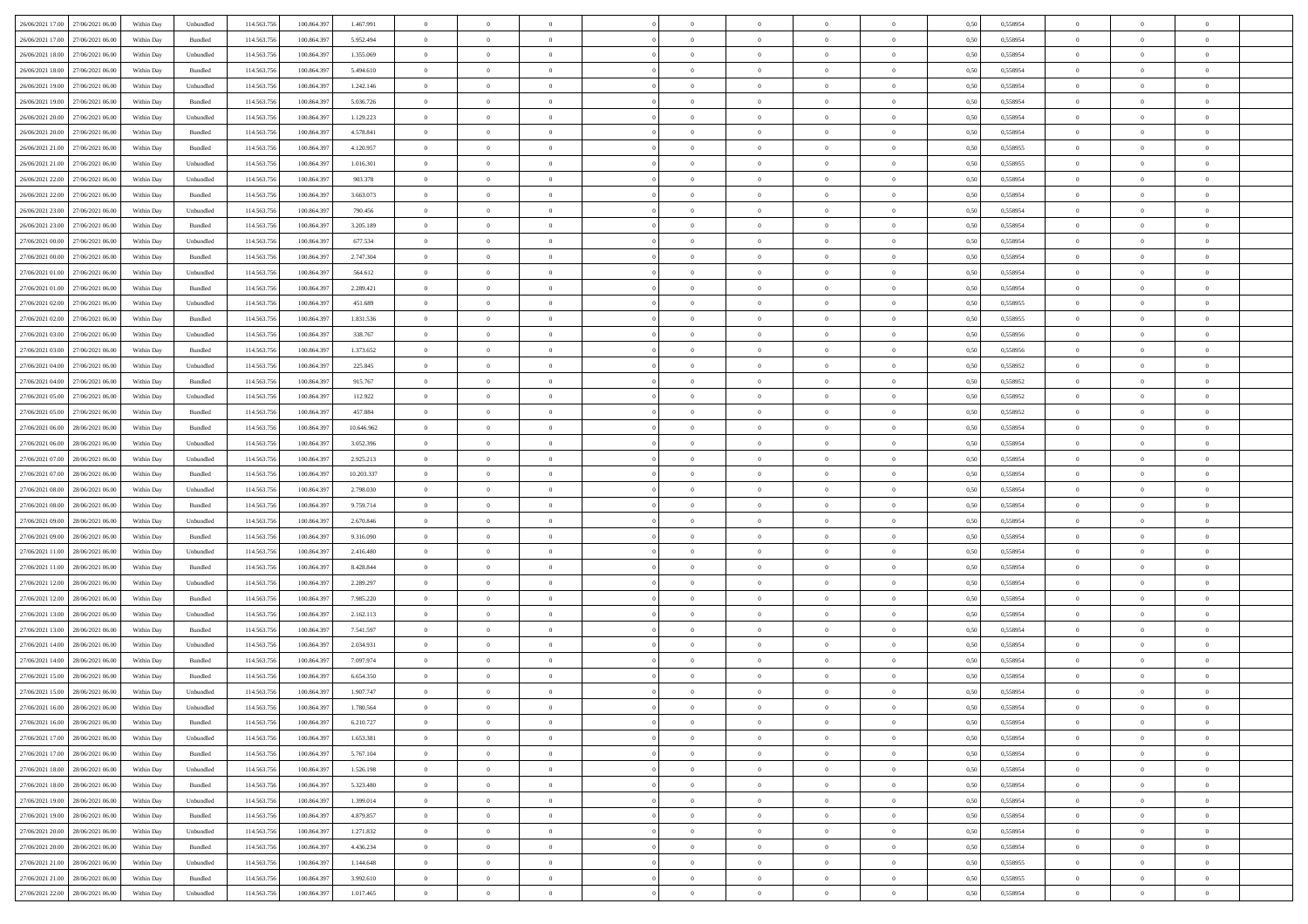| 26/06/2021 17:00<br>27/06/2021 06:00 | Within Day | Unbundled | 114.563.756 | 100.864.397 | 1.467.991  | $\overline{0}$ | $\overline{0}$ | $\overline{0}$ | $\theta$       | $\theta$       |                | $\overline{0}$ | 0,50 | 0,558954 | $\theta$       | $\theta$       | $\theta$       |  |
|--------------------------------------|------------|-----------|-------------|-------------|------------|----------------|----------------|----------------|----------------|----------------|----------------|----------------|------|----------|----------------|----------------|----------------|--|
|                                      |            |           |             |             |            |                |                |                |                |                |                |                |      |          |                |                |                |  |
| 26/06/2021 17:00<br>27/06/2021 06.0  | Within Day | Bundled   | 114.563.75  | 100.864.397 | 5.952.494  | $\overline{0}$ | $\overline{0}$ | $\overline{0}$ | $\overline{0}$ | $\bf{0}$       | $\overline{0}$ | $\mathbf{0}$   | 0,50 | 0,558954 | $\,$ 0 $\,$    | $\bf{0}$       | $\overline{0}$ |  |
| 26/06/2021 18.00<br>27/06/2021 06:00 | Within Day | Unbundled | 114.563.756 | 100,864,397 | 1.355.069  | $\overline{0}$ | $\overline{0}$ | $\overline{0}$ | $\bf{0}$       | $\bf{0}$       | $\overline{0}$ | $\,$ 0 $\,$    | 0.50 | 0.558954 | $\bf{0}$       | $\overline{0}$ | $\bf{0}$       |  |
| 26/06/2021 18:00<br>27/06/2021 06:00 | Within Day | Bundled   | 114.563.756 | 100.864.397 | 5.494.610  | $\overline{0}$ | $\overline{0}$ | $\overline{0}$ | $\bf{0}$       | $\overline{0}$ | $\overline{0}$ | $\,$ 0 $\,$    | 0,50 | 0,558954 | $\,$ 0 $\,$    | $\overline{0}$ | $\overline{0}$ |  |
| 26/06/2021 19:00<br>27/06/2021 06.0  | Within Day | Unbundled | 114.563.75  | 100.864.397 | 1.242.146  | $\overline{0}$ | $\overline{0}$ | $\overline{0}$ | $\bf{0}$       | $\bf{0}$       | $\overline{0}$ | $\bf{0}$       | 0,50 | 0,558954 | $\,$ 0 $\,$    | $\bf{0}$       | $\overline{0}$ |  |
|                                      |            |           | 114,563,75  | 100.864.397 | 5.036.726  |                |                | $\overline{0}$ |                | $\bf{0}$       | $\overline{0}$ |                | 0.50 | 0.558954 | $\,$ 0 $\,$    | $\overline{0}$ | $\overline{0}$ |  |
| 26/06/2021 19:00<br>27/06/2021 06:00 | Within Day | Bundled   |             |             |            | $\overline{0}$ | $\overline{0}$ |                | $\bf{0}$       |                |                | $\mathbf{0}$   |      |          |                |                |                |  |
| 26/06/2021 20:00<br>27/06/2021 06:00 | Within Day | Unbundled | 114.563.756 | 100.864.397 | 1.129.223  | $\overline{0}$ | $\overline{0}$ | $\overline{0}$ | $\bf{0}$       | $\overline{0}$ | $\overline{0}$ | $\bf{0}$       | 0,50 | 0,558954 | $\,$ 0 $\,$    | $\theta$       | $\overline{0}$ |  |
| 26/06/2021 20.00<br>27/06/2021 06.00 | Within Day | Bundled   | 114.563.75  | 100.864.397 | 4.578.841  | $\overline{0}$ | $\overline{0}$ | $\overline{0}$ | $\overline{0}$ | $\bf{0}$       | $\overline{0}$ | $\bf{0}$       | 0,50 | 0,558954 | $\,$ 0 $\,$    | $\bf{0}$       | $\overline{0}$ |  |
| 26/06/2021 21:00<br>27/06/2021 06:00 | Within Day | Bundled   | 114,563,756 | 100.864.397 | 4.120.957  | $\overline{0}$ | $\overline{0}$ | $\overline{0}$ | $\bf{0}$       | $\bf{0}$       | $\overline{0}$ | $\mathbf{0}$   | 0.50 | 0.558955 | $\bf{0}$       | $\overline{0}$ | $\bf{0}$       |  |
| 26/06/2021 21:00<br>27/06/2021 06:00 | Within Day | Unbundled | 114.563.756 | 100.864.397 | 1.016.301  | $\overline{0}$ | $\overline{0}$ | $\overline{0}$ | $\bf{0}$       | $\bf{0}$       | $\overline{0}$ | $\,$ 0 $\,$    | 0,50 | 0,558955 | $\,$ 0         | $\overline{0}$ | $\overline{0}$ |  |
| 26/06/2021 22:00<br>27/06/2021 06.0  | Within Day | Unbundled | 114.563.75  | 100.864.397 | 903.378    | $\overline{0}$ | $\overline{0}$ | $\overline{0}$ | $\,$ 0 $\,$    | $\bf{0}$       | $\overline{0}$ | $\bf{0}$       | 0,50 | 0,558954 | $\,$ 0 $\,$    | $\bf{0}$       | $\overline{0}$ |  |
|                                      |            |           |             |             |            |                |                |                |                |                |                |                |      |          |                |                |                |  |
| 26/06/2021 22.00<br>27/06/2021 06:00 | Within Day | Bundled   | 114,563,756 | 100,864,397 | 3.663.073  | $\overline{0}$ | $\overline{0}$ | $\overline{0}$ | $\bf{0}$       | $\bf{0}$       | $\overline{0}$ | $\,$ 0 $\,$    | 0.50 | 0.558954 | $\bf{0}$       | $\overline{0}$ | $\,$ 0         |  |
| 26/06/2021 23:00<br>27/06/2021 06:00 | Within Day | Unbundled | 114.563.756 | 100.864.397 | 790.456    | $\overline{0}$ | $\overline{0}$ | $\overline{0}$ | $\bf{0}$       | $\overline{0}$ | $\overline{0}$ | $\,$ 0 $\,$    | 0,50 | 0,558954 | $\,$ 0 $\,$    | $\overline{0}$ | $\overline{0}$ |  |
| 26/06/2021 23.00<br>27/06/2021 06.00 | Within Day | Bundled   | 114.563.75  | 100.864.397 | 3.205.189  | $\overline{0}$ | $\overline{0}$ | $\overline{0}$ | $\overline{0}$ | $\bf{0}$       | $\overline{0}$ | $\bf{0}$       | 0,50 | 0,558954 | $\,$ 0 $\,$    | $\bf{0}$       | $\overline{0}$ |  |
| 27/06/2021 00.00<br>27/06/2021 06:00 | Within Day | Unbundled | 114,563,756 | 100.864.397 | 677.534    | $\overline{0}$ | $\overline{0}$ | $\overline{0}$ | $\bf{0}$       | $\bf{0}$       | $\overline{0}$ | $\mathbf{0}$   | 0.50 | 0.558954 | $\,$ 0 $\,$    | $\overline{0}$ | $\overline{0}$ |  |
| 27/06/2021 00:00<br>27/06/2021 06:00 | Within Day | Bundled   | 114.563.756 | 100.864.397 | 2.747.304  | $\overline{0}$ | $\overline{0}$ | $\overline{0}$ | $\bf{0}$       | $\overline{0}$ | $\overline{0}$ | $\bf{0}$       | 0,50 | 0,558954 | $\overline{0}$ | $\theta$       | $\overline{0}$ |  |
| 27/06/2021 01:00<br>27/06/2021 06.00 | Within Day | Unbundled | 114.563.75  | 100.864.397 | 564.612    | $\overline{0}$ | $\overline{0}$ | $\overline{0}$ | $\,$ 0 $\,$    | $\bf{0}$       | $\overline{0}$ | $\bf{0}$       | 0,50 | 0,558954 | $\,$ 0 $\,$    | $\bf{0}$       | $\overline{0}$ |  |
| 27/06/2021 06:00                     |            |           | 114,563,75  |             | 2.289.421  |                |                |                |                |                | $\overline{0}$ |                |      |          |                |                |                |  |
| 27/06/2021 01:00                     | Within Day | Bundled   |             | 100,864.397 |            | $\overline{0}$ | $\overline{0}$ | $\overline{0}$ | $\bf{0}$       | $\bf{0}$       |                | $\mathbf{0}$   | 0.50 | 0.558954 | $\bf{0}$       | $\overline{0}$ | $\bf{0}$       |  |
| 27/06/2021 02.00<br>27/06/2021 06:00 | Within Day | Unbundled | 114.563.756 | 100.864.397 | 451.689    | $\overline{0}$ | $\overline{0}$ | $\overline{0}$ | $\bf{0}$       | $\bf{0}$       | $\overline{0}$ | $\bf{0}$       | 0,50 | 0,558955 | $\,$ 0 $\,$    | $\overline{0}$ | $\overline{0}$ |  |
| 27/06/2021 02.00<br>27/06/2021 06.0  | Within Day | Bundled   | 114.563.75  | 100.864.397 | 1.831.536  | $\overline{0}$ | $\overline{0}$ | $\overline{0}$ | $\overline{0}$ | $\bf{0}$       | $\overline{0}$ | $\mathbf{0}$   | 0,50 | 0,558955 | $\,$ 0 $\,$    | $\bf{0}$       | $\overline{0}$ |  |
| 27/06/2021 03.00<br>27/06/2021 06:00 | Within Day | Unbundled | 114,563,756 | 100,864,397 | 338,767    | $\overline{0}$ | $\overline{0}$ | $\overline{0}$ | $\bf{0}$       | $\overline{0}$ | $\overline{0}$ | $\,$ 0 $\,$    | 0.50 | 0.558956 | $\bf{0}$       | $\overline{0}$ | $\,$ 0         |  |
| 27/06/2021 03.00<br>27/06/2021 06:00 | Within Day | Bundled   | 114.563.756 | 100.864.397 | 1.373.652  | $\overline{0}$ | $\overline{0}$ | $\overline{0}$ | $\overline{0}$ | $\overline{0}$ | $\overline{0}$ | $\,$ 0 $\,$    | 0,50 | 0,558956 | $\theta$       | $\overline{0}$ | $\overline{0}$ |  |
| 27/06/2021 04:00<br>27/06/2021 06.0  | Within Day | Unbundled | 114.563.75  | 100.864.397 | 225.845    | $\overline{0}$ | $\overline{0}$ | $\overline{0}$ | $\overline{0}$ | $\bf{0}$       | $\overline{0}$ | $\bf{0}$       | 0,50 | 0,558952 | $\,$ 0 $\,$    | $\bf{0}$       | $\overline{0}$ |  |
| 27/06/2021 04.00<br>27/06/2021 06:00 | Within Day | Bundled   | 114,563,75  | 100.864.397 | 915.767    | $\overline{0}$ | $\overline{0}$ | $\overline{0}$ | $\bf{0}$       | $\bf{0}$       | $\overline{0}$ | $\mathbf{0}$   | 0.50 | 0.558952 | $\,$ 0 $\,$    | $\overline{0}$ | $\overline{0}$ |  |
|                                      |            |           |             |             |            |                |                |                |                |                |                |                |      |          |                |                |                |  |
| 27/06/2021 05:00<br>27/06/2021 06:00 | Within Day | Unbundled | 114.563.756 | 100.864.397 | 112.922    | $\overline{0}$ | $\overline{0}$ | $\overline{0}$ | $\bf{0}$       | $\overline{0}$ | $\overline{0}$ | $\bf{0}$       | 0,50 | 0,558952 | $\,$ 0 $\,$    | $\theta$       | $\overline{0}$ |  |
| 27/06/2021 05.00<br>27/06/2021 06.00 | Within Day | Bundled   | 114.563.75  | 100.864.397 | 457.884    | $\overline{0}$ | $\overline{0}$ | $\overline{0}$ | $\,$ 0 $\,$    | $\bf{0}$       | $\overline{0}$ | $\bf{0}$       | 0,50 | 0,558952 | $\,$ 0 $\,$    | $\bf{0}$       | $\overline{0}$ |  |
| 27/06/2021 06.00<br>28/06/2021 06:00 | Within Day | Bundled   | 114,563,756 | 100.864.397 | 10,646.962 | $\overline{0}$ | $\overline{0}$ | $\overline{0}$ | $\bf{0}$       | $\bf{0}$       | $\overline{0}$ | $\,$ 0 $\,$    | 0.50 | 0.558954 | $\bf{0}$       | $\overline{0}$ | $\bf{0}$       |  |
| 27/06/2021 06.00<br>28/06/2021 06:00 | Within Day | Unbundled | 114.563.756 | 100.864.397 | 3.052.396  | $\overline{0}$ | $\overline{0}$ | $\overline{0}$ | $\bf{0}$       | $\overline{0}$ | $\overline{0}$ | $\,$ 0 $\,$    | 0,50 | 0,558954 | $\,$ 0         | $\overline{0}$ | $\overline{0}$ |  |
| 27/06/2021 07:00<br>28/06/2021 06.00 | Within Day | Unbundled | 114.563.75  | 100.864.397 | 2.925.213  | $\overline{0}$ | $\overline{0}$ | $\overline{0}$ | $\overline{0}$ | $\bf{0}$       | $\overline{0}$ | $\mathbf{0}$   | 0,50 | 0,558954 | $\overline{0}$ | $\bf{0}$       | $\overline{0}$ |  |
| 27/06/2021 07.00<br>28/06/2021 06:00 | Within Day | Bundled   | 114,563,756 | 100,864,397 | 10.203.337 | $\overline{0}$ | $\overline{0}$ | $\overline{0}$ | $\bf{0}$       | $\overline{0}$ | $\overline{0}$ | $\,$ 0 $\,$    | 0.50 | 0.558954 | $\bf{0}$       | $\overline{0}$ | $\,$ 0         |  |
| 27/06/2021 08:00<br>28/06/2021 06:00 | Within Day | Unbundled | 114.563.756 | 100.864.397 | 2.798.030  | $\overline{0}$ | $\overline{0}$ | $\overline{0}$ | $\overline{0}$ | $\overline{0}$ | $\overline{0}$ | $\overline{0}$ | 0.50 | 0,558954 | $\theta$       | $\overline{0}$ | $\overline{0}$ |  |
|                                      |            |           |             |             |            |                |                |                |                |                |                |                |      |          |                |                |                |  |
| 27/06/2021 08:00<br>28/06/2021 06.00 | Within Day | Bundled   | 114.563.75  | 100.864.397 | 9.759.714  | $\overline{0}$ | $\overline{0}$ | $\overline{0}$ | $\overline{0}$ | $\bf{0}$       | $\overline{0}$ | $\bf{0}$       | 0,50 | 0,558954 | $\,$ 0 $\,$    | $\bf{0}$       | $\overline{0}$ |  |
| 27/06/2021 09:00<br>28/06/2021 06:00 | Within Day | Unbundled | 114.563.756 | 100.864.397 | 2.670.846  | $\overline{0}$ | $\overline{0}$ | $\overline{0}$ | $\bf{0}$       | $\bf{0}$       | $\overline{0}$ | $\mathbf{0}$   | 0.50 | 0.558954 | $\,$ 0 $\,$    | $\overline{0}$ | $\overline{0}$ |  |
| 27/06/2021 09:00<br>28/06/2021 06:00 | Within Day | Bundled   | 114.563.756 | 100.864.397 | 9.316.090  | $\overline{0}$ | $\overline{0}$ | $\overline{0}$ | $\overline{0}$ | $\overline{0}$ | $\overline{0}$ | $\mathbf{0}$   | 0,50 | 0,558954 | $\overline{0}$ | $\theta$       | $\overline{0}$ |  |
| 27/06/2021 11.00<br>28/06/2021 06.00 | Within Day | Unbundled | 114.563.75  | 100.864.397 | 2.416.480  | $\overline{0}$ | $\overline{0}$ | $\overline{0}$ | $\overline{0}$ | $\bf{0}$       | $\overline{0}$ | $\bf{0}$       | 0,50 | 0,558954 | $\,$ 0 $\,$    | $\bf{0}$       | $\overline{0}$ |  |
| 27/06/2021 11:00<br>28/06/2021 06:00 | Within Day | Bundled   | 114,563,756 | 100.864.397 | 8.428.844  | $\overline{0}$ | $\overline{0}$ | $\overline{0}$ | $\bf{0}$       | $\bf{0}$       | $\overline{0}$ | $\mathbf{0}$   | 0.50 | 0.558954 | $\bf{0}$       | $\overline{0}$ | $\bf{0}$       |  |
| 27/06/2021 12:00<br>28/06/2021 06:00 | Within Day | Unbundled | 114.563.756 | 100.864.397 | 2.289.297  | $\overline{0}$ | $\overline{0}$ | $\overline{0}$ | $\overline{0}$ | $\overline{0}$ | $\overline{0}$ | $\mathbf{0}$   | 0.50 | 0,558954 | $\overline{0}$ | $\overline{0}$ | $\overline{0}$ |  |
|                                      |            |           |             |             |            |                |                |                |                |                |                |                |      |          |                |                |                |  |
| 27/06/2021 12:00<br>28/06/2021 06.00 | Within Day | Bundled   | 114.563.75  | 100.864.397 | 7.985.220  | $\overline{0}$ | $\overline{0}$ | $\overline{0}$ | $\overline{0}$ | $\bf{0}$       | $\overline{0}$ | $\mathbf{0}$   | 0,50 | 0,558954 | $\overline{0}$ | $\overline{0}$ | $\overline{0}$ |  |
| 27/06/2021 13.00<br>28/06/2021 06:00 | Within Day | Unbundled | 114,563,756 | 100,864,397 | 2.162.113  | $\overline{0}$ | $\overline{0}$ | $\overline{0}$ | $\bf{0}$       | $\overline{0}$ | $\overline{0}$ | $\,$ 0 $\,$    | 0.50 | 0.558954 | $\bf{0}$       | $\overline{0}$ | $\,$ 0         |  |
| 27/06/2021 13:00<br>28/06/2021 06:00 | Within Day | Bundled   | 114.563.756 | 100.864.397 | 7.541.597  | $\overline{0}$ | $\overline{0}$ | $\overline{0}$ | $\overline{0}$ | $\overline{0}$ | $\overline{0}$ | $\overline{0}$ | 0,50 | 0,558954 | $\overline{0}$ | $\theta$       | $\overline{0}$ |  |
| 27/06/2021 14:00<br>28/06/2021 06.00 | Within Day | Unbundled | 114.563.75  | 100.864.397 | 2.034.931  | $\overline{0}$ | $\overline{0}$ | $\overline{0}$ | $\overline{0}$ | $\bf{0}$       | $\overline{0}$ | $\bf{0}$       | 0,50 | 0,558954 | $\,$ 0 $\,$    | $\bf{0}$       | $\overline{0}$ |  |
| 27/06/2021 14:00<br>28/06/2021 06:00 | Within Day | Bundled   | 114.563.756 | 100,864.397 | 7.097.974  | $\overline{0}$ | $\overline{0}$ | $\overline{0}$ | $\overline{0}$ | $\bf{0}$       | $\overline{0}$ | $\mathbf{0}$   | 0.50 | 0.558954 | $\,$ 0 $\,$    | $\overline{0}$ | $\overline{0}$ |  |
| 27/06/2021 15:00<br>28/06/2021 06:00 | Within Day | Bundled   | 114.563.756 | 100.864.397 | 6.654.350  | $\overline{0}$ | $\overline{0}$ | $\overline{0}$ | $\overline{0}$ | $\overline{0}$ | $\Omega$       | $\overline{0}$ | 0.50 | 0,558954 | $\overline{0}$ | $\theta$       | $\overline{0}$ |  |
| 27/06/2021 15:00<br>28/06/2021 06:00 | Within Day | Unbundled | 114.563.756 | 100.864.397 | 1.907.747  | $\overline{0}$ | $\overline{0}$ | $\overline{0}$ | $\overline{0}$ | $\bf{0}$       | $\overline{0}$ | $\mathbf{0}$   | 0,50 | 0,558954 | $\overline{0}$ | $\overline{0}$ | $\overline{0}$ |  |
|                                      |            |           |             |             |            |                |                |                |                |                |                |                |      |          |                |                |                |  |
| 27/06/2021 16:00 28/06/2021 06:00    | Within Day | Unbundled | 114.563.756 | 100.864.397 | 1.780.564  | $\bf{0}$       | $\,$ 0 $\,$    |                | $\bf{0}$       |                |                |                | 0,50 | 0.558954 | $\theta$       | $\overline{0}$ |                |  |
| 27/06/2021 16:00 28/06/2021 06:00    | Within Dav | Bundled   | 114.563.756 | 100.864.397 | 6.210.727  | $\overline{0}$ | $\overline{0}$ | $\overline{0}$ | $\overline{0}$ | $\overline{0}$ | $\overline{0}$ | $\overline{0}$ | 0,50 | 0,558954 | $\theta$       | $\theta$       | $\overline{0}$ |  |
| 27/06/2021 17:00<br>28/06/2021 06.00 | Within Day | Unbundled | 114.563.756 | 100.864.397 | 1.653.381  | $\overline{0}$ | $\overline{0}$ | $\overline{0}$ | $\bf{0}$       | $\bf{0}$       | $\overline{0}$ | $\bf{0}$       | 0,50 | 0,558954 | $\overline{0}$ | $\overline{0}$ | $\bf{0}$       |  |
| 27/06/2021 17:00<br>28/06/2021 06:00 | Within Day | Bundled   | 114.563.756 | 100,864,397 | 5.767.104  | $\overline{0}$ | $\overline{0}$ | $\overline{0}$ | $\,$ 0 $\,$    | $\bf{0}$       | $\overline{0}$ | $\mathbf{0}$   | 0.50 | 0.558954 | $\overline{0}$ | $\bf{0}$       | $\bf{0}$       |  |
| 27/06/2021 18:00<br>28/06/2021 06:00 | Within Dav | Unbundled | 114.563.756 | 100.864.397 | 1.526.198  | $\overline{0}$ | $\overline{0}$ | $\overline{0}$ | $\overline{0}$ | $\overline{0}$ | $\overline{0}$ | $\mathbf{0}$   | 0,50 | 0,558954 | $\overline{0}$ | $\theta$       | $\overline{0}$ |  |
| 27/06/2021 18.00<br>28/06/2021 06:00 | Within Day | Bundled   | 114.563.756 | 100.864.397 | 5.323.480  | $\overline{0}$ | $\overline{0}$ | $\overline{0}$ | $\bf{0}$       | $\bf{0}$       | $\overline{0}$ | $\mathbf{0}$   | 0,50 | 0,558954 | $\overline{0}$ | $\overline{0}$ | $\overline{0}$ |  |
|                                      |            | Unbundled |             | 100,864,397 | 1.399.014  |                | $\overline{0}$ | $\overline{0}$ |                | $\overline{0}$ | $\overline{0}$ |                | 0.50 | 0.558954 | $\,$ 0 $\,$    | $\theta$       | $\,$ 0         |  |
| 27/06/2021 19.00<br>28/06/2021 06:00 | Within Day |           | 114.563.756 |             |            | $\overline{0}$ |                |                | $\bf{0}$       |                |                | $\mathbf{0}$   |      |          |                |                |                |  |
| 27/06/2021 19:00<br>28/06/2021 06:00 | Within Day | Bundled   | 114.563.756 | 100.864.397 | 4.879.857  | $\overline{0}$ | $\overline{0}$ | $\overline{0}$ | $\overline{0}$ | $\overline{0}$ | $\overline{0}$ | $\mathbf{0}$   | 0,50 | 0,558954 | $\overline{0}$ | $\theta$       | $\overline{0}$ |  |
| 27/06/2021 20.00<br>28/06/2021 06:00 | Within Day | Unbundled | 114.563.75  | 100.864.397 | 1.271.832  | $\overline{0}$ | $\overline{0}$ | $\overline{0}$ | $\bf{0}$       | $\bf{0}$       | $\overline{0}$ | $\,$ 0 $\,$    | 0,50 | 0,558954 | $\bf{0}$       | $\overline{0}$ | $\,$ 0         |  |
| 28/06/2021 06:00<br>27/06/2021 20.00 | Within Day | Bundled   | 114.563.756 | 100,864,397 | 4.436.234  | $\overline{0}$ | $\overline{0}$ | $\overline{0}$ | $\bf{0}$       | $\overline{0}$ | $\overline{0}$ | $\,$ 0 $\,$    | 0.50 | 0.558954 | $\overline{0}$ | $\bf{0}$       | $\,$ 0         |  |
| 27/06/2021 21:00<br>28/06/2021 06:00 | Within Dav | Unbundled | 114.563.756 | 100.864.397 | 1.144.648  | $\overline{0}$ | $\overline{0}$ | $\overline{0}$ | $\overline{0}$ | $\overline{0}$ | $\overline{0}$ | $\mathbf{0}$   | 0,50 | 0,558955 | $\overline{0}$ | $\theta$       | $\overline{0}$ |  |
| 27/06/2021 21.00<br>28/06/2021 06.00 | Within Day | Bundled   | 114.563.756 | 100.864.397 | 3.992.610  | $\overline{0}$ | $\overline{0}$ | $\overline{0}$ | $\bf{0}$       | $\bf{0}$       | $\overline{0}$ | $\,$ 0 $\,$    | 0,50 | 0,558955 | $\bf{0}$       | $\bf{0}$       | $\bf{0}$       |  |
|                                      |            |           |             |             |            |                |                |                |                | $\,$ 0         | $\overline{0}$ | $\,0\,$        |      | 0,558954 | $\overline{0}$ | $\,$ 0 $\,$    | $\,$ 0 $\,$    |  |
| 27/06/2021 22.00 28/06/2021 06:00    | Within Day | Unbundled | 114.563.756 | 100.864.397 | 1.017.465  | $\,$ 0 $\,$    | $\overline{0}$ | $\overline{0}$ | $\bf{0}$       |                |                |                | 0,50 |          |                |                |                |  |